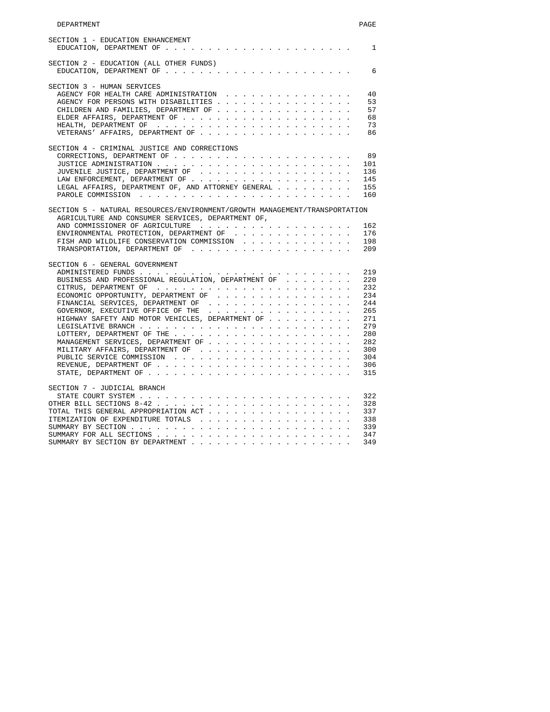| SECTION 2 - EDUCATION (ALL OTHER FUNDS)                                                                                                                                                                               |  |  |  |  |  |                                                                                                              |
|-----------------------------------------------------------------------------------------------------------------------------------------------------------------------------------------------------------------------|--|--|--|--|--|--------------------------------------------------------------------------------------------------------------|
|                                                                                                                                                                                                                       |  |  |  |  |  |                                                                                                              |
| SECTION 3 - HUMAN SERVICES                                                                                                                                                                                            |  |  |  |  |  |                                                                                                              |
| AGENCY FOR HEALTH CARE ADMINISTRATION                                                                                                                                                                                 |  |  |  |  |  |                                                                                                              |
| AGENCY FOR PERSONS WITH DISABILITIES                                                                                                                                                                                  |  |  |  |  |  |                                                                                                              |
| CHILDREN AND FAMILIES, DEPARTMENT OF                                                                                                                                                                                  |  |  |  |  |  |                                                                                                              |
|                                                                                                                                                                                                                       |  |  |  |  |  |                                                                                                              |
|                                                                                                                                                                                                                       |  |  |  |  |  |                                                                                                              |
|                                                                                                                                                                                                                       |  |  |  |  |  |                                                                                                              |
| SECTION 4 - CRIMINAL JUSTICE AND CORRECTIONS                                                                                                                                                                          |  |  |  |  |  |                                                                                                              |
|                                                                                                                                                                                                                       |  |  |  |  |  |                                                                                                              |
|                                                                                                                                                                                                                       |  |  |  |  |  | 101                                                                                                          |
| JUVENILE JUSTICE, DEPARTMENT OF                                                                                                                                                                                       |  |  |  |  |  | 136                                                                                                          |
|                                                                                                                                                                                                                       |  |  |  |  |  |                                                                                                              |
|                                                                                                                                                                                                                       |  |  |  |  |  | 145                                                                                                          |
| LEGAL AFFAIRS, DEPARTMENT OF, AND ATTORNEY GENERAL                                                                                                                                                                    |  |  |  |  |  | 155                                                                                                          |
|                                                                                                                                                                                                                       |  |  |  |  |  | 160                                                                                                          |
| ENVIRONMENTAL PROTECTION, DEPARTMENT OF                                                                                                                                                                               |  |  |  |  |  | 162<br>176                                                                                                   |
|                                                                                                                                                                                                                       |  |  |  |  |  |                                                                                                              |
| FISH AND WILDLIFE CONSERVATION COMMISSION                                                                                                                                                                             |  |  |  |  |  |                                                                                                              |
| SECTION 6 - GENERAL GOVERNMENT<br>BUSINESS AND PROFESSIONAL REGULATION, DEPARTMENT OF<br>ECONOMIC OPPORTUNITY, DEPARTMENT OF<br>GOVERNOR, EXECUTIVE OFFICE OF THE<br>HIGHWAY SAFETY AND MOTOR VEHICLES, DEPARTMENT OF |  |  |  |  |  | 198<br>209<br>219<br>220<br>232<br>234<br>244<br>265<br>271<br>279<br>280<br>282<br>300<br>304<br>306<br>315 |
|                                                                                                                                                                                                                       |  |  |  |  |  |                                                                                                              |
| SECTION 7 - JUDICIAL BRANCH                                                                                                                                                                                           |  |  |  |  |  |                                                                                                              |
|                                                                                                                                                                                                                       |  |  |  |  |  |                                                                                                              |
|                                                                                                                                                                                                                       |  |  |  |  |  |                                                                                                              |
| TOTAL THIS GENERAL APPROPRIATION ACT                                                                                                                                                                                  |  |  |  |  |  | 322<br>328<br>337                                                                                            |
|                                                                                                                                                                                                                       |  |  |  |  |  |                                                                                                              |
|                                                                                                                                                                                                                       |  |  |  |  |  |                                                                                                              |
|                                                                                                                                                                                                                       |  |  |  |  |  | 338<br>339<br>347                                                                                            |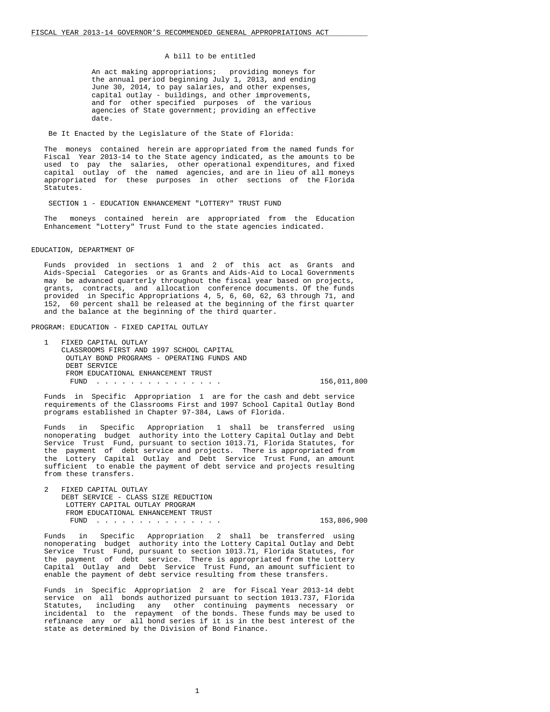#### A bill to be entitled

 An act making appropriations; providing moneys for the annual period beginning July 1, 2013, and ending June 30, 2014, to pay salaries, and other expenses, capital outlay - buildings, and other improvements, and for other specified purposes of the various agencies of State government; providing an effective date.

Be It Enacted by the Legislature of the State of Florida:

 The moneys contained herein are appropriated from the named funds for Fiscal Year 2013-14 to the State agency indicated, as the amounts to be used to pay the salaries, other operational expenditures, and fixed capital outlay of the named agencies, and are in lieu of all moneys appropriated for these purposes in other sections of the Florida Statutes.

SECTION 1 - EDUCATION ENHANCEMENT "LOTTERY" TRUST FUND

 The moneys contained herein are appropriated from the Education Enhancement "Lottery" Trust Fund to the state agencies indicated.

### EDUCATION, DEPARTMENT OF

 Funds provided in sections 1 and 2 of this act as Grants and Aids-Special Categories or as Grants and Aids-Aid to Local Governments may be advanced quarterly throughout the fiscal year based on projects, grants, contracts, and allocation conference documents. Of the funds provided in Specific Appropriations 4, 5, 6, 60, 62, 63 through 71, and 152, 60 percent shall be released at the beginning of the first quarter and the balance at the beginning of the third quarter.

PROGRAM: EDUCATION - FIXED CAPITAL OUTLAY

1 FIXED CAPITAL OUTLAY CLASSROOMS FIRST AND 1997 SCHOOL CAPITAL OUTLAY BOND PROGRAMS - OPERATING FUNDS AND DEBT SERVICE FROM EDUCATIONAL ENHANCEMENT TRUST FUND . . . . . . . . . . . . . . . 156,011,800

 Funds in Specific Appropriation 1 are for the cash and debt service requirements of the Classrooms First and 1997 School Capital Outlay Bond programs established in Chapter 97-384, Laws of Florida.

 Funds in Specific Appropriation 1 shall be transferred using nonoperating budget authority into the Lottery Capital Outlay and Debt Service Trust Fund, pursuant to section 1013.71, Florida Statutes, for the payment of debt service and projects. There is appropriated from the Lottery Capital Outlay and Debt Service Trust Fund, an amount sufficient to enable the payment of debt service and projects resulting from these transfers.

 2 FIXED CAPITAL OUTLAY DEBT SERVICE - CLASS SIZE REDUCTION LOTTERY CAPITAL OUTLAY PROGRAM FROM EDUCATIONAL ENHANCEMENT TRUST<br>FUND FUND . . . . . . . . . . . . . . . 153,806,900

 Funds in Specific Appropriation 2 shall be transferred using nonoperating budget authority into the Lottery Capital Outlay and Debt Service Trust Fund, pursuant to section 1013.71, Florida Statutes, for the payment of debt service. There is appropriated from the Lottery Capital Outlay and Debt Service Trust Fund, an amount sufficient to enable the payment of debt service resulting from these transfers.

 Funds in Specific Appropriation 2 are for Fiscal Year 2013-14 debt service on all bonds authorized pursuant to section 1013.737, Florida Statutes, including any other continuing payments necessary or incidental to the repayment of the bonds. These funds may be used to refinance any or all bond series if it is in the best interest of the state as determined by the Division of Bond Finance.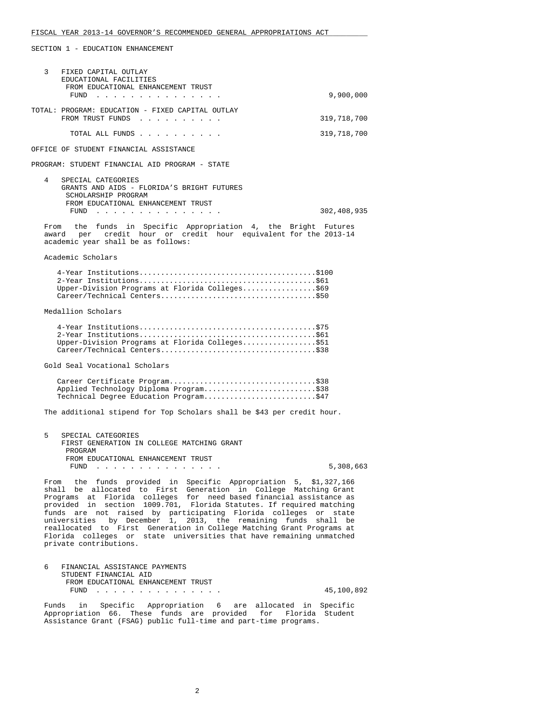SECTION 1 - EDUCATION ENHANCEMENT

| 3    | FIXED CAPITAL OUTLAY<br>EDUCATIONAL FACILITIES<br>FROM EDUCATIONAL ENHANCEMENT TRUST                                                                                                                                                                                                                                                                                                                                                                                                                                                                                                                |             |
|------|-----------------------------------------------------------------------------------------------------------------------------------------------------------------------------------------------------------------------------------------------------------------------------------------------------------------------------------------------------------------------------------------------------------------------------------------------------------------------------------------------------------------------------------------------------------------------------------------------------|-------------|
|      | FUND                                                                                                                                                                                                                                                                                                                                                                                                                                                                                                                                                                                                | 9,900,000   |
|      | TOTAL: PROGRAM: EDUCATION - FIXED CAPITAL OUTLAY<br>FROM TRUST FUNDS                                                                                                                                                                                                                                                                                                                                                                                                                                                                                                                                | 319,718,700 |
|      | TOTAL ALL FUNDS                                                                                                                                                                                                                                                                                                                                                                                                                                                                                                                                                                                     | 319,718,700 |
|      | OFFICE OF STUDENT FINANCIAL ASSISTANCE                                                                                                                                                                                                                                                                                                                                                                                                                                                                                                                                                              |             |
|      | PROGRAM: STUDENT FINANCIAL AID PROGRAM - STATE                                                                                                                                                                                                                                                                                                                                                                                                                                                                                                                                                      |             |
| 4    | SPECIAL CATEGORIES<br>GRANTS AND AIDS - FLORIDA'S BRIGHT FUTURES<br>SCHOLARSHIP PROGRAM                                                                                                                                                                                                                                                                                                                                                                                                                                                                                                             |             |
|      | FROM EDUCATIONAL ENHANCEMENT TRUST<br>FUND $\cdots$                                                                                                                                                                                                                                                                                                                                                                                                                                                                                                                                                 | 302,408,935 |
| From | the funds in Specific Appropriation 4, the Bright Futures<br>per credit hour or credit hour equivalent for the 2013-14<br>award<br>academic year shall be as follows:                                                                                                                                                                                                                                                                                                                                                                                                                               |             |
|      | Academic Scholars                                                                                                                                                                                                                                                                                                                                                                                                                                                                                                                                                                                   |             |
|      | Upper-Division Programs at Florida Colleges\$69                                                                                                                                                                                                                                                                                                                                                                                                                                                                                                                                                     |             |
|      | Medallion Scholars                                                                                                                                                                                                                                                                                                                                                                                                                                                                                                                                                                                  |             |
|      | Upper-Division Programs at Florida Colleges\$51<br>Career/Technical Centers\$38                                                                                                                                                                                                                                                                                                                                                                                                                                                                                                                     |             |
|      | Gold Seal Vocational Scholars                                                                                                                                                                                                                                                                                                                                                                                                                                                                                                                                                                       |             |
|      | Career Certificate Program\$38<br>Applied Technology Diploma Program\$38<br>Technical Degree Education Program\$47                                                                                                                                                                                                                                                                                                                                                                                                                                                                                  |             |
|      | The additional stipend for Top Scholars shall be \$43 per credit hour.                                                                                                                                                                                                                                                                                                                                                                                                                                                                                                                              |             |
| 5    | SPECIAL CATEGORIES<br>FIRST GENERATION IN COLLEGE MATCHING GRANT<br>PROGRAM                                                                                                                                                                                                                                                                                                                                                                                                                                                                                                                         |             |
|      | FROM EDUCATIONAL ENHANCEMENT TRUST<br>FUND                                                                                                                                                                                                                                                                                                                                                                                                                                                                                                                                                          | 5,308,663   |
|      | From the funds provided in Specific Appropriation 5, \$1,327,166<br>shall be allocated to First Generation in College Matching Grant<br>Programs at Florida colleges for need based financial assistance as<br>provided in section 1009.701, Florida Statutes. If required matching<br>funds are not raised by participating Florida colleges or state<br>universities by December 1, 2013, the remaining funds shall be<br>reallocated to First Generation in College Matching Grant Programs at<br>Florida colleges or state universities that have remaining unmatched<br>private contributions. |             |
| 6    | FINANCIAL ASSISTANCE PAYMENTS                                                                                                                                                                                                                                                                                                                                                                                                                                                                                                                                                                       |             |
|      | STUDENT FINANCIAL AID<br>FROM EDUCATIONAL ENHANCEMENT TRUST                                                                                                                                                                                                                                                                                                                                                                                                                                                                                                                                         |             |
|      | FUND                                                                                                                                                                                                                                                                                                                                                                                                                                                                                                                                                                                                | 45,100,892  |

 Funds in Specific Appropriation 6 are allocated in Specific Appropriation 66. These funds are provided for Florida Student Assistance Grant (FSAG) public full-time and part-time programs.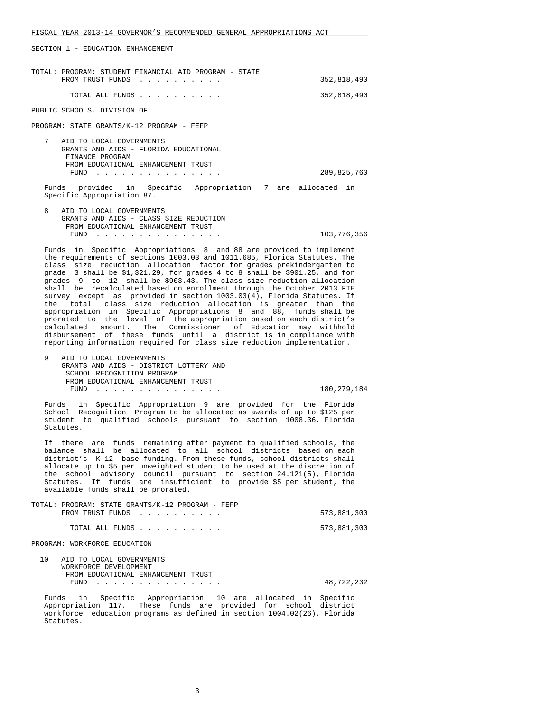SECTION 1 - EDUCATION ENHANCEMENT

| TOTAL: PROGRAM: STUDENT FINANCIAL AID PROGRAM - STATE<br>FROM TRUST FUNDS                                                               | 352,818,490 |
|-----------------------------------------------------------------------------------------------------------------------------------------|-------------|
| TOTAL ALL FUNDS                                                                                                                         | 352,818,490 |
| PUBLIC SCHOOLS, DIVISION OF                                                                                                             |             |
| PROGRAM: STATE GRANTS/K-12 PROGRAM - FEFP                                                                                               |             |
| 7<br>AID TO LOCAL GOVERNMENTS<br>GRANTS AND AIDS - FLORIDA EDUCATIONAL<br>FINANCE PROGRAM<br>FROM EDUCATIONAL ENHANCEMENT TRUST<br>FUND | 289,825,760 |
| provided in Specific Appropriation 7 are allocated in<br>Funds<br>Specific Appropriation 87.                                            |             |
| 8<br>AID TO LOCAL GOVERNMENTS<br>GRANTS AND AIDS - CLASS SIZE REDUCTION                                                                 |             |

 GRANTS AND AIDS - CLASS SIZE REDUCTION FROM EDUCATIONAL ENHANCEMENT TRUST FUND . . . . . . . . . . . . . . . 103,776,356

 Funds in Specific Appropriations 8 and 88 are provided to implement the requirements of sections 1003.03 and 1011.685, Florida Statutes. The class size reduction allocation factor for grades prekindergarten to grade 3 shall be \$1,321.29, for grades 4 to 8 shall be \$901.25, and for grades 9 to 12 shall be \$903.43. The class size reduction allocation shall be recalculated based on enrollment through the October 2013 FTE survey except as provided in section 1003.03(4), Florida Statutes. If the total class size reduction allocation is greater than the appropriation in Specific Appropriations 8 and 88, funds shall be prorated to the level of the appropriation based on each district's calculated amount. The Commissioner of Education may withhold disbursement of these funds until a district is in compliance with reporting information required for class size reduction implementation.

 9 AID TO LOCAL GOVERNMENTS GRANTS AND AIDS - DISTRICT LOTTERY AND SCHOOL RECOGNITION PROGRAM FROM EDUCATIONAL ENHANCEMENT TRUST<br>FUND . . . . . . . . . . . . . . . . FUND . . . . . . . . . . . . . . . 180,279,184

 Funds in Specific Appropriation 9 are provided for the Florida School Recognition Program to be allocated as awards of up to \$125 per student to qualified schools pursuant to section 1008.36, Florida Statutes.

 If there are funds remaining after payment to qualified schools, the balance shall be allocated to all school districts based on each district's K-12 base funding. From these funds, school districts shall allocate up to \$5 per unweighted student to be used at the discretion of the school advisory council pursuant to section 24.121(5), Florida Statutes. If funds are insufficient to provide \$5 per student, the available funds shall be prorated.

TOTAL: PROGRAM: STATE GRANTS/K-12 PROGRAM - FEFP

| FROM TRUST FUNDS |  |  |  | 573,881,300 |
|------------------|--|--|--|-------------|
| TOTAL ALL FUNDS  |  |  |  | 573,881,300 |

PROGRAM: WORKFORCE EDUCATION

| AID TO LOCAL GOVERNMENTS |                                    |            |
|--------------------------|------------------------------------|------------|
| WORKFORCE DEVELOPMENT    |                                    |            |
|                          | FROM EDUCATIONAL ENHANCEMENT TRUST |            |
|                          | FUND                               | 48,722,232 |

 Funds in Specific Appropriation 10 are allocated in Specific Appropriation 117. These funds are provided for school district workforce education programs as defined in section 1004.02(26), Florida Statutes.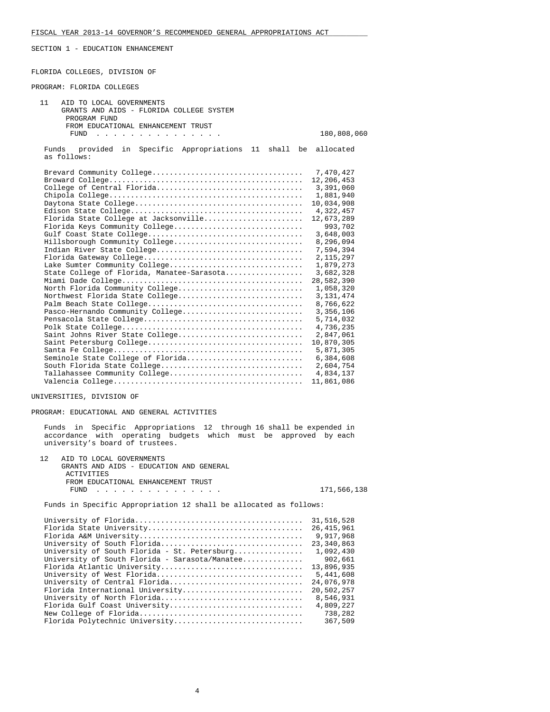SECTION 1 - EDUCATION ENHANCEMENT

FLORIDA COLLEGES, DIVISION OF

#### PROGRAM: FLORIDA COLLEGES

| 11<br>AID TO LOCAL GOVERNMENTS                                                                                          |             |
|-------------------------------------------------------------------------------------------------------------------------|-------------|
| GRANTS AND AIDS - FLORIDA COLLEGE SYSTEM                                                                                |             |
| PROGRAM FUND                                                                                                            |             |
| FROM EDUCATIONAL ENHANCEMENT TRUST                                                                                      |             |
| FUND<br>the contract of the contract of the contract of the contract of the contract of the contract of the contract of | 180,808,060 |
| in Specific Appropriations 11 shall be allocated<br>Funds<br>provided<br>as follows:                                    |             |
|                                                                                                                         | 7,470,427   |
|                                                                                                                         | 12,206,453  |
| College of Central Florida                                                                                              | 3,391,060   |
|                                                                                                                         | 1,881,940   |
|                                                                                                                         | 10,034,908  |
|                                                                                                                         | 4,322,457   |
| Florida State College at Jacksonville                                                                                   | 12,673,289  |
| Florida Keys Community College                                                                                          | 993,702     |
|                                                                                                                         | 3,648,003   |
| Hillsborough Community College                                                                                          | 8,296,094   |
|                                                                                                                         | 7,594,394   |
|                                                                                                                         | 2, 115, 297 |
| Lake Sumter Community College                                                                                           | 1,879,273   |
| State College of Florida, Manatee-Sarasota                                                                              | 3,682,328   |
|                                                                                                                         | 28,582,390  |
| North Florida Community College                                                                                         | 1,058,320   |
| Northwest Florida State College                                                                                         | 3, 131, 474 |
|                                                                                                                         | 8,766,622   |
| Pasco-Hernando Community College                                                                                        | 3,356,106   |
|                                                                                                                         | 5,714,032   |
|                                                                                                                         | 4,736,235   |
| Saint Johns River State College                                                                                         | 2,847,061   |
|                                                                                                                         | 10,870,305  |
|                                                                                                                         | 5,871,305   |
| Seminole State College of Florida                                                                                       | 6,384,608   |
|                                                                                                                         | 2,604,754   |
| Tallahassee Community College                                                                                           | 4,834,137   |
|                                                                                                                         | 11,861,086  |

UNIVERSITIES, DIVISION OF

PROGRAM: EDUCATIONAL AND GENERAL ACTIVITIES

 Funds in Specific Appropriations 12 through 16 shall be expended in accordance with operating budgets which must be approved by each university's board of trustees.

| 12 AID TO LOCAL GOVERNMENTS             |             |
|-----------------------------------------|-------------|
| GRANTS AND AIDS - EDUCATION AND GENERAL |             |
| ACTIVITIES                              |             |
| FROM EDUCATIONAL ENHANCEMENT TRUST      |             |
| FUND                                    | 171,566,138 |

Funds in Specific Appropriation 12 shall be allocated as follows:

|                                                | 31,516,528   |
|------------------------------------------------|--------------|
|                                                | 26, 415, 961 |
|                                                | 9,917,968    |
| University of South Florida                    | 23,340,863   |
| University of South Florida - St. Petersburg   | 1,092,430    |
| University of South Florida - Sarasota/Manatee | 902,661      |
| Florida Atlantic University                    | 13,896,935   |
| University of West Florida                     | 5,441,608    |
| University of Central Florida                  | 24,076,978   |
| Florida International University               | 20,502,257   |
| University of North Florida                    | 8,546,931    |
| Florida Gulf Coast University                  | 4,809,227    |
|                                                | 738,282      |
| Florida Polytechnic University                 | 367,509      |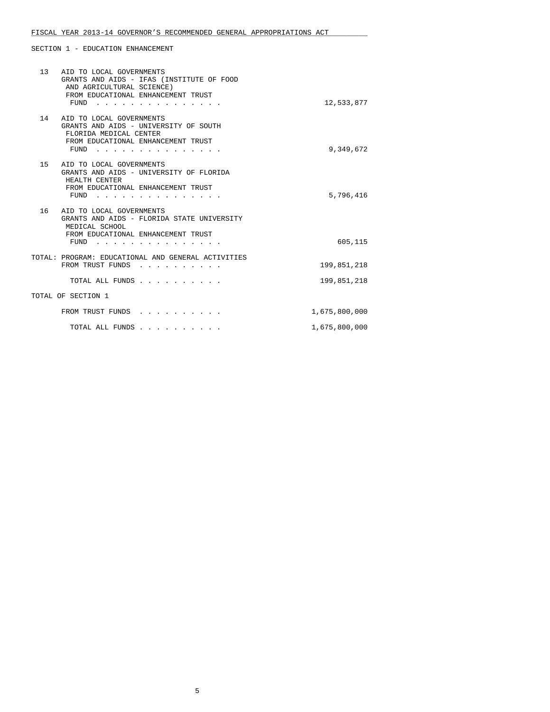# FISCAL YEAR 2013-14 GOVERNOR'S RECOMMENDED GENERAL APPROPRIATIONS ACT

SECTION 1 - EDUCATION ENHANCEMENT

|    | 13 AID TO LOCAL GOVERNMENTS<br>GRANTS AND AIDS - IFAS (INSTITUTE OF FOOD<br>AND AGRICULTURAL SCIENCE)<br>FROM EDUCATIONAL ENHANCEMENT TRUST<br>$FUND$                                                                                                     | 12,533,877    |
|----|-----------------------------------------------------------------------------------------------------------------------------------------------------------------------------------------------------------------------------------------------------------|---------------|
|    | 14 AID TO LOCAL GOVERNMENTS<br>GRANTS AND AIDS - UNIVERSITY OF SOUTH<br>FLORIDA MEDICAL CENTER<br>FROM EDUCATIONAL ENHANCEMENT TRUST<br>FUND                                                                                                              | 9,349,672     |
| 15 | AID TO LOCAL GOVERNMENTS<br>GRANTS AND AIDS - UNIVERSITY OF FLORIDA<br>HEALTH CENTER<br>FROM EDUCATIONAL ENHANCEMENT TRUST<br>$FUND$ ,,,,,,,,                                                                                                             | 5,796,416     |
| 16 | AID TO LOCAL GOVERNMENTS<br>GRANTS AND AIDS - FLORIDA STATE UNIVERSITY<br>MEDICAL SCHOOL<br>FROM EDUCATIONAL ENHANCEMENT TRUST<br>FUND<br>the contract of the contract of the contract of the contract of the contract of the contract of the contract of | 605,115       |
|    | TOTAL: PROGRAM: EDUCATIONAL AND GENERAL ACTIVITIES<br>FROM TRUST FUNDS                                                                                                                                                                                    | 199,851,218   |
|    | TOTAL ALL FUNDS                                                                                                                                                                                                                                           | 199,851,218   |
|    | TOTAL OF SECTION 1                                                                                                                                                                                                                                        |               |
|    | FROM TRUST FUNDS                                                                                                                                                                                                                                          | 1,675,800,000 |
|    | TOTAL ALL FUNDS                                                                                                                                                                                                                                           | 1,675,800,000 |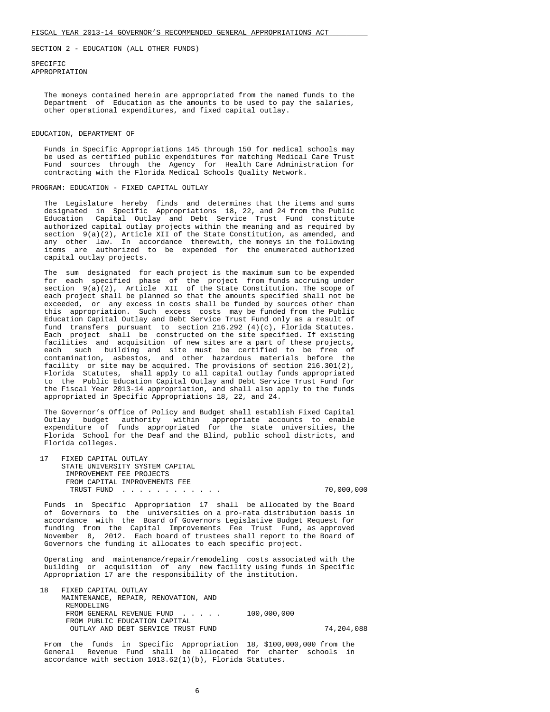SPECIFIC APPROPRIATION

> The moneys contained herein are appropriated from the named funds to the Department of Education as the amounts to be used to pay the salaries, other operational expenditures, and fixed capital outlay.

### EDUCATION, DEPARTMENT OF

 Funds in Specific Appropriations 145 through 150 for medical schools may be used as certified public expenditures for matching Medical Care Trust Fund sources through the Agency for Health Care Administration for contracting with the Florida Medical Schools Quality Network.

# PROGRAM: EDUCATION - FIXED CAPITAL OUTLAY

 The Legislature hereby finds and determines that the items and sums designated in Specific Appropriations 18, 22, and 24 from the Public Education Capital Outlay and Debt Service Trust Fund constitute authorized capital outlay projects within the meaning and as required by section  $9(a)(2)$ , Article XII of the State Constitution, as amended, and any other law. In accordance therewith, the moneys in the following items are authorized to be expended for the enumerated authorized capital outlay projects.

 The sum designated for each project is the maximum sum to be expended for each specified phase of the project from funds accruing under section  $9(a)(2)$ , Article XII of the State Constitution. The scope of each project shall be planned so that the amounts specified shall not be exceeded, or any excess in costs shall be funded by sources other than this appropriation. Such excess costs may be funded from the Public Education Capital Outlay and Debt Service Trust Fund only as a result of fund transfers pursuant to section  $216.292$  (4)(c), Florida Statutes. Each project shall be constructed on the site specified. If existing facilities and acquisition of new sites are a part of these projects, each such building and site must be certified to be free of contamination, asbestos, and other hazardous materials before the facility or site may be acquired. The provisions of section 216.301(2), Florida Statutes, shall apply to all capital outlay funds appropriated to the Public Education Capital Outlay and Debt Service Trust Fund for the Fiscal Year 2013-14 appropriation, and shall also apply to the funds appropriated in Specific Appropriations 18, 22, and 24.

 The Governor's Office of Policy and Budget shall establish Fixed Capital Outlay budget authority within appropriate accounts to enable expenditure of funds appropriated for the state universities, the Florida School for the Deaf and the Blind, public school districts, and Florida colleges.

| FIXED CAPITAL OUTLAY            |            |
|---------------------------------|------------|
| STATE UNIVERSITY SYSTEM CAPITAL |            |
| IMPROVEMENT FEE PROJECTS        |            |
| FROM CAPITAL IMPROVEMENTS FEE   |            |
| TRIIST FUND                     | 70,000,000 |

 Funds in Specific Appropriation 17 shall be allocated by the Board of Governors to the universities on a pro-rata distribution basis in accordance with the Board of Governors Legislative Budget Request for funding from the Capital Improvements Fee Trust Fund, as approved November 8, 2012. Each board of trustees shall report to the Board of Governors the funding it allocates to each specific project.

 Operating and maintenance/repair/remodeling costs associated with the building or acquisition of any new facility using funds in Specific Appropriation 17 are the responsibility of the institution.

 18 FIXED CAPITAL OUTLAY MAINTENANCE, REPAIR, RENOVATION, AND REMODELING FROM GENERAL REVENUE FUND . . . . . 100,000,000 FROM PUBLIC EDUCATION CAPITAL OUTLAY AND DEBT SERVICE TRUST FUND 74,204,088

 From the funds in Specific Appropriation 18, \$100,000,000 from the General Revenue Fund shall be allocated for charter schools in accordance with section 1013.62(1)(b), Florida Statutes.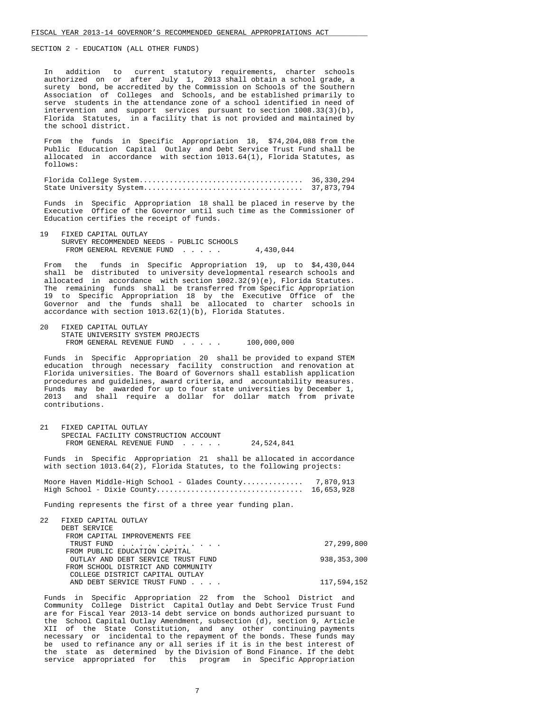In addition to current statutory requirements, charter schools authorized on or after July 1, 2013 shall obtain a school grade, a surety bond, be accredited by the Commission on Schools of the Southern Association of Colleges and Schools, and be established primarily to serve students in the attendance zone of a school identified in need of intervention and support services pursuant to section 1008.33(3)(b), Florida Statutes, in a facility that is not provided and maintained by the school district.

 From the funds in Specific Appropriation 18, \$74,204,088 from the Public Education Capital Outlay and Debt Service Trust Fund shall be allocated in accordance with section 1013.64(1), Florida Statutes, as follows:

 Florida College System...................................... 36,330,294 State University System..................................... 37,873,794

 Funds in Specific Appropriation 18 shall be placed in reserve by the Executive Office of the Governor until such time as the Commissioner of Education certifies the receipt of funds.

 19 FIXED CAPITAL OUTLAY SURVEY RECOMMENDED NEEDS - PUBLIC SCHOOLS FROM GENERAL REVENUE FUND . . . . . 4,430,044

 From the funds in Specific Appropriation 19, up to \$4,430,044 shall be distributed to university developmental research schools and allocated in accordance with section 1002.32(9)(e), Florida Statutes. The remaining funds shall be transferred from Specific Appropriation 19 to Specific Appropriation 18 by the Executive Office of the Governor and the funds shall be allocated to charter schools in accordance with section 1013.62(1)(b), Florida Statutes.

 20 FIXED CAPITAL OUTLAY STATE UNIVERSITY SYSTEM PROJECTS FROM GENERAL REVENUE FUND . . . . . 100,000,000

 Funds in Specific Appropriation 20 shall be provided to expand STEM education through necessary facility construction and renovation at Florida universities. The Board of Governors shall establish application procedures and guidelines, award criteria, and accountability measures. Funds may be awarded for up to four state universities by December 1, 2013 and shall require a dollar for dollar match from private contributions.

 21 FIXED CAPITAL OUTLAY SPECIAL FACILITY CONSTRUCTION ACCOUNT FROM GENERAL REVENUE FUND . . . . . 24,524,841

 Funds in Specific Appropriation 21 shall be allocated in accordance with section 1013.64(2), Florida Statutes, to the following projects:

Moore Haven Middle-High School - Glades County................ 7,870,913 High School - Dixie County.................................. 16,653,928

Funding represents the first of a three year funding plan.

| $2.2^{\circ}$ | FIXED CAPITAL OUTLAY               |               |
|---------------|------------------------------------|---------------|
|               | DEBT SERVICE                       |               |
|               | FROM CAPITAL IMPROVEMENTS FEE      |               |
|               | TRUST FUND                         | 27,299,800    |
|               | FROM PUBLIC EDUCATION CAPITAL      |               |
|               | OUTLAY AND DEBT SERVICE TRUST FUND | 938, 353, 300 |
|               | FROM SCHOOL DISTRICT AND COMMUNITY |               |
|               | COLLEGE DISTRICT CAPITAL OUTLAY    |               |
|               | AND DEBT SERVICE TRUST FUND        | 117,594,152   |
|               |                                    |               |

 Funds in Specific Appropriation 22 from the School District and Community College District Capital Outlay and Debt Service Trust Fund are for Fiscal Year 2013-14 debt service on bonds authorized pursuant to the School Capital Outlay Amendment, subsection (d), section 9, Article XII of the State Constitution, and any other continuing payments necessary or incidental to the repayment of the bonds. These funds may be used to refinance any or all series if it is in the best interest of the state as determined by the Division of Bond Finance. If the debt service appropriated for this program in Specific Appropriation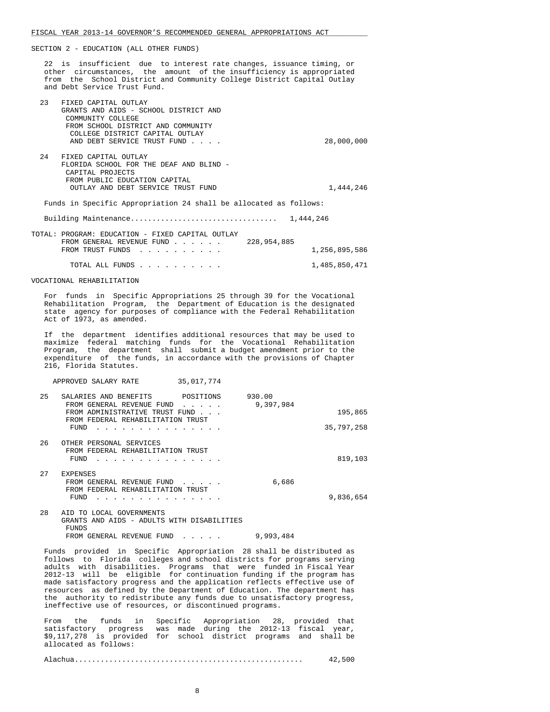22 is insufficient due to interest rate changes, issuance timing, or other circumstances, the amount of the insufficiency is appropriated from the School District and Community College District Capital Outlay and Debt Service Trust Fund.

| 23  | FIXED CAPITAL OUTLAY                                                                                         |               |
|-----|--------------------------------------------------------------------------------------------------------------|---------------|
|     | GRANTS AND AIDS - SCHOOL DISTRICT AND                                                                        |               |
|     | COMMUNITY COLLEGE                                                                                            |               |
|     | FROM SCHOOL DISTRICT AND COMMUNITY                                                                           |               |
|     | COLLEGE DISTRICT CAPITAL OUTLAY                                                                              |               |
|     | AND DEBT SERVICE TRUST FUND                                                                                  | 28,000,000    |
|     |                                                                                                              |               |
| 2.4 | FIXED CAPITAL OUTLAY                                                                                         |               |
|     | FLORIDA SCHOOL FOR THE DEAF AND BLIND -                                                                      |               |
|     | CAPITAL PROJECTS                                                                                             |               |
|     | FROM PUBLIC EDUCATION CAPITAL                                                                                |               |
|     | OUTLAY AND DEBT SERVICE TRUST FUND                                                                           | 1,444,246     |
|     |                                                                                                              |               |
|     | Funds in Specific Appropriation 24 shall be allocated as follows:                                            |               |
|     |                                                                                                              | 1,444,246     |
|     |                                                                                                              |               |
|     | TOTAL: PROGRAM: EDUCATION - FIXED CAPITAL OUTLAY                                                             |               |
|     | 228,954,885<br>FROM GENERAL REVENUE FUND                                                                     |               |
|     | FROM TRUST FUNDS<br>$\mathbf{r}$ , and $\mathbf{r}$ , and $\mathbf{r}$ , and $\mathbf{r}$ , and $\mathbf{r}$ | 1,256,895,586 |
|     |                                                                                                              |               |

TOTAL ALL FUNDS . . . . . . . . . . 1,485,850,471

VOCATIONAL REHABILITATION

 For funds in Specific Appropriations 25 through 39 for the Vocational Rehabilitation Program, the Department of Education is the designated state agency for purposes of compliance with the Federal Rehabilitation Act of 1973, as amended.

 If the department identifies additional resources that may be used to maximize federal matching funds for the Vocational Rehabilitation Program, the department shall submit a budget amendment prior to the expenditure of the funds, in accordance with the provisions of Chapter 216, Florida Statutes.

APPROVED SALARY RATE 35,017,774

| 25 | POSITIONS<br>SALARIES AND BENEFITS                                                                                                                       | 930.00    |                       |
|----|----------------------------------------------------------------------------------------------------------------------------------------------------------|-----------|-----------------------|
|    | FROM GENERAL REVENUE FUND<br>FROM ADMINISTRATIVE TRUST FUND.<br>FROM FEDERAL REHABILITATION TRUST                                                        | 9,397,984 | 195,865<br>35,797,258 |
|    | FUND                                                                                                                                                     |           |                       |
| 26 | OTHER PERSONAL SERVICES<br>FROM FEDERAL REHABILITATION TRUST<br>FUND                                                                                     |           | 819,103               |
| 27 | <b>EXPENSES</b><br>FROM GENERAL REVENUE FUND<br>FROM FEDERAL REHABILITATION TRUST<br>FUND                                                                | 6,686     | 9,836,654             |
| 28 | AID TO LOCAL GOVERNMENTS<br>GRANTS AND AIDS - ADULTS WITH DISABILITIES<br>FUNDS                                                                          |           |                       |
|    | FROM GENERAL REVENUE FUND<br>$\bullet$ .<br><br><br><br><br><br><br><br><br><br><br><br><br><br><br><br><br><br><br><br><br><br><br><br><br><br><br><br> | 9,993,484 |                       |

 Funds provided in Specific Appropriation 28 shall be distributed as follows to Florida colleges and school districts for programs serving adults with disabilities. Programs that were funded in Fiscal Year 2012-13 will be eligible for continuation funding if the program has made satisfactory progress and the application reflects effective use of resources as defined by the Department of Education. The department has the authority to redistribute any funds due to unsatisfactory progress, ineffective use of resources, or discontinued programs.

 From the funds in Specific Appropriation 28, provided that satisfactory progress was made during the 2012-13 fiscal year, \$9,117,278 is provided for school district programs and shall be allocated as follows:

Alachua..................................................... 42,500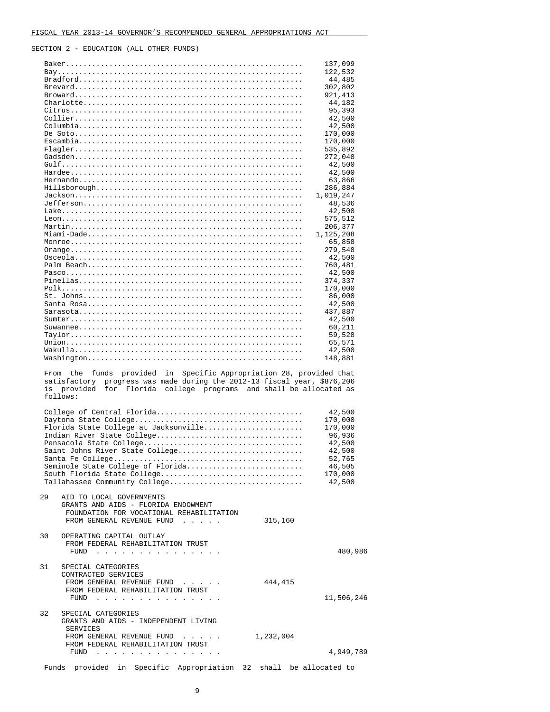|                      |                                                                                                                                                          | 137,099<br>122,532    |
|----------------------|----------------------------------------------------------------------------------------------------------------------------------------------------------|-----------------------|
|                      |                                                                                                                                                          | 44,485                |
|                      |                                                                                                                                                          | 302,802               |
|                      |                                                                                                                                                          | 921, 413              |
|                      |                                                                                                                                                          | 44,182                |
|                      |                                                                                                                                                          | 95,393                |
|                      |                                                                                                                                                          | 42,500                |
|                      |                                                                                                                                                          | 42,500                |
|                      |                                                                                                                                                          | 170,000               |
|                      |                                                                                                                                                          | 170,000               |
|                      |                                                                                                                                                          | 535,892               |
|                      |                                                                                                                                                          | 272,048               |
|                      |                                                                                                                                                          | 42,500                |
|                      |                                                                                                                                                          | 42,500                |
|                      |                                                                                                                                                          | 63,866                |
|                      |                                                                                                                                                          | 286,884               |
|                      |                                                                                                                                                          | 1,019,247             |
|                      |                                                                                                                                                          | 48,536                |
|                      |                                                                                                                                                          | 42,500                |
|                      |                                                                                                                                                          | 575,512               |
|                      |                                                                                                                                                          | 206,377               |
|                      |                                                                                                                                                          | 1,125,208             |
|                      |                                                                                                                                                          | 65,858                |
|                      |                                                                                                                                                          | 279,548               |
|                      |                                                                                                                                                          | 42,500                |
|                      |                                                                                                                                                          | 760,481               |
|                      |                                                                                                                                                          | 42,500                |
|                      |                                                                                                                                                          | 374,337               |
|                      |                                                                                                                                                          | 170,000               |
|                      |                                                                                                                                                          | 86,000                |
|                      |                                                                                                                                                          | 42,500                |
|                      |                                                                                                                                                          |                       |
|                      |                                                                                                                                                          | 437,887<br>42,500     |
|                      |                                                                                                                                                          | 60,211                |
|                      |                                                                                                                                                          |                       |
|                      |                                                                                                                                                          | 59,528<br>65,571      |
|                      |                                                                                                                                                          |                       |
|                      |                                                                                                                                                          |                       |
|                      | provided in Specific Appropriation 28, provided that<br>From the<br>funds<br>progress was made during the 2012-13 fiscal year, \$876,206<br>satisfactory | 42,500<br>148,881     |
|                      | for Florida college programs and shall be allocated as<br>is provided<br>follows:                                                                        |                       |
|                      |                                                                                                                                                          |                       |
|                      | College of Central Florida                                                                                                                               | 42,500                |
|                      |                                                                                                                                                          | 170,000               |
|                      | Florida State College at Jacksonville                                                                                                                    | 170,000               |
|                      |                                                                                                                                                          | 96,936                |
|                      |                                                                                                                                                          | 42,500                |
|                      | Saint Johns River State College                                                                                                                          | 42,500                |
|                      | Seminole State College of Florida                                                                                                                        | 52,765<br>46,505      |
|                      |                                                                                                                                                          | 170,000               |
|                      | South Florida State College<br>Tallahassee Community College                                                                                             | 42,500                |
|                      | AID TO LOCAL GOVERNMENTS<br>GRANTS AND AIDS - FLORIDA ENDOWMENT<br>FOUNDATION FOR VOCATIONAL REHABILITATION                                              |                       |
|                      | FROM GENERAL REVENUE FUND<br>315,160                                                                                                                     |                       |
|                      | OPERATING CAPITAL OUTLAY<br>FROM FEDERAL REHABILITATION TRUST<br>FUND $\cdots$                                                                           |                       |
|                      | SPECIAL CATEGORIES<br>CONTRACTED SERVICES<br>444,415<br>FROM GENERAL REVENUE FUND<br>FROM FEDERAL REHABILITATION TRUST                                   |                       |
|                      | FUND $\cdots$ $\cdots$ $\cdots$ $\cdots$ $\cdots$ $\cdots$ $\cdots$<br>SPECIAL CATEGORIES<br>GRANTS AND AIDS - INDEPENDENT LIVING                        |                       |
|                      | <b>SERVICES</b><br>FROM GENERAL REVENUE FUND<br>1,232,004<br>FROM FEDERAL REHABILITATION TRUST                                                           | 480,986<br>11,506,246 |
| 29<br>30<br>31<br>32 |                                                                                                                                                          |                       |
|                      | FUND                                                                                                                                                     | 4,949,789             |

9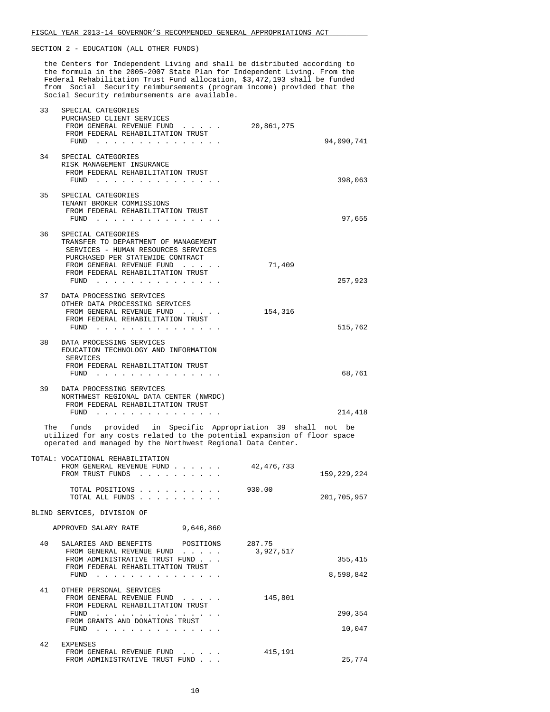the Centers for Independent Living and shall be distributed according to the formula in the 2005-2007 State Plan for Independent Living. From the Federal Rehabilitation Trust Fund allocation, \$3,472,193 shall be funded from Social Security reimbursements (program income) provided that the Social Security reimbursements are available.

| 33 | SPECIAL CATEGORIES<br>PURCHASED CLIENT SERVICES<br>FROM GENERAL REVENUE FUND<br>FROM FEDERAL REHABILITATION TRUST<br>${\tt FUND} \quad . \quad . \quad . \quad . \quad . \quad . \quad . \quad . \quad . \quad . \quad . \quad . \quad .$                                 | 20,861,275<br>94,090,741                    |
|----|---------------------------------------------------------------------------------------------------------------------------------------------------------------------------------------------------------------------------------------------------------------------------|---------------------------------------------|
|    |                                                                                                                                                                                                                                                                           |                                             |
| 34 | SPECIAL CATEGORIES<br>RISK MANAGEMENT INSURANCE<br>FROM FEDERAL REHABILITATION TRUST<br>FUND                                                                                                                                                                              | 398,063                                     |
| 35 | SPECIAL CATEGORIES<br>TENANT BROKER COMMISSIONS<br>FROM FEDERAL REHABILITATION TRUST<br>FUND $\cdots$                                                                                                                                                                     | 97,655                                      |
| 36 | SPECIAL CATEGORIES<br>TRANSFER TO DEPARTMENT OF MANAGEMENT<br>SERVICES - HUMAN RESOURCES SERVICES<br>PURCHASED PER STATEWIDE CONTRACT<br>FROM GENERAL REVENUE FUND<br>FROM FEDERAL REHABILITATION TRUST<br>FUND $\cdots$                                                  | 71,409<br>257,923                           |
|    |                                                                                                                                                                                                                                                                           |                                             |
| 37 | DATA PROCESSING SERVICES<br>OTHER DATA PROCESSING SERVICES<br>FROM GENERAL REVENUE FUND<br>FROM FEDERAL REHABILITATION TRUST<br>FUND                                                                                                                                      | 154,316<br>515,762                          |
| 38 | DATA PROCESSING SERVICES<br>EDUCATION TECHNOLOGY AND INFORMATION<br>SERVICES<br>FROM FEDERAL REHABILITATION TRUST<br>FUND<br>and a series of the contract of the                                                                                                          | 68,761                                      |
| 39 | DATA PROCESSING SERVICES<br>NORTHWEST REGIONAL DATA CENTER (NWRDC)<br>FROM FEDERAL REHABILITATION TRUST<br>FUND $\cdots$                                                                                                                                                  | 214,418                                     |
|    | The funds provided in Specific Appropriation 39 shall not be<br>utilized for any costs related to the potential expansion of floor space<br>operated and managed by the Northwest Regional Data Center.                                                                   |                                             |
|    | TOTAL: VOCATIONAL REHABILITATION                                                                                                                                                                                                                                          |                                             |
|    | FROM GENERAL REVENUE FUND<br>FROM TRUST FUNDS                                                                                                                                                                                                                             | 42,476,733<br>159,229,224                   |
|    | TOTAL POSITIONS<br>TOTAL ALL FUNDS                                                                                                                                                                                                                                        | 930.00<br>201,705,957                       |
|    | BLIND SERVICES, DIVISION OF                                                                                                                                                                                                                                               |                                             |
|    | APPROVED SALARY RATE<br>9,646,860                                                                                                                                                                                                                                         |                                             |
| 40 | SALARIES AND BENEFITS<br>POSITIONS<br>FROM GENERAL REVENUE FUND<br>FROM ADMINISTRATIVE TRUST FUND<br>FROM FEDERAL REHABILITATION TRUST<br>FUND<br>the contract of the contract of the contract of the contract of the contract of the contract of the contract of         | 287.75<br>3,927,517<br>355,415<br>8,598,842 |
| 41 |                                                                                                                                                                                                                                                                           |                                             |
|    | OTHER PERSONAL SERVICES<br>FROM GENERAL REVENUE FUND<br>FROM FEDERAL REHABILITATION TRUST                                                                                                                                                                                 | 145,801                                     |
|    | FUND<br>the contract of the contract of the contract of the contract of the contract of the contract of the contract of the contract of the contract of the contract of the contract of the contract of the contract of the contract o<br>FROM GRANTS AND DONATIONS TRUST | 290,354                                     |
|    | FUND $\ldots$ $\ldots$ $\ldots$ $\ldots$ $\ldots$ $\ldots$ $\ldots$                                                                                                                                                                                                       | 10,047                                      |

| 42 | EXPENSES                       |         |
|----|--------------------------------|---------|
|    | FROM GENERAL REVENUE FUND      | 415,191 |
|    | FROM ADMINISTRATIVE TRUST FUND | 25,774  |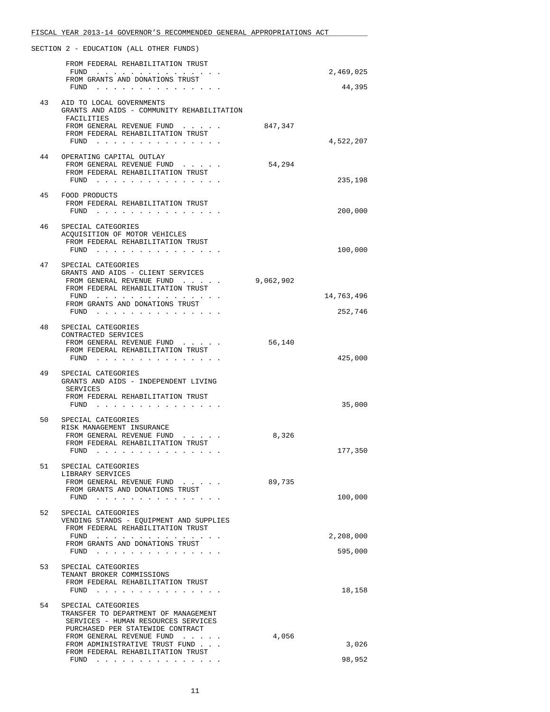|    | FISCAL YEAR 2013-14 GOVERNOR'S RECOMMENDED GENERAL APPROPRIATIONS ACT                                                |           |            |
|----|----------------------------------------------------------------------------------------------------------------------|-----------|------------|
|    | SECTION 2 - EDUCATION (ALL OTHER FUNDS)                                                                              |           |            |
|    | FROM FEDERAL REHABILITATION TRUST                                                                                    |           |            |
|    | FUND<br>FROM GRANTS AND DONATIONS TRUST                                                                              |           | 2,469,025  |
|    | FUND                                                                                                                 |           | 44,395     |
| 43 | AID TO LOCAL GOVERNMENTS<br>GRANTS AND AIDS - COMMUNITY REHABILITATION<br>FACILITIES                                 |           |            |
|    | FROM GENERAL REVENUE FUND                                                                                            | 847,347   |            |
|    | FROM FEDERAL REHABILITATION TRUST<br>FUND                                                                            |           | 4,522,207  |
|    |                                                                                                                      |           |            |
| 44 | OPERATING CAPITAL OUTLAY<br>FROM GENERAL REVENUE FUND                                                                | 54,294    |            |
|    | FROM FEDERAL REHABILITATION TRUST                                                                                    |           |            |
|    | FUND $\cdots$                                                                                                        |           | 235,198    |
| 45 | FOOD PRODUCTS                                                                                                        |           |            |
|    | FROM FEDERAL REHABILITATION TRUST<br>FUND                                                                            |           | 200,000    |
|    |                                                                                                                      |           |            |
| 46 | SPECIAL CATEGORIES<br>ACOUISITION OF MOTOR VEHICLES                                                                  |           |            |
|    | FROM FEDERAL REHABILITATION TRUST                                                                                    |           |            |
|    | FUND $\cdots$                                                                                                        |           | 100,000    |
| 47 | SPECIAL CATEGORIES                                                                                                   |           |            |
|    | GRANTS AND AIDS - CLIENT SERVICES                                                                                    |           |            |
|    | FROM GENERAL REVENUE FUND<br>FROM FEDERAL REHABILITATION TRUST                                                       | 9,062,902 |            |
|    | FUND                                                                                                                 |           | 14,763,496 |
|    | FROM GRANTS AND DONATIONS TRUST<br>FUND $\cdots$                                                                     |           | 252,746    |
|    |                                                                                                                      |           |            |
| 48 | SPECIAL CATEGORIES<br>CONTRACTED SERVICES                                                                            |           |            |
|    | FROM GENERAL REVENUE FUND                                                                                            | 56,140    |            |
|    | FROM FEDERAL REHABILITATION TRUST<br>FUND $\cdots$                                                                   |           | 425,000    |
|    |                                                                                                                      |           |            |
| 49 | SPECIAL CATEGORIES<br>GRANTS AND AIDS - INDEPENDENT LIVING<br>SERVICES                                               |           |            |
|    | FROM FEDERAL REHABILITATION TRUST                                                                                    |           |            |
|    | FUND                                                                                                                 |           | 35,000     |
| 50 | SPECIAL CATEGORIES                                                                                                   |           |            |
|    | RISK MANAGEMENT INSURANCE<br>FROM GENERAL REVENUE FUND                                                               | 8,326     |            |
|    | FROM FEDERAL REHABILITATION TRUST                                                                                    |           |            |
|    | FUND                                                                                                                 |           | 177,350    |
| 51 | SPECIAL CATEGORIES                                                                                                   |           |            |
|    | LIBRARY SERVICES<br>FROM GENERAL REVENUE FUND                                                                        | 89,735    |            |
|    | FROM GRANTS AND DONATIONS TRUST                                                                                      |           |            |
|    | ${\tt FUND} \quad . \quad . \quad . \quad . \quad . \quad . \quad . \quad . \quad . \quad . \quad . \quad . \quad .$ |           | 100,000    |
| 52 | SPECIAL CATEGORIES                                                                                                   |           |            |
|    | VENDING STANDS - EOUIPMENT AND SUPPLIES<br>FROM FEDERAL REHABILITATION TRUST                                         |           |            |
|    | FUND                                                                                                                 |           | 2,208,000  |
|    | FROM GRANTS AND DONATIONS TRUST<br>FUND                                                                              |           | 595,000    |
|    |                                                                                                                      |           |            |
| 53 | SPECIAL CATEGORIES<br>TENANT BROKER COMMISSIONS                                                                      |           |            |
|    | FROM FEDERAL REHABILITATION TRUST                                                                                    |           |            |
|    | FUND $\cdots$                                                                                                        |           | 18,158     |
| 54 | SPECIAL CATEGORIES                                                                                                   |           |            |
|    | TRANSFER TO DEPARTMENT OF MANAGEMENT<br>SERVICES - HUMAN RESOURCES SERVICES                                          |           |            |
|    | PURCHASED PER STATEWIDE CONTRACT                                                                                     |           |            |
|    | FROM GENERAL REVENUE FUND<br>FROM ADMINISTRATIVE TRUST FUND                                                          | 4,056     | 3,026      |
|    | FROM FEDERAL REHABILITATION TRUST                                                                                    |           |            |
|    | FUND $\cdots$                                                                                                        |           | 98,952     |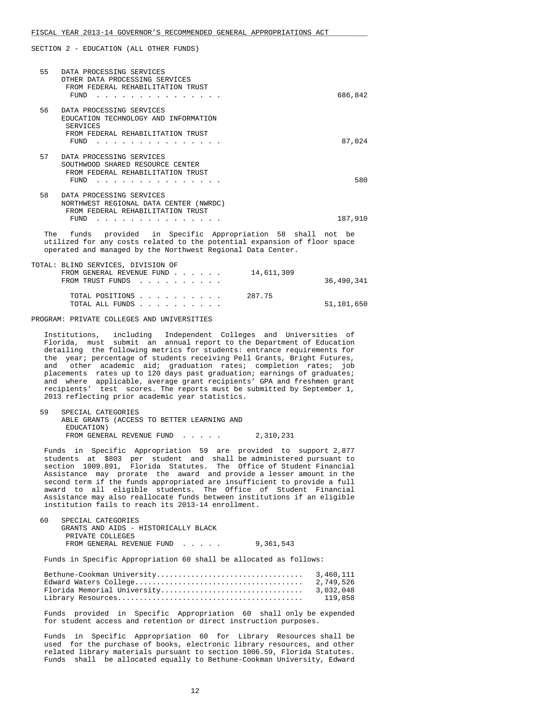| 55 | DATA PROCESSING SERVICES<br>OTHER DATA PROCESSING SERVICES<br>FROM FEDERAL REHABILITATION TRUST<br>FUND                   | 686,842 |
|----|---------------------------------------------------------------------------------------------------------------------------|---------|
| 56 | DATA PROCESSING SERVICES<br>EDUCATION TECHNOLOGY AND INFORMATION<br>SERVICES<br>FROM FEDERAL REHABILITATION TRUST<br>FUND | 87,024  |
| 57 | DATA PROCESSING SERVICES<br>SOUTHWOOD SHARED RESOURCE CENTER<br>FROM FEDERAL REHABILITATION TRUST<br>FUND                 | 580     |
| 58 | DATA PROCESSING SERVICES<br>NORTHWEST REGIONAL DATA CENTER (NWRDC)<br>FROM FEDERAL REHABILITATION TRUST<br>FUND           | 187,910 |

 The funds provided in Specific Appropriation 58 shall not be utilized for any costs related to the potential expansion of floor space operated and managed by the Northwest Regional Data Center.

| TOTAL: BLIND SERVICES, DIVISION OF      |            |
|-----------------------------------------|------------|
| FROM GENERAL REVENUE FUND<br>14,611,309 |            |
| FROM TRUST FUNDS                        | 36,490,341 |
|                                         |            |
| 287.75<br>TOTAL POSITIONS               |            |
| TOTAL ALL FUNDS                         | 51,101,650 |
|                                         |            |

PROGRAM: PRIVATE COLLEGES AND UNIVERSITIES

 Institutions, including Independent Colleges and Universities of Florida, must submit an annual report to the Department of Education detailing the following metrics for students: entrance requirements for the year; percentage of students receiving Pell Grants, Bright Futures, and other academic aid; graduation rates; completion rates; job placements rates up to 120 days past graduation; earnings of graduates; and where applicable, average grant recipients' GPA and freshmen grant recipients' test scores. The reports must be submitted by September 1, 2013 reflecting prior academic year statistics.

```
 59 SPECIAL CATEGORIES 
ABLE GRANTS (ACCESS TO BETTER LEARNING AND 
 EDUCATION) 
FROM GENERAL REVENUE FUND . . . . . 2,310,231
```
 Funds in Specific Appropriation 59 are provided to support 2,877 students at \$803 per student and shall be administered pursuant to section 1009.891, Florida Statutes. The Office of Student Financial Assistance may prorate the award and provide a lesser amount in the second term if the funds appropriated are insufficient to provide a full award to all eligible students. The Office of Student Financial Assistance may also reallocate funds between institutions if an eligible institution fails to reach its 2013-14 enrollment.

| 60. | SPECIAL CATEGORIES                   |           |
|-----|--------------------------------------|-----------|
|     | GRANTS AND AIDS - HISTORICALLY BLACK |           |
|     | PRIVATE COLLEGES                     |           |
|     | FROM GENERAL REVENUE FUND            | 9,361,543 |

Funds in Specific Appropriation 60 shall be allocated as follows:

| 119.858 |
|---------|

 Funds provided in Specific Appropriation 60 shall only be expended for student access and retention or direct instruction purposes.

 Funds in Specific Appropriation 60 for Library Resources shall be used for the purchase of books, electronic library resources, and other related library materials pursuant to section 1006.59, Florida Statutes. Funds shall be allocated equally to Bethune-Cookman University, Edward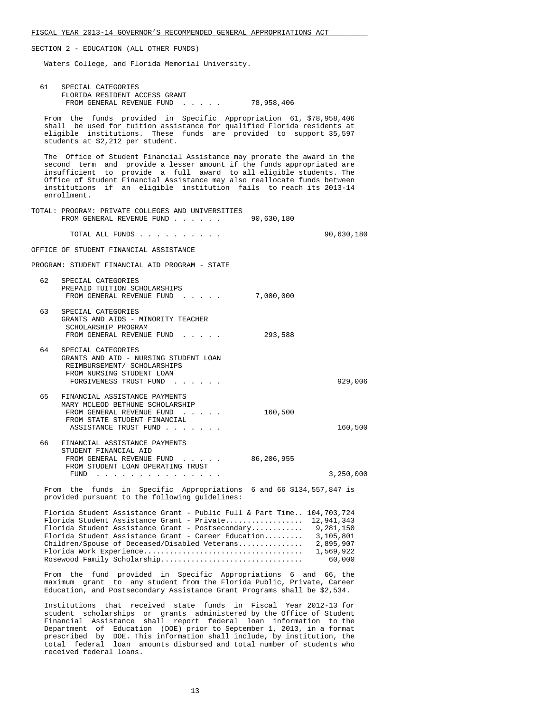Waters College, and Florida Memorial University.

| 61 | SPECIAL CATEGORIES<br>FLORIDA RESIDENT ACCESS GRANT                                                                                                                                                                                                                                                                                                                                     |                                                                          |
|----|-----------------------------------------------------------------------------------------------------------------------------------------------------------------------------------------------------------------------------------------------------------------------------------------------------------------------------------------------------------------------------------------|--------------------------------------------------------------------------|
|    | FROM GENERAL REVENUE FUND 78,958,406                                                                                                                                                                                                                                                                                                                                                    |                                                                          |
|    | From the funds provided in Specific Appropriation 61, \$78,958,406<br>shall be used for tuition assistance for qualified Florida residents at<br>eligible institutions. These funds are provided to support 35,597<br>students at \$2,212 per student.                                                                                                                                  |                                                                          |
|    | The Office of Student Financial Assistance may prorate the award in the<br>second term and provide a lesser amount if the funds appropriated are<br>insufficient to provide a full award to all eligible students. The<br>Office of Student Financial Assistance may also reallocate funds between<br>institutions if an eligible institution fails to reach its 2013-14<br>enrollment. |                                                                          |
|    | TOTAL: PROGRAM: PRIVATE COLLEGES AND UNIVERSITIES<br>FROM GENERAL REVENUE FUND 90,630,180                                                                                                                                                                                                                                                                                               |                                                                          |
|    | TOTAL ALL FUNDS                                                                                                                                                                                                                                                                                                                                                                         | 90,630,180                                                               |
|    | OFFICE OF STUDENT FINANCIAL ASSISTANCE                                                                                                                                                                                                                                                                                                                                                  |                                                                          |
|    | PROGRAM: STUDENT FINANCIAL AID PROGRAM - STATE                                                                                                                                                                                                                                                                                                                                          |                                                                          |
| 62 | SPECIAL CATEGORIES<br>PREPAID TUITION SCHOLARSHIPS<br>FROM GENERAL REVENUE FUND 7,000,000                                                                                                                                                                                                                                                                                               |                                                                          |
| 63 | SPECIAL CATEGORIES<br>GRANTS AND AIDS - MINORITY TEACHER<br>SCHOLARSHIP PROGRAM<br>FROM GENERAL REVENUE FUND 293,588                                                                                                                                                                                                                                                                    |                                                                          |
| 64 | SPECIAL CATEGORIES<br>GRANTS AND AID - NURSING STUDENT LOAN<br>REIMBURSEMENT/ SCHOLARSHIPS<br>FROM NURSING STUDENT LOAN<br>FORGIVENESS TRUST FUND                                                                                                                                                                                                                                       | 929,006                                                                  |
| 65 | FINANCIAL ASSISTANCE PAYMENTS<br>MARY MCLEOD BETHUNE SCHOLARSHIP<br>FROM GENERAL REVENUE FUND<br>FROM STATE STUDENT FINANCIAL<br>ASSISTANCE TRUST FUND                                                                                                                                                                                                                                  | 160,500<br>160,500                                                       |
| 66 | FINANCIAL ASSISTANCE PAYMENTS<br>STUDENT FINANCIAL AID<br>FROM GENERAL REVENUE FUND 86,206,955<br>FROM STUDENT LOAN OPERATING TRUST<br>FUND                                                                                                                                                                                                                                             | 3,250,000                                                                |
|    | From the funds in Specific Appropriations 6 and 66 \$134,557,847 is<br>provided pursuant to the following guidelines:                                                                                                                                                                                                                                                                   |                                                                          |
|    | Florida Student Assistance Grant - Public Full & Part Time 104,703,724<br>Florida Student Assistance Grant - Private<br>Florida Student Assistance Grant - Postsecondary<br>Florida Student Assistance Grant - Career Education<br>Children/Spouse of Deceased/Disabled Veterans<br>Rosewood Family Scholarship<br>From the fund provided in Specific Appropriations 6 and 66, the      | 12,941,343<br>9,281,150<br>3,105,801<br>2,895,907<br>1,569,922<br>60,000 |
|    | maximum grant to any student from the Florida Public, Private, Career<br>Education, and Postsecondary Assistance Grant Programs shall be \$2,534.                                                                                                                                                                                                                                       |                                                                          |

 Institutions that received state funds in Fiscal Year 2012-13 for student scholarships or grants administered by the Office of Student Financial Assistance shall report federal loan information to the Department of Education (DOE) prior to September 1, 2013, in a format prescribed by DOE. This information shall include, by institution, the total federal loan amounts disbursed and total number of students who received federal loans.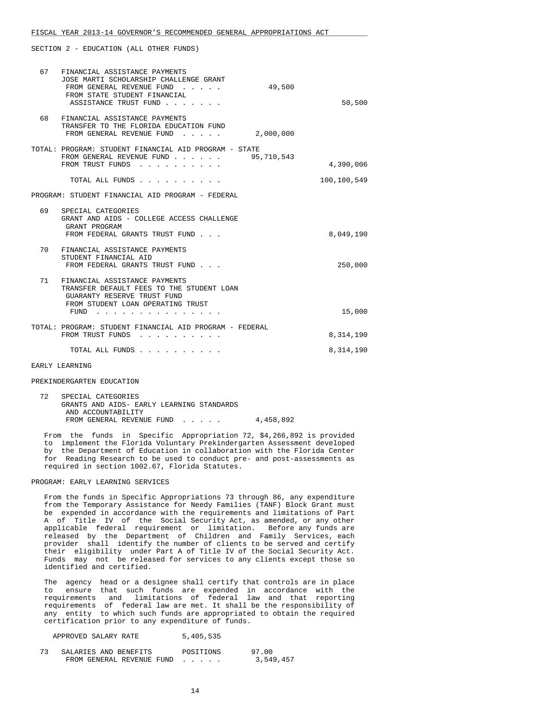| 67 | FINANCIAL ASSISTANCE PAYMENTS<br>JOSE MARTI SCHOLARSHIP CHALLENGE GRANT<br>FROM GENERAL REVENUE FUND<br>49,500<br>FROM STATE STUDENT FINANCIAL<br>ASSISTANCE TRUST FUND                                                                                          | 50,500      |
|----|------------------------------------------------------------------------------------------------------------------------------------------------------------------------------------------------------------------------------------------------------------------|-------------|
| 68 | FINANCIAL ASSISTANCE PAYMENTS<br>TRANSFER TO THE FLORIDA EDUCATION FUND<br>2,000,000<br>FROM GENERAL REVENUE FUND<br>$\sim$ $\sim$ $\sim$ $\sim$ $\sim$ $\sim$                                                                                                   |             |
|    | TOTAL: PROGRAM: STUDENT FINANCIAL AID PROGRAM - STATE<br>FROM GENERAL REVENUE FUND 95,710,543<br>FROM TRUST FUNDS<br>.                                                                                                                                           | 4,390,006   |
|    | TOTAL ALL FUNDS                                                                                                                                                                                                                                                  | 100,100,549 |
|    | PROGRAM: STUDENT FINANCIAL AID PROGRAM - FEDERAL                                                                                                                                                                                                                 |             |
| 69 | SPECIAL CATEGORIES<br>GRANT AND AIDS - COLLEGE ACCESS CHALLENGE<br>GRANT PROGRAM<br>FROM FEDERAL GRANTS TRUST FUND                                                                                                                                               | 8,049,190   |
| 70 | FINANCIAL ASSISTANCE PAYMENTS<br>STUDENT FINANCIAL AID<br>FROM FEDERAL GRANTS TRUST FUND                                                                                                                                                                         | 250,000     |
| 71 | FINANCIAL ASSISTANCE PAYMENTS<br>TRANSFER DEFAULT FEES TO THE STUDENT LOAN<br>GUARANTY RESERVE TRUST FUND<br>FROM STUDENT LOAN OPERATING TRUST<br>FUND<br>$\cdots$<br>$\mathbf{r} = \mathbf{r} + \mathbf{r} + \mathbf{r} + \mathbf{r} + \mathbf{r} + \mathbf{r}$ | 15,000      |
|    | TOTAL: PROGRAM: STUDENT FINANCIAL AID PROGRAM - FEDERAL<br>FROM TRUST FUNDS<br>.                                                                                                                                                                                 | 8,314,190   |
|    | TOTAL ALL FUNDS                                                                                                                                                                                                                                                  | 8,314,190   |

#### EARLY LEARNING

#### PREKINDERGARTEN EDUCATION

| SPECIAL CATEGORIES                        |           |
|-------------------------------------------|-----------|
| GRANTS AND AIDS- EARLY LEARNING STANDARDS |           |
| AND ACCOUNTABILITY                        |           |
| FROM GENERAL REVENUE FUND                 | 4,458,892 |

 From the funds in Specific Appropriation 72, \$4,266,892 is provided to implement the Florida Voluntary Prekindergarten Assessment developed by the Department of Education in collaboration with the Florida Center for Reading Research to be used to conduct pre- and post-assessments as required in section 1002.67, Florida Statutes.

# PROGRAM: EARLY LEARNING SERVICES

 From the funds in Specific Appropriations 73 through 86, any expenditure from the Temporary Assistance for Needy Families (TANF) Block Grant must be expended in accordance with the requirements and limitations of Part A of Title IV of the Social Security Act, as amended, or any other applicable federal requirement or limitation. Before any funds are released by the Department of Children and Family Services, each provider shall identify the number of clients to be served and certify their eligibility under Part A of Title IV of the Social Security Act. Funds may not be released for services to any clients except those so identified and certified.

 The agency head or a designee shall certify that controls are in place to ensure that such funds are expended in accordance with the requirements and limitations of federal law and that reporting requirements of federal law are met. It shall be the responsibility of any entity to which such funds are appropriated to obtain the required certification prior to any expenditure of funds.

| 5,405,535<br>APPROVED SALARY RATE |  |
|-----------------------------------|--|
|-----------------------------------|--|

| SALARIES AND BENEFITS     | POSITIONS | 97.00     |
|---------------------------|-----------|-----------|
| FROM GENERAL REVENUE FUND |           | 3,549,457 |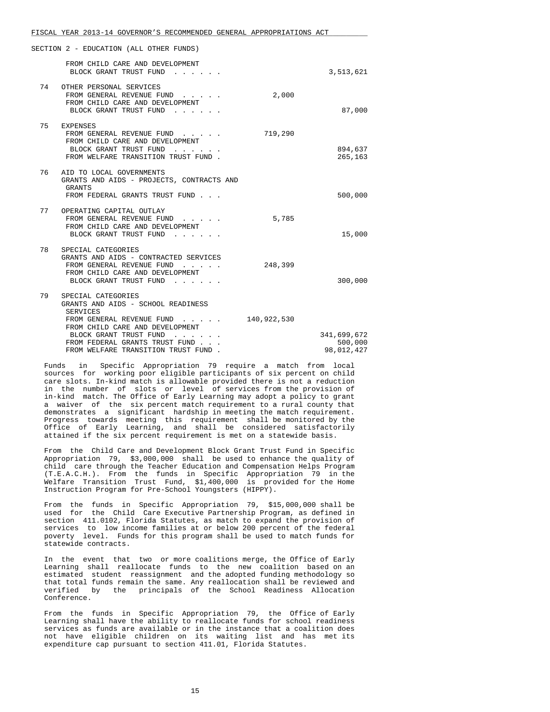|    | SECTION 2 - EDUCATION (ALL OTHER FUNDS)                                                                                                                                                                                                        |             |                                      |
|----|------------------------------------------------------------------------------------------------------------------------------------------------------------------------------------------------------------------------------------------------|-------------|--------------------------------------|
|    | FROM CHILD CARE AND DEVELOPMENT<br>BLOCK GRANT TRUST FUND                                                                                                                                                                                      |             | 3,513,621                            |
| 74 | OTHER PERSONAL SERVICES<br>FROM GENERAL REVENUE FUND<br>FROM CHILD CARE AND DEVELOPMENT<br>BLOCK GRANT TRUST FUND                                                                                                                              | 2,000       | 87,000                               |
| 75 | EXPENSES<br>FROM GENERAL REVENUE FUND<br>FROM CHILD CARE AND DEVELOPMENT<br>BLOCK GRANT TRUST FUND<br>FROM WELFARE TRANSITION TRUST FUND.                                                                                                      | 719,290     | 894,637<br>265,163                   |
| 76 | AID TO LOCAL GOVERNMENTS<br>GRANTS AND AIDS - PROJECTS, CONTRACTS AND<br><b>GRANTS</b><br>FROM FEDERAL GRANTS TRUST FUND                                                                                                                       |             | 500,000                              |
| 77 | OPERATING CAPITAL OUTLAY<br>FROM GENERAL REVENUE FUND<br>FROM CHILD CARE AND DEVELOPMENT<br>BLOCK GRANT TRUST FUND                                                                                                                             | 5,785       | 15,000                               |
| 78 | SPECIAL CATEGORIES<br>GRANTS AND AIDS - CONTRACTED SERVICES<br>FROM GENERAL REVENUE FUND<br>FROM CHILD CARE AND DEVELOPMENT<br>BLOCK GRANT TRUST FUND                                                                                          | 248,399     | 300,000                              |
| 79 | SPECIAL CATEGORIES<br>GRANTS AND AIDS - SCHOOL READINESS<br><b>SERVICES</b><br>FROM GENERAL REVENUE FUND<br>FROM CHILD CARE AND DEVELOPMENT<br>BLOCK GRANT TRUST FUND<br>FROM FEDERAL GRANTS TRUST FUND<br>FROM WELFARE TRANSITION TRUST FUND. | 140,922,530 | 341,699,672<br>500,000<br>98,012,427 |

 Funds in Specific Appropriation 79 require a match from local sources for working poor eligible participants of six percent on child care slots. In-kind match is allowable provided there is not a reduction in the number of slots or level of services from the provision of in-kind match. The Office of Early Learning may adopt a policy to grant a waiver of the six percent match requirement to a rural county that demonstrates a significant hardship in meeting the match requirement. Progress towards meeting this requirement shall be monitored by the Office of Early Learning, and shall be considered satisfactorily attained if the six percent requirement is met on a statewide basis.

 From the Child Care and Development Block Grant Trust Fund in Specific Appropriation 79, \$3,000,000 shall be used to enhance the quality of child care through the Teacher Education and Compensation Helps Program (T.E.A.C.H.). From the funds in Specific Appropriation 79 in the Welfare Transition Trust Fund, \$1,400,000 is provided for the Home Instruction Program for Pre-School Youngsters (HIPPY).

 From the funds in Specific Appropriation 79, \$15,000,000 shall be used for the Child Care Executive Partnership Program, as defined in section 411.0102, Florida Statutes, as match to expand the provision of services to low income families at or below 200 percent of the federal poverty level. Funds for this program shall be used to match funds for statewide contracts.

 In the event that two or more coalitions merge, the Office of Early Learning shall reallocate funds to the new coalition based on an estimated student reassignment and the adopted funding methodology so that total funds remain the same. Any reallocation shall be reviewed and verified by the principals of the School Readiness Allocation Conference.

 From the funds in Specific Appropriation 79, the Office of Early Learning shall have the ability to reallocate funds for school readiness services as funds are available or in the instance that a coalition does not have eligible children on its waiting list and has met its expenditure cap pursuant to section 411.01, Florida Statutes.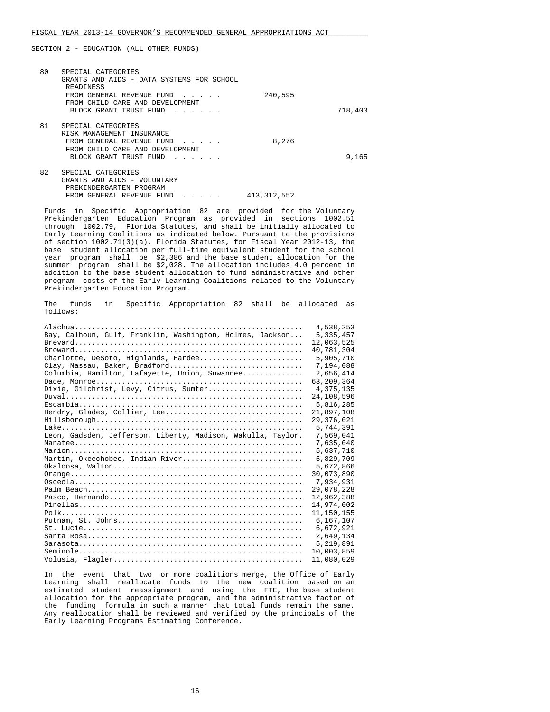| 80 | SPECIAL CATEGORIES<br>GRANTS AND AIDS - DATA SYSTEMS FOR SCHOOL<br>READINESS<br>FROM GENERAL REVENUE FUND<br>FROM CHILD CARE AND DEVELOPMENT<br>BLOCK GRANT TRUST FUND<br>$\mathbf{r}$ , $\mathbf{r}$ , $\mathbf{r}$ , $\mathbf{r}$ , $\mathbf{r}$ , $\mathbf{r}$ | 240,595       | 718,403 |
|----|-------------------------------------------------------------------------------------------------------------------------------------------------------------------------------------------------------------------------------------------------------------------|---------------|---------|
| 81 | SPECIAL CATEGORIES<br>RISK MANAGEMENT INSURANCE<br>FROM GENERAL REVENUE FUND<br>FROM CHILD CARE AND DEVELOPMENT<br>BLOCK GRANT TRUST FUND<br>.                                                                                                                    | 8,276         | 9,165   |
| 82 | SPECIAL CATEGORIES<br>GRANTS AND AIDS - VOLUNTARY<br>PREKINDERGARTEN PROGRAM<br>FROM GENERAL REVENUE FUND<br>$\begin{array}{cccccccccccccc} \bullet & \bullet & \bullet & \bullet & \bullet & \bullet & \bullet & \bullet \end{array}$                            | 413, 312, 552 |         |

 Funds in Specific Appropriation 82 are provided for the Voluntary Prekindergarten Education Program as provided in sections 1002.51 through 1002.79, Florida Statutes, and shall be initially allocated to Early Learning Coalitions as indicated below. Pursuant to the provisions of section 1002.71(3)(a), Florida Statutes, for Fiscal Year 2012-13, the base student allocation per full-time equivalent student for the school year program shall be \$2,386 and the base student allocation for the summer program shall be \$2,028. The allocation includes 4.0 percent in addition to the base student allocation to fund administrative and other program costs of the Early Learning Coalitions related to the Voluntary Prekindergarten Education Program.

 The funds in Specific Appropriation 82 shall be allocated as follows:

|                                                              | 4,538,253    |
|--------------------------------------------------------------|--------------|
| Bay, Calhoun, Gulf, Franklin, Washington, Holmes, Jackson    | 5,335,457    |
|                                                              | 12,063,525   |
|                                                              | 40,781,304   |
| Charlotte, DeSoto, Highlands, Hardee                         | 5,905,710    |
| Clay, Nassau, Baker, Bradford                                | 7,194,088    |
| Columbia, Hamilton, Lafayette, Union, Suwannee               | 2,656,414    |
|                                                              | 63,209,364   |
| Dixie, Gilchrist, Levy, Citrus, Sumter                       | 4, 375, 135  |
| $Duval$                                                      | 24,108,596   |
|                                                              | 5,816,285    |
| Hendry, Glades, Collier, Lee                                 | 21,897,108   |
|                                                              | 29, 376, 021 |
|                                                              | 5,744,391    |
| Leon, Gadsden, Jefferson, Liberty, Madison, Wakulla, Taylor. | 7,569,041    |
|                                                              | 7,635,040    |
|                                                              | 5,637,710    |
| Martin, Okeechobee, Indian River                             | 5,829,709    |
| $Okaloosa. Walton$                                           | 5,672,866    |
|                                                              | 30,073,890   |
|                                                              | 7,934,931    |
|                                                              | 29,078,228   |
|                                                              | 12,962,388   |
|                                                              | 14,974,002   |
|                                                              | 11,150,155   |
|                                                              | 6,167,107    |
|                                                              | 6,672,921    |
|                                                              | 2,649,134    |
|                                                              | 5,219,891    |
|                                                              | 10,003,859   |
|                                                              | 11,080,029   |
|                                                              |              |

 In the event that two or more coalitions merge, the Office of Early Learning shall reallocate funds to the new coalition based on an estimated student reassignment and using the FTE, the base student allocation for the appropriate program, and the administrative factor of the funding formula in such a manner that total funds remain the same. Any reallocation shall be reviewed and verified by the principals of the Early Learning Programs Estimating Conference.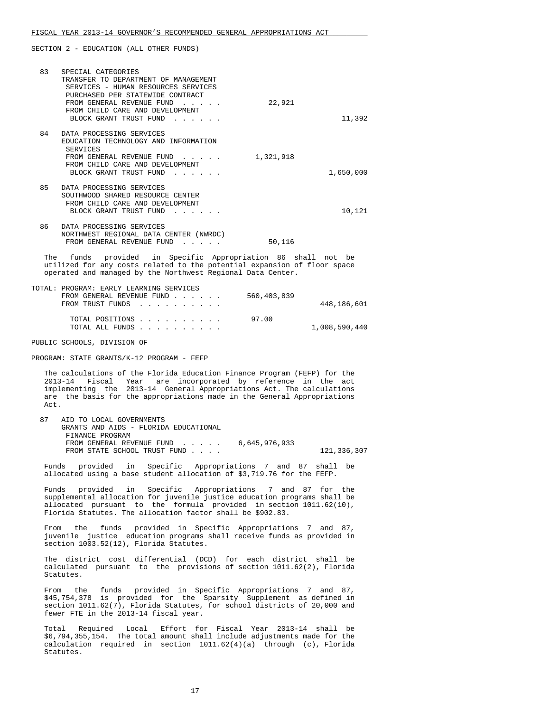| 83             | SPECIAL CATEGORIES<br>TRANSFER TO DEPARTMENT OF MANAGEMENT<br>SERVICES - HUMAN RESOURCES SERVICES<br>PURCHASED PER STATEWIDE CONTRACT<br>FROM GENERAL REVENUE FUND<br>and the state of the state of the state of<br>FROM CHILD CARE AND DEVELOPMENT<br>BLOCK GRANT TRUST FUND | 22,921    | 11,392    |
|----------------|-------------------------------------------------------------------------------------------------------------------------------------------------------------------------------------------------------------------------------------------------------------------------------|-----------|-----------|
| 84             | DATA PROCESSING SERVICES<br>EDUCATION TECHNOLOGY AND INFORMATION<br>SERVICES<br>FROM GENERAL REVENUE FUND<br>FROM CHILD CARE AND DEVELOPMENT<br>BLOCK GRANT TRUST FUND                                                                                                        | 1,321,918 | 1,650,000 |
| 85             | DATA PROCESSING SERVICES<br>SOUTHWOOD SHARED RESOURCE CENTER<br>FROM CHILD CARE AND DEVELOPMENT<br>BLOCK GRANT TRUST FUND                                                                                                                                                     |           | 10,121    |
| 86             | DATA PROCESSING SERVICES<br>NORTHWEST REGIONAL DATA CENTER (NWRDC)<br>FROM GENERAL REVENUE FUND                                                                                                                                                                               | 50,116    |           |
| $\mathsf{m}_h$ | funda provided in Creatfia Inprepriation Of aboll not be                                                                                                                                                                                                                      |           |           |

funds provided in Specific Appropriation 86 shall not be utilized for any costs related to the potential expansion of floor space operated and managed by the Northwest Regional Data Center.

| TOTAL: PROGRAM: EARLY LEARNING SERVICES |  |  |  |             |               |
|-----------------------------------------|--|--|--|-------------|---------------|
| FROM GENERAL REVENUE FUND               |  |  |  | 560,403,839 |               |
| FROM TRUST FUNDS                        |  |  |  |             | 448,186,601   |
| TOTAL POSITIONS                         |  |  |  | 97.00       |               |
| TOTAL ALL FUNDS                         |  |  |  |             | 1,008,590,440 |

PUBLIC SCHOOLS, DIVISION OF

PROGRAM: STATE GRANTS/K-12 PROGRAM - FEFP

 The calculations of the Florida Education Finance Program (FEFP) for the 2013-14 Fiscal Year are incorporated by reference in the act implementing the 2013-14 General Appropriations Act. The calculations are the basis for the appropriations made in the General Appropriations Act.

 87 AID TO LOCAL GOVERNMENTS GRANTS AND AIDS - FLORIDA EDUCATIONAL FINANCE PROGRAM FROM GENERAL REVENUE FUND . . . . . 6,645,976,933 FROM STATE SCHOOL TRUST FUND . . . . . 121,336,307

 Funds provided in Specific Appropriations 7 and 87 shall be allocated using a base student allocation of \$3,719.76 for the FEFP.

 Funds provided in Specific Appropriations 7 and 87 for the supplemental allocation for juvenile justice education programs shall be allocated pursuant to the formula provided in section 1011.62(10), Florida Statutes. The allocation factor shall be \$902.83.

 From the funds provided in Specific Appropriations 7 and 87, juvenile justice education programs shall receive funds as provided in section 1003.52(12), Florida Statutes.

 The district cost differential (DCD) for each district shall be calculated pursuant to the provisions of section 1011.62(2), Florida Statutes.

 From the funds provided in Specific Appropriations 7 and 87, \$45,754,378 is provided for the Sparsity Supplement as defined in section 1011.62(7), Florida Statutes, for school districts of 20,000 and fewer FTE in the 2013-14 fiscal year.

 Total Required Local Effort for Fiscal Year 2013-14 shall be \$6,794,355,154. The total amount shall include adjustments made for the calculation required in section 1011.62(4)(a) through (c), Florida Statutes.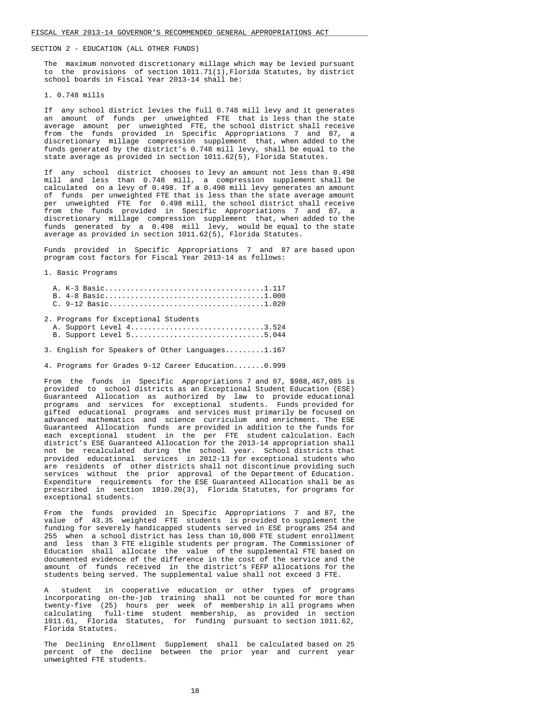The maximum nonvoted discretionary millage which may be levied pursuant to the provisions of section 1011.71(1),Florida Statutes, by district school boards in Fiscal Year 2013-14 shall be:

### 1. 0.748 mills

 If any school district levies the full 0.748 mill levy and it generates an amount of funds per unweighted FTE that is less than the state average amount per unweighted FTE, the school district shall receive from the funds provided in Specific Appropriations 7 and 87, a discretionary millage compression supplement that, when added to the funds generated by the district's 0.748 mill levy, shall be equal to the state average as provided in section 1011.62(5), Florida Statutes.

 If any school district chooses to levy an amount not less than 0.498 mill and less than 0.748 mill, a compression supplement shall be calculated on a levy of 0.498. If a 0.498 mill levy generates an amount of funds per unweighted FTE that is less than the state average amount per unweighted FTE for 0.498 mill, the school district shall receive from the funds provided in Specific Appropriations 7 and 87, a discretionary millage compression supplement that, when added to the funds generated by a 0.498 mill levy, would be equal to the state average as provided in section 1011.62(5), Florida Statutes.

 Funds provided in Specific Appropriations 7 and 87 are based upon program cost factors for Fiscal Year 2013-14 as follows:

1. Basic Programs

| 2. Programs for Exceptional Students |  |
|--------------------------------------|--|
| A. Support Level 43.524              |  |
| B. Support Level 55.044              |  |

3. English for Speakers of Other Languages.........1.167

4. Programs for Grades 9-12 Career Education.......0.999

 From the funds in Specific Appropriations 7 and 87, \$988,467,085 is provided to school districts as an Exceptional Student Education (ESE) Guaranteed Allocation as authorized by law to provide educational programs and services for exceptional students. Funds provided for gifted educational programs and services must primarily be focused on advanced mathematics and science curriculum and enrichment. The ESE Guaranteed Allocation funds are provided in addition to the funds for each exceptional student in the per FTE student calculation. Each district's ESE Guaranteed Allocation for the 2013-14 appropriation shall not be recalculated during the school year. School districts that provided educational services in 2012-13 for exceptional students who are residents of other districts shall not discontinue providing such services without the prior approval of the Department of Education. Expenditure requirements for the ESE Guaranteed Allocation shall be as prescribed in section 1010.20(3), Florida Statutes, for programs for exceptional students.

 From the funds provided in Specific Appropriations 7 and 87, the value of 43.35 weighted FTE students is provided to supplement the funding for severely handicapped students served in ESE programs 254 and 255 when a school district has less than 10,000 FTE student enrollment and less than 3 FTE eligible students per program. The Commissioner of Education shall allocate the value of the supplemental FTE based on documented evidence of the difference in the cost of the service and the amount of funds received in the district's FEFP allocations for the students being served. The supplemental value shall not exceed 3 FTE.

student in cooperative education or other types of programs incorporating on-the-job training shall not be counted for more than twenty-five (25) hours per week of membership in all programs when calculating full-time student membership, as provided in section 1011.61, Florida Statutes, for funding pursuant to section 1011.62, Florida Statutes.

 The Declining Enrollment Supplement shall be calculated based on 25 percent of the decline between the prior year and current year unweighted FTE students.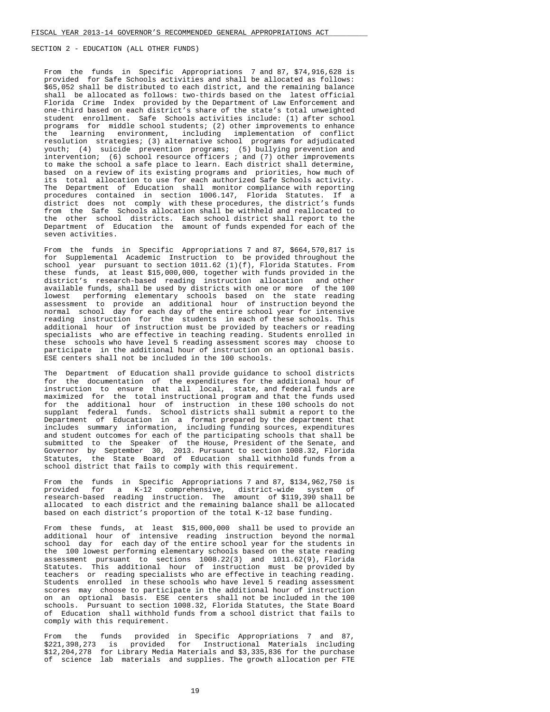From the funds in Specific Appropriations 7 and 87, \$74,916,628 is provided for Safe Schools activities and shall be allocated as follows: \$65,052 shall be distributed to each district, and the remaining balance shall be allocated as follows: two-thirds based on the latest official Florida Crime Index provided by the Department of Law Enforcement and one-third based on each district's share of the state's total unweighted student enrollment. Safe Schools activities include: (1) after school programs for middle school students; (2) other improvements to enhance<br>the learning environment, including implementation of conflict the learning environment, including resolution strategies; (3) alternative school programs for adjudicated youth; (4) suicide prevention programs; (5) bullying prevention and intervention; (6) school resource officers ; and (7) other improvements to make the school a safe place to learn. Each district shall determine. based on a review of its existing programs and priorities, how much of its total allocation to use for each authorized Safe Schools activity. The Department of Education shall monitor compliance with reporting procedures contained in section 1006.147, Florida Statutes. If a district does not comply with these procedures, the district's funds from the Safe Schools allocation shall be withheld and reallocated to the other school districts. Each school district shall report to the Department of Education the amount of funds expended for each of the seven activities.

 From the funds in Specific Appropriations 7 and 87, \$664,570,817 is for Supplemental Academic Instruction to be provided throughout the school year pursuant to section  $1011.62$  (1)(f), Florida Statutes. From these funds, at least \$15,000,000, together with funds provided in the district's research-based reading instruction allocation and other available funds, shall be used by districts with one or more of the 100 lowest performing elementary schools based on the state reading assessment to provide an additional hour of instruction beyond the normal school day for each day of the entire school year for intensive reading instruction for the students in each of these schools. This additional hour of instruction must be provided by teachers or reading specialists who are effective in teaching reading. Students enrolled in these schools who have level 5 reading assessment scores may choose to participate in the additional hour of instruction on an optional basis. ESE centers shall not be included in the 100 schools.

 The Department of Education shall provide guidance to school districts for the documentation of the expenditures for the additional hour of instruction to ensure that all local, state, and federal funds are maximized for the total instructional program and that the funds used for the additional hour of instruction in these 100 schools do not supplant federal funds. School districts shall submit a report to the Department of Education in a format prepared by the department that includes summary information, including funding sources, expenditures and student outcomes for each of the participating schools that shall be submitted to the Speaker of the House, President of the Senate, and Governor by September 30, 2013. Pursuant to section 1008.32, Florida Statutes, the State Board of Education shall withhold funds from a school district that fails to comply with this requirement.

 From the funds in Specific Appropriations 7 and 87, \$134,962,750 is provided for a K-12 comprehensive, district-wide system of research-based reading instruction. The amount of \$119,390 shall be allocated to each district and the remaining balance shall be allocated based on each district's proportion of the total K-12 base funding.

 From these funds, at least \$15,000,000 shall be used to provide an additional hour of intensive reading instruction beyond the normal school day for each day of the entire school year for the students in the 100 lowest performing elementary schools based on the state reading assessment pursuant to sections 1008.22(3) and 1011.62(9), Florida Statutes. This additional hour of instruction must be provided by teachers or reading specialists who are effective in teaching reading. Students enrolled in these schools who have level 5 reading assessment scores may choose to participate in the additional hour of instruction on an optional basis. ESE centers shall not be included in the 100 schools. Pursuant to section 1008.32, Florida Statutes, the State Board of Education shall withhold funds from a school district that fails to comply with this requirement.

 From the funds provided in Specific Appropriations 7 and 87, \$221,398,273 is provided for Instructional Materials including \$12,204,278 for Library Media Materials and \$3,335,836 for the purchase of science lab materials and supplies. The growth allocation per FTE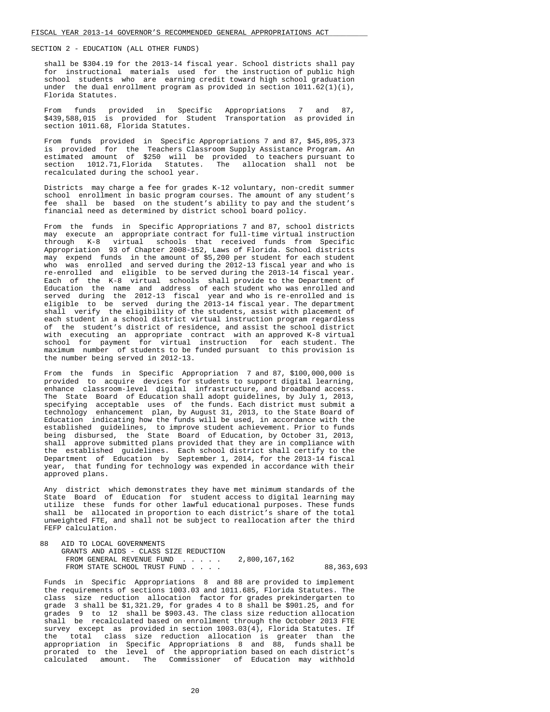shall be \$304.19 for the 2013-14 fiscal year. School districts shall pay for instructional materials used for the instruction of public high school students who are earning credit toward high school graduation under the dual enrollment program as provided in section  $1011.62(1)(i)$ , Florida Statutes.

 From funds provided in Specific Appropriations 7 and 87, \$439,588,015 is provided for Student Transportation as provided in section 1011.68, Florida Statutes.

 From funds provided in Specific Appropriations 7 and 87, \$45,895,373 is provided for the Teachers Classroom Supply Assistance Program. An estimated amount of \$250 will be provided to teachers pursuant to section 1012.71, Florida Statutes. The allocation shall not be recalculated during the school year.

 Districts may charge a fee for grades K-12 voluntary, non-credit summer school enrollment in basic program courses. The amount of any student's fee shall be based on the student's ability to pay and the student's financial need as determined by district school board policy.

 From the funds in Specific Appropriations 7 and 87, school districts may execute an appropriate contract for full-time virtual instruction through K-8 virtual schools that received funds from Specific Appropriation 93 of Chapter 2008-152, Laws of Florida. School districts may expend funds in the amount of \$5,200 per student for each student who was enrolled and served during the 2012-13 fiscal year and who is re-enrolled and eligible to be served during the 2013-14 fiscal year. Each of the K-8 virtual schools shall provide to the Department of Education the name and address of each student who was enrolled and served during the 2012-13 fiscal year and who is re-enrolled and is eligible to be served during the 2013-14 fiscal year. The department shall verify the eligibility of the students, assist with placement of each student in a school district virtual instruction program regardless of the student's district of residence, and assist the school district with executing an appropriate contract with an approved K-8 virtual school for payment for virtual instruction for each student. The maximum number of students to be funded pursuant to this provision is the number being served in 2012-13.

 From the funds in Specific Appropriation 7 and 87, \$100,000,000 is provided to acquire devices for students to support digital learning, enhance classroom-level digital infrastructure, and broadband access. The State Board of Education shall adopt guidelines, by July 1, 2013, specifying acceptable uses of the funds. Each district must submit a technology enhancement plan, by August 31, 2013, to the State Board of Education indicating how the funds will be used, in accordance with the established guidelines, to improve student achievement. Prior to funds being disbursed, the State Board of Education, by October 31, 2013, shall approve submitted plans provided that they are in compliance with the established guidelines. Each school district shall certify to the Department of Education by September 1, 2014, for the 2013-14 fiscal year, that funding for technology was expended in accordance with their approved plans.

 Any district which demonstrates they have met minimum standards of the State Board of Education for student access to digital learning may utilize these funds for other lawful educational purposes. These funds shall be allocated in proportion to each district's share of the total unweighted FTE, and shall not be subject to reallocation after the third FEFP calculation.

 88 AID TO LOCAL GOVERNMENTS GRANTS AND AIDS - CLASS SIZE REDUCTION FROM GENERAL REVENUE FUND . . . . . 2,800,167,162 FROM STATE SCHOOL TRUST FUND . . . . . . . . . 88,363,693

 Funds in Specific Appropriations 8 and 88 are provided to implement the requirements of sections 1003.03 and 1011.685, Florida Statutes. The class size reduction allocation factor for grades prekindergarten to grade 3 shall be \$1,321.29, for grades 4 to 8 shall be \$901.25, and for grades 9 to 12 shall be \$903.43. The class size reduction allocation shall be recalculated based on enrollment through the October 2013 FTE survey except as provided in section 1003.03(4), Florida Statutes. If the total class size reduction allocation is greater than the appropriation in Specific Appropriations 8 and 88, funds shall be prorated to the level of the appropriation based on each district's calculated amount. The Commissioner of Education may withhold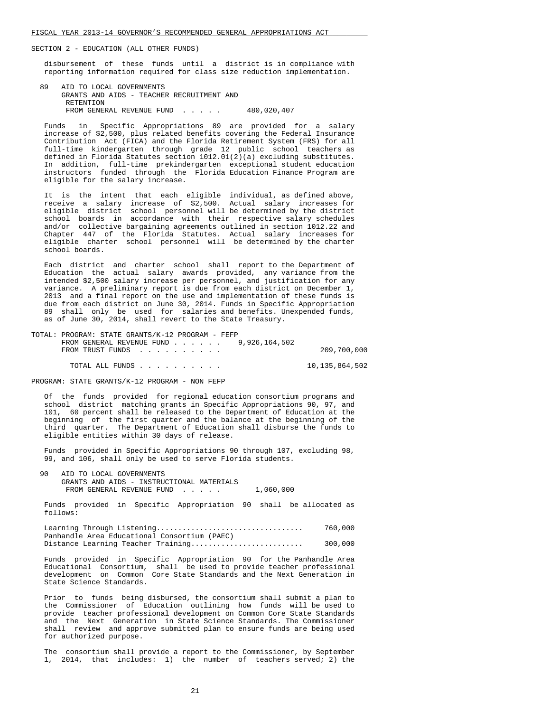disbursement of these funds until a district is in compliance with reporting information required for class size reduction implementation.

 89 AID TO LOCAL GOVERNMENTS GRANTS AND AIDS - TEACHER RECRUITMENT AND RETENTION FROM GENERAL REVENUE FUND . . . . . 480,020,407

 Funds in Specific Appropriations 89 are provided for a salary increase of \$2,500, plus related benefits covering the Federal Insurance Contribution Act (FICA) and the Florida Retirement System (FRS) for all full-time kindergarten through grade 12 public school teachers as defined in Florida Statutes section  $1012.01(2)$  (a) excluding substitutes. In addition, full-time prekindergarten exceptional student education instructors funded through the Florida Education Finance Program are eligible for the salary increase.

 It is the intent that each eligible individual, as defined above, receive a salary increase of \$2,500. Actual salary increases for eligible district school personnel will be determined by the district school boards in accordance with their respective salary schedules and/or collective bargaining agreements outlined in section 1012.22 and Chapter 447 of the Florida Statutes. Actual salary increases for eligible charter school personnel will be determined by the charter school boards.

 Each district and charter school shall report to the Department of Education the actual salary awards provided, any variance from the intended \$2,500 salary increase per personnel, and justification for any variance. A preliminary report is due from each district on December 1, 2013 and a final report on the use and implementation of these funds is due from each district on June 30, 2014. Funds in Specific Appropriation 89 shall only be used for salaries and benefits. Unexpended funds, as of June 30, 2014, shall revert to the State Treasury.

| TOTAL: PROGRAM: STATE GRANTS/K-12 PROGRAM - FEFP          |                |
|-----------------------------------------------------------|----------------|
| FROM GENERAL REVENUE FUND $\ldots$ $\ldots$ 9.926.164.502 |                |
| FROM TRUST FUNDS                                          | 209,700,000    |
|                                                           |                |
| TOTAL ALL FUNDS                                           | 10,135,864,502 |

PROGRAM: STATE GRANTS/K-12 PROGRAM - NON FEFP

 Of the funds provided for regional education consortium programs and school district matching grants in Specific Appropriations 90, 97, and 101, 60 percent shall be released to the Department of Education at the beginning of the first quarter and the balance at the beginning of the third quarter. The Department of Education shall disburse the funds to eligible entities within 30 days of release.

 Funds provided in Specific Appropriations 90 through 107, excluding 98, 99, and 106, shall only be used to serve Florida students.

 90 AID TO LOCAL GOVERNMENTS GRANTS AND AIDS - INSTRUCTIONAL MATERIALS FROM GENERAL REVENUE FUND . . . . . 1,060,000

 Funds provided in Specific Appropriation 90 shall be allocated as follows:

|                                              | 760,000 |
|----------------------------------------------|---------|
| Panhandle Area Educational Consortium (PAEC) |         |
| Distance Learning Teacher Training           | 300,000 |

 Funds provided in Specific Appropriation 90 for the Panhandle Area Educational Consortium, shall be used to provide teacher professional development on Common Core State Standards and the Next Generation in State Science Standards.

 Prior to funds being disbursed, the consortium shall submit a plan to the Commissioner of Education outlining how funds will be used to provide teacher professional development on Common Core State Standards and the Next Generation in State Science Standards. The Commissioner shall review and approve submitted plan to ensure funds are being used for authorized purpose.

 The consortium shall provide a report to the Commissioner, by September 1, 2014, that includes: 1) the number of teachers served; 2) the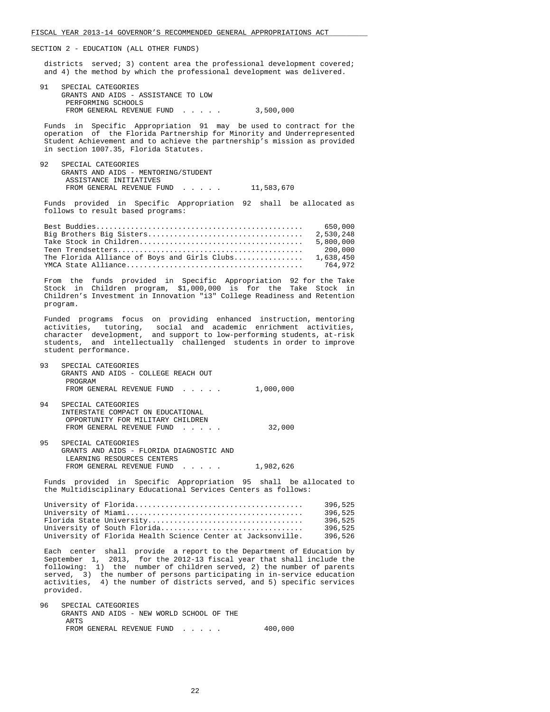districts served; 3) content area the professional development covered; and 4) the method by which the professional development was delivered.

 91 SPECIAL CATEGORIES GRANTS AND AIDS - ASSISTANCE TO LOW PERFORMING SCHOOLS FROM GENERAL REVENUE FUND . . . . . 3,500,000

 Funds in Specific Appropriation 91 may be used to contract for the operation of the Florida Partnership for Minority and Underrepresented Student Achievement and to achieve the partnership's mission as provided in section 1007.35, Florida Statutes.

92 SPECIAL CATEGORIES GRANTS AND AIDS - MENTORING/STUDENT ASSISTANCE INITIATIVES FROM GENERAL REVENUE FUND . . . . . 11,583,670

 Funds provided in Specific Appropriation 92 shall be allocated as follows to result based programs:

|                                                        | 650.000   |
|--------------------------------------------------------|-----------|
|                                                        | 2,530,248 |
|                                                        | 5,800,000 |
|                                                        | 200.000   |
| The Florida Alliance of Boys and Girls Clubs 1,638,450 |           |
|                                                        | 764.972   |

 From the funds provided in Specific Appropriation 92 for the Take Stock in Children program, \$1,000,000 is for the Take Stock in Children's Investment in Innovation "i3" College Readiness and Retention program.

 Funded programs focus on providing enhanced instruction, mentoring activities, tutoring, social and academic enrichment activities, character development, and support to low-performing students, at-risk students, and intellectually challenged students in order to improve student performance.

- 93 SPECIAL CATEGORIES GRANTS AND AIDS - COLLEGE REACH OUT PROGRAM FROM GENERAL REVENUE FUND . . . . . 1,000,000
- 94 SPECIAL CATEGORIES INTERSTATE COMPACT ON EDUCATIONAL OPPORTUNITY FOR MILITARY CHILDREN FROM GENERAL REVENUE FUND . . . . . 32,000
- 95 SPECIAL CATEGORIES GRANTS AND AIDS - FLORIDA DIAGNOSTIC AND LEARNING RESOURCES CENTERS FROM GENERAL REVENUE FUND . . . . . 1,982,626

 Funds provided in Specific Appropriation 95 shall be allocated to the Multidisciplinary Educational Services Centers as follows:

|                                                              | 396,525 |
|--------------------------------------------------------------|---------|
|                                                              | 396,525 |
|                                                              | 396.525 |
| University of South Florida                                  | 396.525 |
| University of Florida Health Science Center at Jacksonville. | 396.526 |

 Each center shall provide a report to the Department of Education by September 1, 2013, for the 2012-13 fiscal year that shall include the following: 1) the number of children served, 2) the number of parents served, 3) the number of persons participating in in-service education activities, 4) the number of districts served, and 5) specific services provided.

| 96. | SPECIAL CATEGORIES                        |         |
|-----|-------------------------------------------|---------|
|     | GRANTS AND AIDS - NEW WORLD SCHOOL OF THE |         |
|     | ARTS                                      |         |
|     | FROM GENERAL REVENUE FUND                 | 400,000 |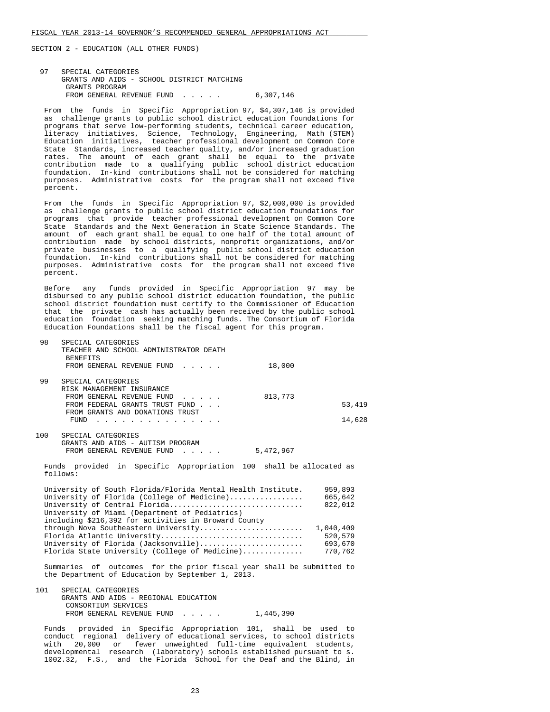97 SPECIAL CATEGORIES GRANTS AND AIDS - SCHOOL DISTRICT MATCHING GRANTS PROGRAM FROM GENERAL REVENUE FUND . . . . . 6,307,146

 From the funds in Specific Appropriation 97, \$4,307,146 is provided as challenge grants to public school district education foundations for programs that serve low-performing students, technical career education, literacy initiatives, Science, Technology, Engineering, Math (STEM) Education initiatives, teacher professional development on Common Core State Standards, increased teacher quality, and/or increased graduation rates. The amount of each grant shall be equal to the private contribution made to a qualifying public school district education foundation. In-kind contributions shall not be considered for matching purposes. Administrative costs for the program shall not exceed five percent.

 From the funds in Specific Appropriation 97, \$2,000,000 is provided as challenge grants to public school district education foundations for programs that provide teacher professional development on Common Core State Standards and the Next Generation in State Science Standards. The amount of each grant shall be equal to one half of the total amount of contribution made by school districts, nonprofit organizations, and/or private businesses to a qualifying public school district education foundation. In-kind contributions shall not be considered for matching purposes. Administrative costs for the program shall not exceed five percent.

 Before any funds provided in Specific Appropriation 97 may be disbursed to any public school district education foundation, the public school district foundation must certify to the Commissioner of Education that the private cash has actually been received by the public school education foundation seeking matching funds. The Consortium of Florida Education Foundations shall be the fiscal agent for this program.

| 98    | SPECIAL CATEGORIES                                                     |           |        |
|-------|------------------------------------------------------------------------|-----------|--------|
|       | TEACHER AND SCHOOL ADMINISTRATOR DEATH                                 |           |        |
|       | <b>BENEFITS</b>                                                        |           |        |
|       | FROM GENERAL REVENUE FUND                                              | 18,000    |        |
|       |                                                                        |           |        |
| 99    | SPECIAL CATEGORIES                                                     |           |        |
|       | RISK MANAGEMENT INSURANCE                                              |           |        |
|       | FROM GENERAL REVENUE FUND<br>$\sim$ $\sim$ $\sim$ $\sim$ $\sim$ $\sim$ | 813,773   |        |
|       | FROM FEDERAL GRANTS TRUST FUND                                         |           | 53,419 |
|       | FROM GRANTS AND DONATIONS TRUST                                        |           |        |
|       | FUND                                                                   |           | 14,628 |
|       |                                                                        |           |        |
| 100   | SPECIAL CATEGORIES                                                     |           |        |
|       | GRANTS AND AIDS - AUTISM PROGRAM                                       |           |        |
|       | FROM GENERAL REVENUE FUND                                              | 5,472,967 |        |
|       |                                                                        |           |        |
| Funds | provided in Specific Appropriation 100 shall be allocated as           |           |        |

ovided in Specific Appropriation 100 shall be allocated as follows:

| University of South Florida/Florida Mental Health Institute. | 959,893   |
|--------------------------------------------------------------|-----------|
| University of Florida (College of Medicine)                  | 665,642   |
| University of Central Florida                                | 822,012   |
| University of Miami (Department of Pediatrics)               |           |
| including \$216,392 for activities in Broward County         |           |
| through Nova Southeastern University                         | 1,040,409 |
| Florida Atlantic University                                  | 520,579   |
| University of Florida (Jacksonville)                         | 693,670   |
| Florida State University (College of Medicine)               | 770,762   |
|                                                              |           |

 Summaries of outcomes for the prior fiscal year shall be submitted to the Department of Education by September 1, 2013.

 101 SPECIAL CATEGORIES GRANTS AND AIDS - REGIONAL EDUCATION CONSORTIUM SERVICES FROM GENERAL REVENUE FUND . . . . . 1,445,390

 Funds provided in Specific Appropriation 101, shall be used to conduct regional delivery of educational services, to school districts with 20,000 or fewer unweighted full-time equivalent students, developmental research (laboratory) schools established pursuant to s. 1002.32, F.S., and the Florida School for the Deaf and the Blind, in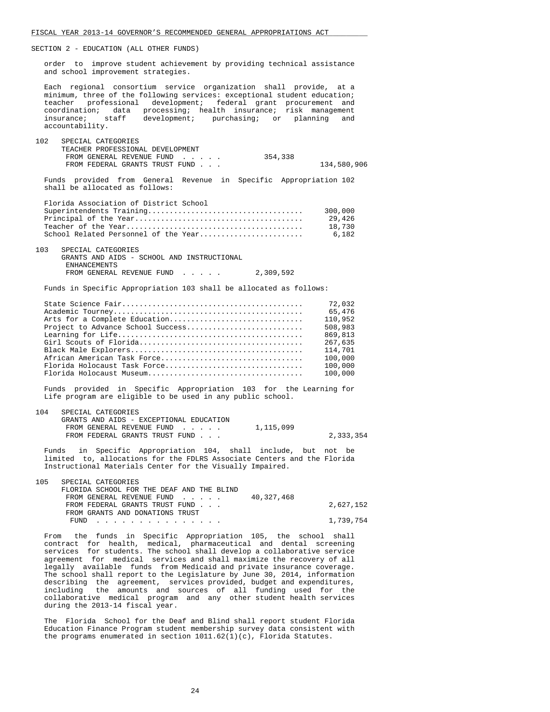order to improve student achievement by providing technical assistance and school improvement strategies.

 Each regional consortium service organization shall provide, at a minimum, three of the following services: exceptional student education; teacher professional development; federal grant procurement and coordination; data processing; health insurance; risk management<br>insurance; staff development; purchasing; or planning and  $developmi$ ; purchasing; or planning accountability.

| 102 | SPECIAL CATEGORIES               |         |             |
|-----|----------------------------------|---------|-------------|
|     | TEACHER PROFESSIONAL DEVELOPMENT |         |             |
|     | FROM GENERAL REVENUE FUND        | 354,338 |             |
|     | FROM FEDERAL GRANTS TRUST FUND   |         | 134,580,906 |
|     |                                  |         |             |

 Funds provided from General Revenue in Specific Appropriation 102 shall be allocated as follows:

| Florida Association of District School |         |
|----------------------------------------|---------|
|                                        | 300,000 |
|                                        | 29,426  |
|                                        | 18.730  |
| School Related Personnel of the Year   | 6.182   |

 103 SPECIAL CATEGORIES GRANTS AND AIDS - SCHOOL AND INSTRUCTIONAL ENHANCEMENTS FROM GENERAL REVENUE FUND . . . . . 2,309,592

Funds in Specific Appropriation 103 shall be allocated as follows:

|                                   | 72,032  |
|-----------------------------------|---------|
|                                   | 65,476  |
| Arts for a Complete Education     | 110,952 |
| Project to Advance School Success | 508,983 |
|                                   | 869,813 |
|                                   | 267,635 |
|                                   | 114,701 |
| African American Task Force       | 100,000 |
| Florida Holocaust Task Force      | 100,000 |
|                                   | 100,000 |

 Funds provided in Specific Appropriation 103 for the Learning for Life program are eligible to be used in any public school.

| 104 | SPECIAL CATEGORIES                      |           |           |
|-----|-----------------------------------------|-----------|-----------|
|     | GRANTS AND AIDS - EXCEPTIONAL EDUCATION |           |           |
|     | FROM GENERAL REVENUE FUND               | 1,115,099 |           |
|     | FROM FEDERAL GRANTS TRUST FUND          |           | 2,333,354 |

 Funds in Specific Appropriation 104, shall include, but not be limited to, allocations for the FDLRS Associate Centers and the Florida Instructional Materials Center for the Visually Impaired.

| 105 | SPECIAL CATEGORIES                        |           |
|-----|-------------------------------------------|-----------|
|     | FLORIDA SCHOOL FOR THE DEAF AND THE BLIND |           |
|     | 40,327,468<br>FROM GENERAL REVENUE FUND   |           |
|     | FROM FEDERAL GRANTS TRUST FUND            | 2,627,152 |
|     | FROM GRANTS AND DONATIONS TRUST           |           |
|     | FUND                                      | 1,739,754 |

 From the funds in Specific Appropriation 105, the school shall contract for health, medical, pharmaceutical and dental screening services for students. The school shall develop a collaborative service agreement for medical services and shall maximize the recovery of all legally available funds from Medicaid and private insurance coverage. The school shall report to the Legislature by June 30, 2014, information describing the agreement, services provided, budget and expenditures, including the amounts and sources of all funding used for the collaborative medical program and any other student health services during the 2013-14 fiscal year.

 The Florida School for the Deaf and Blind shall report student Florida Education Finance Program student membership survey data consistent with the programs enumerated in section  $1011.62(1)(c)$ , Florida Statutes.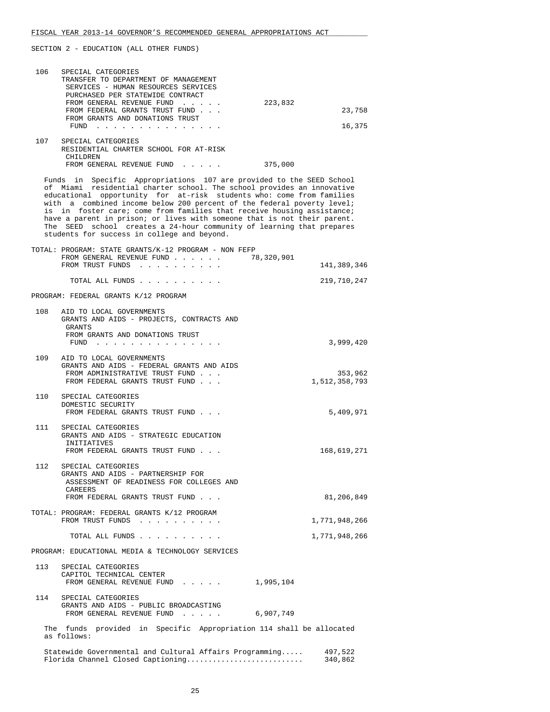| 106 | SPECIAL CATEGORIES<br>TRANSFER TO DEPARTMENT OF MANAGEMENT<br>SERVICES - HUMAN RESOURCES SERVICES<br>PURCHASED PER STATEWIDE CONTRACT<br>FROM GENERAL REVENUE FUND                                                                                                                                                                                                                                                                                                                                                                                                             | 223,832    |                          |
|-----|--------------------------------------------------------------------------------------------------------------------------------------------------------------------------------------------------------------------------------------------------------------------------------------------------------------------------------------------------------------------------------------------------------------------------------------------------------------------------------------------------------------------------------------------------------------------------------|------------|--------------------------|
|     | FROM FEDERAL GRANTS TRUST FUND<br>FROM GRANTS AND DONATIONS TRUST<br>${\tt FUND} \quad . \quad . \quad . \quad . \quad . \quad . \quad . \quad . \quad . \quad . \quad . \quad . \quad .$                                                                                                                                                                                                                                                                                                                                                                                      |            | 23,758<br>16,375         |
|     | 107 SPECIAL CATEGORIES<br>RESIDENTIAL CHARTER SCHOOL FOR AT-RISK<br>CHILDREN<br>FROM GENERAL REVENUE FUND                                                                                                                                                                                                                                                                                                                                                                                                                                                                      | 375,000    |                          |
|     | Funds in Specific Appropriations 107 are provided to the SEED School<br>of Miami residential charter school. The school provides an innovative<br>educational opportunity for at-risk students who: come from families<br>with a combined income below 200 percent of the federal poverty level;<br>is in foster care; come from families that receive housing assistance;<br>have a parent in prison; or lives with someone that is not their parent.<br>The SEED school creates a 24-hour community of learning that prepares<br>students for success in college and beyond. |            |                          |
|     | TOTAL: PROGRAM: STATE GRANTS/K-12 PROGRAM - NON FEFP<br>FROM GENERAL REVENUE FUND<br>FROM TRUST FUNDS                                                                                                                                                                                                                                                                                                                                                                                                                                                                          | 78,320,901 | 141,389,346              |
|     | TOTAL ALL FUNDS                                                                                                                                                                                                                                                                                                                                                                                                                                                                                                                                                                |            | 219,710,247              |
|     | PROGRAM: FEDERAL GRANTS K/12 PROGRAM                                                                                                                                                                                                                                                                                                                                                                                                                                                                                                                                           |            |                          |
| 108 | AID TO LOCAL GOVERNMENTS<br>GRANTS AND AIDS - PROJECTS, CONTRACTS AND<br>GRANTS<br>FROM GRANTS AND DONATIONS TRUST                                                                                                                                                                                                                                                                                                                                                                                                                                                             |            |                          |
|     | FUND $\cdots$                                                                                                                                                                                                                                                                                                                                                                                                                                                                                                                                                                  |            | 3,999,420                |
|     | 109 AID TO LOCAL GOVERNMENTS<br>GRANTS AND AIDS - FEDERAL GRANTS AND AIDS<br>FROM ADMINISTRATIVE TRUST FUND<br>FROM FEDERAL GRANTS TRUST FUND                                                                                                                                                                                                                                                                                                                                                                                                                                  |            | 353,962<br>1,512,358,793 |
| 110 | SPECIAL CATEGORIES<br>DOMESTIC SECURITY<br>FROM FEDERAL GRANTS TRUST FUND                                                                                                                                                                                                                                                                                                                                                                                                                                                                                                      |            | 5,409,971                |
| 111 | SPECIAL CATEGORIES<br>GRANTS AND AIDS - STRATEGIC EDUCATION<br>INITIATIVES<br>FROM FEDERAL GRANTS TRUST FUND                                                                                                                                                                                                                                                                                                                                                                                                                                                                   |            | 168,619,271              |
| 112 | SPECIAL CATEGORIES<br>GRANTS AND AIDS - PARTNERSHIP FOR<br>ASSESSMENT OF READINESS FOR COLLEGES AND<br>CAREERS                                                                                                                                                                                                                                                                                                                                                                                                                                                                 |            |                          |
|     | FROM FEDERAL GRANTS TRUST FUND                                                                                                                                                                                                                                                                                                                                                                                                                                                                                                                                                 |            | 81,206,849               |
|     | TOTAL: PROGRAM: FEDERAL GRANTS K/12 PROGRAM<br>FROM TRUST FUNDS                                                                                                                                                                                                                                                                                                                                                                                                                                                                                                                |            | 1,771,948,266            |
|     | TOTAL ALL FUNDS                                                                                                                                                                                                                                                                                                                                                                                                                                                                                                                                                                |            | 1,771,948,266            |
|     | PROGRAM: EDUCATIONAL MEDIA & TECHNOLOGY SERVICES                                                                                                                                                                                                                                                                                                                                                                                                                                                                                                                               |            |                          |
| 113 | SPECIAL CATEGORIES<br>CAPITOL TECHNICAL CENTER<br>FROM GENERAL REVENUE FUND 1,995,104                                                                                                                                                                                                                                                                                                                                                                                                                                                                                          |            |                          |
| 114 | SPECIAL CATEGORIES<br>GRANTS AND AIDS - PUBLIC BROADCASTING<br>FROM GENERAL REVENUE FUND                                                                                                                                                                                                                                                                                                                                                                                                                                                                                       | 6,907,749  |                          |
|     | The funds provided in Specific Appropriation 114 shall be allocated<br>as follows:                                                                                                                                                                                                                                                                                                                                                                                                                                                                                             |            |                          |
|     | Statewide Governmental and Cultural Affairs Programming<br>Florida Channel Closed Captioning                                                                                                                                                                                                                                                                                                                                                                                                                                                                                   |            | 497,522<br>340,862       |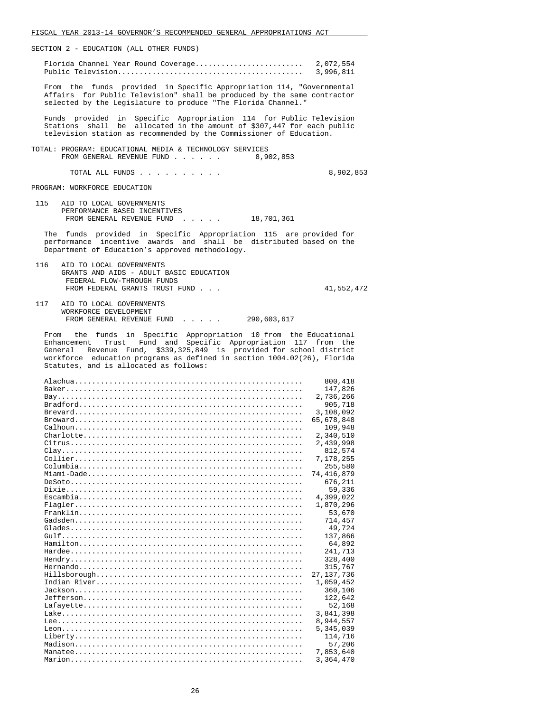| SECTION 2 - EDUCATION (ALL OTHER FUNDS)                                                                                                                                                                                                                                                                                           |
|-----------------------------------------------------------------------------------------------------------------------------------------------------------------------------------------------------------------------------------------------------------------------------------------------------------------------------------|
| 3,996,811                                                                                                                                                                                                                                                                                                                         |
| From the funds provided in Specific Appropriation 114, "Governmental<br>Affairs for Public Television" shall be produced by the same contractor<br>selected by the Legislature to produce "The Florida Channel."                                                                                                                  |
| Funds provided in Specific Appropriation 114 for Public Television<br>Stations shall be allocated in the amount of \$307,447 for each public<br>television station as recommended by the Commissioner of Education.                                                                                                               |
| TOTAL: PROGRAM: EDUCATIONAL MEDIA & TECHNOLOGY SERVICES<br>FROM GENERAL REVENUE FUND<br>8,902,853                                                                                                                                                                                                                                 |
| TOTAL ALL FUNDS<br>8,902,853                                                                                                                                                                                                                                                                                                      |
| PROGRAM: WORKFORCE EDUCATION                                                                                                                                                                                                                                                                                                      |
| 115 AID TO LOCAL GOVERNMENTS<br>PERFORMANCE BASED INCENTIVES<br>FROM GENERAL REVENUE FUND 18,701,361                                                                                                                                                                                                                              |
| The funds provided in Specific Appropriation 115 are provided for<br>performance incentive awards and shall be distributed based on the<br>Department of Education's approved methodology.                                                                                                                                        |
| 116<br>AID TO LOCAL GOVERNMENTS<br>GRANTS AND AIDS - ADULT BASIC EDUCATION<br>FEDERAL FLOW-THROUGH FUNDS<br>FROM FEDERAL GRANTS TRUST FUND<br>41,552,472                                                                                                                                                                          |
| 117<br>AID TO LOCAL GOVERNMENTS<br>WORKFORCE DEVELOPMENT<br>FROM GENERAL REVENUE FUND 290,603,617                                                                                                                                                                                                                                 |
| From the funds in Specific Appropriation 10 from the Educational<br>Trust Fund and Specific Appropriation 117 from the<br>Enhancement<br>General Revenue Fund, \$339,325,849 is provided for school district<br>workforce education programs as defined in section 1004.02(26), Florida<br>Statutes, and is allocated as follows: |
| 800,418<br>147,826<br>2,736,266<br>905,718<br>3,108,092<br>65,678,848                                                                                                                                                                                                                                                             |
| 109,948<br>2,340,510<br>2,439,998<br>812,574<br>7,178,255                                                                                                                                                                                                                                                                         |
| 255,580<br>74,416,879<br>676,211<br>59,336<br>4,399,022                                                                                                                                                                                                                                                                           |
| 1,870,296<br>53,670<br>714,457<br>49,724                                                                                                                                                                                                                                                                                          |
| 137,866<br>64,892<br>241,713<br>328,400                                                                                                                                                                                                                                                                                           |
| 315,767<br>27,137,736<br>1,059,452<br>360,106<br>122,642                                                                                                                                                                                                                                                                          |
| 52,168<br>3,841,398<br>8,944,557<br>5,345,039                                                                                                                                                                                                                                                                                     |
| 114,716<br>57,206<br>7,853,640<br>3,364,470                                                                                                                                                                                                                                                                                       |

FISCAL YEAR 2013-14 GOVERNOR'S RECOMMENDED GENERAL APPROPRIATIONS ACT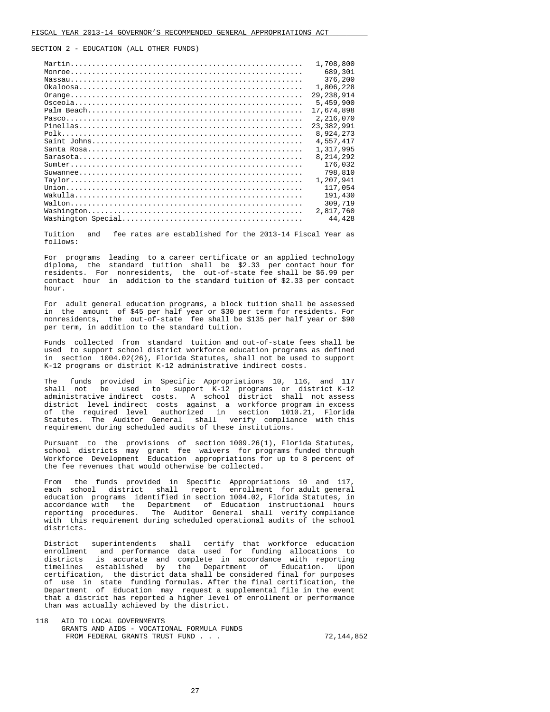| 1,708,800    |
|--------------|
| 689,301      |
| 376,200      |
|              |
| 1,806,228    |
| 29, 238, 914 |
| 5,459,900    |
| 17,674,898   |
| 2,216,070    |
| 23,382,991   |
| 8,924,273    |
| 4,557,417    |
| 1,317,995    |
| 8, 214, 292  |
| 176,032      |
| 798,810      |
| 1,207,941    |
| 117,054      |
| 191,430      |
| 309,719      |
| 2,817,760    |
| 44,428       |

 Tuition and fee rates are established for the 2013-14 Fiscal Year as follows:

 For programs leading to a career certificate or an applied technology diploma, the standard tuition shall be \$2.33 per contact hour for residents. For nonresidents, the out-of-state fee shall be \$6.99 per contact hour in addition to the standard tuition of \$2.33 per contact hour.

 For adult general education programs, a block tuition shall be assessed in the amount of \$45 per half year or \$30 per term for residents. For nonresidents, the out-of-state fee shall be \$135 per half year or \$90 per term, in addition to the standard tuition.

 Funds collected from standard tuition and out-of-state fees shall be used to support school district workforce education programs as defined in section 1004.02(26), Florida Statutes, shall not be used to support K-12 programs or district K-12 administrative indirect costs.

 The funds provided in Specific Appropriations 10, 116, and 117 shall not be used to support K-12 programs or district K-12 administrative indirect costs. A school district shall not assess district level indirect costs against a workforce program in excess of the required level authorized in section 1010.21, Florida Statutes. The Auditor General shall verify compliance with this requirement during scheduled audits of these institutions.

 Pursuant to the provisions of section 1009.26(1), Florida Statutes, school districts may grant fee waivers for programs funded through Workforce Development Education appropriations for up to 8 percent of the fee revenues that would otherwise be collected.

 From the funds provided in Specific Appropriations 10 and 117, each school district shall report enrollment for adult general education programs identified in section 1004.02, Florida Statutes, in accordance with the Department of Education instructional hours reporting procedures. The Auditor General shall verify compliance The Auditor General shall verify compliance with this requirement during scheduled operational audits of the school districts.

 District superintendents shall certify that workforce education enrollment and performance data used for funding allocations to districts is accurate and complete in accordance with reporting timelines established by the Department of Education. Upon certification, the district data shall be considered final for purposes of use in state funding formulas. After the final certification, the Department of Education may request a supplemental file in the event that a district has reported a higher level of enrollment or performance than was actually achieved by the district.

 118 AID TO LOCAL GOVERNMENTS GRANTS AND AIDS - VOCATIONAL FORMULA FUNDS FROM FEDERAL GRANTS TRUST FUND . . .  $\hspace{2.6cm}$  72,144,852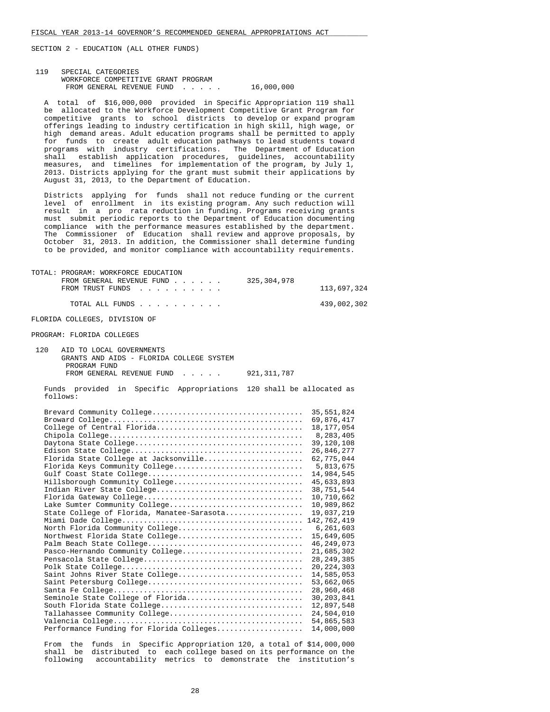# 119 SPECIAL CATEGORIES WORKFORCE COMPETITIVE GRANT PROGRAM FROM GENERAL REVENUE FUND . . . . . 16,000,000

 A total of \$16,000,000 provided in Specific Appropriation 119 shall be allocated to the Workforce Development Competitive Grant Program for competitive grants to school districts to develop or expand program offerings leading to industry certification in high skill, high wage, or high demand areas. Adult education programs shall be permitted to apply for funds to create adult education pathways to lead students toward programs with industry certifications. The Department of Education shall establish application procedures, guidelines, accountability measures, and timelines for implementation of the program, by July 1, 2013. Districts applying for the grant must submit their applications by August 31, 2013, to the Department of Education.

 Districts applying for funds shall not reduce funding or the current level of enrollment in its existing program. Any such reduction will result in a pro rata reduction in funding. Programs receiving grants must submit periodic reports to the Department of Education documenting compliance with the performance measures established by the department. The Commissioner of Education shall review and approve proposals, by October 31, 2013. In addition, the Commissioner shall determine funding to be provided, and monitor compliance with accountability requirements.

| TOTAL: PROGRAM: WORKFORCE EDUCATION<br>FROM GENERAL REVENUE FUND<br>FROM TRUST FUNDS | 325,304,978 | 113,697,324 |
|--------------------------------------------------------------------------------------|-------------|-------------|
| TOTAL ALL FUNDS                                                                      |             | 439,002,302 |
| FLORIDA COLLEGES, DIVISION OF                                                        |             |             |
|                                                                                      |             |             |
|                                                                                      |             |             |

| 120 | AID TO LOCAL GOVERNMENTS                 |               |
|-----|------------------------------------------|---------------|
|     | GRANTS AND AIDS - FLORIDA COLLEGE SYSTEM |               |
|     | PROGRAM FUND                             |               |
|     | FROM GENERAL REVENUE FUND                | 921, 311, 787 |

 Funds provided in Specific Appropriations 120 shall be allocated as follows:

|                                            | 35, 551, 824 |
|--------------------------------------------|--------------|
|                                            | 69,876,417   |
| College of Central Florida                 | 18, 177, 054 |
|                                            | 8,283,405    |
|                                            | 39,120,108   |
|                                            | 26,846,277   |
| Florida State College at Jacksonville      | 62,775,044   |
| Florida Keys Community College             | 5,813,675    |
|                                            | 14,984,545   |
| Hillsborough Community College             | 45,633,893   |
|                                            | 38,751,544   |
|                                            | 10,710,662   |
| Lake Sumter Community College              | 10,989,862   |
| State College of Florida, Manatee-Sarasota | 19,037,219   |
|                                            | 142,762,419  |
| North Florida Community College            | 6, 261, 603  |
| Northwest Florida State College            | 15,649,605   |
|                                            | 46, 249, 073 |
| Pasco-Hernando Community College           | 21,685,302   |
|                                            | 28, 249, 385 |
|                                            | 20, 224, 303 |
| Saint Johns River State College            | 14,585,053   |
|                                            | 53,662,065   |
|                                            | 28,960,468   |
| Seminole State College of Florida          | 30,203,841   |
| South Florida State College                | 12,897,548   |
| Tallahassee Community College              | 24,504,010   |
|                                            | 54,865,583   |
| Performance Funding for Florida Colleges   | 14,000,000   |
|                                            |              |

 From the funds in Specific Appropriation 120, a total of \$14,000,000 shall be distributed to each college based on its performance on the following accountability metrics to demonstrate the institution's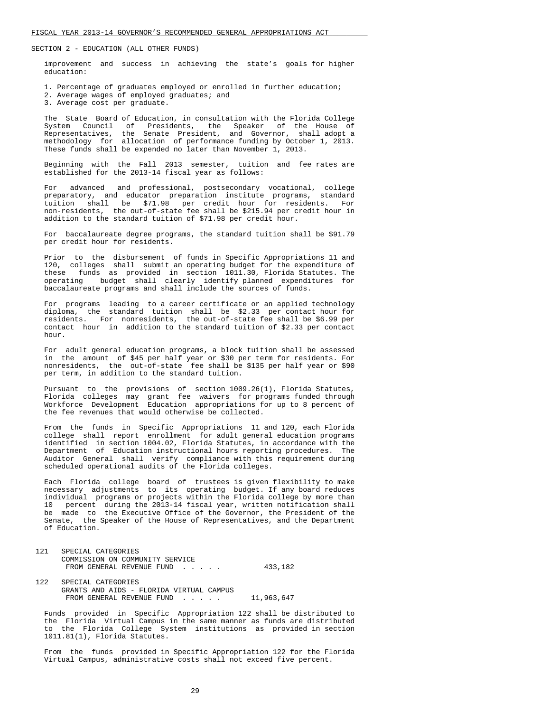improvement and success in achieving the state's goals for higher education:

- 1. Percentage of graduates employed or enrolled in further education;
- 2. Average wages of employed graduates; and
- 3. Average cost per graduate.

 The State Board of Education, in consultation with the Florida College System Council of Presidents, the Speaker of the House of Representatives, the Senate President, and Governor, shall adopt a methodology for allocation of performance funding by October 1, 2013. These funds shall be expended no later than November 1, 2013.

 Beginning with the Fall 2013 semester, tuition and fee rates are established for the 2013-14 fiscal year as follows:

 For advanced and professional, postsecondary vocational, college preparatory, and educator preparation institute programs, standard tuition shall be \$71.98 per credit hour for residents. For non-residents, the out-of-state fee shall be \$215.94 per credit hour in addition to the standard tuition of \$71.98 per credit hour.

 For baccalaureate degree programs, the standard tuition shall be \$91.79 per credit hour for residents.

 Prior to the disbursement of funds in Specific Appropriations 11 and 120, colleges shall submit an operating budget for the expenditure of these funds as provided in section 1011.30, Florida Statutes. The operating budget shall clearly identify planned expenditures for baccalaureate programs and shall include the sources of funds.

 For programs leading to a career certificate or an applied technology diploma, the standard tuition shall be \$2.33 per contact hour for residents. For nonresidents, the out-of-state fee shall be \$6.99 per contact hour in addition to the standard tuition of \$2.33 per contact hour.

 For adult general education programs, a block tuition shall be assessed in the amount of \$45 per half year or \$30 per term for residents. For nonresidents, the out-of-state fee shall be \$135 per half year or \$90 per term, in addition to the standard tuition.

 Pursuant to the provisions of section 1009.26(1), Florida Statutes, Florida colleges may grant fee waivers for programs funded through Workforce Development Education appropriations for up to 8 percent of the fee revenues that would otherwise be collected.

 From the funds in Specific Appropriations 11 and 120, each Florida college shall report enrollment for adult general education programs identified in section 1004.02, Florida Statutes, in accordance with the Department of Education instructional hours reporting procedures. The Auditor General shall verify compliance with this requirement during scheduled operational audits of the Florida colleges.

 Each Florida college board of trustees is given flexibility to make necessary adjustments to its operating budget. If any board reduces individual programs or projects within the Florida college by more than 10 percent during the 2013-14 fiscal year, written notification shall be made to the Executive Office of the Governor, the President of the Senate, the Speaker of the House of Representatives, and the Department of Education.

- 121 SPECIAL CATEGORIES COMMISSION ON COMMUNITY SERVICE FROM GENERAL REVENUE FUND . . . . . 433,182
- 122 SPECIAL CATEGORIES GRANTS AND AIDS - FLORIDA VIRTUAL CAMPUS FROM GENERAL REVENUE FUND . . . . . 11,963,647

 Funds provided in Specific Appropriation 122 shall be distributed to the Florida Virtual Campus in the same manner as funds are distributed to the Florida College System institutions as provided in section 1011.81(1), Florida Statutes.

 From the funds provided in Specific Appropriation 122 for the Florida Virtual Campus, administrative costs shall not exceed five percent.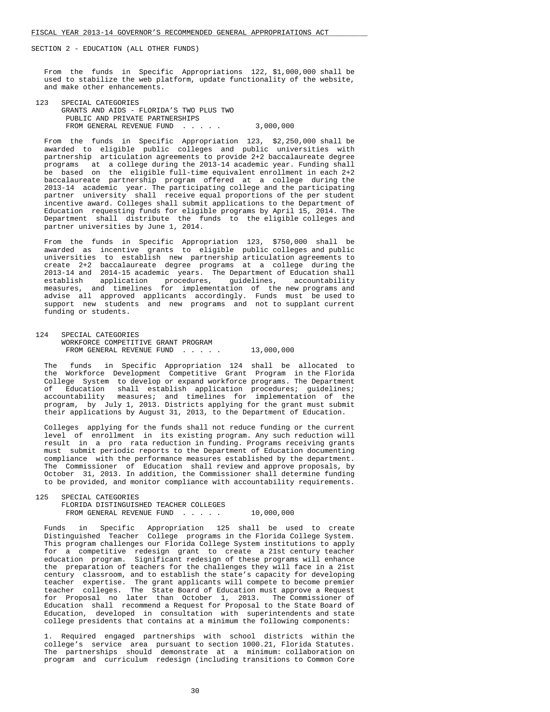From the funds in Specific Appropriations 122, \$1,000,000 shall be used to stabilize the web platform, update functionality of the website, and make other enhancements.

 123 SPECIAL CATEGORIES GRANTS AND AIDS - FLORIDA'S TWO PLUS TWO PUBLIC AND PRIVATE PARTNERSHIPS FROM GENERAL REVENUE FUND . . . . . 3,000,000

 From the funds in Specific Appropriation 123, \$2,250,000 shall be awarded to eligible public colleges and public universities with partnership articulation agreements to provide 2+2 baccalaureate degree programs at a college during the 2013-14 academic year. Funding shall be based on the eligible full-time equivalent enrollment in each 2+2 baccalaureate partnership program offered at a college during the 2013-14 academic year. The participating college and the participating partner university shall receive equal proportions of the per student incentive award. Colleges shall submit applications to the Department of Education requesting funds for eligible programs by April 15, 2014. The Department shall distribute the funds to the eligible colleges and partner universities by June 1, 2014.

 From the funds in Specific Appropriation 123, \$750,000 shall be awarded as incentive grants to eligible public colleges and public universities to establish new partnership articulation agreements to create 2+2 baccalaureate degree programs at a college during the 2013-14 and 2014-15 academic years. The Department of Education shall establish application procedures, guidelines, accountability measures, and timelines for implementation of the new programs and advise all approved applicants accordingly. Funds must be used to support new students and new programs and not to supplant current funding or students.

 124 SPECIAL CATEGORIES WORKFORCE COMPETITIVE GRANT PROGRAM FROM GENERAL REVENUE FUND . . . . . 13,000,000

 The funds in Specific Appropriation 124 shall be allocated to the Workforce Development Competitive Grant Program in the Florida College System to develop or expand workforce programs. The Department of Education shall establish application procedures; guidelines; accountability measures; and timelines for implementation of the program, by July 1, 2013. Districts applying for the grant must submit their applications by August 31, 2013, to the Department of Education.

 Colleges applying for the funds shall not reduce funding or the current level of enrollment in its existing program. Any such reduction will result in a pro rata reduction in funding. Programs receiving grants must submit periodic reports to the Department of Education documenting compliance with the performance measures established by the department. The Commissioner of Education shall review and approve proposals, by October 31, 2013. In addition, the Commissioner shall determine funding to be provided, and monitor compliance with accountability requirements.

```
 125 SPECIAL CATEGORIES 
 FLORIDA DISTINGUISHED TEACHER COLLEGES 
 FROM GENERAL REVENUE FUND . . . . . 10,000,000
```
 Funds in Specific Appropriation 125 shall be used to create Distinguished Teacher College programs in the Florida College System. This program challenges our Florida College System institutions to apply for a competitive redesign grant to create a 21st century teacher education program. Significant redesign of these programs will enhance the preparation of teachers for the challenges they will face in a 21st century classroom, and to establish the state's capacity for developing teacher expertise. The grant applicants will compete to become premier teacher colleges. The State Board of Education must approve a Request for Proposal no later than October 1, 2013. The Commissioner of Education shall recommend a Request for Proposal to the State Board of Education, developed in consultation with superintendents and state college presidents that contains at a minimum the following components:

 1. Required engaged partnerships with school districts within the college's service area pursuant to section 1000.21, Florida Statutes. The partnerships should demonstrate at a minimum: collaboration on program and curriculum redesign (including transitions to Common Core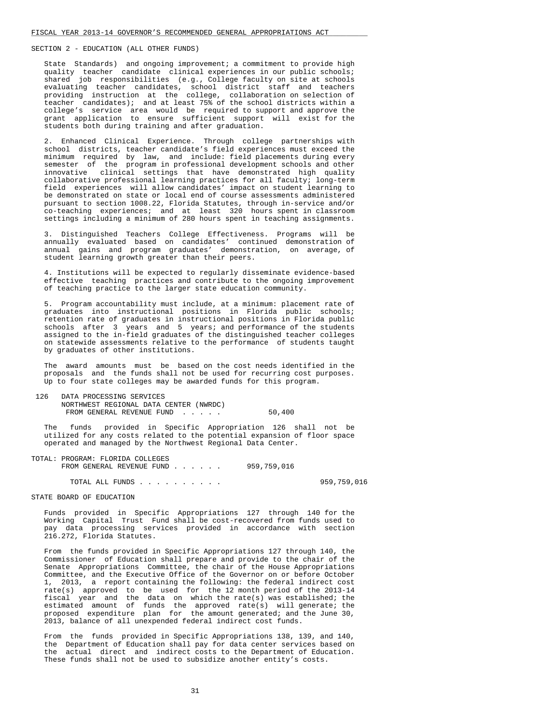State Standards) and ongoing improvement; a commitment to provide high quality teacher candidate clinical experiences in our public schools; shared job responsibilities (e.g., College faculty on site at schools evaluating teacher candidates, school district staff and teachers providing instruction at the college, collaboration on selection of teacher candidates); and at least 75% of the school districts within a college's service area would be required to support and approve the grant application to ensure sufficient support will exist for the students both during training and after graduation.

 2. Enhanced Clinical Experience. Through college partnerships with school districts, teacher candidate's field experiences must exceed the minimum required by law, and include: field placements during every semester of the program in professional development schools and other innovative clinical settings that have demonstrated high quality collaborative professional learning practices for all faculty; long-term field experiences will allow candidates' impact on student learning to be demonstrated on state or local end of course assessments administered pursuant to section 1008.22, Florida Statutes, through in-service and/or co-teaching experiences; and at least 320 hours spent in classroom settings including a minimum of 280 hours spent in teaching assignments.

 3. Distinguished Teachers College Effectiveness. Programs will be annually evaluated based on candidates' continued demonstration of annual gains and program graduates' demonstration, on average, of student learning growth greater than their peers.

 4. Institutions will be expected to regularly disseminate evidence-based effective teaching practices and contribute to the ongoing improvement of teaching practice to the larger state education community.

 5. Program accountability must include, at a minimum: placement rate of graduates into instructional positions in Florida public schools; retention rate of graduates in instructional positions in Florida public schools after 3 years and 5 years; and performance of the students assigned to the in-field graduates of the distinguished teacher colleges on statewide assessments relative to the performance of students taught by graduates of other institutions.

 The award amounts must be based on the cost needs identified in the proposals and the funds shall not be used for recurring cost purposes. Up to four state colleges may be awarded funds for this program.

 126 DATA PROCESSING SERVICES NORTHWEST REGIONAL DATA CENTER (NWRDC) FROM GENERAL REVENUE FUND . . . . . 50,400

 The funds provided in Specific Appropriation 126 shall not be utilized for any costs related to the potential expansion of floor space operated and managed by the Northwest Regional Data Center.

| TOTAL: PROGRAM: FLORIDA COLLEGES |             |
|----------------------------------|-------------|
| FROM GENERAL REVENUE FUND        | 959,759,016 |
|                                  |             |

TOTAL ALL FUNDS . . . . . . . . . . 959,759,016

STATE BOARD OF EDUCATION

 Funds provided in Specific Appropriations 127 through 140 for the Working Capital Trust Fund shall be cost-recovered from funds used to pay data processing services provided in accordance with section 216.272, Florida Statutes.

 From the funds provided in Specific Appropriations 127 through 140, the Commissioner of Education shall prepare and provide to the chair of the Senate Appropriations Committee, the chair of the House Appropriations Committee, and the Executive Office of the Governor on or before October 1, 2013, a report containing the following: the federal indirect cost rate(s) approved to be used for the 12 month period of the 2013-14 fiscal year and the data on which the rate(s) was established; the estimated amount of funds the approved rate(s) will generate; the proposed expenditure plan for the amount generated; and the June 30, 2013, balance of all unexpended federal indirect cost funds.

 From the funds provided in Specific Appropriations 138, 139, and 140, the Department of Education shall pay for data center services based on the actual direct and indirect costs to the Department of Education. These funds shall not be used to subsidize another entity's costs.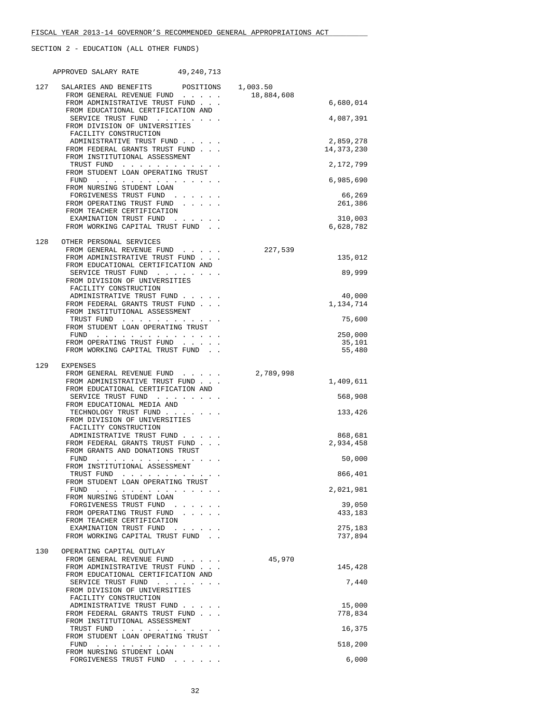|     | APPROVED SALARY RATE<br>49,240,713                                                                                                                                                                                                           |            |                     |
|-----|----------------------------------------------------------------------------------------------------------------------------------------------------------------------------------------------------------------------------------------------|------------|---------------------|
| 127 | SALARIES AND BENEFITS POSITIONS                                                                                                                                                                                                              | 1,003.50   |                     |
|     | FROM GENERAL REVENUE FUND<br>FROM ADMINISTRATIVE TRUST FUND                                                                                                                                                                                  | 18,884,608 | 6,680,014           |
|     | FROM EDUCATIONAL CERTIFICATION AND                                                                                                                                                                                                           |            |                     |
|     | SERVICE TRUST FUND<br>FROM DIVISION OF UNIVERSITIES<br>FACILITY CONSTRUCTION                                                                                                                                                                 |            | 4,087,391           |
|     | ADMINISTRATIVE TRUST FUND                                                                                                                                                                                                                    |            | 2,859,278           |
|     | FROM FEDERAL GRANTS TRUST FUND<br>FROM INSTITUTIONAL ASSESSMENT                                                                                                                                                                              |            | 14, 373, 230        |
|     | TRUST FUND<br>FROM STUDENT LOAN OPERATING TRUST                                                                                                                                                                                              |            | 2,172,799           |
|     | FUND                                                                                                                                                                                                                                         |            | 6,985,690           |
|     | FROM NURSING STUDENT LOAN<br>FORGIVENESS TRUST FUND                                                                                                                                                                                          |            | 66,269              |
|     | FROM OPERATING TRUST FUND<br>FROM TEACHER CERTIFICATION                                                                                                                                                                                      |            | 261,386             |
|     | EXAMINATION TRUST FUND                                                                                                                                                                                                                       |            | 310,003             |
|     | FROM WORKING CAPITAL TRUST FUND.                                                                                                                                                                                                             |            | 6,628,782           |
| 128 | OTHER PERSONAL SERVICES<br>FROM GENERAL REVENUE FUND                                                                                                                                                                                         | 227,539    |                     |
|     | FROM ADMINISTRATIVE TRUST FUND                                                                                                                                                                                                               |            | 135,012             |
|     | FROM EDUCATIONAL CERTIFICATION AND                                                                                                                                                                                                           |            |                     |
|     | SERVICE TRUST FUND<br>FROM DIVISION OF UNIVERSITIES                                                                                                                                                                                          |            | 89,999              |
|     | FACILITY CONSTRUCTION                                                                                                                                                                                                                        |            |                     |
|     | ADMINISTRATIVE TRUST FUND<br>FROM FEDERAL GRANTS TRUST FUND                                                                                                                                                                                  |            | 40,000<br>1,134,714 |
|     | FROM INSTITUTIONAL ASSESSMENT<br>TRUST FUND                                                                                                                                                                                                  |            | 75,600              |
|     | FROM STUDENT LOAN OPERATING TRUST                                                                                                                                                                                                            |            |                     |
|     | FUND $\cdots$<br>FROM OPERATING TRUST FUND<br>$\mathcal{L}^{\mathcal{A}}$ , and $\mathcal{L}^{\mathcal{A}}$ , and $\mathcal{L}^{\mathcal{A}}$                                                                                                |            | 250,000<br>35,101   |
|     | FROM WORKING CAPITAL TRUST FUND.                                                                                                                                                                                                             |            | 55,480              |
| 129 | EXPENSES                                                                                                                                                                                                                                     |            |                     |
|     | FROM GENERAL REVENUE FUND<br>FROM ADMINISTRATIVE TRUST FUND                                                                                                                                                                                  | 2,789,998  | 1,409,611           |
|     | FROM EDUCATIONAL CERTIFICATION AND                                                                                                                                                                                                           |            |                     |
|     | SERVICE TRUST FUND<br>FROM EDUCATIONAL MEDIA AND                                                                                                                                                                                             |            | 568,908             |
|     | TECHNOLOGY TRUST FUND                                                                                                                                                                                                                        |            | 133,426             |
|     | FROM DIVISION OF UNIVERSITIES<br>FACILITY CONSTRUCTION                                                                                                                                                                                       |            |                     |
|     | ADMINISTRATIVE TRUST FUND                                                                                                                                                                                                                    |            | 868,681             |
|     | FROM FEDERAL GRANTS TRUST FUND<br>FROM GRANTS AND DONATIONS TRUST                                                                                                                                                                            |            | 2,934,458           |
|     | FUND<br><u>in the series of the series of the series of the series of the series of the series of the series of the series of the series of the series of the series of the series of the series of the series of the series of the seri</u> |            | 50,000              |
|     | FROM INSTITUTIONAL ASSESSMENT                                                                                                                                                                                                                |            |                     |
|     | TRUST FUND<br>the contract of the contract of the contract of<br>FROM STUDENT LOAN OPERATING TRUST                                                                                                                                           |            | 866,401             |
|     | and the state of the state of the<br>FUND<br>FROM NURSING STUDENT LOAN                                                                                                                                                                       |            | 2,021,981           |
|     | FORGIVENESS TRUST FUND<br>$\sim 10^{-1}$ and $\sim 10^{-1}$                                                                                                                                                                                  |            | 39,050              |
|     | FROM OPERATING TRUST FUND<br>FROM TEACHER CERTIFICATION                                                                                                                                                                                      |            | 433,183             |
|     | EXAMINATION TRUST FUND<br>the contract of the contract of                                                                                                                                                                                    |            | 275,183             |
|     | FROM WORKING CAPITAL TRUST FUND.                                                                                                                                                                                                             |            | 737,894             |
| 130 | OPERATING CAPITAL OUTLAY                                                                                                                                                                                                                     |            |                     |
|     | FROM GENERAL REVENUE FUND<br>FROM ADMINISTRATIVE TRUST FUND                                                                                                                                                                                  | 45,970     | 145,428             |
|     | FROM EDUCATIONAL CERTIFICATION AND                                                                                                                                                                                                           |            |                     |
|     | SERVICE TRUST FUND<br>$\cdots$<br>FROM DIVISION OF UNIVERSITIES                                                                                                                                                                              |            | 7,440               |
|     | FACILITY CONSTRUCTION                                                                                                                                                                                                                        |            |                     |
|     | ADMINISTRATIVE TRUST FUND<br>FROM FEDERAL GRANTS TRUST FUND                                                                                                                                                                                  |            | 15,000<br>778,834   |
|     | FROM INSTITUTIONAL ASSESSMENT                                                                                                                                                                                                                |            |                     |
|     | TRUST FUND<br>FROM STUDENT LOAN OPERATING TRUST                                                                                                                                                                                              |            | 16,375              |
|     | FUND<br>and the state of the state of the                                                                                                                                                                                                    |            | 518,200             |
|     | FROM NURSING STUDENT LOAN<br>FORGIVENESS TRUST FUND                                                                                                                                                                                          |            | 6,000               |
|     | $\mathcal{L}(\mathbf{z})$ , and $\mathcal{L}(\mathbf{z})$ , and                                                                                                                                                                              |            |                     |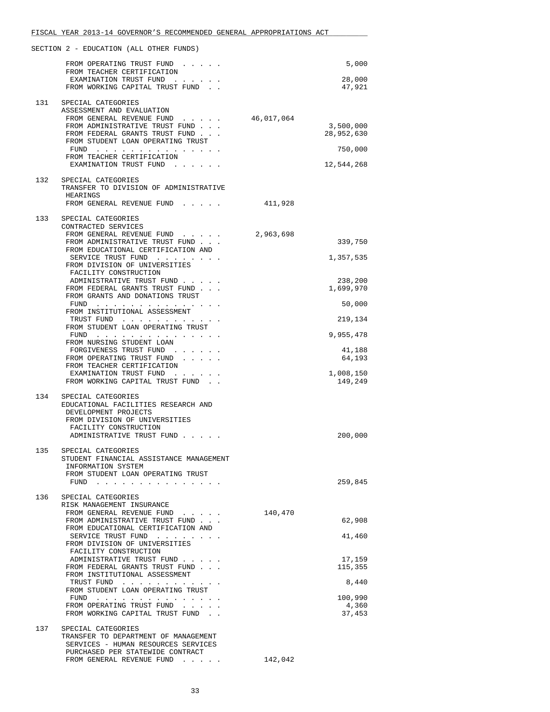|     | FISCAL YEAR 2013-14 GOVERNOR'S RECOMMENDED GENERAL APPROPRIATIONS ACT   |            |                      |
|-----|-------------------------------------------------------------------------|------------|----------------------|
|     | SECTION 2 - EDUCATION (ALL OTHER FUNDS)                                 |            |                      |
|     | FROM OPERATING TRUST FUND                                               |            | 5,000                |
|     | FROM TEACHER CERTIFICATION<br>EXAMINATION TRUST FUND                    |            | 28,000               |
|     | FROM WORKING CAPITAL TRUST FUND                                         |            | 47,921               |
| 131 | SPECIAL CATEGORIES                                                      |            |                      |
|     | ASSESSMENT AND EVALUATION                                               |            |                      |
|     | FROM GENERAL REVENUE FUND<br>FROM ADMINISTRATIVE TRUST FUND             | 46,017,064 | 3,500,000            |
|     | FROM FEDERAL GRANTS TRUST FUND                                          |            | 28,952,630           |
|     | FROM STUDENT LOAN OPERATING TRUST<br>$FUND$                             |            | 750,000              |
|     | FROM TEACHER CERTIFICATION                                              |            |                      |
|     | EXAMINATION TRUST FUND                                                  |            | 12,544,268           |
| 132 | SPECIAL CATEGORIES<br>TRANSFER TO DIVISION OF ADMINISTRATIVE            |            |                      |
|     | HEARINGS                                                                |            |                      |
|     | FROM GENERAL REVENUE FUND                                               | 411,928    |                      |
| 133 | SPECIAL CATEGORIES                                                      |            |                      |
|     | CONTRACTED SERVICES<br>FROM GENERAL REVENUE FUND                        | 2,963,698  |                      |
|     | FROM ADMINISTRATIVE TRUST FUND                                          |            | 339,750              |
|     | FROM EDUCATIONAL CERTIFICATION AND                                      |            |                      |
|     | SERVICE TRUST FUND<br>FROM DIVISION OF UNIVERSITIES                     |            | 1,357,535            |
|     | FACILITY CONSTRUCTION                                                   |            |                      |
|     | ADMINISTRATIVE TRUST FUND<br>FROM FEDERAL GRANTS TRUST FUND             |            | 238,200<br>1,699,970 |
|     | FROM GRANTS AND DONATIONS TRUST                                         |            |                      |
|     | FUND<br>FROM INSTITUTIONAL ASSESSMENT                                   |            | 50,000               |
|     | TRUST FUND<br>FROM STUDENT LOAN OPERATING TRUST                         |            | 219,134              |
|     | FUND $\cdots$                                                           |            | 9,955,478            |
|     | FROM NURSING STUDENT LOAN<br>FORGIVENESS TRUST FUND                     |            | 41,188               |
|     | FROM OPERATING TRUST FUND                                               |            | 64,193               |
|     | FROM TEACHER CERTIFICATION<br>EXAMINATION TRUST FUND                    |            | 1,008,150            |
|     | FROM WORKING CAPITAL TRUST FUND.                                        |            | 149,249              |
| 134 | SPECIAL CATEGORIES                                                      |            |                      |
|     | EDUCATIONAL FACILITIES RESEARCH AND                                     |            |                      |
|     | DEVELOPMENT PROJECTS<br>FROM DIVISION OF UNIVERSITIES                   |            |                      |
|     | FACILITY CONSTRUCTION                                                   |            |                      |
|     | ADMINISTRATIVE TRUST FUND                                               |            | 200,000              |
| 135 | SPECIAL CATEGORIES                                                      |            |                      |
|     | STUDENT FINANCIAL ASSISTANCE MANAGEMENT<br>INFORMATION SYSTEM           |            |                      |
|     | FROM STUDENT LOAN OPERATING TRUST                                       |            |                      |
|     | FUND $\cdots$ $\cdots$ $\cdots$ $\cdots$ $\cdots$ $\cdots$              |            | 259,845              |
| 136 | SPECIAL CATEGORIES                                                      |            |                      |
|     | RISK MANAGEMENT INSURANCE<br>FROM GENERAL REVENUE FUND                  | 140,470    |                      |
|     | FROM ADMINISTRATIVE TRUST FUND                                          |            | 62,908               |
|     | FROM EDUCATIONAL CERTIFICATION AND<br>SERVICE TRUST FUND                |            | 41,460               |
|     | FROM DIVISION OF UNIVERSITIES                                           |            |                      |
|     | FACILITY CONSTRUCTION<br>ADMINISTRATIVE TRUST FUND                      |            | 17,159               |
|     | FROM FEDERAL GRANTS TRUST FUND                                          |            | 115,355              |
|     | FROM INSTITUTIONAL ASSESSMENT<br>TRUST FUND                             |            | 8,440                |
|     | FROM STUDENT LOAN OPERATING TRUST                                       |            |                      |
|     | FUND<br>FROM OPERATING TRUST FUND                                       |            | 100,990<br>4,360     |
|     | FROM WORKING CAPITAL TRUST FUND.                                        |            | 37,453               |
| 137 | SPECIAL CATEGORIES                                                      |            |                      |
|     | TRANSFER TO DEPARTMENT OF MANAGEMENT                                    |            |                      |
|     | SERVICES - HUMAN RESOURCES SERVICES<br>PURCHASED PER STATEWIDE CONTRACT |            |                      |
|     | FROM GENERAL REVENUE FUND                                               | 142,042    |                      |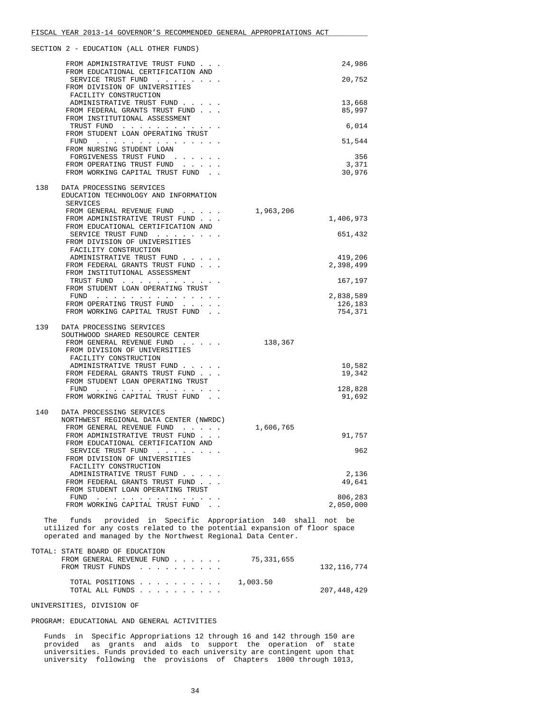|     | FROM ADMINISTRATIVE TRUST FUND                                  |           | 24,986           |
|-----|-----------------------------------------------------------------|-----------|------------------|
|     | FROM EDUCATIONAL CERTIFICATION AND                              |           |                  |
|     | SERVICE TRUST FUND                                              |           | 20,752           |
|     | FROM DIVISION OF UNIVERSITIES                                   |           |                  |
|     | FACILITY CONSTRUCTION<br>ADMINISTRATIVE TRUST FUND              |           | 13,668           |
|     | FROM FEDERAL GRANTS TRUST FUND                                  |           | 85,997           |
|     | FROM INSTITUTIONAL ASSESSMENT                                   |           |                  |
|     | TRUST FUND                                                      |           | 6,014            |
|     | FROM STUDENT LOAN OPERATING TRUST                               |           |                  |
|     | $FUND$                                                          |           | 51,544           |
|     | FROM NURSING STUDENT LOAN<br>FORGIVENESS TRUST FUND.            |           | 356              |
|     |                                                                 |           | 3,371            |
|     | FROM OPERATING TRUST FUND<br>FROM WORKING CAPITAL TRUST FUND    |           | 30,976           |
|     |                                                                 |           |                  |
| 138 | DATA PROCESSING SERVICES                                        |           |                  |
|     | EDUCATION TECHNOLOGY AND INFORMATION                            |           |                  |
|     | SERVICES                                                        |           |                  |
|     | FROM GENERAL REVENUE FUND                                       | 1,963,206 |                  |
|     | FROM ADMINISTRATIVE TRUST FUND.                                 |           | 1,406,973        |
|     | FROM EDUCATIONAL CERTIFICATION AND                              |           |                  |
|     | SERVICE TRUST FUND                                              |           | 651,432          |
|     | FROM DIVISION OF UNIVERSITIES                                   |           |                  |
|     | FACILITY CONSTRUCTION                                           |           |                  |
|     | ADMINISTRATIVE TRUST FUND                                       |           | 419,206          |
|     | FROM FEDERAL GRANTS TRUST FUND<br>FROM INSTITUTIONAL ASSESSMENT |           | 2,398,499        |
|     | TRUST FUND                                                      |           | 167,197          |
|     | FROM STUDENT LOAN OPERATING TRUST                               |           |                  |
|     | $FUND$                                                          |           | 2,838,589        |
|     | FROM OPERATING TRUST FUND                                       |           | 126,183          |
|     | FROM WORKING CAPITAL TRUST FUND.                                |           | 754,371          |
|     |                                                                 |           |                  |
| 139 | DATA PROCESSING SERVICES                                        |           |                  |
|     | SOUTHWOOD SHARED RESOURCE CENTER                                |           |                  |
|     | FROM GENERAL REVENUE FUND                                       | 138,367   |                  |
|     | FROM DIVISION OF UNIVERSITIES                                   |           |                  |
|     | FACILITY CONSTRUCTION                                           |           |                  |
|     | ADMINISTRATIVE TRUST FUND<br>FROM FEDERAL GRANTS TRUST FUND     |           | 10,582<br>19,342 |
|     | FROM STUDENT LOAN OPERATING TRUST                               |           |                  |
|     | $FUND$                                                          |           | 128,828          |
|     | FROM WORKING CAPITAL TRUST FUND.                                |           | 91,692           |
|     |                                                                 |           |                  |
| 140 | DATA PROCESSING SERVICES                                        |           |                  |
|     | NORTHWEST REGIONAL DATA CENTER (NWRDC)                          |           |                  |
|     | FROM GENERAL REVENUE FUND                                       | 1,606,765 |                  |
|     | FROM ADMINISTRATIVE TRUST FUND                                  |           | 91,757           |
|     | FROM EDUCATIONAL CERTIFICATION AND                              |           |                  |
|     | SERVICE TRUST FUND                                              |           | 962              |
|     | FROM DIVISION OF UNIVERSITIES                                   |           |                  |
|     | FACILITY CONSTRUCTION<br>ADMINISTRATIVE TRUST FUND              |           | 2,136            |
|     | FROM FEDERAL GRANTS TRUST FUND.                                 |           | 49,641           |
|     | FROM STUDENT LOAN OPERATING TRUST                               |           |                  |
|     | $FUND$                                                          |           | 806,283          |
|     | FROM WORKING CAPITAL TRUST FUND                                 |           | 2,050,000        |
|     |                                                                 |           |                  |

 The funds provided in Specific Appropriation 140 shall not be utilized for any costs related to the potential expansion of floor space operated and managed by the Northwest Regional Data Center.

| TOTAL: STATE BOARD OF EDUCATION<br>FROM GENERAL REVENUE FUND $\ldots$ $\ldots$ $\ldots$ 75.331.655 |             |
|----------------------------------------------------------------------------------------------------|-------------|
| FROM TRUST FUNDS                                                                                   | 132,116,774 |
| TOTAL POSITIONS $\ldots$ , , , , , , , , 1,003.50<br>TOTAL ALL FUNDS                               | 207,448,429 |

UNIVERSITIES, DIVISION OF

# PROGRAM: EDUCATIONAL AND GENERAL ACTIVITIES

 Funds in Specific Appropriations 12 through 16 and 142 through 150 are provided as grants and aids to support the operation of state universities. Funds provided to each university are contingent upon that university following the provisions of Chapters 1000 through 1013,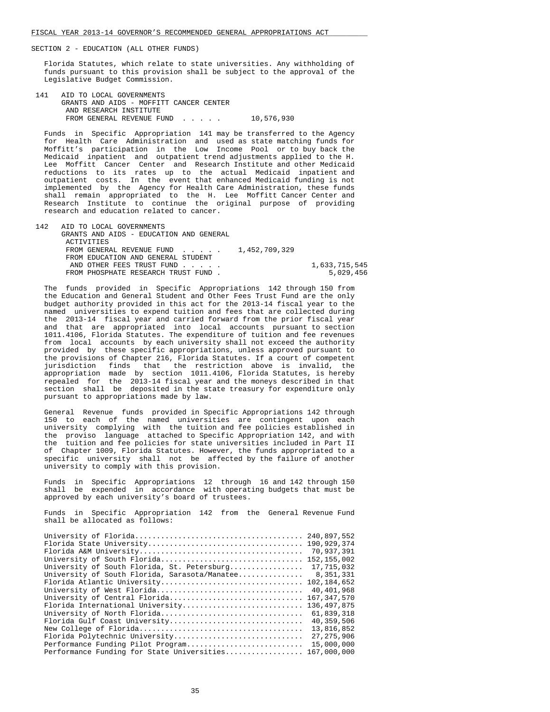Florida Statutes, which relate to state universities. Any withholding of funds pursuant to this provision shall be subject to the approval of the Legislative Budget Commission.

 141 AID TO LOCAL GOVERNMENTS GRANTS AND AIDS - MOFFITT CANCER CENTER AND RESEARCH INSTITUTE FROM GENERAL REVENUE FUND . . . . . 10,576,930

 Funds in Specific Appropriation 141 may be transferred to the Agency for Health Care Administration and used as state matching funds for Moffitt's participation in the Low Income Pool or to buy back the Medicaid inpatient and outpatient trend adjustments applied to the H. Lee Moffitt Cancer Center and Research Institute and other Medicaid reductions to its rates up to the actual Medicaid inpatient and outpatient costs. In the event that enhanced Medicaid funding is not implemented by the Agency for Health Care Administration, these funds shall remain appropriated to the H. Lee Moffitt Cancer Center and Research Institute to continue the original purpose of providing research and education related to cancer.

 142 AID TO LOCAL GOVERNMENTS GRANTS AND AIDS - EDUCATION AND GENERAL **ACTIVITIES** FROM GENERAL REVENUE FUND . . . . . 1,452,709,329 FROM EDUCATION AND GENERAL STUDENT AND OTHER FEES TRUST FUND . . . . . 1,633,715,545 FROM PHOSPHATE RESEARCH TRUST FUND.

 The funds provided in Specific Appropriations 142 through 150 from the Education and General Student and Other Fees Trust Fund are the only budget authority provided in this act for the 2013-14 fiscal year to the named universities to expend tuition and fees that are collected during the 2013-14 fiscal year and carried forward from the prior fiscal year<br>and that are appropriated into local accounts pursuant to section that are appropriated into local accounts pursuant to section 1011.4106, Florida Statutes. The expenditure of tuition and fee revenues from local accounts by each university shall not exceed the authority provided by these specific appropriations, unless approved pursuant to the provisions of Chapter 216, Florida Statutes. If a court of competent jurisdiction finds that the restriction above is invalid, the appropriation made by section 1011.4106, Florida Statutes, is hereby repealed for the 2013-14 fiscal year and the moneys described in that section shall be deposited in the state treasury for expenditure only pursuant to appropriations made by law.

 General Revenue funds provided in Specific Appropriations 142 through 150 to each of the named universities are contingent upon each university complying with the tuition and fee policies established in the proviso language attached to Specific Appropriation 142, and with the tuition and fee policies for state universities included in Part II of Chapter 1009, Florida Statutes. However, the funds appropriated to a specific university shall not be affected by the failure of another university to comply with this provision.

 Funds in Specific Appropriations 12 through 16 and 142 through 150 shall be expended in accordance with operating budgets that must be approved by each university's board of trustees.

 Funds in Specific Appropriation 142 from the General Revenue Fund shall be allocated as follows:

|                                               | 240,897,552   |
|-----------------------------------------------|---------------|
|                                               | 190,929,374   |
|                                               | 70,937,391    |
| University of South Florida                   | 152, 155, 002 |
| University of South Florida, St. Petersburg   | 17,715,032    |
| University of South Florida, Sarasota/Manatee | 8,351,331     |
| Florida Atlantic University                   | 102,184,652   |
| University of West Florida                    | 40,401,968    |
| University of Central Florida                 | 167, 347, 570 |
| Florida International University              | 136, 497, 875 |
| University of North Florida                   | 61,839,318    |
| Florida Gulf Coast University                 | 40,359,506    |
|                                               | 13,816,852    |
| Florida Polytechnic University                | 27, 275, 906  |
| Performance Funding Pilot Program             | 15,000,000    |
| Performance Funding for State Universities    | 167,000,000   |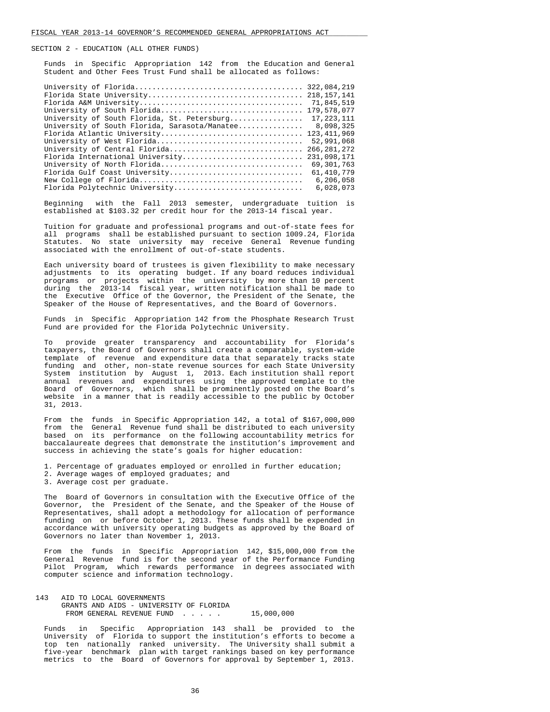Funds in Specific Appropriation 142 from the Education and General Student and Other Fees Trust Fund shall be allocated as follows:

|                                               | 322,084,219   |
|-----------------------------------------------|---------------|
|                                               |               |
|                                               | 71,845,519    |
| University of South Florida                   | 179,578,077   |
| University of South Florida, St. Petersburg   | 17, 223, 111  |
| University of South Florida, Sarasota/Manatee | 8,098,325     |
| Florida Atlantic University                   | 123, 411, 969 |
| University of West Florida                    | 52,991,068    |
| University of Central Florida                 | 266, 281, 272 |
| Florida International University              | 231,098,171   |
| University of North Florida                   | 69, 301, 763  |
| Florida Gulf Coast University                 | 61, 410, 779  |
|                                               | 6,206,058     |
| Florida Polytechnic University                | 6,028,073     |
|                                               |               |

 Beginning with the Fall 2013 semester, undergraduate tuition is established at \$103.32 per credit hour for the 2013-14 fiscal year.

 Tuition for graduate and professional programs and out-of-state fees for all programs shall be established pursuant to section 1009.24, Florida Statutes. No state university may receive General Revenue funding associated with the enrollment of out-of-state students.

 Each university board of trustees is given flexibility to make necessary adjustments to its operating budget. If any board reduces individual programs or projects within the university by more than 10 percent during the 2013-14 fiscal year, written notification shall be made to the Executive Office of the Governor, the President of the Senate, the Speaker of the House of Representatives, and the Board of Governors.

 Funds in Specific Appropriation 142 from the Phosphate Research Trust Fund are provided for the Florida Polytechnic University.

 To provide greater transparency and accountability for Florida's taxpayers, the Board of Governors shall create a comparable, system-wide template of revenue and expenditure data that separately tracks state funding and other, non-state revenue sources for each State University System institution by August 1, 2013. Each institution shall report annual revenues and expenditures using the approved template to the Board of Governors, which shall be prominently posted on the Board's website in a manner that is readily accessible to the public by October 31, 2013.

 From the funds in Specific Appropriation 142, a total of \$167,000,000 from the General Revenue fund shall be distributed to each university based on its performance on the following accountability metrics for baccalaureate degrees that demonstrate the institution's improvement and success in achieving the state's goals for higher education:

- 1. Percentage of graduates employed or enrolled in further education; 2. Average wages of employed graduates; and
- 3. Average cost per graduate.

 The Board of Governors in consultation with the Executive Office of the Governor, the President of the Senate, and the Speaker of the House of Representatives, shall adopt a methodology for allocation of performance funding on or before October 1, 2013. These funds shall be expended in accordance with university operating budgets as approved by the Board of Governors no later than November 1, 2013.

 From the funds in Specific Appropriation 142, \$15,000,000 from the General Revenue fund is for the second year of the Performance Funding Pilot Program, which rewards performance in degrees associated with computer science and information technology.

 143 AID TO LOCAL GOVERNMENTS GRANTS AND AIDS - UNIVERSITY OF FLORIDA FROM GENERAL REVENUE FUND . . . . . 15,000,000

 Funds in Specific Appropriation 143 shall be provided to the University of Florida to support the institution's efforts to become a top ten nationally ranked university. The University shall submit a five-year benchmark plan with target rankings based on key performance metrics to the Board of Governors for approval by September 1, 2013.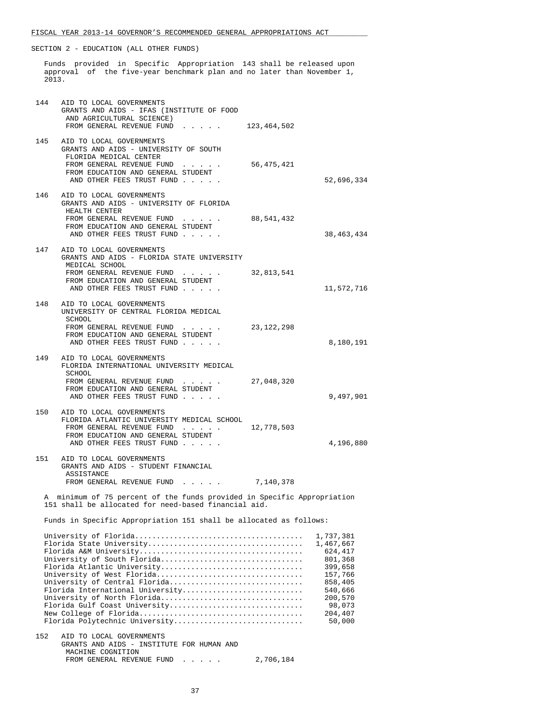Funds provided in Specific Appropriation 143 shall be released upon approval of the five-year benchmark plan and no later than November 1, 2013.

| 144 | AID TO LOCAL GOVERNMENTS<br>GRANTS AND AIDS - IFAS (INSTITUTE OF FOOD<br>AND AGRICULTURAL SCIENCE)<br>FROM GENERAL REVENUE FUND 13,464,502                                                                                                                      |                                                                                                                                    |
|-----|-----------------------------------------------------------------------------------------------------------------------------------------------------------------------------------------------------------------------------------------------------------------|------------------------------------------------------------------------------------------------------------------------------------|
|     | 145 AID TO LOCAL GOVERNMENTS<br>GRANTS AND AIDS - UNIVERSITY OF SOUTH<br>FLORIDA MEDICAL CENTER<br>FROM GENERAL REVENUE FUND<br>56,475,421<br>FROM EDUCATION AND GENERAL STUDENT<br>AND OTHER FEES TRUST FUND                                                   | 52,696,334                                                                                                                         |
|     | 146 AID TO LOCAL GOVERNMENTS<br>GRANTS AND AIDS - UNIVERSITY OF FLORIDA<br>HEALTH CENTER<br>FROM GENERAL REVENUE FUND<br>88,541,432<br>FROM EDUCATION AND GENERAL STUDENT<br>AND OTHER FEES TRUST FUND                                                          | 38,463,434                                                                                                                         |
|     | 147 AID TO LOCAL GOVERNMENTS<br>GRANTS AND AIDS - FLORIDA STATE UNIVERSITY<br>MEDICAL SCHOOL<br>FROM GENERAL REVENUE FUND<br>32,813,541<br>FROM EDUCATION AND GENERAL STUDENT<br>AND OTHER FEES TRUST FUND                                                      | 11,572,716                                                                                                                         |
|     | 148 AID TO LOCAL GOVERNMENTS<br>UNIVERSITY OF CENTRAL FLORIDA MEDICAL<br>SCHOOL<br>FROM GENERAL REVENUE FUND<br>23,122,298<br>FROM EDUCATION AND GENERAL STUDENT<br>AND OTHER FEES TRUST FUND                                                                   | 8,180,191                                                                                                                          |
| 149 | AID TO LOCAL GOVERNMENTS<br>FLORIDA INTERNATIONAL UNIVERSITY MEDICAL<br>SCHOOL<br>FROM GENERAL REVENUE FUND<br>27,048,320<br>FROM EDUCATION AND GENERAL STUDENT<br>AND OTHER FEES TRUST FUND                                                                    | 9,497,901                                                                                                                          |
| 150 | AID TO LOCAL GOVERNMENTS<br>FLORIDA ATLANTIC UNIVERSITY MEDICAL SCHOOL<br>FROM GENERAL REVENUE FUND<br>12,778,503<br>FROM EDUCATION AND GENERAL STUDENT<br>AND OTHER FEES TRUST FUND                                                                            | 4,196,880                                                                                                                          |
|     | 151 AID TO LOCAL GOVERNMENTS<br>GRANTS AND AIDS - STUDENT FINANCIAL<br>ASSISTANCE<br>FROM GENERAL REVENUE FUND<br>7,140,378                                                                                                                                     |                                                                                                                                    |
|     | A minimum of 75 percent of the funds provided in Specific Appropriation<br>151 shall be allocated for need-based financial aid.                                                                                                                                 |                                                                                                                                    |
|     | Funds in Specific Appropriation 151 shall be allocated as follows:                                                                                                                                                                                              |                                                                                                                                    |
|     | University of South Florida<br>Florida Atlantic University<br>University of West Florida<br>University of Central Florida<br>Florida International University<br>University of North Florida<br>Florida Gulf Coast University<br>Florida Polytechnic University | 1,737,381<br>1,467,667<br>624,417<br>801,368<br>399,658<br>157,766<br>858,405<br>540,666<br>200,570<br>98,073<br>204,407<br>50,000 |
| 152 | AID TO LOCAL GOVERNMENTS<br>GRANTS AND AIDS - INSTITUTE FOR HUMAN AND<br>MACHINE COGNITION<br>FROM GENERAL REVENUE FUND<br>2,706,184                                                                                                                            |                                                                                                                                    |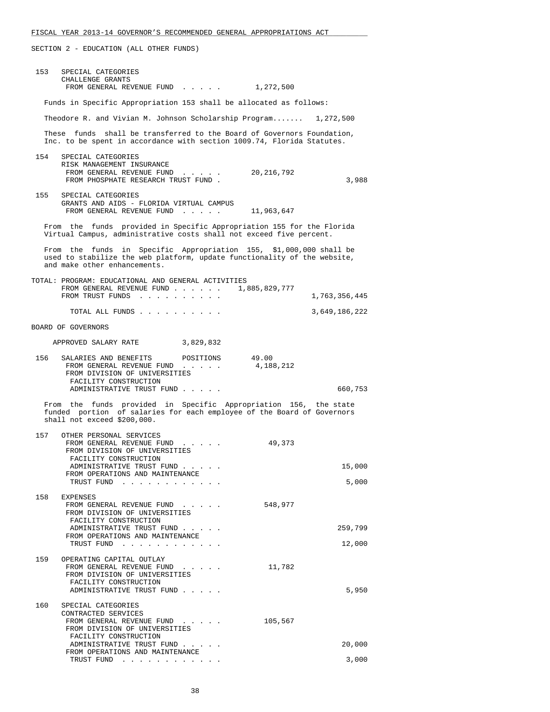| 153 | SPECIAL CATEGORIES<br>CHALLENGE GRANTS<br>FROM GENERAL REVENUE FUND 1,272,500                                                                                                  |               |
|-----|--------------------------------------------------------------------------------------------------------------------------------------------------------------------------------|---------------|
|     | Funds in Specific Appropriation 153 shall be allocated as follows:                                                                                                             |               |
|     |                                                                                                                                                                                |               |
|     | Theodore R. and Vivian M. Johnson Scholarship Program 1,272,500                                                                                                                |               |
|     | These funds shall be transferred to the Board of Governors Foundation,<br>Inc. to be spent in accordance with section 1009.74, Florida Statutes.                               |               |
|     | 154 SPECIAL CATEGORIES<br>RISK MANAGEMENT INSURANCE<br>FROM GENERAL REVENUE FUND 20,216,792<br>FROM PHOSPHATE RESEARCH TRUST FUND.                                             | 3,988         |
|     | 155 SPECIAL CATEGORIES<br>GRANTS AND AIDS - FLORIDA VIRTUAL CAMPUS<br>FROM GENERAL REVENUE FUND<br>11,963,647                                                                  |               |
|     | From the funds provided in Specific Appropriation 155 for the Florida<br>Virtual Campus, administrative costs shall not exceed five percent.                                   |               |
|     | From the funds in Specific Appropriation 155, \$1,000,000 shall be<br>used to stabilize the web platform, update functionality of the website,<br>and make other enhancements. |               |
|     | TOTAL: PROGRAM: EDUCATIONAL AND GENERAL ACTIVITIES<br>FROM GENERAL REVENUE FUND 1,885,829,777<br>FROM TRUST FUNDS                                                              | 1,763,356,445 |
|     | TOTAL ALL FUNDS                                                                                                                                                                | 3,649,186,222 |
|     | BOARD OF GOVERNORS                                                                                                                                                             |               |
|     | APPROVED SALARY RATE<br>3,829,832                                                                                                                                              |               |
|     | 156 SALARIES AND BENEFITS POSITIONS<br>49.00<br>4,188,212<br>FROM GENERAL REVENUE FUND<br>FROM DIVISION OF UNIVERSITIES<br>FACILITY CONSTRUCTION                               |               |
|     | ADMINISTRATIVE TRUST FUND                                                                                                                                                      | 660,753       |
|     | From the funds provided in Specific Appropriation 156, the state<br>funded portion of salaries for each employee of the Board of Governors<br>shall not exceed \$200,000.      |               |
| 157 | OTHER PERSONAL SERVICES<br>FROM GENERAL REVENUE FUND<br>49,373<br>FROM DIVISION OF UNIVERSITIES<br>FACILITY CONSTRUCTION<br>ADMINISTRATIVE TRUST FUND                          | 15,000        |
|     | FROM OPERATIONS AND MAINTENANCE<br>TRUST FUND<br>the company of the company                                                                                                    | 5,000         |
| 158 | EXPENSES<br>548,977<br>FROM GENERAL REVENUE FUND<br>FROM DIVISION OF UNIVERSITIES<br>FACILITY CONSTRUCTION<br>ADMINISTRATIVE TRUST FUND                                        | 259,799       |
|     | FROM OPERATIONS AND MAINTENANCE<br>TRUST FUND                                                                                                                                  | 12,000        |
| 159 | OPERATING CAPITAL OUTLAY                                                                                                                                                       |               |
|     | FROM GENERAL REVENUE FUND<br>11,782<br>FROM DIVISION OF UNIVERSITIES<br>FACILITY CONSTRUCTION<br>ADMINISTRATIVE TRUST FUND                                                     | 5,950         |
| 160 | SPECIAL CATEGORIES                                                                                                                                                             |               |
|     | CONTRACTED SERVICES<br>FROM GENERAL REVENUE FUND<br>105,567<br>FROM DIVISION OF UNIVERSITIES                                                                                   |               |
|     | FACILITY CONSTRUCTION<br>ADMINISTRATIVE TRUST FUND                                                                                                                             | 20,000        |
|     | FROM OPERATIONS AND MAINTENANCE<br>TRUST FUND                                                                                                                                  | 3,000         |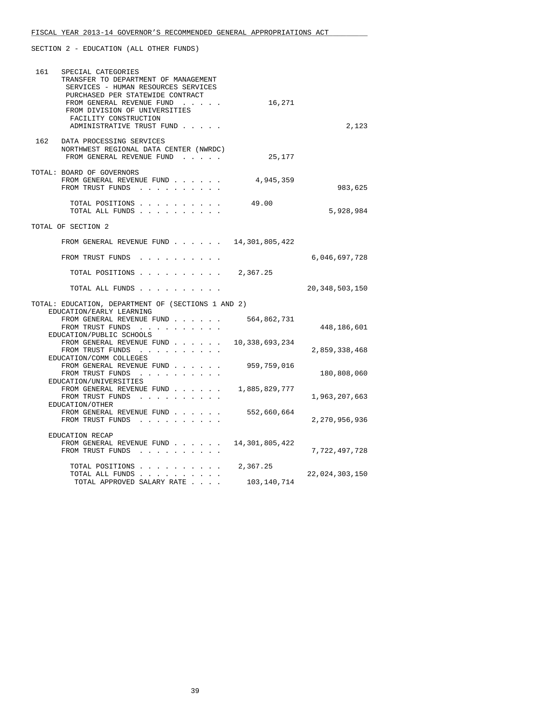| 161 | SPECIAL CATEGORIES<br>TRANSFER TO DEPARTMENT OF MANAGEMENT<br>SERVICES - HUMAN RESOURCES SERVICES<br>PURCHASED PER STATEWIDE CONTRACT<br>FROM GENERAL REVENUE FUND<br>FROM DIVISION OF UNIVERSITIES<br>FACILITY CONSTRUCTION<br>ADMINISTRATIVE TRUST FUND | 16,271         | 2,123             |
|-----|-----------------------------------------------------------------------------------------------------------------------------------------------------------------------------------------------------------------------------------------------------------|----------------|-------------------|
| 162 | DATA PROCESSING SERVICES<br>NORTHWEST REGIONAL DATA CENTER (NWRDC)<br>FROM GENERAL REVENUE FUND                                                                                                                                                           | 25,177         |                   |
|     | TOTAL: BOARD OF GOVERNORS<br>FROM GENERAL REVENUE FUND<br>FROM TRUST FUNDS                                                                                                                                                                                | 4,945,359      | 983,625           |
|     | TOTAL POSITIONS<br>TOTAL ALL FUNDS                                                                                                                                                                                                                        | 49.00          | 5,928,984         |
|     | TOTAL OF SECTION 2                                                                                                                                                                                                                                        |                |                   |
|     | FROM GENERAL REVENUE FUND $\ldots$ $\ldots$ $14,301,805,422$                                                                                                                                                                                              |                |                   |
|     | FROM TRUST FUNDS                                                                                                                                                                                                                                          |                | 6,046,697,728     |
|     | TOTAL POSITIONS 2,367.25                                                                                                                                                                                                                                  |                |                   |
|     | TOTAL ALL FUNDS                                                                                                                                                                                                                                           |                | 20, 348, 503, 150 |
|     | TOTAL: EDUCATION, DEPARTMENT OF (SECTIONS 1 AND 2)                                                                                                                                                                                                        |                |                   |
|     | EDUCATION/EARLY LEARNING<br>FROM GENERAL REVENUE FUND<br>FROM TRUST FUNDS<br>EDUCATION/PUBLIC SCHOOLS                                                                                                                                                     | 564,862,731    | 448,186,601       |
|     | FROM GENERAL REVENUE FUND<br>FROM TRUST FUNDS<br>EDUCATION/COMM COLLEGES                                                                                                                                                                                  | 10,338,693,234 | 2,859,338,468     |
|     | FROM GENERAL REVENUE FUND<br>FROM TRUST FUNDS                                                                                                                                                                                                             | 959,759,016    | 180,808,060       |
|     | EDUCATION/UNIVERSITIES<br>FROM GENERAL REVENUE FUND<br>FROM TRUST FUNDS<br>EDUCATION/OTHER                                                                                                                                                                | 1,885,829,777  | 1,963,207,663     |
|     | FROM GENERAL REVENUE FUND<br>FROM TRUST FUNDS                                                                                                                                                                                                             | 552,660,664    | 2,270,956,936     |
|     | EDUCATION RECAP<br>FROM GENERAL REVENUE FUND<br>FROM TRUST FUNDS                                                                                                                                                                                          | 14,301,805,422 | 7,722,497,728     |
|     | TOTAL POSITIONS<br>TOTAL ALL FUNDS                                                                                                                                                                                                                        | 2,367.25       | 22,024,303,150    |
|     | TOTAL APPROVED SALARY RATE                                                                                                                                                                                                                                | 103,140,714    |                   |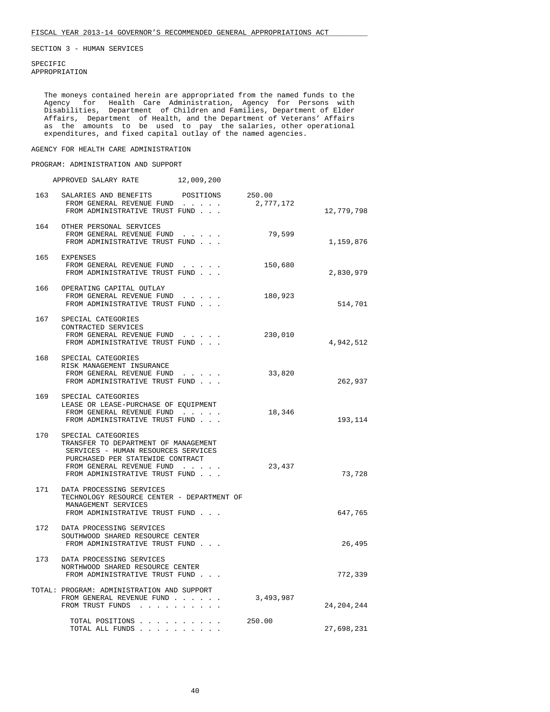SPECIFIC APPROPRIATION

 The moneys contained herein are appropriated from the named funds to the Agency for Health Care Administration, Agency for Persons with Disabilities, Department of Children and Families, Department of Elder Affairs, Department of Health, and the Department of Veterans' Affairs as the amounts to be used to pay the salaries, other operational expenditures, and fixed capital outlay of the named agencies.

AGENCY FOR HEALTH CARE ADMINISTRATION

## PROGRAM: ADMINISTRATION AND SUPPORT

|     | APPROVED SALARY RATE                                                                                                                                                                                     | 12,009,200 |                     |              |
|-----|----------------------------------------------------------------------------------------------------------------------------------------------------------------------------------------------------------|------------|---------------------|--------------|
|     | 163 SALARIES AND BENEFITS POSITIONS<br>FROM GENERAL REVENUE FUND<br>FROM ADMINISTRATIVE TRUST FUND                                                                                                       |            | 250.00<br>2,777,172 | 12,779,798   |
|     | 164 OTHER PERSONAL SERVICES<br>FROM GENERAL REVENUE FUND<br>FROM ADMINISTRATIVE TRUST FUND                                                                                                               |            | 79,599              | 1,159,876    |
|     | 165 EXPENSES<br>FROM GENERAL REVENUE FUND<br>FROM ADMINISTRATIVE TRUST FUND                                                                                                                              |            | 150,680             | 2,830,979    |
|     | 166 OPERATING CAPITAL OUTLAY<br>FROM GENERAL REVENUE FUND<br>FROM ADMINISTRATIVE TRUST FUND                                                                                                              | .          | 180,923             | 514,701      |
|     | 167 SPECIAL CATEGORIES<br>CONTRACTED SERVICES<br>FROM GENERAL REVENUE FUND<br>FROM ADMINISTRATIVE TRUST FUND                                                                                             |            | 230,010             | 4,942,512    |
| 168 | SPECIAL CATEGORIES<br>RISK MANAGEMENT INSURANCE<br>FROM GENERAL REVENUE FUND<br>FROM ADMINISTRATIVE TRUST FUND                                                                                           |            | 33,820              | 262,937      |
|     | 169 SPECIAL CATEGORIES<br>LEASE OR LEASE-PURCHASE OF EQUIPMENT<br>FROM GENERAL REVENUE FUND<br>FROM ADMINISTRATIVE TRUST FUND                                                                            |            | 18,346              | 193,114      |
|     | 170 SPECIAL CATEGORIES<br>TRANSFER TO DEPARTMENT OF MANAGEMENT<br>SERVICES - HUMAN RESOURCES SERVICES<br>PURCHASED PER STATEWIDE CONTRACT<br>FROM GENERAL REVENUE FUND<br>FROM ADMINISTRATIVE TRUST FUND |            | 23,437              | 73,728       |
|     | 171 DATA PROCESSING SERVICES<br>TECHNOLOGY RESOURCE CENTER - DEPARTMENT OF<br>MANAGEMENT SERVICES<br>FROM ADMINISTRATIVE TRUST FUND                                                                      |            |                     | 647,765      |
|     | 172 DATA PROCESSING SERVICES<br>SOUTHWOOD SHARED RESOURCE CENTER<br>FROM ADMINISTRATIVE TRUST FUND                                                                                                       |            |                     | 26,495       |
| 173 | DATA PROCESSING SERVICES<br>NORTHWOOD SHARED RESOURCE CENTER<br>FROM ADMINISTRATIVE TRUST FUND                                                                                                           |            |                     | 772,339      |
|     | TOTAL: PROGRAM: ADMINISTRATION AND SUPPORT<br>FROM GENERAL REVENUE FUND<br>FROM TRUST FUNDS                                                                                                              |            | 3,493,987           | 24, 204, 244 |
|     | TOTAL POSITIONS<br>TOTAL ALL FUNDS                                                                                                                                                                       |            | 250.00              | 27,698,231   |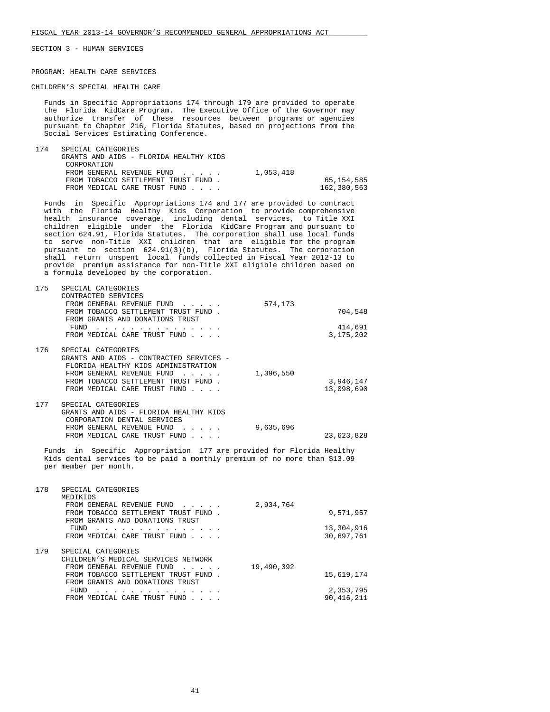PROGRAM: HEALTH CARE SERVICES

CHILDREN'S SPECIAL HEALTH CARE

 Funds in Specific Appropriations 174 through 179 are provided to operate the Florida KidCare Program. The Executive Office of the Governor may authorize transfer of these resources between programs or agencies pursuant to Chapter 216, Florida Statutes, based on projections from the Social Services Estimating Conference.

| 174 | SPECIAL CATEGORIES                     |           |             |
|-----|----------------------------------------|-----------|-------------|
|     | GRANTS AND AIDS - FLORIDA HEALTHY KIDS |           |             |
|     | CORPORATION                            |           |             |
|     | FROM GENERAL REVENUE FUND              | 1,053,418 |             |
|     | FROM TOBACCO SETTLEMENT TRUST FUND.    |           | 65,154,585  |
|     | FROM MEDICAL CARE TRUST FUND           |           | 162,380,563 |

 Funds in Specific Appropriations 174 and 177 are provided to contract with the Florida Healthy Kids Corporation to provide comprehensive health insurance coverage, including dental services, to Title XXI children eligible under the Florida KidCare Program and pursuant to section 624.91, Florida Statutes. The corporation shall use local funds to serve non-Title XXI children that are eligible for the program pursuant to section 624.91(3)(b), Florida Statutes. The corporation shall return unspent local funds collected in Fiscal Year 2012-13 to provide premium assistance for non-Title XXI eligible children based on a formula developed by the corporation.

| 175 | SPECIAL CATEGORIES                      |           |             |
|-----|-----------------------------------------|-----------|-------------|
|     | CONTRACTED SERVICES                     |           |             |
|     | FROM GENERAL REVENUE FUND               | 574,173   |             |
|     | FROM TOBACCO SETTLEMENT TRUST FUND.     |           | 704,548     |
|     | FROM GRANTS AND DONATIONS TRUST         |           |             |
|     | FUND                                    |           | 414,691     |
|     | FROM MEDICAL CARE TRUST FUND            |           | 3, 175, 202 |
|     |                                         |           |             |
| 176 | SPECIAL CATEGORIES                      |           |             |
|     | GRANTS AND AIDS - CONTRACTED SERVICES - |           |             |
|     | FLORIDA HEALTHY KIDS ADMINISTRATION     |           |             |
|     | FROM GENERAL REVENUE FUND               | 1,396,550 |             |
|     |                                         |           |             |
|     | FROM TOBACCO SETTLEMENT TRUST FUND.     |           | 3,946,147   |
|     | FROM MEDICAL CARE TRUST FUND            |           | 13,098,690  |
|     |                                         |           |             |
| 177 | SPECIAL CATEGORIES                      |           |             |
|     | GRANTS AND AIDS - FLORIDA HEALTHY KIDS  |           |             |
|     | CORPORATION DENTAL SERVICES             |           |             |
|     | רוגוזים הוזוגהזזים וגםהוגהו⊘ וג∩םהו     | 0.625.606 |             |

 FROM GENERAL REVENUE FUND . . . . . 9,635,696 FROM MEDICAL CARE TRUST FUND . . . . 23,623,828

 Funds in Specific Appropriation 177 are provided for Florida Healthy Kids dental services to be paid a monthly premium of no more than \$13.09 per member per month.

| 178 | SPECIAL CATEGORIES<br>MEDIKIDS                                                                                          |            |              |
|-----|-------------------------------------------------------------------------------------------------------------------------|------------|--------------|
|     | FROM GENERAL REVENUE FUND<br>$\mathbf{1}$ $\mathbf{1}$ $\mathbf{1}$ $\mathbf{1}$ $\mathbf{1}$ $\mathbf{1}$ $\mathbf{1}$ | 2,934,764  |              |
|     | FROM TOBACCO SETTLEMENT TRUST FUND<br>FROM GRANTS AND DONATIONS TRUST                                                   |            | 9,571,957    |
|     | FUND<br>.                                                                                                               |            | 13,304,916   |
|     | FROM MEDICAL CARE TRUST FUND                                                                                            |            | 30,697,761   |
| 179 | SPECIAL CATEGORIES                                                                                                      |            |              |
|     | CHILDREN'S MEDICAL SERVICES NETWORK                                                                                     |            |              |
|     | FROM GENERAL REVENUE FUND<br>$\sim$ $\sim$ $\sim$ $\sim$ $\sim$                                                         | 19,490,392 |              |
|     | FROM TOBACCO SETTLEMENT TRUST FUND.                                                                                     |            | 15,619,174   |
|     | FROM GRANTS AND DONATIONS TRUST                                                                                         |            |              |
|     | FUND                                                                                                                    |            | 2,353,795    |
|     | FROM MEDICAL CARE TRUST FUND                                                                                            |            | 90, 416, 211 |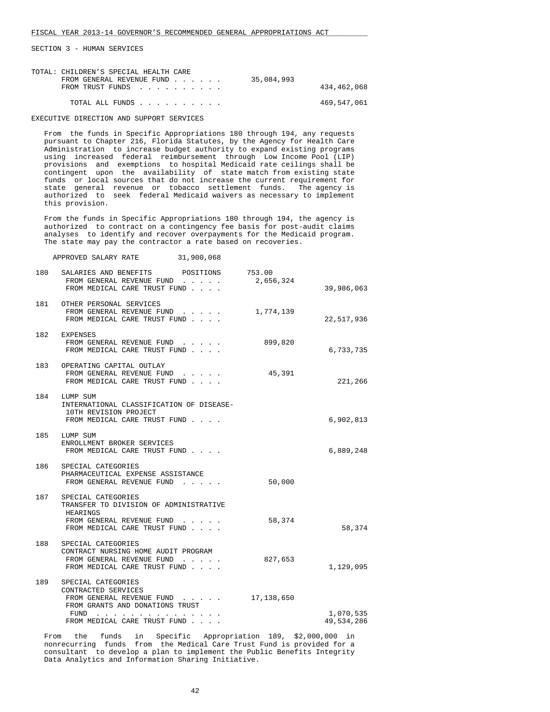| TOTAL: CHILDREN'S SPECIAL HEALTH CARE |            |             |
|---------------------------------------|------------|-------------|
| FROM GENERAL REVENUE FUND             | 35,084,993 |             |
| FROM TRUST FUNDS                      |            | 434,462,068 |
| TOTAL ALL FUNDS                       |            | 469,547,061 |

EXECUTIVE DIRECTION AND SUPPORT SERVICES

 From the funds in Specific Appropriations 180 through 194, any requests pursuant to Chapter 216, Florida Statutes, by the Agency for Health Care Administration to increase budget authority to expand existing programs using increased federal reimbursement through Low Income Pool (LIP) provisions and exemptions to hospital Medicaid rate ceilings shall be contingent upon the availability of state match from existing state funds or local sources that do not increase the current requirement for state general revenue or tobacco settlement funds. The agency is authorized to seek federal Medicaid waivers as necessary to implement this provision.

 From the funds in Specific Appropriations 180 through 194, the agency is authorized to contract on a contingency fee basis for post-audit claims analyses to identify and recover overpayments for the Medicaid program. The state may pay the contractor a rate based on recoveries.

| 31,900,068<br>APPROVED SALARY RATE |  |  |
|------------------------------------|--|--|
|------------------------------------|--|--|

| 180 | SALARIES AND BENEFITS<br>POSITIONS<br>FROM GENERAL REVENUE FUND<br>FROM MEDICAL CARE TRUST FUND                                                        | 753.00<br>2,656,324 | 39,986,063              |
|-----|--------------------------------------------------------------------------------------------------------------------------------------------------------|---------------------|-------------------------|
|     | 181 OTHER PERSONAL SERVICES<br>FROM GENERAL REVENUE FUND<br>FROM MEDICAL CARE TRUST FUND                                                               | 1,774,139           | 22,517,936              |
| 182 | EXPENSES<br>FROM GENERAL REVENUE FUND<br>FROM MEDICAL CARE TRUST FUND                                                                                  | 899,820             | 6,733,735               |
| 183 | OPERATING CAPITAL OUTLAY<br>FROM GENERAL REVENUE FUND<br>FROM MEDICAL CARE TRUST FUND                                                                  | 45,391              | 221,266                 |
| 184 | LUMP SUM<br>INTERNATIONAL CLASSIFICATION OF DISEASE-<br>10TH REVISION PROJECT<br>FROM MEDICAL CARE TRUST FUND                                          |                     | 6,902,813               |
| 185 | LUMP SUM<br>ENROLLMENT BROKER SERVICES<br>FROM MEDICAL CARE TRUST FUND                                                                                 |                     | 6,889,248               |
| 186 | SPECIAL CATEGORIES<br>PHARMACEUTICAL EXPENSE ASSISTANCE<br>FROM GENERAL REVENUE FUND                                                                   | 50,000              |                         |
| 187 | SPECIAL CATEGORIES<br>TRANSFER TO DIVISION OF ADMINISTRATIVE<br>HEARINGS<br>FROM GENERAL REVENUE FUND<br>FROM MEDICAL CARE TRUST FUND                  | 58,374              | 58,374                  |
| 188 | SPECIAL CATEGORIES<br>CONTRACT NURSING HOME AUDIT PROGRAM<br>FROM GENERAL REVENUE FUND<br>FROM MEDICAL CARE TRUST FUND                                 | 827,653             | 1,129,095               |
| 189 | SPECIAL CATEGORIES<br>CONTRACTED SERVICES<br>FROM GENERAL REVENUE FUND<br>FROM GRANTS AND DONATIONS TRUST<br>FUND<br>.<br>FROM MEDICAL CARE TRUST FUND | 17,138,650          | 1,070,535<br>49,534,286 |

 From the funds in Specific Appropriation 189, \$2,000,000 in nonrecurring funds from the Medical Care Trust Fund is provided for a consultant to develop a plan to implement the Public Benefits Integrity Data Analytics and Information Sharing Initiative.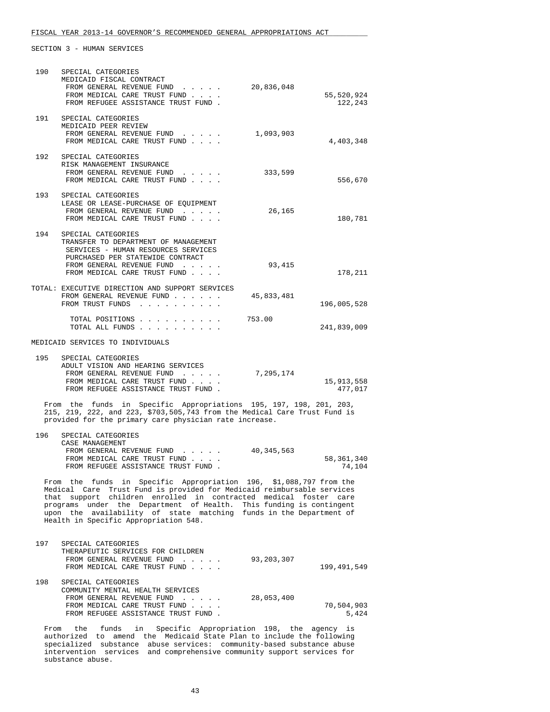| 190 | SPECIAL CATEGORIES<br>MEDICAID FISCAL CONTRACT<br>FROM GENERAL REVENUE FUND<br>FROM MEDICAL CARE TRUST FUND<br>FROM REFUGEE ASSISTANCE TRUST FUND.                                                                                                                                                                                                                                                     | 20,836,048 | 55,520,924<br>122,243 |
|-----|--------------------------------------------------------------------------------------------------------------------------------------------------------------------------------------------------------------------------------------------------------------------------------------------------------------------------------------------------------------------------------------------------------|------------|-----------------------|
| 191 | SPECIAL CATEGORIES<br>MEDICAID PEER REVIEW<br>FROM GENERAL REVENUE FUND<br>$\mathbf{r} = \mathbf{r} + \mathbf{r} + \mathbf{r} + \mathbf{r} + \mathbf{r}$<br>FROM MEDICAL CARE TRUST FUND                                                                                                                                                                                                               | 1,093,903  | 4,403,348             |
| 192 | SPECIAL CATEGORIES<br>RISK MANAGEMENT INSURANCE<br>FROM GENERAL REVENUE FUND<br>FROM MEDICAL CARE TRUST FUND                                                                                                                                                                                                                                                                                           | 333,599    | 556,670               |
| 193 | SPECIAL CATEGORIES<br>LEASE OR LEASE-PURCHASE OF EQUIPMENT<br>FROM GENERAL REVENUE FUND<br>FROM MEDICAL CARE TRUST FUND                                                                                                                                                                                                                                                                                | 26,165     | 180,781               |
| 194 | SPECIAL CATEGORIES<br>TRANSFER TO DEPARTMENT OF MANAGEMENT<br>SERVICES - HUMAN RESOURCES SERVICES<br>PURCHASED PER STATEWIDE CONTRACT<br>FROM GENERAL REVENUE FUND<br>FROM MEDICAL CARE TRUST FUND                                                                                                                                                                                                     | 93,415     | 178,211               |
|     | TOTAL: EXECUTIVE DIRECTION AND SUPPORT SERVICES<br>FROM GENERAL REVENUE FUND<br>FROM TRUST FUNDS                                                                                                                                                                                                                                                                                                       | 45,833,481 | 196,005,528           |
|     | TOTAL POSITIONS<br>TOTAL ALL FUNDS                                                                                                                                                                                                                                                                                                                                                                     | 753.00     | 241,839,009           |
|     | MEDICAID SERVICES TO INDIVIDUALS                                                                                                                                                                                                                                                                                                                                                                       |            |                       |
| 195 | SPECIAL CATEGORIES<br>ADULT VISION AND HEARING SERVICES<br>FROM GENERAL REVENUE FUND<br>FROM MEDICAL CARE TRUST FUND<br>FROM REFUGEE ASSISTANCE TRUST FUND.                                                                                                                                                                                                                                            | 7,295,174  | 15,913,558<br>477,017 |
|     | From the funds in Specific Appropriations 195, 197, 198, 201, 203,<br>215, 219, 222, and 223, \$703,505,743 from the Medical Care Trust Fund is<br>provided for the primary care physician rate increase.                                                                                                                                                                                              |            |                       |
| 196 | SPECIAL CATEGORIES<br>CASE MANAGEMENT<br>FROM GENERAL REVENUE FUND<br>FROM MEDICAL CARE TRUST FUND<br>FROM REFUGEE ASSISTANCE TRUST FUND                                                                                                                                                                                                                                                               | 40,345,563 | 58,361,340<br>74,104  |
|     | From the funds in Specific Appropriation 196, \$1,088,797 from the<br>Medical Care Trust Fund is provided for Medicaid reimbursable services<br>that support children enrolled in contracted medical foster care<br>programs under the Department of Health. This funding is contingent<br>upon the availability of state matching funds in the Department of<br>Health in Specific Appropriation 548. |            |                       |
| 197 | SPECIAL CATEGORIES<br>THERAPEUTIC SERVICES FOR CHILDREN<br>FROM GENERAL REVENUE FUND<br>FROM MEDICAL CARE TRUST FUND                                                                                                                                                                                                                                                                                   | 93,203,307 | 199,491,549           |
| 198 | SPECIAL CATEGORIES<br>COMMUNITY MENTAL HEALTH SERVICES<br>FROM GENERAL REVENUE FUND<br>$\mathcal{L}^{\mathcal{L}}$ , and $\mathcal{L}^{\mathcal{L}}$ , and $\mathcal{L}^{\mathcal{L}}$<br>FROM MEDICAL CARE TRUST FUND<br>FROM REFUGEE ASSISTANCE TRUST FUND.                                                                                                                                          | 28,053,400 | 70,504,903<br>5,424   |
|     | Specific Appropriation 198, the agency is<br>From the<br>funds<br>in<br>authorized to amend the Medicaid State Plan to include the following                                                                                                                                                                                                                                                           |            |                       |

 specialized substance abuse services: community-based substance abuse intervention services and comprehensive community support services for substance abuse.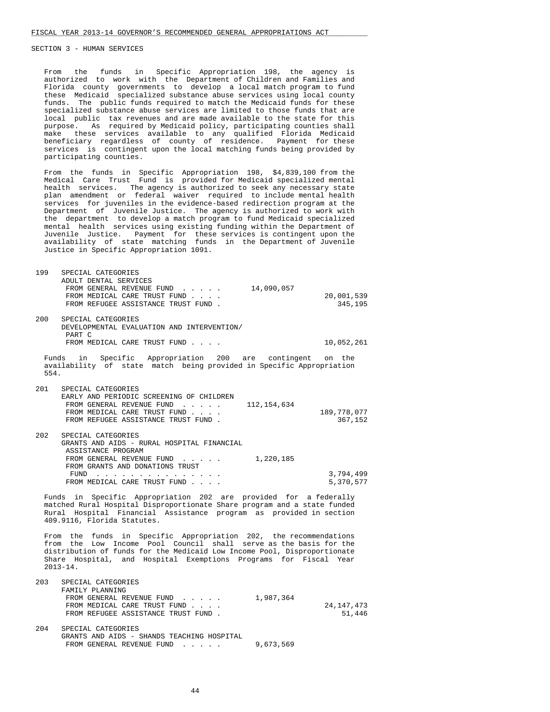From the funds in Specific Appropriation 198, the agency is authorized to work with the Department of Children and Families and Florida county governments to develop a local match program to fund these Medicaid specialized substance abuse services using local county funds. The public funds required to match the Medicaid funds for these specialized substance abuse services are limited to those funds that are local public tax revenues and are made available to the state for this purpose. As required by Medicaid policy, participating counties shall make these services available to any qualified Florida Medicaid beneficiary regardless of county of residence. Payment for these services is contingent upon the local matching funds being provided by participating counties.

 From the funds in Specific Appropriation 198, \$4,839,100 from the Medical Care Trust Fund is provided for Medicaid specialized mental health services. The agency is authorized to seek any necessary state plan amendment or federal waiver required to include mental health services for juveniles in the evidence-based redirection program at the Department of Juvenile Justice. The agency is authorized to work with the department to develop a match program to fund Medicaid specialized mental health services using existing funding within the Department of Juvenile Justice. Payment for these services is contingent upon the availability of state matching funds in the Department of Juvenile Justice in Specific Appropriation 1091.

| 199  | SPECIAL CATEGORIES<br>ADULT DENTAL SERVICES<br>FROM GENERAL REVENUE FUND<br>14,090,057<br>FROM MEDICAL CARE TRUST FUND<br>FROM REFUGEE ASSISTANCE TRUST FUND.                                                                                                                                           | 20,001,539<br>345,195  |
|------|---------------------------------------------------------------------------------------------------------------------------------------------------------------------------------------------------------------------------------------------------------------------------------------------------------|------------------------|
| 200  | SPECIAL CATEGORIES<br>DEVELOPMENTAL EVALUATION AND INTERVENTION/<br>PART C<br>FROM MEDICAL CARE TRUST FUND                                                                                                                                                                                              | 10,052,261             |
| 554. | Funds in Specific Appropriation 200 are contingent on the<br>availability of state match being provided in Specific Appropriation                                                                                                                                                                       |                        |
| 201  | SPECIAL CATEGORIES<br>EARLY AND PERIODIC SCREENING OF CHILDREN<br>FROM GENERAL REVENUE FUND<br>112, 154, 634<br>FROM MEDICAL CARE TRUST FUND<br>FROM REFUGEE ASSISTANCE TRUST FUND.                                                                                                                     | 189,778,077<br>367,152 |
| 202  | SPECIAL CATEGORIES<br>GRANTS AND AIDS - RURAL HOSPITAL FINANCIAL<br>ASSISTANCE PROGRAM<br>FROM GENERAL REVENUE FUND<br>1,220,185<br>FROM GRANTS AND DONATIONS TRUST<br>FUND<br>FROM MEDICAL CARE TRUST FUND                                                                                             | 3,794,499<br>5,370,577 |
|      | Funds in Specific Appropriation 202 are provided for a federally<br>matched Rural Hospital Disproportionate Share program and a state funded<br>Rural Hospital Financial Assistance program as provided in section<br>409.9116, Florida Statutes.                                                       |                        |
|      | From the funds in Specific Appropriation 202, the recommendations<br>from the Low Income Pool Council shall serve as the basis for the<br>distribution of funds for the Medicaid Low Income Pool, Disproportionate<br>Share Hospital, and Hospital Exemptions Programs for Fiscal Year<br>$2013 - 14$ . |                        |
|      | 202 CDECTAI CATECODIEC                                                                                                                                                                                                                                                                                  |                        |

| 203 | SPECIAL CATEGORIES                  |              |
|-----|-------------------------------------|--------------|
|     | FAMILY PLANNING                     |              |
|     | FROM GENERAL REVENUE FUND           | 1,987,364    |
|     | FROM MEDICAL CARE TRUST FUND        | 24, 147, 473 |
|     | FROM REFUGEE ASSISTANCE TRUST FUND. | 51,446       |
|     |                                     |              |

 204 SPECIAL CATEGORIES GRANTS AND AIDS - SHANDS TEACHING HOSPITAL FROM GENERAL REVENUE FUND . . . . . 9,673,569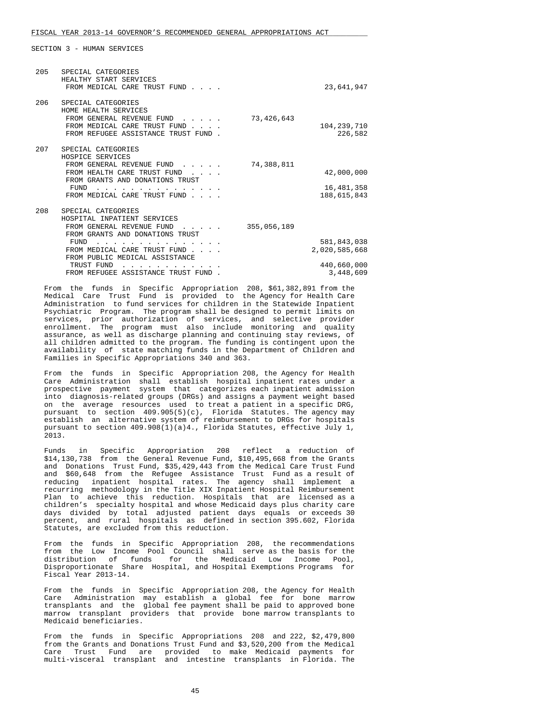| 205 | SPECIAL CATEGORIES<br>HEALTHY START SERVICES<br>FROM MEDICAL CARE TRUST FUND                                                                                                                                                                    |             | 23,641,947                                               |
|-----|-------------------------------------------------------------------------------------------------------------------------------------------------------------------------------------------------------------------------------------------------|-------------|----------------------------------------------------------|
| 206 | SPECIAL CATEGORIES<br>HOME HEALTH SERVICES<br>FROM GENERAL REVENUE FUND<br>FROM MEDICAL CARE TRUST FUND.<br>FROM REFUGEE ASSISTANCE TRUST FUND.                                                                                                 | 73,426,643  | 104, 239, 710<br>226,582                                 |
| 207 | SPECIAL CATEGORIES<br>HOSPICE SERVICES<br>FROM GENERAL REVENUE FUND<br>FROM HEALTH CARE TRUST FUND<br>FROM GRANTS AND DONATIONS TRUST<br>FUND<br>FROM MEDICAL CARE TRUST FUND                                                                   | 74,388,811  | 42,000,000<br>16,481,358<br>188,615,843                  |
| 208 | SPECIAL CATEGORIES<br>HOSPITAL INPATIENT SERVICES<br>FROM GENERAL REVENUE FUND<br>FROM GRANTS AND DONATIONS TRUST<br>FUND<br>FROM MEDICAL CARE TRUST FUND<br>FROM PUBLIC MEDICAL ASSISTANCE<br>TRUST FUND<br>FROM REFUGEE ASSISTANCE TRUST FUND | 355,056,189 | 581,843,038<br>2,020,585,668<br>440,660,000<br>3,448,609 |

 From the funds in Specific Appropriation 208, \$61,382,891 from the Medical Care Trust Fund is provided to the Agency for Health Care Administration to fund services for children in the Statewide Inpatient Psychiatric Program. The program shall be designed to permit limits on services, prior authorization of services, and selective provider enrollment. The program must also include monitoring and quality assurance, as well as discharge planning and continuing stay reviews, of all children admitted to the program. The funding is contingent upon the availability of state matching funds in the Department of Children and Families in Specific Appropriations 340 and 363.

 From the funds in Specific Appropriation 208, the Agency for Health Care Administration shall establish hospital inpatient rates under a prospective payment system that categorizes each inpatient admission into diagnosis-related groups (DRGs) and assigns a payment weight based on the average resources used to treat a patient in a specific DRG, pursuant to section 409.905(5)(c), Florida Statutes. The agency may establish an alternative system of reimbursement to DRGs for hospitals pursuant to section 409.908(1)(a)4., Florida Statutes, effective July 1, 2013.

 Funds in Specific Appropriation 208 reflect a reduction of \$14,130,738 from the General Revenue Fund, \$10,495,668 from the Grants and Donations Trust Fund, \$35,429,443 from the Medical Care Trust Fund and \$60,648 from the Refugee Assistance Trust Fund as a result of reducing inpatient hospital rates. The agency shall implement a recurring methodology in the Title XIX Inpatient Hospital Reimbursement Plan to achieve this reduction. Hospitals that are licensed as a children's specialty hospital and whose Medicaid days plus charity care days divided by total adjusted patient days equals or exceeds 30 percent, and rural hospitals as defined in section 395.602, Florida Statutes, are excluded from this reduction.

 From the funds in Specific Appropriation 208, the recommendations from the Low Income Pool Council shall serve as the basis for the distribution of funds for the Medicaid Low Income Pool, Disproportionate Share Hospital, and Hospital Exemptions Programs for Fiscal Year 2013-14.

 From the funds in Specific Appropriation 208, the Agency for Health Care Administration may establish a global fee for bone marrow transplants and the global fee payment shall be paid to approved bone marrow transplant providers that provide bone marrow transplants to Medicaid beneficiaries.

 From the funds in Specific Appropriations 208 and 222, \$2,479,800 from the Grants and Donations Trust Fund and \$3,520,200 from the Medical Care Trust Fund are provided to make Medicaid payments for multi-visceral transplant and intestine transplants in Florida. The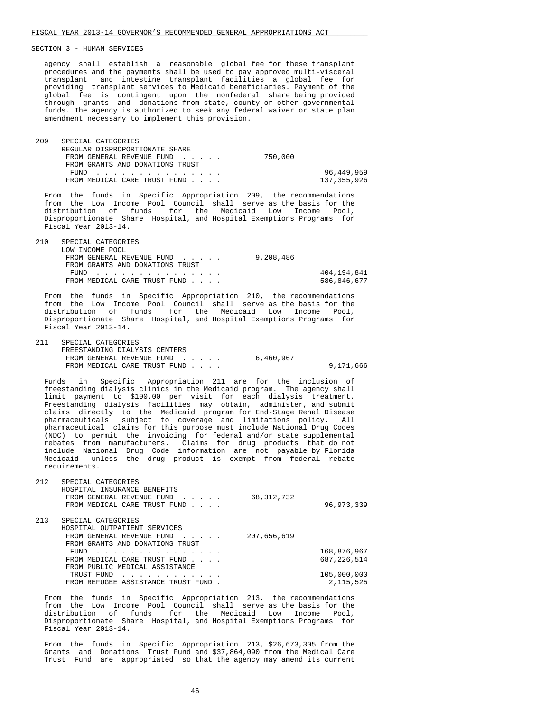agency shall establish a reasonable global fee for these transplant procedures and the payments shall be used to pay approved multi-visceral transplant and intestine transplant facilities a global fee for providing transplant services to Medicaid beneficiaries. Payment of the global fee is contingent upon the nonfederal share being provided through grants and donations from state, county or other governmental funds. The agency is authorized to seek any federal waiver or state plan amendment necessary to implement this provision.

| 209 | SPECIAL CATEGORIES              |         |             |
|-----|---------------------------------|---------|-------------|
|     | REGULAR DISPROPORTIONATE SHARE  |         |             |
|     | FROM GENERAL REVENUE FUND       | 750,000 |             |
|     | FROM GRANTS AND DONATIONS TRUST |         |             |
|     | FUND                            |         | 96,449,959  |
|     | FROM MEDICAL CARE TRUST FUND    |         | 137,355,926 |

 From the funds in Specific Appropriation 209, the recommendations from the Low Income Pool Council shall serve as the basis for the distribution of funds for the Medicaid Low Income Pool, Disproportionate Share Hospital, and Hospital Exemptions Programs for Fiscal Year 2013-14.

| 210 | SPECIAL CATEGORIES              |           |             |
|-----|---------------------------------|-----------|-------------|
|     | LOW INCOME POOL                 |           |             |
|     | FROM GENERAL REVENUE FUND       | 9,208,486 |             |
|     | FROM GRANTS AND DONATIONS TRUST |           |             |
|     | FUND                            |           | 404,194,841 |
|     | FROM MEDICAL CARE TRUST FUND    |           | 586,846,677 |

 From the funds in Specific Appropriation 210, the recommendations from the Low Income Pool Council shall serve as the basis for the distribution of funds for the Medicaid Low Income Pool, Disproportionate Share Hospital, and Hospital Exemptions Programs for Fiscal Year 2013-14.

 211 SPECIAL CATEGORIES FREESTANDING DIALYSIS CENTERS FROM GENERAL REVENUE FUND . . . . . 6,460,967 FROM MEDICAL CARE TRUST FUND . . . . . 9,171,666

 Funds in Specific Appropriation 211 are for the inclusion of freestanding dialysis clinics in the Medicaid program. The agency shall limit payment to \$100.00 per visit for each dialysis treatment. Freestanding dialysis facilities may obtain, administer, and submit claims directly to the Medicaid program for End-Stage Renal Disease pharmaceuticals subject to coverage and limitations policy. All pharmaceutical claims for this purpose must include National Drug Codes (NDC) to permit the invoicing for federal and/or state supplemental rebates from manufacturers. Claims for drug products that do not include National Drug Code information are not payable by Florida Medicaid unless the drug product is exempt from federal rebate requirements.

| 212 | SPECIAL CATEGORIES<br>HOSPITAL INSURANCE BENEFITS<br>68, 312, 732<br>FROM GENERAL REVENUE FUND<br>$\mathbf{r}$ . The set of the set of $\mathbf{r}$<br>FROM MEDICAL CARE TRUST FUND | 96, 973, 339  |
|-----|-------------------------------------------------------------------------------------------------------------------------------------------------------------------------------------|---------------|
| 213 | SPECIAL CATEGORIES<br>HOSPITAL OUTPATIENT SERVICES<br>207,656,619<br>FROM GENERAL REVENUE FUND<br>$\sim$ $\sim$ $\sim$ $\sim$ $\sim$                                                |               |
|     | FROM GRANTS AND DONATIONS TRUST<br>FUND                                                                                                                                             | 168,876,967   |
|     | .<br>FROM MEDICAL CARE TRUST FUND                                                                                                                                                   | 687, 226, 514 |
|     | FROM PUBLIC MEDICAL ASSISTANCE                                                                                                                                                      |               |
|     | TRUST FUND                                                                                                                                                                          | 105,000,000   |
|     | FROM REFUGEE ASSISTANCE TRUST FUND                                                                                                                                                  | 2, 115, 525   |

 From the funds in Specific Appropriation 213, the recommendations from the Low Income Pool Council shall serve as the basis for the distribution of funds for the Medicaid Low Income Pool, Disproportionate Share Hospital, and Hospital Exemptions Programs for Fiscal Year 2013-14.

 From the funds in Specific Appropriation 213, \$26,673,305 from the Grants and Donations Trust Fund and \$37,864,090 from the Medical Care Trust Fund are appropriated so that the agency may amend its current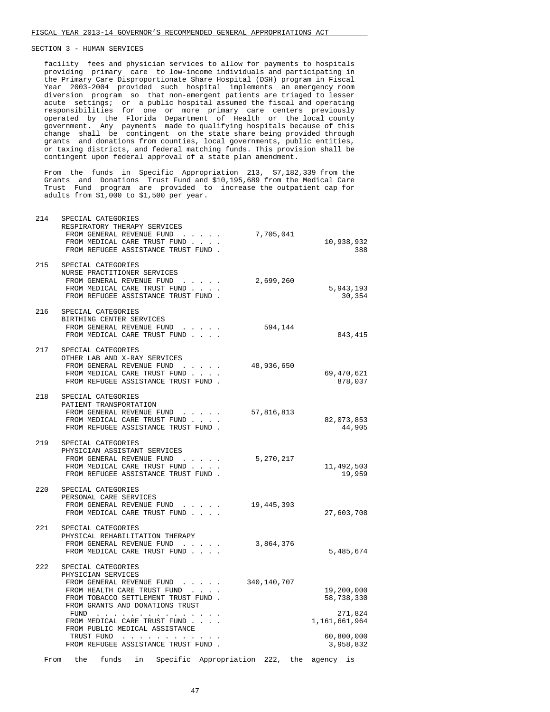214 SPECIAL CATEGORIES

 facility fees and physician services to allow for payments to hospitals providing primary care to low-income individuals and participating in the Primary Care Disproportionate Share Hospital (DSH) program in Fiscal Year 2003-2004 provided such hospital implements an emergency room diversion program so that non-emergent patients are triaged to lesser acute settings; or a public hospital assumed the fiscal and operating responsibilities for one or more primary care centers previously operated by the Florida Department of Health or the local county government. Any payments made to qualifying hospitals because of this change shall be contingent on the state share being provided through grants and donations from counties, local governments, public entities, or taxing districts, and federal matching funds. This provision shall be contingent upon federal approval of a state plan amendment.

 From the funds in Specific Appropriation 213, \$7,182,339 from the Grants and Donations Trust Fund and \$10,195,689 from the Medical Care Trust Fund program are provided to increase the outpatient cap for adults from \$1,000 to \$1,500 per year.

| 2 ± 1 | DI BULAD CAIBOONIBD<br>RESPIRATORY THERAPY SERVICES<br>FROM GENERAL REVENUE FUND<br>7,705,041<br>FROM MEDICAL CARE TRUST FUND<br>FROM REFUGEE ASSISTANCE TRUST FUND.                                                                                                                                                                       | 10,938,932<br>388                                                               |
|-------|--------------------------------------------------------------------------------------------------------------------------------------------------------------------------------------------------------------------------------------------------------------------------------------------------------------------------------------------|---------------------------------------------------------------------------------|
| 215   | SPECIAL CATEGORIES<br>NURSE PRACTITIONER SERVICES<br>FROM GENERAL REVENUE FUND<br>2,699,260<br>$\ddot{\phantom{0}}$<br>FROM MEDICAL CARE TRUST FUND<br>FROM REFUGEE ASSISTANCE TRUST FUND.                                                                                                                                                 | 5,943,193<br>30,354                                                             |
| 216   | SPECIAL CATEGORIES<br>BIRTHING CENTER SERVICES<br>FROM GENERAL REVENUE FUND<br>594,144<br>.<br>FROM MEDICAL CARE TRUST FUND                                                                                                                                                                                                                | 843,415                                                                         |
| 217   | SPECIAL CATEGORIES<br>OTHER LAB AND X-RAY SERVICES<br>48,936,650<br>FROM GENERAL REVENUE FUND<br>and the second service and<br>FROM MEDICAL CARE TRUST FUND<br>FROM REFUGEE ASSISTANCE TRUST FUND.                                                                                                                                         | 69,470,621<br>878,037                                                           |
| 218   | SPECIAL CATEGORIES<br>PATIENT TRANSPORTATION<br>FROM GENERAL REVENUE FUND<br>57,816,813<br>$\cdot$ $\cdot$ $\cdot$ $\cdot$ $\cdot$<br>FROM MEDICAL CARE TRUST FUND<br>FROM REFUGEE ASSISTANCE TRUST FUND.                                                                                                                                  | 82,073,853<br>44,905                                                            |
| 219   | SPECIAL CATEGORIES<br>PHYSICIAN ASSISTANT SERVICES<br>FROM GENERAL REVENUE FUND<br>5,270,217<br>and the contract of the con-<br>FROM MEDICAL CARE TRUST FUND<br>FROM REFUGEE ASSISTANCE TRUST FUND.                                                                                                                                        | 11,492,503<br>19,959                                                            |
| 220   | SPECIAL CATEGORIES<br>PERSONAL CARE SERVICES<br>19,445,393<br>FROM GENERAL REVENUE FUND<br>$\sim$ $\sim$ $\sim$ $\sim$ $\sim$<br>FROM MEDICAL CARE TRUST FUND                                                                                                                                                                              | 27,603,708                                                                      |
| 221   | SPECIAL CATEGORIES<br>PHYSICAL REHABILITATION THERAPY<br>FROM GENERAL REVENUE FUND<br>3,864,376<br>$\mathcal{L}^{\mathcal{L}}$ , and $\mathcal{L}^{\mathcal{L}}$ , and $\mathcal{L}^{\mathcal{L}}$<br>FROM MEDICAL CARE TRUST FUND                                                                                                         | 5,485,674                                                                       |
| 222   | SPECIAL CATEGORIES<br>PHYSICIAN SERVICES<br>FROM GENERAL REVENUE FUND.<br>340,140,707<br>$\cdots$<br>FROM HEALTH CARE TRUST FUND<br>FROM TOBACCO SETTLEMENT TRUST FUND.<br>FROM GRANTS AND DONATIONS TRUST<br>FUND<br>FROM MEDICAL CARE TRUST FUND.<br>FROM PUBLIC MEDICAL ASSISTANCE<br>TRUST FUND<br>FROM REFUGEE ASSISTANCE TRUST FUND. | 19,200,000<br>58,738,330<br>271,824<br>1,161,661,964<br>60,800,000<br>3,958,832 |
| From  | the<br>funds<br>Specific<br>Appropriation<br>222,<br>the<br>in                                                                                                                                                                                                                                                                             | agency<br>is                                                                    |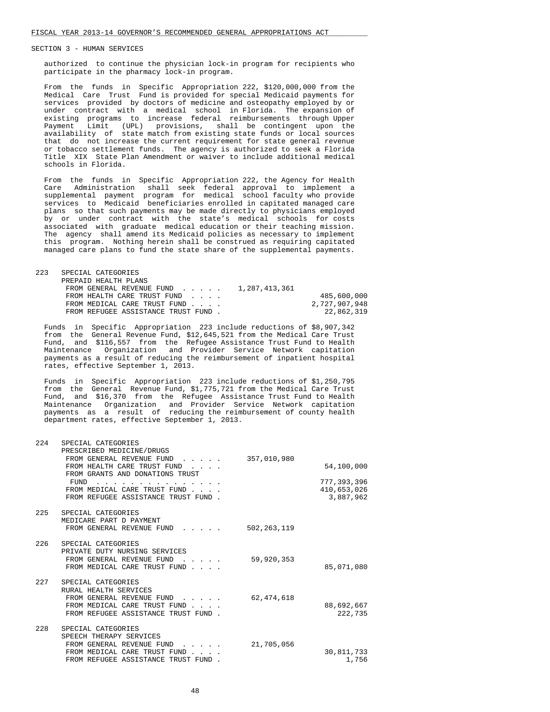authorized to continue the physician lock-in program for recipients who participate in the pharmacy lock-in program.

 From the funds in Specific Appropriation 222, \$120,000,000 from the Medical Care Trust Fund is provided for special Medicaid payments for services provided by doctors of medicine and osteopathy employed by or under contract with a medical school in Florida. The expansion of existing programs to increase federal reimbursements through Upper Payment Limit (UPL) provisions, shall be contingent upon the availability of state match from existing state funds or local sources that do not increase the current requirement for state general revenue or tobacco settlement funds. The agency is authorized to seek a Florida Title XIX State Plan Amendment or waiver to include additional medical schools in Florida.

 From the funds in Specific Appropriation 222, the Agency for Health Care Administration shall seek federal approval to implement a supplemental payment program for medical school faculty who provide services to Medicaid beneficiaries enrolled in capitated managed care plans so that such payments may be made directly to physicians employed by or under contract with the state's medical schools for costs associated with graduate medical education or their teaching mission. The agency shall amend its Medicaid policies as necessary to implement this program. Nothing herein shall be construed as requiring capitated managed care plans to fund the state share of the supplemental payments.

| 223 | SPECIAL CATEGORIES                  |               |
|-----|-------------------------------------|---------------|
|     | PREPAID HEALTH PLANS                |               |
|     | FROM GENERAL REVENUE FUND           | 1,287,413,361 |
|     | FROM HEALTH CARE TRUST FUND         | 485,600,000   |
|     | FROM MEDICAL CARE TRUST FUND        | 2,727,907,948 |
|     | FROM REFUGEE ASSISTANCE TRUST FUND. | 22,862,319    |

 Funds in Specific Appropriation 223 include reductions of \$8,907,342 from the General Revenue Fund, \$12,645,521 from the Medical Care Trust Fund, and \$116,557 from the Refugee Assistance Trust Fund to Health Maintenance Organization and Provider Service Network capitation payments as a result of reducing the reimbursement of inpatient hospital rates, effective September 1, 2013.

 Funds in Specific Appropriation 223 include reductions of \$1,250,795 from the General Revenue Fund, \$1,775,721 from the Medical Care Trust Fund, and \$16,370 from the Refugee Assistance Trust Fund to Health Maintenance Organization and Provider Service Network capitation payments as a result of reducing the reimbursement of county health department rates, effective September 1, 2013.

| 224 | SPECIAL CATEGORIES<br>PRESCRIBED MEDICINE/DRUGS<br>FROM GENERAL REVENUE FUND<br>$\mathbf{r}$ and $\mathbf{r}$ and $\mathbf{r}$ and $\mathbf{r}$        | 357,010,980   |                                         |
|-----|--------------------------------------------------------------------------------------------------------------------------------------------------------|---------------|-----------------------------------------|
|     | FROM HEALTH CARE TRUST FUND<br>FROM GRANTS AND DONATIONS TRUST                                                                                         |               | 54,100,000                              |
|     | FUND<br>FROM MEDICAL CARE TRUST FUND<br>FROM REFUGEE ASSISTANCE TRUST FUND.                                                                            |               | 777,393,396<br>410,653,026<br>3,887,962 |
| 225 | SPECIAL CATEGORIES<br>MEDICARE PART D PAYMENT<br>FROM GENERAL REVENUE FUND                                                                             | 502, 263, 119 |                                         |
|     |                                                                                                                                                        |               |                                         |
| 226 | SPECIAL CATEGORIES<br>PRIVATE DUTY NURSING SERVICES<br>FROM GENERAL REVENUE FUND<br>$\sim$ $\sim$ $\sim$ $\sim$ $\sim$<br>FROM MEDICAL CARE TRUST FUND | 59,920,353    | 85,071,080                              |
| 227 | SPECIAL CATEGORIES<br>RURAL HEALTH SERVICES<br>FROM GENERAL REVENUE FUND<br>FROM MEDICAL CARE TRUST FUND<br>FROM REFUGEE ASSISTANCE TRUST FUND.        | 62, 474, 618  | 88,692,667<br>222,735                   |
| 228 | SPECIAL CATEGORIES<br>SPEECH THERAPY SERVICES<br>FROM GENERAL REVENUE FUND<br>FROM MEDICAL CARE TRUST FUND.<br>FROM REFUGEE ASSISTANCE TRUST FUND      | 21,705,056    | 30,811,733<br>1.756                     |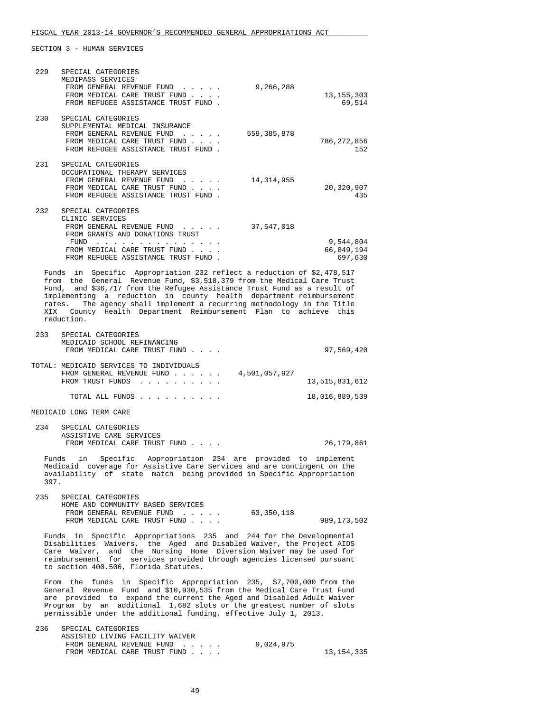| 229  | SPECIAL CATEGORIES<br>MEDIPASS SERVICES                                                                                                                                                                                                                                                                                                                                         |                                    |
|------|---------------------------------------------------------------------------------------------------------------------------------------------------------------------------------------------------------------------------------------------------------------------------------------------------------------------------------------------------------------------------------|------------------------------------|
|      | FROM GENERAL REVENUE FUND<br>9,266,288<br>FROM MEDICAL CARE TRUST FUND<br>FROM REFUGEE ASSISTANCE TRUST FUND.                                                                                                                                                                                                                                                                   | 13, 155, 303<br>69,514             |
| 230  | SPECIAL CATEGORIES<br>SUPPLEMENTAL MEDICAL INSURANCE                                                                                                                                                                                                                                                                                                                            |                                    |
|      | FROM GENERAL REVENUE FUND<br>559,385,878<br>FROM MEDICAL CARE TRUST FUND<br>FROM REFUGEE ASSISTANCE TRUST FUND.                                                                                                                                                                                                                                                                 | 786,272,856<br>152                 |
| 231  | SPECIAL CATEGORIES                                                                                                                                                                                                                                                                                                                                                              |                                    |
|      | OCCUPATIONAL THERAPY SERVICES<br>FROM GENERAL REVENUE FUND<br>14,314,955<br>FROM MEDICAL CARE TRUST FUND                                                                                                                                                                                                                                                                        | 20,320,907                         |
|      | FROM REFUGEE ASSISTANCE TRUST FUND.                                                                                                                                                                                                                                                                                                                                             | 435                                |
| 232  | SPECIAL CATEGORIES<br>CLINIC SERVICES<br>FROM GENERAL REVENUE FUND<br>37,547,018<br>FROM GRANTS AND DONATIONS TRUST                                                                                                                                                                                                                                                             |                                    |
|      | FUND<br>FROM MEDICAL CARE TRUST FUND<br>FROM REFUGEE ASSISTANCE TRUST FUND.                                                                                                                                                                                                                                                                                                     | 9,544,804<br>66,849,194<br>697,630 |
|      | Funds in Specific Appropriation 232 reflect a reduction of \$2,478,517                                                                                                                                                                                                                                                                                                          |                                    |
| XIX  | from the General Revenue Fund, \$3,518,379 from the Medical Care Trust<br>Fund, and \$36,717 from the Refugee Assistance Trust Fund as a result of<br>implementing a reduction in county health department reimbursement<br>rates. The agency shall implement a recurring methodology in the Title<br>County Health Department Reimbursement Plan to achieve this<br>reduction. |                                    |
| 233  | SPECIAL CATEGORIES                                                                                                                                                                                                                                                                                                                                                              |                                    |
|      | MEDICAID SCHOOL REFINANCING<br>FROM MEDICAL CARE TRUST FUND                                                                                                                                                                                                                                                                                                                     | 97,569,420                         |
|      | TOTAL: MEDICAID SERVICES TO INDIVIDUALS<br>FROM GENERAL REVENUE FUND<br>4,501,057,927<br>FROM TRUST FUNDS                                                                                                                                                                                                                                                                       | 13,515,831,612                     |
|      | TOTAL ALL FUNDS                                                                                                                                                                                                                                                                                                                                                                 | 18,016,889,539                     |
|      | MEDICAID LONG TERM CARE                                                                                                                                                                                                                                                                                                                                                         |                                    |
| 234  | SPECIAL CATEGORIES                                                                                                                                                                                                                                                                                                                                                              |                                    |
|      | ASSISTIVE CARE SERVICES<br>FROM MEDICAL CARE TRUST FUND                                                                                                                                                                                                                                                                                                                         | 26,179,861                         |
| 397. | Specific Appropriation 234 are provided to implement<br>Funds<br>in<br>Medicaid coverage for Assistive Care Services and are contingent on the<br>availability of state match being provided in Specific Appropriation                                                                                                                                                          |                                    |
| 235  | SPECIAL CATEGORIES<br>HOME AND COMMUNITY BASED SERVICES                                                                                                                                                                                                                                                                                                                         |                                    |
|      | FROM GENERAL REVENUE FUND<br>63,350,118<br>$\mathbf{u} = \mathbf{u} + \mathbf{u} + \mathbf{u} + \mathbf{u}$ .<br>FROM MEDICAL CARE TRUST FUND                                                                                                                                                                                                                                   | 989,173,502                        |
|      | Funds in Specific Appropriations 235 and 244 for the Developmental<br>Disabilities Waivers, the Aged and Disabled Waiver, the Project AIDS<br>Care Waiver, and the Nursing Home Diversion Waiver may be used for<br>reimbursement for services provided through agencies licensed pursuant<br>to section 400.506, Florida Statutes.                                             |                                    |
|      | From the funds in Specific Appropriation 235, \$7,700,000 from the<br>General Revenue Fund and \$10,930,535 from the Medical Care Trust Fund<br>are provided to expand the current the Aged and Disabled Adult Waiver<br>Program by an additional 1,682 slots or the greatest number of slots<br>permissible under the additional funding, effective July 1, 2013.              |                                    |
| 236  | SPECIAL CATEGORIES<br>ASSISTED LIVING FACILITY WAIVER<br>$CDMDMI = DMMI$                                                                                                                                                                                                                                                                                                        |                                    |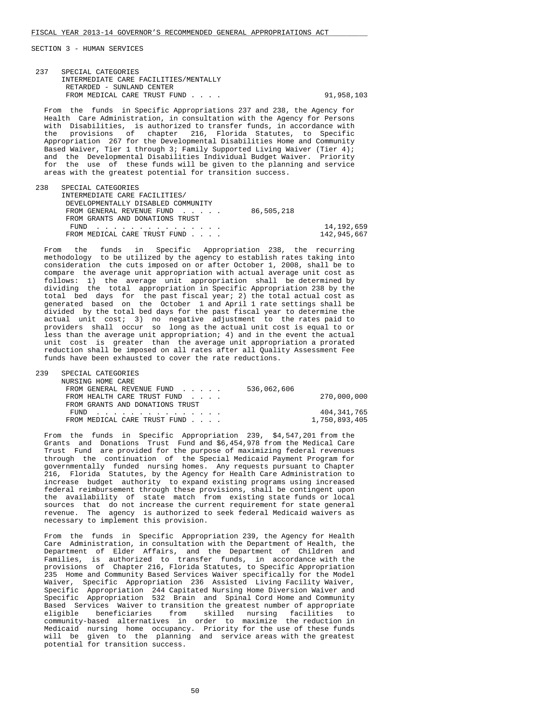| 237<br>SPECIAL CATEGORIES<br>INTERMEDIATE CARE FACILITIES/MENTALLY<br>RETARDED - SUNLAND CENTER<br>FROM MEDICAL CARE TRUST FUND                                                                                                                                                                                                                                                                                                                                                                                                                                                                                                                                 | 91,958,103 |
|-----------------------------------------------------------------------------------------------------------------------------------------------------------------------------------------------------------------------------------------------------------------------------------------------------------------------------------------------------------------------------------------------------------------------------------------------------------------------------------------------------------------------------------------------------------------------------------------------------------------------------------------------------------------|------------|
| From the funds in Specific Appropriations 237 and 238, the Agency for<br>Health Care Administration, in consultation with the Agency for Persons<br>with Disabilities, is authorized to transfer funds, in accordance with<br>the provisions of chapter 216, Florida Statutes, to Specific<br>Appropriation 267 for the Developmental Disabilities Home and Community<br>Based Waiver, Tier 1 through 3; Family Supported Living Waiver (Tier 4);<br>and the Developmental Disabilities Individual Budget Waiver. Priority<br>for the use of these funds will be given to the planning and service<br>areas with the greatest potential for transition success. |            |
| 238<br>SPECIAL CATEGORIES<br>INTERMEDIATE CARE FACILITIES/<br>DEVELOPMENTALLY DISABLED COMMUNITY<br>86,505,218<br>$\mathbf{1}$ . The set of the set of the set of the set of the set of the set of the set of the set of the set of the set of the set of the set of the set of the set of the set of the set of the set of the set of the set of t<br>FROM GENERAL REVENUE FUND                                                                                                                                                                                                                                                                                |            |

|                                                                                                                |  | FROM GRANTS AND DONATIONS TRUST |  |  |             |
|----------------------------------------------------------------------------------------------------------------|--|---------------------------------|--|--|-------------|
|                                                                                                                |  | FUND                            |  |  | 14,192,659  |
|                                                                                                                |  | FROM MEDICAL CARE TRUST FUND    |  |  | 142,945,667 |
|                                                                                                                |  |                                 |  |  |             |
| From the funds in Specific Appropriation 238, the recurring                                                    |  |                                 |  |  |             |
| methodology to be utilized by the agency to establish rates taking into                                        |  |                                 |  |  |             |
| and development of the second contract and a series and the contract of the fact of the second contract of the |  |                                 |  |  |             |

 consideration the cuts imposed on or after October 1, 2008, shall be to compare the average unit appropriation with actual average unit cost as follows: 1) the average unit appropriation shall be determined by dividing the total appropriation in Specific Appropriation 238 by the total bed days for the past fiscal year; 2) the total actual cost as generated based on the October 1 and April 1 rate settings shall be divided by the total bed days for the past fiscal year to determine the actual unit cost; 3) no negative adjustment to the rates paid to providers shall occur so long as the actual unit cost is equal to or less than the average unit appropriation; 4) and in the event the actual unit cost is greater than the average unit appropriation a prorated reduction shall be imposed on all rates after all Quality Assessment Fee funds have been exhausted to cover the rate reductions.

| 239 | SPECIAL CATEGORIES              |               |
|-----|---------------------------------|---------------|
|     | NURSING HOME CARE               |               |
|     | FROM GENERAL REVENUE FUND       | 536,062,606   |
|     | FROM HEALTH CARE TRUST FUND     | 270,000,000   |
|     | FROM GRANTS AND DONATIONS TRUST |               |
|     | FUND                            | 404, 341, 765 |
|     | FROM MEDICAL CARE TRUST FUND    | 1,750,893,405 |
|     |                                 |               |

 From the funds in Specific Appropriation 239, \$4,547,201 from the Grants and Donations Trust Fund and \$6,454,978 from the Medical Care Trust Fund are provided for the purpose of maximizing federal revenues through the continuation of the Special Medicaid Payment Program for governmentally funded nursing homes. Any requests pursuant to Chapter 216, Florida Statutes, by the Agency for Health Care Administration to increase budget authority to expand existing programs using increased federal reimbursement through these provisions, shall be contingent upon the availability of state match from existing state funds or local sources that do not increase the current requirement for state general revenue. The agency is authorized to seek federal Medicaid waivers as necessary to implement this provision.

 From the funds in Specific Appropriation 239, the Agency for Health Care Administration, in consultation with the Department of Health, the Department of Elder Affairs, and the Department of Children and Families, is authorized to transfer funds, in accordance with the provisions of Chapter 216, Florida Statutes, to Specific Appropriation 235 Home and Community Based Services Waiver specifically for the Model Waiver, Specific Appropriation 236 Assisted Living Facility Waiver, Specific Appropriation 244 Capitated Nursing Home Diversion Waiver and Specific Appropriation 532 Brain and Spinal Cord Home and Community Based Services Waiver to transition the greatest number of appropriate eligible beneficiaries from skilled nursing facilities to community-based alternatives in order to maximize the reduction in Medicaid nursing home occupancy. Priority for the use of these funds will be given to the planning and service areas with the greatest will be your transition success.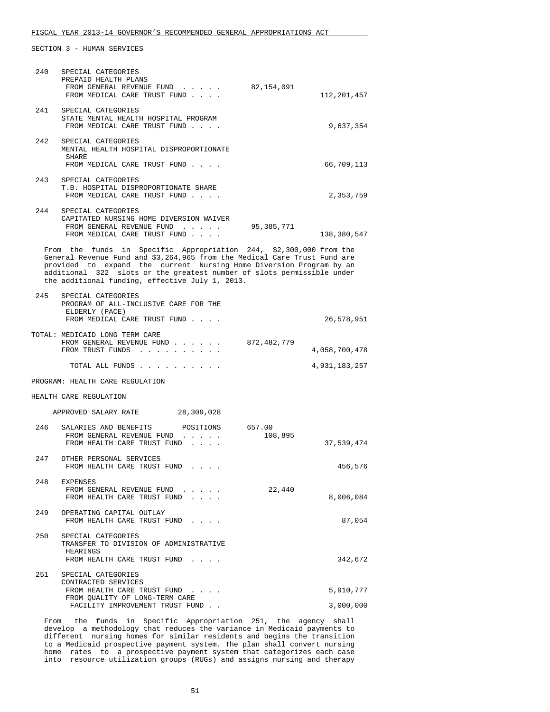## FISCAL YEAR 2013-14 GOVERNOR'S RECOMMENDED GENERAL APPROPRIATIONS ACT

SECTION 3 - HUMAN SERVICES

| 240 | SPECIAL CATEGORIES<br>PREPAID HEALTH PLANS<br>FROM GENERAL REVENUE FUND<br>FROM MEDICAL CARE TRUST FUND                                                                                                                                                                                                                                             | 82,154,091        | 112,201,457   |
|-----|-----------------------------------------------------------------------------------------------------------------------------------------------------------------------------------------------------------------------------------------------------------------------------------------------------------------------------------------------------|-------------------|---------------|
| 241 | SPECIAL CATEGORIES<br>STATE MENTAL HEALTH HOSPITAL PROGRAM<br>FROM MEDICAL CARE TRUST FUND                                                                                                                                                                                                                                                          |                   | 9,637,354     |
| 242 | SPECIAL CATEGORIES<br>MENTAL HEALTH HOSPITAL DISPROPORTIONATE<br>SHARE<br>FROM MEDICAL CARE TRUST FUND                                                                                                                                                                                                                                              |                   | 66,709,113    |
| 243 | SPECIAL CATEGORIES<br>T.B. HOSPITAL DISPROPORTIONATE SHARE<br>FROM MEDICAL CARE TRUST FUND                                                                                                                                                                                                                                                          |                   | 2,353,759     |
| 244 | SPECIAL CATEGORIES<br>CAPITATED NURSING HOME DIVERSION WAIVER<br>FROM GENERAL REVENUE FUND<br>FROM MEDICAL CARE TRUST FUND                                                                                                                                                                                                                          | 95,385,771        | 138,380,547   |
|     | From the funds in Specific Appropriation 244, \$2,300,000 from the<br>General Revenue Fund and \$3,264,965 from the Medical Care Trust Fund are<br>provided to expand the current Nursing Home Diversion Program by an<br>additional 322 slots or the greatest number of slots permissible under<br>the additional funding, effective July 1, 2013. |                   |               |
| 245 | SPECIAL CATEGORIES<br>PROGRAM OF ALL-INCLUSIVE CARE FOR THE<br>ELDERLY (PACE)<br>FROM MEDICAL CARE TRUST FUND                                                                                                                                                                                                                                       |                   | 26,578,951    |
|     | TOTAL: MEDICAID LONG TERM CARE<br>FROM GENERAL REVENUE FUND<br>FROM TRUST FUNDS                                                                                                                                                                                                                                                                     | 872,482,779       | 4,058,700,478 |
|     | TOTAL ALL FUNDS                                                                                                                                                                                                                                                                                                                                     |                   | 4,931,183,257 |
|     | PROGRAM: HEALTH CARE REGULATION                                                                                                                                                                                                                                                                                                                     |                   |               |
|     | HEALTH CARE REGULATION                                                                                                                                                                                                                                                                                                                              |                   |               |
|     | APPROVED SALARY RATE 28,309,028                                                                                                                                                                                                                                                                                                                     |                   |               |
| 246 | SALARIES AND BENEFITS<br>POSITIONS<br>FROM GENERAL REVENUE FUND<br>FROM HEALTH CARE TRUST FUND                                                                                                                                                                                                                                                      | 657.00<br>108,895 | 37,539,474    |
| 247 | OTHER PERSONAL SERVICES<br>FROM HEALTH CARE TRUST FUND.                                                                                                                                                                                                                                                                                             |                   | 456,576       |
| 248 | EXPENSES<br>FROM GENERAL REVENUE FUND<br>FROM HEALTH CARE TRUST FUND                                                                                                                                                                                                                                                                                | 22,440            | 8,006,084     |
| 249 | OPERATING CAPITAL OUTLAY<br>FROM HEALTH CARE TRUST FUND                                                                                                                                                                                                                                                                                             |                   | 87,054        |
| 250 | SPECIAL CATEGORIES<br>TRANSFER TO DIVISION OF ADMINISTRATIVE<br>HEARINGS<br>FROM HEALTH CARE TRUST FUND                                                                                                                                                                                                                                             |                   | 342,672       |
| 251 | SPECIAL CATEGORIES                                                                                                                                                                                                                                                                                                                                  |                   |               |
|     | CONTRACTED SERVICES<br>FROM HEALTH CARE TRUST FUND                                                                                                                                                                                                                                                                                                  |                   | 5,910,777     |
|     | FROM QUALITY OF LONG-TERM CARE<br>FACILITY IMPROVEMENT TRUST FUND                                                                                                                                                                                                                                                                                   |                   | 3,000,000     |
|     | From the funds in Specific Appropriation 251, the agency shall                                                                                                                                                                                                                                                                                      |                   |               |

 develop a methodology that reduces the variance in Medicaid payments to different nursing homes for similar residents and begins the transition to a Medicaid prospective payment system. The plan shall convert nursing home rates to a prospective payment system that categorizes each case into resource utilization groups (RUGs) and assigns nursing and therapy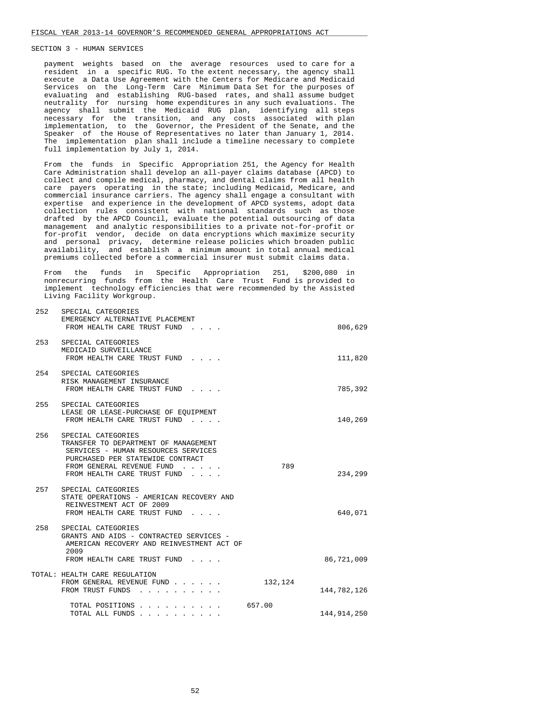payment weights based on the average resources used to care for a resident in a specific RUG. To the extent necessary, the agency shall execute a Data Use Agreement with the Centers for Medicare and Medicaid Services on the Long-Term Care Minimum Data Set for the purposes of evaluating and establishing RUG-based rates, and shall assume budget neutrality for nursing home expenditures in any such evaluations. The agency shall submit the Medicaid RUG plan, identifying all steps necessary for the transition, and any costs associated with plan implementation, to the Governor, the President of the Senate, and the Speaker of the House of Representatives no later than January 1, 2014. The implementation plan shall include a timeline necessary to complete full implementation by July 1, 2014.

 From the funds in Specific Appropriation 251, the Agency for Health Care Administration shall develop an all-payer claims database (APCD) to collect and compile medical, pharmacy, and dental claims from all health care payers operating in the state; including Medicaid, Medicare, and commercial insurance carriers. The agency shall engage a consultant with expertise and experience in the development of APCD systems, adopt data collection rules consistent with national standards such as those drafted by the APCD Council, evaluate the potential outsourcing of data management and analytic responsibilities to a private not-for-profit or for-profit vendor, decide on data encryptions which maximize security and personal privacy, determine release policies which broaden public availability, and establish a minimum amount in total annual medical premiums collected before a commercial insurer must submit claims data.

 From the funds in Specific Appropriation 251, \$200,080 in nonrecurring funds from the Health Care Trust Fund is provided to implement technology efficiencies that were recommended by the Assisted Living Facility Workgroup.

| 252 | SPECIAL CATEGORIES<br>EMERGENCY ALTERNATIVE PLACEMENT<br>FROM HEALTH CARE TRUST FUND                                                                                                              |         | 806,629     |
|-----|---------------------------------------------------------------------------------------------------------------------------------------------------------------------------------------------------|---------|-------------|
| 253 | SPECIAL CATEGORIES<br>MEDICAID SURVEILLANCE<br>FROM HEALTH CARE TRUST FUND                                                                                                                        |         | 111,820     |
|     | 254 SPECIAL CATEGORIES<br>RISK MANAGEMENT INSURANCE<br>FROM HEALTH CARE TRUST FUND                                                                                                                |         | 785,392     |
| 255 | SPECIAL CATEGORIES<br>LEASE OR LEASE-PURCHASE OF EOUIPMENT<br>FROM HEALTH CARE TRUST FUND                                                                                                         |         | 140,269     |
| 256 | SPECIAL CATEGORIES<br>TRANSFER TO DEPARTMENT OF MANAGEMENT<br>SERVICES - HUMAN RESOURCES SERVICES<br>PURCHASED PER STATEWIDE CONTRACT<br>FROM GENERAL REVENUE FUND<br>FROM HEALTH CARE TRUST FUND | 789     | 234,299     |
| 257 | SPECIAL CATEGORIES<br>STATE OPERATIONS - AMERICAN RECOVERY AND<br>REINVESTMENT ACT OF 2009<br>FROM HEALTH CARE TRUST FUND                                                                         |         | 640,071     |
| 258 | SPECIAL CATEGORIES<br>GRANTS AND AIDS - CONTRACTED SERVICES -<br>AMERICAN RECOVERY AND REINVESTMENT ACT OF<br>2009                                                                                |         |             |
|     | FROM HEALTH CARE TRUST FUND                                                                                                                                                                       |         | 86,721,009  |
|     | TOTAL: HEALTH CARE REGULATION<br>FROM GENERAL REVENUE FUND<br>FROM TRUST FUNDS                                                                                                                    | 132,124 | 144,782,126 |
|     | TOTAL POSITIONS                                                                                                                                                                                   | 657.00  |             |
|     | TOTAL ALL FUNDS                                                                                                                                                                                   |         | 144,914,250 |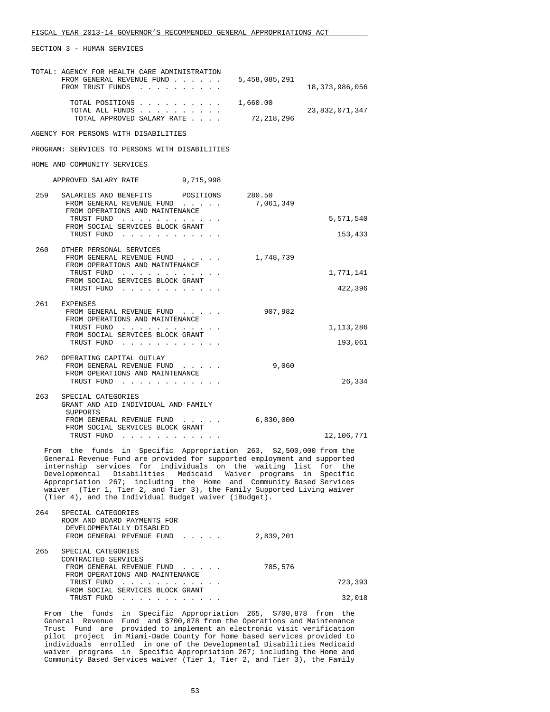| TOTAL: AGENCY FOR HEALTH CARE ADMINISTRATION<br>FROM GENERAL REVENUE FUND<br>FROM TRUST FUNDS                                                               | 5,458,085,291            | 18, 373, 986, 056      |
|-------------------------------------------------------------------------------------------------------------------------------------------------------------|--------------------------|------------------------|
| TOTAL POSITIONS<br>TOTAL ALL FUNDS<br>TOTAL APPROVED SALARY RATE                                                                                            | 1,660.00<br>72, 218, 296 | 23,832,071,347         |
| AGENCY FOR PERSONS WITH DISABILITIES                                                                                                                        |                          |                        |
| PROGRAM: SERVICES TO PERSONS WITH DISABILITIES                                                                                                              |                          |                        |
| HOME AND COMMUNITY SERVICES                                                                                                                                 |                          |                        |
| APPROVED SALARY RATE 9,715,998                                                                                                                              |                          |                        |
| 259<br>SALARIES AND BENEFITS POSITIONS<br>FROM GENERAL REVENUE FUND<br>FROM OPERATIONS AND MAINTENANCE                                                      | 280.50<br>7,061,349      |                        |
| TRUST FUND<br>FROM SOCIAL SERVICES BLOCK GRANT                                                                                                              |                          | 5,571,540              |
| TRUST FUND                                                                                                                                                  |                          | 153,433                |
| 260 OTHER PERSONAL SERVICES<br>FROM GENERAL REVENUE FUND<br>FROM OPERATIONS AND MAINTENANCE<br>TRUST FUND<br>FROM SOCIAL SERVICES BLOCK GRANT               | 1,748,739                | 1,771,141              |
| TRUST FUND                                                                                                                                                  |                          | 422,396                |
| 261 EXPENSES<br>FROM GENERAL REVENUE FUND<br>FROM OPERATIONS AND MAINTENANCE<br>TRUST FUND<br>FROM SOCIAL SERVICES BLOCK GRANT<br>TRUST FUND                | 907,982                  | 1, 113, 286<br>193,061 |
| 262<br>OPERATING CAPITAL OUTLAY<br>FROM GENERAL REVENUE FUND<br>FROM OPERATIONS AND MAINTENANCE<br>TRUST FUND                                               | 9,060                    | 26,334                 |
| 263<br>SPECIAL CATEGORIES<br>GRANT AND AID INDIVIDUAL AND FAMILY<br>SUPPORTS<br>FROM GENERAL REVENUE FUND<br>FROM SOCIAL SERVICES BLOCK GRANT<br>TRUST FUND | 6,830,000                | 12,106,771             |

 From the funds in Specific Appropriation 263, \$2,500,000 from the General Revenue Fund are provided for supported employment and supported internship services for individuals on the waiting list for the Developmental Disabilities Medicaid Waiver programs in Specific Appropriation 267; including the Home and Community Based Services waiver (Tier 1, Tier 2, and Tier 3), the Family Supported Living waiver (Tier 4), and the Individual Budget waiver (iBudget).

| 264 | SPECIAL CATEGORIES<br>ROOM AND BOARD PAYMENTS FOR<br>DEVELOPMENTALLY DISABLED<br>FROM GENERAL REVENUE FUND | 2,839,201 |         |
|-----|------------------------------------------------------------------------------------------------------------|-----------|---------|
| 265 | SPECIAL CATEGORIES<br>CONTRACTED SERVICES<br>FROM GENERAL REVENUE FUND                                     | 785,576   |         |
|     | FROM OPERATIONS AND MAINTENANCE                                                                            |           |         |
|     | TRUST FUND                                                                                                 |           | 723,393 |
|     | FROM SOCIAL SERVICES BLOCK GRANT<br>TRUST FUND                                                             |           | 32,018  |

 From the funds in Specific Appropriation 265, \$700,878 from the General Revenue Fund and \$700,878 from the Operations and Maintenance Trust Fund are provided to implement an electronic visit verification pilot project in Miami-Dade County for home based services provided to individuals enrolled in one of the Developmental Disabilities Medicaid waiver programs in Specific Appropriation 267; including the Home and Community Based Services waiver (Tier 1, Tier 2, and Tier 3), the Family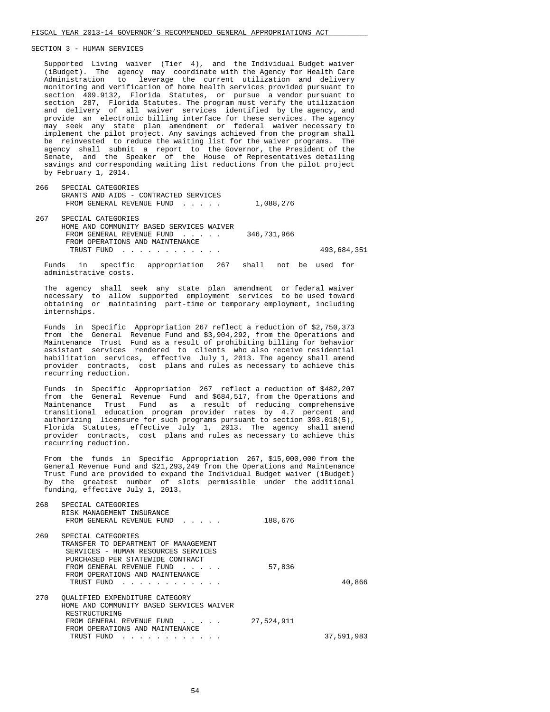Supported Living waiver (Tier 4), and the Individual Budget waiver (iBudget). The agency may coordinate with the Agency for Health Care Administration to leverage the current utilization and delivery monitoring and verification of home health services provided pursuant to section 409.9132, Florida Statutes, or pursue a vendor pursuant to section 287, Florida Statutes. The program must verify the utilization and delivery of all waiver services identified by the agency, and provide an electronic billing interface for these services. The agency may seek any state plan amendment or federal waiver necessary to implement the pilot project. Any savings achieved from the program shall be reinvested to reduce the waiting list for the waiver programs. The agency shall submit a report to the Governor, the President of the Senate, and the Speaker of the House of Representatives detailing savings and corresponding waiting list reductions from the pilot project by February 1, 2014.

 266 SPECIAL CATEGORIES GRANTS AND AIDS - CONTRACTED SERVICES FROM GENERAL REVENUE FUND . . . . . 1,088,276

 267 SPECIAL CATEGORIES HOME AND COMMUNITY BASED SERVICES WAIVER FROM GENERAL REVENUE FUND . . . . . 346,731,966 FROM OPERATIONS AND MAINTENANCE TRUST FUND . . . . . . . . . . . . 493,684,351

 Funds in specific appropriation 267 shall not be used for administrative costs.

 The agency shall seek any state plan amendment or federal waiver necessary to allow supported employment services to be used toward obtaining or maintaining part-time or temporary employment, including internships.

 Funds in Specific Appropriation 267 reflect a reduction of \$2,750,373 from the General Revenue Fund and \$3,904,292, from the Operations and Maintenance Trust Fund as a result of prohibiting billing for behavior assistant services rendered to clients who also receive residential habilitation services, effective July 1, 2013. The agency shall amend provider contracts, cost plans and rules as necessary to achieve this recurring reduction.

 Funds in Specific Appropriation 267 reflect a reduction of \$482,207 from the General Revenue Fund and \$684,517, from the Operations and Maintenance Trust Fund as a result of reducing comprehensive transitional education program provider rates by 4.7 percent and authorizing licensure for such programs pursuant to section 393.018(5), Florida Statutes, effective July 1, 2013. The agency shall amend provider contracts, cost plans and rules as necessary to achieve this recurring reduction.

 From the funds in Specific Appropriation 267, \$15,000,000 from the General Revenue Fund and \$21,293,249 from the Operations and Maintenance Trust Fund are provided to expand the Individual Budget waiver (iBudget) by the greatest number of slots permissible under the additional funding, effective July 1, 2013.

| 268 | SPECIAL CATEGORIES<br>RISK MANAGEMENT INSURANCE<br>FROM GENERAL REVENUE FUND                                                                                                                                                                                                | 188,676    |            |
|-----|-----------------------------------------------------------------------------------------------------------------------------------------------------------------------------------------------------------------------------------------------------------------------------|------------|------------|
| 269 | SPECIAL CATEGORIES<br>TRANSFER TO DEPARTMENT OF MANAGEMENT<br>SERVICES - HUMAN RESOURCES SERVICES<br>PURCHASED PER STATEWIDE CONTRACT<br>FROM GENERAL REVENUE FUND<br>$\overline{a}$ and $\overline{a}$ and $\overline{a}$<br>FROM OPERATIONS AND MAINTENANCE<br>TRUST FUND | 57,836     | 40,866     |
| 270 | OUALIFIED EXPENDITURE CATEGORY<br>HOME AND COMMUNITY BASED SERVICES WAIVER<br>RESTRUCTURING<br>FROM GENERAL REVENUE FUND<br>FROM OPERATIONS AND MAINTENANCE<br>TRUST FUND                                                                                                   | 27,524,911 | 37,591,983 |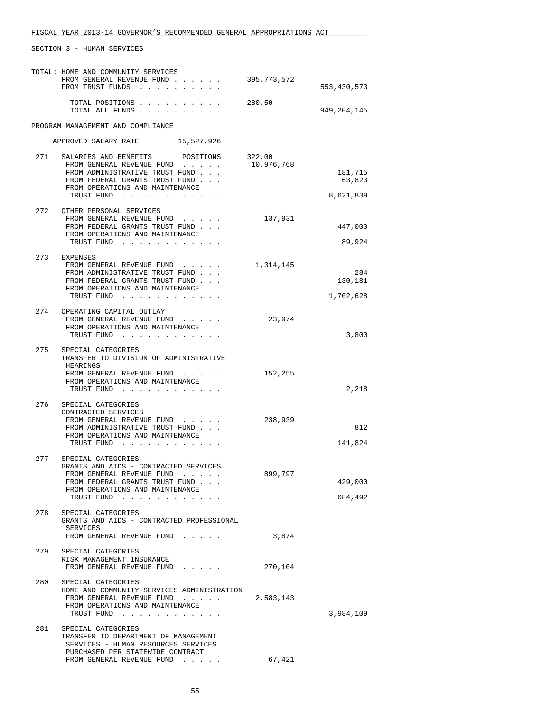|     | TOTAL: HOME AND COMMUNITY SERVICES<br>FROM GENERAL REVENUE FUND<br>FROM TRUST FUNDS | 395,773,572 | 553,430,573    |
|-----|-------------------------------------------------------------------------------------|-------------|----------------|
|     | TOTAL POSITIONS<br>TOTAL ALL FUNDS                                                  | 280.50      | 949,204,145    |
|     | PROGRAM MANAGEMENT AND COMPLIANCE                                                   |             |                |
|     | APPROVED SALARY RATE 15,527,926                                                     |             |                |
| 271 | SALARIES AND BENEFITS POSITIONS                                                     | 322.00      |                |
|     | FROM GENERAL REVENUE FUND<br>FROM ADMINISTRATIVE TRUST FUND                         | 10,976,768  | 181,715        |
|     | FROM FEDERAL GRANTS TRUST FUND<br>FROM OPERATIONS AND MAINTENANCE                   |             | 63,823         |
|     | TRUST FUND                                                                          |             | 8,621,839      |
| 272 | OTHER PERSONAL SERVICES                                                             |             |                |
|     | FROM GENERAL REVENUE FUND<br>FROM FEDERAL GRANTS TRUST FUND                         | 137,931     | 447,000        |
|     | FROM OPERATIONS AND MAINTENANCE<br>TRUST FUND                                       |             | 89,924         |
|     |                                                                                     |             |                |
|     | 273 EXPENSES<br>FROM GENERAL REVENUE FUND                                           | 1,314,145   |                |
|     | FROM ADMINISTRATIVE TRUST FUND<br>FROM FEDERAL GRANTS TRUST FUND                    |             | 284<br>130,181 |
|     | FROM OPERATIONS AND MAINTENANCE                                                     |             |                |
|     | TRUST FUND                                                                          |             | 1,702,628      |
|     | 274 OPERATING CAPITAL OUTLAY<br>FROM GENERAL REVENUE FUND                           | 23,974      |                |
|     | FROM OPERATIONS AND MAINTENANCE<br>TRUST FUND                                       |             | 3,800          |
|     |                                                                                     |             |                |
| 275 | SPECIAL CATEGORIES<br>TRANSFER TO DIVISION OF ADMINISTRATIVE                        |             |                |
|     | HEARINGS<br>FROM GENERAL REVENUE FUND                                               | 152,255     |                |
|     | FROM OPERATIONS AND MAINTENANCE<br>TRUST FUND                                       |             | 2,218          |
|     |                                                                                     |             |                |
| 276 | SPECIAL CATEGORIES<br>CONTRACTED SERVICES                                           |             |                |
|     | FROM GENERAL REVENUE FUND<br>FROM ADMINISTRATIVE TRUST FUND                         | 238,939     | 812            |
|     | FROM OPERATIONS AND MAINTENANCE<br>TRUST FUND                                       |             | 141,824        |
|     |                                                                                     |             |                |
| 277 | SPECIAL CATEGORIES<br>GRANTS AND AIDS - CONTRACTED SERVICES                         |             |                |
|     | FROM GENERAL REVENUE FUND<br>FROM FEDERAL GRANTS TRUST FUND                         | 899,797     | 429,000        |
|     | FROM OPERATIONS AND MAINTENANCE                                                     |             |                |
|     | TRUST FUND                                                                          |             | 684,492        |
| 278 | SPECIAL CATEGORIES<br>GRANTS AND AIDS - CONTRACTED PROFESSIONAL                     |             |                |
|     | SERVICES<br>FROM GENERAL REVENUE FUND                                               | 3,874       |                |
| 279 | SPECIAL CATEGORIES                                                                  |             |                |
|     | RISK MANAGEMENT INSURANCE                                                           |             |                |
|     | FROM GENERAL REVENUE FUND                                                           | 270,104     |                |
| 280 | SPECIAL CATEGORIES<br>HOME AND COMMUNITY SERVICES ADMINISTRATION                    |             |                |
|     | FROM GENERAL REVENUE FUND                                                           | 2,583,143   |                |
|     | FROM OPERATIONS AND MAINTENANCE<br>TRUST FUND                                       |             | 3,984,109      |
| 281 | SPECIAL CATEGORIES                                                                  |             |                |
|     | TRANSFER TO DEPARTMENT OF MANAGEMENT<br>SERVICES - HUMAN RESOURCES SERVICES         |             |                |
|     | PURCHASED PER STATEWIDE CONTRACT<br>FROM GENERAL REVENUE FUND                       |             |                |
|     |                                                                                     | 67,421      |                |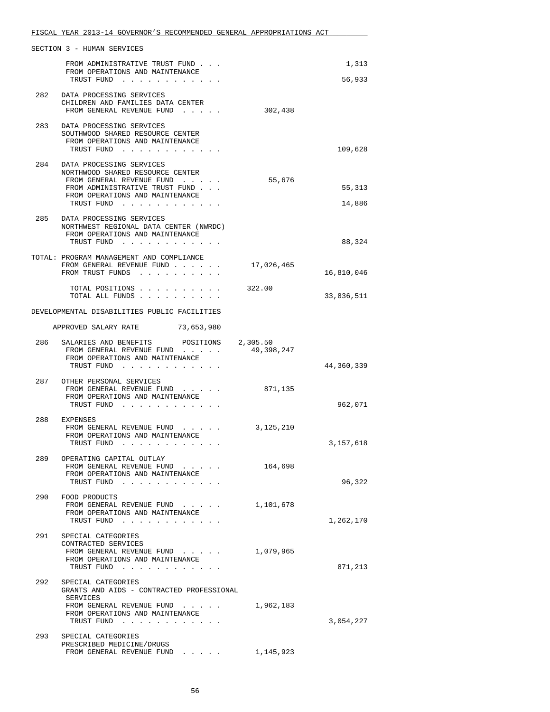|     | SECTION 3 - HUMAN SERVICES                                                                                                                                                       |                        |                  |
|-----|----------------------------------------------------------------------------------------------------------------------------------------------------------------------------------|------------------------|------------------|
|     | FROM ADMINISTRATIVE TRUST FUND<br>FROM OPERATIONS AND MAINTENANCE<br>TRUST FUND<br>$\mathbf{r}$ , $\mathbf{r}$ , $\mathbf{r}$ , $\mathbf{r}$ , $\mathbf{r}$ , $\mathbf{r}$       |                        | 1,313<br>56,933  |
| 282 | DATA PROCESSING SERVICES<br>CHILDREN AND FAMILIES DATA CENTER<br>FROM GENERAL REVENUE FUND                                                                                       | 302,438                |                  |
| 283 | DATA PROCESSING SERVICES<br>SOUTHWOOD SHARED RESOURCE CENTER<br>FROM OPERATIONS AND MAINTENANCE<br>TRUST FUND                                                                    |                        | 109,628          |
|     | 284 DATA PROCESSING SERVICES<br>NORTHWOOD SHARED RESOURCE CENTER<br>FROM GENERAL REVENUE FUND<br>FROM ADMINISTRATIVE TRUST FUND<br>FROM OPERATIONS AND MAINTENANCE<br>TRUST FUND | 55,676                 | 55,313<br>14,886 |
|     | 285 DATA PROCESSING SERVICES<br>NORTHWEST REGIONAL DATA CENTER (NWRDC)<br>FROM OPERATIONS AND MAINTENANCE<br>TRUST FUND                                                          |                        | 88,324           |
|     | TOTAL: PROGRAM MANAGEMENT AND COMPLIANCE<br>FROM GENERAL REVENUE FUND<br>FROM TRUST FUNDS                                                                                        | 17,026,465             | 16,810,046       |
|     | TOTAL POSITIONS<br>TOTAL ALL FUNDS                                                                                                                                               | 322.00                 | 33,836,511       |
|     | DEVELOPMENTAL DISABILITIES PUBLIC FACILITIES                                                                                                                                     |                        |                  |
|     | APPROVED SALARY RATE 73,653,980                                                                                                                                                  |                        |                  |
| 286 | SALARIES AND BENEFITS POSITIONS<br>FROM GENERAL REVENUE FUND<br>FROM OPERATIONS AND MAINTENANCE                                                                                  | 2,305.50<br>49,398,247 |                  |
|     | TRUST FUND                                                                                                                                                                       |                        | 44,360,339       |
|     | 287 OTHER PERSONAL SERVICES<br>FROM GENERAL REVENUE FUND<br>FROM OPERATIONS AND MAINTENANCE<br>TRUST FUND                                                                        | 871,135                | 962,071          |
|     | 288 EXPENSES<br>FROM GENERAL REVENUE FUND<br>FROM OPERATIONS AND MAINTENANCE<br>TRUST FUND                                                                                       | 3, 125, 210            | 3,157,618        |
| 289 | OPERATING CAPITAL OUTLAY<br>FROM GENERAL REVENUE FUND<br>FROM OPERATIONS AND MAINTENANCE<br>TRUST FUND                                                                           | 164,698                | 96,322           |
| 290 | FOOD PRODUCTS<br>FROM GENERAL REVENUE FUND<br>FROM OPERATIONS AND MAINTENANCE<br>TRUST FUND                                                                                      | 1,101,678              | 1,262,170        |
| 291 | SPECIAL CATEGORIES<br>CONTRACTED SERVICES<br>FROM GENERAL REVENUE FUND<br>FROM OPERATIONS AND MAINTENANCE<br>TRUST FUND                                                          | 1,079,965              | 871,213          |
|     | 292 SPECIAL CATEGORIES<br>GRANTS AND AIDS - CONTRACTED PROFESSIONAL<br>SERVICES<br>FROM GENERAL REVENUE FUND<br>FROM OPERATIONS AND MAINTENANCE<br>TRUST FUND                    | 1,962,183              | 3,054,227        |
| 293 | SPECIAL CATEGORIES<br>PRESCRIBED MEDICINE/DRUGS<br>FROM GENERAL REVENUE FUND 1, 145,923                                                                                          |                        |                  |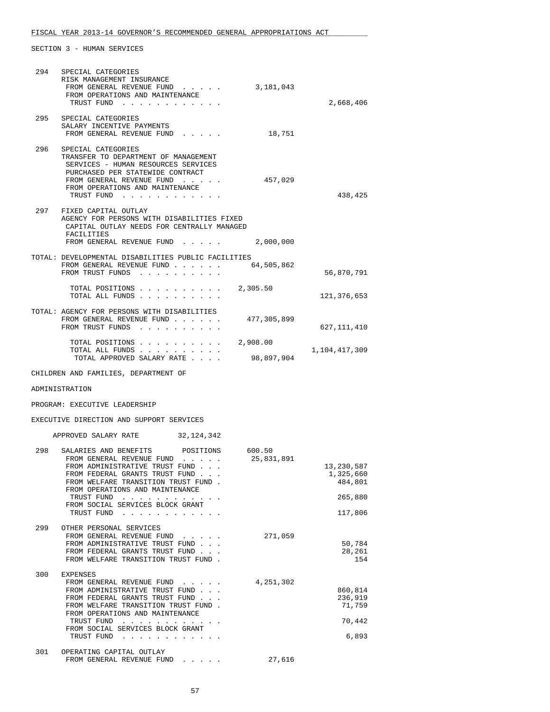# FISCAL YEAR 2013-14 GOVERNOR'S RECOMMENDED GENERAL APPROPRIATIONS ACT

|     | 294 SPECIAL CATEGORIES<br>RISK MANAGEMENT INSURANCE<br>FROM GENERAL REVENUE FUND<br>FROM OPERATIONS AND MAINTENANCE<br>TRUST FUND                                                                                                                                                                                          | 3,181,043   | 2,668,406                                       |
|-----|----------------------------------------------------------------------------------------------------------------------------------------------------------------------------------------------------------------------------------------------------------------------------------------------------------------------------|-------------|-------------------------------------------------|
|     | 295 SPECIAL CATEGORIES<br>SALARY INCENTIVE PAYMENTS<br>FROM GENERAL REVENUE FUND                                                                                                                                                                                                                                           | 18,751      |                                                 |
| 296 | SPECIAL CATEGORIES<br>TRANSFER TO DEPARTMENT OF MANAGEMENT<br>SERVICES - HUMAN RESOURCES SERVICES<br>PURCHASED PER STATEWIDE CONTRACT<br>FROM GENERAL REVENUE FUND<br>FROM OPERATIONS AND MAINTENANCE<br>TRUST FUND                                                                                                        | 457,029     | 438,425                                         |
| 297 | FIXED CAPITAL OUTLAY<br>AGENCY FOR PERSONS WITH DISABILITIES FIXED<br>CAPITAL OUTLAY NEEDS FOR CENTRALLY MANAGED<br>FACILITIES<br>FROM GENERAL REVENUE FUND                                                                                                                                                                | 2,000,000   |                                                 |
|     | TOTAL: DEVELOPMENTAL DISABILITIES PUBLIC FACILITIES                                                                                                                                                                                                                                                                        |             |                                                 |
|     | FROM GENERAL REVENUE FUND<br>FROM TRUST FUNDS                                                                                                                                                                                                                                                                              | 64,505,862  | 56,870,791                                      |
|     | TOTAL POSITIONS 2,305.50<br>TOTAL ALL FUNDS                                                                                                                                                                                                                                                                                |             | 121,376,653                                     |
|     | TOTAL: AGENCY FOR PERSONS WITH DISABILITIES<br>FROM GENERAL REVENUE FUND<br>FROM TRUST FUNDS                                                                                                                                                                                                                               | 477,305,899 | 627,111,410                                     |
|     | TOTAL POSITIONS<br>TOTAL ALL FUNDS                                                                                                                                                                                                                                                                                         | 2,908.00    | 1,104,417,309                                   |
|     | TOTAL APPROVED SALARY RATE                                                                                                                                                                                                                                                                                                 | 98,897,904  |                                                 |
|     | CHILDREN AND FAMILIES, DEPARTMENT OF                                                                                                                                                                                                                                                                                       |             |                                                 |
|     |                                                                                                                                                                                                                                                                                                                            |             |                                                 |
|     | ADMINISTRATION                                                                                                                                                                                                                                                                                                             |             |                                                 |
|     | PROGRAM: EXECUTIVE LEADERSHIP                                                                                                                                                                                                                                                                                              |             |                                                 |
|     | EXECUTIVE DIRECTION AND SUPPORT SERVICES                                                                                                                                                                                                                                                                                   |             |                                                 |
|     | APPROVED SALARY RATE 32, 124, 342                                                                                                                                                                                                                                                                                          |             |                                                 |
|     | 298 SALARIES AND BENEFITS POSITIONS 600.50<br>FROM GENERAL REVENUE FUND<br>FROM ADMINISTRATIVE TRUST FUND<br>FROM FEDERAL GRANTS TRUST FUND<br>FROM WELFARE TRANSITION TRUST FUND.<br>FROM OPERATIONS AND MAINTENANCE<br>TRUST FUND<br>the contract of the contract of the contract of<br>FROM SOCIAL SERVICES BLOCK GRANT | 25,831,891  | 13,230,587<br>1,325,660<br>484,801<br>265,880   |
|     | TRUST FUND                                                                                                                                                                                                                                                                                                                 |             | 117,806                                         |
| 299 | OTHER PERSONAL SERVICES<br>FROM GENERAL REVENUE FUND<br>FROM ADMINISTRATIVE TRUST FUND<br>FROM FEDERAL GRANTS TRUST FUND<br>FROM WELFARE TRANSITION TRUST FUND.                                                                                                                                                            | 271,059     | 50,784<br>28,261<br>154                         |
| 300 | EXPENSES<br>FROM GENERAL REVENUE FUND<br>FROM ADMINISTRATIVE TRUST FUND<br>FROM FEDERAL GRANTS TRUST FUND<br>FROM WELFARE TRANSITION TRUST FUND.<br>FROM OPERATIONS AND MAINTENANCE<br>TRUST FUND<br>FROM SOCIAL SERVICES BLOCK GRANT<br>TRUST FUND                                                                        | 4, 251, 302 | 860,814<br>236,919<br>71,759<br>70,442<br>6,893 |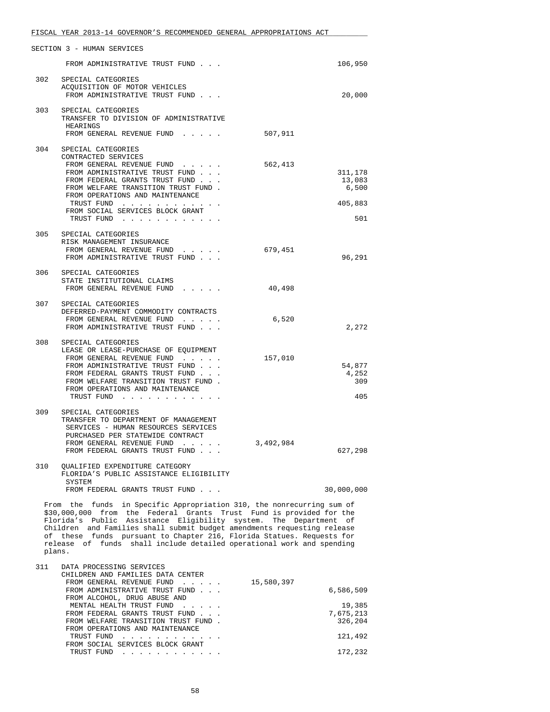|     | FISCAL YEAR 2013-14 GOVERNOR'S RECOMMENDED GENERAL APPROPRIATIONS ACT                                                                 |           |                   |
|-----|---------------------------------------------------------------------------------------------------------------------------------------|-----------|-------------------|
|     | SECTION 3 - HUMAN SERVICES                                                                                                            |           |                   |
|     | FROM ADMINISTRATIVE TRUST FUND                                                                                                        |           | 106,950           |
| 302 | SPECIAL CATEGORIES<br>ACQUISITION OF MOTOR VEHICLES<br>FROM ADMINISTRATIVE TRUST FUND                                                 |           | 20,000            |
|     |                                                                                                                                       |           |                   |
| 303 | SPECIAL CATEGORIES<br>TRANSFER TO DIVISION OF ADMINISTRATIVE<br>HEARINGS<br>FROM GENERAL REVENUE FUND                                 | 507,911   |                   |
|     |                                                                                                                                       |           |                   |
| 304 | SPECIAL CATEGORIES<br>CONTRACTED SERVICES<br>FROM GENERAL REVENUE FUND                                                                | 562,413   |                   |
|     | FROM ADMINISTRATIVE TRUST FUND<br>FROM FEDERAL GRANTS TRUST FUND                                                                      |           | 311,178<br>13,083 |
|     | FROM WELFARE TRANSITION TRUST FUND.<br>FROM OPERATIONS AND MAINTENANCE                                                                |           | 6,500             |
|     | TRUST FUND<br>FROM SOCIAL SERVICES BLOCK GRANT<br>TRUST FUND                                                                          |           | 405,883<br>501    |
|     |                                                                                                                                       |           |                   |
| 305 | SPECIAL CATEGORIES<br>RISK MANAGEMENT INSURANCE                                                                                       | 679,451   |                   |
|     | FROM GENERAL REVENUE FUND<br>FROM ADMINISTRATIVE TRUST FUND                                                                           |           | 96,291            |
| 306 | SPECIAL CATEGORIES<br>STATE INSTITUTIONAL CLAIMS<br>FROM GENERAL REVENUE FUND                                                         | 40,498    |                   |
| 307 | SPECIAL CATEGORIES                                                                                                                    |           |                   |
|     | DEFERRED-PAYMENT COMMODITY CONTRACTS<br>FROM GENERAL REVENUE FUND                                                                     | 6,520     |                   |
|     | FROM ADMINISTRATIVE TRUST FUND                                                                                                        |           | 2,272             |
| 308 | SPECIAL CATEGORIES<br>LEASE OR LEASE-PURCHASE OF EQUIPMENT                                                                            |           |                   |
|     | FROM GENERAL REVENUE FUND                                                                                                             | 157,010   |                   |
|     | FROM ADMINISTRATIVE TRUST FUND<br>FROM FEDERAL GRANTS TRUST FUND                                                                      |           | 54,877<br>4,252   |
|     | FROM WELFARE TRANSITION TRUST FUND.                                                                                                   |           | 309               |
|     | FROM OPERATIONS AND MAINTENANCE<br>TRUST FUND                                                                                         |           | 405               |
| 309 | SPECIAL CATEGORIES<br>TRANSFER TO DEPARTMENT OF MANAGEMENT<br>SERVICES - HUMAN RESOURCES SERVICES<br>PURCHASED PER STATEWIDE CONTRACT |           |                   |
|     | FROM GENERAL REVENUE FUND<br>FROM FEDERAL GRANTS TRUST FUND                                                                           | 3,492,984 | 627,298           |
| 310 | QUALIFIED EXPENDITURE CATEGORY<br>FLORIDA'S PUBLIC ASSISTANCE ELIGIBILITY<br>SYSTEM                                                   |           |                   |
|     |                                                                                                                                       |           | 30,000,000        |

 \$30,000,000 from the Federal Grants Trust Fund is provided for the Florida's Public Assistance Eligibility system. The Department of Children and Families shall submit budget amendments requesting release of these funds pursuant to Chapter 216, Florida Statues. Requests for release of funds shall include detailed operational work and spending plans.

| 311 | DATA PROCESSING SERVICES<br>CHILDREN AND FAMILIES DATA CENTER |           |
|-----|---------------------------------------------------------------|-----------|
|     | 15,580,397<br>FROM GENERAL REVENUE FUND                       |           |
|     | FROM ADMINISTRATIVE TRUST FUND                                | 6,586,509 |
|     | FROM ALCOHOL, DRUG ABUSE AND                                  |           |
|     | MENTAL HEALTH TRUST FUND                                      | 19,385    |
|     | FROM FEDERAL GRANTS TRUST FUND                                | 7,675,213 |
|     | FROM WELFARE TRANSITION TRUST FUND.                           | 326,204   |
|     | FROM OPERATIONS AND MAINTENANCE                               |           |
|     | TRUST FUND                                                    | 121,492   |
|     | FROM SOCIAL SERVICES BLOCK GRANT                              |           |
|     | TRUST FUND                                                    | 172,232   |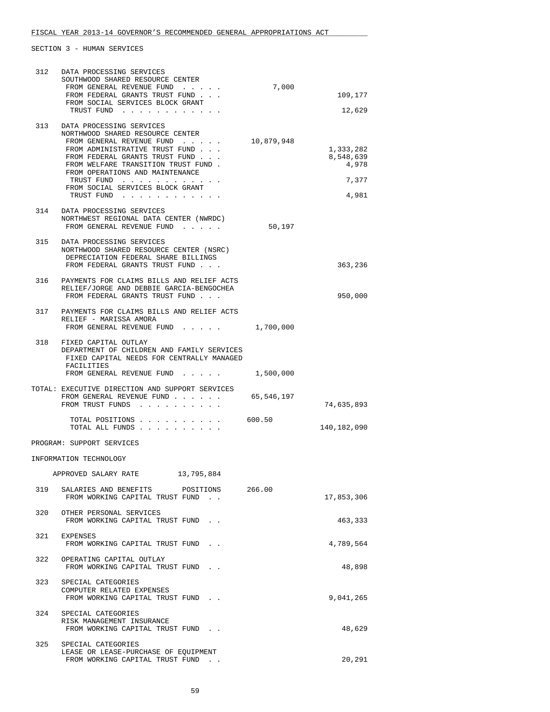| 312 | DATA PROCESSING SERVICES<br>SOUTHWOOD SHARED RESOURCE CENTER<br>FROM GENERAL REVENUE FUND<br>FROM FEDERAL GRANTS TRUST FUND<br>FROM SOCIAL SERVICES BLOCK GRANT<br>TRUST FUND                                                                                                                           | 7,000      | 109,177<br>12,629                                 |
|-----|---------------------------------------------------------------------------------------------------------------------------------------------------------------------------------------------------------------------------------------------------------------------------------------------------------|------------|---------------------------------------------------|
| 313 | DATA PROCESSING SERVICES<br>NORTHWOOD SHARED RESOURCE CENTER<br>FROM GENERAL REVENUE FUND<br>FROM ADMINISTRATIVE TRUST FUND<br>FROM FEDERAL GRANTS TRUST FUND<br>FROM WELFARE TRANSITION TRUST FUND.<br>FROM OPERATIONS AND MAINTENANCE<br>TRUST FUND<br>FROM SOCIAL SERVICES BLOCK GRANT<br>TRUST FUND | 10,879,948 | 1,333,282<br>8,548,639<br>4,978<br>7,377<br>4,981 |
| 314 | DATA PROCESSING SERVICES<br>NORTHWEST REGIONAL DATA CENTER (NWRDC)<br>FROM GENERAL REVENUE FUND                                                                                                                                                                                                         | 50,197     |                                                   |
| 315 | DATA PROCESSING SERVICES<br>NORTHWOOD SHARED RESOURCE CENTER (NSRC)<br>DEPRECIATION FEDERAL SHARE BILLINGS<br>FROM FEDERAL GRANTS TRUST FUND                                                                                                                                                            |            | 363,236                                           |
| 316 | PAYMENTS FOR CLAIMS BILLS AND RELIEF ACTS<br>RELIEF/JORGE AND DEBBIE GARCIA-BENGOCHEA<br>FROM FEDERAL GRANTS TRUST FUND                                                                                                                                                                                 |            | 950,000                                           |
| 317 | PAYMENTS FOR CLAIMS BILLS AND RELIEF ACTS<br>RELIEF - MARISSA AMORA<br>FROM GENERAL REVENUE FUND                                                                                                                                                                                                        | 1,700,000  |                                                   |
| 318 | FIXED CAPITAL OUTLAY<br>DEPARTMENT OF CHILDREN AND FAMILY SERVICES<br>FIXED CAPITAL NEEDS FOR CENTRALLY MANAGED<br>FACILITIES                                                                                                                                                                           |            |                                                   |
|     | FROM GENERAL REVENUE FUND                                                                                                                                                                                                                                                                               | 1,500,000  |                                                   |
|     | TOTAL: EXECUTIVE DIRECTION AND SUPPORT SERVICES<br>FROM GENERAL REVENUE FUND<br>FROM TRUST FUNDS                                                                                                                                                                                                        | 65,546,197 | 74,635,893                                        |
|     | TOTAL POSITIONS<br>TOTAL ALL FUNDS                                                                                                                                                                                                                                                                      | 600.50     | 140,182,090                                       |
|     | PROGRAM: SUPPORT SERVICES                                                                                                                                                                                                                                                                               |            |                                                   |
|     | INFORMATION TECHNOLOGY                                                                                                                                                                                                                                                                                  |            |                                                   |
|     | 13,795,884<br>APPROVED SALARY RATE                                                                                                                                                                                                                                                                      |            |                                                   |
| 319 | SALARIES AND BENEFITS POSITIONS<br>FROM WORKING CAPITAL TRUST FUND.                                                                                                                                                                                                                                     | 266.00     | 17,853,306                                        |
| 320 | OTHER PERSONAL SERVICES<br>FROM WORKING CAPITAL TRUST FUND.                                                                                                                                                                                                                                             |            | 463,333                                           |
| 321 | EXPENSES<br>FROM WORKING CAPITAL TRUST FUND                                                                                                                                                                                                                                                             |            | 4,789,564                                         |
| 322 | OPERATING CAPITAL OUTLAY<br>FROM WORKING CAPITAL TRUST FUND.                                                                                                                                                                                                                                            |            | 48,898                                            |
| 323 | SPECIAL CATEGORIES<br>COMPUTER RELATED EXPENSES<br>FROM WORKING CAPITAL TRUST FUND.                                                                                                                                                                                                                     |            | 9,041,265                                         |
|     | 324 SPECIAL CATEGORIES<br>RISK MANAGEMENT INSURANCE<br>FROM WORKING CAPITAL TRUST FUND.                                                                                                                                                                                                                 |            | 48,629                                            |
| 325 | SPECIAL CATEGORIES<br>LEASE OR LEASE-PURCHASE OF EQUIPMENT<br>FROM WORKING CAPITAL TRUST FUND.                                                                                                                                                                                                          |            | 20,291                                            |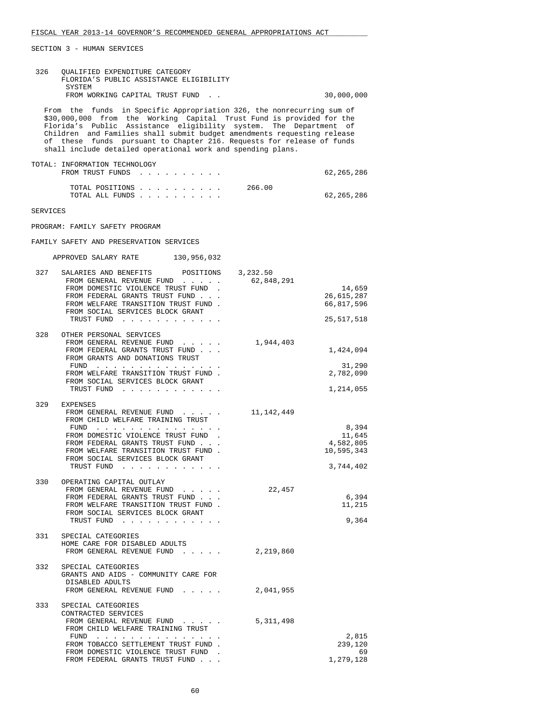| 326      | QUALIFIED EXPENDITURE CATEGORY<br>FLORIDA'S PUBLIC ASSISTANCE ELIGIBILITY<br>SYSTEM                                                                                                                                                                                                                                                                                                                                                   |                        |                                                         |
|----------|---------------------------------------------------------------------------------------------------------------------------------------------------------------------------------------------------------------------------------------------------------------------------------------------------------------------------------------------------------------------------------------------------------------------------------------|------------------------|---------------------------------------------------------|
|          | FROM WORKING CAPITAL TRUST FUND.                                                                                                                                                                                                                                                                                                                                                                                                      |                        | 30,000,000                                              |
|          | From the funds in Specific Appropriation 326, the nonrecurring sum of<br>\$30,000,000 from the Working Capital Trust Fund is provided for the<br>Florida's Public Assistance eligibility system. The Department of<br>Children and Families shall submit budget amendments requesting release<br>of these funds pursuant to Chapter 216. Requests for release of funds<br>shall include detailed operational work and spending plans. |                        |                                                         |
|          | TOTAL: INFORMATION TECHNOLOGY<br>FROM TRUST FUNDS                                                                                                                                                                                                                                                                                                                                                                                     |                        | 62, 265, 286                                            |
|          | TOTAL POSITIONS<br>TOTAL ALL FUNDS                                                                                                                                                                                                                                                                                                                                                                                                    | 266.00                 | 62,265,286                                              |
| SERVICES |                                                                                                                                                                                                                                                                                                                                                                                                                                       |                        |                                                         |
|          | PROGRAM: FAMILY SAFETY PROGRAM                                                                                                                                                                                                                                                                                                                                                                                                        |                        |                                                         |
|          | FAMILY SAFETY AND PRESERVATION SERVICES                                                                                                                                                                                                                                                                                                                                                                                               |                        |                                                         |
|          | APPROVED SALARY RATE 130,956,032                                                                                                                                                                                                                                                                                                                                                                                                      |                        |                                                         |
| 327      | SALARIES AND BENEFITS<br>POSITIONS<br>FROM GENERAL REVENUE FUND<br>FROM DOMESTIC VIOLENCE TRUST FUND.<br>FROM FEDERAL GRANTS TRUST FUND<br>FROM WELFARE TRANSITION TRUST FUND.<br>FROM SOCIAL SERVICES BLOCK GRANT<br>TRUST FUND                                                                                                                                                                                                      | 3,232.50<br>62,848,291 | 14,659<br>26,615,287<br>66,817,596<br>25,517,518        |
| 328      | OTHER PERSONAL SERVICES<br>FROM GENERAL REVENUE FUND<br>FROM FEDERAL GRANTS TRUST FUND<br>FROM GRANTS AND DONATIONS TRUST<br>FUND $\cdots$<br>FROM WELFARE TRANSITION TRUST FUND.<br>FROM SOCIAL SERVICES BLOCK GRANT<br>TRUST FUND                                                                                                                                                                                                   | 1,944,403              | 1,424,094<br>31,290<br>2,782,090<br>1,214,055           |
| 329      | EXPENSES<br>FROM GENERAL REVENUE FUND<br>FROM CHILD WELFARE TRAINING TRUST<br>FUND $\cdots$<br>FROM DOMESTIC VIOLENCE TRUST FUND.<br>FROM FEDERAL GRANTS TRUST FUND<br>FROM WELFARE TRANSITION TRUST FUND.<br>FROM SOCIAL SERVICES BLOCK GRANT<br>TRUST FUND                                                                                                                                                                          | 11,142,449             | 8,394<br>11,645<br>4,582,805<br>10,595,343<br>3,744,402 |
|          | 330 OPERATING CAPITAL OUTLAY<br>FROM GENERAL REVENUE FUND<br>FROM FEDERAL GRANTS TRUST FUND<br>FROM WELFARE TRANSITION TRUST FUND.<br>FROM SOCIAL SERVICES BLOCK GRANT<br>TRUST FUND                                                                                                                                                                                                                                                  | 22,457                 | 6,394<br>11,215<br>9,364                                |
| 331      | SPECIAL CATEGORIES<br>HOME CARE FOR DISABLED ADULTS<br>FROM GENERAL REVENUE FUND                                                                                                                                                                                                                                                                                                                                                      | 2,219,860              |                                                         |
|          | 332 SPECIAL CATEGORIES<br>GRANTS AND AIDS - COMMUNITY CARE FOR<br>DISABLED ADULTS<br>FROM GENERAL REVENUE FUND                                                                                                                                                                                                                                                                                                                        | 2,041,955              |                                                         |
| 333      | SPECIAL CATEGORIES<br>CONTRACTED SERVICES<br>FROM GENERAL REVENUE FUND<br>FROM CHILD WELFARE TRAINING TRUST<br>FUND<br>FROM TOBACCO SETTLEMENT TRUST FUND.<br>FROM DOMESTIC VIOLENCE TRUST FUND<br>FROM FEDERAL GRANTS TRUST FUND                                                                                                                                                                                                     | 5,311,498              | 2,815<br>239,120<br>69<br>1,279,128                     |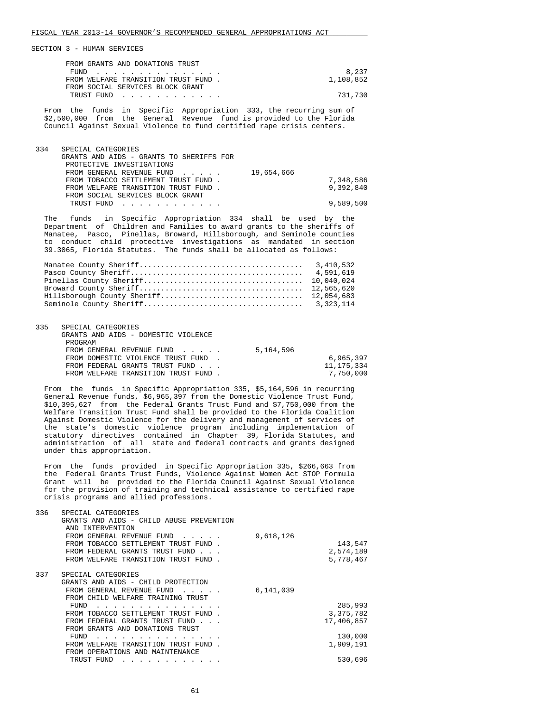| FROM GRANTS AND DONATIONS TRUST     |           |
|-------------------------------------|-----------|
| FUND                                | 8,237     |
| FROM WELFARE TRANSITION TRUST FUND. | 1,108,852 |
| FROM SOCIAL SERVICES BLOCK GRANT    |           |
| TRUST FUND                          | 731.730   |

 From the funds in Specific Appropriation 333, the recurring sum of \$2,500,000 from the General Revenue fund is provided to the Florida Council Against Sexual Violence to fund certified rape crisis centers.

| 334<br>SPECIAL CATEGORIES                |           |
|------------------------------------------|-----------|
| GRANTS AND AIDS - GRANTS TO SHERIFFS FOR |           |
| PROTECTIVE INVESTIGATIONS                |           |
| 19,654,666<br>FROM GENERAL REVENUE FUND  |           |
| FROM TOBACCO SETTLEMENT TRUST FUND.      | 7,348,586 |
| FROM WELFARE TRANSITION TRUST FUND.      | 9,392,840 |
| FROM SOCIAL SERVICES BLOCK GRANT         |           |
| TRUST FUND<br>.                          | 9,589,500 |

 The funds in Specific Appropriation 334 shall be used by the Department of Children and Families to award grants to the sheriffs of Manatee, Pasco, Pinellas, Broward, Hillsborough, and Seminole counties to conduct child protective investigations as mandated in section 39.3065, Florida Statutes. The funds shall be allocated as follows:

| 335 | SPECIAL CATEGORIES                  |           |              |
|-----|-------------------------------------|-----------|--------------|
|     | GRANTS AND AIDS - DOMESTIC VIOLENCE |           |              |
|     | PROGRAM                             |           |              |
|     | FROM GENERAL REVENUE FUND           | 5,164,596 |              |
|     | FROM DOMESTIC VIOLENCE TRUST FUND.  |           | 6,965,397    |
|     | FROM FEDERAL GRANTS TRUST FUND      |           | 11, 175, 334 |
|     | FROM WELFARE TRANSITION TRUST FUND. |           | 7,750,000    |

 From the funds in Specific Appropriation 335, \$5,164,596 in recurring General Revenue funds, \$6,965,397 from the Domestic Violence Trust Fund, \$10,395,627 from the Federal Grants Trust Fund and \$7,750,000 from the Welfare Transition Trust Fund shall be provided to the Florida Coalition Against Domestic Violence for the delivery and management of services of the state's domestic violence program including implementation of statutory directives contained in Chapter 39, Florida Statutes, and administration of all state and federal contracts and grants designed under this appropriation.

 From the funds provided in Specific Appropriation 335, \$266,663 from the Federal Grants Trust Funds, Violence Against Women Act STOP Formula Grant will be provided to the Florida Council Against Sexual Violence for the provision of training and technical assistance to certified rape crisis programs and allied professions.

| 336 | SPECIAL CATEGORIES                                                                                                                                                                                                                          |           |             |
|-----|---------------------------------------------------------------------------------------------------------------------------------------------------------------------------------------------------------------------------------------------|-----------|-------------|
|     | GRANTS AND AIDS - CHILD ABUSE PREVENTION                                                                                                                                                                                                    |           |             |
|     | AND INTERVENTION                                                                                                                                                                                                                            |           |             |
|     | FROM GENERAL REVENUE FUND                                                                                                                                                                                                                   | 9,618,126 |             |
|     | FROM TOBACCO SETTLEMENT TRUST FUND.                                                                                                                                                                                                         |           | 143,547     |
|     | FROM FEDERAL GRANTS TRUST FUND                                                                                                                                                                                                              |           | 2,574,189   |
|     | FROM WELFARE TRANSITION TRUST FUND                                                                                                                                                                                                          |           | 5,778,467   |
|     |                                                                                                                                                                                                                                             |           |             |
| 337 | SPECIAL CATEGORIES                                                                                                                                                                                                                          |           |             |
|     | GRANTS AND AIDS - CHILD PROTECTION                                                                                                                                                                                                          |           |             |
|     | FROM GENERAL REVENUE FUND                                                                                                                                                                                                                   | 6,141,039 |             |
|     | FROM CHILD WELFARE TRAINING TRUST                                                                                                                                                                                                           |           |             |
|     | FUND                                                                                                                                                                                                                                        |           | 285,993     |
|     | FROM TOBACCO SETTLEMENT TRUST FUND.                                                                                                                                                                                                         |           | 3, 375, 782 |
|     | FROM FEDERAL GRANTS TRUST FUND                                                                                                                                                                                                              |           | 17,406,857  |
|     | FROM GRANTS AND DONATIONS TRUST                                                                                                                                                                                                             |           |             |
|     | FUND                                                                                                                                                                                                                                        |           | 130,000     |
|     | FROM WELFARE TRANSITION TRUST FUND.                                                                                                                                                                                                         |           | 1,909,191   |
|     | FROM OPERATIONS AND MAINTENANCE                                                                                                                                                                                                             |           |             |
|     | TRUST FUND<br>a construction of the construction of the construction of the construction of the construction of the construction of the construction of the construction of the construction of the construction of the construction of the |           | 530,696     |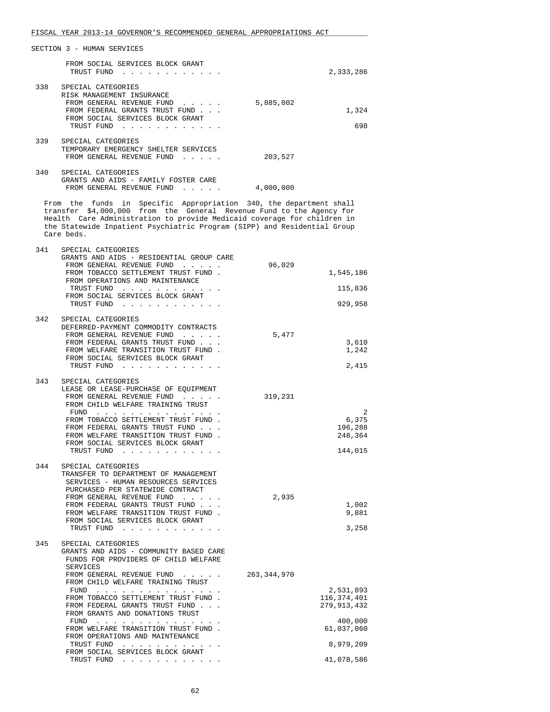|     | FROM SOCIAL SERVICES BLOCK GRANT<br>TRUST FUND                                                                                                                   |           | 2,333,286    |
|-----|------------------------------------------------------------------------------------------------------------------------------------------------------------------|-----------|--------------|
| 338 | SPECIAL CATEGORIES<br>RISK MANAGEMENT INSURANCE<br>FROM GENERAL REVENUE FUND<br>FROM FEDERAL GRANTS TRUST FUND<br>FROM SOCIAL SERVICES BLOCK GRANT<br>TRUST FUND | 5,885,002 | 1,324<br>698 |
| 339 | SPECIAL CATEGORIES<br>TEMPORARY EMERGENCY SHELTER SERVICES<br>FROM GENERAL REVENUE FUND<br>$\overline{a}$ and $\overline{a}$ and $\overline{a}$                  | 203,527   |              |
| 340 | SPECIAL CATEGORIES<br>GRANTS AND AIDS - FAMILY FOSTER CARE<br>FROM GENERAL REVENUE FUND                                                                          | 4,000,000 |              |

 From the funds in Specific Appropriation 340, the department shall transfer \$4,000,000 from the General Revenue Fund to the Agency for Health Care Administration to provide Medicaid coverage for children in the Statewide Inpatient Psychiatric Program (SIPP) and Residential Group Care beds.

| 341 | SPECIAL CATEGORIES<br>GRANTS AND AIDS - RESIDENTIAL GROUP CARE<br>FROM GENERAL REVENUE FUND<br>FROM TOBACCO SETTLEMENT TRUST FUND.<br>FROM OPERATIONS AND MAINTENANCE<br>TRUST FUND<br>FROM SOCIAL SERVICES BLOCK GRANT<br>TRUST FUND                                                                                                                                                                                                      | 96,029        | 1,545,186<br>115,836<br>929,958                                                 |
|-----|--------------------------------------------------------------------------------------------------------------------------------------------------------------------------------------------------------------------------------------------------------------------------------------------------------------------------------------------------------------------------------------------------------------------------------------------|---------------|---------------------------------------------------------------------------------|
| 342 | SPECIAL CATEGORIES<br>DEFERRED-PAYMENT COMMODITY CONTRACTS<br>FROM GENERAL REVENUE FUND<br>FROM FEDERAL GRANTS TRUST FUND<br>FROM WELFARE TRANSITION TRUST FUND.<br>FROM SOCIAL SERVICES BLOCK GRANT<br>TRUST FUND                                                                                                                                                                                                                         | 5,477         | 3,610<br>1,242<br>2,415                                                         |
| 343 | SPECIAL CATEGORIES<br>LEASE OR LEASE-PURCHASE OF EQUIPMENT<br>FROM GENERAL REVENUE FUND<br>FROM CHILD WELFARE TRAINING TRUST<br>$FUND$<br>FROM TOBACCO SETTLEMENT TRUST FUND.<br>FROM FEDERAL GRANTS TRUST FUND<br>FROM WELFARE TRANSITION TRUST FUND.<br>FROM SOCIAL SERVICES BLOCK GRANT<br>TRUST FUND                                                                                                                                   | 319,231       | 2<br>6,375<br>196,288<br>248,364<br>144,015                                     |
| 344 | SPECIAL CATEGORIES<br>TRANSFER TO DEPARTMENT OF MANAGEMENT<br>SERVICES - HUMAN RESOURCES SERVICES<br>PURCHASED PER STATEWIDE CONTRACT<br>FROM GENERAL REVENUE FUND<br>FROM FEDERAL GRANTS TRUST FUND<br>FROM WELFARE TRANSITION TRUST FUND.<br>FROM SOCIAL SERVICES BLOCK GRANT<br>TRUST FUND                                                                                                                                              | 2,935         | 1,002<br>9,881<br>3,258                                                         |
| 345 | SPECIAL CATEGORIES<br>GRANTS AND AIDS - COMMUNITY BASED CARE<br>FUNDS FOR PROVIDERS OF CHILD WELFARE<br>SERVICES<br>FROM GENERAL REVENUE FUND<br>FROM CHILD WELFARE TRAINING TRUST<br>FUND<br>FROM TOBACCO SETTLEMENT TRUST FUND.<br>FROM FEDERAL GRANTS TRUST FUND<br>FROM GRANTS AND DONATIONS TRUST<br>FUND<br>FROM WELFARE TRANSITION TRUST FUND.<br>FROM OPERATIONS AND MAINTENANCE<br>TRUST FUND<br>FROM SOCIAL SERVICES BLOCK GRANT | 263, 344, 970 | 2,531,893<br>116,374,401<br>279, 913, 432<br>400,000<br>61,037,060<br>8,979,209 |
|     | TRUST FUND                                                                                                                                                                                                                                                                                                                                                                                                                                 |               | 41,078,586                                                                      |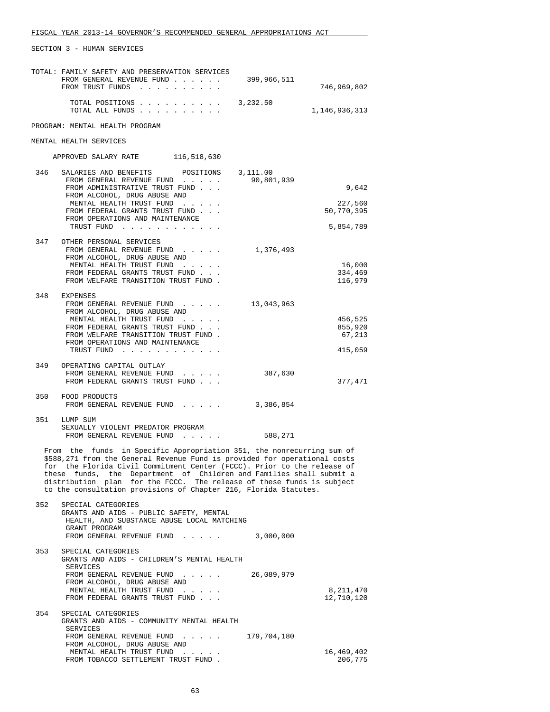|     | TOTAL: FAMILY SAFETY AND PRESERVATION SERVICES<br>FROM GENERAL REVENUE FUND<br>FROM TRUST FUNDS                                                                                                                                                                                                                                                                                                                                                   | 399,966,511 | 746,969,802        |
|-----|---------------------------------------------------------------------------------------------------------------------------------------------------------------------------------------------------------------------------------------------------------------------------------------------------------------------------------------------------------------------------------------------------------------------------------------------------|-------------|--------------------|
|     | TOTAL POSITIONS<br>TOTAL ALL FUNDS                                                                                                                                                                                                                                                                                                                                                                                                                | 3,232.50    | 1,146,936,313      |
|     | PROGRAM: MENTAL HEALTH PROGRAM                                                                                                                                                                                                                                                                                                                                                                                                                    |             |                    |
|     | MENTAL HEALTH SERVICES                                                                                                                                                                                                                                                                                                                                                                                                                            |             |                    |
|     | APPROVED SALARY RATE 116,518,630                                                                                                                                                                                                                                                                                                                                                                                                                  |             |                    |
| 346 | SALARIES AND BENEFITS<br>POSITIONS                                                                                                                                                                                                                                                                                                                                                                                                                | 3,111.00    |                    |
|     | FROM GENERAL REVENUE FUND<br>FROM ADMINISTRATIVE TRUST FUND                                                                                                                                                                                                                                                                                                                                                                                       | 90,801,939  | 9,642              |
|     | FROM ALCOHOL, DRUG ABUSE AND<br>MENTAL HEALTH TRUST FUND                                                                                                                                                                                                                                                                                                                                                                                          |             | 227,560            |
|     | FROM FEDERAL GRANTS TRUST FUND<br>FROM OPERATIONS AND MAINTENANCE                                                                                                                                                                                                                                                                                                                                                                                 |             | 50,770,395         |
|     | TRUST FUND                                                                                                                                                                                                                                                                                                                                                                                                                                        |             | 5,854,789          |
| 347 | OTHER PERSONAL SERVICES                                                                                                                                                                                                                                                                                                                                                                                                                           |             |                    |
|     | FROM GENERAL REVENUE FUND<br>FROM ALCOHOL, DRUG ABUSE AND                                                                                                                                                                                                                                                                                                                                                                                         | 1,376,493   |                    |
|     | MENTAL HEALTH TRUST FUND                                                                                                                                                                                                                                                                                                                                                                                                                          |             | 16,000             |
|     | FROM FEDERAL GRANTS TRUST FUND<br>FROM WELFARE TRANSITION TRUST FUND.                                                                                                                                                                                                                                                                                                                                                                             |             | 334,469<br>116,979 |
| 348 | EXPENSES                                                                                                                                                                                                                                                                                                                                                                                                                                          |             |                    |
|     | FROM GENERAL REVENUE FUND<br>FROM ALCOHOL, DRUG ABUSE AND                                                                                                                                                                                                                                                                                                                                                                                         | 13,043,963  |                    |
|     | MENTAL HEALTH TRUST FUND                                                                                                                                                                                                                                                                                                                                                                                                                          |             | 456,525            |
|     | FROM FEDERAL GRANTS TRUST FUND<br>FROM WELFARE TRANSITION TRUST FUND.                                                                                                                                                                                                                                                                                                                                                                             |             | 855,920<br>67,213  |
|     | FROM OPERATIONS AND MAINTENANCE<br>TRUST FUND                                                                                                                                                                                                                                                                                                                                                                                                     |             | 415,059            |
|     |                                                                                                                                                                                                                                                                                                                                                                                                                                                   |             |                    |
| 349 | OPERATING CAPITAL OUTLAY<br>FROM GENERAL REVENUE FUND                                                                                                                                                                                                                                                                                                                                                                                             | 387,630     |                    |
|     | FROM FEDERAL GRANTS TRUST FUND                                                                                                                                                                                                                                                                                                                                                                                                                    |             | 377,471            |
| 350 | FOOD PRODUCTS<br>FROM GENERAL REVENUE FUND                                                                                                                                                                                                                                                                                                                                                                                                        | 3,386,854   |                    |
| 351 | LUMP SUM                                                                                                                                                                                                                                                                                                                                                                                                                                          |             |                    |
|     | SEXUALLY VIOLENT PREDATOR PROGRAM<br>FROM GENERAL REVENUE FUND                                                                                                                                                                                                                                                                                                                                                                                    | 588,271     |                    |
|     | From the funds in Specific Appropriation 351, the nonrecurring sum of<br>\$588,271 from the General Revenue Fund is provided for operational costs<br>for the Florida Civil Commitment Center (FCCC). Prior to the release of<br>these funds, the Department of Children and Families shall submit a<br>distribution plan for the FCCC. The release of these funds is subject<br>to the consultation provisions of Chapter 216, Florida Statutes. |             |                    |
| 352 | SPECIAL CATEGORIES<br>GRANTS AND AIDS - PUBLIC SAFETY, MENTAL<br>HEALTH, AND SUBSTANCE ABUSE LOCAL MATCHING                                                                                                                                                                                                                                                                                                                                       |             |                    |
|     | GRANT PROGRAM<br>FROM GENERAL REVENUE FUND                                                                                                                                                                                                                                                                                                                                                                                                        | 3,000,000   |                    |
| 353 | SPECIAL CATEGORIES<br>GRANTS AND AIDS - CHILDREN'S MENTAL HEALTH<br>SERVICES                                                                                                                                                                                                                                                                                                                                                                      |             |                    |
|     | FROM GENERAL REVENUE FUND<br>FROM ALCOHOL, DRUG ABUSE AND                                                                                                                                                                                                                                                                                                                                                                                         | 26,089,979  |                    |
|     | MENTAL HEALTH TRUST FUND                                                                                                                                                                                                                                                                                                                                                                                                                          |             | 8,211,470          |
|     | FROM FEDERAL GRANTS TRUST FUND                                                                                                                                                                                                                                                                                                                                                                                                                    |             | 12,710,120         |
| 354 | SPECIAL CATEGORIES<br>GRANTS AND AIDS - COMMUNITY MENTAL HEALTH<br>SERVICES                                                                                                                                                                                                                                                                                                                                                                       |             |                    |
|     | FROM GENERAL REVENUE FUND                                                                                                                                                                                                                                                                                                                                                                                                                         | 179,704,180 |                    |
|     | FROM ALCOHOL, DRUG ABUSE AND<br>MENTAL HEALTH TRUST FUND                                                                                                                                                                                                                                                                                                                                                                                          |             | 16,469,402         |
|     | FROM TOBACCO SETTLEMENT TRUST FUND.                                                                                                                                                                                                                                                                                                                                                                                                               |             | 206,775            |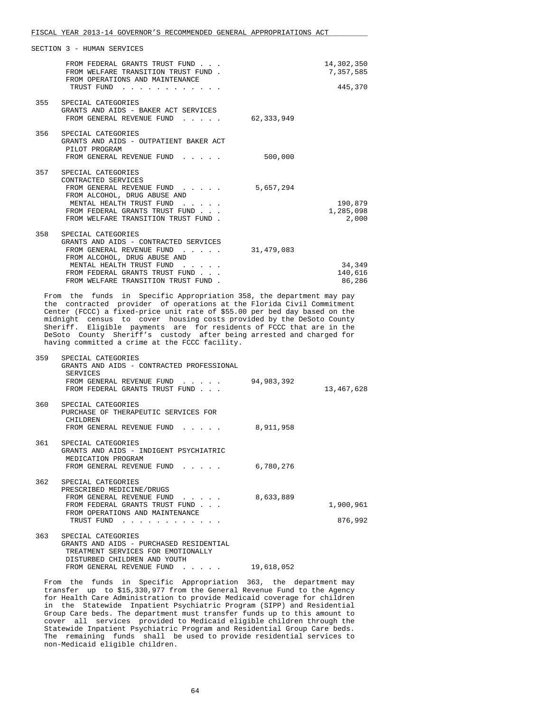|     | FROM FEDERAL GRANTS TRUST FUND<br>FROM WELFARE TRANSITION TRUST FUND.<br>FROM OPERATIONS AND MAINTENANCE<br>TRUST FUND<br>$\sim$ $\sim$ $\sim$ $\sim$ $\sim$                                                                  |            | 14,302,350<br>7,357,585<br>445,370 |
|-----|-------------------------------------------------------------------------------------------------------------------------------------------------------------------------------------------------------------------------------|------------|------------------------------------|
|     | 355 SPECIAL CATEGORIES<br>GRANTS AND AIDS - BAKER ACT SERVICES<br>FROM GENERAL REVENUE FUND<br>$\begin{array}{cccccccccccccc} \bullet & \bullet & \bullet & \bullet & \bullet & \bullet & \bullet & \bullet \end{array}$      | 62,333,949 |                                    |
|     | 356 SPECIAL CATEGORIES<br>GRANTS AND AIDS - OUTPATIENT BAKER ACT<br>PILOT PROGRAM<br>FROM GENERAL REVENUE FUND                                                                                                                | 500,000    |                                    |
| 357 | SPECIAL CATEGORIES<br>CONTRACTED SERVICES<br>FROM GENERAL REVENUE FUND<br>FROM ALCOHOL, DRUG ABUSE AND<br>MENTAL HEALTH TRUST FUND<br>FROM FEDERAL GRANTS TRUST FUND<br>FROM WELFARE TRANSITION TRUST FUND.                   | 5,657,294  | 190,879<br>1,285,098<br>2,000      |
| 358 | SPECIAL CATEGORIES<br>GRANTS AND AIDS - CONTRACTED SERVICES<br>FROM GENERAL REVENUE FUND<br>FROM ALCOHOL, DRUG ABUSE AND<br>MENTAL HEALTH TRUST FUND<br>FROM FEDERAL GRANTS TRUST FUND.<br>FROM WELFARE TRANSITION TRUST FUND | 31,479,083 | 34,349<br>140,616<br>86,286        |

 From the funds in Specific Appropriation 358, the department may pay the contracted provider of operations at the Florida Civil Commitment Center (FCCC) a fixed-price unit rate of \$55.00 per bed day based on the midnight census to cover housing costs provided by the DeSoto County Sheriff. Eligible payments are for residents of FCCC that are in the DeSoto County Sheriff's custody after being arrested and charged for having committed a crime at the FCCC facility.

| 359 | SPECIAL CATEGORIES<br>GRANTS AND AIDS - CONTRACTED PROFESSIONAL<br>SERVICES<br>FROM GENERAL REVENUE FUND<br>FROM FEDERAL GRANTS TRUST FUND                           | 94,983,392 | 13,467,628           |
|-----|----------------------------------------------------------------------------------------------------------------------------------------------------------------------|------------|----------------------|
| 360 | SPECIAL CATEGORIES<br>PURCHASE OF THERAPEUTIC SERVICES FOR<br>CHILDREN<br>FROM GENERAL REVENUE FUND                                                                  | 8,911,958  |                      |
| 361 | SPECIAL CATEGORIES<br>GRANTS AND AIDS - INDIGENT PSYCHIATRIC<br>MEDICATION PROGRAM<br>FROM GENERAL REVENUE FUND                                                      | 6,780,276  |                      |
| 362 | SPECIAL CATEGORIES<br>PRESCRIBED MEDICINE/DRUGS<br>FROM GENERAL REVENUE FUND<br>.<br>FROM FEDERAL GRANTS TRUST FUND<br>FROM OPERATIONS AND MAINTENANCE<br>TRUST FUND | 8,633,889  | 1,900,961<br>876,992 |
| 363 | SPECIAL CATEGORIES<br>GRANTS AND AIDS - PURCHASED RESIDENTIAL<br>TREATMENT SERVICES FOR EMOTIONALLY<br>DISTURBED CHILDREN AND YOUTH<br>FROM GENERAL REVENUE FUND     | 19,618,052 |                      |

 From the funds in Specific Appropriation 363, the department may transfer up to \$15,330,977 from the General Revenue Fund to the Agency for Health Care Administration to provide Medicaid coverage for children in the Statewide Inpatient Psychiatric Program (SIPP) and Residential Group Care beds. The department must transfer funds up to this amount to cover all services provided to Medicaid eligible children through the Statewide Inpatient Psychiatric Program and Residential Group Care beds. The remaining funds shall be used to provide residential services to non-Medicaid eligible children.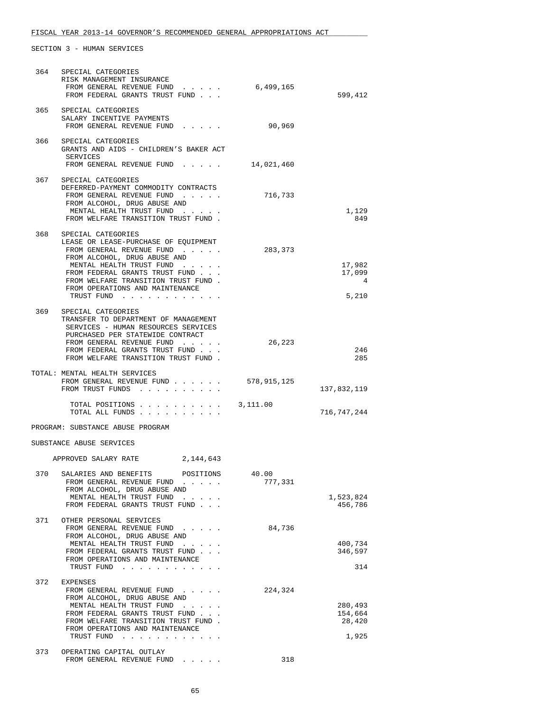### FISCAL YEAR 2013-14 GOVERNOR'S RECOMMENDED GENERAL APPROPRIATIONS ACT \_\_\_\_\_\_\_\_\_\_\_\_\_\_\_\_\_\_\_\_\_\_\_\_\_\_\_\_\_\_\_\_\_\_\_\_\_\_\_\_\_\_\_\_\_\_\_\_\_\_\_\_\_\_\_\_\_\_\_\_\_\_\_\_\_\_\_\_\_\_\_\_\_\_\_\_\_\_

| 364 | SPECIAL CATEGORIES<br>RISK MANAGEMENT INSURANCE<br>FROM GENERAL REVENUE FUND<br>FROM FEDERAL GRANTS TRUST FUND                                                                                                                                                                         | 6,499,165        | 599,412                               |
|-----|----------------------------------------------------------------------------------------------------------------------------------------------------------------------------------------------------------------------------------------------------------------------------------------|------------------|---------------------------------------|
|     | 365 SPECIAL CATEGORIES<br>SALARY INCENTIVE PAYMENTS<br>FROM GENERAL REVENUE FUND                                                                                                                                                                                                       | 90,969           |                                       |
| 366 | SPECIAL CATEGORIES<br>GRANTS AND AIDS - CHILDREN'S BAKER ACT<br>SERVICES<br>FROM GENERAL REVENUE FUND                                                                                                                                                                                  | 14,021,460       |                                       |
|     | 367 SPECIAL CATEGORIES<br>DEFERRED-PAYMENT COMMODITY CONTRACTS<br>FROM GENERAL REVENUE FUND<br>FROM ALCOHOL, DRUG ABUSE AND<br>MENTAL HEALTH TRUST FUND<br>FROM WELFARE TRANSITION TRUST FUND.                                                                                         | 716,733          | 1,129<br>849                          |
| 368 | SPECIAL CATEGORIES<br>LEASE OR LEASE-PURCHASE OF EQUIPMENT<br>FROM GENERAL REVENUE FUND<br>FROM ALCOHOL, DRUG ABUSE AND<br>MENTAL HEALTH TRUST FUND<br>FROM FEDERAL GRANTS TRUST FUND<br>FROM WELFARE TRANSITION TRUST FUND.<br>FROM OPERATIONS AND MAINTENANCE<br>TRUST FUND          | 283,373          | 17,982<br>17,099<br>4<br>5,210        |
| 369 | SPECIAL CATEGORIES<br>TRANSFER TO DEPARTMENT OF MANAGEMENT<br>SERVICES - HUMAN RESOURCES SERVICES<br>PURCHASED PER STATEWIDE CONTRACT<br>FROM GENERAL REVENUE FUND<br>FROM FEDERAL GRANTS TRUST FUND<br>FROM WELFARE TRANSITION TRUST FUND.                                            | 26,223           | 246<br>285                            |
|     | TOTAL: MENTAL HEALTH SERVICES<br>FROM GENERAL REVENUE FUND<br>FROM TRUST FUNDS                                                                                                                                                                                                         | 578,915,125      | 137,832,119                           |
|     | TOTAL POSITIONS<br>TOTAL ALL FUNDS                                                                                                                                                                                                                                                     | 3,111.00         | 716,747,244                           |
|     | PROGRAM: SUBSTANCE ABUSE PROGRAM                                                                                                                                                                                                                                                       |                  |                                       |
|     | SUBSTANCE ABUSE SERVICES                                                                                                                                                                                                                                                               |                  |                                       |
|     | APPROVED SALARY RATE<br>2,144,643                                                                                                                                                                                                                                                      |                  |                                       |
| 370 | SALARIES AND BENEFITS<br>POSITIONS<br>FROM GENERAL REVENUE FUND<br>FROM ALCOHOL, DRUG ABUSE AND<br>MENTAL HEALTH TRUST FUND<br>and the second control of<br>FROM FEDERAL GRANTS TRUST FUND                                                                                             | 40.00<br>777,331 | 1,523,824<br>456,786                  |
| 371 | OTHER PERSONAL SERVICES<br>FROM GENERAL REVENUE FUND<br>FROM ALCOHOL, DRUG ABUSE AND<br>MENTAL HEALTH TRUST FUND<br>FROM FEDERAL GRANTS TRUST FUND<br>FROM OPERATIONS AND MAINTENANCE<br>TRUST FUND                                                                                    | 84,736           | 400,734<br>346,597<br>314             |
| 372 | <b>EXPENSES</b><br>FROM GENERAL REVENUE FUND<br>FROM ALCOHOL, DRUG ABUSE AND<br>MENTAL HEALTH TRUST FUND<br>$\mathcal{L}(\mathcal{A})$ . The contribution of<br>FROM FEDERAL GRANTS TRUST FUND<br>FROM WELFARE TRANSITION TRUST FUND.<br>FROM OPERATIONS AND MAINTENANCE<br>TRUST FUND | 224,324          | 280,493<br>154,664<br>28,420<br>1,925 |
| 373 | OPERATING CAPITAL OUTLAY<br>FROM GENERAL REVENUE FUND                                                                                                                                                                                                                                  | 318              |                                       |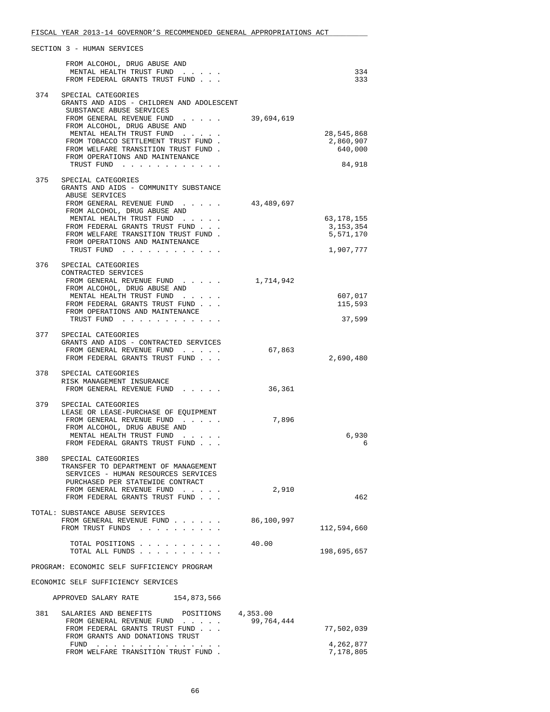|     | SECTION 3 - HUMAN SERVICES                                                                                                                                                                                                                                                                                              |                        |                                                     |
|-----|-------------------------------------------------------------------------------------------------------------------------------------------------------------------------------------------------------------------------------------------------------------------------------------------------------------------------|------------------------|-----------------------------------------------------|
|     | FROM ALCOHOL, DRUG ABUSE AND<br>MENTAL HEALTH TRUST FUND<br>FROM FEDERAL GRANTS TRUST FUND                                                                                                                                                                                                                              |                        | 334<br>333                                          |
|     | 374 SPECIAL CATEGORIES<br>GRANTS AND AIDS - CHILDREN AND ADOLESCENT<br>SUBSTANCE ABUSE SERVICES<br>FROM GENERAL REVENUE FUND<br>FROM ALCOHOL, DRUG ABUSE AND<br>MENTAL HEALTH TRUST FUND<br>FROM TOBACCO SETTLEMENT TRUST FUND.<br>FROM WELFARE TRANSITION TRUST FUND.<br>FROM OPERATIONS AND MAINTENANCE<br>TRUST FUND | 39,694,619             | 28,545,868<br>2,860,907<br>640,000<br>84,918        |
| 375 | SPECIAL CATEGORIES<br>GRANTS AND AIDS - COMMUNITY SUBSTANCE<br>ABUSE SERVICES<br>FROM GENERAL REVENUE FUND<br>FROM ALCOHOL, DRUG ABUSE AND<br>MENTAL HEALTH TRUST FUND<br>FROM FEDERAL GRANTS TRUST FUND<br>FROM WELFARE TRANSITION TRUST FUND.<br>FROM OPERATIONS AND MAINTENANCE<br>TRUST FUND                        | 43,489,697             | 63,178,155<br>3, 153, 354<br>5,571,170<br>1,907,777 |
| 376 | SPECIAL CATEGORIES<br>CONTRACTED SERVICES<br>FROM GENERAL REVENUE FUND<br>FROM ALCOHOL, DRUG ABUSE AND<br>MENTAL HEALTH TRUST FUND<br>FROM FEDERAL GRANTS TRUST FUND<br>FROM OPERATIONS AND MAINTENANCE<br>TRUST FUND                                                                                                   | 1,714,942              | 607,017<br>115,593<br>37,599                        |
| 377 | SPECIAL CATEGORIES<br>GRANTS AND AIDS - CONTRACTED SERVICES<br>FROM GENERAL REVENUE FUND<br>FROM FEDERAL GRANTS TRUST FUND                                                                                                                                                                                              | 67,863                 | 2,690,480                                           |
| 378 | SPECIAL CATEGORIES<br>RISK MANAGEMENT INSURANCE<br>FROM GENERAL REVENUE FUND                                                                                                                                                                                                                                            | 36,361                 |                                                     |
| 379 | SPECIAL CATEGORIES<br>LEASE OR LEASE-PURCHASE OF EQUIPMENT<br>FROM GENERAL REVENUE FUND<br>FROM ALCOHOL, DRUG ABUSE AND<br>MENTAL HEALTH TRUST FUND<br>FROM FEDERAL GRANTS TRUST FUND                                                                                                                                   | 7,896                  | 6,930<br>6                                          |
| 380 | SPECIAL CATEGORIES<br>TRANSFER TO DEPARTMENT OF MANAGEMENT<br>SERVICES - HUMAN RESOURCES SERVICES<br>PURCHASED PER STATEWIDE CONTRACT<br>FROM GENERAL REVENUE FUND<br>FROM FEDERAL GRANTS TRUST FUND                                                                                                                    | 2,910                  | 462                                                 |
|     | TOTAL: SUBSTANCE ABUSE SERVICES<br>FROM GENERAL REVENUE FUND<br>FROM TRUST FUNDS                                                                                                                                                                                                                                        | 86,100,997             | 112,594,660                                         |
|     | TOTAL POSITIONS<br>TOTAL ALL FUNDS                                                                                                                                                                                                                                                                                      | 40.00                  | 198,695,657                                         |
|     | PROGRAM: ECONOMIC SELF SUFFICIENCY PROGRAM                                                                                                                                                                                                                                                                              |                        |                                                     |
|     | ECONOMIC SELF SUFFICIENCY SERVICES                                                                                                                                                                                                                                                                                      |                        |                                                     |
|     | APPROVED SALARY RATE 154,873,566                                                                                                                                                                                                                                                                                        |                        |                                                     |
| 381 | SALARIES AND BENEFITS<br>POSITIONS<br>FROM GENERAL REVENUE FUND<br>FROM FEDERAL GRANTS TRUST FUND<br>FROM GRANTS AND DONATIONS TRUST<br>FUND                                                                                                                                                                            | 4,353.00<br>99,764,444 | 77,502,039<br>4,262,877                             |
|     | FROM WELFARE TRANSITION TRUST FUND.                                                                                                                                                                                                                                                                                     |                        | 7,178,805                                           |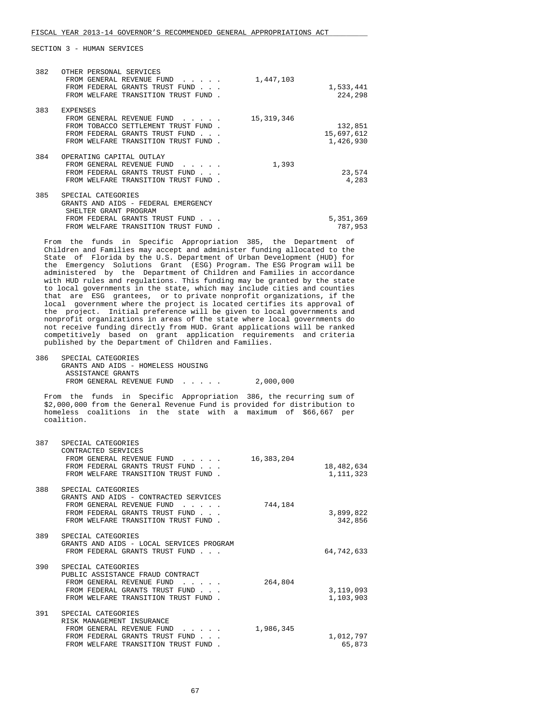| 382 | OTHER PERSONAL SERVICES<br>FROM GENERAL REVENUE FUND<br>FROM FEDERAL GRANTS TRUST FUND<br>FROM WELFARE TRANSITION TRUST FUND | 1,447,103    | 1,533,441<br>224,298 |
|-----|------------------------------------------------------------------------------------------------------------------------------|--------------|----------------------|
| 383 | <b>EXPENSES</b>                                                                                                              |              |                      |
|     | FROM GENERAL REVENUE FUND                                                                                                    | 15, 319, 346 |                      |
|     | FROM TOBACCO SETTLEMENT TRUST FUND.                                                                                          |              | 132,851              |
|     | FEDERAL GRANTS TRUST FUND<br><b>FROM</b>                                                                                     |              | 15,697,612           |
|     | FROM WELFARE TRANSITION TRUST FUND                                                                                           |              | 1,426,930            |
| 384 | OPERATING CAPITAL OUTLAY                                                                                                     |              |                      |
|     | FROM GENERAL REVENUE FUND                                                                                                    | 1,393        |                      |
|     | FROM FEDERAL GRANTS TRUST FUND                                                                                               |              | 23,574               |
|     | FROM WELFARE TRANSITION TRUST FUND                                                                                           |              | 4,283                |
|     |                                                                                                                              |              |                      |
| 385 | SPECIAL CATEGORIES                                                                                                           |              |                      |
|     | GRANTS AND AIDS - FEDERAL EMERGENCY<br>SHELTER GRANT PROGRAM                                                                 |              |                      |
|     | FROM FEDERAL GRANTS TRUST FUND                                                                                               |              | 5,351,369            |
|     | WELFARE TRANSITION<br>FROM<br>TRUST FUND                                                                                     |              | 787,953              |
|     |                                                                                                                              |              |                      |

 From the funds in Specific Appropriation 385, the Department of Children and Families may accept and administer funding allocated to the State of Florida by the U.S. Department of Urban Development (HUD) for the Emergency Solutions Grant (ESG) Program. The ESG Program will be administered by the Department of Children and Families in accordance with HUD rules and regulations. This funding may be granted by the state to local governments in the state, which may include cities and counties that are ESG grantees, or to private nonprofit organizations, if the local government where the project is located certifies its approval of the project. Initial preference will be given to local governments and nonprofit organizations in areas of the state where local governments do not receive funding directly from HUD. Grant applications will be ranked competitively based on grant application requirements and criteria published by the Department of Children and Families.

| 386 | SPECIAL CATEGORIES                 |           |
|-----|------------------------------------|-----------|
|     | GRANTS AND AIDS - HOMELESS HOUSING |           |
|     | ASSISTANCE GRANTS                  |           |
|     | FROM GENERAL REVENUE FUND          | 2,000,000 |

 From the funds in Specific Appropriation 386, the recurring sum of \$2,000,000 from the General Revenue Fund is provided for distribution to homeless coalitions in the state with a maximum of \$66,667 per coalition.

| 387 | SPECIAL CATEGORIES<br>CONTRACTED SERVICES<br>FROM GENERAL REVENUE FUND<br>FROM FEDERAL GRANTS TRUST FUND<br>FROM WELFARE TRANSITION TRUST FUND.                   | 16,383,204 | 18,482,634<br>1, 111, 323 |
|-----|-------------------------------------------------------------------------------------------------------------------------------------------------------------------|------------|---------------------------|
| 388 | SPECIAL CATEGORIES<br>GRANTS AND AIDS - CONTRACTED SERVICES<br>FROM GENERAL REVENUE FUND<br>FROM FEDERAL GRANTS TRUST FUND<br>FROM WELFARE TRANSITION TRUST FUND. | 744,184    | 3,899,822<br>342,856      |
| 389 | SPECIAL CATEGORIES<br>GRANTS AND AIDS - LOCAL SERVICES PROGRAM<br>FROM FEDERAL GRANTS TRUST FUND                                                                  |            | 64,742,633                |
| 390 | SPECIAL CATEGORIES<br>PUBLIC ASSISTANCE FRAUD CONTRACT<br>FROM GENERAL REVENUE FUND<br>FROM FEDERAL GRANTS TRUST FUND<br>FROM WELFARE TRANSITION TRUST FUND       | 264,804    | 3,119,093<br>1,103,903    |
| 391 | SPECIAL CATEGORIES<br>RISK MANAGEMENT INSURANCE<br>FROM GENERAL REVENUE FUND<br>FROM FEDERAL GRANTS TRUST FUND<br>FROM WELFARE TRANSITION TRUST FUND              | 1,986,345  | 1,012,797<br>65,873       |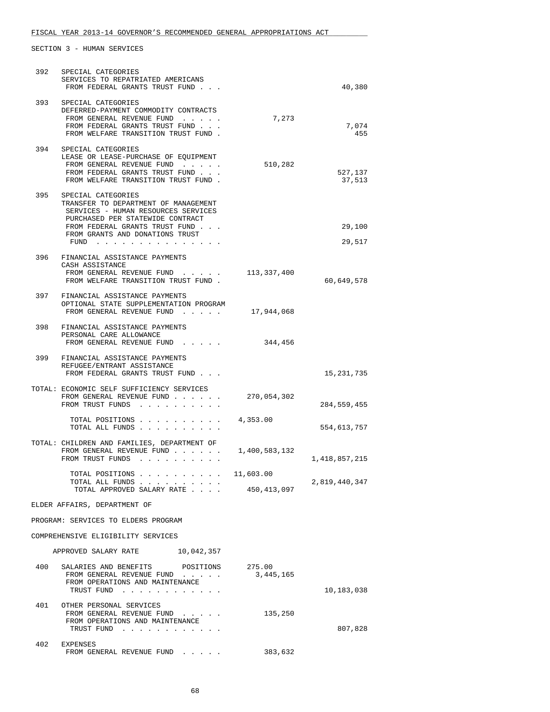| 392                                 | SPECIAL CATEGORIES<br>SERVICES TO REPATRIATED AMERICANS<br>FROM FEDERAL GRANTS TRUST FUND                                                                               |                            | 40,380            |
|-------------------------------------|-------------------------------------------------------------------------------------------------------------------------------------------------------------------------|----------------------------|-------------------|
| 393                                 | SPECIAL CATEGORIES<br>DEFERRED-PAYMENT COMMODITY CONTRACTS<br>FROM GENERAL REVENUE FUND<br>FROM FEDERAL GRANTS TRUST FUND<br>FROM WELFARE TRANSITION TRUST FUND.        | 7,273                      | 7,074<br>455      |
| 394                                 | SPECIAL CATEGORIES<br>LEASE OR LEASE-PURCHASE OF EQUIPMENT<br>FROM GENERAL REVENUE FUND<br>FROM FEDERAL GRANTS TRUST FUND<br>FROM WELFARE TRANSITION TRUST FUND.        | 510,282                    | 527,137<br>37,513 |
| 395                                 | SPECIAL CATEGORIES<br>TRANSFER TO DEPARTMENT OF MANAGEMENT<br>SERVICES - HUMAN RESOURCES SERVICES<br>PURCHASED PER STATEWIDE CONTRACT<br>FROM FEDERAL GRANTS TRUST FUND |                            | 29,100            |
|                                     | FROM GRANTS AND DONATIONS TRUST<br>FUND                                                                                                                                 |                            | 29,517            |
| 396                                 | FINANCIAL ASSISTANCE PAYMENTS<br>CASH ASSISTANCE<br>FROM GENERAL REVENUE FUND<br>FROM WELFARE TRANSITION TRUST FUND.                                                    | 113,337,400                | 60,649,578        |
| 397                                 | FINANCIAL ASSISTANCE PAYMENTS<br>OPTIONAL STATE SUPPLEMENTATION PROGRAM<br>FROM GENERAL REVENUE FUND                                                                    | 17,944,068                 |                   |
| 398                                 | FINANCIAL ASSISTANCE PAYMENTS<br>PERSONAL CARE ALLOWANCE<br>FROM GENERAL REVENUE FUND                                                                                   | 344,456                    |                   |
| 399                                 | FINANCIAL ASSISTANCE PAYMENTS<br>REFUGEE/ENTRANT ASSISTANCE<br>FROM FEDERAL GRANTS TRUST FUND                                                                           |                            | 15, 231, 735      |
|                                     | TOTAL: ECONOMIC SELF SUFFICIENCY SERVICES<br>FROM GENERAL REVENUE FUND<br>FROM TRUST FUNDS                                                                              | 270,054,302                | 284,559,455       |
|                                     | TOTAL POSITIONS<br>$\sim$ $\sim$ $\sim$ $\sim$<br>TOTAL ALL FUNDS                                                                                                       | 4,353.00                   | 554,613,757       |
|                                     | TOTAL: CHILDREN AND FAMILIES, DEPARTMENT OF<br>FROM GENERAL REVENUE FUND<br>FROM TRUST FUNDS                                                                            | 1,400,583,132              | 1,418,857,215     |
|                                     | TOTAL POSITIONS<br>TOTAL ALL FUNDS<br>TOTAL APPROVED SALARY RATE                                                                                                        | 11,603.00<br>450, 413, 097 | 2,819,440,347     |
| ELDER AFFAIRS, DEPARTMENT OF        |                                                                                                                                                                         |                            |                   |
| PROGRAM: SERVICES TO ELDERS PROGRAM |                                                                                                                                                                         |                            |                   |
|                                     | COMPREHENSIVE ELIGIBILITY SERVICES                                                                                                                                      |                            |                   |
|                                     | APPROVED SALARY RATE 10,042,357                                                                                                                                         |                            |                   |
| 400                                 | SALARIES AND BENEFITS POSITIONS<br>FROM GENERAL REVENUE FUND<br>FROM OPERATIONS AND MAINTENANCE<br>TRUST FUND                                                           | 275.00<br>3,445,165        | 10,183,038        |
| 401                                 | OTHER PERSONAL SERVICES<br>FROM GENERAL REVENUE FUND<br>FROM OPERATIONS AND MAINTENANCE<br>TRUST FUND                                                                   | 135,250                    | 807,828           |
| 402                                 | EXPENSES<br>FROM GENERAL REVENUE FUND                                                                                                                                   | 383,632                    |                   |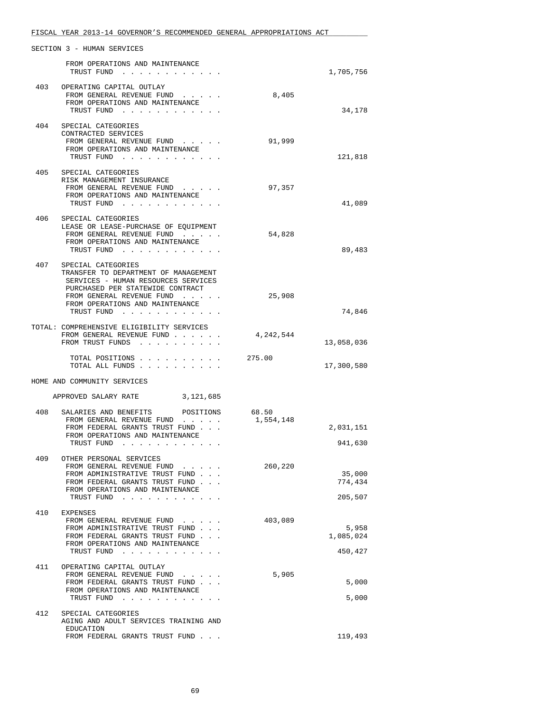|     | SECTION 3 - HUMAN SERVICES                                                                                                                                                                                         |           |            |
|-----|--------------------------------------------------------------------------------------------------------------------------------------------------------------------------------------------------------------------|-----------|------------|
|     |                                                                                                                                                                                                                    |           |            |
|     | FROM OPERATIONS AND MAINTENANCE<br>TRUST FUND<br>$\mathbf{r}$ and $\mathbf{r}$ and $\mathbf{r}$ and $\mathbf{r}$                                                                                                   |           | 1,705,756  |
|     |                                                                                                                                                                                                                    |           |            |
|     | 403 OPERATING CAPITAL OUTLAY                                                                                                                                                                                       |           |            |
|     | FROM GENERAL REVENUE FUND                                                                                                                                                                                          | 8,405     |            |
|     | FROM OPERATIONS AND MAINTENANCE                                                                                                                                                                                    |           |            |
|     | TRUST FUND                                                                                                                                                                                                         |           | 34,178     |
|     |                                                                                                                                                                                                                    |           |            |
| 404 | SPECIAL CATEGORIES                                                                                                                                                                                                 |           |            |
|     | CONTRACTED SERVICES                                                                                                                                                                                                |           |            |
|     | FROM GENERAL REVENUE FUND<br>FROM OPERATIONS AND MAINTENANCE                                                                                                                                                       | 91,999    |            |
|     | TRUST FUND                                                                                                                                                                                                         |           | 121,818    |
|     |                                                                                                                                                                                                                    |           |            |
| 405 | SPECIAL CATEGORIES                                                                                                                                                                                                 |           |            |
|     | RISK MANAGEMENT INSURANCE                                                                                                                                                                                          |           |            |
|     | FROM GENERAL REVENUE FUND                                                                                                                                                                                          | 97,357    |            |
|     | FROM OPERATIONS AND MAINTENANCE                                                                                                                                                                                    |           |            |
|     | TRUST FUND                                                                                                                                                                                                         |           | 41,089     |
|     |                                                                                                                                                                                                                    |           |            |
| 406 | SPECIAL CATEGORIES                                                                                                                                                                                                 |           |            |
|     | LEASE OR LEASE-PURCHASE OF EQUIPMENT                                                                                                                                                                               |           |            |
|     | FROM GENERAL REVENUE FUND                                                                                                                                                                                          | 54,828    |            |
|     | FROM OPERATIONS AND MAINTENANCE<br>TRUST FUND                                                                                                                                                                      |           | 89,483     |
|     |                                                                                                                                                                                                                    |           |            |
|     | 407 SPECIAL CATEGORIES                                                                                                                                                                                             |           |            |
|     | TRANSFER TO DEPARTMENT OF MANAGEMENT                                                                                                                                                                               |           |            |
|     | SERVICES - HUMAN RESOURCES SERVICES                                                                                                                                                                                |           |            |
|     | PURCHASED PER STATEWIDE CONTRACT                                                                                                                                                                                   |           |            |
|     | FROM GENERAL REVENUE FUND                                                                                                                                                                                          | 25,908    |            |
|     | FROM OPERATIONS AND MAINTENANCE                                                                                                                                                                                    |           |            |
|     | TRUST FUND                                                                                                                                                                                                         |           | 74,846     |
|     |                                                                                                                                                                                                                    |           |            |
|     | TOTAL: COMPREHENSIVE ELIGIBILITY SERVICES                                                                                                                                                                          |           |            |
|     | FROM GENERAL REVENUE FUND                                                                                                                                                                                          | 4,242,544 |            |
|     | FROM TRUST FUNDS                                                                                                                                                                                                   |           | 13,058,036 |
|     | TOTAL POSITIONS                                                                                                                                                                                                    | 275.00    |            |
|     | TOTAL ALL FUNDS                                                                                                                                                                                                    |           | 17,300,580 |
|     |                                                                                                                                                                                                                    |           |            |
|     | HOME AND COMMUNITY SERVICES                                                                                                                                                                                        |           |            |
|     |                                                                                                                                                                                                                    |           |            |
|     | APPROVED SALARY RATE<br>3,121,685                                                                                                                                                                                  |           |            |
|     |                                                                                                                                                                                                                    |           |            |
| 408 | SALARIES AND BENEFITS<br>POSITIONS                                                                                                                                                                                 | 68.50     |            |
|     | FROM GENERAL REVENUE FUND                                                                                                                                                                                          | 1,554,148 |            |
|     | FROM FEDERAL GRANTS TRUST FUND                                                                                                                                                                                     |           | 2,031,151  |
|     | FROM OPERATIONS AND MAINTENANCE<br>TRUST FUND<br>$\begin{array}{cccccccccccccc} \bullet & \bullet & \bullet & \bullet & \bullet & \bullet & \bullet & \bullet & \bullet & \bullet & \bullet & \bullet \end{array}$ |           | 941,630    |
|     |                                                                                                                                                                                                                    |           |            |
| 409 | OTHER PERSONAL SERVICES                                                                                                                                                                                            |           |            |
|     | FROM GENERAL REVENUE FUND                                                                                                                                                                                          | 260,220   |            |
|     | FROM ADMINISTRATIVE TRUST FUND                                                                                                                                                                                     |           | 35,000     |
|     | FROM FEDERAL GRANTS TRUST FUND                                                                                                                                                                                     |           | 774,434    |
|     | FROM OPERATIONS AND MAINTENANCE                                                                                                                                                                                    |           |            |
|     | TRUST FUND                                                                                                                                                                                                         |           | 205,507    |
|     |                                                                                                                                                                                                                    |           |            |
| 410 | EXPENSES                                                                                                                                                                                                           |           |            |
|     | FROM GENERAL REVENUE FUND                                                                                                                                                                                          | 403,089   |            |
|     | FROM ADMINISTRATIVE TRUST FUND                                                                                                                                                                                     |           | 5,958      |
|     | FROM FEDERAL GRANTS TRUST FUND<br>FROM OPERATIONS AND MAINTENANCE                                                                                                                                                  |           | 1,085,024  |
|     | TRUST FUND                                                                                                                                                                                                         |           | 450,427    |
|     |                                                                                                                                                                                                                    |           |            |
| 411 | OPERATING CAPITAL OUTLAY                                                                                                                                                                                           |           |            |
|     | FROM GENERAL REVENUE FUND                                                                                                                                                                                          | 5,905     |            |
|     | FROM FEDERAL GRANTS TRUST FUND                                                                                                                                                                                     |           | 5,000      |
|     | FROM OPERATIONS AND MAINTENANCE                                                                                                                                                                                    |           |            |
|     | TRUST FUND                                                                                                                                                                                                         |           | 5,000      |
|     |                                                                                                                                                                                                                    |           |            |
| 412 | SPECIAL CATEGORIES                                                                                                                                                                                                 |           |            |
|     | AGING AND ADULT SERVICES TRAINING AND<br>EDUCATION                                                                                                                                                                 |           |            |
|     | FROM FEDERAL GRANTS TRUST FUND                                                                                                                                                                                     |           | 119,493    |
|     |                                                                                                                                                                                                                    |           |            |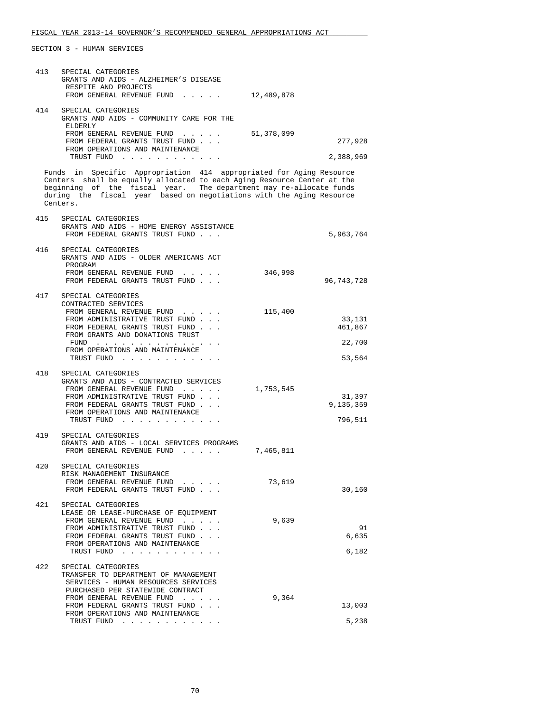| 413<br>SPECIAL CATEGORIES<br>GRANTS AND AIDS - ALZHEIMER'S DISEASE<br>RESPITE AND PROJECTS                                                                                                                                                                                                               |                       |
|----------------------------------------------------------------------------------------------------------------------------------------------------------------------------------------------------------------------------------------------------------------------------------------------------------|-----------------------|
| FROM GENERAL REVENUE FUND 12,489,878                                                                                                                                                                                                                                                                     |                       |
| 414<br>SPECIAL CATEGORIES<br>GRANTS AND AIDS - COMMUNITY CARE FOR THE<br>ELDERLY                                                                                                                                                                                                                         |                       |
| FROM GENERAL REVENUE FUND 51,378,099<br>FROM FEDERAL GRANTS TRUST FUND                                                                                                                                                                                                                                   | 277,928               |
| FROM OPERATIONS AND MAINTENANCE<br>TRUST FUND                                                                                                                                                                                                                                                            | 2,388,969             |
| Funds in Specific Appropriation 414 appropriated for Aging Resource<br>Centers shall be equally allocated to each Aging Resource Center at the<br>beginning of the fiscal year. The department may re-allocate funds<br>during the fiscal year based on negotiations with the Aging Resource<br>Centers. |                       |
| 415<br>SPECIAL CATEGORIES<br>GRANTS AND AIDS - HOME ENERGY ASSISTANCE<br>FROM FEDERAL GRANTS TRUST FUND                                                                                                                                                                                                  | 5,963,764             |
| 416<br>SPECIAL CATEGORIES<br>GRANTS AND AIDS - OLDER AMERICANS ACT<br>PROGRAM                                                                                                                                                                                                                            |                       |
| FROM GENERAL REVENUE FUND<br>FROM FEDERAL GRANTS TRUST FUND                                                                                                                                                                                                                                              | 346,998<br>96,743,728 |
| 417<br>SPECIAL CATEGORIES<br>CONTRACTED SERVICES                                                                                                                                                                                                                                                         |                       |
| FROM GENERAL REVENUE FUND<br>FROM ADMINISTRATIVE TRUST FUND                                                                                                                                                                                                                                              | 115,400<br>33,131     |
| FROM FEDERAL GRANTS TRUST FUND<br>FROM GRANTS AND DONATIONS TRUST                                                                                                                                                                                                                                        | 461,867               |
| $FUND$<br>FROM OPERATIONS AND MAINTENANCE<br>TRUST FUND                                                                                                                                                                                                                                                  | 22,700<br>53,564      |
| 418<br>SPECIAL CATEGORIES                                                                                                                                                                                                                                                                                |                       |
| GRANTS AND AIDS - CONTRACTED SERVICES<br>FROM GENERAL REVENUE FUND<br>1,753,545                                                                                                                                                                                                                          |                       |
| FROM ADMINISTRATIVE TRUST FUND<br>FROM FEDERAL GRANTS TRUST FUND                                                                                                                                                                                                                                         | 31,397<br>9,135,359   |
| FROM OPERATIONS AND MAINTENANCE<br>TRUST FUND                                                                                                                                                                                                                                                            | 796,511               |
| 419<br>SPECIAL CATEGORIES<br>GRANTS AND AIDS - LOCAL SERVICES PROGRAMS                                                                                                                                                                                                                                   |                       |
| FROM GENERAL REVENUE FUND<br>7,465,811                                                                                                                                                                                                                                                                   |                       |
| 420<br>SPECIAL CATEGORIES<br>RISK MANAGEMENT INSURANCE                                                                                                                                                                                                                                                   |                       |
| FROM GENERAL REVENUE FUND<br>FROM FEDERAL GRANTS TRUST FUND                                                                                                                                                                                                                                              | 73,619<br>30,160      |
| 421<br>SPECIAL CATEGORIES<br>LEASE OR LEASE-PURCHASE OF EQUIPMENT                                                                                                                                                                                                                                        |                       |
| FROM GENERAL REVENUE FUND<br>FROM ADMINISTRATIVE TRUST FUND                                                                                                                                                                                                                                              | 9,639<br>91           |
| FROM FEDERAL GRANTS TRUST FUND<br>FROM OPERATIONS AND MAINTENANCE                                                                                                                                                                                                                                        | 6,635<br>6,182        |
| TRUST FUND<br>422<br>SPECIAL CATEGORIES                                                                                                                                                                                                                                                                  |                       |
| TRANSFER TO DEPARTMENT OF MANAGEMENT<br>SERVICES - HUMAN RESOURCES SERVICES<br>PURCHASED PER STATEWIDE CONTRACT                                                                                                                                                                                          |                       |
| FROM GENERAL REVENUE FUND<br>FROM FEDERAL GRANTS TRUST FUND                                                                                                                                                                                                                                              | 9,364<br>13,003       |
| FROM OPERATIONS AND MAINTENANCE<br>TRUST FUND                                                                                                                                                                                                                                                            | 5,238                 |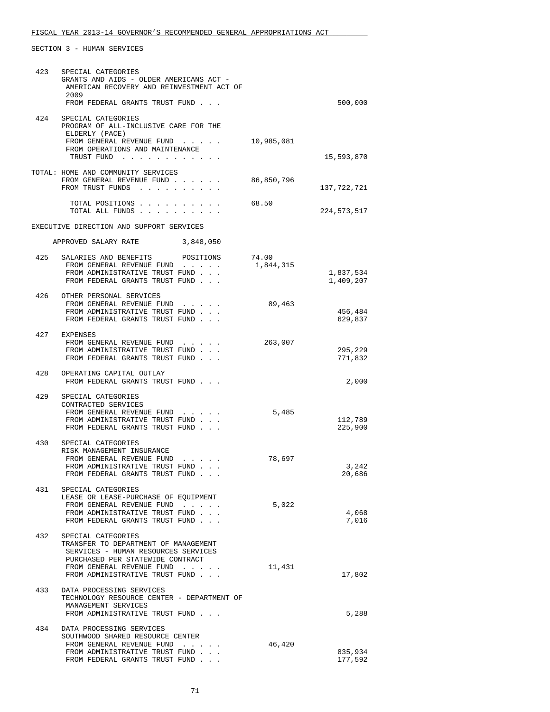| 423 | SPECIAL CATEGORIES<br>GRANTS AND AIDS - OLDER AMERICANS ACT -<br>AMERICAN RECOVERY AND REINVESTMENT ACT OF<br>2009 |            |                    |
|-----|--------------------------------------------------------------------------------------------------------------------|------------|--------------------|
|     | FROM FEDERAL GRANTS TRUST FUND                                                                                     |            | 500,000            |
| 424 | SPECIAL CATEGORIES<br>PROGRAM OF ALL-INCLUSIVE CARE FOR THE<br>ELDERLY (PACE)                                      |            |                    |
|     | FROM GENERAL REVENUE FUND<br>FROM OPERATIONS AND MAINTENANCE<br>TRUST FUND                                         | 10,985,081 | 15,593,870         |
|     | TOTAL: HOME AND COMMUNITY SERVICES                                                                                 |            |                    |
|     | FROM GENERAL REVENUE FUND<br>FROM TRUST FUNDS                                                                      | 86,850,796 | 137,722,721        |
|     | TOTAL POSITIONS<br>TOTAL ALL FUNDS                                                                                 | 68.50      | 224,573,517        |
|     | EXECUTIVE DIRECTION AND SUPPORT SERVICES                                                                           |            |                    |
|     | APPROVED SALARY RATE 3,848,050                                                                                     |            |                    |
| 425 | SALARIES AND BENEFITS<br>POSITIONS                                                                                 | 74.00      |                    |
|     | FROM GENERAL REVENUE FUND<br>FROM ADMINISTRATIVE TRUST FUND                                                        | 1,844,315  | 1,837,534          |
|     | FROM FEDERAL GRANTS TRUST FUND                                                                                     |            | 1,409,207          |
| 426 | OTHER PERSONAL SERVICES                                                                                            |            |                    |
|     | FROM GENERAL REVENUE FUND                                                                                          | 89,463     |                    |
|     | FROM ADMINISTRATIVE TRUST FUND<br>FROM FEDERAL GRANTS TRUST FUND                                                   |            | 456,484<br>629,837 |
|     | 427 EXPENSES                                                                                                       |            |                    |
|     | FROM GENERAL REVENUE FUND                                                                                          | 263,007    |                    |
|     | FROM ADMINISTRATIVE TRUST FUND<br>FROM FEDERAL GRANTS TRUST FUND                                                   |            | 295,229<br>771,832 |
|     |                                                                                                                    |            |                    |
| 428 | OPERATING CAPITAL OUTLAY<br>FROM FEDERAL GRANTS TRUST FUND                                                         |            | 2,000              |
| 429 | SPECIAL CATEGORIES                                                                                                 |            |                    |
|     | CONTRACTED SERVICES<br>FROM GENERAL REVENUE FUND                                                                   | 5,485      |                    |
|     | FROM ADMINISTRATIVE TRUST FUND                                                                                     |            | 112,789            |
|     | FROM FEDERAL GRANTS TRUST FUND                                                                                     |            | 225,900            |
| 430 | SPECIAL CATEGORIES                                                                                                 |            |                    |
|     | RISK MANAGEMENT INSURANCE<br>FROM GENERAL REVENUE FUND                                                             | 78,697     |                    |
|     | FROM ADMINISTRATIVE TRUST FUND                                                                                     |            | 3,242              |
|     | FROM FEDERAL GRANTS TRUST FUND                                                                                     |            | 20,686             |
| 431 | SPECIAL CATEGORIES                                                                                                 |            |                    |
|     | LEASE OR LEASE-PURCHASE OF EQUIPMENT<br>FROM GENERAL REVENUE FUND                                                  | 5,022      |                    |
|     | FROM ADMINISTRATIVE TRUST FUND                                                                                     |            | 4,068              |
|     | FROM FEDERAL GRANTS TRUST FUND                                                                                     |            | 7,016              |
| 432 | SPECIAL CATEGORIES<br>TRANSFER TO DEPARTMENT OF MANAGEMENT<br>SERVICES - HUMAN RESOURCES SERVICES                  |            |                    |
|     | PURCHASED PER STATEWIDE CONTRACT<br>FROM GENERAL REVENUE FUND                                                      | 11,431     |                    |
|     | FROM ADMINISTRATIVE TRUST FUND                                                                                     |            | 17,802             |
|     | 433 DATA PROCESSING SERVICES                                                                                       |            |                    |
|     | TECHNOLOGY RESOURCE CENTER - DEPARTMENT OF                                                                         |            |                    |
|     | MANAGEMENT SERVICES<br>FROM ADMINISTRATIVE TRUST FUND                                                              |            | 5,288              |
| 434 |                                                                                                                    |            |                    |
|     | DATA PROCESSING SERVICES<br>SOUTHWOOD SHARED RESOURCE CENTER                                                       |            |                    |
|     | FROM GENERAL REVENUE FUND                                                                                          | 46,420     |                    |
|     | FROM ADMINISTRATIVE TRUST FUND<br>FROM FEDERAL GRANTS TRUST FUND                                                   |            | 835,934<br>177,592 |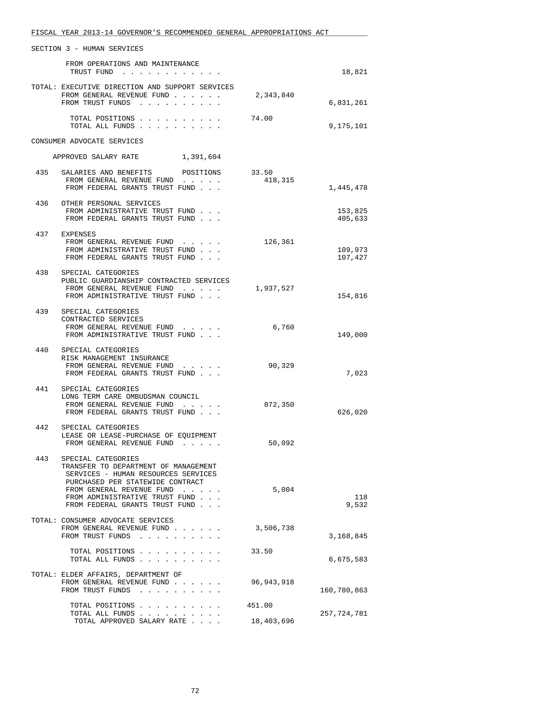|     | FISCAL YEAR 2013-14 GOVERNOR'S RECOMMENDED GENERAL APPROPRIATIONS ACT                                                                                                                                                                  |                      |                    |
|-----|----------------------------------------------------------------------------------------------------------------------------------------------------------------------------------------------------------------------------------------|----------------------|--------------------|
|     | SECTION 3 - HUMAN SERVICES                                                                                                                                                                                                             |                      |                    |
|     | FROM OPERATIONS AND MAINTENANCE<br>TRUST FUND                                                                                                                                                                                          |                      | 18,821             |
|     | TOTAL: EXECUTIVE DIRECTION AND SUPPORT SERVICES<br>FROM GENERAL REVENUE FUND<br>FROM TRUST FUNDS                                                                                                                                       | 2,343,840            | 6,831,261          |
|     | TOTAL POSITIONS<br>TOTAL ALL FUNDS                                                                                                                                                                                                     | 74.00                | 9,175,101          |
|     | CONSUMER ADVOCATE SERVICES                                                                                                                                                                                                             |                      |                    |
|     | 1,391,604<br>APPROVED SALARY RATE                                                                                                                                                                                                      |                      |                    |
|     | 435 SALARIES AND BENEFITS POSITIONS 33.50<br>FROM GENERAL REVENUE FUND<br>FROM FEDERAL GRANTS TRUST FUND                                                                                                                               | 418,315              | 1,445,478          |
|     | 436 OTHER PERSONAL SERVICES<br>FROM ADMINISTRATIVE TRUST FUND<br>FROM FEDERAL GRANTS TRUST FUND                                                                                                                                        |                      | 153,825<br>405,633 |
|     | 437 EXPENSES<br>FROM GENERAL REVENUE FUND<br>FROM ADMINISTRATIVE TRUST FUND<br>FROM FEDERAL GRANTS TRUST FUND                                                                                                                          | 126,361              | 109,973<br>107,427 |
| 438 | SPECIAL CATEGORIES<br>PUBLIC GUARDIANSHIP CONTRACTED SERVICES<br>FROM GENERAL REVENUE FUND<br>FROM ADMINISTRATIVE TRUST FUND                                                                                                           | 1,937,527            | 154,816            |
| 439 | SPECIAL CATEGORIES<br>CONTRACTED SERVICES<br>FROM GENERAL REVENUE FUND<br>FROM ADMINISTRATIVE TRUST FUND                                                                                                                               | 6,760                | 149,000            |
| 440 | SPECIAL CATEGORIES<br>RISK MANAGEMENT INSURANCE<br>FROM GENERAL REVENUE FUND<br>FROM FEDERAL GRANTS TRUST FUND                                                                                                                         | 90,329               | 7,023              |
| 441 | SPECIAL CATEGORIES<br>LONG TERM CARE OMBUDSMAN COUNCIL<br>FROM GENERAL REVENUE FUND<br>$\mathbf{r} = \mathbf{r} + \mathbf{r} + \mathbf{r} + \mathbf{r}$<br>FROM FEDERAL GRANTS TRUST FUND                                              | 872,350              | 626,020            |
| 442 | SPECIAL CATEGORIES<br>LEASE OR LEASE-PURCHASE OF EQUIPMENT<br>FROM GENERAL REVENUE FUND                                                                                                                                                | 50,092               |                    |
| 443 | SPECIAL CATEGORIES<br>TRANSFER TO DEPARTMENT OF MANAGEMENT<br>SERVICES - HUMAN RESOURCES SERVICES<br>PURCHASED PER STATEWIDE CONTRACT<br>FROM GENERAL REVENUE FUND<br>FROM ADMINISTRATIVE TRUST FUND<br>FROM FEDERAL GRANTS TRUST FUND | 5,004                | 118<br>9,532       |
|     | TOTAL: CONSUMER ADVOCATE SERVICES<br>FROM GENERAL REVENUE FUND<br>FROM TRUST FUNDS                                                                                                                                                     | 3,506,738            | 3,168,845          |
|     | TOTAL POSITIONS<br>TOTAL ALL FUNDS                                                                                                                                                                                                     | 33.50                | 6,675,583          |
|     | TOTAL: ELDER AFFAIRS, DEPARTMENT OF<br>FROM GENERAL REVENUE FUND<br>FROM TRUST FUNDS                                                                                                                                                   | 96,943,918           | 160,780,863        |
|     | TOTAL POSITIONS<br>TOTAL ALL FUNDS<br>TOTAL APPROVED SALARY RATE                                                                                                                                                                       | 451.00<br>18,403,696 | 257,724,781        |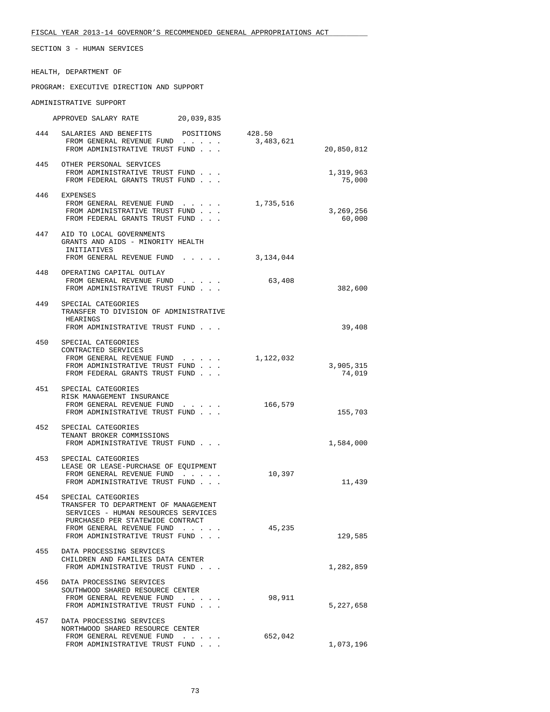SECTION 3 - HUMAN SERVICES

HEALTH, DEPARTMENT OF

PROGRAM: EXECUTIVE DIRECTION AND SUPPORT

ADMINISTRATIVE SUPPORT

APPROVED SALARY RATE 20,039,835

| 444 | SALARIES AND BENEFITS                                                       | POSITIONS | 428.50    |            |
|-----|-----------------------------------------------------------------------------|-----------|-----------|------------|
|     | FROM GENERAL REVENUE FUND                                                   |           | 3,483,621 |            |
|     | FROM ADMINISTRATIVE TRUST FUND                                              |           |           | 20,850,812 |
| 445 | OTHER PERSONAL SERVICES                                                     |           |           |            |
|     | FROM ADMINISTRATIVE TRUST FUND                                              |           |           | 1,319,963  |
|     | FROM FEDERAL GRANTS TRUST FUND                                              |           |           | 75,000     |
|     | 446 EXPENSES                                                                |           |           |            |
|     | FROM GENERAL REVENUE FUND                                                   |           | 1,735,516 |            |
|     | FROM ADMINISTRATIVE TRUST FUND                                              |           |           | 3,269,256  |
|     | FROM FEDERAL GRANTS TRUST FUND                                              |           |           | 60,000     |
| 447 | AID TO LOCAL GOVERNMENTS                                                    |           |           |            |
|     | GRANTS AND AIDS - MINORITY HEALTH                                           |           |           |            |
|     | INITIATIVES<br>FROM GENERAL REVENUE FUND                                    |           | 3,134,044 |            |
|     |                                                                             |           |           |            |
| 448 | OPERATING CAPITAL OUTLAY                                                    |           |           |            |
|     | FROM GENERAL REVENUE FUND<br>FROM ADMINISTRATIVE TRUST FUND                 |           | 63,408    | 382,600    |
|     |                                                                             |           |           |            |
| 449 | SPECIAL CATEGORIES                                                          |           |           |            |
|     | TRANSFER TO DIVISION OF ADMINISTRATIVE<br>HEARINGS                          |           |           |            |
|     | FROM ADMINISTRATIVE TRUST FUND                                              |           |           | 39,408     |
|     |                                                                             |           |           |            |
| 450 | SPECIAL CATEGORIES<br>CONTRACTED SERVICES                                   |           |           |            |
|     | FROM GENERAL REVENUE FUND                                                   |           | 1,122,032 |            |
|     | FROM ADMINISTRATIVE TRUST FUND                                              |           |           | 3,905,315  |
|     | FROM FEDERAL GRANTS TRUST FUND                                              |           |           | 74,019     |
|     | 451 SPECIAL CATEGORIES                                                      |           |           |            |
|     | RISK MANAGEMENT INSURANCE                                                   |           |           |            |
|     | FROM GENERAL REVENUE FUND                                                   |           | 166,579   |            |
|     | FROM ADMINISTRATIVE TRUST FUND                                              |           |           | 155,703    |
| 452 | SPECIAL CATEGORIES                                                          |           |           |            |
|     | TENANT BROKER COMMISSIONS                                                   |           |           |            |
|     | FROM ADMINISTRATIVE TRUST FUND                                              |           |           | 1,584,000  |
| 453 | SPECIAL CATEGORIES                                                          |           |           |            |
|     | LEASE OR LEASE-PURCHASE OF EQUIPMENT                                        |           |           |            |
|     | FROM GENERAL REVENUE FUND<br>FROM ADMINISTRATIVE TRUST FUND                 |           | 10,397    | 11,439     |
|     |                                                                             |           |           |            |
| 454 | SPECIAL CATEGORIES                                                          |           |           |            |
|     | TRANSFER TO DEPARTMENT OF MANAGEMENT<br>SERVICES - HUMAN RESOURCES SERVICES |           |           |            |
|     | PURCHASED PER STATEWIDE CONTRACT                                            |           |           |            |
|     | FROM GENERAL REVENUE FUND                                                   | .         | 45,235    |            |
|     | FROM ADMINISTRATIVE TRUST FUND                                              |           |           | 129,585    |
| 455 | DATA PROCESSING SERVICES                                                    |           |           |            |
|     | CHILDREN AND FAMILIES DATA CENTER                                           |           |           |            |
|     | FROM ADMINISTRATIVE TRUST FUND                                              |           |           | 1,282,859  |
| 456 | DATA PROCESSING SERVICES                                                    |           |           |            |
|     | SOUTHWOOD SHARED RESOURCE CENTER                                            |           |           |            |
|     | FROM GENERAL REVENUE FUND<br>FROM ADMINISTRATIVE TRUST FUND                 |           | 98,911    | 5,227,658  |
|     |                                                                             |           |           |            |
| 457 | DATA PROCESSING SERVICES                                                    |           |           |            |
|     | NORTHWOOD SHARED RESOURCE CENTER<br>FROM GENERAL REVENUE FUND               |           | 652,042   |            |
|     | FROM ADMINISTRATIVE TRUST FUND                                              |           |           | 1,073,196  |
|     |                                                                             |           |           |            |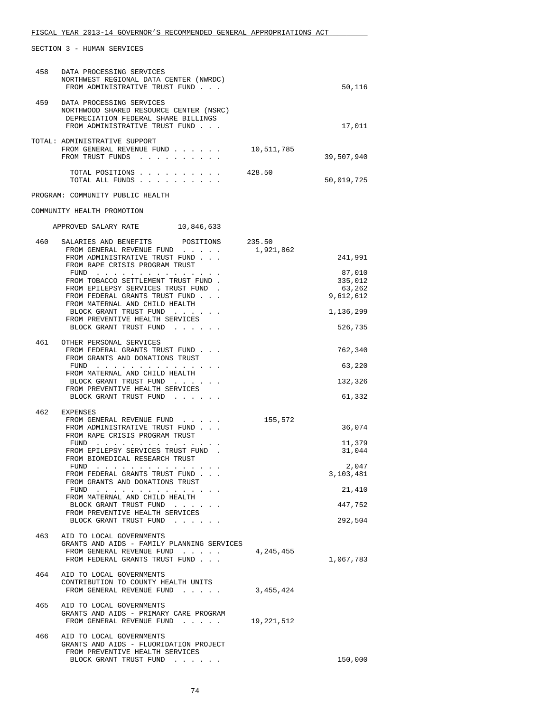| 458 | DATA PROCESSING SERVICES                                                                     |            |                  |
|-----|----------------------------------------------------------------------------------------------|------------|------------------|
|     | NORTHWEST REGIONAL DATA CENTER (NWRDC)<br>FROM ADMINISTRATIVE TRUST FUND                     |            | 50,116           |
|     |                                                                                              |            |                  |
| 459 | DATA PROCESSING SERVICES                                                                     |            |                  |
|     | NORTHWOOD SHARED RESOURCE CENTER (NSRC)                                                      |            |                  |
|     | DEPRECIATION FEDERAL SHARE BILLINGS<br>FROM ADMINISTRATIVE TRUST FUND                        |            | 17,011           |
|     |                                                                                              |            |                  |
|     | TOTAL: ADMINISTRATIVE SUPPORT                                                                |            |                  |
|     | FROM GENERAL REVENUE FUND<br>FROM TRUST FUNDS                                                | 10,511,785 |                  |
|     |                                                                                              |            | 39,507,940       |
|     | TOTAL POSITIONS                                                                              | 428.50     |                  |
|     | TOTAL ALL FUNDS                                                                              |            | 50,019,725       |
|     | PROGRAM: COMMUNITY PUBLIC HEALTH                                                             |            |                  |
|     | COMMUNITY HEALTH PROMOTION                                                                   |            |                  |
|     |                                                                                              |            |                  |
|     | APPROVED SALARY RATE 10,846,633                                                              |            |                  |
| 460 | SALARIES AND BENEFITS<br>POSITIONS                                                           | 235.50     |                  |
|     | FROM GENERAL REVENUE FUND                                                                    | 1,921,862  |                  |
|     | FROM ADMINISTRATIVE TRUST FUND<br>FROM RAPE CRISIS PROGRAM TRUST                             |            | 241,991          |
|     | FUND                                                                                         |            | 87,010           |
|     | FROM TOBACCO SETTLEMENT TRUST FUND.                                                          |            | 335,012          |
|     | FROM EPILEPSY SERVICES TRUST FUND                                                            |            | 63,262           |
|     | FROM FEDERAL GRANTS TRUST FUND<br>FROM MATERNAL AND CHILD HEALTH                             |            | 9,612,612        |
|     | BLOCK GRANT TRUST FUND                                                                       |            | 1,136,299        |
|     | FROM PREVENTIVE HEALTH SERVICES                                                              |            |                  |
|     | BLOCK GRANT TRUST FUND                                                                       |            | 526,735          |
| 461 | OTHER PERSONAL SERVICES                                                                      |            |                  |
|     | FROM FEDERAL GRANTS TRUST FUND<br>FROM GRANTS AND DONATIONS TRUST                            |            | 762,340          |
|     | FUND $\cdots$                                                                                |            | 63,220           |
|     | FROM MATERNAL AND CHILD HEALTH                                                               |            |                  |
|     | BLOCK GRANT TRUST FUND<br>FROM PREVENTIVE HEALTH SERVICES                                    |            | 132,326          |
|     | BLOCK GRANT TRUST FUND                                                                       |            | 61,332           |
| 462 |                                                                                              |            |                  |
|     | EXPENSES<br>FROM GENERAL REVENUE FUND                                                        | 155,572    |                  |
|     | FROM ADMINISTRATIVE TRUST FUND                                                               |            | 36,074           |
|     | FROM RAPE CRISIS PROGRAM TRUST                                                               |            |                  |
|     | FUND<br>the contract of the contract of the contract of<br>FROM EPILEPSY SERVICES TRUST FUND |            | 11,379<br>31,044 |
|     | FROM BIOMEDICAL RESEARCH TRUST                                                               |            |                  |
|     | FUND                                                                                         |            | 2,047            |
|     | FROM FEDERAL GRANTS TRUST FUND<br>FROM GRANTS AND DONATIONS TRUST                            |            | 3,103,481        |
|     | FUND                                                                                         |            | 21,410           |
|     | FROM MATERNAL AND CHILD HEALTH                                                               |            |                  |
|     | BLOCK GRANT TRUST FUND<br>FROM PREVENTIVE HEALTH SERVICES                                    |            | 447,752          |
|     | BLOCK GRANT TRUST FUND                                                                       |            | 292,504          |
|     |                                                                                              |            |                  |
| 463 | AID TO LOCAL GOVERNMENTS<br>GRANTS AND AIDS - FAMILY PLANNING SERVICES                       |            |                  |
|     | FROM GENERAL REVENUE FUND                                                                    | 4,245,455  |                  |
|     | FROM FEDERAL GRANTS TRUST FUND                                                               |            | 1,067,783        |
| 464 | AID TO LOCAL GOVERNMENTS                                                                     |            |                  |
|     | CONTRIBUTION TO COUNTY HEALTH UNITS                                                          |            |                  |
|     | FROM GENERAL REVENUE FUND                                                                    | 3,455,424  |                  |
| 465 | AID TO LOCAL GOVERNMENTS                                                                     |            |                  |
|     | GRANTS AND AIDS - PRIMARY CARE PROGRAM                                                       |            |                  |
|     | FROM GENERAL REVENUE FUND                                                                    | 19,221,512 |                  |
| 466 | AID TO LOCAL GOVERNMENTS                                                                     |            |                  |
|     | GRANTS AND AIDS - FLUORIDATION PROJECT                                                       |            |                  |
|     | FROM PREVENTIVE HEALTH SERVICES                                                              |            |                  |
|     | BLOCK GRANT TRUST FUND                                                                       |            | 150,000          |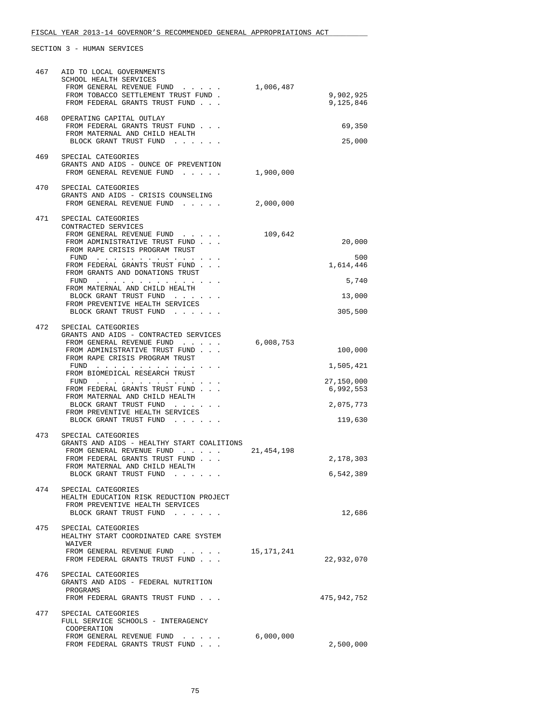| 467 | AID TO LOCAL GOVERNMENTS<br>SCHOOL HEALTH SERVICES<br>FROM GENERAL REVENUE FUND<br>FROM TOBACCO SETTLEMENT TRUST FUND.<br>FROM FEDERAL GRANTS TRUST FUND                                                                                                                                                                                                                                                                                                                                           | 1,006,487    | 9,902,925<br>9,125,846                                                  |
|-----|----------------------------------------------------------------------------------------------------------------------------------------------------------------------------------------------------------------------------------------------------------------------------------------------------------------------------------------------------------------------------------------------------------------------------------------------------------------------------------------------------|--------------|-------------------------------------------------------------------------|
| 468 | OPERATING CAPITAL OUTLAY<br>FROM FEDERAL GRANTS TRUST FUND<br>FROM MATERNAL AND CHILD HEALTH<br>BLOCK GRANT TRUST FUND                                                                                                                                                                                                                                                                                                                                                                             |              | 69,350<br>25,000                                                        |
| 469 | SPECIAL CATEGORIES<br>GRANTS AND AIDS - OUNCE OF PREVENTION<br>FROM GENERAL REVENUE FUND                                                                                                                                                                                                                                                                                                                                                                                                           | 1,900,000    |                                                                         |
| 470 | SPECIAL CATEGORIES<br>GRANTS AND AIDS - CRISIS COUNSELING<br>FROM GENERAL REVENUE FUND                                                                                                                                                                                                                                                                                                                                                                                                             | 2,000,000    |                                                                         |
| 471 | SPECIAL CATEGORIES<br>CONTRACTED SERVICES<br>FROM GENERAL REVENUE FUND<br>FROM ADMINISTRATIVE TRUST FUND<br>FROM RAPE CRISIS PROGRAM TRUST<br>FUND<br>FROM FEDERAL GRANTS TRUST FUND<br>FROM GRANTS AND DONATIONS TRUST<br>FUND<br>FROM MATERNAL AND CHILD HEALTH<br>BLOCK GRANT TRUST FUND<br>FROM PREVENTIVE HEALTH SERVICES<br>BLOCK GRANT TRUST FUND                                                                                                                                           | 109,642      | 20,000<br>500<br>1,614,446<br>5,740<br>13,000<br>305,500                |
| 472 | SPECIAL CATEGORIES<br>GRANTS AND AIDS - CONTRACTED SERVICES<br>FROM GENERAL REVENUE FUND<br>FROM ADMINISTRATIVE TRUST FUND<br>FROM RAPE CRISIS PROGRAM TRUST<br>FUND $\cdots$<br>FROM BIOMEDICAL RESEARCH TRUST<br>${\tt FUND} \quad . \quad . \quad . \quad . \quad . \quad . \quad . \quad . \quad . \quad . \quad . \quad . \quad .$<br>FROM FEDERAL GRANTS TRUST FUND<br>FROM MATERNAL AND CHILD HEALTH<br>BLOCK GRANT TRUST FUND<br>FROM PREVENTIVE HEALTH SERVICES<br>BLOCK GRANT TRUST FUND | 6,008,753    | 100,000<br>1,505,421<br>27,150,000<br>6,992,553<br>2,075,773<br>119,630 |
| 473 | SPECIAL CATEGORIES<br>GRANTS AND AIDS - HEALTHY START COALITIONS<br>FROM GENERAL REVENUE FUND<br>FROM FEDERAL GRANTS TRUST FUND<br>FROM MATERNAL AND CHILD HEALTH<br>BLOCK GRANT TRUST FUND                                                                                                                                                                                                                                                                                                        | 21, 454, 198 | 2,178,303<br>6,542,389                                                  |
| 474 | SPECIAL CATEGORIES<br>HEALTH EDUCATION RISK REDUCTION PROJECT<br>FROM PREVENTIVE HEALTH SERVICES<br>BLOCK GRANT TRUST FUND                                                                                                                                                                                                                                                                                                                                                                         |              | 12,686                                                                  |
| 475 | SPECIAL CATEGORIES<br>HEALTHY START COORDINATED CARE SYSTEM<br>WAIVER<br>FROM GENERAL REVENUE FUND<br>FROM FEDERAL GRANTS TRUST FUND                                                                                                                                                                                                                                                                                                                                                               | 15,171,241   | 22,932,070                                                              |
| 476 | SPECIAL CATEGORIES<br>GRANTS AND AIDS - FEDERAL NUTRITION<br>PROGRAMS<br>FROM FEDERAL GRANTS TRUST FUND                                                                                                                                                                                                                                                                                                                                                                                            |              | 475,942,752                                                             |
| 477 | SPECIAL CATEGORIES<br>FULL SERVICE SCHOOLS - INTERAGENCY<br>COOPERATION<br>FROM GENERAL REVENUE FUND<br>FROM FEDERAL GRANTS TRUST FUND                                                                                                                                                                                                                                                                                                                                                             | 6,000,000    | 2,500,000                                                               |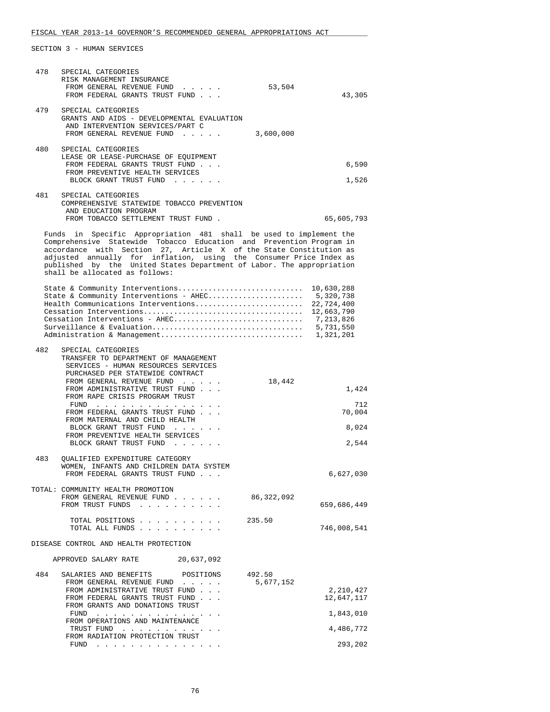| 478 | SPECIAL CATEGORIES<br>RISK MANAGEMENT INSURANCE<br>FROM GENERAL REVENUE FUND<br>FROM FEDERAL GRANTS TRUST FUND                                                                                                                                                                                                                                                                                   | 53,504              | 43,305                                                                        |
|-----|--------------------------------------------------------------------------------------------------------------------------------------------------------------------------------------------------------------------------------------------------------------------------------------------------------------------------------------------------------------------------------------------------|---------------------|-------------------------------------------------------------------------------|
| 479 | SPECIAL CATEGORIES<br>GRANTS AND AIDS - DEVELOPMENTAL EVALUATION<br>AND INTERVENTION SERVICES/PART C<br>FROM GENERAL REVENUE FUND                                                                                                                                                                                                                                                                | 3,600,000           |                                                                               |
| 480 | SPECIAL CATEGORIES<br>LEASE OR LEASE-PURCHASE OF EQUIPMENT<br>FROM FEDERAL GRANTS TRUST FUND<br>FROM PREVENTIVE HEALTH SERVICES<br>BLOCK GRANT TRUST FUND                                                                                                                                                                                                                                        |                     | 6,590<br>1,526                                                                |
| 481 | SPECIAL CATEGORIES<br>COMPREHENSIVE STATEWIDE TOBACCO PREVENTION<br>AND EDUCATION PROGRAM<br>FROM TOBACCO SETTLEMENT TRUST FUND.                                                                                                                                                                                                                                                                 |                     | 65,605,793                                                                    |
|     | Funds in Specific Appropriation 481 shall be used to implement the<br>Comprehensive Statewide Tobacco Education and Prevention Program in<br>accordance with Section 27, Article X of the State Constitution as<br>adjusted annually for inflation, using the Consumer Price Index as<br>published by the United States Department of Labor. The appropriation<br>shall be allocated as follows: |                     |                                                                               |
|     | State & Community Interventions<br>State & Community Interventions - AHEC<br>Health Communications Interventions<br>Cessation Interventions - AHEC                                                                                                                                                                                                                                               |                     | 10,630,288<br>5,320,738<br>22,724,400<br>12,663,790<br>7,213,826<br>5,731,550 |
| 482 | SPECIAL CATEGORIES<br>TRANSFER TO DEPARTMENT OF MANAGEMENT<br>SERVICES - HUMAN RESOURCES SERVICES<br>PURCHASED PER STATEWIDE CONTRACT<br>FROM GENERAL REVENUE FUND                                                                                                                                                                                                                               | 18,442              |                                                                               |
|     | FROM ADMINISTRATIVE TRUST FUND<br>FROM RAPE CRISIS PROGRAM TRUST<br>FUND<br>the contract of the contract of the contract of the contract of the contract of the contract of the contract of<br>FROM FEDERAL GRANTS TRUST FUND                                                                                                                                                                    |                     | 1,424<br>712<br>70,004                                                        |
|     | FROM MATERNAL AND CHILD HEALTH<br>BLOCK GRANT TRUST FUND<br>FROM PREVENTIVE HEALTH SERVICES<br>BLOCK GRANT TRUST FUND                                                                                                                                                                                                                                                                            |                     | 8,024<br>2,544                                                                |
| 483 | QUALIFIED EXPENDITURE CATEGORY<br>WOMEN, INFANTS AND CHILDREN DATA SYSTEM<br>FROM FEDERAL GRANTS TRUST FUND                                                                                                                                                                                                                                                                                      |                     | 6,627,030                                                                     |
|     | TOTAL: COMMUNITY HEALTH PROMOTION<br>FROM GENERAL REVENUE FUND<br>FROM TRUST FUNDS                                                                                                                                                                                                                                                                                                               | 86,322,092          | 659,686,449                                                                   |
|     | TOTAL POSITIONS<br>TOTAL ALL FUNDS                                                                                                                                                                                                                                                                                                                                                               | 235.50              | 746,008,541                                                                   |
|     | DISEASE CONTROL AND HEALTH PROTECTION                                                                                                                                                                                                                                                                                                                                                            |                     |                                                                               |
|     | 20,637,092<br>APPROVED SALARY RATE                                                                                                                                                                                                                                                                                                                                                               |                     |                                                                               |
| 484 | SALARIES AND BENEFITS<br>POSITIONS<br>FROM GENERAL REVENUE FUND                                                                                                                                                                                                                                                                                                                                  | 492.50<br>5,677,152 |                                                                               |
|     | FROM ADMINISTRATIVE TRUST FUND<br>FROM FEDERAL GRANTS TRUST FUND<br>FROM GRANTS AND DONATIONS TRUST                                                                                                                                                                                                                                                                                              |                     | 2,210,427<br>12,647,117                                                       |
|     | FUND<br>FROM OPERATIONS AND MAINTENANCE                                                                                                                                                                                                                                                                                                                                                          |                     | 1,843,010                                                                     |
|     | TRUST FUND<br>FROM RADIATION PROTECTION TRUST                                                                                                                                                                                                                                                                                                                                                    |                     | 4,486,772                                                                     |
|     |                                                                                                                                                                                                                                                                                                                                                                                                  |                     | 293,202                                                                       |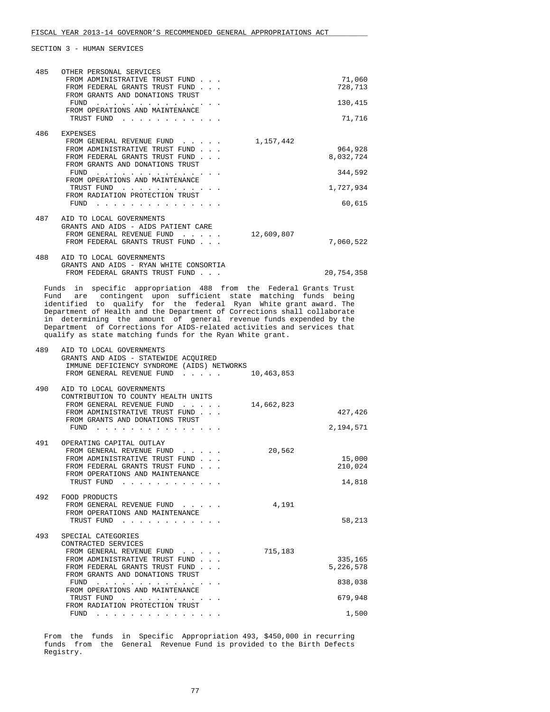|     | OTHER PERSONAL SERVICES                                                                                                                                                                                                                                                                                                                                                                                                       |                      |
|-----|-------------------------------------------------------------------------------------------------------------------------------------------------------------------------------------------------------------------------------------------------------------------------------------------------------------------------------------------------------------------------------------------------------------------------------|----------------------|
| 485 | FROM ADMINISTRATIVE TRUST FUND<br>FROM FEDERAL GRANTS TRUST FUND                                                                                                                                                                                                                                                                                                                                                              | 71,060<br>728,713    |
|     | FROM GRANTS AND DONATIONS TRUST<br>FUND                                                                                                                                                                                                                                                                                                                                                                                       | 130,415              |
|     | FROM OPERATIONS AND MAINTENANCE<br>TRUST FUND                                                                                                                                                                                                                                                                                                                                                                                 | 71,716               |
| 486 | <b>EXPENSES</b>                                                                                                                                                                                                                                                                                                                                                                                                               |                      |
|     | FROM GENERAL REVENUE FUND<br>1,157,442<br>FROM ADMINISTRATIVE TRUST FUND                                                                                                                                                                                                                                                                                                                                                      | 964,928              |
|     | FROM FEDERAL GRANTS TRUST FUND<br>FROM GRANTS AND DONATIONS TRUST                                                                                                                                                                                                                                                                                                                                                             | 8,032,724            |
|     | FUND<br>FROM OPERATIONS AND MAINTENANCE                                                                                                                                                                                                                                                                                                                                                                                       | 344,592              |
|     | TRUST FUND<br>FROM RADIATION PROTECTION TRUST                                                                                                                                                                                                                                                                                                                                                                                 | 1,727,934            |
|     | FUND<br>and a series of the contract of the contract of                                                                                                                                                                                                                                                                                                                                                                       | 60,615               |
|     | 487 AID TO LOCAL GOVERNMENTS<br>GRANTS AND AIDS - AIDS PATIENT CARE                                                                                                                                                                                                                                                                                                                                                           |                      |
|     | FROM GENERAL REVENUE FUND<br>12,609,807<br>FROM FEDERAL GRANTS TRUST FUND                                                                                                                                                                                                                                                                                                                                                     | 7,060,522            |
| 488 | AID TO LOCAL GOVERNMENTS                                                                                                                                                                                                                                                                                                                                                                                                      |                      |
|     | GRANTS AND AIDS - RYAN WHITE CONSORTIA<br>FROM FEDERAL GRANTS TRUST FUND                                                                                                                                                                                                                                                                                                                                                      | 20,754,358           |
|     | Fund are contingent upon sufficient state matching funds being<br>identified to qualify for the federal Ryan White grant award. The<br>Department of Health and the Department of Corrections shall collaborate<br>in determining the amount of general revenue funds expended by the<br>Department of Corrections for AIDS-related activities and services that<br>qualify as state matching funds for the Ryan White grant. |                      |
| 489 | AID TO LOCAL GOVERNMENTS<br>GRANTS AND AIDS - STATEWIDE ACQUIRED<br>IMMUNE DEFICIENCY SYNDROME (AIDS) NETWORKS<br>FROM GENERAL REVENUE FUND<br>10,463,853                                                                                                                                                                                                                                                                     |                      |
| 490 | AID TO LOCAL GOVERNMENTS                                                                                                                                                                                                                                                                                                                                                                                                      |                      |
|     |                                                                                                                                                                                                                                                                                                                                                                                                                               |                      |
|     | CONTRIBUTION TO COUNTY HEALTH UNITS<br>FROM GENERAL REVENUE FUND<br>14,662,823                                                                                                                                                                                                                                                                                                                                                |                      |
|     | FROM ADMINISTRATIVE TRUST FUND<br>FROM GRANTS AND DONATIONS TRUST                                                                                                                                                                                                                                                                                                                                                             | 427,426              |
|     | FUND $\cdots$                                                                                                                                                                                                                                                                                                                                                                                                                 | 2,194,571            |
| 491 | OPERATING CAPITAL OUTLAY<br>20,562<br>FROM GENERAL REVENUE FUND                                                                                                                                                                                                                                                                                                                                                               |                      |
|     | FROM ADMINISTRATIVE TRUST FUND<br>FROM FEDERAL GRANTS TRUST FUND                                                                                                                                                                                                                                                                                                                                                              | 15,000<br>210,024    |
|     | FROM OPERATIONS AND MAINTENANCE<br>TRUST FUND                                                                                                                                                                                                                                                                                                                                                                                 | 14,818               |
| 492 | FOOD PRODUCTS                                                                                                                                                                                                                                                                                                                                                                                                                 |                      |
|     | 4,191<br>FROM GENERAL REVENUE FUND<br>FROM OPERATIONS AND MAINTENANCE                                                                                                                                                                                                                                                                                                                                                         |                      |
|     | TRUST FUND                                                                                                                                                                                                                                                                                                                                                                                                                    | 58,213               |
| 493 | SPECIAL CATEGORIES                                                                                                                                                                                                                                                                                                                                                                                                            |                      |
|     | CONTRACTED SERVICES<br>715,183<br>FROM GENERAL REVENUE FUND                                                                                                                                                                                                                                                                                                                                                                   |                      |
|     | FROM ADMINISTRATIVE TRUST FUND<br>FROM FEDERAL GRANTS TRUST FUND                                                                                                                                                                                                                                                                                                                                                              | 335,165<br>5,226,578 |
|     | FROM GRANTS AND DONATIONS TRUST<br>FUND $\cdots$                                                                                                                                                                                                                                                                                                                                                                              | 838,038              |
|     | FROM OPERATIONS AND MAINTENANCE<br>TRUST FUND<br>FROM RADIATION PROTECTION TRUST                                                                                                                                                                                                                                                                                                                                              | 679,948              |

 From the funds in Specific Appropriation 493, \$450,000 in recurring funds from the General Revenue Fund is provided to the Birth Defects Registry.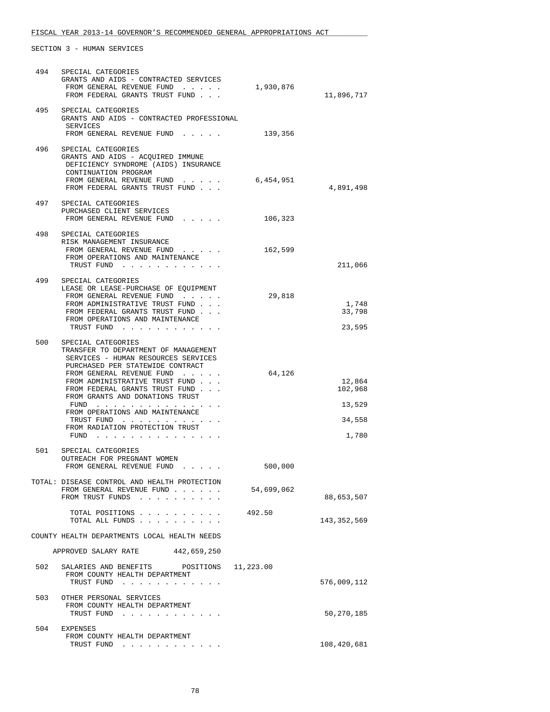| 494 | SPECIAL CATEGORIES<br>GRANTS AND AIDS - CONTRACTED SERVICES<br>FROM GENERAL REVENUE FUND<br>FROM FEDERAL GRANTS TRUST FUND                                                                                                                                                                                                                                                      | 1,930,876  | 11,896,717                                     |
|-----|---------------------------------------------------------------------------------------------------------------------------------------------------------------------------------------------------------------------------------------------------------------------------------------------------------------------------------------------------------------------------------|------------|------------------------------------------------|
|     | 495 SPECIAL CATEGORIES<br>GRANTS AND AIDS - CONTRACTED PROFESSIONAL<br>SERVICES<br>FROM GENERAL REVENUE FUND                                                                                                                                                                                                                                                                    | 139,356    |                                                |
| 496 | SPECIAL CATEGORIES<br>GRANTS AND AIDS - ACQUIRED IMMUNE<br>DEFICIENCY SYNDROME (AIDS) INSURANCE<br>CONTINUATION PROGRAM<br>FROM GENERAL REVENUE FUND 6,454,951<br>FROM FEDERAL GRANTS TRUST FUND                                                                                                                                                                                |            | 4,891,498                                      |
|     | 497 SPECIAL CATEGORIES<br>PURCHASED CLIENT SERVICES<br>FROM GENERAL REVENUE FUND                                                                                                                                                                                                                                                                                                | 106,323    |                                                |
| 498 | SPECIAL CATEGORIES<br>RISK MANAGEMENT INSURANCE<br>FROM GENERAL REVENUE FUND<br>FROM OPERATIONS AND MAINTENANCE<br>TRUST FUND                                                                                                                                                                                                                                                   | 162,599    | 211,066                                        |
| 499 | SPECIAL CATEGORIES<br>LEASE OR LEASE-PURCHASE OF EOUIPMENT<br>FROM GENERAL REVENUE FUND<br>FROM ADMINISTRATIVE TRUST FUND<br>FROM FEDERAL GRANTS TRUST FUND<br>FROM OPERATIONS AND MAINTENANCE<br>TRUST FUND                                                                                                                                                                    | 29,818     | 1,748<br>33,798<br>23,595                      |
| 500 | SPECIAL CATEGORIES<br>TRANSFER TO DEPARTMENT OF MANAGEMENT<br>SERVICES - HUMAN RESOURCES SERVICES<br>PURCHASED PER STATEWIDE CONTRACT<br>FROM GENERAL REVENUE FUND<br>FROM ADMINISTRATIVE TRUST FUND<br>FROM FEDERAL GRANTS TRUST FUND<br>FROM GRANTS AND DONATIONS TRUST<br>$FUND$<br>FROM OPERATIONS AND MAINTENANCE<br>TRUST FUND<br>FROM RADIATION PROTECTION TRUST<br>FUND | 64,126     | 12,864<br>102,968<br>13,529<br>34,558<br>1,780 |
| 501 | SPECIAL CATEGORIES<br>OUTREACH FOR PREGNANT WOMEN<br>FROM GENERAL REVENUE FUND                                                                                                                                                                                                                                                                                                  | 500,000    |                                                |
|     | TOTAL: DISEASE CONTROL AND HEALTH PROTECTION<br>FROM GENERAL REVENUE FUND<br>FROM TRUST FUNDS                                                                                                                                                                                                                                                                                   | 54,699,062 | 88,653,507                                     |
|     | TOTAL POSITIONS<br>TOTAL ALL FUNDS                                                                                                                                                                                                                                                                                                                                              | 492.50     | 143,352,569                                    |
|     | COUNTY HEALTH DEPARTMENTS LOCAL HEALTH NEEDS                                                                                                                                                                                                                                                                                                                                    |            |                                                |
|     | APPROVED SALARY RATE 442,659,250                                                                                                                                                                                                                                                                                                                                                |            |                                                |
| 502 | SALARIES AND BENEFITS POSITIONS 11,223.00<br>FROM COUNTY HEALTH DEPARTMENT<br>TRUST FUND                                                                                                                                                                                                                                                                                        |            | 576,009,112                                    |
| 503 | OTHER PERSONAL SERVICES<br>FROM COUNTY HEALTH DEPARTMENT<br>TRUST FUND                                                                                                                                                                                                                                                                                                          |            | 50,270,185                                     |
| 504 | EXPENSES<br>FROM COUNTY HEALTH DEPARTMENT<br>TRUST FUND                                                                                                                                                                                                                                                                                                                         |            | 108,420,681                                    |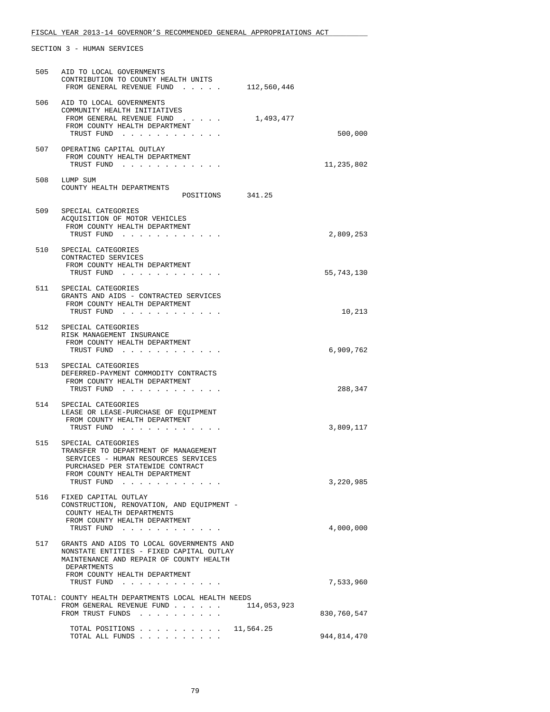| 505 | AID TO LOCAL GOVERNMENTS<br>CONTRIBUTION TO COUNTY HEALTH UNITS<br>FROM GENERAL REVENUE FUND<br>112,560,446                                                                          |                            |
|-----|--------------------------------------------------------------------------------------------------------------------------------------------------------------------------------------|----------------------------|
| 506 | AID TO LOCAL GOVERNMENTS<br>COMMUNITY HEALTH INITIATIVES<br>FROM GENERAL REVENUE FUND<br>1,493,477<br>FROM COUNTY HEALTH DEPARTMENT<br>TRUST FUND                                    | 500,000                    |
|     | 507 OPERATING CAPITAL OUTLAY<br>FROM COUNTY HEALTH DEPARTMENT<br>TRUST FUND                                                                                                          | 11,235,802                 |
| 508 | LUMP SUM<br>COUNTY HEALTH DEPARTMENTS<br>POSITIONS 341.25                                                                                                                            |                            |
| 509 | SPECIAL CATEGORIES<br>ACQUISITION OF MOTOR VEHICLES<br>FROM COUNTY HEALTH DEPARTMENT<br>TRUST FUND                                                                                   | 2,809,253                  |
|     | 510 SPECIAL CATEGORIES<br>CONTRACTED SERVICES<br>FROM COUNTY HEALTH DEPARTMENT<br>TRUST FUND                                                                                         | 55,743,130                 |
|     | 511 SPECIAL CATEGORIES<br>GRANTS AND AIDS - CONTRACTED SERVICES<br>FROM COUNTY HEALTH DEPARTMENT<br>TRUST FUND                                                                       | 10,213                     |
|     | 512 SPECIAL CATEGORIES<br>RISK MANAGEMENT INSURANCE<br>FROM COUNTY HEALTH DEPARTMENT<br>TRUST FUND                                                                                   | 6,909,762                  |
|     | 513 SPECIAL CATEGORIES<br>DEFERRED-PAYMENT COMMODITY CONTRACTS<br>FROM COUNTY HEALTH DEPARTMENT<br>TRUST FUND                                                                        | 288,347                    |
| 514 | SPECIAL CATEGORIES<br>LEASE OR LEASE-PURCHASE OF EQUIPMENT<br>FROM COUNTY HEALTH DEPARTMENT<br>TRUST FUND                                                                            | 3,809,117                  |
| 515 | SPECIAL CATEGORIES<br>TRANSFER TO DEPARTMENT OF MANAGEMENT<br>SERVICES - HUMAN RESOURCES SERVICES<br>PURCHASED PER STATEWIDE CONTRACT<br>FROM COUNTY HEALTH DEPARTMENT<br>TRUST FUND | 3,220,985                  |
| 516 | FIXED CAPITAL OUTLAY<br>CONSTRUCTION, RENOVATION, AND EQUIPMENT -<br>COUNTY HEALTH DEPARTMENTS<br>FROM COUNTY HEALTH DEPARTMENT<br>TRUST FUND                                        | 4,000,000                  |
| 517 | GRANTS AND AIDS TO LOCAL GOVERNMENTS AND<br>NONSTATE ENTITIES - FIXED CAPITAL OUTLAY<br>MAINTENANCE AND REPAIR OF COUNTY HEALTH<br>DEPARTMENTS<br>FROM COUNTY HEALTH DEPARTMENT      |                            |
|     | TRUST FUND<br>TOTAL: COUNTY HEALTH DEPARTMENTS LOCAL HEALTH NEEDS<br>FROM GENERAL REVENUE FUND<br>114,053,923                                                                        | 7,533,960                  |
|     | FROM TRUST FUNDS<br>TOTAL POSITIONS 11,564.25<br>TOTAL ALL FUNDS                                                                                                                     | 830,760,547<br>944,814,470 |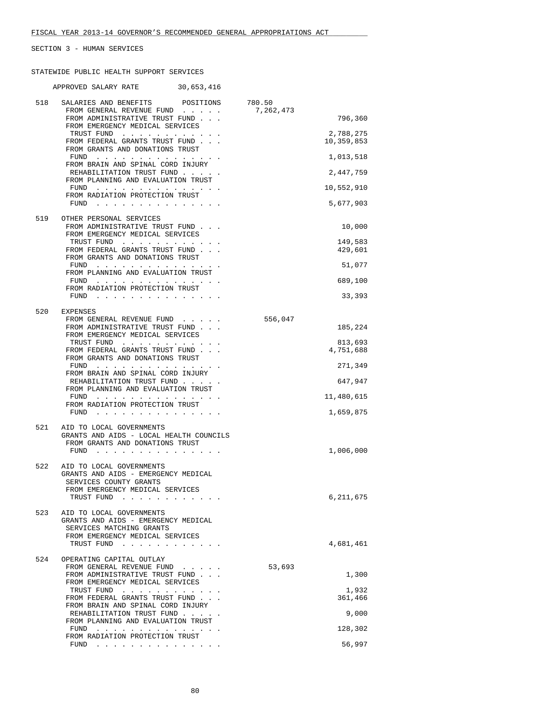STATEWIDE PUBLIC HEALTH SUPPORT SERVICES

|     | APPROVED SALARY RATE 30,653,416                                                                                                                            |           |                         |
|-----|------------------------------------------------------------------------------------------------------------------------------------------------------------|-----------|-------------------------|
| 518 | SALARIES AND BENEFITS POSITIONS 780.50<br>FROM GENERAL REVENUE FUND                                                                                        | 7,262,473 |                         |
|     | FROM ADMINISTRATIVE TRUST FUND<br>FROM EMERGENCY MEDICAL SERVICES                                                                                          |           | 796,360                 |
|     | TRUST FUND<br>FROM FEDERAL GRANTS TRUST FUND<br>FROM GRANTS AND DONATIONS TRUST                                                                            |           | 2,788,275<br>10,359,853 |
|     | FUND                                                                                                                                                       |           | 1,013,518               |
|     | FROM BRAIN AND SPINAL CORD INJURY<br>REHABILITATION TRUST FUND                                                                                             |           | 2,447,759               |
|     | FROM PLANNING AND EVALUATION TRUST<br>FUND $\cdots$                                                                                                        |           | 10,552,910              |
|     | FROM RADIATION PROTECTION TRUST                                                                                                                            |           | 5,677,903               |
| 519 | OTHER PERSONAL SERVICES                                                                                                                                    |           |                         |
|     | FROM ADMINISTRATIVE TRUST FUND<br>FROM EMERGENCY MEDICAL SERVICES                                                                                          |           | 10,000                  |
|     | TRUST FUND<br>FROM FEDERAL GRANTS TRUST FUND                                                                                                               |           | 149,583<br>429,601      |
|     | FROM GRANTS AND DONATIONS TRUST<br>FUND                                                                                                                    |           | 51,077                  |
|     | FROM PLANNING AND EVALUATION TRUST<br>${\tt FUND} \quad . \quad . \quad . \quad . \quad . \quad . \quad . \quad . \quad . \quad . \quad . \quad . \quad .$ |           | 689,100                 |
|     | FROM RADIATION PROTECTION TRUST                                                                                                                            |           |                         |
|     | FUND $\cdots$ $\cdots$ $\cdots$ $\cdots$ $\cdots$ $\cdots$                                                                                                 |           | 33,393                  |
| 520 | EXPENSES<br>FROM GENERAL REVENUE FUND                                                                                                                      | 556,047   |                         |
|     | FROM ADMINISTRATIVE TRUST FUND<br>FROM EMERGENCY MEDICAL SERVICES                                                                                          |           | 185,224                 |
|     | TRUST FUND<br>FROM FEDERAL GRANTS TRUST FUND<br>FROM GRANTS AND DONATIONS TRUST                                                                            |           | 813,693<br>4,751,688    |
|     | $FUND$                                                                                                                                                     |           | 271,349                 |
|     | FROM BRAIN AND SPINAL CORD INJURY<br>REHABILITATION TRUST FUND                                                                                             |           | 647,947                 |
|     | FROM PLANNING AND EVALUATION TRUST<br>FUND                                                                                                                 |           | 11,480,615              |
|     | FROM RADIATION PROTECTION TRUST<br>FUND                                                                                                                    |           | 1,659,875               |
| 521 | AID TO LOCAL GOVERNMENTS<br>GRANTS AND AIDS - LOCAL HEALTH COUNCILS                                                                                        |           |                         |
|     | FROM GRANTS AND DONATIONS TRUST<br>FUND                                                                                                                    |           | 1,006,000               |
| 522 | AID TO LOCAL GOVERNMENTS                                                                                                                                   |           |                         |
|     | GRANTS AND AIDS - EMERGENCY MEDICAL<br>SERVICES COUNTY GRANTS                                                                                              |           |                         |
|     | FROM EMERGENCY MEDICAL SERVICES<br>TRUST FUND<br>$\mathbf{r}=\mathbf{r}=\mathbf{r}=\mathbf{r}=\mathbf{r}=\mathbf{r}=\mathbf{r}$                            |           | 6,211,675               |
| 523 | AID TO LOCAL GOVERNMENTS<br>GRANTS AND AIDS - EMERGENCY MEDICAL                                                                                            |           |                         |
|     | SERVICES MATCHING GRANTS<br>FROM EMERGENCY MEDICAL SERVICES                                                                                                |           |                         |
|     | TRUST FUND                                                                                                                                                 |           | 4,681,461               |
| 524 | OPERATING CAPITAL OUTLAY                                                                                                                                   | 53,693    |                         |
|     | FROM GENERAL REVENUE FUND<br>FROM ADMINISTRATIVE TRUST FUND                                                                                                |           | 1,300                   |
|     | FROM EMERGENCY MEDICAL SERVICES<br>TRUST FUND<br>FROM FEDERAL GRANTS TRUST FUND                                                                            |           | 1,932<br>361,466        |
|     | FROM BRAIN AND SPINAL CORD INJURY<br>REHABILITATION TRUST FUND                                                                                             |           | 9,000                   |
|     | FROM PLANNING AND EVALUATION TRUST                                                                                                                         |           |                         |
|     | $FUND$<br>FROM RADIATION PROTECTION TRUST                                                                                                                  |           | 128,302                 |
|     | FUND<br>the contract of the contract of the contract of                                                                                                    |           | 56,997                  |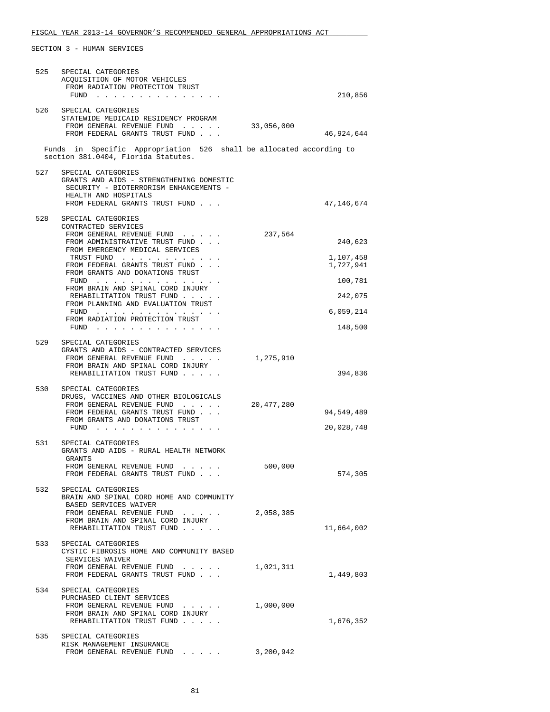| 525 | SPECIAL CATEGORIES<br>ACQUISITION OF MOTOR VEHICLES<br>FROM RADIATION PROTECTION TRUST<br>FUND                                                                     |            | 210,856                |
|-----|--------------------------------------------------------------------------------------------------------------------------------------------------------------------|------------|------------------------|
|     | 526 SPECIAL CATEGORIES<br>STATEWIDE MEDICAID RESIDENCY PROGRAM                                                                                                     |            |                        |
|     | FROM GENERAL REVENUE FUND<br>FROM FEDERAL GRANTS TRUST FUND                                                                                                        | 33,056,000 | 46,924,644             |
|     | Funds in Specific Appropriation 526 shall be allocated according to<br>section 381.0404, Florida Statutes.                                                         |            |                        |
| 527 | SPECIAL CATEGORIES<br>GRANTS AND AIDS - STRENGTHENING DOMESTIC<br>SECURITY - BIOTERRORISM ENHANCEMENTS -<br>HEALTH AND HOSPITALS<br>FROM FEDERAL GRANTS TRUST FUND |            | 47,146,674             |
|     | 528 SPECIAL CATEGORIES                                                                                                                                             |            |                        |
|     | CONTRACTED SERVICES<br>FROM GENERAL REVENUE FUND                                                                                                                   | 237,564    |                        |
|     | FROM ADMINISTRATIVE TRUST FUND<br>FROM EMERGENCY MEDICAL SERVICES                                                                                                  |            | 240,623                |
|     | TRUST FUND<br>FROM FEDERAL GRANTS TRUST FUND                                                                                                                       |            | 1,107,458<br>1,727,941 |
|     | FROM GRANTS AND DONATIONS TRUST<br>FUND $\cdots$                                                                                                                   |            | 100,781                |
|     | FROM BRAIN AND SPINAL CORD INJURY<br>REHABILITATION TRUST FUND                                                                                                     |            | 242,075                |
|     | FROM PLANNING AND EVALUATION TRUST<br>FUND $\cdots$                                                                                                                |            | 6,059,214              |
|     | FROM RADIATION PROTECTION TRUST<br>FUND $\cdots$                                                                                                                   |            | 148,500                |
|     | 529 SPECIAL CATEGORIES                                                                                                                                             |            |                        |
|     | GRANTS AND AIDS - CONTRACTED SERVICES<br>FROM GENERAL REVENUE FUND                                                                                                 | 1,275,910  |                        |
|     | FROM BRAIN AND SPINAL CORD INJURY<br>REHABILITATION TRUST FUND                                                                                                     |            | 394,836                |
| 530 | SPECIAL CATEGORIES                                                                                                                                                 |            |                        |
|     | DRUGS, VACCINES AND OTHER BIOLOGICALS<br>FROM GENERAL REVENUE FUND                                                                                                 | 20,477,280 |                        |
|     | FROM FEDERAL GRANTS TRUST FUND<br>FROM GRANTS AND DONATIONS TRUST                                                                                                  |            | 94,549,489             |
|     | FUND                                                                                                                                                               |            | 20,028,748             |
| 531 | SPECIAL CATEGORIES<br>GRANTS AND AIDS - RURAL HEALTH NETWORK                                                                                                       |            |                        |
|     | GRANTS<br>FROM GENERAL REVENUE FUND                                                                                                                                | 500,000    |                        |
|     | FROM FEDERAL GRANTS TRUST FUND                                                                                                                                     |            | 574,305                |
| 532 | SPECIAL CATEGORIES<br>BRAIN AND SPINAL CORD HOME AND COMMUNITY                                                                                                     |            |                        |
|     | BASED SERVICES WAIVER<br>FROM GENERAL REVENUE FUND                                                                                                                 | 2,058,385  |                        |
|     | FROM BRAIN AND SPINAL CORD INJURY<br>REHABILITATION TRUST FUND                                                                                                     |            | 11,664,002             |
| 533 | SPECIAL CATEGORIES                                                                                                                                                 |            |                        |
|     | CYSTIC FIBROSIS HOME AND COMMUNITY BASED<br>SERVICES WAIVER                                                                                                        |            |                        |
|     | FROM GENERAL REVENUE FUND<br>FROM FEDERAL GRANTS TRUST FUND                                                                                                        | 1,021,311  | 1,449,803              |
|     | 534 SPECIAL CATEGORIES                                                                                                                                             |            |                        |
|     | PURCHASED CLIENT SERVICES<br>FROM GENERAL REVENUE FUND                                                                                                             | 1,000,000  |                        |
|     | FROM BRAIN AND SPINAL CORD INJURY<br>REHABILITATION TRUST FUND                                                                                                     |            | 1,676,352              |
| 535 | SPECIAL CATEGORIES                                                                                                                                                 |            |                        |
|     | RISK MANAGEMENT INSURANCE<br>FROM GENERAL REVENUE FUND                                                                                                             | 3,200,942  |                        |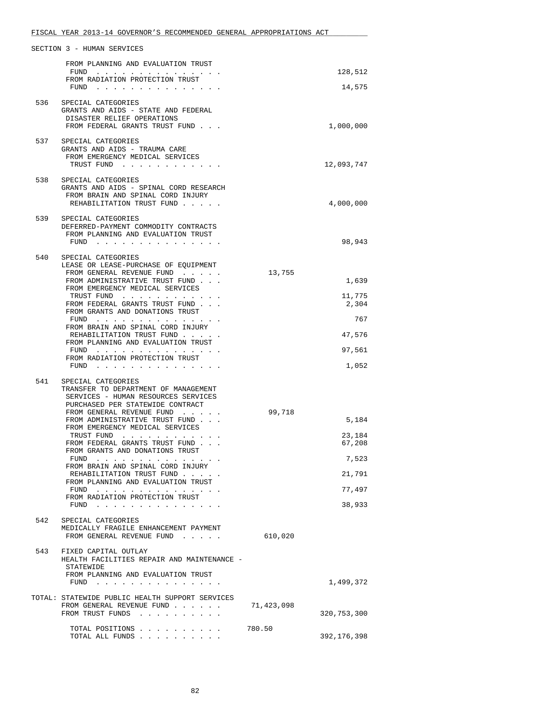|     | FROM PLANNING AND EVALUATION TRUST                                                                                                                      |            |                   |
|-----|---------------------------------------------------------------------------------------------------------------------------------------------------------|------------|-------------------|
|     | FUND<br>FROM RADIATION PROTECTION TRUST<br>$FUND$                                                                                                       |            | 128,512<br>14,575 |
| 536 | SPECIAL CATEGORIES                                                                                                                                      |            |                   |
|     | GRANTS AND AIDS - STATE AND FEDERAL                                                                                                                     |            |                   |
|     | DISASTER RELIEF OPERATIONS<br>FROM FEDERAL GRANTS TRUST FUND                                                                                            |            | 1,000,000         |
| 537 | SPECIAL CATEGORIES                                                                                                                                      |            |                   |
|     | GRANTS AND AIDS - TRAUMA CARE<br>FROM EMERGENCY MEDICAL SERVICES                                                                                        |            |                   |
|     | TRUST FUND                                                                                                                                              |            | 12,093,747        |
| 538 | SPECIAL CATEGORIES<br>GRANTS AND AIDS - SPINAL CORD RESEARCH<br>FROM BRAIN AND SPINAL CORD INJURY                                                       |            |                   |
|     | REHABILITATION TRUST FUND                                                                                                                               |            | 4,000,000         |
| 539 | SPECIAL CATEGORIES                                                                                                                                      |            |                   |
|     | DEFERRED-PAYMENT COMMODITY CONTRACTS<br>FROM PLANNING AND EVALUATION TRUST                                                                              |            |                   |
|     | FUND $\cdots$                                                                                                                                           |            | 98,943            |
| 540 | SPECIAL CATEGORIES<br>LEASE OR LEASE-PURCHASE OF EQUIPMENT                                                                                              |            |                   |
|     | FROM GENERAL REVENUE FUND                                                                                                                               | 13,755     |                   |
|     | FROM ADMINISTRATIVE TRUST FUND<br>FROM EMERGENCY MEDICAL SERVICES                                                                                       |            | 1,639             |
|     | TRUST FUND<br>FROM FEDERAL GRANTS TRUST FUND                                                                                                            |            | 11,775<br>2,304   |
|     | FROM GRANTS AND DONATIONS TRUST<br>FUND                                                                                                                 |            | 767               |
|     | FROM BRAIN AND SPINAL CORD INJURY<br>REHABILITATION TRUST FUND                                                                                          |            | 47,576            |
|     | FROM PLANNING AND EVALUATION TRUST<br>FUND $\cdots$                                                                                                     |            | 97,561            |
|     | FROM RADIATION PROTECTION TRUST                                                                                                                         |            |                   |
|     | $FUND$                                                                                                                                                  |            | 1,052             |
| 541 | SPECIAL CATEGORIES<br>TRANSFER TO DEPARTMENT OF MANAGEMENT                                                                                              |            |                   |
|     | SERVICES - HUMAN RESOURCES SERVICES<br>PURCHASED PER STATEWIDE CONTRACT                                                                                 |            |                   |
|     | FROM GENERAL REVENUE FUND                                                                                                                               | 99,718     |                   |
|     | FROM ADMINISTRATIVE TRUST FUND<br>FROM EMERGENCY MEDICAL SERVICES                                                                                       |            | 5,184             |
|     | TRUST FUND<br>FROM FEDERAL GRANTS TRUST FUND                                                                                                            |            | 23,184<br>67,208  |
|     | FROM GRANTS AND DONATIONS TRUST<br>${\tt FUND} \quad . \quad . \quad . \quad . \quad . \quad . \quad . \quad . \quad . \quad . \quad . \quad . \quad .$ |            | 7,523             |
|     | FROM BRAIN AND SPINAL CORD INJURY<br>REHABILITATION TRUST FUND                                                                                          |            | 21,791            |
|     | FROM PLANNING AND EVALUATION TRUST<br>FUND                                                                                                              |            | 77,497            |
|     | FROM RADIATION PROTECTION TRUST<br>FUND $\cdots$ $\cdots$ $\cdots$ $\cdots$ $\cdots$ $\cdots$ $\cdots$                                                  |            | 38,933            |
|     |                                                                                                                                                         |            |                   |
| 542 | SPECIAL CATEGORIES<br>MEDICALLY FRAGILE ENHANCEMENT PAYMENT                                                                                             |            |                   |
|     | FROM GENERAL REVENUE FUND                                                                                                                               | 610,020    |                   |
| 543 | FIXED CAPITAL OUTLAY<br>HEALTH FACILITIES REPAIR AND MAINTENANCE -<br>STATEWIDE                                                                         |            |                   |
|     | FROM PLANNING AND EVALUATION TRUST                                                                                                                      |            | 1,499,372         |
|     | TOTAL: STATEWIDE PUBLIC HEALTH SUPPORT SERVICES                                                                                                         |            |                   |
|     | FROM GENERAL REVENUE FUND                                                                                                                               | 71,423,098 |                   |
|     | FROM TRUST FUNDS                                                                                                                                        |            | 320,753,300       |
|     | TOTAL POSITIONS<br>TOTAL ALL FUNDS                                                                                                                      | 780.50     | 392,176,398       |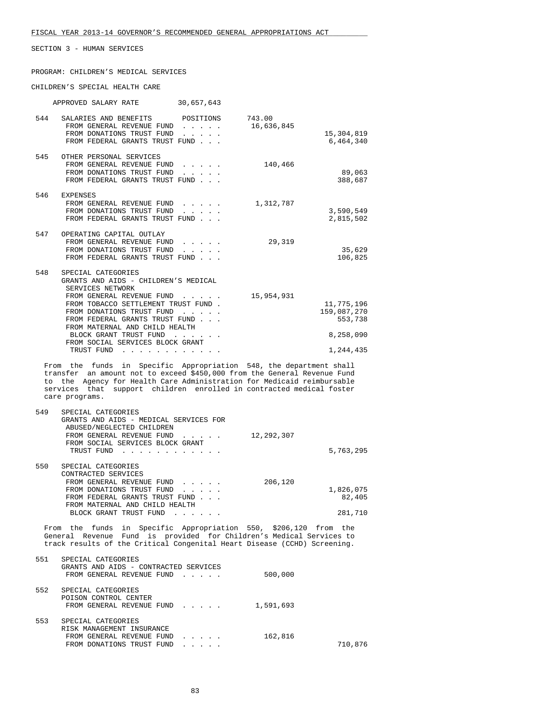PROGRAM: CHILDREN'S MEDICAL SERVICES

CHILDREN'S SPECIAL HEALTH CARE

|     | APPROVED SALARY RATE                                                                                                                 | 30,657,643                                     |                      |                                      |
|-----|--------------------------------------------------------------------------------------------------------------------------------------|------------------------------------------------|----------------------|--------------------------------------|
| 544 | SALARIES AND BENEFITS POSITIONS<br>FROM GENERAL REVENUE FUND<br>FROM DONATIONS TRUST FUND<br>FROM FEDERAL GRANTS TRUST FUND          | $\mathbf{r}$ and $\mathbf{r}$ and $\mathbf{r}$ | 743.00<br>16,636,845 | 15,304,819<br>6,464,340              |
| 545 | OTHER PERSONAL SERVICES<br>FROM GENERAL REVENUE FUND<br>FROM DONATIONS TRUST FUND<br>FROM FEDERAL GRANTS TRUST FUND                  |                                                | 140,466              | 89,063<br>388,687                    |
| 546 | <b>EXPENSES</b><br>FROM GENERAL REVENUE FUND<br>FROM DONATIONS TRUST FUND<br>FROM FEDERAL GRANTS TRUST FUND                          |                                                | 1,312,787            | 3,590,549<br>2,815,502               |
| 547 | OPERATING CAPITAL OUTLAY<br>FROM GENERAL REVENUE FUND<br>FROM DONATIONS TRUST FUND<br>FROM FEDERAL GRANTS TRUST FUND                 |                                                | 29,319               | 35,629<br>106,825                    |
| 548 | SPECIAL CATEGORIES<br>GRANTS AND AIDS - CHILDREN'S MEDICAL<br>SERVICES NETWORK<br>FROM GENERAL REVENUE FUND                          |                                                | 15,954,931           |                                      |
|     | FROM TOBACCO SETTLEMENT TRUST FUND.<br>FROM DONATIONS TRUST FUND<br>FROM FEDERAL GRANTS TRUST FUND<br>FROM MATERNAL AND CHILD HEALTH |                                                |                      | 11,775,196<br>159,087,270<br>553,738 |
|     | BLOCK GRANT TRUST FUND<br>FROM SOCIAL SERVICES BLOCK GRANT                                                                           |                                                |                      | 8,258,090                            |
|     | TRUST FUND<br>.                                                                                                                      |                                                |                      | 1,244,435                            |

 From the funds in Specific Appropriation 548, the department shall transfer an amount not to exceed \$450,000 from the General Revenue Fund to the Agency for Health Care Administration for Medicaid reimbursable services that support children enrolled in contracted medical foster care programs.

| 549 | SPECIAL CATEGORIES                                                                |           |
|-----|-----------------------------------------------------------------------------------|-----------|
|     | GRANTS AND AIDS - MEDICAL SERVICES FOR                                            |           |
|     | ABUSED/NEGLECTED CHILDREN                                                         |           |
|     | 12,292,307<br>FROM GENERAL REVENUE FUND                                           |           |
|     | FROM SOCIAL SERVICES BLOCK GRANT                                                  |           |
|     | TRUST FUND<br>.                                                                   | 5,763,295 |
|     |                                                                                   |           |
| 550 | SPECIAL CATEGORIES                                                                |           |
|     | CONTRACTED SERVICES                                                               |           |
|     | 206,120<br>FROM GENERAL REVENUE FUND                                              |           |
|     | FROM DONATIONS TRUST FUND                                                         | 1,826,075 |
|     | FROM FEDERAL GRANTS TRUST FUND                                                    | 82,405    |
|     | FROM MATERNAL AND CHILD HEALTH                                                    |           |
|     | BLOCK GRANT TRUST FUND<br>$\cdot$ $\cdot$ $\cdot$ $\cdot$ $\cdot$ $\cdot$ $\cdot$ | 281,710   |

 From the funds in Specific Appropriation 550, \$206,120 from the General Revenue Fund is provided for Children's Medical Services to track results of the Critical Congenital Heart Disease (CCHD) Screening.

| 551 | SPECIAL CATEGORIES<br>GRANTS AND AIDS - CONTRACTED SERVICES<br>FROM GENERAL REVENUE FUND<br><u>in the second contract of the second second</u> | 500,000   |         |
|-----|------------------------------------------------------------------------------------------------------------------------------------------------|-----------|---------|
| 552 | SPECIAL CATEGORIES<br>POISON CONTROL CENTER                                                                                                    |           |         |
| 553 | FROM GENERAL REVENUE FUND<br>SPECIAL CATEGORIES                                                                                                | 1,591,693 |         |
|     | RISK MANAGEMENT INSURANCE<br>FROM GENERAL REVENUE FUND<br>$\mathbf{r}$ and $\mathbf{r}$ and $\mathbf{r}$<br>FROM DONATIONS TRUST FUND          | 162,816   | 710,876 |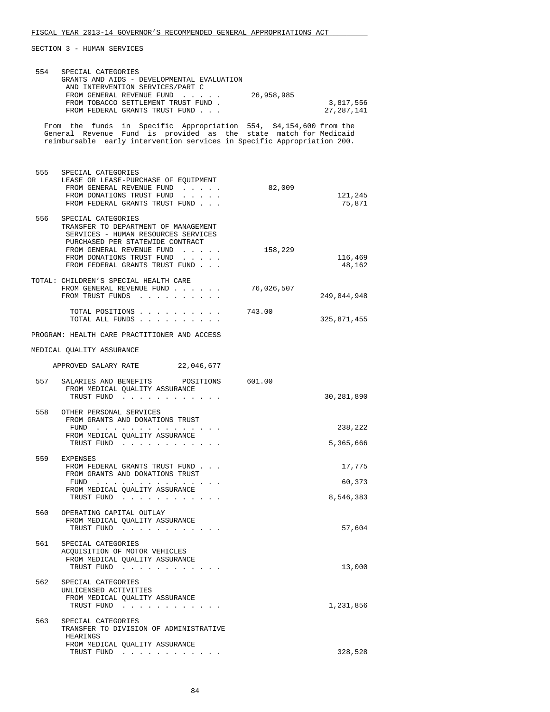|     | 554 SPECIAL CATEGORIES<br>GRANTS AND AIDS - DEVELOPMENTAL EVALUATION<br>AND INTERVENTION SERVICES/PART C<br>FROM GENERAL REVENUE FUND 26,958,985<br>FROM TOBACCO SETTLEMENT TRUST FUND.<br>FROM FEDERAL GRANTS TRUST FUND         |            | 3,817,556<br>27, 287, 141 |
|-----|-----------------------------------------------------------------------------------------------------------------------------------------------------------------------------------------------------------------------------------|------------|---------------------------|
|     | From the funds in Specific Appropriation 554, \$4,154,600 from the<br>General Revenue Fund is provided as the state match for Medicaid<br>reimbursable early intervention services in Specific Appropriation 200.                 |            |                           |
|     | 555 SPECIAL CATEGORIES<br>LEASE OR LEASE-PURCHASE OF EQUIPMENT<br>FROM GENERAL REVENUE FUND<br>FROM DONATIONS TRUST FUND<br>FROM FEDERAL GRANTS TRUST FUND                                                                        | 82,009     | 121,245<br>75,871         |
| 556 | SPECIAL CATEGORIES<br>TRANSFER TO DEPARTMENT OF MANAGEMENT<br>SERVICES - HUMAN RESOURCES SERVICES<br>PURCHASED PER STATEWIDE CONTRACT<br>FROM GENERAL REVENUE FUND<br>FROM DONATIONS TRUST FUND<br>FROM FEDERAL GRANTS TRUST FUND | 158,229    | 116,469<br>48,162         |
|     | TOTAL: CHILDREN'S SPECIAL HEALTH CARE<br>FROM GENERAL REVENUE FUND<br>FROM TRUST FUNDS                                                                                                                                            | 76,026,507 | 249,844,948               |
|     | TOTAL POSITIONS<br>TOTAL ALL FUNDS                                                                                                                                                                                                | 743.00     | 325,871,455               |
|     | PROGRAM: HEALTH CARE PRACTITIONER AND ACCESS                                                                                                                                                                                      |            |                           |
|     | MEDICAL QUALITY ASSURANCE                                                                                                                                                                                                         |            |                           |
|     | APPROVED SALARY RATE 22,046,677                                                                                                                                                                                                   |            |                           |
| 557 | SALARIES AND BENEFITS<br>POSITIONS 601.00<br>FROM MEDICAL QUALITY ASSURANCE<br>TRUST FUND                                                                                                                                         |            | 30,281,890                |
| 558 | OTHER PERSONAL SERVICES<br>FROM GRANTS AND DONATIONS TRUST<br>FUND<br>FROM MEDICAL OUALITY ASSURANCE                                                                                                                              |            | 238,222<br>5,365,666      |
|     | TRUST FUND                                                                                                                                                                                                                        |            |                           |
|     | 559 EXPENSES<br>FROM FEDERAL GRANTS TRUST FUND<br>FROM GRANTS AND DONATIONS TRUST                                                                                                                                                 |            | 17,775                    |
|     | FUND $\cdots$ $\cdots$ $\cdots$ $\cdots$ $\cdots$ $\cdots$ $\cdots$<br>FROM MEDICAL QUALITY ASSURANCE                                                                                                                             |            | 60,373                    |
|     | TRUST FUND                                                                                                                                                                                                                        |            | 8,546,383                 |
| 560 | OPERATING CAPITAL OUTLAY<br>FROM MEDICAL QUALITY ASSURANCE<br>TRUST FUND                                                                                                                                                          |            | 57,604                    |
| 561 | SPECIAL CATEGORIES<br>ACOUISITION OF MOTOR VEHICLES<br>FROM MEDICAL QUALITY ASSURANCE<br>TRUST FUND                                                                                                                               |            | 13,000                    |
| 562 | SPECIAL CATEGORIES<br>UNLICENSED ACTIVITIES<br>FROM MEDICAL QUALITY ASSURANCE<br>TRUST FUND                                                                                                                                       |            | 1,231,856                 |
| 563 | SPECIAL CATEGORIES<br>TRANSFER TO DIVISION OF ADMINISTRATIVE<br>HEARINGS<br>FROM MEDICAL QUALITY ASSURANCE<br>TRUST FUND                                                                                                          |            | 328,528                   |
|     |                                                                                                                                                                                                                                   |            |                           |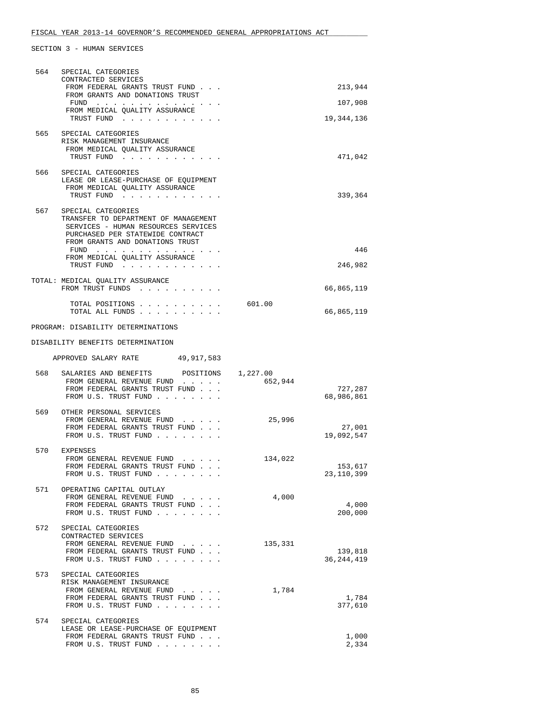| 564 | SPECIAL CATEGORIES<br>CONTRACTED SERVICES                                                                                                                                                                                   |         |                         |
|-----|-----------------------------------------------------------------------------------------------------------------------------------------------------------------------------------------------------------------------------|---------|-------------------------|
|     | FROM FEDERAL GRANTS TRUST FUND<br>FROM GRANTS AND DONATIONS TRUST                                                                                                                                                           |         | 213,944                 |
|     | FUND $\cdots$<br>FROM MEDICAL OUALITY ASSURANCE                                                                                                                                                                             |         | 107,908                 |
|     | TRUST FUND                                                                                                                                                                                                                  |         | 19,344,136              |
|     | 565 SPECIAL CATEGORIES<br>RISK MANAGEMENT INSURANCE<br>FROM MEDICAL QUALITY ASSURANCE<br>TRUST FUND                                                                                                                         |         | 471,042                 |
| 566 | SPECIAL CATEGORIES                                                                                                                                                                                                          |         |                         |
|     | LEASE OR LEASE-PURCHASE OF EQUIPMENT<br>FROM MEDICAL QUALITY ASSURANCE<br>TRUST FUND                                                                                                                                        |         | 339,364                 |
| 567 | SPECIAL CATEGORIES<br>TRANSFER TO DEPARTMENT OF MANAGEMENT<br>SERVICES - HUMAN RESOURCES SERVICES<br>PURCHASED PER STATEWIDE CONTRACT<br>FROM GRANTS AND DONATIONS TRUST<br>FUND $\cdots$<br>FROM MEDICAL QUALITY ASSURANCE |         | 446                     |
|     | TRUST FUND                                                                                                                                                                                                                  |         | 246,982                 |
|     | TOTAL: MEDICAL OUALITY ASSURANCE<br>FROM TRUST FUNDS                                                                                                                                                                        |         | 66,865,119              |
|     | TOTAL POSITIONS<br>TOTAL ALL FUNDS                                                                                                                                                                                          | 601.00  | 66,865,119              |
|     | PROGRAM: DISABILITY DETERMINATIONS                                                                                                                                                                                          |         |                         |
|     | DISABILITY BENEFITS DETERMINATION                                                                                                                                                                                           |         |                         |
|     | APPROVED SALARY RATE 49, 917, 583                                                                                                                                                                                           |         |                         |
| 568 | SALARIES AND BENEFITS POSITIONS 1,227.00<br>FROM GENERAL REVENUE FUND<br>FROM FEDERAL GRANTS TRUST FUND<br>FROM U.S. TRUST FUND                                                                                             | 652,944 | 727,287<br>68,986,861   |
|     | 569 OTHER PERSONAL SERVICES<br>FROM GENERAL REVENUE FUND<br>FROM FEDERAL GRANTS TRUST FUND<br>FROM U.S. TRUST FUND                                                                                                          | 25,996  | 27,001<br>19,092,547    |
| 570 | EXPENSES<br>FROM GENERAL REVENUE FUND<br>FROM FEDERAL GRANTS TRUST FUND<br>FROM U.S. TRUST FUND                                                                                                                             | 134,022 | 153,617<br>23,110,399   |
| 571 | OPERATING CAPITAL OUTLAY<br>FROM GENERAL REVENUE FUND<br>FROM FEDERAL GRANTS TRUST FUND<br>FROM U.S. TRUST FUND                                                                                                             | 4,000   | 4,000<br>200,000        |
| 572 | SPECIAL CATEGORIES<br>CONTRACTED SERVICES<br>FROM GENERAL REVENUE FUND<br>FROM FEDERAL GRANTS TRUST FUND<br>FROM U.S. TRUST FUND                                                                                            | 135,331 | 139,818<br>36, 244, 419 |
| 573 | SPECIAL CATEGORIES<br>RISK MANAGEMENT INSURANCE<br>FROM GENERAL REVENUE FUND<br>FROM FEDERAL GRANTS TRUST FUND<br>FROM U.S. TRUST FUND                                                                                      | 1,784   | 1,784<br>377,610        |
| 574 | SPECIAL CATEGORIES<br>LEASE OR LEASE-PURCHASE OF EQUIPMENT<br>FROM FEDERAL GRANTS TRUST FUND<br>FROM U.S. TRUST FUND                                                                                                        |         | 1,000<br>2,334          |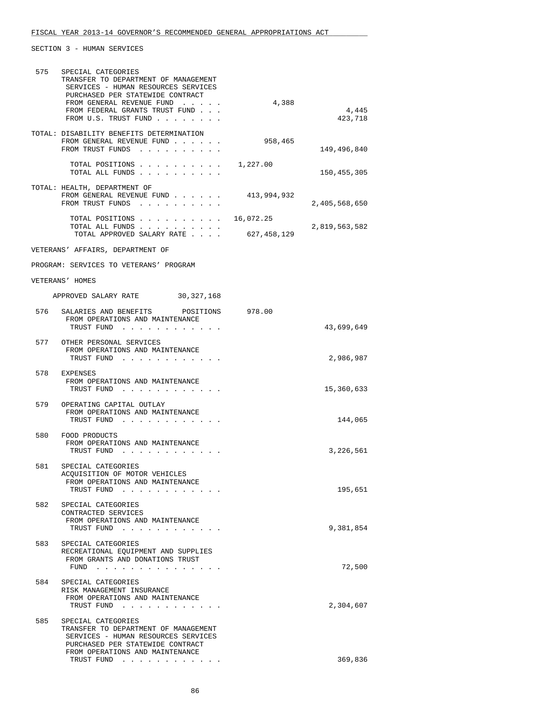| 575 | SPECIAL CATEGORIES<br>TRANSFER TO DEPARTMENT OF MANAGEMENT<br>SERVICES - HUMAN RESOURCES SERVICES                                                                        |             |                  |
|-----|--------------------------------------------------------------------------------------------------------------------------------------------------------------------------|-------------|------------------|
|     | PURCHASED PER STATEWIDE CONTRACT<br>FROM GENERAL REVENUE FUND<br>FROM FEDERAL GRANTS TRUST FUND<br>FROM U.S. TRUST FUND                                                  | 4,388       | 4,445<br>423,718 |
|     | TOTAL: DISABILITY BENEFITS DETERMINATION                                                                                                                                 |             |                  |
|     | FROM GENERAL REVENUE FUND<br>FROM TRUST FUNDS                                                                                                                            | 958,465     | 149,496,840      |
|     | TOTAL POSITIONS $\ldots$ , $\ldots$ , $\ldots$ , $\frac{1}{227.00}$<br>TOTAL ALL FUNDS                                                                                   |             | 150, 455, 305    |
|     | TOTAL: HEALTH, DEPARTMENT OF<br>FROM GENERAL REVENUE FUND $\ldots$ $\ldots$ $\qquad$ 413,994,932<br>FROM TRUST FUNDS                                                     |             | 2,405,568,650    |
|     | TOTAL POSITIONS 16,072.25<br>TOTAL ALL FUNDS                                                                                                                             |             | 2,819,563,582    |
|     | TOTAL APPROVED SALARY RATE                                                                                                                                               | 627,458,129 |                  |
|     | VETERANS' AFFAIRS, DEPARTMENT OF                                                                                                                                         |             |                  |
|     | PROGRAM: SERVICES TO VETERANS' PROGRAM                                                                                                                                   |             |                  |
|     | VETERANS' HOMES                                                                                                                                                          |             |                  |
|     | APPROVED SALARY RATE 30,327,168                                                                                                                                          |             |                  |
| 576 | SALARIES AND BENEFITS POSITIONS 978.00<br>FROM OPERATIONS AND MAINTENANCE<br>TRUST FUND                                                                                  |             | 43,699,649       |
|     | 577 OTHER PERSONAL SERVICES<br>FROM OPERATIONS AND MAINTENANCE<br>TRUST FUND                                                                                             |             | 2,986,987        |
|     | 578 EXPENSES<br>FROM OPERATIONS AND MAINTENANCE<br>TRUST FUND                                                                                                            |             | 15,360,633       |
| 579 | OPERATING CAPITAL OUTLAY<br>FROM OPERATIONS AND MAINTENANCE<br>TRUST FUND                                                                                                |             | 144,065          |
| 580 | FOOD PRODUCTS<br>FROM OPERATIONS AND MAINTENANCE<br>TRUST FUND                                                                                                           |             | 3,226,561        |
| 581 | SPECIAL CATEGORIES<br>ACQUISITION OF MOTOR VEHICLES<br>FROM OPERATIONS AND MAINTENANCE                                                                                   |             |                  |
| 582 | TRUST FUND<br>SPECIAL CATEGORIES                                                                                                                                         |             | 195,651          |
|     | CONTRACTED SERVICES<br>FROM OPERATIONS AND MAINTENANCE<br>TRUST FUND                                                                                                     |             | 9,381,854        |
| 583 | SPECIAL CATEGORIES<br>RECREATIONAL EQUIPMENT AND SUPPLIES<br>FROM GRANTS AND DONATIONS TRUST                                                                             |             | 72,500           |
| 584 | SPECIAL CATEGORIES<br>RISK MANAGEMENT INSURANCE<br>FROM OPERATIONS AND MAINTENANCE                                                                                       |             |                  |
|     | TRUST FUND                                                                                                                                                               |             | 2,304,607        |
| 585 | SPECIAL CATEGORIES<br>TRANSFER TO DEPARTMENT OF MANAGEMENT<br>SERVICES - HUMAN RESOURCES SERVICES<br>PURCHASED PER STATEWIDE CONTRACT<br>FROM OPERATIONS AND MAINTENANCE |             |                  |
|     | TRUST FUND                                                                                                                                                               |             | 369,836          |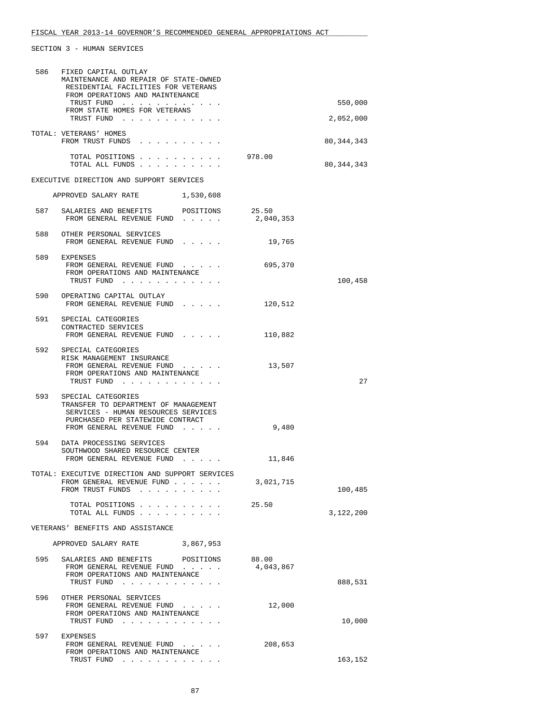| 586 | FIXED CAPITAL OUTLAY<br>MAINTENANCE AND REPAIR OF STATE-OWNED<br>RESIDENTIAL FACILITIES FOR VETERANS                                                                   |           |              |
|-----|------------------------------------------------------------------------------------------------------------------------------------------------------------------------|-----------|--------------|
|     | FROM OPERATIONS AND MAINTENANCE<br>TRUST FUND<br>FROM STATE HOMES FOR VETERANS                                                                                         |           | 550,000      |
|     | TRUST FUND                                                                                                                                                             |           | 2,052,000    |
|     | TOTAL: VETERANS' HOMES<br>FROM TRUST FUNDS                                                                                                                             |           | 80, 344, 343 |
|     | TOTAL POSITIONS<br>TOTAL ALL FUNDS                                                                                                                                     | 978.00    | 80, 344, 343 |
|     | EXECUTIVE DIRECTION AND SUPPORT SERVICES                                                                                                                               |           |              |
|     | APPROVED SALARY RATE 1,530,608                                                                                                                                         |           |              |
|     | 587 SALARIES AND BENEFITS<br>POSITIONS<br>FROM GENERAL REVENUE FUND 2,040,353                                                                                          | 25.50     |              |
|     | 588 OTHER PERSONAL SERVICES<br>FROM GENERAL REVENUE FUND                                                                                                               | 19,765    |              |
|     | 589 EXPENSES<br>FROM GENERAL REVENUE FUND<br>FROM OPERATIONS AND MAINTENANCE<br>TRUST FUND                                                                             | 695,370   | 100,458      |
|     | 590 OPERATING CAPITAL OUTLAY<br>FROM GENERAL REVENUE FUND                                                                                                              | 120,512   |              |
| 591 | SPECIAL CATEGORIES<br>CONTRACTED SERVICES<br>FROM GENERAL REVENUE FUND                                                                                                 | 110,882   |              |
|     | 592 SPECIAL CATEGORIES<br>RISK MANAGEMENT INSURANCE<br>FROM GENERAL REVENUE FUND<br>FROM OPERATIONS AND MAINTENANCE<br>TRUST FUND                                      | 13,507    | 27           |
|     | 593 SPECIAL CATEGORIES<br>TRANSFER TO DEPARTMENT OF MANAGEMENT<br>SERVICES - HUMAN RESOURCES SERVICES<br>PURCHASED PER STATEWIDE CONTRACT<br>FROM GENERAL REVENUE FUND | 9,480     |              |
| 594 | DATA PROCESSING SERVICES<br>SOUTHWOOD SHARED RESOURCE CENTER<br>FROM GENERAL REVENUE FUND                                                                              | 11,846    |              |
|     | TOTAL: EXECUTIVE DIRECTION AND SUPPORT SERVICES<br>FROM GENERAL REVENUE FUND<br>FROM TRUST FUNDS                                                                       | 3,021,715 | 100,485      |
|     | TOTAL POSITIONS<br>TOTAL ALL FUNDS                                                                                                                                     | 25.50     | 3,122,200    |
|     | VETERANS' BENEFITS AND ASSISTANCE                                                                                                                                      |           |              |
|     | APPROVED SALARY RATE<br>3,867,953                                                                                                                                      |           |              |
| 595 | SALARIES AND BENEFITS POSITIONS 88.00<br>FROM GENERAL REVENUE FUND<br>FROM OPERATIONS AND MAINTENANCE<br>TRUST FUND                                                    | 4,043,867 | 888,531      |
| 596 | OTHER PERSONAL SERVICES<br>FROM GENERAL REVENUE FUND<br>FROM OPERATIONS AND MAINTENANCE<br>TRUST FUND                                                                  | 12,000    | 10,000       |
| 597 | EXPENSES<br>FROM GENERAL REVENUE FUND<br>FROM OPERATIONS AND MAINTENANCE<br>TRUST FUND                                                                                 | 208,653   | 163,152      |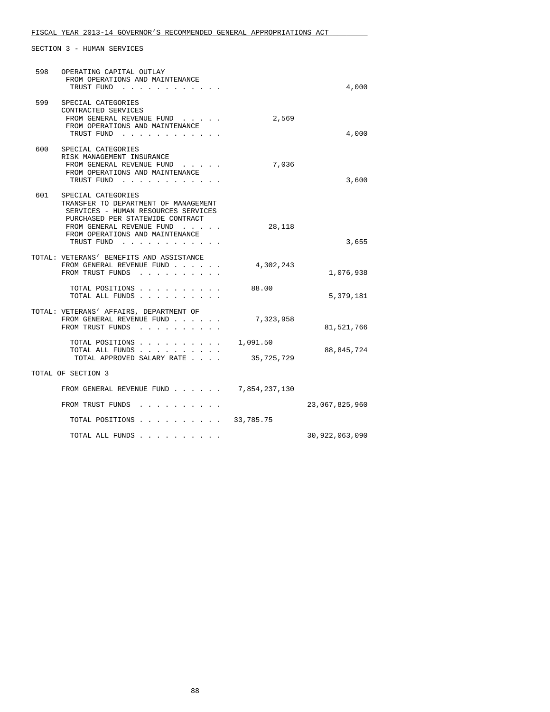| 598 | OPERATING CAPITAL OUTLAY<br>FROM OPERATIONS AND MAINTENANCE<br>TRUST FUND                                                                                                                                                                                                                       |                        | 4,000          |
|-----|-------------------------------------------------------------------------------------------------------------------------------------------------------------------------------------------------------------------------------------------------------------------------------------------------|------------------------|----------------|
| 599 | SPECIAL CATEGORIES<br>CONTRACTED SERVICES<br>FROM GENERAL REVENUE FUND<br>FROM OPERATIONS AND MAINTENANCE<br>TRUST FUND                                                                                                                                                                         | 2,569                  | 4,000          |
| 600 | SPECIAL CATEGORIES<br>RISK MANAGEMENT INSURANCE<br>FROM GENERAL REVENUE FUND.<br>FROM OPERATIONS AND MAINTENANCE<br>TRUST FUND                                                                                                                                                                  | 7,036                  | 3,600          |
| 601 | SPECIAL CATEGORIES<br>TRANSFER TO DEPARTMENT OF MANAGEMENT<br>SERVICES - HUMAN RESOURCES SERVICES<br>PURCHASED PER STATEWIDE CONTRACT<br>FROM GENERAL REVENUE FUND<br>FROM OPERATIONS AND MAINTENANCE<br>TRUST FUND<br>$\mathbf{r}$ , $\mathbf{r}$ , $\mathbf{r}$ , $\mathbf{r}$ , $\mathbf{r}$ | 28,118                 | 3,655          |
|     | TOTAL: VETERANS' BENEFITS AND ASSISTANCE<br>FROM GENERAL REVENUE FUND<br>FROM TRUST FUNDS                                                                                                                                                                                                       | 4,302,243              | 1,076,938      |
|     | TOTAL POSITIONS.<br>TOTAL ALL FUNDS<br>$\cdot$ $\cdot$ $\cdot$ $\cdot$                                                                                                                                                                                                                          | 88.00                  | 5,379,181      |
|     | TOTAL: VETERANS' AFFAIRS, DEPARTMENT OF<br>FROM GENERAL REVENUE FUND.<br>FROM TRUST FUNDS                                                                                                                                                                                                       | 7,323,958              | 81,521,766     |
|     | TOTAL POSITIONS.<br>TOTAL ALL FUNDS<br>TOTAL APPROVED SALARY RATE                                                                                                                                                                                                                               | 1,091.50<br>35,725,729 | 88,845,724     |
|     | TOTAL OF SECTION 3                                                                                                                                                                                                                                                                              |                        |                |
|     | FROM GENERAL REVENUE FUND                                                                                                                                                                                                                                                                       | 7,854,237,130          |                |
|     | FROM TRUST FUNDS                                                                                                                                                                                                                                                                                |                        | 23,067,825,960 |
|     | TOTAL POSITIONS 33,785.75                                                                                                                                                                                                                                                                       |                        |                |
|     | TOTAL ALL FUNDS                                                                                                                                                                                                                                                                                 |                        | 30,922,063,090 |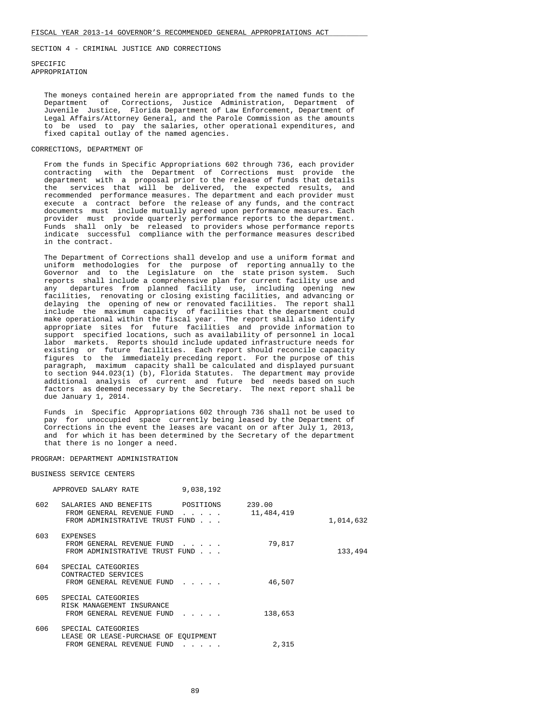#### SPECIFIC APPROPRIATION

 The moneys contained herein are appropriated from the named funds to the Department of Corrections, Justice Administration, Department of Juvenile Justice, Florida Department of Law Enforcement, Department of Legal Affairs/Attorney General, and the Parole Commission as the amounts to be used to pay the salaries, other operational expenditures, and fixed capital outlay of the named agencies.

### CORRECTIONS, DEPARTMENT OF

 From the funds in Specific Appropriations 602 through 736, each provider contracting with the Department of Corrections must provide the department with a proposal prior to the release of funds that details the services that will be delivered, the expected results, and recommended performance measures. The department and each provider must execute a contract before the release of any funds, and the contract documents must include mutually agreed upon performance measures. Each provider must provide quarterly performance reports to the department. Funds shall only be released to providers whose performance reports indicate successful compliance with the performance measures described in the contract.

 The Department of Corrections shall develop and use a uniform format and uniform methodologies for the purpose of reporting annually to the Governor and to the Legislature on the state prison system. Such reports shall include a comprehensive plan for current facility use and any departures from planned facility use, including opening new facilities, renovating or closing existing facilities, and advancing or delaying the opening of new or renovated facilities. The report shall include the maximum capacity of facilities that the department could make operational within the fiscal year. The report shall also identify appropriate sites for future facilities and provide information to support specified locations, such as availability of personnel in local labor markets. Reports should include updated infrastructure needs for existing or future facilities. Each report should reconcile capacity figures to the immediately preceding report. For the purpose of this paragraph, maximum capacity shall be calculated and displayed pursuant to section 944.023(1) (b), Florida Statutes. The department may provide additional analysis of current and future bed needs based on such factors as deemed necessary by the Secretary. The next report shall be due January 1, 2014.

 Funds in Specific Appropriations 602 through 736 shall not be used to pay for unoccupied space currently being leased by the Department of Corrections in the event the leases are vacant on or after July 1, 2013, and for which it has been determined by the Secretary of the department that there is no longer a need.

#### PROGRAM: DEPARTMENT ADMINISTRATION

#### BUSINESS SERVICE CENTERS

|     | APPROVED SALARY RATE                                                                           | 9,038,192                                      |                      |           |
|-----|------------------------------------------------------------------------------------------------|------------------------------------------------|----------------------|-----------|
| 602 | SALARIES AND BENEFITS POSITIONS<br>FROM GENERAL REVENUE FUND<br>FROM ADMINISTRATIVE TRUST FUND | $\cdot$ $\cdot$ $\cdot$ $\cdot$ $\cdot$        | 239.00<br>11,484,419 | 1,014,632 |
| 603 | EXPENSES<br>FROM GENERAL REVENUE FUND<br>FROM ADMINISTRATIVE TRUST FUND                        | $\mathbf{r}$ and $\mathbf{r}$ and $\mathbf{r}$ | 79,817               | 133,494   |
| 604 | SPECIAL CATEGORIES<br>CONTRACTED SERVICES<br>FROM GENERAL REVENUE FUND                         | $\cdots$ $\cdots$                              | 46,507               |           |
| 605 | SPECIAL CATEGORIES<br>RISK MANAGEMENT INSURANCE<br>FROM GENERAL REVENUE FUND                   | $\cdot$ $\cdot$ $\cdot$ $\cdot$ $\cdot$        | 138,653              |           |
| 606 | SPECIAL CATEGORIES<br>LEASE OR LEASE-PURCHASE OF EOUIPMENT<br>FROM GENERAL REVENUE FUND        | $\cdot$ $\cdot$ $\cdot$ $\cdot$ $\cdot$        | 2,315                |           |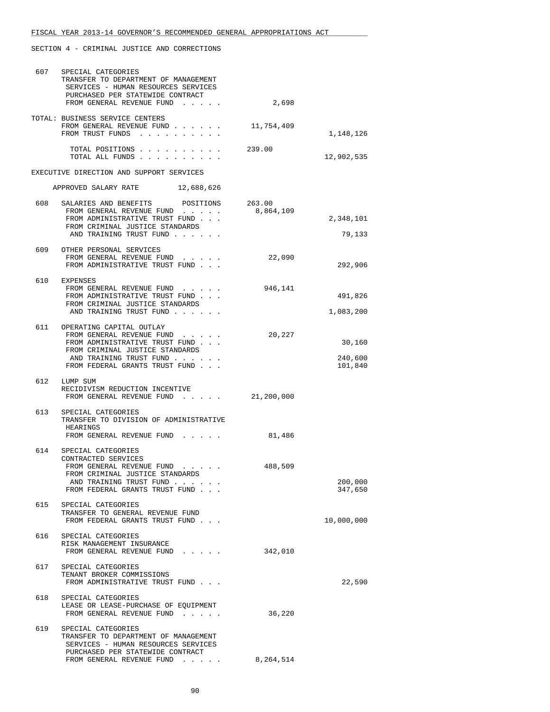| 607 | SPECIAL CATEGORIES<br>TRANSFER TO DEPARTMENT OF MANAGEMENT<br>SERVICES - HUMAN RESOURCES SERVICES                                                   |            |                    |
|-----|-----------------------------------------------------------------------------------------------------------------------------------------------------|------------|--------------------|
|     | PURCHASED PER STATEWIDE CONTRACT<br>FROM GENERAL REVENUE FUND                                                                                       | 2,698      |                    |
|     | TOTAL: BUSINESS SERVICE CENTERS                                                                                                                     |            |                    |
|     | FROM GENERAL REVENUE FUND                                                                                                                           | 11,754,409 |                    |
|     | FROM TRUST FUNDS                                                                                                                                    |            | 1,148,126          |
|     | TOTAL POSITIONS<br>TOTAL ALL FUNDS                                                                                                                  | 239.00     | 12,902,535         |
|     | EXECUTIVE DIRECTION AND SUPPORT SERVICES                                                                                                            |            |                    |
|     | APPROVED SALARY RATE 12,688,626                                                                                                                     |            |                    |
|     | 608 SALARIES AND BENEFITS POSITIONS 263.00                                                                                                          |            |                    |
|     | FROM GENERAL REVENUE FUND                                                                                                                           | 8,864,109  |                    |
|     | FROM ADMINISTRATIVE TRUST FUND<br>FROM CRIMINAL JUSTICE STANDARDS                                                                                   |            | 2,348,101          |
|     | AND TRAINING TRUST FUND                                                                                                                             |            | 79,133             |
|     | 609 OTHER PERSONAL SERVICES                                                                                                                         |            |                    |
|     | FROM GENERAL REVENUE FUND                                                                                                                           | 22,090     |                    |
|     | FROM ADMINISTRATIVE TRUST FUND                                                                                                                      |            | 292,906            |
|     | 610 EXPENSES                                                                                                                                        |            |                    |
|     | FROM GENERAL REVENUE FUND                                                                                                                           | 946,141    |                    |
|     | FROM ADMINISTRATIVE TRUST FUND                                                                                                                      |            | 491,826            |
|     | FROM CRIMINAL JUSTICE STANDARDS<br>AND TRAINING TRUST FUND                                                                                          |            | 1,083,200          |
|     |                                                                                                                                                     |            |                    |
|     | 611 OPERATING CAPITAL OUTLAY<br>FROM GENERAL REVENUE FUND                                                                                           | 20,227     |                    |
|     | FROM ADMINISTRATIVE TRUST FUND                                                                                                                      |            | 30,160             |
|     | FROM CRIMINAL JUSTICE STANDARDS                                                                                                                     |            |                    |
|     | AND TRAINING TRUST FUND<br>FROM FEDERAL GRANTS TRUST FUND                                                                                           |            | 240,600<br>101,840 |
|     |                                                                                                                                                     |            |                    |
|     | 612 LUMP SUM                                                                                                                                        |            |                    |
|     | RECIDIVISM REDUCTION INCENTIVE<br>FROM GENERAL REVENUE FUND 21,200,000                                                                              |            |                    |
|     |                                                                                                                                                     |            |                    |
| 613 | SPECIAL CATEGORIES<br>TRANSFER TO DIVISION OF ADMINISTRATIVE                                                                                        |            |                    |
|     | HEARINGS                                                                                                                                            |            |                    |
|     | FROM GENERAL REVENUE FUND                                                                                                                           | 81,486     |                    |
| 614 | SPECIAL CATEGORIES                                                                                                                                  |            |                    |
|     | CONTRACTED SERVICES                                                                                                                                 |            |                    |
|     | FROM GENERAL REVENUE FUND<br>$\bullet$ .<br><br><br><br><br><br><br><br><br><br><br><br><br><br><br><br><br><br><br>FROM CRIMINAL JUSTICE STANDARDS | 488,509    |                    |
|     | AND TRAINING TRUST FUND                                                                                                                             |            | 200,000            |
|     | FROM FEDERAL GRANTS TRUST FUND                                                                                                                      |            | 347,650            |
| 615 | SPECIAL CATEGORIES                                                                                                                                  |            |                    |
|     | TRANSFER TO GENERAL REVENUE FUND                                                                                                                    |            |                    |
|     | FROM FEDERAL GRANTS TRUST FUND                                                                                                                      |            | 10,000,000         |
| 616 | SPECIAL CATEGORIES                                                                                                                                  |            |                    |
|     | RISK MANAGEMENT INSURANCE                                                                                                                           |            |                    |
|     | FROM GENERAL REVENUE FUND                                                                                                                           | 342,010    |                    |
| 617 | SPECIAL CATEGORIES                                                                                                                                  |            |                    |
|     | TENANT BROKER COMMISSIONS                                                                                                                           |            |                    |
|     | FROM ADMINISTRATIVE TRUST FUND                                                                                                                      |            | 22,590             |
| 618 | SPECIAL CATEGORIES                                                                                                                                  |            |                    |
|     | LEASE OR LEASE-PURCHASE OF EQUIPMENT                                                                                                                | 36,220     |                    |
|     | FROM GENERAL REVENUE FUND                                                                                                                           |            |                    |
| 619 | SPECIAL CATEGORIES                                                                                                                                  |            |                    |
|     | TRANSFER TO DEPARTMENT OF MANAGEMENT<br>SERVICES - HUMAN RESOURCES SERVICES                                                                         |            |                    |
|     | PURCHASED PER STATEWIDE CONTRACT                                                                                                                    |            |                    |
|     | FROM GENERAL REVENUE FUND                                                                                                                           | 8,264,514  |                    |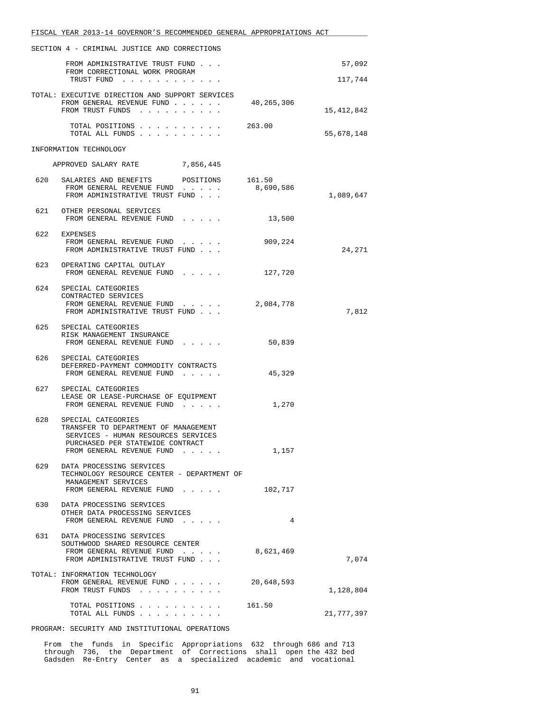|     | FISCAL YEAR 2013-14 GOVERNOR'S RECOMMENDED GENERAL APPROPRIATIONS ACT                                                                                              |            |            |
|-----|--------------------------------------------------------------------------------------------------------------------------------------------------------------------|------------|------------|
|     | SECTION 4 - CRIMINAL JUSTICE AND CORRECTIONS                                                                                                                       |            |            |
|     | FROM ADMINISTRATIVE TRUST FUND<br>FROM CORRECTIONAL WORK PROGRAM                                                                                                   |            | 57,092     |
|     | TRUST FUND                                                                                                                                                         |            | 117,744    |
|     | TOTAL: EXECUTIVE DIRECTION AND SUPPORT SERVICES<br>FROM GENERAL REVENUE FUND<br>FROM TRUST FUNDS                                                                   | 40,265,306 | 15,412,842 |
|     | TOTAL POSITIONS<br>TOTAL ALL FUNDS                                                                                                                                 | 263.00     | 55,678,148 |
|     | INFORMATION TECHNOLOGY                                                                                                                                             |            |            |
|     | APPROVED SALARY RATE 7,856,445                                                                                                                                     |            |            |
|     | 620 SALARIES AND BENEFITS POSITIONS 161.50<br>FROM GENERAL REVENUE FUND<br>FROM ADMINISTRATIVE TRUST FUND                                                          | 8,690,586  | 1,089,647  |
|     | 621 OTHER PERSONAL SERVICES<br>FROM GENERAL REVENUE FUND                                                                                                           | 13,500     |            |
| 622 | EXPENSES<br>FROM GENERAL REVENUE FUND<br>FROM ADMINISTRATIVE TRUST FUND                                                                                            | 909,224    | 24,271     |
|     | 623 OPERATING CAPITAL OUTLAY<br>FROM GENERAL REVENUE FUND                                                                                                          | 127,720    |            |
| 624 | SPECIAL CATEGORIES<br>CONTRACTED SERVICES<br>FROM GENERAL REVENUE FUND<br>and a state of the state<br>FROM ADMINISTRATIVE TRUST FUND                               | 2,084,778  | 7,812      |
|     | 625 SPECIAL CATEGORIES<br>RISK MANAGEMENT INSURANCE<br>FROM GENERAL REVENUE FUND                                                                                   | 50,839     |            |
| 626 | SPECIAL CATEGORIES<br>DEFERRED-PAYMENT COMMODITY CONTRACTS<br>FROM GENERAL REVENUE FUND                                                                            | 45,329     |            |
|     | 627 SPECIAL CATEGORIES<br>LEASE OR LEASE-PURCHASE OF EQUIPMENT<br>FROM GENERAL REVENUE FUND                                                                        | 1,270      |            |
| 628 | SPECIAL CATEGORIES<br>TRANSFER TO DEPARTMENT OF MANAGEMENT<br>SERVICES - HUMAN RESOURCES SERVICES<br>PURCHASED PER STATEWIDE CONTRACT<br>FROM GENERAL REVENUE FUND | 1,157      |            |
| 629 | DATA PROCESSING SERVICES<br>TECHNOLOGY RESOURCE CENTER - DEPARTMENT OF<br>MANAGEMENT SERVICES<br>FROM GENERAL REVENUE FUND                                         | 102,717    |            |
| 630 | DATA PROCESSING SERVICES<br>OTHER DATA PROCESSING SERVICES<br>FROM GENERAL REVENUE FUND                                                                            | 4          |            |
| 631 | DATA PROCESSING SERVICES<br>SOUTHWOOD SHARED RESOURCE CENTER<br>FROM GENERAL REVENUE FUND<br>FROM ADMINISTRATIVE TRUST FUND                                        | 8,621,469  | 7,074      |
|     | TOTAL: INFORMATION TECHNOLOGY<br>FROM GENERAL REVENUE FUND<br>FROM TRUST FUNDS                                                                                     | 20,648,593 | 1,128,804  |
|     | TOTAL POSITIONS<br>TOTAL ALL FUNDS                                                                                                                                 | 161.50     | 21,777,397 |

PROGRAM: SECURITY AND INSTITUTIONAL OPERATIONS

 From the funds in Specific Appropriations 632 through 686 and 713 through 736, the Department of Corrections shall open the 432 bed Gadsden Re-Entry Center as a specialized academic and vocational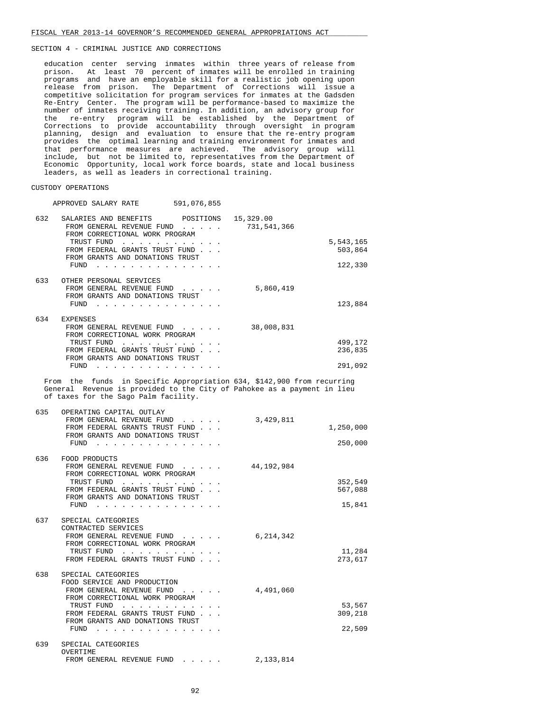education center serving inmates within three years of release from prison. At least 70 percent of inmates will be enrolled in training programs and have an employable skill for a realistic job opening upon release from prison. The Department of Corrections will issue a competitive solicitation for program services for inmates at the Gadsden Re-Entry Center. The program will be performance-based to maximize the number of inmates receiving training. In addition, an advisory group for the re-entry program will be established by the Department of Corrections to provide accountability through oversight in program planning, design and evaluation to ensure that the re-entry program provides the optimal learning and training environment for inmates and that performance measures are achieved. The advisory group will include, but not be limited to, representatives from the Department of Economic Opportunity, local work force boards, state and local business leaders, as well as leaders in correctional training.

### CUSTODY OPERATIONS

| APPROVED SALARY RATE                                                                                                                                                                                                                                               | 591,076,855 |                          |                                 |
|--------------------------------------------------------------------------------------------------------------------------------------------------------------------------------------------------------------------------------------------------------------------|-------------|--------------------------|---------------------------------|
| 632<br>SALARIES AND BENEFITS POSITIONS<br>FROM GENERAL REVENUE FUND<br>FROM CORRECTIONAL WORK PROGRAM<br>TRUST FUND<br>FROM FEDERAL GRANTS TRUST FUND<br>FROM GRANTS AND DONATIONS TRUST<br>FUND                                                                   |             | 15,329.00<br>731,541,366 | 5,543,165<br>503,864<br>122,330 |
| 633<br>OTHER PERSONAL SERVICES<br>FROM GENERAL REVENUE FUND<br>FROM GRANTS AND DONATIONS TRUST                                                                                                                                                                     |             | 5,860,419                | 123,884                         |
| 634<br>EXPENSES<br>FROM GENERAL REVENUE FUND<br>FROM CORRECTIONAL WORK PROGRAM<br>TRUST FUND<br>FROM FEDERAL GRANTS TRUST FUND<br>FROM GRANTS AND DONATIONS TRUST<br>FUND $\cdots$                                                                                 |             | 38,008,831               | 499,172<br>236,835<br>291,092   |
| From the funds in Specific Appropriation 634, \$142,900 from recurring<br>General Revenue is provided to the City of Pahokee as a payment in lieu<br>of taxes for the Sago Palm facility.                                                                          |             |                          |                                 |
| 635<br>OPERATING CAPITAL OUTLAY<br>FROM GENERAL REVENUE FUND<br>FROM FEDERAL GRANTS TRUST FUND<br>FROM GRANTS AND DONATIONS TRUST<br>$FUND$                                                                                                                        |             | 3,429,811                | 1,250,000<br>250,000            |
| 636<br>FOOD PRODUCTS<br>FROM GENERAL REVENUE FUND<br>FROM CORRECTIONAL WORK PROGRAM<br>TRUST FUND<br>FROM FEDERAL GRANTS TRUST FUND<br>FROM GRANTS AND DONATIONS TRUST<br>$FUND$                                                                                   |             | 44,192,984               | 352,549<br>567,088<br>15,841    |
| 637<br>SPECIAL CATEGORIES<br>CONTRACTED SERVICES<br>FROM GENERAL REVENUE FUND<br>FROM CORRECTIONAL WORK PROGRAM<br>TRUST FUND<br>FROM FEDERAL GRANTS TRUST FUND                                                                                                    |             | 6,214,342                | 11,284<br>273,617               |
| 638<br>SPECIAL CATEGORIES<br>FOOD SERVICE AND PRODUCTION<br>FROM GENERAL REVENUE FUND<br>FROM CORRECTIONAL WORK PROGRAM<br>TRUST FUND<br>FROM FEDERAL GRANTS TRUST FUND<br>FROM GRANTS AND DONATIONS TRUST<br>FUND<br>والمناول والمناول والمناول والمناول والمناول |             | 4,491,060                | 53,567<br>309,218<br>22,509     |
| 639<br>SPECIAL CATEGORIES<br>OVERTIME<br>FROM GENERAL REVENUE FUND                                                                                                                                                                                                 |             | 2,133,814                |                                 |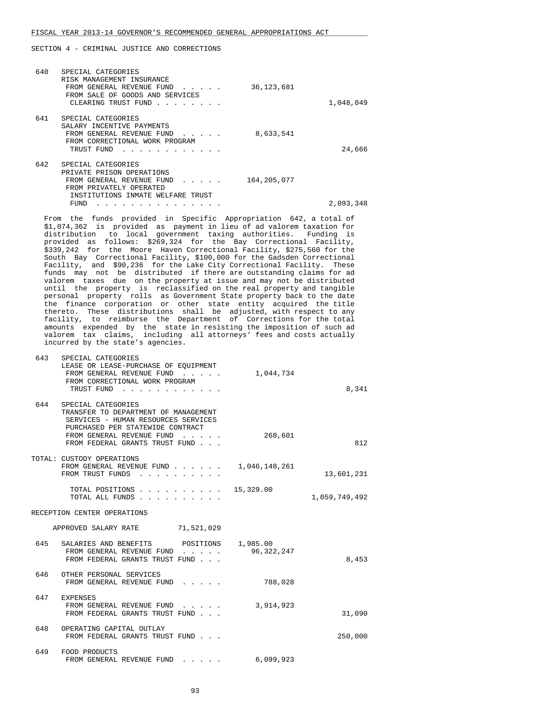SECTION 4 - CRIMINAL JUSTICE AND CORRECTIONS

| 1,048,049 | 36, 123, 681  | SPECIAL CATEGORIES<br>RISK MANAGEMENT INSURANCE<br>FROM GENERAL REVENUE FUND<br>$\mathbf{r}$ and $\mathbf{r}$ and $\mathbf{r}$<br>FROM SALE OF GOODS AND SERVICES<br>CLEARING TRUST FUND<br>$\mathbf{r}$ . The contract of the contract of the contract of the contract of the contract of the contract of the contract of the contract of the contract of the contract of the contract of the contract of the contract of th | 640 |
|-----------|---------------|-------------------------------------------------------------------------------------------------------------------------------------------------------------------------------------------------------------------------------------------------------------------------------------------------------------------------------------------------------------------------------------------------------------------------------|-----|
| 24,666    | 8,633,541     | SPECIAL CATEGORIES<br>SALARY INCENTIVE PAYMENTS<br>FROM GENERAL REVENUE FUND<br>FROM CORRECTIONAL WORK PROGRAM<br>TRUST FUND                                                                                                                                                                                                                                                                                                  | 641 |
| 2,093,348 | 164, 205, 077 | SPECIAL CATEGORIES<br>PRIVATE PRISON OPERATIONS<br>FROM GENERAL REVENUE FUND<br>$\cdots$<br>FROM PRIVATELY OPERATED<br>INSTITUTIONS INMATE WELFARE TRUST<br>FUND                                                                                                                                                                                                                                                              | 642 |

 From the funds provided in Specific Appropriation 642, a total of \$1,074,362 is provided as payment in lieu of ad valorem taxation for distribution to local government taxing authorities. Funding is provided as follows: \$269,324 for the Bay Correctional Facility, \$339,242 for the Moore Haven Correctional Facility, \$275,560 for the South Bay Correctional Facility, \$100,000 for the Gadsden Correctional Facility, and \$90,236 for the Lake City Correctional Facility. These funds may not be distributed if there are outstanding claims for ad valorem taxes due on the property at issue and may not be distributed until the property is reclassified on the real property and tangible personal property rolls as Government State property back to the date the finance corporation or other state entity acquired the title thereto. These distributions shall be adjusted, with respect to any facility, to reimburse the Department of Corrections for the total amounts expended by the state in resisting the imposition of such ad valorem tax claims, including all attorneys' fees and costs actually incurred by the state's agencies.

| 643 | SPECIAL CATEGORIES<br>LEASE OR LEASE-PURCHASE OF EQUIPMENT<br>FROM GENERAL REVENUE FUND<br>$\mathbf{r}$ , $\mathbf{r}$ , $\mathbf{r}$ , $\mathbf{r}$<br>FROM CORRECTIONAL WORK PROGRAM<br>TRUST FUND<br>and a state of the state | 1,044,734                | 8,341         |
|-----|----------------------------------------------------------------------------------------------------------------------------------------------------------------------------------------------------------------------------------|--------------------------|---------------|
| 644 | SPECIAL CATEGORIES<br>TRANSFER TO DEPARTMENT OF MANAGEMENT<br>SERVICES - HUMAN RESOURCES SERVICES<br>PURCHASED PER STATEWIDE CONTRACT<br>FROM GENERAL REVENUE FUND<br>FROM FEDERAL GRANTS TRUST FUND                             | 268,601                  | 812           |
|     | TOTAL: CUSTODY OPERATIONS<br>FROM GENERAL REVENUE FUND<br>FROM TRUST FUNDS                                                                                                                                                       | 1,046,148,261            | 13,601,231    |
|     | TOTAL POSITIONS<br>TOTAL ALL FUNDS.                                                                                                                                                                                              | 15,329.00                | 1,059,749,492 |
|     | RECEPTION CENTER OPERATIONS                                                                                                                                                                                                      |                          |               |
|     | APPROVED SALARY RATE<br>71,521,029                                                                                                                                                                                               |                          |               |
| 645 | SALARIES AND BENEFITS<br>POSITIONS<br>FROM GENERAL REVENUE FUND<br>$\cdots$<br>FROM FEDERAL GRANTS TRUST FUND                                                                                                                    | 1,985.00<br>96, 322, 247 | 8,453         |
| 646 | OTHER PERSONAL SERVICES<br>FROM GENERAL REVENUE FUND                                                                                                                                                                             | 788,028                  |               |
| 647 | <b>EXPENSES</b><br>FROM GENERAL REVENUE FUND<br>FROM FEDERAL GRANTS TRUST FUND                                                                                                                                                   | 3,914,923                | 31,090        |
| 648 | OPERATING CAPITAL OUTLAY<br>FROM FEDERAL GRANTS TRUST FUND                                                                                                                                                                       |                          | 250,000       |
| 649 | FOOD PRODUCTS<br>FROM GENERAL REVENUE FUND<br>and the contract of the                                                                                                                                                            | 6,099,923                |               |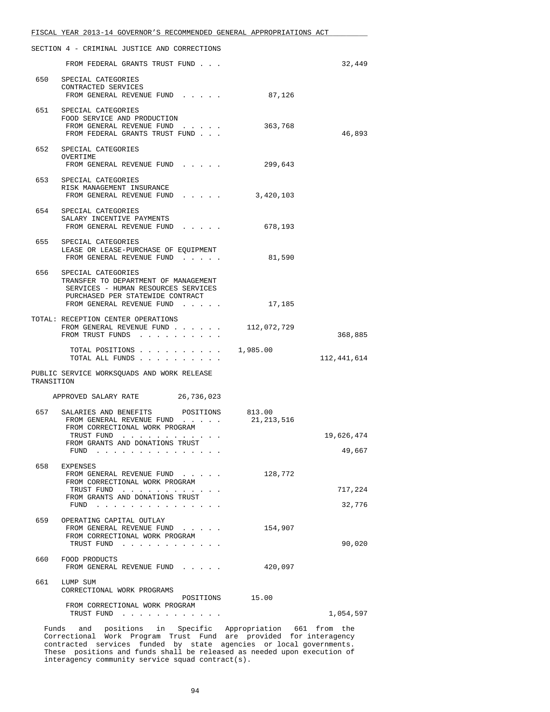|            | FISCAL YEAR 2013-14 GOVERNOR'S RECOMMENDED GENERAL APPROPRIATIONS ACT                                                             |                      |                   |
|------------|-----------------------------------------------------------------------------------------------------------------------------------|----------------------|-------------------|
|            | SECTION 4 - CRIMINAL JUSTICE AND CORRECTIONS                                                                                      |                      |                   |
|            | FROM FEDERAL GRANTS TRUST FUND                                                                                                    |                      | 32,449            |
|            | 650 SPECIAL CATEGORIES<br>CONTRACTED SERVICES                                                                                     |                      |                   |
|            | FROM GENERAL REVENUE FUND                                                                                                         | 87,126               |                   |
|            | 651 SPECIAL CATEGORIES<br>FOOD SERVICE AND PRODUCTION<br>FROM GENERAL REVENUE FUND<br>FROM FEDERAL GRANTS TRUST FUND              | 363,768              | 46,893            |
|            | 652 SPECIAL CATEGORIES<br>OVERTIME<br>FROM GENERAL REVENUE FUND                                                                   | 299,643              |                   |
|            | 653 SPECIAL CATEGORIES                                                                                                            |                      |                   |
|            | RISK MANAGEMENT INSURANCE<br>FROM GENERAL REVENUE FUND                                                                            | 3,420,103            |                   |
|            | 654 SPECIAL CATEGORIES<br>SALARY INCENTIVE PAYMENTS<br>FROM GENERAL REVENUE FUND                                                  | 678,193              |                   |
|            | 655 SPECIAL CATEGORIES<br>LEASE OR LEASE-PURCHASE OF EQUIPMENT<br>FROM GENERAL REVENUE FUND                                       | 81,590               |                   |
|            | 656 SPECIAL CATEGORIES<br>TRANSFER TO DEPARTMENT OF MANAGEMENT<br>SERVICES - HUMAN RESOURCES SERVICES                             |                      |                   |
|            | PURCHASED PER STATEWIDE CONTRACT<br>FROM GENERAL REVENUE FUND                                                                     | 17,185               |                   |
|            | TOTAL: RECEPTION CENTER OPERATIONS<br>FROM GENERAL REVENUE FUND 112,072,729<br>FROM TRUST FUNDS                                   |                      | 368,885           |
|            | TOTAL POSITIONS $\ldots$ , 1,985.00<br>TOTAL ALL FUNDS                                                                            |                      | 112,441,614       |
| TRANSITION | PUBLIC SERVICE WORKSQUADS AND WORK RELEASE                                                                                        |                      |                   |
|            | APPROVED SALARY RATE 26,736,023                                                                                                   |                      |                   |
| 657        | SALARIES AND BENEFITS POSITIONS<br>FROM GENERAL REVENUE FUND<br>FROM CORRECTIONAL WORK PROGRAM                                    | 813.00<br>21,213,516 |                   |
|            | TRUST FUND<br>FROM GRANTS AND DONATIONS TRUST                                                                                     |                      | 19,626,474        |
|            | $FUND$                                                                                                                            |                      | 49,667            |
| 658        | EXPENSES<br>FROM GENERAL REVENUE FUND<br>FROM CORRECTIONAL WORK PROGRAM                                                           | 128,772              |                   |
|            | TRUST FUND<br>FROM GRANTS AND DONATIONS TRUST<br>FUND $\ldots$                                                                    |                      | 717,224<br>32,776 |
| 659        | OPERATING CAPITAL OUTLAY<br>FROM GENERAL REVENUE FUND<br>and a state of the state<br>FROM CORRECTIONAL WORK PROGRAM<br>TRUST FUND | 154,907              | 90,020            |
| 660        | FOOD PRODUCTS<br>FROM GENERAL REVENUE FUND                                                                                        | 420,097              |                   |
| 661        | LUMP SUM                                                                                                                          |                      |                   |
|            | CORRECTIONAL WORK PROGRAMS<br>POSITIONS                                                                                           | 15.00                |                   |
|            | FROM CORRECTIONAL WORK PROGRAM<br>TRUST FUND                                                                                      |                      | 1,054,597         |

 Funds and positions in Specific Appropriation 661 from the Correctional Work Program Trust Fund are provided for interagency contracted services funded by state agencies or local governments. These positions and funds shall be released as needed upon execution of interagency community service squad contract(s).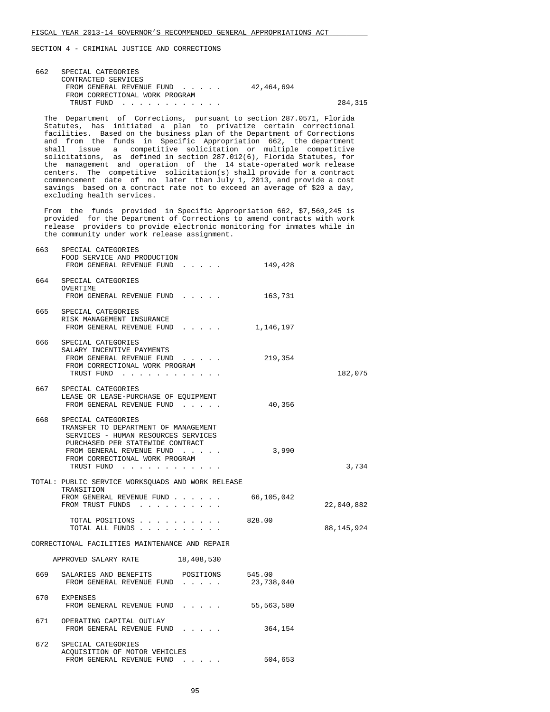| 662 | SPECIAL CATEGORIES<br>CONTRACTED SERVICES<br>42,464,694<br>FROM GENERAL REVENUE FUND<br>FROM CORRECTIONAL WORK PROGRAM<br>TRUST FUND                                                                                                                                                                                                                                                                                                                                                                                                                                                                                                                                                                                                                                   | 284,315    |
|-----|------------------------------------------------------------------------------------------------------------------------------------------------------------------------------------------------------------------------------------------------------------------------------------------------------------------------------------------------------------------------------------------------------------------------------------------------------------------------------------------------------------------------------------------------------------------------------------------------------------------------------------------------------------------------------------------------------------------------------------------------------------------------|------------|
|     | The Department of Corrections, pursuant to section 287.0571, Florida<br>Statutes, has initiated a plan to privatize certain correctional<br>facilities. Based on the business plan of the Department of Corrections<br>and from the funds in Specific Appropriation 662, the department<br>issue a competitive solicitation or multiple competitive<br>shall<br>solicitations, as defined in section 287.012(6), Florida Statutes, for<br>the management and operation of the 14 state-operated work release<br>centers. The competitive solicitation(s) shall provide for a contract<br>commencement date of no later than July 1, 2013, and provide a cost<br>savings based on a contract rate not to exceed an average of \$20 a day,<br>excluding health services. |            |
|     | From the funds provided in Specific Appropriation 662, \$7,560,245 is<br>provided for the Department of Corrections to amend contracts with work<br>release providers to provide electronic monitoring for inmates while in<br>the community under work release assignment.                                                                                                                                                                                                                                                                                                                                                                                                                                                                                            |            |
| 663 | SPECIAL CATEGORIES<br>FOOD SERVICE AND PRODUCTION<br>149,428<br>FROM GENERAL REVENUE FUND                                                                                                                                                                                                                                                                                                                                                                                                                                                                                                                                                                                                                                                                              |            |
|     | 664 SPECIAL CATEGORIES<br>OVERTIME<br>FROM GENERAL REVENUE FUND<br>163,731                                                                                                                                                                                                                                                                                                                                                                                                                                                                                                                                                                                                                                                                                             |            |
| 665 | SPECIAL CATEGORIES<br>RISK MANAGEMENT INSURANCE<br>FROM GENERAL REVENUE FUND 1,146,197                                                                                                                                                                                                                                                                                                                                                                                                                                                                                                                                                                                                                                                                                 |            |
| 666 | SPECIAL CATEGORIES<br>SALARY INCENTIVE PAYMENTS<br>FROM GENERAL REVENUE FUND<br>219,354<br>FROM CORRECTIONAL WORK PROGRAM<br>TRUST FUND                                                                                                                                                                                                                                                                                                                                                                                                                                                                                                                                                                                                                                | 182,075    |
| 667 | SPECIAL CATEGORIES<br>LEASE OR LEASE-PURCHASE OF EQUIPMENT<br>FROM GENERAL REVENUE FUND<br>40,356                                                                                                                                                                                                                                                                                                                                                                                                                                                                                                                                                                                                                                                                      |            |
| 668 | SPECIAL CATEGORIES<br>TRANSFER TO DEPARTMENT OF MANAGEMENT<br>SERVICES - HUMAN RESOURCES SERVICES<br>PURCHASED PER STATEWIDE CONTRACT<br>FROM GENERAL REVENUE FUND<br>3,990<br>FROM CORRECTIONAL WORK PROGRAM<br>TRUST FUND                                                                                                                                                                                                                                                                                                                                                                                                                                                                                                                                            | 3,734      |
|     | TOTAL: PUBLIC SERVICE WORKSQUADS AND WORK RELEASE<br>TRANSITION<br>66,105,042<br>FROM GENERAL REVENUE FUND                                                                                                                                                                                                                                                                                                                                                                                                                                                                                                                                                                                                                                                             |            |
|     | FROM TRUST FUNDS<br>$\mathbf{1} \qquad \mathbf{1} \qquad \mathbf{1} \qquad \mathbf{1} \qquad \mathbf{1} \qquad \mathbf{1} \qquad \mathbf{1} \qquad \mathbf{1} \qquad \mathbf{1} \qquad \mathbf{1} \qquad \mathbf{1} \qquad \mathbf{1} \qquad \mathbf{1} \qquad \mathbf{1} \qquad \mathbf{1} \qquad \mathbf{1} \qquad \mathbf{1} \qquad \mathbf{1} \qquad \mathbf{1} \qquad \mathbf{1} \qquad \mathbf{1} \qquad \mathbf{1} \qquad \mathbf{1} \qquad \mathbf{1} \qquad \mathbf{$                                                                                                                                                                                                                                                                                         | 22,040,882 |
|     | 828.00<br>TOTAL POSITIONS<br>TOTAL ALL FUNDS                                                                                                                                                                                                                                                                                                                                                                                                                                                                                                                                                                                                                                                                                                                           | 88,145,924 |

CORRECTIONAL FACILITIES MAINTENANCE AND REPAIR

|     | APPROVED SALARY RATE                                                             | 18,408,530                                                      |                      |
|-----|----------------------------------------------------------------------------------|-----------------------------------------------------------------|----------------------|
| 669 | SALARIES AND BENEFITS<br>FROM GENERAL REVENUE FUND                               | POSITIONS<br>.                                                  | 545.00<br>23,738,040 |
| 670 | <b>EXPENSES</b><br>FROM GENERAL REVENUE FUND                                     | $\mathbf{1}$ and $\mathbf{1}$ and $\mathbf{1}$ and $\mathbf{1}$ | 55,563,580           |
| 671 | OPERATING CAPITAL OUTLAY<br>FROM GENERAL REVENUE FUND                            | $\cdots$                                                        | 364,154              |
| 672 | SPECIAL CATEGORIES<br>ACOUISITION OF MOTOR VEHICLES<br>FROM GENERAL REVENUE FUND |                                                                 | 504,653              |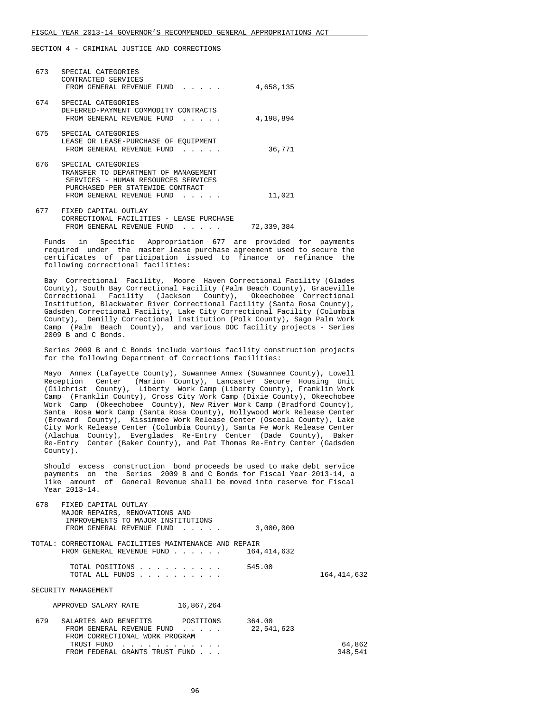SECTION 4 - CRIMINAL JUSTICE AND CORRECTIONS

| 673 | SPECIAL CATEGORIES<br>CONTRACTED SERVICES<br>FROM GENERAL REVENUE FUND<br>$\mathbf{1}$ , $\mathbf{1}$ , $\mathbf{1}$ , $\mathbf{1}$ , $\mathbf{1}$                 | 4,658,135 |
|-----|--------------------------------------------------------------------------------------------------------------------------------------------------------------------|-----------|
| 674 | SPECIAL CATEGORIES<br>DEFERRED-PAYMENT COMMODITY CONTRACTS<br>FROM GENERAL REVENUE FUND                                                                            | 4,198,894 |
| 675 | SPECIAL CATEGORIES<br>LEASE OR LEASE-PURCHASE OF EOUIPMENT<br>FROM GENERAL REVENUE FUND<br>.                                                                       | 36,771    |
| 676 | SPECIAL CATEGORIES<br>TRANSFER TO DEPARTMENT OF MANAGEMENT<br>SERVICES - HUMAN RESOURCES SERVICES<br>PURCHASED PER STATEWIDE CONTRACT<br>FROM GENERAL REVENUE FUND | 11,021    |
| 677 | FIXED CAPITAL OUTLAY<br>CORRECTIONAL FACILITIES - LEASE PURCHASE                                                                                                   |           |

FROM GENERAL REVENUE FUND . . . . . 72,339,384

 Funds in Specific Appropriation 677 are provided for payments required under the master lease purchase agreement used to secure the certificates of participation issued to finance or refinance the following correctional facilities:

 Bay Correctional Facility, Moore Haven Correctional Facility (Glades County), South Bay Correctional Facility (Palm Beach County), Graceville Correctional Facility (Jackson County), Okeechobee Correctional Institution, Blackwater River Correctional Facility (Santa Rosa County), Gadsden Correctional Facility, Lake City Correctional Facility (Columbia County), Demilly Correctional Institution (Polk County), Sago Palm Work Camp (Palm Beach County), and various DOC facility projects - Series 2009 B and C Bonds.

 Series 2009 B and C Bonds include various facility construction projects for the following Department of Corrections facilities:

 Mayo Annex (Lafayette County), Suwannee Annex (Suwannee County), Lowell Reception Center (Marion County), Lancaster Secure Housing Unit (Gilchrist County), Liberty Work Camp (Liberty County), Franklin Work Camp (Franklin County), Cross City Work Camp (Dixie County), Okeechobee Work Camp (Okeechobee County), New River Work Camp (Bradford County), Santa Rosa Work Camp (Santa Rosa County), Hollywood Work Release Center (Broward County), Kissimmee Work Release Center (Osceola County), Lake City Work Release Center (Columbia County), Santa Fe Work Release Center (Alachua County), Everglades Re-Entry Center (Dade County), Baker Re-Entry Center (Baker County), and Pat Thomas Re-Entry Center (Gadsden County).

 Should excess construction bond proceeds be used to make debt service payments on the Series 2009 B and C Bonds for Fiscal Year 2013-14, a like amount of General Revenue shall be moved into reserve for Fiscal Year 2013-14.

| 678 | FIXED CAPITAL OUTLAY                                                                                                                                                                                                                                           |               |             |
|-----|----------------------------------------------------------------------------------------------------------------------------------------------------------------------------------------------------------------------------------------------------------------|---------------|-------------|
|     | MAJOR REPAIRS, RENOVATIONS AND                                                                                                                                                                                                                                 |               |             |
|     | IMPROVEMENTS TO MAJOR INSTITUTIONS                                                                                                                                                                                                                             |               |             |
|     | FROM GENERAL REVENUE FUND<br>$\mathbf{r}$ and $\mathbf{r}$ and $\mathbf{r}$                                                                                                                                                                                    | 3,000,000     |             |
|     | TOTAL: CORRECTIONAL FACILITIES MAINTENANCE AND REPAIR                                                                                                                                                                                                          |               |             |
|     | FROM GENERAL REVENUE FUND<br>$\mathbf{r}$ . The set of the set of the set of the set of the set of the set of the set of the set of the set of the set of the set of the set of the set of the set of the set of the set of the set of the set of the set of t | 164, 414, 632 |             |
|     |                                                                                                                                                                                                                                                                |               |             |
|     | TOTAL POSITIONS                                                                                                                                                                                                                                                | 545.00        |             |
|     | TOTAL ALL FUNDS                                                                                                                                                                                                                                                |               | 164,414,632 |
|     | SECURITY MANAGEMENT                                                                                                                                                                                                                                            |               |             |
|     |                                                                                                                                                                                                                                                                |               |             |
|     | 16,867,264<br>APPROVED SALARY RATE                                                                                                                                                                                                                             |               |             |
|     |                                                                                                                                                                                                                                                                |               |             |
| 679 | SALARIES AND BENEFITS<br>POSITIONS                                                                                                                                                                                                                             | 364.00        |             |
|     | FROM GENERAL REVENUE FUND<br>$\mathbf{r}$ and $\mathbf{r}$ and $\mathbf{r}$                                                                                                                                                                                    | 22,541,623    |             |
|     | FROM CORRECTIONAL WORK PROGRAM                                                                                                                                                                                                                                 |               |             |
|     | TRUST FUND                                                                                                                                                                                                                                                     |               | 64,862      |
|     | FROM FEDERAL GRANTS TRUST FUND                                                                                                                                                                                                                                 |               | 348,541     |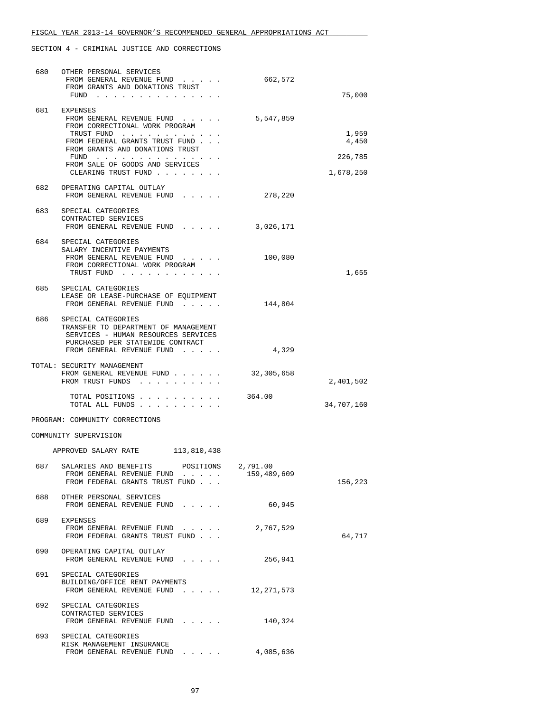| 680 | OTHER PERSONAL SERVICES<br>FROM GENERAL REVENUE FUND<br>FROM GRANTS AND DONATIONS TRUST                                               | 662,572                 |                |
|-----|---------------------------------------------------------------------------------------------------------------------------------------|-------------------------|----------------|
|     | FUND $\cdots$                                                                                                                         |                         | 75,000         |
| 681 | EXPENSES<br>FROM GENERAL REVENUE FUND<br>FROM CORRECTIONAL WORK PROGRAM                                                               | 5,547,859               |                |
|     | TRUST FUND<br>FROM FEDERAL GRANTS TRUST FUND<br>FROM GRANTS AND DONATIONS TRUST                                                       |                         | 1,959<br>4,450 |
|     | FUND<br>the contract of the contract of the contract of<br>FROM SALE OF GOODS AND SERVICES                                            |                         | 226,785        |
|     | CLEARING TRUST FUND                                                                                                                   |                         | 1,678,250      |
| 682 | OPERATING CAPITAL OUTLAY<br>FROM GENERAL REVENUE FUND<br>$\mathbf{r}$ , $\mathbf{r}$ , $\mathbf{r}$ , $\mathbf{r}$ , $\mathbf{r}$     | 278,220                 |                |
| 683 | SPECIAL CATEGORIES<br>CONTRACTED SERVICES<br>FROM GENERAL REVENUE FUND                                                                | 3,026,171               |                |
| 684 | SPECIAL CATEGORIES<br>SALARY INCENTIVE PAYMENTS<br>FROM GENERAL REVENUE FUND                                                          | 100,080                 |                |
|     | FROM CORRECTIONAL WORK PROGRAM<br>TRUST FUND                                                                                          |                         | 1,655          |
| 685 | SPECIAL CATEGORIES<br>LEASE OR LEASE-PURCHASE OF EOUIPMENT<br>FROM GENERAL REVENUE FUND                                               | 144,804                 |                |
| 686 | SPECIAL CATEGORIES<br>TRANSFER TO DEPARTMENT OF MANAGEMENT<br>SERVICES - HUMAN RESOURCES SERVICES<br>PURCHASED PER STATEWIDE CONTRACT |                         |                |
|     | FROM GENERAL REVENUE FUND                                                                                                             | 4,329                   |                |
|     | TOTAL: SECURITY MANAGEMENT<br>FROM GENERAL REVENUE FUND<br>FROM TRUST FUNDS                                                           | 32,305,658              | 2,401,502      |
|     | TOTAL POSITIONS<br>TOTAL ALL FUNDS                                                                                                    | 364.00                  | 34,707,160     |
|     | PROGRAM: COMMUNITY CORRECTIONS                                                                                                        |                         |                |
|     | COMMUNITY SUPERVISION                                                                                                                 |                         |                |
|     | APPROVED SALARY RATE<br>113,810,438                                                                                                   |                         |                |
| 687 | SALARIES AND BENEFITS<br>POSITIONS<br>FROM GENERAL REVENUE FUND<br>FROM FEDERAL GRANTS TRUST FUND                                     | 2,791.00<br>159,489,609 | 156,223        |
| 688 | OTHER PERSONAL SERVICES<br>FROM GENERAL REVENUE FUND                                                                                  | 60,945                  |                |
| 689 | EXPENSES<br>FROM GENERAL REVENUE FUND<br>FROM FEDERAL GRANTS TRUST FUND                                                               | 2,767,529               | 64,717         |
| 690 | OPERATING CAPITAL OUTLAY<br>FROM GENERAL REVENUE FUND                                                                                 | 256,941                 |                |
| 691 | SPECIAL CATEGORIES<br>BUILDING/OFFICE RENT PAYMENTS<br>FROM GENERAL REVENUE FUND                                                      | 12, 271, 573            |                |
| 692 | SPECIAL CATEGORIES<br>CONTRACTED SERVICES<br>FROM GENERAL REVENUE FUND                                                                | 140,324                 |                |
| 693 | SPECIAL CATEGORIES<br>RISK MANAGEMENT INSURANCE<br>FROM GENERAL REVENUE FUND                                                          | 4,085,636               |                |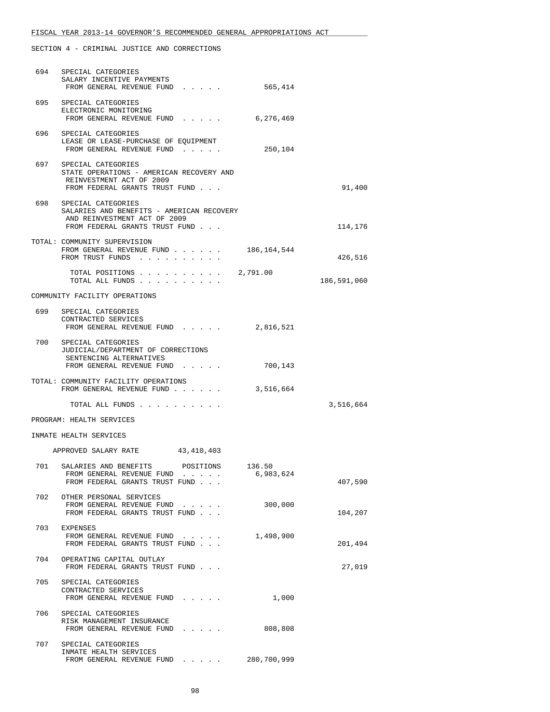SECTION 4 - CRIMINAL JUSTICE AND CORRECTIONS

|     | 694 SPECIAL CATEGORIES<br>SALARY INCENTIVE PAYMENTS<br>FROM GENERAL REVENUE FUND                                                      | 565,414     |             |
|-----|---------------------------------------------------------------------------------------------------------------------------------------|-------------|-------------|
|     | 695 SPECIAL CATEGORIES<br>ELECTRONIC MONITORING<br>FROM GENERAL REVENUE FUND                                                          | 6,276,469   |             |
| 696 | SPECIAL CATEGORIES<br>LEASE OR LEASE-PURCHASE OF EQUIPMENT<br>FROM GENERAL REVENUE FUND                                               | 250,104     |             |
| 697 | SPECIAL CATEGORIES<br>STATE OPERATIONS - AMERICAN RECOVERY AND<br>REINVESTMENT ACT OF 2009<br>FROM FEDERAL GRANTS TRUST FUND          |             | 91,400      |
|     | 698 SPECIAL CATEGORIES<br>SALARIES AND BENEFITS - AMERICAN RECOVERY<br>AND REINVESTMENT ACT OF 2009<br>FROM FEDERAL GRANTS TRUST FUND |             | 114,176     |
|     | TOTAL: COMMUNITY SUPERVISION<br>FROM GENERAL REVENUE FUND<br>FROM TRUST FUNDS                                                         | 186,164,544 | 426,516     |
|     | TOTAL POSITIONS $\ldots$ , $\ldots$ , $\ldots$ , 2,791.00<br>TOTAL ALL FUNDS                                                          |             | 186,591,060 |
|     | COMMUNITY FACILITY OPERATIONS                                                                                                         |             |             |
|     | 699 SPECIAL CATEGORIES<br>CONTRACTED SERVICES<br>FROM GENERAL REVENUE FUND                                                            | 2,816,521   |             |
| 700 | SPECIAL CATEGORIES<br>JUDICIAL/DEPARTMENT OF CORRECTIONS<br>SENTENCING ALTERNATIVES                                                   |             |             |
|     | FROM GENERAL REVENUE FUND<br>TOTAL: COMMUNITY FACILITY OPERATIONS<br>FROM GENERAL REVENUE FUND                                        | 700,143     |             |
|     |                                                                                                                                       | 3,516,664   |             |
|     | TOTAL ALL FUNDS                                                                                                                       |             | 3,516,664   |
|     | PROGRAM: HEALTH SERVICES                                                                                                              |             |             |
|     | INMATE HEALTH SERVICES                                                                                                                |             |             |
|     | 43,410,403<br>APPROVED SALARY RATE                                                                                                    |             |             |
|     | 701 SALARIES AND BENEFITS<br>POSITIONS 136.50<br>FROM GENERAL REVENUE FUND<br>FROM FEDERAL GRANTS TRUST FUND                          | 6,983,624   | 407,590     |
| 702 | OTHER PERSONAL SERVICES<br>FROM GENERAL REVENUE FUND<br>FROM FEDERAL GRANTS TRUST FUND                                                | 300,000     | 104,207     |
| 703 | EXPENSES<br>FROM GENERAL REVENUE FUND<br>FROM FEDERAL GRANTS TRUST FUND                                                               | 1,498,900   | 201,494     |
| 704 | OPERATING CAPITAL OUTLAY<br>FROM FEDERAL GRANTS TRUST FUND                                                                            |             | 27,019      |
| 705 | SPECIAL CATEGORIES<br>CONTRACTED SERVICES<br>FROM GENERAL REVENUE FUND                                                                | 1,000       |             |
| 706 | SPECIAL CATEGORIES<br>RISK MANAGEMENT INSURANCE<br>FROM GENERAL REVENUE FUND                                                          | 808,808     |             |
| 707 | SPECIAL CATEGORIES<br>INMATE HEALTH SERVICES<br>FROM GENERAL REVENUE FUND                                                             | 280,700,999 |             |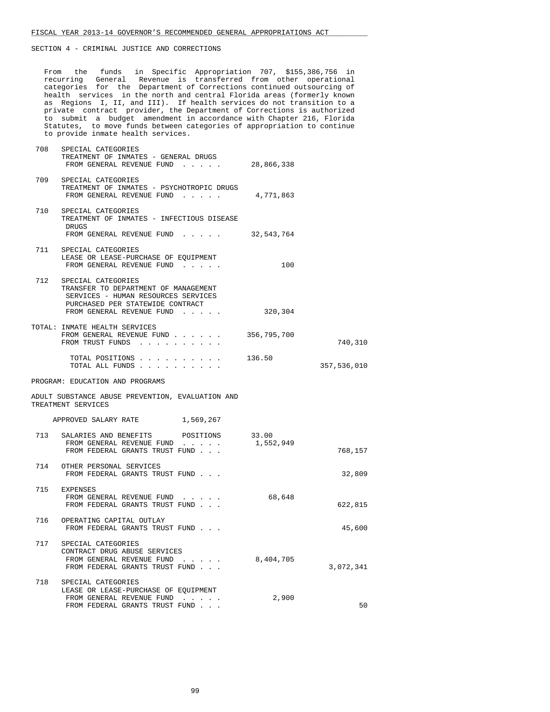From the funds in Specific Appropriation 707, \$155,386,756 in recurring General Revenue is transferred from other operational categories for the Department of Corrections continued outsourcing of health services in the north and central Florida areas (formerly known as Regions I, II, and III). If health services do not transition to a private contract provider, the Department of Corrections is authorized to submit a budget amendment in accordance with Chapter 216, Florida Statutes, to move funds between categories of appropriation to continue to provide inmate health services.

| 708 | SPECIAL CATEGORIES<br>TREATMENT OF INMATES - GENERAL DRUGS<br>FROM GENERAL REVENUE FUND                                                                            | 28,866,338         |             |
|-----|--------------------------------------------------------------------------------------------------------------------------------------------------------------------|--------------------|-------------|
| 709 | SPECIAL CATEGORIES<br>TREATMENT OF INMATES - PSYCHOTROPIC DRUGS<br>FROM GENERAL REVENUE FUND                                                                       | 4,771,863          |             |
| 710 | SPECIAL CATEGORIES<br>TREATMENT OF INMATES - INFECTIOUS DISEASE<br>DRUGS<br>FROM GENERAL REVENUE FUND 32,543,764                                                   |                    |             |
|     | 711 SPECIAL CATEGORIES<br>LEASE OR LEASE-PURCHASE OF EQUIPMENT<br>FROM GENERAL REVENUE FUND                                                                        | 100                |             |
| 712 | SPECIAL CATEGORIES<br>TRANSFER TO DEPARTMENT OF MANAGEMENT<br>SERVICES - HUMAN RESOURCES SERVICES<br>PURCHASED PER STATEWIDE CONTRACT<br>FROM GENERAL REVENUE FUND | 320,304            |             |
|     | TOTAL: INMATE HEALTH SERVICES<br>FROM GENERAL REVENUE FUND<br>FROM TRUST FUNDS                                                                                     | 356,795,700        | 740,310     |
|     | TOTAL POSITIONS $\ldots$ , $\ldots$ , $\ldots$ , 136.50<br>TOTAL ALL FUNDS                                                                                         |                    | 357,536,010 |
|     | PROGRAM: EDUCATION AND PROGRAMS                                                                                                                                    |                    |             |
|     | ADULT SUBSTANCE ABUSE PREVENTION, EVALUATION AND<br>TREATMENT SERVICES                                                                                             |                    |             |
|     | APPROVED SALARY RATE 1,569,267                                                                                                                                     |                    |             |
|     | 713 SALARIES AND BENEFITS<br>POSITIONS<br>FROM GENERAL REVENUE FUND<br>FROM FEDERAL GRANTS TRUST FUND                                                              | 33.00<br>1,552,949 | 768,157     |
|     | 714 OTHER PERSONAL SERVICES<br>FROM FEDERAL GRANTS TRUST FUND                                                                                                      |                    | 32,809      |
|     | 715 EXPENSES<br>FROM GENERAL REVENUE FUND<br>FROM FEDERAL GRANTS TRUST FUND                                                                                        | 68,648             | 622,815     |
|     | 716 OPERATING CAPITAL OUTLAY<br>FROM FEDERAL GRANTS TRUST FUND                                                                                                     |                    | 45,600      |
|     | 717 SPECIAL CATEGORIES<br>CONTRACT DRUG ABUSE SERVICES<br>FROM GENERAL REVENUE FUND<br>FROM FEDERAL GRANTS TRUST FUND                                              | 8,404,705          | 3,072,341   |
| 718 | SPECIAL CATEGORIES<br>LEASE OR LEASE-PURCHASE OF EOUIPMENT<br>FROM GENERAL REVENUE FUND<br>FROM FEDERAL GRANTS TRUST FUND                                          | 2,900              | 50          |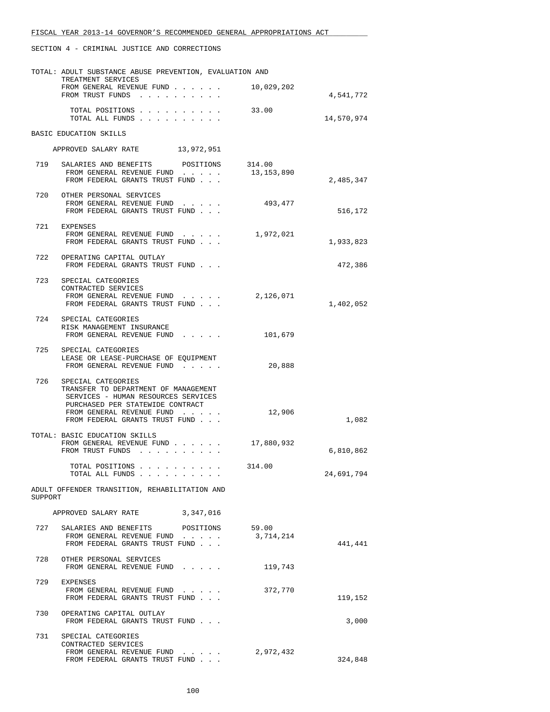|         | TOTAL: ADULT SUBSTANCE ABUSE PREVENTION, EVALUATION AND                     |            |            |
|---------|-----------------------------------------------------------------------------|------------|------------|
|         | TREATMENT SERVICES<br>FROM GENERAL REVENUE FUND                             | 10,029,202 |            |
|         | FROM TRUST FUNDS                                                            |            | 4,541,772  |
|         | TOTAL POSITIONS                                                             | 33.00      |            |
|         | TOTAL ALL FUNDS                                                             |            | 14,570,974 |
|         | BASIC EDUCATION SKILLS                                                      |            |            |
|         | APPROVED SALARY RATE 13,972,951                                             |            |            |
|         |                                                                             |            |            |
|         | 719 SALARIES AND BENEFITS POSITIONS                                         | 314.00     |            |
|         | FROM GENERAL REVENUE FUND<br>FROM FEDERAL GRANTS TRUST FUND                 | 13,153,890 | 2,485,347  |
|         | 720 OTHER PERSONAL SERVICES                                                 |            |            |
|         | FROM GENERAL REVENUE FUND                                                   | 493,477    |            |
|         | FROM FEDERAL GRANTS TRUST FUND                                              |            | 516,172    |
|         | 721 EXPENSES                                                                |            |            |
|         | FROM GENERAL REVENUE FUND                                                   | 1,972,021  |            |
|         | FROM FEDERAL GRANTS TRUST FUND                                              |            | 1,933,823  |
| 722     | OPERATING CAPITAL OUTLAY                                                    |            |            |
|         | FROM FEDERAL GRANTS TRUST FUND                                              |            | 472,386    |
|         | 723 SPECIAL CATEGORIES                                                      |            |            |
|         | CONTRACTED SERVICES<br>FROM GENERAL REVENUE FUND $\ldots$ 2, 126, 071       |            |            |
|         | FROM FEDERAL GRANTS TRUST FUND                                              |            | 1,402,052  |
|         | 724 SPECIAL CATEGORIES                                                      |            |            |
|         | RISK MANAGEMENT INSURANCE                                                   |            |            |
|         | FROM GENERAL REVENUE FUND                                                   | 101,679    |            |
|         | 725 SPECIAL CATEGORIES                                                      |            |            |
|         | LEASE OR LEASE-PURCHASE OF EQUIPMENT                                        |            |            |
|         | FROM GENERAL REVENUE FUND                                                   | 20,888     |            |
| 726     | SPECIAL CATEGORIES                                                          |            |            |
|         | TRANSFER TO DEPARTMENT OF MANAGEMENT<br>SERVICES - HUMAN RESOURCES SERVICES |            |            |
|         | PURCHASED PER STATEWIDE CONTRACT                                            |            |            |
|         | FROM GENERAL REVENUE FUND<br>FROM FEDERAL GRANTS TRUST FUND                 | 12,906     | 1,082      |
|         |                                                                             |            |            |
|         | TOTAL: BASIC EDUCATION SKILLS<br>FROM GENERAL REVENUE FUND                  | 17,880,932 |            |
|         | FROM TRUST FUNDS                                                            |            | 6,810,862  |
|         | TOTAL POSITIONS                                                             | 314.00     |            |
|         | TOTAL ALL FUNDS                                                             |            | 24,691,794 |
|         | ADULT OFFENDER TRANSITION, REHABILITATION AND                               |            |            |
| SUPPORT |                                                                             |            |            |
|         | APPROVED SALARY RATE<br>3,347,016                                           |            |            |
|         |                                                                             |            |            |
|         | 727 SALARIES AND BENEFITS POSITIONS 59.00<br>FROM GENERAL REVENUE FUND      | 3,714,214  |            |
|         | FROM FEDERAL GRANTS TRUST FUND                                              |            | 441,441    |
| 728     | OTHER PERSONAL SERVICES                                                     |            |            |
|         | FROM GENERAL REVENUE FUND                                                   | 119,743    |            |
| 729     |                                                                             |            |            |
|         | EXPENSES<br>FROM GENERAL REVENUE FUND                                       | 372,770    |            |
|         | FROM FEDERAL GRANTS TRUST FUND                                              |            | 119,152    |
| 730     | OPERATING CAPITAL OUTLAY                                                    |            |            |
|         | FROM FEDERAL GRANTS TRUST FUND                                              |            | 3,000      |
| 731     | SPECIAL CATEGORIES                                                          |            |            |
|         | CONTRACTED SERVICES                                                         |            |            |
|         | FROM GENERAL REVENUE FUND<br>FROM FEDERAL GRANTS TRUST FUND                 | 2,972,432  | 324,848    |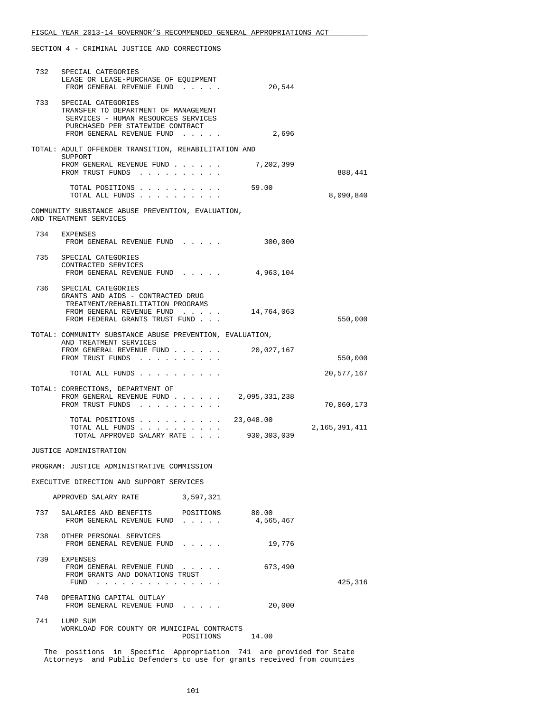| 732 | SPECIAL CATEGORIES<br>LEASE OR LEASE-PURCHASE OF EOUIPMENT<br>FROM GENERAL REVENUE FUND                                                                            | 20,544             |               |
|-----|--------------------------------------------------------------------------------------------------------------------------------------------------------------------|--------------------|---------------|
| 733 | SPECIAL CATEGORIES<br>TRANSFER TO DEPARTMENT OF MANAGEMENT<br>SERVICES - HUMAN RESOURCES SERVICES<br>PURCHASED PER STATEWIDE CONTRACT<br>FROM GENERAL REVENUE FUND | 2,696              |               |
|     |                                                                                                                                                                    |                    |               |
|     | TOTAL: ADULT OFFENDER TRANSITION, REHABILITATION AND<br>SUPPORT                                                                                                    |                    |               |
|     | FROM GENERAL REVENUE FUND<br>FROM TRUST FUNDS                                                                                                                      | 7,202,399          | 888,441       |
|     | TOTAL POSITIONS 59.00<br>TOTAL ALL FUNDS                                                                                                                           |                    | 8,090,840     |
|     | COMMUNITY SUBSTANCE ABUSE PREVENTION, EVALUATION,<br>AND TREATMENT SERVICES                                                                                        |                    |               |
| 734 | EXPENSES                                                                                                                                                           |                    |               |
|     | FROM GENERAL REVENUE FUND                                                                                                                                          | 300,000            |               |
|     | 735 SPECIAL CATEGORIES<br>CONTRACTED SERVICES                                                                                                                      |                    |               |
|     | FROM GENERAL REVENUE FUND                                                                                                                                          | 4,963,104          |               |
|     | 736 SPECIAL CATEGORIES<br>GRANTS AND AIDS - CONTRACTED DRUG                                                                                                        |                    |               |
|     | TREATMENT/REHABILITATION PROGRAMS<br>FROM GENERAL REVENUE FUND                                                                                                     | 14,764,063         |               |
|     | FROM FEDERAL GRANTS TRUST FUND                                                                                                                                     |                    | 550,000       |
|     | TOTAL: COMMUNITY SUBSTANCE ABUSE PREVENTION, EVALUATION,                                                                                                           |                    |               |
|     | AND TREATMENT SERVICES<br>FROM GENERAL REVENUE FUND                                                                                                                | 20,027,167         |               |
|     | FROM TRUST FUNDS                                                                                                                                                   |                    | 550,000       |
|     | TOTAL ALL FUNDS                                                                                                                                                    |                    | 20,577,167    |
|     | TOTAL: CORRECTIONS, DEPARTMENT OF<br>FROM GENERAL REVENUE FUND<br>FROM TRUST FUNDS                                                                                 | 2,095,331,238      | 70,060,173    |
|     | TOTAL POSITIONS 23,048.00                                                                                                                                          |                    |               |
|     | TOTAL ALL FUNDS<br>TOTAL APPROVED SALARY RATE                                                                                                                      | 930,303,039        | 2,165,391,411 |
|     | JUSTICE ADMINISTRATION                                                                                                                                             |                    |               |
|     | PROGRAM: JUSTICE ADMINISTRATIVE COMMISSION                                                                                                                         |                    |               |
|     | EXECUTIVE DIRECTION AND SUPPORT SERVICES                                                                                                                           |                    |               |
|     | APPROVED SALARY RATE 3,597,321                                                                                                                                     |                    |               |
| 737 | SALARIES AND BENEFITS POSITIONS<br>FROM GENERAL REVENUE FUND                                                                                                       | 80.00<br>4,565,467 |               |
|     | 738 OTHER PERSONAL SERVICES                                                                                                                                        |                    |               |
|     | FROM GENERAL REVENUE FUND                                                                                                                                          | 19,776             |               |
|     | 739 EXPENSES<br>FROM GENERAL REVENUE FUND<br>FROM GRANTS AND DONATIONS TRUST                                                                                       | 673,490            |               |
|     | $FUND$                                                                                                                                                             |                    | 425,316       |
| 740 | OPERATING CAPITAL OUTLAY<br>FROM GENERAL REVENUE FUND                                                                                                              | 20,000             |               |
|     | 741 LUMP SUM<br>WORKLOAD FOR COUNTY OR MUNICIPAL CONTRACTS<br>POSITIONS 14.00                                                                                      |                    |               |
|     | The positions in Specific Appropriation 741 are provided for State                                                                                                 |                    |               |

Attorneys and Public Defenders to use for grants received from counties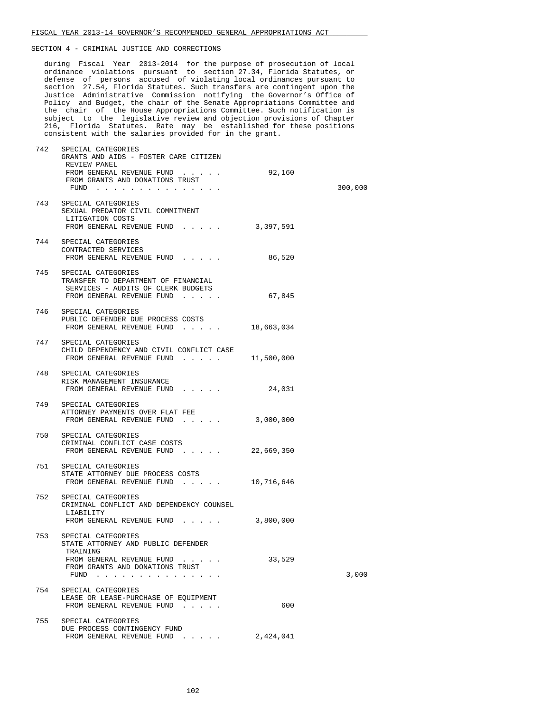during Fiscal Year 2013-2014 for the purpose of prosecution of local ordinance violations pursuant to section 27.34, Florida Statutes, or defense of persons accused of violating local ordinances pursuant to section 27.54, Florida Statutes. Such transfers are contingent upon the Justice Administrative Commission notifying the Governor's Office of Policy and Budget, the chair of the Senate Appropriations Committee and the chair of the House Appropriations Committee. Such notification is subject to the legislative review and objection provisions of Chapter 216, Florida Statutes. Rate may be established for these positions consistent with the salaries provided for in the grant.

| 742 | SPECIAL CATEGORIES<br>GRANTS AND AIDS - FOSTER CARE CITIZEN<br>REVIEW PANEL<br>FROM GENERAL REVENUE FUND<br>FROM GRANTS AND DONATIONS TRUST<br>FUND | 92,160     | 300,000 |
|-----|-----------------------------------------------------------------------------------------------------------------------------------------------------|------------|---------|
|     | 743 SPECIAL CATEGORIES<br>SEXUAL PREDATOR CIVIL COMMITMENT<br>LITIGATION COSTS<br>FROM GENERAL REVENUE FUND 3,397,591                               |            |         |
|     | 744 SPECIAL CATEGORIES<br>CONTRACTED SERVICES<br>FROM GENERAL REVENUE FUND                                                                          | 86,520     |         |
|     | 745 SPECIAL CATEGORIES<br>TRANSFER TO DEPARTMENT OF FINANCIAL<br>SERVICES - AUDITS OF CLERK BUDGETS<br>FROM GENERAL REVENUE FUND                    | 67,845     |         |
|     | 746 SPECIAL CATEGORIES<br>PUBLIC DEFENDER DUE PROCESS COSTS<br>FROM GENERAL REVENUE FUND 18,663,034                                                 |            |         |
|     | 747 SPECIAL CATEGORIES<br>CHILD DEPENDENCY AND CIVIL CONFLICT CASE<br>FROM GENERAL REVENUE FUND                                                     | 11,500,000 |         |
|     | 748 SPECIAL CATEGORIES<br>RISK MANAGEMENT INSURANCE<br>FROM GENERAL REVENUE FUND                                                                    | 24,031     |         |
|     | 749 SPECIAL CATEGORIES<br>ATTORNEY PAYMENTS OVER FLAT FEE<br>FROM GENERAL REVENUE FUND                                                              | 3,000,000  |         |
|     | 750 SPECIAL CATEGORIES<br>CRIMINAL CONFLICT CASE COSTS<br>FROM GENERAL REVENUE FUND 22,669,350                                                      |            |         |
|     | 751 SPECIAL CATEGORIES<br>STATE ATTORNEY DUE PROCESS COSTS<br>FROM GENERAL REVENUE FUND                                                             | 10,716,646 |         |
|     | 752 SPECIAL CATEGORIES<br>CRIMINAL CONFLICT AND DEPENDENCY COUNSEL<br>LIABILITY                                                                     |            |         |
| 753 | FROM GENERAL REVENUE FUND<br>SPECIAL CATEGORIES                                                                                                     | 3,800,000  |         |
|     | STATE ATTORNEY AND PUBLIC DEFENDER<br>TRAINING<br>FROM GENERAL REVENUE FUND<br>FROM GRANTS AND DONATIONS TRUST<br>FUND $\cdots$                     | 33,529     | 3,000   |
| 754 | SPECIAL CATEGORIES<br>LEASE OR LEASE-PURCHASE OF EQUIPMENT<br>FROM GENERAL REVENUE FUND                                                             | 600        |         |
| 755 | SPECIAL CATEGORIES<br>DUE PROCESS CONTINGENCY FUND<br>FROM GENERAL REVENUE FUND                                                                     | 2,424,041  |         |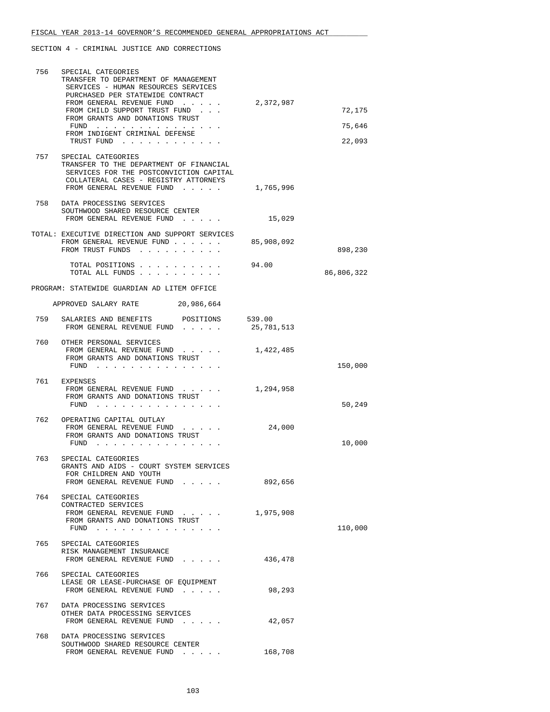| 756 | SPECIAL CATEGORIES<br>TRANSFER TO DEPARTMENT OF MANAGEMENT<br>SERVICES - HUMAN RESOURCES SERVICES<br>PURCHASED PER STATEWIDE CONTRACT                                          |                      |            |
|-----|--------------------------------------------------------------------------------------------------------------------------------------------------------------------------------|----------------------|------------|
|     | FROM GENERAL REVENUE FUND<br>FROM CHILD SUPPORT TRUST FUND                                                                                                                     | 2,372,987            | 72,175     |
|     | FROM GRANTS AND DONATIONS TRUST<br>FUND $\cdots$                                                                                                                               |                      | 75,646     |
|     | FROM INDIGENT CRIMINAL DEFENSE<br>TRUST FUND                                                                                                                                   |                      | 22,093     |
| 757 | SPECIAL CATEGORIES<br>TRANSFER TO THE DEPARTMENT OF FINANCIAL<br>SERVICES FOR THE POSTCONVICTION CAPITAL<br>COLLATERAL CASES - REGISTRY ATTORNEYS<br>FROM GENERAL REVENUE FUND | 1,765,996            |            |
|     | 758 DATA PROCESSING SERVICES<br>SOUTHWOOD SHARED RESOURCE CENTER<br>FROM GENERAL REVENUE FUND 15,029                                                                           |                      |            |
|     | TOTAL: EXECUTIVE DIRECTION AND SUPPORT SERVICES<br>FROM GENERAL REVENUE FUND 85,908,092<br>FROM TRUST FUNDS                                                                    |                      | 898,230    |
|     | TOTAL POSITIONS<br>TOTAL ALL FUNDS                                                                                                                                             | 94.00                | 86,806,322 |
|     | PROGRAM: STATEWIDE GUARDIAN AD LITEM OFFICE                                                                                                                                    |                      |            |
|     | APPROVED SALARY RATE 20,986,664                                                                                                                                                |                      |            |
| 759 | SALARIES AND BENEFITS<br>POSITIONS<br>FROM GENERAL REVENUE FUND                                                                                                                | 539.00<br>25,781,513 |            |
|     | 760 OTHER PERSONAL SERVICES<br>FROM GENERAL REVENUE FUND<br>FROM GRANTS AND DONATIONS TRUST<br>FUND                                                                            | 1,422,485            | 150,000    |
|     | 761 EXPENSES<br>FROM GENERAL REVENUE FUND<br>FROM GRANTS AND DONATIONS TRUST<br>FUND                                                                                           | 1,294,958            | 50,249     |
|     | 762 OPERATING CAPITAL OUTLAY<br>FROM GENERAL REVENUE FUND<br>FROM GRANTS AND DONATIONS TRUST<br>$FUND$                                                                         | 24,000               | 10,000     |
| 763 | SPECIAL CATEGORIES<br>GRANTS AND AIDS - COURT SYSTEM SERVICES<br>FOR CHILDREN AND YOUTH<br>FROM GENERAL REVENUE FUND                                                           | 892,656              |            |
| 764 | SPECIAL CATEGORIES<br>CONTRACTED SERVICES<br>FROM GENERAL REVENUE FUND<br>FROM GRANTS AND DONATIONS TRUST<br>FUND                                                              | 1,975,908            | 110,000    |
| 765 | SPECIAL CATEGORIES<br>RISK MANAGEMENT INSURANCE<br>FROM GENERAL REVENUE FUND                                                                                                   | 436,478              |            |
| 766 | SPECIAL CATEGORIES<br>LEASE OR LEASE-PURCHASE OF EQUIPMENT<br>FROM GENERAL REVENUE FUND                                                                                        | 98,293               |            |
| 767 | DATA PROCESSING SERVICES<br>OTHER DATA PROCESSING SERVICES<br>FROM GENERAL REVENUE FUND                                                                                        | 42,057               |            |
| 768 | DATA PROCESSING SERVICES<br>SOUTHWOOD SHARED RESOURCE CENTER<br>FROM GENERAL REVENUE FUND                                                                                      | 168,708              |            |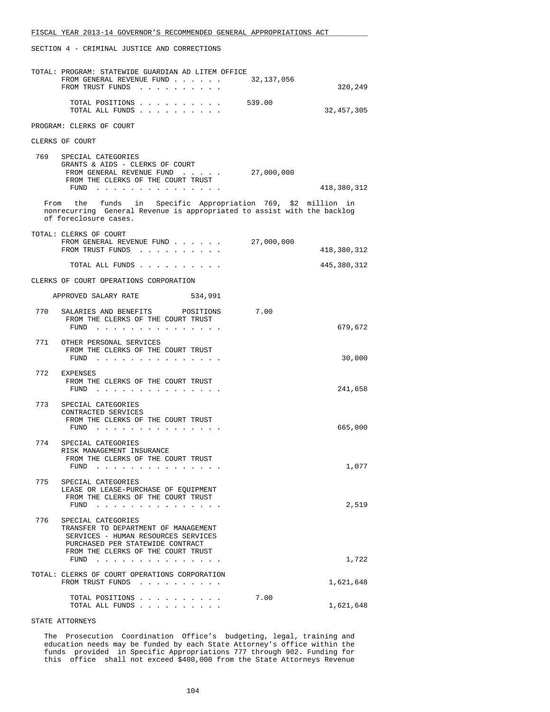|     | TOTAL: PROGRAM: STATEWIDE GUARDIAN AD LITEM OFFICE<br>FROM GENERAL REVENUE FUND<br>FROM TRUST FUNDS                                                                                                                                                                                     | 32,137,056 | 320,249     |
|-----|-----------------------------------------------------------------------------------------------------------------------------------------------------------------------------------------------------------------------------------------------------------------------------------------|------------|-------------|
|     | TOTAL POSITIONS<br>TOTAL ALL FUNDS                                                                                                                                                                                                                                                      | 539.00     | 32,457,305  |
|     | PROGRAM: CLERKS OF COURT                                                                                                                                                                                                                                                                |            |             |
|     | CLERKS OF COURT                                                                                                                                                                                                                                                                         |            |             |
| 769 | SPECIAL CATEGORIES<br>GRANTS & AIDS - CLERKS OF COURT<br>FROM GENERAL REVENUE FUND<br>FROM THE CLERKS OF THE COURT TRUST<br>FUND $\cdots$                                                                                                                                               | 27,000,000 | 418,380,312 |
|     | From the funds in Specific Appropriation 769, \$2 million in<br>nonrecurring General Revenue is appropriated to assist with the backlog<br>of foreclosure cases.                                                                                                                        |            |             |
|     | TOTAL: CLERKS OF COURT<br>FROM GENERAL REVENUE FUND<br>FROM TRUST FUNDS                                                                                                                                                                                                                 | 27,000,000 | 418,380,312 |
|     | TOTAL ALL FUNDS                                                                                                                                                                                                                                                                         |            | 445,380,312 |
|     | CLERKS OF COURT OPERATIONS CORPORATION                                                                                                                                                                                                                                                  |            |             |
|     | APPROVED SALARY RATE<br>534,991                                                                                                                                                                                                                                                         |            |             |
| 770 | SALARIES AND BENEFITS POSITIONS<br>FROM THE CLERKS OF THE COURT TRUST<br>FUND<br>.                                                                                                                                                                                                      | 7.00       | 679,672     |
|     | 771 OTHER PERSONAL SERVICES<br>FROM THE CLERKS OF THE COURT TRUST<br>$FUND$                                                                                                                                                                                                             |            | 30,000      |
| 772 | EXPENSES<br>FROM THE CLERKS OF THE COURT TRUST<br>FUND<br>. The contract of the contract of the contract of the contract of the contract of the contract of the contract of the contract of the contract of the contract of the contract of the contract of the contract of the contrac |            | 241,658     |
| 773 | SPECIAL CATEGORIES<br>CONTRACTED SERVICES<br>FROM THE CLERKS OF THE COURT TRUST<br>$FUND$                                                                                                                                                                                               |            | 665,000     |
| 774 | SPECIAL CATEGORIES<br>RISK MANAGEMENT INSURANCE<br>FROM THE CLERKS OF THE COURT TRUST<br>FUND                                                                                                                                                                                           |            | 1,077       |
| 775 | SPECIAL CATEGORIES<br>LEASE OR LEASE-PURCHASE OF EQUIPMENT<br>FROM THE CLERKS OF THE COURT TRUST<br>FUND $\ldots$ $\ldots$ $\ldots$ $\ldots$ $\ldots$ $\ldots$                                                                                                                          |            | 2,519       |
| 776 | SPECIAL CATEGORIES<br>TRANSFER TO DEPARTMENT OF MANAGEMENT<br>SERVICES - HUMAN RESOURCES SERVICES<br>PURCHASED PER STATEWIDE CONTRACT<br>FROM THE CLERKS OF THE COURT TRUST<br>FUND $\ldots$ $\ldots$ $\ldots$ $\ldots$ $\ldots$ $\ldots$                                               |            | 1,722       |
|     | TOTAL: CLERKS OF COURT OPERATIONS CORPORATION                                                                                                                                                                                                                                           |            |             |
|     | FROM TRUST FUNDS                                                                                                                                                                                                                                                                        |            | 1,621,648   |
|     | TOTAL POSITIONS<br>TOTAL ALL FUNDS                                                                                                                                                                                                                                                      | 7.00       | 1,621,648   |

### STATE ATTORNEYS

 The Prosecution Coordination Office's budgeting, legal, training and education needs may be funded by each State Attorney's office within the funds provided in Specific Appropriations 777 through 902. Funding for this office shall not exceed \$400,000 from the State Attorneys Revenue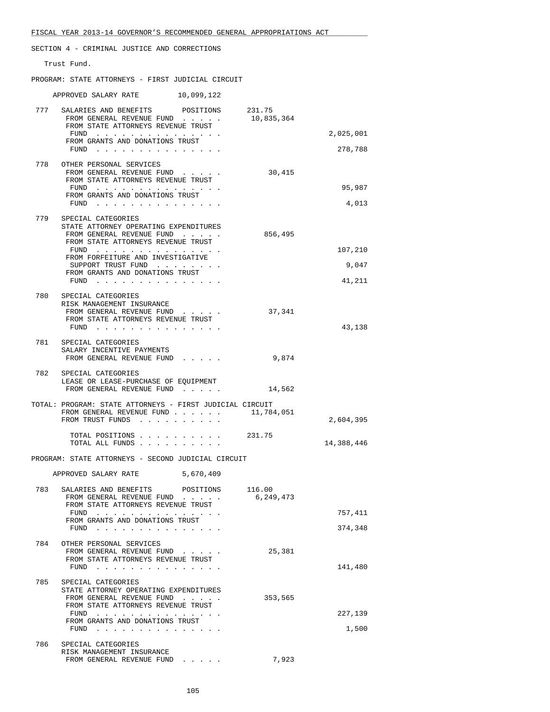|     | SECTION 4 - CRIMINAL JUSTICE AND CORRECTIONS                                                                                                             |                     |            |
|-----|----------------------------------------------------------------------------------------------------------------------------------------------------------|---------------------|------------|
|     | Trust Fund.                                                                                                                                              |                     |            |
|     | PROGRAM: STATE ATTORNEYS - FIRST JUDICIAL CIRCUIT                                                                                                        |                     |            |
|     | APPROVED SALARY RATE 10,099,122                                                                                                                          |                     |            |
|     | 777 SALARIES AND BENEFITS POSITIONS 231.75<br>FROM GENERAL REVENUE FUND<br>FROM STATE ATTORNEYS REVENUE TRUST<br>FUND<br>FROM GRANTS AND DONATIONS TRUST | 10,835,364          | 2,025,001  |
|     | FUND $\cdots$                                                                                                                                            |                     | 278,788    |
|     | 778 OTHER PERSONAL SERVICES<br>FROM GENERAL REVENUE FUND<br>FROM STATE ATTORNEYS REVENUE TRUST<br>FUND $\cdots$                                          | 30,415              | 95,987     |
|     | FROM GRANTS AND DONATIONS TRUST<br>FUND $\cdots$                                                                                                         |                     | 4,013      |
|     | 779 SPECIAL CATEGORIES                                                                                                                                   |                     |            |
|     | STATE ATTORNEY OPERATING EXPENDITURES<br>FROM GENERAL REVENUE FUND<br>FROM STATE ATTORNEYS REVENUE TRUST                                                 | 856,495             |            |
|     | FROM FORFEITURE AND INVESTIGATIVE                                                                                                                        |                     | 107,210    |
|     | SUPPORT TRUST FUND<br>FROM GRANTS AND DONATIONS TRUST                                                                                                    |                     | 9,047      |
|     | FUND $\cdots$                                                                                                                                            |                     | 41,211     |
| 780 | SPECIAL CATEGORIES<br>RISK MANAGEMENT INSURANCE<br>FROM GENERAL REVENUE FUND<br>FROM STATE ATTORNEYS REVENUE TRUST<br>FUND                               | 37,341              | 43,138     |
|     | 781 SPECIAL CATEGORIES<br>SALARY INCENTIVE PAYMENTS<br>FROM GENERAL REVENUE FUND                                                                         | 9,874               |            |
| 782 | SPECIAL CATEGORIES<br>LEASE OR LEASE-PURCHASE OF EOUIPMENT<br>FROM GENERAL REVENUE FUND                                                                  | 14,562              |            |
|     | TOTAL: PROGRAM: STATE ATTORNEYS - FIRST JUDICIAL CIRCUIT                                                                                                 |                     |            |
|     | FROM GENERAL REVENUE FUND 11,784,051<br>FROM TRUST FUNDS                                                                                                 |                     | 2,604,395  |
|     | TOTAL POSITIONS<br>TOTAL ALL FUNDS                                                                                                                       | 231.75              | 14,388,446 |
|     | PROGRAM: STATE ATTORNEYS - SECOND JUDICIAL CIRCUIT                                                                                                       |                     |            |
|     | APPROVED SALARY RATE<br>5,670,409                                                                                                                        |                     |            |
| 783 | SALARIES AND BENEFITS<br>POSITIONS<br>FROM GENERAL REVENUE FUND<br>FROM STATE ATTORNEYS REVENUE TRUST                                                    | 116.00<br>6,249,473 |            |
|     | FUND<br>FROM GRANTS AND DONATIONS TRUST                                                                                                                  |                     | 757,411    |
|     | FUND                                                                                                                                                     |                     | 374,348    |
| 784 | OTHER PERSONAL SERVICES<br>FROM GENERAL REVENUE FUND<br>FROM STATE ATTORNEYS REVENUE TRUST                                                               | 25,381              |            |

|     | FUND                                                            |         | 141,480 |
|-----|-----------------------------------------------------------------|---------|---------|
| 785 | SPECIAL CATEGORIES                                              |         |         |
|     | STATE ATTORNEY OPERATING EXPENDITURES                           |         |         |
|     | FROM GENERAL REVENUE FUND<br>$\sim$ $\sim$ $\sim$ $\sim$ $\sim$ | 353,565 |         |
|     | FROM STATE ATTORNEYS REVENUE TRUST                              |         |         |
|     | FUND                                                            |         | 227,139 |
|     | FROM GRANTS AND DONATIONS TRUST                                 |         |         |
|     | FUND                                                            |         | 1,500   |
| 786 | SPECIAL CATEGORIES                                              |         |         |
|     | RISK MANAGEMENT INSURANCE                                       |         |         |
|     | FROM GENERAL REVENUE FUND                                       | 7,923   |         |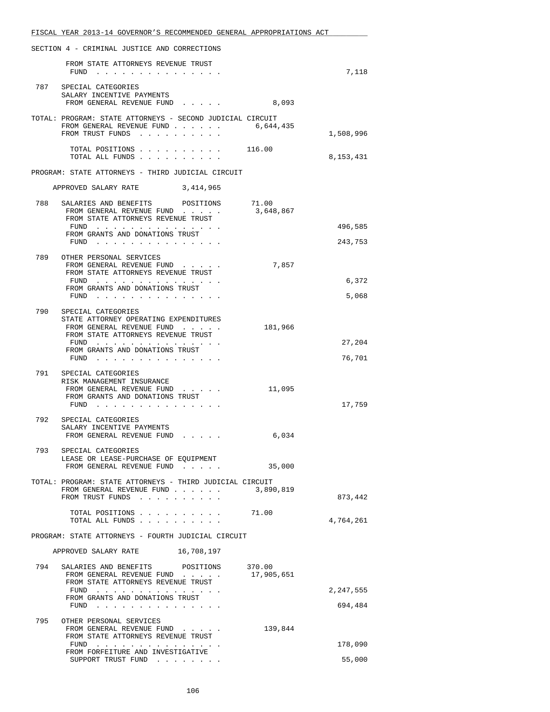|     | FISCAL YEAR 2013-14 GOVERNOR'S RECOMMENDED GENERAL APPROPRIATIONS ACT                                                   |                    |                    |
|-----|-------------------------------------------------------------------------------------------------------------------------|--------------------|--------------------|
|     | SECTION 4 - CRIMINAL JUSTICE AND CORRECTIONS                                                                            |                    |                    |
|     | FROM STATE ATTORNEYS REVENUE TRUST<br>$FUND$                                                                            |                    | 7,118              |
|     | 787 SPECIAL CATEGORIES<br>SALARY INCENTIVE PAYMENTS<br>FROM GENERAL REVENUE FUND                                        | 8,093              |                    |
|     | TOTAL: PROGRAM: STATE ATTORNEYS - SECOND JUDICIAL CIRCUIT<br>FROM GENERAL REVENUE FUND<br>FROM TRUST FUNDS              | 6,644,435          | 1,508,996          |
|     | TOTAL POSITIONS 116.00<br>TOTAL ALL FUNDS                                                                               |                    | 8,153,431          |
|     | PROGRAM: STATE ATTORNEYS - THIRD JUDICIAL CIRCUIT                                                                       |                    |                    |
|     | APPROVED SALARY RATE 3,414,965                                                                                          |                    |                    |
| 788 | SALARIES AND BENEFITS POSITIONS<br>FROM GENERAL REVENUE FUND<br>FROM STATE ATTORNEYS REVENUE TRUST                      | 71.00<br>3,648,867 |                    |
|     | FUND<br>FROM GRANTS AND DONATIONS TRUST<br>FUND $\cdots$                                                                |                    | 496,585<br>243,753 |
| 789 | OTHER PERSONAL SERVICES<br>FROM GENERAL REVENUE FUND<br>FROM STATE ATTORNEYS REVENUE TRUST                              | 7,857              |                    |
|     | FUND<br>FROM GRANTS AND DONATIONS TRUST<br>FUND                                                                         |                    | 6,372<br>5,068     |
| 790 | SPECIAL CATEGORIES                                                                                                      |                    |                    |
|     | STATE ATTORNEY OPERATING EXPENDITURES<br>FROM GENERAL REVENUE FUND<br>FROM STATE ATTORNEYS REVENUE TRUST                | 181,966            |                    |
|     | FUND<br>FROM GRANTS AND DONATIONS TRUST<br>FUND $\cdots$                                                                |                    | 27,204<br>76,701   |
| 791 | SPECIAL CATEGORIES<br>RISK MANAGEMENT INSURANCE<br>FROM GENERAL REVENUE FUND<br>FROM GRANTS AND DONATIONS TRUST<br>FUND | 11,095             | 17,759             |
| 792 | SPECIAL CATEGORIES<br>SALARY INCENTIVE PAYMENTS<br>FROM GENERAL REVENUE FUND                                            | 6,034              |                    |
| 793 | SPECIAL CATEGORIES                                                                                                      |                    |                    |
|     | LEASE OR LEASE-PURCHASE OF EQUIPMENT<br>FROM GENERAL REVENUE FUND                                                       | 35,000             |                    |
|     | TOTAL: PROGRAM: STATE ATTORNEYS - THIRD JUDICIAL CIRCUIT<br>FROM GENERAL REVENUE FUND<br>FROM TRUST FUNDS               | 3,890,819          | 873,442            |
|     | TOTAL POSITIONS 71.00<br>TOTAL ALL FUNDS                                                                                |                    | 4,764,261          |
|     | PROGRAM: STATE ATTORNEYS - FOURTH JUDICIAL CIRCUIT                                                                      |                    |                    |
|     | APPROVED SALARY RATE 16,708,197                                                                                         |                    |                    |
|     | 794 SALARIES AND BENEFITS POSITIONS 370.00<br>FROM GENERAL REVENUE FUND<br>FROM STATE ATTORNEYS REVENUE TRUST<br>$FUND$ | 17,905,651         | 2,247,555          |
|     | FROM GRANTS AND DONATIONS TRUST<br>$FUND$                                                                               |                    | 694,484            |
|     | 795 OTHER PERSONAL SERVICES<br>FROM GENERAL REVENUE FUND<br>FROM STATE ATTORNEYS REVENUE TRUST                          | 139,844            |                    |
|     | FUND<br>FROM FORFEITURE AND INVESTIGATIVE                                                                               |                    | 178,090            |
|     | SUPPORT TRUST FUND $\ldots$                                                                                             |                    | 55,000             |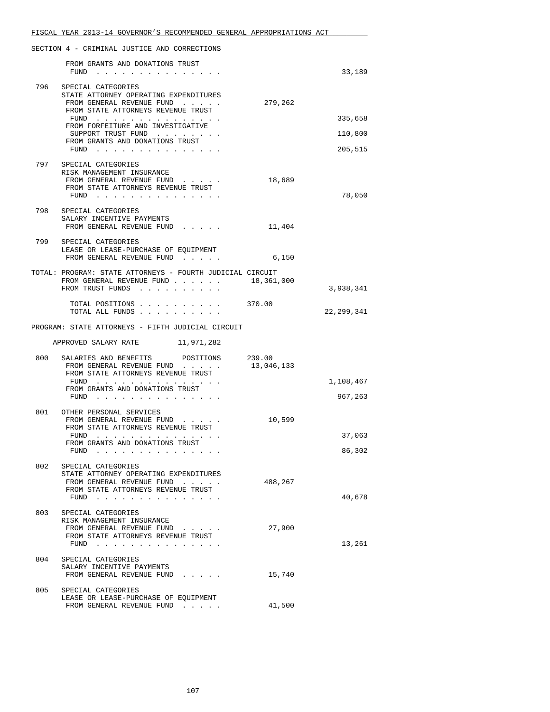|     | FISCAL YEAR 2013-14 GOVERNOR'S RECOMMENDED GENERAL APPROPRIATIONS ACT                                                 |            |            |
|-----|-----------------------------------------------------------------------------------------------------------------------|------------|------------|
|     | SECTION 4 - CRIMINAL JUSTICE AND CORRECTIONS                                                                          |            |            |
|     | FROM GRANTS AND DONATIONS TRUST<br>$FUND$                                                                             |            | 33,189     |
|     | 796 SPECIAL CATEGORIES<br>STATE ATTORNEY OPERATING EXPENDITURES<br>FROM GENERAL REVENUE FUND                          | 279,262    |            |
|     | FROM STATE ATTORNEYS REVENUE TRUST<br>FUND $\cdots$                                                                   |            | 335,658    |
|     | FROM FORFEITURE AND INVESTIGATIVE<br>SUPPORT TRUST FUND                                                               |            | 110,800    |
|     | FROM GRANTS AND DONATIONS TRUST<br>FUND $\cdots$                                                                      |            | 205,515    |
| 797 | SPECIAL CATEGORIES<br>RISK MANAGEMENT INSURANCE<br>FROM GENERAL REVENUE FUND                                          | 18,689     |            |
|     | FROM STATE ATTORNEYS REVENUE TRUST<br>FUND $\ldots$                                                                   |            | 78,050     |
|     | 798 SPECIAL CATEGORIES<br>SALARY INCENTIVE PAYMENTS<br>FROM GENERAL REVENUE FUND                                      | 11,404     |            |
| 799 | SPECIAL CATEGORIES<br>LEASE OR LEASE-PURCHASE OF EQUIPMENT<br>FROM GENERAL REVENUE FUND                               | 6,150      |            |
|     | TOTAL: PROGRAM: STATE ATTORNEYS - FOURTH JUDICIAL CIRCUIT<br>FROM GENERAL REVENUE FUND 18,361,000<br>FROM TRUST FUNDS |            | 3,938,341  |
|     | TOTAL POSITIONS 370.00<br>TOTAL ALL FUNDS                                                                             |            | 22,299,341 |
|     | PROGRAM: STATE ATTORNEYS - FIFTH JUDICIAL CIRCUIT                                                                     |            |            |
|     | APPROVED SALARY RATE 11,971,282                                                                                       |            |            |
| 800 | SALARIES AND BENEFITS<br>POSITIONS 239.00<br>FROM GENERAL REVENUE FUND<br>FROM STATE ATTORNEYS REVENUE TRUST          | 13,046,133 |            |
|     | FUND<br>FROM GRANTS AND DONATIONS TRUST                                                                               |            | 1,108,467  |
|     | $FUND$                                                                                                                |            | 967,263    |
| 801 | OTHER PERSONAL SERVICES<br>FROM GENERAL REVENUE FUND<br>FROM STATE ATTORNEYS REVENUE TRUST                            | 10,599     |            |
|     | FUND $\cdots$<br>FROM GRANTS AND DONATIONS TRUST                                                                      |            | 37,063     |
|     | FUND $\ldots$                                                                                                         |            | 86,302     |
| 802 | SPECIAL CATEGORIES<br>STATE ATTORNEY OPERATING EXPENDITURES<br>FROM GENERAL REVENUE FUND                              | 488,267    |            |
|     | FROM STATE ATTORNEYS REVENUE TRUST<br>FUND $\cdots$                                                                   |            | 40,678     |
| 803 | SPECIAL CATEGORIES<br>RISK MANAGEMENT INSURANCE<br>FROM GENERAL REVENUE FUND<br>FROM STATE ATTORNEYS REVENUE TRUST    | 27,900     |            |
|     | FUND                                                                                                                  |            | 13,261     |
| 804 | SPECIAL CATEGORIES<br>SALARY INCENTIVE PAYMENTS<br>FROM GENERAL REVENUE FUND                                          | 15,740     |            |
| 805 | SPECIAL CATEGORIES<br>LEASE OR LEASE-PURCHASE OF EQUIPMENT                                                            |            |            |
|     | FROM GENERAL REVENUE FUND                                                                                             | 41,500     |            |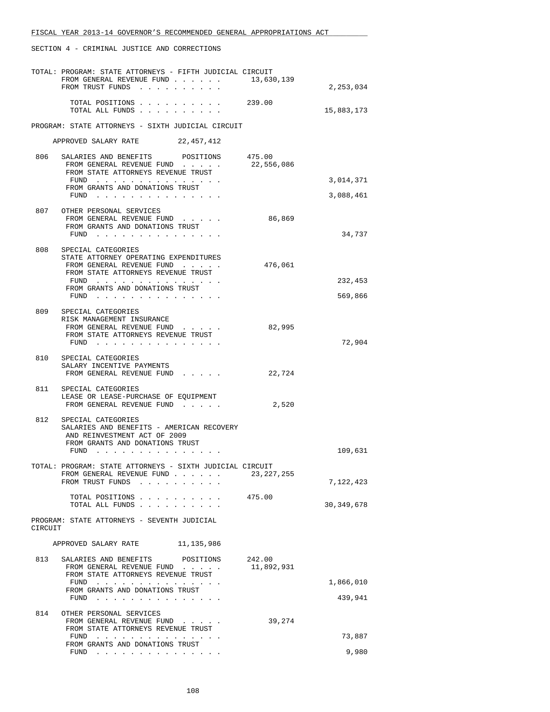|         | TOTAL: PROGRAM: STATE ATTORNEYS - FIFTH JUDICIAL CIRCUIT<br>FROM GENERAL REVENUE FUND $\ldots$ $\ldots$ $\ldots$ 13,630,139<br>FROM TRUST FUNDS                                                  |                      | 2,253,034              |
|---------|--------------------------------------------------------------------------------------------------------------------------------------------------------------------------------------------------|----------------------|------------------------|
|         | TOTAL POSITIONS 239.00<br>TOTAL ALL FUNDS                                                                                                                                                        |                      | 15,883,173             |
|         | PROGRAM: STATE ATTORNEYS - SIXTH JUDICIAL CIRCUIT                                                                                                                                                |                      |                        |
|         | APPROVED SALARY RATE 22,457,412                                                                                                                                                                  |                      |                        |
|         | 806 SALARIES AND BENEFITS POSITIONS<br>FROM GENERAL REVENUE FUND<br>FROM STATE ATTORNEYS REVENUE TRUST                                                                                           | 475.00<br>22,556,086 |                        |
|         | FUND<br>FROM GRANTS AND DONATIONS TRUST<br>FUND                                                                                                                                                  |                      | 3,014,371<br>3,088,461 |
|         | 807 OTHER PERSONAL SERVICES<br>FROM GENERAL REVENUE FUND<br>FROM GRANTS AND DONATIONS TRUST<br>FUND $\ldots$                                                                                     | 86,869               | 34,737                 |
|         | 808 SPECIAL CATEGORIES<br>STATE ATTORNEY OPERATING EXPENDITURES<br>FROM GENERAL REVENUE FUND<br>FROM STATE ATTORNEYS REVENUE TRUST<br>FUND<br>FROM GRANTS AND DONATIONS TRUST                    | 476,061              | 232,453                |
|         | FUND                                                                                                                                                                                             |                      | 569,866                |
|         | 809 SPECIAL CATEGORIES<br>RISK MANAGEMENT INSURANCE<br>FROM GENERAL REVENUE FUND<br>FROM STATE ATTORNEYS REVENUE TRUST<br>FUND $\cdots$                                                          | 82,995               | 72,904                 |
|         | 810 SPECIAL CATEGORIES<br>SALARY INCENTIVE PAYMENTS<br>FROM GENERAL REVENUE FUND                                                                                                                 | 22,724               |                        |
|         | 811 SPECIAL CATEGORIES<br>LEASE OR LEASE-PURCHASE OF EQUIPMENT<br>FROM GENERAL REVENUE FUND                                                                                                      | 2,520                |                        |
| 812     | SPECIAL CATEGORIES<br>SALARIES AND BENEFITS - AMERICAN RECOVERY<br>AND REINVESTMENT ACT OF 2009<br>FROM GRANTS AND DONATIONS TRUST<br>FUND $\cdots$ $\cdots$ $\cdots$ $\cdots$ $\cdots$ $\cdots$ |                      | 109,631                |
|         | TOTAL: PROGRAM: STATE ATTORNEYS - SIXTH JUDICIAL CIRCUIT<br>FROM GENERAL REVENUE FUND                                                                                                            | 23, 227, 255         |                        |
|         | FROM TRUST FUNDS<br>TOTAL POSITIONS                                                                                                                                                              | 475.00               | 7,122,423              |
|         | TOTAL ALL FUNDS<br>PROGRAM: STATE ATTORNEYS - SEVENTH JUDICIAL                                                                                                                                   |                      | 30, 349, 678           |
| CIRCUIT |                                                                                                                                                                                                  |                      |                        |
|         | APPROVED SALARY RATE 11,135,986                                                                                                                                                                  |                      |                        |
| 813     | SALARIES AND BENEFITS<br>POSITIONS<br>FROM GENERAL REVENUE FUND<br>FROM STATE ATTORNEYS REVENUE TRUST                                                                                            | 242.00<br>11,892,931 |                        |
|         | FUND<br>FROM GRANTS AND DONATIONS TRUST                                                                                                                                                          |                      | 1,866,010              |
|         | FUND $\cdots$                                                                                                                                                                                    |                      | 439,941                |
| 814     | OTHER PERSONAL SERVICES<br>FROM GENERAL REVENUE FUND<br>FROM STATE ATTORNEYS REVENUE TRUST                                                                                                       | 39,274               |                        |
|         | FUND<br>. The second contract is a second contract of the second contract $\mathcal{L}_\text{c}$<br>FROM GRANTS AND DONATIONS TRUST                                                              |                      | 73,887                 |
|         | FUND $\cdots$                                                                                                                                                                                    |                      | 9,980                  |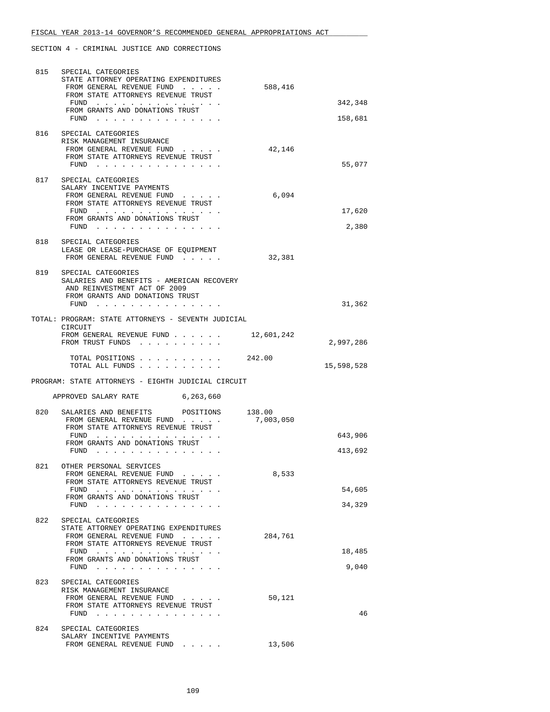| 815 | SPECIAL CATEGORIES                                                                                                                                                                                                                                                                                                                                                                                                                                                                    |            |            |
|-----|---------------------------------------------------------------------------------------------------------------------------------------------------------------------------------------------------------------------------------------------------------------------------------------------------------------------------------------------------------------------------------------------------------------------------------------------------------------------------------------|------------|------------|
|     | STATE ATTORNEY OPERATING EXPENDITURES                                                                                                                                                                                                                                                                                                                                                                                                                                                 |            |            |
|     | FROM GENERAL REVENUE FUND<br>FROM STATE ATTORNEYS REVENUE TRUST                                                                                                                                                                                                                                                                                                                                                                                                                       | 588,416    |            |
|     | FUND $\cdots$                                                                                                                                                                                                                                                                                                                                                                                                                                                                         |            | 342,348    |
|     | FROM GRANTS AND DONATIONS TRUST                                                                                                                                                                                                                                                                                                                                                                                                                                                       |            |            |
|     | FUND $\cdots$                                                                                                                                                                                                                                                                                                                                                                                                                                                                         |            | 158,681    |
|     |                                                                                                                                                                                                                                                                                                                                                                                                                                                                                       |            |            |
| 816 | SPECIAL CATEGORIES                                                                                                                                                                                                                                                                                                                                                                                                                                                                    |            |            |
|     | RISK MANAGEMENT INSURANCE<br>FROM GENERAL REVENUE FUND                                                                                                                                                                                                                                                                                                                                                                                                                                | 42,146     |            |
|     | FROM STATE ATTORNEYS REVENUE TRUST                                                                                                                                                                                                                                                                                                                                                                                                                                                    |            |            |
|     | FUND                                                                                                                                                                                                                                                                                                                                                                                                                                                                                  |            | 55,077     |
|     |                                                                                                                                                                                                                                                                                                                                                                                                                                                                                       |            |            |
| 817 | SPECIAL CATEGORIES                                                                                                                                                                                                                                                                                                                                                                                                                                                                    |            |            |
|     | SALARY INCENTIVE PAYMENTS                                                                                                                                                                                                                                                                                                                                                                                                                                                             |            |            |
|     | FROM GENERAL REVENUE FUND<br>FROM STATE ATTORNEYS REVENUE TRUST                                                                                                                                                                                                                                                                                                                                                                                                                       | 6,094      |            |
|     | FUND $\cdots$                                                                                                                                                                                                                                                                                                                                                                                                                                                                         |            | 17,620     |
|     | FROM GRANTS AND DONATIONS TRUST                                                                                                                                                                                                                                                                                                                                                                                                                                                       |            |            |
|     | FUND                                                                                                                                                                                                                                                                                                                                                                                                                                                                                  |            | 2,380      |
|     |                                                                                                                                                                                                                                                                                                                                                                                                                                                                                       |            |            |
| 818 | SPECIAL CATEGORIES                                                                                                                                                                                                                                                                                                                                                                                                                                                                    |            |            |
|     | LEASE OR LEASE-PURCHASE OF EQUIPMENT<br>FROM GENERAL REVENUE FUND                                                                                                                                                                                                                                                                                                                                                                                                                     | 32,381     |            |
|     |                                                                                                                                                                                                                                                                                                                                                                                                                                                                                       |            |            |
| 819 | SPECIAL CATEGORIES                                                                                                                                                                                                                                                                                                                                                                                                                                                                    |            |            |
|     | SALARIES AND BENEFITS - AMERICAN RECOVERY                                                                                                                                                                                                                                                                                                                                                                                                                                             |            |            |
|     | AND REINVESTMENT ACT OF 2009                                                                                                                                                                                                                                                                                                                                                                                                                                                          |            |            |
|     | FROM GRANTS AND DONATIONS TRUST                                                                                                                                                                                                                                                                                                                                                                                                                                                       |            |            |
|     | FUND $\cdots$ $\cdots$ $\cdots$ $\cdots$ $\cdots$ $\cdots$                                                                                                                                                                                                                                                                                                                                                                                                                            |            | 31,362     |
|     | TOTAL: PROGRAM: STATE ATTORNEYS - SEVENTH JUDICIAL<br>CIRCUIT                                                                                                                                                                                                                                                                                                                                                                                                                         |            |            |
|     | FROM GENERAL REVENUE FUND                                                                                                                                                                                                                                                                                                                                                                                                                                                             | 12,601,242 |            |
|     | FROM TRUST FUNDS                                                                                                                                                                                                                                                                                                                                                                                                                                                                      |            | 2,997,286  |
|     |                                                                                                                                                                                                                                                                                                                                                                                                                                                                                       |            |            |
|     | TOTAL POSITIONS                                                                                                                                                                                                                                                                                                                                                                                                                                                                       | 242.00     |            |
|     |                                                                                                                                                                                                                                                                                                                                                                                                                                                                                       |            |            |
|     | TOTAL ALL FUNDS                                                                                                                                                                                                                                                                                                                                                                                                                                                                       |            | 15,598,528 |
|     |                                                                                                                                                                                                                                                                                                                                                                                                                                                                                       |            |            |
|     | PROGRAM: STATE ATTORNEYS - EIGHTH JUDICIAL CIRCUIT                                                                                                                                                                                                                                                                                                                                                                                                                                    |            |            |
|     | APPROVED SALARY RATE<br>6,263,660                                                                                                                                                                                                                                                                                                                                                                                                                                                     |            |            |
| 820 | SALARIES AND BENEFITS<br>POSITIONS 138.00                                                                                                                                                                                                                                                                                                                                                                                                                                             |            |            |
|     | FROM GENERAL REVENUE FUND                                                                                                                                                                                                                                                                                                                                                                                                                                                             | 7,003,050  |            |
|     | FROM STATE ATTORNEYS REVENUE TRUST                                                                                                                                                                                                                                                                                                                                                                                                                                                    |            |            |
|     | FUND<br>the contract of the contract of the contract of the contract of the contract of the contract of the contract of                                                                                                                                                                                                                                                                                                                                                               |            | 643,906    |
|     | FROM GRANTS AND DONATIONS TRUST<br>FUND                                                                                                                                                                                                                                                                                                                                                                                                                                               |            |            |
|     | $\mathbf{1} \quad \mathbf{1} \quad \mathbf{1} \quad \mathbf{1} \quad \mathbf{1} \quad \mathbf{1} \quad \mathbf{1} \quad \mathbf{1} \quad \mathbf{1} \quad \mathbf{1} \quad \mathbf{1} \quad \mathbf{1} \quad \mathbf{1} \quad \mathbf{1} \quad \mathbf{1} \quad \mathbf{1} \quad \mathbf{1} \quad \mathbf{1} \quad \mathbf{1} \quad \mathbf{1} \quad \mathbf{1} \quad \mathbf{1} \quad \mathbf{1} \quad \mathbf{1} \quad \mathbf{1} \quad \mathbf{1} \quad \mathbf{1} \quad \mathbf{$ |            | 413,692    |
| 821 | OTHER PERSONAL SERVICES                                                                                                                                                                                                                                                                                                                                                                                                                                                               |            |            |
|     | FROM GENERAL REVENUE FUND                                                                                                                                                                                                                                                                                                                                                                                                                                                             | 8,533      |            |
|     | FROM STATE ATTORNEYS REVENUE TRUST                                                                                                                                                                                                                                                                                                                                                                                                                                                    |            |            |
|     | FUND $\cdots$                                                                                                                                                                                                                                                                                                                                                                                                                                                                         |            | 54,605     |
|     | FROM GRANTS AND DONATIONS TRUST                                                                                                                                                                                                                                                                                                                                                                                                                                                       |            | 34,329     |
|     | FUND $\cdots$                                                                                                                                                                                                                                                                                                                                                                                                                                                                         |            |            |
| 822 | SPECIAL CATEGORIES                                                                                                                                                                                                                                                                                                                                                                                                                                                                    |            |            |
|     | STATE ATTORNEY OPERATING EXPENDITURES                                                                                                                                                                                                                                                                                                                                                                                                                                                 |            |            |
|     | FROM GENERAL REVENUE FUND                                                                                                                                                                                                                                                                                                                                                                                                                                                             | 284,761    |            |
|     | FROM STATE ATTORNEYS REVENUE TRUST                                                                                                                                                                                                                                                                                                                                                                                                                                                    |            |            |
|     | FUND<br>FROM GRANTS AND DONATIONS TRUST                                                                                                                                                                                                                                                                                                                                                                                                                                               |            | 18,485     |
|     | FUND $\cdots$                                                                                                                                                                                                                                                                                                                                                                                                                                                                         |            | 9,040      |
|     |                                                                                                                                                                                                                                                                                                                                                                                                                                                                                       |            |            |
| 823 | SPECIAL CATEGORIES                                                                                                                                                                                                                                                                                                                                                                                                                                                                    |            |            |
|     | RISK MANAGEMENT INSURANCE                                                                                                                                                                                                                                                                                                                                                                                                                                                             |            |            |
|     | FROM GENERAL REVENUE FUND                                                                                                                                                                                                                                                                                                                                                                                                                                                             | 50,121     |            |
|     | FROM STATE ATTORNEYS REVENUE TRUST                                                                                                                                                                                                                                                                                                                                                                                                                                                    |            | 46         |
|     | FUND $\cdots$                                                                                                                                                                                                                                                                                                                                                                                                                                                                         |            |            |
| 824 | SPECIAL CATEGORIES                                                                                                                                                                                                                                                                                                                                                                                                                                                                    |            |            |
|     | SALARY INCENTIVE PAYMENTS<br>FROM GENERAL REVENUE FUND                                                                                                                                                                                                                                                                                                                                                                                                                                | 13,506     |            |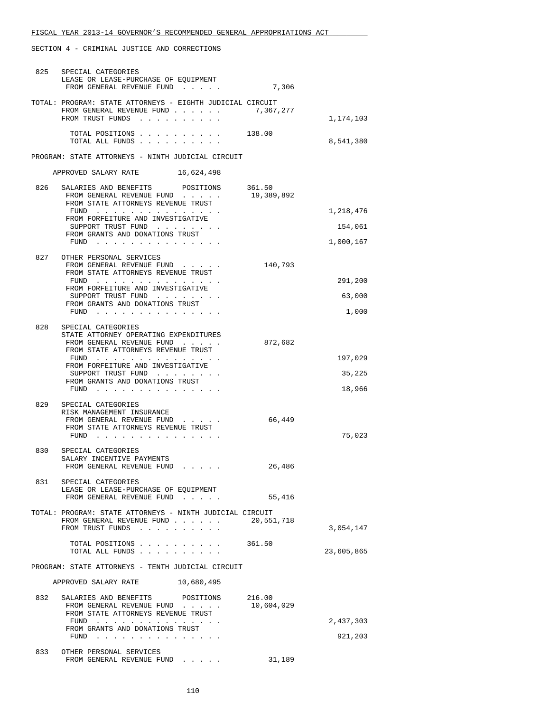|     | 825 SPECIAL CATEGORIES<br>LEASE OR LEASE-PURCHASE OF EQUIPMENT<br>FROM GENERAL REVENUE FUND                                    | 7,306                |            |
|-----|--------------------------------------------------------------------------------------------------------------------------------|----------------------|------------|
|     | TOTAL: PROGRAM: STATE ATTORNEYS - EIGHTH JUDICIAL CIRCUIT<br>FROM GENERAL REVENUE FUND 7,367,277<br>FROM TRUST FUNDS           |                      | 1,174,103  |
|     | TOTAL POSITIONS 138.00<br>TOTAL ALL FUNDS                                                                                      |                      | 8,541,380  |
|     | PROGRAM: STATE ATTORNEYS - NINTH JUDICIAL CIRCUIT                                                                              |                      |            |
|     | APPROVED SALARY RATE 16,624,498                                                                                                |                      |            |
| 826 | SALARIES AND BENEFITS<br>POSITIONS<br>FROM GENERAL REVENUE FUND<br>FROM STATE ATTORNEYS REVENUE TRUST                          | 361.50<br>19,389,892 |            |
|     | FUND<br>FROM FORFEITURE AND INVESTIGATIVE                                                                                      |                      | 1,218,476  |
|     | SUPPORT TRUST FUND<br>FROM GRANTS AND DONATIONS TRUST                                                                          |                      | 154,061    |
|     | FUND $\cdots$                                                                                                                  |                      | 1,000,167  |
| 827 | OTHER PERSONAL SERVICES<br>FROM GENERAL REVENUE FUND<br>FROM STATE ATTORNEYS REVENUE TRUST                                     | 140,793              |            |
|     | FUND $\cdots$<br>FROM FORFEITURE AND INVESTIGATIVE                                                                             |                      | 291,200    |
|     | SUPPORT TRUST FUND<br>FROM GRANTS AND DONATIONS TRUST                                                                          |                      | 63,000     |
|     | FUND                                                                                                                           |                      | 1,000      |
| 828 | SPECIAL CATEGORIES<br>STATE ATTORNEY OPERATING EXPENDITURES<br>FROM GENERAL REVENUE FUND<br>FROM STATE ATTORNEYS REVENUE TRUST | 872,682              |            |
|     | FUND<br>FROM FORFEITURE AND INVESTIGATIVE                                                                                      |                      | 197,029    |
|     | SUPPORT TRUST FUND<br>FROM GRANTS AND DONATIONS TRUST                                                                          |                      | 35,225     |
|     | FUND $\cdots$ $\cdots$ $\cdots$ $\cdots$ $\cdots$ $\cdots$                                                                     |                      | 18,966     |
| 829 | SPECIAL CATEGORIES<br>RISK MANAGEMENT INSURANCE                                                                                |                      |            |
|     | FROM GENERAL REVENUE FUND<br>FROM STATE ATTORNEYS REVENUE TRUST<br>FUND $\cdots$                                               | 66,449               | 75,023     |
| 830 | SPECIAL CATEGORIES<br>SALARY INCENTIVE PAYMENTS<br>FROM GENERAL REVENUE FUND                                                   | 26,486               |            |
|     | 831 SPECIAL CATEGORIES                                                                                                         |                      |            |
|     | LEASE OR LEASE-PURCHASE OF EQUIPMENT<br>FROM GENERAL REVENUE FUND                                                              | 55,416               |            |
|     | TOTAL: PROGRAM: STATE ATTORNEYS - NINTH JUDICIAL CIRCUIT<br>FROM GENERAL REVENUE FUND<br>FROM TRUST FUNDS                      | 20,551,718           | 3,054,147  |
|     | TOTAL POSITIONS<br>TOTAL ALL FUNDS                                                                                             | 361.50               | 23,605,865 |
|     | PROGRAM: STATE ATTORNEYS - TENTH JUDICIAL CIRCUIT                                                                              |                      |            |
|     | APPROVED SALARY RATE 10,680,495                                                                                                |                      |            |
| 832 | SALARIES AND BENEFITS<br>POSITIONS<br>FROM GENERAL REVENUE FUND<br>FROM STATE ATTORNEYS REVENUE TRUST                          | 216.00<br>10,604,029 |            |
|     | FUND $\cdots$<br>FROM GRANTS AND DONATIONS TRUST                                                                               |                      | 2,437,303  |
|     | FUND                                                                                                                           |                      | 921,203    |
| 833 | OTHER PERSONAL SERVICES<br>FROM GENERAL REVENUE FUND                                                                           | 31,189               |            |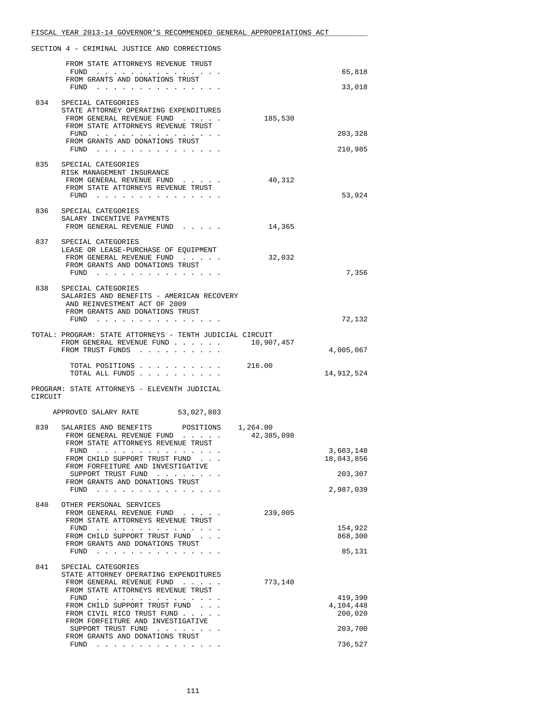|         | FISCAL YEAR 2013-14 GOVERNOR'S RECOMMENDED GENERAL APPROPRIATIONS ACT                                                  |            |                      |
|---------|------------------------------------------------------------------------------------------------------------------------|------------|----------------------|
|         | SECTION 4 - CRIMINAL JUSTICE AND CORRECTIONS                                                                           |            |                      |
|         | FROM STATE ATTORNEYS REVENUE TRUST                                                                                     |            |                      |
|         | FUND<br>the contract of the contract of the contract of the<br>FROM GRANTS AND DONATIONS TRUST                         |            | 65,818               |
|         | FUND $\cdots$                                                                                                          |            | 33,018               |
|         | 834 SPECIAL CATEGORIES<br>STATE ATTORNEY OPERATING EXPENDITURES                                                        |            |                      |
|         | FROM GENERAL REVENUE FUND<br>FROM STATE ATTORNEYS REVENUE TRUST                                                        | 185,530    |                      |
|         | FUND $\cdots$                                                                                                          |            | 203,328              |
|         | FROM GRANTS AND DONATIONS TRUST<br>FUND $\cdots$                                                                       |            | 210,985              |
| 835     | SPECIAL CATEGORIES                                                                                                     |            |                      |
|         | RISK MANAGEMENT INSURANCE<br>FROM GENERAL REVENUE FUND                                                                 | 40,312     |                      |
|         | FROM STATE ATTORNEYS REVENUE TRUST                                                                                     |            |                      |
|         | FUND $\cdots$                                                                                                          |            | 53,924               |
|         | 836 SPECIAL CATEGORIES<br>SALARY INCENTIVE PAYMENTS                                                                    |            |                      |
|         | FROM GENERAL REVENUE FUND                                                                                              | 14,365     |                      |
| 837     | SPECIAL CATEGORIES                                                                                                     |            |                      |
|         | LEASE OR LEASE-PURCHASE OF EQUIPMENT<br>FROM GENERAL REVENUE FUND                                                      | 32,032     |                      |
|         | FROM GRANTS AND DONATIONS TRUST                                                                                        |            |                      |
|         | FUND $\cdots$                                                                                                          |            | 7,356                |
| 838     | SPECIAL CATEGORIES<br>SALARIES AND BENEFITS - AMERICAN RECOVERY                                                        |            |                      |
|         | AND REINVESTMENT ACT OF 2009                                                                                           |            |                      |
|         | FROM GRANTS AND DONATIONS TRUST<br>FUND                                                                                |            | 72,132               |
|         | TOTAL: PROGRAM: STATE ATTORNEYS - TENTH JUDICIAL CIRCUIT                                                               |            |                      |
|         | FROM GENERAL REVENUE FUND<br>FROM TRUST FUNDS                                                                          | 10,907,457 | 4,005,067            |
|         |                                                                                                                        |            |                      |
|         | TOTAL POSITIONS<br>TOTAL ALL FUNDS                                                                                     | 216.00     | 14,912,524           |
|         | PROGRAM: STATE ATTORNEYS - ELEVENTH JUDICIAL                                                                           |            |                      |
| CIRCUIT |                                                                                                                        |            |                      |
|         | 53,027,803<br>APPROVED SALARY RATE                                                                                     |            |                      |
|         | 839 SALARIES AND BENEFITS POSITIONS 1,264.00<br>FROM GENERAL REVENUE FUND                                              | 42,385,098 |                      |
|         | FROM STATE ATTORNEYS REVENUE TRUST<br>FUND                                                                             |            | 3,603,148            |
|         | FROM CHILD SUPPORT TRUST FUND                                                                                          |            | 18,043,856           |
|         | FROM FORFEITURE AND INVESTIGATIVE<br>SUPPORT TRUST FUND                                                                |            | 203,307              |
|         | FROM GRANTS AND DONATIONS TRUST<br>FUND $\cdots$                                                                       |            | 2,987,039            |
| 840     | OTHER PERSONAL SERVICES                                                                                                |            |                      |
|         | FROM GENERAL REVENUE FUND                                                                                              | 239,005    |                      |
|         | FROM STATE ATTORNEYS REVENUE TRUST<br>FUND                                                                             |            | 154,922              |
|         | FROM CHILD SUPPORT TRUST FUND<br>FROM GRANTS AND DONATIONS TRUST                                                       |            | 868,300              |
|         | $FUND$                                                                                                                 |            | 85,131               |
| 841     | SPECIAL CATEGORIES                                                                                                     |            |                      |
|         | STATE ATTORNEY OPERATING EXPENDITURES<br>FROM GENERAL REVENUE FUND<br>$\mathcal{L}(\mathcal{A})$ . The contribution of | 773,140    |                      |
|         | FROM STATE ATTORNEYS REVENUE TRUST                                                                                     |            |                      |
|         | FROM CHILD SUPPORT TRUST FUND                                                                                          |            | 419,390<br>4,104,448 |
|         | FROM CIVIL RICO TRUST FUND<br>FROM FORFEITURE AND INVESTIGATIVE                                                        |            | 200,020              |
|         | SUPPORT TRUST FUND                                                                                                     |            | 203,700              |
|         | FROM GRANTS AND DONATIONS TRUST<br>FUND $\cdots$                                                                       |            | 736,527              |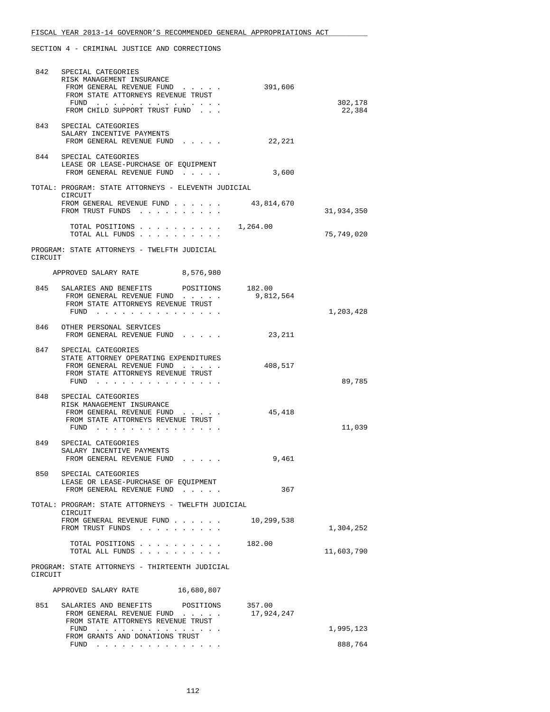| 842     | SPECIAL CATEGORIES<br>RISK MANAGEMENT INSURANCE<br>FROM GENERAL REVENUE FUND<br>FROM STATE ATTORNEYS REVENUE TRUST<br>$FUND$<br>FROM CHILD SUPPORT TRUST FUND | 391,606              | 302,178<br>22,384 |
|---------|---------------------------------------------------------------------------------------------------------------------------------------------------------------|----------------------|-------------------|
|         | 843 SPECIAL CATEGORIES<br>SALARY INCENTIVE PAYMENTS<br>FROM GENERAL REVENUE FUND                                                                              | 22,221               |                   |
| 844     | SPECIAL CATEGORIES<br>LEASE OR LEASE-PURCHASE OF EQUIPMENT<br>FROM GENERAL REVENUE FUND                                                                       | 3,600                |                   |
|         | TOTAL: PROGRAM: STATE ATTORNEYS - ELEVENTH JUDICIAL                                                                                                           |                      |                   |
|         | CIRCUIT<br>FROM GENERAL REVENUE FUND<br>FROM TRUST FUNDS                                                                                                      | 43,814,670           | 31,934,350        |
|         | TOTAL POSITIONS<br>TOTAL ALL FUNDS                                                                                                                            | 1,264.00             | 75,749,020        |
| CIRCUIT | PROGRAM: STATE ATTORNEYS - TWELFTH JUDICIAL                                                                                                                   |                      |                   |
|         | APPROVED SALARY RATE 8,576,980                                                                                                                                |                      |                   |
|         | 845 SALARIES AND BENEFITS POSITIONS<br>FROM GENERAL REVENUE FUND<br>FROM STATE ATTORNEYS REVENUE TRUST<br>$FUND$                                              | 182.00<br>9,812,564  | 1,203,428         |
|         | 846 OTHER PERSONAL SERVICES<br>FROM GENERAL REVENUE FUND                                                                                                      | 23,211               |                   |
| 847     | SPECIAL CATEGORIES<br>STATE ATTORNEY OPERATING EXPENDITURES<br>FROM GENERAL REVENUE FUND<br>FROM STATE ATTORNEYS REVENUE TRUST<br>$FUND$                      | 408,517              | 89,785            |
|         | 848 SPECIAL CATEGORIES<br>RISK MANAGEMENT INSURANCE<br>FROM GENERAL REVENUE FUND<br>FROM STATE ATTORNEYS REVENUE TRUST<br>FUND $\cdots$                       | 45,418               | 11,039            |
| 849     | SPECIAL CATEGORIES<br>SALARY INCENTIVE PAYMENTS<br>FROM GENERAL REVENUE FUND                                                                                  | 9,461                |                   |
| 850     | SPECIAL CATEGORIES<br>LEASE OR LEASE-PURCHASE OF EQUIPMENT<br>FROM GENERAL REVENUE FUND                                                                       | 367                  |                   |
|         | TOTAL: PROGRAM: STATE ATTORNEYS - TWELFTH JUDICIAL                                                                                                            |                      |                   |
|         | CIRCUIT<br>FROM GENERAL REVENUE FUND<br>FROM TRUST FUNDS                                                                                                      | 10,299,538           | 1,304,252         |
|         | TOTAL POSITIONS<br>TOTAL ALL FUNDS                                                                                                                            | 182.00               | 11,603,790        |
| CIRCUIT | PROGRAM: STATE ATTORNEYS - THIRTEENTH JUDICIAL                                                                                                                |                      |                   |
|         | 16,680,807<br>APPROVED SALARY RATE                                                                                                                            |                      |                   |
| 851     | SALARIES AND BENEFITS POSITIONS<br>FROM GENERAL REVENUE FUND<br>FROM STATE ATTORNEYS REVENUE TRUST                                                            | 357.00<br>17,924,247 |                   |
|         | <u>.</u><br>FUND<br>FROM GRANTS AND DONATIONS TRUST                                                                                                           |                      | 1,995,123         |
|         | FUND                                                                                                                                                          |                      | 888,764           |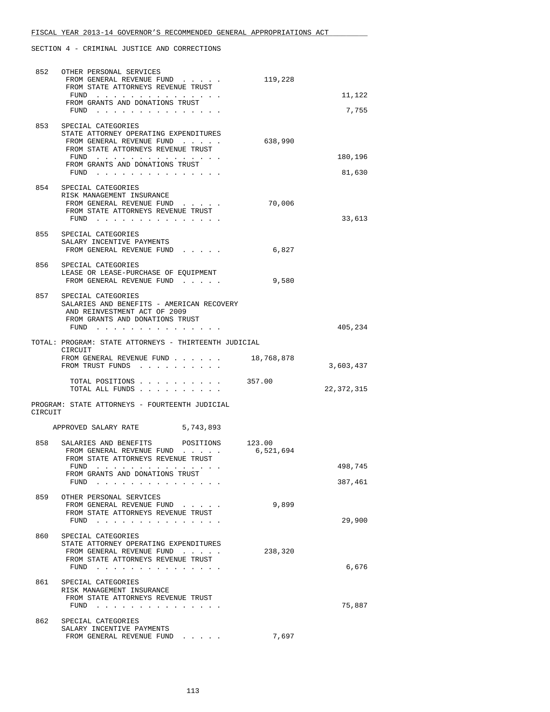| 852     | OTHER PERSONAL SERVICES<br>FROM GENERAL REVENUE FUND                                                                                                                                                                                                                                                                            | 119,228             |                    |
|---------|---------------------------------------------------------------------------------------------------------------------------------------------------------------------------------------------------------------------------------------------------------------------------------------------------------------------------------|---------------------|--------------------|
|         | FROM STATE ATTORNEYS REVENUE TRUST<br>FUND                                                                                                                                                                                                                                                                                      |                     | 11,122             |
|         | FROM GRANTS AND DONATIONS TRUST<br>$FUND$                                                                                                                                                                                                                                                                                       |                     | 7,755              |
| 853     | SPECIAL CATEGORIES<br>STATE ATTORNEY OPERATING EXPENDITURES<br>FROM GENERAL REVENUE FUND<br>FROM STATE ATTORNEYS REVENUE TRUST<br>FUND<br>FROM GRANTS AND DONATIONS TRUST<br>$FUND$                                                                                                                                             | 638,990             | 180,196<br>81,630  |
|         | 854 SPECIAL CATEGORIES<br>RISK MANAGEMENT INSURANCE<br>FROM GENERAL REVENUE FUND<br>FROM STATE ATTORNEYS REVENUE TRUST<br>$FUND$                                                                                                                                                                                                | 70,006              | 33,613             |
|         | 855 SPECIAL CATEGORIES<br>SALARY INCENTIVE PAYMENTS<br>FROM GENERAL REVENUE FUND                                                                                                                                                                                                                                                | 6,827               |                    |
| 856     | SPECIAL CATEGORIES<br>LEASE OR LEASE-PURCHASE OF EQUIPMENT<br>FROM GENERAL REVENUE FUND                                                                                                                                                                                                                                         | 9,580               |                    |
| 857     | SPECIAL CATEGORIES<br>SALARIES AND BENEFITS - AMERICAN RECOVERY<br>AND REINVESTMENT ACT OF 2009<br>FROM GRANTS AND DONATIONS TRUST<br>FUND                                                                                                                                                                                      |                     | 405,234            |
|         | TOTAL: PROGRAM: STATE ATTORNEYS - THIRTEENTH JUDICIAL                                                                                                                                                                                                                                                                           |                     |                    |
|         | CIRCUIT<br>FROM GENERAL REVENUE FUND<br>FROM TRUST FUNDS                                                                                                                                                                                                                                                                        | 18,768,878          | 3,603,437          |
|         | TOTAL POSITIONS<br>TOTAL ALL FUNDS .<br>the contract of the contract of                                                                                                                                                                                                                                                         | 357.00              | 22, 372, 315       |
| CIRCUIT | PROGRAM: STATE ATTORNEYS - FOURTEENTH JUDICIAL                                                                                                                                                                                                                                                                                  |                     |                    |
|         | APPROVED SALARY RATE<br>5,743,893                                                                                                                                                                                                                                                                                               |                     |                    |
| 858     | SALARIES AND BENEFITS POSITIONS<br>FROM GENERAL REVENUE FUND<br>FROM STATE ATTORNEYS REVENUE TRUST                                                                                                                                                                                                                              | 123.00<br>6,521,694 |                    |
|         | FUND<br>.<br>FROM GRANTS AND DONATIONS TRUST<br>FUND<br>$\sim$ $\sim$                                                                                                                                                                                                                                                           |                     | 498,745<br>387,461 |
| 859     | OTHER PERSONAL SERVICES<br>FROM GENERAL REVENUE FUND<br>FROM STATE ATTORNEYS REVENUE TRUST<br>$FUND$                                                                                                                                                                                                                            | 9,899               | 29,900             |
| 860     | SPECIAL CATEGORIES<br>STATE ATTORNEY OPERATING EXPENDITURES<br>FROM GENERAL REVENUE FUND<br>FROM STATE ATTORNEYS REVENUE TRUST<br>FUND<br>the contract of the contract of the contract of the contract of the contract of the contract of the contract of                                                                       | 238,320             | 6,676              |
| 861     | SPECIAL CATEGORIES<br>RISK MANAGEMENT INSURANCE<br>FROM STATE ATTORNEYS REVENUE TRUST<br>FUND<br>and the company of the company of the company of the company of the company of the company of the company of the company of the company of the company of the company of the company of the company of the company of the comp |                     | 75,887             |
| 862     | SPECIAL CATEGORIES                                                                                                                                                                                                                                                                                                              |                     |                    |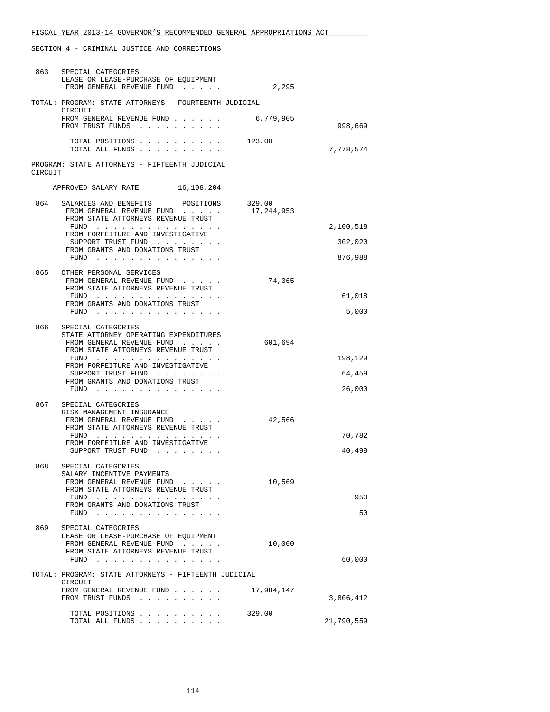| 863     | SPECIAL CATEGORIES<br>LEASE OR LEASE-PURCHASE OF EOUIPMENT<br>FROM GENERAL REVENUE FUND                                                 | 2,295                |                  |
|---------|-----------------------------------------------------------------------------------------------------------------------------------------|----------------------|------------------|
|         | TOTAL: PROGRAM: STATE ATTORNEYS - FOURTEENTH JUDICIAL<br>CIRCUIT                                                                        |                      |                  |
|         | FROM GENERAL REVENUE FUND<br>FROM TRUST FUNDS                                                                                           | 6,779,905            | 998,669          |
|         | TOTAL POSITIONS<br>TOTAL ALL FUNDS                                                                                                      | 123.00               | 7,778,574        |
| CIRCUIT | PROGRAM: STATE ATTORNEYS - FIFTEENTH JUDICIAL                                                                                           |                      |                  |
|         | APPROVED SALARY RATE<br>16,108,204                                                                                                      |                      |                  |
| 864     | SALARIES AND BENEFITS POSITIONS<br>FROM GENERAL REVENUE FUND<br>FROM STATE ATTORNEYS REVENUE TRUST                                      | 329.00<br>17,244,953 |                  |
|         | FUND<br>FROM FORFEITURE AND INVESTIGATIVE                                                                                               |                      | 2,100,518        |
|         | SUPPORT TRUST FUND<br>FROM GRANTS AND DONATIONS TRUST                                                                                   |                      | 302,020          |
|         | FUND $\cdots$                                                                                                                           |                      | 876,988          |
|         | 865 OTHER PERSONAL SERVICES<br>FROM GENERAL REVENUE FUND<br>FROM STATE ATTORNEYS REVENUE TRUST                                          | 74,365               |                  |
|         | FUND<br>FROM GRANTS AND DONATIONS TRUST                                                                                                 |                      | 61,018           |
|         | FUND                                                                                                                                    |                      | 5,000            |
| 866     | SPECIAL CATEGORIES<br>STATE ATTORNEY OPERATING EXPENDITURES<br>FROM GENERAL REVENUE FUND<br>FROM STATE ATTORNEYS REVENUE TRUST          | 601,694              |                  |
|         | FUND<br>FROM FORFEITURE AND INVESTIGATIVE                                                                                               |                      | 198,129          |
|         | SUPPORT TRUST FUND<br>FROM GRANTS AND DONATIONS TRUST<br>FUND $\cdots$                                                                  |                      | 64,459<br>26,000 |
| 867     | SPECIAL CATEGORIES                                                                                                                      |                      |                  |
|         | RISK MANAGEMENT INSURANCE<br>FROM GENERAL REVENUE FUND<br>FROM STATE ATTORNEYS REVENUE TRUST                                            | 42,566               |                  |
|         | FUND $\cdots$<br>FROM FORFEITURE AND INVESTIGATIVE                                                                                      |                      | 70,782           |
|         | SUPPORT TRUST FUND                                                                                                                      |                      | 40,498           |
| 868     | SPECIAL CATEGORIES<br>SALARY INCENTIVE PAYMENTS<br>FROM GENERAL REVENUE FUND<br>FROM STATE ATTORNEYS REVENUE TRUST                      | 10,569               |                  |
|         | $FUND$<br>FROM GRANTS AND DONATIONS TRUST<br>FUND<br>.                                                                                  |                      | 950<br>50        |
| 869     | SPECIAL CATEGORIES<br>LEASE OR LEASE-PURCHASE OF EQUIPMENT<br>FROM GENERAL REVENUE FUND<br>FROM STATE ATTORNEYS REVENUE TRUST<br>$FUND$ | 10,000               | 60,000           |
|         | TOTAL: PROGRAM: STATE ATTORNEYS - FIFTEENTH JUDICIAL                                                                                    |                      |                  |
|         | CIRCUIT<br>FROM GENERAL REVENUE FUND<br>FROM TRUST FUNDS                                                                                | 17,984,147           | 3,806,412        |
|         | TOTAL POSITIONS<br>TOTAL ALL FUNDS                                                                                                      | 329.00               | 21,790,559       |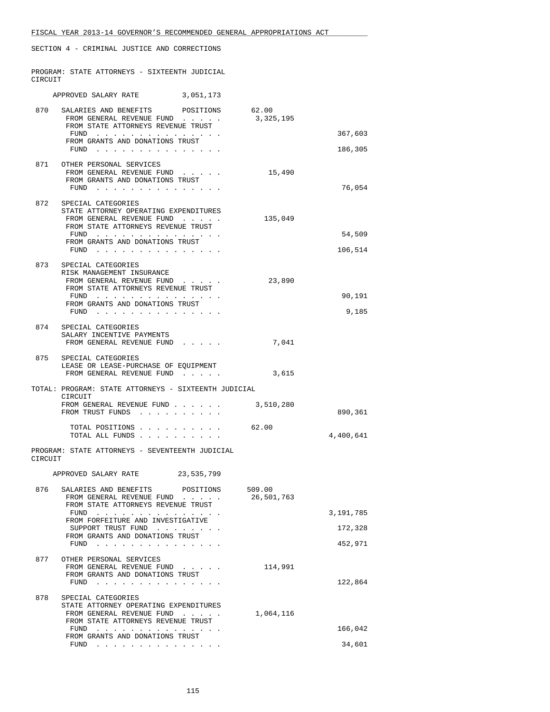PROGRAM: STATE ATTORNEYS - SIXTEENTH JUDICIAL CIRCUIT

|         | APPROVED SALARY RATE                                                                                                                                                                                                                                                      | 3,051,173                                                                                                                                                                                                                                                                                                                                                                                                                                                                             |                      |                   |
|---------|---------------------------------------------------------------------------------------------------------------------------------------------------------------------------------------------------------------------------------------------------------------------------|---------------------------------------------------------------------------------------------------------------------------------------------------------------------------------------------------------------------------------------------------------------------------------------------------------------------------------------------------------------------------------------------------------------------------------------------------------------------------------------|----------------------|-------------------|
| 870     | SALARIES AND BENEFITS POSITIONS<br>FROM GENERAL REVENUE FUND<br>FROM STATE ATTORNEYS REVENUE TRUST                                                                                                                                                                        |                                                                                                                                                                                                                                                                                                                                                                                                                                                                                       | 62.00<br>3,325,195   |                   |
|         | FUND<br>the contract of the contract of the contract of the contract of the contract of the contract of the contract of<br>FROM GRANTS AND DONATIONS TRUST                                                                                                                |                                                                                                                                                                                                                                                                                                                                                                                                                                                                                       |                      | 367,603           |
|         | FUND $\cdots$ $\cdots$ $\cdots$ $\cdots$ $\cdots$ $\cdots$ $\cdots$                                                                                                                                                                                                       |                                                                                                                                                                                                                                                                                                                                                                                                                                                                                       |                      | 186,305           |
|         | 871 OTHER PERSONAL SERVICES<br>FROM GENERAL REVENUE FUND<br>FROM GRANTS AND DONATIONS TRUST<br>FUND                                                                                                                                                                       |                                                                                                                                                                                                                                                                                                                                                                                                                                                                                       | 15,490               | 76,054            |
| 872     | SPECIAL CATEGORIES<br>STATE ATTORNEY OPERATING EXPENDITURES<br>FROM GENERAL REVENUE FUND<br>FROM STATE ATTORNEYS REVENUE TRUST<br>FUND<br>FROM GRANTS AND DONATIONS TRUST<br>$FUND$                                                                                       |                                                                                                                                                                                                                                                                                                                                                                                                                                                                                       | 135,049              | 54,509<br>106,514 |
|         | 873 SPECIAL CATEGORIES<br>RISK MANAGEMENT INSURANCE<br>FROM GENERAL REVENUE FUND<br>FROM STATE ATTORNEYS REVENUE TRUST<br>FUND<br>FROM GRANTS AND DONATIONS TRUST<br>FUND $\cdots$                                                                                        |                                                                                                                                                                                                                                                                                                                                                                                                                                                                                       | 23,890               | 90,191<br>9,185   |
|         | 874 SPECIAL CATEGORIES<br>SALARY INCENTIVE PAYMENTS<br>FROM GENERAL REVENUE FUND                                                                                                                                                                                          |                                                                                                                                                                                                                                                                                                                                                                                                                                                                                       | 7,041                |                   |
|         | 875 SPECIAL CATEGORIES<br>LEASE OR LEASE-PURCHASE OF EQUIPMENT<br>FROM GENERAL REVENUE FUND                                                                                                                                                                               |                                                                                                                                                                                                                                                                                                                                                                                                                                                                                       | 3,615                |                   |
|         | TOTAL: PROGRAM: STATE ATTORNEYS - SIXTEENTH JUDICIAL                                                                                                                                                                                                                      |                                                                                                                                                                                                                                                                                                                                                                                                                                                                                       |                      |                   |
|         | CIRCUIT<br>FROM GENERAL REVENUE FUND<br>FROM TRUST FUNDS                                                                                                                                                                                                                  |                                                                                                                                                                                                                                                                                                                                                                                                                                                                                       | 3,510,280            | 890,361           |
|         | TOTAL POSITIONS<br>TOTAL ALL FUNDS.                                                                                                                                                                                                                                       |                                                                                                                                                                                                                                                                                                                                                                                                                                                                                       | 62.00                | 4,400,641         |
| CIRCUIT | PROGRAM: STATE ATTORNEYS - SEVENTEENTH JUDICIAL                                                                                                                                                                                                                           |                                                                                                                                                                                                                                                                                                                                                                                                                                                                                       |                      |                   |
|         | APPROVED SALARY RATE                                                                                                                                                                                                                                                      | 23,535,799                                                                                                                                                                                                                                                                                                                                                                                                                                                                            |                      |                   |
| 876     | SALARIES AND BENEFITS<br>FROM GENERAL REVENUE FUND<br>FROM STATE ATTORNEYS REVENUE TRUST<br>FUND                                                                                                                                                                          | POSITIONS<br>and the second control of                                                                                                                                                                                                                                                                                                                                                                                                                                                | 509.00<br>26,501,763 | 3,191,785         |
|         | FROM FORFEITURE AND INVESTIGATIVE                                                                                                                                                                                                                                         |                                                                                                                                                                                                                                                                                                                                                                                                                                                                                       |                      |                   |
|         | SUPPORT TRUST FUND<br>FROM GRANTS AND DONATIONS TRUST                                                                                                                                                                                                                     |                                                                                                                                                                                                                                                                                                                                                                                                                                                                                       |                      | 172,328           |
|         | FUND<br>والمناور والمناور والمناور والمناور والمناور والمناور                                                                                                                                                                                                             |                                                                                                                                                                                                                                                                                                                                                                                                                                                                                       |                      | 452,971           |
| 877     | OTHER PERSONAL SERVICES<br>FROM GENERAL REVENUE FUND<br>FROM GRANTS AND DONATIONS TRUST<br>FUND<br><u>.</u>                                                                                                                                                               |                                                                                                                                                                                                                                                                                                                                                                                                                                                                                       | 114,991              | 122,864           |
| 878     | SPECIAL CATEGORIES<br>STATE ATTORNEY OPERATING EXPENDITURES<br>FROM GENERAL REVENUE FUND<br>FROM STATE ATTORNEYS REVENUE TRUST                                                                                                                                            | $\mathbf{r}$ , $\mathbf{r}$ , $\mathbf{r}$ , $\mathbf{r}$                                                                                                                                                                                                                                                                                                                                                                                                                             | 1,064,116            |                   |
|         | FUND<br>the contract of the contract of the contract of the contract of the contract of the contract of the contract of the contract of the contract of the contract of the contract of the contract of the contract of the contract o<br>FROM GRANTS AND DONATIONS TRUST |                                                                                                                                                                                                                                                                                                                                                                                                                                                                                       |                      | 166,042           |
|         | FUND                                                                                                                                                                                                                                                                      | $\mathbf{1} \quad \mathbf{1} \quad \mathbf{1} \quad \mathbf{1} \quad \mathbf{1} \quad \mathbf{1} \quad \mathbf{1} \quad \mathbf{1} \quad \mathbf{1} \quad \mathbf{1} \quad \mathbf{1} \quad \mathbf{1} \quad \mathbf{1} \quad \mathbf{1} \quad \mathbf{1} \quad \mathbf{1} \quad \mathbf{1} \quad \mathbf{1} \quad \mathbf{1} \quad \mathbf{1} \quad \mathbf{1} \quad \mathbf{1} \quad \mathbf{1} \quad \mathbf{1} \quad \mathbf{1} \quad \mathbf{1} \quad \mathbf{1} \quad \mathbf{$ |                      | 34,601            |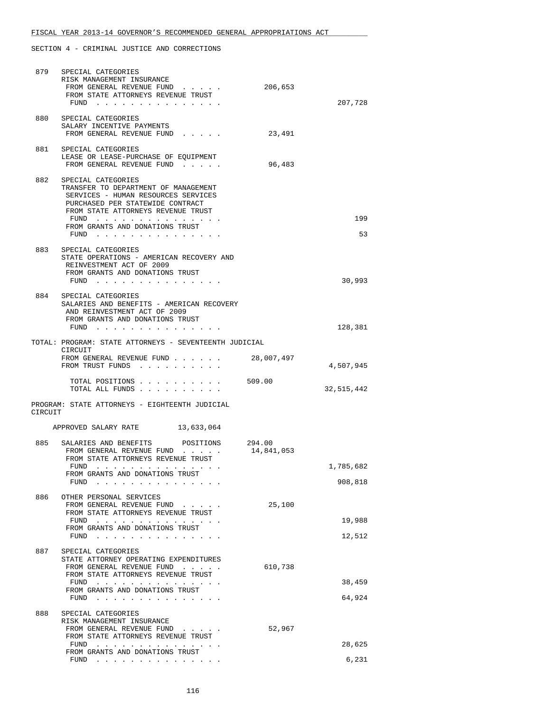| 879     | SPECIAL CATEGORIES<br>RISK MANAGEMENT INSURANCE<br>FROM GENERAL REVENUE FUND                                                                                                                                                                                                                                                                                                                                                                            | 206,653              |                      |
|---------|---------------------------------------------------------------------------------------------------------------------------------------------------------------------------------------------------------------------------------------------------------------------------------------------------------------------------------------------------------------------------------------------------------------------------------------------------------|----------------------|----------------------|
|         | FROM STATE ATTORNEYS REVENUE TRUST<br>$FUND$                                                                                                                                                                                                                                                                                                                                                                                                            |                      | 207,728              |
|         | 880 SPECIAL CATEGORIES<br>SALARY INCENTIVE PAYMENTS<br>FROM GENERAL REVENUE FUND                                                                                                                                                                                                                                                                                                                                                                        | 23,491               |                      |
| 881     | SPECIAL CATEGORIES<br>LEASE OR LEASE-PURCHASE OF EQUIPMENT<br>FROM GENERAL REVENUE FUND                                                                                                                                                                                                                                                                                                                                                                 | 96,483               |                      |
| 882     | SPECIAL CATEGORIES<br>TRANSFER TO DEPARTMENT OF MANAGEMENT<br>SERVICES - HUMAN RESOURCES SERVICES<br>PURCHASED PER STATEWIDE CONTRACT<br>FROM STATE ATTORNEYS REVENUE TRUST<br>FUND<br>FROM GRANTS AND DONATIONS TRUST<br>FUND $\cdots$                                                                                                                                                                                                                 |                      | 199<br>53            |
| 883     | SPECIAL CATEGORIES<br>STATE OPERATIONS - AMERICAN RECOVERY AND<br>REINVESTMENT ACT OF 2009<br>FROM GRANTS AND DONATIONS TRUST<br>FUND $\cdots$                                                                                                                                                                                                                                                                                                          |                      | 30,993               |
|         | 884 SPECIAL CATEGORIES<br>SALARIES AND BENEFITS - AMERICAN RECOVERY<br>AND REINVESTMENT ACT OF 2009<br>FROM GRANTS AND DONATIONS TRUST<br>FUND $\cdots$                                                                                                                                                                                                                                                                                                 |                      | 128,381              |
|         | TOTAL: PROGRAM: STATE ATTORNEYS - SEVENTEENTH JUDICIAL                                                                                                                                                                                                                                                                                                                                                                                                  |                      |                      |
|         | CIRCUIT<br>FROM GENERAL REVENUE FUND<br>FROM TRUST FUNDS                                                                                                                                                                                                                                                                                                                                                                                                | 28,007,497           | 4,507,945            |
|         | TOTAL POSITIONS 509.00<br>TOTAL ALL FUNDS                                                                                                                                                                                                                                                                                                                                                                                                               |                      | 32,515,442           |
| CIRCUIT | PROGRAM: STATE ATTORNEYS - EIGHTEENTH JUDICIAL                                                                                                                                                                                                                                                                                                                                                                                                          |                      |                      |
|         | APPROVED SALARY RATE<br>13,633,064                                                                                                                                                                                                                                                                                                                                                                                                                      |                      |                      |
| 885     | SALARIES AND BENEFITS POSITIONS<br>FROM GENERAL REVENUE FUND<br>FROM STATE ATTORNEYS REVENUE TRUST                                                                                                                                                                                                                                                                                                                                                      | 294.00<br>14,841,053 |                      |
|         | FUND<br>.<br>FROM GRANTS AND DONATIONS TRUST<br>FUND                                                                                                                                                                                                                                                                                                                                                                                                    |                      | 1,785,682<br>908,818 |
| 886     | OTHER PERSONAL SERVICES<br>FROM GENERAL REVENUE FUND<br>FROM STATE ATTORNEYS REVENUE TRUST<br>FUND<br>the contract of the contract of the contract of the contract of the contract of the contract of the contract of<br>FROM GRANTS AND DONATIONS TRUST                                                                                                                                                                                                | 25,100               | 19,988               |
|         | $FUND$                                                                                                                                                                                                                                                                                                                                                                                                                                                  |                      | 12,512               |
| 887     | SPECIAL CATEGORIES<br>STATE ATTORNEY OPERATING EXPENDITURES<br>FROM GENERAL REVENUE FUND<br>FROM STATE ATTORNEYS REVENUE TRUST<br>the second contract of the second contract of the second second contract of the second second second second second second second second second second second second second second second second second second second second se<br>FUND<br>FROM GRANTS AND DONATIONS TRUST<br>FUND $\cdots$ $\cdots$ $\cdots$ $\cdots$ | 610,738              | 38,459<br>64,924     |
| 888     | SPECIAL CATEGORIES<br>RISK MANAGEMENT INSURANCE<br>FROM GENERAL REVENUE FUND<br>FROM STATE ATTORNEYS REVENUE TRUST                                                                                                                                                                                                                                                                                                                                      | 52,967               |                      |
|         | FUND<br>.<br>FROM GRANTS AND DONATIONS TRUST                                                                                                                                                                                                                                                                                                                                                                                                            |                      | 28,625               |
|         | FUND $\cdots$                                                                                                                                                                                                                                                                                                                                                                                                                                           |                      | 6,231                |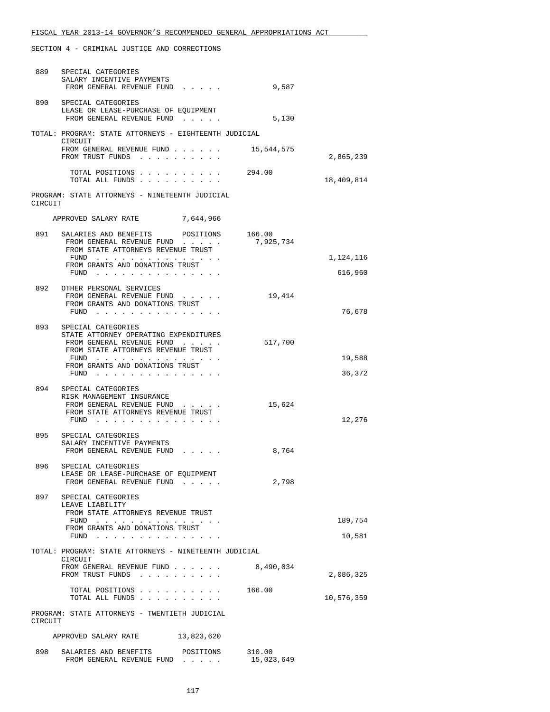| 889     | SPECIAL CATEGORIES<br>SALARY INCENTIVE PAYMENTS<br>FROM GENERAL REVENUE FUND                                                       | 9,587                |                   |
|---------|------------------------------------------------------------------------------------------------------------------------------------|----------------------|-------------------|
| 890     | SPECIAL CATEGORIES<br>LEASE OR LEASE-PURCHASE OF EQUIPMENT<br>FROM GENERAL REVENUE FUND                                            | 5,130                |                   |
|         | TOTAL: PROGRAM: STATE ATTORNEYS - EIGHTEENTH JUDICIAL<br>CIRCUIT                                                                   |                      |                   |
|         | FROM GENERAL REVENUE FUND<br>FROM TRUST FUNDS                                                                                      | 15,544,575           | 2,865,239         |
|         | TOTAL POSITIONS<br>TOTAL ALL FUNDS                                                                                                 | 294.00               | 18,409,814        |
| CIRCUIT | PROGRAM: STATE ATTORNEYS - NINETEENTH JUDICIAL                                                                                     |                      |                   |
|         | APPROVED SALARY RATE 7,644,966                                                                                                     |                      |                   |
| 891     | SALARIES AND BENEFITS POSITIONS 166.00<br>FROM GENERAL REVENUE FUND<br>FROM STATE ATTORNEYS REVENUE TRUST                          | 7,925,734            |                   |
|         | FUND<br>FROM GRANTS AND DONATIONS TRUST                                                                                            |                      | 1,124,116         |
|         | $FUND$                                                                                                                             |                      | 616,960           |
| 892     | OTHER PERSONAL SERVICES<br>FROM GENERAL REVENUE FUND<br>FROM GRANTS AND DONATIONS TRUST                                            | 19,414               |                   |
|         | FUND $\ldots$                                                                                                                      |                      | 76,678            |
|         | 893 SPECIAL CATEGORIES<br>STATE ATTORNEY OPERATING EXPENDITURES<br>FROM GENERAL REVENUE FUND<br>FROM STATE ATTORNEYS REVENUE TRUST | 517,700              |                   |
|         | FUND $\cdots$<br>FROM GRANTS AND DONATIONS TRUST<br>FUND $\cdots$                                                                  |                      | 19,588<br>36,372  |
| 894     | SPECIAL CATEGORIES                                                                                                                 |                      |                   |
|         | RISK MANAGEMENT INSURANCE<br>FROM GENERAL REVENUE FUND<br>FROM STATE ATTORNEYS REVENUE TRUST<br>FUND                               | 15,624               | 12,276            |
|         | 895 SPECIAL CATEGORIES<br>SALARY INCENTIVE PAYMENTS<br>FROM GENERAL REVENUE FUND                                                   | 8,764                |                   |
| 896     | SPECIAL CATEGORIES<br>LEASE OR LEASE-PURCHASE OF EQUIPMENT                                                                         |                      |                   |
|         | FROM GENERAL REVENUE FUND                                                                                                          | 2,798                |                   |
| 897     | SPECIAL CATEGORIES<br>LEAVE LIABILITY<br>FROM STATE ATTORNEYS REVENUE TRUST                                                        |                      |                   |
|         | $FUND$<br>FROM GRANTS AND DONATIONS TRUST<br>FUND                                                                                  |                      | 189,754<br>10,581 |
|         | TOTAL: PROGRAM: STATE ATTORNEYS - NINETEENTH JUDICIAL                                                                              |                      |                   |
|         | CIRCUIT<br>FROM GENERAL REVENUE FUND<br>FROM TRUST FUNDS                                                                           | 8,490,034            | 2,086,325         |
|         | TOTAL POSITIONS<br>TOTAL ALL FUNDS                                                                                                 | 166.00               | 10,576,359        |
| CIRCUIT | PROGRAM: STATE ATTORNEYS - TWENTIETH JUDICIAL                                                                                      |                      |                   |
|         | APPROVED SALARY RATE<br>13,823,620                                                                                                 |                      |                   |
| 898     | SALARIES AND BENEFITS<br>POSITIONS<br>FROM GENERAL REVENUE FUND                                                                    | 310.00<br>15,023,649 |                   |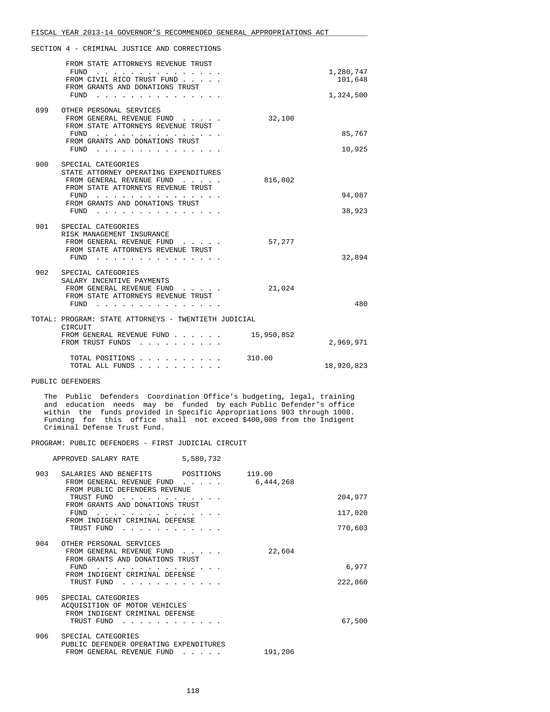|     | FROM STATE ATTORNEYS REVENUE TRUST<br>FUND<br>$\begin{array}{cccccccccccccccccc} . & . & . & . & . & . & . & . & . & . & . & . & . \end{array}$<br>FROM CIVIL RICO TRUST FUND<br>FROM GRANTS AND DONATIONS TRUST<br>FUND<br>.  |            | 1,280,747<br>101,648<br>1,324,500 |
|-----|--------------------------------------------------------------------------------------------------------------------------------------------------------------------------------------------------------------------------------|------------|-----------------------------------|
| 899 | OTHER PERSONAL SERVICES<br>FROM GENERAL REVENUE FUND<br>FROM STATE ATTORNEYS REVENUE TRUST<br>FUND<br>FROM GRANTS AND DONATIONS TRUST<br>FUND                                                                                  | 32,100     | 85,767<br>10,925                  |
| 900 | SPECIAL CATEGORIES<br>STATE ATTORNEY OPERATING EXPENDITURES<br>FROM GENERAL REVENUE FUND<br>FROM STATE ATTORNEYS REVENUE TRUST<br>FUND<br>$\sim$ $\sim$ $\sim$ $\sim$ $\sim$ $\sim$<br>FROM GRANTS AND DONATIONS TRUST<br>FUND | 816,802    | 94,087<br>38,923                  |
| 901 | SPECIAL CATEGORIES<br>RISK MANAGEMENT INSURANCE<br>FROM GENERAL REVENUE FUND<br>FROM STATE ATTORNEYS REVENUE TRUST<br>FUND<br>and a series and a series of                                                                     | 57,277     | 32,894                            |
| 902 | SPECIAL CATEGORIES<br>SALARY INCENTIVE PAYMENTS<br>FROM GENERAL REVENUE FUND<br>FROM STATE ATTORNEYS REVENUE TRUST<br>FUND<br>$\mathbf{r}$ and $\mathbf{r}$ and $\mathbf{r}$                                                   | 21,024     | 480                               |
|     | TOTAL: PROGRAM: STATE ATTORNEYS - TWENTIETH JUDICIAL<br>CIRCUIT<br>FROM GENERAL REVENUE FUND<br>FROM TRUST FUNDS                                                                                                               | 15,950,852 | 2,969,971                         |
|     | TOTAL POSITIONS.<br>TOTAL ALL FUNDS                                                                                                                                                                                            | 310.00     | 18,920,823                        |

PUBLIC DEFENDERS

 The Public Defenders Coordination Office's budgeting, legal, training and education needs may be funded by each Public Defender's office within the funds provided in Specific Appropriations 903 through 1008. Funding for this office shall not exceed \$400,000 from the Indigent Criminal Defense Trust Fund.

#### PROGRAM: PUBLIC DEFENDERS - FIRST JUDICIAL CIRCUIT

|     | 5,580,732<br>APPROVED SALARY RATE                                                                    |           |         |
|-----|------------------------------------------------------------------------------------------------------|-----------|---------|
| 903 | SALARIES AND BENEFITS POSITIONS 119.00<br>FROM GENERAL REVENUE FUND<br>FROM PUBLIC DEFENDERS REVENUE | 6,444,268 |         |
|     | TRUST FUND<br>FROM GRANTS AND DONATIONS TRUST                                                        |           | 204,977 |
|     | FUND                                                                                                 |           | 117,020 |
|     | FROM INDIGENT CRIMINAL DEFENSE<br>TRUST FUND                                                         |           | 770,603 |
| 904 | OTHER PERSONAL SERVICES<br>FROM GENERAL REVENUE FUND<br>FROM GRANTS AND DONATIONS TRUST              | 22,604    |         |
|     | FUND<br>FROM INDIGENT CRIMINAL DEFENSE                                                               |           | 6,977   |
|     | TRUST FUND                                                                                           |           | 222,860 |
| 905 | SPECIAL CATEGORIES<br>ACOUISITION OF MOTOR VEHICLES<br>FROM INDIGENT CRIMINAL DEFENSE<br>TRUST FUND  |           | 67,500  |
| 906 | SPECIAL CATEGORIES<br>PUBLIC DEFENDER OPERATING EXPENDITURES<br>FROM GENERAL REVENUE FUND            | 191,206   |         |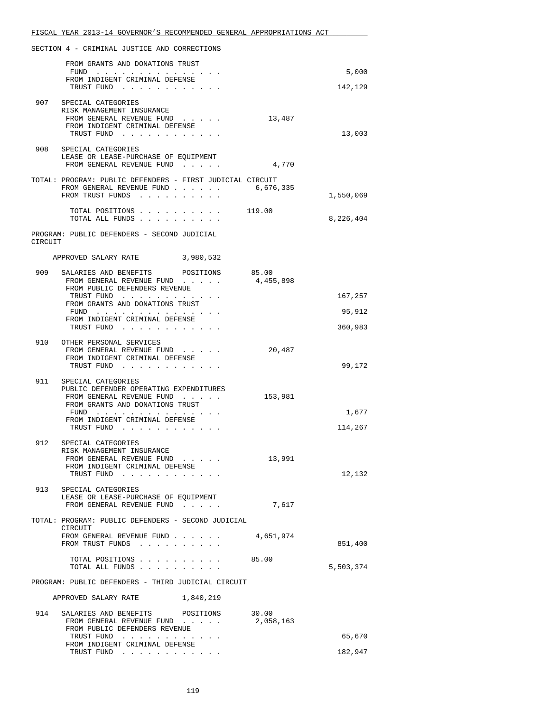|         | FROM GRANTS AND DONATIONS TRUST                                   |                    |           |
|---------|-------------------------------------------------------------------|--------------------|-----------|
|         | FUND<br>FROM INDIGENT CRIMINAL DEFENSE                            |                    | 5,000     |
|         | TRUST FUND                                                        |                    | 142,129   |
|         | 907 SPECIAL CATEGORIES                                            |                    |           |
|         | RISK MANAGEMENT INSURANCE<br>FROM GENERAL REVENUE FUND            | 13,487             |           |
|         | FROM INDIGENT CRIMINAL DEFENSE<br>TRUST FUND                      |                    | 13,003    |
|         |                                                                   |                    |           |
| 908     | SPECIAL CATEGORIES<br>LEASE OR LEASE-PURCHASE OF EQUIPMENT        |                    |           |
|         | FROM GENERAL REVENUE FUND                                         | 4,770              |           |
|         | TOTAL: PROGRAM: PUBLIC DEFENDERS - FIRST JUDICIAL CIRCUIT         |                    |           |
|         | FROM GENERAL REVENUE FUND<br>FROM TRUST FUNDS                     | 6,676,335          | 1,550,069 |
|         | TOTAL POSITIONS                                                   | 119.00             |           |
|         | TOTAL ALL FUNDS                                                   |                    | 8,226,404 |
| CIRCUIT | PROGRAM: PUBLIC DEFENDERS - SECOND JUDICIAL                       |                    |           |
|         | APPROVED SALARY RATE<br>3,980,532                                 |                    |           |
| 909     | SALARIES AND BENEFITS POSITIONS                                   | 85.00              |           |
|         | FROM GENERAL REVENUE FUND                                         | 4,455,898          |           |
|         | FROM PUBLIC DEFENDERS REVENUE<br>TRUST FUND                       |                    | 167,257   |
|         | FROM GRANTS AND DONATIONS TRUST<br>FUND                           |                    | 95,912    |
|         | FROM INDIGENT CRIMINAL DEFENSE                                    |                    |           |
|         | TRUST FUND                                                        |                    | 360,983   |
| 910     | OTHER PERSONAL SERVICES<br>FROM GENERAL REVENUE FUND              | 20,487             |           |
|         | FROM INDIGENT CRIMINAL DEFENSE                                    |                    |           |
|         | TRUST FUND                                                        |                    | 99,172    |
| 911     | SPECIAL CATEGORIES<br>PUBLIC DEFENDER OPERATING EXPENDITURES      |                    |           |
|         | FROM GENERAL REVENUE FUND                                         | 153,981            |           |
|         | FROM GRANTS AND DONATIONS TRUST<br>FUND $\cdots$                  |                    | 1,677     |
|         | FROM INDIGENT CRIMINAL DEFENSE<br>TRUST FUND                      |                    | 114,267   |
|         |                                                                   |                    |           |
|         | 912 SPECIAL CATEGORIES<br>RISK MANAGEMENT INSURANCE               |                    |           |
|         | FROM GENERAL REVENUE FUND<br>FROM INDIGENT CRIMINAL DEFENSE       | 13,991             |           |
|         | TRUST FUND                                                        |                    | 12,132    |
| 913     | SPECIAL CATEGORIES                                                |                    |           |
|         | LEASE OR LEASE-PURCHASE OF EQUIPMENT<br>FROM GENERAL REVENUE FUND | 7,617              |           |
|         |                                                                   |                    |           |
|         | TOTAL: PROGRAM: PUBLIC DEFENDERS - SECOND JUDICIAL<br>CIRCUIT     |                    |           |
|         | FROM GENERAL REVENUE FUND<br>FROM TRUST FUNDS                     | 4,651,974          | 851,400   |
|         | TOTAL POSITIONS                                                   | 85.00              |           |
|         | TOTAL ALL FUNDS                                                   |                    | 5,503,374 |
|         | PROGRAM: PUBLIC DEFENDERS - THIRD JUDICIAL CIRCUIT                |                    |           |
|         | APPROVED SALARY RATE<br>1,840,219                                 |                    |           |
| 914     | SALARIES AND BENEFITS<br>POSITIONS<br>FROM GENERAL REVENUE FUND   | 30.00<br>2,058,163 |           |
|         | FROM PUBLIC DEFENDERS REVENUE                                     |                    |           |
|         | TRUST FUND<br>FROM INDIGENT CRIMINAL DEFENSE                      |                    | 65,670    |
|         | TRUST FUND                                                        |                    | 182,947   |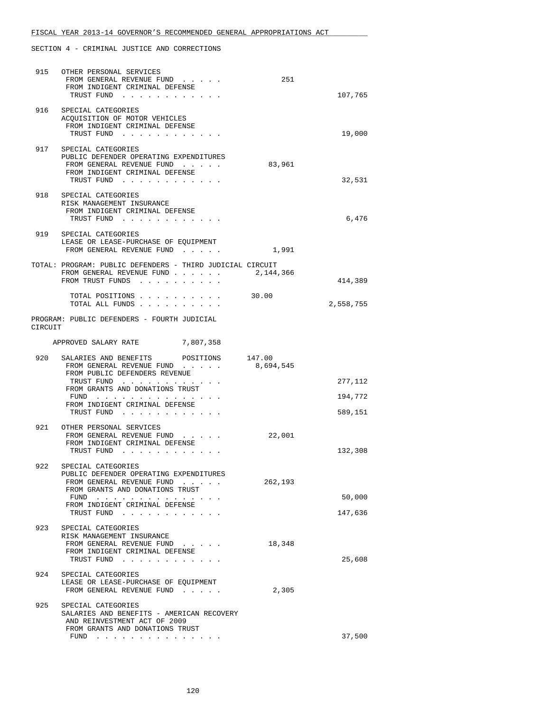| 915     | OTHER PERSONAL SERVICES<br>FROM GENERAL REVENUE FUND<br>FROM INDIGENT CRIMINAL DEFENSE<br>TRUST FUND                                      | 251       | 107,765   |
|---------|-------------------------------------------------------------------------------------------------------------------------------------------|-----------|-----------|
|         | 916 SPECIAL CATEGORIES<br>ACQUISITION OF MOTOR VEHICLES<br>FROM INDIGENT CRIMINAL DEFENSE<br>TRUST FUND                                   |           | 19,000    |
| 917     | SPECIAL CATEGORIES<br>PUBLIC DEFENDER OPERATING EXPENDITURES<br>FROM GENERAL REVENUE FUND<br>FROM INDIGENT CRIMINAL DEFENSE<br>TRUST FUND | 83,961    | 32,531    |
|         | 918 SPECIAL CATEGORIES<br>RISK MANAGEMENT INSURANCE<br>FROM INDIGENT CRIMINAL DEFENSE<br>TRUST FUND                                       |           | 6,476     |
|         | 919 SPECIAL CATEGORIES<br>LEASE OR LEASE-PURCHASE OF EQUIPMENT<br>FROM GENERAL REVENUE FUND                                               | 1,991     |           |
|         | TOTAL: PROGRAM: PUBLIC DEFENDERS - THIRD JUDICIAL CIRCUIT<br>FROM GENERAL REVENUE FUND 2, 144, 366<br>FROM TRUST FUNDS                    |           | 414,389   |
|         | TOTAL POSITIONS 30.00<br>TOTAL ALL FUNDS                                                                                                  |           | 2,558,755 |
| CIRCUIT | PROGRAM: PUBLIC DEFENDERS - FOURTH JUDICIAL                                                                                               |           |           |
|         | APPROVED SALARY RATE 7,807,358                                                                                                            |           |           |
|         | 920 SALARIES AND BENEFITS POSITIONS 147.00<br>FROM GENERAL REVENUE FUND<br>FROM PUBLIC DEFENDERS REVENUE                                  | 8,694,545 |           |
|         | TRUST FUND<br>FROM GRANTS AND DONATIONS TRUST                                                                                             |           | 277,112   |
|         | FUND<br>FROM INDIGENT CRIMINAL DEFENSE                                                                                                    |           | 194,772   |
|         | TRUST FUND                                                                                                                                |           | 589,151   |
|         | 921 OTHER PERSONAL SERVICES<br>FROM GENERAL REVENUE FUND<br>FROM INDIGENT CRIMINAL DEFENSE<br>TRUST FUND                                  | 22,001    | 132,308   |
| 922     | SPECIAL CATEGORIES                                                                                                                        |           |           |
|         | PUBLIC DEFENDER OPERATING EXPENDITURES<br>FROM GENERAL REVENUE FUND<br>FROM GRANTS AND DONATIONS TRUST                                    | 262,193   |           |
|         | FUND<br>FROM INDIGENT CRIMINAL DEFENSE                                                                                                    |           | 50,000    |
|         | TRUST FUND                                                                                                                                |           | 147,636   |
| 923     | SPECIAL CATEGORIES<br>RISK MANAGEMENT INSURANCE<br>FROM GENERAL REVENUE FUND<br>FROM INDIGENT CRIMINAL DEFENSE<br>TRUST FUND              | 18,348    | 25,608    |
| 924     | SPECIAL CATEGORIES<br>LEASE OR LEASE-PURCHASE OF EQUIPMENT<br>FROM GENERAL REVENUE FUND                                                   | 2,305     |           |
| 925     | SPECIAL CATEGORIES<br>SALARIES AND BENEFITS - AMERICAN RECOVERY<br>AND REINVESTMENT ACT OF 2009<br>FROM GRANTS AND DONATIONS TRUST        |           |           |
|         | FUND $\ldots$ $\ldots$ $\ldots$ $\ldots$ $\ldots$ $\ldots$ $\ldots$                                                                       |           | 37,500    |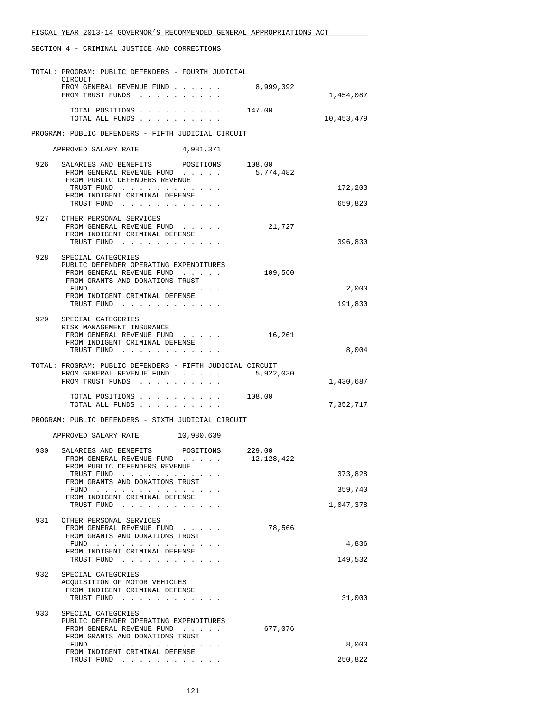|     | TOTAL: PROGRAM: PUBLIC DEFENDERS - FOURTH JUDICIAL                                                         |            |            |
|-----|------------------------------------------------------------------------------------------------------------|------------|------------|
|     | CIRCUIT<br>FROM GENERAL REVENUE FUND<br>FROM TRUST FUNDS                                                   | 8,999,392  | 1,454,087  |
|     | TOTAL POSITIONS 147.00<br>TOTAL ALL FUNDS                                                                  |            | 10,453,479 |
|     | PROGRAM: PUBLIC DEFENDERS - FIFTH JUDICIAL CIRCUIT                                                         |            |            |
|     | APPROVED SALARY RATE<br>4,981,371                                                                          |            |            |
|     | 926 SALARIES AND BENEFITS POSITIONS                                                                        | 108.00     |            |
|     | FROM GENERAL REVENUE FUND<br>FROM PUBLIC DEFENDERS REVENUE                                                 | 5,774,482  |            |
|     | TRUST FUND<br>FROM INDIGENT CRIMINAL DEFENSE                                                               |            | 172,203    |
|     | TRUST FUND                                                                                                 |            | 659,820    |
|     | 927 OTHER PERSONAL SERVICES<br>FROM GENERAL REVENUE FUND<br>FROM INDIGENT CRIMINAL DEFENSE<br>TRUST FUND   | 21,727     | 396,830    |
| 928 | SPECIAL CATEGORIES                                                                                         |            |            |
|     | PUBLIC DEFENDER OPERATING EXPENDITURES<br>FROM GENERAL REVENUE FUND                                        | 109,560    |            |
|     | FROM GRANTS AND DONATIONS TRUST                                                                            |            | 2,000      |
|     | FUND<br>FROM INDIGENT CRIMINAL DEFENSE                                                                     |            |            |
|     | TRUST FUND                                                                                                 |            | 191,830    |
|     | 929 SPECIAL CATEGORIES<br>RISK MANAGEMENT INSURANCE                                                        |            |            |
|     | FROM GENERAL REVENUE FUND<br>FROM INDIGENT CRIMINAL DEFENSE                                                | 16,261     |            |
|     | TRUST FUND                                                                                                 |            | 8,004      |
|     | TOTAL: PROGRAM: PUBLIC DEFENDERS - FIFTH JUDICIAL CIRCUIT<br>FROM GENERAL REVENUE FUND<br>FROM TRUST FUNDS | 5,922,030  | 1,430,687  |
|     | TOTAL POSITIONS 108.00<br>TOTAL ALL FUNDS                                                                  |            | 7,352,717  |
|     | PROGRAM: PUBLIC DEFENDERS - SIXTH JUDICIAL CIRCUIT                                                         |            |            |
|     | APPROVED SALARY RATE 10,980,639                                                                            |            |            |
| 930 | SALARIES AND BENEFITS POSITIONS 229.00<br>FROM GENERAL REVENUE FUND                                        | 12,128,422 |            |
|     | FROM PUBLIC DEFENDERS REVENUE<br>TRUST FUND                                                                |            | 373,828    |
|     | FROM GRANTS AND DONATIONS TRUST<br>FUND $\cdots$                                                           |            | 359,740    |
|     | FROM INDIGENT CRIMINAL DEFENSE<br>TRUST FUND                                                               |            | 1,047,378  |
| 931 | OTHER PERSONAL SERVICES                                                                                    |            |            |
|     | FROM GENERAL REVENUE FUND<br>FROM GRANTS AND DONATIONS TRUST                                               | 78,566     |            |
|     | FUND $\cdots$<br>FROM INDIGENT CRIMINAL DEFENSE                                                            |            | 4,836      |
|     | TRUST FUND                                                                                                 |            | 149,532    |
| 932 | SPECIAL CATEGORIES<br>ACQUISITION OF MOTOR VEHICLES                                                        |            |            |
|     | FROM INDIGENT CRIMINAL DEFENSE<br>TRUST FUND                                                               |            | 31,000     |
| 933 | SPECIAL CATEGORIES                                                                                         |            |            |
|     | PUBLIC DEFENDER OPERATING EXPENDITURES<br>FROM GENERAL REVENUE FUND                                        | 677,076    |            |
|     | FROM GRANTS AND DONATIONS TRUST<br>FUND                                                                    |            | 8,000      |
|     | FROM INDIGENT CRIMINAL DEFENSE<br>TRUST FUND                                                               |            | 250,822    |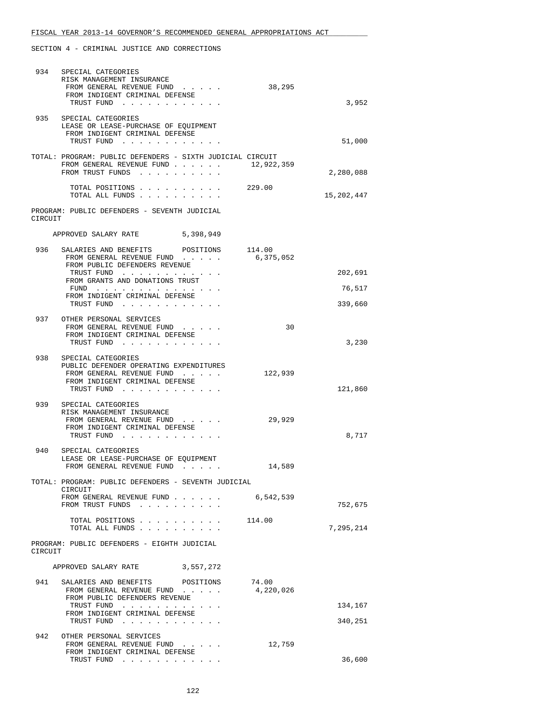| 934     | SPECIAL CATEGORIES                                                     |                     |            |
|---------|------------------------------------------------------------------------|---------------------|------------|
|         | RISK MANAGEMENT INSURANCE<br>FROM GENERAL REVENUE FUND                 | 38,295              |            |
|         | FROM INDIGENT CRIMINAL DEFENSE                                         |                     |            |
|         | TRUST FUND                                                             |                     | 3,952      |
| 935     | SPECIAL CATEGORIES                                                     |                     |            |
|         | LEASE OR LEASE-PURCHASE OF EQUIPMENT<br>FROM INDIGENT CRIMINAL DEFENSE |                     |            |
|         | TRUST FUND                                                             |                     | 51,000     |
|         | TOTAL: PROGRAM: PUBLIC DEFENDERS - SIXTH JUDICIAL CIRCUIT              |                     |            |
|         | FROM GENERAL REVENUE FUND                                              | 12,922,359          |            |
|         | FROM TRUST FUNDS                                                       |                     | 2,280,088  |
|         | TOTAL POSITIONS                                                        | 229.00              |            |
|         | TOTAL ALL FUNDS                                                        |                     | 15,202,447 |
|         | PROGRAM: PUBLIC DEFENDERS - SEVENTH JUDICIAL                           |                     |            |
| CIRCUIT |                                                                        |                     |            |
|         | APPROVED SALARY RATE<br>5,398,949                                      |                     |            |
|         |                                                                        |                     |            |
| 936     | SALARIES AND BENEFITS POSITIONS<br>FROM GENERAL REVENUE FUND           | 114.00<br>6,375,052 |            |
|         | FROM PUBLIC DEFENDERS REVENUE                                          |                     |            |
|         | TRUST FUND<br>FROM GRANTS AND DONATIONS TRUST                          |                     | 202,691    |
|         | FUND $\cdots$                                                          |                     | 76,517     |
|         | FROM INDIGENT CRIMINAL DEFENSE<br>TRUST FUND                           |                     | 339,660    |
|         |                                                                        |                     |            |
| 937     | OTHER PERSONAL SERVICES<br>FROM GENERAL REVENUE FUND                   | 30                  |            |
|         | FROM INDIGENT CRIMINAL DEFENSE                                         |                     |            |
|         | TRUST FUND                                                             |                     | 3,230      |
| 938     | SPECIAL CATEGORIES                                                     |                     |            |
|         | PUBLIC DEFENDER OPERATING EXPENDITURES<br>FROM GENERAL REVENUE FUND    | 122,939             |            |
|         | FROM INDIGENT CRIMINAL DEFENSE                                         |                     |            |
|         | TRUST FUND                                                             |                     | 121,860    |
| 939     | SPECIAL CATEGORIES                                                     |                     |            |
|         | RISK MANAGEMENT INSURANCE<br>FROM GENERAL REVENUE FUND                 | 29,929              |            |
|         | FROM INDIGENT CRIMINAL DEFENSE                                         |                     |            |
|         | TRUST FUND                                                             |                     | 8,717      |
| 940     | SPECIAL CATEGORIES                                                     |                     |            |
|         | LEASE OR LEASE-PURCHASE OF EQUIPMENT                                   | 14,589              |            |
|         | FROM GENERAL REVENUE FUND                                              |                     |            |
|         | TOTAL: PROGRAM: PUBLIC DEFENDERS - SEVENTH JUDICIAL                    |                     |            |
|         | CIRCUIT<br>FROM GENERAL REVENUE FUND                                   | 6,542,539           |            |
|         | FROM TRUST FUNDS                                                       |                     | 752,675    |
|         | TOTAL POSITIONS 114.00                                                 |                     |            |
|         | TOTAL ALL FUNDS                                                        |                     | 7,295,214  |
| CIRCUIT | PROGRAM: PUBLIC DEFENDERS - EIGHTH JUDICIAL                            |                     |            |
|         | APPROVED SALARY RATE<br>3,557,272                                      |                     |            |
|         |                                                                        |                     |            |
|         | 941 SALARIES AND BENEFITS POSITIONS<br>FROM GENERAL REVENUE FUND       | 74.00<br>4,220,026  |            |
|         | FROM PUBLIC DEFENDERS REVENUE                                          |                     |            |
|         | TRUST FUND<br>FROM INDIGENT CRIMINAL DEFENSE                           |                     | 134,167    |
|         | TRUST FUND                                                             |                     | 340,251    |
| 942     | OTHER PERSONAL SERVICES                                                |                     |            |
|         | FROM GENERAL REVENUE FUND                                              | 12,759              |            |
|         | FROM INDIGENT CRIMINAL DEFENSE<br>TRUST FUND                           |                     | 36,600     |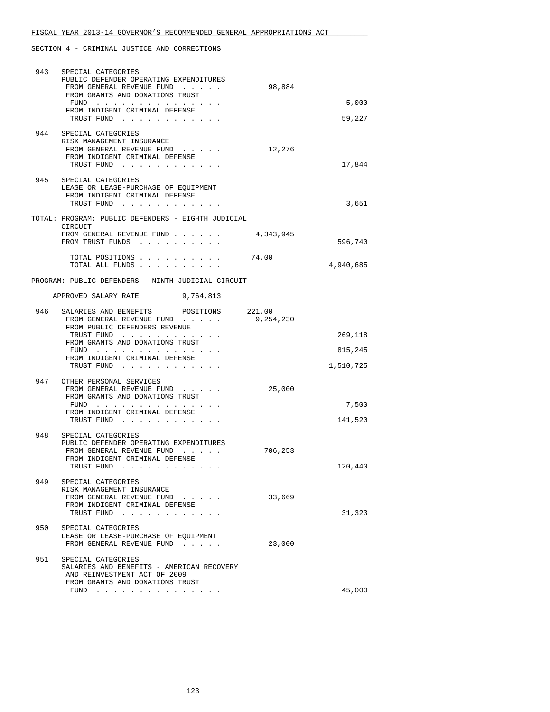| 943 | SPECIAL CATEGORIES<br>PUBLIC DEFENDER OPERATING EXPENDITURES                                               |                     |                      |
|-----|------------------------------------------------------------------------------------------------------------|---------------------|----------------------|
|     | FROM GENERAL REVENUE FUND<br>FROM GRANTS AND DONATIONS TRUST                                               | 98,884              |                      |
|     | FUND<br>FROM INDIGENT CRIMINAL DEFENSE                                                                     |                     | 5,000                |
|     | TRUST FUND                                                                                                 |                     | 59,227               |
| 944 | SPECIAL CATEGORIES<br>RISK MANAGEMENT INSURANCE<br>FROM GENERAL REVENUE FUND                               | 12,276              |                      |
|     | FROM INDIGENT CRIMINAL DEFENSE<br>TRUST FUND                                                               |                     | 17,844               |
| 945 | SPECIAL CATEGORIES<br>LEASE OR LEASE-PURCHASE OF EQUIPMENT<br>FROM INDIGENT CRIMINAL DEFENSE<br>TRUST FUND |                     | 3,651                |
|     | TOTAL: PROGRAM: PUBLIC DEFENDERS - EIGHTH JUDICIAL<br>CIRCUIT                                              |                     |                      |
|     | FROM GENERAL REVENUE FUND<br>FROM TRUST FUNDS                                                              | 4,343,945           | 596,740              |
|     | TOTAL POSITIONS<br>TOTAL ALL FUNDS                                                                         | 74.00               | 4,940,685            |
|     | PROGRAM: PUBLIC DEFENDERS - NINTH JUDICIAL CIRCUIT                                                         |                     |                      |
|     | APPROVED SALARY RATE 9,764,813                                                                             |                     |                      |
| 946 | SALARIES AND BENEFITS POSITIONS<br>FROM GENERAL REVENUE FUND<br>FROM PUBLIC DEFENDERS REVENUE              | 221.00<br>9,254,230 |                      |
|     | TRUST FUND<br>FROM GRANTS AND DONATIONS TRUST                                                              |                     | 269,118              |
|     | FROM INDIGENT CRIMINAL DEFENSE<br>TRUST FUND                                                               |                     | 815,245<br>1,510,725 |
| 947 | OTHER PERSONAL SERVICES<br>FROM GENERAL REVENUE FUND<br>FROM GRANTS AND DONATIONS TRUST                    | 25,000              | 7,500                |
|     | FROM INDIGENT CRIMINAL DEFENSE<br>TRUST FUND                                                               |                     | 141,520              |
| 948 | SPECIAL CATEGORIES<br>PUBLIC DEFENDER OPERATING EXPENDITURES                                               |                     |                      |
|     | FROM GENERAL REVENUE FUND<br>FROM INDIGENT CRIMINAL DEFENSE<br>TRUST FUND                                  | 706,253             | 120,440              |
|     | 949 SPECIAL CATEGORIES<br>RISK MANAGEMENT INSURANCE<br>FROM GENERAL REVENUE FUND                           | 33,669              |                      |
|     | FROM INDIGENT CRIMINAL DEFENSE<br>TRUST FUND                                                               |                     | 31,323               |
| 950 | SPECIAL CATEGORIES<br>LEASE OR LEASE-PURCHASE OF EQUIPMENT<br>FROM GENERAL REVENUE FUND                    | 23,000              |                      |
| 951 | SPECIAL CATEGORIES<br>SALARIES AND BENEFITS - AMERICAN RECOVERY<br>AND REINVESTMENT ACT OF 2009            |                     |                      |
|     | FROM GRANTS AND DONATIONS TRUST<br>FUND $\cdots$                                                           |                     | 45,000               |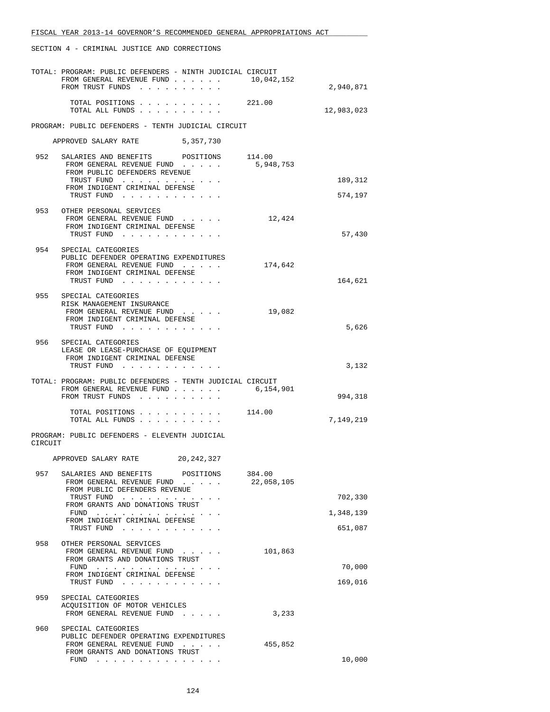|         | TOTAL: PROGRAM: PUBLIC DEFENDERS - NINTH JUDICIAL CIRCUIT<br>FROM GENERAL REVENUE FUND 10,042,152<br>FROM TRUST FUNDS |                      | 2,940,871  |
|---------|-----------------------------------------------------------------------------------------------------------------------|----------------------|------------|
|         | TOTAL POSITIONS<br>TOTAL ALL FUNDS                                                                                    | 221.00               | 12,983,023 |
|         | PROGRAM: PUBLIC DEFENDERS - TENTH JUDICIAL CIRCUIT                                                                    |                      |            |
|         | APPROVED SALARY RATE<br>5,357,730                                                                                     |                      |            |
| 952     | SALARIES AND BENEFITS POSITIONS                                                                                       | 114.00               |            |
|         | FROM GENERAL REVENUE FUND<br>FROM PUBLIC DEFENDERS REVENUE                                                            | 5,948,753            |            |
|         | TRUST FUND<br>FROM INDIGENT CRIMINAL DEFENSE                                                                          |                      | 189,312    |
|         | TRUST FUND                                                                                                            |                      | 574,197    |
|         | 953 OTHER PERSONAL SERVICES                                                                                           |                      |            |
|         | FROM GENERAL REVENUE FUND<br>FROM INDIGENT CRIMINAL DEFENSE                                                           | 12,424               |            |
|         | TRUST FUND                                                                                                            |                      | 57,430     |
|         | 954 SPECIAL CATEGORIES<br>PUBLIC DEFENDER OPERATING EXPENDITURES                                                      |                      |            |
|         | FROM GENERAL REVENUE FUND<br>FROM INDIGENT CRIMINAL DEFENSE                                                           | 174,642              |            |
|         | TRUST FUND                                                                                                            |                      | 164,621    |
| 955     | SPECIAL CATEGORIES<br>RISK MANAGEMENT INSURANCE                                                                       |                      |            |
|         | FROM GENERAL REVENUE FUND                                                                                             | 19,082               |            |
|         | FROM INDIGENT CRIMINAL DEFENSE<br>TRUST FUND                                                                          |                      | 5,626      |
| 956     | SPECIAL CATEGORIES<br>LEASE OR LEASE-PURCHASE OF EQUIPMENT<br>FROM INDIGENT CRIMINAL DEFENSE                          |                      |            |
|         | TRUST FUND                                                                                                            |                      | 3,132      |
|         | TOTAL: PROGRAM: PUBLIC DEFENDERS - TENTH JUDICIAL CIRCUIT<br>FROM GENERAL REVENUE FUND                                | 6,154,901            |            |
|         | FROM TRUST FUNDS                                                                                                      |                      | 994,318    |
|         | TOTAL POSITIONS<br>TOTAL ALL FUNDS                                                                                    | 114.00               | 7,149,219  |
| CIRCUIT | PROGRAM: PUBLIC DEFENDERS - ELEVENTH JUDICIAL                                                                         |                      |            |
|         | APPROVED SALARY RATE<br>20, 242, 327                                                                                  |                      |            |
| 957     | SALARIES AND BENEFITS<br>POSITIONS<br>FROM GENERAL REVENUE FUND<br>FROM PUBLIC DEFENDERS REVENUE                      | 384.00<br>22,058,105 |            |
|         | TRUST FUND                                                                                                            |                      | 702,330    |
|         | FROM GRANTS AND DONATIONS TRUST<br>FUND                                                                               |                      | 1,348,139  |
|         | FROM INDIGENT CRIMINAL DEFENSE<br>TRUST FUND                                                                          |                      | 651,087    |
| 958     | OTHER PERSONAL SERVICES                                                                                               |                      |            |
|         | FROM GENERAL REVENUE FUND<br>FROM GRANTS AND DONATIONS TRUST                                                          | 101,863              |            |
|         | FUND<br>FROM INDIGENT CRIMINAL DEFENSE                                                                                |                      | 70,000     |
|         | TRUST FUND                                                                                                            |                      | 169,016    |
| 959     | SPECIAL CATEGORIES<br>ACQUISITION OF MOTOR VEHICLES                                                                   |                      |            |
|         | FROM GENERAL REVENUE FUND                                                                                             | 3,233                |            |
| 960     | SPECIAL CATEGORIES                                                                                                    |                      |            |
|         | PUBLIC DEFENDER OPERATING EXPENDITURES<br>FROM GENERAL REVENUE FUND                                                   | 455,852              |            |
|         | FROM GRANTS AND DONATIONS TRUST<br>$FUND$                                                                             |                      | 10,000     |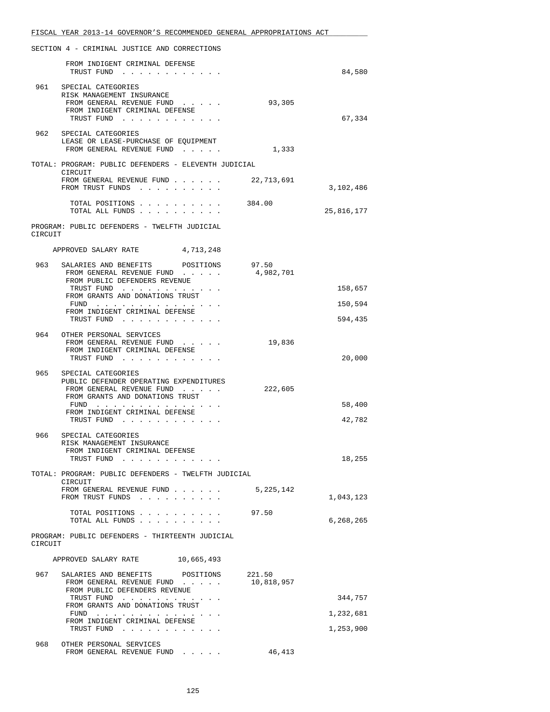|         | FISCAL YEAR 2013-14 GOVERNOR'S RECOMMENDED GENERAL APPROPRIATIONS ACT  |             |            |
|---------|------------------------------------------------------------------------|-------------|------------|
|         | SECTION 4 - CRIMINAL JUSTICE AND CORRECTIONS                           |             |            |
|         | FROM INDIGENT CRIMINAL DEFENSE                                         |             |            |
|         | TRUST FUND                                                             |             | 84,580     |
| 961     | SPECIAL CATEGORIES<br>RISK MANAGEMENT INSURANCE                        |             |            |
|         | FROM GENERAL REVENUE FUND                                              | 93,305      |            |
|         | FROM INDIGENT CRIMINAL DEFENSE<br>TRUST FUND                           |             | 67,334     |
|         | 962 SPECIAL CATEGORIES                                                 |             |            |
|         | LEASE OR LEASE-PURCHASE OF EQUIPMENT<br>FROM GENERAL REVENUE FUND      | 1,333       |            |
|         |                                                                        |             |            |
|         | TOTAL: PROGRAM: PUBLIC DEFENDERS - ELEVENTH JUDICIAL<br>CIRCUIT        |             |            |
|         | FROM GENERAL REVENUE FUND<br>FROM TRUST FUNDS                          | 22,713,691  | 3,102,486  |
|         | TOTAL POSITIONS 384.00                                                 |             |            |
|         | TOTAL ALL FUNDS                                                        |             | 25,816,177 |
|         | PROGRAM: PUBLIC DEFENDERS - TWELFTH JUDICIAL                           |             |            |
| CIRCUIT |                                                                        |             |            |
|         | APPROVED SALARY RATE 4,713,248                                         |             |            |
| 963     | SALARIES AND BENEFITS POSITIONS<br>FROM GENERAL REVENUE FUND 4,982,701 | 97.50       |            |
|         | FROM PUBLIC DEFENDERS REVENUE                                          |             |            |
|         | TRUST FUND<br>FROM GRANTS AND DONATIONS TRUST                          |             | 158,657    |
|         | FUND<br>FROM INDIGENT CRIMINAL DEFENSE                                 |             | 150,594    |
|         | TRUST FUND                                                             |             | 594,435    |
| 964     | OTHER PERSONAL SERVICES<br>FROM GENERAL REVENUE FUND                   | 19,836      |            |
|         | FROM INDIGENT CRIMINAL DEFENSE                                         |             |            |
|         | TRUST FUND                                                             |             | 20,000     |
| 965     | SPECIAL CATEGORIES<br>PUBLIC DEFENDER OPERATING EXPENDITURES           |             |            |
|         | FROM GENERAL REVENUE FUND<br>FROM GRANTS AND DONATIONS TRUST           | 222,605     |            |
|         | FUND<br>FROM INDIGENT CRIMINAL DEFENSE                                 |             | 58,400     |
|         | TRUST FUND                                                             |             | 42,782     |
| 966     | SPECIAL CATEGORIES                                                     |             |            |
|         | RISK MANAGEMENT INSURANCE<br>FROM INDIGENT CRIMINAL DEFENSE            |             |            |
|         | TRUST FUND                                                             |             | 18,255     |
|         | TOTAL: PROGRAM: PUBLIC DEFENDERS - TWELFTH JUDICIAL<br>CIRCUIT         |             |            |
|         | FROM GENERAL REVENUE FUND                                              | 5, 225, 142 |            |
|         | FROM TRUST FUNDS                                                       |             | 1,043,123  |
|         | TOTAL POSITIONS<br>TOTAL ALL FUNDS                                     | 97.50       | 6,268,265  |
|         | PROGRAM: PUBLIC DEFENDERS - THIRTEENTH JUDICIAL                        |             |            |
| CIRCUIT |                                                                        |             |            |
|         | APPROVED SALARY RATE<br>10,665,493                                     |             |            |
| 967     | SALARIES AND BENEFITS POSITIONS                                        | 221.50      |            |
|         | FROM GENERAL REVENUE FUND<br>FROM PUBLIC DEFENDERS REVENUE             | 10,818,957  |            |
|         | TRUST FUND<br>FROM GRANTS AND DONATIONS TRUST                          |             | 344,757    |
|         | FUND                                                                   |             | 1,232,681  |
|         | FROM INDIGENT CRIMINAL DEFENSE<br>TRUST FUND                           |             | 1,253,900  |
| 968     | OTHER PERSONAL SERVICES                                                |             |            |
|         | FROM GENERAL REVENUE FUND                                              | 46,413      |            |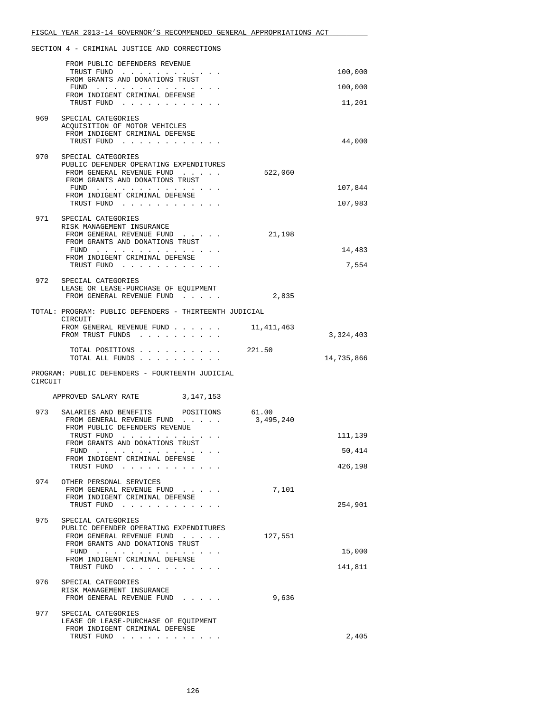|         | FROM PUBLIC DEFENDERS REVENUE                                                                                                                             |                    |            |
|---------|-----------------------------------------------------------------------------------------------------------------------------------------------------------|--------------------|------------|
|         | TRUST FUND<br>FROM GRANTS AND DONATIONS TRUST                                                                                                             |                    | 100,000    |
|         | FUND<br>FROM INDIGENT CRIMINAL DEFENSE                                                                                                                    |                    | 100,000    |
|         | TRUST FUND                                                                                                                                                |                    | 11,201     |
| 969     | SPECIAL CATEGORIES<br>ACQUISITION OF MOTOR VEHICLES                                                                                                       |                    |            |
|         | FROM INDIGENT CRIMINAL DEFENSE                                                                                                                            |                    |            |
|         | TRUST FUND                                                                                                                                                |                    | 44,000     |
| 970     | SPECIAL CATEGORIES<br>PUBLIC DEFENDER OPERATING EXPENDITURES                                                                                              |                    |            |
|         | FROM GENERAL REVENUE FUND<br>FROM GRANTS AND DONATIONS TRUST                                                                                              | 522,060            |            |
|         | FUND<br>FROM INDIGENT CRIMINAL DEFENSE                                                                                                                    |                    | 107,844    |
|         | TRUST FUND                                                                                                                                                |                    | 107,983    |
| 971     | SPECIAL CATEGORIES                                                                                                                                        |                    |            |
|         | RISK MANAGEMENT INSURANCE<br>FROM GENERAL REVENUE FUND                                                                                                    | 21,198             |            |
|         | FROM GRANTS AND DONATIONS TRUST<br>FUND $\cdots$                                                                                                          |                    | 14,483     |
|         | FROM INDIGENT CRIMINAL DEFENSE<br>TRUST FUND                                                                                                              |                    | 7,554      |
|         |                                                                                                                                                           |                    |            |
|         | 972 SPECIAL CATEGORIES<br>LEASE OR LEASE-PURCHASE OF EQUIPMENT                                                                                            |                    |            |
|         | FROM GENERAL REVENUE FUND                                                                                                                                 | 2,835              |            |
|         | TOTAL: PROGRAM: PUBLIC DEFENDERS - THIRTEENTH JUDICIAL<br>CIRCUIT                                                                                         |                    |            |
|         | FROM GENERAL REVENUE FUND<br>FROM TRUST FUNDS                                                                                                             | 11,411,463         | 3,324,403  |
|         |                                                                                                                                                           |                    |            |
|         |                                                                                                                                                           |                    |            |
|         | TOTAL POSITIONS 221.50<br>TOTAL ALL FUNDS                                                                                                                 |                    | 14,735,866 |
|         | PROGRAM: PUBLIC DEFENDERS - FOURTEENTH JUDICIAL                                                                                                           |                    |            |
| CIRCUIT |                                                                                                                                                           |                    |            |
|         | APPROVED SALARY RATE 3,147,153                                                                                                                            |                    |            |
| 973     | SALARIES AND BENEFITS POSITIONS<br>FROM GENERAL REVENUE FUND                                                                                              | 61.00<br>3,495,240 |            |
|         | FROM PUBLIC DEFENDERS REVENUE                                                                                                                             |                    |            |
|         | TRUST FUND<br>FROM GRANTS AND DONATIONS TRUST                                                                                                             |                    | 111,139    |
|         | FUND<br>the contract of the contract of the contract of the contract of the contract of the contract of the contract of<br>FROM INDIGENT CRIMINAL DEFENSE |                    | 50,414     |
|         | TRUST FUND                                                                                                                                                |                    | 426,198    |
| 974     | OTHER PERSONAL SERVICES<br>FROM GENERAL REVENUE FUND                                                                                                      | 7,101              |            |
|         | FROM INDIGENT CRIMINAL DEFENSE                                                                                                                            |                    |            |
|         | TRUST FUND                                                                                                                                                |                    | 254,901    |
| 975     | SPECIAL CATEGORIES<br>PUBLIC DEFENDER OPERATING EXPENDITURES                                                                                              |                    |            |
|         | FROM GENERAL REVENUE FUND<br>FROM GRANTS AND DONATIONS TRUST                                                                                              | 127,551            |            |
|         | FUND<br>FROM INDIGENT CRIMINAL DEFENSE                                                                                                                    |                    | 15,000     |
|         | TRUST FUND                                                                                                                                                |                    | 141,811    |
| 976     | SPECIAL CATEGORIES                                                                                                                                        |                    |            |
|         | RISK MANAGEMENT INSURANCE<br>FROM GENERAL REVENUE FUND                                                                                                    | 9,636              |            |
| 977     | SPECIAL CATEGORIES                                                                                                                                        |                    |            |
|         | LEASE OR LEASE-PURCHASE OF EQUIPMENT<br>FROM INDIGENT CRIMINAL DEFENSE<br>TRUST FUND                                                                      |                    | 2,405      |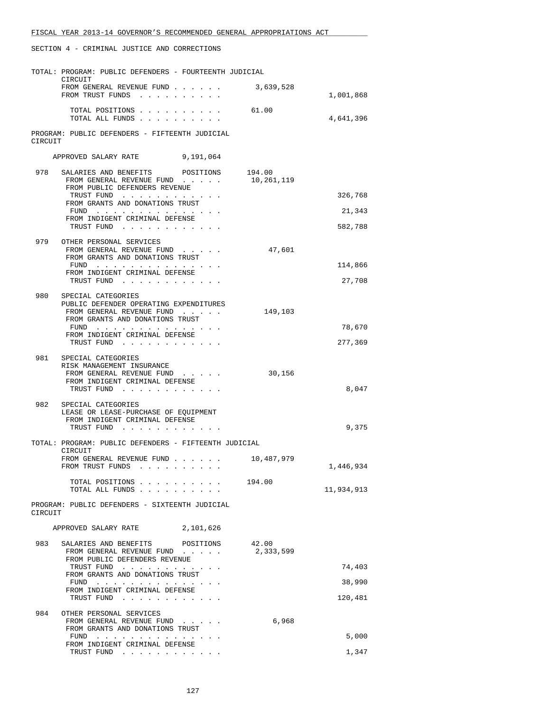|         | TOTAL: PROGRAM: PUBLIC DEFENDERS - FOURTEENTH JUDICIAL<br>CIRCUIT                                                                                                                                                                                                                  |                      |            |
|---------|------------------------------------------------------------------------------------------------------------------------------------------------------------------------------------------------------------------------------------------------------------------------------------|----------------------|------------|
|         | FROM GENERAL REVENUE FUND<br>FROM TRUST FUNDS                                                                                                                                                                                                                                      | 3,639,528            | 1,001,868  |
|         | TOTAL POSITIONS<br>TOTAL ALL FUNDS                                                                                                                                                                                                                                                 | 61.00                | 4,641,396  |
| CIRCUIT | PROGRAM: PUBLIC DEFENDERS - FIFTEENTH JUDICIAL                                                                                                                                                                                                                                     |                      |            |
|         | APPROVED SALARY RATE 9,191,064                                                                                                                                                                                                                                                     |                      |            |
| 978     | SALARIES AND BENEFITS<br>POSITIONS<br>FROM GENERAL REVENUE FUND<br>FROM PUBLIC DEFENDERS REVENUE                                                                                                                                                                                   | 194.00<br>10,261,119 |            |
|         | TRUST FUND<br>FROM GRANTS AND DONATIONS TRUST                                                                                                                                                                                                                                      |                      | 326,768    |
|         | FUND                                                                                                                                                                                                                                                                               |                      | 21,343     |
|         | FROM INDIGENT CRIMINAL DEFENSE<br>TRUST FUND                                                                                                                                                                                                                                       |                      | 582,788    |
| 979     | OTHER PERSONAL SERVICES                                                                                                                                                                                                                                                            |                      |            |
|         | FROM GENERAL REVENUE FUND<br>FROM GRANTS AND DONATIONS TRUST                                                                                                                                                                                                                       | 47,601               |            |
|         | FUND $\cdots$<br>FROM INDIGENT CRIMINAL DEFENSE                                                                                                                                                                                                                                    |                      | 114,866    |
|         | TRUST FUND                                                                                                                                                                                                                                                                         |                      | 27,708     |
| 980     | SPECIAL CATEGORIES                                                                                                                                                                                                                                                                 |                      |            |
|         | PUBLIC DEFENDER OPERATING EXPENDITURES<br>FROM GENERAL REVENUE FUND                                                                                                                                                                                                                | 149,103              |            |
|         | FROM GRANTS AND DONATIONS TRUST<br>FUND $\cdots$                                                                                                                                                                                                                                   |                      | 78,670     |
|         | FROM INDIGENT CRIMINAL DEFENSE                                                                                                                                                                                                                                                     |                      |            |
|         | TRUST FUND                                                                                                                                                                                                                                                                         |                      | 277,369    |
|         | 981 SPECIAL CATEGORIES<br>RISK MANAGEMENT INSURANCE                                                                                                                                                                                                                                |                      |            |
|         | FROM GENERAL REVENUE FUND                                                                                                                                                                                                                                                          | 30,156               |            |
|         | FROM INDIGENT CRIMINAL DEFENSE<br>TRUST FUND                                                                                                                                                                                                                                       |                      | 8,047      |
| 982     |                                                                                                                                                                                                                                                                                    |                      |            |
|         | SPECIAL CATEGORIES<br>LEASE OR LEASE-PURCHASE OF EQUIPMENT                                                                                                                                                                                                                         |                      |            |
|         | FROM INDIGENT CRIMINAL DEFENSE<br>TRUST FUND                                                                                                                                                                                                                                       |                      | 9,375      |
|         |                                                                                                                                                                                                                                                                                    |                      |            |
|         | TOTAL: PROGRAM: PUBLIC DEFENDERS - FIFTEENTH JUDICIAL<br>CIRCUIT                                                                                                                                                                                                                   |                      |            |
|         | FROM GENERAL REVENUE FUND<br>FROM TRUST FUNDS<br>$\mathbf{1}$ . The set of the set of the set of the set of the set of the set of the set of the set of the set of the set of the set of the set of the set of the set of the set of the set of the set of the set of the set of t | 10,487,979           | 1,446,934  |
|         |                                                                                                                                                                                                                                                                                    |                      |            |
|         | TOTAL POSITIONS<br>TOTAL ALL FUNDS                                                                                                                                                                                                                                                 | 194.00               | 11,934,913 |
| CIRCUIT | PROGRAM: PUBLIC DEFENDERS - SIXTEENTH JUDICIAL                                                                                                                                                                                                                                     |                      |            |
|         | APPROVED SALARY RATE 2,101,626                                                                                                                                                                                                                                                     |                      |            |
| 983     | SALARIES AND BENEFITS<br>POSITIONS                                                                                                                                                                                                                                                 | 42.00                |            |
|         | FROM GENERAL REVENUE FUND<br>FROM PUBLIC DEFENDERS REVENUE                                                                                                                                                                                                                         | 2,333,599            |            |
|         | TRUST FUND<br>FROM GRANTS AND DONATIONS TRUST                                                                                                                                                                                                                                      |                      | 74,403     |
|         | FUND<br>FROM INDIGENT CRIMINAL DEFENSE                                                                                                                                                                                                                                             |                      | 38,990     |
|         | TRUST FUND                                                                                                                                                                                                                                                                         |                      | 120,481    |
| 984     | OTHER PERSONAL SERVICES                                                                                                                                                                                                                                                            |                      |            |
|         | FROM GENERAL REVENUE FUND<br>FROM GRANTS AND DONATIONS TRUST                                                                                                                                                                                                                       | 6,968                |            |
|         | FUND<br>FROM INDIGENT CRIMINAL DEFENSE                                                                                                                                                                                                                                             |                      | 5,000      |
|         | TRUST FUND                                                                                                                                                                                                                                                                         |                      | 1,347      |
|         |                                                                                                                                                                                                                                                                                    |                      |            |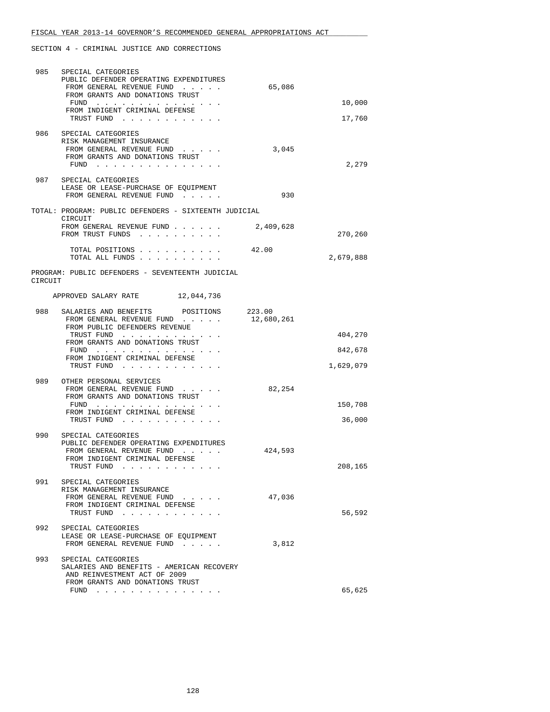| 985     | SPECIAL CATEGORIES<br>PUBLIC DEFENDER OPERATING EXPENDITURES<br>FROM GENERAL REVENUE FUND                                          | 65,086               |           |
|---------|------------------------------------------------------------------------------------------------------------------------------------|----------------------|-----------|
|         | FROM GRANTS AND DONATIONS TRUST<br>FUND                                                                                            |                      | 10,000    |
|         | FROM INDIGENT CRIMINAL DEFENSE<br>TRUST FUND                                                                                       |                      | 17,760    |
| 986     | SPECIAL CATEGORIES<br>RISK MANAGEMENT INSURANCE<br>FROM GENERAL REVENUE FUND<br>FROM GRANTS AND DONATIONS TRUST<br>FUND $\cdots$   | 3,045                | 2,279     |
|         | 987 SPECIAL CATEGORIES<br>LEASE OR LEASE-PURCHASE OF EQUIPMENT<br>FROM GENERAL REVENUE FUND                                        | 930                  |           |
|         | TOTAL: PROGRAM: PUBLIC DEFENDERS - SIXTEENTH JUDICIAL                                                                              |                      |           |
|         | CIRCUIT<br>FROM GENERAL REVENUE FUND<br>FROM TRUST FUNDS                                                                           | 2,409,628            | 270,260   |
|         | TOTAL POSITIONS<br>TOTAL ALL FUNDS                                                                                                 | 42.00                | 2,679,888 |
| CIRCUIT | PROGRAM: PUBLIC DEFENDERS - SEVENTEENTH JUDICIAL                                                                                   |                      |           |
|         | APPROVED SALARY RATE 12,044,736                                                                                                    |                      |           |
| 988     | SALARIES AND BENEFITS POSITIONS<br>FROM GENERAL REVENUE FUND<br>FROM PUBLIC DEFENDERS REVENUE                                      | 223.00<br>12,680,261 |           |
|         | TRUST FUND<br>FROM GRANTS AND DONATIONS TRUST                                                                                      |                      | 404,270   |
|         | FUND<br>FROM INDIGENT CRIMINAL DEFENSE                                                                                             |                      | 842,678   |
|         | TRUST FUND                                                                                                                         |                      | 1,629,079 |
| 989     | OTHER PERSONAL SERVICES<br>FROM GENERAL REVENUE FUND<br>FROM GRANTS AND DONATIONS TRUST<br>FUND $\cdots$                           | 82,254               | 150,708   |
|         | FROM INDIGENT CRIMINAL DEFENSE<br>TRUST FUND                                                                                       |                      | 36,000    |
| 990     | SPECIAL CATEGORIES                                                                                                                 |                      |           |
|         | PUBLIC DEFENDER OPERATING EXPENDITURES<br>FROM GENERAL REVENUE FUND<br>FROM INDIGENT CRIMINAL DEFENSE<br>TRUST FUND                | 424,593              | 208,165   |
| 991     | SPECIAL CATEGORIES<br>RISK MANAGEMENT INSURANCE<br>FROM GENERAL REVENUE FUND<br>FROM INDIGENT CRIMINAL DEFENSE<br>TRUST FUND       | 47,036               | 56,592    |
| 992     | SPECIAL CATEGORIES<br>LEASE OR LEASE-PURCHASE OF EQUIPMENT<br>FROM GENERAL REVENUE FUND                                            | 3,812                |           |
| 993     | SPECIAL CATEGORIES<br>SALARIES AND BENEFITS - AMERICAN RECOVERY<br>AND REINVESTMENT ACT OF 2009<br>FROM GRANTS AND DONATIONS TRUST |                      | 65,625    |
|         | FUND $\cdots$ $\cdots$ $\cdots$ $\cdots$ $\cdots$ $\cdots$                                                                         |                      |           |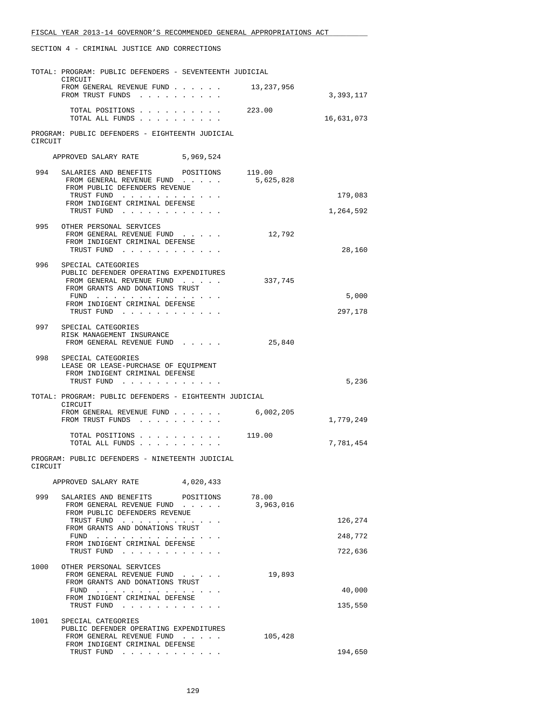|         | TOTAL: PROGRAM: PUBLIC DEFENDERS - SEVENTEENTH JUDICIAL                                                        |                     |            |
|---------|----------------------------------------------------------------------------------------------------------------|---------------------|------------|
|         | CIRCUIT<br>FROM GENERAL REVENUE FUND<br>FROM TRUST FUNDS                                                       | 13,237,956          | 3,393,117  |
|         | TOTAL POSITIONS<br>TOTAL ALL FUNDS                                                                             | 223.00              | 16,631,073 |
| CIRCUIT | PROGRAM: PUBLIC DEFENDERS - EIGHTEENTH JUDICIAL                                                                |                     |            |
|         | APPROVED SALARY RATE<br>5,969,524                                                                              |                     |            |
| 994     | SALARIES AND BENEFITS POSITIONS<br>FROM GENERAL REVENUE FUND<br>FROM PUBLIC DEFENDERS REVENUE                  | 119.00<br>5,625,828 |            |
|         | TRUST FUND<br>FROM INDIGENT CRIMINAL DEFENSE                                                                   |                     | 179,083    |
|         | TRUST FUND                                                                                                     |                     | 1,264,592  |
| 995     | OTHER PERSONAL SERVICES<br>FROM GENERAL REVENUE FUND<br>FROM INDIGENT CRIMINAL DEFENSE<br>TRUST FUND           | 12,792              | 28,160     |
| 996     | SPECIAL CATEGORIES                                                                                             |                     |            |
|         | PUBLIC DEFENDER OPERATING EXPENDITURES<br>FROM GENERAL REVENUE FUND<br>FROM GRANTS AND DONATIONS TRUST         | 337,745             |            |
|         | FUND<br>FROM INDIGENT CRIMINAL DEFENSE                                                                         |                     | 5,000      |
|         | TRUST FUND                                                                                                     |                     | 297,178    |
|         | 997 SPECIAL CATEGORIES<br>RISK MANAGEMENT INSURANCE<br>FROM GENERAL REVENUE FUND                               | 25,840              |            |
|         | 998 SPECIAL CATEGORIES<br>LEASE OR LEASE-PURCHASE OF EQUIPMENT<br>FROM INDIGENT CRIMINAL DEFENSE<br>TRUST FUND |                     | 5,236      |
|         | TOTAL: PROGRAM: PUBLIC DEFENDERS - EIGHTEENTH JUDICIAL                                                         |                     |            |
|         | CIRCUIT<br>FROM GENERAL REVENUE FUND<br>FROM TRUST FUNDS                                                       | 6,002,205           | 1,779,249  |
|         | TOTAL POSITIONS 119.00<br>TOTAL ALL FUNDS                                                                      |                     | 7,781,454  |
| CIRCUIT | PROGRAM: PUBLIC DEFENDERS - NINETEENTH JUDICIAL                                                                |                     |            |
|         | 4,020,433<br>APPROVED SALARY RATE                                                                              |                     |            |
| 999     | SALARIES AND BENEFITS POSITIONS<br>FROM GENERAL REVENUE FUND<br>FROM PUBLIC DEFENDERS REVENUE                  | 78.00<br>3,963,016  |            |
|         | TRUST FUND<br>FROM GRANTS AND DONATIONS TRUST                                                                  |                     | 126,274    |
|         | FUND<br>FROM INDIGENT CRIMINAL DEFENSE                                                                         |                     | 248,772    |
|         | TRUST FUND                                                                                                     |                     | 722,636    |
| 1000    | OTHER PERSONAL SERVICES<br>FROM GENERAL REVENUE FUND<br>FROM GRANTS AND DONATIONS TRUST                        | 19,893              |            |
|         | FUND<br>FROM INDIGENT CRIMINAL DEFENSE                                                                         |                     | 40,000     |
|         | TRUST FUND                                                                                                     |                     | 135,550    |
| 1001    | SPECIAL CATEGORIES<br>PUBLIC DEFENDER OPERATING EXPENDITURES<br>FROM GENERAL REVENUE FUND                      | 105,428             |            |
|         | FROM INDIGENT CRIMINAL DEFENSE<br>TRUST FUND                                                                   |                     | 194,650    |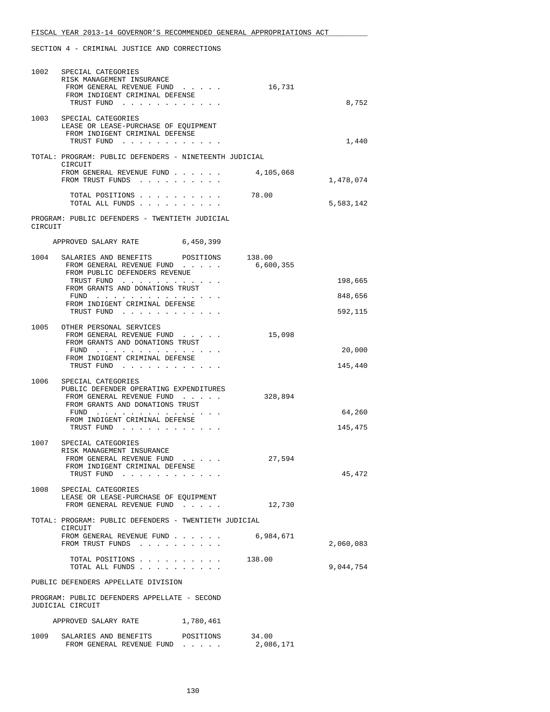| 1002    | SPECIAL CATEGORIES<br>RISK MANAGEMENT INSURANCE                                               |           |                     |           |
|---------|-----------------------------------------------------------------------------------------------|-----------|---------------------|-----------|
|         | FROM GENERAL REVENUE FUND<br>FROM INDIGENT CRIMINAL DEFENSE<br>TRUST FUND                     |           | 16,731              | 8,752     |
|         | 1003 SPECIAL CATEGORIES                                                                       |           |                     |           |
|         | LEASE OR LEASE-PURCHASE OF EQUIPMENT<br>FROM INDIGENT CRIMINAL DEFENSE                        |           |                     |           |
|         | TRUST FUND                                                                                    |           |                     | 1,440     |
|         | TOTAL: PROGRAM: PUBLIC DEFENDERS - NINETEENTH JUDICIAL<br>CIRCUIT                             |           |                     |           |
|         | FROM GENERAL REVENUE FUND<br>FROM TRUST FUNDS                                                 |           | 4,105,068           | 1,478,074 |
|         | TOTAL POSITIONS<br>TOTAL ALL FUNDS                                                            |           | 78.00               | 5,583,142 |
| CIRCUIT | PROGRAM: PUBLIC DEFENDERS - TWENTIETH JUDICIAL                                                |           |                     |           |
|         | APPROVED SALARY RATE 6,450,399                                                                |           |                     |           |
| 1004    | SALARIES AND BENEFITS POSITIONS<br>FROM GENERAL REVENUE FUND<br>FROM PUBLIC DEFENDERS REVENUE |           | 138.00<br>6,600,355 |           |
|         | TRUST FUND                                                                                    |           |                     | 198,665   |
|         | FROM GRANTS AND DONATIONS TRUST<br>$FUND$                                                     |           |                     | 848,656   |
|         | FROM INDIGENT CRIMINAL DEFENSE<br>TRUST FUND                                                  |           |                     | 592,115   |
| 1005    | OTHER PERSONAL SERVICES<br>FROM GENERAL REVENUE FUND                                          |           | 15,098              |           |
|         | FROM GRANTS AND DONATIONS TRUST                                                               |           |                     |           |
|         | FUND<br>FROM INDIGENT CRIMINAL DEFENSE                                                        |           |                     | 20,000    |
|         | TRUST FUND                                                                                    |           |                     | 145,440   |
| 1006    | SPECIAL CATEGORIES<br>PUBLIC DEFENDER OPERATING EXPENDITURES                                  |           |                     |           |
|         | FROM GENERAL REVENUE FUND<br>FROM GRANTS AND DONATIONS TRUST                                  |           | 328,894             |           |
|         | FUND $\cdots$<br>FROM INDIGENT CRIMINAL DEFENSE                                               |           |                     | 64,260    |
|         | TRUST FUND                                                                                    |           |                     | 145,475   |
| 1007    | SPECIAL CATEGORIES<br>RISK MANAGEMENT INSURANCE                                               |           |                     |           |
|         | FROM GENERAL REVENUE FUND<br>FROM INDIGENT CRIMINAL DEFENSE                                   |           | 27,594              |           |
|         | TRUST FUND                                                                                    |           |                     | 45,472    |
| 1008    | SPECIAL CATEGORIES                                                                            |           |                     |           |
|         | LEASE OR LEASE-PURCHASE OF EQUIPMENT<br>FROM GENERAL REVENUE FUND                             |           | 12,730              |           |
|         | TOTAL: PROGRAM: PUBLIC DEFENDERS - TWENTIETH JUDICIAL                                         |           |                     |           |
|         | CIRCUIT<br>FROM GENERAL REVENUE FUND<br>FROM TRUST FUNDS                                      |           | 6,984,671           | 2,060,083 |
|         | TOTAL POSITIONS<br>TOTAL ALL FUNDS                                                            |           | 138.00              | 9,044,754 |
|         | PUBLIC DEFENDERS APPELLATE DIVISION                                                           |           |                     |           |
|         | PROGRAM: PUBLIC DEFENDERS APPELLATE - SECOND<br>JUDICIAL CIRCUIT                              |           |                     |           |
|         | APPROVED SALARY RATE                                                                          | 1,780,461 |                     |           |
|         | 1009 SALARIES AND BENEFITS POSITIONS 34.00<br>FROM GENERAL REVENUE FUND                       |           | 2,086,171           |           |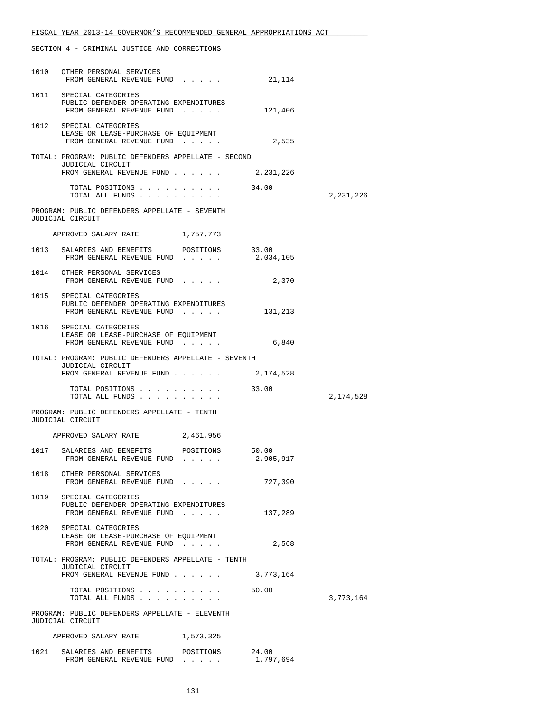|      | 1010 OTHER PERSONAL SERVICES<br>FROM GENERAL REVENUE FUND                                                         | 21,114             |           |
|------|-------------------------------------------------------------------------------------------------------------------|--------------------|-----------|
|      | 1011 SPECIAL CATEGORIES<br>PUBLIC DEFENDER OPERATING EXPENDITURES<br>FROM GENERAL REVENUE FUND                    | 121,406            |           |
|      | 1012 SPECIAL CATEGORIES<br>LEASE OR LEASE-PURCHASE OF EQUIPMENT<br>FROM GENERAL REVENUE FUND                      | 2,535              |           |
|      | TOTAL: PROGRAM: PUBLIC DEFENDERS APPELLATE - SECOND<br>JUDICIAL CIRCUIT                                           |                    |           |
|      | FROM GENERAL REVENUE FUND                                                                                         | 2,231,226          |           |
|      | TOTAL POSITIONS<br>TOTAL ALL FUNDS                                                                                | 34.00              | 2,231,226 |
|      | PROGRAM: PUBLIC DEFENDERS APPELLATE - SEVENTH<br>JUDICIAL CIRCUIT                                                 |                    |           |
|      | APPROVED SALARY RATE 1,757,773                                                                                    |                    |           |
|      | 1013 SALARIES AND BENEFITS POSITIONS 33.00<br>FROM GENERAL REVENUE FUND                                           | 2,034,105          |           |
|      | 1014 OTHER PERSONAL SERVICES<br>FROM GENERAL REVENUE FUND                                                         | 2,370              |           |
|      | 1015 SPECIAL CATEGORIES<br>PUBLIC DEFENDER OPERATING EXPENDITURES<br>FROM GENERAL REVENUE FUND                    | 131,213            |           |
|      | 1016 SPECIAL CATEGORIES<br>LEASE OR LEASE-PURCHASE OF EQUIPMENT<br>FROM GENERAL REVENUE FUND                      | 6,840              |           |
|      | TOTAL: PROGRAM: PUBLIC DEFENDERS APPELLATE - SEVENTH<br>JUDICIAL CIRCUIT<br>FROM GENERAL REVENUE FUND 2, 174, 528 |                    |           |
|      | TOTAL POSITIONS                                                                                                   | 33.00              |           |
|      | PROGRAM: PUBLIC DEFENDERS APPELLATE - TENTH                                                                       |                    | 2,174,528 |
|      | JUDICIAL CIRCUIT                                                                                                  |                    |           |
|      | APPROVED SALARY RATE 2,461,956                                                                                    |                    |           |
|      | 1017 SALARIES AND BENEFITS POSITIONS 50.00<br>FROM GENERAL REVENUE FUND                                           | 2,905,917          |           |
|      | 1018 OTHER PERSONAL SERVICES<br>FROM GENERAL REVENUE FUND                                                         | 727,390            |           |
| 1019 | SPECIAL CATEGORIES<br>PUBLIC DEFENDER OPERATING EXPENDITURES<br>FROM GENERAL REVENUE FUND                         | 137,289            |           |
| 1020 | SPECIAL CATEGORIES<br>LEASE OR LEASE-PURCHASE OF EQUIPMENT<br>FROM GENERAL REVENUE FUND                           | 2,568              |           |
|      | TOTAL: PROGRAM: PUBLIC DEFENDERS APPELLATE - TENTH<br>JUDICIAL CIRCUIT                                            |                    |           |
|      | FROM GENERAL REVENUE FUND 3,773,164                                                                               |                    |           |
|      | TOTAL POSITIONS 50.00<br>TOTAL ALL FUNDS                                                                          |                    | 3,773,164 |
|      | PROGRAM: PUBLIC DEFENDERS APPELLATE - ELEVENTH<br>JUDICIAL CIRCUIT                                                |                    |           |
|      | APPROVED SALARY RATE<br>1,573,325                                                                                 |                    |           |
| 1021 | POSITIONS<br>SALARIES AND BENEFITS<br>FROM GENERAL REVENUE FUND                                                   | 24.00<br>1,797,694 |           |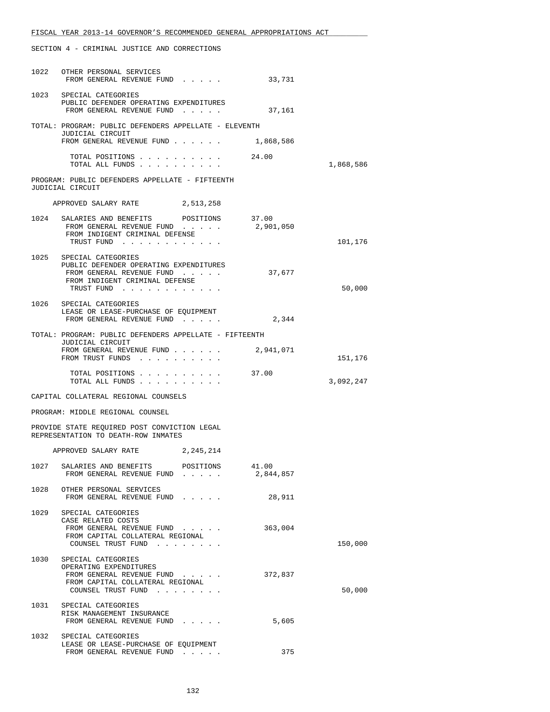|      | 1022 OTHER PERSONAL SERVICES<br>FROM GENERAL REVENUE FUND                                                                                  | 33,731    |           |
|------|--------------------------------------------------------------------------------------------------------------------------------------------|-----------|-----------|
|      | 1023 SPECIAL CATEGORIES<br>PUBLIC DEFENDER OPERATING EXPENDITURES<br>FROM GENERAL REVENUE FUND                                             | 37,161    |           |
|      | TOTAL: PROGRAM: PUBLIC DEFENDERS APPELLATE - ELEVENTH<br>JUDICIAL CIRCUIT                                                                  |           |           |
|      | FROM GENERAL REVENUE FUND 1,868,586                                                                                                        |           |           |
|      | TOTAL POSITIONS 24.00<br>TOTAL ALL FUNDS                                                                                                   |           | 1,868,586 |
|      | PROGRAM: PUBLIC DEFENDERS APPELLATE - FIFTEENTH<br>JUDICIAL CIRCUIT                                                                        |           |           |
|      | APPROVED SALARY RATE 2,513,258                                                                                                             |           |           |
|      | 1024 SALARIES AND BENEFITS POSITIONS 37.00<br>FROM GENERAL REVENUE FUND $\ldots$ 2,901,050<br>FROM INDIGENT CRIMINAL DEFENSE<br>TRUST FUND |           | 101,176   |
| 1025 | SPECIAL CATEGORIES<br>PUBLIC DEFENDER OPERATING EXPENDITURES<br>FROM GENERAL REVENUE FUND<br>FROM INDIGENT CRIMINAL DEFENSE<br>TRUST FUND  | 37,677    | 50,000    |
|      | 1026 SPECIAL CATEGORIES<br>LEASE OR LEASE-PURCHASE OF EOUIPMENT<br>FROM GENERAL REVENUE FUND                                               | 2,344     |           |
|      | TOTAL: PROGRAM: PUBLIC DEFENDERS APPELLATE - FIFTEENTH                                                                                     |           |           |
|      | JUDICIAL CIRCUIT<br>FROM GENERAL REVENUE FUND 2,941,071<br>FROM TRUST FUNDS                                                                |           | 151,176   |
|      | TOTAL POSITIONS 37.00<br>TOTAL ALL FUNDS                                                                                                   |           | 3,092,247 |
|      | CAPITAL COLLATERAL REGIONAL COUNSELS                                                                                                       |           |           |
|      | PROGRAM: MIDDLE REGIONAL COUNSEL                                                                                                           |           |           |
|      | PROVIDE STATE REQUIRED POST CONVICTION LEGAL<br>REPRESENTATION TO DEATH-ROW INMATES                                                        |           |           |
|      | APPROVED SALARY RATE 2, 245, 214                                                                                                           |           |           |
|      | 1027 SALARIES AND BENEFITS POSITIONS 41.00<br>FROM GENERAL REVENUE FUND                                                                    | 2,844,857 |           |
|      | 1028 OTHER PERSONAL SERVICES<br>FROM GENERAL REVENUE FUND                                                                                  | 28,911    |           |
|      | 1029 SPECIAL CATEGORIES<br>CASE RELATED COSTS<br>FROM GENERAL REVENUE FUND<br>FROM CAPITAL COLLATERAL REGIONAL<br>COUNSEL TRUST FUND       | 363,004   | 150,000   |
|      | 1030 SPECIAL CATEGORIES<br>OPERATING EXPENDITURES<br>FROM GENERAL REVENUE FUND<br>FROM CAPITAL COLLATERAL REGIONAL<br>COUNSEL TRUST FUND   | 372,837   | 50,000    |
|      | 1031 SPECIAL CATEGORIES<br>RISK MANAGEMENT INSURANCE<br>FROM GENERAL REVENUE FUND                                                          | 5,605     |           |
| 1032 | SPECIAL CATEGORIES<br>LEASE OR LEASE-PURCHASE OF EQUIPMENT<br>FROM GENERAL REVENUE FUND                                                    | 375       |           |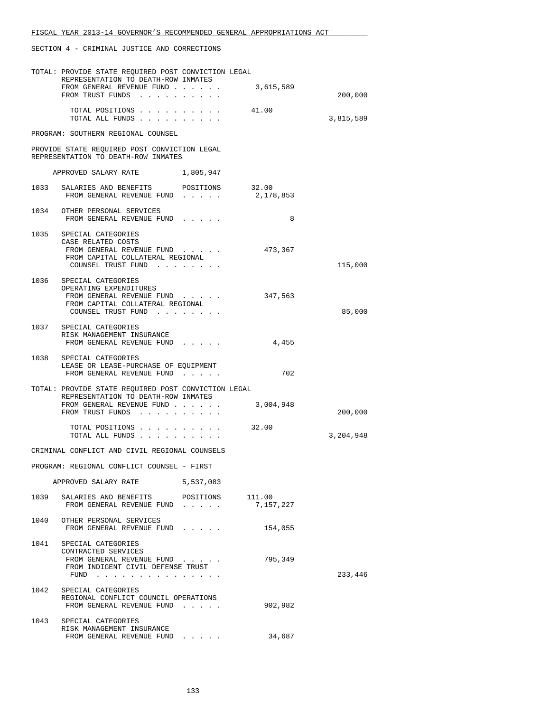|      | TOTAL: PROVIDE STATE REQUIRED POST CONVICTION LEGAL<br>REPRESENTATION TO DEATH-ROW INMATES                                               |           |           |           |
|------|------------------------------------------------------------------------------------------------------------------------------------------|-----------|-----------|-----------|
|      | FROM GENERAL REVENUE FUND 3,615,589                                                                                                      |           |           |           |
|      | FROM TRUST FUNDS                                                                                                                         |           |           | 200,000   |
|      | TOTAL POSITIONS<br>TOTAL ALL FUNDS                                                                                                       |           | 41.00     | 3,815,589 |
|      | PROGRAM: SOUTHERN REGIONAL COUNSEL                                                                                                       |           |           |           |
|      | PROVIDE STATE REQUIRED POST CONVICTION LEGAL<br>REPRESENTATION TO DEATH-ROW INMATES                                                      |           |           |           |
|      | APPROVED SALARY RATE 1,805,947                                                                                                           |           |           |           |
|      | 1033 SALARIES AND BENEFITS POSITIONS 32.00<br>FROM GENERAL REVENUE FUND                                                                  |           | 2,178,853 |           |
|      | 1034 OTHER PERSONAL SERVICES<br>FROM GENERAL REVENUE FUND                                                                                |           | 8         |           |
|      | 1035 SPECIAL CATEGORIES<br>CASE RELATED COSTS<br>FROM GENERAL REVENUE FUND<br>FROM CAPITAL COLLATERAL REGIONAL                           |           | 473,367   |           |
|      | COUNSEL TRUST FUND                                                                                                                       |           |           | 115,000   |
|      | 1036 SPECIAL CATEGORIES<br>OPERATING EXPENDITURES<br>FROM GENERAL REVENUE FUND<br>FROM CAPITAL COLLATERAL REGIONAL<br>COUNSEL TRUST FUND |           | 347,563   | 85,000    |
|      |                                                                                                                                          |           |           |           |
|      | 1037 SPECIAL CATEGORIES<br>RISK MANAGEMENT INSURANCE<br>FROM GENERAL REVENUE FUND                                                        |           | 4,455     |           |
|      | 1038 SPECIAL CATEGORIES<br>LEASE OR LEASE-PURCHASE OF EQUIPMENT<br>FROM GENERAL REVENUE FUND                                             |           | 702       |           |
|      | TOTAL: PROVIDE STATE REQUIRED POST CONVICTION LEGAL<br>REPRESENTATION TO DEATH-ROW INMATES<br>FROM GENERAL REVENUE FUND 3,004,948        |           |           |           |
|      | FROM TRUST FUNDS                                                                                                                         |           |           | 200,000   |
|      | TOTAL POSITIONS 32.00<br>TOTAL ALL FUNDS                                                                                                 |           |           | 3,204,948 |
|      | CRIMINAL CONFLICT AND CIVIL REGIONAL COUNSELS                                                                                            |           |           |           |
|      | PROGRAM: REGIONAL CONFLICT COUNSEL - FIRST                                                                                               |           |           |           |
|      | APPROVED SALARY RATE                                                                                                                     | 5,537,083 |           |           |
|      | 1039 SALARIES AND BENEFITS POSITIONS 111.00<br>FROM GENERAL REVENUE FUND                                                                 |           | 7,157,227 |           |
|      | 1040 OTHER PERSONAL SERVICES<br>FROM GENERAL REVENUE FUND                                                                                |           | 154,055   |           |
|      | 1041 SPECIAL CATEGORIES<br>CONTRACTED SERVICES<br>FROM GENERAL REVENUE FUND<br>FROM INDIGENT CIVIL DEFENSE TRUST<br>FUND $\cdots$        |           | 795,349   | 233,446   |
| 1042 | SPECIAL CATEGORIES<br>REGIONAL CONFLICT COUNCIL OPERATIONS<br>FROM GENERAL REVENUE FUND                                                  |           | 902,982   |           |
|      | 1043 SPECIAL CATEGORIES<br>RISK MANAGEMENT INSURANCE                                                                                     |           |           |           |
|      | FROM GENERAL REVENUE FUND                                                                                                                |           | 34,687    |           |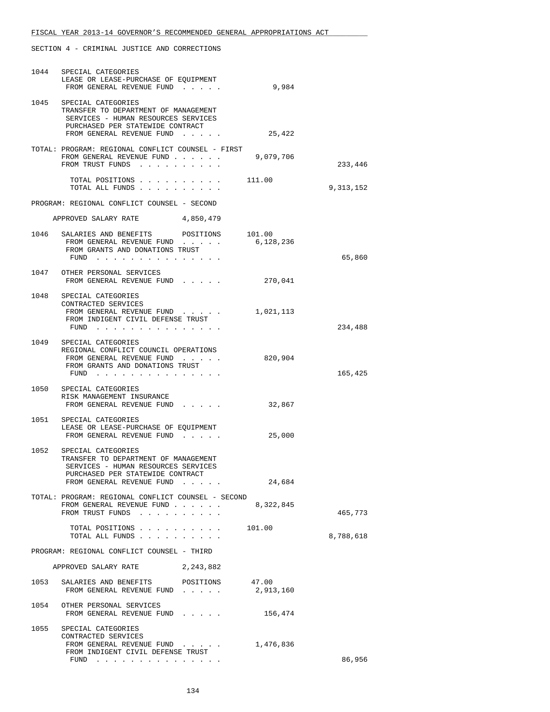|      | 1044 SPECIAL CATEGORIES<br>LEASE OR LEASE-PURCHASE OF EQUIPMENT<br>FROM GENERAL REVENUE FUND                                                                            | 9,984              |             |
|------|-------------------------------------------------------------------------------------------------------------------------------------------------------------------------|--------------------|-------------|
|      | 1045 SPECIAL CATEGORIES<br>TRANSFER TO DEPARTMENT OF MANAGEMENT<br>SERVICES - HUMAN RESOURCES SERVICES<br>PURCHASED PER STATEWIDE CONTRACT<br>FROM GENERAL REVENUE FUND | 25,422             |             |
|      | TOTAL: PROGRAM: REGIONAL CONFLICT COUNSEL - FIRST<br>FROM GENERAL REVENUE FUND<br>FROM TRUST FUNDS                                                                      | 9,079,706          | 233,446     |
|      | TOTAL POSITIONS 111.00<br>TOTAL ALL FUNDS                                                                                                                               |                    | 9, 313, 152 |
|      | PROGRAM: REGIONAL CONFLICT COUNSEL - SECOND                                                                                                                             |                    |             |
|      | APPROVED SALARY RATE 4,850,479                                                                                                                                          |                    |             |
|      | 1046 SALARIES AND BENEFITS POSITIONS 101.00<br>FROM GENERAL REVENUE FUND<br>FROM GRANTS AND DONATIONS TRUST<br>FUND                                                     | 6,128,236          | 65,860      |
|      | 1047 OTHER PERSONAL SERVICES<br>FROM GENERAL REVENUE FUND 270,041                                                                                                       |                    |             |
|      | 1048 SPECIAL CATEGORIES<br>CONTRACTED SERVICES<br>FROM GENERAL REVENUE FUND<br>FROM INDIGENT CIVIL DEFENSE TRUST<br>FUND                                                | 1,021,113          | 234,488     |
|      | 1049 SPECIAL CATEGORIES<br>REGIONAL CONFLICT COUNCIL OPERATIONS<br>FROM GENERAL REVENUE FUND<br>FROM GRANTS AND DONATIONS TRUST<br>FUND                                 | 820,904            | 165,425     |
|      | 1050 SPECIAL CATEGORIES<br>RISK MANAGEMENT INSURANCE<br>FROM GENERAL REVENUE FUND                                                                                       | 32,867             |             |
|      | 1051 SPECIAL CATEGORIES<br>LEASE OR LEASE-PURCHASE OF EOUIPMENT<br>FROM GENERAL REVENUE FUND                                                                            | 25,000             |             |
|      | 1052 SPECIAL CATEGORIES<br>TRANSFER TO DEPARTMENT OF MANAGEMENT<br>SERVICES - HUMAN RESOURCES SERVICES<br>PURCHASED PER STATEWIDE CONTRACT<br>FROM GENERAL REVENUE FUND | 24,684             |             |
|      | TOTAL: PROGRAM: REGIONAL CONFLICT COUNSEL - SECOND<br>FROM GENERAL REVENUE FUND<br>FROM TRUST FUNDS                                                                     | 8,322,845          | 465,773     |
|      | TOTAL POSITIONS<br>TOTAL ALL FUNDS                                                                                                                                      | 101.00             | 8,788,618   |
|      | PROGRAM: REGIONAL CONFLICT COUNSEL - THIRD                                                                                                                              |                    |             |
|      | APPROVED SALARY RATE 2, 243, 882                                                                                                                                        |                    |             |
| 1053 | SALARIES AND BENEFITS POSITIONS<br>FROM GENERAL REVENUE FUND                                                                                                            | 47.00<br>2,913,160 |             |
|      | 1054 OTHER PERSONAL SERVICES<br>FROM GENERAL REVENUE FUND                                                                                                               | 156,474            |             |
| 1055 | SPECIAL CATEGORIES<br>CONTRACTED SERVICES<br>FROM GENERAL REVENUE FUND<br>FROM INDIGENT CIVIL DEFENSE TRUST<br>FUND $\cdots$                                            | 1,476,836          | 86,956      |
|      |                                                                                                                                                                         |                    |             |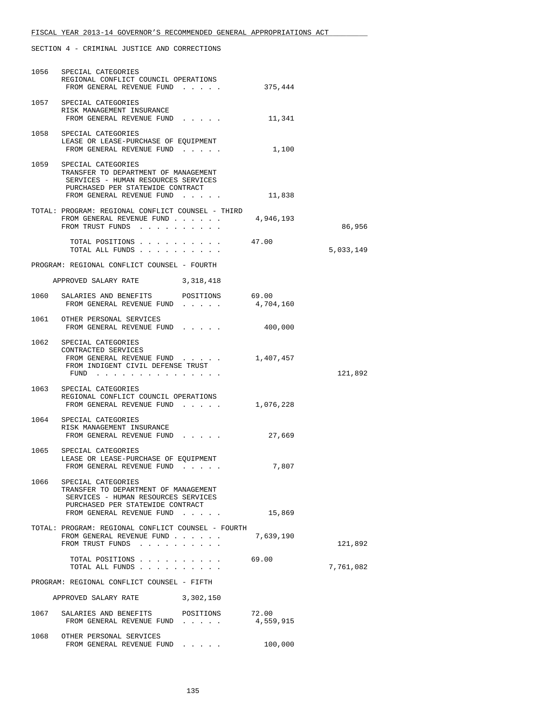|                                            | 1056 SPECIAL CATEGORIES<br>REGIONAL CONFLICT COUNCIL OPERATIONS<br>FROM GENERAL REVENUE FUND                                                                            | 375,444            |           |  |
|--------------------------------------------|-------------------------------------------------------------------------------------------------------------------------------------------------------------------------|--------------------|-----------|--|
|                                            | 1057 SPECIAL CATEGORIES<br>RISK MANAGEMENT INSURANCE<br>FROM GENERAL REVENUE FUND                                                                                       | 11,341             |           |  |
|                                            | 1058 SPECIAL CATEGORIES<br>LEASE OR LEASE-PURCHASE OF EQUIPMENT<br>FROM GENERAL REVENUE FUND                                                                            | 1,100              |           |  |
|                                            | 1059 SPECIAL CATEGORIES<br>TRANSFER TO DEPARTMENT OF MANAGEMENT<br>SERVICES - HUMAN RESOURCES SERVICES<br>PURCHASED PER STATEWIDE CONTRACT<br>FROM GENERAL REVENUE FUND | 11,838             |           |  |
|                                            | TOTAL: PROGRAM: REGIONAL CONFLICT COUNSEL - THIRD<br>FROM GENERAL REVENUE FUND<br>FROM TRUST FUNDS                                                                      | 4,946,193          | 86,956    |  |
|                                            | TOTAL POSITIONS<br>TOTAL ALL FUNDS                                                                                                                                      | 47.00              | 5,033,149 |  |
|                                            | PROGRAM: REGIONAL CONFLICT COUNSEL - FOURTH                                                                                                                             |                    |           |  |
|                                            | APPROVED SALARY RATE 3,318,418                                                                                                                                          |                    |           |  |
|                                            | 1060 SALARIES AND BENEFITS POSITIONS<br>FROM GENERAL REVENUE FUND                                                                                                       | 69.00<br>4,704,160 |           |  |
|                                            | 1061 OTHER PERSONAL SERVICES<br>FROM GENERAL REVENUE FUND                                                                                                               | 400,000            |           |  |
|                                            | 1062 SPECIAL CATEGORIES<br>CONTRACTED SERVICES<br>FROM GENERAL REVENUE FUND<br>FROM INDIGENT CIVIL DEFENSE TRUST<br>FUND                                                | 1,407,457          | 121,892   |  |
|                                            |                                                                                                                                                                         |                    |           |  |
|                                            | 1063 SPECIAL CATEGORIES<br>REGIONAL CONFLICT COUNCIL OPERATIONS<br>FROM GENERAL REVENUE FUND 1,076,228                                                                  |                    |           |  |
|                                            | 1064 SPECIAL CATEGORIES<br>RISK MANAGEMENT INSURANCE<br>FROM GENERAL REVENUE FUND                                                                                       | 27,669             |           |  |
| 1065                                       | SPECIAL CATEGORIES<br>LEASE OR LEASE-PURCHASE OF EQUIPMENT<br>FROM GENERAL REVENUE FUND.                                                                                | 7,807              |           |  |
|                                            | 1066 SPECIAL CATEGORIES<br>TRANSFER TO DEPARTMENT OF MANAGEMENT<br>SERVICES - HUMAN RESOURCES SERVICES<br>PURCHASED PER STATEWIDE CONTRACT                              |                    |           |  |
|                                            | FROM GENERAL REVENUE FUND                                                                                                                                               | 15,869             |           |  |
|                                            | TOTAL: PROGRAM: REGIONAL CONFLICT COUNSEL - FOURTH<br>FROM GENERAL REVENUE FUND<br>FROM TRUST FUNDS                                                                     | 7,639,190          | 121,892   |  |
|                                            | TOTAL POSITIONS<br>TOTAL ALL FUNDS                                                                                                                                      | 69.00              | 7,761,082 |  |
| PROGRAM: REGIONAL CONFLICT COUNSEL - FIFTH |                                                                                                                                                                         |                    |           |  |
|                                            | APPROVED SALARY RATE 3,302,150                                                                                                                                          |                    |           |  |
|                                            | 1067 SALARIES AND BENEFITS<br>POSITIONS<br>FROM GENERAL REVENUE FUND                                                                                                    | 72.00<br>4,559,915 |           |  |
|                                            | 1068 OTHER PERSONAL SERVICES<br>FROM GENERAL REVENUE FUND                                                                                                               | 100,000            |           |  |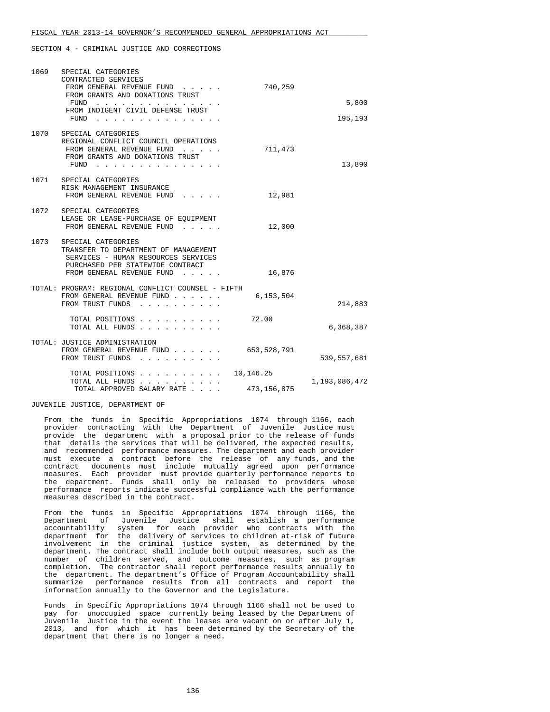| 1069 | SPECIAL CATEGORIES<br>CONTRACTED SERVICES<br>FROM GENERAL REVENUE FUND<br>FROM GRANTS AND DONATIONS TRUST<br>FUND<br>and a series and a series<br>FROM INDIGENT CIVIL DEFENSE TRUST<br>FUND<br>. | 740,259                    | 5,800<br>195,193 |
|------|--------------------------------------------------------------------------------------------------------------------------------------------------------------------------------------------------|----------------------------|------------------|
| 1070 | SPECIAL CATEGORIES<br>REGIONAL CONFLICT COUNCIL OPERATIONS<br>FROM GENERAL REVENUE FUND<br>FROM GRANTS AND DONATIONS TRUST<br>FUND                                                               | 711,473                    | 13,890           |
| 1071 | SPECIAL CATEGORIES<br>RISK MANAGEMENT INSURANCE<br>FROM GENERAL REVENUE FUND                                                                                                                     | 12,981                     |                  |
| 1072 | SPECIAL CATEGORIES<br>LEASE OR LEASE-PURCHASE OF EQUIPMENT<br>FROM GENERAL REVENUE FUND                                                                                                          | 12,000                     |                  |
|      | 1073 SPECIAL CATEGORIES<br>TRANSFER TO DEPARTMENT OF MANAGEMENT<br>SERVICES - HUMAN RESOURCES SERVICES<br>PURCHASED PER STATEWIDE CONTRACT<br>FROM GENERAL REVENUE FUND                          | 16,876                     |                  |
|      | TOTAL: PROGRAM: REGIONAL CONFLICT COUNSEL - FIFTH<br>FROM GENERAL REVENUE FUND<br>FROM TRUST FUNDS<br>$\mathbf{r}$ and $\mathbf{r}$ and $\mathbf{r}$                                             | 6,153,504                  | 214,883          |
|      | TOTAL POSITIONS<br>TOTAL ALL FUNDS                                                                                                                                                               | 72.00                      | 6,368,387        |
|      | TOTAL: JUSTICE ADMINISTRATION<br>FROM GENERAL REVENUE FUND<br>FROM TRUST FUNDS                                                                                                                   | 653,528,791                | 539,557,681      |
|      | TOTAL POSITIONS<br>TOTAL ALL FUNDS<br>TOTAL APPROVED SALARY RATE                                                                                                                                 | 10,146.25<br>473, 156, 875 | 1,193,086,472    |

#### JUVENILE JUSTICE, DEPARTMENT OF

 From the funds in Specific Appropriations 1074 through 1166, each provider contracting with the Department of Juvenile Justice must provide the department with a proposal prior to the release of funds that details the services that will be delivered, the expected results, and recommended performance measures. The department and each provider must execute a contract before the release of any funds, and the contract documents must include mutually agreed upon performance measures. Each provider must provide quarterly performance reports to the department. Funds shall only be released to providers whose performance reports indicate successful compliance with the performance measures described in the contract.

 From the funds in Specific Appropriations 1074 through 1166, the Department of Juvenile Justice shall establish a performance accountability system for each provider who contracts with the department for the delivery of services to children at-risk of future involvement in the criminal justice system, as determined by the department. The contract shall include both output measures, such as the number of children served, and outcome measures, such as program completion. The contractor shall report performance results annually to the department. The department's Office of Program Accountability shall summarize performance results from all contracts and report the information annually to the Governor and the Legislature.

 Funds in Specific Appropriations 1074 through 1166 shall not be used to pay for unoccupied space currently being leased by the Department of Juvenile Justice in the event the leases are vacant on or after July 1, 2013, and for which it has been determined by the Secretary of the department that there is no longer a need.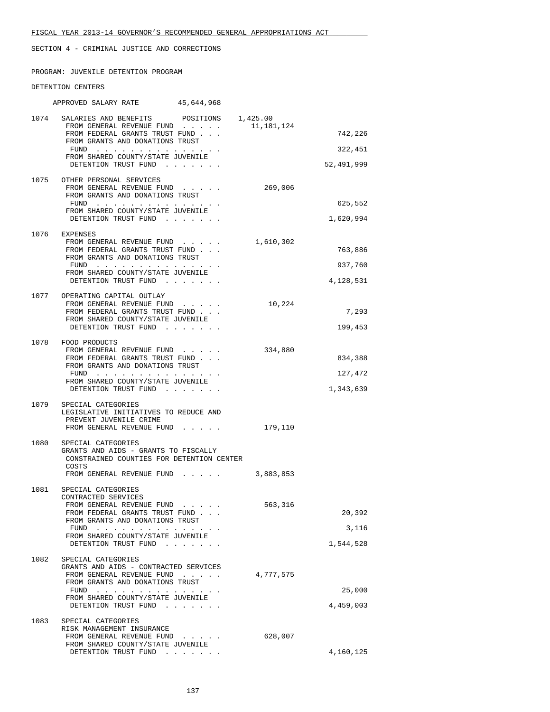PROGRAM: JUVENILE DETENTION PROGRAM

#### DETENTION CENTERS

|      | APPROVED SALARY RATE 45,644,968                                                   |            |            |
|------|-----------------------------------------------------------------------------------|------------|------------|
|      | 1074 SALARIES AND BENEFITS POSITIONS 1,425.00<br>FROM GENERAL REVENUE FUND        | 11,181,124 |            |
|      | FROM FEDERAL GRANTS TRUST FUND<br>FROM GRANTS AND DONATIONS TRUST                 |            | 742,226    |
|      | FUND<br>FROM SHARED COUNTY/STATE JUVENILE                                         |            | 322,451    |
|      | DETENTION TRUST FUND                                                              |            | 52,491,999 |
|      | 1075 OTHER PERSONAL SERVICES<br>FROM GENERAL REVENUE FUND                         | 269,006    |            |
|      | FROM GRANTS AND DONATIONS TRUST<br>FUND                                           |            | 625,552    |
|      | FROM SHARED COUNTY/STATE JUVENILE<br>DETENTION TRUST FUND                         |            | 1,620,994  |
|      | 1076 EXPENSES                                                                     |            |            |
|      | FROM GENERAL REVENUE FUND<br>FROM FEDERAL GRANTS TRUST FUND                       | 1,610,302  | 763,886    |
|      | FROM GRANTS AND DONATIONS TRUST                                                   |            | 937,760    |
|      | FUND<br>FROM SHARED COUNTY/STATE JUVENILE                                         |            |            |
|      | DETENTION TRUST FUND                                                              |            | 4,128,531  |
|      | 1077 OPERATING CAPITAL OUTLAY<br>FROM GENERAL REVENUE FUND                        | 10,224     |            |
|      | FROM FEDERAL GRANTS TRUST FUND<br>FROM SHARED COUNTY/STATE JUVENILE               |            | 7,293      |
|      | DETENTION TRUST FUND                                                              |            | 199,453    |
|      | 1078 FOOD PRODUCTS<br>FROM GENERAL REVENUE FUND                                   | 334,880    |            |
|      | FROM FEDERAL GRANTS TRUST FUND<br>FROM GRANTS AND DONATIONS TRUST                 |            | 834,388    |
|      | FUND<br>FROM SHARED COUNTY/STATE JUVENILE                                         |            | 127,472    |
|      | DETENTION TRUST FUND                                                              |            | 1,343,639  |
|      | 1079 SPECIAL CATEGORIES<br>LEGISLATIVE INITIATIVES TO REDUCE AND                  |            |            |
|      | PREVENT JUVENILE CRIME<br>FROM GENERAL REVENUE FUND                               | 179,110    |            |
|      | 1080 SPECIAL CATEGORIES                                                           |            |            |
|      | GRANTS AND AIDS - GRANTS TO FISCALLY<br>CONSTRAINED COUNTIES FOR DETENTION CENTER |            |            |
|      | COSTS<br>FROM GENERAL REVENUE FUND                                                | 3,883,853  |            |
| 1081 | SPECIAL CATEGORIES                                                                |            |            |
|      | CONTRACTED SERVICES<br>FROM GENERAL REVENUE FUND                                  | 563,316    |            |
|      | FROM FEDERAL GRANTS TRUST FUND<br>FROM GRANTS AND DONATIONS TRUST                 |            | 20,392     |
|      | FUND<br>FROM SHARED COUNTY/STATE JUVENILE                                         |            | 3,116      |
|      | DETENTION TRUST FUND                                                              |            | 1,544,528  |
| 1082 | SPECIAL CATEGORIES<br>GRANTS AND AIDS - CONTRACTED SERVICES                       |            |            |
|      | FROM GENERAL REVENUE FUND<br>FROM GRANTS AND DONATIONS TRUST                      | 4,777,575  |            |
|      | FUND<br>FROM SHARED COUNTY/STATE JUVENILE                                         |            | 25,000     |
|      | DETENTION TRUST FUND                                                              |            | 4,459,003  |
|      | 1083 SPECIAL CATEGORIES                                                           |            |            |
|      | RISK MANAGEMENT INSURANCE<br>FROM GENERAL REVENUE FUND                            | 628,007    |            |
|      | FROM SHARED COUNTY/STATE JUVENILE<br>DETENTION TRUST FUND                         |            | 4,160,125  |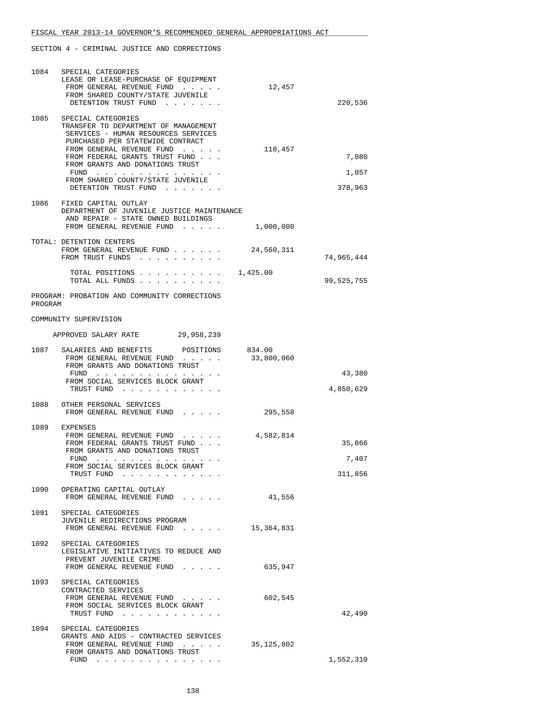| 1084    | SPECIAL CATEGORIES<br>LEASE OR LEASE-PURCHASE OF EQUIPMENT<br>FROM GENERAL REVENUE FUND<br>FROM SHARED COUNTY/STATE JUVENILE<br>DETENTION TRUST FUND                                                                                                                                                                                                                                                                            | 12,457               | 220,536                    |
|---------|---------------------------------------------------------------------------------------------------------------------------------------------------------------------------------------------------------------------------------------------------------------------------------------------------------------------------------------------------------------------------------------------------------------------------------|----------------------|----------------------------|
| 1085    | SPECIAL CATEGORIES<br>TRANSFER TO DEPARTMENT OF MANAGEMENT<br>SERVICES - HUMAN RESOURCES SERVICES<br>PURCHASED PER STATEWIDE CONTRACT<br>FROM GENERAL REVENUE FUND<br>FROM FEDERAL GRANTS TRUST FUND<br>FROM GRANTS AND DONATIONS TRUST<br>FUND<br>the contract of the contract of the contract of the contract of the contract of the contract of the contract of<br>FROM SHARED COUNTY/STATE JUVENILE<br>DETENTION TRUST FUND | 110,457              | 7,080<br>1,057<br>378,963  |
|         | 1086 FIXED CAPITAL OUTLAY<br>DEPARTMENT OF JUVENILE JUSTICE MAINTENANCE<br>AND REPAIR - STATE OWNED BUILDINGS<br>FROM GENERAL REVENUE FUND                                                                                                                                                                                                                                                                                      | 1,000,000            |                            |
|         | TOTAL: DETENTION CENTERS<br>FROM GENERAL REVENUE FUND<br>FROM TRUST FUNDS                                                                                                                                                                                                                                                                                                                                                       | 24,560,311           | 74,965,444                 |
|         | TOTAL POSITIONS $\ldots$ 1,425.00<br>TOTAL ALL FUNDS                                                                                                                                                                                                                                                                                                                                                                            |                      | 99,525,755                 |
| PROGRAM | PROGRAM: PROBATION AND COMMUNITY CORRECTIONS                                                                                                                                                                                                                                                                                                                                                                                    |                      |                            |
|         | COMMUNITY SUPERVISION                                                                                                                                                                                                                                                                                                                                                                                                           |                      |                            |
|         | APPROVED SALARY RATE 29,958,239                                                                                                                                                                                                                                                                                                                                                                                                 |                      |                            |
|         | 1087 SALARIES AND BENEFITS<br>POSITIONS<br>FROM GENERAL REVENUE FUND<br>FROM GRANTS AND DONATIONS TRUST                                                                                                                                                                                                                                                                                                                         | 834.00<br>33,800,060 |                            |
|         | FUND<br>FROM SOCIAL SERVICES BLOCK GRANT<br>TRUST FUND                                                                                                                                                                                                                                                                                                                                                                          |                      | 43,380<br>4,850,629        |
| 1088    | OTHER PERSONAL SERVICES<br>FROM GENERAL REVENUE FUND                                                                                                                                                                                                                                                                                                                                                                            | 295,558              |                            |
| 1089    | EXPENSES<br>FROM GENERAL REVENUE FUND<br>FROM FEDERAL GRANTS TRUST FUND<br>FROM GRANTS AND DONATIONS TRUST<br>FUND<br>the contract of the contract of the contract of the contract of the contract of the contract of the contract of<br>FROM SOCIAL SERVICES BLOCK GRANT<br>TRUST FUND                                                                                                                                         | 4,582,814            | 35,866<br>7,407<br>311,856 |
|         | 1090 OPERATING CAPITAL OUTLAY<br>FROM GENERAL REVENUE FUND                                                                                                                                                                                                                                                                                                                                                                      | 41,556               |                            |
|         | 1091 SPECIAL CATEGORIES<br>JUVENILE REDIRECTIONS PROGRAM<br>FROM GENERAL REVENUE FUND $15,364,831$                                                                                                                                                                                                                                                                                                                              |                      |                            |
| 1092    | SPECIAL CATEGORIES<br>LEGISLATIVE INITIATIVES TO REDUCE AND<br>PREVENT JUVENILE CRIME<br>FROM GENERAL REVENUE FUND                                                                                                                                                                                                                                                                                                              | 635,947              |                            |
| 1093    | SPECIAL CATEGORIES<br>CONTRACTED SERVICES<br>FROM GENERAL REVENUE FUND<br>FROM SOCIAL SERVICES BLOCK GRANT<br>TRUST FUND                                                                                                                                                                                                                                                                                                        | 602,545              | 42,490                     |
|         | 1094 SPECIAL CATEGORIES<br>GRANTS AND AIDS - CONTRACTED SERVICES<br>FROM GENERAL REVENUE FUND<br>FROM GRANTS AND DONATIONS TRUST<br>FUND                                                                                                                                                                                                                                                                                        | 35, 125, 802         | 1,552,310                  |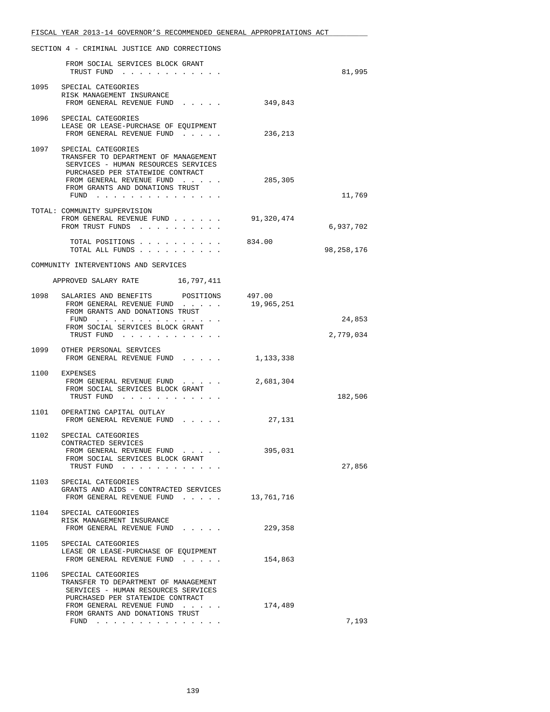|      | FROM SOCIAL SERVICES BLOCK GRANT<br>TRUST FUND<br>1095 SPECIAL CATEGORIES<br>RISK MANAGEMENT INSURANCE                                                                                                        |            | 81,995              |
|------|---------------------------------------------------------------------------------------------------------------------------------------------------------------------------------------------------------------|------------|---------------------|
|      |                                                                                                                                                                                                               |            |                     |
|      | FROM GENERAL REVENUE FUND                                                                                                                                                                                     | 349,843    |                     |
|      | 1096 SPECIAL CATEGORIES<br>LEASE OR LEASE-PURCHASE OF EQUIPMENT<br>FROM GENERAL REVENUE FUND                                                                                                                  | 236,213    |                     |
| 1097 | SPECIAL CATEGORIES<br>TRANSFER TO DEPARTMENT OF MANAGEMENT<br>SERVICES - HUMAN RESOURCES SERVICES<br>PURCHASED PER STATEWIDE CONTRACT<br>FROM GENERAL REVENUE FUND<br>FROM GRANTS AND DONATIONS TRUST<br>FUND | 285,305    | 11,769              |
|      | TOTAL: COMMUNITY SUPERVISION<br>FROM GENERAL REVENUE FUND<br>FROM TRUST FUNDS                                                                                                                                 | 91,320,474 | 6,937,702           |
|      | TOTAL POSITIONS 834.00<br>TOTAL ALL FUNDS                                                                                                                                                                     |            | 98, 258, 176        |
|      | COMMUNITY INTERVENTIONS AND SERVICES                                                                                                                                                                          |            |                     |
|      | APPROVED SALARY RATE 16,797,411                                                                                                                                                                               |            |                     |
|      | 1098 SALARIES AND BENEFITS POSITIONS 497.00<br>FROM GENERAL REVENUE FUND<br>FROM GRANTS AND DONATIONS TRUST                                                                                                   | 19,965,251 |                     |
|      | FUND<br>FROM SOCIAL SERVICES BLOCK GRANT<br>TRUST FUND                                                                                                                                                        |            | 24,853<br>2,779,034 |
|      | 1099 OTHER PERSONAL SERVICES<br>FROM GENERAL REVENUE FUND                                                                                                                                                     | 1,133,338  |                     |
|      | 1100 EXPENSES<br>FROM GENERAL REVENUE FUND<br>FROM SOCIAL SERVICES BLOCK GRANT<br>TRUST FUND                                                                                                                  | 2,681,304  | 182,506             |
|      | 1101 OPERATING CAPITAL OUTLAY<br>FROM GENERAL REVENUE FUND                                                                                                                                                    | 27,131     |                     |
|      | 1102 SPECIAL CATEGORIES<br>CONTRACTED SERVICES<br>FROM GENERAL REVENUE FUND<br>FROM SOCIAL SERVICES BLOCK GRANT<br>TRUST FUND                                                                                 | 395,031    | 27,856              |
| 1103 | SPECIAL CATEGORIES<br>GRANTS AND AIDS - CONTRACTED SERVICES<br>FROM GENERAL REVENUE FUND                                                                                                                      | 13,761,716 |                     |
|      | 1104 SPECIAL CATEGORIES<br>RISK MANAGEMENT INSURANCE<br>FROM GENERAL REVENUE FUND                                                                                                                             | 229,358    |                     |
|      | 1105 SPECIAL CATEGORIES<br>LEASE OR LEASE-PURCHASE OF EQUIPMENT<br>FROM GENERAL REVENUE FUND                                                                                                                  | 154,863    |                     |
| 1106 | SPECIAL CATEGORIES<br>TRANSFER TO DEPARTMENT OF MANAGEMENT<br>SERVICES - HUMAN RESOURCES SERVICES<br>PURCHASED PER STATEWIDE CONTRACT<br>FROM GENERAL REVENUE FUND<br>FROM GRANTS AND DONATIONS TRUST         | 174,489    | 7,193               |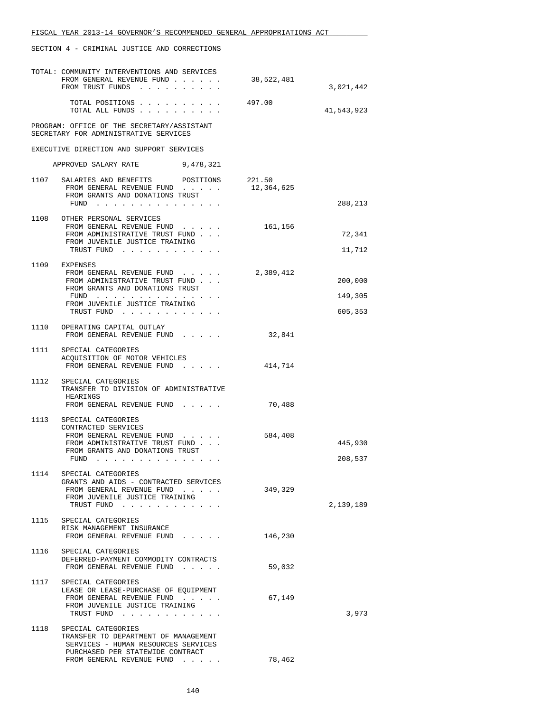|      | TOTAL: COMMUNITY INTERVENTIONS AND SERVICES<br>FROM GENERAL REVENUE FUND                                                                    | 38,522,481 |                  |
|------|---------------------------------------------------------------------------------------------------------------------------------------------|------------|------------------|
|      | FROM TRUST FUNDS                                                                                                                            |            | 3,021,442        |
|      | TOTAL POSITIONS<br>TOTAL ALL FUNDS                                                                                                          | 497.00     | 41,543,923       |
|      | PROGRAM: OFFICE OF THE SECRETARY/ASSISTANT<br>SECRETARY FOR ADMINISTRATIVE SERVICES                                                         |            |                  |
|      | EXECUTIVE DIRECTION AND SUPPORT SERVICES                                                                                                    |            |                  |
|      | APPROVED SALARY RATE<br>9,478,321                                                                                                           |            |                  |
|      | 1107 SALARIES AND BENEFITS POSITIONS 221.50<br>FROM GENERAL REVENUE FUND<br>FROM GRANTS AND DONATIONS TRUST                                 | 12,364,625 |                  |
|      | FUND $\cdots$                                                                                                                               |            | 288,213          |
|      | 1108 OTHER PERSONAL SERVICES<br>FROM GENERAL REVENUE FUND<br>FROM ADMINISTRATIVE TRUST FUND<br>FROM JUVENILE JUSTICE TRAINING<br>TRUST FUND | 161,156    | 72,341<br>11,712 |
|      | 1109 EXPENSES                                                                                                                               | 2,389,412  |                  |
|      | FROM GENERAL REVENUE FUND<br>FROM ADMINISTRATIVE TRUST FUND<br>FROM GRANTS AND DONATIONS TRUST                                              |            | 200,000          |
|      | FUND<br>FROM JUVENILE JUSTICE TRAINING                                                                                                      |            | 149,305          |
|      | TRUST FUND                                                                                                                                  |            | 605,353          |
|      | 1110 OPERATING CAPITAL OUTLAY<br>FROM GENERAL REVENUE FUND                                                                                  | 32,841     |                  |
|      | 1111 SPECIAL CATEGORIES<br>ACQUISITION OF MOTOR VEHICLES<br>FROM GENERAL REVENUE FUND 414,714                                               |            |                  |
| 1112 | SPECIAL CATEGORIES<br>TRANSFER TO DIVISION OF ADMINISTRATIVE<br>HEARINGS                                                                    |            |                  |
|      | FROM GENERAL REVENUE FUND                                                                                                                   | 70,488     |                  |
| 1113 | SPECIAL CATEGORIES<br>CONTRACTED SERVICES                                                                                                   |            |                  |
|      | FROM GENERAL REVENUE FUND<br>FROM ADMINISTRATIVE TRUST FUND                                                                                 | 584,408    | 445,930          |
|      | FROM GRANTS AND DONATIONS TRUST<br>FUND $\cdots$                                                                                            |            | 208,537          |
| 1114 | SPECIAL CATEGORIES                                                                                                                          |            |                  |
|      | GRANTS AND AIDS - CONTRACTED SERVICES<br>FROM GENERAL REVENUE FUND<br>FROM JUVENILE JUSTICE TRAINING<br>TRUST FUND                          | 349,329    | 2,139,189        |
| 1115 | SPECIAL CATEGORIES                                                                                                                          |            |                  |
|      | RISK MANAGEMENT INSURANCE<br>FROM GENERAL REVENUE FUND                                                                                      | 146,230    |                  |
|      | 1116 SPECIAL CATEGORIES<br>DEFERRED-PAYMENT COMMODITY CONTRACTS<br>FROM GENERAL REVENUE FUND                                                | 59,032     |                  |
|      | 1117 SPECIAL CATEGORIES                                                                                                                     |            |                  |
|      | LEASE OR LEASE-PURCHASE OF EQUIPMENT<br>FROM GENERAL REVENUE FUND                                                                           | 67,149     |                  |
|      | FROM JUVENILE JUSTICE TRAINING<br>TRUST FUND                                                                                                |            | 3,973            |
| 1118 | SPECIAL CATEGORIES                                                                                                                          |            |                  |
|      | TRANSFER TO DEPARTMENT OF MANAGEMENT<br>SERVICES - HUMAN RESOURCES SERVICES                                                                 |            |                  |
|      | PURCHASED PER STATEWIDE CONTRACT<br>FROM GENERAL REVENUE FUND                                                                               | 78,462     |                  |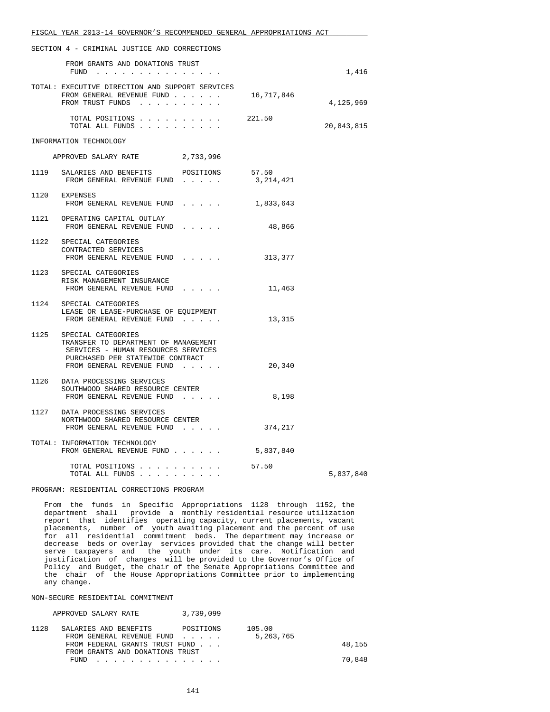| FISCAL YEAR 2013-14 GOVERNOR'S RECOMMENDED GENERAL APPROPRIATIONS ACT                                                                      |           |            |
|--------------------------------------------------------------------------------------------------------------------------------------------|-----------|------------|
| SECTION 4 - CRIMINAL JUSTICE AND CORRECTIONS                                                                                               |           |            |
| FROM GRANTS AND DONATIONS TRUST<br>FUND                                                                                                    |           | 1,416      |
| TOTAL: EXECUTIVE DIRECTION AND SUPPORT SERVICES<br>FROM GENERAL REVENUE FUND 16,717,846<br>FROM TRUST FUNDS                                |           | 4,125,969  |
| TOTAL POSITIONS $\ldots$ $\ldots$ $\ldots$ 221.50<br>TOTAL ALL FUNDS                                                                       |           | 20,843,815 |
| INFORMATION TECHNOLOGY                                                                                                                     |           |            |
| APPROVED SALARY RATE 2,733,996                                                                                                             |           |            |
| 1119 SALARIES AND BENEFITS POSITIONS<br>FROM GENERAL REVENUE FUND 3,214,421                                                                | 57.50     |            |
| 1120 EXPENSES<br>FROM GENERAL REVENUE FUND                                                                                                 | 1,833,643 |            |
| 1121 OPERATING CAPITAL OUTLAY<br>FROM GENERAL REVENUE FUND                                                                                 | 48,866    |            |
| 1122 SPECIAL CATEGORIES<br>CONTRACTED SERVICES<br>FROM GENERAL REVENUE FUND                                                                | 313,377   |            |
| 1123 SPECIAL CATEGORIES<br>RISK MANAGEMENT INSURANCE<br>FROM GENERAL REVENUE FUND                                                          | 11,463    |            |
| 1124 SPECIAL CATEGORIES<br>LEASE OR LEASE-PURCHASE OF EQUIPMENT<br>FROM GENERAL REVENUE FUND                                               | 13,315    |            |
| 1125 SPECIAL CATEGORIES<br>TRANSFER TO DEPARTMENT OF MANAGEMENT<br>SERVICES - HUMAN RESOURCES SERVICES<br>PURCHASED PER STATEWIDE CONTRACT |           |            |
| FROM GENERAL REVENUE FUND                                                                                                                  | 20,340    |            |
| 1126 DATA PROCESSING SERVICES<br>SOUTHWOOD SHARED RESOURCE CENTER<br>FROM GENERAL REVENUE FUND                                             | 8,198     |            |
| 1127 DATA PROCESSING SERVICES<br>NORTHWOOD SHARED RESOURCE CENTER<br>FROM GENERAL REVENUE FUND                                             | 374,217   |            |
| TOTAL: INFORMATION TECHNOLOGY<br>FROM GENERAL REVENUE FUND                                                                                 | 5,837,840 |            |
| TOTAL POSITIONS 57.50<br>TOTAL ALL FUNDS                                                                                                   |           | 5,837,840  |

#### PROGRAM: RESIDENTIAL CORRECTIONS PROGRAM

 From the funds in Specific Appropriations 1128 through 1152, the department shall provide a monthly residential resource utilization report that identifies operating capacity, current placements, vacant placements, number of youth awaiting placement and the percent of use for all residential commitment beds. The department may increase or decrease beds or overlay services provided that the change will better serve taxpayers and the youth under its care. Notification and justification of changes will be provided to the Governor's Office of Policy and Budget, the chair of the Senate Appropriations Committee and the chair of the House Appropriations Committee prior to implementing any change.

#### NON-SECURE RESIDENTIAL COMMITMENT

| APPROVED SALARY RATE            | 3,739,099 |             |        |
|---------------------------------|-----------|-------------|--------|
| 1128<br>SALARIES AND BENEFITS   | POSITIONS | 105.00      |        |
| FROM GENERAL REVENUE FUND       |           | 5, 263, 765 |        |
| FROM FEDERAL GRANTS TRUST FUND  |           |             | 48,155 |
| FROM GRANTS AND DONATIONS TRUST |           |             |        |
| <b>FUND</b><br>.                |           |             | 70,848 |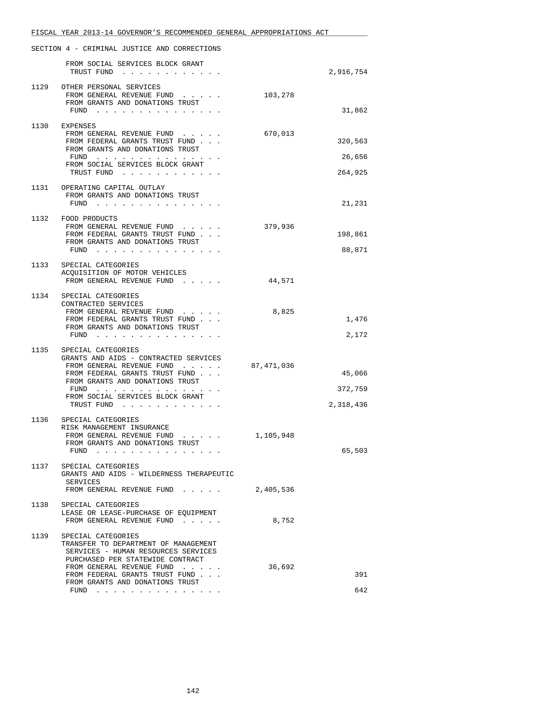|      | FISCAL YEAR 2013-14 GOVERNOR'S RECOMMENDED GENERAL APPROPRIATIONS ACT                                                                                                                                                                                    |            |                                |
|------|----------------------------------------------------------------------------------------------------------------------------------------------------------------------------------------------------------------------------------------------------------|------------|--------------------------------|
|      | SECTION 4 - CRIMINAL JUSTICE AND CORRECTIONS                                                                                                                                                                                                             |            |                                |
|      | FROM SOCIAL SERVICES BLOCK GRANT<br>TRUST FUND                                                                                                                                                                                                           |            | 2,916,754                      |
|      | 1129 OTHER PERSONAL SERVICES<br>FROM GENERAL REVENUE FUND<br>FROM GRANTS AND DONATIONS TRUST<br>FUND $\cdots$                                                                                                                                            | 103,278    | 31,862                         |
|      |                                                                                                                                                                                                                                                          |            |                                |
|      | 1130 EXPENSES<br>FROM GENERAL REVENUE FUND<br>FROM FEDERAL GRANTS TRUST FUND<br>FROM GRANTS AND DONATIONS TRUST                                                                                                                                          | 670,013    | 320,563                        |
|      | FUND $\cdots$                                                                                                                                                                                                                                            |            | 26,656                         |
|      | FROM SOCIAL SERVICES BLOCK GRANT<br>TRUST FUND                                                                                                                                                                                                           |            | 264,925                        |
|      | 1131 OPERATING CAPITAL OUTLAY<br>FROM GRANTS AND DONATIONS TRUST<br>FUND                                                                                                                                                                                 |            | 21,231                         |
|      | 1132 FOOD PRODUCTS<br>FROM GENERAL REVENUE FUND<br>FROM FEDERAL GRANTS TRUST FUND<br>FROM GRANTS AND DONATIONS TRUST<br>FUND                                                                                                                             | 379,936    | 198,861<br>88,871              |
| 1133 | SPECIAL CATEGORIES<br>ACQUISITION OF MOTOR VEHICLES<br>FROM GENERAL REVENUE FUND<br>$\cdots$                                                                                                                                                             | 44,571     |                                |
| 1134 | SPECIAL CATEGORIES<br>CONTRACTED SERVICES<br>FROM GENERAL REVENUE FUND<br>FROM FEDERAL GRANTS TRUST FUND<br>FROM GRANTS AND DONATIONS TRUST<br>FUND $\ldots$ $\ldots$ $\ldots$ $\ldots$ $\ldots$ $\ldots$                                                | 8,825      | 1,476<br>2,172                 |
| 1135 | SPECIAL CATEGORIES<br>GRANTS AND AIDS - CONTRACTED SERVICES<br>FROM GENERAL REVENUE FUND<br>FROM FEDERAL GRANTS TRUST FUND<br>FROM GRANTS AND DONATIONS TRUST<br>FUND $\cdots$<br>FROM SOCIAL SERVICES BLOCK GRANT<br>TRUST FUND                         | 87,471,036 | 45,066<br>372,759<br>2,318,436 |
| 1136 | SPECIAL CATEGORIES<br>RISK MANAGEMENT INSURANCE<br>FROM GENERAL REVENUE FUND<br>FROM GRANTS AND DONATIONS TRUST<br>FUND $\cdots$ $\cdots$ $\cdots$ $\cdots$                                                                                              | 1,105,948  | 65,503                         |
| 1137 | SPECIAL CATEGORIES<br>GRANTS AND AIDS - WILDERNESS THERAPEUTIC<br>SERVICES<br>FROM GENERAL REVENUE FUND                                                                                                                                                  | 2,405,536  |                                |
| 1138 | SPECIAL CATEGORIES<br>LEASE OR LEASE-PURCHASE OF EQUIPMENT<br>FROM GENERAL REVENUE FUND                                                                                                                                                                  | 8,752      |                                |
| 1139 | SPECIAL CATEGORIES<br>TRANSFER TO DEPARTMENT OF MANAGEMENT<br>SERVICES - HUMAN RESOURCES SERVICES<br>PURCHASED PER STATEWIDE CONTRACT<br>FROM GENERAL REVENUE FUND<br>FROM FEDERAL GRANTS TRUST FUND<br>FROM GRANTS AND DONATIONS TRUST<br>FUND $\cdots$ | 36,692     | 391<br>642                     |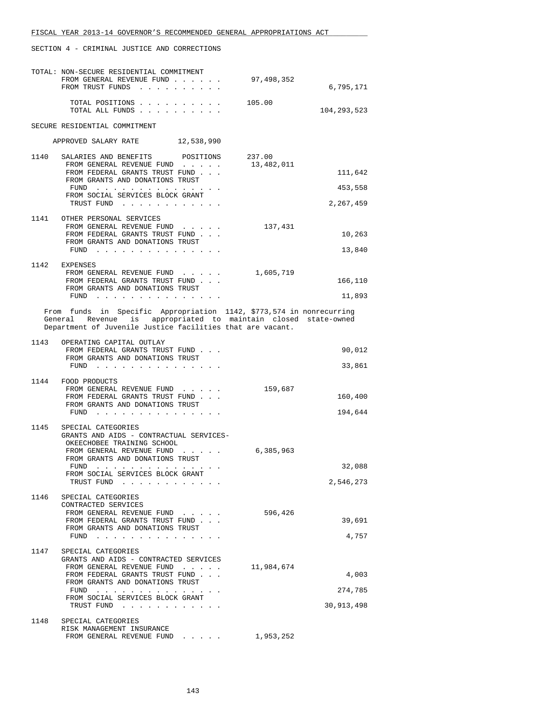|                                                                                                                                                                                                      | TOTAL: NON-SECURE RESIDENTIAL COMMITMENT<br>FROM GENERAL REVENUE FUND<br>FROM TRUST FUNDS                                                                                                                                                                                                        | 97,498,352 | 6,795,171   |  |  |
|------------------------------------------------------------------------------------------------------------------------------------------------------------------------------------------------------|--------------------------------------------------------------------------------------------------------------------------------------------------------------------------------------------------------------------------------------------------------------------------------------------------|------------|-------------|--|--|
|                                                                                                                                                                                                      | TOTAL POSITIONS<br>TOTAL ALL FUNDS                                                                                                                                                                                                                                                               | 105.00     | 104,293,523 |  |  |
| SECURE RESIDENTIAL COMMITMENT                                                                                                                                                                        |                                                                                                                                                                                                                                                                                                  |            |             |  |  |
| APPROVED SALARY RATE 12,538,990                                                                                                                                                                      |                                                                                                                                                                                                                                                                                                  |            |             |  |  |
| 1140                                                                                                                                                                                                 | SALARIES AND BENEFITS<br>POSITIONS                                                                                                                                                                                                                                                               | 237.00     |             |  |  |
|                                                                                                                                                                                                      | FROM GENERAL REVENUE FUND<br>FROM FEDERAL GRANTS TRUST FUND                                                                                                                                                                                                                                      | 13,482,011 | 111,642     |  |  |
|                                                                                                                                                                                                      | FROM GRANTS AND DONATIONS TRUST<br>FUND                                                                                                                                                                                                                                                          |            | 453,558     |  |  |
|                                                                                                                                                                                                      | FROM SOCIAL SERVICES BLOCK GRANT<br>TRUST FUND                                                                                                                                                                                                                                                   |            | 2,267,459   |  |  |
|                                                                                                                                                                                                      | 1141 OTHER PERSONAL SERVICES<br>FROM GENERAL REVENUE FUND                                                                                                                                                                                                                                        | 137,431    |             |  |  |
|                                                                                                                                                                                                      | FROM FEDERAL GRANTS TRUST FUND<br>FROM GRANTS AND DONATIONS TRUST                                                                                                                                                                                                                                |            | 10,263      |  |  |
|                                                                                                                                                                                                      | FUND $\cdots$                                                                                                                                                                                                                                                                                    |            | 13,840      |  |  |
|                                                                                                                                                                                                      | 1142 EXPENSES<br>FROM GENERAL REVENUE FUND                                                                                                                                                                                                                                                       | 1,605,719  |             |  |  |
|                                                                                                                                                                                                      | FROM FEDERAL GRANTS TRUST FUND<br>FROM GRANTS AND DONATIONS TRUST                                                                                                                                                                                                                                |            | 166,110     |  |  |
|                                                                                                                                                                                                      | FUND $\cdots$                                                                                                                                                                                                                                                                                    |            | 11,893      |  |  |
| From funds in Specific Appropriation 1142, \$773,574 in nonrecurring<br>General Revenue is appropriated to maintain closed state-owned<br>Department of Juvenile Justice facilities that are vacant. |                                                                                                                                                                                                                                                                                                  |            |             |  |  |
| 1143                                                                                                                                                                                                 | OPERATING CAPITAL OUTLAY<br>FROM FEDERAL GRANTS TRUST FUND                                                                                                                                                                                                                                       |            | 90,012      |  |  |
|                                                                                                                                                                                                      | FROM GRANTS AND DONATIONS TRUST<br>FUND $\cdots$                                                                                                                                                                                                                                                 |            | 33,861      |  |  |
|                                                                                                                                                                                                      | 1144 FOOD PRODUCTS                                                                                                                                                                                                                                                                               |            |             |  |  |
|                                                                                                                                                                                                      | FROM GENERAL REVENUE FUND<br>FROM FEDERAL GRANTS TRUST FUND                                                                                                                                                                                                                                      | 159,687    | 160,400     |  |  |
|                                                                                                                                                                                                      | FROM GRANTS AND DONATIONS TRUST                                                                                                                                                                                                                                                                  |            | 194,644     |  |  |
| 1145                                                                                                                                                                                                 | SPECIAL CATEGORIES                                                                                                                                                                                                                                                                               |            |             |  |  |
|                                                                                                                                                                                                      | GRANTS AND AIDS - CONTRACTUAL SERVICES-<br>OKEECHOBEE TRAINING SCHOOL                                                                                                                                                                                                                            |            |             |  |  |
|                                                                                                                                                                                                      | FROM GENERAL REVENUE FUND<br>FROM GRANTS AND DONATIONS TRUST                                                                                                                                                                                                                                     | 6,385,963  |             |  |  |
|                                                                                                                                                                                                      | FUND<br>the companion of the companion of the companion of the companion of the companion of the companion of the companion of the companion of the companion of the companion of the companion of the companion of the companion of t                                                           |            | 32,088      |  |  |
|                                                                                                                                                                                                      | FROM SOCIAL SERVICES BLOCK GRANT<br>TRUST FUND                                                                                                                                                                                                                                                   |            | 2,546,273   |  |  |
| 1146                                                                                                                                                                                                 | SPECIAL CATEGORIES                                                                                                                                                                                                                                                                               |            |             |  |  |
|                                                                                                                                                                                                      | CONTRACTED SERVICES<br>FROM GENERAL REVENUE FUND                                                                                                                                                                                                                                                 | 596,426    |             |  |  |
|                                                                                                                                                                                                      | FROM FEDERAL GRANTS TRUST FUND<br>FROM GRANTS AND DONATIONS TRUST                                                                                                                                                                                                                                |            | 39,691      |  |  |
|                                                                                                                                                                                                      | FUND                                                                                                                                                                                                                                                                                             |            | 4,757       |  |  |
| 1147                                                                                                                                                                                                 | SPECIAL CATEGORIES<br>GRANTS AND AIDS - CONTRACTED SERVICES                                                                                                                                                                                                                                      |            |             |  |  |
|                                                                                                                                                                                                      | FROM GENERAL REVENUE FUND<br>$\mathbf{r}$ . The set of the set of the set of the set of the set of the set of the set of the set of the set of the set of the set of the set of the set of the set of the set of the set of the set of the set of the set of t<br>FROM FEDERAL GRANTS TRUST FUND | 11,984,674 | 4,003       |  |  |
|                                                                                                                                                                                                      | FROM GRANTS AND DONATIONS TRUST<br>$FUND$                                                                                                                                                                                                                                                        |            | 274,785     |  |  |
|                                                                                                                                                                                                      | FROM SOCIAL SERVICES BLOCK GRANT<br>TRUST FUND                                                                                                                                                                                                                                                   |            | 30,913,498  |  |  |
| 1148                                                                                                                                                                                                 | SPECIAL CATEGORIES                                                                                                                                                                                                                                                                               |            |             |  |  |
|                                                                                                                                                                                                      | RISK MANAGEMENT INSURANCE<br>FROM GENERAL REVENUE FUND 1,953,252                                                                                                                                                                                                                                 |            |             |  |  |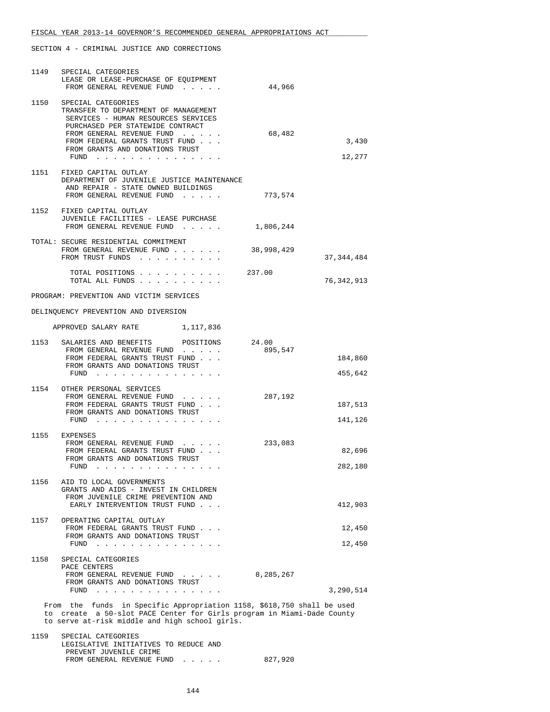| 1149 | SPECIAL CATEGORIES<br>LEASE OR LEASE-PURCHASE OF EQUIPMENT<br>FROM GENERAL REVENUE FUND                                                                                                                                                                                                                                                                   | 44,966     |                    |
|------|-----------------------------------------------------------------------------------------------------------------------------------------------------------------------------------------------------------------------------------------------------------------------------------------------------------------------------------------------------------|------------|--------------------|
| 1150 | SPECIAL CATEGORIES<br>TRANSFER TO DEPARTMENT OF MANAGEMENT<br>SERVICES - HUMAN RESOURCES SERVICES<br>PURCHASED PER STATEWIDE CONTRACT<br>FROM GENERAL REVENUE FUND<br>FROM FEDERAL GRANTS TRUST FUND<br>FROM GRANTS AND DONATIONS TRUST<br>FUND $\cdots$                                                                                                  | 68,482     | 3,430<br>12,277    |
|      | 1151 FIXED CAPITAL OUTLAY<br>DEPARTMENT OF JUVENILE JUSTICE MAINTENANCE<br>AND REPAIR - STATE OWNED BUILDINGS<br>FROM GENERAL REVENUE FUND                                                                                                                                                                                                                | 773,574    |                    |
|      | 1152 FIXED CAPITAL OUTLAY<br>JUVENILE FACILITIES - LEASE PURCHASE<br>FROM GENERAL REVENUE FUND                                                                                                                                                                                                                                                            | 1,806,244  |                    |
|      | TOTAL: SECURE RESIDENTIAL COMMITMENT<br>FROM GENERAL REVENUE FUND<br>FROM TRUST FUNDS                                                                                                                                                                                                                                                                     | 38,998,429 | 37, 344, 484       |
|      | TOTAL POSITIONS 237.00<br>TOTAL ALL FUNDS                                                                                                                                                                                                                                                                                                                 |            | 76,342,913         |
|      | PROGRAM: PREVENTION AND VICTIM SERVICES                                                                                                                                                                                                                                                                                                                   |            |                    |
|      | DELINQUENCY PREVENTION AND DIVERSION                                                                                                                                                                                                                                                                                                                      |            |                    |
|      | APPROVED SALARY RATE 1,117,836                                                                                                                                                                                                                                                                                                                            |            |                    |
|      | 1153 SALARIES AND BENEFITS POSITIONS 24.00<br>FROM GENERAL REVENUE FUND<br>FROM FEDERAL GRANTS TRUST FUND<br>FROM GRANTS AND DONATIONS TRUST<br>FUND $\cdots$                                                                                                                                                                                             | 895,547    | 184,860<br>455,642 |
|      | 1154 OTHER PERSONAL SERVICES<br>FROM GENERAL REVENUE FUND<br>FROM FEDERAL GRANTS TRUST FUND<br>FROM GRANTS AND DONATIONS TRUST<br>$FUND$                                                                                                                                                                                                                  | 287,192    | 187,513<br>141,126 |
|      | 1155 EXPENSES<br>FROM GENERAL REVENUE FUND<br>FROM FEDERAL GRANTS TRUST FUND<br>FROM GRANTS AND DONATIONS TRUST<br>FUND<br>the companion of the companion of the companion of the companion of the companion of the companion of the companion of the companion of the companion of the companion of the companion of the companion of the companion of t | 233,083    | 82,696<br>282,180  |
|      | 1156 AID TO LOCAL GOVERNMENTS<br>GRANTS AND AIDS - INVEST IN CHILDREN<br>FROM JUVENILE CRIME PREVENTION AND<br>EARLY INTERVENTION TRUST FUND                                                                                                                                                                                                              |            | 412,903            |
|      | 1157 OPERATING CAPITAL OUTLAY<br>FROM FEDERAL GRANTS TRUST FUND<br>FROM GRANTS AND DONATIONS TRUST<br>FUND $\cdots$                                                                                                                                                                                                                                       |            | 12,450<br>12,450   |
|      | 1158 SPECIAL CATEGORIES<br>PACE CENTERS<br>FROM GENERAL REVENUE FUND<br>FROM GRANTS AND DONATIONS TRUST                                                                                                                                                                                                                                                   | 8,285,267  |                    |
|      | FUND $\cdots$                                                                                                                                                                                                                                                                                                                                             |            | 3,290,514          |
|      | From the funds in Specific Appropriation 1158, \$618,750 shall be used<br>to create a 50-slot PACE Center for Girls program in Miami-Dade County<br>to serve at-risk middle and high school girls.                                                                                                                                                        |            |                    |
| 1159 | SPECIAL CATEGORIES<br>LEGISLATIVE INITIATIVES TO BEDUCE AND                                                                                                                                                                                                                                                                                               |            |                    |

 LEGISLATIVE INITIATIVES TO REDUCE AND PREVENT JUVENILE CRIME FROM GENERAL REVENUE FUND . . . . . 827,920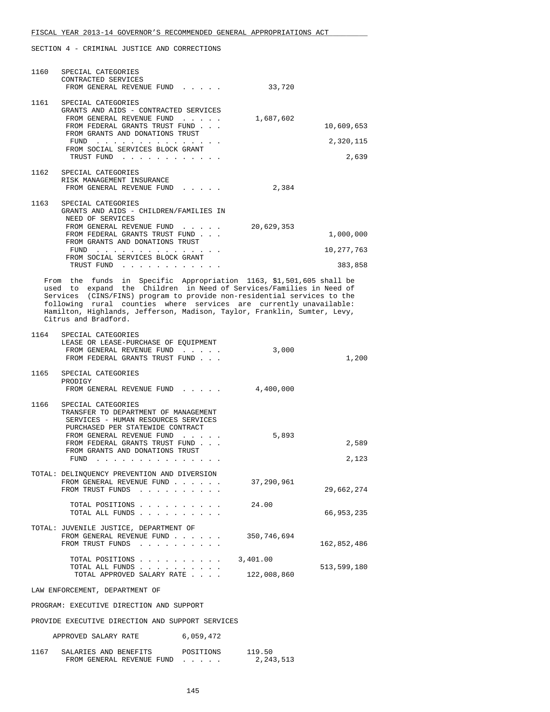| 1160 | SPECIAL CATEGORIES<br>CONTRACTED SERVICES<br>FROM GENERAL REVENUE FUND                                                                                                                                                                                                                                                                                                                          | 33,720     |                                  |
|------|-------------------------------------------------------------------------------------------------------------------------------------------------------------------------------------------------------------------------------------------------------------------------------------------------------------------------------------------------------------------------------------------------|------------|----------------------------------|
|      | 1161 SPECIAL CATEGORIES<br>GRANTS AND AIDS - CONTRACTED SERVICES<br>FROM GENERAL REVENUE FUND<br>and a state of the state of the<br>FROM FEDERAL GRANTS TRUST FUND<br>FROM GRANTS AND DONATIONS TRUST<br>FUND $\cdots$ , $\cdots$ , $\cdots$<br>FROM SOCIAL SERVICES BLOCK GRANT<br>TRUST FUND                                                                                                  | 1,687,602  | 10,609,653<br>2,320,115<br>2,639 |
|      | 1162 SPECIAL CATEGORIES<br>RISK MANAGEMENT INSURANCE<br>FROM GENERAL REVENUE FUND                                                                                                                                                                                                                                                                                                               | 2,384      |                                  |
|      | 1163 SPECIAL CATEGORIES<br>GRANTS AND AIDS - CHILDREN/FAMILIES IN<br>NEED OF SERVICES<br>FROM GENERAL REVENUE FUND<br>FROM FEDERAL GRANTS TRUST FUND<br>FROM GRANTS AND DONATIONS TRUST<br>FUND $\cdots$ , $\cdots$ , $\cdots$ , $\cdots$<br>FROM SOCIAL SERVICES BLOCK GRANT                                                                                                                   | 20,629,353 | 1,000,000<br>10, 277, 763        |
|      | TRUST FUND<br>$\mathbf{r}$ , $\mathbf{r}$ , $\mathbf{r}$ , $\mathbf{r}$ , $\mathbf{r}$ , $\mathbf{r}$                                                                                                                                                                                                                                                                                           |            | 383,858                          |
|      | From the funds in Specific Appropriation 1163, \$1,501,605 shall be<br>used to expand the Children in Need of Services/Families in Need of<br>Services (CINS/FINS) program to provide non-residential services to the<br>following rural counties where services are currently unavailable:<br>Hamilton, Highlands, Jefferson, Madison, Taylor, Franklin, Sumter, Levy,<br>Citrus and Bradford. |            |                                  |
| 1164 | SPECIAL CATEGORIES<br>LEAGE OF LEAGE DURGUAGE OF BOUTDMENT                                                                                                                                                                                                                                                                                                                                      |            |                                  |

|      | LEASE OR LEASE-PURCHASE OF EQUIPMENT<br>FROM GENERAL REVENUE FUND<br>FROM FEDERAL GRANTS TRUST FUND                                                                                                                                                                       | 3,000       | 1,200       |
|------|---------------------------------------------------------------------------------------------------------------------------------------------------------------------------------------------------------------------------------------------------------------------------|-------------|-------------|
|      | 1165 SPECIAL CATEGORIES<br>PRODIGY<br>FROM GENERAL REVENUE FUND                                                                                                                                                                                                           | 4,400,000   |             |
| 1166 | SPECIAL CATEGORIES<br>TRANSFER TO DEPARTMENT OF MANAGEMENT<br>SERVICES - HUMAN RESOURCES SERVICES<br>PURCHASED PER STATEWIDE CONTRACT                                                                                                                                     |             |             |
|      | FROM GENERAL REVENUE FUND<br>$\mathbf{r}$ . The set of the set of $\mathbf{r}$<br>FROM FEDERAL GRANTS TRUST FUND                                                                                                                                                          | 5,893       | 2,589       |
|      | FROM GRANTS AND DONATIONS TRUST<br>FUND<br>and the contract of the contract of the contract of the contract of the contract of the contract of the contract of the contract of the contract of the contract of the contract of the contract of the contract of the contra |             | 2,123       |
|      | TOTAL: DELINQUENCY PREVENTION AND DIVERSION<br>FROM GENERAL REVENUE FUND<br>FROM TRUST FUNDS                                                                                                                                                                              | 37,290,961  | 29,662,274  |
|      | TOTAL POSITIONS<br>TOTAL ALL FUNDS                                                                                                                                                                                                                                        | 24.00       | 66,953,235  |
|      | TOTAL: JUVENILE JUSTICE, DEPARTMENT OF<br>FROM GENERAL REVENUE FUND<br>FROM TRUST FUNDS                                                                                                                                                                                   | 350,746,694 | 162,852,486 |
|      | TOTAL POSITIONS                                                                                                                                                                                                                                                           | 3,401.00    |             |
|      | TOTAL ALL FUNDS $\ldots$<br>TOTAL APPROVED SALARY RATE                                                                                                                                                                                                                    | 122,008,860 | 513,599,180 |
|      | LAW ENFORCEMENT, DEPARTMENT OF                                                                                                                                                                                                                                            |             |             |
|      | PROGRAM: EXECUTIVE DIRECTION AND SUPPORT                                                                                                                                                                                                                                  |             |             |
|      | proviting overturing other and all duppoon convitance                                                                                                                                                                                                                     |             |             |

PROVIDE EXECUTIVE DIRECTION AND SUPPORT SERVICES

| APPROVED SALARY RATE |  | 6,059,472 |
|----------------------|--|-----------|
|----------------------|--|-----------|

| 1167 | SALARIES AND BENEFITS     | POSITIONS | 119.50      |
|------|---------------------------|-----------|-------------|
|      | FROM GENERAL REVENUE FUND |           | 2, 243, 513 |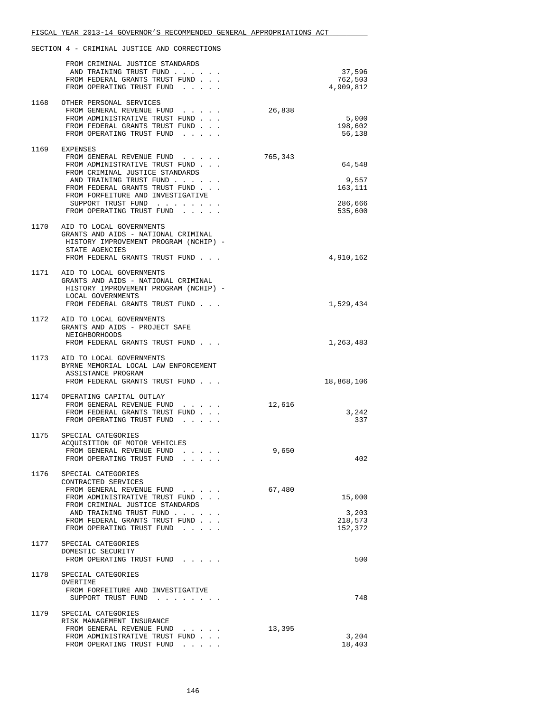|      | FROM CRIMINAL JUSTICE STANDARDS<br>AND TRAINING TRUST FUND<br>FROM FEDERAL GRANTS TRUST FUND<br>FROM OPERATING TRUST FUND                                                                                                                                             |         | 37,596<br>762,503<br>4,909,812                   |
|------|-----------------------------------------------------------------------------------------------------------------------------------------------------------------------------------------------------------------------------------------------------------------------|---------|--------------------------------------------------|
| 1168 | OTHER PERSONAL SERVICES<br>FROM GENERAL REVENUE FUND<br>FROM ADMINISTRATIVE TRUST FUND<br>FROM FEDERAL GRANTS TRUST FUND<br>FROM OPERATING TRUST FUND                                                                                                                 | 26,838  | 5,000<br>198,602<br>56,138                       |
|      | 1169 EXPENSES<br>FROM GENERAL REVENUE FUND<br>FROM ADMINISTRATIVE TRUST FUND<br>FROM CRIMINAL JUSTICE STANDARDS<br>AND TRAINING TRUST FUND<br>FROM FEDERAL GRANTS TRUST FUND<br>FROM FORFEITURE AND INVESTIGATIVE<br>SUPPORT TRUST FUND<br>FROM OPERATING TRUST FUND. | 765,343 | 64,548<br>9,557<br>163,111<br>286,666<br>535,600 |
|      | 1170 AID TO LOCAL GOVERNMENTS<br>GRANTS AND AIDS - NATIONAL CRIMINAL<br>HISTORY IMPROVEMENT PROGRAM (NCHIP) -<br>STATE AGENCIES<br>FROM FEDERAL GRANTS TRUST FUND                                                                                                     |         | 4,910,162                                        |
|      | 1171 AID TO LOCAL GOVERNMENTS<br>GRANTS AND AIDS - NATIONAL CRIMINAL<br>HISTORY IMPROVEMENT PROGRAM (NCHIP) -<br>LOCAL GOVERNMENTS<br>FROM FEDERAL GRANTS TRUST FUND                                                                                                  |         | 1,529,434                                        |
|      | 1172 AID TO LOCAL GOVERNMENTS<br>GRANTS AND AIDS - PROJECT SAFE<br>NEIGHBORHOODS<br>FROM FEDERAL GRANTS TRUST FUND                                                                                                                                                    |         | 1,263,483                                        |
|      | 1173 AID TO LOCAL GOVERNMENTS<br>BYRNE MEMORIAL LOCAL LAW ENFORCEMENT<br>ASSISTANCE PROGRAM<br>FROM FEDERAL GRANTS TRUST FUND                                                                                                                                         |         | 18,868,106                                       |
|      | 1174 OPERATING CAPITAL OUTLAY<br>FROM GENERAL REVENUE FUND<br>FROM FEDERAL GRANTS TRUST FUND<br>FROM OPERATING TRUST FUND.                                                                                                                                            | 12,616  | 3,242<br>337                                     |
| 1175 | SPECIAL CATEGORIES<br>ACQUISITION OF MOTOR VEHICLES<br>FROM GENERAL REVENUE FUND<br>FROM OPERATING TRUST FUND                                                                                                                                                         | 9,650   | 402                                              |
| 1176 | SPECIAL CATEGORIES<br>CONTRACTED SERVICES<br>FROM GENERAL REVENUE FUND<br>FROM ADMINISTRATIVE TRUST FUND<br>FROM CRIMINAL JUSTICE STANDARDS<br>AND TRAINING TRUST FUND<br>FROM FEDERAL GRANTS TRUST FUND<br>FROM OPERATING TRUST FUND                                 | 67,480  | 15,000<br>3,203<br>218,573<br>152,372            |
| 1177 | SPECIAL CATEGORIES<br>DOMESTIC SECURITY<br>FROM OPERATING TRUST FUND                                                                                                                                                                                                  |         | 500                                              |
| 1178 | SPECIAL CATEGORIES<br>OVERTIME<br>FROM FORFEITURE AND INVESTIGATIVE<br>SUPPORT TRUST FUND                                                                                                                                                                             |         | 748                                              |
| 1179 | SPECIAL CATEGORIES<br>RISK MANAGEMENT INSURANCE<br>FROM GENERAL REVENUE FUND<br>FROM ADMINISTRATIVE TRUST FUND<br>FROM OPERATING TRUST FUND                                                                                                                           | 13,395  | 3,204<br>18,403                                  |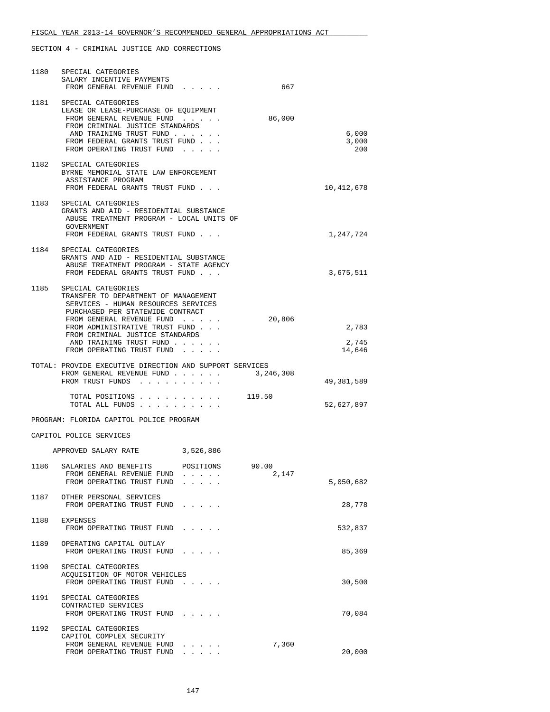| 1180 | SPECIAL CATEGORIES<br>SALARY INCENTIVE PAYMENTS                                                                                                                                                                           |           |                |                          |
|------|---------------------------------------------------------------------------------------------------------------------------------------------------------------------------------------------------------------------------|-----------|----------------|--------------------------|
|      | FROM GENERAL REVENUE FUND                                                                                                                                                                                                 |           | 667            |                          |
|      | 1181 SPECIAL CATEGORIES<br>LEASE OR LEASE-PURCHASE OF EQUIPMENT<br>FROM GENERAL REVENUE FUND<br>FROM CRIMINAL JUSTICE STANDARDS<br>AND TRAINING TRUST FUND<br>FROM FEDERAL GRANTS TRUST FUND<br>FROM OPERATING TRUST FUND |           | 86,000         | 6,000<br>3,000<br>200    |
|      | 1182 SPECIAL CATEGORIES<br>BYRNE MEMORIAL STATE LAW ENFORCEMENT<br>ASSISTANCE PROGRAM<br>FROM FEDERAL GRANTS TRUST FUND                                                                                                   |           |                | 10,412,678               |
|      | 1183 SPECIAL CATEGORIES<br>GRANTS AND AID - RESIDENTIAL SUBSTANCE<br>ABUSE TREATMENT PROGRAM - LOCAL UNITS OF<br>GOVERNMENT<br>FROM FEDERAL GRANTS TRUST FUND                                                             |           |                | 1,247,724                |
| 1184 | SPECIAL CATEGORIES<br>GRANTS AND AID - RESIDENTIAL SUBSTANCE<br>ABUSE TREATMENT PROGRAM - STATE AGENCY<br>FROM FEDERAL GRANTS TRUST FUND                                                                                  |           |                | 3,675,511                |
| 1185 | SPECIAL CATEGORIES<br>TRANSFER TO DEPARTMENT OF MANAGEMENT<br>SERVICES - HUMAN RESOURCES SERVICES<br>PURCHASED PER STATEWIDE CONTRACT<br>FROM GENERAL REVENUE FUND                                                        |           | 20,806         |                          |
|      | FROM ADMINISTRATIVE TRUST FUND<br>FROM CRIMINAL JUSTICE STANDARDS<br>AND TRAINING TRUST FUND<br>FROM OPERATING TRUST FUND                                                                                                 |           |                | 2,783<br>2,745<br>14,646 |
|      |                                                                                                                                                                                                                           |           |                |                          |
|      | TOTAL: PROVIDE EXECUTIVE DIRECTION AND SUPPORT SERVICES<br>FROM GENERAL REVENUE FUND<br>FROM TRUST FUNDS                                                                                                                  |           | 3,246,308      | 49,381,589               |
|      | TOTAL ALL FUNDS                                                                                                                                                                                                           |           |                | 52,627,897               |
|      | PROGRAM: FLORIDA CAPITOL POLICE PROGRAM                                                                                                                                                                                   |           |                |                          |
|      | CAPITOL POLICE SERVICES                                                                                                                                                                                                   |           |                |                          |
|      | APPROVED SALARY RATE                                                                                                                                                                                                      | 3,526,886 |                |                          |
| 1186 | SALARIES AND BENEFITS<br>FROM GENERAL REVENUE FUND<br>FROM OPERATING TRUST FUND                                                                                                                                           | POSITIONS | 90.00<br>2,147 | 5,050,682                |
|      | 1187 OTHER PERSONAL SERVICES<br>FROM OPERATING TRUST FUND                                                                                                                                                                 |           |                | 28,778                   |
| 1188 | EXPENSES<br>FROM OPERATING TRUST FUND                                                                                                                                                                                     |           |                | 532,837                  |
| 1189 | OPERATING CAPITAL OUTLAY<br>FROM OPERATING TRUST FUND                                                                                                                                                                     |           |                | 85,369                   |
| 1190 | SPECIAL CATEGORIES<br>ACQUISITION OF MOTOR VEHICLES<br>FROM OPERATING TRUST FUND                                                                                                                                          |           |                | 30,500                   |
| 1191 | SPECIAL CATEGORIES<br>CONTRACTED SERVICES<br>FROM OPERATING TRUST FUND                                                                                                                                                    |           |                | 70,084                   |
| 1192 | SPECIAL CATEGORIES<br>CAPITOL COMPLEX SECURITY<br>FROM GENERAL REVENUE FUND<br>FROM OPERATING TRUST FUND                                                                                                                  |           | 7,360          | 20,000                   |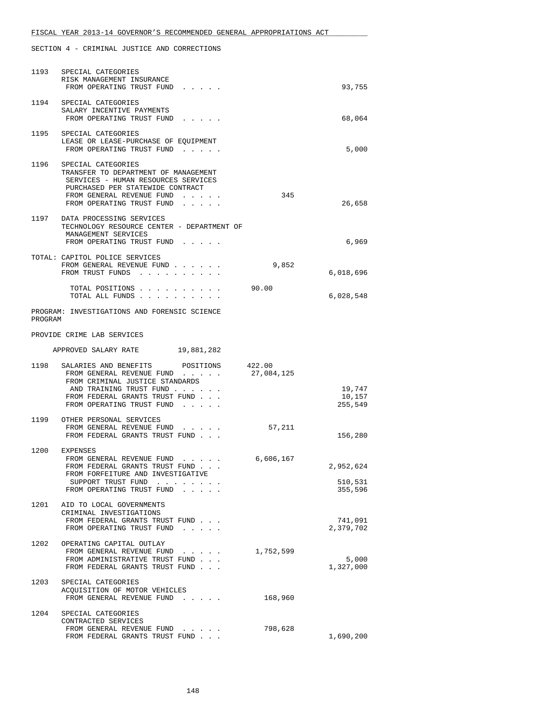|         | 1193 SPECIAL CATEGORIES<br>RISK MANAGEMENT INSURANCE<br>FROM OPERATING TRUST FUND                                                                                                                                                               |            | 93,755                          |
|---------|-------------------------------------------------------------------------------------------------------------------------------------------------------------------------------------------------------------------------------------------------|------------|---------------------------------|
|         | 1194 SPECIAL CATEGORIES<br>SALARY INCENTIVE PAYMENTS<br>FROM OPERATING TRUST FUND                                                                                                                                                               |            | 68,064                          |
|         | 1195 SPECIAL CATEGORIES<br>LEASE OR LEASE-PURCHASE OF EQUIPMENT<br>FROM OPERATING TRUST FUND                                                                                                                                                    |            | 5,000                           |
|         | 1196 SPECIAL CATEGORIES<br>TRANSFER TO DEPARTMENT OF MANAGEMENT<br>SERVICES - HUMAN RESOURCES SERVICES<br>PURCHASED PER STATEWIDE CONTRACT<br>FROM GENERAL REVENUE FUND<br>FROM OPERATING TRUST FUND<br>$\cdot$ $\cdot$ $\cdot$ $\cdot$ $\cdot$ | 345        | 26,658                          |
|         | 1197 DATA PROCESSING SERVICES<br>TECHNOLOGY RESOURCE CENTER - DEPARTMENT OF<br>MANAGEMENT SERVICES<br>FROM OPERATING TRUST FUND                                                                                                                 |            | 6,969                           |
|         | TOTAL: CAPITOL POLICE SERVICES<br>FROM GENERAL REVENUE FUND<br>FROM TRUST FUNDS                                                                                                                                                                 | 9,852      | 6,018,696                       |
|         | TOTAL POSITIONS 90.00<br>TOTAL ALL FUNDS                                                                                                                                                                                                        |            | 6,028,548                       |
| PROGRAM | PROGRAM: INVESTIGATIONS AND FORENSIC SCIENCE                                                                                                                                                                                                    |            |                                 |
|         | PROVIDE CRIME LAB SERVICES                                                                                                                                                                                                                      |            |                                 |
|         | APPROVED SALARY RATE 19,881,282                                                                                                                                                                                                                 |            |                                 |
|         | 1198 SALARIES AND BENEFITS POSITIONS 422.00<br>FROM GENERAL REVENUE FUND<br>FROM CRIMINAL JUSTICE STANDARDS<br>AND TRAINING TRUST FUND<br>FROM FEDERAL GRANTS TRUST FUND<br>FROM OPERATING TRUST FUND                                           | 27,084,125 | 19,747<br>10,157<br>255,549     |
|         | 1199 OTHER PERSONAL SERVICES<br>FROM GENERAL REVENUE FUND 57,211<br>FROM FEDERAL GRANTS TRUST FUND                                                                                                                                              |            | 156,280                         |
|         | 1200 EXPENSES<br>FROM GENERAL REVENUE FUND 6,606,167<br>FROM FEDERAL GRANTS TRUST FUND<br>FROM FORFEITURE AND INVESTIGATIVE<br>SUPPORT TRUST FUND<br>FROM OPERATING TRUST FUND                                                                  |            | 2,952,624<br>510,531<br>355,596 |
|         | 1201 AID TO LOCAL GOVERNMENTS<br>CRIMINAL INVESTIGATIONS<br>FROM FEDERAL GRANTS TRUST FUND<br>FROM OPERATING TRUST FUND                                                                                                                         |            | 741,091<br>2,379,702            |
| 1202    | OPERATING CAPITAL OUTLAY<br>FROM GENERAL REVENUE FUND<br>FROM ADMINISTRATIVE TRUST FUND<br>FROM FEDERAL GRANTS TRUST FUND                                                                                                                       | 1,752,599  | 5,000<br>1,327,000              |
| 1203    | SPECIAL CATEGORIES<br>ACQUISITION OF MOTOR VEHICLES<br>FROM GENERAL REVENUE FUND                                                                                                                                                                | 168,960    |                                 |
| 1204    | SPECIAL CATEGORIES<br>CONTRACTED SERVICES<br>FROM GENERAL REVENUE FUND<br>and the contract of<br>FROM FEDERAL GRANTS TRUST FUND                                                                                                                 | 798,628    | 1,690,200                       |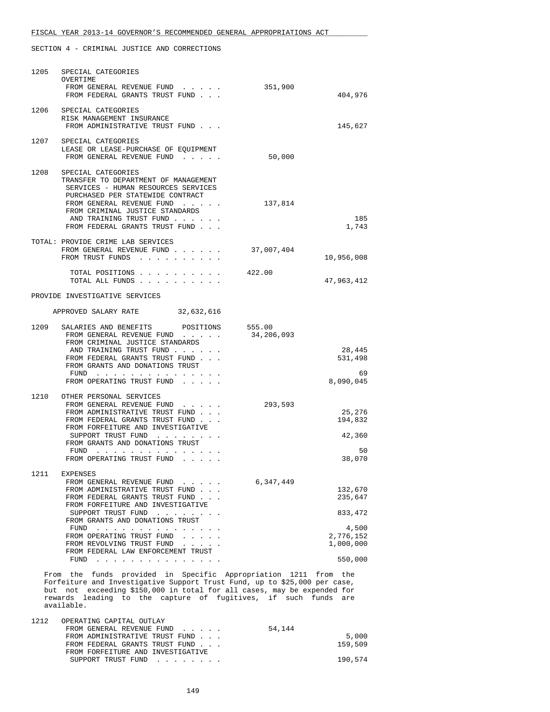| 1205 | SPECIAL CATEGORIES<br>OVERTIME<br>FROM GENERAL REVENUE FUND<br>FROM FEDERAL GRANTS TRUST FUND                                                                                                                                                                                                       | 351,900<br>404,976              |
|------|-----------------------------------------------------------------------------------------------------------------------------------------------------------------------------------------------------------------------------------------------------------------------------------------------------|---------------------------------|
|      | 1206 SPECIAL CATEGORIES<br>RISK MANAGEMENT INSURANCE<br>FROM ADMINISTRATIVE TRUST FUND                                                                                                                                                                                                              | 145,627                         |
|      | 1207 SPECIAL CATEGORIES<br>LEASE OR LEASE-PURCHASE OF EQUIPMENT<br>FROM GENERAL REVENUE FUND                                                                                                                                                                                                        | 50,000                          |
|      | 1208 SPECIAL CATEGORIES<br>TRANSFER TO DEPARTMENT OF MANAGEMENT<br>SERVICES - HUMAN RESOURCES SERVICES<br>PURCHASED PER STATEWIDE CONTRACT<br>FROM GENERAL REVENUE FUND                                                                                                                             | 137,814                         |
|      | FROM CRIMINAL JUSTICE STANDARDS<br>AND TRAINING TRUST FUND<br>FROM FEDERAL GRANTS TRUST FUND                                                                                                                                                                                                        | 185<br>1,743                    |
|      | TOTAL: PROVIDE CRIME LAB SERVICES<br>FROM GENERAL REVENUE FUND<br>FROM TRUST FUNDS                                                                                                                                                                                                                  | 37,007,404<br>10,956,008        |
|      | TOTAL POSITIONS<br>TOTAL ALL FUNDS                                                                                                                                                                                                                                                                  | 422.00<br>47,963,412            |
|      | PROVIDE INVESTIGATIVE SERVICES                                                                                                                                                                                                                                                                      |                                 |
|      | APPROVED SALARY RATE 32,632,616                                                                                                                                                                                                                                                                     |                                 |
| 1209 | SALARIES AND BENEFITS POSITIONS 555.00<br>FROM GENERAL REVENUE FUND<br>FROM CRIMINAL JUSTICE STANDARDS<br>AND TRAINING TRUST FUND                                                                                                                                                                   | 34,206,093<br>28,445            |
|      | FROM FEDERAL GRANTS TRUST FUND<br>FROM GRANTS AND DONATIONS TRUST<br>${\tt FUND} \quad . \quad . \quad . \quad . \quad . \quad . \quad . \quad . \quad . \quad .$                                                                                                                                   | 531,498<br>69                   |
|      | FROM OPERATING TRUST FUND                                                                                                                                                                                                                                                                           | 8,090,045                       |
| 1210 | OTHER PERSONAL SERVICES<br>FROM GENERAL REVENUE FUND<br>FROM ADMINISTRATIVE TRUST FUND<br>FROM FEDERAL GRANTS TRUST FUND<br>FROM FORFEITURE AND INVESTIGATIVE                                                                                                                                       | 293,593<br>25,276<br>194,832    |
|      | SUPPORT TRUST FUND<br>FROM GRANTS AND DONATIONS TRUST                                                                                                                                                                                                                                               | 42,360                          |
|      | $FUND$<br>FROM OPERATING TRUST FUND                                                                                                                                                                                                                                                                 | 50<br>38,070                    |
| 1211 | <b>EXPENSES</b><br>FROM GENERAL REVENUE FUND                                                                                                                                                                                                                                                        | 6,347,449                       |
|      | FROM ADMINISTRATIVE TRUST FUND<br>FROM FEDERAL GRANTS TRUST FUND<br>FROM FORFEITURE AND INVESTIGATIVE                                                                                                                                                                                               | 132,670<br>235,647              |
|      | SUPPORT TRUST FUND<br>FROM GRANTS AND DONATIONS TRUST                                                                                                                                                                                                                                               | 833, 472                        |
|      | FUND<br>the contract of the contract of the contract of the contract of the contract of the contract of the contract of<br>FROM OPERATING TRUST FUND<br>$\mathbf{1}$ , $\mathbf{1}$ , $\mathbf{1}$ , $\mathbf{1}$ , $\mathbf{1}$<br>FROM REVOLVING TRUST FUND<br>FROM FEDERAL LAW ENFORCEMENT TRUST | 4,500<br>2,776,152<br>1,000,000 |
|      | FUND<br>and a series and a series and a series of                                                                                                                                                                                                                                                   | 550,000                         |
|      | From the funds provided in Specific Appropriation 1211 from the<br>Forfeiture and Investigative Support Trust Fund, up to \$25,000 per case                                                                                                                                                         |                                 |

 Forfeiture and Investigative Support Trust Fund, up to \$25,000 per case, but not exceeding \$150,000 in total for all cases, may be expended for rewards leading to the capture of fugitives, if such funds are available.

| 1212 | OPERATING CAPITAL OUTLAY<br>FROM GENERAL REVENUE FUND               | 54,144  |
|------|---------------------------------------------------------------------|---------|
|      | FROM ADMINISTRATIVE TRUST FUND                                      | 5,000   |
|      | FROM FEDERAL GRANTS TRUST FUND<br>FROM FORFEITURE AND INVESTIGATIVE | 159,509 |
|      | SUPPORT TRUST FUND                                                  | 190,574 |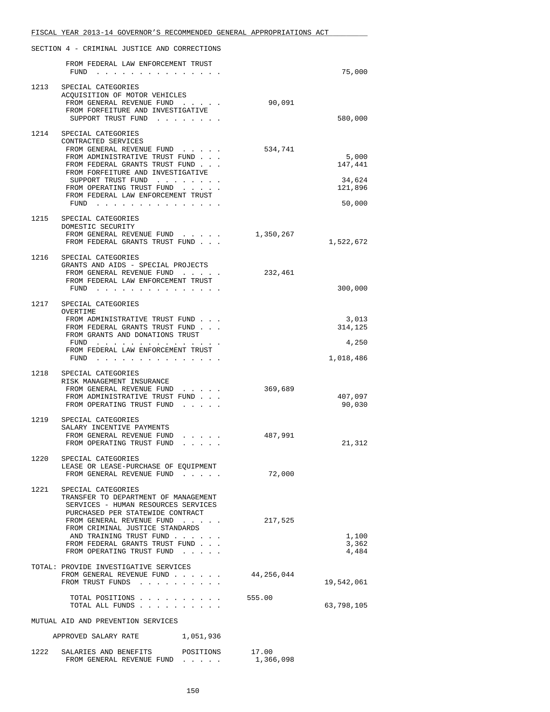|      | SECTION 4 - CRIMINAL JUSTICE AND CORRECTIONS                                                                                                                                                                                                                                                         |            |                                                 |
|------|------------------------------------------------------------------------------------------------------------------------------------------------------------------------------------------------------------------------------------------------------------------------------------------------------|------------|-------------------------------------------------|
|      | FROM FEDERAL LAW ENFORCEMENT TRUST<br>$FUND$                                                                                                                                                                                                                                                         |            | 75,000                                          |
|      | 1213 SPECIAL CATEGORIES<br>ACQUISITION OF MOTOR VEHICLES<br>FROM GENERAL REVENUE FUND<br>FROM FORFEITURE AND INVESTIGATIVE<br>SUPPORT TRUST FUND                                                                                                                                                     | 90,091     | 580,000                                         |
| 1214 | SPECIAL CATEGORIES<br>CONTRACTED SERVICES<br>FROM GENERAL REVENUE FUND<br>FROM ADMINISTRATIVE TRUST FUND<br>FROM FEDERAL GRANTS TRUST FUND<br>FROM FORFEITURE AND INVESTIGATIVE<br>SUPPORT TRUST FUND<br>FROM OPERATING TRUST FUND<br>FROM FEDERAL LAW ENFORCEMENT TRUST<br>FUND $\cdots$            | 534,741    | 5,000<br>147,441<br>34,624<br>121,896<br>50,000 |
| 1215 | SPECIAL CATEGORIES<br>DOMESTIC SECURITY<br>FROM GENERAL REVENUE FUND<br>FROM FEDERAL GRANTS TRUST FUND                                                                                                                                                                                               | 1,350,267  | 1,522,672                                       |
| 1216 | SPECIAL CATEGORIES<br>GRANTS AND AIDS - SPECIAL PROJECTS<br>FROM GENERAL REVENUE FUND<br>FROM FEDERAL LAW ENFORCEMENT TRUST<br>$FUND$                                                                                                                                                                | 232,461    | 300,000                                         |
|      | 1217 SPECIAL CATEGORIES<br>OVERTIME<br>FROM ADMINISTRATIVE TRUST FUND<br>FROM FEDERAL GRANTS TRUST FUND<br>FROM GRANTS AND DONATIONS TRUST<br>FUND<br>FROM FEDERAL LAW ENFORCEMENT TRUST<br>FUND $\cdots$                                                                                            |            | 3,013<br>314,125<br>4,250<br>1,018,486          |
| 1218 | SPECIAL CATEGORIES<br>RISK MANAGEMENT INSURANCE<br>FROM GENERAL REVENUE FUND<br>and a state of the state<br>FROM ADMINISTRATIVE TRUST FUND<br>FROM OPERATING TRUST FUND                                                                                                                              | 369,689    | 407,097<br>90,030                               |
| 1219 | SPECIAL CATEGORIES<br>SALARY INCENTIVE PAYMENTS<br>FROM GENERAL REVENUE FUND<br>$\mathbf{r} = \mathbf{r} + \mathbf{r} + \mathbf{r} + \mathbf{r}$ .<br>FROM OPERATING TRUST FUND                                                                                                                      | 487,991    | 21,312                                          |
|      | 1220 SPECIAL CATEGORIES<br>LEASE OR LEASE-PURCHASE OF EQUIPMENT<br>FROM GENERAL REVENUE FUND                                                                                                                                                                                                         | 72,000     |                                                 |
|      | 1221 SPECIAL CATEGORIES<br>TRANSFER TO DEPARTMENT OF MANAGEMENT<br>SERVICES - HUMAN RESOURCES SERVICES<br>PURCHASED PER STATEWIDE CONTRACT<br>FROM GENERAL REVENUE FUND<br>FROM CRIMINAL JUSTICE STANDARDS<br>AND TRAINING TRUST FUND<br>FROM FEDERAL GRANTS TRUST FUND<br>FROM OPERATING TRUST FUND | 217,525    | 1,100<br>3,362<br>4,484                         |
|      | TOTAL: PROVIDE INVESTIGATIVE SERVICES<br>FROM GENERAL REVENUE FUND<br>FROM TRUST FUNDS                                                                                                                                                                                                               | 44,256,044 | 19,542,061                                      |
|      | TOTAL POSITIONS 555.00<br>TOTAL ALL FUNDS                                                                                                                                                                                                                                                            |            | 63,798,105                                      |
|      | MUTUAL AID AND PREVENTION SERVICES                                                                                                                                                                                                                                                                   |            |                                                 |
|      | APPROVED SALARY RATE 1,051,936                                                                                                                                                                                                                                                                       |            |                                                 |
|      | 1222 SALARIES AND BENEFITS POSITIONS 17.00<br>FROM GENERAL REVENUE FUND                                                                                                                                                                                                                              | 1,366,098  |                                                 |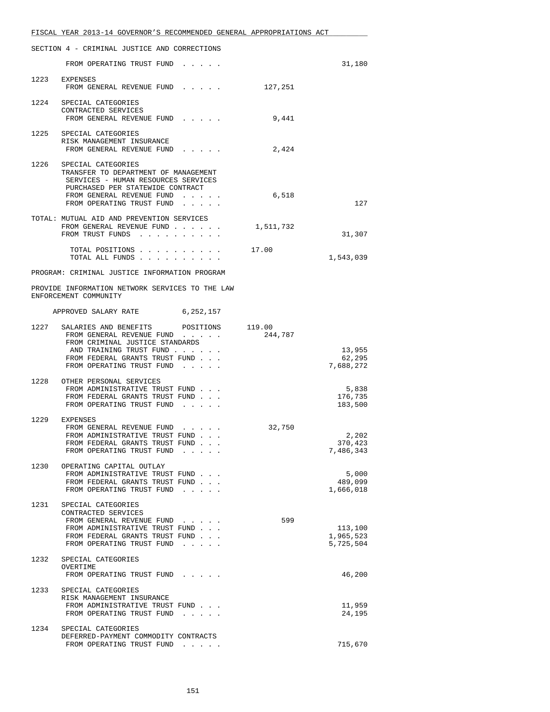| FISCAL YEAR 2013-14 GOVERNOR'S RECOMMENDED GENERAL APPROPRIATIONS ACT |  |
|-----------------------------------------------------------------------|--|
|                                                                       |  |
| SECTION 4 - CRIMINAL JUSTICE AND CORRECTIONS                          |  |

|      | FROM OPERATING TRUST FUND                                                                                                                                                                     |           | 31,180                            |
|------|-----------------------------------------------------------------------------------------------------------------------------------------------------------------------------------------------|-----------|-----------------------------------|
|      | 1223 EXPENSES<br>FROM GENERAL REVENUE FUND                                                                                                                                                    | 127,251   |                                   |
|      | 1224 SPECIAL CATEGORIES<br>CONTRACTED SERVICES<br>FROM GENERAL REVENUE FUND                                                                                                                   | 9,441     |                                   |
|      | 1225 SPECIAL CATEGORIES<br>RISK MANAGEMENT INSURANCE<br>FROM GENERAL REVENUE FUND                                                                                                             | 2,424     |                                   |
|      | 1226 SPECIAL CATEGORIES<br>TRANSFER TO DEPARTMENT OF MANAGEMENT<br>SERVICES - HUMAN RESOURCES SERVICES<br>PURCHASED PER STATEWIDE CONTRACT<br>FROM GENERAL REVENUE FUND                       | 6,518     |                                   |
|      | FROM OPERATING TRUST FUND<br>TOTAL: MUTUAL AID AND PREVENTION SERVICES<br>FROM GENERAL REVENUE FUND<br>FROM TRUST FUNDS                                                                       | 1,511,732 | 127<br>31,307                     |
|      | TOTAL POSITIONS 17.00<br>TOTAL ALL FUNDS                                                                                                                                                      |           | 1,543,039                         |
|      | PROGRAM: CRIMINAL JUSTICE INFORMATION PROGRAM                                                                                                                                                 |           |                                   |
|      | PROVIDE INFORMATION NETWORK SERVICES TO THE LAW<br>ENFORCEMENT COMMUNITY                                                                                                                      |           |                                   |
|      | APPROVED SALARY RATE 6,252,157                                                                                                                                                                |           |                                   |
|      | 1227 SALARIES AND BENEFITS POSITIONS 119.00<br>FROM GENERAL REVENUE FUND<br>FROM CRIMINAL JUSTICE STANDARDS                                                                                   | 244,787   |                                   |
|      | AND TRAINING TRUST FUND<br>FROM FEDERAL GRANTS TRUST FUND<br>FROM OPERATING TRUST FUND                                                                                                        |           | 13,955<br>62,295<br>7,688,272     |
|      | 1228 OTHER PERSONAL SERVICES<br>FROM ADMINISTRATIVE TRUST FUND<br>FROM FEDERAL GRANTS TRUST FUND<br>FROM OPERATING TRUST FUND                                                                 |           | 5,838<br>176,735<br>183,500       |
|      | 1229 EXPENSES<br>FROM GENERAL REVENUE FUND<br>FROM ADMINISTRATIVE TRUST FUND<br>FROM FEDERAL GRANTS TRUST FUND<br>FROM OPERATING TRUST FUND.                                                  | 32,750    | 2,202<br>370,423<br>7,486,343     |
| 1230 | OPERATING CAPITAL OUTLAY<br>FROM ADMINISTRATIVE TRUST FUND<br>FROM FEDERAL GRANTS TRUST FUND<br>FROM OPERATING TRUST FUND<br>$\sim$ $\sim$ $\sim$ $\sim$ $\sim$                               |           | 5,000<br>489,099<br>1,666,018     |
| 1231 | SPECIAL CATEGORIES<br>CONTRACTED SERVICES<br>FROM GENERAL REVENUE FUND<br>FROM ADMINISTRATIVE TRUST FUND<br>FROM FEDERAL GRANTS TRUST FUND<br>FROM OPERATING TRUST FUND<br>and the company of | 599       | 113,100<br>1,965,523<br>5,725,504 |
| 1232 | SPECIAL CATEGORIES<br>OVERTIME<br>FROM OPERATING TRUST FUND                                                                                                                                   |           | 46,200                            |
| 1233 | SPECIAL CATEGORIES<br>RISK MANAGEMENT INSURANCE<br>FROM ADMINISTRATIVE TRUST FUND<br>FROM OPERATING TRUST FUND<br>$\mathbf{r}=\mathbf{r}+\mathbf{r}+\mathbf{r}+\mathbf{r}$                    |           | 11,959<br>24,195                  |
| 1234 | SPECIAL CATEGORIES<br>DEFERRED-PAYMENT COMMODITY CONTRACTS<br>FROM OPERATING TRUST FUND                                                                                                       |           | 715,670                           |
|      |                                                                                                                                                                                               |           |                                   |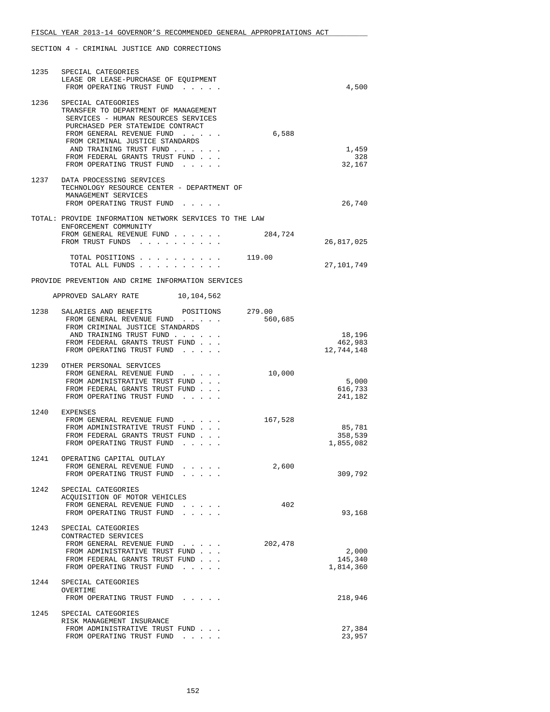| 1235 | SPECIAL CATEGORIES<br>LEASE OR LEASE-PURCHASE OF EQUIPMENT<br>FROM OPERATING TRUST FUND                                                                                                                                                                                                         |                  |         | 4,500                          |
|------|-------------------------------------------------------------------------------------------------------------------------------------------------------------------------------------------------------------------------------------------------------------------------------------------------|------------------|---------|--------------------------------|
| 1236 | SPECIAL CATEGORIES<br>TRANSFER TO DEPARTMENT OF MANAGEMENT<br>SERVICES - HUMAN RESOURCES SERVICES<br>PURCHASED PER STATEWIDE CONTRACT<br>FROM GENERAL REVENUE FUND<br>FROM CRIMINAL JUSTICE STANDARDS<br>AND TRAINING TRUST FUND<br>FROM FEDERAL GRANTS TRUST FUND<br>FROM OPERATING TRUST FUND |                  | 6,588   | 1,459<br>328<br>32,167         |
|      | 1237 DATA PROCESSING SERVICES<br>TECHNOLOGY RESOURCE CENTER - DEPARTMENT OF<br>MANAGEMENT SERVICES<br>FROM OPERATING TRUST FUND                                                                                                                                                                 |                  |         | 26,740                         |
|      | TOTAL: PROVIDE INFORMATION NETWORK SERVICES TO THE LAW                                                                                                                                                                                                                                          |                  |         |                                |
|      | ENFORCEMENT COMMUNITY<br>FROM GENERAL REVENUE FUND<br>FROM TRUST FUNDS                                                                                                                                                                                                                          |                  | 284,724 | 26,817,025                     |
|      | TOTAL POSITIONS 119.00<br>TOTAL ALL FUNDS                                                                                                                                                                                                                                                       |                  |         | 27,101,749                     |
|      | PROVIDE PREVENTION AND CRIME INFORMATION SERVICES                                                                                                                                                                                                                                               |                  |         |                                |
|      | APPROVED SALARY RATE 10,104,562                                                                                                                                                                                                                                                                 |                  |         |                                |
| 1238 | SALARIES AND BENEFITS<br>FROM GENERAL REVENUE FUND<br>FROM CRIMINAL JUSTICE STANDARDS<br>AND TRAINING TRUST FUND                                                                                                                                                                                | POSITIONS 279.00 | 560,685 | 18,196                         |
|      | FROM FEDERAL GRANTS TRUST FUND<br>FROM OPERATING TRUST FUND                                                                                                                                                                                                                                     |                  |         | 462,983<br>12,744,148          |
|      | 1239 OTHER PERSONAL SERVICES<br>FROM GENERAL REVENUE FUND<br>FROM ADMINISTRATIVE TRUST FUND<br>FROM FEDERAL GRANTS TRUST FUND<br>FROM OPERATING TRUST FUND                                                                                                                                      | $\cdots$         | 10,000  | 5,000<br>616,733<br>241,182    |
|      | 1240 EXPENSES<br>FROM GENERAL REVENUE FUND<br>FROM ADMINISTRATIVE TRUST FUND<br>FROM FEDERAL GRANTS TRUST FUND<br>FROM OPERATING TRUST FUND                                                                                                                                                     |                  | 167,528 | 85,781<br>358,539<br>1,855,082 |
| 1241 | OPERATING CAPITAL OUTLAY<br>FROM GENERAL REVENUE FUND<br>FROM OPERATING TRUST FUND                                                                                                                                                                                                              |                  | 2,600   | 309,792                        |
| 1242 | SPECIAL CATEGORIES<br>ACQUISITION OF MOTOR VEHICLES<br>FROM GENERAL REVENUE FUND<br>FROM OPERATING TRUST FUND                                                                                                                                                                                   |                  | 402     | 93,168                         |
| 1243 | SPECIAL CATEGORIES<br>CONTRACTED SERVICES<br>FROM GENERAL REVENUE FUND<br>FROM ADMINISTRATIVE TRUST FUND<br>FROM FEDERAL GRANTS TRUST FUND<br>FROM OPERATING TRUST FUND                                                                                                                         |                  | 202,478 | 2,000<br>145,340<br>1,814,360  |
| 1244 | SPECIAL CATEGORIES<br>OVERTIME<br>FROM OPERATING TRUST FUND                                                                                                                                                                                                                                     |                  |         | 218,946                        |
| 1245 | SPECIAL CATEGORIES<br>RISK MANAGEMENT INSURANCE<br>FROM ADMINISTRATIVE TRUST FUND<br>FROM OPERATING TRUST FUND                                                                                                                                                                                  |                  |         | 27,384<br>23,957               |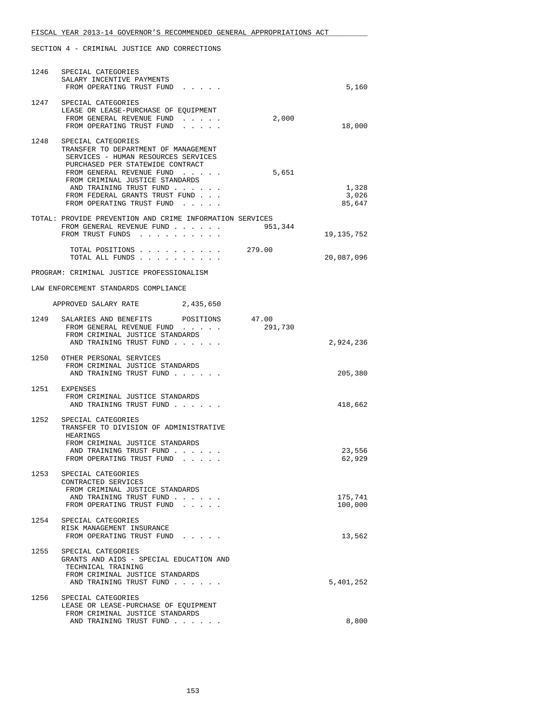| 1246 | SPECIAL CATEGORIES<br>SALARY INCENTIVE PAYMENTS<br>FROM OPERATING TRUST FUND                                                                           |                  | 5,160                    |
|------|--------------------------------------------------------------------------------------------------------------------------------------------------------|------------------|--------------------------|
|      | 1247 SPECIAL CATEGORIES<br>LEASE OR LEASE-PURCHASE OF EQUIPMENT<br>FROM GENERAL REVENUE FUND<br>FROM OPERATING TRUST FUND<br>and a strain and          | 2,000            | 18,000                   |
| 1248 | SPECIAL CATEGORIES<br>TRANSFER TO DEPARTMENT OF MANAGEMENT<br>SERVICES - HUMAN RESOURCES SERVICES<br>PURCHASED PER STATEWIDE CONTRACT                  |                  |                          |
|      | FROM GENERAL REVENUE FUND<br>FROM CRIMINAL JUSTICE STANDARDS<br>AND TRAINING TRUST FUND<br>FROM FEDERAL GRANTS TRUST FUND<br>FROM OPERATING TRUST FUND | 5,651            | 1,328<br>3,026<br>85,647 |
|      | TOTAL: PROVIDE PREVENTION AND CRIME INFORMATION SERVICES<br>FROM GENERAL REVENUE FUND<br>FROM TRUST FUNDS                                              | 951,344          | 19,135,752               |
|      | TOTAL POSITIONS 279.00<br>TOTAL ALL FUNDS                                                                                                              |                  | 20,087,096               |
|      | PROGRAM: CRIMINAL JUSTICE PROFESSIONALISM                                                                                                              |                  |                          |
|      | LAW ENFORCEMENT STANDARDS COMPLIANCE                                                                                                                   |                  |                          |
|      | APPROVED SALARY RATE 2,435,650                                                                                                                         |                  |                          |
| 1249 | SALARIES AND BENEFITS POSITIONS<br>FROM GENERAL REVENUE FUND<br>FROM CRIMINAL JUSTICE STANDARDS                                                        | 47.00<br>291,730 |                          |
|      | AND TRAINING TRUST FUND                                                                                                                                |                  | 2,924,236                |
|      | 1250 OTHER PERSONAL SERVICES<br>FROM CRIMINAL JUSTICE STANDARDS<br>AND TRAINING TRUST FUND                                                             |                  | 205,380                  |
|      | 1251 EXPENSES<br>FROM CRIMINAL JUSTICE STANDARDS<br>AND TRAINING TRUST FUND                                                                            |                  | 418,662                  |
| 1252 | SPECIAL CATEGORIES<br>TRANSFER TO DIVISION OF ADMINISTRATIVE<br>HEARINGS<br>FROM CRIMINAL JUSTICE STANDARDS                                            |                  |                          |
|      | AND TRAINING TRUST FUND<br>FROM OPERATING TRUST FUND                                                                                                   |                  | 23,556<br>62,929         |
| 1253 | SPECIAL CATEGORIES<br>CONTRACTED SERVICES<br>FROM CRIMINAL JUSTICE STANDARDS<br>AND TRAINING TRUST FUND                                                |                  | 175,741                  |
|      | FROM OPERATING TRUST FUND<br>$\sim$ $\sim$ $\sim$ $\sim$                                                                                               |                  | 100,000                  |
|      | 1254 SPECIAL CATEGORIES<br>RISK MANAGEMENT INSURANCE<br>FROM OPERATING TRUST FUND                                                                      |                  | 13,562                   |
| 1255 | SPECIAL CATEGORIES<br>GRANTS AND AIDS - SPECIAL EDUCATION AND<br>TECHNICAL TRAINING<br>FROM CRIMINAL JUSTICE STANDARDS                                 |                  |                          |
|      | AND TRAINING TRUST FUND                                                                                                                                |                  | 5,401,252                |
| 1256 | SPECIAL CATEGORIES<br>LEASE OR LEASE-PURCHASE OF EQUIPMENT<br>FROM CRIMINAL JUSTICE STANDARDS                                                          |                  |                          |
|      | AND TRAINING TRUST FUND                                                                                                                                |                  | 8,800                    |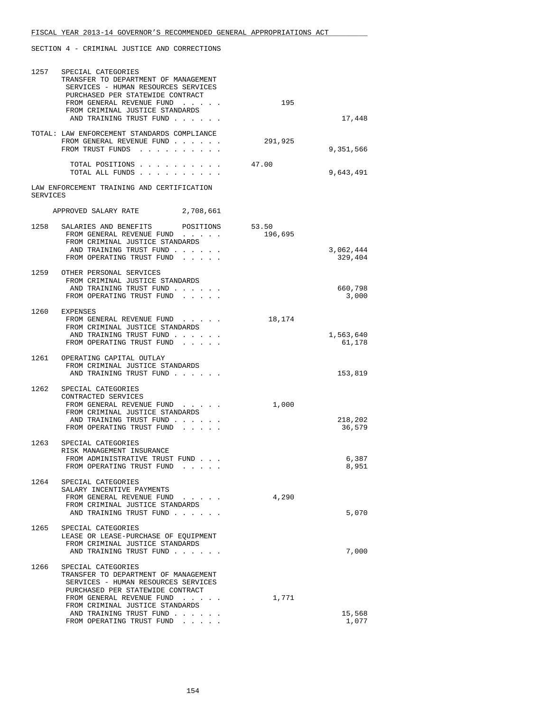| 1257     | SPECIAL CATEGORIES<br>TRANSFER TO DEPARTMENT OF MANAGEMENT<br>SERVICES - HUMAN RESOURCES SERVICES<br>PURCHASED PER STATEWIDE CONTRACT                              |           |                  |                   |
|----------|--------------------------------------------------------------------------------------------------------------------------------------------------------------------|-----------|------------------|-------------------|
|          | FROM GENERAL REVENUE FUND<br>FROM CRIMINAL JUSTICE STANDARDS<br>AND TRAINING TRUST FUND                                                                            |           | 195              | 17,448            |
|          | TOTAL: LAW ENFORCEMENT STANDARDS COMPLIANCE<br>FROM GENERAL REVENUE FUND<br>FROM TRUST FUNDS                                                                       |           | 291,925          | 9,351,566         |
|          | TOTAL POSITIONS<br>TOTAL ALL FUNDS                                                                                                                                 |           | 47.00            | 9,643,491         |
| SERVICES | LAW ENFORCEMENT TRAINING AND CERTIFICATION                                                                                                                         |           |                  |                   |
|          | APPROVED SALARY RATE                                                                                                                                               | 2,708,661 |                  |                   |
|          | 1258 SALARIES AND BENEFITS POSITIONS<br>FROM GENERAL REVENUE FUND<br>FROM CRIMINAL JUSTICE STANDARDS<br>AND TRAINING TRUST FUND                                    |           | 53.50<br>196,695 | 3,062,444         |
|          | FROM OPERATING TRUST FUND<br>1259 OTHER PERSONAL SERVICES<br>FROM CRIMINAL JUSTICE STANDARDS                                                                       |           |                  | 329,404           |
|          | AND TRAINING TRUST FUND<br>FROM OPERATING TRUST FUND                                                                                                               |           |                  | 660,798<br>3,000  |
|          | 1260 EXPENSES<br>FROM GENERAL REVENUE FUND<br>FROM CRIMINAL JUSTICE STANDARDS<br>AND TRAINING TRUST FUND                                                           |           | 18,174           | 1,563,640         |
|          | FROM OPERATING TRUST FUND<br>1261 OPERATING CAPITAL OUTLAY<br>FROM CRIMINAL JUSTICE STANDARDS                                                                      |           |                  | 61,178            |
|          | AND TRAINING TRUST FUND<br>1262 SPECIAL CATEGORIES                                                                                                                 |           |                  | 153,819           |
|          | CONTRACTED SERVICES<br>FROM GENERAL REVENUE FUND<br>FROM CRIMINAL JUSTICE STANDARDS<br>AND TRAINING TRUST FUND<br>FROM OPERATING TRUST FUND                        |           | 1,000            | 218,202<br>36,579 |
| 1263     | SPECIAL CATEGORIES<br>RISK MANAGEMENT INSURANCE<br>FROM ADMINISTRATIVE TRUST FUND<br>FROM OPERATING TRUST FUND                                                     |           |                  | 6,387<br>8,951    |
|          | 1264 SPECIAL CATEGORIES<br>SALARY INCENTIVE PAYMENTS<br>FROM GENERAL REVENUE FUND<br>FROM CRIMINAL JUSTICE STANDARDS                                               |           | 4,290            |                   |
| 1265     | AND TRAINING TRUST FUND<br>SPECIAL CATEGORIES                                                                                                                      |           |                  | 5,070             |
|          | LEASE OR LEASE-PURCHASE OF EQUIPMENT<br>FROM CRIMINAL JUSTICE STANDARDS<br>AND TRAINING TRUST FUND                                                                 |           |                  | 7,000             |
| 1266     | SPECIAL CATEGORIES<br>TRANSFER TO DEPARTMENT OF MANAGEMENT<br>SERVICES - HUMAN RESOURCES SERVICES<br>PURCHASED PER STATEWIDE CONTRACT<br>FROM GENERAL REVENUE FUND |           | 1,771            |                   |
|          | FROM CRIMINAL JUSTICE STANDARDS<br>AND TRAINING TRUST FUND<br>FROM OPERATING TRUST FUND                                                                            |           |                  | 15,568<br>1,077   |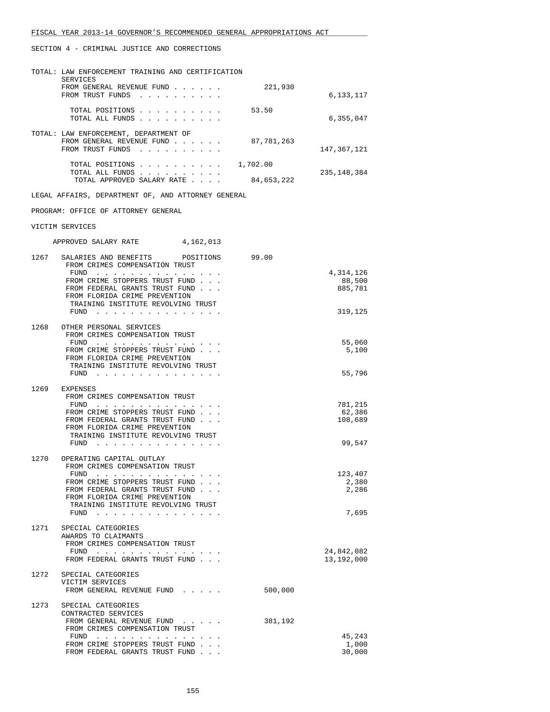|      | TOTAL: LAW ENFORCEMENT TRAINING AND CERTIFICATION<br>SERVICES                                         |            |                          |
|------|-------------------------------------------------------------------------------------------------------|------------|--------------------------|
|      | FROM GENERAL REVENUE FUND<br>FROM TRUST FUNDS                                                         | 221,930    | 6,133,117                |
|      | TOTAL POSITIONS<br>TOTAL ALL FUNDS                                                                    | 53.50      | 6,355,047                |
|      | TOTAL: LAW ENFORCEMENT, DEPARTMENT OF<br>FROM GENERAL REVENUE FUND<br>FROM TRUST FUNDS                | 87,781,263 | 147,367,121              |
|      | TOTAL POSITIONS $\ldots$ , 1,702.00<br>TOTAL ALL FUNDS<br>TOTAL APPROVED SALARY RATE                  | 84,653,222 | 235, 148, 384            |
|      | LEGAL AFFAIRS, DEPARTMENT OF, AND ATTORNEY GENERAL                                                    |            |                          |
|      | PROGRAM: OFFICE OF ATTORNEY GENERAL                                                                   |            |                          |
|      | VICTIM SERVICES                                                                                       |            |                          |
|      | APPROVED SALARY RATE 4,162,013                                                                        |            |                          |
|      |                                                                                                       |            |                          |
| 1267 | SALARIES AND BENEFITS POSITIONS<br>FROM CRIMES COMPENSATION TRUST                                     | 99.00      | 4,314,126                |
|      | FUND<br>FROM CRIME STOPPERS TRUST FUND                                                                |            | 88,500                   |
|      | FROM FEDERAL GRANTS TRUST FUND<br>FROM FLORIDA CRIME PREVENTION                                       |            | 885,781                  |
|      | TRAINING INSTITUTE REVOLVING TRUST<br>FUND                                                            |            | 319,125                  |
| 1268 | OTHER PERSONAL SERVICES                                                                               |            |                          |
|      | FROM CRIMES COMPENSATION TRUST<br>FUND $\cdots$                                                       |            | 55,060                   |
|      | FROM CRIME STOPPERS TRUST FUND<br>FROM FLORIDA CRIME PREVENTION<br>TRAINING INSTITUTE REVOLVING TRUST |            | 5,100                    |
|      | FUND                                                                                                  |            | 55,796                   |
|      | 1269 EXPENSES<br>FROM CRIMES COMPENSATION TRUST                                                       |            |                          |
|      | FUND $\cdots$                                                                                         |            | 781,215                  |
|      | FROM CRIME STOPPERS TRUST FUND<br>FROM FEDERAL GRANTS TRUST FUND                                      |            | 62,386<br>108,689        |
|      | FROM FLORIDA CRIME PREVENTION<br>TRAINING INSTITUTE REVOLVING TRUST                                   |            |                          |
|      | FUND<br>$\cdots$                                                                                      |            | 99,547                   |
| 1270 | OPERATING CAPITAL OUTLAY<br>FROM CRIMES COMPENSATION TRUST                                            |            |                          |
|      | FROM CRIME STOPPERS TRUST FUND                                                                        |            | 123,407<br>2,380         |
|      | FROM FEDERAL GRANTS TRUST FUND                                                                        |            | 2,286                    |
|      | FROM FLORIDA CRIME PREVENTION<br>TRAINING INSTITUTE REVOLVING TRUST                                   |            |                          |
|      | FUND                                                                                                  |            | 7,695                    |
| 1271 | SPECIAL CATEGORIES                                                                                    |            |                          |
|      | AWARDS TO CLAIMANTS<br>FROM CRIMES COMPENSATION TRUST                                                 |            |                          |
|      | $FUND$<br>FROM FEDERAL GRANTS TRUST FUND                                                              |            | 24,842,082<br>13,192,000 |
| 1272 | SPECIAL CATEGORIES                                                                                    |            |                          |
|      | VICTIM SERVICES<br>FROM GENERAL REVENUE FUND                                                          | 500,000    |                          |
| 1273 | SPECIAL CATEGORIES                                                                                    |            |                          |
|      | CONTRACTED SERVICES<br>FROM GENERAL REVENUE FUND                                                      | 381,192    |                          |
|      | FROM CRIMES COMPENSATION TRUST<br>$FUND$                                                              |            | 45,243                   |
|      | FROM CRIME STOPPERS TRUST FUND<br>FROM FEDERAL GRANTS TRUST FUND                                      |            | 1,000<br>30,000          |
|      |                                                                                                       |            |                          |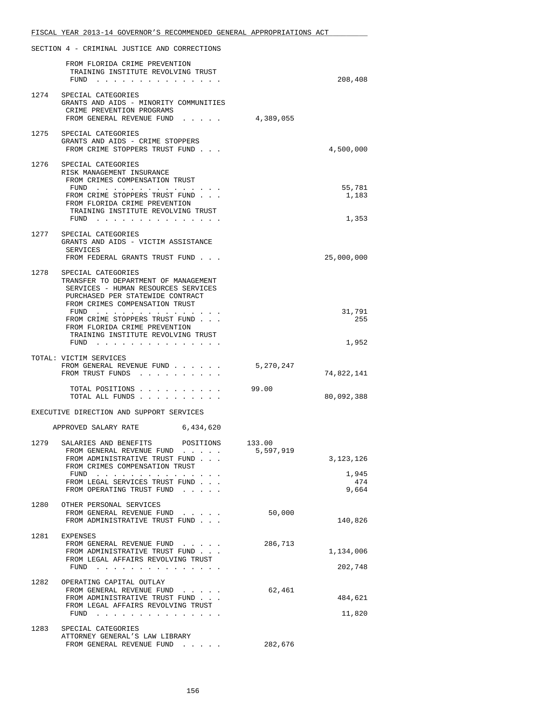|      | SECTION 4 - CRIMINAL JUSTICE AND CORRECTIONS                                                                                            |                     |                       |
|------|-----------------------------------------------------------------------------------------------------------------------------------------|---------------------|-----------------------|
|      | FROM FLORIDA CRIME PREVENTION<br>TRAINING INSTITUTE REVOLVING TRUST<br>$FUND$                                                           |                     | 208,408               |
| 1274 | SPECIAL CATEGORIES<br>GRANTS AND AIDS - MINORITY COMMUNITIES<br>CRIME PREVENTION PROGRAMS<br>FROM GENERAL REVENUE FUND                  | 4,389,055           |                       |
|      | 1275 SPECIAL CATEGORIES<br>GRANTS AND AIDS - CRIME STOPPERS<br>FROM CRIME STOPPERS TRUST FUND                                           |                     | 4,500,000             |
|      | 1276 SPECIAL CATEGORIES<br>RISK MANAGEMENT INSURANCE<br>FROM CRIMES COMPENSATION TRUST<br>FUND $\cdots$                                 |                     | 55,781                |
|      | FROM CRIME STOPPERS TRUST FUND<br>FROM FLORIDA CRIME PREVENTION<br>TRAINING INSTITUTE REVOLVING TRUST<br>FUND                           |                     | 1,183<br>1,353        |
| 1277 | SPECIAL CATEGORIES<br>GRANTS AND AIDS - VICTIM ASSISTANCE<br>SERVICES                                                                   |                     |                       |
|      | FROM FEDERAL GRANTS TRUST FUND<br>1278 SPECIAL CATEGORIES<br>TRANSFER TO DEPARTMENT OF MANAGEMENT                                       |                     | 25,000,000            |
|      | SERVICES - HUMAN RESOURCES SERVICES<br>PURCHASED PER STATEWIDE CONTRACT<br>FROM CRIMES COMPENSATION TRUST<br>FUND                       |                     | 31,791                |
|      | FROM CRIME STOPPERS TRUST FUND<br>FROM FLORIDA CRIME PREVENTION<br>TRAINING INSTITUTE REVOLVING TRUST                                   |                     | 255                   |
|      | $FUND$                                                                                                                                  |                     | 1,952                 |
|      | TOTAL: VICTIM SERVICES<br>FROM GENERAL REVENUE FUND<br>FROM TRUST FUNDS                                                                 | 5,270,247           | 74,822,141            |
|      | TOTAL POSITIONS<br>TOTAL ALL FUNDS                                                                                                      | 99.00               | 80,092,388            |
|      | EXECUTIVE DIRECTION AND SUPPORT SERVICES                                                                                                |                     |                       |
|      | APPROVED SALARY RATE<br>6,434,620                                                                                                       |                     |                       |
| 1279 | SALARIES AND BENEFITS<br>POSITIONS<br>FROM GENERAL REVENUE FUND<br>FROM ADMINISTRATIVE TRUST FUND                                       | 133.00<br>5,597,919 | 3,123,126             |
|      | FROM CRIMES COMPENSATION TRUST<br>FUND $\cdots$<br>FROM LEGAL SERVICES TRUST FUND<br>FROM OPERATING TRUST FUND                          |                     | 1,945<br>474<br>9,664 |
|      | 1280 OTHER PERSONAL SERVICES<br>FROM GENERAL REVENUE FUND<br>FROM ADMINISTRATIVE TRUST FUND                                             | 50,000              | 140,826               |
| 1281 | EXPENSES<br>FROM GENERAL REVENUE FUND<br>FROM ADMINISTRATIVE TRUST FUND<br>FROM LEGAL AFFAIRS REVOLVING TRUST                           | 286,713             | 1,134,006             |
|      | FUND $\cdots$                                                                                                                           |                     | 202,748               |
| 1282 | OPERATING CAPITAL OUTLAY<br>FROM GENERAL REVENUE FUND<br>FROM ADMINISTRATIVE TRUST FUND<br>FROM LEGAL AFFAIRS REVOLVING TRUST<br>$FUND$ | 62,461              | 484,621<br>11,820     |
| 1283 | SPECIAL CATEGORIES                                                                                                                      |                     |                       |
|      | ATTORNEY GENERAL'S LAW LIBRARY<br>FROM GENERAL REVENUE FUND                                                                             | 282,676             |                       |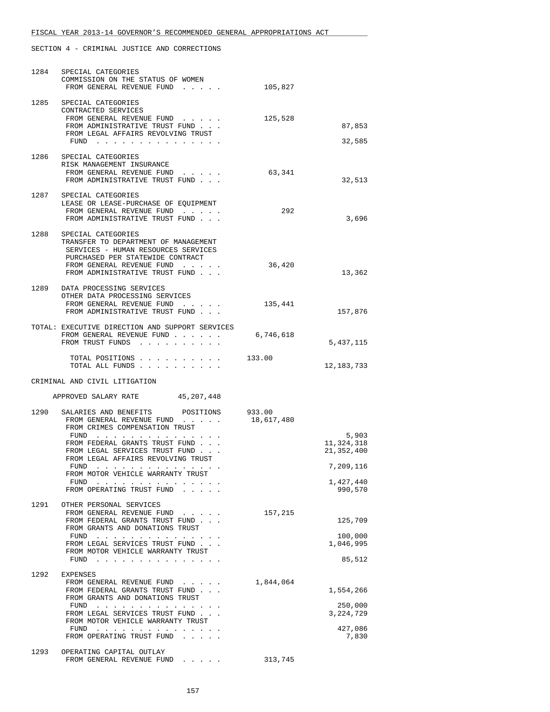| 1284         | SPECIAL CATEGORIES<br>COMMISSION ON THE STATUS OF WOMEN<br>FROM GENERAL REVENUE FUND                                                                                                                                                                                                                                                                                                                                                 | 105,827              |                                                                        |
|--------------|--------------------------------------------------------------------------------------------------------------------------------------------------------------------------------------------------------------------------------------------------------------------------------------------------------------------------------------------------------------------------------------------------------------------------------------|----------------------|------------------------------------------------------------------------|
|              | 1285 SPECIAL CATEGORIES<br>CONTRACTED SERVICES<br>FROM GENERAL REVENUE FUND<br>FROM ADMINISTRATIVE TRUST FUND<br>FROM LEGAL AFFAIRS REVOLVING TRUST<br>FUND $\cdots$                                                                                                                                                                                                                                                                 | 125,528              | 87,853<br>32,585                                                       |
|              | 1286 SPECIAL CATEGORIES<br>RISK MANAGEMENT INSURANCE<br>FROM GENERAL REVENUE FUND<br>FROM ADMINISTRATIVE TRUST FUND                                                                                                                                                                                                                                                                                                                  | 63,341               | 32,513                                                                 |
|              | 1287 SPECIAL CATEGORIES<br>LEASE OR LEASE-PURCHASE OF EQUIPMENT<br>FROM GENERAL REVENUE FUND<br>FROM ADMINISTRATIVE TRUST FUND                                                                                                                                                                                                                                                                                                       | 292                  | 3,696                                                                  |
| 1288         | SPECIAL CATEGORIES<br>TRANSFER TO DEPARTMENT OF MANAGEMENT<br>SERVICES - HUMAN RESOURCES SERVICES<br>PURCHASED PER STATEWIDE CONTRACT<br>FROM GENERAL REVENUE FUND<br>FROM ADMINISTRATIVE TRUST FUND                                                                                                                                                                                                                                 | 36,420               | 13,362                                                                 |
|              | 1289 DATA PROCESSING SERVICES<br>OTHER DATA PROCESSING SERVICES<br>FROM GENERAL REVENUE FUND<br>FROM ADMINISTRATIVE TRUST FUND                                                                                                                                                                                                                                                                                                       | 135,441              | 157,876                                                                |
|              | TOTAL: EXECUTIVE DIRECTION AND SUPPORT SERVICES<br>FROM GENERAL REVENUE FUND<br>FROM TRUST FUNDS                                                                                                                                                                                                                                                                                                                                     | 6,746,618            | 5,437,115                                                              |
|              | TOTAL POSITIONS                                                                                                                                                                                                                                                                                                                                                                                                                      | 133.00               |                                                                        |
|              | TOTAL ALL FUNDS                                                                                                                                                                                                                                                                                                                                                                                                                      |                      | 12,183,733                                                             |
|              | CRIMINAL AND CIVIL LITIGATION                                                                                                                                                                                                                                                                                                                                                                                                        |                      |                                                                        |
|              | APPROVED SALARY RATE<br>45,207,448                                                                                                                                                                                                                                                                                                                                                                                                   |                      |                                                                        |
| 1290         | SALARIES AND BENEFITS POSITIONS<br>FROM GENERAL REVENUE FUND<br>FROM CRIMES COMPENSATION TRUST<br>$FUND$<br>FROM FEDERAL GRANTS TRUST FUND<br>FROM LEGAL SERVICES TRUST FUND<br>FROM LEGAL AFFAIRS REVOLVING TRUST<br>FUND<br>$\mathbf{r}_i$ , and $\mathbf{r}_i$ , and $\mathbf{r}_i$ , and $\mathbf{r}_i$ , and $\mathbf{r}_i$ , and $\mathbf{r}_i$<br>FROM MOTOR VEHICLE WARRANTY TRUST<br>FUND<br>.<br>FROM OPERATING TRUST FUND | 933.00<br>18,617,480 | 5,903<br>11,324,318<br>21,352,400<br>7,209,116<br>1,427,440<br>990,570 |
| 1291         | OTHER PERSONAL SERVICES<br>FROM GENERAL REVENUE FUND<br>$\sim$ $\sim$ $\sim$ $\sim$ $\sim$<br>FROM FEDERAL GRANTS TRUST FUND<br>FROM GRANTS AND DONATIONS TRUST<br>FUND<br>and the contract of the contract of the contract of<br>FROM LEGAL SERVICES TRUST FUND<br>FROM MOTOR VEHICLE WARRANTY TRUST<br>FUND<br>the contract of the contract of the                                                                                 | 157,215              | 125,709<br>100,000<br>1,046,995<br>85,512                              |
| 1292<br>1293 | <b>EXPENSES</b><br>FROM GENERAL REVENUE FUND<br>FROM FEDERAL GRANTS TRUST FUND<br>FROM GRANTS AND DONATIONS TRUST<br>FUND<br>FROM LEGAL SERVICES TRUST FUND<br>FROM MOTOR VEHICLE WARRANTY TRUST<br>FUND<br>the contract of the contract of the contract of the contract of the contract of the contract of the contract of<br>FROM OPERATING TRUST FUND<br>OPERATING CAPITAL OUTLAY                                                 | 1,844,064            | 1,554,266<br>250,000<br>3, 224, 729<br>427,086<br>7,830                |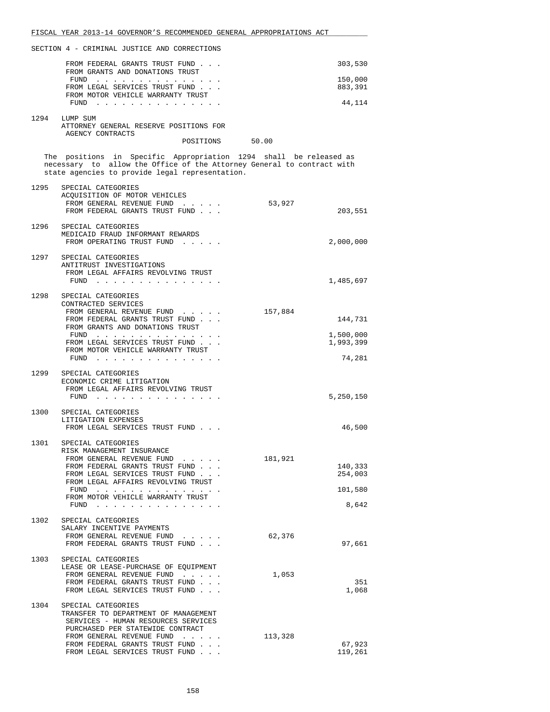|      | FISCAL YEAR 2013-14 GOVERNOR'S RECOMMENDED GENERAL APPROPRIATIONS ACT                                                                                                                          |                                          |
|------|------------------------------------------------------------------------------------------------------------------------------------------------------------------------------------------------|------------------------------------------|
|      | SECTION 4 - CRIMINAL JUSTICE AND CORRECTIONS                                                                                                                                                   |                                          |
|      | FROM FEDERAL GRANTS TRUST FUND<br>FROM GRANTS AND DONATIONS TRUST                                                                                                                              | 303,530                                  |
|      | FUND<br>FROM LEGAL SERVICES TRUST FUND<br>FROM MOTOR VEHICLE WARRANTY TRUST                                                                                                                    | 150,000<br>883,391                       |
|      | FUND                                                                                                                                                                                           | 44,114                                   |
|      | 1294 LUMP SUM<br>ATTORNEY GENERAL RESERVE POSITIONS FOR                                                                                                                                        |                                          |
|      | AGENCY CONTRACTS<br>POSITIONS 50.00                                                                                                                                                            |                                          |
|      | The positions in Specific Appropriation 1294 shall be released as<br>necessary to allow the Office of the Attorney General to contract with<br>state agencies to provide legal representation. |                                          |
| 1295 | SPECIAL CATEGORIES<br>ACQUISITION OF MOTOR VEHICLES<br>FROM GENERAL REVENUE FUND<br>FROM FEDERAL GRANTS TRUST FUND                                                                             | 53,927<br>203,551                        |
|      | 1296 SPECIAL CATEGORIES<br>MEDICAID FRAUD INFORMANT REWARDS<br>FROM OPERATING TRUST FUND                                                                                                       | 2,000,000                                |
| 1297 | SPECIAL CATEGORIES<br>ANTITRUST INVESTIGATIONS<br>FROM LEGAL AFFAIRS REVOLVING TRUST<br>$FUND$                                                                                                 | 1,485,697                                |
| 1298 | SPECIAL CATEGORIES<br>CONTRACTED SERVICES<br>FROM GENERAL REVENUE FUND                                                                                                                         | 157,884                                  |
|      | FROM FEDERAL GRANTS TRUST FUND<br>FROM GRANTS AND DONATIONS TRUST<br>FUND $\cdots$                                                                                                             | 144,731<br>1,500,000                     |
|      | FROM LEGAL SERVICES TRUST FUND<br>FROM MOTOR VEHICLE WARRANTY TRUST<br>FUND $\ldots$ $\ldots$ $\ldots$ $\ldots$ $\ldots$ $\ldots$                                                              | 1,993,399<br>74,281                      |
| 1299 | SPECIAL CATEGORIES<br>ECONOMIC CRIME LITIGATION<br>FROM LEGAL AFFAIRS REVOLVING TRUST<br>$FUND$                                                                                                | 5,250,150                                |
| 1300 | SPECIAL CATEGORIES<br>LITIGATION EXPENSES                                                                                                                                                      |                                          |
| 1301 | FROM LEGAL SERVICES TRUST FUND<br>SPECIAL CATEGORIES                                                                                                                                           | 46,500                                   |
|      | RISK MANAGEMENT INSURANCE<br>FROM GENERAL REVENUE FUND<br>FROM FEDERAL GRANTS TRUST FUND<br>FROM LEGAL SERVICES TRUST FUND<br>FROM LEGAL AFFAIRS REVOLVING TRUST<br>FUND                       | 181,921<br>140,333<br>254,003<br>101,580 |
|      | FROM MOTOR VEHICLE WARRANTY TRUST<br>FUND $\cdots$ $\cdots$ $\cdots$ $\cdots$ $\cdots$ $\cdots$ $\cdots$                                                                                       | 8,642                                    |
| 1302 | SPECIAL CATEGORIES<br>SALARY INCENTIVE PAYMENTS<br>FROM GENERAL REVENUE FUND<br>FROM FEDERAL GRANTS TRUST FUND                                                                                 | 62,376<br>97,661                         |
| 1303 | SPECIAL CATEGORIES<br>LEASE OR LEASE-PURCHASE OF EQUIPMENT<br>FROM GENERAL REVENUE FUND<br>FROM FEDERAL GRANTS TRUST FUND<br>FROM LEGAL SERVICES TRUST FUND                                    | 1,053<br>351<br>1,068                    |
| 1304 | SPECIAL CATEGORIES<br>TRANSFER TO DEPARTMENT OF MANAGEMENT<br>SERVICES - HUMAN RESOURCES SERVICES<br>PURCHASED PER STATEWIDE CONTRACT                                                          |                                          |
|      | FROM GENERAL REVENUE FUND<br>FROM FEDERAL GRANTS TRUST FUND<br>FROM LEGAL SERVICES TRUST FUND                                                                                                  | 113,328<br>67,923<br>119,261             |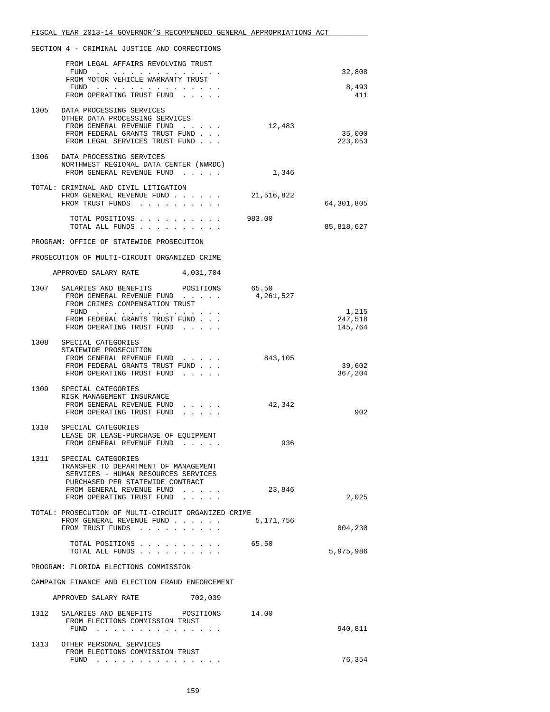|      | FISCAL YEAR 2013-14 GOVERNOR'S RECOMMENDED GENERAL APPROPRIATIONS ACT                   |           |                    |
|------|-----------------------------------------------------------------------------------------|-----------|--------------------|
|      | SECTION 4 - CRIMINAL JUSTICE AND CORRECTIONS                                            |           |                    |
|      | FROM LEGAL AFFAIRS REVOLVING TRUST<br>FUND $\cdots$                                     |           | 32,808             |
|      | FROM MOTOR VEHICLE WARRANTY TRUST<br>FUND $\cdots$                                      |           | 8,493              |
|      | FROM OPERATING TRUST FUND                                                               |           | 411                |
| 1305 | DATA PROCESSING SERVICES<br>OTHER DATA PROCESSING SERVICES                              |           |                    |
|      | FROM GENERAL REVENUE FUND<br>FROM FEDERAL GRANTS TRUST FUND                             | 12,483    | 35,000             |
|      | FROM LEGAL SERVICES TRUST FUND                                                          |           | 223,053            |
| 1306 | DATA PROCESSING SERVICES<br>NORTHWEST REGIONAL DATA CENTER (NWRDC)                      |           |                    |
|      | FROM GENERAL REVENUE FUND                                                               | 1,346     |                    |
|      | TOTAL: CRIMINAL AND CIVIL LITIGATION                                                    |           |                    |
|      | FROM GENERAL REVENUE FUND $\ldots$ 21,516,822<br>FROM TRUST FUNDS                       |           | 64,301,805         |
|      | TOTAL POSITIONS                                                                         | 983.00    |                    |
|      | TOTAL ALL FUNDS                                                                         |           | 85,818,627         |
|      | PROGRAM: OFFICE OF STATEWIDE PROSECUTION                                                |           |                    |
|      | PROSECUTION OF MULTI-CIRCUIT ORGANIZED CRIME                                            |           |                    |
|      | APPROVED SALARY RATE 4,031,704<br>1307 SALARIES AND BENEFITS POSITIONS 65.50            |           |                    |
|      | FROM GENERAL REVENUE FUND<br>FROM CRIMES COMPENSATION TRUST                             | 4,261,527 |                    |
|      | FUND                                                                                    |           | 1,215              |
|      | FROM FEDERAL GRANTS TRUST FUND<br>FROM OPERATING TRUST FUND                             |           | 247,518<br>145,764 |
|      | 1308 SPECIAL CATEGORIES                                                                 |           |                    |
|      | STATEWIDE PROSECUTION<br>FROM GENERAL REVENUE FUND                                      | 843,105   |                    |
|      | FROM FEDERAL GRANTS TRUST FUND<br>FROM OPERATING TRUST FUND                             |           | 39,602<br>367,204  |
| 1309 | SPECIAL CATEGORIES                                                                      |           |                    |
|      | RISK MANAGEMENT INSURANCE<br>FROM GENERAL REVENUE FUND<br>$\cdots$                      | 42,342    |                    |
|      | FROM OPERATING TRUST FUND                                                               |           | 902                |
| 1310 | SPECIAL CATEGORIES<br>LEASE OR LEASE-PURCHASE OF EQUIPMENT                              |           |                    |
|      | FROM GENERAL REVENUE FUND.                                                              | 936       |                    |
| 1311 | SPECIAL CATEGORIES<br>TRANSFER TO DEPARTMENT OF MANAGEMENT                              |           |                    |
|      | SERVICES - HUMAN RESOURCES SERVICES<br>PURCHASED PER STATEWIDE CONTRACT                 |           |                    |
|      | FROM GENERAL REVENUE FUND<br>FROM OPERATING TRUST FUND                                  | 23,846    | 2,025              |
|      | TOTAL: PROSECUTION OF MULTI-CIRCUIT ORGANIZED CRIME                                     |           |                    |
|      | FROM GENERAL REVENUE FUND                                                               | 5,171,756 |                    |
|      | FROM TRUST FUNDS                                                                        |           | 804,230            |
|      | TOTAL POSITIONS<br>TOTAL ALL FUNDS                                                      | 65.50     | 5,975,986          |
|      | PROGRAM: FLORIDA ELECTIONS COMMISSION                                                   |           |                    |
|      | CAMPAIGN FINANCE AND ELECTION FRAUD ENFORCEMENT                                         |           |                    |
|      | APPROVED SALARY RATE<br>702,039                                                         |           |                    |
| 1312 | SALARIES AND BENEFITS POSITIONS<br>FROM ELECTIONS COMMISSION TRUST                      | 14.00     |                    |
|      | FUND                                                                                    |           | 940,811            |
| 1313 | OTHER PERSONAL SERVICES<br>FROM ELECTIONS COMMISSION TRUST                              |           |                    |
|      | FUND<br>. The contract of the contract of the contract of the contract of $\mathcal{A}$ |           | 76,354             |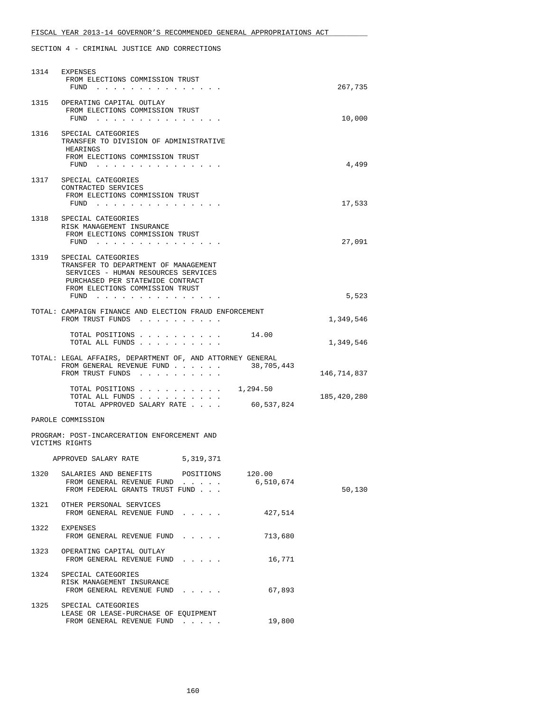|      | 1314 EXPENSES<br>FROM ELECTIONS COMMISSION TRUST<br>FUND<br>. The second contract is the second contract of the second contract of the second contract of the $\alpha$                 | 267,735     |
|------|----------------------------------------------------------------------------------------------------------------------------------------------------------------------------------------|-------------|
| 1315 | OPERATING CAPITAL OUTLAY<br>FROM ELECTIONS COMMISSION TRUST<br>FUND<br>the contract of the contract of the contract of the contract of the contract of the contract of the contract of | 10,000      |
| 1316 | SPECIAL CATEGORIES<br>TRANSFER TO DIVISION OF ADMINISTRATIVE<br>HEARINGS<br>FROM ELECTIONS COMMISSION TRUST<br>FUND $\cdots$                                                           | 4,499       |
|      | 1317 SPECIAL CATEGORIES<br>CONTRACTED SERVICES<br>FROM ELECTIONS COMMISSION TRUST<br>$FUND$                                                                                            | 17,533      |
|      | 1318 SPECIAL CATEGORIES<br>RISK MANAGEMENT INSURANCE<br>FROM ELECTIONS COMMISSION TRUST<br>FUND $\cdots$                                                                               | 27,091      |
| 1319 | SPECIAL CATEGORIES<br>TRANSFER TO DEPARTMENT OF MANAGEMENT<br>SERVICES - HUMAN RESOURCES SERVICES<br>PURCHASED PER STATEWIDE CONTRACT<br>FROM ELECTIONS COMMISSION TRUST               |             |
|      | FUND $\cdots$                                                                                                                                                                          | 5,523       |
|      | TOTAL: CAMPAIGN FINANCE AND ELECTION FRAUD ENFORCEMENT<br>FROM TRUST FUNDS                                                                                                             | 1,349,546   |
|      | 14.00<br>TOTAL POSITIONS<br>TOTAL ALL FUNDS                                                                                                                                            | 1,349,546   |
|      | TOTAL: LEGAL AFFAIRS, DEPARTMENT OF, AND ATTORNEY GENERAL<br>38,705,443<br>FROM GENERAL REVENUE FUND<br>FROM TRUST FUNDS                                                               | 146,714,837 |
|      | TOTAL POSITIONS $\ldots$ , 1,294.50<br>TOTAL ALL FUNDS<br>TOTAL APPROVED SALARY RATE<br>60,537,824                                                                                     | 185,420,280 |
|      | PAROLE COMMISSION                                                                                                                                                                      |             |
|      | PROGRAM: POST-INCARCERATION ENFORCEMENT AND<br>VICTIMS RIGHTS                                                                                                                          |             |
|      | APPROVED SALARY RATE<br>5,319,371                                                                                                                                                      |             |
| 1320 | 120.00<br>SALARIES AND BENEFITS POSITIONS<br>6,510,674<br>FROM GENERAL REVENUE FUND<br>FROM FEDERAL GRANTS TRUST FUND                                                                  | 50,130      |
|      | 1321 OTHER PERSONAL SERVICES<br>427,514<br>FROM GENERAL REVENUE FUND                                                                                                                   |             |
| 1322 | EXPENSES<br>713,680<br>FROM GENERAL REVENUE FUND                                                                                                                                       |             |
|      | 1323 OPERATING CAPITAL OUTLAY<br>FROM GENERAL REVENUE FUND<br>16,771                                                                                                                   |             |
| 1324 | SPECIAL CATEGORIES<br>RISK MANAGEMENT INSURANCE<br>67,893<br>FROM GENERAL REVENUE FUND                                                                                                 |             |
|      | 1325 SPECIAL CATEGORIES<br>LEASE OR LEASE-PURCHASE OF EQUIPMENT<br>19,800<br>FROM GENERAL REVENUE FUND                                                                                 |             |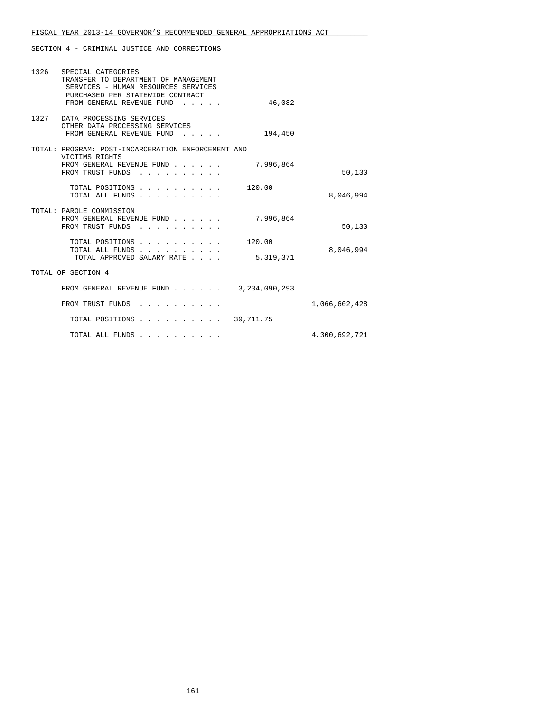| 1326 SPECIAL CATEGORIES<br>TRANSFER TO DEPARTMENT OF MANAGEMENT<br>SERVICES - HUMAN RESOURCES SERVICES<br>PURCHASED PER STATEWIDE CONTRACT<br>FROM GENERAL REVENUE FUND | 46,082    |               |
|-------------------------------------------------------------------------------------------------------------------------------------------------------------------------|-----------|---------------|
|                                                                                                                                                                         |           |               |
| 1327 DATA PROCESSING SERVICES<br>OTHER DATA PROCESSING SERVICES<br>FROM GENERAL REVENUE FUND<br>the contract of the contract of the                                     | 194,450   |               |
| TOTAL: PROGRAM: POST-INCARCERATION ENFORCEMENT AND                                                                                                                      |           |               |
| VICTIMS RIGHTS<br>FROM GENERAL REVENUE FUND<br>FROM TRUST FUNDS                                                                                                         | 7,996,864 | 50,130        |
| TOTAL POSITIONS<br>TOTAL ALL FUNDS                                                                                                                                      | 120.00    | 8,046,994     |
| TOTAL: PAROLE COMMISSION<br>FROM GENERAL REVENUE FUND<br>FROM TRUST FUNDS                                                                                               | 7,996,864 | 50,130        |
| TOTAL POSITIONS                                                                                                                                                         | 120.00    |               |
| TOTAL ALL FUNDS<br>TOTAL APPROVED SALARY RATE                                                                                                                           | 5,319,371 | 8,046,994     |
| TOTAL OF SECTION 4                                                                                                                                                      |           |               |
| FROM GENERAL REVENUE FUND 3, 234, 090, 293                                                                                                                              |           |               |
| FROM TRUST FUNDS                                                                                                                                                        |           | 1,066,602,428 |
| TOTAL POSITIONS                                                                                                                                                         | 39,711.75 |               |
| TOTAL ALL FUNDS                                                                                                                                                         |           | 4,300,692,721 |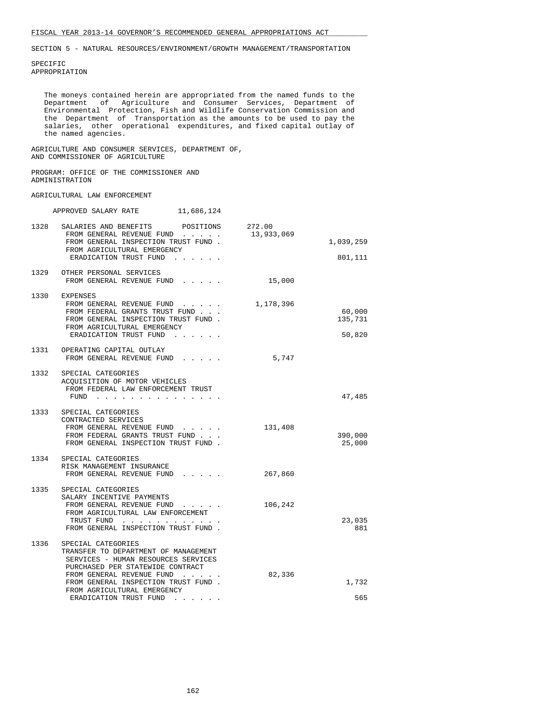SPECIFIC APPROPRIATION

 The moneys contained herein are appropriated from the named funds to the Department of Agriculture and Consumer Services, Department of Environmental Protection, Fish and Wildlife Conservation Commission and the Department of Transportation as the amounts to be used to pay the salaries, other operational expenditures, and fixed capital outlay of the named agencies.

 AGRICULTURE AND CONSUMER SERVICES, DEPARTMENT OF, AND COMMISSIONER OF AGRICULTURE

#### PROGRAM: OFFICE OF THE COMMISSIONER AND ADMINISTRATION

#### AGRICULTURAL LAW ENFORCEMENT

|      | 11,686,124<br>APPROVED SALARY RATE                                                                                                                                                                                                                                 |            |                             |
|------|--------------------------------------------------------------------------------------------------------------------------------------------------------------------------------------------------------------------------------------------------------------------|------------|-----------------------------|
|      | 1328 SALARIES AND BENEFITS POSITIONS 272.00<br>FROM GENERAL REVENUE FUND<br>FROM GENERAL INSPECTION TRUST FUND.<br>FROM AGRICULTURAL EMERGENCY<br>ERADICATION TRUST FUND                                                                                           | 13,933,069 | 1,039,259<br>801,111        |
|      | 1329 OTHER PERSONAL SERVICES<br>FROM GENERAL REVENUE FUND                                                                                                                                                                                                          | 15,000     |                             |
|      | 1330 EXPENSES<br>FROM GENERAL REVENUE FUND<br>FROM FEDERAL GRANTS TRUST FUND<br>FROM GENERAL INSPECTION TRUST FUND.<br>FROM AGRICULTURAL EMERGENCY<br>ERADICATION TRUST FUND                                                                                       | 1,178,396  | 60,000<br>135,731<br>50,820 |
|      | 1331 OPERATING CAPITAL OUTLAY<br>FROM GENERAL REVENUE FUND                                                                                                                                                                                                         | 5,747      |                             |
|      | 1332 SPECIAL CATEGORIES<br>ACQUISITION OF MOTOR VEHICLES<br>FROM FEDERAL LAW ENFORCEMENT TRUST<br>FUND<br>and a series and a series                                                                                                                                |            | 47,485                      |
|      | 1333 SPECIAL CATEGORIES<br>CONTRACTED SERVICES<br>FROM GENERAL REVENUE FUND<br>FROM FEDERAL GRANTS TRUST FUND<br>FROM GENERAL INSPECTION TRUST FUND.                                                                                                               | 131,408    | 390,000<br>25,000           |
|      | 1334 SPECIAL CATEGORIES<br>RISK MANAGEMENT INSURANCE<br>FROM GENERAL REVENUE FUND                                                                                                                                                                                  | 267,860    |                             |
|      | 1335 SPECIAL CATEGORIES<br>SALARY INCENTIVE PAYMENTS<br>FROM GENERAL REVENUE FUND<br>FROM AGRICULTURAL LAW ENFORCEMENT<br>TRUST FUND<br>$\mathcal{A}$ . The set of the set of the set of $\mathcal{A}$<br>FROM GENERAL INSPECTION TRUST FUND.                      | 106,242    | 23,035<br>881               |
| 1336 | SPECIAL CATEGORIES<br>TRANSFER TO DEPARTMENT OF MANAGEMENT<br>SERVICES - HUMAN RESOURCES SERVICES<br>PURCHASED PER STATEWIDE CONTRACT<br>FROM GENERAL REVENUE FUND<br>FROM GENERAL INSPECTION TRUST FUND.<br>FROM AGRICULTURAL EMERGENCY<br>ERADICATION TRUST FUND | 82,336     | 1,732<br>565                |
|      |                                                                                                                                                                                                                                                                    |            |                             |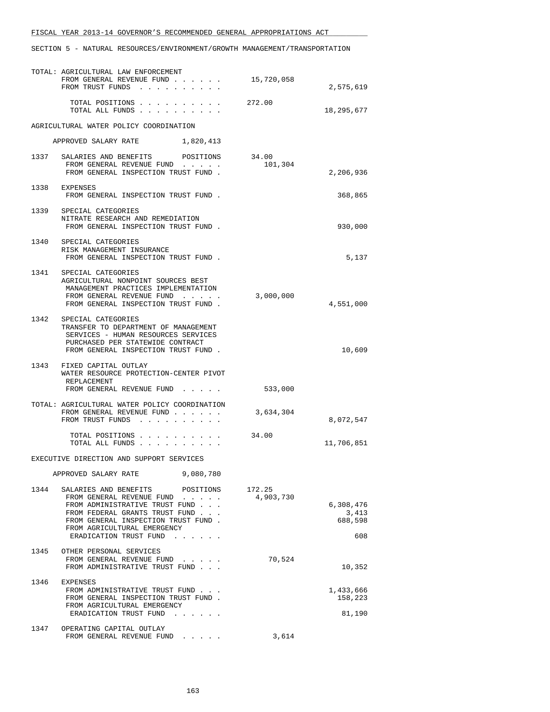|      | TOTAL: AGRICULTURAL LAW ENFORCEMENT<br>FROM GENERAL REVENUE FUND<br>FROM TRUST FUNDS                                                                                                                                                | 15,720,058          | 2,575,619                            |
|------|-------------------------------------------------------------------------------------------------------------------------------------------------------------------------------------------------------------------------------------|---------------------|--------------------------------------|
|      | TOTAL POSITIONS 272.00<br>TOTAL ALL FUNDS                                                                                                                                                                                           |                     | 18,295,677                           |
|      | AGRICULTURAL WATER POLICY COORDINATION                                                                                                                                                                                              |                     |                                      |
|      | APPROVED SALARY RATE<br>1,820,413                                                                                                                                                                                                   |                     |                                      |
|      | 1337 SALARIES AND BENEFITS POSITIONS 34.00<br>FROM GENERAL REVENUE FUND<br>FROM GENERAL INSPECTION TRUST FUND.                                                                                                                      | 101,304             | 2,206,936                            |
|      | 1338 EXPENSES<br>FROM GENERAL INSPECTION TRUST FUND.                                                                                                                                                                                |                     | 368,865                              |
|      | 1339 SPECIAL CATEGORIES<br>NITRATE RESEARCH AND REMEDIATION<br>FROM GENERAL INSPECTION TRUST FUND.                                                                                                                                  |                     | 930,000                              |
|      | 1340 SPECIAL CATEGORIES<br>RISK MANAGEMENT INSURANCE<br>FROM GENERAL INSPECTION TRUST FUND.                                                                                                                                         |                     | 5,137                                |
|      | 1341 SPECIAL CATEGORIES<br>AGRICULTURAL NONPOINT SOURCES BEST<br>MANAGEMENT PRACTICES IMPLEMENTATION<br>FROM GENERAL REVENUE FUND<br>FROM GENERAL INSPECTION TRUST FUND.                                                            | 3,000,000           | 4,551,000                            |
| 1342 | SPECIAL CATEGORIES<br>TRANSFER TO DEPARTMENT OF MANAGEMENT<br>SERVICES - HUMAN RESOURCES SERVICES<br>PURCHASED PER STATEWIDE CONTRACT<br>FROM GENERAL INSPECTION TRUST FUND.                                                        |                     | 10,609                               |
|      | 1343 FIXED CAPITAL OUTLAY<br>WATER RESOURCE PROTECTION-CENTER PIVOT<br>REPLACEMENT<br>FROM GENERAL REVENUE FUND                                                                                                                     | 533,000             |                                      |
|      | TOTAL: AGRICULTURAL WATER POLICY COORDINATION<br>FROM GENERAL REVENUE FUND<br>FROM TRUST FUNDS                                                                                                                                      | 3,634,304           | 8,072,547                            |
|      | TOTAL POSITIONS<br>TOTAL ALL FUNDS                                                                                                                                                                                                  | 34.00               | 11,706,851                           |
|      | EXECUTIVE DIRECTION AND SUPPORT SERVICES                                                                                                                                                                                            |                     |                                      |
|      | 9,080,780<br>APPROVED SALARY RATE                                                                                                                                                                                                   |                     |                                      |
| 1344 | SALARIES AND BENEFITS<br>POSITIONS<br>FROM GENERAL REVENUE FUND<br>FROM ADMINISTRATIVE TRUST FUND<br>FROM FEDERAL GRANTS TRUST FUND<br>FROM GENERAL INSPECTION TRUST FUND.<br>FROM AGRICULTURAL EMERGENCY<br>ERADICATION TRUST FUND | 172.25<br>4,903,730 | 6,308,476<br>3,413<br>688,598<br>608 |
| 1345 | OTHER PERSONAL SERVICES<br>FROM GENERAL REVENUE FUND<br>FROM ADMINISTRATIVE TRUST FUND                                                                                                                                              | 70,524              | 10,352                               |
| 1346 | EXPENSES<br>FROM ADMINISTRATIVE TRUST FUND<br>FROM GENERAL INSPECTION TRUST FUND.<br>FROM AGRICULTURAL EMERGENCY<br>ERADICATION TRUST FUND                                                                                          |                     | 1,433,666<br>158,223<br>81,190       |
| 1347 | OPERATING CAPITAL OUTLAY<br>FROM GENERAL REVENUE FUND                                                                                                                                                                               | 3,614               |                                      |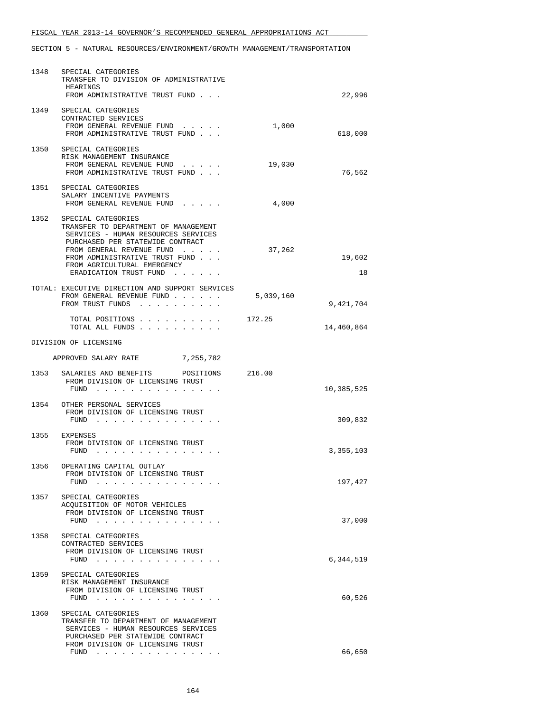| 1348 | SPECIAL CATEGORIES<br>TRANSFER TO DIVISION OF ADMINISTRATIVE<br>HEARINGS<br>FROM ADMINISTRATIVE TRUST FUND                                                                                                                                                                                                                        |           | 22,996       |
|------|-----------------------------------------------------------------------------------------------------------------------------------------------------------------------------------------------------------------------------------------------------------------------------------------------------------------------------------|-----------|--------------|
|      | 1349 SPECIAL CATEGORIES<br>CONTRACTED SERVICES<br>FROM GENERAL REVENUE FUND<br>FROM ADMINISTRATIVE TRUST FUND                                                                                                                                                                                                                     | 1,000     | 618,000      |
|      | 1350 SPECIAL CATEGORIES<br>RISK MANAGEMENT INSURANCE<br>FROM GENERAL REVENUE FUND<br>FROM ADMINISTRATIVE TRUST FUND                                                                                                                                                                                                               | 19,030    | 76,562       |
|      | 1351 SPECIAL CATEGORIES<br>SALARY INCENTIVE PAYMENTS<br>FROM GENERAL REVENUE FUND                                                                                                                                                                                                                                                 | 4,000     |              |
|      | 1352 SPECIAL CATEGORIES<br>TRANSFER TO DEPARTMENT OF MANAGEMENT<br>SERVICES - HUMAN RESOURCES SERVICES<br>PURCHASED PER STATEWIDE CONTRACT<br>FROM GENERAL REVENUE FUND<br>FROM ADMINISTRATIVE TRUST FUND<br>FROM AGRICULTURAL EMERGENCY<br>ERADICATION TRUST FUND                                                                | 37,262    | 19,602<br>18 |
|      | TOTAL: EXECUTIVE DIRECTION AND SUPPORT SERVICES<br>FROM GENERAL REVENUE FUND<br>FROM TRUST FUNDS                                                                                                                                                                                                                                  | 5,039,160 | 9,421,704    |
|      | TOTAL POSITIONS<br>TOTAL ALL FUNDS                                                                                                                                                                                                                                                                                                | 172.25    | 14,460,864   |
|      | DIVISION OF LICENSING                                                                                                                                                                                                                                                                                                             |           |              |
|      | APPROVED SALARY RATE 7,255,782                                                                                                                                                                                                                                                                                                    |           |              |
|      | 1353 SALARIES AND BENEFITS<br>POSITIONS 216.00<br>FROM DIVISION OF LICENSING TRUST<br>FUND                                                                                                                                                                                                                                        |           | 10,385,525   |
|      | 1354 OTHER PERSONAL SERVICES<br>FROM DIVISION OF LICENSING TRUST<br>FUND                                                                                                                                                                                                                                                          |           | 309,832      |
|      | 1355 EXPENSES<br>FROM DIVISION OF LICENSING TRUST<br>FUND                                                                                                                                                                                                                                                                         |           | 3,355,103    |
| 1356 | OPERATING CAPITAL OUTLAY<br>FROM DIVISION OF LICENSING TRUST<br>FUND<br>$\mathbf{1}$ , $\mathbf{1}$ , $\mathbf{1}$ , $\mathbf{1}$ , $\mathbf{1}$ , $\mathbf{1}$                                                                                                                                                                   |           | 197,427      |
| 1357 | SPECIAL CATEGORIES<br>ACQUISITION OF MOTOR VEHICLES<br>FROM DIVISION OF LICENSING TRUST<br>FUND<br>the contract of the contract of the contract of the contract of the contract of the contract of the contract of the contract of the contract of the contract of the contract of the contract of the contract of the contract o |           | 37,000       |
| 1358 | SPECIAL CATEGORIES<br>CONTRACTED SERVICES<br>FROM DIVISION OF LICENSING TRUST<br>FUND                                                                                                                                                                                                                                             |           | 6,344,519    |
| 1359 | SPECIAL CATEGORIES<br>RISK MANAGEMENT INSURANCE<br>FROM DIVISION OF LICENSING TRUST<br>FUND<br>the contract of the contract of the                                                                                                                                                                                                |           | 60,526       |
| 1360 | SPECIAL CATEGORIES<br>TRANSFER TO DEPARTMENT OF MANAGEMENT<br>SERVICES - HUMAN RESOURCES SERVICES<br>PURCHASED PER STATEWIDE CONTRACT<br>FROM DIVISION OF LICENSING TRUST                                                                                                                                                         |           |              |
|      | FUND                                                                                                                                                                                                                                                                                                                              |           | 66,650       |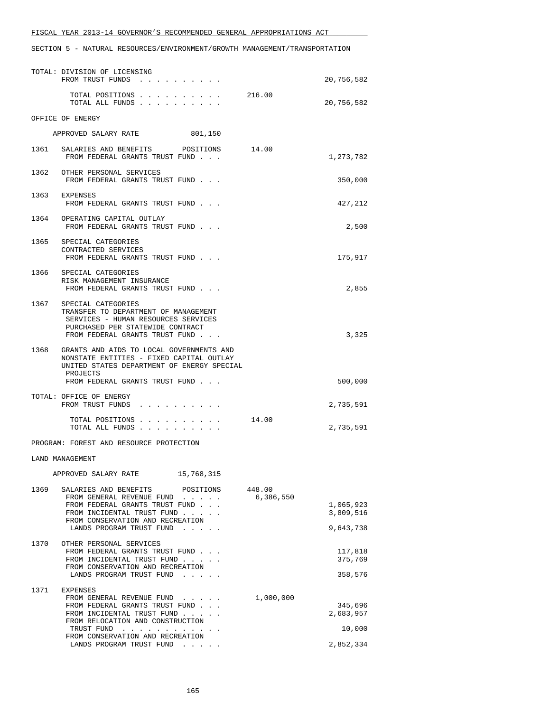|      | TOTAL: DIVISION OF LICENSING<br>FROM TRUST FUNDS                                                                                                                                 |                     | 20,756,582         |
|------|----------------------------------------------------------------------------------------------------------------------------------------------------------------------------------|---------------------|--------------------|
|      | TOTAL POSITIONS<br>TOTAL ALL FUNDS                                                                                                                                               | 216.00              | 20,756,582         |
|      | OFFICE OF ENERGY                                                                                                                                                                 |                     |                    |
|      | APPROVED SALARY RATE<br>801,150                                                                                                                                                  |                     |                    |
|      | 1361 SALARIES AND BENEFITS POSITIONS<br>FROM FEDERAL GRANTS TRUST FUND                                                                                                           | 14.00               | 1,273,782          |
|      | 1362 OTHER PERSONAL SERVICES<br>FROM FEDERAL GRANTS TRUST FUND                                                                                                                   |                     | 350,000            |
|      | 1363 EXPENSES<br>FROM FEDERAL GRANTS TRUST FUND                                                                                                                                  |                     | 427,212            |
|      | 1364 OPERATING CAPITAL OUTLAY<br>FROM FEDERAL GRANTS TRUST FUND                                                                                                                  |                     | 2,500              |
| 1365 | SPECIAL CATEGORIES<br>CONTRACTED SERVICES<br>FROM FEDERAL GRANTS TRUST FUND                                                                                                      |                     | 175,917            |
|      | 1366 SPECIAL CATEGORIES<br>RISK MANAGEMENT INSURANCE<br>FROM FEDERAL GRANTS TRUST FUND                                                                                           |                     | 2,855              |
|      | 1367 SPECIAL CATEGORIES<br>TRANSFER TO DEPARTMENT OF MANAGEMENT<br>SERVICES - HUMAN RESOURCES SERVICES<br>PURCHASED PER STATEWIDE CONTRACT<br>FROM FEDERAL GRANTS TRUST FUND     |                     | 3,325              |
| 1368 | GRANTS AND AIDS TO LOCAL GOVERNMENTS AND<br>NONSTATE ENTITIES - FIXED CAPITAL OUTLAY<br>UNITED STATES DEPARTMENT OF ENERGY SPECIAL<br>PROJECTS<br>FROM FEDERAL GRANTS TRUST FUND |                     | 500,000            |
|      | TOTAL: OFFICE OF ENERGY<br>FROM TRUST FUNDS                                                                                                                                      |                     | 2,735,591          |
|      | TOTAL POSITIONS<br>TOTAL ALL FUNDS                                                                                                                                               | 14.00               | 2,735,591          |
|      | PROGRAM: FOREST AND RESOURCE PROTECTION                                                                                                                                          |                     |                    |
|      | <b>LAND MANAGEMENT</b>                                                                                                                                                           |                     |                    |
|      | 15,768,315<br>APPROVED SALARY RATE                                                                                                                                               |                     |                    |
| 1369 | SALARIES AND BENEFITS<br>POSITIONS<br>FROM GENERAL REVENUE FUND<br>FROM FEDERAL GRANTS TRUST FUND                                                                                | 448.00<br>6,386,550 | 1,065,923          |
|      | FROM INCIDENTAL TRUST FUND                                                                                                                                                       |                     | 3,809,516          |
|      | FROM CONSERVATION AND RECREATION<br>LANDS PROGRAM TRUST FUND                                                                                                                     |                     | 9,643,738          |
| 1370 | OTHER PERSONAL SERVICES<br>FROM FEDERAL GRANTS TRUST FUND<br>FROM INCIDENTAL TRUST FUND                                                                                          |                     | 117,818<br>375,769 |
|      | FROM CONSERVATION AND RECREATION<br>LANDS PROGRAM TRUST FUND                                                                                                                     |                     | 358,576            |
|      | 1371 EXPENSES                                                                                                                                                                    |                     |                    |
|      | FROM GENERAL REVENUE FUND<br>FROM FEDERAL GRANTS TRUST FUND                                                                                                                      | 1,000,000           | 345,696            |
|      | FROM INCIDENTAL TRUST FUND<br>FROM RELOCATION AND CONSTRUCTION                                                                                                                   |                     | 2,683,957          |
|      | TRUST FUND<br>FROM CONSERVATION AND RECREATION                                                                                                                                   |                     | 10,000             |
|      | LANDS PROGRAM TRUST FUND                                                                                                                                                         |                     | 2,852,334          |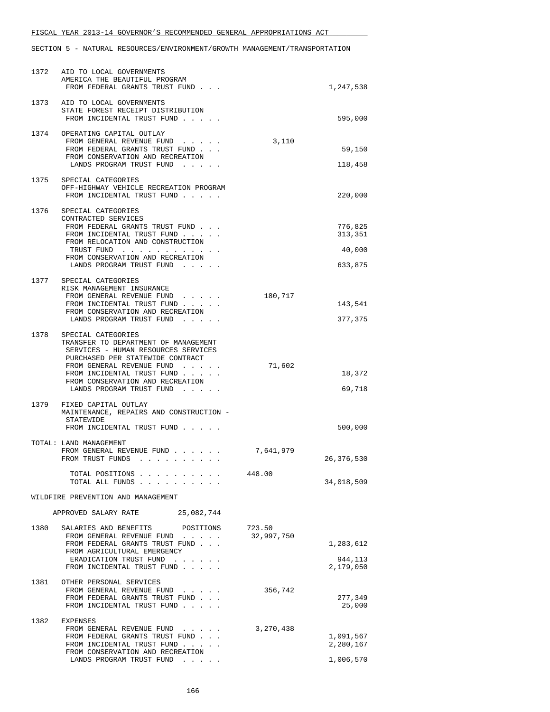|      | 1372 AID TO LOCAL GOVERNMENTS<br>AMERICA THE BEAUTIFUL PROGRAM<br>FROM FEDERAL GRANTS TRUST FUND                                                                                                                                                                      |            | 1,247,538                               |
|------|-----------------------------------------------------------------------------------------------------------------------------------------------------------------------------------------------------------------------------------------------------------------------|------------|-----------------------------------------|
|      | 1373 AID TO LOCAL GOVERNMENTS<br>STATE FOREST RECEIPT DISTRIBUTION<br>FROM INCIDENTAL TRUST FUND                                                                                                                                                                      |            | 595,000                                 |
|      | 1374 OPERATING CAPITAL OUTLAY<br>FROM GENERAL REVENUE FUND<br>FROM FEDERAL GRANTS TRUST FUND<br>FROM CONSERVATION AND RECREATION<br>LANDS PROGRAM TRUST FUND                                                                                                          | 3,110      | 59,150<br>118,458                       |
| 1375 | SPECIAL CATEGORIES<br>OFF-HIGHWAY VEHICLE RECREATION PROGRAM<br>FROM INCIDENTAL TRUST FUND                                                                                                                                                                            |            | 220,000                                 |
|      | 1376 SPECIAL CATEGORIES<br>CONTRACTED SERVICES<br>FROM FEDERAL GRANTS TRUST FUND<br>FROM INCIDENTAL TRUST FUND<br>FROM RELOCATION AND CONSTRUCTION<br>TRUST FUND<br>FROM CONSERVATION AND RECREATION<br>LANDS PROGRAM TRUST FUND                                      |            | 776,825<br>313,351<br>40,000<br>633,875 |
|      | 1377 SPECIAL CATEGORIES<br>RISK MANAGEMENT INSURANCE<br>FROM GENERAL REVENUE FUND<br>$\cdots$<br>FROM INCIDENTAL TRUST FUND<br>FROM CONSERVATION AND RECREATION<br>LANDS PROGRAM TRUST FUND                                                                           | 180,717    | 143,541<br>377,375                      |
|      | 1378 SPECIAL CATEGORIES<br>TRANSFER TO DEPARTMENT OF MANAGEMENT<br>SERVICES - HUMAN RESOURCES SERVICES<br>PURCHASED PER STATEWIDE CONTRACT<br>FROM GENERAL REVENUE FUND<br>FROM INCIDENTAL TRUST FUND<br>FROM CONSERVATION AND RECREATION<br>LANDS PROGRAM TRUST FUND | 71,602     | 18,372<br>69,718                        |
|      | 1379 FIXED CAPITAL OUTLAY<br>MAINTENANCE, REPAIRS AND CONSTRUCTION -<br>STATEWIDE<br>FROM INCIDENTAL TRUST FUND                                                                                                                                                       |            | 500,000                                 |
|      | TOTAL: LAND MANAGEMENT<br>FROM GENERAL REVENUE FUND<br>FROM TRUST FUNDS                                                                                                                                                                                               | 7,641,979  | 26, 376, 530                            |
|      | TOTAL POSITIONS<br>TOTAL ALL FUNDS                                                                                                                                                                                                                                    | 448.00     | 34,018,509                              |
|      | WILDFIRE PREVENTION AND MANAGEMENT<br>25,082,744<br>APPROVED SALARY RATE                                                                                                                                                                                              |            |                                         |
| 1380 | SALARIES AND BENEFITS<br>POSITIONS                                                                                                                                                                                                                                    | 723.50     |                                         |
|      | FROM GENERAL REVENUE FUND<br>FROM FEDERAL GRANTS TRUST FUND<br>FROM AGRICULTURAL EMERGENCY<br>ERADICATION TRUST FUND<br>FROM INCIDENTAL TRUST FUND                                                                                                                    | 32,997,750 | 1,283,612<br>944,113<br>2,179,050       |
| 1381 | OTHER PERSONAL SERVICES<br>FROM GENERAL REVENUE FUND<br>FROM FEDERAL GRANTS TRUST FUND<br>FROM INCIDENTAL TRUST FUND                                                                                                                                                  | 356,742    | 277,349<br>25,000                       |
|      | 1382 EXPENSES<br>FROM GENERAL REVENUE FUND<br>FROM FEDERAL GRANTS TRUST FUND<br>FROM INCIDENTAL TRUST FUND<br>FROM CONSERVATION AND RECREATION<br>LANDS PROGRAM TRUST FUND                                                                                            | 3,270,438  | 1,091,567<br>2,280,167<br>1,006,570     |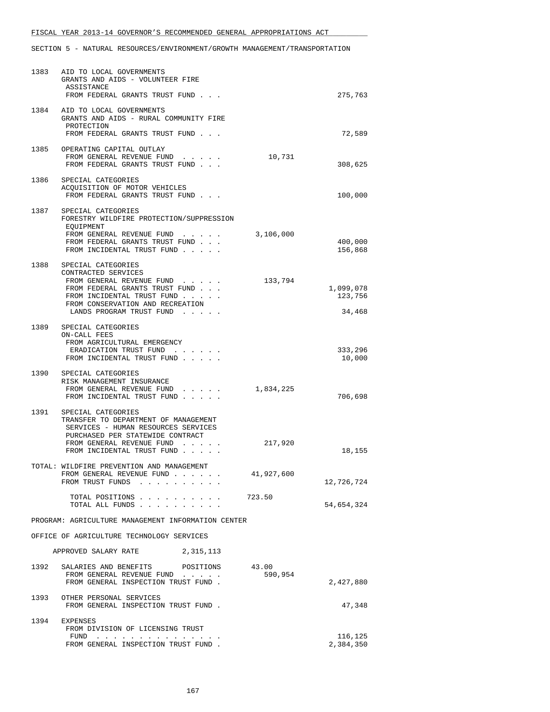|      | 1383 AID TO LOCAL GOVERNMENTS<br>GRANTS AND AIDS - VOLUNTEER FIRE<br>ASSISTANCE<br>FROM FEDERAL GRANTS TRUST FUND                                                                                      |                  | 275,763                        |
|------|--------------------------------------------------------------------------------------------------------------------------------------------------------------------------------------------------------|------------------|--------------------------------|
|      | 1384 AID TO LOCAL GOVERNMENTS<br>GRANTS AND AIDS - RURAL COMMUNITY FIRE<br>PROTECTION<br>FROM FEDERAL GRANTS TRUST FUND                                                                                |                  | 72,589                         |
| 1385 | OPERATING CAPITAL OUTLAY<br>FROM GENERAL REVENUE FUND<br>FROM FEDERAL GRANTS TRUST FUND                                                                                                                | 10,731           | 308,625                        |
| 1386 | SPECIAL CATEGORIES<br>ACQUISITION OF MOTOR VEHICLES<br>FROM FEDERAL GRANTS TRUST FUND                                                                                                                  |                  | 100,000                        |
|      | 1387 SPECIAL CATEGORIES<br>FORESTRY WILDFIRE PROTECTION/SUPPRESSION<br>EOUIPMENT<br>FROM GENERAL REVENUE FUND<br>FROM FEDERAL GRANTS TRUST FUND<br>FROM INCIDENTAL TRUST FUND                          | 3,106,000        | 400,000<br>156,868             |
| 1388 | SPECIAL CATEGORIES<br>CONTRACTED SERVICES<br>FROM GENERAL REVENUE FUND<br>FROM FEDERAL GRANTS TRUST FUND<br>FROM INCIDENTAL TRUST FUND<br>FROM CONSERVATION AND RECREATION<br>LANDS PROGRAM TRUST FUND | 133,794          | 1,099,078<br>123,756<br>34,468 |
| 1389 | SPECIAL CATEGORIES<br>ON-CALL FEES<br>FROM AGRICULTURAL EMERGENCY<br>ERADICATION TRUST FUND<br>FROM INCIDENTAL TRUST FUND                                                                              |                  | 333,296<br>10,000              |
|      | 1390 SPECIAL CATEGORIES<br>RISK MANAGEMENT INSURANCE<br>FROM GENERAL REVENUE FUND<br>$\mathbf{r} = \mathbf{r} + \mathbf{r} + \mathbf{r} + \mathbf{r} + \mathbf{r}$<br>FROM INCIDENTAL TRUST FUND       | 1,834,225        | 706,698                        |
| 1391 | SPECIAL CATEGORIES<br>TRANSFER TO DEPARTMENT OF MANAGEMENT<br>SERVICES - HUMAN RESOURCES SERVICES<br>PURCHASED PER STATEWIDE CONTRACT<br>FROM GENERAL REVENUE FUND<br>FROM INCIDENTAL TRUST FUND       | 217,920          | 18,155                         |
|      | TOTAL: WILDFIRE PREVENTION AND MANAGEMENT<br>FROM GENERAL REVENUE FUND<br>FROM TRUST FUNDS                                                                                                             | 41,927,600       | 12,726,724                     |
|      | TOTAL POSITIONS<br>TOTAL ALL FUNDS                                                                                                                                                                     | 723.50           | 54,654,324                     |
|      | PROGRAM: AGRICULTURE MANAGEMENT INFORMATION CENTER                                                                                                                                                     |                  |                                |
|      | OFFICE OF AGRICULTURE TECHNOLOGY SERVICES                                                                                                                                                              |                  |                                |
|      | APPROVED SALARY RATE<br>2,315,113                                                                                                                                                                      |                  |                                |
|      | 1392 SALARIES AND BENEFITS POSITIONS<br>FROM GENERAL REVENUE FUND<br>FROM GENERAL INSPECTION TRUST FUND.                                                                                               | 43.00<br>590,954 | 2,427,880                      |
|      | 1393 OTHER PERSONAL SERVICES<br>FROM GENERAL INSPECTION TRUST FUND.                                                                                                                                    |                  | 47,348                         |
| 1394 | EXPENSES<br>FROM DIVISION OF LICENSING TRUST                                                                                                                                                           |                  |                                |
|      | $FUND$<br>FROM GENERAL INSPECTION TRUST FUND.                                                                                                                                                          |                  | 116,125<br>2,384,350           |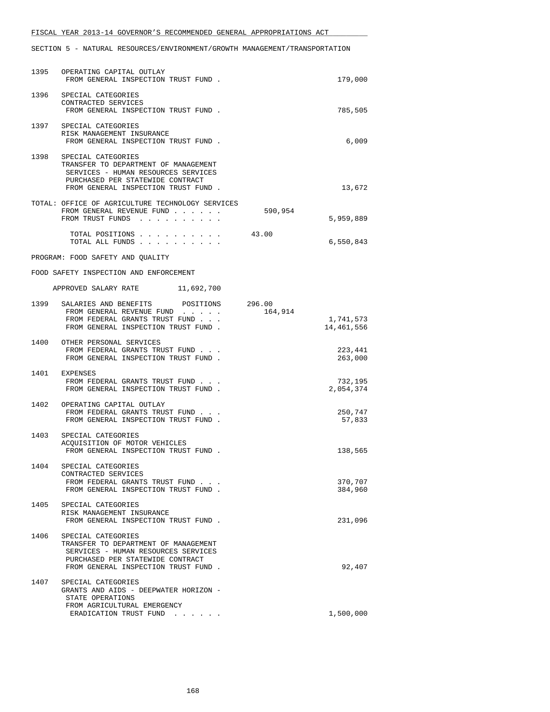|      | 1395 OPERATING CAPITAL OUTLAY<br>FROM GENERAL INSPECTION TRUST FUND.                                                                                                              |         | 179,000                 |
|------|-----------------------------------------------------------------------------------------------------------------------------------------------------------------------------------|---------|-------------------------|
|      | 1396 SPECIAL CATEGORIES<br>CONTRACTED SERVICES<br>FROM GENERAL INSPECTION TRUST FUND.                                                                                             |         | 785,505                 |
|      | 1397 SPECIAL CATEGORIES<br>RISK MANAGEMENT INSURANCE<br>FROM GENERAL INSPECTION TRUST FUND.                                                                                       |         | 6,009                   |
|      | 1398 SPECIAL CATEGORIES<br>TRANSFER TO DEPARTMENT OF MANAGEMENT<br>SERVICES - HUMAN RESOURCES SERVICES<br>PURCHASED PER STATEWIDE CONTRACT<br>FROM GENERAL INSPECTION TRUST FUND. |         | 13,672                  |
|      | TOTAL: OFFICE OF AGRICULTURE TECHNOLOGY SERVICES<br>FROM GENERAL REVENUE FUND<br>FROM TRUST FUNDS                                                                                 | 590,954 | 5,959,889               |
|      | TOTAL POSITIONS<br>TOTAL ALL FUNDS                                                                                                                                                | 43.00   | 6,550,843               |
|      | PROGRAM: FOOD SAFETY AND QUALITY                                                                                                                                                  |         |                         |
|      | FOOD SAFETY INSPECTION AND ENFORCEMENT                                                                                                                                            |         |                         |
|      | APPROVED SALARY RATE 11,692,700                                                                                                                                                   |         |                         |
|      | 1399 SALARIES AND BENEFITS POSITIONS 296.00<br>FROM GENERAL REVENUE FUND<br>FROM FEDERAL GRANTS TRUST FUND<br>FROM GENERAL INSPECTION TRUST FUND.                                 | 164,914 | 1,741,573<br>14,461,556 |
|      | 1400 OTHER PERSONAL SERVICES<br>FROM FEDERAL GRANTS TRUST FUND<br>FROM GENERAL INSPECTION TRUST FUND.                                                                             |         | 223,441<br>263,000      |
|      | 1401 EXPENSES<br>FROM FEDERAL GRANTS TRUST FUND<br>FROM GENERAL INSPECTION TRUST FUND.                                                                                            |         | 732,195<br>2,054,374    |
| 1402 | OPERATING CAPITAL OUTLAY<br>FROM FEDERAL GRANTS TRUST FUND<br>FROM GENERAL INSPECTION TRUST FUND.                                                                                 |         | 250,747<br>57,833       |
| 1403 | SPECIAL CATEGORIES<br>ACQUISITION OF MOTOR VEHICLES<br>FROM GENERAL INSPECTION TRUST FUND.                                                                                        |         | 138,565                 |
| 1404 | SPECIAL CATEGORIES<br>CONTRACTED SERVICES<br>FROM FEDERAL GRANTS TRUST FUND<br>FROM GENERAL INSPECTION TRUST FUND.                                                                |         | 370,707<br>384,960      |
| 1405 | SPECIAL CATEGORIES<br>RISK MANAGEMENT INSURANCE<br>FROM GENERAL INSPECTION TRUST FUND.                                                                                            |         | 231,096                 |
| 1406 | SPECIAL CATEGORIES<br>TRANSFER TO DEPARTMENT OF MANAGEMENT<br>SERVICES - HUMAN RESOURCES SERVICES<br>PURCHASED PER STATEWIDE CONTRACT<br>FROM GENERAL INSPECTION TRUST FUND.      |         | 92,407                  |
| 1407 | SPECIAL CATEGORIES<br>GRANTS AND AIDS - DEEPWATER HORIZON -<br>STATE OPERATIONS<br>FROM AGRICULTURAL EMERGENCY                                                                    |         |                         |
|      | ERADICATION TRUST FUND                                                                                                                                                            |         | 1,500,000               |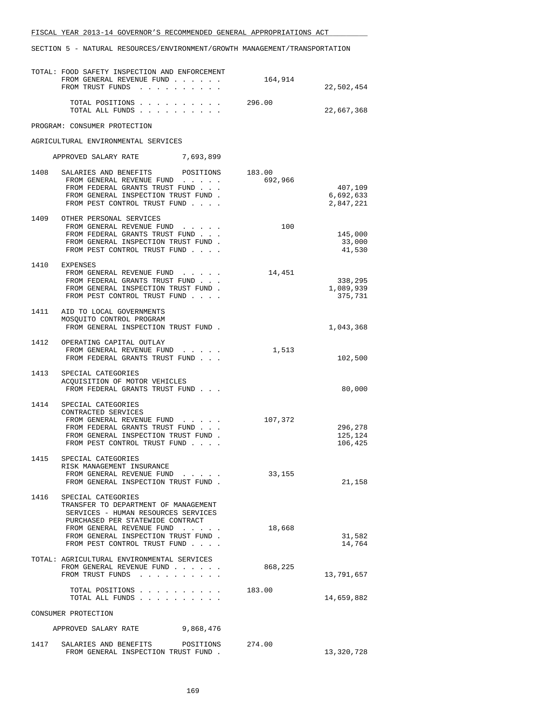|      | TOTAL: FOOD SAFETY INSPECTION AND ENFORCEMENT<br>FROM GENERAL REVENUE FUND<br>FROM TRUST FUNDS                                                                                                                                            | 164,914           | 22,502,454                        |
|------|-------------------------------------------------------------------------------------------------------------------------------------------------------------------------------------------------------------------------------------------|-------------------|-----------------------------------|
|      | TOTAL POSITIONS<br>TOTAL ALL FUNDS                                                                                                                                                                                                        | 296.00            | 22,667,368                        |
|      | PROGRAM: CONSUMER PROTECTION                                                                                                                                                                                                              |                   |                                   |
|      | AGRICULTURAL ENVIRONMENTAL SERVICES                                                                                                                                                                                                       |                   |                                   |
|      | APPROVED SALARY RATE 7,693,899                                                                                                                                                                                                            |                   |                                   |
| 1408 | SALARIES AND BENEFITS POSITIONS<br>FROM GENERAL REVENUE FUND<br>FROM FEDERAL GRANTS TRUST FUND<br>FROM GENERAL INSPECTION TRUST FUND.<br>FROM PEST CONTROL TRUST FUND                                                                     | 183.00<br>692,966 | 407,109<br>6,692,633<br>2,847,221 |
| 1409 | OTHER PERSONAL SERVICES<br>FROM GENERAL REVENUE FUND<br>FROM FEDERAL GRANTS TRUST FUND<br>FROM GENERAL INSPECTION TRUST FUND.<br>FROM PEST CONTROL TRUST FUND                                                                             | 100               | 145,000<br>33,000<br>41,530       |
|      | 1410 EXPENSES<br>FROM GENERAL REVENUE FUND<br>FROM FEDERAL GRANTS TRUST FUND<br>FROM GENERAL INSPECTION TRUST FUND.<br>FROM PEST CONTROL TRUST FUND                                                                                       | 14,451            | 338,295<br>1,089,939<br>375,731   |
|      | 1411 AID TO LOCAL GOVERNMENTS<br>MOSQUITO CONTROL PROGRAM<br>FROM GENERAL INSPECTION TRUST FUND.                                                                                                                                          |                   | 1,043,368                         |
|      | 1412 OPERATING CAPITAL OUTLAY<br>FROM GENERAL REVENUE FUND<br>FROM FEDERAL GRANTS TRUST FUND                                                                                                                                              | 1,513             | 102,500                           |
|      | 1413 SPECIAL CATEGORIES<br>ACQUISITION OF MOTOR VEHICLES<br>FROM FEDERAL GRANTS TRUST FUND                                                                                                                                                |                   | 80,000                            |
| 1414 | SPECIAL CATEGORIES<br>CONTRACTED SERVICES<br>FROM GENERAL REVENUE FUND<br>FROM FEDERAL GRANTS TRUST FUND<br>FROM GENERAL INSPECTION TRUST FUND.<br>FROM PEST CONTROL TRUST FUND                                                           | 107,372           | 296,278<br>125,124<br>106,425     |
| 1415 | SPECIAL CATEGORIES<br>RISK MANAGEMENT INSURANCE<br>FROM GENERAL REVENUE FUND<br>FROM GENERAL INSPECTION TRUST FUND.                                                                                                                       | 33,155            | 21,158                            |
| 1416 | SPECIAL CATEGORIES<br>TRANSFER TO DEPARTMENT OF MANAGEMENT<br>SERVICES - HUMAN RESOURCES SERVICES<br>PURCHASED PER STATEWIDE CONTRACT<br>FROM GENERAL REVENUE FUND<br>FROM GENERAL INSPECTION TRUST FUND.<br>FROM PEST CONTROL TRUST FUND | 18,668            | 31,582<br>14,764                  |
|      | TOTAL: AGRICULTURAL ENVIRONMENTAL SERVICES<br>FROM GENERAL REVENUE FUND<br>FROM TRUST FUNDS                                                                                                                                               | 868,225           | 13,791,657                        |
|      | TOTAL POSITIONS<br>TOTAL ALL FUNDS                                                                                                                                                                                                        | 183.00            | 14,659,882                        |
|      | CONSUMER PROTECTION                                                                                                                                                                                                                       |                   |                                   |
|      | APPROVED SALARY RATE<br>9,868,476                                                                                                                                                                                                         |                   |                                   |
| 1417 | SALARIES AND BENEFITS POSITIONS<br>FROM GENERAL INSPECTION TRUST FUND.                                                                                                                                                                    | 274.00            | 13,320,728                        |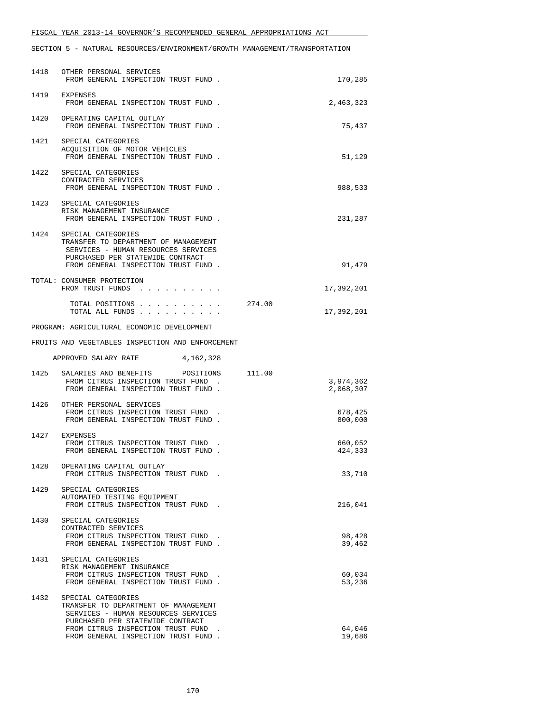|      | 1418 OTHER PERSONAL SERVICES<br>FROM GENERAL INSPECTION TRUST FUND.                                                                                                          | 170,285                |
|------|------------------------------------------------------------------------------------------------------------------------------------------------------------------------------|------------------------|
|      | 1419 EXPENSES<br>FROM GENERAL INSPECTION TRUST FUND.                                                                                                                         | 2,463,323              |
|      | 1420 OPERATING CAPITAL OUTLAY<br>FROM GENERAL INSPECTION TRUST FUND.                                                                                                         | 75,437                 |
|      | 1421 SPECIAL CATEGORIES<br>ACQUISITION OF MOTOR VEHICLES<br>FROM GENERAL INSPECTION TRUST FUND.                                                                              | 51,129                 |
|      | 1422 SPECIAL CATEGORIES<br>CONTRACTED SERVICES<br>FROM GENERAL INSPECTION TRUST FUND.                                                                                        | 988,533                |
|      | 1423 SPECIAL CATEGORIES<br>RISK MANAGEMENT INSURANCE<br>FROM GENERAL INSPECTION TRUST FUND.                                                                                  | 231,287                |
| 1424 | SPECIAL CATEGORIES<br>TRANSFER TO DEPARTMENT OF MANAGEMENT<br>SERVICES - HUMAN RESOURCES SERVICES<br>PURCHASED PER STATEWIDE CONTRACT<br>FROM GENERAL INSPECTION TRUST FUND. | 91,479                 |
|      | TOTAL: CONSUMER PROTECTION<br>FROM TRUST FUNDS                                                                                                                               | 17,392,201             |
|      | 274.00<br>TOTAL POSITIONS<br>TOTAL ALL FUNDS                                                                                                                                 | 17,392,201             |
|      | PROGRAM: AGRICULTURAL ECONOMIC DEVELOPMENT                                                                                                                                   |                        |
|      | FRUITS AND VEGETABLES INSPECTION AND ENFORCEMENT                                                                                                                             |                        |
|      | 4,162,328<br>APPROVED SALARY RATE                                                                                                                                            |                        |
|      | 1425 SALARIES AND BENEFITS POSITIONS 111.00<br>FROM CITRUS INSPECTION TRUST FUND.<br>FROM GENERAL INSPECTION TRUST FUND.                                                     | 3,974,362<br>2,068,307 |
|      | 1426 OTHER PERSONAL SERVICES<br>FROM CITRUS INSPECTION TRUST FUND<br>FROM GENERAL INSPECTION TRUST FUND.                                                                     | 678,425<br>800,000     |
|      | 1427 EXPENSES<br>FROM CITRUS INSPECTION TRUST FUND<br>FROM GENERAL INSPECTION TRUST FUND.                                                                                    | 660,052<br>424,333     |
| 1428 | OPERATING CAPITAL OUTLAY<br>FROM CITRUS INSPECTION TRUST FUND.                                                                                                               | 33,710                 |
|      | 1429 SPECIAL CATEGORIES<br>AUTOMATED TESTING EQUIPMENT<br>FROM CITRUS INSPECTION TRUST FUND.                                                                                 | 216,041                |
| 1430 | SPECIAL CATEGORIES<br>CONTRACTED SERVICES<br>FROM CITRUS INSPECTION TRUST FUND<br>FROM GENERAL INSPECTION TRUST FUND.                                                        | 98,428<br>39,462       |
| 1431 | SPECIAL CATEGORIES<br>RISK MANAGEMENT INSURANCE<br>FROM CITRUS INSPECTION TRUST FUND<br>FROM GENERAL INSPECTION TRUST FUND.                                                  | 60,034<br>53,236       |
| 1432 | SPECIAL CATEGORIES<br>TRANSFER TO DEPARTMENT OF MANAGEMENT<br>SERVICES - HUMAN RESOURCES SERVICES<br>PURCHASED PER STATEWIDE CONTRACT                                        |                        |
|      | FROM CITRUS INSPECTION TRUST FUND<br>FROM GENERAL INSPECTION TRUST FUND.                                                                                                     | 64,046<br>19,686       |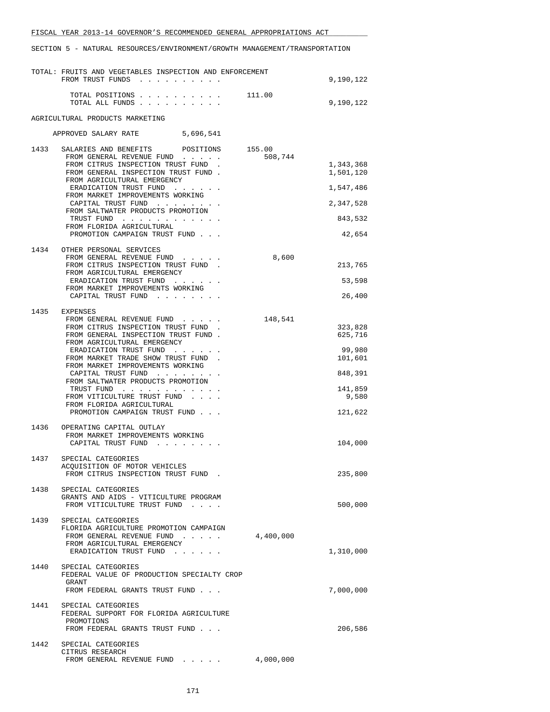|      | TOTAL: FRUITS AND VEGETABLES INSPECTION AND ENFORCEMENT<br>FROM TRUST FUNDS                                                                                                                                                                                                                                                                                                                                               |                   | 9,190,122                                                                         |
|------|---------------------------------------------------------------------------------------------------------------------------------------------------------------------------------------------------------------------------------------------------------------------------------------------------------------------------------------------------------------------------------------------------------------------------|-------------------|-----------------------------------------------------------------------------------|
|      | TOTAL POSITIONS<br>TOTAL ALL FUNDS                                                                                                                                                                                                                                                                                                                                                                                        | 111.00            | 9,190,122                                                                         |
|      | AGRICULTURAL PRODUCTS MARKETING                                                                                                                                                                                                                                                                                                                                                                                           |                   |                                                                                   |
|      | APPROVED SALARY RATE<br>5,696,541                                                                                                                                                                                                                                                                                                                                                                                         |                   |                                                                                   |
| 1433 | SALARIES AND BENEFITS<br>POSITIONS<br>FROM GENERAL REVENUE FUND<br>FROM CITRUS INSPECTION TRUST FUND.<br>FROM GENERAL INSPECTION TRUST FUND.<br>FROM AGRICULTURAL EMERGENCY<br>ERADICATION TRUST FUND<br>FROM MARKET IMPROVEMENTS WORKING<br>CAPITAL TRUST FUND<br>FROM SALTWATER PRODUCTS PROMOTION<br>TRUST FUND<br>FROM FLORIDA AGRICULTURAL<br>PROMOTION CAMPAIGN TRUST FUND                                          | 155.00<br>508,744 | 1,343,368<br>1,501,120<br>1,547,486<br>2,347,528<br>843,532<br>42,654             |
| 1434 | OTHER PERSONAL SERVICES<br>FROM GENERAL REVENUE FUND<br>FROM CITRUS INSPECTION TRUST FUND.<br>FROM AGRICULTURAL EMERGENCY<br>ERADICATION TRUST FUND<br>FROM MARKET IMPROVEMENTS WORKING<br>CAPITAL TRUST FUND                                                                                                                                                                                                             | 8,600             | 213,765<br>53,598<br>26,400                                                       |
| 1435 | EXPENSES<br>FROM GENERAL REVENUE FUND<br>FROM CITRUS INSPECTION TRUST FUND<br>FROM GENERAL INSPECTION TRUST FUND.<br>FROM AGRICULTURAL EMERGENCY<br>ERADICATION TRUST FUND<br>FROM MARKET TRADE SHOW TRUST FUND<br>FROM MARKET IMPROVEMENTS WORKING<br>CAPITAL TRUST FUND<br>FROM SALTWATER PRODUCTS PROMOTION<br>TRUST FUND<br>FROM VITICULTURE TRUST FUND<br>FROM FLORIDA AGRICULTURAL<br>PROMOTION CAMPAIGN TRUST FUND | 148,541           | 323,828<br>625,716<br>99,980<br>101,601<br>848,391<br>141,859<br>9,580<br>121,622 |
| 1436 | OPERATING CAPITAL OUTLAY<br>FROM MARKET IMPROVEMENTS WORKING<br>CAPITAL TRUST FUND                                                                                                                                                                                                                                                                                                                                        |                   | 104,000                                                                           |
| 1437 | SPECIAL CATEGORIES<br>ACQUISITION OF MOTOR VEHICLES<br>FROM CITRUS INSPECTION TRUST FUND.                                                                                                                                                                                                                                                                                                                                 |                   | 235,800                                                                           |
| 1438 | SPECIAL CATEGORIES<br>GRANTS AND AIDS - VITICULTURE PROGRAM<br>FROM VITICULTURE TRUST FUND                                                                                                                                                                                                                                                                                                                                |                   | 500,000                                                                           |
| 1439 | SPECIAL CATEGORIES<br>FLORIDA AGRICULTURE PROMOTION CAMPAIGN<br>FROM GENERAL REVENUE FUND<br>FROM AGRICULTURAL EMERGENCY<br>ERADICATION TRUST FUND                                                                                                                                                                                                                                                                        | 4,400,000         | 1,310,000                                                                         |
|      | 1440 SPECIAL CATEGORIES<br>FEDERAL VALUE OF PRODUCTION SPECIALTY CROP<br>GRANT<br>FROM FEDERAL GRANTS TRUST FUND                                                                                                                                                                                                                                                                                                          |                   | 7,000,000                                                                         |
|      | 1441 SPECIAL CATEGORIES<br>FEDERAL SUPPORT FOR FLORIDA AGRICULTURE<br>PROMOTIONS<br>FROM FEDERAL GRANTS TRUST FUND                                                                                                                                                                                                                                                                                                        |                   | 206,586                                                                           |
| 1442 | SPECIAL CATEGORIES<br>CITRUS RESEARCH<br>FROM GENERAL REVENUE FUND                                                                                                                                                                                                                                                                                                                                                        | 4,000,000         |                                                                                   |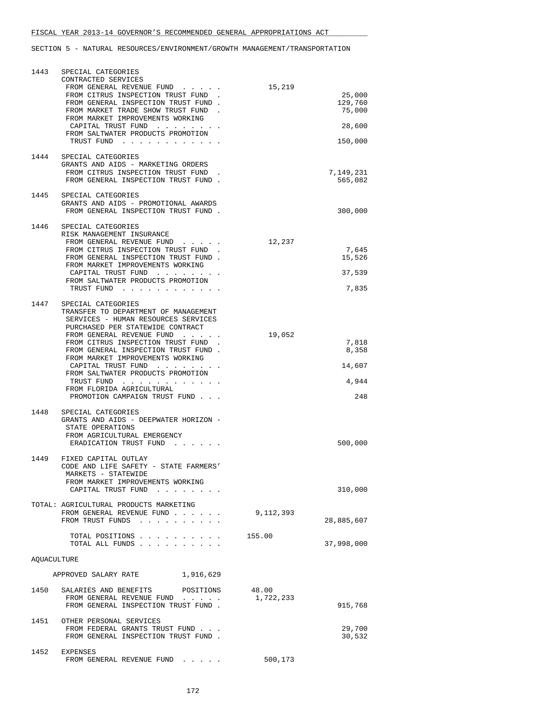| 1443        | SPECIAL CATEGORIES<br>CONTRACTED SERVICES<br>FROM GENERAL REVENUE FUND                                                                | 15,219             |                             |
|-------------|---------------------------------------------------------------------------------------------------------------------------------------|--------------------|-----------------------------|
|             | FROM CITRUS INSPECTION TRUST FUND<br>FROM GENERAL INSPECTION TRUST FUND.<br>FROM MARKET TRADE SHOW TRUST FUND                         |                    | 25,000<br>129,760<br>75,000 |
|             | FROM MARKET IMPROVEMENTS WORKING<br>CAPITAL TRUST FUND                                                                                |                    | 28,600                      |
|             | FROM SALTWATER PRODUCTS PROMOTION<br>TRUST FUND                                                                                       |                    | 150,000                     |
| 1444        | SPECIAL CATEGORIES<br>GRANTS AND AIDS - MARKETING ORDERS                                                                              |                    |                             |
|             | FROM CITRUS INSPECTION TRUST FUND<br>FROM GENERAL INSPECTION TRUST FUND.                                                              |                    | 7,149,231<br>565,082        |
| 1445        | SPECIAL CATEGORIES<br>GRANTS AND AIDS - PROMOTIONAL AWARDS<br>FROM GENERAL INSPECTION TRUST FUND.                                     |                    | 300,000                     |
| 1446        | SPECIAL CATEGORIES<br>RISK MANAGEMENT INSURANCE                                                                                       |                    |                             |
|             | FROM GENERAL REVENUE FUND<br>FROM CITRUS INSPECTION TRUST FUND.                                                                       | 12,237             | 7,645                       |
|             | FROM GENERAL INSPECTION TRUST FUND.<br>FROM MARKET IMPROVEMENTS WORKING                                                               |                    | 15,526                      |
|             | CAPITAL TRUST FUND<br>FROM SALTWATER PRODUCTS PROMOTION                                                                               |                    | 37,539                      |
|             | TRUST FUND                                                                                                                            |                    | 7,835                       |
| 1447        | SPECIAL CATEGORIES<br>TRANSFER TO DEPARTMENT OF MANAGEMENT<br>SERVICES - HUMAN RESOURCES SERVICES<br>PURCHASED PER STATEWIDE CONTRACT |                    |                             |
|             | FROM GENERAL REVENUE FUND                                                                                                             | 19,052             |                             |
|             | FROM CITRUS INSPECTION TRUST FUND<br>FROM GENERAL INSPECTION TRUST FUND.                                                              |                    | 7,818<br>8,358              |
|             | FROM MARKET IMPROVEMENTS WORKING<br>CAPITAL TRUST FUND                                                                                |                    | 14,607                      |
|             | FROM SALTWATER PRODUCTS PROMOTION<br>TRUST FUND                                                                                       |                    | 4,944                       |
|             | FROM FLORIDA AGRICULTURAL<br>PROMOTION CAMPAIGN TRUST FUND                                                                            |                    | 248                         |
| 1448        | SPECIAL CATEGORIES                                                                                                                    |                    |                             |
|             | GRANTS AND AIDS - DEEPWATER HORIZON -<br>STATE OPERATIONS<br>FROM AGRICULTURAL EMERGENCY                                              |                    |                             |
|             | ERADICATION TRUST FUND                                                                                                                |                    | 500,000                     |
| 1449        | FIXED CAPITAL OUTLAY<br>CODE AND LIFE SAFETY - STATE FARMERS'<br>MARKETS - STATEWIDE                                                  |                    |                             |
|             | FROM MARKET IMPROVEMENTS WORKING<br>CAPITAL TRUST FUND                                                                                |                    | 310,000                     |
|             | TOTAL: AGRICULTURAL PRODUCTS MARKETING<br>FROM GENERAL REVENUE FUND                                                                   | 9,112,393          |                             |
|             | FROM TRUST FUNDS                                                                                                                      |                    | 28,885,607                  |
|             | TOTAL POSITIONS<br>TOTAL ALL FUNDS                                                                                                    | 155.00             | 37,998,000                  |
| AQUACULTURE |                                                                                                                                       |                    |                             |
|             | APPROVED SALARY RATE<br>1,916,629                                                                                                     |                    |                             |
|             | 1450 SALARIES AND BENEFITS POSITIONS<br>FROM GENERAL REVENUE FUND<br>FROM GENERAL INSPECTION TRUST FUND.                              | 48.00<br>1,722,233 | 915,768                     |
|             | 1451 OTHER PERSONAL SERVICES<br>FROM FEDERAL GRANTS TRUST FUND<br>FROM GENERAL INSPECTION TRUST FUND.                                 |                    | 29,700<br>30,532            |
| 1452        | EXPENSES<br>FROM GENERAL REVENUE FUND                                                                                                 | 500,173            |                             |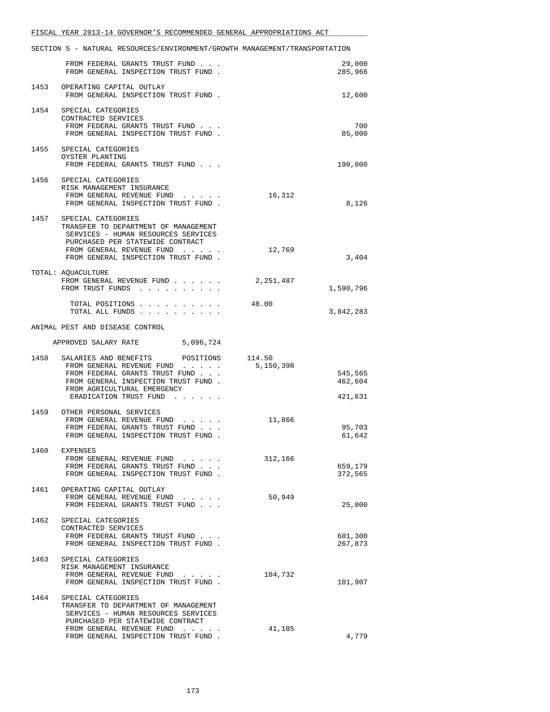|      | SECTION 5 - NATURAL RESOURCES/ENVIRONMENT/GROWTH MANAGEMENT/TRANSPORTATION                                                                                                                                     |                                            |
|------|----------------------------------------------------------------------------------------------------------------------------------------------------------------------------------------------------------------|--------------------------------------------|
|      | FROM FEDERAL GRANTS TRUST FUND<br>FROM GENERAL INSPECTION TRUST FUND.                                                                                                                                          | 29,000<br>285,966                          |
|      | 1453 OPERATING CAPITAL OUTLAY<br>FROM GENERAL INSPECTION TRUST FUND.                                                                                                                                           | 12,600                                     |
|      | 1454 SPECIAL CATEGORIES<br>CONTRACTED SERVICES<br>FROM FEDERAL GRANTS TRUST FUND<br>FROM GENERAL INSPECTION TRUST FUND.                                                                                        | 700<br>85,000                              |
|      | 1455 SPECIAL CATEGORIES<br>OYSTER PLANTING<br>FROM FEDERAL GRANTS TRUST FUND                                                                                                                                   | 190,000                                    |
|      | 1456 SPECIAL CATEGORIES<br>RISK MANAGEMENT INSURANCE<br>FROM GENERAL REVENUE FUND<br>FROM GENERAL INSPECTION TRUST FUND.                                                                                       | 16,312<br>8,126                            |
|      | 1457 SPECIAL CATEGORIES<br>TRANSFER TO DEPARTMENT OF MANAGEMENT<br>SERVICES - HUMAN RESOURCES SERVICES<br>PURCHASED PER STATEWIDE CONTRACT<br>FROM GENERAL REVENUE FUND<br>FROM GENERAL INSPECTION TRUST FUND. | 12,769<br>3,404                            |
|      | TOTAL: AQUACULTURE<br>FROM GENERAL REVENUE FUND<br>FROM TRUST FUNDS                                                                                                                                            | 2,251,487<br>1,590,796                     |
|      | TOTAL POSITIONS<br>TOTAL ALL FUNDS                                                                                                                                                                             | 48.00<br>3,842,283                         |
|      | ANIMAL PEST AND DISEASE CONTROL                                                                                                                                                                                |                                            |
|      | APPROVED SALARY RATE 5,096,724                                                                                                                                                                                 |                                            |
|      | 1458 SALARIES AND BENEFITS POSITIONS 114.50<br>FROM GENERAL REVENUE FUND<br>FROM FEDERAL GRANTS TRUST FUND<br>FROM GENERAL INSPECTION TRUST FUND.<br>FROM AGRICULTURAL EMERGENCY<br>ERADICATION TRUST FUND     | 5,150,398<br>545,565<br>462,604<br>421,631 |
|      | 1459 OTHER PERSONAL SERVICES<br>FROM GENERAL REVENUE FUND<br>FROM FEDERAL GRANTS TRUST FUND<br>FROM GENERAL INSPECTION TRUST FUND.                                                                             | 11,866<br>95,703<br>61,642                 |
|      | 1460 EXPENSES<br>FROM GENERAL REVENUE FUND<br>FROM FEDERAL GRANTS TRUST FUND<br>FROM GENERAL INSPECTION TRUST FUND.                                                                                            | 312,166<br>659,179<br>372,565              |
|      | 1461 OPERATING CAPITAL OUTLAY<br>FROM GENERAL REVENUE FUND<br>FROM FEDERAL GRANTS TRUST FUND                                                                                                                   | 50,949<br>25,000                           |
|      | 1462 SPECIAL CATEGORIES<br>CONTRACTED SERVICES<br>FROM FEDERAL GRANTS TRUST FUND<br>FROM GENERAL INSPECTION TRUST FUND.                                                                                        | 601,300<br>267,873                         |
| 1463 | SPECIAL CATEGORIES<br>RISK MANAGEMENT INSURANCE<br>FROM GENERAL REVENUE FUND<br>FROM GENERAL INSPECTION TRUST FUND.                                                                                            | 104,732<br>101,907                         |
| 1464 | SPECIAL CATEGORIES<br>TRANSFER TO DEPARTMENT OF MANAGEMENT<br>SERVICES - HUMAN RESOURCES SERVICES<br>PURCHASED PER STATEWIDE CONTRACT<br>FROM GENERAL REVENUE FUND                                             | 41,185                                     |
|      | FROM GENERAL INSPECTION TRUST FUND.                                                                                                                                                                            | 4,779                                      |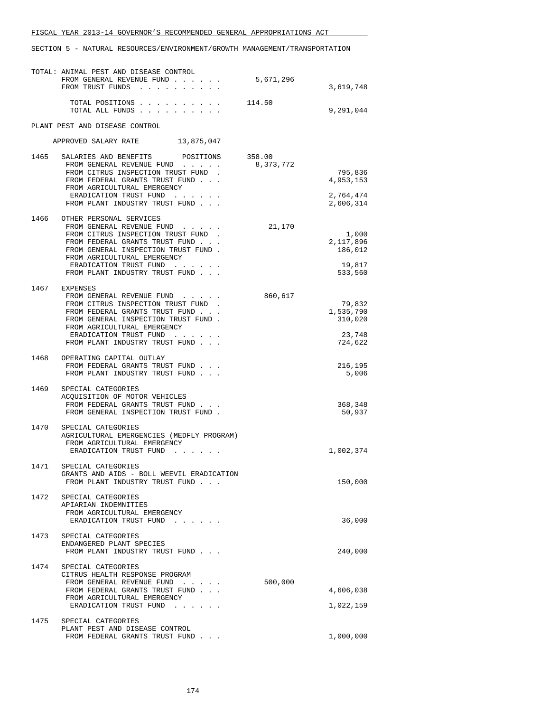|      | TOTAL: ANIMAL PEST AND DISEASE CONTROL<br>FROM GENERAL REVENUE FUND<br>FROM TRUST FUNDS                                                                                                         | 5,671,296           | 3,619,748                               |
|------|-------------------------------------------------------------------------------------------------------------------------------------------------------------------------------------------------|---------------------|-----------------------------------------|
|      | TOTAL POSITIONS 114.50<br>TOTAL ALL FUNDS                                                                                                                                                       |                     | 9,291,044                               |
|      | PLANT PEST AND DISEASE CONTROL                                                                                                                                                                  |                     |                                         |
|      | APPROVED SALARY RATE 13,875,047                                                                                                                                                                 |                     |                                         |
| 1465 | SALARIES AND BENEFITS<br>POSITIONS<br>FROM GENERAL REVENUE FUND<br>FROM CITRUS INSPECTION TRUST FUND<br>FROM FEDERAL GRANTS TRUST FUND<br>FROM AGRICULTURAL EMERGENCY<br>ERADICATION TRUST FUND | 358.00<br>8,373,772 | 795,836<br>4,953,153<br>2,764,474       |
| 1466 | FROM PLANT INDUSTRY TRUST FUND<br>OTHER PERSONAL SERVICES<br>FROM GENERAL REVENUE FUND                                                                                                          | 21,170              | 2,606,314                               |
|      | FROM CITRUS INSPECTION TRUST FUND.<br>FROM FEDERAL GRANTS TRUST FUND<br>FROM GENERAL INSPECTION TRUST FUND.<br>FROM AGRICULTURAL EMERGENCY<br>ERADICATION TRUST FUND                            |                     | 1,000<br>2,117,896<br>186,012<br>19,817 |
|      | FROM PLANT INDUSTRY TRUST FUND                                                                                                                                                                  |                     | 533,560                                 |
| 1467 | EXPENSES<br>FROM GENERAL REVENUE FUND<br>FROM CITRUS INSPECTION TRUST FUND.<br>FROM FEDERAL GRANTS TRUST FUND<br>FROM GENERAL INSPECTION TRUST FUND.<br>FROM AGRICULTURAL EMERGENCY             | 860,617             | 79,832<br>1,535,790<br>310,020          |
|      | ERADICATION TRUST FUND<br>FROM PLANT INDUSTRY TRUST FUND                                                                                                                                        |                     | 23,748<br>724,622                       |
| 1468 | OPERATING CAPITAL OUTLAY<br>FROM FEDERAL GRANTS TRUST FUND<br>FROM PLANT INDUSTRY TRUST FUND                                                                                                    |                     | 216,195<br>5,006                        |
| 1469 | SPECIAL CATEGORIES<br>ACQUISITION OF MOTOR VEHICLES<br>FROM FEDERAL GRANTS TRUST FUND<br>FROM GENERAL INSPECTION TRUST FUND.                                                                    |                     | 368,348<br>50,937                       |
| 1470 | SPECIAL CATEGORIES<br>AGRICULTURAL EMERGENCIES (MEDFLY PROGRAM)<br>FROM AGRICULTURAL EMERGENCY<br>ERADICATION TRUST FUND                                                                        |                     | 1,002,374                               |
| 1471 | SPECIAL CATEGORIES<br>GRANTS AND AIDS - BOLL WEEVIL ERADICATION<br>FROM PLANT INDUSTRY TRUST FUND                                                                                               |                     | 150,000                                 |
| 1472 | SPECIAL CATEGORIES<br>APIARIAN INDEMNITIES<br>FROM AGRICULTURAL EMERGENCY<br>ERADICATION TRUST FUND                                                                                             |                     | 36,000                                  |
| 1473 | SPECIAL CATEGORIES<br>ENDANGERED PLANT SPECIES<br>FROM PLANT INDUSTRY TRUST FUND                                                                                                                |                     | 240,000                                 |
| 1474 | SPECIAL CATEGORIES<br>CITRUS HEALTH RESPONSE PROGRAM<br>FROM GENERAL REVENUE FUND<br>FROM FEDERAL GRANTS TRUST FUND<br>FROM AGRICULTURAL EMERGENCY<br>ERADICATION TRUST FUND                    | 500,000             | 4,606,038<br>1,022,159                  |
| 1475 | SPECIAL CATEGORIES<br>PLANT PEST AND DISEASE CONTROL<br>FROM FEDERAL GRANTS TRUST FUND                                                                                                          |                     | 1,000,000                               |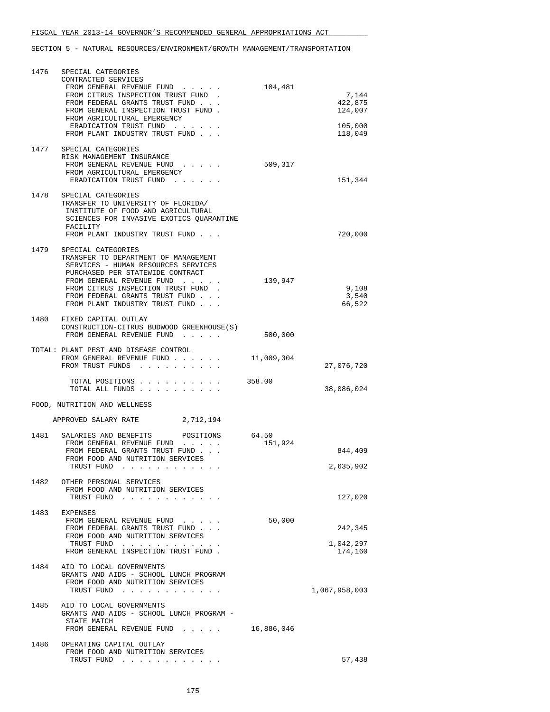| 1476 | SPECIAL CATEGORIES                                                                                                                                                                                                                                                          |                  |                             |
|------|-----------------------------------------------------------------------------------------------------------------------------------------------------------------------------------------------------------------------------------------------------------------------------|------------------|-----------------------------|
|      | CONTRACTED SERVICES<br>FROM GENERAL REVENUE FUND<br>FROM CITRUS INSPECTION TRUST FUND.<br>FROM FEDERAL GRANTS TRUST FUND<br>FROM GENERAL INSPECTION TRUST FUND.                                                                                                             | 104,481          | 7,144<br>422,875<br>124,007 |
|      | FROM AGRICULTURAL EMERGENCY<br>ERADICATION TRUST FUND<br>FROM PLANT INDUSTRY TRUST FUND                                                                                                                                                                                     |                  | 105,000<br>118,049          |
| 1477 | SPECIAL CATEGORIES<br>RISK MANAGEMENT INSURANCE<br>FROM GENERAL REVENUE FUND<br>$\cdots$<br>FROM AGRICULTURAL EMERGENCY<br>ERADICATION TRUST FUND                                                                                                                           | 509,317          | 151,344                     |
| 1478 | SPECIAL CATEGORIES<br>TRANSFER TO UNIVERSITY OF FLORIDA/<br>INSTITUTE OF FOOD AND AGRICULTURAL<br>SCIENCES FOR INVASIVE EXOTICS QUARANTINE<br>FACILITY<br>FROM PLANT INDUSTRY TRUST FUND                                                                                    |                  | 720,000                     |
| 1479 | SPECIAL CATEGORIES<br>TRANSFER TO DEPARTMENT OF MANAGEMENT<br>SERVICES - HUMAN RESOURCES SERVICES<br>PURCHASED PER STATEWIDE CONTRACT<br>FROM GENERAL REVENUE FUND<br>FROM CITRUS INSPECTION TRUST FUND<br>FROM FEDERAL GRANTS TRUST FUND<br>FROM PLANT INDUSTRY TRUST FUND | 139,947          | 9,108<br>3,540<br>66,522    |
|      | 1480 FIXED CAPITAL OUTLAY<br>CONSTRUCTION-CITRUS BUDWOOD GREENHOUSE(S)<br>FROM GENERAL REVENUE FUND                                                                                                                                                                         | 500,000          |                             |
|      | TOTAL: PLANT PEST AND DISEASE CONTROL<br>FROM GENERAL REVENUE FUND<br>FROM TRUST FUNDS                                                                                                                                                                                      | 11,009,304       | 27,076,720                  |
|      | TOTAL POSITIONS<br>TOTAL ALL FUNDS                                                                                                                                                                                                                                          | 358.00           | 38,086,024                  |
|      | FOOD, NUTRITION AND WELLNESS                                                                                                                                                                                                                                                |                  |                             |
|      | APPROVED SALARY RATE 2,712,194                                                                                                                                                                                                                                              |                  |                             |
| 1481 | SALARIES AND BENEFITS<br>POSITIONS<br>FROM GENERAL REVENUE FUND<br>FROM FEDERAL GRANTS TRUST FUND<br>FROM FOOD AND NUTRITION SERVICES<br>TRUST FUND                                                                                                                         | 64.50<br>151,924 | 844,409<br>2,635,902        |
|      | 1482 OTHER PERSONAL SERVICES<br>FROM FOOD AND NUTRITION SERVICES<br>TRUST FUND                                                                                                                                                                                              |                  | 127,020                     |
|      | 1483 EXPENSES<br>FROM GENERAL REVENUE FUND<br>FROM FEDERAL GRANTS TRUST FUND<br>FROM FOOD AND NUTRITION SERVICES                                                                                                                                                            | 50,000           | 242,345                     |
|      | TRUST FUND<br>FROM GENERAL INSPECTION TRUST FUND.                                                                                                                                                                                                                           |                  | 1,042,297<br>174,160        |
| 1484 | AID TO LOCAL GOVERNMENTS<br>GRANTS AND AIDS - SCHOOL LUNCH PROGRAM<br>FROM FOOD AND NUTRITION SERVICES<br>TRUST FUND                                                                                                                                                        |                  | 1,067,958,003               |
|      | 1485 AID TO LOCAL GOVERNMENTS<br>GRANTS AND AIDS - SCHOOL LUNCH PROGRAM -<br>STATE MATCH<br>FROM GENERAL REVENUE FUND 16,886,046                                                                                                                                            |                  |                             |
| 1486 | OPERATING CAPITAL OUTLAY<br>FROM FOOD AND NUTRITION SERVICES<br>TRUST FUND                                                                                                                                                                                                  |                  | 57,438                      |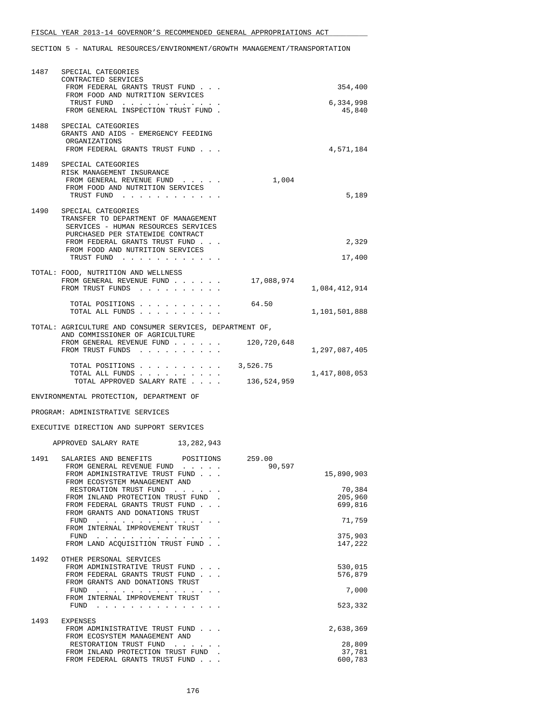| 1487 | SPECIAL CATEGORIES<br>CONTRACTED SERVICES<br>FROM FEDERAL GRANTS TRUST FUND                                                                                                                                               |                  | 354,400             |
|------|---------------------------------------------------------------------------------------------------------------------------------------------------------------------------------------------------------------------------|------------------|---------------------|
|      | FROM FOOD AND NUTRITION SERVICES<br>TRUST FUND<br>FROM GENERAL INSPECTION TRUST FUND.                                                                                                                                     |                  | 6,334,998<br>45,840 |
| 1488 | SPECIAL CATEGORIES<br>GRANTS AND AIDS - EMERGENCY FEEDING<br>ORGANIZATIONS<br>FROM FEDERAL GRANTS TRUST FUND                                                                                                              |                  | 4,571,184           |
|      | 1489 SPECIAL CATEGORIES<br>RISK MANAGEMENT INSURANCE<br>FROM GENERAL REVENUE FUND<br>FROM FOOD AND NUTRITION SERVICES<br>TRUST FUND                                                                                       | 1,004            | 5,189               |
| 1490 | SPECIAL CATEGORIES<br>TRANSFER TO DEPARTMENT OF MANAGEMENT<br>SERVICES - HUMAN RESOURCES SERVICES<br>PURCHASED PER STATEWIDE CONTRACT<br>FROM FEDERAL GRANTS TRUST FUND<br>FROM FOOD AND NUTRITION SERVICES<br>TRUST FUND |                  | 2,329<br>17,400     |
|      | TOTAL: FOOD, NUTRITION AND WELLNESS<br>FROM GENERAL REVENUE FUND<br>FROM TRUST FUNDS                                                                                                                                      | 17,088,974       | 1,084,412,914       |
|      | TOTAL POSITIONS<br>TOTAL ALL FUNDS                                                                                                                                                                                        | 64.50            | 1,101,501,888       |
|      | TOTAL: AGRICULTURE AND CONSUMER SERVICES, DEPARTMENT OF,                                                                                                                                                                  |                  |                     |
|      | AND COMMISSIONER OF AGRICULTURE<br>FROM GENERAL REVENUE FUND<br>FROM TRUST FUNDS                                                                                                                                          | 120,720,648      | 1,297,087,405       |
|      | TOTAL POSITIONS                                                                                                                                                                                                           | 3,526.75         |                     |
|      | TOTAL ALL FUNDS<br>TOTAL APPROVED SALARY RATE                                                                                                                                                                             | 136,524,959      | 1,417,808,053       |
|      | ENVIRONMENTAL PROTECTION, DEPARTMENT OF                                                                                                                                                                                   |                  |                     |
|      | PROGRAM: ADMINISTRATIVE SERVICES                                                                                                                                                                                          |                  |                     |
|      | EXECUTIVE DIRECTION AND SUPPORT SERVICES                                                                                                                                                                                  |                  |                     |
|      | APPROVED SALARY RATE 13, 282, 943                                                                                                                                                                                         |                  |                     |
| 1491 | SALARIES AND BENEFITS POSITIONS<br>FROM GENERAL REVENUE FUND                                                                                                                                                              | 259.00<br>90,597 |                     |
|      | FROM ADMINISTRATIVE TRUST FUND<br>FROM ECOSYSTEM MANAGEMENT AND                                                                                                                                                           |                  | 15,890,903          |
|      | RESTORATION TRUST FUND<br>FROM INLAND PROTECTION TRUST FUND.                                                                                                                                                              |                  | 70,384<br>205,960   |
|      | FROM FEDERAL GRANTS TRUST FUND<br>FROM GRANTS AND DONATIONS TRUST                                                                                                                                                         |                  | 699,816             |
|      | FUND<br>FROM INTERNAL IMPROVEMENT TRUST                                                                                                                                                                                   |                  | 71,759              |
|      | FUND<br>FROM LAND ACQUISITION TRUST FUND                                                                                                                                                                                  |                  | 375,903<br>147,222  |
| 1492 | OTHER PERSONAL SERVICES<br>FROM ADMINISTRATIVE TRUST FUND<br>FROM FEDERAL GRANTS TRUST FUND<br>FROM GRANTS AND DONATIONS TRUST                                                                                            |                  | 530,015<br>576,879  |
|      |                                                                                                                                                                                                                           |                  |                     |
|      | FUND                                                                                                                                                                                                                      |                  | 7,000               |
|      | FROM INTERNAL IMPROVEMENT TRUST                                                                                                                                                                                           |                  | 523,332             |
| 1493 | EXPENSES<br>FROM ADMINISTRATIVE TRUST FUND                                                                                                                                                                                |                  | 2,638,369           |
|      | FROM ECOSYSTEM MANAGEMENT AND<br>RESTORATION TRUST FUND<br>FROM INLAND PROTECTION TRUST FUND                                                                                                                              |                  | 28,809<br>37,781    |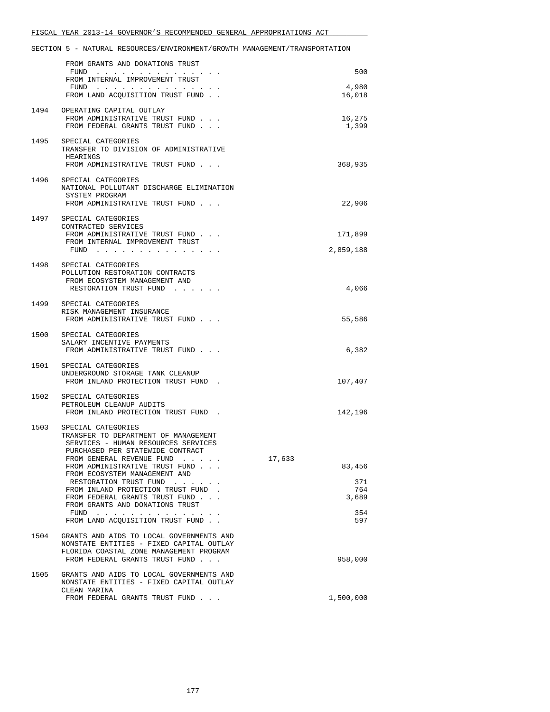|      | FROM GRANTS AND DONATIONS TRUST<br>FUND $\cdots$                                                                                                                                                                      |        | 500                  |
|------|-----------------------------------------------------------------------------------------------------------------------------------------------------------------------------------------------------------------------|--------|----------------------|
|      | FROM INTERNAL IMPROVEMENT TRUST<br>FUND $\cdots$                                                                                                                                                                      |        | 4,980                |
|      | FROM LAND ACQUISITION TRUST FUND.                                                                                                                                                                                     |        | 16,018               |
|      | 1494 OPERATING CAPITAL OUTLAY<br>FROM ADMINISTRATIVE TRUST FUND<br>FROM FEDERAL GRANTS TRUST FUND                                                                                                                     |        | 16,275<br>1,399      |
| 1495 | SPECIAL CATEGORIES<br>TRANSFER TO DIVISION OF ADMINISTRATIVE<br>HEARINGS<br>FROM ADMINISTRATIVE TRUST FUND                                                                                                            |        | 368,935              |
|      | 1496 SPECIAL CATEGORIES<br>NATIONAL POLLUTANT DISCHARGE ELIMINATION<br>SYSTEM PROGRAM<br>FROM ADMINISTRATIVE TRUST FUND                                                                                               |        | 22,906               |
| 1497 | SPECIAL CATEGORIES                                                                                                                                                                                                    |        |                      |
|      | CONTRACTED SERVICES<br>FROM ADMINISTRATIVE TRUST FUND<br>FROM INTERNAL IMPROVEMENT TRUST<br>FUND                                                                                                                      |        | 171,899<br>2,859,188 |
|      | 1498 SPECIAL CATEGORIES<br>POLLUTION RESTORATION CONTRACTS<br>FROM ECOSYSTEM MANAGEMENT AND<br>RESTORATION TRUST FUND                                                                                                 |        | 4,066                |
|      | 1499 SPECIAL CATEGORIES<br>RISK MANAGEMENT INSURANCE<br>FROM ADMINISTRATIVE TRUST FUND                                                                                                                                |        | 55,586               |
|      | 1500 SPECIAL CATEGORIES<br>SALARY INCENTIVE PAYMENTS<br>FROM ADMINISTRATIVE TRUST FUND                                                                                                                                |        | 6,382                |
| 1501 | SPECIAL CATEGORIES<br>UNDERGROUND STORAGE TANK CLEANUP<br>FROM INLAND PROTECTION TRUST FUND.                                                                                                                          |        | 107,407              |
| 1502 | SPECIAL CATEGORIES<br>PETROLEUM CLEANUP AUDITS<br>FROM INLAND PROTECTION TRUST FUND.                                                                                                                                  |        | 142,196              |
| 1503 | SPECIAL CATEGORIES<br>TRANSFER TO DEPARTMENT OF MANAGEMENT<br>SERVICES - HUMAN RESOURCES SERVICES<br>PURCHASED PER STATEWIDE CONTRACT<br>FROM GENERAL REVENUE FUND<br>the contract of the contract of the contract of | 17,633 |                      |
|      | FROM ADMINISTRATIVE TRUST FUND<br>FROM ECOSYSTEM MANAGEMENT AND                                                                                                                                                       |        | 83,456               |
|      | RESTORATION TRUST FUND<br>and the contract of the<br>FROM INLAND PROTECTION TRUST FUND<br>FROM FEDERAL GRANTS TRUST FUND<br>FROM GRANTS AND DONATIONS TRUST                                                           |        | 371<br>764<br>3,689  |
|      | $FUND$<br>$\sim$ $\sim$ $\sim$<br>FROM LAND ACQUISITION TRUST FUND                                                                                                                                                    |        | 354<br>597           |
| 1504 | GRANTS AND AIDS TO LOCAL GOVERNMENTS AND<br>NONSTATE ENTITIES - FIXED CAPITAL OUTLAY<br>FLORIDA COASTAL ZONE MANAGEMENT PROGRAM<br>FROM FEDERAL GRANTS TRUST FUND                                                     |        | 958,000              |
| 1505 | GRANTS AND AIDS TO LOCAL GOVERNMENTS AND<br>NONSTATE ENTITIES - FIXED CAPITAL OUTLAY<br>CLEAN MARINA                                                                                                                  |        |                      |
|      | FROM FEDERAL GRANTS TRUST FUND                                                                                                                                                                                        |        | 1,500,000            |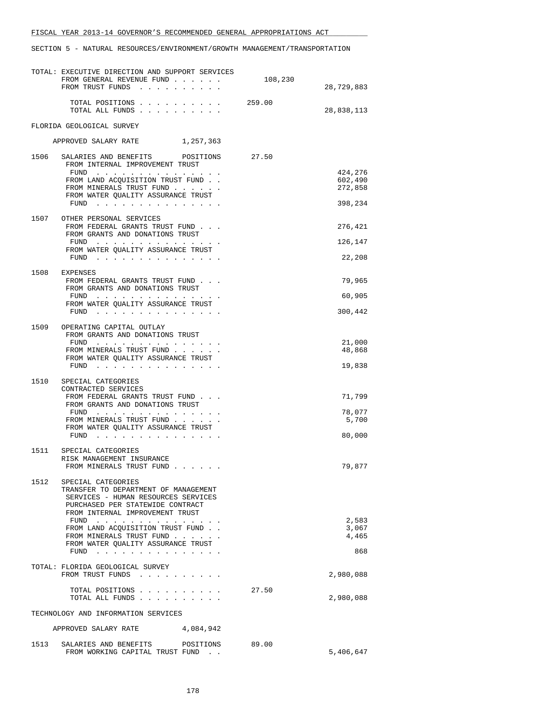|      | TOTAL: EXECUTIVE DIRECTION AND SUPPORT SERVICES<br>FROM GENERAL REVENUE FUND<br>FROM TRUST FUNDS                                                                                                                                                                                                                                                                                                                                                                                                      | 108,230 | 28,729,883                    |
|------|-------------------------------------------------------------------------------------------------------------------------------------------------------------------------------------------------------------------------------------------------------------------------------------------------------------------------------------------------------------------------------------------------------------------------------------------------------------------------------------------------------|---------|-------------------------------|
|      |                                                                                                                                                                                                                                                                                                                                                                                                                                                                                                       |         |                               |
|      | TOTAL POSITIONS<br>TOTAL ALL FUNDS                                                                                                                                                                                                                                                                                                                                                                                                                                                                    | 259.00  | 28,838,113                    |
|      | FLORIDA GEOLOGICAL SURVEY                                                                                                                                                                                                                                                                                                                                                                                                                                                                             |         |                               |
|      | APPROVED SALARY RATE<br>1,257,363                                                                                                                                                                                                                                                                                                                                                                                                                                                                     |         |                               |
| 1506 | SALARIES AND BENEFITS POSITIONS<br>FROM INTERNAL IMPROVEMENT TRUST                                                                                                                                                                                                                                                                                                                                                                                                                                    | 27.50   |                               |
|      | FUND $\cdots$ , $\cdots$ , $\cdots$ , $\cdots$<br>FROM LAND ACQUISITION TRUST FUND<br>FROM MINERALS TRUST FUND                                                                                                                                                                                                                                                                                                                                                                                        |         | 424,276<br>602,490<br>272,858 |
|      | FROM WATER QUALITY ASSURANCE TRUST<br>FUND                                                                                                                                                                                                                                                                                                                                                                                                                                                            |         | 398,234                       |
| 1507 | OTHER PERSONAL SERVICES<br>FROM FEDERAL GRANTS TRUST FUND                                                                                                                                                                                                                                                                                                                                                                                                                                             |         | 276,421                       |
|      | FROM GRANTS AND DONATIONS TRUST<br>FUND $\cdots$                                                                                                                                                                                                                                                                                                                                                                                                                                                      |         | 126,147                       |
|      | FROM WATER QUALITY ASSURANCE TRUST<br>FUND                                                                                                                                                                                                                                                                                                                                                                                                                                                            |         | 22,208                        |
|      |                                                                                                                                                                                                                                                                                                                                                                                                                                                                                                       |         |                               |
| 1508 | EXPENSES<br>FROM FEDERAL GRANTS TRUST FUND<br>FROM GRANTS AND DONATIONS TRUST                                                                                                                                                                                                                                                                                                                                                                                                                         |         | 79,965                        |
|      | $FUND$<br>FROM WATER QUALITY ASSURANCE TRUST                                                                                                                                                                                                                                                                                                                                                                                                                                                          |         | 60,905                        |
|      | FUND $\cdots$                                                                                                                                                                                                                                                                                                                                                                                                                                                                                         |         | 300,442                       |
| 1509 | OPERATING CAPITAL OUTLAY<br>FROM GRANTS AND DONATIONS TRUST                                                                                                                                                                                                                                                                                                                                                                                                                                           |         |                               |
|      | FUND<br>FROM MINERALS TRUST FUND                                                                                                                                                                                                                                                                                                                                                                                                                                                                      |         | 21,000<br>48,868              |
|      | FROM WATER QUALITY ASSURANCE TRUST<br>FUND $\cdots$                                                                                                                                                                                                                                                                                                                                                                                                                                                   |         | 19,838                        |
| 1510 | SPECIAL CATEGORIES                                                                                                                                                                                                                                                                                                                                                                                                                                                                                    |         |                               |
|      | CONTRACTED SERVICES<br>FROM FEDERAL GRANTS TRUST FUND                                                                                                                                                                                                                                                                                                                                                                                                                                                 |         | 71,799                        |
|      | FROM GRANTS AND DONATIONS TRUST<br>FUND<br>$\mathbf{1}_{\mathbf{1}}\left( \mathbf{1}_{\mathbf{1}}\left( \mathbf{1}_{\mathbf{1}}\left( \mathbf{1}_{\mathbf{1}}\left( \mathbf{1}_{\mathbf{1}}\left( \mathbf{1}_{\mathbf{1}}\left( \mathbf{1}_{\mathbf{1}}\left( \mathbf{1}_{\mathbf{1}}\left( \mathbf{1}_{\mathbf{1}}\left( \mathbf{1}_{\mathbf{1}}\left( \mathbf{1}_{\mathbf{1}}\left( \mathbf{1}_{\mathbf{1}}\left( \mathbf{1}_{\mathbf{1}}\left( \mathbf{1}_{\mathbf{1}}\left( \mathbf{1}_{\mathbf{$ |         | 78,077                        |
|      | FROM MINERALS TRUST FUND<br>FROM WATER QUALITY ASSURANCE TRUST                                                                                                                                                                                                                                                                                                                                                                                                                                        |         | 5,700                         |
|      | FUND                                                                                                                                                                                                                                                                                                                                                                                                                                                                                                  |         | 80,000                        |
| 1511 | SPECIAL CATEGORIES<br>RISK MANAGEMENT INSURANCE                                                                                                                                                                                                                                                                                                                                                                                                                                                       |         |                               |
|      | FROM MINERALS TRUST FUND                                                                                                                                                                                                                                                                                                                                                                                                                                                                              |         | 79,877                        |
| 1512 | SPECIAL CATEGORIES                                                                                                                                                                                                                                                                                                                                                                                                                                                                                    |         |                               |
|      | TRANSFER TO DEPARTMENT OF MANAGEMENT<br>SERVICES - HUMAN RESOURCES SERVICES<br>PURCHASED PER STATEWIDE CONTRACT                                                                                                                                                                                                                                                                                                                                                                                       |         |                               |
|      | FROM INTERNAL IMPROVEMENT TRUST<br>FUND                                                                                                                                                                                                                                                                                                                                                                                                                                                               |         | 2,583                         |
|      | FROM LAND ACQUISITION TRUST FUND.<br>FROM MINERALS TRUST FUND                                                                                                                                                                                                                                                                                                                                                                                                                                         |         | 3,067<br>4,465                |
|      | FROM WATER QUALITY ASSURANCE TRUST<br>$FUND$                                                                                                                                                                                                                                                                                                                                                                                                                                                          |         | 868                           |
|      | TOTAL: FLORIDA GEOLOGICAL SURVEY<br>FROM TRUST FUNDS                                                                                                                                                                                                                                                                                                                                                                                                                                                  |         | 2,980,088                     |
|      | TOTAL POSITIONS<br>TOTAL ALL FUNDS                                                                                                                                                                                                                                                                                                                                                                                                                                                                    | 27.50   | 2,980,088                     |
|      | TECHNOLOGY AND INFORMATION SERVICES                                                                                                                                                                                                                                                                                                                                                                                                                                                                   |         |                               |
|      | 4,084,942<br>APPROVED SALARY RATE                                                                                                                                                                                                                                                                                                                                                                                                                                                                     |         |                               |
| 1513 | SALARIES AND BENEFITS<br>POSITIONS<br>FROM WORKING CAPITAL TRUST FUND.                                                                                                                                                                                                                                                                                                                                                                                                                                | 89.00   | 5,406,647                     |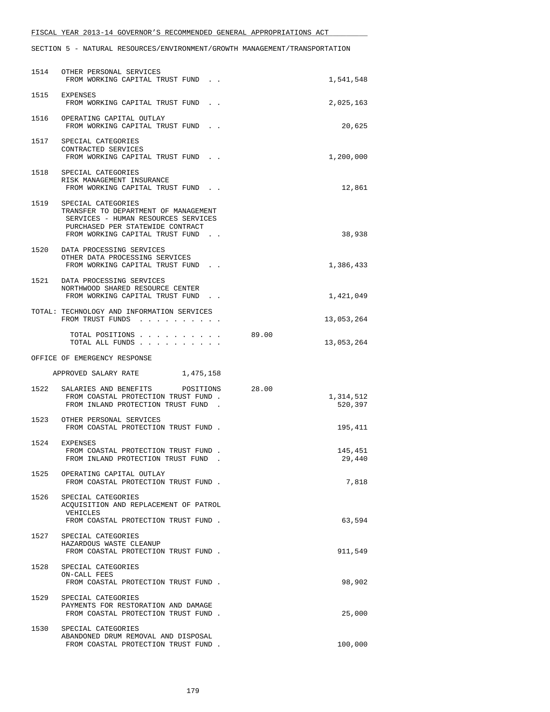|      | 1514 OTHER PERSONAL SERVICES<br>FROM WORKING CAPITAL TRUST FUND.                                                                                                          | 1,541,548                     |
|------|---------------------------------------------------------------------------------------------------------------------------------------------------------------------------|-------------------------------|
|      | 1515 EXPENSES<br>FROM WORKING CAPITAL TRUST FUND.                                                                                                                         | 2,025,163                     |
|      | 1516 OPERATING CAPITAL OUTLAY<br>FROM WORKING CAPITAL TRUST FUND.                                                                                                         | 20,625                        |
|      | 1517 SPECIAL CATEGORIES<br>CONTRACTED SERVICES<br>FROM WORKING CAPITAL TRUST FUND.                                                                                        | 1,200,000                     |
|      | 1518 SPECIAL CATEGORIES<br>RISK MANAGEMENT INSURANCE<br>FROM WORKING CAPITAL TRUST FUND.                                                                                  | 12,861                        |
| 1519 | SPECIAL CATEGORIES<br>TRANSFER TO DEPARTMENT OF MANAGEMENT<br>SERVICES - HUMAN RESOURCES SERVICES<br>PURCHASED PER STATEWIDE CONTRACT<br>FROM WORKING CAPITAL TRUST FUND. | 38,938                        |
|      | 1520 DATA PROCESSING SERVICES<br>OTHER DATA PROCESSING SERVICES<br>FROM WORKING CAPITAL TRUST FUND.                                                                       | 1,386,433                     |
|      | 1521 DATA PROCESSING SERVICES<br>NORTHWOOD SHARED RESOURCE CENTER<br>FROM WORKING CAPITAL TRUST FUND.                                                                     | 1,421,049                     |
|      | TOTAL: TECHNOLOGY AND INFORMATION SERVICES<br>FROM TRUST FUNDS                                                                                                            | 13,053,264                    |
|      | TOTAL POSITIONS<br>TOTAL ALL FUNDS                                                                                                                                        | 89.00<br>13,053,264           |
|      | OFFICE OF EMERGENCY RESPONSE                                                                                                                                              |                               |
|      |                                                                                                                                                                           |                               |
|      | APPROVED SALARY RATE 1,475,158                                                                                                                                            |                               |
| 1522 | SALARIES AND BENEFITS POSITIONS<br>FROM COASTAL PROTECTION TRUST FUND.<br>FROM INLAND PROTECTION TRUST FUND.                                                              | 28.00<br>1,314,512<br>520,397 |
|      | 1523 OTHER PERSONAL SERVICES<br>FROM COASTAL PROTECTION TRUST FUND.                                                                                                       | 195,411                       |
|      | 1524 EXPENSES<br>FROM COASTAL PROTECTION TRUST FUND.<br>FROM INLAND PROTECTION TRUST FUND.                                                                                | 145,451<br>29,440             |
| 1525 | OPERATING CAPITAL OUTLAY<br>FROM COASTAL PROTECTION TRUST FUND.                                                                                                           | 7,818                         |
| 1526 | SPECIAL CATEGORIES<br>ACQUISITION AND REPLACEMENT OF PATROL<br>VEHICLES<br>FROM COASTAL PROTECTION TRUST FUND.                                                            | 63,594                        |
|      | 1527 SPECIAL CATEGORIES<br>HAZARDOUS WASTE CLEANUP<br>FROM COASTAL PROTECTION TRUST FUND.                                                                                 | 911,549                       |
| 1528 | SPECIAL CATEGORIES<br>ON-CALL FEES<br>FROM COASTAL PROTECTION TRUST FUND.                                                                                                 | 98,902                        |
| 1529 | SPECIAL CATEGORIES<br>PAYMENTS FOR RESTORATION AND DAMAGE<br>FROM COASTAL PROTECTION TRUST FUND.                                                                          | 25,000                        |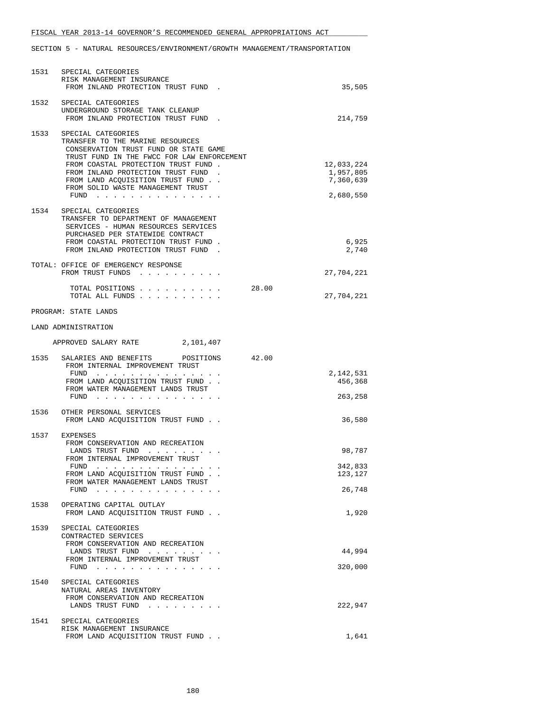| 1531 | SPECIAL CATEGORIES<br>RISK MANAGEMENT INSURANCE<br>FROM INLAND PROTECTION TRUST FUND.                                                                                                                                                                                                               | 35,505                                            |
|------|-----------------------------------------------------------------------------------------------------------------------------------------------------------------------------------------------------------------------------------------------------------------------------------------------------|---------------------------------------------------|
|      | 1532 SPECIAL CATEGORIES<br>UNDERGROUND STORAGE TANK CLEANUP<br>FROM INLAND PROTECTION TRUST FUND.                                                                                                                                                                                                   | 214,759                                           |
| 1533 | SPECIAL CATEGORIES<br>TRANSFER TO THE MARINE RESOURCES<br>CONSERVATION TRUST FUND OR STATE GAME<br>TRUST FUND IN THE FWCC FOR LAW ENFORCEMENT<br>FROM COASTAL PROTECTION TRUST FUND.<br>FROM INLAND PROTECTION TRUST FUND.<br>FROM LAND ACQUISITION TRUST FUND<br>FROM SOLID WASTE MANAGEMENT TRUST | 12,033,224<br>1,957,805<br>7,360,639<br>2,680,550 |
| 1534 | SPECIAL CATEGORIES<br>TRANSFER TO DEPARTMENT OF MANAGEMENT<br>SERVICES - HUMAN RESOURCES SERVICES<br>PURCHASED PER STATEWIDE CONTRACT<br>FROM COASTAL PROTECTION TRUST FUND.<br>FROM INLAND PROTECTION TRUST FUND.                                                                                  | 6,925<br>2,740                                    |
|      | TOTAL: OFFICE OF EMERGENCY RESPONSE<br>FROM TRUST FUNDS                                                                                                                                                                                                                                             | 27,704,221                                        |
|      | TOTAL POSITIONS<br>TOTAL ALL FUNDS                                                                                                                                                                                                                                                                  | 28.00<br>27,704,221                               |
|      | PROGRAM: STATE LANDS                                                                                                                                                                                                                                                                                |                                                   |
|      | LAND ADMINISTRATION                                                                                                                                                                                                                                                                                 |                                                   |
|      | APPROVED SALARY RATE 2,101,407                                                                                                                                                                                                                                                                      |                                                   |
| 1535 | SALARIES AND BENEFITS<br>POSITIONS<br>FROM INTERNAL IMPROVEMENT TRUST                                                                                                                                                                                                                               | 42.00                                             |
|      | FUND $\cdots$<br>FROM LAND ACQUISITION TRUST FUND<br>FROM WATER MANAGEMENT LANDS TRUST<br>FUND                                                                                                                                                                                                      | 2,142,531<br>456,368<br>263,258                   |
| 1536 | OTHER PERSONAL SERVICES<br>FROM LAND ACOUISITION TRUST FUND                                                                                                                                                                                                                                         | 36,580                                            |
|      | 1537 EXPENSES<br>FROM CONSERVATION AND RECREATION<br>LANDS TRUST FUND<br>FROM INTERNAL IMPROVEMENT TRUST<br>FUND<br>FROM LAND ACQUISITION TRUST FUND<br>FROM WATER MANAGEMENT LANDS TRUST<br>FUND                                                                                                   | 98,787<br>342,833<br>123,127<br>26,748            |
| 1538 | OPERATING CAPITAL OUTLAY<br>FROM LAND ACQUISITION TRUST FUND.                                                                                                                                                                                                                                       | 1,920                                             |
| 1539 | SPECIAL CATEGORIES<br>CONTRACTED SERVICES<br>FROM CONSERVATION AND RECREATION<br>LANDS TRUST FUND<br>FROM INTERNAL IMPROVEMENT TRUST<br>FUND                                                                                                                                                        | 44,994<br>320,000                                 |
| 1540 | SPECIAL CATEGORIES<br>NATURAL AREAS INVENTORY<br>FROM CONSERVATION AND RECREATION<br>LANDS TRUST FUND                                                                                                                                                                                               | 222,947                                           |
| 1541 | SPECIAL CATEGORIES<br>RISK MANAGEMENT INSURANCE<br>FROM LAND ACQUISITION TRUST FUND                                                                                                                                                                                                                 | 1,641                                             |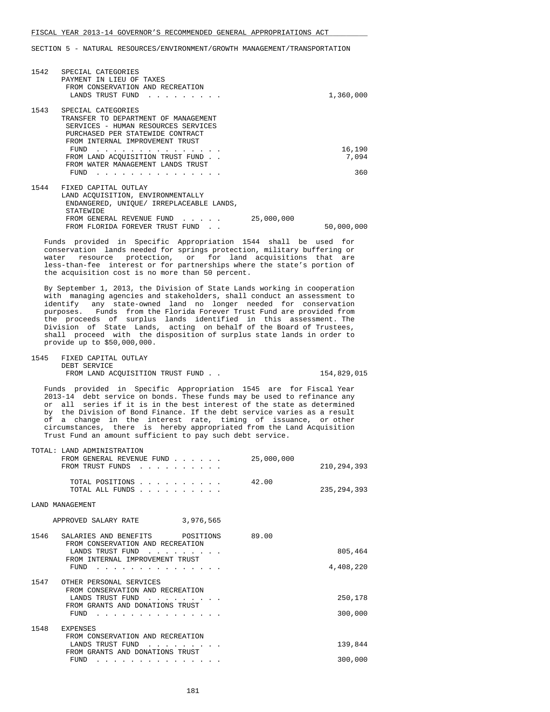SECTION 5 - NATURAL RESOURCES/ENVIRONMENT/GROWTH MANAGEMENT/TRANSPORTATION

| 1542 | SPECIAL CATEGORIES<br>PAYMENT IN LIEU OF TAXES<br>FROM CONSERVATION AND RECREATION<br>LANDS TRUST FUND |            | 1,360,000  |
|------|--------------------------------------------------------------------------------------------------------|------------|------------|
| 1543 | SPECIAL CATEGORIES                                                                                     |            |            |
|      | TRANSFER TO DEPARTMENT OF MANAGEMENT                                                                   |            |            |
|      | SERVICES - HUMAN RESOURCES SERVICES                                                                    |            |            |
|      | PURCHASED PER STATEWIDE CONTRACT                                                                       |            |            |
|      | FROM INTERNAL IMPROVEMENT TRUST                                                                        |            |            |
|      | <b>FIIND</b>                                                                                           |            | 16,190     |
|      | FROM LAND ACOUISITION TRUST FUND.                                                                      |            | 7,094      |
|      | FROM WATER MANAGEMENT LANDS TRUST                                                                      |            |            |
|      | FUND                                                                                                   |            | 360        |
| 1544 | FIXED CAPITAL OUTLAY                                                                                   |            |            |
|      | LAND ACOUISITION, ENVIRONMENTALLY                                                                      |            |            |
|      | ENDANGERED, UNIOUE/ IRREPLACEABLE LANDS,                                                               |            |            |
|      | <b>STATEWIDE</b>                                                                                       |            |            |
|      | FROM GENERAL REVENUE FUND                                                                              | 25,000,000 |            |
|      | FROM FLORIDA FOREVER TRUST FUND                                                                        |            | 50,000,000 |

 Funds provided in Specific Appropriation 1544 shall be used for conservation lands needed for springs protection, military buffering or water resource protection, or for land acquisitions that are less-than-fee interest or for partnerships where the state's portion of the acquisition cost is no more than 50 percent.

 By September 1, 2013, the Division of State Lands working in cooperation with managing agencies and stakeholders, shall conduct an assessment to identify any state-owned land no longer needed for conservation purposes. Funds from the Florida Forever Trust Fund are provided from the proceeds of surplus lands identified in this assessment. The Division of State Lands, acting on behalf of the Board of Trustees, shall proceed with the disposition of surplus state lands in order to provide up to \$50,000,000.

| 1545 | FIXED CAPITAL OUTLAY              |             |
|------|-----------------------------------|-------------|
|      | DEBT SERVICE                      |             |
|      | FROM LAND ACOUISITION TRUST FUND. | 154,829,015 |

 Funds provided in Specific Appropriation 1545 are for Fiscal Year 2013-14 debt service on bonds. These funds may be used to refinance any or all series if it is in the best interest of the state as determined by the Division of Bond Finance. If the debt service varies as a result of a change in the interest rate, timing of issuance, or other circumstances, there is hereby appropriated from the Land Acquisition Trust Fund an amount sufficient to pay such debt service.

| TOTAL: LAND ADMINISTRATION                 |            |               |
|--------------------------------------------|------------|---------------|
| FROM GENERAL REVENUE FUND                  | 25,000,000 |               |
| FROM TRUST FUNDS                           |            | 210, 294, 393 |
|                                            |            |               |
| TOTAL POSITIONS                            | 42.00      |               |
| TOTAL ALL FUNDS                            |            | 235, 294, 393 |
|                                            |            |               |
| <b>LAND MANAGEMENT</b>                     |            |               |
|                                            |            |               |
| 3,976,565<br>APPROVED SALARY RATE          |            |               |
| 1546<br>SALARIES AND BENEFITS<br>POSITIONS | 89.00      |               |
| FROM CONSERVATION AND RECREATION           |            |               |
| LANDS TRUST FUND                           |            | 805,464       |
| FROM INTERNAL IMPROVEMENT TRUST            |            |               |
| FUND                                       |            | 4,408,220     |
|                                            |            |               |
| 1547<br>OTHER PERSONAL SERVICES            |            |               |
| FROM CONSERVATION AND RECREATION           |            |               |
| LANDS TRUST FUND                           |            | 250,178       |
| FROM GRANTS AND DONATIONS TRUST            |            |               |
| FUND                                       |            | 300,000       |
| 1548<br><b>EXPENSES</b>                    |            |               |
| FROM CONSERVATION AND RECREATION           |            |               |
| LANDS TRUST FUND                           |            | 139,844       |
| FROM GRANTS AND DONATIONS TRUST            |            |               |
| FUND                                       |            | 300,000       |
|                                            |            |               |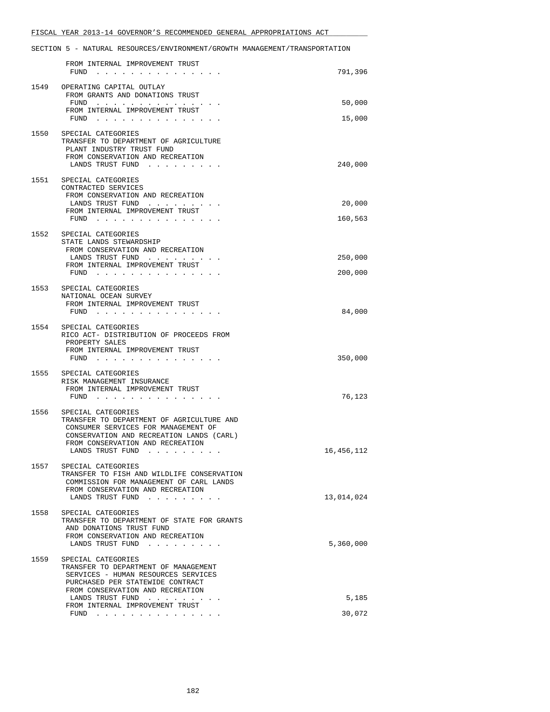|      | FROM INTERNAL IMPROVEMENT TRUST                                                                                                                                                                                                               |                    |
|------|-----------------------------------------------------------------------------------------------------------------------------------------------------------------------------------------------------------------------------------------------|--------------------|
|      | FUND<br>the contract of the contract of the contract of the contract of the contract of the contract of the contract of                                                                                                                       | 791,396            |
| 1549 | OPERATING CAPITAL OUTLAY<br>FROM GRANTS AND DONATIONS TRUST                                                                                                                                                                                   |                    |
|      | FUND                                                                                                                                                                                                                                          | 50,000             |
|      | FROM INTERNAL IMPROVEMENT TRUST<br>FUND $\cdots$ $\cdots$ $\cdots$ $\cdots$ $\cdots$ $\cdots$ $\cdots$                                                                                                                                        | 15,000             |
| 1550 | SPECIAL CATEGORIES<br>TRANSFER TO DEPARTMENT OF AGRICULTURE<br>PLANT INDUSTRY TRUST FUND<br>FROM CONSERVATION AND RECREATION                                                                                                                  |                    |
|      | LANDS TRUST FUND                                                                                                                                                                                                                              | 240,000            |
|      | 1551 SPECIAL CATEGORIES<br>CONTRACTED SERVICES<br>FROM CONSERVATION AND RECREATION<br>LANDS TRUST FUND<br>FROM INTERNAL IMPROVEMENT TRUST<br>FUND                                                                                             | 20,000<br>160,563  |
|      | 1552 SPECIAL CATEGORIES<br>STATE LANDS STEWARDSHIP<br>FROM CONSERVATION AND RECREATION<br>LANDS TRUST FUND<br>FROM INTERNAL IMPROVEMENT TRUST<br>${\tt FUND} \quad . \quad . \quad . \quad . \quad . \quad . \quad . \quad . \quad . \quad .$ | 250,000<br>200,000 |
|      | 1553 SPECIAL CATEGORIES                                                                                                                                                                                                                       |                    |
|      | NATIONAL OCEAN SURVEY<br>FROM INTERNAL IMPROVEMENT TRUST<br>$FUND$                                                                                                                                                                            | 84,000             |
|      | 1554 SPECIAL CATEGORIES<br>RICO ACT- DISTRIBUTION OF PROCEEDS FROM<br>PROPERTY SALES<br>FROM INTERNAL IMPROVEMENT TRUST<br>$FUND$                                                                                                             | 350,000            |
| 1555 | SPECIAL CATEGORIES<br>RISK MANAGEMENT INSURANCE<br>FROM INTERNAL IMPROVEMENT TRUST<br>$FUND$                                                                                                                                                  | 76,123             |
| 1556 | SPECIAL CATEGORIES<br>TRANSFER TO DEPARTMENT OF AGRICULTURE AND<br>CONSUMER SERVICES FOR MANAGEMENT OF<br>CONSERVATION AND RECREATION LANDS (CARL)<br>FROM CONSERVATION AND RECREATION<br>LANDS TRUST FUND                                    | 16,456,112         |
| 1557 | SPECIAL CATEGORIES<br>TRANSFER TO FISH AND WILDLIFE CONSERVATION<br>COMMISSION FOR MANAGEMENT OF CARL LANDS<br>FROM CONSERVATION AND RECREATION<br>LANDS TRUST FUND                                                                           | 13,014,024         |
| 1558 | SPECIAL CATEGORIES<br>TRANSFER TO DEPARTMENT OF STATE FOR GRANTS<br>AND DONATIONS TRUST FUND<br>FROM CONSERVATION AND RECREATION<br>LANDS TRUST FUND                                                                                          | 5,360,000          |
| 1559 | SPECIAL CATEGORIES<br>TRANSFER TO DEPARTMENT OF MANAGEMENT<br>SERVICES - HUMAN RESOURCES SERVICES<br>PURCHASED PER STATEWIDE CONTRACT<br>FROM CONSERVATION AND RECREATION<br>LANDS TRUST FUND<br>FROM INTERNAL IMPROVEMENT TRUST              | 5,185<br>30,072    |
|      | FUND $\ldots$ $\ldots$ $\ldots$ $\ldots$ $\ldots$ $\ldots$ $\ldots$                                                                                                                                                                           |                    |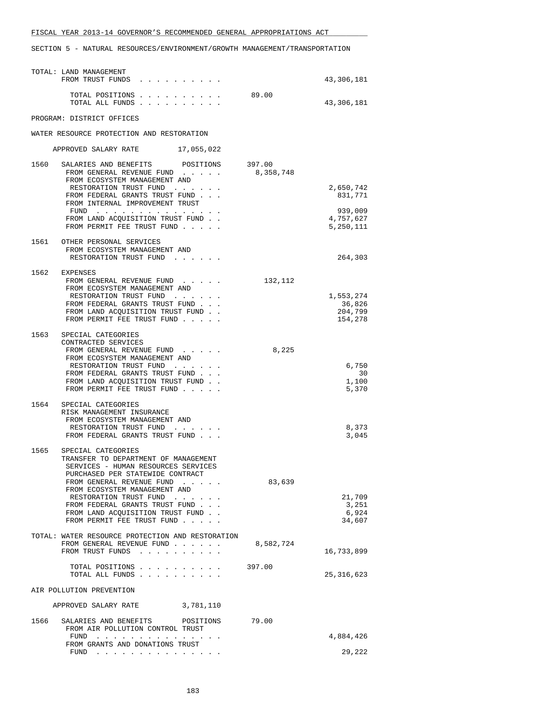| TOTAL: LAND MANAGEMENT<br>FROM TRUST FUNDS                                                                                                                                                                                                                                                                                                 |           | 43,306,181                                |
|--------------------------------------------------------------------------------------------------------------------------------------------------------------------------------------------------------------------------------------------------------------------------------------------------------------------------------------------|-----------|-------------------------------------------|
| TOTAL POSITIONS<br>TOTAL ALL FUNDS                                                                                                                                                                                                                                                                                                         | 89.00     | 43,306,181                                |
| PROGRAM: DISTRICT OFFICES                                                                                                                                                                                                                                                                                                                  |           |                                           |
| WATER RESOURCE PROTECTION AND RESTORATION                                                                                                                                                                                                                                                                                                  |           |                                           |
| APPROVED SALARY RATE 17,055,022                                                                                                                                                                                                                                                                                                            |           |                                           |
| 1560 SALARIES AND BENEFITS POSITIONS 397.00<br>FROM GENERAL REVENUE FUND<br>FROM ECOSYSTEM MANAGEMENT AND<br>RESTORATION TRUST FUND<br>FROM FEDERAL GRANTS TRUST FUND<br>FROM INTERNAL IMPROVEMENT TRUST<br>FUND $\cdots$                                                                                                                  | 8,358,748 | 2,650,742<br>831,771<br>939,009           |
| FROM LAND ACQUISITION TRUST FUND.<br>FROM PERMIT FEE TRUST FUND                                                                                                                                                                                                                                                                            |           | 4,757,627<br>5,250,111                    |
| 1561 OTHER PERSONAL SERVICES<br>FROM ECOSYSTEM MANAGEMENT AND<br>RESTORATION TRUST FUND                                                                                                                                                                                                                                                    |           | 264,303                                   |
| 1562 EXPENSES<br>FROM GENERAL REVENUE FUND<br>FROM ECOSYSTEM MANAGEMENT AND<br>RESTORATION TRUST FUND<br>FROM FEDERAL GRANTS TRUST FUND<br>FROM LAND ACQUISITION TRUST FUND<br>FROM PERMIT FEE TRUST FUND                                                                                                                                  | 132,112   | 1,553,274<br>36,826<br>204,799<br>154,278 |
| 1563<br>SPECIAL CATEGORIES<br>CONTRACTED SERVICES<br>FROM GENERAL REVENUE FUND<br>FROM ECOSYSTEM MANAGEMENT AND<br>RESTORATION TRUST FUND<br>FROM FEDERAL GRANTS TRUST FUND<br>FROM LAND ACQUISITION TRUST FUND.<br>FROM PERMIT FEE TRUST FUND                                                                                             | 8,225     | 6,750<br>30<br>1,100<br>5,370             |
| 1564<br>SPECIAL CATEGORIES<br>RISK MANAGEMENT INSURANCE<br>FROM ECOSYSTEM MANAGEMENT AND<br>RESTORATION TRUST FUND<br>FROM FEDERAL GRANTS TRUST FUND                                                                                                                                                                                       |           | 8,373<br>3,045                            |
| 1565<br>SPECIAL CATEGORIES<br>TRANSFER TO DEPARTMENT OF MANAGEMENT<br>SERVICES - HUMAN RESOURCES SERVICES<br>PURCHASED PER STATEWIDE CONTRACT<br>FROM GENERAL REVENUE FUND<br>FROM ECOSYSTEM MANAGEMENT AND<br>RESTORATION TRUST FUND<br>FROM FEDERAL GRANTS TRUST FUND<br>FROM LAND ACQUISITION TRUST FUND.<br>FROM PERMIT FEE TRUST FUND | 83,639    | 21,709<br>3,251<br>6,924<br>34,607        |
| TOTAL: WATER RESOURCE PROTECTION AND RESTORATION<br>FROM GENERAL REVENUE FUND<br>FROM TRUST FUNDS                                                                                                                                                                                                                                          | 8,582,724 | 16,733,899                                |
| TOTAL POSITIONS<br>TOTAL ALL FUNDS                                                                                                                                                                                                                                                                                                         | 397.00    | 25, 316, 623                              |
| AIR POLLUTION PREVENTION                                                                                                                                                                                                                                                                                                                   |           |                                           |
| APPROVED SALARY RATE<br>3,781,110                                                                                                                                                                                                                                                                                                          |           |                                           |
| 1566<br>SALARIES AND BENEFITS<br>POSITIONS<br>FROM AIR POLLUTION CONTROL TRUST<br>FUND<br>. The second contract is a second contract of the second contract of the $\alpha$                                                                                                                                                                | 79.00     | 4,884,426                                 |
| FROM GRANTS AND DONATIONS TRUST<br>$FUND$                                                                                                                                                                                                                                                                                                  |           | 29,222                                    |
|                                                                                                                                                                                                                                                                                                                                            |           |                                           |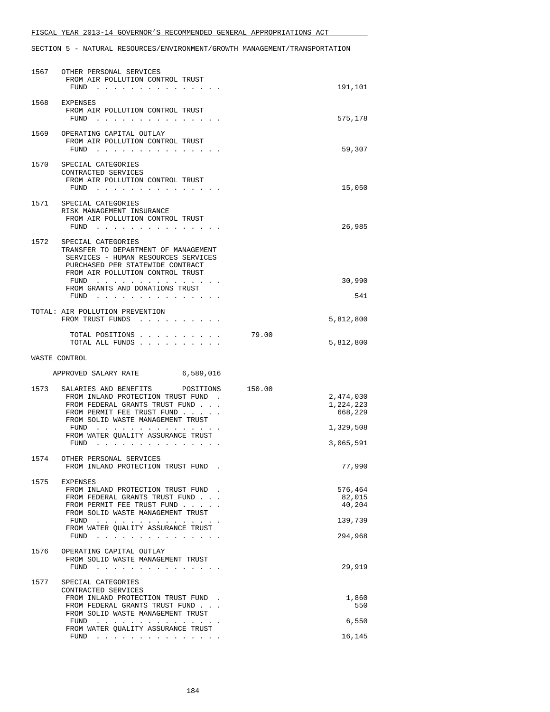| 1567 | OTHER PERSONAL SERVICES<br>FROM AIR POLLUTION CONTROL TRUST<br>FUND                                                                                                                                                                                                                                                                                                                                                                                  | 191,101                                                               |
|------|------------------------------------------------------------------------------------------------------------------------------------------------------------------------------------------------------------------------------------------------------------------------------------------------------------------------------------------------------------------------------------------------------------------------------------------------------|-----------------------------------------------------------------------|
| 1568 | EXPENSES<br>FROM AIR POLLUTION CONTROL TRUST<br>FUND<br>the contract of the contract of the contract of the contract of the contract of the contract of the contract of the contract of the contract of the contract of the contract of the contract of the contract of the contract o                                                                                                                                                               | 575,178                                                               |
| 1569 | OPERATING CAPITAL OUTLAY<br>FROM AIR POLLUTION CONTROL TRUST<br>$FUND$                                                                                                                                                                                                                                                                                                                                                                               | 59,307                                                                |
| 1570 | SPECIAL CATEGORIES<br>CONTRACTED SERVICES<br>FROM AIR POLLUTION CONTROL TRUST<br>FUND $\cdots$                                                                                                                                                                                                                                                                                                                                                       | 15,050                                                                |
| 1571 | SPECIAL CATEGORIES<br>RISK MANAGEMENT INSURANCE<br>FROM AIR POLLUTION CONTROL TRUST<br>FUND<br>.                                                                                                                                                                                                                                                                                                                                                     | 26,985                                                                |
| 1572 | SPECIAL CATEGORIES<br>TRANSFER TO DEPARTMENT OF MANAGEMENT<br>SERVICES - HUMAN RESOURCES SERVICES<br>PURCHASED PER STATEWIDE CONTRACT<br>FROM AIR POLLUTION CONTROL TRUST<br>FROM GRANTS AND DONATIONS TRUST                                                                                                                                                                                                                                         | 30,990                                                                |
|      | FUND                                                                                                                                                                                                                                                                                                                                                                                                                                                 | 541                                                                   |
|      | TOTAL: AIR POLLUTION PREVENTION<br>FROM TRUST FUNDS                                                                                                                                                                                                                                                                                                                                                                                                  | 5,812,800                                                             |
|      | TOTAL POSITIONS<br>TOTAL ALL FUNDS                                                                                                                                                                                                                                                                                                                                                                                                                   | 79.00<br>5,812,800                                                    |
|      | WASTE CONTROL                                                                                                                                                                                                                                                                                                                                                                                                                                        |                                                                       |
|      | APPROVED SALARY RATE 6,589,016                                                                                                                                                                                                                                                                                                                                                                                                                       |                                                                       |
| 1573 | SALARIES AND BENEFITS POSITIONS<br>FROM INLAND PROTECTION TRUST FUND<br>FROM FEDERAL GRANTS TRUST FUND<br>FROM PERMIT FEE TRUST FUND<br>FROM SOLID WASTE MANAGEMENT TRUST<br>FUND<br><u>na kama sa sana sa sa sa sa sa sa</u><br>FROM WATER QUALITY ASSURANCE TRUST<br>FUND<br>the contract of the contract of the contract of<br>$\cdots$                                                                                                           | 150.00<br>2,474,030<br>1,224,223<br>668,229<br>1,329,508<br>3,065,591 |
|      | 1574 OTHER PERSONAL SERVICES<br>FROM INLAND PROTECTION TRUST FUND                                                                                                                                                                                                                                                                                                                                                                                    | 77,990                                                                |
| 1575 | EXPENSES<br>FROM INLAND PROTECTION TRUST FUND.<br>FROM FEDERAL GRANTS TRUST FUND<br>FROM PERMIT FEE TRUST FUND<br>FROM SOLID WASTE MANAGEMENT TRUST<br>FUND $\cdots$<br>FROM WATER OUALITY ASSURANCE TRUST<br>FUND<br>the contract of the contract of the contract of the contract of the contract of the contract of the contract of the contract of the contract of the contract of the contract of the contract of the contract of the contract o | 576,464<br>82,015<br>40,204<br>139,739<br>294,968                     |
| 1576 | OPERATING CAPITAL OUTLAY<br>FROM SOLID WASTE MANAGEMENT TRUST<br>FUND<br>. The second contract is a second contract of $\mathcal{A}$                                                                                                                                                                                                                                                                                                                 | 29,919                                                                |
| 1577 | SPECIAL CATEGORIES<br>CONTRACTED SERVICES<br>FROM INLAND PROTECTION TRUST FUND.<br>FROM FEDERAL GRANTS TRUST FUND<br>FROM SOLID WASTE MANAGEMENT TRUST<br>FUND<br>FROM WATER QUALITY ASSURANCE TRUST<br>FUND $\cdots$                                                                                                                                                                                                                                | 1,860<br>550<br>6,550<br>16,145                                       |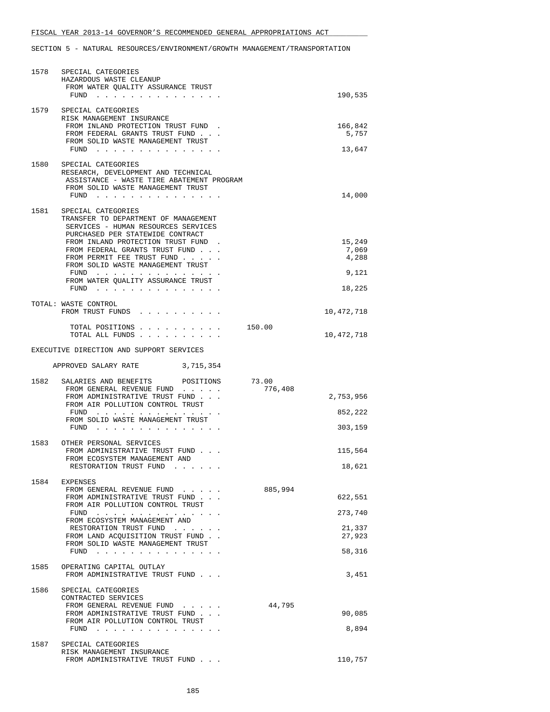| 1578 | SPECIAL CATEGORIES<br>HAZARDOUS WASTE CLEANUP<br>FROM WATER QUALITY ASSURANCE TRUST<br>FUND                                                                                                                                                                                                       |         | 190,535                           |
|------|---------------------------------------------------------------------------------------------------------------------------------------------------------------------------------------------------------------------------------------------------------------------------------------------------|---------|-----------------------------------|
|      | 1579 SPECIAL CATEGORIES<br>RISK MANAGEMENT INSURANCE<br>FROM INLAND PROTECTION TRUST FUND.<br>FROM FEDERAL GRANTS TRUST FUND                                                                                                                                                                      |         | 166,842<br>5,757                  |
|      | FROM SOLID WASTE MANAGEMENT TRUST                                                                                                                                                                                                                                                                 |         | 13,647                            |
| 1580 | SPECIAL CATEGORIES<br>RESEARCH, DEVELOPMENT AND TECHNICAL<br>ASSISTANCE - WASTE TIRE ABATEMENT PROGRAM<br>FROM SOLID WASTE MANAGEMENT TRUST<br>FUND $\cdots$                                                                                                                                      |         | 14,000                            |
| 1581 | SPECIAL CATEGORIES<br>TRANSFER TO DEPARTMENT OF MANAGEMENT<br>SERVICES - HUMAN RESOURCES SERVICES<br>PURCHASED PER STATEWIDE CONTRACT<br>FROM INLAND PROTECTION TRUST FUND.<br>FROM FEDERAL GRANTS TRUST FUND<br>FROM PERMIT FEE TRUST FUND<br>FROM SOLID WASTE MANAGEMENT TRUST<br>FUND $\cdots$ |         | 15,249<br>7,069<br>4,288<br>9,121 |
|      | FROM WATER OUALITY ASSURANCE TRUST<br>FUND                                                                                                                                                                                                                                                        |         | 18,225                            |
|      | TOTAL: WASTE CONTROL<br>FROM TRUST FUNDS                                                                                                                                                                                                                                                          |         | 10,472,718                        |
|      | TOTAL POSITIONS<br>TOTAL ALL FUNDS                                                                                                                                                                                                                                                                | 150.00  | 10,472,718                        |
|      | EXECUTIVE DIRECTION AND SUPPORT SERVICES                                                                                                                                                                                                                                                          |         |                                   |
|      | APPROVED SALARY RATE<br>3,715,354                                                                                                                                                                                                                                                                 |         |                                   |
| 1582 | SALARIES AND BENEFITS POSITIONS 73.00<br>FROM GENERAL REVENUE FUND<br>FROM ADMINISTRATIVE TRUST FUND                                                                                                                                                                                              | 776,408 | 2,753,956                         |
|      | FROM AIR POLLUTION CONTROL TRUST<br>FUND<br>FROM SOLID WASTE MANAGEMENT TRUST                                                                                                                                                                                                                     |         | 852,222                           |
|      | FUND $\cdots$                                                                                                                                                                                                                                                                                     |         | 303,159                           |
| 1583 | OTHER PERSONAL SERVICES<br>FROM ADMINISTRATIVE TRUST FUND<br>FROM ECOSYSTEM MANAGEMENT AND                                                                                                                                                                                                        |         | 115,564                           |
|      | RESTORATION TRUST FUND<br>.                                                                                                                                                                                                                                                                       |         | 18,621                            |
| 1584 | EXPENSES<br>FROM GENERAL REVENUE FUND<br>FROM ADMINISTRATIVE TRUST FUND                                                                                                                                                                                                                           | 885,994 | 622,551                           |
|      | FROM AIR POLLUTION CONTROL TRUST<br>FUND                                                                                                                                                                                                                                                          |         | 273,740                           |
|      | FROM ECOSYSTEM MANAGEMENT AND<br>RESTORATION TRUST FUND<br>FROM LAND ACQUISITION TRUST FUND                                                                                                                                                                                                       |         | 21,337<br>27,923                  |
|      | FROM SOLID WASTE MANAGEMENT TRUST                                                                                                                                                                                                                                                                 |         | 58,316                            |
| 1585 | OPERATING CAPITAL OUTLAY<br>FROM ADMINISTRATIVE TRUST FUND                                                                                                                                                                                                                                        |         | 3,451                             |
| 1586 | SPECIAL CATEGORIES<br>CONTRACTED SERVICES                                                                                                                                                                                                                                                         |         |                                   |
|      | FROM GENERAL REVENUE FUND<br>FROM ADMINISTRATIVE TRUST FUND<br>FROM AIR POLLUTION CONTROL TRUST                                                                                                                                                                                                   | 44,795  | 90,085                            |
|      | $FUND$                                                                                                                                                                                                                                                                                            |         | 8,894                             |
|      | 1587 SPECIAL CATEGORIES<br>RISK MANAGEMENT INSURANCE<br>FROM ADMINISTRATIVE TRUST FUND                                                                                                                                                                                                            |         | 110,757                           |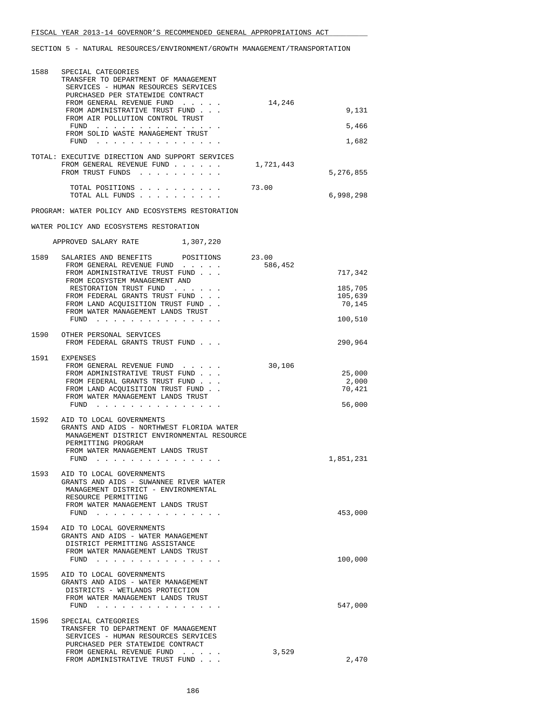| 1588 | SPECIAL CATEGORIES<br>TRANSFER TO DEPARTMENT OF MANAGEMENT<br>SERVICES - HUMAN RESOURCES SERVICES<br>PURCHASED PER STATEWIDE CONTRACT<br>FROM GENERAL REVENUE FUND<br>FROM ADMINISTRATIVE TRUST FUND<br>FROM AIR POLLUTION CONTROL TRUST<br>FUND<br>the contract of the contract of the contract of the | 14,246    | 9,131<br>5,466                      |
|------|---------------------------------------------------------------------------------------------------------------------------------------------------------------------------------------------------------------------------------------------------------------------------------------------------------|-----------|-------------------------------------|
|      | FROM SOLID WASTE MANAGEMENT TRUST<br>FUND $\cdots$                                                                                                                                                                                                                                                      |           | 1,682                               |
|      | TOTAL: EXECUTIVE DIRECTION AND SUPPORT SERVICES<br>FROM GENERAL REVENUE FUND<br>FROM TRUST FUNDS                                                                                                                                                                                                        | 1,721,443 | 5,276,855                           |
|      | TOTAL POSITIONS<br>TOTAL ALL FUNDS                                                                                                                                                                                                                                                                      | 73.00     | 6,998,298                           |
|      | PROGRAM: WATER POLICY AND ECOSYSTEMS RESTORATION                                                                                                                                                                                                                                                        |           |                                     |
|      | WATER POLICY AND ECOSYSTEMS RESTORATION                                                                                                                                                                                                                                                                 |           |                                     |
|      | APPROVED SALARY RATE 1,307,220                                                                                                                                                                                                                                                                          |           |                                     |
|      | 1589 SALARIES AND BENEFITS POSITIONS 23.00<br>FROM GENERAL REVENUE FUND<br>FROM ADMINISTRATIVE TRUST FUND                                                                                                                                                                                               | 586,452   | 717,342                             |
|      | FROM ECOSYSTEM MANAGEMENT AND<br>RESTORATION TRUST FUND<br>FROM FEDERAL GRANTS TRUST FUND<br>FROM LAND ACQUISITION TRUST FUND<br>FROM WATER MANAGEMENT LANDS TRUST                                                                                                                                      |           | 185,705<br>105,639<br>70,145        |
|      | FUND $\cdots$                                                                                                                                                                                                                                                                                           |           | 100,510                             |
|      | 1590 OTHER PERSONAL SERVICES<br>FROM FEDERAL GRANTS TRUST FUND                                                                                                                                                                                                                                          |           | 290,964                             |
|      | 1591 EXPENSES<br>FROM GENERAL REVENUE FUND<br>FROM ADMINISTRATIVE TRUST FUND<br>FROM FEDERAL GRANTS TRUST FUND<br>FROM LAND ACQUISITION TRUST FUND.<br>FROM WATER MANAGEMENT LANDS TRUST<br>FUND                                                                                                        | 30,106    | 25,000<br>2,000<br>70,421<br>56,000 |
|      | 1592 AID TO LOCAL GOVERNMENTS<br>GRANTS AND AIDS - NORTHWEST FLORIDA WATER<br>MANAGEMENT DISTRICT ENVIRONMENTAL RESOURCE<br>PERMITTING PROGRAM<br>FROM WATER MANAGEMENT LANDS TRUST<br>$FUND$                                                                                                           |           | 1,851,231                           |
| 1593 | AID TO LOCAL GOVERNMENTS<br>GRANTS AND AIDS - SUWANNEE RIVER WATER<br>MANAGEMENT DISTRICT - ENVIRONMENTAL<br>RESOURCE PERMITTING<br>FROM WATER MANAGEMENT LANDS TRUST<br>$FUND$<br><b>Sales Street</b>                                                                                                  |           | 453,000                             |
| 1594 | AID TO LOCAL GOVERNMENTS<br>GRANTS AND AIDS - WATER MANAGEMENT<br>DISTRICT PERMITTING ASSISTANCE<br>FROM WATER MANAGEMENT LANDS TRUST<br>FUND $\cdots$                                                                                                                                                  |           | 100,000                             |
| 1595 | AID TO LOCAL GOVERNMENTS<br>GRANTS AND AIDS - WATER MANAGEMENT<br>DISTRICTS - WETLANDS PROTECTION<br>FROM WATER MANAGEMENT LANDS TRUST<br>$FUND$                                                                                                                                                        |           | 547,000                             |
| 1596 | SPECIAL CATEGORIES<br>TRANSFER TO DEPARTMENT OF MANAGEMENT<br>SERVICES - HUMAN RESOURCES SERVICES<br>PURCHASED PER STATEWIDE CONTRACT<br>FROM GENERAL REVENUE FUND<br>FROM ADMINISTRATIVE TRUST FUND                                                                                                    | 3,529     | 2,470                               |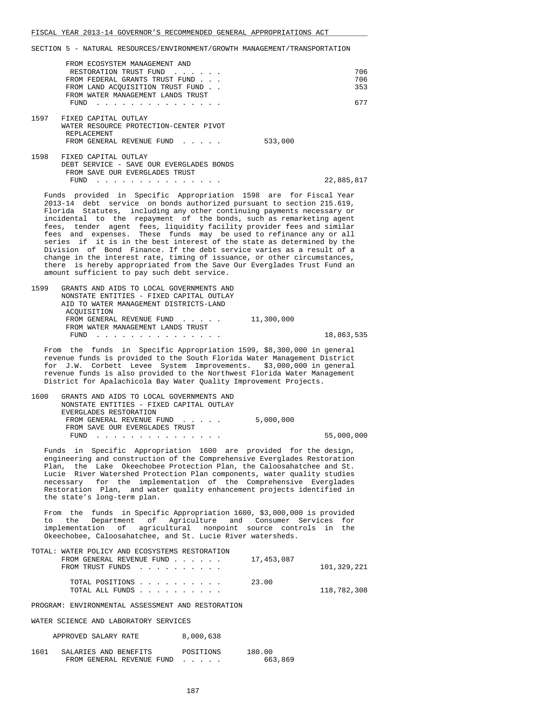|      | FROM ECOSYSTEM MANAGEMENT AND                                               |         |            |
|------|-----------------------------------------------------------------------------|---------|------------|
|      | RESTORATION TRUST FUND                                                      |         | 706        |
|      | FROM FEDERAL GRANTS TRUST FUND                                              |         | 706        |
|      | FROM LAND ACQUISITION TRUST FUND                                            |         | 353        |
|      | FROM WATER MANAGEMENT LANDS TRUST                                           |         |            |
|      | <b>FUND</b>                                                                 |         | 677        |
|      |                                                                             |         |            |
| 1597 | FIXED CAPITAL OUTLAY                                                        |         |            |
|      | WATER RESOURCE PROTECTION-CENTER PIVOT                                      |         |            |
|      | REPLACEMENT                                                                 |         |            |
|      | FROM GENERAL REVENUE FUND                                                   | 533,000 |            |
|      |                                                                             |         |            |
| 1598 | FIXED CAPITAL OUTLAY                                                        |         |            |
|      | DEBT SERVICE - SAVE OUR EVERGLADES BONDS                                    |         |            |
|      | FROM SAVE OUR EVERGLADES TRUST                                              |         |            |
|      | FUND                                                                        |         | 22,885,817 |
|      |                                                                             |         |            |
|      | $Fundg = maxidod - in. Conoffia. Inmononoidation 1500, and for Fiaal Vann.$ |         |            |

 Funds provided in Specific Appropriation 1598 are for Fiscal Year 2013-14 debt service on bonds authorized pursuant to section 215.619, Florida Statutes, including any other continuing payments necessary or incidental to the repayment of the bonds, such as remarketing agent fees, tender agent fees, liquidity facility provider fees and similar fees and expenses. These funds may be used to refinance any or all series if it is in the best interest of the state as determined by the Division of Bond Finance. If the debt service varies as a result of a change in the interest rate, timing of issuance, or other circumstances, there is hereby appropriated from the Save Our Everglades Trust Fund an amount sufficient to pay such debt service.

 1599 GRANTS AND AIDS TO LOCAL GOVERNMENTS AND NONSTATE ENTITIES - FIXED CAPITAL OUTLAY AID TO WATER MANAGEMENT DISTRICTS-LAND ACQUISITION FROM GENERAL REVENUE FUND . . . . . 11,300,000 FROM WATER MANAGEMENT LANDS TRUST FUND . . . . . . . . . . . . . . . 18,863,535

 From the funds in Specific Appropriation 1599, \$8,300,000 in general revenue funds is provided to the South Florida Water Management District for J.W. Corbett Levee System Improvements. \$3,000,000 in general revenue funds is also provided to the Northwest Florida Water Management District for Apalachicola Bay Water Quality Improvement Projects.

 1600 GRANTS AND AIDS TO LOCAL GOVERNMENTS AND NONSTATE ENTITIES - FIXED CAPITAL OUTLAY EVERGLADES RESTORATION FROM GENERAL REVENUE FUND . . . . . 5,000,000 FROM SAVE OUR EVERGLADES TRUST FUND . . . . . . . . . . . . . . . 55,000,000

 Funds in Specific Appropriation 1600 are provided for the design, engineering and construction of the Comprehensive Everglades Restoration Plan, the Lake Okeechobee Protection Plan, the Caloosahatchee and St. Lucie River Watershed Protection Plan components, water quality studies necessary for the implementation of the Comprehensive Everglades Restoration Plan, and water quality enhancement projects identified in the state's long-term plan.

 From the funds in Specific Appropriation 1600, \$3,000,000 is provided to the Department of Agriculture and Consumer Services for implementation of agricultural nonpoint source controls in the Okeechobee, Caloosahatchee, and St. Lucie River watersheds.

| TOTAL: WATER POLICY AND ECOSYSTEMS RESTORATION |             |
|------------------------------------------------|-------------|
| FROM GENERAL REVENUE FUND                      | 17,453,087  |
| FROM TRUST FUNDS                               | 101,329,221 |
| TOTAL POSITIONS                                | 23.00       |
|                                                | 118,782,308 |

PROGRAM: ENVIRONMENTAL ASSESSMENT AND RESTORATION

WATER SCIENCE AND LABORATORY SERVICES

| APPROVED SALARY RATE |  | 8,000,638 |
|----------------------|--|-----------|
|----------------------|--|-----------|

| 1601 | SALARIES AND BENEFITS     | POSITIONS | 180.00  |
|------|---------------------------|-----------|---------|
|      | FROM GENERAL REVENUE FUND |           | 663,869 |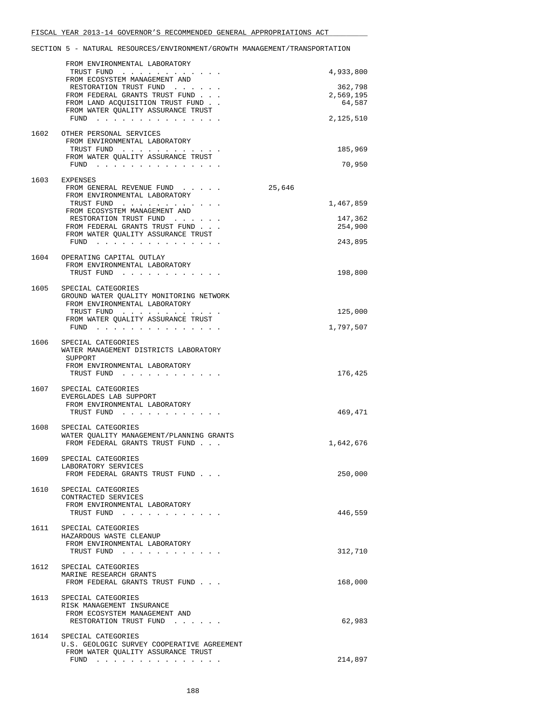|      | FROM ENVIRONMENTAL LABORATORY                                                                    |                      |
|------|--------------------------------------------------------------------------------------------------|----------------------|
|      | TRUST FUND<br>FROM ECOSYSTEM MANAGEMENT AND                                                      | 4,933,800            |
|      | RESTORATION TRUST FUND<br>FROM FEDERAL GRANTS TRUST FUND                                         | 362,798<br>2,569,195 |
|      | FROM LAND ACQUISITION TRUST FUND.                                                                | 64,587               |
|      | FROM WATER QUALITY ASSURANCE TRUST<br>FUND $\ldots$ $\ldots$ $\ldots$ $\ldots$ $\ldots$ $\ldots$ | 2,125,510            |
| 1602 | OTHER PERSONAL SERVICES                                                                          |                      |
|      | FROM ENVIRONMENTAL LABORATORY<br>TRUST FUND                                                      | 185,969              |
|      | FROM WATER QUALITY ASSURANCE TRUST                                                               |                      |
|      | FUND $\cdots$                                                                                    | 70,950               |
| 1603 | EXPENSES<br>FROM GENERAL REVENUE FUND                                                            | 25,646               |
|      | FROM ENVIRONMENTAL LABORATORY                                                                    |                      |
|      | TRUST FUND<br>FROM ECOSYSTEM MANAGEMENT AND                                                      | 1,467,859            |
|      | RESTORATION TRUST FUND                                                                           | 147,362              |
|      | FROM FEDERAL GRANTS TRUST FUND<br>FROM WATER QUALITY ASSURANCE TRUST                             | 254,900              |
|      | FUND $\ldots$ $\ldots$ $\ldots$ $\ldots$ $\ldots$ $\ldots$                                       | 243,895              |
|      | 1604 OPERATING CAPITAL OUTLAY                                                                    |                      |
|      | FROM ENVIRONMENTAL LABORATORY<br>TRUST FUND                                                      | 198,800              |
|      |                                                                                                  |                      |
|      | 1605 SPECIAL CATEGORIES<br>GROUND WATER QUALITY MONITORING NETWORK                               |                      |
|      | FROM ENVIRONMENTAL LABORATORY                                                                    |                      |
|      | TRUST FUND<br>FROM WATER OUALITY ASSURANCE TRUST                                                 | 125,000              |
|      | FUND                                                                                             | 1,797,507            |
|      | 1606 SPECIAL CATEGORIES                                                                          |                      |
|      | WATER MANAGEMENT DISTRICTS LABORATORY<br>SUPPORT                                                 |                      |
|      | FROM ENVIRONMENTAL LABORATORY<br>TRUST FUND                                                      | 176,425              |
|      |                                                                                                  |                      |
| 1607 | SPECIAL CATEGORIES<br>EVERGLADES LAB SUPPORT                                                     |                      |
|      | FROM ENVIRONMENTAL LABORATORY                                                                    |                      |
|      | TRUST FUND                                                                                       | 469,471              |
| 1608 | SPECIAL CATEGORIES<br>WATER QUALITY MANAGEMENT/PLANNING GRANTS                                   |                      |
|      | FROM FEDERAL GRANTS TRUST FUND                                                                   | 1,642,676            |
| 1609 | SPECIAL CATEGORIES                                                                               |                      |
|      | LABORATORY SERVICES                                                                              |                      |
|      | FROM FEDERAL GRANTS TRUST FUND                                                                   | 250,000              |
| 1610 | SPECIAL CATEGORIES<br>CONTRACTED SERVICES                                                        |                      |
|      | FROM ENVIRONMENTAL LABORATORY                                                                    |                      |
|      | TRUST FUND                                                                                       | 446,559              |
| 1611 | SPECIAL CATEGORIES                                                                               |                      |
|      | HAZARDOUS WASTE CLEANUP<br>FROM ENVIRONMENTAL LABORATORY                                         |                      |
|      | TRUST FUND                                                                                       | 312,710              |
| 1612 | SPECIAL CATEGORIES                                                                               |                      |
|      | MARINE RESEARCH GRANTS<br>FROM FEDERAL GRANTS TRUST FUND                                         | 168,000              |
| 1613 | SPECIAL CATEGORIES                                                                               |                      |
|      | RISK MANAGEMENT INSURANCE                                                                        |                      |
|      | FROM ECOSYSTEM MANAGEMENT AND<br>RESTORATION TRUST FUND                                          | 62,983               |
|      |                                                                                                  |                      |
| 1614 | SPECIAL CATEGORIES<br>U.S. GEOLOGIC SURVEY COOPERATIVE AGREEMENT                                 |                      |
|      | FROM WATER QUALITY ASSURANCE TRUST<br>FUND $\ldots$ $\ldots$ $\ldots$ $\ldots$ $\ldots$ $\ldots$ | 214,897              |
|      |                                                                                                  |                      |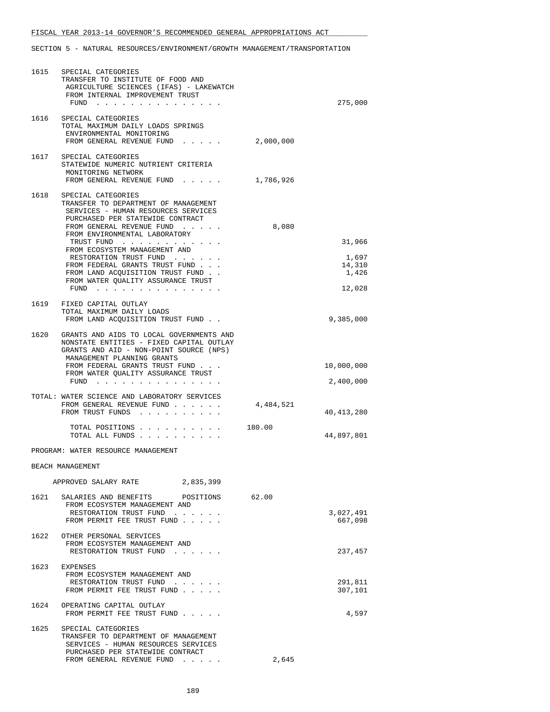| 1615 | SPECIAL CATEGORIES<br>TRANSFER TO INSTITUTE OF FOOD AND<br>AGRICULTURE SCIENCES (IFAS) - LAKEWATCH<br>FROM INTERNAL IMPROVEMENT TRUST                              |           |                          |
|------|--------------------------------------------------------------------------------------------------------------------------------------------------------------------|-----------|--------------------------|
|      | FUND $\cdots$                                                                                                                                                      |           | 275,000                  |
|      | 1616 SPECIAL CATEGORIES<br>TOTAL MAXIMUM DAILY LOADS SPRINGS<br>ENVIRONMENTAL MONITORING<br>FROM GENERAL REVENUE FUND                                              | 2,000,000 |                          |
|      | 1617 SPECIAL CATEGORIES<br>STATEWIDE NUMERIC NUTRIENT CRITERIA<br>MONITORING NETWORK                                                                               |           |                          |
|      | FROM GENERAL REVENUE FUND                                                                                                                                          | 1,786,926 |                          |
|      | 1618 SPECIAL CATEGORIES<br>TRANSFER TO DEPARTMENT OF MANAGEMENT<br>SERVICES - HUMAN RESOURCES SERVICES<br>PURCHASED PER STATEWIDE CONTRACT                         |           |                          |
|      | FROM GENERAL REVENUE FUND<br>FROM ENVIRONMENTAL LABORATORY                                                                                                         | 8,080     |                          |
|      | TRUST FUND<br>FROM ECOSYSTEM MANAGEMENT AND                                                                                                                        |           | 31,966                   |
|      | RESTORATION TRUST FUND<br>FROM FEDERAL GRANTS TRUST FUND<br>FROM LAND ACOUISITION TRUST FUND.                                                                      |           | 1,697<br>14,310<br>1,426 |
|      | FROM WATER QUALITY ASSURANCE TRUST<br>$FUND$                                                                                                                       |           | 12,028                   |
|      | 1619 FIXED CAPITAL OUTLAY                                                                                                                                          |           |                          |
|      | TOTAL MAXIMUM DAILY LOADS<br>FROM LAND ACQUISITION TRUST FUND                                                                                                      |           | 9,385,000                |
|      | 1620 GRANTS AND AIDS TO LOCAL GOVERNMENTS AND<br>NONSTATE ENTITIES - FIXED CAPITAL OUTLAY<br>GRANTS AND AID - NON-POINT SOURCE (NPS)<br>MANAGEMENT PLANNING GRANTS |           |                          |
|      | FROM FEDERAL GRANTS TRUST FUND<br>FROM WATER QUALITY ASSURANCE TRUST                                                                                               |           | 10,000,000               |
|      | FUND $\cdots$                                                                                                                                                      |           | 2,400,000                |
|      | TOTAL: WATER SCIENCE AND LABORATORY SERVICES<br>FROM GENERAL REVENUE FUND<br>FROM TRUST FUNDS                                                                      | 4,484,521 | 40,413,280               |
|      | TOTAL POSITIONS<br>TOTAL ALL FUNDS                                                                                                                                 | 180.00    | 44,897,801               |
|      | PROGRAM: WATER RESOURCE MANAGEMENT                                                                                                                                 |           |                          |
|      | BEACH MANAGEMENT                                                                                                                                                   |           |                          |
|      | 2,835,399<br>APPROVED SALARY RATE                                                                                                                                  |           |                          |
| 1621 | SALARIES AND BENEFITS POSITIONS<br>FROM ECOSYSTEM MANAGEMENT AND<br>RESTORATION TRUST FUND                                                                         | 62.00     |                          |
|      | FROM PERMIT FEE TRUST FUND                                                                                                                                         |           | 3,027,491<br>667,098     |
|      | 1622 OTHER PERSONAL SERVICES<br>FROM ECOSYSTEM MANAGEMENT AND<br>RESTORATION TRUST FUND                                                                            |           | 237,457                  |
|      | 1623 EXPENSES<br>FROM ECOSYSTEM MANAGEMENT AND<br>RESTORATION TRUST FUND                                                                                           |           | 291,811                  |
|      | FROM PERMIT FEE TRUST FUND                                                                                                                                         |           | 307,101                  |
| 1624 | OPERATING CAPITAL OUTLAY<br>FROM PERMIT FEE TRUST FUND                                                                                                             |           | 4,597                    |
| 1625 | SPECIAL CATEGORIES<br>TRANSFER TO DEPARTMENT OF MANAGEMENT<br>SERVICES - HUMAN RESOURCES SERVICES                                                                  |           |                          |
|      | PURCHASED PER STATEWIDE CONTRACT<br>FROM GENERAL REVENUE FUND                                                                                                      | 2,645     |                          |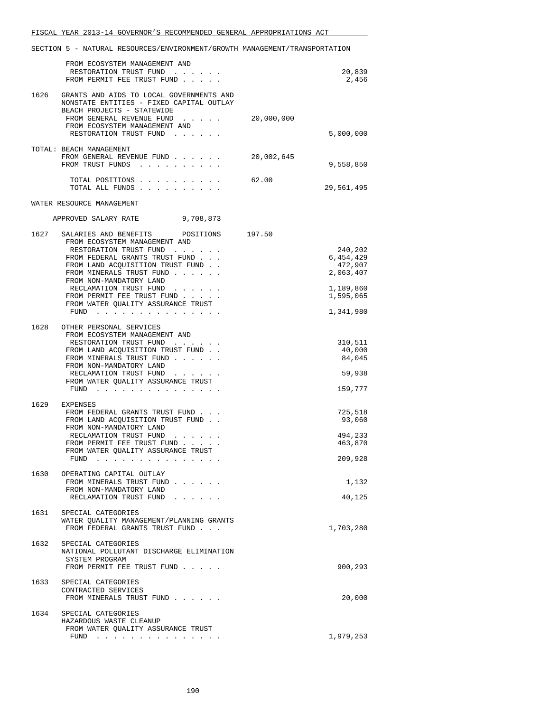|      | FROM ECOSYSTEM MANAGEMENT AND<br>RESTORATION TRUST FUND<br>FROM PERMIT FEE TRUST FUND                                                                                                                                                                                                                                               |            | 20,839<br>2,456                                                                     |
|------|-------------------------------------------------------------------------------------------------------------------------------------------------------------------------------------------------------------------------------------------------------------------------------------------------------------------------------------|------------|-------------------------------------------------------------------------------------|
|      | 1626 GRANTS AND AIDS TO LOCAL GOVERNMENTS AND<br>NONSTATE ENTITIES - FIXED CAPITAL OUTLAY                                                                                                                                                                                                                                           |            |                                                                                     |
|      | BEACH PROJECTS - STATEWIDE<br>FROM GENERAL REVENUE FUND<br>FROM ECOSYSTEM MANAGEMENT AND<br>RESTORATION TRUST FUND<br>$\cdots$ $\cdots$                                                                                                                                                                                             | 20,000,000 | 5,000,000                                                                           |
|      | TOTAL: BEACH MANAGEMENT<br>FROM GENERAL REVENUE FUND<br>FROM TRUST FUNDS                                                                                                                                                                                                                                                            | 20,002,645 | 9,558,850                                                                           |
|      | TOTAL POSITIONS<br>TOTAL ALL FUNDS                                                                                                                                                                                                                                                                                                  | 62.00      | 29,561,495                                                                          |
|      | WATER RESOURCE MANAGEMENT                                                                                                                                                                                                                                                                                                           |            |                                                                                     |
|      | APPROVED SALARY RATE<br>9,708,873                                                                                                                                                                                                                                                                                                   |            |                                                                                     |
| 1627 | SALARIES AND BENEFITS<br>POSITIONS<br>FROM ECOSYSTEM MANAGEMENT AND<br>RESTORATION TRUST FUND<br>FROM FEDERAL GRANTS TRUST FUND<br>FROM LAND ACQUISITION TRUST FUND.<br>FROM MINERALS TRUST FUND<br>FROM NON-MANDATORY LAND<br>RECLAMATION TRUST FUND<br>FROM PERMIT FEE TRUST FUND<br>FROM WATER OUALITY ASSURANCE TRUST<br>$FUND$ | 197.50     | 240,202<br>6,454,429<br>472,907<br>2,063,407<br>1,189,860<br>1,595,065<br>1,341,980 |
| 1628 | OTHER PERSONAL SERVICES<br>FROM ECOSYSTEM MANAGEMENT AND<br>RESTORATION TRUST FUND<br>FROM LAND ACQUISITION TRUST FUND<br>FROM MINERALS TRUST FUND<br>FROM NON-MANDATORY LAND<br>RECLAMATION TRUST FUND<br>FROM WATER QUALITY ASSURANCE TRUST<br>$FUND$                                                                             |            | 310,511<br>40,000<br>84,045<br>59,938<br>159,777                                    |
| 1629 | EXPENSES<br>FROM FEDERAL GRANTS TRUST FUND<br>FROM LAND ACOUISITION TRUST FUND.<br>FROM NON-MANDATORY LAND<br>RECLAMATION TRUST FUND<br>FROM PERMIT FEE TRUST FUND<br>FROM WATER QUALITY ASSURANCE TRUST<br>FUND<br>.                                                                                                               |            | 725,518<br>93,060<br>494,233<br>463,870<br>209,928                                  |
|      | 1630 OPERATING CAPITAL OUTLAY<br>FROM MINERALS TRUST FUND<br>FROM NON-MANDATORY LAND<br>RECLAMATION TRUST FUND                                                                                                                                                                                                                      |            | 1,132<br>40,125                                                                     |
| 1631 | SPECIAL CATEGORIES<br>WATER QUALITY MANAGEMENT/PLANNING GRANTS<br>FROM FEDERAL GRANTS TRUST FUND                                                                                                                                                                                                                                    |            | 1,703,280                                                                           |
| 1632 | SPECIAL CATEGORIES<br>NATIONAL POLLUTANT DISCHARGE ELIMINATION<br>SYSTEM PROGRAM<br>FROM PERMIT FEE TRUST FUND                                                                                                                                                                                                                      |            | 900,293                                                                             |
| 1633 | SPECIAL CATEGORIES<br>CONTRACTED SERVICES<br>FROM MINERALS TRUST FUND                                                                                                                                                                                                                                                               |            | 20,000                                                                              |
| 1634 | SPECIAL CATEGORIES<br>HAZARDOUS WASTE CLEANUP<br>FROM WATER QUALITY ASSURANCE TRUST<br>FUND $\cdots$                                                                                                                                                                                                                                |            | 1,979,253                                                                           |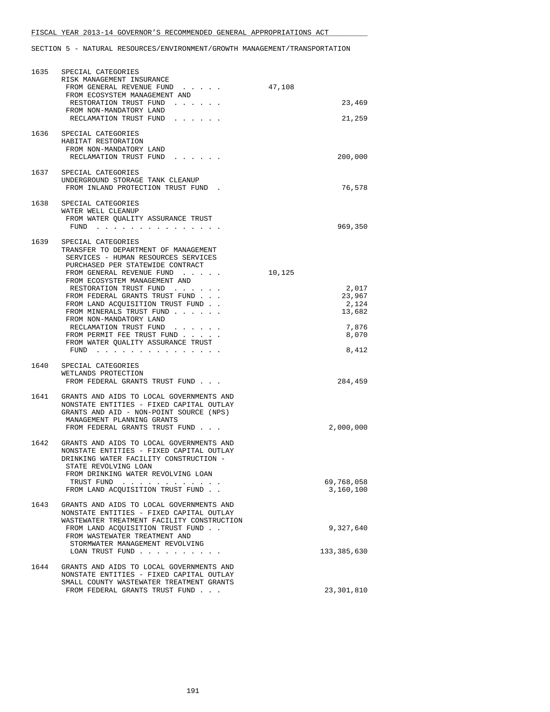| 1635 | SPECIAL CATEGORIES<br>RISK MANAGEMENT INSURANCE<br>FROM GENERAL REVENUE FUND<br>FROM ECOSYSTEM MANAGEMENT AND<br>RESTORATION TRUST FUND<br>FROM NON-MANDATORY LAND                                                                                                                                                                                          | 47,108<br>23,469                             |
|------|-------------------------------------------------------------------------------------------------------------------------------------------------------------------------------------------------------------------------------------------------------------------------------------------------------------------------------------------------------------|----------------------------------------------|
|      | RECLAMATION TRUST FUND<br>1636 SPECIAL CATEGORIES<br>HABITAT RESTORATION<br>FROM NON-MANDATORY LAND<br>RECLAMATION TRUST FUND                                                                                                                                                                                                                               | 21,259<br>200,000                            |
| 1637 | SPECIAL CATEGORIES<br>UNDERGROUND STORAGE TANK CLEANUP<br>FROM INLAND PROTECTION TRUST FUND.                                                                                                                                                                                                                                                                | 76,578                                       |
| 1638 | SPECIAL CATEGORIES<br>WATER WELL CLEANUP<br>FROM WATER QUALITY ASSURANCE TRUST<br>FUND $\cdots$ $\cdots$ $\cdots$                                                                                                                                                                                                                                           | 969,350                                      |
| 1639 | SPECIAL CATEGORIES<br>TRANSFER TO DEPARTMENT OF MANAGEMENT<br>SERVICES - HUMAN RESOURCES SERVICES<br>PURCHASED PER STATEWIDE CONTRACT<br>FROM GENERAL REVENUE FUND<br>FROM ECOSYSTEM MANAGEMENT AND<br>RESTORATION TRUST FUND<br>FROM FEDERAL GRANTS TRUST FUND<br>FROM LAND ACQUISITION TRUST FUND.<br>FROM MINERALS TRUST FUND<br>FROM NON-MANDATORY LAND | 10,125<br>2,017<br>23,967<br>2,124<br>13,682 |
|      | RECLAMATION TRUST FUND<br>FROM PERMIT FEE TRUST FUND<br>FROM WATER QUALITY ASSURANCE TRUST<br>$FUND$                                                                                                                                                                                                                                                        | 7,876<br>8,070<br>8,412                      |
| 1640 | SPECIAL CATEGORIES<br>WETLANDS PROTECTION<br>FROM FEDERAL GRANTS TRUST FUND                                                                                                                                                                                                                                                                                 | 284,459                                      |
| 1641 | GRANTS AND AIDS TO LOCAL GOVERNMENTS AND<br>NONSTATE ENTITIES - FIXED CAPITAL OUTLAY<br>GRANTS AND AID - NON-POINT SOURCE (NPS)<br>MANAGEMENT PLANNING GRANTS<br>FROM FEDERAL GRANTS TRUST FUND                                                                                                                                                             | 2,000,000                                    |
| 1642 | GRANTS AND AIDS TO LOCAL GOVERNMENTS AND<br>NONSTATE ENTITIES - FIXED CAPITAL OUTLAY<br>DRINKING WATER FACILITY CONSTRUCTION -<br>STATE REVOLVING LOAN<br>FROM DRINKING WATER REVOLVING LOAN                                                                                                                                                                |                                              |
|      | TRUST FUND<br>. The second contract is a second contract of $\mathcal{A}$<br>FROM LAND ACQUISITION TRUST FUND.                                                                                                                                                                                                                                              | 69,768,058<br>3,160,100                      |
| 1643 | GRANTS AND AIDS TO LOCAL GOVERNMENTS AND<br>NONSTATE ENTITIES - FIXED CAPITAL OUTLAY<br>WASTEWATER TREATMENT FACILITY CONSTRUCTION<br>FROM LAND ACQUISITION TRUST FUND.<br>FROM WASTEWATER TREATMENT AND<br>STORMWATER MANAGEMENT REVOLVING                                                                                                                 | 9,327,640                                    |
|      | LOAN TRUST FUND                                                                                                                                                                                                                                                                                                                                             | 133,385,630                                  |
| 1644 | GRANTS AND AIDS TO LOCAL GOVERNMENTS AND<br>NONSTATE ENTITIES - FIXED CAPITAL OUTLAY<br>SMALL COUNTY WASTEWATER TREATMENT GRANTS<br>FROM FEDERAL GRANTS TRUST FUND                                                                                                                                                                                          | 23,301,810                                   |
|      |                                                                                                                                                                                                                                                                                                                                                             |                                              |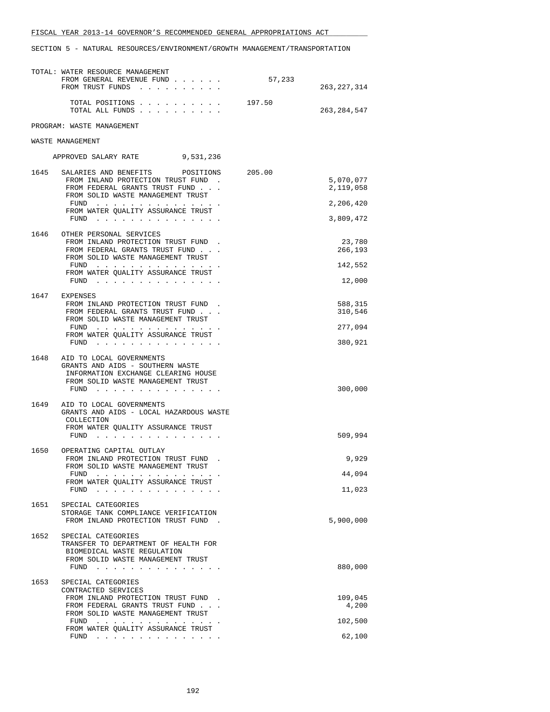|      | TOTAL: WATER RESOURCE MANAGEMENT<br>FROM GENERAL REVENUE FUND<br>FROM TRUST FUNDS                                                                                                                                                                                            | 57,233 | 263, 227, 314                                    |
|------|------------------------------------------------------------------------------------------------------------------------------------------------------------------------------------------------------------------------------------------------------------------------------|--------|--------------------------------------------------|
|      | TOTAL POSITIONS<br>TOTAL ALL FUNDS                                                                                                                                                                                                                                           | 197.50 | 263, 284, 547                                    |
|      | PROGRAM: WASTE MANAGEMENT                                                                                                                                                                                                                                                    |        |                                                  |
|      | WASTE MANAGEMENT                                                                                                                                                                                                                                                             |        |                                                  |
|      | APPROVED SALARY RATE 9,531,236                                                                                                                                                                                                                                               |        |                                                  |
| 1645 | SALARIES AND BENEFITS<br>POSITIONS<br>FROM INLAND PROTECTION TRUST FUND.<br>FROM FEDERAL GRANTS TRUST FUND<br>FROM SOLID WASTE MANAGEMENT TRUST<br>FUND<br>FROM WATER QUALITY ASSURANCE TRUST<br>FUND $\cdots$                                                               | 205.00 | 5,070,077<br>2,119,058<br>2,206,420<br>3,809,472 |
| 1646 | OTHER PERSONAL SERVICES<br>FROM INLAND PROTECTION TRUST FUND.<br>FROM FEDERAL GRANTS TRUST FUND<br>FROM SOLID WASTE MANAGEMENT TRUST<br>FUND $\cdots$<br>FROM WATER QUALITY ASSURANCE TRUST<br>FUND $\cdots$                                                                 |        | 23,780<br>266,193<br>142,552<br>12,000           |
|      | 1647 EXPENSES<br>FROM INLAND PROTECTION TRUST FUND.<br>FROM FEDERAL GRANTS TRUST FUND<br>FROM SOLID WASTE MANAGEMENT TRUST<br>FUND<br>FROM WATER QUALITY ASSURANCE TRUST<br>FUND $\cdots$                                                                                    |        | 588,315<br>310,546<br>277,094<br>380,921         |
| 1648 | AID TO LOCAL GOVERNMENTS<br>GRANTS AND AIDS - SOUTHERN WASTE<br>INFORMATION EXCHANGE CLEARING HOUSE<br>FROM SOLID WASTE MANAGEMENT TRUST<br>FUND                                                                                                                             |        | 300,000                                          |
| 1649 | AID TO LOCAL GOVERNMENTS<br>GRANTS AND AIDS - LOCAL HAZARDOUS WASTE<br>COLLECTION<br>FROM WATER QUALITY ASSURANCE TRUST<br>$FUND$                                                                                                                                            |        | 509,994                                          |
| 1650 | OPERATING CAPITAL OUTLAY<br>FROM INLAND PROTECTION TRUST FUND<br>FROM SOLID WASTE MANAGEMENT TRUST                                                                                                                                                                           |        | 9,929                                            |
|      | design and a state of the state of the state of the state of the state of the state of the state of the state of the state of the state of the state of the state of the state of the state of the state of the state of the s<br>FUND<br>FROM WATER QUALITY ASSURANCE TRUST |        | 44,094                                           |
|      | FUND<br>the contract of the contract of the                                                                                                                                                                                                                                  |        | 11,023                                           |
| 1651 | SPECIAL CATEGORIES<br>STORAGE TANK COMPLIANCE VERIFICATION<br>FROM INLAND PROTECTION TRUST FUND.                                                                                                                                                                             |        | 5,900,000                                        |
| 1652 | SPECIAL CATEGORIES<br>TRANSFER TO DEPARTMENT OF HEALTH FOR<br>BIOMEDICAL WASTE REGULATION<br>FROM SOLID WASTE MANAGEMENT TRUST<br>FUND                                                                                                                                       |        | 880,000                                          |
| 1653 | SPECIAL CATEGORIES<br>CONTRACTED SERVICES<br>FROM INLAND PROTECTION TRUST FUND.<br>FROM FEDERAL GRANTS TRUST FUND                                                                                                                                                            |        | 109,045<br>4,200                                 |
|      | FROM SOLID WASTE MANAGEMENT TRUST<br>FUND<br>the contract of the contract of the contract of the contract of the contract of the contract of the contract of                                                                                                                 |        | 102,500                                          |
|      | FROM WATER QUALITY ASSURANCE TRUST<br>FUND<br>$\mathbf{u}$ . The second contribution of the second contribution $\mathbf{u}$                                                                                                                                                 |        | 62,100                                           |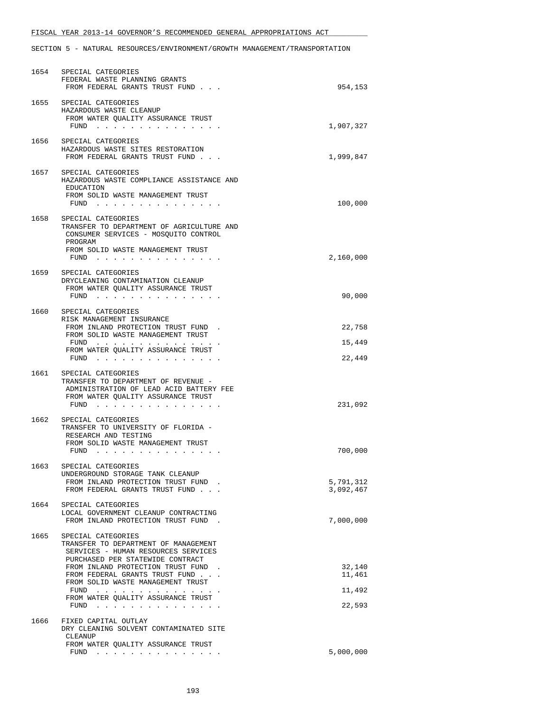|      | 1654 SPECIAL CATEGORIES<br>FEDERAL WASTE PLANNING GRANTS<br>FROM FEDERAL GRANTS TRUST FUND                                                                                                                                                                                                                                                                                                                                                                                                                                                         | 954,153                              |
|------|----------------------------------------------------------------------------------------------------------------------------------------------------------------------------------------------------------------------------------------------------------------------------------------------------------------------------------------------------------------------------------------------------------------------------------------------------------------------------------------------------------------------------------------------------|--------------------------------------|
| 1655 | SPECIAL CATEGORIES<br>HAZARDOUS WASTE CLEANUP<br>FROM WATER QUALITY ASSURANCE TRUST<br>FUND $\cdots$ $\cdots$ $\cdots$ $\cdots$ $\cdots$ $\cdots$ $\cdots$                                                                                                                                                                                                                                                                                                                                                                                         | 1,907,327                            |
|      | 1656 SPECIAL CATEGORIES<br>HAZARDOUS WASTE SITES RESTORATION<br>FROM FEDERAL GRANTS TRUST FUND                                                                                                                                                                                                                                                                                                                                                                                                                                                     | 1,999,847                            |
| 1657 | SPECIAL CATEGORIES<br>HAZARDOUS WASTE COMPLIANCE ASSISTANCE AND<br>EDUCATION<br>FROM SOLID WASTE MANAGEMENT TRUST<br>FUND $\ldots$ $\ldots$ $\ldots$ $\ldots$ $\ldots$ $\ldots$ $\ldots$                                                                                                                                                                                                                                                                                                                                                           | 100,000                              |
|      | 1658 SPECIAL CATEGORIES<br>TRANSFER TO DEPARTMENT OF AGRICULTURE AND<br>CONSUMER SERVICES - MOSQUITO CONTROL<br>PROGRAM<br>FROM SOLID WASTE MANAGEMENT TRUST<br>FUND $\ldots$ $\ldots$ $\ldots$ $\ldots$ $\ldots$ $\ldots$ $\ldots$                                                                                                                                                                                                                                                                                                                | 2,160,000                            |
| 1659 | SPECIAL CATEGORIES<br>DRYCLEANING CONTAMINATION CLEANUP<br>FROM WATER OUALITY ASSURANCE TRUST<br>FUND                                                                                                                                                                                                                                                                                                                                                                                                                                              | 90,000                               |
| 1660 | SPECIAL CATEGORIES<br>RISK MANAGEMENT INSURANCE<br>FROM INLAND PROTECTION TRUST FUND.<br>FROM SOLID WASTE MANAGEMENT TRUST<br>$FUND$<br>FROM WATER QUALITY ASSURANCE TRUST<br>FUND $\cdots$                                                                                                                                                                                                                                                                                                                                                        | 22,758<br>15,449<br>22,449           |
| 1661 | SPECIAL CATEGORIES<br>TRANSFER TO DEPARTMENT OF REVENUE -<br>ADMINISTRATION OF LEAD ACID BATTERY FEE<br>FROM WATER QUALITY ASSURANCE TRUST<br>FUND                                                                                                                                                                                                                                                                                                                                                                                                 | 231,092                              |
| 1662 | SPECIAL CATEGORIES<br>TRANSFER TO UNIVERSITY OF FLORIDA -<br>RESEARCH AND TESTING<br>FROM SOLID WASTE MANAGEMENT TRUST<br>$FUND$                                                                                                                                                                                                                                                                                                                                                                                                                   | 700,000                              |
| 1663 | SPECIAL CATEGORIES<br>UNDERGROUND STORAGE TANK CLEANUP<br>FROM INLAND PROTECTION TRUST FUND.<br>FROM FEDERAL GRANTS TRUST FUND                                                                                                                                                                                                                                                                                                                                                                                                                     | 5,791,312<br>3,092,467               |
| 1664 | SPECIAL CATEGORIES<br>LOCAL GOVERNMENT CLEANUP CONTRACTING<br>FROM INLAND PROTECTION TRUST FUND.                                                                                                                                                                                                                                                                                                                                                                                                                                                   | 7,000,000                            |
| 1665 | SPECIAL CATEGORIES<br>TRANSFER TO DEPARTMENT OF MANAGEMENT<br>SERVICES - HUMAN RESOURCES SERVICES<br>PURCHASED PER STATEWIDE CONTRACT<br>FROM INLAND PROTECTION TRUST FUND.<br>FROM FEDERAL GRANTS TRUST FUND<br>FROM SOLID WASTE MANAGEMENT TRUST<br>. The second contract is the second contract of the second contract of the second contract of the second contract of the second contract of the second contract of the second contract of the second contract of the second c<br>FUND<br>FROM WATER QUALITY ASSURANCE TRUST<br>FUND $\cdots$ | 32,140<br>11,461<br>11,492<br>22,593 |
| 1666 | FIXED CAPITAL OUTLAY<br>DRY CLEANING SOLVENT CONTAMINATED SITE<br>CLEANUP<br>FROM WATER QUALITY ASSURANCE TRUST<br>FUND $\cdots$                                                                                                                                                                                                                                                                                                                                                                                                                   | 5,000,000                            |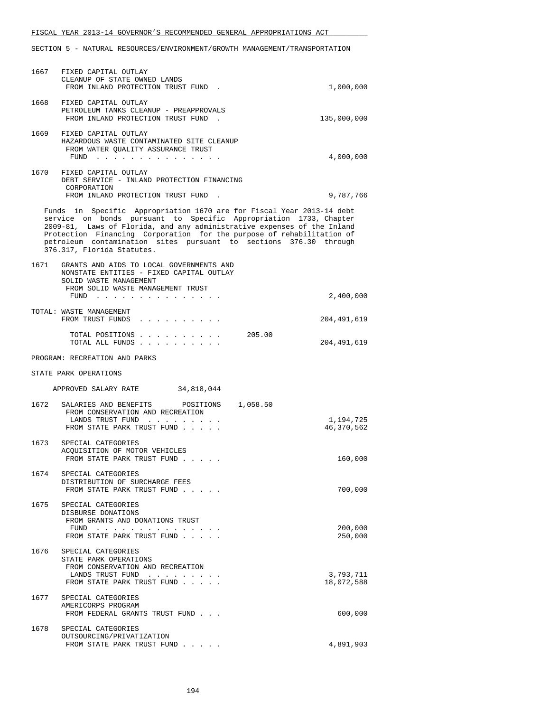|      | 1667 FIXED CAPITAL OUTLAY<br>CLEANUP OF STATE OWNED LANDS<br>FROM INLAND PROTECTION TRUST FUND.                                                                                                                                                                                                                                                                                                   | 1,000,000               |
|------|---------------------------------------------------------------------------------------------------------------------------------------------------------------------------------------------------------------------------------------------------------------------------------------------------------------------------------------------------------------------------------------------------|-------------------------|
|      | 1668 FIXED CAPITAL OUTLAY<br>PETROLEUM TANKS CLEANUP - PREAPPROVALS<br>FROM INLAND PROTECTION TRUST FUND.                                                                                                                                                                                                                                                                                         | 135,000,000             |
|      | 1669 FIXED CAPITAL OUTLAY<br>HAZARDOUS WASTE CONTAMINATED SITE CLEANUP<br>FROM WATER QUALITY ASSURANCE TRUST<br>FUND $\cdots$                                                                                                                                                                                                                                                                     | 4,000,000               |
|      | 1670 FIXED CAPITAL OUTLAY<br>DEBT SERVICE - INLAND PROTECTION FINANCING<br>CORPORATION<br>FROM INLAND PROTECTION TRUST FUND.                                                                                                                                                                                                                                                                      | 9,787,766               |
|      | Funds in Specific Appropriation 1670 are for Fiscal Year 2013-14 debt<br>service on bonds pursuant to Specific Appropriation 1733, Chapter<br>2009-81, Laws of Florida, and any administrative expenses of the Inland<br>Protection Financing Corporation for the purpose of rehabilitation of<br>petroleum contamination sites pursuant to sections 376.30 through<br>376.317, Florida Statutes. |                         |
|      | 1671 GRANTS AND AIDS TO LOCAL GOVERNMENTS AND<br>NONSTATE ENTITIES - FIXED CAPITAL OUTLAY<br>SOLID WASTE MANAGEMENT<br>FROM SOLID WASTE MANAGEMENT TRUST<br>FUND                                                                                                                                                                                                                                  | 2,400,000               |
|      | TOTAL: WASTE MANAGEMENT<br>FROM TRUST FUNDS                                                                                                                                                                                                                                                                                                                                                       | 204,491,619             |
|      | TOTAL POSITIONS<br>205.00<br>TOTAL ALL FUNDS                                                                                                                                                                                                                                                                                                                                                      | 204,491,619             |
|      | PROGRAM: RECREATION AND PARKS                                                                                                                                                                                                                                                                                                                                                                     |                         |
|      | STATE PARK OPERATIONS                                                                                                                                                                                                                                                                                                                                                                             |                         |
|      | APPROVED SALARY RATE 34,818,044                                                                                                                                                                                                                                                                                                                                                                   |                         |
|      | 1672 SALARIES AND BENEFITS POSITIONS 1,058.50<br>FROM CONSERVATION AND RECREATION<br>LANDS TRUST FUND<br>FROM STATE PARK TRUST FUND                                                                                                                                                                                                                                                               | 1,194,725<br>46,370,562 |
| 1673 | SPECIAL CATEGORIES<br>ACQUISITION OF MOTOR VEHICLES<br>FROM STATE PARK TRUST FUND                                                                                                                                                                                                                                                                                                                 | 160,000                 |
|      | 1674 SPECIAL CATEGORIES<br>DISTRIBUTION OF SURCHARGE FEES<br>FROM STATE PARK TRUST FUND                                                                                                                                                                                                                                                                                                           | 700,000                 |
| 1675 | SPECIAL CATEGORIES<br>DISBURSE DONATIONS<br>FROM GRANTS AND DONATIONS TRUST<br>FUND $\cdots$<br>FROM STATE PARK TRUST FUND                                                                                                                                                                                                                                                                        | 200,000<br>250,000      |
| 1676 | SPECIAL CATEGORIES<br>STATE PARK OPERATIONS<br>FROM CONSERVATION AND RECREATION<br>LANDS TRUST FUND<br>FROM STATE PARK TRUST FUND                                                                                                                                                                                                                                                                 | 3,793,711<br>18,072,588 |
| 1677 | SPECIAL CATEGORIES<br>AMERICORPS PROGRAM<br>FROM FEDERAL GRANTS TRUST FUND                                                                                                                                                                                                                                                                                                                        | 600,000                 |
| 1678 | SPECIAL CATEGORIES<br>OUTSOURCING/PRIVATIZATION<br>FROM STATE PARK TRUST FUND                                                                                                                                                                                                                                                                                                                     | 4,891,903               |
|      |                                                                                                                                                                                                                                                                                                                                                                                                   |                         |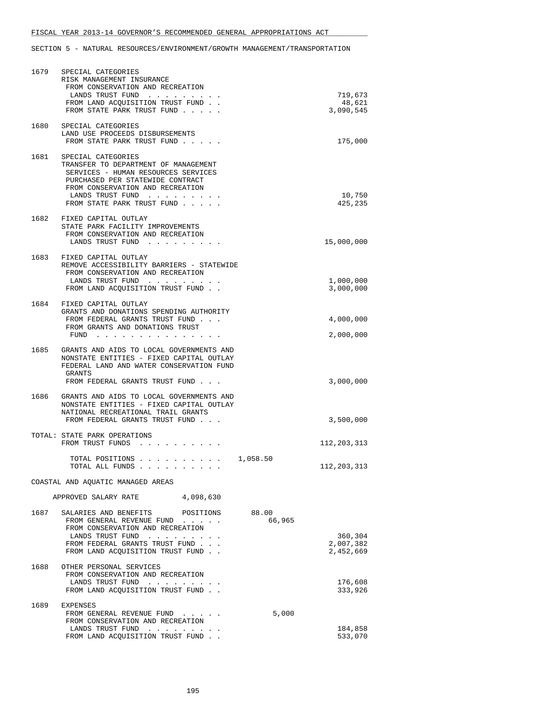| 1679 | SPECIAL CATEGORIES<br>RISK MANAGEMENT INSURANCE<br>FROM CONSERVATION AND RECREATION<br>LANDS TRUST FUND<br>FROM LAND ACQUISITION TRUST FUND.<br>FROM STATE PARK TRUST FUND                                                                                                                                                                                                          | 719,673<br>48,621<br>3,090,545    |
|------|-------------------------------------------------------------------------------------------------------------------------------------------------------------------------------------------------------------------------------------------------------------------------------------------------------------------------------------------------------------------------------------|-----------------------------------|
| 1680 | SPECIAL CATEGORIES<br>LAND USE PROCEEDS DISBURSEMENTS<br>FROM STATE PARK TRUST FUND                                                                                                                                                                                                                                                                                                 | 175,000                           |
| 1681 | SPECIAL CATEGORIES<br>TRANSFER TO DEPARTMENT OF MANAGEMENT<br>SERVICES - HUMAN RESOURCES SERVICES<br>PURCHASED PER STATEWIDE CONTRACT<br>FROM CONSERVATION AND RECREATION<br>LANDS TRUST FUND<br>FROM STATE PARK TRUST FUND                                                                                                                                                         | 10,750<br>425,235                 |
|      | 1682 FIXED CAPITAL OUTLAY<br>STATE PARK FACILITY IMPROVEMENTS<br>FROM CONSERVATION AND RECREATION<br>LANDS TRUST FUND                                                                                                                                                                                                                                                               | 15,000,000                        |
| 1683 | FIXED CAPITAL OUTLAY<br>REMOVE ACCESSIBILITY BARRIERS - STATEWIDE<br>FROM CONSERVATION AND RECREATION<br>LANDS TRUST FUND<br>FROM LAND ACQUISITION TRUST FUND.                                                                                                                                                                                                                      | 1,000,000<br>3,000,000            |
|      | 1684 FIXED CAPITAL OUTLAY<br>GRANTS AND DONATIONS SPENDING AUTHORITY<br>FROM FEDERAL GRANTS TRUST FUND<br>FROM GRANTS AND DONATIONS TRUST<br>FUND<br>the contract of the contract of the contract of the contract of the contract of the contract of the contract of the contract of the contract of the contract of the contract of the contract of the contract of the contract o | 4,000,000<br>2,000,000            |
| 1685 | GRANTS AND AIDS TO LOCAL GOVERNMENTS AND<br>NONSTATE ENTITIES - FIXED CAPITAL OUTLAY<br>FEDERAL LAND AND WATER CONSERVATION FUND<br>GRANTS<br>FROM FEDERAL GRANTS TRUST FUND                                                                                                                                                                                                        | 3,000,000                         |
| 1686 | GRANTS AND AIDS TO LOCAL GOVERNMENTS AND<br>NONSTATE ENTITIES - FIXED CAPITAL OUTLAY<br>NATIONAL RECREATIONAL TRAIL GRANTS<br>FROM FEDERAL GRANTS TRUST FUND                                                                                                                                                                                                                        | 3,500,000                         |
|      | TOTAL: STATE PARK OPERATIONS<br>FROM TRUST FUNDS                                                                                                                                                                                                                                                                                                                                    | 112,203,313                       |
|      | TOTAL POSITIONS $\ldots$ , $\ldots$ , $\ldots$ , $\ldots$ , $\frac{1}{058.50}$<br>TOTAL ALL FUNDS                                                                                                                                                                                                                                                                                   | 112,203,313                       |
|      | COASTAL AND AQUATIC MANAGED AREAS                                                                                                                                                                                                                                                                                                                                                   |                                   |
|      | 4,098,630<br>APPROVED SALARY RATE                                                                                                                                                                                                                                                                                                                                                   |                                   |
| 1687 | SALARIES AND BENEFITS POSITIONS<br>88.00<br>66,965<br>FROM GENERAL REVENUE FUND<br>FROM CONSERVATION AND RECREATION<br>LANDS TRUST FUND<br>FROM FEDERAL GRANTS TRUST FUND<br>FROM LAND ACQUISITION TRUST FUND                                                                                                                                                                       | 360,304<br>2,007,382<br>2,452,669 |
| 1688 | OTHER PERSONAL SERVICES<br>FROM CONSERVATION AND RECREATION<br>LANDS TRUST FUND<br>FROM LAND ACQUISITION TRUST FUND                                                                                                                                                                                                                                                                 | 176,608<br>333,926                |
| 1689 | EXPENSES<br>5,000<br>FROM GENERAL REVENUE FUND<br>FROM CONSERVATION AND RECREATION<br>LANDS TRUST FUND<br>FROM LAND ACQUISITION TRUST FUND.                                                                                                                                                                                                                                         | 184,858<br>533,070                |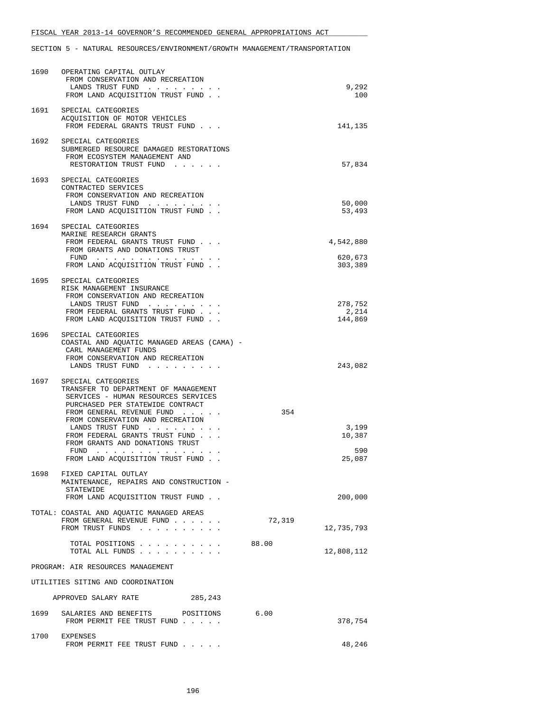| 1690 | OPERATING CAPITAL OUTLAY<br>FROM CONSERVATION AND RECREATION<br>LANDS TRUST FUND<br>FROM LAND ACQUISITION TRUST FUND                                                                                                                                                                                                                                                                                                                                                                                                                                                           |        | 9,292<br>100                     |
|------|--------------------------------------------------------------------------------------------------------------------------------------------------------------------------------------------------------------------------------------------------------------------------------------------------------------------------------------------------------------------------------------------------------------------------------------------------------------------------------------------------------------------------------------------------------------------------------|--------|----------------------------------|
|      | 1691 SPECIAL CATEGORIES<br>ACQUISITION OF MOTOR VEHICLES<br>FROM FEDERAL GRANTS TRUST FUND                                                                                                                                                                                                                                                                                                                                                                                                                                                                                     |        | 141,135                          |
|      | 1692 SPECIAL CATEGORIES<br>SUBMERGED RESOURCE DAMAGED RESTORATIONS<br>FROM ECOSYSTEM MANAGEMENT AND<br>RESTORATION TRUST FUND                                                                                                                                                                                                                                                                                                                                                                                                                                                  |        | 57,834                           |
| 1693 | SPECIAL CATEGORIES<br>CONTRACTED SERVICES<br>FROM CONSERVATION AND RECREATION<br>LANDS TRUST FUND<br>FROM LAND ACQUISITION TRUST FUND                                                                                                                                                                                                                                                                                                                                                                                                                                          |        | 50,000<br>53,493                 |
| 1694 | SPECIAL CATEGORIES<br>MARINE RESEARCH GRANTS<br>FROM FEDERAL GRANTS TRUST FUND<br>FROM GRANTS AND DONATIONS TRUST<br>FUND $\cdots$<br>FROM LAND ACQUISITION TRUST FUND                                                                                                                                                                                                                                                                                                                                                                                                         |        | 4,542,880<br>620,673<br>303,389  |
| 1695 | SPECIAL CATEGORIES<br>RISK MANAGEMENT INSURANCE<br>FROM CONSERVATION AND RECREATION<br>LANDS TRUST FUND<br>FROM FEDERAL GRANTS TRUST FUND<br>FROM LAND ACQUISITION TRUST FUND                                                                                                                                                                                                                                                                                                                                                                                                  |        | 278,752<br>2,214<br>144,869      |
| 1696 | SPECIAL CATEGORIES<br>COASTAL AND AQUATIC MANAGED AREAS (CAMA) -<br>CARL MANAGEMENT FUNDS<br>FROM CONSERVATION AND RECREATION<br>LANDS TRUST FUND                                                                                                                                                                                                                                                                                                                                                                                                                              |        | 243,082                          |
| 1697 | SPECIAL CATEGORIES<br>TRANSFER TO DEPARTMENT OF MANAGEMENT<br>SERVICES - HUMAN RESOURCES SERVICES<br>PURCHASED PER STATEWIDE CONTRACT<br>FROM GENERAL REVENUE FUND<br>FROM CONSERVATION AND RECREATION<br>LANDS TRUST FUND<br>FROM FEDERAL GRANTS TRUST FUND<br>FROM GRANTS AND DONATIONS TRUST<br>FUND<br>and the contract of the contract of the contract of the contract of the contract of the contract of the contract of the contract of the contract of the contract of the contract of the contract of the contract of the contra<br>FROM LAND ACQUISITION TRUST FUND. | 354    | 3,199<br>10,387<br>590<br>25,087 |
| 1698 | FIXED CAPITAL OUTLAY<br>MAINTENANCE, REPAIRS AND CONSTRUCTION -<br>STATEWIDE<br>FROM LAND ACQUISITION TRUST FUND                                                                                                                                                                                                                                                                                                                                                                                                                                                               |        | 200,000                          |
|      | TOTAL: COASTAL AND AQUATIC MANAGED AREAS<br>FROM GENERAL REVENUE FUND<br>FROM TRUST FUNDS                                                                                                                                                                                                                                                                                                                                                                                                                                                                                      | 72,319 | 12,735,793                       |
|      | TOTAL POSITIONS<br>TOTAL ALL FUNDS                                                                                                                                                                                                                                                                                                                                                                                                                                                                                                                                             | 88.00  | 12,808,112                       |
|      | PROGRAM: AIR RESOURCES MANAGEMENT                                                                                                                                                                                                                                                                                                                                                                                                                                                                                                                                              |        |                                  |
|      | UTILITIES SITING AND COORDINATION                                                                                                                                                                                                                                                                                                                                                                                                                                                                                                                                              |        |                                  |
|      | APPROVED SALARY RATE<br>285,243                                                                                                                                                                                                                                                                                                                                                                                                                                                                                                                                                |        |                                  |
| 1699 | SALARIES AND BENEFITS<br>POSITIONS<br>FROM PERMIT FEE TRUST FUND                                                                                                                                                                                                                                                                                                                                                                                                                                                                                                               | 6.00   | 378,754                          |
|      | 1700 EXPENSES<br>FROM PERMIT FEE TRUST FUND                                                                                                                                                                                                                                                                                                                                                                                                                                                                                                                                    |        | 48,246                           |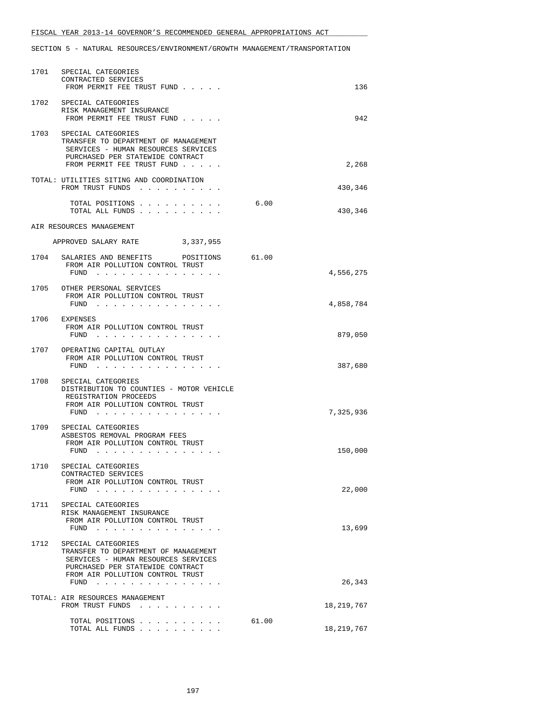| 1701 | SPECIAL CATEGORIES<br>CONTRACTED SERVICES<br>FROM PERMIT FEE TRUST FUND                                                                                                   |       | 136        |
|------|---------------------------------------------------------------------------------------------------------------------------------------------------------------------------|-------|------------|
| 1702 | SPECIAL CATEGORIES<br>RISK MANAGEMENT INSURANCE<br>FROM PERMIT FEE TRUST FUND                                                                                             |       | 942        |
| 1703 | SPECIAL CATEGORIES<br>TRANSFER TO DEPARTMENT OF MANAGEMENT<br>SERVICES - HUMAN RESOURCES SERVICES<br>PURCHASED PER STATEWIDE CONTRACT<br>FROM PERMIT FEE TRUST FUND       |       | 2,268      |
|      | TOTAL: UTILITIES SITING AND COORDINATION<br>FROM TRUST FUNDS                                                                                                              |       | 430,346    |
|      | TOTAL POSITIONS<br>TOTAL ALL FUNDS                                                                                                                                        | 6.00  | 430,346    |
|      | AIR RESOURCES MANAGEMENT                                                                                                                                                  |       |            |
|      | APPROVED SALARY RATE 3,337,955                                                                                                                                            |       |            |
| 1704 | SALARIES AND BENEFITS POSITIONS<br>FROM AIR POLLUTION CONTROL TRUST<br>FUND $\cdots$                                                                                      | 61.00 | 4,556,275  |
|      | 1705 OTHER PERSONAL SERVICES                                                                                                                                              |       |            |
|      | FROM AIR POLLUTION CONTROL TRUST<br>$FUND$                                                                                                                                |       | 4,858,784  |
| 1706 | EXPENSES<br>FROM AIR POLLUTION CONTROL TRUST<br>FUND $\cdots$                                                                                                             |       | 879,050    |
|      | 1707 OPERATING CAPITAL OUTLAY<br>FROM AIR POLLUTION CONTROL TRUST<br>FUND<br>and a series and a series of                                                                 |       | 387,680    |
|      | 1708 SPECIAL CATEGORIES<br>DISTRIBUTION TO COUNTIES - MOTOR VEHICLE<br>REGISTRATION PROCEEDS<br>FROM AIR POLLUTION CONTROL TRUST<br>FUND                                  |       | 7,325,936  |
|      | 1709 SPECIAL CATEGORIES<br>ASBESTOS REMOVAL PROGRAM FEES<br>FROM AIR POLLUTION CONTROL TRUST<br>FUND                                                                      |       | 150,000    |
| 1710 | SPECIAL CATEGORIES<br>CONTRACTED SERVICES<br>FROM AIR POLLUTION CONTROL TRUST<br>FUND<br>and a strain and a strain                                                        |       | 22,000     |
| 1711 | SPECIAL CATEGORIES<br>RISK MANAGEMENT INSURANCE<br>FROM AIR POLLUTION CONTROL TRUST<br>FUND                                                                               |       | 13,699     |
| 1712 | SPECIAL CATEGORIES<br>TRANSFER TO DEPARTMENT OF MANAGEMENT<br>SERVICES - HUMAN RESOURCES SERVICES<br>PURCHASED PER STATEWIDE CONTRACT<br>FROM AIR POLLUTION CONTROL TRUST |       |            |
|      | FUND                                                                                                                                                                      |       | 26,343     |
|      | TOTAL: AIR RESOURCES MANAGEMENT<br>FROM TRUST FUNDS                                                                                                                       |       | 18,219,767 |
|      | TOTAL POSITIONS<br>TOTAL ALL FUNDS                                                                                                                                        | 61.00 | 18,219,767 |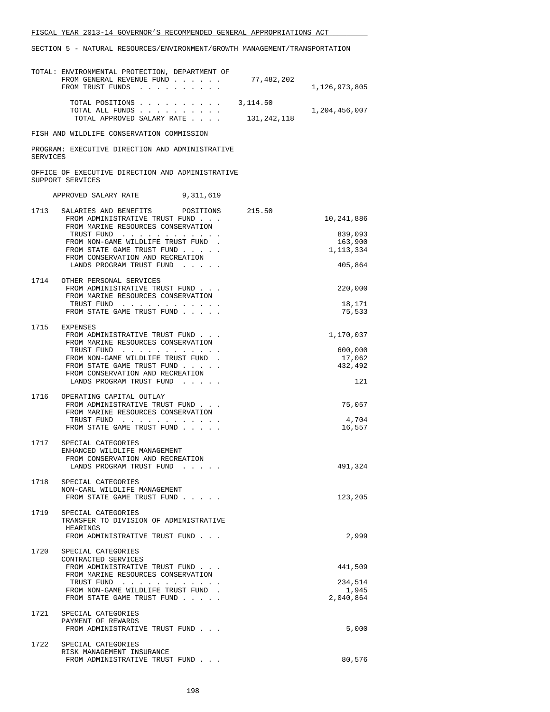|                 | TOTAL: ENVIRONMENTAL PROTECTION, DEPARTMENT OF<br>FROM GENERAL REVENUE FUND<br>FROM TRUST FUNDS | 77,482,202              | 1,126,973,805      |
|-----------------|-------------------------------------------------------------------------------------------------|-------------------------|--------------------|
|                 | TOTAL POSITIONS<br>TOTAL ALL FUNDS<br>TOTAL APPROVED SALARY RATE                                | 3,114.50<br>131,242,118 | 1,204,456,007      |
|                 | FISH AND WILDLIFE CONSERVATION COMMISSION                                                       |                         |                    |
| <b>SERVICES</b> | PROGRAM: EXECUTIVE DIRECTION AND ADMINISTRATIVE                                                 |                         |                    |
|                 | OFFICE OF EXECUTIVE DIRECTION AND ADMINISTRATIVE<br>SUPPORT SERVICES                            |                         |                    |
|                 | 9,311,619<br>APPROVED SALARY RATE                                                               |                         |                    |
| 1713            | SALARIES AND BENEFITS POSITIONS 215.50                                                          |                         |                    |
|                 | FROM ADMINISTRATIVE TRUST FUND<br>FROM MARINE RESOURCES CONSERVATION                            |                         | 10,241,886         |
|                 | TRUST FUND<br>FROM NON-GAME WILDLIFE TRUST FUND.                                                |                         | 839,093<br>163,900 |
|                 | FROM STATE GAME TRUST FUND<br>FROM CONSERVATION AND RECREATION                                  |                         | 1, 113, 334        |
|                 | LANDS PROGRAM TRUST FUND                                                                        |                         | 405,864            |
| 1714            | OTHER PERSONAL SERVICES<br>FROM ADMINISTRATIVE TRUST FUND                                       |                         | 220,000            |
|                 | FROM MARINE RESOURCES CONSERVATION<br>TRUST FUND                                                |                         | 18,171             |
|                 | FROM STATE GAME TRUST FUND                                                                      |                         | 75,533             |
|                 | 1715 EXPENSES<br>FROM ADMINISTRATIVE TRUST FUND                                                 |                         | 1,170,037          |
|                 | FROM MARINE RESOURCES CONSERVATION<br>TRUST FUND                                                |                         | 600,000            |
|                 | FROM NON-GAME WILDLIFE TRUST FUND.<br>FROM STATE GAME TRUST FUND                                |                         | 17,062<br>432,492  |
|                 | FROM CONSERVATION AND RECREATION<br>LANDS PROGRAM TRUST FUND                                    |                         | 121                |
| 1716            | OPERATING CAPITAL OUTLAY                                                                        |                         |                    |
|                 | FROM ADMINISTRATIVE TRUST FUND<br>FROM MARINE RESOURCES CONSERVATION                            |                         | 75,057             |
|                 | TRUST FUND<br>FROM STATE GAME TRUST FUND                                                        |                         | 4,704<br>16,557    |
| 1717            | SPECIAL CATEGORIES<br>ENHANCED WILDLIFE MANAGEMENT                                              |                         |                    |
|                 | FROM CONSERVATION AND RECREATION<br>LANDS PROGRAM TRUST FUND                                    |                         | 491,324            |
|                 | 1718 SPECIAL CATEGORIES                                                                         |                         |                    |
|                 | NON-CARL WILDLIFE MANAGEMENT<br>FROM STATE GAME TRUST FUND                                      |                         | 123,205            |
| 1719            | SPECIAL CATEGORIES                                                                              |                         |                    |
|                 | TRANSFER TO DIVISION OF ADMINISTRATIVE<br>HEARINGS                                              |                         |                    |
|                 | FROM ADMINISTRATIVE TRUST FUND                                                                  |                         | 2,999              |
|                 | 1720 SPECIAL CATEGORIES<br>CONTRACTED SERVICES                                                  |                         |                    |
|                 | FROM ADMINISTRATIVE TRUST FUND<br>FROM MARINE RESOURCES CONSERVATION                            |                         | 441,509            |
|                 | TRUST FUND<br>FROM NON-GAME WILDLIFE TRUST FUND                                                 |                         | 234,514<br>1,945   |
|                 | FROM STATE GAME TRUST FUND                                                                      |                         | 2,040,864          |
| 1721            | SPECIAL CATEGORIES<br>PAYMENT OF REWARDS                                                        |                         |                    |
|                 | FROM ADMINISTRATIVE TRUST FUND                                                                  |                         | 5,000              |
| 1722            | SPECIAL CATEGORIES<br>RISK MANAGEMENT INSURANCE                                                 |                         |                    |
|                 | FROM ADMINISTRATIVE TRUST FUND                                                                  |                         | 80,576             |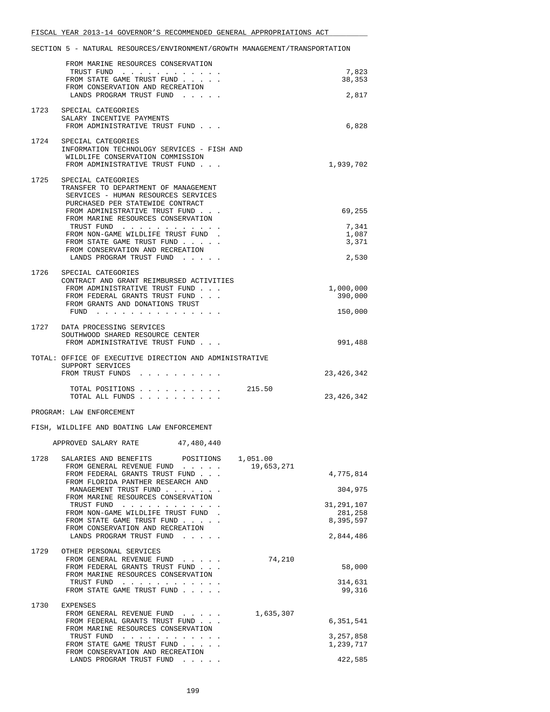|      | FROM MARINE RESOURCES CONSERVATION                                                                                                                                                                                                                                                                                                                                                                                                                                                                 |                       |
|------|----------------------------------------------------------------------------------------------------------------------------------------------------------------------------------------------------------------------------------------------------------------------------------------------------------------------------------------------------------------------------------------------------------------------------------------------------------------------------------------------------|-----------------------|
|      | TRUST FUND<br>FROM STATE GAME TRUST FUND                                                                                                                                                                                                                                                                                                                                                                                                                                                           | 7,823<br>38,353       |
|      | FROM CONSERVATION AND RECREATION                                                                                                                                                                                                                                                                                                                                                                                                                                                                   |                       |
|      | LANDS PROGRAM TRUST FUND                                                                                                                                                                                                                                                                                                                                                                                                                                                                           | 2,817                 |
|      | 1723 SPECIAL CATEGORIES                                                                                                                                                                                                                                                                                                                                                                                                                                                                            |                       |
|      | SALARY INCENTIVE PAYMENTS<br>FROM ADMINISTRATIVE TRUST FUND                                                                                                                                                                                                                                                                                                                                                                                                                                        | 6,828                 |
|      |                                                                                                                                                                                                                                                                                                                                                                                                                                                                                                    |                       |
|      | 1724 SPECIAL CATEGORIES                                                                                                                                                                                                                                                                                                                                                                                                                                                                            |                       |
|      | INFORMATION TECHNOLOGY SERVICES - FISH AND<br>WILDLIFE CONSERVATION COMMISSION                                                                                                                                                                                                                                                                                                                                                                                                                     |                       |
|      | FROM ADMINISTRATIVE TRUST FUND                                                                                                                                                                                                                                                                                                                                                                                                                                                                     | 1,939,702             |
|      | 1725 SPECIAL CATEGORIES                                                                                                                                                                                                                                                                                                                                                                                                                                                                            |                       |
|      | TRANSFER TO DEPARTMENT OF MANAGEMENT                                                                                                                                                                                                                                                                                                                                                                                                                                                               |                       |
|      | SERVICES - HUMAN RESOURCES SERVICES<br>PURCHASED PER STATEWIDE CONTRACT                                                                                                                                                                                                                                                                                                                                                                                                                            |                       |
|      | FROM ADMINISTRATIVE TRUST FUND                                                                                                                                                                                                                                                                                                                                                                                                                                                                     | 69,255                |
|      | FROM MARINE RESOURCES CONSERVATION<br>TRUST FUND                                                                                                                                                                                                                                                                                                                                                                                                                                                   | 7,341                 |
|      | FROM NON-GAME WILDLIFE TRUST FUND                                                                                                                                                                                                                                                                                                                                                                                                                                                                  | 1,087                 |
|      | FROM STATE GAME TRUST FUND<br>FROM CONSERVATION AND RECREATION                                                                                                                                                                                                                                                                                                                                                                                                                                     | 3,371                 |
|      | LANDS PROGRAM TRUST FUND                                                                                                                                                                                                                                                                                                                                                                                                                                                                           | 2,530                 |
| 1726 | SPECIAL CATEGORIES                                                                                                                                                                                                                                                                                                                                                                                                                                                                                 |                       |
|      | CONTRACT AND GRANT REIMBURSED ACTIVITIES                                                                                                                                                                                                                                                                                                                                                                                                                                                           |                       |
|      | FROM ADMINISTRATIVE TRUST FUND<br>FROM FEDERAL GRANTS TRUST FUND                                                                                                                                                                                                                                                                                                                                                                                                                                   | 1,000,000<br>390,000  |
|      | FROM GRANTS AND DONATIONS TRUST                                                                                                                                                                                                                                                                                                                                                                                                                                                                    |                       |
|      | FUND $\cdots$                                                                                                                                                                                                                                                                                                                                                                                                                                                                                      | 150,000               |
|      | 1727 DATA PROCESSING SERVICES                                                                                                                                                                                                                                                                                                                                                                                                                                                                      |                       |
|      | SOUTHWOOD SHARED RESOURCE CENTER                                                                                                                                                                                                                                                                                                                                                                                                                                                                   |                       |
|      | FROM ADMINISTRATIVE TRUST FUND                                                                                                                                                                                                                                                                                                                                                                                                                                                                     | 991,488               |
|      | TOTAL: OFFICE OF EXECUTIVE DIRECTION AND ADMINISTRATIVE                                                                                                                                                                                                                                                                                                                                                                                                                                            |                       |
|      | SUPPORT SERVICES<br>FROM TRUST FUNDS<br>$\mathbf{1} \qquad \mathbf{1} \qquad \mathbf{1} \qquad \mathbf{1} \qquad \mathbf{1} \qquad \mathbf{1} \qquad \mathbf{1} \qquad \mathbf{1} \qquad \mathbf{1} \qquad \mathbf{1} \qquad \mathbf{1} \qquad \mathbf{1} \qquad \mathbf{1} \qquad \mathbf{1} \qquad \mathbf{1} \qquad \mathbf{1} \qquad \mathbf{1} \qquad \mathbf{1} \qquad \mathbf{1} \qquad \mathbf{1} \qquad \mathbf{1} \qquad \mathbf{1} \qquad \mathbf{1} \qquad \mathbf{1} \qquad \mathbf{$ | 23,426,342            |
|      |                                                                                                                                                                                                                                                                                                                                                                                                                                                                                                    |                       |
|      | 215.50<br>TOTAL POSITIONS<br>TOTAL ALL FUNDS                                                                                                                                                                                                                                                                                                                                                                                                                                                       | 23,426,342            |
|      |                                                                                                                                                                                                                                                                                                                                                                                                                                                                                                    |                       |
|      | PROGRAM: LAW ENFORCEMENT                                                                                                                                                                                                                                                                                                                                                                                                                                                                           |                       |
|      | FISH, WILDLIFE AND BOATING LAW ENFORCEMENT                                                                                                                                                                                                                                                                                                                                                                                                                                                         |                       |
|      | APPROVED SALARY RATE 47,480,440                                                                                                                                                                                                                                                                                                                                                                                                                                                                    |                       |
|      |                                                                                                                                                                                                                                                                                                                                                                                                                                                                                                    |                       |
| 1728 | SALARIES AND BENEFITS<br>POSITIONS<br>1,051.00<br>19,653,271<br>FROM GENERAL REVENUE FUND                                                                                                                                                                                                                                                                                                                                                                                                          |                       |
|      | FROM FEDERAL GRANTS TRUST FUND                                                                                                                                                                                                                                                                                                                                                                                                                                                                     | 4,775,814             |
|      | FROM FLORIDA PANTHER RESEARCH AND<br>MANAGEMENT TRUST FUND                                                                                                                                                                                                                                                                                                                                                                                                                                         | 304,975               |
|      | FROM MARINE RESOURCES CONSERVATION                                                                                                                                                                                                                                                                                                                                                                                                                                                                 |                       |
|      | TRUST FUND<br>FROM NON-GAME WILDLIFE TRUST FUND.                                                                                                                                                                                                                                                                                                                                                                                                                                                   | 31,291,107<br>281,258 |
|      | FROM STATE GAME TRUST FUND                                                                                                                                                                                                                                                                                                                                                                                                                                                                         | 8,395,597             |
|      | FROM CONSERVATION AND RECREATION<br>LANDS PROGRAM TRUST FUND                                                                                                                                                                                                                                                                                                                                                                                                                                       | 2,844,486             |
|      |                                                                                                                                                                                                                                                                                                                                                                                                                                                                                                    |                       |
| 1729 | OTHER PERSONAL SERVICES<br>FROM GENERAL REVENUE FUND<br>74,210                                                                                                                                                                                                                                                                                                                                                                                                                                     |                       |
|      | FROM FEDERAL GRANTS TRUST FUND                                                                                                                                                                                                                                                                                                                                                                                                                                                                     | 58,000                |
|      | FROM MARINE RESOURCES CONSERVATION                                                                                                                                                                                                                                                                                                                                                                                                                                                                 | 314,631               |
|      | TRUST FUND<br>FROM STATE GAME TRUST FUND                                                                                                                                                                                                                                                                                                                                                                                                                                                           | 99,316                |
|      |                                                                                                                                                                                                                                                                                                                                                                                                                                                                                                    |                       |
| 1730 | EXPENSES<br>1,635,307<br>FROM GENERAL REVENUE FUND                                                                                                                                                                                                                                                                                                                                                                                                                                                 |                       |
|      | FROM FEDERAL GRANTS TRUST FUND                                                                                                                                                                                                                                                                                                                                                                                                                                                                     | 6,351,541             |
|      | FROM MARINE RESOURCES CONSERVATION<br>TRUST FUND                                                                                                                                                                                                                                                                                                                                                                                                                                                   | 3,257,858             |
|      | FROM STATE GAME TRUST FUND                                                                                                                                                                                                                                                                                                                                                                                                                                                                         | 1,239,717             |
|      | FROM CONSERVATION AND RECREATION<br>LANDS PROGRAM TRUST FUND                                                                                                                                                                                                                                                                                                                                                                                                                                       | 422,585               |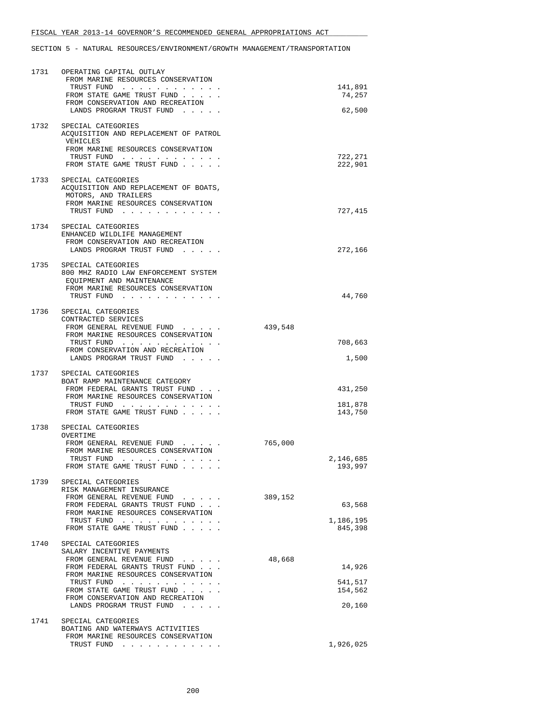| 1731 | OPERATING CAPITAL OUTLAY<br>FROM MARINE RESOURCES CONSERVATION<br>TRUST FUND<br>FROM STATE GAME TRUST FUND<br>FROM CONSERVATION AND RECREATION<br>LANDS PROGRAM TRUST FUND                                                                                       | 141,891<br>74,257<br>62,500                      |
|------|------------------------------------------------------------------------------------------------------------------------------------------------------------------------------------------------------------------------------------------------------------------|--------------------------------------------------|
|      | 1732 SPECIAL CATEGORIES<br>ACQUISITION AND REPLACEMENT OF PATROL<br>VEHICLES<br>FROM MARINE RESOURCES CONSERVATION<br>TRUST FUND<br>FROM STATE GAME TRUST FUND                                                                                                   | 722,271<br>222,901                               |
| 1733 | SPECIAL CATEGORIES<br>ACQUISITION AND REPLACEMENT OF BOATS,<br>MOTORS, AND TRAILERS<br>FROM MARINE RESOURCES CONSERVATION<br>TRUST FUND                                                                                                                          | 727,415                                          |
| 1734 | SPECIAL CATEGORIES<br>ENHANCED WILDLIFE MANAGEMENT<br>FROM CONSERVATION AND RECREATION<br>LANDS PROGRAM TRUST FUND                                                                                                                                               | 272,166                                          |
|      | 1735 SPECIAL CATEGORIES<br>800 MHZ RADIO LAW ENFORCEMENT SYSTEM<br>EQUIPMENT AND MAINTENANCE<br>FROM MARINE RESOURCES CONSERVATION<br>TRUST FUND                                                                                                                 | 44,760                                           |
| 1736 | SPECIAL CATEGORIES<br>CONTRACTED SERVICES<br>FROM GENERAL REVENUE FUND<br>FROM MARINE RESOURCES CONSERVATION<br>TRUST FUND<br>FROM CONSERVATION AND RECREATION<br>LANDS PROGRAM TRUST FUND                                                                       | 439,548<br>708,663<br>1,500                      |
|      | 1737 SPECIAL CATEGORIES<br>BOAT RAMP MAINTENANCE CATEGORY<br>FROM FEDERAL GRANTS TRUST FUND<br>FROM MARINE RESOURCES CONSERVATION<br>TRUST FUND<br>FROM STATE GAME TRUST FUND                                                                                    | 431,250<br>181,878<br>143,750                    |
| 1738 | SPECIAL CATEGORIES<br>OVERTIME<br>FROM GENERAL REVENUE FUND<br>FROM MARINE RESOURCES CONSERVATION<br>TRUST FUND<br>FROM STATE GAME TRUST FUND                                                                                                                    | 765,000<br>2,146,685<br>193,997                  |
|      | 1739 SPECIAL CATEGORIES<br>RISK MANAGEMENT INSURANCE<br>FROM GENERAL REVENUE FUND<br>FROM FEDERAL GRANTS TRUST FUND.<br>FROM MARINE RESOURCES CONSERVATION<br>TRUST FUND<br>FROM STATE GAME TRUST FUND                                                           | 389,152<br>63,568<br>1,186,195<br>845,398        |
| 1740 | SPECIAL CATEGORIES<br>SALARY INCENTIVE PAYMENTS<br>FROM GENERAL REVENUE FUND<br>FROM FEDERAL GRANTS TRUST FUND<br>FROM MARINE RESOURCES CONSERVATION<br>TRUST FUND<br>FROM STATE GAME TRUST FUND<br>FROM CONSERVATION AND RECREATION<br>LANDS PROGRAM TRUST FUND | 48,668<br>14,926<br>541,517<br>154,562<br>20,160 |
| 1741 | SPECIAL CATEGORIES<br>BOATING AND WATERWAYS ACTIVITIES<br>FROM MARINE RESOURCES CONSERVATION<br>TRUST FUND                                                                                                                                                       | 1,926,025                                        |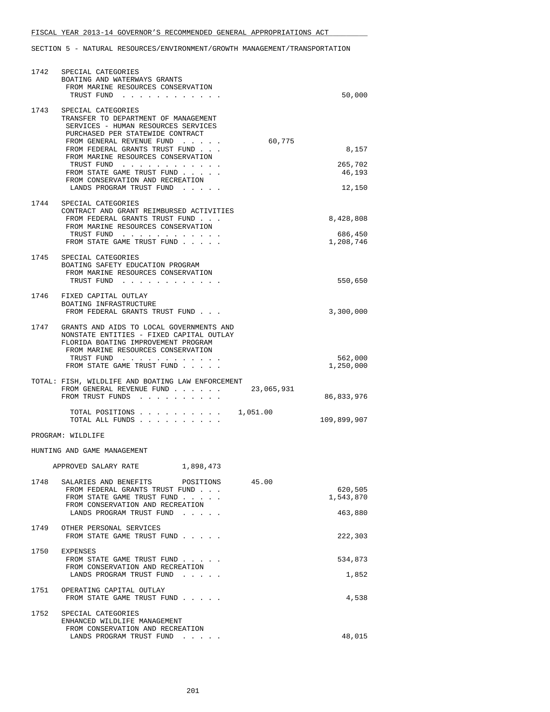| 1742 | SPECIAL CATEGORIES<br>BOATING AND WATERWAYS GRANTS<br>FROM MARINE RESOURCES CONSERVATION<br>TRUST FUND                                                                            | 50,000               |
|------|-----------------------------------------------------------------------------------------------------------------------------------------------------------------------------------|----------------------|
|      | 1743 SPECIAL CATEGORIES<br>TRANSFER TO DEPARTMENT OF MANAGEMENT<br>SERVICES - HUMAN RESOURCES SERVICES<br>PURCHASED PER STATEWIDE CONTRACT<br>60,775<br>FROM GENERAL REVENUE FUND |                      |
|      | FROM FEDERAL GRANTS TRUST FUND<br>FROM MARINE RESOURCES CONSERVATION                                                                                                              | 8,157                |
|      | TRUST FUND<br>FROM STATE GAME TRUST FUND<br>FROM CONSERVATION AND RECREATION                                                                                                      | 265,702<br>46,193    |
| 1744 | LANDS PROGRAM TRUST FUND<br>SPECIAL CATEGORIES                                                                                                                                    | 12,150               |
|      | CONTRACT AND GRANT REIMBURSED ACTIVITIES<br>FROM FEDERAL GRANTS TRUST FUND<br>FROM MARINE RESOURCES CONSERVATION                                                                  | 8,428,808            |
|      | TRUST FUND<br>FROM STATE GAME TRUST FUND                                                                                                                                          | 686,450<br>1,208,746 |
| 1745 | SPECIAL CATEGORIES<br>BOATING SAFETY EDUCATION PROGRAM<br>FROM MARINE RESOURCES CONSERVATION<br>TRUST FUND                                                                        | 550,650              |
| 1746 | FIXED CAPITAL OUTLAY<br>BOATING INFRASTRUCTURE                                                                                                                                    |                      |
| 1747 | FROM FEDERAL GRANTS TRUST FUND<br>GRANTS AND AIDS TO LOCAL GOVERNMENTS AND<br>NONSTATE ENTITIES - FIXED CAPITAL OUTLAY<br>FLORIDA BOATING IMPROVEMENT PROGRAM                     | 3,300,000            |
|      | FROM MARINE RESOURCES CONSERVATION<br>TRUST FUND<br>FROM STATE GAME TRUST FUND                                                                                                    | 562,000<br>1,250,000 |
|      | TOTAL: FISH, WILDLIFE AND BOATING LAW ENFORCEMENT<br>23,065,931<br>FROM GENERAL REVENUE FUND<br>FROM TRUST FUNDS                                                                  | 86,833,976           |
|      | TOTAL POSITIONS $\ldots$ , 1,051.00<br>TOTAL ALL FUNDS                                                                                                                            | 109,899,907          |
|      | PROGRAM: WILDLIFE                                                                                                                                                                 |                      |
|      | HUNTING AND GAME MANAGEMENT                                                                                                                                                       |                      |
|      | APPROVED SALARY RATE<br>1,898,473                                                                                                                                                 |                      |
|      | 1748 SALARIES AND BENEFITS<br>POSITIONS<br>45.00<br>FROM FEDERAL GRANTS TRUST FUND<br>FROM STATE GAME TRUST FUND                                                                  | 620,505<br>1,543,870 |
|      | FROM CONSERVATION AND RECREATION<br>LANDS PROGRAM TRUST FUND                                                                                                                      | 463,880              |
| 1749 | OTHER PERSONAL SERVICES<br>FROM STATE GAME TRUST FUND                                                                                                                             | 222,303              |
| 1750 | EXPENSES<br>FROM STATE GAME TRUST FUND                                                                                                                                            | 534,873              |
|      | FROM CONSERVATION AND RECREATION<br>LANDS PROGRAM TRUST FUND                                                                                                                      | 1,852                |
| 1751 | OPERATING CAPITAL OUTLAY<br>FROM STATE GAME TRUST FUND                                                                                                                            | 4,538                |
| 1752 | SPECIAL CATEGORIES<br>ENHANCED WILDLIFE MANAGEMENT<br>FROM CONSERVATION AND RECREATION                                                                                            |                      |
|      | LANDS PROGRAM TRUST FUND<br>$\cdots$                                                                                                                                              | 48,015               |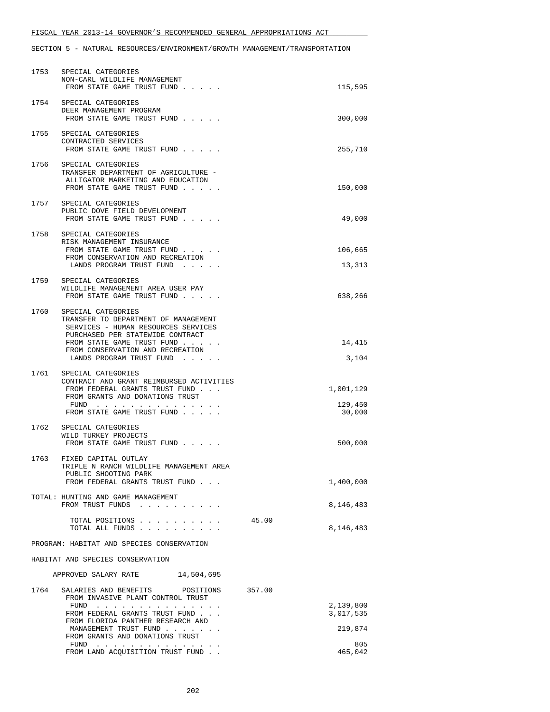| 1753 | SPECIAL CATEGORIES<br>NON-CARL WILDLIFE MANAGEMENT<br>FROM STATE GAME TRUST FUND                                                                                                                                                    | 115,595                        |
|------|-------------------------------------------------------------------------------------------------------------------------------------------------------------------------------------------------------------------------------------|--------------------------------|
| 1754 | SPECIAL CATEGORIES<br>DEER MANAGEMENT PROGRAM<br>FROM STATE GAME TRUST FUND                                                                                                                                                         | 300,000                        |
|      | 1755 SPECIAL CATEGORIES<br>CONTRACTED SERVICES<br>FROM STATE GAME TRUST FUND                                                                                                                                                        | 255,710                        |
|      | 1756 SPECIAL CATEGORIES<br>TRANSFER DEPARTMENT OF AGRICULTURE -<br>ALLIGATOR MARKETING AND EDUCATION<br>FROM STATE GAME TRUST FUND                                                                                                  | 150,000                        |
|      | 1757 SPECIAL CATEGORIES<br>PUBLIC DOVE FIELD DEVELOPMENT<br>FROM STATE GAME TRUST FUND                                                                                                                                              | 49,000                         |
|      | 1758 SPECIAL CATEGORIES<br>RISK MANAGEMENT INSURANCE<br>FROM STATE GAME TRUST FUND<br>FROM CONSERVATION AND RECREATION<br>LANDS PROGRAM TRUST FUND                                                                                  | 106,665<br>13,313              |
| 1759 | SPECIAL CATEGORIES<br>WILDLIFE MANAGEMENT AREA USER PAY<br>FROM STATE GAME TRUST FUND                                                                                                                                               | 638,266                        |
| 1760 | SPECIAL CATEGORIES<br>TRANSFER TO DEPARTMENT OF MANAGEMENT<br>SERVICES - HUMAN RESOURCES SERVICES<br>PURCHASED PER STATEWIDE CONTRACT<br>FROM STATE GAME TRUST FUND<br>FROM CONSERVATION AND RECREATION<br>LANDS PROGRAM TRUST FUND | 14,415<br>3,104                |
| 1761 | SPECIAL CATEGORIES<br>CONTRACT AND GRANT REIMBURSED ACTIVITIES<br>FROM FEDERAL GRANTS TRUST FUND<br>FROM GRANTS AND DONATIONS TRUST<br>FUND<br>FROM STATE GAME TRUST FUND                                                           | 1,001,129<br>129,450<br>30,000 |
| 1762 | SPECIAL CATEGORIES<br>WILD TURKEY PROJECTS<br>FROM STATE GAME TRUST FUND                                                                                                                                                            | 500,000                        |
| 1763 | FIXED CAPITAL OUTLAY<br>TRIPLE N RANCH WILDLIFE MANAGEMENT AREA<br>PUBLIC SHOOTING PARK<br>FROM FEDERAL GRANTS TRUST FUND                                                                                                           | 1,400,000                      |
|      | TOTAL: HUNTING AND GAME MANAGEMENT<br>FROM TRUST FUNDS                                                                                                                                                                              | 8,146,483                      |
|      | TOTAL POSITIONS<br>TOTAL ALL FUNDS                                                                                                                                                                                                  | 45.00<br>8,146,483             |
|      | PROGRAM: HABITAT AND SPECIES CONSERVATION                                                                                                                                                                                           |                                |
|      | HABITAT AND SPECIES CONSERVATION                                                                                                                                                                                                    |                                |
|      | APPROVED SALARY RATE<br>14,504,695                                                                                                                                                                                                  |                                |
| 1764 | SALARIES AND BENEFITS POSITIONS<br>FROM INVASIVE PLANT CONTROL TRUST<br>FUND                                                                                                                                                        | 357.00<br>2,139,800            |
|      | FROM FEDERAL GRANTS TRUST FUND<br>FROM FLORIDA PANTHER RESEARCH AND<br>MANAGEMENT TRUST FUND                                                                                                                                        | 3,017,535<br>219,874           |
|      | FROM GRANTS AND DONATIONS TRUST<br>FUND $\cdots$                                                                                                                                                                                    | 805                            |
|      | FROM LAND ACQUISITION TRUST FUND                                                                                                                                                                                                    | 465,042                        |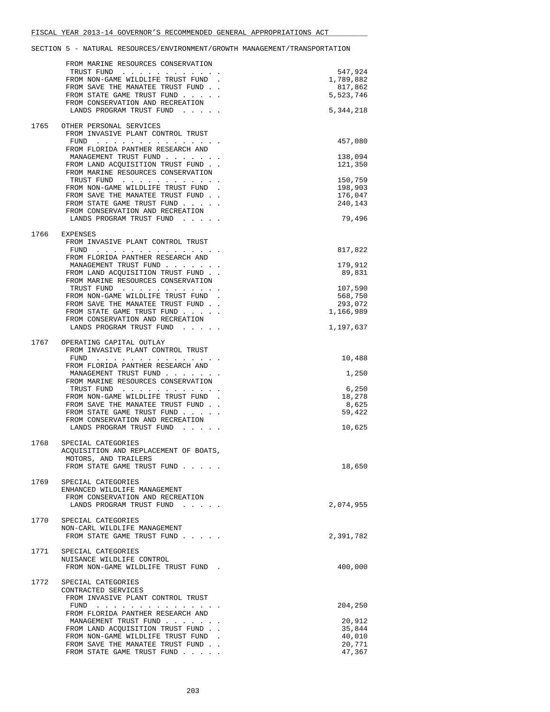|      | FROM MARINE RESOURCES CONSERVATION                                      |                      |
|------|-------------------------------------------------------------------------|----------------------|
|      | TRUST FUND                                                              | 547,924              |
|      | FROM NON-GAME WILDLIFE TRUST FUND<br>FROM SAVE THE MANATEE TRUST FUND.  | 1,789,882<br>817,862 |
|      | FROM STATE GAME TRUST FUND                                              | 5,523,746            |
|      | FROM CONSERVATION AND RECREATION                                        |                      |
|      | LANDS PROGRAM TRUST FUND                                                | 5,344,218            |
| 1765 | OTHER PERSONAL SERVICES                                                 |                      |
|      | FROM INVASIVE PLANT CONTROL TRUST                                       |                      |
|      | FUND $\cdots$                                                           | 457,080              |
|      | FROM FLORIDA PANTHER RESEARCH AND                                       |                      |
|      | MANAGEMENT TRUST FUND<br>FROM LAND ACQUISITION TRUST FUND               | 138,094<br>121,350   |
|      | FROM MARINE RESOURCES CONSERVATION                                      |                      |
|      | TRUST FUND                                                              | 150,759              |
|      | FROM NON-GAME WILDLIFE TRUST FUND.                                      | 198,903              |
|      | FROM SAVE THE MANATEE TRUST FUND.                                       | 176,047              |
|      | FROM STATE GAME TRUST FUND<br>FROM CONSERVATION AND RECREATION          | 240,143              |
|      | LANDS PROGRAM TRUST FUND                                                | 79,496               |
|      |                                                                         |                      |
| 1766 | EXPENSES                                                                |                      |
|      | FROM INVASIVE PLANT CONTROL TRUST                                       |                      |
|      | FUND $\cdots$<br>FROM FLORIDA PANTHER RESEARCH AND                      | 817,822              |
|      | MANAGEMENT TRUST FUND                                                   | 179,912              |
|      | FROM LAND ACQUISITION TRUST FUND                                        | 89,831               |
|      | FROM MARINE RESOURCES CONSERVATION                                      |                      |
|      | TRUST FUND                                                              | 107,590              |
|      | FROM NON-GAME WILDLIFE TRUST FUND.<br>FROM SAVE THE MANATEE TRUST FUND. | 568,750<br>293,072   |
|      | FROM STATE GAME TRUST FUND                                              | 1,166,989            |
|      | FROM CONSERVATION AND RECREATION                                        |                      |
|      | LANDS PROGRAM TRUST FUND                                                | 1,197,637            |
|      |                                                                         |                      |
| 1767 | OPERATING CAPITAL OUTLAY<br>FROM INVASIVE PLANT CONTROL TRUST           |                      |
|      |                                                                         | 10,488               |
|      | FROM FLORIDA PANTHER RESEARCH AND                                       |                      |
|      | MANAGEMENT TRUST FUND                                                   | 1,250                |
|      | FROM MARINE RESOURCES CONSERVATION                                      |                      |
|      | TRUST FUND<br>FROM NON-GAME WILDLIFE TRUST FUND.                        | 6,250<br>18,278      |
|      | FROM SAVE THE MANATEE TRUST FUND.                                       | 8,625                |
|      | FROM STATE GAME TRUST FUND                                              | 59,422               |
|      | FROM CONSERVATION AND RECREATION                                        |                      |
|      | LANDS PROGRAM TRUST FUND                                                | 10,625               |
| 1768 | SPECIAL CATEGORIES                                                      |                      |
|      | ACQUISITION AND REPLACEMENT OF BOATS,                                   |                      |
|      | MOTORS, AND TRAILERS                                                    |                      |
|      | FROM STATE GAME TRUST FUND                                              | 18,650               |
| 1769 | SPECIAL CATEGORIES                                                      |                      |
|      | ENHANCED WILDLIFE MANAGEMENT                                            |                      |
|      | FROM CONSERVATION AND RECREATION                                        |                      |
|      | LANDS PROGRAM TRUST FUND                                                | 2,074,955            |
|      |                                                                         |                      |
| 1770 | SPECIAL CATEGORIES<br>NON-CARL WILDLIFE MANAGEMENT                      |                      |
|      | FROM STATE GAME TRUST FUND                                              | 2,391,782            |
|      |                                                                         |                      |
| 1771 | SPECIAL CATEGORIES                                                      |                      |
|      | NUISANCE WILDLIFE CONTROL                                               |                      |
|      | FROM NON-GAME WILDLIFE TRUST FUND.                                      | 400,000              |
| 1772 | SPECIAL CATEGORIES                                                      |                      |
|      | CONTRACTED SERVICES                                                     |                      |
|      | FROM INVASIVE PLANT CONTROL TRUST                                       |                      |
|      |                                                                         | 204,250              |
|      | FROM FLORIDA PANTHER RESEARCH AND<br>MANAGEMENT TRUST FUND              | 20,912               |
|      | FROM LAND ACQUISITION TRUST FUND.                                       | 35,844               |
|      | FROM NON-GAME WILDLIFE TRUST FUND.                                      | 40,010               |
|      | FROM SAVE THE MANATEE TRUST FUND.                                       | 20,771               |
|      | FROM STATE GAME TRUST FUND                                              | 47,367               |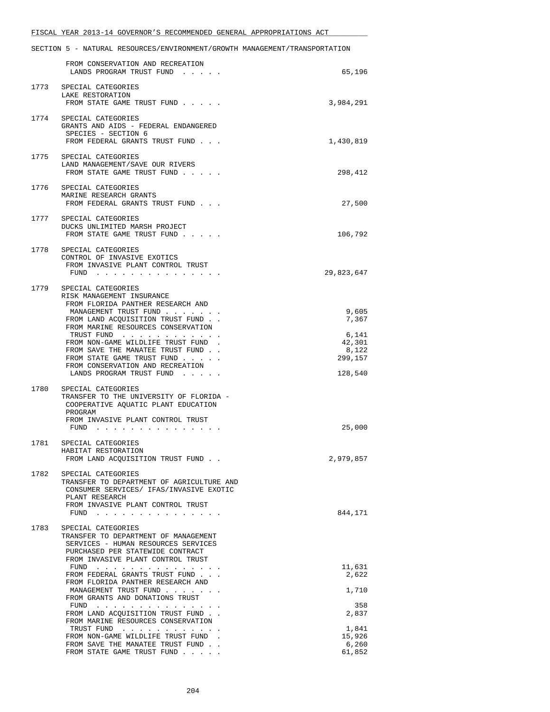|      | FROM CONSERVATION AND RECREATION<br>LANDS PROGRAM TRUST FUND                                                                                                                                  | 65,196                                         |
|------|-----------------------------------------------------------------------------------------------------------------------------------------------------------------------------------------------|------------------------------------------------|
| 1773 | SPECIAL CATEGORIES<br>LAKE RESTORATION<br>FROM STATE GAME TRUST FUND                                                                                                                          | 3,984,291                                      |
| 1774 | SPECIAL CATEGORIES<br>GRANTS AND AIDS - FEDERAL ENDANGERED<br>SPECIES - SECTION 6<br>FROM FEDERAL GRANTS TRUST FUND                                                                           | 1,430,819                                      |
| 1775 | SPECIAL CATEGORIES<br>LAND MANAGEMENT/SAVE OUR RIVERS<br>FROM STATE GAME TRUST FUND                                                                                                           | 298,412                                        |
| 1776 | SPECIAL CATEGORIES<br>MARINE RESEARCH GRANTS<br>FROM FEDERAL GRANTS TRUST FUND                                                                                                                | 27,500                                         |
|      | 1777 SPECIAL CATEGORIES<br>DUCKS UNLIMITED MARSH PROJECT<br>FROM STATE GAME TRUST FUND                                                                                                        | 106,792                                        |
| 1778 | SPECIAL CATEGORIES<br>CONTROL OF INVASIVE EXOTICS<br>FROM INVASIVE PLANT CONTROL TRUST<br>$FUND$                                                                                              | 29,823,647                                     |
|      | 1779 SPECIAL CATEGORIES<br>RISK MANAGEMENT INSURANCE<br>FROM FLORIDA PANTHER RESEARCH AND<br>MANAGEMENT TRUST FUND<br>FROM LAND ACQUISITION TRUST FUND.<br>FROM MARINE RESOURCES CONSERVATION | 9,605<br>7,367                                 |
|      | TRUST FUND<br>FROM NON-GAME WILDLIFE TRUST FUND<br>FROM SAVE THE MANATEE TRUST FUND.<br>FROM STATE GAME TRUST FUND<br>FROM CONSERVATION AND RECREATION<br>LANDS PROGRAM TRUST FUND            | 6,141<br>42,301<br>8,122<br>299,157<br>128,540 |
| 1780 | SPECIAL CATEGORIES<br>TRANSFER TO THE UNIVERSITY OF FLORIDA -<br>COOPERATIVE AQUATIC PLANT EDUCATION<br>PROGRAM<br>FROM INVASIVE PLANT CONTROL TRUST<br>FUND $\cdots$ $\cdots$ $\cdots$       | 25,000                                         |
| 1781 | SPECIAL CATEGORIES<br>HABITAT RESTORATION<br>FROM LAND ACQUISITION TRUST FUND                                                                                                                 | 2,979,857                                      |
| 1782 | SPECIAL CATEGORIES<br>TRANSFER TO DEPARTMENT OF AGRICULTURE AND<br>CONSUMER SERVICES/ IFAS/INVASIVE EXOTIC<br>PLANT RESEARCH<br>FROM INVASIVE PLANT CONTROL TRUST<br>FUND $\cdots$            | 844,171                                        |
| 1783 | SPECIAL CATEGORIES<br>TRANSFER TO DEPARTMENT OF MANAGEMENT<br>SERVICES - HUMAN RESOURCES SERVICES<br>PURCHASED PER STATEWIDE CONTRACT<br>FROM INVASIVE PLANT CONTROL TRUST                    |                                                |
|      | FUND<br>FROM FEDERAL GRANTS TRUST FUND<br>FROM FLORIDA PANTHER RESEARCH AND                                                                                                                   | 11,631<br>2,622                                |
|      | MANAGEMENT TRUST FUND<br>FROM GRANTS AND DONATIONS TRUST                                                                                                                                      | 1,710                                          |
|      | FROM LAND ACQUISITION TRUST FUND<br>FROM MARINE RESOURCES CONSERVATION                                                                                                                        | 358<br>2,837                                   |
|      | TRUST FUND<br>FROM NON-GAME WILDLIFE TRUST FUND.<br>FROM SAVE THE MANATEE TRUST FUND.<br>FROM STATE GAME TRUST FUND                                                                           | 1,841<br>15,926<br>6,260<br>61,852             |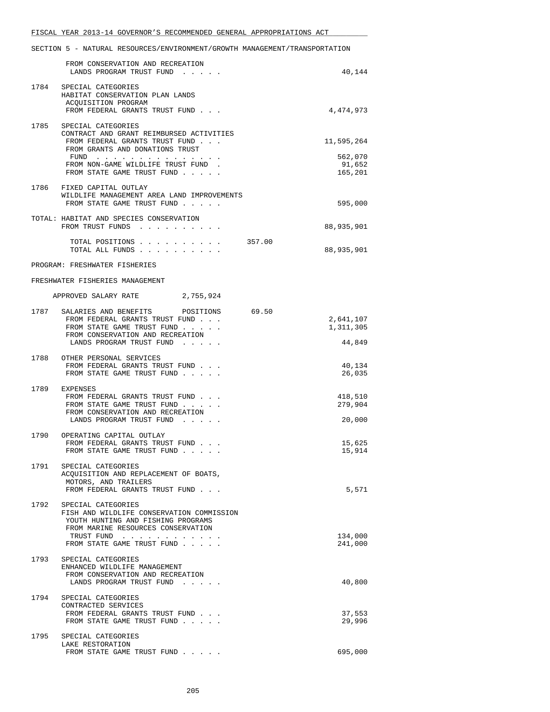|      | FROM CONSERVATION AND RECREATION<br>LANDS PROGRAM TRUST FUND                                                   |       | 40,144                 |
|------|----------------------------------------------------------------------------------------------------------------|-------|------------------------|
| 1784 | SPECIAL CATEGORIES<br>HABITAT CONSERVATION PLAN LANDS<br>ACQUISITION PROGRAM<br>FROM FEDERAL GRANTS TRUST FUND |       | 4,474,973              |
| 1785 | SPECIAL CATEGORIES                                                                                             |       |                        |
|      | CONTRACT AND GRANT REIMBURSED ACTIVITIES<br>FROM FEDERAL GRANTS TRUST FUND                                     |       | 11,595,264             |
|      | FROM GRANTS AND DONATIONS TRUST<br>FUND $\cdots$                                                               |       | 562,070                |
|      | FROM NON-GAME WILDLIFE TRUST FUND.<br>FROM STATE GAME TRUST FUND                                               |       | 91,652<br>165,201      |
|      | 1786 FIXED CAPITAL OUTLAY<br>WILDLIFE MANAGEMENT AREA LAND IMPROVEMENTS<br>FROM STATE GAME TRUST FUND          |       | 595,000                |
|      | TOTAL: HABITAT AND SPECIES CONSERVATION<br>FROM TRUST FUNDS                                                    |       | 88,935,901             |
|      | TOTAL POSITIONS 357.00<br>TOTAL ALL FUNDS                                                                      |       | 88,935,901             |
|      | PROGRAM: FRESHWATER FISHERIES                                                                                  |       |                        |
|      | FRESHWATER FISHERIES MANAGEMENT                                                                                |       |                        |
|      | APPROVED SALARY RATE 2,755,924                                                                                 |       |                        |
|      | 1787 SALARIES AND BENEFITS POSITIONS                                                                           | 69.50 |                        |
|      | FROM FEDERAL GRANTS TRUST FUND<br>FROM STATE GAME TRUST FUND                                                   |       | 2,641,107<br>1,311,305 |
|      | FROM CONSERVATION AND RECREATION<br>LANDS PROGRAM TRUST FUND                                                   |       | 44,849                 |
|      | 1788 OTHER PERSONAL SERVICES<br>FROM FEDERAL GRANTS TRUST FUND<br>FROM STATE GAME TRUST FUND                   |       | 40,134<br>26,035       |
|      | 1789 EXPENSES<br>FROM FEDERAL GRANTS TRUST FUND                                                                |       | 418,510                |
|      | FROM STATE GAME TRUST FUND<br>FROM CONSERVATION AND RECREATION                                                 |       | 279,904                |
|      | LANDS PROGRAM TRUST FUND                                                                                       |       | 20,000                 |
|      | 1790 OPERATING CAPITAL OUTLAY<br>FROM FEDERAL GRANTS TRUST FUND                                                |       | 15,625                 |
|      | FROM STATE GAME TRUST FUND                                                                                     |       | 15,914                 |
| 1791 | SPECIAL CATEGORIES<br>ACQUISITION AND REPLACEMENT OF BOATS,                                                    |       |                        |
|      | MOTORS, AND TRAILERS<br>FROM FEDERAL GRANTS TRUST FUND                                                         |       | 5,571                  |
| 1792 | SPECIAL CATEGORIES<br>FISH AND WILDLIFE CONSERVATION COMMISSION<br>YOUTH HUNTING AND FISHING PROGRAMS          |       |                        |
|      | FROM MARINE RESOURCES CONSERVATION<br>TRUST FUND                                                               |       | 134,000                |
|      | FROM STATE GAME TRUST FUND                                                                                     |       | 241,000                |
| 1793 | SPECIAL CATEGORIES<br>ENHANCED WILDLIFE MANAGEMENT                                                             |       |                        |
|      | FROM CONSERVATION AND RECREATION<br>LANDS PROGRAM TRUST FUND                                                   |       | 40,800                 |
| 1794 | SPECIAL CATEGORIES                                                                                             |       |                        |
|      | CONTRACTED SERVICES<br>FROM FEDERAL GRANTS TRUST FUND                                                          |       | 37,553                 |
|      | FROM STATE GAME TRUST FUND                                                                                     |       | 29,996                 |
| 1795 | SPECIAL CATEGORIES<br>LAKE RESTORATION                                                                         |       |                        |
|      | FROM STATE GAME TRUST FUND                                                                                     |       | 695,000                |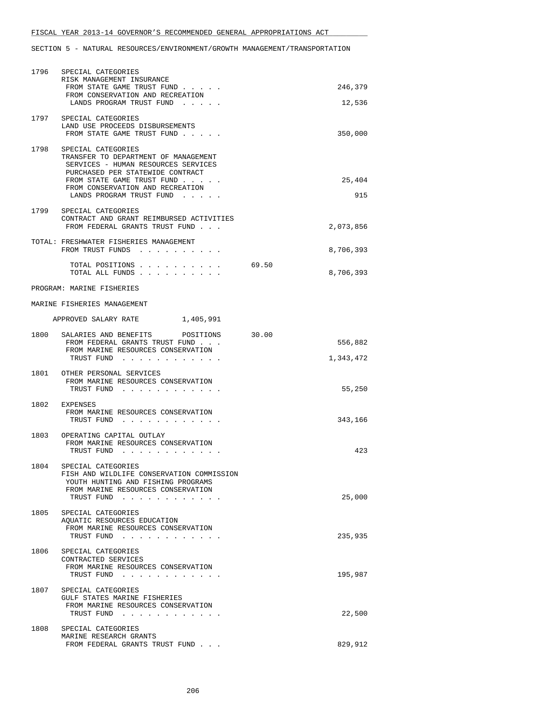| 1796 | SPECIAL CATEGORIES<br>RISK MANAGEMENT INSURANCE<br>FROM STATE GAME TRUST FUND<br>FROM CONSERVATION AND RECREATION<br>LANDS PROGRAM TRUST FUND                            | 246,379<br>12,536             |
|------|--------------------------------------------------------------------------------------------------------------------------------------------------------------------------|-------------------------------|
|      | 1797 SPECIAL CATEGORIES<br>LAND USE PROCEEDS DISBURSEMENTS<br>FROM STATE GAME TRUST FUND                                                                                 | 350,000                       |
|      | 1798 SPECIAL CATEGORIES<br>TRANSFER TO DEPARTMENT OF MANAGEMENT<br>SERVICES - HUMAN RESOURCES SERVICES<br>PURCHASED PER STATEWIDE CONTRACT<br>FROM STATE GAME TRUST FUND | 25,404                        |
|      | FROM CONSERVATION AND RECREATION<br>LANDS PROGRAM TRUST FUND                                                                                                             | 915                           |
| 1799 | SPECIAL CATEGORIES<br>CONTRACT AND GRANT REIMBURSED ACTIVITIES<br>FROM FEDERAL GRANTS TRUST FUND                                                                         | 2,073,856                     |
|      | TOTAL: FRESHWATER FISHERIES MANAGEMENT<br>FROM TRUST FUNDS                                                                                                               | 8,706,393                     |
|      | TOTAL POSITIONS<br>TOTAL ALL FUNDS                                                                                                                                       | 69.50<br>8,706,393            |
|      | PROGRAM: MARINE FISHERIES                                                                                                                                                |                               |
|      | MARINE FISHERIES MANAGEMENT                                                                                                                                              |                               |
|      | APPROVED SALARY RATE 1,405,991                                                                                                                                           |                               |
|      | 1800 SALARIES AND BENEFITS<br>POSITIONS<br>FROM FEDERAL GRANTS TRUST FUND<br>FROM MARINE RESOURCES CONSERVATION<br>TRUST FUND                                            | 30.00<br>556,882<br>1,343,472 |
|      | 1801 OTHER PERSONAL SERVICES<br>FROM MARINE RESOURCES CONSERVATION                                                                                                       |                               |
|      | TRUST FUND                                                                                                                                                               | 55,250                        |
|      | 1802 EXPENSES<br>FROM MARINE RESOURCES CONSERVATION<br>TRUST FUND                                                                                                        | 343,166                       |
|      | 1803 OPERATING CAPITAL OUTLAY<br>FROM MARINE RESOURCES CONSERVATION<br>TRUST FUND                                                                                        | 423                           |
| 1804 | SPECIAL CATEGORIES<br>FISH AND WILDLIFE CONSERVATION COMMISSION<br>YOUTH HUNTING AND FISHING PROGRAMS<br>FROM MARINE RESOURCES CONSERVATION                              |                               |
| 1805 | TRUST FUND<br>SPECIAL CATEGORIES                                                                                                                                         | 25,000                        |
|      | AQUATIC RESOURCES EDUCATION<br>FROM MARINE RESOURCES CONSERVATION<br>TRUST FUND                                                                                          | 235,935                       |
| 1806 | SPECIAL CATEGORIES<br>CONTRACTED SERVICES<br>FROM MARINE RESOURCES CONSERVATION<br>TRUST FUND                                                                            | 195,987                       |
| 1807 | SPECIAL CATEGORIES<br>GULF STATES MARINE FISHERIES<br>FROM MARINE RESOURCES CONSERVATION<br>TRUST FUND                                                                   | 22,500                        |
| 1808 | SPECIAL CATEGORIES<br>MARINE RESEARCH GRANTS<br>FROM FEDERAL GRANTS TRUST FUND                                                                                           | 829,912                       |
|      |                                                                                                                                                                          |                               |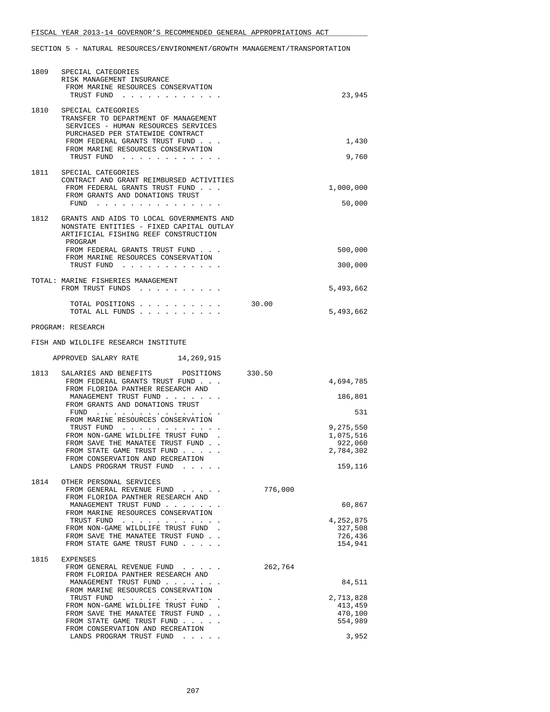| 1809 | SPECIAL CATEGORIES<br>RISK MANAGEMENT INSURANCE<br>FROM MARINE RESOURCES CONSERVATION<br>TRUST FUND                                                                                                                                                                 |         | 23,945                                                           |
|------|---------------------------------------------------------------------------------------------------------------------------------------------------------------------------------------------------------------------------------------------------------------------|---------|------------------------------------------------------------------|
| 1810 | SPECIAL CATEGORIES<br>TRANSFER TO DEPARTMENT OF MANAGEMENT<br>SERVICES - HUMAN RESOURCES SERVICES<br>PURCHASED PER STATEWIDE CONTRACT<br>FROM FEDERAL GRANTS TRUST FUND<br>FROM MARINE RESOURCES CONSERVATION<br>TRUST FUND                                         |         | 1,430<br>9,760                                                   |
|      | 1811 SPECIAL CATEGORIES<br>CONTRACT AND GRANT REIMBURSED ACTIVITIES<br>FROM FEDERAL GRANTS TRUST FUND<br>FROM GRANTS AND DONATIONS TRUST<br>FUND $\cdots$                                                                                                           |         | 1,000,000<br>50,000                                              |
| 1812 | GRANTS AND AIDS TO LOCAL GOVERNMENTS AND<br>NONSTATE ENTITIES - FIXED CAPITAL OUTLAY<br>ARTIFICIAL FISHING REEF CONSTRUCTION<br>PROGRAM<br>FROM FEDERAL GRANTS TRUST FUND<br>FROM MARINE RESOURCES CONSERVATION<br>TRUST FUND                                       |         | 500,000<br>300,000                                               |
|      | TOTAL: MARINE FISHERIES MANAGEMENT<br>FROM TRUST FUNDS<br>TOTAL POSITIONS                                                                                                                                                                                           | 30.00   | 5,493,662                                                        |
|      | TOTAL ALL FUNDS<br>PROGRAM: RESEARCH                                                                                                                                                                                                                                |         | 5,493,662                                                        |
|      | FISH AND WILDLIFE RESEARCH INSTITUTE                                                                                                                                                                                                                                |         |                                                                  |
|      | APPROVED SALARY RATE 14,269,915                                                                                                                                                                                                                                     |         |                                                                  |
| 1813 | SALARIES AND BENEFITS POSITIONS 330.50                                                                                                                                                                                                                              |         |                                                                  |
|      | FROM FEDERAL GRANTS TRUST FUND<br>FROM FLORIDA PANTHER RESEARCH AND<br>MANAGEMENT TRUST FUND                                                                                                                                                                        |         | 4,694,785<br>186,801                                             |
|      | FROM GRANTS AND DONATIONS TRUST<br>FUND<br>FROM MARINE RESOURCES CONSERVATION<br>TRUST FUND<br>FROM NON-GAME WILDLIFE TRUST FUND<br>FROM SAVE THE MANATEE TRUST FUND.<br>FROM STATE GAME TRUST FUND<br>FROM CONSERVATION AND RECREATION<br>LANDS PROGRAM TRUST FUND |         | 531<br>9,275,550<br>1,075,516<br>922,060<br>2,784,302<br>159,116 |
| 1814 | OTHER PERSONAL SERVICES<br>FROM GENERAL REVENUE FUND<br>FROM FLORIDA PANTHER RESEARCH AND<br>MANAGEMENT TRUST FUND<br>FROM MARINE RESOURCES CONSERVATION<br>TRUST FUND                                                                                              | 776,000 | 60,867<br>4,252,875                                              |
|      | FROM NON-GAME WILDLIFE TRUST FUND.<br>FROM SAVE THE MANATEE TRUST FUND.<br>FROM STATE GAME TRUST FUND                                                                                                                                                               |         | 327,508<br>726,436<br>154,941                                    |
| 1815 | EXPENSES<br>FROM GENERAL REVENUE FUND<br>FROM FLORIDA PANTHER RESEARCH AND                                                                                                                                                                                          | 262,764 |                                                                  |
|      | MANAGEMENT TRUST FUND<br>FROM MARINE RESOURCES CONSERVATION                                                                                                                                                                                                         |         | 84,511                                                           |
|      | TRUST FUND                                                                                                                                                                                                                                                          |         | 2,713,828                                                        |
|      | FROM NON-GAME WILDLIFE TRUST FUND.<br>FROM SAVE THE MANATEE TRUST FUND.<br>FROM STATE GAME TRUST FUND                                                                                                                                                               |         | 413,459<br>470,100<br>554,989                                    |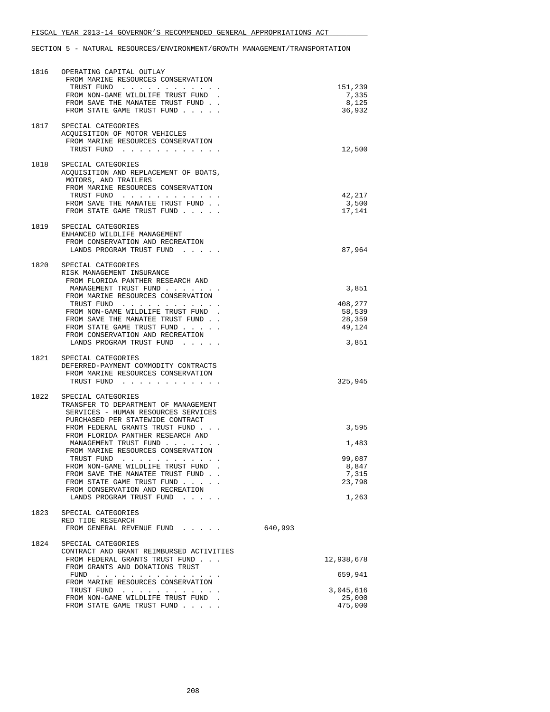| 1816 | OPERATING CAPITAL OUTLAY<br>FROM MARINE RESOURCES CONSERVATION<br>TRUST FUND<br>FROM NON-GAME WILDLIFE TRUST FUND<br>FROM SAVE THE MANATEE TRUST FUND.<br>FROM STATE GAME TRUST FUND                                                                                                                                                                                                                                                                              | 151,239<br>7,335<br>8,125<br>36,932                           |
|------|-------------------------------------------------------------------------------------------------------------------------------------------------------------------------------------------------------------------------------------------------------------------------------------------------------------------------------------------------------------------------------------------------------------------------------------------------------------------|---------------------------------------------------------------|
| 1817 | SPECIAL CATEGORIES<br>ACQUISITION OF MOTOR VEHICLES<br>FROM MARINE RESOURCES CONSERVATION<br>TRUST FUND                                                                                                                                                                                                                                                                                                                                                           | 12,500                                                        |
| 1818 | SPECIAL CATEGORIES<br>ACQUISITION AND REPLACEMENT OF BOATS,<br>MOTORS, AND TRAILERS<br>FROM MARINE RESOURCES CONSERVATION<br>TRUST FUND<br>FROM SAVE THE MANATEE TRUST FUND.<br>FROM STATE GAME TRUST FUND                                                                                                                                                                                                                                                        | 42,217<br>3,500<br>17,141                                     |
| 1819 | SPECIAL CATEGORIES<br>ENHANCED WILDLIFE MANAGEMENT<br>FROM CONSERVATION AND RECREATION<br>LANDS PROGRAM TRUST FUND                                                                                                                                                                                                                                                                                                                                                | 87,964                                                        |
| 1820 | SPECIAL CATEGORIES<br>RISK MANAGEMENT INSURANCE<br>FROM FLORIDA PANTHER RESEARCH AND<br>MANAGEMENT TRUST FUND<br>FROM MARINE RESOURCES CONSERVATION<br>TRUST FUND<br>FROM NON-GAME WILDLIFE TRUST FUND.<br>FROM SAVE THE MANATEE TRUST FUND.<br>FROM STATE GAME TRUST FUND<br>FROM CONSERVATION AND RECREATION<br>LANDS PROGRAM TRUST FUND                                                                                                                        | 3,851<br>408,277<br>58,539<br>28,359<br>49,124<br>3,851       |
| 1821 | SPECIAL CATEGORIES<br>DEFERRED-PAYMENT COMMODITY CONTRACTS<br>FROM MARINE RESOURCES CONSERVATION<br>TRUST FUND                                                                                                                                                                                                                                                                                                                                                    | 325,945                                                       |
| 1822 | SPECIAL CATEGORIES<br>TRANSFER TO DEPARTMENT OF MANAGEMENT<br>SERVICES - HUMAN RESOURCES SERVICES<br>PURCHASED PER STATEWIDE CONTRACT<br>FROM FEDERAL GRANTS TRUST FUND<br>FROM FLORIDA PANTHER RESEARCH AND<br>MANAGEMENT TRUST FUND<br>FROM MARINE RESOURCES CONSERVATION<br>TRUST FUND<br>FROM NON-GAME WILDLIFE TRUST FUND<br>FROM SAVE THE MANATEE TRUST FUND.<br>FROM STATE GAME TRUST FUND<br>FROM CONSERVATION AND RECREATION<br>LANDS PROGRAM TRUST FUND | 3,595<br>1,483<br>99,087<br>8,847<br>7,315<br>23,798<br>1,263 |
| 1823 | SPECIAL CATEGORIES<br>RED TIDE RESEARCH<br>FROM GENERAL REVENUE FUND                                                                                                                                                                                                                                                                                                                                                                                              | 640,993                                                       |
| 1824 | SPECIAL CATEGORIES<br>CONTRACT AND GRANT REIMBURSED ACTIVITIES<br>FROM FEDERAL GRANTS TRUST FUND<br>FROM GRANTS AND DONATIONS TRUST<br>FROM MARINE RESOURCES CONSERVATION<br>TRUST FUND<br>FROM NON-GAME WILDLIFE TRUST FUND<br>FROM STATE GAME TRUST FUND                                                                                                                                                                                                        | 12,938,678<br>659,941<br>3,045,616<br>25,000<br>475,000       |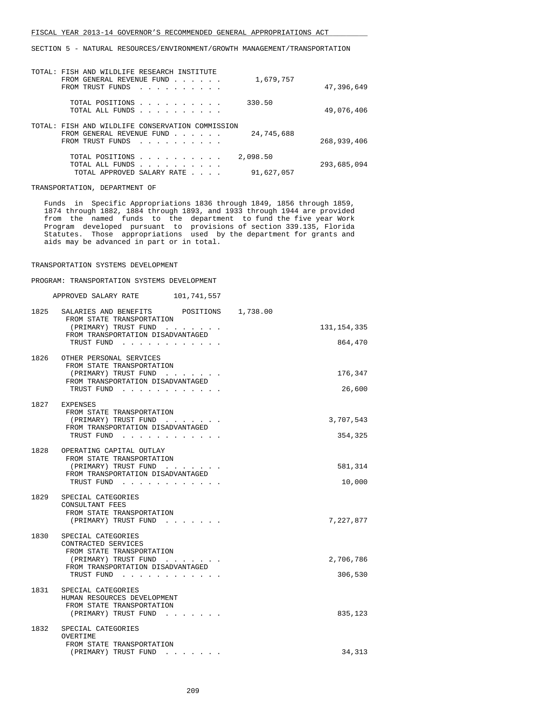| TOTAL: FISH AND WILDLIFE RESEARCH INSTITUTE                                                                                        |             |
|------------------------------------------------------------------------------------------------------------------------------------|-------------|
| 1,679,757<br>FROM GENERAL REVENUE FUND                                                                                             |             |
| FROM TRUST FUNDS                                                                                                                   | 47,396,649  |
|                                                                                                                                    |             |
| 330.50<br>TOTAL POSITIONS                                                                                                          |             |
| TOTAL ALL FUNDS                                                                                                                    | 49,076,406  |
|                                                                                                                                    |             |
| TOTAL: FISH AND WILDLIFE CONSERVATION COMMISSION                                                                                   |             |
| 24,745,688<br>FROM GENERAL REVENUE FUND                                                                                            |             |
| FROM TRUST FUNDS                                                                                                                   | 268,939,406 |
|                                                                                                                                    |             |
| 2,098.50<br>TOTAL POSITIONS                                                                                                        |             |
| TOTAL ALL FUNDS<br>the contract of the contract of the contract of the contract of the contract of the contract of the contract of | 293,685,094 |
| 91,627,057<br>TOTAL APPROVED SALARY RATE                                                                                           |             |

TRANSPORTATION, DEPARTMENT OF

 Funds in Specific Appropriations 1836 through 1849, 1856 through 1859, 1874 through 1882, 1884 through 1893, and 1933 through 1944 are provided from the named funds to the department to fund the five year Work Program developed pursuant to provisions of section 339.135, Florida Statutes. Those appropriations used by the department for grants and aids may be advanced in part or in total.

#### TRANSPORTATION SYSTEMS DEVELOPMENT

PROGRAM: TRANSPORTATION SYSTEMS DEVELOPMENT

| APPROVED SALARY RATE |  | 101,741,557 |
|----------------------|--|-------------|
|                      |  |             |

| 1825 | 1,738.00<br>SALARIES AND BENEFITS POSITIONS<br>FROM STATE TRANSPORTATION                                |               |
|------|---------------------------------------------------------------------------------------------------------|---------------|
|      | (PRIMARY) TRUST FUND                                                                                    | 131, 154, 335 |
|      | FROM TRANSPORTATION DISADVANTAGED<br>TRUST FUND                                                         | 864,470       |
| 1826 | OTHER PERSONAL SERVICES<br>FROM STATE TRANSPORTATION                                                    |               |
|      | (PRIMARY) TRUST FUND<br>FROM TRANSPORTATION DISADVANTAGED                                               | 176,347       |
|      | TRUST FUND                                                                                              | 26,600        |
| 1827 | EXPENSES<br>FROM STATE TRANSPORTATION                                                                   |               |
|      | (PRIMARY) TRUST FUND                                                                                    | 3,707,543     |
|      | FROM TRANSPORTATION DISADVANTAGED<br>TRUST FUND                                                         | 354,325       |
| 1828 | OPERATING CAPITAL OUTLAY                                                                                |               |
|      | FROM STATE TRANSPORTATION                                                                               |               |
|      | (PRIMARY) TRUST FUND<br>FROM TRANSPORTATION DISADVANTAGED                                               | 581,314       |
|      | TRUST FUND                                                                                              | 10,000        |
| 1829 | SPECIAL CATEGORIES<br>CONSULTANT FEES                                                                   |               |
|      | FROM STATE TRANSPORTATION                                                                               |               |
|      | (PRIMARY) TRUST FUND                                                                                    | 7,227,877     |
| 1830 | SPECIAL CATEGORIES<br>CONTRACTED SERVICES                                                               |               |
|      | FROM STATE TRANSPORTATION                                                                               |               |
|      | (PRIMARY) TRUST FUND<br>FROM TRANSPORTATION DISADVANTAGED                                               | 2,706,786     |
|      | TRUST FUND                                                                                              | 306,530       |
|      | 1831 SPECIAL CATEGORIES<br>HUMAN RESOURCES DEVELOPMENT                                                  |               |
|      | FROM STATE TRANSPORTATION                                                                               |               |
|      | (PRIMARY) TRUST FUND                                                                                    | 835,123       |
| 1832 | SPECIAL CATEGORIES<br>OVERTIME                                                                          |               |
|      | FROM STATE TRANSPORTATION                                                                               |               |
|      | (PRIMARY) TRUST FUND<br>$\mathbf{r} = \mathbf{r} - \mathbf{r} = \mathbf{r} - \mathbf{r} = \mathbf{r}$ . | 34,313        |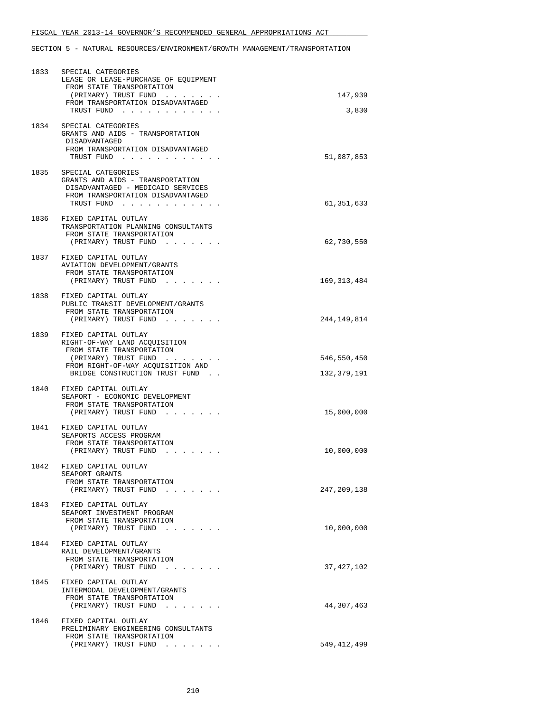| 1833 | SPECIAL CATEGORIES<br>LEASE OR LEASE-PURCHASE OF EQUIPMENT<br>FROM STATE TRANSPORTATION<br>(PRIMARY) TRUST FUND                                                                         | 147,939                    |
|------|-----------------------------------------------------------------------------------------------------------------------------------------------------------------------------------------|----------------------------|
|      | FROM TRANSPORTATION DISADVANTAGED<br>TRUST FUND                                                                                                                                         | 3,830                      |
|      | 1834 SPECIAL CATEGORIES<br>GRANTS AND AIDS - TRANSPORTATION<br>DISADVANTAGED<br>FROM TRANSPORTATION DISADVANTAGED<br>TRUST FUND                                                         | 51,087,853                 |
| 1835 | SPECIAL CATEGORIES<br>GRANTS AND AIDS - TRANSPORTATION<br>DISADVANTAGED - MEDICAID SERVICES<br>FROM TRANSPORTATION DISADVANTAGED<br>TRUST FUND                                          | 61,351,633                 |
|      | 1836 FIXED CAPITAL OUTLAY<br>TRANSPORTATION PLANNING CONSULTANTS<br>FROM STATE TRANSPORTATION<br>(PRIMARY) TRUST FUND                                                                   | 62,730,550                 |
|      | 1837 FIXED CAPITAL OUTLAY<br>AVIATION DEVELOPMENT/GRANTS<br>FROM STATE TRANSPORTATION<br>(PRIMARY) TRUST FUND                                                                           | 169, 313, 484              |
| 1838 | FIXED CAPITAL OUTLAY<br>PUBLIC TRANSIT DEVELOPMENT/GRANTS<br>FROM STATE TRANSPORTATION<br>(PRIMARY) TRUST FUND                                                                          | 244,149,814                |
|      | 1839 FIXED CAPITAL OUTLAY<br>RIGHT-OF-WAY LAND ACQUISITION<br>FROM STATE TRANSPORTATION<br>(PRIMARY) TRUST FUND<br>FROM RIGHT-OF-WAY ACQUISITION AND<br>BRIDGE CONSTRUCTION TRUST FUND. | 546,550,450<br>132,379,191 |
|      | 1840 FIXED CAPITAL OUTLAY<br>SEAPORT - ECONOMIC DEVELOPMENT<br>FROM STATE TRANSPORTATION<br>(PRIMARY) TRUST FUND                                                                        | 15,000,000                 |
|      | 1841 FIXED CAPITAL OUTLAY<br>SEAPORTS ACCESS PROGRAM<br>FROM STATE TRANSPORTATION<br>(PRIMARY) TRUST FUND                                                                               | 10,000,000                 |
| 1842 | FIXED CAPITAL OUTLAY<br>SEAPORT GRANTS<br>FROM STATE TRANSPORTATION<br>(PRIMARY) TRUST FUND<br>and the second control of the                                                            | 247,209,138                |
|      | 1843 FIXED CAPITAL OUTLAY<br>SEAPORT INVESTMENT PROGRAM<br>FROM STATE TRANSPORTATION<br>(PRIMARY) TRUST FUND                                                                            | 10,000,000                 |
| 1844 | FIXED CAPITAL OUTLAY<br>RAIL DEVELOPMENT/GRANTS<br>FROM STATE TRANSPORTATION<br>(PRIMARY) TRUST FUND                                                                                    | 37,427,102                 |
| 1845 | FIXED CAPITAL OUTLAY<br>INTERMODAL DEVELOPMENT/GRANTS<br>FROM STATE TRANSPORTATION<br>(PRIMARY) TRUST FUND                                                                              | 44,307,463                 |
| 1846 | FIXED CAPITAL OUTLAY<br>PRELIMINARY ENGINEERING CONSULTANTS<br>FROM STATE TRANSPORTATION<br>(PRIMARY) TRUST FUND                                                                        | 549,412,499                |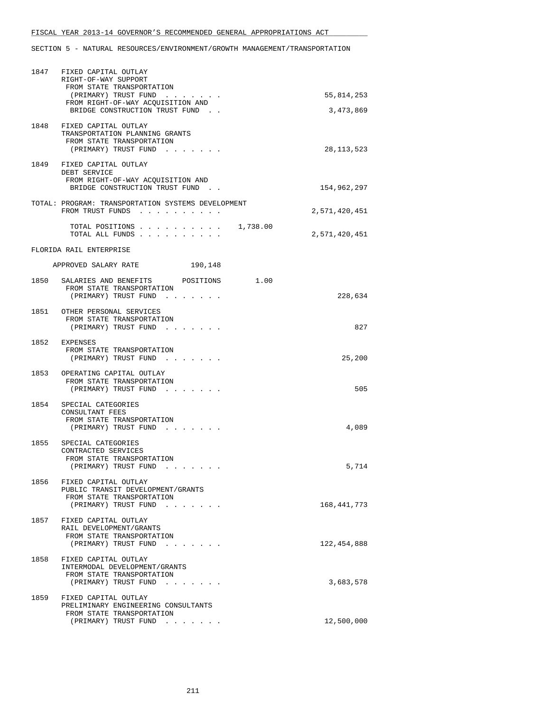|      | 1847 FIXED CAPITAL OUTLAY<br>RIGHT-OF-WAY SUPPORT<br>FROM STATE TRANSPORTATION                                      |               |
|------|---------------------------------------------------------------------------------------------------------------------|---------------|
|      | (PRIMARY) TRUST FUND<br>FROM RIGHT-OF-WAY ACQUISITION AND                                                           | 55,814,253    |
|      | BRIDGE CONSTRUCTION TRUST FUND                                                                                      | 3,473,869     |
|      | 1848 FIXED CAPITAL OUTLAY<br>TRANSPORTATION PLANNING GRANTS<br>FROM STATE TRANSPORTATION<br>(PRIMARY) TRUST FUND    | 28,113,523    |
|      | 1849 FIXED CAPITAL OUTLAY<br>DEBT SERVICE<br>FROM RIGHT-OF-WAY ACQUISITION AND<br>BRIDGE CONSTRUCTION TRUST FUND.   | 154,962,297   |
|      | TOTAL: PROGRAM: TRANSPORTATION SYSTEMS DEVELOPMENT<br>FROM TRUST FUNDS                                              | 2,571,420,451 |
|      | 1,738.00<br>TOTAL POSITIONS<br>TOTAL ALL FUNDS                                                                      | 2,571,420,451 |
|      | FLORIDA RAIL ENTERPRISE                                                                                             |               |
|      | APPROVED SALARY RATE<br>190,148                                                                                     |               |
|      | 1850 SALARIES AND BENEFITS POSITIONS<br>1.00<br>FROM STATE TRANSPORTATION<br>(PRIMARY) TRUST FUND                   | 228,634       |
|      | 1851 OTHER PERSONAL SERVICES<br>FROM STATE TRANSPORTATION<br>(PRIMARY) TRUST FUND                                   | 827           |
|      | 1852 EXPENSES<br>FROM STATE TRANSPORTATION<br>(PRIMARY) TRUST FUND                                                  | 25,200        |
|      | 1853 OPERATING CAPITAL OUTLAY<br>FROM STATE TRANSPORTATION<br>(PRIMARY) TRUST FUND                                  | 505           |
|      | 1854 SPECIAL CATEGORIES<br>CONSULTANT FEES<br>FROM STATE TRANSPORTATION<br>(PRIMARY) TRUST FUND                     | 4,089         |
| 1855 | SPECIAL CATEGORIES<br>CONTRACTED SERVICES<br>FROM STATE TRANSPORTATION<br>(PRIMARY) TRUST FUND                      | 5,714         |
|      | 1856 FIXED CAPITAL OUTLAY<br>PUBLIC TRANSIT DEVELOPMENT/GRANTS<br>FROM STATE TRANSPORTATION<br>(PRIMARY) TRUST FUND | 168,441,773   |
| 1857 | FIXED CAPITAL OUTLAY<br>RAIL DEVELOPMENT/GRANTS<br>FROM STATE TRANSPORTATION<br>(PRIMARY) TRUST FUND                | 122,454,888   |
| 1858 | FIXED CAPITAL OUTLAY<br>INTERMODAL DEVELOPMENT/GRANTS<br>FROM STATE TRANSPORTATION<br>(PRIMARY) TRUST FUND          | 3,683,578     |
| 1859 | FIXED CAPITAL OUTLAY<br>PRELIMINARY ENGINEERING CONSULTANTS<br>FROM STATE TRANSPORTATION<br>(PRIMARY) TRUST FUND    | 12,500,000    |
|      |                                                                                                                     |               |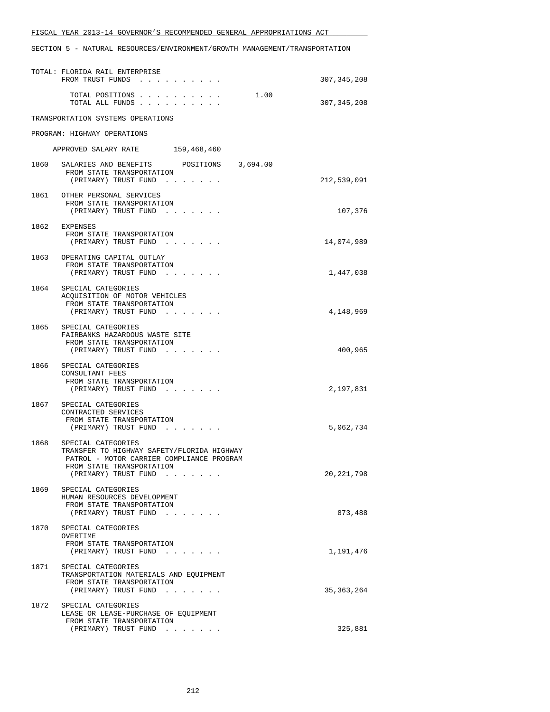|      | TOTAL: FLORIDA RAIL ENTERPRISE<br>FROM TRUST FUNDS                                                                                                                 | 307, 345, 208 |
|------|--------------------------------------------------------------------------------------------------------------------------------------------------------------------|---------------|
|      | 1.00<br>TOTAL POSITIONS<br>TOTAL ALL FUNDS                                                                                                                         | 307, 345, 208 |
|      | TRANSPORTATION SYSTEMS OPERATIONS                                                                                                                                  |               |
|      | PROGRAM: HIGHWAY OPERATIONS                                                                                                                                        |               |
|      | APPROVED SALARY RATE 159,468,460                                                                                                                                   |               |
|      | 1860 SALARIES AND BENEFITS POSITIONS 3,694.00<br>FROM STATE TRANSPORTATION<br>(PRIMARY) TRUST FUND                                                                 | 212,539,091   |
|      | 1861 OTHER PERSONAL SERVICES<br>FROM STATE TRANSPORTATION<br>(PRIMARY) TRUST FUND                                                                                  | 107,376       |
|      | 1862 EXPENSES<br>FROM STATE TRANSPORTATION<br>(PRIMARY) TRUST FUND                                                                                                 | 14,074,989    |
|      | 1863 OPERATING CAPITAL OUTLAY<br>FROM STATE TRANSPORTATION<br>(PRIMARY) TRUST FUND                                                                                 | 1,447,038     |
|      | 1864 SPECIAL CATEGORIES<br>ACQUISITION OF MOTOR VEHICLES<br>FROM STATE TRANSPORTATION<br>(PRIMARY) TRUST FUND                                                      | 4,148,969     |
| 1865 | SPECIAL CATEGORIES<br>FAIRBANKS HAZARDOUS WASTE SITE<br>FROM STATE TRANSPORTATION<br>(PRIMARY) TRUST FUND                                                          | 400,965       |
| 1866 | SPECIAL CATEGORIES<br>CONSULTANT FEES<br>FROM STATE TRANSPORTATION<br>(PRIMARY) TRUST FUND                                                                         | 2,197,831     |
| 1867 | SPECIAL CATEGORIES<br>CONTRACTED SERVICES<br>FROM STATE TRANSPORTATION<br>(PRIMARY) TRUST FUND                                                                     | 5,062,734     |
| 1868 | SPECIAL CATEGORIES<br>TRANSFER TO HIGHWAY SAFETY/FLORIDA HIGHWAY<br>PATROL - MOTOR CARRIER COMPLIANCE PROGRAM<br>FROM STATE TRANSPORTATION<br>(PRIMARY) TRUST FUND | 20, 221, 798  |
| 1869 | SPECIAL CATEGORIES<br>HUMAN RESOURCES DEVELOPMENT<br>FROM STATE TRANSPORTATION<br>$(PRIMARY)$ TRUST FUND                                                           | 873,488       |
| 1870 | SPECIAL CATEGORIES<br>OVERTIME<br>FROM STATE TRANSPORTATION<br>(PRIMARY) TRUST FUND                                                                                | 1,191,476     |
| 1871 | SPECIAL CATEGORIES<br>TRANSPORTATION MATERIALS AND EQUIPMENT<br>FROM STATE TRANSPORTATION<br>(PRIMARY) TRUST FUND                                                  | 35, 363, 264  |
| 1872 | SPECIAL CATEGORIES<br>LEASE OR LEASE-PURCHASE OF EQUIPMENT<br>FROM STATE TRANSPORTATION<br>(PRIMARY) TRUST FUND                                                    | 325,881       |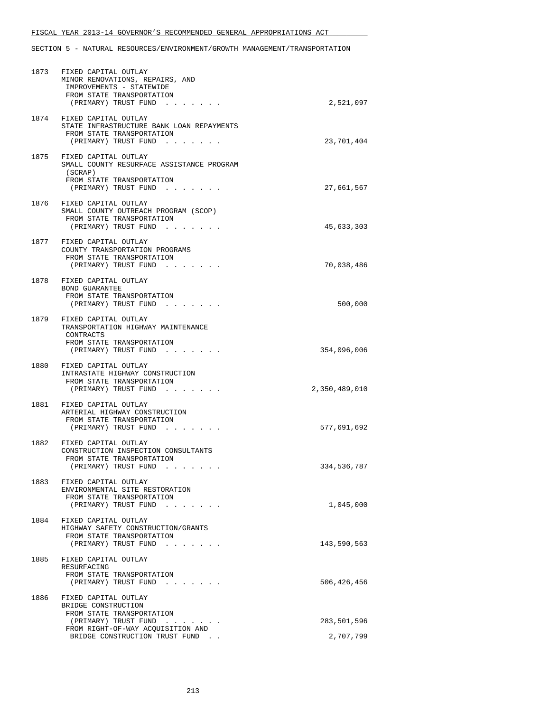|      | 1873 FIXED CAPITAL OUTLAY<br>MINOR RENOVATIONS, REPAIRS, AND<br>IMPROVEMENTS - STATEWIDE<br>FROM STATE TRANSPORTATION<br>(PRIMARY) TRUST FUND | 2,521,097     |
|------|-----------------------------------------------------------------------------------------------------------------------------------------------|---------------|
|      | 1874 FIXED CAPITAL OUTLAY<br>STATE INFRASTRUCTURE BANK LOAN REPAYMENTS<br>FROM STATE TRANSPORTATION<br>(PRIMARY) TRUST FUND                   | 23,701,404    |
| 1875 | FIXED CAPITAL OUTLAY<br>SMALL COUNTY RESURFACE ASSISTANCE PROGRAM<br>(SCRAP)<br>FROM STATE TRANSPORTATION<br>(PRIMARY) TRUST FUND             | 27,661,567    |
| 1876 | FIXED CAPITAL OUTLAY<br>SMALL COUNTY OUTREACH PROGRAM (SCOP)<br>FROM STATE TRANSPORTATION<br>(PRIMARY) TRUST FUND                             | 45,633,303    |
| 1877 | FIXED CAPITAL OUTLAY<br>COUNTY TRANSPORTATION PROGRAMS<br>FROM STATE TRANSPORTATION<br>(PRIMARY) TRUST FUND                                   | 70,038,486    |
|      | 1878 FIXED CAPITAL OUTLAY<br>BOND GUARANTEE<br>FROM STATE TRANSPORTATION<br>(PRIMARY) TRUST FUND                                              | 500,000       |
|      | 1879 FIXED CAPITAL OUTLAY<br>TRANSPORTATION HIGHWAY MAINTENANCE<br>CONTRACTS<br>FROM STATE TRANSPORTATION<br>(PRIMARY) TRUST FUND             | 354,096,006   |
|      | 1880 FIXED CAPITAL OUTLAY<br>INTRASTATE HIGHWAY CONSTRUCTION<br>FROM STATE TRANSPORTATION<br>(PRIMARY) TRUST FUND                             | 2,350,489,010 |
| 1881 | FIXED CAPITAL OUTLAY<br>ARTERIAL HIGHWAY CONSTRUCTION<br>FROM STATE TRANSPORTATION<br>(PRIMARY) TRUST FUND                                    | 577,691,692   |
| 1882 | FIXED CAPITAL OUTLAY<br>CONSTRUCTION INSPECTION CONSULTANTS<br>FROM STATE TRANSPORTATION<br>(PRIMARY) TRUST FUND                              | 334,536,787   |
|      | 1883 FIXED CAPITAL OUTLAY<br>ENVIRONMENTAL SITE RESTORATION<br>FROM STATE TRANSPORTATION<br>(PRIMARY) TRUST FUND                              | 1,045,000     |
| 1884 | FIXED CAPITAL OUTLAY<br>HIGHWAY SAFETY CONSTRUCTION/GRANTS<br>FROM STATE TRANSPORTATION<br>(PRIMARY) TRUST FUND                               | 143,590,563   |
| 1885 | FIXED CAPITAL OUTLAY<br>RESURFACING<br>FROM STATE TRANSPORTATION<br>(PRIMARY) TRUST FUND                                                      | 506,426,456   |
| 1886 | FIXED CAPITAL OUTLAY<br>BRIDGE CONSTRUCTION<br>FROM STATE TRANSPORTATION<br>(PRIMARY) TRUST FUND                                              | 283,501,596   |
|      | FROM RIGHT-OF-WAY ACQUISITION AND<br>BRIDGE CONSTRUCTION TRUST FUND.                                                                          | 2,707,799     |
|      |                                                                                                                                               |               |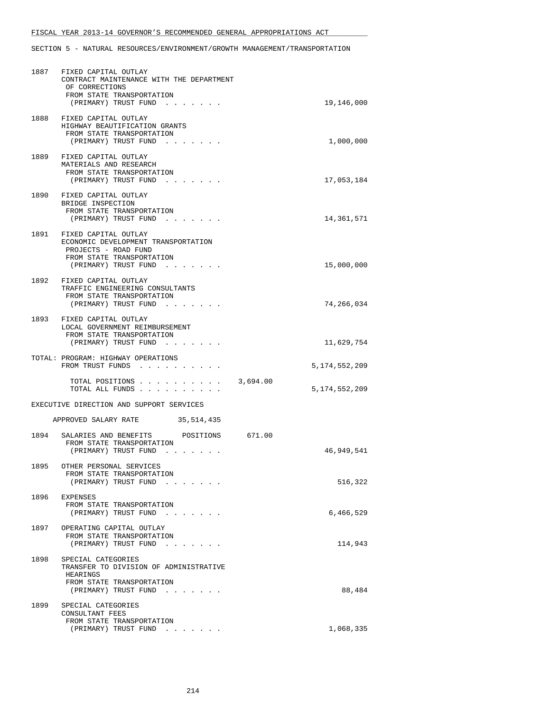|      | 1887 FIXED CAPITAL OUTLAY<br>CONTRACT MAINTENANCE WITH THE DEPARTMENT<br>OF CORRECTIONS<br>FROM STATE TRANSPORTATION                          |          |               |
|------|-----------------------------------------------------------------------------------------------------------------------------------------------|----------|---------------|
|      | (PRIMARY) TRUST FUND                                                                                                                          |          | 19,146,000    |
| 1888 | FIXED CAPITAL OUTLAY<br>HIGHWAY BEAUTIFICATION GRANTS<br>FROM STATE TRANSPORTATION<br>(PRIMARY) TRUST FUND                                    |          | 1,000,000     |
| 1889 | FIXED CAPITAL OUTLAY<br>MATERIALS AND RESEARCH<br>FROM STATE TRANSPORTATION<br>(PRIMARY) TRUST FUND                                           |          | 17,053,184    |
|      | 1890 FIXED CAPITAL OUTLAY<br>BRIDGE INSPECTION<br>FROM STATE TRANSPORTATION<br>(PRIMARY) TRUST FUND                                           |          | 14,361,571    |
|      | 1891 FIXED CAPITAL OUTLAY<br>ECONOMIC DEVELOPMENT TRANSPORTATION<br>PROJECTS - ROAD FUND<br>FROM STATE TRANSPORTATION<br>(PRIMARY) TRUST FUND |          | 15,000,000    |
|      |                                                                                                                                               |          |               |
|      | 1892 FIXED CAPITAL OUTLAY<br>TRAFFIC ENGINEERING CONSULTANTS<br>FROM STATE TRANSPORTATION<br>(PRIMARY) TRUST FUND                             |          | 74,266,034    |
|      | 1893 FIXED CAPITAL OUTLAY<br>LOCAL GOVERNMENT REIMBURSEMENT<br>FROM STATE TRANSPORTATION<br>(PRIMARY) TRUST FUND                              |          | 11,629,754    |
|      | TOTAL: PROGRAM: HIGHWAY OPERATIONS<br>FROM TRUST FUNDS                                                                                        |          | 5,174,552,209 |
|      | TOTAL POSITIONS<br>TOTAL ALL FUNDS                                                                                                            | 3,694.00 | 5,174,552,209 |
|      | EXECUTIVE DIRECTION AND SUPPORT SERVICES                                                                                                      |          |               |
|      | APPROVED SALARY RATE 35,514,435                                                                                                               |          |               |
| 1894 | POSITIONS 671.00<br>SALARIES AND BENEFITS<br>FROM STATE TRANSPORTATION<br>(PRIMARY) TRUST FUND                                                |          | 46,949,541    |
| 1895 | OTHER PERSONAL SERVICES<br>FROM STATE TRANSPORTATION<br>(PRIMARY) TRUST FUND                                                                  |          | 516,322       |
| 1896 | EXPENSES<br>FROM STATE TRANSPORTATION<br>(PRIMARY) TRUST FUND                                                                                 |          | 6,466,529     |
| 1897 | OPERATING CAPITAL OUTLAY<br>FROM STATE TRANSPORTATION<br>(PRIMARY) TRUST FUND                                                                 |          | 114,943       |
| 1898 | SPECIAL CATEGORIES<br>TRANSFER TO DIVISION OF ADMINISTRATIVE<br>HEARINGS                                                                      |          |               |
|      | FROM STATE TRANSPORTATION<br>(PRIMARY) TRUST FUND                                                                                             |          | 88,484        |
| 1899 | SPECIAL CATEGORIES                                                                                                                            |          |               |
|      | CONSULTANT FEES<br>FROM STATE TRANSPORTATION<br>(PRIMARY) TRUST FUND                                                                          |          | 1,068,335     |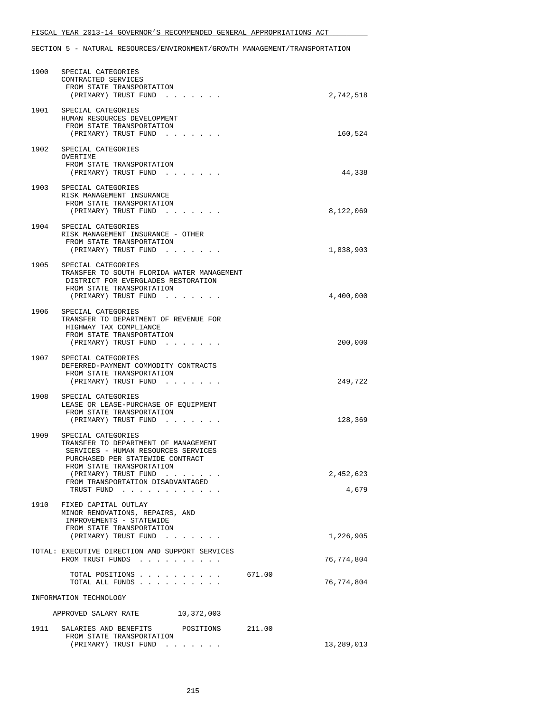| 1901 SPECIAL CATEGORIES<br>HUMAN RESOURCES DEVELOPMENT<br>FROM STATE TRANSPORTATION<br>160,524<br>(PRIMARY) TRUST FUND<br>1902<br>SPECIAL CATEGORIES<br>OVERTIME<br>FROM STATE TRANSPORTATION<br>44,338<br>(PRIMARY) TRUST FUND<br>1903<br>SPECIAL CATEGORIES<br>RISK MANAGEMENT INSURANCE<br>FROM STATE TRANSPORTATION<br>(PRIMARY) TRUST FUND<br>8,122,069<br>1904 SPECIAL CATEGORIES<br>RISK MANAGEMENT INSURANCE - OTHER<br>FROM STATE TRANSPORTATION<br>1,838,903<br>(PRIMARY) TRUST FUND<br>1905 SPECIAL CATEGORIES<br>TRANSFER TO SOUTH FLORIDA WATER MANAGEMENT<br>DISTRICT FOR EVERGLADES RESTORATION<br>FROM STATE TRANSPORTATION<br>(PRIMARY) TRUST FUND<br>4,400,000<br>1906<br>SPECIAL CATEGORIES<br>TRANSFER TO DEPARTMENT OF REVENUE FOR<br>HIGHWAY TAX COMPLIANCE<br>FROM STATE TRANSPORTATION<br>200,000<br>(PRIMARY) TRUST FUND<br>1907 SPECIAL CATEGORIES<br>DEFERRED-PAYMENT COMMODITY CONTRACTS<br>FROM STATE TRANSPORTATION<br>(PRIMARY) TRUST FUND<br>249,722<br>1908<br>SPECIAL CATEGORIES<br>LEASE OR LEASE-PURCHASE OF EQUIPMENT<br>FROM STATE TRANSPORTATION<br>128,369<br>(PRIMARY) TRUST FUND<br>1909<br>SPECIAL CATEGORIES<br>TRANSFER TO DEPARTMENT OF MANAGEMENT<br>SERVICES - HUMAN RESOURCES SERVICES<br>PURCHASED PER STATEWIDE CONTRACT<br>FROM STATE TRANSPORTATION<br>2,452,623<br>(PRIMARY) TRUST FUND<br>FROM TRANSPORTATION DISADVANTAGED<br>4,679<br>TRUST FUND<br>1910<br>FIXED CAPITAL OUTLAY<br>MINOR RENOVATIONS, REPAIRS, AND<br>IMPROVEMENTS - STATEWIDE<br>FROM STATE TRANSPORTATION<br>(PRIMARY) TRUST FUND<br>1,226,905<br>TOTAL: EXECUTIVE DIRECTION AND SUPPORT SERVICES<br>76,774,804<br>FROM TRUST FUNDS<br>TOTAL POSITIONS<br>671.00<br>TOTAL ALL FUNDS<br>76,774,804<br>INFORMATION TECHNOLOGY<br>APPROVED SALARY RATE 10,372,003 | 1900 | SPECIAL CATEGORIES<br>CONTRACTED SERVICES<br>FROM STATE TRANSPORTATION<br>(PRIMARY) TRUST FUND | 2,742,518 |
|--------------------------------------------------------------------------------------------------------------------------------------------------------------------------------------------------------------------------------------------------------------------------------------------------------------------------------------------------------------------------------------------------------------------------------------------------------------------------------------------------------------------------------------------------------------------------------------------------------------------------------------------------------------------------------------------------------------------------------------------------------------------------------------------------------------------------------------------------------------------------------------------------------------------------------------------------------------------------------------------------------------------------------------------------------------------------------------------------------------------------------------------------------------------------------------------------------------------------------------------------------------------------------------------------------------------------------------------------------------------------------------------------------------------------------------------------------------------------------------------------------------------------------------------------------------------------------------------------------------------------------------------------------------------------------------------------------------------------------------------------------------------------------------------|------|------------------------------------------------------------------------------------------------|-----------|
|                                                                                                                                                                                                                                                                                                                                                                                                                                                                                                                                                                                                                                                                                                                                                                                                                                                                                                                                                                                                                                                                                                                                                                                                                                                                                                                                                                                                                                                                                                                                                                                                                                                                                                                                                                                            |      |                                                                                                |           |
|                                                                                                                                                                                                                                                                                                                                                                                                                                                                                                                                                                                                                                                                                                                                                                                                                                                                                                                                                                                                                                                                                                                                                                                                                                                                                                                                                                                                                                                                                                                                                                                                                                                                                                                                                                                            |      |                                                                                                |           |
|                                                                                                                                                                                                                                                                                                                                                                                                                                                                                                                                                                                                                                                                                                                                                                                                                                                                                                                                                                                                                                                                                                                                                                                                                                                                                                                                                                                                                                                                                                                                                                                                                                                                                                                                                                                            |      |                                                                                                |           |
|                                                                                                                                                                                                                                                                                                                                                                                                                                                                                                                                                                                                                                                                                                                                                                                                                                                                                                                                                                                                                                                                                                                                                                                                                                                                                                                                                                                                                                                                                                                                                                                                                                                                                                                                                                                            |      |                                                                                                |           |
|                                                                                                                                                                                                                                                                                                                                                                                                                                                                                                                                                                                                                                                                                                                                                                                                                                                                                                                                                                                                                                                                                                                                                                                                                                                                                                                                                                                                                                                                                                                                                                                                                                                                                                                                                                                            |      |                                                                                                |           |
|                                                                                                                                                                                                                                                                                                                                                                                                                                                                                                                                                                                                                                                                                                                                                                                                                                                                                                                                                                                                                                                                                                                                                                                                                                                                                                                                                                                                                                                                                                                                                                                                                                                                                                                                                                                            |      |                                                                                                |           |
|                                                                                                                                                                                                                                                                                                                                                                                                                                                                                                                                                                                                                                                                                                                                                                                                                                                                                                                                                                                                                                                                                                                                                                                                                                                                                                                                                                                                                                                                                                                                                                                                                                                                                                                                                                                            |      |                                                                                                |           |
|                                                                                                                                                                                                                                                                                                                                                                                                                                                                                                                                                                                                                                                                                                                                                                                                                                                                                                                                                                                                                                                                                                                                                                                                                                                                                                                                                                                                                                                                                                                                                                                                                                                                                                                                                                                            |      |                                                                                                |           |
|                                                                                                                                                                                                                                                                                                                                                                                                                                                                                                                                                                                                                                                                                                                                                                                                                                                                                                                                                                                                                                                                                                                                                                                                                                                                                                                                                                                                                                                                                                                                                                                                                                                                                                                                                                                            |      |                                                                                                |           |
|                                                                                                                                                                                                                                                                                                                                                                                                                                                                                                                                                                                                                                                                                                                                                                                                                                                                                                                                                                                                                                                                                                                                                                                                                                                                                                                                                                                                                                                                                                                                                                                                                                                                                                                                                                                            |      |                                                                                                |           |
|                                                                                                                                                                                                                                                                                                                                                                                                                                                                                                                                                                                                                                                                                                                                                                                                                                                                                                                                                                                                                                                                                                                                                                                                                                                                                                                                                                                                                                                                                                                                                                                                                                                                                                                                                                                            |      |                                                                                                |           |
|                                                                                                                                                                                                                                                                                                                                                                                                                                                                                                                                                                                                                                                                                                                                                                                                                                                                                                                                                                                                                                                                                                                                                                                                                                                                                                                                                                                                                                                                                                                                                                                                                                                                                                                                                                                            |      |                                                                                                |           |
|                                                                                                                                                                                                                                                                                                                                                                                                                                                                                                                                                                                                                                                                                                                                                                                                                                                                                                                                                                                                                                                                                                                                                                                                                                                                                                                                                                                                                                                                                                                                                                                                                                                                                                                                                                                            |      |                                                                                                |           |
|                                                                                                                                                                                                                                                                                                                                                                                                                                                                                                                                                                                                                                                                                                                                                                                                                                                                                                                                                                                                                                                                                                                                                                                                                                                                                                                                                                                                                                                                                                                                                                                                                                                                                                                                                                                            |      |                                                                                                |           |
|                                                                                                                                                                                                                                                                                                                                                                                                                                                                                                                                                                                                                                                                                                                                                                                                                                                                                                                                                                                                                                                                                                                                                                                                                                                                                                                                                                                                                                                                                                                                                                                                                                                                                                                                                                                            |      |                                                                                                |           |
|                                                                                                                                                                                                                                                                                                                                                                                                                                                                                                                                                                                                                                                                                                                                                                                                                                                                                                                                                                                                                                                                                                                                                                                                                                                                                                                                                                                                                                                                                                                                                                                                                                                                                                                                                                                            |      |                                                                                                |           |
| 1911<br>SALARIES AND BENEFITS POSITIONS<br>211.00<br>FROM STATE TRANSPORTATION<br>(PRIMARY) TRUST FUND<br>13,289,013<br>$\mathcal{A}$ , and $\mathcal{A}$ , and $\mathcal{A}$ , and $\mathcal{A}$                                                                                                                                                                                                                                                                                                                                                                                                                                                                                                                                                                                                                                                                                                                                                                                                                                                                                                                                                                                                                                                                                                                                                                                                                                                                                                                                                                                                                                                                                                                                                                                          |      |                                                                                                |           |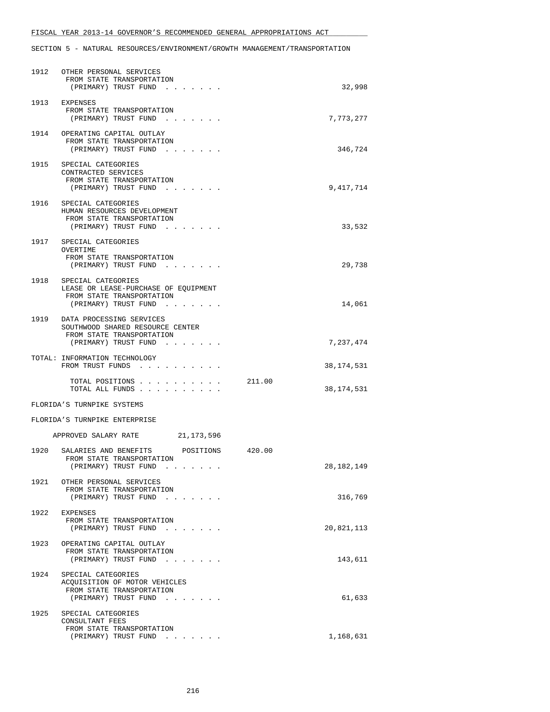### FISCAL YEAR 2013-14 GOVERNOR'S RECOMMENDED GENERAL APPROPRIATIONS ACT

SECTION 5 - NATURAL RESOURCES/ENVIRONMENT/GROWTH MANAGEMENT/TRANSPORTATION

| 1912 | OTHER PERSONAL SERVICES<br>FROM STATE TRANSPORTATION<br>(PRIMARY) TRUST FUND                                                               | 32,998                 |
|------|--------------------------------------------------------------------------------------------------------------------------------------------|------------------------|
| 1913 | EXPENSES<br>FROM STATE TRANSPORTATION<br>(PRIMARY) TRUST FUND                                                                              | 7,773,277              |
|      | 1914 OPERATING CAPITAL OUTLAY<br>FROM STATE TRANSPORTATION<br>(PRIMARY) TRUST FUND                                                         | 346,724                |
|      | 1915 SPECIAL CATEGORIES<br>CONTRACTED SERVICES<br>FROM STATE TRANSPORTATION<br>(PRIMARY) TRUST FUND<br>and the contract of the contract of | 9,417,714              |
| 1916 | SPECIAL CATEGORIES<br>HUMAN RESOURCES DEVELOPMENT<br>FROM STATE TRANSPORTATION<br>(PRIMARY) TRUST FUND                                     | 33,532                 |
| 1917 | SPECIAL CATEGORIES<br>OVERTIME<br>FROM STATE TRANSPORTATION<br>(PRIMARY) TRUST FUND                                                        | 29,738                 |
| 1918 | SPECIAL CATEGORIES<br>LEASE OR LEASE-PURCHASE OF EOUIPMENT<br>FROM STATE TRANSPORTATION<br>(PRIMARY) TRUST FUND                            | 14,061                 |
| 1919 | DATA PROCESSING SERVICES<br>SOUTHWOOD SHARED RESOURCE CENTER<br>FROM STATE TRANSPORTATION<br>(PRIMARY) TRUST FUND                          | 7,237,474              |
|      | TOTAL: INFORMATION TECHNOLOGY<br>FROM TRUST FUNDS                                                                                          | 38,174,531             |
|      | TOTAL POSITIONS<br>TOTAL ALL FUNDS                                                                                                         | 211.00<br>38,174,531   |
|      | FLORIDA'S TURNPIKE SYSTEMS                                                                                                                 |                        |
|      | FLORIDA'S TURNPIKE ENTERPRISE                                                                                                              |                        |
|      | APPROVED SALARY RATE<br>21,173,596                                                                                                         |                        |
| 1920 | POSITIONS<br>SALARIES AND BENEFITS<br>FROM STATE TRANSPORTATION<br>(PRIMARY) TRUST FUND<br>.                                               | 420.00<br>28, 182, 149 |
|      | 1921 OTHER PERSONAL SERVICES<br>FROM STATE TRANSPORTATION<br>(PRIMARY) TRUST FUND                                                          | 316,769                |
| 1922 | EXPENSES<br>FROM STATE TRANSPORTATION<br>(PRIMARY) TRUST FUND                                                                              | 20,821,113             |
| 1923 | OPERATING CAPITAL OUTLAY<br>FROM STATE TRANSPORTATION<br>(PRIMARY) TRUST FUND                                                              | 143,611                |
| 1924 | SPECIAL CATEGORIES<br>ACQUISITION OF MOTOR VEHICLES<br>FROM STATE TRANSPORTATION<br>(PRIMARY) TRUST FUND                                   | 61,633                 |
| 1925 | SPECIAL CATEGORIES<br>CONSULTANT FEES<br>FROM STATE TRANSPORTATION<br>(PRIMARY) TRUST FUND                                                 | 1,168,631              |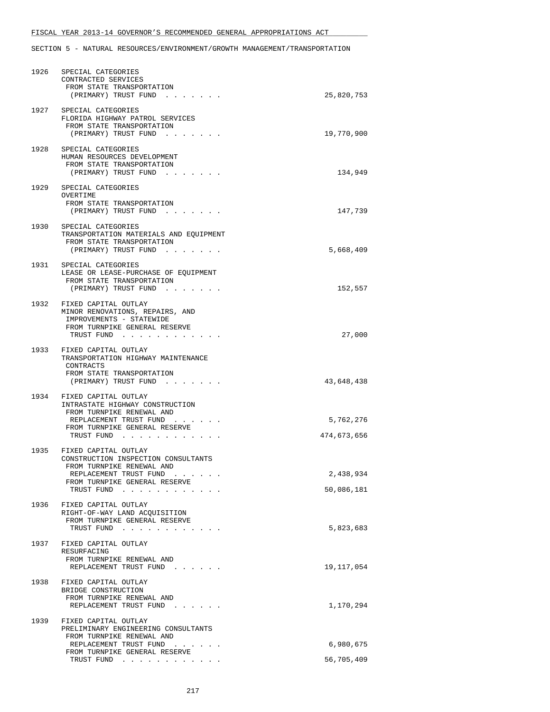### FISCAL YEAR 2013-14 GOVERNOR'S RECOMMENDED GENERAL APPROPRIATIONS ACT

SECTION 5 - NATURAL RESOURCES/ENVIRONMENT/GROWTH MANAGEMENT/TRANSPORTATION

|      | 1926 SPECIAL CATEGORIES<br>CONTRACTED SERVICES<br>FROM STATE TRANSPORTATION<br>(PRIMARY) TRUST FUND                                                                | 25,820,753               |
|------|--------------------------------------------------------------------------------------------------------------------------------------------------------------------|--------------------------|
|      | 1927 SPECIAL CATEGORIES<br>FLORIDA HIGHWAY PATROL SERVICES<br>FROM STATE TRANSPORTATION<br>(PRIMARY) TRUST FUND                                                    | 19,770,900               |
| 1928 | SPECIAL CATEGORIES<br>HUMAN RESOURCES DEVELOPMENT<br>FROM STATE TRANSPORTATION<br>(PRIMARY) TRUST FUND                                                             | 134,949                  |
| 1929 | SPECIAL CATEGORIES<br>OVERTIME<br>FROM STATE TRANSPORTATION<br>(PRIMARY) TRUST FUND                                                                                | 147,739                  |
|      | 1930 SPECIAL CATEGORIES<br>TRANSPORTATION MATERIALS AND EQUIPMENT<br>FROM STATE TRANSPORTATION<br>(PRIMARY) TRUST FUND                                             | 5,668,409                |
|      | 1931 SPECIAL CATEGORIES<br>LEASE OR LEASE-PURCHASE OF EQUIPMENT<br>FROM STATE TRANSPORTATION<br>(PRIMARY) TRUST FUND                                               | 152,557                  |
|      | 1932 FIXED CAPITAL OUTLAY<br>MINOR RENOVATIONS, REPAIRS, AND<br>IMPROVEMENTS - STATEWIDE<br>FROM TURNPIKE GENERAL RESERVE<br>TRUST FUND                            | 27,000                   |
|      | 1933 FIXED CAPITAL OUTLAY<br>TRANSPORTATION HIGHWAY MAINTENANCE<br>CONTRACTS<br>FROM STATE TRANSPORTATION<br>(PRIMARY) TRUST FUND                                  | 43,648,438               |
|      | 1934 FIXED CAPITAL OUTLAY<br>INTRASTATE HIGHWAY CONSTRUCTION<br>FROM TURNPIKE RENEWAL AND<br>REPLACEMENT TRUST FUND<br>FROM TURNPIKE GENERAL RESERVE<br>TRUST FUND | 5,762,276<br>474,673,656 |
| 1935 | FIXED CAPITAL OUTLAY<br>CONSTRUCTION INSPECTION CONSULTANTS<br>FROM TURNPIKE RENEWAL AND<br>REPLACEMENT TRUST FUND<br>FROM TURNPIKE GENERAL RESERVE<br>TRUST FUND  | 2,438,934<br>50,086,181  |
| 1936 | FIXED CAPITAL OUTLAY<br>RIGHT-OF-WAY LAND ACQUISITION<br>FROM TURNPIKE GENERAL RESERVE<br>TRUST FUND                                                               | 5,823,683                |
| 1937 | FIXED CAPITAL OUTLAY<br>RESURFACING<br>FROM TURNPIKE RENEWAL AND<br>REPLACEMENT TRUST FUND                                                                         | 19,117,054               |
| 1938 | FIXED CAPITAL OUTLAY<br>BRIDGE CONSTRUCTION<br>FROM TURNPIKE RENEWAL AND<br>REPLACEMENT TRUST FUND                                                                 | 1,170,294                |
|      | 1939 FIXED CAPITAL OUTLAY<br>PRELIMINARY ENGINEERING CONSULTANTS<br>FROM TURNPIKE RENEWAL AND                                                                      |                          |
|      | REPLACEMENT TRUST FUND<br>$\mathbf{z} = \mathbf{z} + \mathbf{z}$                                                                                                   | 6,980,675                |
|      | FROM TURNPIKE GENERAL RESERVE<br>TRUST FUND $\cdots$                                                                                                               | 56,705,409               |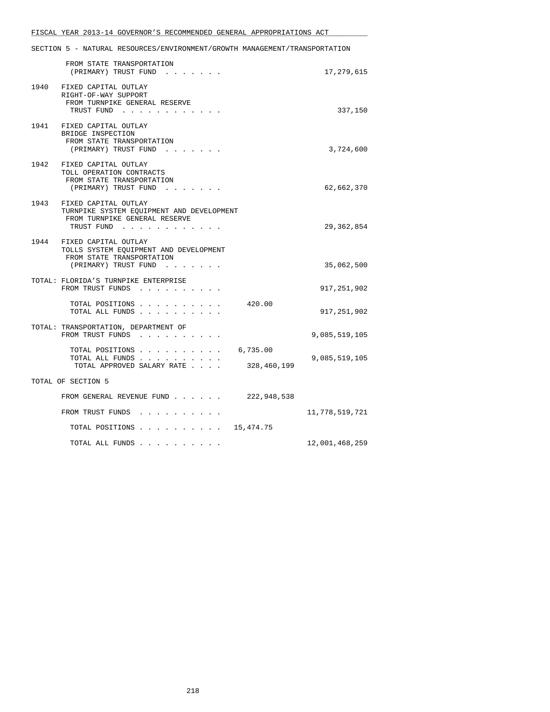SECTION 5 - NATURAL RESOURCES/ENVIRONMENT/GROWTH MANAGEMENT/TRANSPORTATION FROM STATE TRANSPORTATION (PRIMARY) TRUST FUND . . . . . . . . . 17,279,615 1940 FIXED CAPITAL OUTLAY RIGHT-OF-WAY SUPPORT FROM TURNPIKE GENERAL RESERVE TRUST FUND . . . . . . . . . . . . 337,150 1941 FIXED CAPITAL OUTLAY BRIDGE INSPECTION FROM STATE TRANSPORTATION (PRIMARY) TRUST FUND . . . . . . . . . . . . . . 3,724,600 1942 FIXED CAPITAL OUTLAY TOLL OPERATION CONTRACTS FROM STATE TRANSPORTATION (PRIMARY) TRUST FUND . . . . . . . 62,662,370 1943 FIXED CAPITAL OUTLAY TURNPIKE SYSTEM EQUIPMENT AND DEVELOPMENT FROM TURNPIKE GENERAL RESERVE TRUST FUND . . . . . . . . . . . . 29,362,854 1944 FIXED CAPITAL OUTLAY TOLLS SYSTEM EQUIPMENT AND DEVELOPMENT FROM STATE TRANSPORTATION (PRIMARY) TRUST FUND . . . . . . . . . . . . 35,062,500 TOTAL: FLORIDA'S TURNPIKE ENTERPRISE FROM TRUST FUNDS . . . . . . . . . . 917,251,902 TOTAL POSITIONS . . . . . . . . . . 420.00 TOTAL ALL FUNDS . . . . . . . . . . 917,251,902 TOTAL: TRANSPORTATION, DEPARTMENT OF FROM TRUST FUNDS . . . . . . . . . . . . . 9,085,519,105 TOTAL POSITIONS . . . . . . . . . . 6,735.00 TOTAL ALL FUNDS  $\ldots$ , . . . . . . . . . . . 9,085,519,105<br>TOTAL APPROVED SALARY RATE . . . . 328,460,199 TOTAL APPROVED SALARY RATE . . . . TOTAL OF SECTION 5 FROM GENERAL REVENUE FUND . . . . . . 222,948,538 FROM TRUST FUNDS . . . . . . . . . . . . 11,778,519,721 TOTAL POSITIONS . . . . . . . . . . 15,474.75 TOTAL ALL FUNDS . . . . . . . . . . 12,001,468,259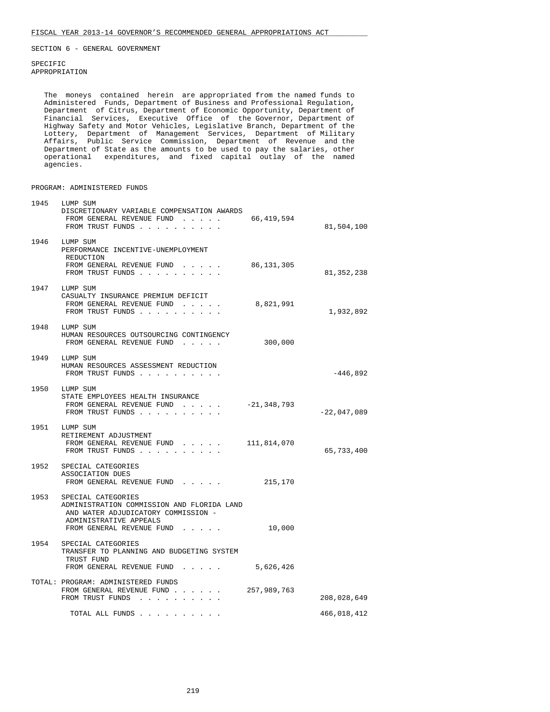SPECIFIC APPROPRIATION

 The moneys contained herein are appropriated from the named funds to Administered Funds, Department of Business and Professional Regulation, Department of Citrus, Department of Economic Opportunity, Department of Financial Services, Executive Office of the Governor, Department of Highway Safety and Motor Vehicles, Legislative Branch, Department of the Lottery, Department of Management Services, Department of Military Affairs, Public Service Commission, Department of Revenue and the Department of State as the amounts to be used to pay the salaries, other operational expenditures, and fixed capital outlay of the named agencies.

PROGRAM: ADMINISTERED FUNDS

| 1945 | LUMP SUM<br>DISCRETIONARY VARIABLE COMPENSATION AWARDS<br>FROM GENERAL REVENUE FUND<br>FROM TRUST FUNDS                                                             | 66,419,594  | 81,504,100    |
|------|---------------------------------------------------------------------------------------------------------------------------------------------------------------------|-------------|---------------|
|      | 1946 LUMP SUM<br>PERFORMANCE INCENTIVE-UNEMPLOYMENT<br>REDUCTION<br>FROM GENERAL REVENUE FUND<br>FROM TRUST FUNDS                                                   | 86,131,305  | 81, 352, 238  |
|      | 1947 LUMP SUM<br>CASUALTY INSURANCE PREMIUM DEFICIT<br>FROM GENERAL REVENUE FUND<br>FROM TRUST FUNDS                                                                | 8,821,991   | 1,932,892     |
| 1948 | LUMP SUM<br>HUMAN RESOURCES OUTSOURCING CONTINGENCY<br>FROM GENERAL REVENUE FUND                                                                                    | 300,000     |               |
|      | 1949 LUMP SUM<br>HUMAN RESOURCES ASSESSMENT REDUCTION<br>FROM TRUST FUNDS                                                                                           |             | -446,892      |
|      | 1950 LUMP SUM<br>STATE EMPLOYEES HEALTH INSURANCE<br>FROM GENERAL REVENUE FUND<br>FROM TRUST FUNDS                                                                  | -21,348,793 | $-22,047,089$ |
|      | 1951 LUMP SUM<br>RETIREMENT ADJUSTMENT<br>FROM GENERAL REVENUE FUND<br>FROM TRUST FUNDS                                                                             | 111,814,070 | 65,733,400    |
|      | 1952 SPECIAL CATEGORIES<br>ASSOCIATION DUES<br>FROM GENERAL REVENUE FUND                                                                                            | 215,170     |               |
|      | 1953 SPECIAL CATEGORIES<br>ADMINISTRATION COMMISSION AND FLORIDA LAND<br>AND WATER ADJUDICATORY COMMISSION -<br>ADMINISTRATIVE APPEALS<br>FROM GENERAL REVENUE FUND | 10,000      |               |
| 1954 | SPECIAL CATEGORIES<br>TRANSFER TO PLANNING AND BUDGETING SYSTEM<br>TRUST FUND<br>FROM GENERAL REVENUE FUND                                                          | 5,626,426   |               |
|      | TOTAL: PROGRAM: ADMINISTERED FUNDS<br>FROM GENERAL REVENUE FUND<br>FROM TRUST FUNDS                                                                                 | 257,989,763 | 208,028,649   |
|      | TOTAL ALL FUNDS                                                                                                                                                     |             | 466,018,412   |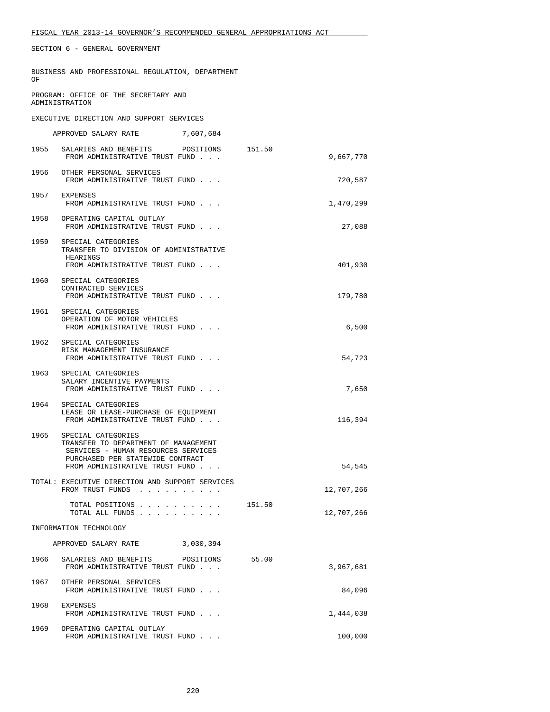|    | BUSINESS AND PROFESSIONAL REGULATION, DEPARTMENT |  |
|----|--------------------------------------------------|--|
| OF |                                                  |  |
|    |                                                  |  |
|    |                                                  |  |

 PROGRAM: OFFICE OF THE SECRETARY AND ADMINISTRATION

EXECUTIVE DIRECTION AND SUPPORT SERVICES

|      | APPROVED SALARY RATE                                                                                                                                                    | 7,607,684 |        |            |
|------|-------------------------------------------------------------------------------------------------------------------------------------------------------------------------|-----------|--------|------------|
| 1955 | SALARIES AND BENEFITS POSITIONS<br>FROM ADMINISTRATIVE TRUST FUND                                                                                                       |           | 151.50 | 9,667,770  |
|      | 1956 OTHER PERSONAL SERVICES<br>FROM ADMINISTRATIVE TRUST FUND                                                                                                          |           |        | 720,587    |
|      | 1957 EXPENSES<br>FROM ADMINISTRATIVE TRUST FUND                                                                                                                         |           |        | 1,470,299  |
| 1958 | OPERATING CAPITAL OUTLAY<br>FROM ADMINISTRATIVE TRUST FUND                                                                                                              |           |        | 27,088     |
|      | 1959 SPECIAL CATEGORIES<br>TRANSFER TO DIVISION OF ADMINISTRATIVE<br>HEARINGS<br>FROM ADMINISTRATIVE TRUST FUND                                                         |           |        | 401,930    |
|      | 1960 SPECIAL CATEGORIES<br>CONTRACTED SERVICES<br>FROM ADMINISTRATIVE TRUST FUND                                                                                        |           |        | 179,780    |
| 1961 | SPECIAL CATEGORIES<br>OPERATION OF MOTOR VEHICLES<br>FROM ADMINISTRATIVE TRUST FUND                                                                                     |           |        | 6,500      |
| 1962 | SPECIAL CATEGORIES<br>RISK MANAGEMENT INSURANCE<br>FROM ADMINISTRATIVE TRUST FUND                                                                                       |           |        | 54,723     |
|      | 1963 SPECIAL CATEGORIES<br>SALARY INCENTIVE PAYMENTS<br>FROM ADMINISTRATIVE TRUST FUND                                                                                  |           |        | 7,650      |
|      | 1964 SPECIAL CATEGORIES<br>LEASE OR LEASE-PURCHASE OF EQUIPMENT<br>FROM ADMINISTRATIVE TRUST FUND                                                                       |           |        | 116,394    |
| 1965 | SPECIAL CATEGORIES<br>TRANSFER TO DEPARTMENT OF MANAGEMENT<br>SERVICES - HUMAN RESOURCES SERVICES<br>PURCHASED PER STATEWIDE CONTRACT<br>FROM ADMINISTRATIVE TRUST FUND |           |        | 54,545     |
|      | TOTAL: EXECUTIVE DIRECTION AND SUPPORT SERVICES                                                                                                                         |           |        |            |
|      | FROM TRUST FUNDS                                                                                                                                                        |           |        | 12,707,266 |
|      | TOTAL POSITIONS 151.50<br>TOTAL ALL FUNDS                                                                                                                               |           |        | 12,707,266 |
|      | INFORMATION TECHNOLOGY                                                                                                                                                  |           |        |            |
|      | APPROVED SALARY RATE                                                                                                                                                    | 3,030,394 |        |            |
| 1966 | SALARIES AND BENEFITS<br>FROM ADMINISTRATIVE TRUST FUND                                                                                                                 | POSITIONS | 55.00  | 3,967,681  |
| 1967 | OTHER PERSONAL SERVICES<br>FROM ADMINISTRATIVE TRUST FUND                                                                                                               |           |        | 84,096     |
| 1968 | EXPENSES<br>FROM ADMINISTRATIVE TRUST FUND                                                                                                                              |           |        | 1,444,038  |
| 1969 | OPERATING CAPITAL OUTLAY<br>FROM ADMINISTRATIVE TRUST FUND                                                                                                              |           |        | 100,000    |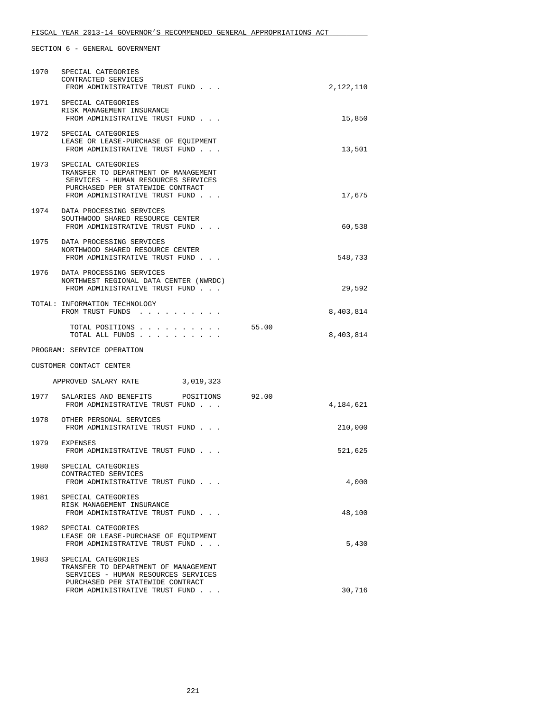| 1970 | SPECIAL CATEGORIES<br>CONTRACTED SERVICES<br>FROM ADMINISTRATIVE TRUST FUND                                                                                                  |       | 2,122,110 |
|------|------------------------------------------------------------------------------------------------------------------------------------------------------------------------------|-------|-----------|
| 1971 | SPECIAL CATEGORIES<br>RISK MANAGEMENT INSURANCE<br>FROM ADMINISTRATIVE TRUST FUND                                                                                            |       | 15,850    |
|      | 1972 SPECIAL CATEGORIES<br>LEASE OR LEASE-PURCHASE OF EQUIPMENT<br>FROM ADMINISTRATIVE TRUST FUND                                                                            |       | 13,501    |
|      | 1973 SPECIAL CATEGORIES<br>TRANSFER TO DEPARTMENT OF MANAGEMENT<br>SERVICES - HUMAN RESOURCES SERVICES<br>PURCHASED PER STATEWIDE CONTRACT<br>FROM ADMINISTRATIVE TRUST FUND |       | 17,675    |
| 1974 | DATA PROCESSING SERVICES<br>SOUTHWOOD SHARED RESOURCE CENTER<br>FROM ADMINISTRATIVE TRUST FUND                                                                               |       | 60,538    |
| 1975 | DATA PROCESSING SERVICES<br>NORTHWOOD SHARED RESOURCE CENTER<br>FROM ADMINISTRATIVE TRUST FUND                                                                               |       | 548,733   |
|      | 1976 DATA PROCESSING SERVICES<br>NORTHWEST REGIONAL DATA CENTER (NWRDC)<br>FROM ADMINISTRATIVE TRUST FUND                                                                    |       | 29,592    |
|      | TOTAL: INFORMATION TECHNOLOGY<br>FROM TRUST FUNDS                                                                                                                            |       | 8,403,814 |
|      | TOTAL POSITIONS<br>TOTAL ALL FUNDS                                                                                                                                           | 55.00 | 8,403,814 |
|      | PROGRAM: SERVICE OPERATION                                                                                                                                                   |       |           |
|      | CUSTOMER CONTACT CENTER                                                                                                                                                      |       |           |
|      | APPROVED SALARY RATE<br>3,019,323                                                                                                                                            |       |           |
|      | 1977 SALARIES AND BENEFITS POSITIONS<br>FROM ADMINISTRATIVE TRUST FUND                                                                                                       | 92.00 | 4,184,621 |
| 1978 | OTHER PERSONAL SERVICES<br>FROM ADMINISTRATIVE TRUST FUND                                                                                                                    |       | 210,000   |
|      | 1979 EXPENSES<br>FROM ADMINISTRATIVE TRUST FUND                                                                                                                              |       | 521,625   |
|      | 1980 SPECIAL CATEGORIES<br>CONTRACTED SERVICES<br>FROM ADMINISTRATIVE TRUST FUND                                                                                             |       | 4,000     |
| 1981 | SPECIAL CATEGORIES<br>RISK MANAGEMENT INSURANCE<br>FROM ADMINISTRATIVE TRUST FUND                                                                                            |       | 48,100    |
| 1982 | SPECIAL CATEGORIES<br>LEASE OR LEASE-PURCHASE OF EOUIPMENT<br>FROM ADMINISTRATIVE TRUST FUND                                                                                 |       | 5,430     |
| 1983 | SPECIAL CATEGORIES<br>TRANSFER TO DEPARTMENT OF MANAGEMENT<br>SERVICES - HUMAN RESOURCES SERVICES<br>PURCHASED PER STATEWIDE CONTRACT                                        |       |           |
|      | FROM ADMINISTRATIVE TRUST FUND                                                                                                                                               |       | 30,716    |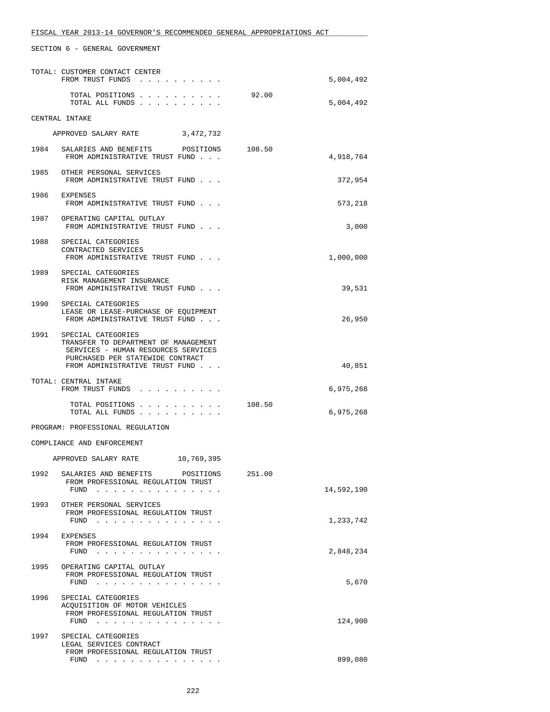|      | TOTAL: CUSTOMER CONTACT CENTER<br>FROM TRUST FUNDS                                                                                                                      |        | 5,004,492  |
|------|-------------------------------------------------------------------------------------------------------------------------------------------------------------------------|--------|------------|
|      | TOTAL POSITIONS<br>TOTAL ALL FUNDS                                                                                                                                      | 92.00  | 5,004,492  |
|      | CENTRAL INTAKE                                                                                                                                                          |        |            |
|      | 3,472,732<br>APPROVED SALARY RATE                                                                                                                                       |        |            |
|      | 1984 SALARIES AND BENEFITS POSITIONS<br>FROM ADMINISTRATIVE TRUST FUND                                                                                                  | 108.50 | 4,918,764  |
|      | 1985 OTHER PERSONAL SERVICES<br>FROM ADMINISTRATIVE TRUST FUND                                                                                                          |        | 372,954    |
|      | 1986 EXPENSES<br>FROM ADMINISTRATIVE TRUST FUND                                                                                                                         |        | 573,218    |
|      | 1987 OPERATING CAPITAL OUTLAY<br>FROM ADMINISTRATIVE TRUST FUND                                                                                                         |        | 3,000      |
| 1988 | SPECIAL CATEGORIES<br>CONTRACTED SERVICES<br>FROM ADMINISTRATIVE TRUST FUND                                                                                             |        | 1,000,000  |
|      | 1989 SPECIAL CATEGORIES<br>RISK MANAGEMENT INSURANCE<br>FROM ADMINISTRATIVE TRUST FUND                                                                                  |        | 39,531     |
|      | 1990 SPECIAL CATEGORIES<br>LEASE OR LEASE-PURCHASE OF EQUIPMENT<br>FROM ADMINISTRATIVE TRUST FUND                                                                       |        | 26,950     |
| 1991 | SPECIAL CATEGORIES<br>TRANSFER TO DEPARTMENT OF MANAGEMENT<br>SERVICES - HUMAN RESOURCES SERVICES<br>PURCHASED PER STATEWIDE CONTRACT<br>FROM ADMINISTRATIVE TRUST FUND |        | 40,851     |
|      | TOTAL: CENTRAL INTAKE<br>FROM TRUST FUNDS                                                                                                                               |        | 6,975,268  |
|      | TOTAL POSITIONS<br>TOTAL ALL FUNDS                                                                                                                                      | 108.50 | 6,975,268  |
|      | PROGRAM: PROFESSIONAL REGULATION                                                                                                                                        |        |            |
|      | COMPLIANCE AND ENFORCEMENT                                                                                                                                              |        |            |
|      | 10,769,395<br>APPROVED SALARY RATE                                                                                                                                      |        |            |
| 1992 | SALARIES AND BENEFITS<br>POSITIONS<br>FROM PROFESSIONAL REGULATION TRUST<br>FUND $\cdots$                                                                               | 251.00 | 14,592,190 |
| 1993 | OTHER PERSONAL SERVICES<br>FROM PROFESSIONAL REGULATION TRUST<br>$FUND$                                                                                                 |        | 1,233,742  |
| 1994 | EXPENSES<br>FROM PROFESSIONAL REGULATION TRUST<br>FUND $\ldots$ $\ldots$ $\ldots$ $\ldots$ $\ldots$ $\ldots$                                                            |        | 2,848,234  |
| 1995 | OPERATING CAPITAL OUTLAY<br>FROM PROFESSIONAL REGULATION TRUST<br>FUND $\cdots$ $\cdots$ $\cdots$ $\cdots$ $\cdots$ $\cdots$ $\cdots$                                   |        | 5,670      |
| 1996 | SPECIAL CATEGORIES<br>ACOUISITION OF MOTOR VEHICLES<br>FROM PROFESSIONAL REGULATION TRUST<br>FUND                                                                       |        | 124,900    |
| 1997 | SPECIAL CATEGORIES<br>LEGAL SERVICES CONTRACT<br>FROM PROFESSIONAL REGULATION TRUST<br>FUND $\cdots$                                                                    |        | 899,080    |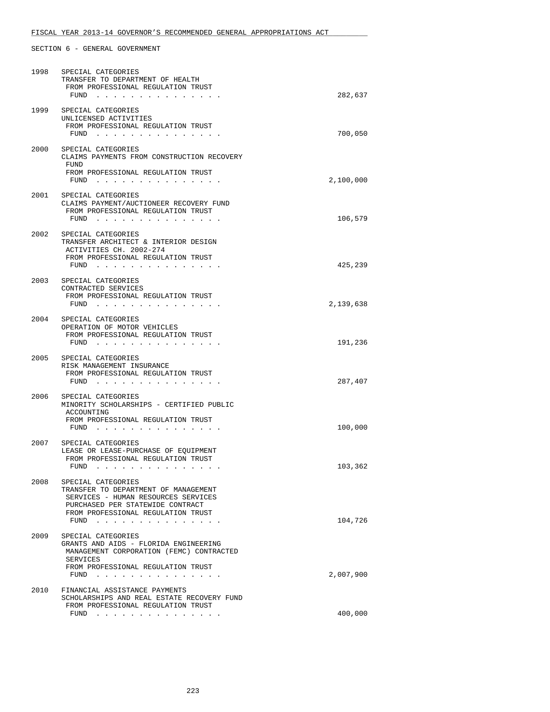| 1998 | SPECIAL CATEGORIES<br>TRANSFER TO DEPARTMENT OF HEALTH<br>FROM PROFESSIONAL REGULATION TRUST<br>FUND                                                                                              | 282,637   |
|------|---------------------------------------------------------------------------------------------------------------------------------------------------------------------------------------------------|-----------|
| 1999 | SPECIAL CATEGORIES<br>UNLICENSED ACTIVITIES<br>FROM PROFESSIONAL REGULATION TRUST<br>FUND                                                                                                         | 700,050   |
| 2000 | SPECIAL CATEGORIES<br>CLAIMS PAYMENTS FROM CONSTRUCTION RECOVERY<br>FUND<br>FROM PROFESSIONAL REGULATION TRUST<br>$FUND$                                                                          | 2,100,000 |
|      | 2001 SPECIAL CATEGORIES<br>CLAIMS PAYMENT/AUCTIONEER RECOVERY FUND<br>FROM PROFESSIONAL REGULATION TRUST<br>FUND                                                                                  | 106,579   |
| 2002 | SPECIAL CATEGORIES<br>TRANSFER ARCHITECT & INTERIOR DESIGN<br>ACTIVITIES CH. 2002-274<br>FROM PROFESSIONAL REGULATION TRUST<br>$FUND$                                                             | 425,239   |
|      | 2003 SPECIAL CATEGORIES<br>CONTRACTED SERVICES<br>FROM PROFESSIONAL REGULATION TRUST<br>FUND $\cdots$                                                                                             | 2,139,638 |
| 2004 | SPECIAL CATEGORIES<br>OPERATION OF MOTOR VEHICLES<br>FROM PROFESSIONAL REGULATION TRUST<br>$FUND$                                                                                                 | 191,236   |
| 2005 | SPECIAL CATEGORIES<br>RISK MANAGEMENT INSURANCE<br>FROM PROFESSIONAL REGULATION TRUST<br>FUND                                                                                                     | 287,407   |
| 2006 | SPECIAL CATEGORIES<br>MINORITY SCHOLARSHIPS - CERTIFIED PUBLIC<br>ACCOUNTING<br>FROM PROFESSIONAL REGULATION TRUST<br>$FUND$                                                                      | 100,000   |
| 2007 | SPECIAL CATEGORIES<br>LEASE OR LEASE-PURCHASE OF EQUIPMENT<br>FROM PROFESSIONAL REGULATION TRUST<br>FUND                                                                                          | 103,362   |
| 2008 | SPECIAL CATEGORIES<br>TRANSFER TO DEPARTMENT OF MANAGEMENT<br>SERVICES - HUMAN RESOURCES SERVICES<br>PURCHASED PER STATEWIDE CONTRACT<br>FROM PROFESSIONAL REGULATION TRUST<br>FUND<br>.          | 104,726   |
| 2009 | SPECIAL CATEGORIES<br>GRANTS AND AIDS - FLORIDA ENGINEERING<br>MANAGEMENT CORPORATION (FEMC) CONTRACTED<br>SERVICES<br>FROM PROFESSIONAL REGULATION TRUST<br>FUND<br>and a series and a series of | 2,007,900 |
| 2010 | FINANCIAL ASSISTANCE PAYMENTS<br>SCHOLARSHIPS AND REAL ESTATE RECOVERY FUND<br>FROM PROFESSIONAL REGULATION TRUST                                                                                 |           |
|      | FUND<br>. The contract of the contract of the contract of the contract of the contract of the $\alpha$                                                                                            | 400,000   |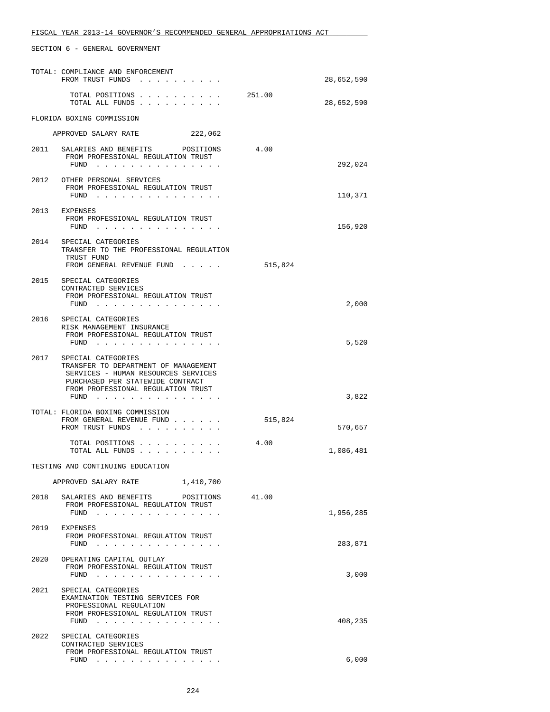|      | TOTAL: COMPLIANCE AND ENFORCEMENT<br>FROM TRUST FUNDS                                                                                                                                    |         | 28,652,590 |
|------|------------------------------------------------------------------------------------------------------------------------------------------------------------------------------------------|---------|------------|
|      | TOTAL POSITIONS<br>TOTAL ALL FUNDS                                                                                                                                                       | 251.00  | 28,652,590 |
|      | FLORIDA BOXING COMMISSION                                                                                                                                                                |         |            |
|      | 222,062<br>APPROVED SALARY RATE                                                                                                                                                          |         |            |
| 2011 | SALARIES AND BENEFITS POSITIONS<br>FROM PROFESSIONAL REGULATION TRUST                                                                                                                    | 4.00    | 292,024    |
|      | 2012 OTHER PERSONAL SERVICES<br>FROM PROFESSIONAL REGULATION TRUST<br>FUND                                                                                                               |         | 110,371    |
|      | 2013 EXPENSES<br>FROM PROFESSIONAL REGULATION TRUST<br>FUND                                                                                                                              |         | 156,920    |
| 2014 | SPECIAL CATEGORIES<br>TRANSFER TO THE PROFESSIONAL REGULATION<br>TRUST FUND<br>FROM GENERAL REVENUE FUND                                                                                 | 515,824 |            |
|      | 2015 SPECIAL CATEGORIES<br>CONTRACTED SERVICES<br>FROM PROFESSIONAL REGULATION TRUST<br>FUND $\cdots$                                                                                    |         | 2,000      |
|      | 2016 SPECIAL CATEGORIES<br>RISK MANAGEMENT INSURANCE<br>FROM PROFESSIONAL REGULATION TRUST<br>$FUND$                                                                                     |         | 5,520      |
|      | 2017 SPECIAL CATEGORIES<br>TRANSFER TO DEPARTMENT OF MANAGEMENT<br>SERVICES - HUMAN RESOURCES SERVICES<br>PURCHASED PER STATEWIDE CONTRACT<br>FROM PROFESSIONAL REGULATION TRUST<br>FUND |         | 3,822      |
|      | TOTAL: FLORIDA BOXING COMMISSION<br>FROM GENERAL REVENUE FUND<br>FROM TRUST FUNDS                                                                                                        | 515,824 | 570,657    |
|      | TOTAL POSITIONS<br>TOTAL ALL FUNDS                                                                                                                                                       | 4.00    | 1,086,481  |
|      | TESTING AND CONTINUING EDUCATION                                                                                                                                                         |         |            |
|      | 1,410,700<br>APPROVED SALARY RATE                                                                                                                                                        |         |            |
| 2018 | SALARIES AND BENEFITS POSITIONS<br>FROM PROFESSIONAL REGULATION TRUST<br>FUND $\cdots$                                                                                                   | 41.00   | 1,956,285  |
| 2019 | EXPENSES<br>FROM PROFESSIONAL REGULATION TRUST<br>FUND $\cdots$                                                                                                                          |         | 283,871    |
| 2020 | OPERATING CAPITAL OUTLAY<br>FROM PROFESSIONAL REGULATION TRUST<br>FUND $\cdots$ $\cdots$ $\cdots$ $\cdots$ $\cdots$ $\cdots$ $\cdots$                                                    |         | 3,000      |
|      | 2021 SPECIAL CATEGORIES<br>EXAMINATION TESTING SERVICES FOR<br>PROFESSIONAL REGULATION<br>FROM PROFESSIONAL REGULATION TRUST<br>FUND                                                     |         | 408,235    |
| 2022 | SPECIAL CATEGORIES<br>CONTRACTED SERVICES<br>FROM PROFESSIONAL REGULATION TRUST<br>FUND                                                                                                  |         | 6,000      |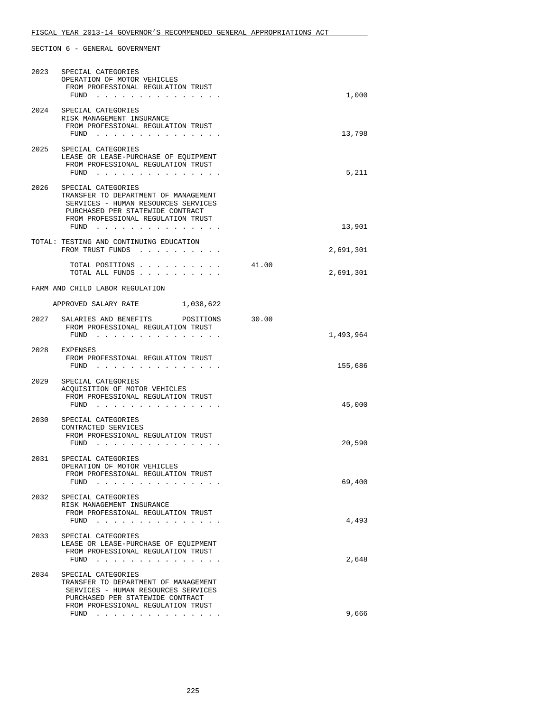| 2023 | SPECIAL CATEGORIES<br>OPERATION OF MOTOR VEHICLES<br>FROM PROFESSIONAL REGULATION TRUST<br>FUND $\cdots$                                                                                                                               | 1,000              |
|------|----------------------------------------------------------------------------------------------------------------------------------------------------------------------------------------------------------------------------------------|--------------------|
| 2024 | SPECIAL CATEGORIES<br>RISK MANAGEMENT INSURANCE<br>FROM PROFESSIONAL REGULATION TRUST<br>FUND                                                                                                                                          | 13,798             |
| 2025 | SPECIAL CATEGORIES<br>LEASE OR LEASE-PURCHASE OF EQUIPMENT<br>FROM PROFESSIONAL REGULATION TRUST<br>FUND                                                                                                                               | 5,211              |
| 2026 | SPECIAL CATEGORIES<br>TRANSFER TO DEPARTMENT OF MANAGEMENT<br>SERVICES - HUMAN RESOURCES SERVICES<br>PURCHASED PER STATEWIDE CONTRACT<br>FROM PROFESSIONAL REGULATION TRUST<br>$FUND$                                                  | 13,901             |
|      | TOTAL: TESTING AND CONTINUING EDUCATION<br>FROM TRUST FUNDS                                                                                                                                                                            | 2,691,301          |
|      | TOTAL POSITIONS<br>TOTAL ALL FUNDS                                                                                                                                                                                                     | 41.00<br>2,691,301 |
|      | FARM AND CHILD LABOR REGULATION                                                                                                                                                                                                        |                    |
|      | APPROVED SALARY RATE 1,038,622                                                                                                                                                                                                         |                    |
|      | 2027 SALARIES AND BENEFITS POSITIONS<br>FROM PROFESSIONAL REGULATION TRUST<br>FUND $\cdots$                                                                                                                                            | 30.00<br>1,493,964 |
|      | 2028 EXPENSES<br>FROM PROFESSIONAL REGULATION TRUST<br>FUND $\cdots$                                                                                                                                                                   | 155,686            |
| 2029 | SPECIAL CATEGORIES<br>ACOUISITION OF MOTOR VEHICLES<br>FROM PROFESSIONAL REGULATION TRUST<br>FUND                                                                                                                                      | 45,000             |
|      | 2030 SPECIAL CATEGORIES<br>CONTRACTED SERVICES<br>FROM PROFESSIONAL REGULATION TRUST<br>FUND $\ldots$ $\ldots$ $\ldots$ $\ldots$                                                                                                       | 20,590             |
|      | 2031 SPECIAL CATEGORIES<br>OPERATION OF MOTOR VEHICLES<br>FROM PROFESSIONAL REGULATION TRUST<br>FUND<br>$\sim$ $\sim$<br>$\sim$                                                                                                        | 69,400             |
| 2032 | SPECIAL CATEGORIES<br>RISK MANAGEMENT INSURANCE<br>FROM PROFESSIONAL REGULATION TRUST<br>FUND<br>$\mathbf{r}$ , and $\mathbf{r}$ , and $\mathbf{r}$ , and $\mathbf{r}$ , and $\mathbf{r}$                                              | 4,493              |
| 2033 | SPECIAL CATEGORIES<br>LEASE OR LEASE-PURCHASE OF EQUIPMENT<br>FROM PROFESSIONAL REGULATION TRUST<br>FUND $\cdots$                                                                                                                      | 2,648              |
| 2034 | SPECIAL CATEGORIES<br>TRANSFER TO DEPARTMENT OF MANAGEMENT<br>SERVICES - HUMAN RESOURCES SERVICES<br>PURCHASED PER STATEWIDE CONTRACT<br>FROM PROFESSIONAL REGULATION TRUST                                                            |                    |
|      | FUND<br>the contract of the contract of the contract of the contract of the contract of the contract of the contract of the contract of the contract of the contract of the contract of the contract of the contract of the contract o | 9,666              |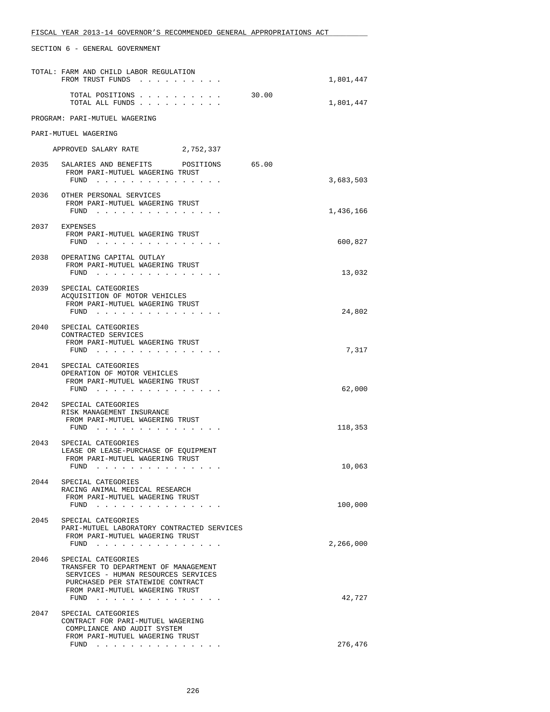|      | TOTAL: FARM AND CHILD LABOR REGULATION<br>FROM TRUST FUNDS                                                                                                                                |       | 1,801,447 |
|------|-------------------------------------------------------------------------------------------------------------------------------------------------------------------------------------------|-------|-----------|
|      | TOTAL POSITIONS<br>TOTAL ALL FUNDS                                                                                                                                                        | 30.00 | 1,801,447 |
|      | PROGRAM: PARI-MUTUEL WAGERING                                                                                                                                                             |       |           |
|      | PARI-MUTUEL WAGERING                                                                                                                                                                      |       |           |
|      | APPROVED SALARY RATE<br>2,752,337                                                                                                                                                         |       |           |
|      | 2035 SALARIES AND BENEFITS POSITIONS<br>65.00<br>FROM PARI-MUTUEL WAGERING TRUST<br>FUND $\cdots$                                                                                         |       | 3,683,503 |
|      | 2036 OTHER PERSONAL SERVICES<br>FROM PARI-MUTUEL WAGERING TRUST<br>FUND $\cdots$                                                                                                          |       | 1,436,166 |
|      | 2037 EXPENSES<br>FROM PARI-MUTUEL WAGERING TRUST<br>FUND $\cdots$                                                                                                                         |       | 600,827   |
| 2038 | OPERATING CAPITAL OUTLAY<br>FROM PARI-MUTUEL WAGERING TRUST<br>FUND                                                                                                                       |       | 13,032    |
| 2039 | SPECIAL CATEGORIES<br>ACOUISITION OF MOTOR VEHICLES<br>FROM PARI-MUTUEL WAGERING TRUST<br>$FUND$                                                                                          |       | 24,802    |
|      | 2040 SPECIAL CATEGORIES<br>CONTRACTED SERVICES<br>FROM PARI-MUTUEL WAGERING TRUST<br>$FUND$                                                                                               |       | 7,317     |
| 2041 | SPECIAL CATEGORIES<br>OPERATION OF MOTOR VEHICLES<br>FROM PARI-MUTUEL WAGERING TRUST<br>FUND                                                                                              |       | 62,000    |
| 2042 | SPECIAL CATEGORIES<br>RISK MANAGEMENT INSURANCE<br>FROM PARI-MUTUEL WAGERING TRUST<br>FUND                                                                                                |       | 118,353   |
| 2043 | SPECIAL CATEGORIES<br>LEASE OR LEASE-PURCHASE OF EQUIPMENT<br>FROM PARI-MUTUEL WAGERING TRUST<br>$FUND$ ,,,,,,,,                                                                          |       | 10,063    |
|      | 2044 SPECIAL CATEGORIES<br>RACING ANIMAL MEDICAL RESEARCH<br>FROM PARI-MUTUEL WAGERING TRUST<br>$FUND$                                                                                    |       | 100,000   |
| 2045 | SPECIAL CATEGORIES<br>PARI-MUTUEL LABORATORY CONTRACTED SERVICES<br>FROM PARI-MUTUEL WAGERING TRUST<br>FUND $\cdots$                                                                      |       | 2,266,000 |
| 2046 | SPECIAL CATEGORIES<br>TRANSFER TO DEPARTMENT OF MANAGEMENT<br>SERVICES - HUMAN RESOURCES SERVICES<br>PURCHASED PER STATEWIDE CONTRACT<br>FROM PARI-MUTUEL WAGERING TRUST<br>FUND $\cdots$ |       | 42,727    |
| 2047 | SPECIAL CATEGORIES<br>CONTRACT FOR PARI-MUTUEL WAGERING<br>COMPLIANCE AND AUDIT SYSTEM<br>FROM PARI-MUTUEL WAGERING TRUST<br>$FUND$                                                       |       | 276,476   |
|      |                                                                                                                                                                                           |       |           |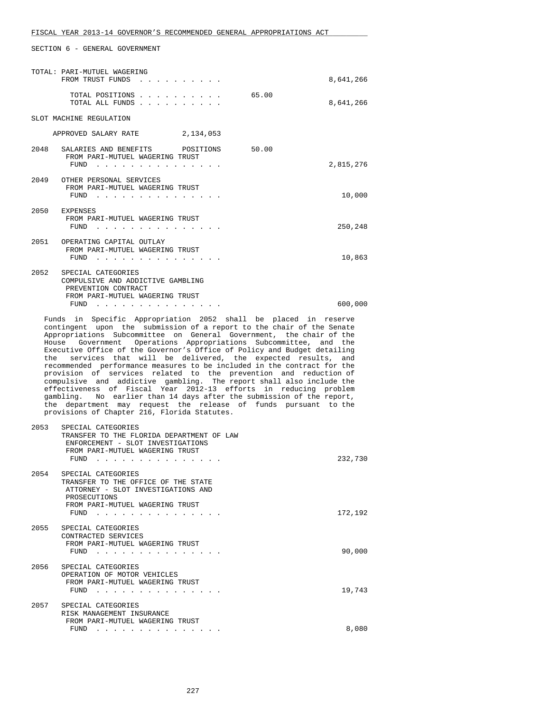| TOTAL: PARI-MUTUEL WAGERING<br>FROM TRUST FUNDS                                                                                   | 8,641,266          |
|-----------------------------------------------------------------------------------------------------------------------------------|--------------------|
| TOTAL POSITIONS<br>TOTAL ALL FUNDS.                                                                                               | 65.00<br>8,641,266 |
| SLOT MACHINE REGULATION                                                                                                           |                    |
| APPROVED SALARY RATE<br>2,134,053                                                                                                 |                    |
| 50.00<br>2048<br>SALARIES AND BENEFITS POSITIONS<br>FROM PARI-MUTUEL WAGERING TRUST<br>FUND                                       | 2,815,276          |
| 2049 OTHER PERSONAL SERVICES<br>FROM PARI-MUTUEL WAGERING TRUST<br>FUND                                                           | 10,000             |
| 2050 EXPENSES<br>FROM PARI-MUTUEL WAGERING TRUST<br>FUND                                                                          | 250,248            |
| 2051 OPERATING CAPITAL OUTLAY<br>FROM PARI-MUTUEL WAGERING TRUST<br>FUND                                                          | 10,863             |
| 2052<br>SPECIAL CATEGORIES<br>COMPULSIVE AND ADDICTIVE GAMBLING<br>PREVENTION CONTRACT<br>FROM PARI-MUTUEL WAGERING TRUST<br>FUND | 600,000            |
|                                                                                                                                   |                    |

 Funds in Specific Appropriation 2052 shall be placed in reserve contingent upon the submission of a report to the chair of the Senate Appropriations Subcommittee on General Government, the chair of the House Government Operations Appropriations Subcommittee, and the Executive Office of the Governor's Office of Policy and Budget detailing the services that will be delivered, the expected results, and recommended performance measures to be included in the contract for the provision of services related to the prevention and reduction of compulsive and addictive gambling. The report shall also include the effectiveness of Fiscal Year 2012-13 efforts in reducing problem gambling. No earlier than 14 days after the submission of the report, the department may request the release of funds pursuant to the provisions of Chapter 216, Florida Statutes.

| 2053 | SPECIAL CATEGORIES<br>TRANSFER TO THE FLORIDA DEPARTMENT OF LAW<br>ENFORCEMENT - SLOT INVESTIGATIONS<br>FROM PARI-MUTUEL WAGERING TRUST<br>FUND            | 232,730 |
|------|------------------------------------------------------------------------------------------------------------------------------------------------------------|---------|
| 2054 | SPECIAL CATEGORIES<br>TRANSFER TO THE OFFICE OF THE STATE<br>ATTORNEY - SLOT INVESTIGATIONS AND<br>PROSECUTIONS<br>FROM PARI-MUTUEL WAGERING TRUST<br>FUND | 172,192 |
| 2055 | SPECIAL CATEGORIES<br>CONTRACTED SERVICES<br>FROM PARI-MUTUEL WAGERING TRUST<br>FUND                                                                       | 90,000  |
| 2056 | SPECIAL CATEGORIES<br>OPERATION OF MOTOR VEHICLES<br>FROM PARI-MUTUEL WAGERING TRUST<br>FUND                                                               | 19,743  |
| 2057 | SPECIAL CATEGORIES<br>RISK MANAGEMENT INSURANCE<br>FROM PARI-MUTUEL WAGERING TRUST<br>FUND                                                                 | 8,080   |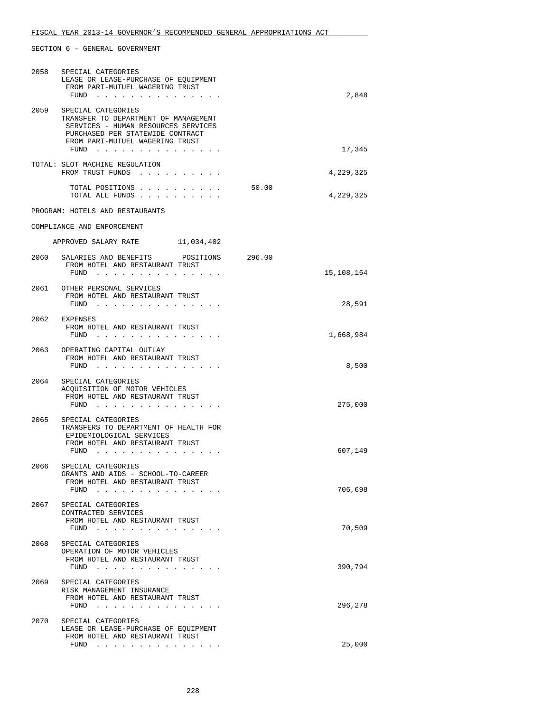|      | 2058 SPECIAL CATEGORIES<br>LEASE OR LEASE-PURCHASE OF EQUIPMENT<br>FROM PARI-MUTUEL WAGERING TRUST<br>FUND                                                                                                             |       | 2,848      |
|------|------------------------------------------------------------------------------------------------------------------------------------------------------------------------------------------------------------------------|-------|------------|
| 2059 | SPECIAL CATEGORIES<br>TRANSFER TO DEPARTMENT OF MANAGEMENT<br>SERVICES - HUMAN RESOURCES SERVICES<br>PURCHASED PER STATEWIDE CONTRACT<br>FROM PARI-MUTUEL WAGERING TRUST<br>$FUND$                                     |       | 17,345     |
|      | TOTAL: SLOT MACHINE REGULATION<br>FROM TRUST FUNDS                                                                                                                                                                     |       | 4,229,325  |
|      | TOTAL POSITIONS<br>TOTAL ALL FUNDS                                                                                                                                                                                     | 50.00 | 4,229,325  |
|      | PROGRAM: HOTELS AND RESTAURANTS                                                                                                                                                                                        |       |            |
|      | COMPLIANCE AND ENFORCEMENT                                                                                                                                                                                             |       |            |
|      | APPROVED SALARY RATE 11,034,402                                                                                                                                                                                        |       |            |
| 2060 | SALARIES AND BENEFITS POSITIONS 296.00<br>FROM HOTEL AND RESTAURANT TRUST                                                                                                                                              |       | 15,108,164 |
|      | FUND<br>2061 OTHER PERSONAL SERVICES<br>FROM HOTEL AND RESTAURANT TRUST                                                                                                                                                |       |            |
|      | FUND                                                                                                                                                                                                                   |       | 28,591     |
|      | 2062 EXPENSES<br>FROM HOTEL AND RESTAURANT TRUST<br>FUND $\cdots$                                                                                                                                                      |       | 1,668,984  |
|      | 2063 OPERATING CAPITAL OUTLAY<br>FROM HOTEL AND RESTAURANT TRUST<br>FUND                                                                                                                                               |       | 8,500      |
| 2064 | SPECIAL CATEGORIES<br>ACQUISITION OF MOTOR VEHICLES<br>FROM HOTEL AND RESTAURANT TRUST<br>$FUND$                                                                                                                       |       | 275,000    |
| 2065 | SPECIAL CATEGORIES<br>TRANSFERS TO DEPARTMENT OF HEALTH FOR<br>EPIDEMIOLOGICAL SERVICES<br>FROM HOTEL AND RESTAURANT TRUST                                                                                             |       |            |
|      | FUND                                                                                                                                                                                                                   |       | 607,149    |
| 2066 | SPECIAL CATEGORIES<br>GRANTS AND AIDS - SCHOOL-TO-CAREER<br>FROM HOTEL AND RESTAURANT TRUST<br>FUND<br>the contract of the contract of the contract of the contract of the contract of the contract of the contract of |       | 706,698    |
| 2067 | SPECIAL CATEGORIES<br>CONTRACTED SERVICES<br>FROM HOTEL AND RESTAURANT TRUST<br>FUND<br>. The contract of the contract of the contract of the contract of the contract of the $\alpha$                                 |       | 70,509     |
| 2068 | SPECIAL CATEGORIES<br>OPERATION OF MOTOR VEHICLES<br>FROM HOTEL AND RESTAURANT TRUST<br>$FUND$                                                                                                                         |       | 390,794    |
| 2069 | SPECIAL CATEGORIES<br>RISK MANAGEMENT INSURANCE<br>FROM HOTEL AND RESTAURANT TRUST<br>FUND $\cdots$                                                                                                                    |       | 296,278    |
| 2070 | SPECIAL CATEGORIES<br>LEASE OR LEASE-PURCHASE OF EQUIPMENT<br>FROM HOTEL AND RESTAURANT TRUST                                                                                                                          |       |            |
|      | FUND<br>. The second contract is the second contract of the second contract of the second contract of the $\mathcal{A}$                                                                                                |       | 25,000     |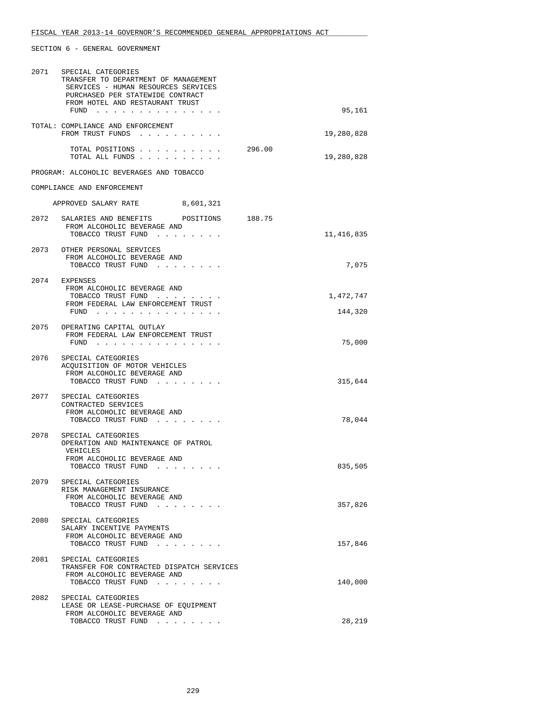| 2071 | SPECIAL CATEGORIES<br>TRANSFER TO DEPARTMENT OF MANAGEMENT<br>SERVICES - HUMAN RESOURCES SERVICES<br>PURCHASED PER STATEWIDE CONTRACT<br>FROM HOTEL AND RESTAURANT TRUST<br>FUND $\cdots$ | 95,161               |  |
|------|-------------------------------------------------------------------------------------------------------------------------------------------------------------------------------------------|----------------------|--|
|      | TOTAL: COMPLIANCE AND ENFORCEMENT<br>FROM TRUST FUNDS                                                                                                                                     | 19,280,828           |  |
|      | TOTAL POSITIONS<br>TOTAL ALL FUNDS                                                                                                                                                        | 296.00<br>19,280,828 |  |
|      | PROGRAM: ALCOHOLIC BEVERAGES AND TOBACCO                                                                                                                                                  |                      |  |
|      | COMPLIANCE AND ENFORCEMENT                                                                                                                                                                |                      |  |
|      | APPROVED SALARY RATE 8,601,321                                                                                                                                                            |                      |  |
|      | 2072 SALARIES AND BENEFITS POSITIONS 188.75<br>FROM ALCOHOLIC BEVERAGE AND<br>TOBACCO TRUST FUND                                                                                          | 11,416,835           |  |
|      | 2073 OTHER PERSONAL SERVICES<br>FROM ALCOHOLIC BEVERAGE AND<br>TOBACCO TRUST FUND                                                                                                         | 7,075                |  |
|      | 2074 EXPENSES<br>FROM ALCOHOLIC BEVERAGE AND<br>TOBACCO TRUST FUND                                                                                                                        | 1,472,747            |  |
|      | FROM FEDERAL LAW ENFORCEMENT TRUST<br>FUND $\cdots$                                                                                                                                       | 144,320              |  |
|      | 2075 OPERATING CAPITAL OUTLAY<br>FROM FEDERAL LAW ENFORCEMENT TRUST<br>$FUND$                                                                                                             | 75,000               |  |
|      | 2076 SPECIAL CATEGORIES<br>ACQUISITION OF MOTOR VEHICLES<br>FROM ALCOHOLIC BEVERAGE AND<br>TOBACCO TRUST FUND                                                                             | 315,644              |  |
|      | 2077 SPECIAL CATEGORIES<br>CONTRACTED SERVICES<br>FROM ALCOHOLIC BEVERAGE AND<br>TOBACCO TRUST FUND                                                                                       | 78,044               |  |
| 2078 | SPECIAL CATEGORIES<br>OPERATION AND MAINTENANCE OF PATROL<br>VEHICLES<br>FROM ALCOHOLIC BEVERAGE AND                                                                                      | 835,505              |  |
|      | TOBACCO TRUST FUND<br>2079 SPECIAL CATEGORIES<br>RISK MANAGEMENT INSURANCE<br>FROM ALCOHOLIC BEVERAGE AND<br>TOBACCO TRUST FUND                                                           | 357,826              |  |
| 2080 | SPECIAL CATEGORIES<br>SALARY INCENTIVE PAYMENTS<br>FROM ALCOHOLIC BEVERAGE AND<br>TOBACCO TRUST FUND                                                                                      | 157,846              |  |
| 2081 | SPECIAL CATEGORIES<br>TRANSFER FOR CONTRACTED DISPATCH SERVICES<br>FROM ALCOHOLIC BEVERAGE AND<br>TOBACCO TRUST FUND                                                                      | 140,000              |  |
| 2082 | SPECIAL CATEGORIES<br>LEASE OR LEASE-PURCHASE OF EQUIPMENT<br>FROM ALCOHOLIC BEVERAGE AND<br>TOBACCO TRUST FUND                                                                           | 28,219               |  |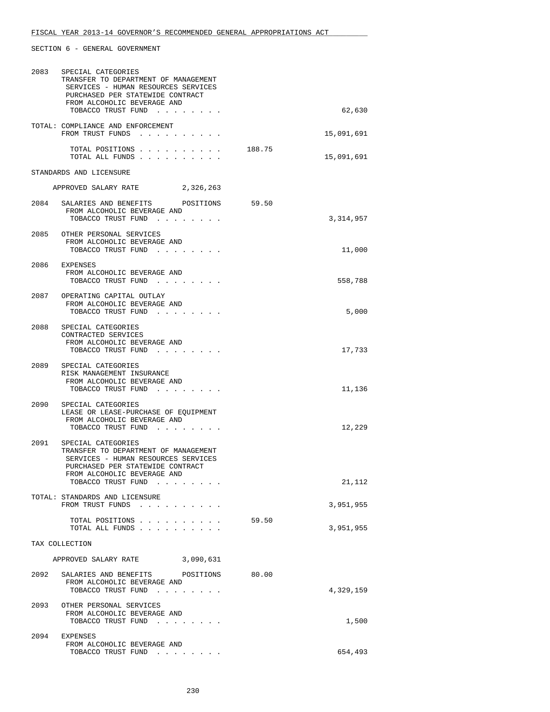| 2083 | SPECIAL CATEGORIES<br>TRANSFER TO DEPARTMENT OF MANAGEMENT<br>SERVICES - HUMAN RESOURCES SERVICES<br>PURCHASED PER STATEWIDE CONTRACT<br>FROM ALCOHOLIC BEVERAGE AND<br>TOBACCO TRUST FUND |        | 62,630     |
|------|--------------------------------------------------------------------------------------------------------------------------------------------------------------------------------------------|--------|------------|
|      | TOTAL: COMPLIANCE AND ENFORCEMENT<br>FROM TRUST FUNDS                                                                                                                                      |        | 15,091,691 |
|      | TOTAL POSITIONS<br>TOTAL ALL FUNDS                                                                                                                                                         | 188.75 | 15,091,691 |
|      | STANDARDS AND LICENSURE                                                                                                                                                                    |        |            |
|      | APPROVED SALARY RATE 2,326,263                                                                                                                                                             |        |            |
|      | 2084 SALARIES AND BENEFITS POSITIONS 59.50<br>FROM ALCOHOLIC BEVERAGE AND<br>TOBACCO TRUST FUND                                                                                            |        | 3,314,957  |
|      | 2085 OTHER PERSONAL SERVICES<br>FROM ALCOHOLIC BEVERAGE AND<br>TOBACCO TRUST FUND                                                                                                          |        | 11,000     |
|      | 2086 EXPENSES<br>FROM ALCOHOLIC BEVERAGE AND<br>TOBACCO TRUST FUND                                                                                                                         |        | 558,788    |
|      | 2087 OPERATING CAPITAL OUTLAY<br>FROM ALCOHOLIC BEVERAGE AND<br>TOBACCO TRUST FUND                                                                                                         |        | 5,000      |
|      | 2088 SPECIAL CATEGORIES<br>CONTRACTED SERVICES<br>FROM ALCOHOLIC BEVERAGE AND<br>TOBACCO TRUST FUND                                                                                        |        | 17,733     |
| 2089 | SPECIAL CATEGORIES<br>RISK MANAGEMENT INSURANCE<br>FROM ALCOHOLIC BEVERAGE AND<br>TOBACCO TRUST FUND                                                                                       |        | 11,136     |
| 2090 | SPECIAL CATEGORIES<br>LEASE OR LEASE-PURCHASE OF EOUIPMENT<br>FROM ALCOHOLIC BEVERAGE AND<br>TOBACCO TRUST FUND                                                                            |        | 12,229     |
| 2091 | SPECIAL CATEGORIES<br>TRANSFER TO DEPARTMENT OF MANAGEMENT<br>SERVICES - HUMAN RESOURCES SERVICES<br>PURCHASED PER STATEWIDE CONTRACT<br>FROM ALCOHOLIC BEVERAGE AND                       |        |            |
|      | TOBACCO TRUST FUND                                                                                                                                                                         |        | 21,112     |
|      | TOTAL: STANDARDS AND LICENSURE<br>FROM TRUST FUNDS                                                                                                                                         |        | 3,951,955  |
|      | TOTAL POSITIONS<br>TOTAL ALL FUNDS                                                                                                                                                         | 59.50  | 3,951,955  |
|      | TAX COLLECTION                                                                                                                                                                             |        |            |
|      | APPROVED SALARY RATE 3,090,631                                                                                                                                                             |        |            |
|      | 2092 SALARIES AND BENEFITS POSITIONS<br>FROM ALCOHOLIC BEVERAGE AND<br>TOBACCO TRUST FUND                                                                                                  | 80.00  | 4,329,159  |
|      | 2093 OTHER PERSONAL SERVICES<br>FROM ALCOHOLIC BEVERAGE AND                                                                                                                                |        |            |
| 2094 | TOBACCO TRUST FUND<br>EXPENSES                                                                                                                                                             |        | 1,500      |
|      | FROM ALCOHOLIC BEVERAGE AND<br>TOBACCO TRUST FUND                                                                                                                                          |        | 654,493    |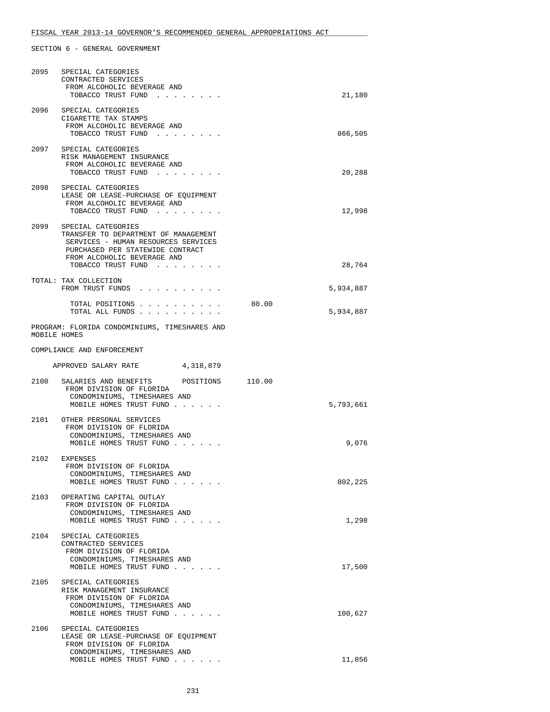| 2095 | SPECIAL CATEGORIES<br>CONTRACTED SERVICES<br>FROM ALCOHOLIC BEVERAGE AND<br>TOBACCO TRUST FUND                                                                                                  |       | 21,180    |
|------|-------------------------------------------------------------------------------------------------------------------------------------------------------------------------------------------------|-------|-----------|
| 2096 | SPECIAL CATEGORIES<br>CIGARETTE TAX STAMPS<br>FROM ALCOHOLIC BEVERAGE AND<br>TOBACCO TRUST FUND                                                                                                 |       | 866,505   |
|      | 2097 SPECIAL CATEGORIES<br>RISK MANAGEMENT INSURANCE<br>FROM ALCOHOLIC BEVERAGE AND<br>TOBACCO TRUST FUND                                                                                       |       | 20,288    |
|      | 2098 SPECIAL CATEGORIES<br>LEASE OR LEASE-PURCHASE OF EQUIPMENT<br>FROM ALCOHOLIC BEVERAGE AND<br>TOBACCO TRUST FUND                                                                            |       | 12,998    |
|      | 2099 SPECIAL CATEGORIES<br>TRANSFER TO DEPARTMENT OF MANAGEMENT<br>SERVICES - HUMAN RESOURCES SERVICES<br>PURCHASED PER STATEWIDE CONTRACT<br>FROM ALCOHOLIC BEVERAGE AND<br>TOBACCO TRUST FUND |       | 28,764    |
|      | TOTAL: TAX COLLECTION<br>FROM TRUST FUNDS                                                                                                                                                       |       | 5,934,887 |
|      | TOTAL POSITIONS<br>TOTAL ALL FUNDS                                                                                                                                                              | 80.00 | 5,934,887 |
|      | PROGRAM: FLORIDA CONDOMINIUMS, TIMESHARES AND<br>MOBILE HOMES                                                                                                                                   |       |           |
|      | COMPLIANCE AND ENFORCEMENT                                                                                                                                                                      |       |           |
|      | APPROVED SALARY RATE 4,318,879                                                                                                                                                                  |       |           |
| 2100 | SALARIES AND BENEFITS<br>POSITIONS 110.00<br>FROM DIVISION OF FLORIDA<br>CONDOMINIUMS, TIMESHARES AND<br>MOBILE HOMES TRUST FUND                                                                |       | 5,793,661 |
|      | 2101 OTHER PERSONAL SERVICES<br>FROM DIVISION OF FLORIDA<br>CONDOMINIUMS, TIMESHARES AND<br>MOBILE HOMES TRUST FUND                                                                             |       | 9,076     |
|      | 2102 EXPENSES<br>FROM DIVISION OF FLORIDA<br>CONDOMINIUMS, TIMESHARES AND<br>MOBILE HOMES TRUST FUND                                                                                            |       | 802,225   |
| 2103 | OPERATING CAPITAL OUTLAY<br>FROM DIVISION OF FLORIDA<br>CONDOMINIUMS, TIMESHARES AND<br>MOBILE HOMES TRUST FUND                                                                                 |       | 1,298     |
| 2104 | SPECIAL CATEGORIES<br>CONTRACTED SERVICES<br>FROM DIVISION OF FLORIDA<br>CONDOMINIUMS, TIMESHARES AND<br>MOBILE HOMES TRUST FUND                                                                |       | 17,500    |
| 2105 | SPECIAL CATEGORIES<br>RISK MANAGEMENT INSURANCE<br>FROM DIVISION OF FLORIDA<br>CONDOMINIUMS, TIMESHARES AND<br>MOBILE HOMES TRUST FUND                                                          |       | 100,627   |
| 2106 | SPECIAL CATEGORIES<br>LEASE OR LEASE-PURCHASE OF EQUIPMENT<br>FROM DIVISION OF FLORIDA<br>CONDOMINIUMS, TIMESHARES AND                                                                          |       |           |
|      | MOBILE HOMES TRUST FUND                                                                                                                                                                         |       | 11,856    |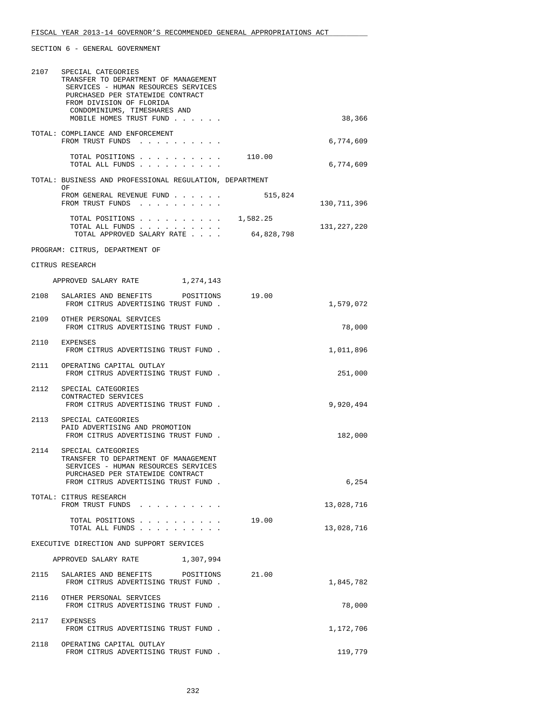|      | 2107 SPECIAL CATEGORIES<br>TRANSFER TO DEPARTMENT OF MANAGEMENT<br>SERVICES - HUMAN RESOURCES SERVICES<br>PURCHASED PER STATEWIDE CONTRACT<br>FROM DIVISION OF FLORIDA<br>CONDOMINIUMS, TIMESHARES AND<br>MOBILE HOMES TRUST FUND |            | 38,366        |
|------|-----------------------------------------------------------------------------------------------------------------------------------------------------------------------------------------------------------------------------------|------------|---------------|
|      | TOTAL: COMPLIANCE AND ENFORCEMENT<br>FROM TRUST FUNDS                                                                                                                                                                             |            | 6,774,609     |
|      | TOTAL POSITIONS 110.00<br>TOTAL ALL FUNDS                                                                                                                                                                                         |            | 6,774,609     |
|      | TOTAL: BUSINESS AND PROFESSIONAL REGULATION, DEPARTMENT                                                                                                                                                                           |            |               |
|      | OF<br>FROM GENERAL REVENUE FUND<br>FROM TRUST FUNDS                                                                                                                                                                               | 515,824    | 130, 711, 396 |
|      | TOTAL POSITIONS $\ldots$ , 1,582.25<br>TOTAL ALL FUNDS                                                                                                                                                                            | 64,828,798 | 131,227,220   |
|      | TOTAL APPROVED SALARY RATE                                                                                                                                                                                                        |            |               |
|      | PROGRAM: CITRUS, DEPARTMENT OF                                                                                                                                                                                                    |            |               |
|      | CITRUS RESEARCH                                                                                                                                                                                                                   |            |               |
|      | APPROVED SALARY RATE 1, 274, 143                                                                                                                                                                                                  |            |               |
|      | 2108 SALARIES AND BENEFITS<br>POSITIONS<br>FROM CITRUS ADVERTISING TRUST FUND.                                                                                                                                                    | 19.00      | 1,579,072     |
|      | 2109 OTHER PERSONAL SERVICES<br>FROM CITRUS ADVERTISING TRUST FUND.                                                                                                                                                               |            | 78,000        |
|      | 2110 EXPENSES<br>FROM CITRUS ADVERTISING TRUST FUND.                                                                                                                                                                              |            | 1,011,896     |
|      | 2111 OPERATING CAPITAL OUTLAY<br>FROM CITRUS ADVERTISING TRUST FUND.                                                                                                                                                              |            | 251,000       |
|      | 2112 SPECIAL CATEGORIES<br>CONTRACTED SERVICES<br>FROM CITRUS ADVERTISING TRUST FUND.                                                                                                                                             |            | 9,920,494     |
|      | 2113 SPECIAL CATEGORIES<br>PAID ADVERTISING AND PROMOTION<br>FROM CITRUS ADVERTISING TRUST FUND.                                                                                                                                  |            | 182,000       |
| 2114 | SPECIAL CATEGORIES<br>TRANSFER TO DEPARTMENT OF MANAGEMENT<br>SERVICES - HUMAN RESOURCES SERVICES<br>PURCHASED PER STATEWIDE CONTRACT<br>FROM CITRUS ADVERTISING TRUST FUND.                                                      |            | 6,254         |
|      | TOTAL: CITRUS RESEARCH<br>FROM TRUST FUNDS                                                                                                                                                                                        |            | 13,028,716    |
|      | TOTAL POSITIONS<br>TOTAL ALL FUNDS                                                                                                                                                                                                | 19.00      | 13,028,716    |
|      | EXECUTIVE DIRECTION AND SUPPORT SERVICES                                                                                                                                                                                          |            |               |
|      | APPROVED SALARY RATE<br>1,307,994                                                                                                                                                                                                 |            |               |
| 2115 | SALARIES AND BENEFITS POSITIONS<br>FROM CITRUS ADVERTISING TRUST FUND.                                                                                                                                                            | 21.00      | 1,845,782     |
|      | 2116 OTHER PERSONAL SERVICES<br>FROM CITRUS ADVERTISING TRUST FUND.                                                                                                                                                               |            | 78,000        |
|      | 2117 EXPENSES<br>FROM CITRUS ADVERTISING TRUST FUND.                                                                                                                                                                              |            | 1,172,706     |
|      | 2118 OPERATING CAPITAL OUTLAY<br>FROM CITRUS ADVERTISING TRUST FUND.                                                                                                                                                              |            | 119,779       |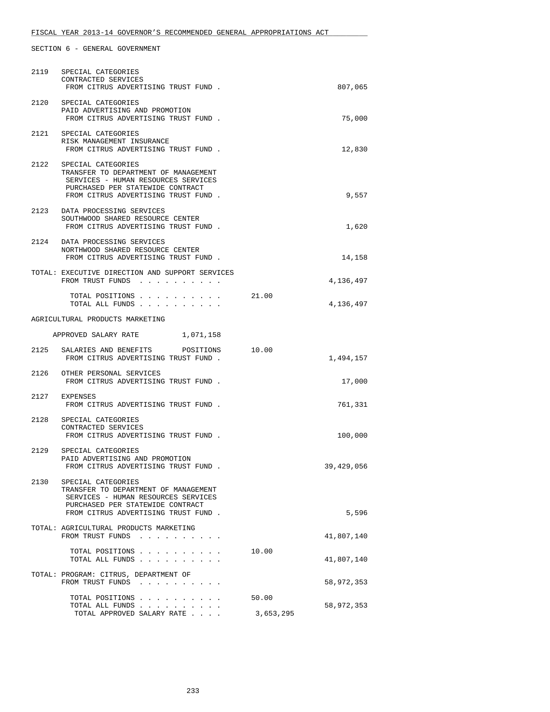| 2119 | SPECIAL CATEGORIES<br>CONTRACTED SERVICES<br>FROM CITRUS ADVERTISING TRUST FUND.                                                                                                  |                    | 807,065    |
|------|-----------------------------------------------------------------------------------------------------------------------------------------------------------------------------------|--------------------|------------|
| 2120 | SPECIAL CATEGORIES<br>PAID ADVERTISING AND PROMOTION<br>FROM CITRUS ADVERTISING TRUST FUND.                                                                                       |                    | 75,000     |
|      | 2121 SPECIAL CATEGORIES<br>RISK MANAGEMENT INSURANCE<br>FROM CITRUS ADVERTISING TRUST FUND.                                                                                       |                    | 12,830     |
|      | 2122 SPECIAL CATEGORIES<br>TRANSFER TO DEPARTMENT OF MANAGEMENT<br>SERVICES - HUMAN RESOURCES SERVICES<br>PURCHASED PER STATEWIDE CONTRACT<br>FROM CITRUS ADVERTISING TRUST FUND. |                    | 9,557      |
| 2123 | DATA PROCESSING SERVICES<br>SOUTHWOOD SHARED RESOURCE CENTER<br>FROM CITRUS ADVERTISING TRUST FUND.                                                                               |                    | 1,620      |
| 2124 | DATA PROCESSING SERVICES<br>NORTHWOOD SHARED RESOURCE CENTER<br>FROM CITRUS ADVERTISING TRUST FUND.                                                                               |                    | 14,158     |
|      | TOTAL: EXECUTIVE DIRECTION AND SUPPORT SERVICES<br>FROM TRUST FUNDS                                                                                                               |                    | 4,136,497  |
|      | TOTAL POSITIONS<br>TOTAL ALL FUNDS                                                                                                                                                | 21.00              | 4,136,497  |
|      | AGRICULTURAL PRODUCTS MARKETING                                                                                                                                                   |                    |            |
|      | APPROVED SALARY RATE 1,071,158                                                                                                                                                    |                    |            |
|      | 2125 SALARIES AND BENEFITS<br>POSITIONS<br>FROM CITRUS ADVERTISING TRUST FUND.                                                                                                    | 10.00              | 1,494,157  |
|      | 2126 OTHER PERSONAL SERVICES<br>FROM CITRUS ADVERTISING TRUST FUND.                                                                                                               |                    | 17,000     |
|      | 2127 EXPENSES<br>FROM CITRUS ADVERTISING TRUST FUND.                                                                                                                              |                    | 761,331    |
| 2128 | SPECIAL CATEGORIES<br>CONTRACTED SERVICES<br>FROM CITRUS ADVERTISING TRUST FUND.                                                                                                  |                    | 100,000    |
|      | 2129 SPECIAL CATEGORIES<br>PAID ADVERTISING AND PROMOTION<br>FROM CITRUS ADVERTISING TRUST FUND                                                                                   |                    | 39,429,056 |
|      | 2130 SPECIAL CATEGORIES<br>TRANSFER TO DEPARTMENT OF MANAGEMENT<br>SERVICES - HUMAN RESOURCES SERVICES<br>PURCHASED PER STATEWIDE CONTRACT<br>FROM CITRUS ADVERTISING TRUST FUND. |                    | 5,596      |
|      | TOTAL: AGRICULTURAL PRODUCTS MARKETING<br>FROM TRUST FUNDS<br>$\begin{array}{cccccccccccccc} . & . & . & . & . & . & . & . \end{array}$                                           |                    | 41,807,140 |
|      | TOTAL POSITIONS<br>TOTAL ALL FUNDS                                                                                                                                                | 10.00              | 41,807,140 |
|      | TOTAL: PROGRAM: CITRUS, DEPARTMENT OF<br>FROM TRUST FUNDS                                                                                                                         |                    | 58,972,353 |
|      | TOTAL POSITIONS<br>TOTAL ALL FUNDS<br>TOTAL APPROVED SALARY RATE                                                                                                                  | 50.00<br>3,653,295 | 58,972,353 |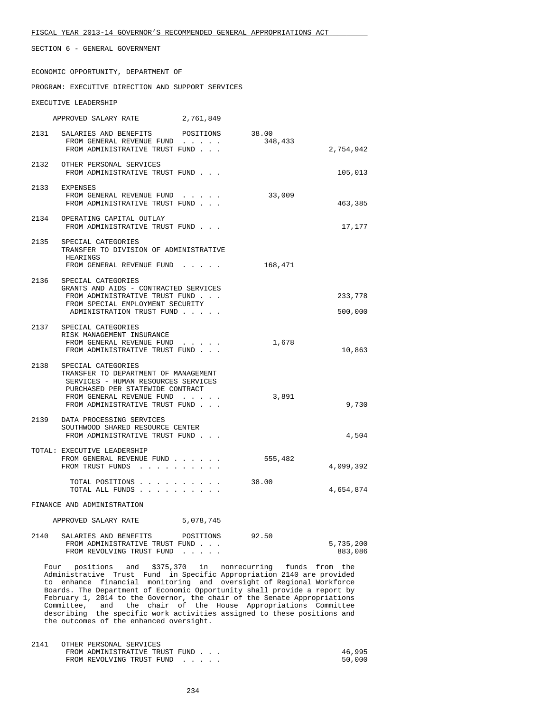ECONOMIC OPPORTUNITY, DEPARTMENT OF

#### PROGRAM: EXECUTIVE DIRECTION AND SUPPORT SERVICES

### EXECUTIVE LEADERSHIP

APPROVED SALARY RATE 2,761,849

|      | 2131 SALARIES AND BENEFITS<br>POSITIONS<br>FROM GENERAL REVENUE FUND<br>FROM ADMINISTRATIVE TRUST FUND                                                                                               | 38.00<br>348,433 | 2,754,942          |
|------|------------------------------------------------------------------------------------------------------------------------------------------------------------------------------------------------------|------------------|--------------------|
|      | 2132 OTHER PERSONAL SERVICES<br>FROM ADMINISTRATIVE TRUST FUND                                                                                                                                       |                  | 105,013            |
|      | 2133 EXPENSES<br>FROM GENERAL REVENUE FUND<br>FROM ADMINISTRATIVE TRUST FUND                                                                                                                         | 33,009           | 463,385            |
|      | 2134 OPERATING CAPITAL OUTLAY<br>FROM ADMINISTRATIVE TRUST FUND                                                                                                                                      |                  | 17,177             |
| 2135 | SPECIAL CATEGORIES<br>TRANSFER TO DIVISION OF ADMINISTRATIVE<br>HEARINGS<br>FROM GENERAL REVENUE FUND                                                                                                | 168,471          |                    |
| 2136 | SPECIAL CATEGORIES<br>GRANTS AND AIDS - CONTRACTED SERVICES<br>FROM ADMINISTRATIVE TRUST FUND<br>FROM SPECIAL EMPLOYMENT SECURITY<br>ADMINISTRATION TRUST FUND                                       |                  | 233,778<br>500,000 |
|      | 2137 SPECIAL CATEGORIES<br>RISK MANAGEMENT INSURANCE<br>FROM GENERAL REVENUE FUND<br>FROM ADMINISTRATIVE TRUST FUND                                                                                  | 1,678            | 10,863             |
| 2138 | SPECIAL CATEGORIES<br>TRANSFER TO DEPARTMENT OF MANAGEMENT<br>SERVICES - HUMAN RESOURCES SERVICES<br>PURCHASED PER STATEWIDE CONTRACT<br>FROM GENERAL REVENUE FUND<br>FROM ADMINISTRATIVE TRUST FUND | 3,891            | 9,730              |
| 2139 | DATA PROCESSING SERVICES<br>SOUTHWOOD SHARED RESOURCE CENTER<br>FROM ADMINISTRATIVE TRUST FUND                                                                                                       |                  | 4,504              |
|      | TOTAL: EXECUTIVE LEADERSHIP<br>FROM GENERAL REVENUE FUND<br>FROM TRUST FUNDS                                                                                                                         | 555,482          | 4,099,392          |
|      | TOTAL POSITIONS<br>TOTAL ALL FUNDS                                                                                                                                                                   | 38.00            | 4,654,874          |

FINANCE AND ADMINISTRATION

| APPROVED SALARY RATE | 5,078,745 |
|----------------------|-----------|
|----------------------|-----------|

| 2140 | SALARIES AND BENEFITS          | POSITIONS | 92.50 |           |
|------|--------------------------------|-----------|-------|-----------|
|      | FROM ADMINISTRATIVE TRUST FUND |           |       | 5,735,200 |
|      | FROM REVOLVING TRUST FUND      |           |       | 883,086   |

 Four positions and \$375,370 in nonrecurring funds from the Administrative Trust Fund in Specific Appropriation 2140 are provided to enhance financial monitoring and oversight of Regional Workforce Boards. The Department of Economic Opportunity shall provide a report by February 1, 2014 to the Governor, the chair of the Senate Appropriations Committee, and the chair of the House Appropriations Committee describing the specific work activities assigned to these positions and the outcomes of the enhanced oversight.

| 2141 | OTHER PERSONAL SERVICES        |        |
|------|--------------------------------|--------|
|      | FROM ADMINISTRATIVE TRUST FUND | 46,995 |
|      | FROM REVOLVING TRUST FUND      | 50,000 |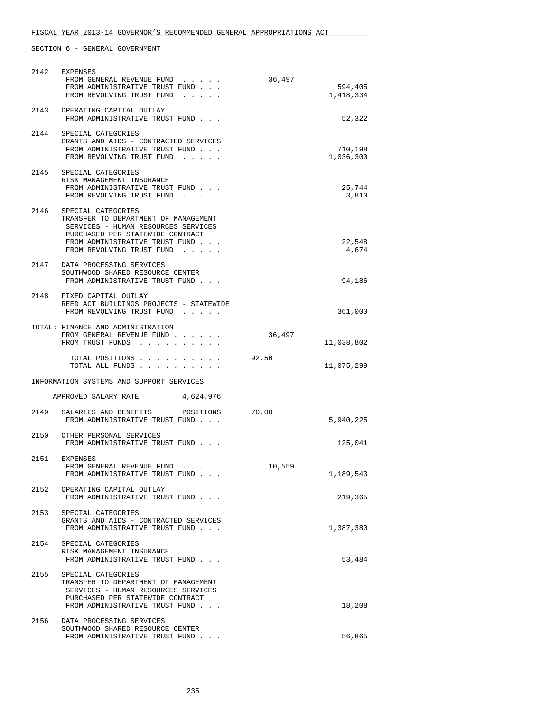| 2142 | EXPENSES<br>FROM GENERAL REVENUE FUND                                                                                                                                                                     | 36,497 |                      |
|------|-----------------------------------------------------------------------------------------------------------------------------------------------------------------------------------------------------------|--------|----------------------|
|      | FROM ADMINISTRATIVE TRUST FUND<br>FROM REVOLVING TRUST FUND                                                                                                                                               |        | 594,405<br>1,418,334 |
| 2143 | OPERATING CAPITAL OUTLAY<br>FROM ADMINISTRATIVE TRUST FUND                                                                                                                                                |        | 52,322               |
|      | 2144 SPECIAL CATEGORIES<br>GRANTS AND AIDS - CONTRACTED SERVICES<br>FROM ADMINISTRATIVE TRUST FUND<br>FROM REVOLVING TRUST FUND                                                                           |        | 710,198<br>1,036,300 |
| 2145 | SPECIAL CATEGORIES<br>RISK MANAGEMENT INSURANCE<br>FROM ADMINISTRATIVE TRUST FUND<br>FROM REVOLVING TRUST FUND                                                                                            |        | 25,744<br>3,810      |
|      | 2146 SPECIAL CATEGORIES<br>TRANSFER TO DEPARTMENT OF MANAGEMENT<br>SERVICES - HUMAN RESOURCES SERVICES<br>PURCHASED PER STATEWIDE CONTRACT<br>FROM ADMINISTRATIVE TRUST FUND<br>FROM REVOLVING TRUST FUND |        | 22,548<br>4,674      |
|      | 2147 DATA PROCESSING SERVICES<br>SOUTHWOOD SHARED RESOURCE CENTER<br>FROM ADMINISTRATIVE TRUST FUND                                                                                                       |        | 94,186               |
|      | 2148 FIXED CAPITAL OUTLAY<br>REED ACT BUILDINGS PROJECTS - STATEWIDE<br>FROM REVOLVING TRUST FUND                                                                                                         |        | 361,000              |
|      | TOTAL: FINANCE AND ADMINISTRATION<br>FROM GENERAL REVENUE FUND<br>FROM TRUST FUNDS                                                                                                                        | 36,497 | 11,038,802           |
|      | TOTAL POSITIONS<br>TOTAL ALL FUNDS                                                                                                                                                                        | 92.50  | 11,075,299           |
|      | INFORMATION SYSTEMS AND SUPPORT SERVICES                                                                                                                                                                  |        |                      |
|      | APPROVED SALARY RATE<br>4,624,976                                                                                                                                                                         |        |                      |
| 2149 | SALARIES AND BENEFITS POSITIONS<br>FROM ADMINISTRATIVE TRUST FUND                                                                                                                                         | 70.00  | 5,940,225            |
| 2150 | OTHER PERSONAL SERVICES<br>FROM ADMINISTRATIVE TRUST FUND                                                                                                                                                 |        | 125,041              |
| 2151 | EXPENSES<br>FROM GENERAL REVENUE FUND<br>FROM ADMINISTRATIVE TRUST FUND                                                                                                                                   | 10,559 | 1,189,543            |
| 2152 | OPERATING CAPITAL OUTLAY<br>FROM ADMINISTRATIVE TRUST FUND                                                                                                                                                |        | 219,365              |
| 2153 | SPECIAL CATEGORIES<br>GRANTS AND AIDS - CONTRACTED SERVICES<br>FROM ADMINISTRATIVE TRUST FUND                                                                                                             |        | 1,387,380            |
| 2154 | SPECIAL CATEGORIES<br>RISK MANAGEMENT INSURANCE<br>FROM ADMINISTRATIVE TRUST FUND                                                                                                                         |        | 53,484               |
| 2155 | SPECIAL CATEGORIES<br>TRANSFER TO DEPARTMENT OF MANAGEMENT<br>SERVICES - HUMAN RESOURCES SERVICES<br>PURCHASED PER STATEWIDE CONTRACT<br>FROM ADMINISTRATIVE TRUST FUND                                   |        | 18,208               |
| 2156 | DATA PROCESSING SERVICES<br>SOUTHWOOD SHARED RESOURCE CENTER<br>FROM ADMINISTRATIVE TRUST FUND                                                                                                            |        | 56,865               |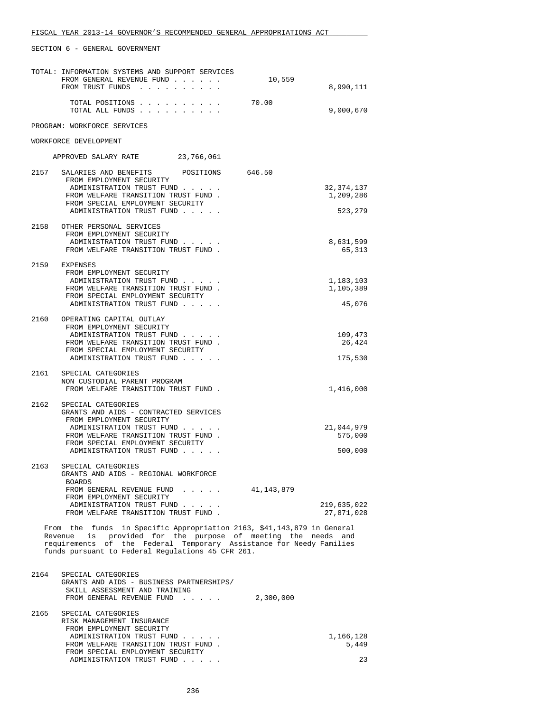|      | TOTAL: INFORMATION SYSTEMS AND SUPPORT SERVICES<br>FROM GENERAL REVENUE FUND                                                              | 10,559    |                           |
|------|-------------------------------------------------------------------------------------------------------------------------------------------|-----------|---------------------------|
|      | FROM TRUST FUNDS                                                                                                                          |           | 8,990,111                 |
|      | TOTAL POSITIONS<br>TOTAL ALL FUNDS                                                                                                        | 70.00     | 9,000,670                 |
|      | PROGRAM: WORKFORCE SERVICES                                                                                                               |           |                           |
|      | WORKFORCE DEVELOPMENT                                                                                                                     |           |                           |
|      | APPROVED SALARY RATE 23,766,061                                                                                                           |           |                           |
|      | 2157 SALARIES AND BENEFITS POSITIONS 646.50<br>FROM EMPLOYMENT SECURITY                                                                   |           |                           |
|      | ADMINISTRATION TRUST FUND<br>FROM WELFARE TRANSITION TRUST FUND.                                                                          |           | 32, 374, 137<br>1,209,286 |
|      | FROM SPECIAL EMPLOYMENT SECURITY<br>ADMINISTRATION TRUST FUND                                                                             |           | 523,279                   |
| 2158 | OTHER PERSONAL SERVICES<br>FROM EMPLOYMENT SECURITY                                                                                       |           |                           |
|      | ADMINISTRATION TRUST FUND                                                                                                                 |           | 8,631,599                 |
|      | FROM WELFARE TRANSITION TRUST FUND.                                                                                                       |           | 65,313                    |
|      | 2159 EXPENSES<br>FROM EMPLOYMENT SECURITY                                                                                                 |           |                           |
|      | ADMINISTRATION TRUST FUND                                                                                                                 |           | 1,183,103                 |
|      | FROM WELFARE TRANSITION TRUST FUND.<br>FROM SPECIAL EMPLOYMENT SECURITY                                                                   |           | 1,105,389                 |
|      | ADMINISTRATION TRUST FUND                                                                                                                 |           | 45,076                    |
| 2160 | OPERATING CAPITAL OUTLAY<br>FROM EMPLOYMENT SECURITY                                                                                      |           |                           |
|      | ADMINISTRATION TRUST FUND                                                                                                                 |           | 109,473                   |
|      | FROM WELFARE TRANSITION TRUST FUND.<br>FROM SPECIAL EMPLOYMENT SECURITY                                                                   |           | 26,424                    |
|      | ADMINISTRATION TRUST FUND                                                                                                                 |           | 175,530                   |
| 2161 | SPECIAL CATEGORIES                                                                                                                        |           |                           |
|      | NON CUSTODIAL PARENT PROGRAM<br>FROM WELFARE TRANSITION TRUST FUND.                                                                       |           | 1,416,000                 |
| 2162 | SPECIAL CATEGORIES                                                                                                                        |           |                           |
|      | GRANTS AND AIDS - CONTRACTED SERVICES<br>FROM EMPLOYMENT SECURITY                                                                         |           |                           |
|      | ADMINISTRATION TRUST FUND<br>FROM WELFARE TRANSITION TRUST FUND.                                                                          |           | 21,044,979<br>575,000     |
|      | FROM SPECIAL EMPLOYMENT SECURITY                                                                                                          |           |                           |
|      | ADMINISTRATION TRUST FUND                                                                                                                 |           | 500,000                   |
| 2163 | SPECIAL CATEGORIES<br>GRANTS AND AIDS - REGIONAL WORKFORCE                                                                                |           |                           |
|      | BOARDS<br>FROM GENERAL REVENUE FUND 41,143,879                                                                                            |           |                           |
|      | FROM EMPLOYMENT SECURITY<br>ADMINISTRATION TRUST FUND                                                                                     |           |                           |
|      | FROM WELFARE TRANSITION TRUST FUND.                                                                                                       |           | 219,635,022<br>27,871,028 |
|      | From the funds in Specific Appropriation 2163, \$41,143,879 in General<br>is provided for the purpose of meeting the needs and<br>Revenue |           |                           |
|      | requirements of the Federal Temporary Assistance for Needy Families<br>funds pursuant to Federal Regulations 45 CFR 261.                  |           |                           |
| 2164 | SPECIAL CATEGORIES                                                                                                                        |           |                           |
|      | GRANTS AND AIDS - BUSINESS PARTNERSHIPS/                                                                                                  |           |                           |
|      | SKILL ASSESSMENT AND TRAINING<br>FROM GENERAL REVENUE FUND                                                                                | 2,300,000 |                           |
| 2165 | SPECIAL CATEGORIES                                                                                                                        |           |                           |
|      | RISK MANAGEMENT INSURANCE<br>FROM EMPLOYMENT SECURITY                                                                                     |           |                           |
|      | ADMINISTRATION TRUST FUND                                                                                                                 |           | 1,166,128                 |
|      | FROM WELFARE TRANSITION TRUST FUND.<br>FROM SPECIAL EMPLOYMENT SECURITY                                                                   |           | 5,449                     |
|      | ADMINISTRATION TRUST FUND                                                                                                                 |           | 23                        |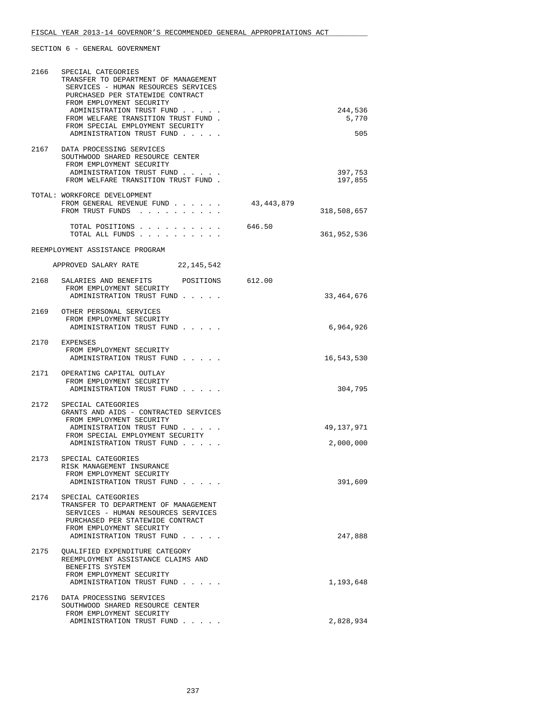| 2166 | SPECIAL CATEGORIES<br>TRANSFER TO DEPARTMENT OF MANAGEMENT<br>SERVICES - HUMAN RESOURCES SERVICES<br>PURCHASED PER STATEWIDE CONTRACT<br>FROM EMPLOYMENT SECURITY<br>ADMINISTRATION TRUST FUND<br>FROM WELFARE TRANSITION TRUST FUND. |            | 244,536<br>5,770        |
|------|---------------------------------------------------------------------------------------------------------------------------------------------------------------------------------------------------------------------------------------|------------|-------------------------|
|      | FROM SPECIAL EMPLOYMENT SECURITY<br>ADMINISTRATION TRUST FUND                                                                                                                                                                         |            | 505                     |
| 2167 | DATA PROCESSING SERVICES<br>SOUTHWOOD SHARED RESOURCE CENTER<br>FROM EMPLOYMENT SECURITY<br>ADMINISTRATION TRUST FUND<br>FROM WELFARE TRANSITION TRUST FUND.                                                                          |            | 397,753<br>197,855      |
|      | TOTAL: WORKFORCE DEVELOPMENT<br>FROM GENERAL REVENUE FUND<br>FROM TRUST FUNDS                                                                                                                                                         | 43,443,879 | 318,508,657             |
|      | TOTAL POSITIONS<br>TOTAL ALL FUNDS                                                                                                                                                                                                    | 646.50     | 361,952,536             |
|      | REEMPLOYMENT ASSISTANCE PROGRAM                                                                                                                                                                                                       |            |                         |
|      | APPROVED SALARY RATE 22,145,542                                                                                                                                                                                                       |            |                         |
|      | 2168 SALARIES AND BENEFITS<br>POSITIONS 612.00<br>FROM EMPLOYMENT SECURITY<br>ADMINISTRATION TRUST FUND                                                                                                                               |            | 33,464,676              |
|      | 2169 OTHER PERSONAL SERVICES<br>FROM EMPLOYMENT SECURITY<br>ADMINISTRATION TRUST FUND                                                                                                                                                 |            | 6,964,926               |
|      | 2170 EXPENSES<br>FROM EMPLOYMENT SECURITY<br>ADMINISTRATION TRUST FUND                                                                                                                                                                |            | 16,543,530              |
|      | 2171 OPERATING CAPITAL OUTLAY<br>FROM EMPLOYMENT SECURITY<br>ADMINISTRATION TRUST FUND                                                                                                                                                |            | 304,795                 |
| 2172 | SPECIAL CATEGORIES<br>GRANTS AND AIDS - CONTRACTED SERVICES<br>FROM EMPLOYMENT SECURITY<br>ADMINISTRATION TRUST FUND<br>FROM SPECIAL EMPLOYMENT SECURITY<br>ADMINISTRATION TRUST FUND                                                 |            | 49,137,971<br>2,000,000 |
| 2173 | SPECIAL CATEGORIES<br>RISK MANAGEMENT INSURANCE<br>FROM EMPLOYMENT SECURITY<br>ADMINISTRATION TRUST FUND                                                                                                                              |            | 391,609                 |
| 2174 | SPECIAL CATEGORIES<br>TRANSFER TO DEPARTMENT OF MANAGEMENT<br>SERVICES - HUMAN RESOURCES SERVICES<br>PURCHASED PER STATEWIDE CONTRACT<br>FROM EMPLOYMENT SECURITY<br>ADMINISTRATION TRUST FUND                                        |            | 247,888                 |
| 2175 | OUALIFIED EXPENDITURE CATEGORY<br>REEMPLOYMENT ASSISTANCE CLAIMS AND<br>BENEFITS SYSTEM<br>FROM EMPLOYMENT SECURITY<br>ADMINISTRATION TRUST FUND                                                                                      |            | 1,193,648               |
| 2176 | DATA PROCESSING SERVICES                                                                                                                                                                                                              |            |                         |
|      | SOUTHWOOD SHARED RESOURCE CENTER<br>FROM EMPLOYMENT SECURITY<br>ADMINISTRATION TRUST FUND                                                                                                                                             |            | 2,828,934               |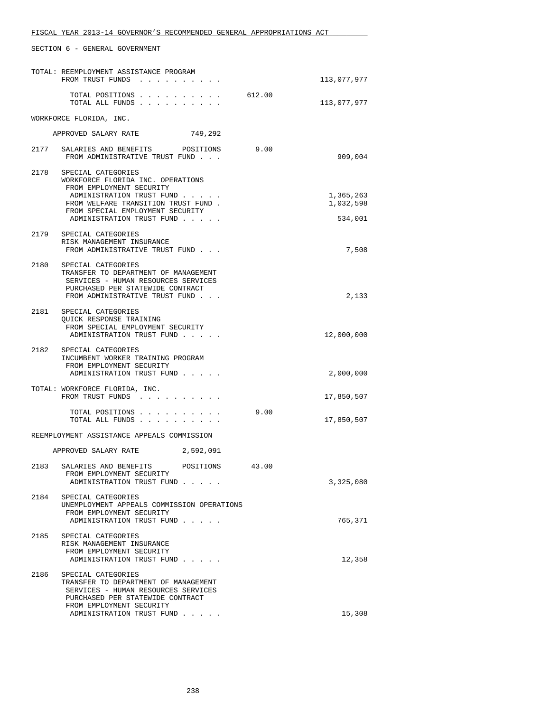|      | TOTAL: REEMPLOYMENT ASSISTANCE PROGRAM<br>FROM TRUST FUNDS                                                                                                                                  |        | 113,077,977            |
|------|---------------------------------------------------------------------------------------------------------------------------------------------------------------------------------------------|--------|------------------------|
|      | TOTAL POSITIONS<br>TOTAL ALL FUNDS                                                                                                                                                          | 612.00 | 113,077,977            |
|      | WORKFORCE FLORIDA, INC.                                                                                                                                                                     |        |                        |
|      | APPROVED SALARY RATE<br>749,292                                                                                                                                                             |        |                        |
|      | 2177 SALARIES AND BENEFITS POSITIONS<br>FROM ADMINISTRATIVE TRUST FUND                                                                                                                      | 9.00   | 909,004                |
| 2178 | SPECIAL CATEGORIES<br>WORKFORCE FLORIDA INC. OPERATIONS<br>FROM EMPLOYMENT SECURITY<br>ADMINISTRATION TRUST FUND<br>FROM WELFARE TRANSITION TRUST FUND.<br>FROM SPECIAL EMPLOYMENT SECURITY |        | 1,365,263<br>1,032,598 |
|      | ADMINISTRATION TRUST FUND                                                                                                                                                                   |        | 534,001                |
| 2179 | SPECIAL CATEGORIES<br>RISK MANAGEMENT INSURANCE<br>FROM ADMINISTRATIVE TRUST FUND                                                                                                           |        | 7,508                  |
| 2180 | SPECIAL CATEGORIES<br>TRANSFER TO DEPARTMENT OF MANAGEMENT<br>SERVICES - HUMAN RESOURCES SERVICES<br>PURCHASED PER STATEWIDE CONTRACT<br>FROM ADMINISTRATIVE TRUST FUND                     |        | 2,133                  |
|      |                                                                                                                                                                                             |        |                        |
|      | 2181 SPECIAL CATEGORIES<br>QUICK RESPONSE TRAINING<br>FROM SPECIAL EMPLOYMENT SECURITY<br>ADMINISTRATION TRUST FUND                                                                         |        | 12,000,000             |
|      | 2182 SPECIAL CATEGORIES<br>INCUMBENT WORKER TRAINING PROGRAM<br>FROM EMPLOYMENT SECURITY<br>ADMINISTRATION TRUST FUND                                                                       |        | 2,000,000              |
|      | TOTAL: WORKFORCE FLORIDA, INC.<br>FROM TRUST FUNDS                                                                                                                                          |        | 17,850,507             |
|      | TOTAL POSITIONS<br>TOTAL ALL FUNDS                                                                                                                                                          | 9.00   | 17,850,507             |
|      | REEMPLOYMENT ASSISTANCE APPEALS COMMISSION                                                                                                                                                  |        |                        |
|      | APPROVED SALARY RATE<br>2,592,091                                                                                                                                                           |        |                        |
| 2183 | SALARIES AND BENEFITS<br>POSITIONS<br>FROM EMPLOYMENT SECURITY<br>ADMINISTRATION TRUST FUND                                                                                                 | 43.00  | 3,325,080              |
| 2184 | SPECIAL CATEGORIES<br>UNEMPLOYMENT APPEALS COMMISSION OPERATIONS<br>FROM EMPLOYMENT SECURITY<br>ADMINISTRATION TRUST FUND                                                                   |        | 765,371                |
| 2185 | SPECIAL CATEGORIES<br>RISK MANAGEMENT INSURANCE<br>FROM EMPLOYMENT SECURITY<br>ADMINISTRATION TRUST FUND                                                                                    |        | 12,358                 |
| 2186 | SPECIAL CATEGORIES<br>TRANSFER TO DEPARTMENT OF MANAGEMENT<br>SERVICES - HUMAN RESOURCES SERVICES<br>PURCHASED PER STATEWIDE CONTRACT                                                       |        |                        |
|      | FROM EMPLOYMENT SECURITY<br>ADMINISTRATION TRUST FUND                                                                                                                                       |        | 15,308                 |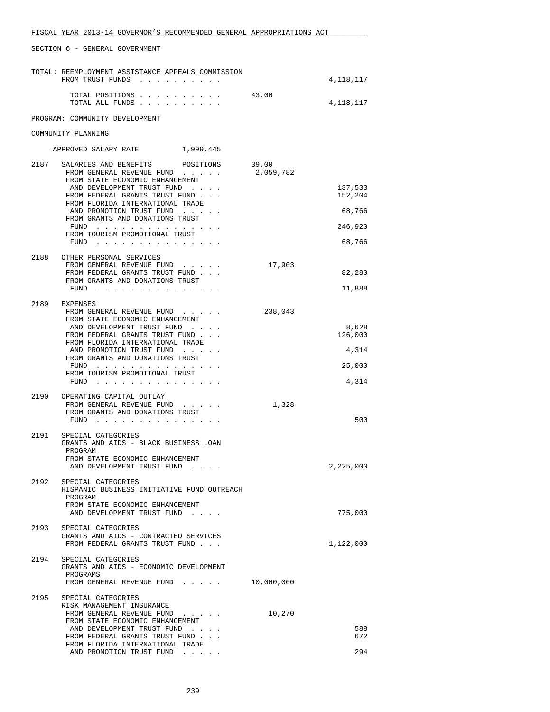|      | TOTAL: REEMPLOYMENT ASSISTANCE APPEALS COMMISSION<br>FROM TRUST FUNDS                                                                                                                                                                                                                                                                     |                    | 4,118,117                                         |
|------|-------------------------------------------------------------------------------------------------------------------------------------------------------------------------------------------------------------------------------------------------------------------------------------------------------------------------------------------|--------------------|---------------------------------------------------|
|      | TOTAL POSITIONS<br>TOTAL ALL FUNDS                                                                                                                                                                                                                                                                                                        | 43.00              | 4,118,117                                         |
|      | PROGRAM: COMMUNITY DEVELOPMENT                                                                                                                                                                                                                                                                                                            |                    |                                                   |
|      | COMMUNITY PLANNING                                                                                                                                                                                                                                                                                                                        |                    |                                                   |
|      | APPROVED SALARY RATE 1,999,445                                                                                                                                                                                                                                                                                                            |                    |                                                   |
| 2187 | SALARIES AND BENEFITS<br>POSITIONS<br>FROM GENERAL REVENUE FUND<br>FROM STATE ECONOMIC ENHANCEMENT<br>AND DEVELOPMENT TRUST FUND<br>FROM FEDERAL GRANTS TRUST FUND<br>FROM FLORIDA INTERNATIONAL TRADE<br>AND PROMOTION TRUST FUND<br>FROM GRANTS AND DONATIONS TRUST<br>FUND $\cdots$<br>FROM TOURISM PROMOTIONAL TRUST<br>FUND $\cdots$ | 39.00<br>2,059,782 | 137,533<br>152,204<br>68,766<br>246,920<br>68,766 |
| 2188 | OTHER PERSONAL SERVICES<br>FROM GENERAL REVENUE FUND<br>FROM FEDERAL GRANTS TRUST FUND<br>FROM GRANTS AND DONATIONS TRUST<br>FUND                                                                                                                                                                                                         | 17,903             | 82,280<br>11,888                                  |
| 2189 | EXPENSES<br>FROM GENERAL REVENUE FUND<br>FROM STATE ECONOMIC ENHANCEMENT<br>AND DEVELOPMENT TRUST FUND<br>FROM FEDERAL GRANTS TRUST FUND<br>FROM FLORIDA INTERNATIONAL TRADE<br>AND PROMOTION TRUST FUND<br>FROM GRANTS AND DONATIONS TRUST<br>FUND $\cdots$<br>FROM TOURISM PROMOTIONAL TRUST<br>$FUND$                                  | 238,043            | 8,628<br>126,000<br>4,314<br>25,000<br>4,314      |
|      | 2190 OPERATING CAPITAL OUTLAY<br>FROM GENERAL REVENUE FUND.<br>FROM GRANTS AND DONATIONS TRUST<br>FUND                                                                                                                                                                                                                                    | 1,328              | 500                                               |
| 2191 | SPECIAL CATEGORIES<br>GRANTS AND AIDS - BLACK BUSINESS LOAN<br>PROGRAM<br>FROM STATE ECONOMIC ENHANCEMENT<br>AND DEVELOPMENT TRUST FUND                                                                                                                                                                                                   |                    | 2,225,000                                         |
|      | 2192 SPECIAL CATEGORIES<br>HISPANIC BUSINESS INITIATIVE FUND OUTREACH<br>PROGRAM<br>FROM STATE ECONOMIC ENHANCEMENT<br>AND DEVELOPMENT TRUST FUND                                                                                                                                                                                         |                    | 775,000                                           |
| 2193 | SPECIAL CATEGORIES<br>GRANTS AND AIDS - CONTRACTED SERVICES<br>FROM FEDERAL GRANTS TRUST FUND                                                                                                                                                                                                                                             |                    | 1,122,000                                         |
| 2194 | SPECIAL CATEGORIES<br>GRANTS AND AIDS - ECONOMIC DEVELOPMENT<br>PROGRAMS<br>FROM GENERAL REVENUE FUND                                                                                                                                                                                                                                     | 10,000,000         |                                                   |
| 2195 | SPECIAL CATEGORIES<br>RISK MANAGEMENT INSURANCE<br>FROM GENERAL REVENUE FUND<br>FROM STATE ECONOMIC ENHANCEMENT<br>AND DEVELOPMENT TRUST FUND<br>FROM FEDERAL GRANTS TRUST FUND<br>FROM FLORIDA INTERNATIONAL TRADE<br>AND PROMOTION TRUST FUND                                                                                           | 10,270             | 588<br>672<br>294                                 |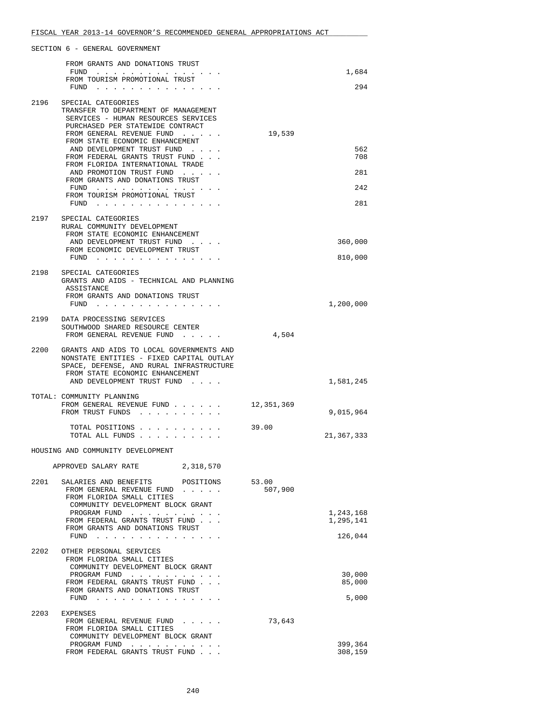|      | FROM GRANTS AND DONATIONS TRUST                                                                                                                                                                                                                                                        |                  |                        |
|------|----------------------------------------------------------------------------------------------------------------------------------------------------------------------------------------------------------------------------------------------------------------------------------------|------------------|------------------------|
|      | FUND<br>the contract of the contract of the con-<br>FROM TOURISM PROMOTIONAL TRUST                                                                                                                                                                                                     |                  | 1,684                  |
|      | $FUND$                                                                                                                                                                                                                                                                                 |                  | 294                    |
| 2196 | SPECIAL CATEGORIES<br>TRANSFER TO DEPARTMENT OF MANAGEMENT<br>SERVICES - HUMAN RESOURCES SERVICES<br>PURCHASED PER STATEWIDE CONTRACT<br>FROM GENERAL REVENUE FUND                                                                                                                     | 19,539           |                        |
|      | FROM STATE ECONOMIC ENHANCEMENT<br>AND DEVELOPMENT TRUST FUND<br>FROM FEDERAL GRANTS TRUST FUND                                                                                                                                                                                        |                  | 562<br>708             |
|      | FROM FLORIDA INTERNATIONAL TRADE<br>AND PROMOTION TRUST FUND<br>FROM GRANTS AND DONATIONS TRUST                                                                                                                                                                                        |                  | 281                    |
|      | FUND $\cdots$<br>FROM TOURISM PROMOTIONAL TRUST<br>FUND $\cdots$                                                                                                                                                                                                                       |                  | 242<br>281             |
| 2197 | SPECIAL CATEGORIES<br>RURAL COMMUNITY DEVELOPMENT<br>FROM STATE ECONOMIC ENHANCEMENT<br>AND DEVELOPMENT TRUST FUND                                                                                                                                                                     |                  | 360,000                |
|      | FROM ECONOMIC DEVELOPMENT TRUST<br>FUND $\cdots$                                                                                                                                                                                                                                       |                  | 810,000                |
| 2198 | SPECIAL CATEGORIES<br>GRANTS AND AIDS - TECHNICAL AND PLANNING<br>ASSISTANCE                                                                                                                                                                                                           |                  |                        |
|      | FROM GRANTS AND DONATIONS TRUST<br>FUND<br>$\mathbf{r} = \mathbf{r} \quad \mathbf{r} = \mathbf{r} \quad \mathbf{r} = \mathbf{r} \quad \mathbf{r} = \mathbf{r} \quad \mathbf{r} = \mathbf{r} \quad \mathbf{r} = \mathbf{r} \quad \mathbf{r} = \mathbf{r} \quad \mathbf{r} = \mathbf{r}$ |                  | 1,200,000              |
|      | 2199 DATA PROCESSING SERVICES<br>SOUTHWOOD SHARED RESOURCE CENTER<br>FROM GENERAL REVENUE FUND                                                                                                                                                                                         | 4,504            |                        |
|      | 2200 GRANTS AND AIDS TO LOCAL GOVERNMENTS AND<br>NONSTATE ENTITIES - FIXED CAPITAL OUTLAY<br>SPACE, DEFENSE, AND RURAL INFRASTRUCTURE<br>FROM STATE ECONOMIC ENHANCEMENT<br>AND DEVELOPMENT TRUST FUND                                                                                 |                  | 1,581,245              |
|      | TOTAL: COMMUNITY PLANNING<br>FROM GENERAL REVENUE FUND<br>FROM TRUST FUNDS                                                                                                                                                                                                             | 12,351,369       | 9,015,964              |
|      | TOTAL POSITIONS<br>TOTAL ALL FUNDS                                                                                                                                                                                                                                                     | 39.00            | 21,367,333             |
|      | HOUSING AND COMMUNITY DEVELOPMENT                                                                                                                                                                                                                                                      |                  |                        |
|      | 2,318,570<br>APPROVED SALARY RATE                                                                                                                                                                                                                                                      |                  |                        |
| 2201 | SALARIES AND BENEFITS<br>POSITIONS<br>FROM GENERAL REVENUE FUND<br>FROM FLORIDA SMALL CITIES<br>COMMUNITY DEVELOPMENT BLOCK GRANT                                                                                                                                                      | 53.00<br>507,900 |                        |
|      | PROGRAM FUND<br>FROM FEDERAL GRANTS TRUST FUND<br>FROM GRANTS AND DONATIONS TRUST                                                                                                                                                                                                      |                  | 1,243,168<br>1,295,141 |
|      | FUND $\cdots$                                                                                                                                                                                                                                                                          |                  | 126,044                |
| 2202 | OTHER PERSONAL SERVICES<br>FROM FLORIDA SMALL CITIES<br>COMMUNITY DEVELOPMENT BLOCK GRANT<br>PROGRAM FUND                                                                                                                                                                              |                  | 30,000                 |
|      | FROM FEDERAL GRANTS TRUST FUND<br>FROM GRANTS AND DONATIONS TRUST<br>FUND $\cdots$                                                                                                                                                                                                     |                  | 85,000<br>5,000        |
|      |                                                                                                                                                                                                                                                                                        |                  |                        |
| 2203 | EXPENSES<br>FROM GENERAL REVENUE FUND<br>and a strain and<br>FROM FLORIDA SMALL CITIES<br>COMMUNITY DEVELOPMENT BLOCK GRANT                                                                                                                                                            | 73,643           |                        |
|      | PROGRAM FUND<br>$\begin{array}{cccccccccccccc} \bullet & \bullet & \bullet & \bullet & \bullet & \bullet & \bullet & \bullet & \bullet & \bullet & \bullet \end{array}$<br>FROM FEDERAL GRANTS TRUST FUND                                                                              |                  | 399,364<br>308,159     |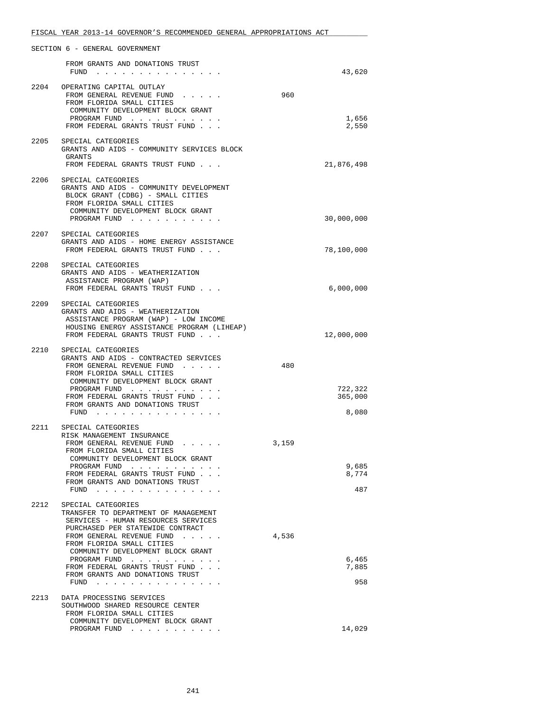|      | SECTION 6 - GENERAL GOVERNMENT                                                                                                                                                                                                                                                                                                                                           |       |                             |
|------|--------------------------------------------------------------------------------------------------------------------------------------------------------------------------------------------------------------------------------------------------------------------------------------------------------------------------------------------------------------------------|-------|-----------------------------|
|      | FROM GRANTS AND DONATIONS TRUST<br>$FUND$                                                                                                                                                                                                                                                                                                                                |       | 43,620                      |
|      | 2204 OPERATING CAPITAL OUTLAY<br>FROM GENERAL REVENUE FUND<br>FROM FLORIDA SMALL CITIES<br>COMMUNITY DEVELOPMENT BLOCK GRANT<br>PROGRAM FUND<br>FROM FEDERAL GRANTS TRUST FUND                                                                                                                                                                                           | 960   | 1,656<br>2,550              |
| 2205 | SPECIAL CATEGORIES<br>GRANTS AND AIDS - COMMUNITY SERVICES BLOCK<br>GRANTS<br>FROM FEDERAL GRANTS TRUST FUND                                                                                                                                                                                                                                                             |       | 21,876,498                  |
|      | 2206 SPECIAL CATEGORIES<br>GRANTS AND AIDS - COMMUNITY DEVELOPMENT<br>BLOCK GRANT (CDBG) - SMALL CITIES<br>FROM FLORIDA SMALL CITIES<br>COMMUNITY DEVELOPMENT BLOCK GRANT<br>PROGRAM FUND                                                                                                                                                                                |       | 30,000,000                  |
|      | 2207 SPECIAL CATEGORIES<br>GRANTS AND AIDS - HOME ENERGY ASSISTANCE<br>FROM FEDERAL GRANTS TRUST FUND                                                                                                                                                                                                                                                                    |       | 78,100,000                  |
|      | 2208 SPECIAL CATEGORIES<br>GRANTS AND AIDS - WEATHERIZATION<br>ASSISTANCE PROGRAM (WAP)<br>FROM FEDERAL GRANTS TRUST FUND                                                                                                                                                                                                                                                |       | 6,000,000                   |
| 2209 | SPECIAL CATEGORIES<br>GRANTS AND AIDS - WEATHERIZATION<br>ASSISTANCE PROGRAM (WAP) - LOW INCOME<br>HOUSING ENERGY ASSISTANCE PROGRAM (LIHEAP)<br>FROM FEDERAL GRANTS TRUST FUND                                                                                                                                                                                          |       | 12,000,000                  |
|      | 2210 SPECIAL CATEGORIES<br>GRANTS AND AIDS - CONTRACTED SERVICES<br>FROM GENERAL REVENUE FUND<br>FROM FLORIDA SMALL CITIES<br>COMMUNITY DEVELOPMENT BLOCK GRANT<br>PROGRAM FUND<br>FROM FEDERAL GRANTS TRUST FUND<br>FROM GRANTS AND DONATIONS TRUST<br>FUND $\cdots$                                                                                                    | 480   | 722,322<br>365,000<br>8,080 |
|      | 2211 SPECIAL CATEGORIES<br>RISK MANAGEMENT INSURANCE<br>FROM GENERAL REVENUE FUND<br>FROM FLORIDA SMALL CITIES<br>COMMUNITY DEVELOPMENT BLOCK GRANT<br>PROGRAM FUND<br>. The second contract is a second contract of $\mathcal{A}$<br>FROM FEDERAL GRANTS TRUST FUND<br>FROM GRANTS AND DONATIONS TRUST<br>FUND<br>والمناور والمناور والمناور والمناور والمناور والمناور | 3,159 | 9,685<br>8,774<br>487       |
| 2212 | SPECIAL CATEGORIES<br>TRANSFER TO DEPARTMENT OF MANAGEMENT<br>SERVICES - HUMAN RESOURCES SERVICES<br>PURCHASED PER STATEWIDE CONTRACT<br>FROM GENERAL REVENUE FUND<br>FROM FLORIDA SMALL CITIES<br>COMMUNITY DEVELOPMENT BLOCK GRANT<br>PROGRAM FUND<br>FROM FEDERAL GRANTS TRUST FUND<br>FROM GRANTS AND DONATIONS TRUST                                                | 4,536 | 6,465<br>7,885<br>958       |
| 2213 | DATA PROCESSING SERVICES<br>SOUTHWOOD SHARED RESOURCE CENTER<br>FROM FLORIDA SMALL CITIES<br>COMMUNITY DEVELOPMENT BLOCK GRANT<br>PROGRAM FUND                                                                                                                                                                                                                           |       | 14,029                      |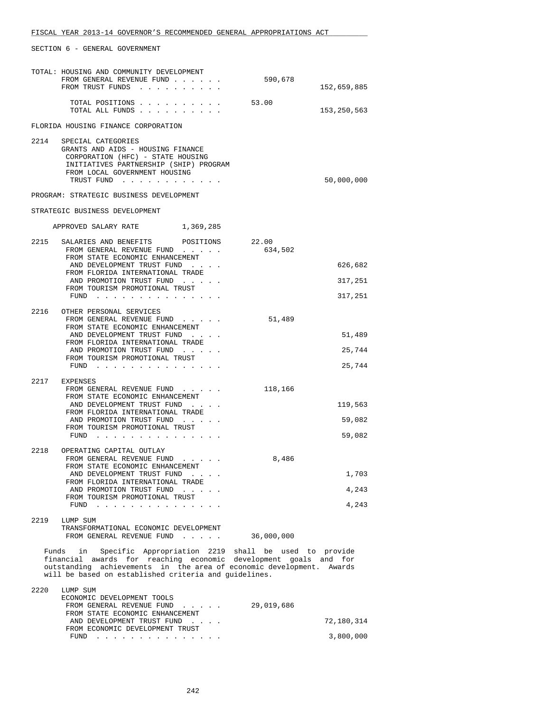|       | TOTAL: HOUSING AND COMMUNITY DEVELOPMENT<br>FROM GENERAL REVENUE FUND<br>FROM TRUST FUNDS                                                                                                                                                                       | 590,678          | 152,659,885                   |
|-------|-----------------------------------------------------------------------------------------------------------------------------------------------------------------------------------------------------------------------------------------------------------------|------------------|-------------------------------|
|       | TOTAL POSITIONS<br>TOTAL ALL FUNDS                                                                                                                                                                                                                              | 53.00            | 153, 250, 563                 |
|       | FLORIDA HOUSING FINANCE CORPORATION                                                                                                                                                                                                                             |                  |                               |
|       | 2214 SPECIAL CATEGORIES<br>GRANTS AND AIDS - HOUSING FINANCE<br>CORPORATION (HFC) - STATE HOUSING<br>INITIATIVES PARTNERSHIP (SHIP) PROGRAM<br>FROM LOCAL GOVERNMENT HOUSING<br>TRUST FUND                                                                      |                  | 50,000,000                    |
|       | PROGRAM: STRATEGIC BUSINESS DEVELOPMENT                                                                                                                                                                                                                         |                  |                               |
|       | STRATEGIC BUSINESS DEVELOPMENT                                                                                                                                                                                                                                  |                  |                               |
|       | APPROVED SALARY RATE 1,369,285                                                                                                                                                                                                                                  |                  |                               |
|       | 2215 SALARIES AND BENEFITS<br>POSITIONS<br>FROM GENERAL REVENUE FUND<br>FROM STATE ECONOMIC ENHANCEMENT<br>AND DEVELOPMENT TRUST FUND<br>FROM FLORIDA INTERNATIONAL TRADE<br>AND PROMOTION TRUST FUND<br>FROM TOURISM PROMOTIONAL TRUST<br>FUND $\cdots$        | 22.00<br>634,502 | 626,682<br>317,251<br>317,251 |
|       | 2216 OTHER PERSONAL SERVICES<br>FROM GENERAL REVENUE FUND<br>FROM STATE ECONOMIC ENHANCEMENT<br>AND DEVELOPMENT TRUST FUND<br>FROM FLORIDA INTERNATIONAL TRADE<br>AND PROMOTION TRUST FUND<br>FROM TOURISM PROMOTIONAL TRUST<br>$FUND$                          | 51,489           | 51,489<br>25,744<br>25,744    |
|       | 2217 EXPENSES<br>FROM GENERAL REVENUE FUND<br>FROM STATE ECONOMIC ENHANCEMENT<br>AND DEVELOPMENT TRUST FUND<br>FROM FLORIDA INTERNATIONAL TRADE<br>AND PROMOTION TRUST FUND<br>FROM TOURISM PROMOTIONAL TRUST<br>$FUND$                                         | 118,166          | 119,563<br>59,082<br>59,082   |
|       | 2218 OPERATING CAPITAL OUTLAY<br>FROM GENERAL REVENUE FUND<br>FROM STATE ECONOMIC ENHANCEMENT<br>AND DEVELOPMENT TRUST FUND<br>FROM FLORIDA INTERNATIONAL TRADE<br>AND PROMOTION TRUST FUND<br>FROM TOURISM PROMOTIONAL TRUST<br>FUND                           | 8,486            | 1,703<br>4,243<br>4,243       |
| 2219  | LUMP SUM<br>TRANSFORMATIONAL ECONOMIC DEVELOPMENT<br>FROM GENERAL REVENUE FUND                                                                                                                                                                                  | 36,000,000       |                               |
| Funds | Specific Appropriation 2219 shall be used to provide<br>in<br>financial awards for reaching economic development goals and for<br>outstanding achievements in the area of economic development. Awards<br>will be based on established criteria and quidelines. |                  |                               |
| 2220  | LUMP SUM<br>ECONOMIC DEVELOPMENT TOOLS<br>FROM GENERAL REVENUE FUND<br>FROM STATE ECONOMIC ENHANCEMENT<br>AND DEVELOPMENT TRUST FUND<br>FROM ECONOMIC DEVELOPMENT TRUST                                                                                         | 29,019,686       | 72,180,314                    |
|       | FUND $\cdots$                                                                                                                                                                                                                                                   |                  | 3,800,000                     |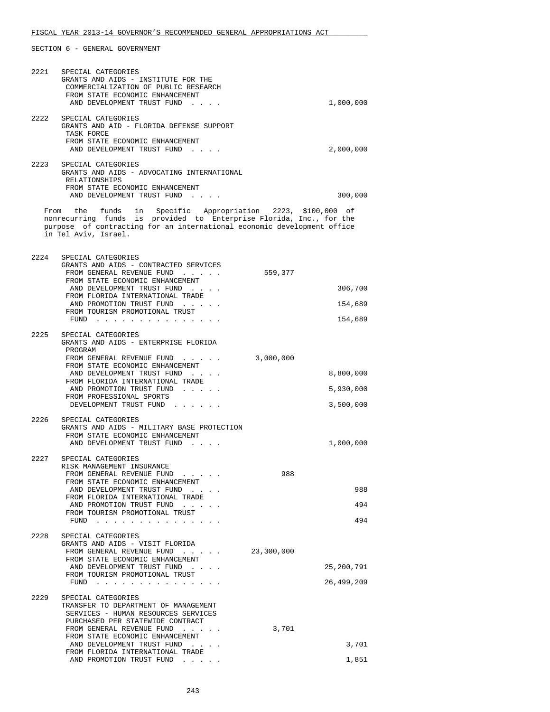|      | 2221 SPECIAL CATEGORIES<br>GRANTS AND AIDS - INSTITUTE FOR THE<br>COMMERCIALIZATION OF PUBLIC RESEARCH<br>FROM STATE ECONOMIC ENHANCEMENT                                                                                             |            |
|------|---------------------------------------------------------------------------------------------------------------------------------------------------------------------------------------------------------------------------------------|------------|
|      | AND DEVELOPMENT TRUST FUND                                                                                                                                                                                                            | 1,000,000  |
|      | 2222 SPECIAL CATEGORIES<br>GRANTS AND AID - FLORIDA DEFENSE SUPPORT<br>TASK FORCE<br>FROM STATE ECONOMIC ENHANCEMENT                                                                                                                  |            |
|      | AND DEVELOPMENT TRUST FUND                                                                                                                                                                                                            | 2,000,000  |
| 2223 | SPECIAL CATEGORIES<br>GRANTS AND AIDS - ADVOCATING INTERNATIONAL<br>RELATIONSHIPS                                                                                                                                                     |            |
|      | FROM STATE ECONOMIC ENHANCEMENT<br>AND DEVELOPMENT TRUST FUND                                                                                                                                                                         | 300,000    |
|      | From the funds in Specific Appropriation 2223, \$100,000 of<br>nonrecurring funds is provided to Enterprise Florida, Inc., for the<br>purpose of contracting for an international economic development office<br>in Tel Aviv, Israel. |            |
|      | 2224 SPECIAL CATEGORIES                                                                                                                                                                                                               |            |
|      | GRANTS AND AIDS - CONTRACTED SERVICES<br>FROM GENERAL REVENUE FUND                                                                                                                                                                    | 559,377    |
|      | FROM STATE ECONOMIC ENHANCEMENT<br>AND DEVELOPMENT TRUST FUND                                                                                                                                                                         | 306,700    |
|      | FROM FLORIDA INTERNATIONAL TRADE<br>AND PROMOTION TRUST FUND                                                                                                                                                                          | 154,689    |
|      | FROM TOURISM PROMOTIONAL TRUST<br>FUND $\cdots$                                                                                                                                                                                       | 154,689    |
|      | 2225 SPECIAL CATEGORIES                                                                                                                                                                                                               |            |
|      | GRANTS AND AIDS - ENTERPRISE FLORIDA<br>PROGRAM                                                                                                                                                                                       |            |
|      | FROM GENERAL REVENUE FUND                                                                                                                                                                                                             | 3,000,000  |
|      | FROM STATE ECONOMIC ENHANCEMENT<br>AND DEVELOPMENT TRUST FUND                                                                                                                                                                         | 8,800,000  |
|      | FROM FLORIDA INTERNATIONAL TRADE<br>AND PROMOTION TRUST FUND                                                                                                                                                                          | 5,930,000  |
|      | FROM PROFESSIONAL SPORTS<br>DEVELOPMENT TRUST FUND                                                                                                                                                                                    | 3,500,000  |
|      | 2226 SPECIAL CATEGORIES<br>GRANTS AND AIDS - MILITARY BASE PROTECTION                                                                                                                                                                 |            |
|      | FROM STATE ECONOMIC ENHANCEMENT<br>AND DEVELOPMENT TRUST FUND                                                                                                                                                                         | 1,000,000  |
|      | 2227 SPECIAL CATEGORIES                                                                                                                                                                                                               |            |
|      | RISK MANAGEMENT INSURANCE<br>FROM GENERAL REVENUE FUND                                                                                                                                                                                | 988        |
|      | FROM STATE ECONOMIC ENHANCEMENT<br>AND DEVELOPMENT TRUST FUND                                                                                                                                                                         | 988        |
|      | FROM FLORIDA INTERNATIONAL TRADE<br>AND PROMOTION TRUST FUND                                                                                                                                                                          | 494        |
|      | <b>Contract Contract</b><br>FROM TOURISM PROMOTIONAL TRUST                                                                                                                                                                            |            |
|      | FUND $\cdots$                                                                                                                                                                                                                         | 494        |
| 2228 | SPECIAL CATEGORIES<br>GRANTS AND AIDS - VISIT FLORIDA                                                                                                                                                                                 |            |
|      | FROM GENERAL REVENUE FUND<br>$\mathbf{z}=(\mathbf{z}_1,\ldots,\mathbf{z}_n)$ . $\mathbf{z}_n$ , and<br>FROM STATE ECONOMIC ENHANCEMENT                                                                                                | 23,300,000 |
|      | AND DEVELOPMENT TRUST FUND<br>FROM TOURISM PROMOTIONAL TRUST                                                                                                                                                                          | 25,200,791 |
|      | FUND                                                                                                                                                                                                                                  | 26,499,209 |
| 2229 | SPECIAL CATEGORIES<br>TRANSFER TO DEPARTMENT OF MANAGEMENT<br>SERVICES - HUMAN RESOURCES SERVICES<br>PURCHASED PER STATEWIDE CONTRACT                                                                                                 |            |
|      | FROM GENERAL REVENUE FUND<br>FROM STATE ECONOMIC ENHANCEMENT                                                                                                                                                                          | 3,701      |
|      | AND DEVELOPMENT TRUST FUND<br>FROM FLORIDA INTERNATIONAL TRADE                                                                                                                                                                        | 3,701      |
|      | AND PROMOTION TRUST FUND                                                                                                                                                                                                              | 1,851      |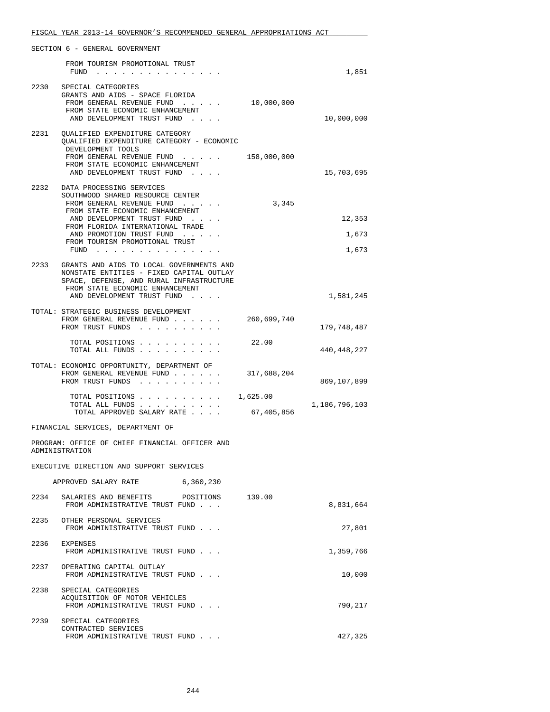|      | SECTION 6 - GENERAL GOVERNMENT                                                                                                                                                                                                                                              |                        |                          |
|------|-----------------------------------------------------------------------------------------------------------------------------------------------------------------------------------------------------------------------------------------------------------------------------|------------------------|--------------------------|
|      | FROM TOURISM PROMOTIONAL TRUST<br>FUND                                                                                                                                                                                                                                      |                        | 1,851                    |
| 2230 | SPECIAL CATEGORIES<br>GRANTS AND AIDS - SPACE FLORIDA<br>FROM GENERAL REVENUE FUND<br>FROM STATE ECONOMIC ENHANCEMENT<br>AND DEVELOPMENT TRUST FUND                                                                                                                         | 10,000,000             | 10,000,000               |
| 2231 | QUALIFIED EXPENDITURE CATEGORY<br>OUALIFIED EXPENDITURE CATEGORY - ECONOMIC<br>DEVELOPMENT TOOLS<br>FROM GENERAL REVENUE FUND<br>FROM STATE ECONOMIC ENHANCEMENT<br>AND DEVELOPMENT TRUST FUND                                                                              | 158,000,000            | 15,703,695               |
|      | 2232 DATA PROCESSING SERVICES<br>SOUTHWOOD SHARED RESOURCE CENTER<br>FROM GENERAL REVENUE FUND<br>FROM STATE ECONOMIC ENHANCEMENT<br>AND DEVELOPMENT TRUST FUND<br>FROM FLORIDA INTERNATIONAL TRADE<br>AND PROMOTION TRUST FUND<br>FROM TOURISM PROMOTIONAL TRUST<br>$FUND$ | 3,345                  | 12,353<br>1,673<br>1,673 |
|      | 2233 GRANTS AND AIDS TO LOCAL GOVERNMENTS AND<br>NONSTATE ENTITIES - FIXED CAPITAL OUTLAY<br>SPACE, DEFENSE, AND RURAL INFRASTRUCTURE<br>FROM STATE ECONOMIC ENHANCEMENT<br>AND DEVELOPMENT TRUST FUND                                                                      |                        | 1,581,245                |
|      | TOTAL: STRATEGIC BUSINESS DEVELOPMENT<br>FROM GENERAL REVENUE FUND<br>FROM TRUST FUNDS                                                                                                                                                                                      | 260,699,740            | 179,748,487              |
|      | TOTAL POSITIONS<br>TOTAL ALL FUNDS                                                                                                                                                                                                                                          | 22.00                  | 440,448,227              |
|      | TOTAL: ECONOMIC OPPORTUNITY, DEPARTMENT OF<br>FROM GENERAL REVENUE FUND<br>FROM TRUST FUNDS                                                                                                                                                                                 | 317,688,204            | 869,107,899              |
|      | TOTAL POSITIONS<br>TOTAL ALL FUNDS<br>TOTAL APPROVED SALARY RATE                                                                                                                                                                                                            | 1,625.00<br>67,405,856 | 1,186,796,103            |
|      | FINANCIAL SERVICES, DEPARTMENT OF                                                                                                                                                                                                                                           |                        |                          |
|      | PROGRAM: OFFICE OF CHIEF FINANCIAL OFFICER AND<br>ADMINISTRATION                                                                                                                                                                                                            |                        |                          |
|      | EXECUTIVE DIRECTION AND SUPPORT SERVICES                                                                                                                                                                                                                                    |                        |                          |
|      | APPROVED SALARY RATE<br>6,360,230                                                                                                                                                                                                                                           |                        |                          |
|      | 2234 SALARIES AND BENEFITS POSITIONS 139.00<br>FROM ADMINISTRATIVE TRUST FUND                                                                                                                                                                                               |                        | 8,831,664                |
|      | 2235 OTHER PERSONAL SERVICES<br>FROM ADMINISTRATIVE TRUST FUND                                                                                                                                                                                                              |                        | 27,801                   |
|      | 2236 EXPENSES<br>FROM ADMINISTRATIVE TRUST FUND                                                                                                                                                                                                                             |                        | 1,359,766                |
|      | 2237 OPERATING CAPITAL OUTLAY<br>FROM ADMINISTRATIVE TRUST FUND                                                                                                                                                                                                             |                        | 10,000                   |
| 2238 | SPECIAL CATEGORIES<br>ACQUISITION OF MOTOR VEHICLES<br>FROM ADMINISTRATIVE TRUST FUND                                                                                                                                                                                       |                        | 790,217                  |
|      | 2239 SPECIAL CATEGORIES<br>CONTRACTED SERVICES                                                                                                                                                                                                                              |                        |                          |

FROM ADMINISTRATIVE TRUST FUND . . .  $\qquad \qquad 427,325$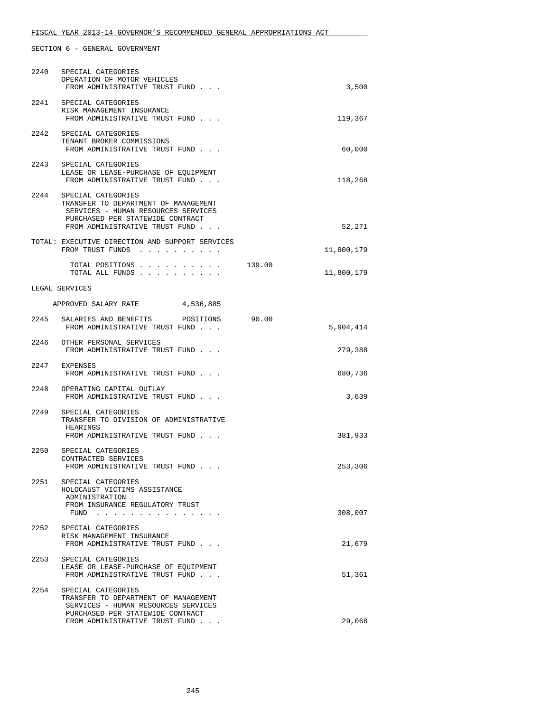|      | 2240 SPECIAL CATEGORIES<br>OPERATION OF MOTOR VEHICLES<br>FROM ADMINISTRATIVE TRUST FUND                                                                                     |        | 3,500      |
|------|------------------------------------------------------------------------------------------------------------------------------------------------------------------------------|--------|------------|
|      | 2241 SPECIAL CATEGORIES<br>RISK MANAGEMENT INSURANCE<br>FROM ADMINISTRATIVE TRUST FUND                                                                                       |        | 119,367    |
| 2242 | SPECIAL CATEGORIES<br>TENANT BROKER COMMISSIONS<br>FROM ADMINISTRATIVE TRUST FUND                                                                                            |        | 60,000     |
|      | 2243 SPECIAL CATEGORIES<br>LEASE OR LEASE-PURCHASE OF EQUIPMENT<br>FROM ADMINISTRATIVE TRUST FUND                                                                            |        | 118,268    |
|      | 2244 SPECIAL CATEGORIES<br>TRANSFER TO DEPARTMENT OF MANAGEMENT<br>SERVICES - HUMAN RESOURCES SERVICES<br>PURCHASED PER STATEWIDE CONTRACT<br>FROM ADMINISTRATIVE TRUST FUND |        | 52,271     |
|      | TOTAL: EXECUTIVE DIRECTION AND SUPPORT SERVICES<br>FROM TRUST FUNDS                                                                                                          |        | 11,800,179 |
|      | TOTAL POSITIONS<br>TOTAL ALL FUNDS                                                                                                                                           | 139.00 | 11,800,179 |
|      | LEGAL SERVICES                                                                                                                                                               |        |            |
|      | APPROVED SALARY RATE 4,536,885                                                                                                                                               |        |            |
|      | 2245 SALARIES AND BENEFITS<br>POSITIONS<br>FROM ADMINISTRATIVE TRUST FUND                                                                                                    | 90.00  | 5,904,414  |
|      | 2246 OTHER PERSONAL SERVICES<br>FROM ADMINISTRATIVE TRUST FUND                                                                                                               |        | 279,388    |
|      | 2247 EXPENSES<br>FROM ADMINISTRATIVE TRUST FUND                                                                                                                              |        | 680,736    |
|      | 2248 OPERATING CAPITAL OUTLAY<br>FROM ADMINISTRATIVE TRUST FUND                                                                                                              |        | 3,639      |
|      | 2249 SPECIAL CATEGORIES<br>TRANSFER TO DIVISION OF ADMINISTRATIVE<br>HEARINGS<br>FROM ADMINISTRATIVE TRUST FUND                                                              |        | 381,933    |
| 2250 | SPECIAL CATEGORIES<br>CONTRACTED SERVICES                                                                                                                                    |        |            |
|      | FROM ADMINISTRATIVE TRUST FUND<br>2251 SPECIAL CATEGORIES<br>HOLOCAUST VICTIMS ASSISTANCE                                                                                    |        | 253,306    |
|      | ADMINISTRATION<br>FROM INSURANCE REGULATORY TRUST<br>FUND<br>والمناور والمناور والمناور والمناور والمناور والمناور                                                           |        | 308,007    |
| 2252 | SPECIAL CATEGORIES<br>RISK MANAGEMENT INSURANCE<br>FROM ADMINISTRATIVE TRUST FUND                                                                                            |        | 21,679     |
| 2253 | SPECIAL CATEGORIES<br>LEASE OR LEASE-PURCHASE OF EQUIPMENT<br>FROM ADMINISTRATIVE TRUST FUND                                                                                 |        | 51,361     |
|      | 2254 SPECIAL CATEGORIES<br>TRANSFER TO DEPARTMENT OF MANAGEMENT<br>SERVICES - HUMAN RESOURCES SERVICES<br>PURCHASED PER STATEWIDE CONTRACT                                   |        |            |
|      | FROM ADMINISTRATIVE TRUST FUND                                                                                                                                               |        | 29,068     |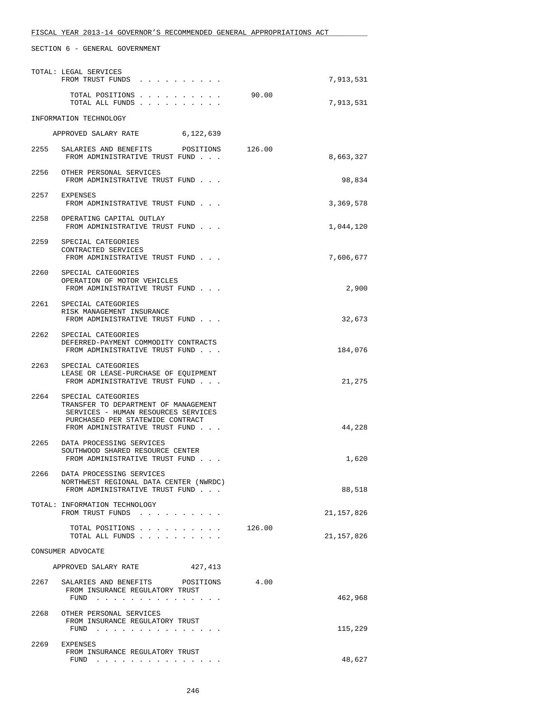|      | TOTAL: LEGAL SERVICES<br>FROM TRUST FUNDS                                                                                                                                    |        | 7,913,531  |
|------|------------------------------------------------------------------------------------------------------------------------------------------------------------------------------|--------|------------|
|      | TOTAL POSITIONS<br>TOTAL ALL FUNDS                                                                                                                                           | 90.00  | 7,913,531  |
|      | INFORMATION TECHNOLOGY                                                                                                                                                       |        |            |
|      | APPROVED SALARY RATE<br>6,122,639                                                                                                                                            |        |            |
|      | 2255 SALARIES AND BENEFITS POSITIONS<br>FROM ADMINISTRATIVE TRUST FUND                                                                                                       | 126.00 | 8,663,327  |
|      | 2256 OTHER PERSONAL SERVICES<br>FROM ADMINISTRATIVE TRUST FUND                                                                                                               |        | 98,834     |
|      | 2257 EXPENSES<br>FROM ADMINISTRATIVE TRUST FUND                                                                                                                              |        | 3,369,578  |
|      | 2258 OPERATING CAPITAL OUTLAY<br>FROM ADMINISTRATIVE TRUST FUND                                                                                                              |        | 1,044,120  |
|      | 2259 SPECIAL CATEGORIES<br>CONTRACTED SERVICES<br>FROM ADMINISTRATIVE TRUST FUND                                                                                             |        | 7,606,677  |
|      | 2260 SPECIAL CATEGORIES<br>OPERATION OF MOTOR VEHICLES<br>FROM ADMINISTRATIVE TRUST FUND                                                                                     |        | 2,900      |
|      | 2261 SPECIAL CATEGORIES<br>RISK MANAGEMENT INSURANCE<br>FROM ADMINISTRATIVE TRUST FUND                                                                                       |        | 32,673     |
|      | 2262 SPECIAL CATEGORIES<br>DEFERRED-PAYMENT COMMODITY CONTRACTS<br>FROM ADMINISTRATIVE TRUST FUND                                                                            |        | 184,076    |
|      | 2263 SPECIAL CATEGORIES<br>LEASE OR LEASE-PURCHASE OF EQUIPMENT<br>FROM ADMINISTRATIVE TRUST FUND                                                                            |        | 21,275     |
|      | 2264 SPECIAL CATEGORIES<br>TRANSFER TO DEPARTMENT OF MANAGEMENT<br>SERVICES - HUMAN RESOURCES SERVICES<br>PURCHASED PER STATEWIDE CONTRACT<br>FROM ADMINISTRATIVE TRUST FUND |        | 44,228     |
|      | 2265 DATA PROCESSING SERVICES<br>SOUTHWOOD SHARED RESOURCE CENTER<br>FROM ADMINISTRATIVE TRUST FUND                                                                          |        | 1,620      |
| 2266 | DATA PROCESSING SERVICES<br>NORTHWEST REGIONAL DATA CENTER (NWRDC)<br>FROM ADMINISTRATIVE TRUST FUND                                                                         |        | 88,518     |
|      | TOTAL: INFORMATION TECHNOLOGY<br>FROM TRUST FUNDS                                                                                                                            |        | 21,157,826 |
|      | TOTAL POSITIONS<br>TOTAL ALL FUNDS                                                                                                                                           | 126.00 | 21,157,826 |
|      | CONSUMER ADVOCATE                                                                                                                                                            |        |            |
|      | 427,413<br>APPROVED SALARY RATE                                                                                                                                              |        |            |
|      | 2267 SALARIES AND BENEFITS<br>POSITIONS<br>FROM INSURANCE REGULATORY TRUST<br>FUND                                                                                           | 4.00   | 462,968    |
|      | 2268 OTHER PERSONAL SERVICES<br>FROM INSURANCE REGULATORY TRUST<br>FUND                                                                                                      |        | 115,229    |
|      | 2269 EXPENSES<br>FROM INSURANCE REGULATORY TRUST<br>FUND $\cdots$                                                                                                            |        | 48,627     |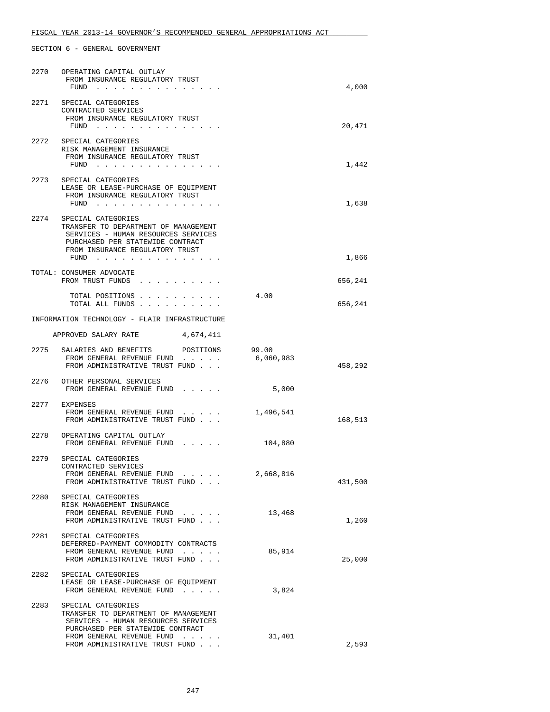| 2270 | OPERATING CAPITAL OUTLAY<br>FROM INSURANCE REGULATORY TRUST<br>FUND<br>a construction of the construction of the construction of the construction of the construction of the construction of the construction of the construction of the construction of the construction of the construction of the |                    | 4,000   |
|------|------------------------------------------------------------------------------------------------------------------------------------------------------------------------------------------------------------------------------------------------------------------------------------------------------|--------------------|---------|
| 2271 | SPECIAL CATEGORIES<br>CONTRACTED SERVICES<br>FROM INSURANCE REGULATORY TRUST<br>FUND $\cdots$                                                                                                                                                                                                        |                    | 20,471  |
| 2272 | SPECIAL CATEGORIES<br>RISK MANAGEMENT INSURANCE<br>FROM INSURANCE REGULATORY TRUST<br>$FUND$                                                                                                                                                                                                         |                    | 1,442   |
|      | 2273 SPECIAL CATEGORIES<br>LEASE OR LEASE-PURCHASE OF EQUIPMENT<br>FROM INSURANCE REGULATORY TRUST<br>FUND $\cdots$                                                                                                                                                                                  |                    | 1,638   |
|      | 2274 SPECIAL CATEGORIES<br>TRANSFER TO DEPARTMENT OF MANAGEMENT<br>SERVICES - HUMAN RESOURCES SERVICES<br>PURCHASED PER STATEWIDE CONTRACT<br>FROM INSURANCE REGULATORY TRUST<br>FUND $\cdots$                                                                                                       |                    | 1,866   |
|      | TOTAL: CONSUMER ADVOCATE<br>FROM TRUST FUNDS                                                                                                                                                                                                                                                         |                    | 656,241 |
|      | TOTAL POSITIONS<br>TOTAL ALL FUNDS                                                                                                                                                                                                                                                                   | 4.00               | 656,241 |
|      | INFORMATION TECHNOLOGY - FLAIR INFRASTRUCTURE                                                                                                                                                                                                                                                        |                    |         |
|      | APPROVED SALARY RATE<br>4,674,411                                                                                                                                                                                                                                                                    |                    |         |
| 2275 | SALARIES AND BENEFITS<br>POSITIONS<br>FROM GENERAL REVENUE FUND<br>FROM ADMINISTRATIVE TRUST FUND                                                                                                                                                                                                    | 99.00<br>6,060,983 | 458,292 |
|      | 2276 OTHER PERSONAL SERVICES<br>FROM GENERAL REVENUE FUND                                                                                                                                                                                                                                            | 5,000              |         |
| 2277 | EXPENSES<br>FROM GENERAL REVENUE FUND<br>FROM ADMINISTRATIVE TRUST FUND                                                                                                                                                                                                                              | 1,496,541          | 168,513 |
|      | 2278 OPERATING CAPITAL OUTLAY<br>FROM GENERAL REVENUE FUND                                                                                                                                                                                                                                           | 104,880            |         |
| 2279 | SPECIAL CATEGORIES<br>CONTRACTED SERVICES<br>FROM GENERAL REVENUE FUND<br>FROM ADMINISTRATIVE TRUST FUND                                                                                                                                                                                             | 2,668,816          | 431,500 |
| 2280 | SPECIAL CATEGORIES<br>RISK MANAGEMENT INSURANCE<br>FROM GENERAL REVENUE FUND<br>$\cdots$                                                                                                                                                                                                             | 13,468             |         |
|      | FROM ADMINISTRATIVE TRUST FUND<br>2281 SPECIAL CATEGORIES<br>DEFERRED-PAYMENT COMMODITY CONTRACTS                                                                                                                                                                                                    |                    | 1,260   |
|      | FROM GENERAL REVENUE FUND<br>FROM ADMINISTRATIVE TRUST FUND                                                                                                                                                                                                                                          | 85,914             | 25,000  |
|      | 2282 SPECIAL CATEGORIES<br>LEASE OR LEASE-PURCHASE OF EQUIPMENT<br>FROM GENERAL REVENUE FUND                                                                                                                                                                                                         | 3,824              |         |
| 2283 | SPECIAL CATEGORIES<br>TRANSFER TO DEPARTMENT OF MANAGEMENT<br>SERVICES - HUMAN RESOURCES SERVICES<br>PURCHASED PER STATEWIDE CONTRACT<br>FROM GENERAL REVENUE FUND                                                                                                                                   | 31,401             |         |
|      | FROM ADMINISTRATIVE TRUST FUND                                                                                                                                                                                                                                                                       |                    | 2,593   |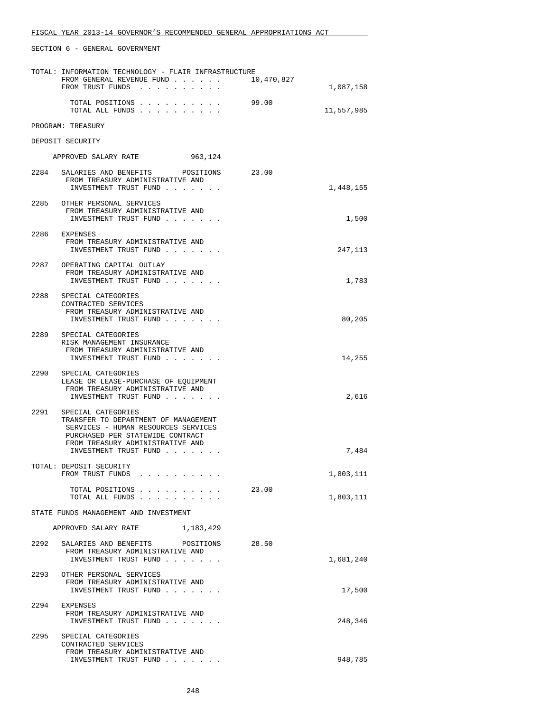| TOTAL: INFORMATION TECHNOLOGY - FLAIR INFRASTRUCTURE |                                                                                                                                                                                                    |            |            |  |
|------------------------------------------------------|----------------------------------------------------------------------------------------------------------------------------------------------------------------------------------------------------|------------|------------|--|
|                                                      | FROM GENERAL REVENUE FUND<br>FROM TRUST FUNDS                                                                                                                                                      | 10,470,827 | 1,087,158  |  |
|                                                      | TOTAL POSITIONS<br>TOTAL ALL FUNDS                                                                                                                                                                 | 99.00      | 11,557,985 |  |
|                                                      | PROGRAM: TREASURY                                                                                                                                                                                  |            |            |  |
|                                                      | DEPOSIT SECURITY                                                                                                                                                                                   |            |            |  |
|                                                      | APPROVED SALARY RATE<br>963,124                                                                                                                                                                    |            |            |  |
|                                                      | 2284 SALARIES AND BENEFITS POSITIONS<br>FROM TREASURY ADMINISTRATIVE AND<br>INVESTMENT TRUST FUND                                                                                                  | 23.00      | 1,448,155  |  |
| 2285                                                 | OTHER PERSONAL SERVICES<br>FROM TREASURY ADMINISTRATIVE AND<br>INVESTMENT TRUST FUND                                                                                                               |            | 1,500      |  |
| 2286                                                 | EXPENSES<br>FROM TREASURY ADMINISTRATIVE AND<br>INVESTMENT TRUST FUND                                                                                                                              |            | 247,113    |  |
|                                                      | 2287 OPERATING CAPITAL OUTLAY<br>FROM TREASURY ADMINISTRATIVE AND<br>INVESTMENT TRUST FUND                                                                                                         |            | 1,783      |  |
|                                                      | 2288 SPECIAL CATEGORIES<br>CONTRACTED SERVICES<br>FROM TREASURY ADMINISTRATIVE AND<br>INVESTMENT TRUST FUND                                                                                        |            | 80,205     |  |
|                                                      | 2289 SPECIAL CATEGORIES<br>RISK MANAGEMENT INSURANCE<br>FROM TREASURY ADMINISTRATIVE AND<br>INVESTMENT TRUST FUND                                                                                  |            | 14,255     |  |
| 2290                                                 | SPECIAL CATEGORIES<br>LEASE OR LEASE-PURCHASE OF EQUIPMENT<br>FROM TREASURY ADMINISTRATIVE AND<br>INVESTMENT TRUST FUND                                                                            |            | 2,616      |  |
| 2291                                                 | SPECIAL CATEGORIES<br>TRANSFER TO DEPARTMENT OF MANAGEMENT<br>SERVICES - HUMAN RESOURCES SERVICES<br>PURCHASED PER STATEWIDE CONTRACT<br>FROM TREASURY ADMINISTRATIVE AND<br>INVESTMENT TRUST FUND |            | 7,484      |  |
|                                                      | TOTAL: DEPOSIT SECURITY<br>FROM TRUST FUNDS<br>the contract of the contract of the contract of the contract of the contract of the contract of the contract of                                     |            | 1,803,111  |  |
|                                                      | TOTAL POSITIONS<br>TOTAL ALL FUNDS                                                                                                                                                                 | 23.00      | 1,803,111  |  |
|                                                      | STATE FUNDS MANAGEMENT AND INVESTMENT                                                                                                                                                              |            |            |  |
|                                                      | APPROVED SALARY RATE<br>1,183,429                                                                                                                                                                  |            |            |  |
| 2292                                                 | SALARIES AND BENEFITS<br>POSITIONS<br>FROM TREASURY ADMINISTRATIVE AND<br>INVESTMENT TRUST FUND                                                                                                    | 28.50      | 1,681,240  |  |
| 2293                                                 | OTHER PERSONAL SERVICES<br>FROM TREASURY ADMINISTRATIVE AND<br>INVESTMENT TRUST FUND                                                                                                               |            | 17,500     |  |
| 2294                                                 | EXPENSES<br>FROM TREASURY ADMINISTRATIVE AND<br>INVESTMENT TRUST FUND                                                                                                                              |            | 248,346    |  |
|                                                      | 2295 SPECIAL CATEGORIES<br>CONTRACTED SERVICES<br>FROM TREASURY ADMINISTRATIVE AND<br>INVESTMENT TRUST FUND                                                                                        |            | 948,785    |  |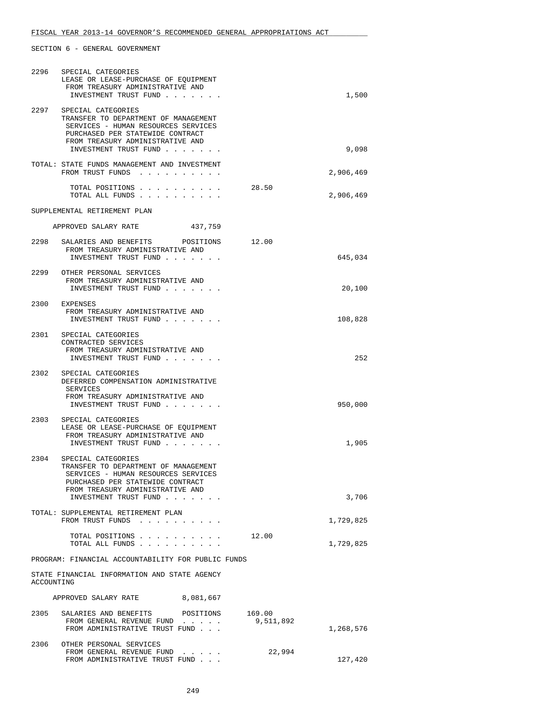| 2296                              | SPECIAL CATEGORIES<br>LEASE OR LEASE-PURCHASE OF EQUIPMENT<br>FROM TREASURY ADMINISTRATIVE AND<br>INVESTMENT TRUST FUND                                                                                 |                     | 1,500     |  |
|-----------------------------------|---------------------------------------------------------------------------------------------------------------------------------------------------------------------------------------------------------|---------------------|-----------|--|
|                                   | 2297 SPECIAL CATEGORIES<br>TRANSFER TO DEPARTMENT OF MANAGEMENT<br>SERVICES - HUMAN RESOURCES SERVICES<br>PURCHASED PER STATEWIDE CONTRACT<br>FROM TREASURY ADMINISTRATIVE AND<br>INVESTMENT TRUST FUND |                     | 9,098     |  |
|                                   | TOTAL: STATE FUNDS MANAGEMENT AND INVESTMENT<br>FROM TRUST FUNDS                                                                                                                                        |                     | 2,906,469 |  |
|                                   | TOTAL POSITIONS<br>TOTAL ALL FUNDS                                                                                                                                                                      | 28.50               | 2,906,469 |  |
|                                   | SUPPLEMENTAL RETIREMENT PLAN                                                                                                                                                                            |                     |           |  |
|                                   | APPROVED SALARY RATE<br>437,759                                                                                                                                                                         |                     |           |  |
|                                   | 2298 SALARIES AND BENEFITS POSITIONS<br>FROM TREASURY ADMINISTRATIVE AND<br>INVESTMENT TRUST FUND                                                                                                       | 12.00               | 645,034   |  |
|                                   | 2299 OTHER PERSONAL SERVICES<br>FROM TREASURY ADMINISTRATIVE AND<br>INVESTMENT TRUST FUND                                                                                                               |                     | 20,100    |  |
|                                   | 2300 EXPENSES<br>FROM TREASURY ADMINISTRATIVE AND<br>INVESTMENT TRUST FUND                                                                                                                              |                     | 108,828   |  |
|                                   | 2301 SPECIAL CATEGORIES<br>CONTRACTED SERVICES<br>FROM TREASURY ADMINISTRATIVE AND<br>INVESTMENT TRUST FUND                                                                                             |                     | 252       |  |
| 2302                              | SPECIAL CATEGORIES<br>DEFERRED COMPENSATION ADMINISTRATIVE<br>SERVICES<br>FROM TREASURY ADMINISTRATIVE AND<br>INVESTMENT TRUST FUND                                                                     |                     | 950,000   |  |
|                                   | 2303 SPECIAL CATEGORIES<br>LEASE OR LEASE-PURCHASE OF EOUIPMENT<br>FROM TREASURY ADMINISTRATIVE AND<br>INVESTMENT TRUST FUND                                                                            |                     | 1,905     |  |
| 2304                              | SPECIAL CATEGORIES<br>TRANSFER TO DEPARTMENT OF MANAGEMENT<br>SERVICES - HUMAN RESOURCES SERVICES<br>PURCHASED PER STATEWIDE CONTRACT<br>FROM TREASURY ADMINISTRATIVE AND<br>INVESTMENT TRUST FUND      |                     | 3,706     |  |
|                                   | TOTAL: SUPPLEMENTAL RETIREMENT PLAN<br>FROM TRUST FUNDS                                                                                                                                                 |                     | 1,729,825 |  |
|                                   | TOTAL POSITIONS<br>TOTAL ALL FUNDS                                                                                                                                                                      | 12.00               | 1,729,825 |  |
|                                   | PROGRAM: FINANCIAL ACCOUNTABILITY FOR PUBLIC FUNDS                                                                                                                                                      |                     |           |  |
| ACCOUNTING                        | STATE FINANCIAL INFORMATION AND STATE AGENCY                                                                                                                                                            |                     |           |  |
| 8,081,667<br>APPROVED SALARY RATE |                                                                                                                                                                                                         |                     |           |  |
|                                   | 2305 SALARIES AND BENEFITS<br>POSITIONS<br>FROM GENERAL REVENUE FUND<br>FROM ADMINISTRATIVE TRUST FUND                                                                                                  | 169.00<br>9,511,892 | 1,268,576 |  |
| 2306                              | OTHER PERSONAL SERVICES<br>FROM GENERAL REVENUE FUND<br>$\cdots$<br>FROM ADMINISTRATIVE TRUST FUND                                                                                                      | 22,994              | 127,420   |  |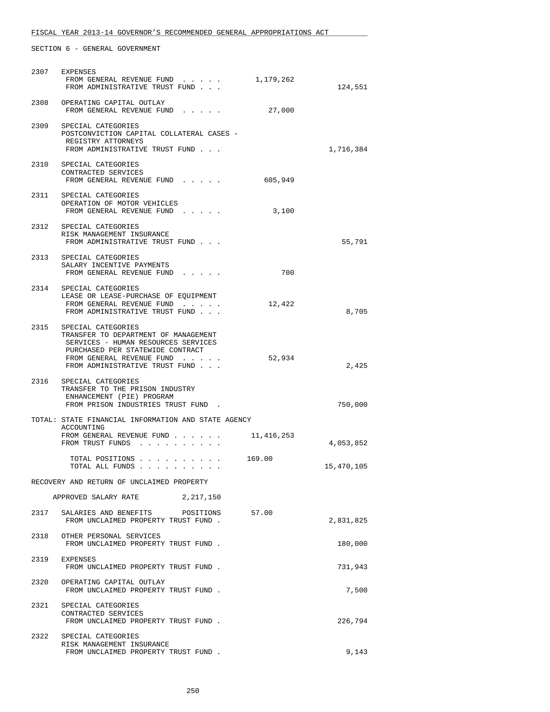# FISCAL YEAR 2013-14 GOVERNOR'S RECOMMENDED GENERAL APPROPRIATIONS ACT

|                                           | 2307 EXPENSES<br>FROM GENERAL REVENUE FUND<br>FROM ADMINISTRATIVE TRUST FUND                                                                                                                          | 1,179,262  | 124,551    |  |
|-------------------------------------------|-------------------------------------------------------------------------------------------------------------------------------------------------------------------------------------------------------|------------|------------|--|
| 2308                                      | OPERATING CAPITAL OUTLAY<br>FROM GENERAL REVENUE FUND                                                                                                                                                 | 27,000     |            |  |
|                                           | 2309 SPECIAL CATEGORIES<br>POSTCONVICTION CAPITAL COLLATERAL CASES -<br>REGISTRY ATTORNEYS<br>FROM ADMINISTRATIVE TRUST FUND                                                                          |            | 1,716,384  |  |
|                                           | 2310 SPECIAL CATEGORIES<br>CONTRACTED SERVICES<br>FROM GENERAL REVENUE FUND                                                                                                                           | 605,949    |            |  |
|                                           | 2311 SPECIAL CATEGORIES<br>OPERATION OF MOTOR VEHICLES<br>FROM GENERAL REVENUE FUND                                                                                                                   | 3,100      |            |  |
|                                           | 2312 SPECIAL CATEGORIES<br>RISK MANAGEMENT INSURANCE<br>FROM ADMINISTRATIVE TRUST FUND                                                                                                                |            | 55,791     |  |
|                                           | 2313 SPECIAL CATEGORIES<br>SALARY INCENTIVE PAYMENTS<br>FROM GENERAL REVENUE FUND                                                                                                                     | 700        |            |  |
|                                           | 2314 SPECIAL CATEGORIES<br>LEASE OR LEASE-PURCHASE OF EQUIPMENT<br>FROM GENERAL REVENUE FUND<br>FROM ADMINISTRATIVE TRUST FUND                                                                        | 12,422     | 8,705      |  |
| 2315                                      | SPECIAL CATEGORIES<br>TRANSFER TO DEPARTMENT OF MANAGEMENT<br>SERVICES - HUMAN RESOURCES SERVICES<br>PURCHASED PER STATEWIDE CONTRACT<br>FROM GENERAL REVENUE FUND<br>FROM ADMINISTRATIVE TRUST FUND. | 52,934     | 2,425      |  |
| 2316                                      | SPECIAL CATEGORIES<br>TRANSFER TO THE PRISON INDUSTRY<br>ENHANCEMENT (PIE) PROGRAM<br>FROM PRISON INDUSTRIES TRUST FUND.                                                                              |            | 750,000    |  |
|                                           | TOTAL: STATE FINANCIAL INFORMATION AND STATE AGENCY                                                                                                                                                   |            |            |  |
|                                           | ACCOUNTING<br>FROM GENERAL REVENUE FUND<br>FROM TRUST FUNDS                                                                                                                                           | 11,416,253 | 4,053,852  |  |
|                                           | TOTAL POSITIONS 169.00<br>TOTAL ALL FUNDS                                                                                                                                                             |            | 15,470,105 |  |
| RECOVERY AND RETURN OF UNCLAIMED PROPERTY |                                                                                                                                                                                                       |            |            |  |
|                                           | APPROVED SALARY RATE 2, 217, 150                                                                                                                                                                      |            |            |  |
|                                           | 2317 SALARIES AND BENEFITS POSITIONS<br>FROM UNCLAIMED PROPERTY TRUST FUND.                                                                                                                           | 57.00      | 2,831,825  |  |
|                                           | 2318 OTHER PERSONAL SERVICES<br>FROM UNCLAIMED PROPERTY TRUST FUND.                                                                                                                                   |            | 180,000    |  |
|                                           | 2319 EXPENSES<br>FROM UNCLAIMED PROPERTY TRUST FUND.                                                                                                                                                  |            | 731,943    |  |
| 2320                                      | OPERATING CAPITAL OUTLAY<br>FROM UNCLAIMED PROPERTY TRUST FUND.                                                                                                                                       |            | 7,500      |  |
|                                           | 2321 SPECIAL CATEGORIES<br>CONTRACTED SERVICES<br>FROM UNCLAIMED PROPERTY TRUST FUND.                                                                                                                 |            | 226,794    |  |
| 2322                                      | SPECIAL CATEGORIES<br>RISK MANAGEMENT INSURANCE<br>FROM UNCLAIMED PROPERTY TRUST FUND.                                                                                                                |            | 9,143      |  |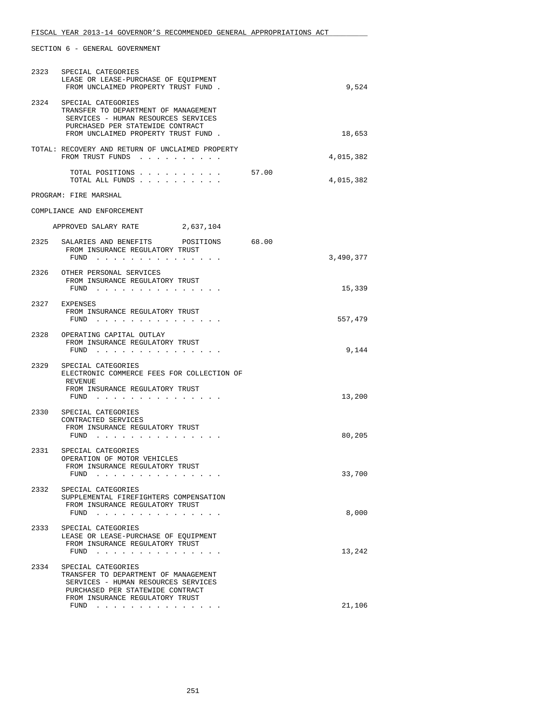| 2323 | SPECIAL CATEGORIES<br>LEASE OR LEASE-PURCHASE OF EQUIPMENT<br>FROM UNCLAIMED PROPERTY TRUST FUND.                                                                                     | 9,524              |
|------|---------------------------------------------------------------------------------------------------------------------------------------------------------------------------------------|--------------------|
| 2324 | SPECIAL CATEGORIES<br>TRANSFER TO DEPARTMENT OF MANAGEMENT<br>SERVICES - HUMAN RESOURCES SERVICES<br>PURCHASED PER STATEWIDE CONTRACT<br>FROM UNCLAIMED PROPERTY TRUST FUND.          | 18,653             |
|      | TOTAL: RECOVERY AND RETURN OF UNCLAIMED PROPERTY<br>FROM TRUST FUNDS                                                                                                                  | 4,015,382          |
|      | TOTAL POSITIONS<br>TOTAL ALL FUNDS                                                                                                                                                    | 57.00<br>4,015,382 |
|      | PROGRAM: FIRE MARSHAL                                                                                                                                                                 |                    |
|      | COMPLIANCE AND ENFORCEMENT                                                                                                                                                            |                    |
|      | APPROVED SALARY RATE 2,637,104                                                                                                                                                        |                    |
| 2325 | SALARIES AND BENEFITS POSITIONS                                                                                                                                                       | 68.00              |
|      | FROM INSURANCE REGULATORY TRUST<br>FUND                                                                                                                                               | 3,490,377          |
|      | 2326 OTHER PERSONAL SERVICES<br>FROM INSURANCE REGULATORY TRUST                                                                                                                       |                    |
|      | FUND $\cdots$                                                                                                                                                                         | 15,339             |
|      | 2327 EXPENSES<br>FROM INSURANCE REGULATORY TRUST<br>FUND $\cdots$                                                                                                                     | 557,479            |
|      | 2328 OPERATING CAPITAL OUTLAY<br>FROM INSURANCE REGULATORY TRUST<br>FUND $\cdots$                                                                                                     | 9,144              |
| 2329 | SPECIAL CATEGORIES<br>ELECTRONIC COMMERCE FEES FOR COLLECTION OF<br>REVENUE<br>FROM INSURANCE REGULATORY TRUST<br>FUND $\ldots$ $\ldots$ $\ldots$ $\ldots$ $\ldots$ $\ldots$ $\ldots$ | 13,200             |
|      | 2330 SPECIAL CATEGORIES<br>CONTRACTED SERVICES<br>FROM INSURANCE REGULATORY TRUST<br>$FUND$                                                                                           | 80,205             |
| 2331 | SPECIAL CATEGORIES                                                                                                                                                                    |                    |
|      | OPERATION OF MOTOR VEHICLES<br>FROM INSURANCE REGULATORY TRUST<br>FUND $\cdots$                                                                                                       | 33,700             |
| 2332 | SPECIAL CATEGORIES<br>SUPPLEMENTAL FIREFIGHTERS COMPENSATION<br>FROM INSURANCE REGULATORY TRUST<br>FUND $\cdots$                                                                      | 8,000              |
| 2333 | SPECIAL CATEGORIES<br>LEASE OR LEASE-PURCHASE OF EQUIPMENT<br>FROM INSURANCE REGULATORY TRUST<br>FUND $\cdots$                                                                        | 13,242             |
|      | 2334 SPECIAL CATEGORIES<br>TRANSFER TO DEPARTMENT OF MANAGEMENT<br>SERVICES - HUMAN RESOURCES SERVICES<br>PURCHASED PER STATEWIDE CONTRACT                                            |                    |
|      | FROM INSURANCE REGULATORY TRUST<br>FUND $\cdots$                                                                                                                                      | 21,106             |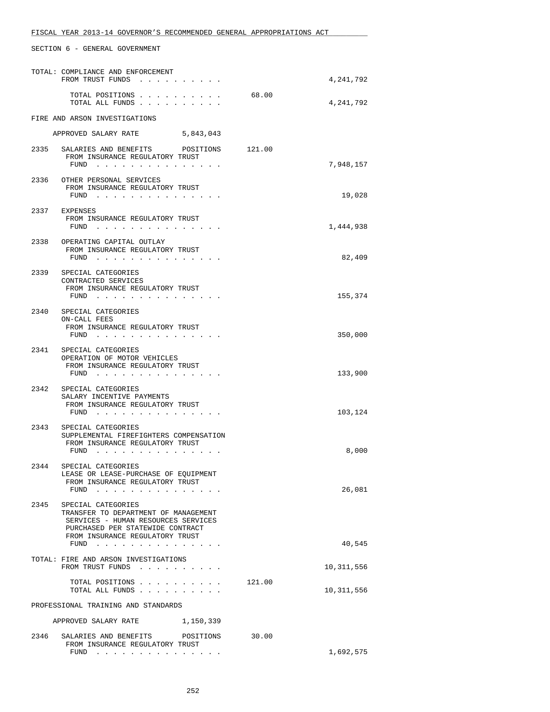|      | TOTAL: COMPLIANCE AND ENFORCEMENT<br>FROM TRUST FUNDS                                                                                                                    |        | 4,241,792  |
|------|--------------------------------------------------------------------------------------------------------------------------------------------------------------------------|--------|------------|
|      | TOTAL POSITIONS<br>TOTAL ALL FUNDS                                                                                                                                       | 68.00  | 4,241,792  |
|      | FIRE AND ARSON INVESTIGATIONS                                                                                                                                            |        |            |
|      | APPROVED SALARY RATE 5,843,043                                                                                                                                           |        |            |
| 2335 | SALARIES AND BENEFITS POSITIONS<br>FROM INSURANCE REGULATORY TRUST<br>FUND $\cdots$                                                                                      | 121.00 | 7,948,157  |
| 2336 | OTHER PERSONAL SERVICES<br>FROM INSURANCE REGULATORY TRUST<br>$FUND$                                                                                                     |        | 19,028     |
|      | 2337 EXPENSES<br>FROM INSURANCE REGULATORY TRUST<br>FUND                                                                                                                 |        | 1,444,938  |
|      | 2338 OPERATING CAPITAL OUTLAY<br>FROM INSURANCE REGULATORY TRUST<br>FUND                                                                                                 |        | 82,409     |
| 2339 | SPECIAL CATEGORIES<br>CONTRACTED SERVICES<br>FROM INSURANCE REGULATORY TRUST<br>FUND                                                                                     |        | 155,374    |
| 2340 | SPECIAL CATEGORIES<br>ON-CALL FEES<br>FROM INSURANCE REGULATORY TRUST<br>FUND                                                                                            |        | 350,000    |
|      | 2341 SPECIAL CATEGORIES<br>OPERATION OF MOTOR VEHICLES<br>FROM INSURANCE REGULATORY TRUST<br>FUND                                                                        |        | 133,900    |
|      | 2342 SPECIAL CATEGORIES<br>SALARY INCENTIVE PAYMENTS<br>FROM INSURANCE REGULATORY TRUST<br>FUND                                                                          |        | 103,124    |
| 2343 | SPECIAL CATEGORIES<br>SUPPLEMENTAL FIREFIGHTERS COMPENSATION<br>FROM INSURANCE REGULATORY TRUST<br>FUND $\cdots$                                                         |        | 8,000      |
| 2344 | SPECIAL CATEGORIES<br>LEASE OR LEASE-PURCHASE OF EQUIPMENT<br>FROM INSURANCE REGULATORY TRUST<br>FUND $\cdots$                                                           |        | 26,081     |
| 2345 | SPECIAL CATEGORIES<br>TRANSFER TO DEPARTMENT OF MANAGEMENT<br>SERVICES - HUMAN RESOURCES SERVICES<br>PURCHASED PER STATEWIDE CONTRACT<br>FROM INSURANCE REGULATORY TRUST |        | 40,545     |
|      | FUND<br>TOTAL: FIRE AND ARSON INVESTIGATIONS<br>FROM TRUST FUNDS                                                                                                         |        | 10,311,556 |
|      | TOTAL POSITIONS 121.00<br>TOTAL ALL FUNDS                                                                                                                                |        | 10,311,556 |
|      | PROFESSIONAL TRAINING AND STANDARDS                                                                                                                                      |        |            |
|      | APPROVED SALARY RATE<br>1,150,339                                                                                                                                        |        |            |
| 2346 | SALARIES AND BENEFITS POSITIONS<br>FROM INSURANCE REGULATORY TRUST<br>FUND $\cdots$                                                                                      | 30.00  | 1,692,575  |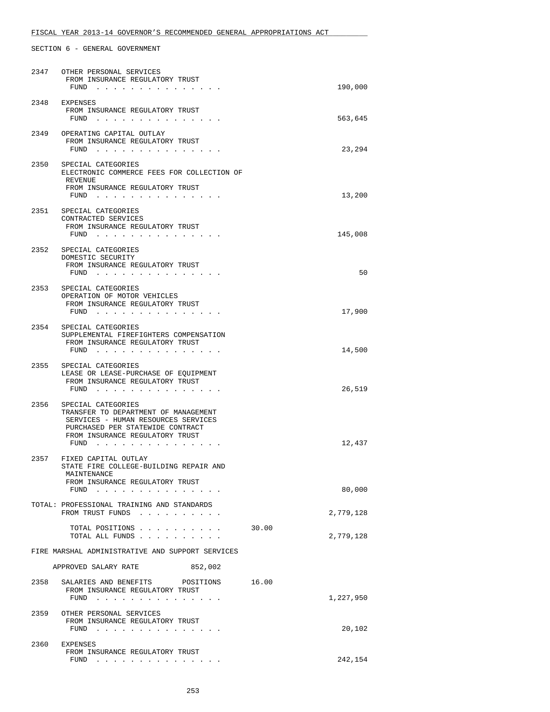# FISCAL YEAR 2013-14 GOVERNOR'S RECOMMENDED GENERAL APPROPRIATIONS ACT

| 2347 | OTHER PERSONAL SERVICES<br>FROM INSURANCE REGULATORY TRUST<br>FUND                                                                                                               | 190,000            |
|------|----------------------------------------------------------------------------------------------------------------------------------------------------------------------------------|--------------------|
| 2348 | EXPENSES<br>FROM INSURANCE REGULATORY TRUST<br>FUND $\ldots$ $\ldots$ $\ldots$ $\ldots$ $\ldots$ $\ldots$                                                                        | 563,645            |
|      | 2349 OPERATING CAPITAL OUTLAY<br>FROM INSURANCE REGULATORY TRUST<br>FUND                                                                                                         | 23,294             |
|      | 2350 SPECIAL CATEGORIES<br>ELECTRONIC COMMERCE FEES FOR COLLECTION OF<br>REVENUE<br>FROM INSURANCE REGULATORY TRUST<br>FUND $\cdots$                                             | 13,200             |
| 2351 | SPECIAL CATEGORIES<br>CONTRACTED SERVICES<br>FROM INSURANCE REGULATORY TRUST<br>FUND $\ldots$ $\ldots$ $\ldots$ $\ldots$ $\ldots$ $\ldots$                                       | 145,008            |
| 2352 | SPECIAL CATEGORIES<br>DOMESTIC SECURITY<br>FROM INSURANCE REGULATORY TRUST<br>FUND                                                                                               | 50                 |
| 2353 | SPECIAL CATEGORIES<br>OPERATION OF MOTOR VEHICLES<br>FROM INSURANCE REGULATORY TRUST<br>$FUND$                                                                                   | 17,900             |
|      | 2354 SPECIAL CATEGORIES<br>SUPPLEMENTAL FIREFIGHTERS COMPENSATION<br>FROM INSURANCE REGULATORY TRUST<br>FUND $\cdots$                                                            | 14,500             |
| 2355 | SPECIAL CATEGORIES<br>LEASE OR LEASE-PURCHASE OF EQUIPMENT<br>FROM INSURANCE REGULATORY TRUST<br>FUND                                                                            | 26,519             |
| 2356 | SPECIAL CATEGORIES<br>TRANSFER TO DEPARTMENT OF MANAGEMENT<br>SERVICES - HUMAN RESOURCES SERVICES<br>PURCHASED PER STATEWIDE CONTRACT<br>FROM INSURANCE REGULATORY TRUST<br>FUND | 12,437             |
| 2357 | FIXED CAPITAL OUTLAY<br>STATE FIRE COLLEGE-BUILDING REPAIR AND<br>MAINTENANCE<br>FROM INSURANCE REGULATORY TRUST                                                                 |                    |
|      | FUND<br>TOTAL: PROFESSIONAL TRAINING AND STANDARDS                                                                                                                               | 80,000             |
|      | FROM TRUST FUNDS                                                                                                                                                                 | 2,779,128          |
|      | TOTAL POSITIONS<br>TOTAL ALL FUNDS                                                                                                                                               | 30.00<br>2,779,128 |
|      | FIRE MARSHAL ADMINISTRATIVE AND SUPPORT SERVICES                                                                                                                                 |                    |
|      | APPROVED SALARY RATE<br>852,002                                                                                                                                                  |                    |
| 2358 | 16.00<br>SALARIES AND BENEFITS<br>POSITIONS<br>FROM INSURANCE REGULATORY TRUST<br>FUND                                                                                           | 1,227,950          |
|      | 2359 OTHER PERSONAL SERVICES<br>FROM INSURANCE REGULATORY TRUST<br>FUND                                                                                                          | 20,102             |
|      | 2360 EXPENSES<br>FROM INSURANCE REGULATORY TRUST<br>FUND                                                                                                                         | 242,154            |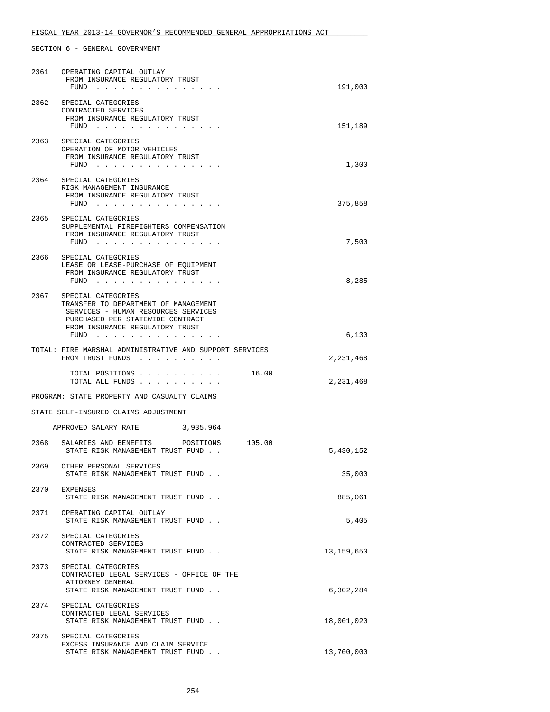| 2361 | OPERATING CAPITAL OUTLAY<br>FROM INSURANCE REGULATORY TRUST<br>FUND                                                                                                      | 191,000    |
|------|--------------------------------------------------------------------------------------------------------------------------------------------------------------------------|------------|
| 2362 | SPECIAL CATEGORIES<br>CONTRACTED SERVICES<br>FROM INSURANCE REGULATORY TRUST<br>FUND                                                                                     | 151,189    |
| 2363 | SPECIAL CATEGORIES<br>OPERATION OF MOTOR VEHICLES<br>FROM INSURANCE REGULATORY TRUST<br>$FUND$                                                                           | 1,300      |
| 2364 | SPECIAL CATEGORIES<br>RISK MANAGEMENT INSURANCE<br>FROM INSURANCE REGULATORY TRUST<br>FUND                                                                               | 375,858    |
|      | 2365 SPECIAL CATEGORIES<br>SUPPLEMENTAL FIREFIGHTERS COMPENSATION<br>FROM INSURANCE REGULATORY TRUST                                                                     | 7,500      |
| 2366 | SPECIAL CATEGORIES<br>LEASE OR LEASE-PURCHASE OF EQUIPMENT<br>FROM INSURANCE REGULATORY TRUST<br>FUND                                                                    | 8,285      |
| 2367 | SPECIAL CATEGORIES<br>TRANSFER TO DEPARTMENT OF MANAGEMENT<br>SERVICES - HUMAN RESOURCES SERVICES<br>PURCHASED PER STATEWIDE CONTRACT<br>FROM INSURANCE REGULATORY TRUST |            |
|      | FUND                                                                                                                                                                     | 6,130      |
|      | TOTAL: FIRE MARSHAL ADMINISTRATIVE AND SUPPORT SERVICES<br>FROM TRUST FUNDS                                                                                              | 2,231,468  |
|      | TOTAL POSITIONS<br>16.00<br>TOTAL ALL FUNDS                                                                                                                              | 2,231,468  |
|      | PROGRAM: STATE PROPERTY AND CASUALTY CLAIMS                                                                                                                              |            |
|      | STATE SELF-INSURED CLAIMS ADJUSTMENT                                                                                                                                     |            |
|      | APPROVED SALARY RATE<br>3,935,964                                                                                                                                        |            |
| 2368 | SALARIES AND BENEFITS POSITIONS 105.00<br>STATE RISK MANAGEMENT TRUST FUND                                                                                               | 5,430,152  |
| 2369 | OTHER PERSONAL SERVICES<br>STATE RISK MANAGEMENT TRUST FUND                                                                                                              | 35,000     |
| 2370 | EXPENSES<br>STATE RISK MANAGEMENT TRUST FUND.                                                                                                                            | 885,061    |
|      | 2371 OPERATING CAPITAL OUTLAY<br>STATE RISK MANAGEMENT TRUST FUND                                                                                                        | 5,405      |
|      | 2372 SPECIAL CATEGORIES<br>CONTRACTED SERVICES<br>STATE RISK MANAGEMENT TRUST FUND.                                                                                      | 13,159,650 |
| 2373 | SPECIAL CATEGORIES<br>CONTRACTED LEGAL SERVICES - OFFICE OF THE<br>ATTORNEY GENERAL<br>STATE RISK MANAGEMENT TRUST FUND.                                                 | 6,302,284  |
| 2374 | SPECIAL CATEGORIES<br>CONTRACTED LEGAL SERVICES<br>STATE RISK MANAGEMENT TRUST FUND.                                                                                     | 18,001,020 |
| 2375 | SPECIAL CATEGORIES<br>EXCESS INSURANCE AND CLAIM SERVICE<br>STATE RISK MANAGEMENT TRUST FUND                                                                             | 13,700,000 |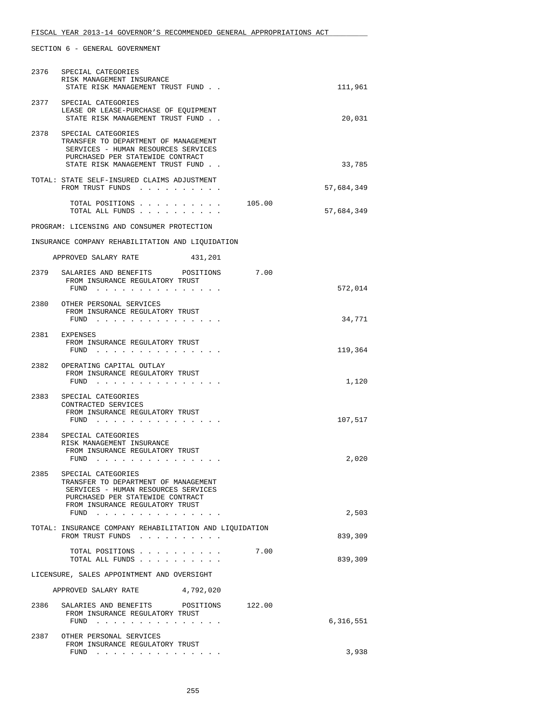|                                            | 2376 SPECIAL CATEGORIES<br>RISK MANAGEMENT INSURANCE<br>STATE RISK MANAGEMENT TRUST FUND.                                                                                                                                              |        | 111,961    |
|--------------------------------------------|----------------------------------------------------------------------------------------------------------------------------------------------------------------------------------------------------------------------------------------|--------|------------|
|                                            | 2377 SPECIAL CATEGORIES<br>LEASE OR LEASE-PURCHASE OF EQUIPMENT<br>STATE RISK MANAGEMENT TRUST FUND.                                                                                                                                   |        | 20,031     |
| 2378                                       | SPECIAL CATEGORIES<br>TRANSFER TO DEPARTMENT OF MANAGEMENT<br>SERVICES - HUMAN RESOURCES SERVICES<br>PURCHASED PER STATEWIDE CONTRACT<br>STATE RISK MANAGEMENT TRUST FUND                                                              |        | 33,785     |
|                                            | TOTAL: STATE SELF-INSURED CLAIMS ADJUSTMENT<br>FROM TRUST FUNDS                                                                                                                                                                        |        | 57,684,349 |
|                                            | TOTAL POSITIONS<br>TOTAL ALL FUNDS                                                                                                                                                                                                     | 105.00 | 57,684,349 |
|                                            | PROGRAM: LICENSING AND CONSUMER PROTECTION                                                                                                                                                                                             |        |            |
|                                            | INSURANCE COMPANY REHABILITATION AND LIOUIDATION                                                                                                                                                                                       |        |            |
|                                            | APPROVED SALARY RATE<br>431,201                                                                                                                                                                                                        |        |            |
|                                            | 2379 SALARIES AND BENEFITS POSITIONS<br>FROM INSURANCE REGULATORY TRUST<br>FUND $\cdots$                                                                                                                                               | 7.00   | 572,014    |
|                                            | 2380 OTHER PERSONAL SERVICES<br>FROM INSURANCE REGULATORY TRUST<br>FUND $\cdots$                                                                                                                                                       |        | 34,771     |
|                                            | 2381 EXPENSES<br>FROM INSURANCE REGULATORY TRUST<br>FUND $\cdots$                                                                                                                                                                      |        | 119,364    |
|                                            | 2382 OPERATING CAPITAL OUTLAY<br>FROM INSURANCE REGULATORY TRUST<br>FUND $\ldots$ $\ldots$ $\ldots$ $\ldots$ $\ldots$ $\ldots$                                                                                                         |        | 1,120      |
| 2383                                       | SPECIAL CATEGORIES<br>CONTRACTED SERVICES<br>FROM INSURANCE REGULATORY TRUST<br>FUND $\cdots$ $\cdots$ $\cdots$ $\cdots$ $\cdots$ $\cdots$ $\cdots$                                                                                    |        | 107,517    |
| 2384                                       | SPECIAL CATEGORIES<br>RISK MANAGEMENT INSURANCE<br>FROM INSURANCE REGULATORY TRUST<br>FUND $\cdots$                                                                                                                                    |        | 2,020      |
| 2385                                       | SPECIAL CATEGORIES<br>TRANSFER TO DEPARTMENT OF MANAGEMENT<br>SERVICES - HUMAN RESOURCES SERVICES<br>PURCHASED PER STATEWIDE CONTRACT<br>FROM INSURANCE REGULATORY TRUST                                                               |        |            |
|                                            | FUND<br>and the company of the company of the company of the company of the company of the company of the company of the company of the company of the company of the company of the company of the company of the company of the comp |        | 2,503      |
|                                            | TOTAL: INSURANCE COMPANY REHABILITATION AND LIQUIDATION<br>FROM TRUST FUNDS                                                                                                                                                            |        | 839,309    |
|                                            | TOTAL POSITIONS<br>TOTAL ALL FUNDS                                                                                                                                                                                                     | 7.00   | 839,309    |
| LICENSURE, SALES APPOINTMENT AND OVERSIGHT |                                                                                                                                                                                                                                        |        |            |
|                                            | 4,792,020<br>APPROVED SALARY RATE                                                                                                                                                                                                      |        |            |
|                                            | 2386 SALARIES AND BENEFITS POSITIONS<br>FROM INSURANCE REGULATORY TRUST<br>FUND<br>.                                                                                                                                                   | 122.00 | 6,316,551  |
| 2387                                       | OTHER PERSONAL SERVICES<br>FROM INSURANCE REGULATORY TRUST                                                                                                                                                                             |        |            |
|                                            | $FUND$                                                                                                                                                                                                                                 |        | 3,938      |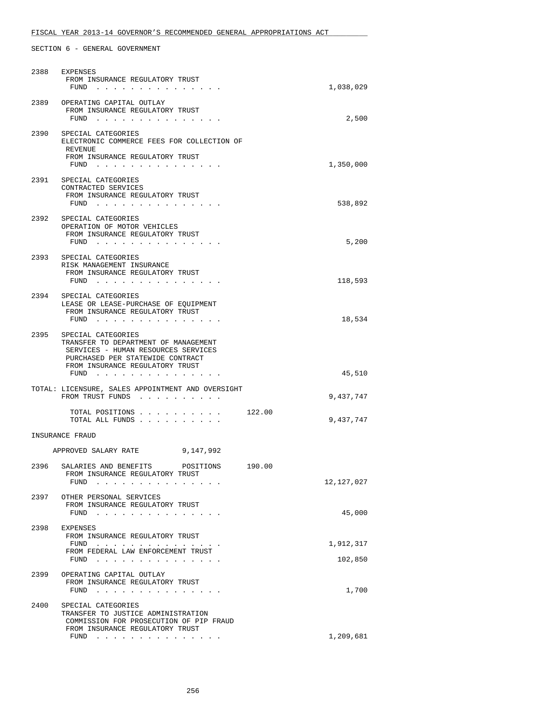# FISCAL YEAR 2013-14 GOVERNOR'S RECOMMENDED GENERAL APPROPRIATIONS ACT

| 2388 | EXPENSES<br>FROM INSURANCE REGULATORY TRUST<br>FUND $\cdots$ $\cdots$ $\cdots$ $\cdots$ $\cdots$ $\cdots$                                                                                                                                                                                            | 1,038,029  |
|------|------------------------------------------------------------------------------------------------------------------------------------------------------------------------------------------------------------------------------------------------------------------------------------------------------|------------|
| 2389 | OPERATING CAPITAL OUTLAY<br>FROM INSURANCE REGULATORY TRUST<br>$FUND$                                                                                                                                                                                                                                | 2,500      |
| 2390 | SPECIAL CATEGORIES<br>ELECTRONIC COMMERCE FEES FOR COLLECTION OF<br>REVENUE<br>FROM INSURANCE REGULATORY TRUST<br>FUND $\cdots$                                                                                                                                                                      | 1,350,000  |
|      | 2391 SPECIAL CATEGORIES<br>CONTRACTED SERVICES<br>FROM INSURANCE REGULATORY TRUST<br>FUND                                                                                                                                                                                                            | 538,892    |
|      | 2392 SPECIAL CATEGORIES<br>OPERATION OF MOTOR VEHICLES<br>FROM INSURANCE REGULATORY TRUST<br>FUND $\cdots$                                                                                                                                                                                           | 5,200      |
| 2393 | SPECIAL CATEGORIES<br>RISK MANAGEMENT INSURANCE<br>FROM INSURANCE REGULATORY TRUST<br>FUND $\cdots$                                                                                                                                                                                                  | 118,593    |
| 2394 | SPECIAL CATEGORIES<br>LEASE OR LEASE-PURCHASE OF EQUIPMENT<br>FROM INSURANCE REGULATORY TRUST<br>FUND $\cdots$                                                                                                                                                                                       | 18,534     |
|      | 2395 SPECIAL CATEGORIES<br>TRANSFER TO DEPARTMENT OF MANAGEMENT<br>SERVICES - HUMAN RESOURCES SERVICES<br>PURCHASED PER STATEWIDE CONTRACT<br>FROM INSURANCE REGULATORY TRUST                                                                                                                        |            |
|      | FUND $\cdots$                                                                                                                                                                                                                                                                                        | 45,510     |
|      | TOTAL: LICENSURE, SALES APPOINTMENT AND OVERSIGHT<br>FROM TRUST FUNDS                                                                                                                                                                                                                                | 9,437,747  |
|      | TOTAL POSITIONS<br>122.00<br>TOTAL ALL FUNDS                                                                                                                                                                                                                                                         | 9,437,747  |
|      | INSURANCE FRAUD                                                                                                                                                                                                                                                                                      |            |
|      | APPROVED SALARY RATE 9,147,992                                                                                                                                                                                                                                                                       |            |
|      | 2396 SALARIES AND BENEFITS POSITIONS 190.00<br>FROM INSURANCE REGULATORY TRUST<br>FUND<br>$\mathbf{r} = \mathbf{r} - \mathbf{r} = \mathbf{r} - \mathbf{r} = \mathbf{r} - \mathbf{r}$                                                                                                                 | 12,127,027 |
| 2397 | OTHER PERSONAL SERVICES<br>FROM INSURANCE REGULATORY TRUST<br>FUND<br>the contract of the contract of the contract of the contract of the contract of the contract of the contract of the contract of the contract of the contract of the contract of the contract of the contract of the contract o | 45,000     |
| 2398 | EXPENSES<br>FROM INSURANCE REGULATORY TRUST<br>FUND                                                                                                                                                                                                                                                  | 1,912,317  |
|      | FROM FEDERAL LAW ENFORCEMENT TRUST<br>FUND<br>والمناور والمناور والمناور والمناور والمناور والمناور                                                                                                                                                                                                  | 102,850    |
| 2399 | OPERATING CAPITAL OUTLAY<br>FROM INSURANCE REGULATORY TRUST<br>FUND                                                                                                                                                                                                                                  | 1,700      |
| 2400 | SPECIAL CATEGORIES<br>TRANSFER TO JUSTICE ADMINISTRATION<br>COMMISSION FOR PROSECUTION OF PIP FRAUD<br>FROM INSURANCE REGULATORY TRUST                                                                                                                                                               |            |
|      | FUND $\cdots$                                                                                                                                                                                                                                                                                        | 1,209,681  |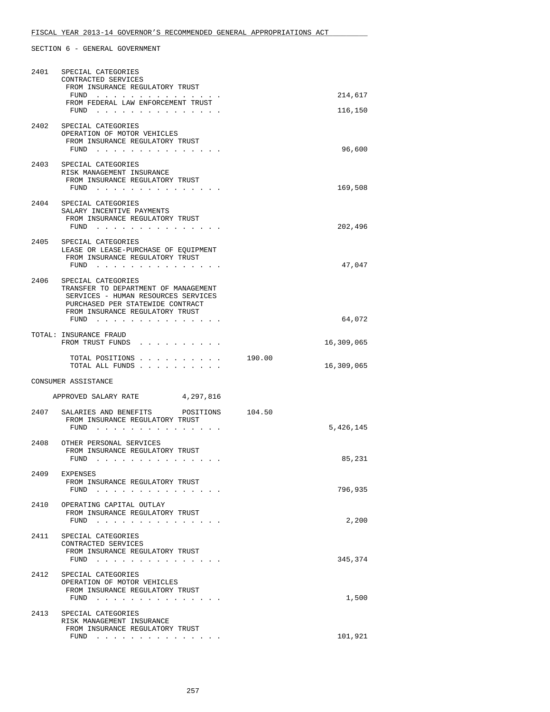| 2401 | SPECIAL CATEGORIES<br>CONTRACTED SERVICES<br>FROM INSURANCE REGULATORY TRUST                                                                                                                                                                                                 |                      |
|------|------------------------------------------------------------------------------------------------------------------------------------------------------------------------------------------------------------------------------------------------------------------------------|----------------------|
|      | the contract of the contract of the contract of the contract of the contract of the contract of the contract of the contract of the contract of the contract of the contract of the contract of the contract of the contract o<br>FUND<br>FROM FEDERAL LAW ENFORCEMENT TRUST | 214,617              |
|      | $FUND$                                                                                                                                                                                                                                                                       | 116,150              |
|      | 2402 SPECIAL CATEGORIES<br>OPERATION OF MOTOR VEHICLES<br>FROM INSURANCE REGULATORY TRUST<br>FUND                                                                                                                                                                            | 96,600               |
|      | 2403 SPECIAL CATEGORIES<br>RISK MANAGEMENT INSURANCE<br>FROM INSURANCE REGULATORY TRUST<br>FUND $\ldots$ $\ldots$ $\ldots$ $\ldots$ $\ldots$ $\ldots$                                                                                                                        | 169,508              |
| 2404 | SPECIAL CATEGORIES<br>SALARY INCENTIVE PAYMENTS<br>FROM INSURANCE REGULATORY TRUST<br>FUND                                                                                                                                                                                   | 202,496              |
| 2405 | SPECIAL CATEGORIES<br>LEASE OR LEASE-PURCHASE OF EQUIPMENT<br>FROM INSURANCE REGULATORY TRUST<br>FUND                                                                                                                                                                        | 47,047               |
| 2406 | SPECIAL CATEGORIES<br>TRANSFER TO DEPARTMENT OF MANAGEMENT<br>SERVICES - HUMAN RESOURCES SERVICES<br>PURCHASED PER STATEWIDE CONTRACT<br>FROM INSURANCE REGULATORY TRUST<br>FUND                                                                                             | 64,072               |
|      | TOTAL: INSURANCE FRAUD<br>FROM TRUST FUNDS                                                                                                                                                                                                                                   | 16,309,065           |
|      | TOTAL POSITIONS<br>TOTAL ALL FUNDS                                                                                                                                                                                                                                           | 190.00<br>16,309,065 |
|      | CONSUMER ASSISTANCE                                                                                                                                                                                                                                                          |                      |
|      | APPROVED SALARY RATE<br>4,297,816                                                                                                                                                                                                                                            |                      |
|      | 2407 SALARIES AND BENEFITS POSITIONS<br>FROM INSURANCE REGULATORY TRUST<br>$FUND$                                                                                                                                                                                            | 104.50<br>5,426,145  |
| 2408 | OTHER PERSONAL SERVICES<br>FROM INSURANCE REGULATORY TRUST<br>FUND                                                                                                                                                                                                           | 85,231               |
| 2409 | EXPENSES<br>FROM INSURANCE REGULATORY TRUST<br>FUND $\cdots$                                                                                                                                                                                                                 | 796,935              |
| 2410 | OPERATING CAPITAL OUTLAY<br>FROM INSURANCE REGULATORY TRUST<br>$FUND$                                                                                                                                                                                                        | 2,200                |
|      | 2411 SPECIAL CATEGORIES<br>CONTRACTED SERVICES<br>FROM INSURANCE REGULATORY TRUST<br>FUND $\ldots$ $\ldots$ $\ldots$ $\ldots$ $\ldots$ $\ldots$                                                                                                                              | 345,374              |
| 2412 | SPECIAL CATEGORIES<br>OPERATION OF MOTOR VEHICLES<br>FROM INSURANCE REGULATORY TRUST<br>FUND                                                                                                                                                                                 | 1,500                |
| 2413 | SPECIAL CATEGORIES<br>RISK MANAGEMENT INSURANCE<br>FROM INSURANCE REGULATORY TRUST<br>$FUND$                                                                                                                                                                                 | 101,921              |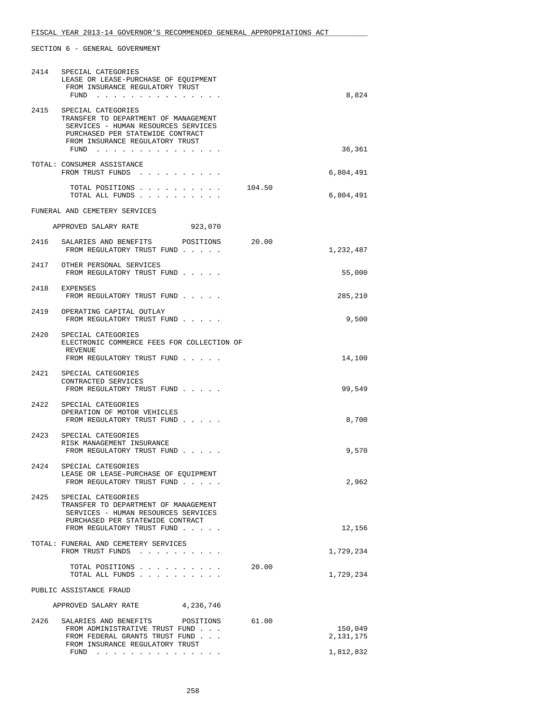|                                   | 2414 SPECIAL CATEGORIES<br>LEASE OR LEASE-PURCHASE OF EQUIPMENT<br>FROM INSURANCE REGULATORY TRUST<br>FUND $\cdots$                                                                   |        | 8,824                  |
|-----------------------------------|---------------------------------------------------------------------------------------------------------------------------------------------------------------------------------------|--------|------------------------|
|                                   | 2415 SPECIAL CATEGORIES<br>TRANSFER TO DEPARTMENT OF MANAGEMENT<br>SERVICES - HUMAN RESOURCES SERVICES<br>PURCHASED PER STATEWIDE CONTRACT<br>FROM INSURANCE REGULATORY TRUST<br>FUND |        | 36,361                 |
|                                   | TOTAL: CONSUMER ASSISTANCE<br>FROM TRUST FUNDS                                                                                                                                        |        | 6,804,491              |
|                                   | TOTAL POSITIONS<br>TOTAL ALL FUNDS                                                                                                                                                    | 104.50 | 6,804,491              |
|                                   | FUNERAL AND CEMETERY SERVICES                                                                                                                                                         |        |                        |
|                                   | APPROVED SALARY RATE<br>923,070                                                                                                                                                       |        |                        |
| 2416                              | SALARIES AND BENEFITS POSITIONS<br>FROM REGULATORY TRUST FUND                                                                                                                         | 20.00  | 1,232,487              |
|                                   | 2417 OTHER PERSONAL SERVICES<br>FROM REGULATORY TRUST FUND                                                                                                                            |        | 55,000                 |
|                                   | 2418 EXPENSES<br>FROM REGULATORY TRUST FUND                                                                                                                                           |        | 285,210                |
| 2419                              | OPERATING CAPITAL OUTLAY<br>FROM REGULATORY TRUST FUND                                                                                                                                |        | 9,500                  |
| 2420                              | SPECIAL CATEGORIES<br>ELECTRONIC COMMERCE FEES FOR COLLECTION OF<br>REVENUE<br>FROM REGULATORY TRUST FUND                                                                             |        | 14,100                 |
|                                   | 2421 SPECIAL CATEGORIES<br>CONTRACTED SERVICES<br>FROM REGULATORY TRUST FUND                                                                                                          |        | 99,549                 |
| 2422                              | SPECIAL CATEGORIES<br>OPERATION OF MOTOR VEHICLES<br>FROM REGULATORY TRUST FUND                                                                                                       |        | 8,700                  |
| 2423                              | SPECIAL CATEGORIES<br>RISK MANAGEMENT INSURANCE<br>FROM REGULATORY TRUST FUND                                                                                                         |        | 9,570                  |
|                                   | 2424 SPECIAL CATEGORIES<br>LEASE OR LEASE-PURCHASE OF EQUIPMENT<br>FROM REGULATORY TRUST FUND                                                                                         |        | 2,962                  |
| 2425                              | SPECIAL CATEGORIES<br>TRANSFER TO DEPARTMENT OF MANAGEMENT<br>SERVICES - HUMAN RESOURCES SERVICES<br>PURCHASED PER STATEWIDE CONTRACT<br>FROM REGULATORY TRUST FUND                   |        |                        |
|                                   | TOTAL: FUNERAL AND CEMETERY SERVICES                                                                                                                                                  |        | 12,156                 |
|                                   | FROM TRUST FUNDS<br>TOTAL POSITIONS<br>TOTAL ALL FUNDS                                                                                                                                | 20.00  | 1,729,234<br>1,729,234 |
|                                   | PUBLIC ASSISTANCE FRAUD                                                                                                                                                               |        |                        |
| APPROVED SALARY RATE<br>4,236,746 |                                                                                                                                                                                       |        |                        |
| 2426                              | SALARIES AND BENEFITS                                                                                                                                                                 | 61.00  |                        |
|                                   | POSITIONS<br>FROM ADMINISTRATIVE TRUST FUND<br>FROM FEDERAL GRANTS TRUST FUND<br>FROM INSURANCE REGULATORY TRUST                                                                      |        | 150,049<br>2,131,175   |
|                                   | FUND<br>. The second contract is a second contract of the $\mathcal{A}_\mathcal{A}$                                                                                                   |        | 1,812,832              |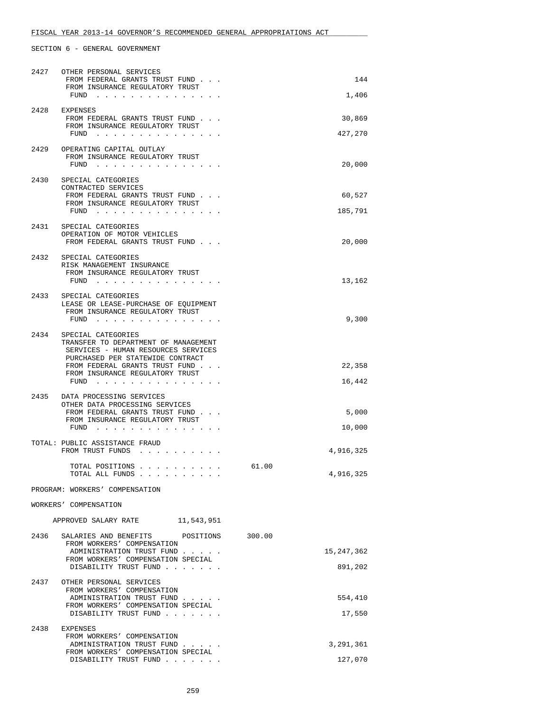| 2427 | OTHER PERSONAL SERVICES<br>FROM FEDERAL GRANTS TRUST FUND<br>FROM INSURANCE REGULATORY TRUST<br>FUND                                                                    | 144<br>1,406          |
|------|-------------------------------------------------------------------------------------------------------------------------------------------------------------------------|-----------------------|
| 2428 | EXPENSES                                                                                                                                                                |                       |
|      | FROM FEDERAL GRANTS TRUST FUND<br>FROM INSURANCE REGULATORY TRUST<br>FUND                                                                                               | 30,869<br>427,270     |
| 2429 | OPERATING CAPITAL OUTLAY<br>FROM INSURANCE REGULATORY TRUST<br>FUND                                                                                                     | 20,000                |
| 2430 | SPECIAL CATEGORIES                                                                                                                                                      |                       |
|      | CONTRACTED SERVICES<br>FROM FEDERAL GRANTS TRUST FUND                                                                                                                   | 60,527                |
|      | FROM INSURANCE REGULATORY TRUST<br>FUND $\cdots$                                                                                                                        | 185,791               |
| 2431 | SPECIAL CATEGORIES<br>OPERATION OF MOTOR VEHICLES<br>FROM FEDERAL GRANTS TRUST FUND                                                                                     | 20,000                |
| 2432 | SPECIAL CATEGORIES<br>RISK MANAGEMENT INSURANCE<br>FROM INSURANCE REGULATORY TRUST<br>$FUND$                                                                            | 13,162                |
| 2433 | SPECIAL CATEGORIES<br>LEASE OR LEASE-PURCHASE OF EQUIPMENT                                                                                                              |                       |
|      | FROM INSURANCE REGULATORY TRUST<br>FUND $\cdots$                                                                                                                        | 9,300                 |
| 2434 | SPECIAL CATEGORIES<br>TRANSFER TO DEPARTMENT OF MANAGEMENT<br>SERVICES - HUMAN RESOURCES SERVICES<br>PURCHASED PER STATEWIDE CONTRACT<br>FROM FEDERAL GRANTS TRUST FUND | 22,358                |
|      | FROM INSURANCE REGULATORY TRUST<br>FUND $\cdots$                                                                                                                        | 16,442                |
| 2435 | DATA PROCESSING SERVICES<br>OTHER DATA PROCESSING SERVICES                                                                                                              | 5,000                 |
|      | FROM FEDERAL GRANTS TRUST FUND<br>FROM INSURANCE REGULATORY TRUST<br>FUND $\cdots$                                                                                      | 10,000                |
|      | TOTAL: PUBLIC ASSISTANCE FRAUD<br>FROM TRUST FUNDS                                                                                                                      | 4,916,325             |
|      | TOTAL POSITIONS<br>TOTAL ALL FUNDS                                                                                                                                      | 61.00<br>4,916,325    |
|      | PROGRAM: WORKERS' COMPENSATION                                                                                                                                          |                       |
|      | WORKERS' COMPENSATION                                                                                                                                                   |                       |
|      | APPROVED SALARY RATE<br>11,543,951                                                                                                                                      |                       |
| 2436 | SALARIES AND BENEFITS<br>POSITIONS<br>FROM WORKERS' COMPENSATION                                                                                                        | 300.00                |
|      | ADMINISTRATION TRUST FUND<br>FROM WORKERS' COMPENSATION SPECIAL<br>DISABILITY TRUST FUND                                                                                | 15,247,362<br>891,202 |
| 2437 | OTHER PERSONAL SERVICES<br>FROM WORKERS' COMPENSATION                                                                                                                   |                       |
|      | ADMINISTRATION TRUST FUND<br>FROM WORKERS' COMPENSATION SPECIAL<br>DISABILITY TRUST FUND                                                                                | 554,410               |
| 2438 | EXPENSES                                                                                                                                                                | 17,550                |
|      | FROM WORKERS' COMPENSATION<br>ADMINISTRATION TRUST FUND                                                                                                                 | 3,291,361             |
|      | FROM WORKERS' COMPENSATION SPECIAL<br>DISABILITY TRUST FUND                                                                                                             | 127,070               |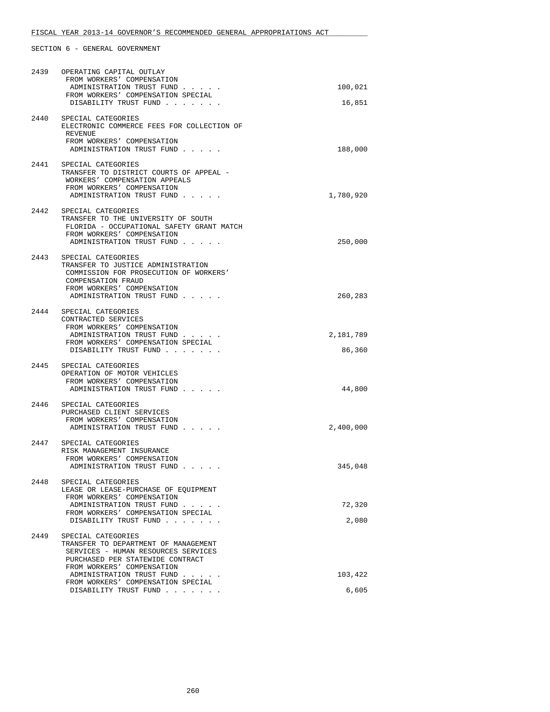| 2439 | OPERATING CAPITAL OUTLAY<br>FROM WORKERS' COMPENSATION<br>ADMINISTRATION TRUST FUND<br>FROM WORKERS' COMPENSATION SPECIAL                                                | 100,021             |
|------|--------------------------------------------------------------------------------------------------------------------------------------------------------------------------|---------------------|
|      | DISABILITY TRUST FUND                                                                                                                                                    | 16,851              |
| 2440 | SPECIAL CATEGORIES<br>ELECTRONIC COMMERCE FEES FOR COLLECTION OF<br>REVENUE<br>FROM WORKERS' COMPENSATION<br>ADMINISTRATION TRUST FUND                                   | 188,000             |
|      |                                                                                                                                                                          |                     |
|      | 2441 SPECIAL CATEGORIES<br>TRANSFER TO DISTRICT COURTS OF APPEAL -<br>WORKERS' COMPENSATION APPEALS<br>FROM WORKERS' COMPENSATION<br>ADMINISTRATION TRUST FUND           | 1,780,920           |
| 2442 | SPECIAL CATEGORIES                                                                                                                                                       |                     |
|      | TRANSFER TO THE UNIVERSITY OF SOUTH<br>FLORIDA - OCCUPATIONAL SAFETY GRANT MATCH<br>FROM WORKERS' COMPENSATION<br>ADMINISTRATION TRUST FUND                              | 250,000             |
|      |                                                                                                                                                                          |                     |
|      | 2443 SPECIAL CATEGORIES<br>TRANSFER TO JUSTICE ADMINISTRATION<br>COMMISSION FOR PROSECUTION OF WORKERS'<br>COMPENSATION FRAUD<br>FROM WORKERS' COMPENSATION              |                     |
|      | ADMINISTRATION TRUST FUND                                                                                                                                                | 260,283             |
|      | 2444 SPECIAL CATEGORIES<br>CONTRACTED SERVICES<br>FROM WORKERS' COMPENSATION<br>ADMINISTRATION TRUST FUND<br>FROM WORKERS' COMPENSATION SPECIAL<br>DISABILITY TRUST FUND | 2,181,789<br>86,360 |
|      |                                                                                                                                                                          |                     |
|      | 2445 SPECIAL CATEGORIES<br>OPERATION OF MOTOR VEHICLES<br>FROM WORKERS' COMPENSATION<br>ADMINISTRATION TRUST FUND                                                        | 44,800              |
|      | 2446 SPECIAL CATEGORIES<br>PURCHASED CLIENT SERVICES<br>FROM WORKERS' COMPENSATION<br>ADMINISTRATION TRUST FUND                                                          | 2,400,000           |
| 2447 | SPECIAL CATEGORIES<br>RISK MANAGEMENT INSURANCE<br>FROM WORKERS' COMPENSATION<br>ADMINISTRATION TRUST FUND.                                                              | 345,048             |
| 2448 | SPECIAL CATEGORIES<br>LEASE OR LEASE-PURCHASE OF EQUIPMENT<br>FROM WORKERS' COMPENSATION                                                                                 |                     |
|      | ADMINISTRATION TRUST FUND                                                                                                                                                | 72,320              |
|      | FROM WORKERS' COMPENSATION SPECIAL<br>DISABILITY TRUST FUND                                                                                                              | 2,080               |
|      |                                                                                                                                                                          |                     |
| 2449 | SPECIAL CATEGORIES<br>TRANSFER TO DEPARTMENT OF MANAGEMENT<br>SERVICES - HUMAN RESOURCES SERVICES<br>PURCHASED PER STATEWIDE CONTRACT<br>FROM WORKERS' COMPENSATION      |                     |
|      | ADMINISTRATION TRUST FUND                                                                                                                                                | 103,422             |
|      | FROM WORKERS' COMPENSATION SPECIAL<br>DISABILITY TRUST FUND                                                                                                              | 6,605               |
|      |                                                                                                                                                                          |                     |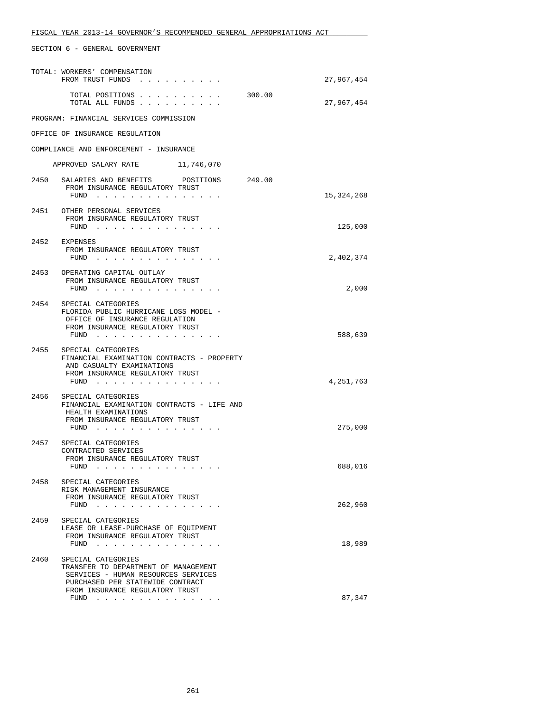|      | FISCAL YEAR 2013-14 GOVERNOR'S RECOMMENDED GENERAL APPROPRIATIONS ACT                                                                                  |            |
|------|--------------------------------------------------------------------------------------------------------------------------------------------------------|------------|
|      | SECTION 6 - GENERAL GOVERNMENT                                                                                                                         |            |
|      | TOTAL: WORKERS' COMPENSATION<br>FROM TRUST FUNDS                                                                                                       | 27,967,454 |
|      | TOTAL POSITIONS<br>300.00<br>TOTAL ALL FUNDS                                                                                                           | 27,967,454 |
|      | PROGRAM: FINANCIAL SERVICES COMMISSION                                                                                                                 |            |
|      | OFFICE OF INSURANCE REGULATION                                                                                                                         |            |
|      | COMPLIANCE AND ENFORCEMENT - INSURANCE                                                                                                                 |            |
|      | APPROVED SALARY RATE 11,746,070                                                                                                                        |            |
|      | 2450 SALARIES AND BENEFITS POSITIONS 249.00                                                                                                            |            |
|      | FROM INSURANCE REGULATORY TRUST<br>FUND                                                                                                                | 15,324,268 |
|      | 2451 OTHER PERSONAL SERVICES                                                                                                                           |            |
|      | FROM INSURANCE REGULATORY TRUST<br>FUND $\cdots$                                                                                                       | 125,000    |
|      | 2452 EXPENSES                                                                                                                                          |            |
|      | FROM INSURANCE REGULATORY TRUST<br>FUND $\cdots$                                                                                                       | 2,402,374  |
|      | 2453 OPERATING CAPITAL OUTLAY<br>FROM INSURANCE REGULATORY TRUST<br>FUND $\cdots$                                                                      | 2,000      |
| 2454 | SPECIAL CATEGORIES<br>FLORIDA PUBLIC HURRICANE LOSS MODEL -<br>OFFICE OF INSURANCE REGULATION<br>FROM INSURANCE REGULATORY TRUST<br>FUND $\cdots$      | 588,639    |
|      | 2455 SPECIAL CATEGORIES<br>FINANCIAL EXAMINATION CONTRACTS - PROPERTY<br>AND CASUALTY EXAMINATIONS<br>FROM INSURANCE REGULATORY TRUST<br>FUND $\cdots$ | 4,251,763  |
| 2456 | SPECIAL CATEGORIES<br>FINANCIAL EXAMINATION CONTRACTS - LIFE AND<br>HEALTH EXAMINATIONS<br>FROM INSURANCE REGULATORY TRUST                             |            |
|      | FUND .                                                                                                                                                 | 275,000    |
|      | 2457 SPECIAL CATEGORIES<br>CONTRACTED SERVICES<br>FROM INSURANCE REGULATORY TRUST<br>FUND $\cdots$                                                     | 688,016    |
| 2458 | SPECIAL CATEGORIES<br>RISK MANAGEMENT INSURANCE<br>FROM INSURANCE REGULATORY TRUST<br>FUND                                                             | 262,960    |
| 2459 | SPECIAL CATEGORIES<br>LEASE OR LEASE-PURCHASE OF EQUIPMENT<br>FROM INSURANCE REGULATORY TRUST<br>FUND                                                  | 18,989     |
|      |                                                                                                                                                        |            |

| 2460 | SPECIAL CATEGORIES<br>TRANSFER TO DEPARTMENT OF MANAGEMENT              |        |
|------|-------------------------------------------------------------------------|--------|
|      | SERVICES - HUMAN RESOURCES SERVICES<br>PURCHASED PER STATEWIDE CONTRACT |        |
|      | FROM INSURANCE REGULATORY TRUST<br>FUND                                 | 87.347 |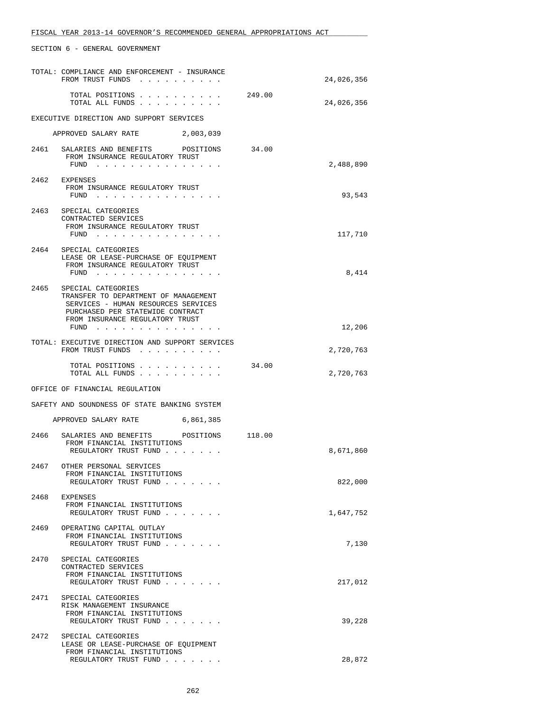|      | SECTION 6 - GENERAL GOVERNMENT                                                                                                                                                   |        |            |
|------|----------------------------------------------------------------------------------------------------------------------------------------------------------------------------------|--------|------------|
|      | TOTAL: COMPLIANCE AND ENFORCEMENT - INSURANCE<br>FROM TRUST FUNDS                                                                                                                |        | 24,026,356 |
|      | TOTAL POSITIONS<br>TOTAL ALL FUNDS                                                                                                                                               | 249.00 | 24,026,356 |
|      | EXECUTIVE DIRECTION AND SUPPORT SERVICES                                                                                                                                         |        |            |
|      | APPROVED SALARY RATE 2,003,039                                                                                                                                                   |        |            |
|      | 2461 SALARIES AND BENEFITS POSITIONS 34.00<br>FROM INSURANCE REGULATORY TRUST<br>FUND $\cdots$                                                                                   |        | 2,488,890  |
|      | 2462 EXPENSES<br>FROM INSURANCE REGULATORY TRUST<br>FUND $\cdots$                                                                                                                |        | 93,543     |
|      | 2463 SPECIAL CATEGORIES<br>CONTRACTED SERVICES<br>FROM INSURANCE REGULATORY TRUST<br>FUND                                                                                        |        | 117,710    |
|      | 2464 SPECIAL CATEGORIES<br>LEASE OR LEASE-PURCHASE OF EQUIPMENT<br>FROM INSURANCE REGULATORY TRUST<br>FUND $\cdots$                                                              |        | 8,414      |
| 2465 | SPECIAL CATEGORIES<br>TRANSFER TO DEPARTMENT OF MANAGEMENT<br>SERVICES - HUMAN RESOURCES SERVICES<br>PURCHASED PER STATEWIDE CONTRACT<br>FROM INSURANCE REGULATORY TRUST<br>FUND |        | 12,206     |
|      |                                                                                                                                                                                  |        |            |
|      | TOTAL: EXECUTIVE DIRECTION AND SUPPORT SERVICES<br>FROM TRUST FUNDS                                                                                                              |        | 2,720,763  |
|      | TOTAL POSITIONS<br>TOTAL ALL FUNDS                                                                                                                                               | 34.00  | 2,720,763  |
|      | OFFICE OF FINANCIAL REGULATION                                                                                                                                                   |        |            |
|      | SAFETY AND SOUNDNESS OF STATE BANKING SYSTEM                                                                                                                                     |        |            |
|      | APPROVED SALARY RATE 6,861,385                                                                                                                                                   |        |            |
|      | 2466 SALARIES AND BENEFITS<br>POSITIONS 118.00<br>FROM FINANCIAL INSTITUTIONS<br>REGULATORY TRUST FUND                                                                           |        | 8,671,860  |
| 2467 | OTHER PERSONAL SERVICES<br>FROM FINANCIAL INSTITUTIONS<br>REGULATORY TRUST FUND                                                                                                  |        | 822,000    |
| 2468 | EXPENSES<br>FROM FINANCIAL INSTITUTIONS<br>REGULATORY TRUST FUND                                                                                                                 |        | 1,647,752  |
| 2469 | OPERATING CAPITAL OUTLAY<br>FROM FINANCIAL INSTITUTIONS<br>REGULATORY TRUST FUND                                                                                                 |        | 7,130      |
| 2470 | SPECIAL CATEGORIES<br>CONTRACTED SERVICES<br>FROM FINANCIAL INSTITUTIONS<br>REGULATORY TRUST FUND                                                                                |        | 217,012    |
| 2471 | SPECIAL CATEGORIES<br>RISK MANAGEMENT INSURANCE<br>FROM FINANCIAL INSTITUTIONS<br>REGULATORY TRUST FUND                                                                          |        | 39,228     |
| 2472 | SPECIAL CATEGORIES<br>LEASE OR LEASE-PURCHASE OF EQUIPMENT<br>FROM FINANCIAL INSTITUTIONS                                                                                        |        |            |
|      | REGULATORY TRUST FUND                                                                                                                                                            |        | 28,872     |

FISCAL YEAR 2013-14 GOVERNOR'S RECOMMENDED GENERAL APPROPRIATIONS ACT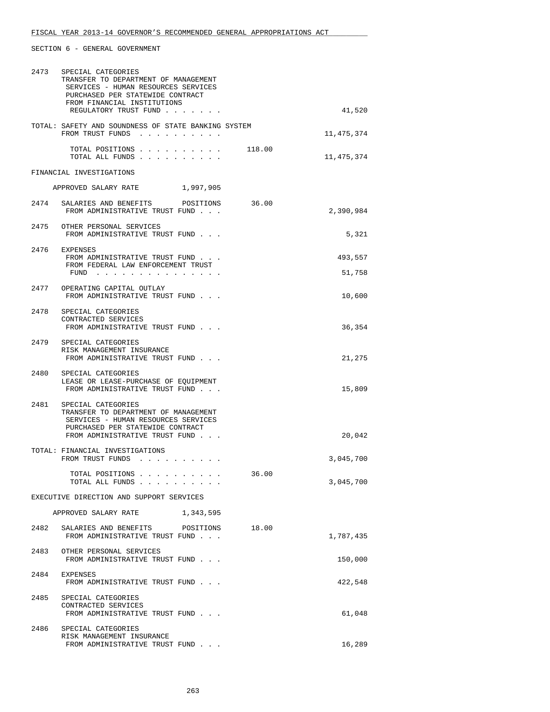| 2473 | SPECIAL CATEGORIES<br>TRANSFER TO DEPARTMENT OF MANAGEMENT<br>SERVICES - HUMAN RESOURCES SERVICES<br>PURCHASED PER STATEWIDE CONTRACT<br>FROM FINANCIAL INSTITUTIONS<br>REGULATORY TRUST FUND | 41,520               |
|------|-----------------------------------------------------------------------------------------------------------------------------------------------------------------------------------------------|----------------------|
|      | TOTAL: SAFETY AND SOUNDNESS OF STATE BANKING SYSTEM<br>FROM TRUST FUNDS                                                                                                                       | 11,475,374           |
|      | TOTAL POSITIONS<br>TOTAL ALL FUNDS                                                                                                                                                            | 118.00<br>11,475,374 |
|      | FINANCIAL INVESTIGATIONS                                                                                                                                                                      |                      |
|      | APPROVED SALARY RATE 1,997,905                                                                                                                                                                |                      |
|      | 2474 SALARIES AND BENEFITS POSITIONS<br>FROM ADMINISTRATIVE TRUST FUND                                                                                                                        | 36.00<br>2,390,984   |
|      | 2475 OTHER PERSONAL SERVICES<br>FROM ADMINISTRATIVE TRUST FUND                                                                                                                                | 5,321                |
|      | 2476 EXPENSES<br>FROM ADMINISTRATIVE TRUST FUND                                                                                                                                               | 493,557              |
|      | FROM FEDERAL LAW ENFORCEMENT TRUST<br>FUND                                                                                                                                                    | 51,758               |
|      | 2477 OPERATING CAPITAL OUTLAY<br>FROM ADMINISTRATIVE TRUST FUND                                                                                                                               | 10,600               |
|      | 2478 SPECIAL CATEGORIES<br>CONTRACTED SERVICES<br>FROM ADMINISTRATIVE TRUST FUND                                                                                                              | 36,354               |
|      | 2479 SPECIAL CATEGORIES<br>RISK MANAGEMENT INSURANCE                                                                                                                                          |                      |
|      | FROM ADMINISTRATIVE TRUST FUND                                                                                                                                                                | 21,275               |
|      | 2480 SPECIAL CATEGORIES<br>LEASE OR LEASE-PURCHASE OF EQUIPMENT<br>FROM ADMINISTRATIVE TRUST FUND                                                                                             | 15,809               |
| 2481 | SPECIAL CATEGORIES<br>TRANSFER TO DEPARTMENT OF MANAGEMENT<br>SERVICES - HUMAN RESOURCES SERVICES<br>PURCHASED PER STATEWIDE CONTRACT<br>FROM ADMINISTRATIVE TRUST FUND                       | 20,042               |
|      | TOTAL: FINANCIAL INVESTIGATIONS<br>FROM TRUST FUNDS                                                                                                                                           | 3,045,700            |
|      | TOTAL POSITIONS<br>TOTAL ALL FUNDS                                                                                                                                                            | 36.00<br>3,045,700   |
|      | EXECUTIVE DIRECTION AND SUPPORT SERVICES                                                                                                                                                      |                      |
|      | APPROVED SALARY RATE<br>1,343,595                                                                                                                                                             |                      |
| 2482 | SALARIES AND BENEFITS<br>POSITIONS<br>FROM ADMINISTRATIVE TRUST FUND                                                                                                                          | 18.00<br>1,787,435   |
| 2483 | OTHER PERSONAL SERVICES<br>FROM ADMINISTRATIVE TRUST FUND                                                                                                                                     | 150,000              |
|      | 2484 EXPENSES<br>FROM ADMINISTRATIVE TRUST FUND                                                                                                                                               | 422,548              |
| 2485 | SPECIAL CATEGORIES<br>CONTRACTED SERVICES<br>FROM ADMINISTRATIVE TRUST FUND                                                                                                                   | 61,048               |
| 2486 | SPECIAL CATEGORIES<br>RISK MANAGEMENT INSURANCE<br>FROM ADMINISTRATIVE TRUST FUND                                                                                                             | 16,289               |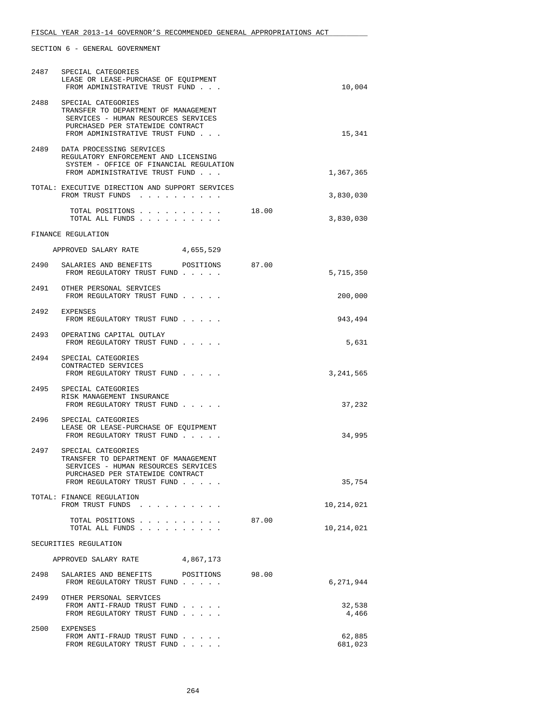|      | 2487 SPECIAL CATEGORIES<br>LEASE OR LEASE-PURCHASE OF EOUIPMENT<br>FROM ADMINISTRATIVE TRUST FUND                                                                       |       | 10,004            |
|------|-------------------------------------------------------------------------------------------------------------------------------------------------------------------------|-------|-------------------|
| 2488 | SPECIAL CATEGORIES<br>TRANSFER TO DEPARTMENT OF MANAGEMENT<br>SERVICES - HUMAN RESOURCES SERVICES<br>PURCHASED PER STATEWIDE CONTRACT<br>FROM ADMINISTRATIVE TRUST FUND |       | 15,341            |
|      | 2489 DATA PROCESSING SERVICES<br>REGULATORY ENFORCEMENT AND LICENSING<br>SYSTEM - OFFICE OF FINANCIAL REGULATION<br>FROM ADMINISTRATIVE TRUST FUND                      |       | 1,367,365         |
|      | TOTAL: EXECUTIVE DIRECTION AND SUPPORT SERVICES<br>FROM TRUST FUNDS                                                                                                     |       | 3,830,030         |
|      | TOTAL POSITIONS 18.00<br>TOTAL ALL FUNDS                                                                                                                                |       | 3,830,030         |
|      | FINANCE REGULATION                                                                                                                                                      |       |                   |
|      | APPROVED SALARY RATE 4,655,529                                                                                                                                          |       |                   |
|      | 2490 SALARIES AND BENEFITS POSITIONS<br>FROM REGULATORY TRUST FUND                                                                                                      | 87.00 | 5,715,350         |
|      | 2491 OTHER PERSONAL SERVICES<br>FROM REGULATORY TRUST FUND                                                                                                              |       | 200,000           |
|      | 2492 EXPENSES<br>FROM REGULATORY TRUST FUND                                                                                                                             |       | 943,494           |
|      | 2493 OPERATING CAPITAL OUTLAY<br>FROM REGULATORY TRUST FUND                                                                                                             |       | 5,631             |
|      | 2494 SPECIAL CATEGORIES<br>CONTRACTED SERVICES<br>FROM REGULATORY TRUST FUND                                                                                            |       | 3,241,565         |
|      | 2495 SPECIAL CATEGORIES<br>RISK MANAGEMENT INSURANCE<br>FROM REGULATORY TRUST FUND                                                                                      |       | 37,232            |
| 2496 | SPECIAL CATEGORIES<br>LEASE OR LEASE-PURCHASE OF EOUIPMENT<br>FROM REGULATORY TRUST FUND                                                                                |       | 34,995            |
| 2497 | SPECIAL CATEGORIES<br>TRANSFER TO DEPARTMENT OF MANAGEMENT<br>SERVICES - HUMAN RESOURCES SERVICES<br>PURCHASED PER STATEWIDE CONTRACT<br>FROM REGULATORY TRUST FUND     |       | 35,754            |
|      | TOTAL: FINANCE REGULATION<br>FROM TRUST FUNDS                                                                                                                           |       | 10,214,021        |
|      | TOTAL POSITIONS<br>TOTAL ALL FUNDS                                                                                                                                      | 87.00 | 10,214,021        |
|      | SECURITIES REGULATION                                                                                                                                                   |       |                   |
|      | APPROVED SALARY RATE<br>4,867,173                                                                                                                                       |       |                   |
| 2498 | SALARIES AND BENEFITS POSITIONS                                                                                                                                         | 98.00 |                   |
|      | FROM REGULATORY TRUST FUND                                                                                                                                              |       | 6,271,944         |
|      | 2499 OTHER PERSONAL SERVICES<br>FROM ANTI-FRAUD TRUST FUND<br>FROM REGULATORY TRUST FUND                                                                                |       | 32,538<br>4,466   |
| 2500 | EXPENSES<br>FROM ANTI-FRAUD TRUST FUND<br>FROM REGULATORY TRUST FUND                                                                                                    |       | 62,885<br>681,023 |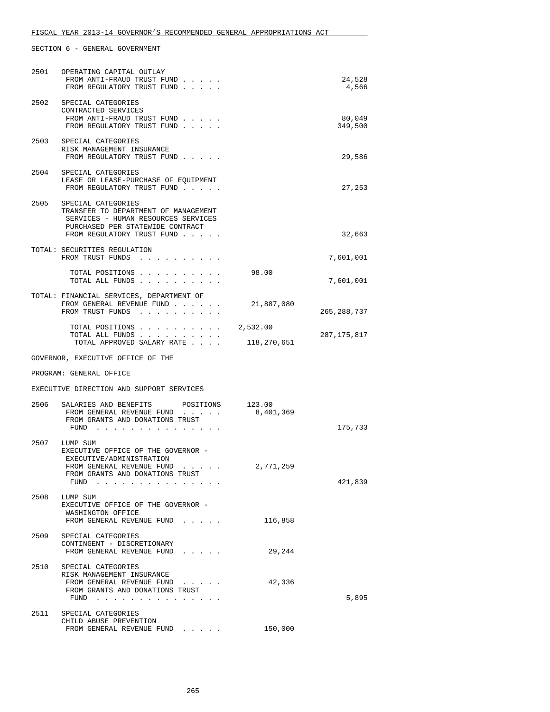| 2501 | OPERATING CAPITAL OUTLAY<br>FROM ANTI-FRAUD TRUST FUND<br>FROM REGULATORY TRUST FUND                                                                                |                     | 24,528<br>4,566   |
|------|---------------------------------------------------------------------------------------------------------------------------------------------------------------------|---------------------|-------------------|
| 2502 | SPECIAL CATEGORIES<br>CONTRACTED SERVICES<br>FROM ANTI-FRAUD TRUST FUND<br>FROM REGULATORY TRUST FUND                                                               |                     | 80,049<br>349,500 |
|      | 2503 SPECIAL CATEGORIES<br>RISK MANAGEMENT INSURANCE<br>FROM REGULATORY TRUST FUND                                                                                  |                     | 29,586            |
| 2504 | SPECIAL CATEGORIES<br>LEASE OR LEASE-PURCHASE OF EQUIPMENT<br>FROM REGULATORY TRUST FUND                                                                            |                     | 27,253            |
| 2505 | SPECIAL CATEGORIES<br>TRANSFER TO DEPARTMENT OF MANAGEMENT<br>SERVICES - HUMAN RESOURCES SERVICES<br>PURCHASED PER STATEWIDE CONTRACT<br>FROM REGULATORY TRUST FUND |                     | 32,663            |
|      | TOTAL: SECURITIES REGULATION<br>FROM TRUST FUNDS                                                                                                                    |                     | 7,601,001         |
|      | TOTAL POSITIONS<br>TOTAL ALL FUNDS                                                                                                                                  | 98.00               | 7,601,001         |
|      | TOTAL: FINANCIAL SERVICES, DEPARTMENT OF<br>FROM GENERAL REVENUE FUND<br>FROM TRUST FUNDS                                                                           | 21,887,080          | 265, 288, 737     |
|      | TOTAL POSITIONS<br>TOTAL ALL FUNDS                                                                                                                                  | 2,532.00            | 287, 175, 817     |
|      | TOTAL APPROVED SALARY RATE                                                                                                                                          | 118,270,651         |                   |
|      |                                                                                                                                                                     |                     |                   |
|      | GOVERNOR, EXECUTIVE OFFICE OF THE                                                                                                                                   |                     |                   |
|      | PROGRAM: GENERAL OFFICE                                                                                                                                             |                     |                   |
|      | EXECUTIVE DIRECTION AND SUPPORT SERVICES                                                                                                                            |                     |                   |
| 2506 | SALARIES AND BENEFITS<br>POSITIONS<br>FROM GENERAL REVENUE FUND<br>FROM GRANTS AND DONATIONS TRUST<br>FUND $\cdots$ $\cdots$ $\cdots$ $\cdots$                      | 123.00<br>8,401,369 | 175,733           |
| 2507 | LUMP SUM<br>EXECUTIVE OFFICE OF THE GOVERNOR -<br>EXECUTIVE/ADMINISTRATION<br>FROM GENERAL REVENUE FUND<br>FROM GRANTS AND DONATIONS TRUST<br>FUND                  | 2,771,259           | 421,839           |
| 2508 | LUMP SUM<br>EXECUTIVE OFFICE OF THE GOVERNOR -<br>WASHINGTON OFFICE<br>FROM GENERAL REVENUE FUND                                                                    | 116,858             |                   |
|      | 2509 SPECIAL CATEGORIES<br>CONTINGENT - DISCRETIONARY<br>FROM GENERAL REVENUE FUND                                                                                  | 29,244              |                   |
|      | 2510 SPECIAL CATEGORIES<br>RISK MANAGEMENT INSURANCE<br>FROM GENERAL REVENUE FUND<br>FROM GRANTS AND DONATIONS TRUST<br>FUND                                        | 42,336              | 5,895             |
| 2511 | SPECIAL CATEGORIES<br>CHILD ABUSE PREVENTION<br>FROM GENERAL REVENUE FUND                                                                                           | 150,000             |                   |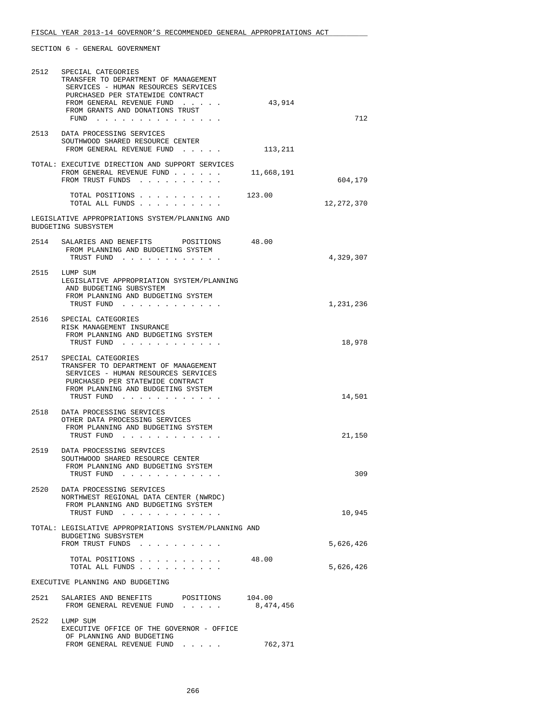| 2512 | SPECIAL CATEGORIES<br>TRANSFER TO DEPARTMENT OF MANAGEMENT<br>SERVICES - HUMAN RESOURCES SERVICES<br>PURCHASED PER STATEWIDE CONTRACT<br>FROM GENERAL REVENUE FUND<br>FROM GRANTS AND DONATIONS TRUST<br>FUND $\cdots$ | 43,914              | 712        |
|------|------------------------------------------------------------------------------------------------------------------------------------------------------------------------------------------------------------------------|---------------------|------------|
|      | 2513 DATA PROCESSING SERVICES<br>SOUTHWOOD SHARED RESOURCE CENTER<br>FROM GENERAL REVENUE FUND                                                                                                                         | 113,211             |            |
|      | TOTAL: EXECUTIVE DIRECTION AND SUPPORT SERVICES<br>FROM GENERAL REVENUE FUND<br>FROM TRUST FUNDS                                                                                                                       | 11,668,191          | 604,179    |
|      | TOTAL POSITIONS 123.00<br>TOTAL ALL FUNDS                                                                                                                                                                              |                     | 12,272,370 |
|      | LEGISLATIVE APPROPRIATIONS SYSTEM/PLANNING AND<br>BUDGETING SUBSYSTEM                                                                                                                                                  |                     |            |
|      | 2514 SALARIES AND BENEFITS POSITIONS<br>FROM PLANNING AND BUDGETING SYSTEM<br>TRUST FUND                                                                                                                               | 48.00               | 4,329,307  |
|      | 2515 LUMP SUM<br>LEGISLATIVE APPROPRIATION SYSTEM/PLANNING<br>AND BUDGETING SUBSYSTEM<br>FROM PLANNING AND BUDGETING SYSTEM<br>TRUST FUND                                                                              |                     | 1,231,236  |
| 2516 | SPECIAL CATEGORIES<br>RISK MANAGEMENT INSURANCE<br>FROM PLANNING AND BUDGETING SYSTEM<br>TRUST FUND                                                                                                                    |                     | 18,978     |
| 2517 | SPECIAL CATEGORIES<br>TRANSFER TO DEPARTMENT OF MANAGEMENT<br>SERVICES - HUMAN RESOURCES SERVICES<br>PURCHASED PER STATEWIDE CONTRACT<br>FROM PLANNING AND BUDGETING SYSTEM<br>TRUST FUND                              |                     | 14,501     |
| 2518 | DATA PROCESSING SERVICES<br>OTHER DATA PROCESSING SERVICES<br>FROM PLANNING AND BUDGETING SYSTEM<br>TRUST FUND                                                                                                         |                     | 21,150     |
| 2519 | DATA PROCESSING SERVICES<br>SOUTHWOOD SHARED RESOURCE CENTER<br>FROM PLANNING AND BUDGETING SYSTEM<br>TRUST FUND                                                                                                       |                     | 309        |
| 2520 | DATA PROCESSING SERVICES<br>NORTHWEST REGIONAL DATA CENTER (NWRDC)<br>FROM PLANNING AND BUDGETING SYSTEM<br>TRUST FUND                                                                                                 |                     | 10,945     |
|      | TOTAL: LEGISLATIVE APPROPRIATIONS SYSTEM/PLANNING AND<br>BUDGETING SUBSYSTEM<br>FROM TRUST FUNDS                                                                                                                       |                     | 5,626,426  |
|      | TOTAL POSITIONS<br>TOTAL ALL FUNDS                                                                                                                                                                                     | 48.00               | 5,626,426  |
|      | EXECUTIVE PLANNING AND BUDGETING                                                                                                                                                                                       |                     |            |
| 2521 | SALARIES AND BENEFITS<br>POSITIONS<br>FROM GENERAL REVENUE FUND                                                                                                                                                        | 104.00<br>8,474,456 |            |
| 2522 | LUMP SUM<br>EXECUTIVE OFFICE OF THE GOVERNOR - OFFICE<br>OF PLANNING AND BUDGETING<br>FROM GENERAL REVENUE FUND<br>$\cdot$ $\cdot$ $\cdot$ $\cdot$ $\cdot$                                                             | 762,371             |            |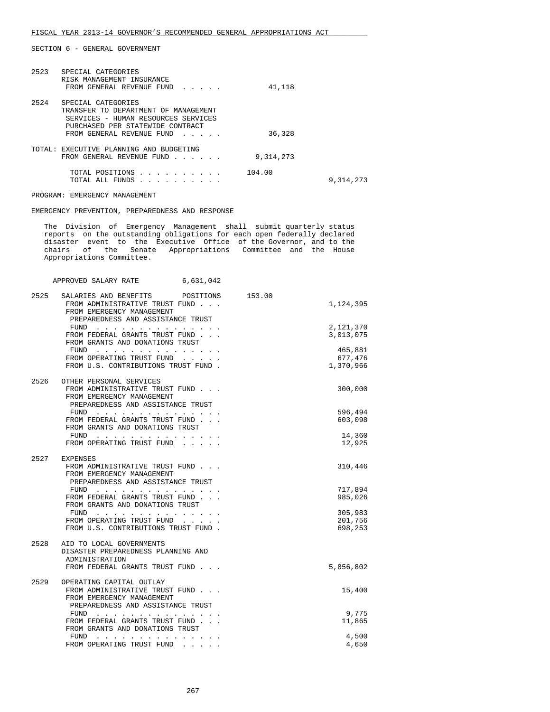| 2523 | SPECIAL CATEGORIES<br>RISK MANAGEMENT INSURANCE<br>FROM GENERAL REVENUE FUND                                                                                       | 41,118      |             |
|------|--------------------------------------------------------------------------------------------------------------------------------------------------------------------|-------------|-------------|
| 2524 | SPECIAL CATEGORIES<br>TRANSFER TO DEPARTMENT OF MANAGEMENT<br>SERVICES - HUMAN RESOURCES SERVICES<br>PURCHASED PER STATEWIDE CONTRACT<br>FROM GENERAL REVENUE FUND | 36,328      |             |
|      | TOTAL: EXECUTIVE PLANNING AND BUDGETING<br>FROM GENERAL REVENUE FUND                                                                                               | 9, 314, 273 |             |
|      | TOTAL POSITIONS<br>TOTAL ALL FUNDS                                                                                                                                 | 104.00      | 9, 314, 273 |

PROGRAM: EMERGENCY MANAGEMENT

EMERGENCY PREVENTION, PREPAREDNESS AND RESPONSE

 The Division of Emergency Management shall submit quarterly status reports on the outstanding obligations for each open federally declared disaster event to the Executive Office of the Governor, and to the chairs of the Senate Appropriations Committee and the House Appropriations Committee.

APPROVED SALARY RATE 6,631,042

| 2525 | SALARIES AND BENEFITS<br>POSITIONS<br>FROM ADMINISTRATIVE TRUST FUND<br>FROM EMERGENCY MANAGEMENT<br>PREPAREDNESS AND ASSISTANCE TRUST                                                                                                                                                                                                                                                                                                                                                                                                                            | 153.00 | 1,124,395                       |
|------|-------------------------------------------------------------------------------------------------------------------------------------------------------------------------------------------------------------------------------------------------------------------------------------------------------------------------------------------------------------------------------------------------------------------------------------------------------------------------------------------------------------------------------------------------------------------|--------|---------------------------------|
|      | FUND<br>FROM FEDERAL GRANTS TRUST FUND<br>FROM GRANTS AND DONATIONS TRUST                                                                                                                                                                                                                                                                                                                                                                                                                                                                                         |        | 2,121,370<br>3,013,075          |
|      | FUND<br>$\mathbf{1} \quad \mathbf{1} \quad \mathbf{1} \quad \mathbf{1} \quad \mathbf{1} \quad \mathbf{1} \quad \mathbf{1} \quad \mathbf{1} \quad \mathbf{1} \quad \mathbf{1} \quad \mathbf{1} \quad \mathbf{1} \quad \mathbf{1} \quad \mathbf{1} \quad \mathbf{1} \quad \mathbf{1} \quad \mathbf{1} \quad \mathbf{1} \quad \mathbf{1} \quad \mathbf{1} \quad \mathbf{1} \quad \mathbf{1} \quad \mathbf{1} \quad \mathbf{1} \quad \mathbf{1} \quad \mathbf{1} \quad \mathbf{1} \quad \mathbf{$<br>FROM OPERATING TRUST FUND<br>FROM U.S. CONTRIBUTIONS TRUST FUND. |        | 465,881<br>677,476<br>1,370,966 |
| 2526 | OTHER PERSONAL SERVICES<br>FROM ADMINISTRATIVE TRUST FUND<br>FROM EMERGENCY MANAGEMENT<br>PREPAREDNESS AND ASSISTANCE TRUST                                                                                                                                                                                                                                                                                                                                                                                                                                       |        | 300,000                         |
|      | FUND<br>the contract of the contract of the contract of                                                                                                                                                                                                                                                                                                                                                                                                                                                                                                           |        | 596,494                         |
|      | FROM FEDERAL GRANTS TRUST FUND                                                                                                                                                                                                                                                                                                                                                                                                                                                                                                                                    |        | 603,098                         |
|      | FROM GRANTS AND DONATIONS TRUST                                                                                                                                                                                                                                                                                                                                                                                                                                                                                                                                   |        |                                 |
|      | FUND<br>.                                                                                                                                                                                                                                                                                                                                                                                                                                                                                                                                                         |        | 14,360                          |
|      | FROM OPERATING TRUST FUND                                                                                                                                                                                                                                                                                                                                                                                                                                                                                                                                         |        | 12,925                          |
|      |                                                                                                                                                                                                                                                                                                                                                                                                                                                                                                                                                                   |        |                                 |
| 2527 | <b>EXPENSES</b>                                                                                                                                                                                                                                                                                                                                                                                                                                                                                                                                                   |        |                                 |
|      | FROM ADMINISTRATIVE TRUST FUND<br>FROM EMERGENCY MANAGEMENT<br>PREPAREDNESS AND ASSISTANCE TRUST                                                                                                                                                                                                                                                                                                                                                                                                                                                                  |        | 310,446                         |
|      | FUND $\cdots$                                                                                                                                                                                                                                                                                                                                                                                                                                                                                                                                                     |        | 717,894                         |
|      | FROM FEDERAL GRANTS TRUST FUND                                                                                                                                                                                                                                                                                                                                                                                                                                                                                                                                    |        | 985,026                         |
|      | FROM GRANTS AND DONATIONS TRUST                                                                                                                                                                                                                                                                                                                                                                                                                                                                                                                                   |        |                                 |
|      | FUND<br>the contract of the contract of the contract of the contract of the contract of the contract of the contract of                                                                                                                                                                                                                                                                                                                                                                                                                                           |        | 305,983                         |
|      | FROM OPERATING TRUST FUND                                                                                                                                                                                                                                                                                                                                                                                                                                                                                                                                         |        | 201,756                         |
|      | FROM U.S. CONTRIBUTIONS TRUST FUND.                                                                                                                                                                                                                                                                                                                                                                                                                                                                                                                               |        | 698,253                         |
|      |                                                                                                                                                                                                                                                                                                                                                                                                                                                                                                                                                                   |        |                                 |
| 2528 | AID TO LOCAL GOVERNMENTS<br>DISASTER PREPAREDNESS PLANNING AND<br>ADMINISTRATION                                                                                                                                                                                                                                                                                                                                                                                                                                                                                  |        |                                 |
|      | FROM FEDERAL GRANTS TRUST FUND.                                                                                                                                                                                                                                                                                                                                                                                                                                                                                                                                   |        | 5,856,802                       |
|      |                                                                                                                                                                                                                                                                                                                                                                                                                                                                                                                                                                   |        |                                 |
| 2529 | OPERATING CAPITAL OUTLAY                                                                                                                                                                                                                                                                                                                                                                                                                                                                                                                                          |        |                                 |
|      | FROM ADMINISTRATIVE TRUST FUND                                                                                                                                                                                                                                                                                                                                                                                                                                                                                                                                    |        | 15,400                          |
|      | FROM EMERGENCY MANAGEMENT                                                                                                                                                                                                                                                                                                                                                                                                                                                                                                                                         |        |                                 |
|      | PREPAREDNESS AND ASSISTANCE TRUST                                                                                                                                                                                                                                                                                                                                                                                                                                                                                                                                 |        |                                 |
|      | $FUND$                                                                                                                                                                                                                                                                                                                                                                                                                                                                                                                                                            |        | 9,775                           |
|      | FROM FEDERAL GRANTS TRUST FUND                                                                                                                                                                                                                                                                                                                                                                                                                                                                                                                                    |        | 11,865                          |
|      | FROM GRANTS AND DONATIONS TRUST                                                                                                                                                                                                                                                                                                                                                                                                                                                                                                                                   |        |                                 |
|      | FUND<br>.                                                                                                                                                                                                                                                                                                                                                                                                                                                                                                                                                         |        | 4,500                           |
|      | FROM OPERATING TRUST FUND                                                                                                                                                                                                                                                                                                                                                                                                                                                                                                                                         |        | 4,650                           |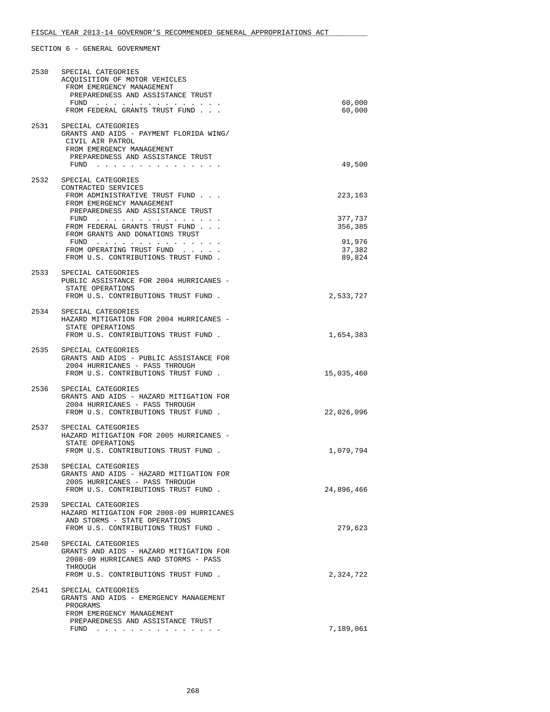| 2530 | SPECIAL CATEGORIES<br>ACQUISITION OF MOTOR VEHICLES<br>FROM EMERGENCY MANAGEMENT<br>PREPAREDNESS AND ASSISTANCE TRUST<br>$FUND$<br>FROM FEDERAL GRANTS TRUST FUND    | 60,000<br>60,000                                 |
|------|----------------------------------------------------------------------------------------------------------------------------------------------------------------------|--------------------------------------------------|
| 2531 | SPECIAL CATEGORIES<br>GRANTS AND AIDS - PAYMENT FLORIDA WING/<br>CIVIL AIR PATROL<br>FROM EMERGENCY MANAGEMENT<br>PREPAREDNESS AND ASSISTANCE TRUST<br>FUND $\cdots$ | 49,500                                           |
| 2532 | SPECIAL CATEGORIES<br>CONTRACTED SERVICES<br>FROM ADMINISTRATIVE TRUST FUND<br>FROM EMERGENCY MANAGEMENT<br>PREPAREDNESS AND ASSISTANCE TRUST                        | 223,163                                          |
|      | $FUND$<br>FROM FEDERAL GRANTS TRUST FUND<br>FROM GRANTS AND DONATIONS TRUST<br>FROM OPERATING TRUST FUND<br>FROM U.S. CONTRIBUTIONS TRUST FUND.                      | 377,737<br>356,385<br>91,976<br>37,382<br>89,824 |
| 2533 | SPECIAL CATEGORIES<br>PUBLIC ASSISTANCE FOR 2004 HURRICANES -<br>STATE OPERATIONS<br>FROM U.S. CONTRIBUTIONS TRUST FUND.                                             | 2,533,727                                        |
|      | 2534 SPECIAL CATEGORIES<br>HAZARD MITIGATION FOR 2004 HURRICANES -<br>STATE OPERATIONS<br>FROM U.S. CONTRIBUTIONS TRUST FUND.                                        | 1,654,383                                        |
| 2535 | SPECIAL CATEGORIES<br>GRANTS AND AIDS - PUBLIC ASSISTANCE FOR<br>2004 HURRICANES - PASS THROUGH<br>FROM U.S. CONTRIBUTIONS TRUST FUND.                               | 15,035,460                                       |
| 2536 | SPECIAL CATEGORIES<br>GRANTS AND AIDS - HAZARD MITIGATION FOR<br>2004 HURRICANES - PASS THROUGH<br>FROM U.S. CONTRIBUTIONS TRUST FUND.                               | 22,026,096                                       |
| 2537 | SPECIAL CATEGORIES<br>HAZARD MITIGATION FOR 2005 HURRICANES -<br>STATE OPERATIONS<br>FROM U.S. CONTRIBUTIONS TRUST FUND.                                             | 1,079,794                                        |
| 2538 | SPECIAL CATEGORIES<br>GRANTS AND AIDS - HAZARD MITIGATION FOR<br>2005 HURRICANES - PASS THROUGH<br>FROM U.S. CONTRIBUTIONS TRUST FUND.                               | 24,896,466                                       |
| 2539 | SPECIAL CATEGORIES<br>HAZARD MITIGATION FOR 2008-09 HURRICANES<br>AND STORMS - STATE OPERATIONS<br>FROM U.S. CONTRIBUTIONS TRUST FUND.                               | 279,623                                          |
| 2540 | SPECIAL CATEGORIES<br>GRANTS AND AIDS - HAZARD MITIGATION FOR<br>2008-09 HURRICANES AND STORMS - PASS<br>THROUGH<br>FROM U.S. CONTRIBUTIONS TRUST FUND.              | 2,324,722                                        |
| 2541 | SPECIAL CATEGORIES<br>GRANTS AND AIDS - EMERGENCY MANAGEMENT<br>PROGRAMS<br>FROM EMERGENCY MANAGEMENT                                                                |                                                  |
|      | PREPAREDNESS AND ASSISTANCE TRUST<br>FUND $\cdots$                                                                                                                   | 7,189,061                                        |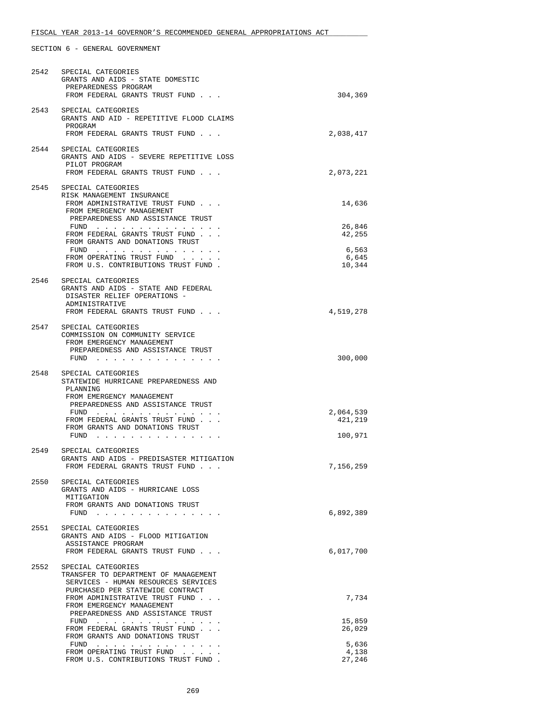# FISCAL YEAR 2013-14 GOVERNOR'S RECOMMENDED GENERAL APPROPRIATIONS ACT

| 2542 | SPECIAL CATEGORIES<br>GRANTS AND AIDS - STATE DOMESTIC<br>PREPAREDNESS PROGRAM<br>FROM FEDERAL GRANTS TRUST FUND                                   | 304,369                  |
|------|----------------------------------------------------------------------------------------------------------------------------------------------------|--------------------------|
|      | 2543 SPECIAL CATEGORIES<br>GRANTS AND AID - REPETITIVE FLOOD CLAIMS<br>PROGRAM<br>FROM FEDERAL GRANTS TRUST FUND                                   | 2,038,417                |
| 2544 | SPECIAL CATEGORIES<br>GRANTS AND AIDS - SEVERE REPETITIVE LOSS<br>PILOT PROGRAM<br>FROM FEDERAL GRANTS TRUST FUND                                  | 2,073,221                |
| 2545 | SPECIAL CATEGORIES<br>RISK MANAGEMENT INSURANCE<br>FROM ADMINISTRATIVE TRUST FUND<br>FROM EMERGENCY MANAGEMENT                                     | 14,636                   |
|      | PREPAREDNESS AND ASSISTANCE TRUST<br>FUND $\cdots$<br>FROM FEDERAL GRANTS TRUST FUND<br>FROM GRANTS AND DONATIONS TRUST                            | 26,846<br>42,255         |
|      | FUND $\cdots$<br>FROM OPERATING TRUST FUND<br>FROM U.S. CONTRIBUTIONS TRUST FUND.                                                                  | 6,563<br>6,645<br>10,344 |
|      | 2546 SPECIAL CATEGORIES<br>GRANTS AND AIDS - STATE AND FEDERAL<br>DISASTER RELIEF OPERATIONS -<br>ADMINISTRATIVE<br>FROM FEDERAL GRANTS TRUST FUND | 4,519,278                |
| 2547 | SPECIAL CATEGORIES<br>COMMISSION ON COMMUNITY SERVICE<br>FROM EMERGENCY MANAGEMENT<br>PREPAREDNESS AND ASSISTANCE TRUST<br>FUND $\cdots$           | 300,000                  |
| 2548 | SPECIAL CATEGORIES<br>STATEWIDE HURRICANE PREPAREDNESS AND<br>PLANNING<br>FROM EMERGENCY MANAGEMENT<br>PREPAREDNESS AND ASSISTANCE TRUST<br>FUND   | 2,064,539                |
|      | FROM FEDERAL GRANTS TRUST FUND<br>FROM GRANTS AND DONATIONS TRUST<br>FUND                                                                          | 421,219<br>100,971       |
| 2549 | SPECIAL CATEGORIES<br>GRANTS AND AIDS - PREDISASTER MITIGATION<br>FROM FEDERAL GRANTS TRUST FUND                                                   | 7,156,259                |
|      | 2550 SPECIAL CATEGORIES<br>GRANTS AND AIDS - HURRICANE LOSS<br>MITIGATION<br>FROM GRANTS AND DONATIONS TRUST<br>FUND $\ldots$                      | 6,892,389                |
| 2551 | SPECIAL CATEGORIES<br>GRANTS AND AIDS - FLOOD MITIGATION<br>ASSISTANCE PROGRAM<br>FROM FEDERAL GRANTS TRUST FUND                                   | 6,017,700                |
| 2552 | SPECIAL CATEGORIES<br>TRANSFER TO DEPARTMENT OF MANAGEMENT<br>SERVICES - HUMAN RESOURCES SERVICES                                                  |                          |
|      | PURCHASED PER STATEWIDE CONTRACT<br>FROM ADMINISTRATIVE TRUST FUND<br>FROM EMERGENCY MANAGEMENT<br>PREPAREDNESS AND ASSISTANCE TRUST               | 7,734                    |
|      | FUND $\cdots$<br>FROM FEDERAL GRANTS TRUST FUND<br>FROM GRANTS AND DONATIONS TRUST                                                                 | 15,859<br>26,029         |
|      | $FUND$<br>FROM OPERATING TRUST FUND<br>FROM U.S. CONTRIBUTIONS TRUST FUND.                                                                         | 5,636<br>4,138<br>27,246 |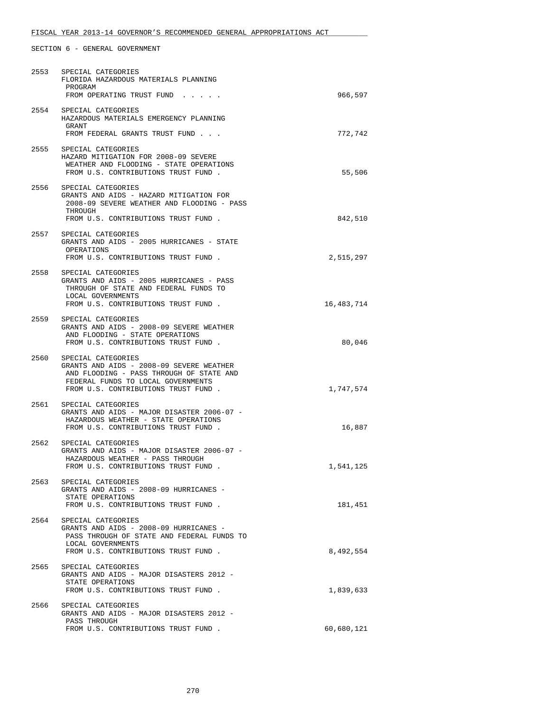# FISCAL YEAR 2013-14 GOVERNOR'S RECOMMENDED GENERAL APPROPRIATIONS ACT

|      | 2553 SPECIAL CATEGORIES<br>FLORIDA HAZARDOUS MATERIALS PLANNING                                                                                                                         |            |
|------|-----------------------------------------------------------------------------------------------------------------------------------------------------------------------------------------|------------|
|      | PROGRAM<br>FROM OPERATING TRUST FUND                                                                                                                                                    | 966,597    |
| 2554 | SPECIAL CATEGORIES<br>HAZARDOUS MATERIALS EMERGENCY PLANNING<br>GRANT<br>FROM FEDERAL GRANTS TRUST FUND                                                                                 | 772,742    |
|      | 2555 SPECIAL CATEGORIES<br>HAZARD MITIGATION FOR 2008-09 SEVERE<br>WEATHER AND FLOODING - STATE OPERATIONS<br>FROM U.S. CONTRIBUTIONS TRUST FUND.                                       | 55,506     |
| 2556 | SPECIAL CATEGORIES<br>GRANTS AND AIDS - HAZARD MITIGATION FOR<br>2008-09 SEVERE WEATHER AND FLOODING - PASS<br>THROUGH<br>FROM U.S. CONTRIBUTIONS TRUST FUND.                           | 842,510    |
| 2557 | SPECIAL CATEGORIES<br>GRANTS AND AIDS - 2005 HURRICANES - STATE<br>OPERATIONS<br>FROM U.S. CONTRIBUTIONS TRUST FUND.                                                                    | 2,515,297  |
| 2558 | SPECIAL CATEGORIES<br>GRANTS AND AIDS - 2005 HURRICANES - PASS<br>THROUGH OF STATE AND FEDERAL FUNDS TO<br>LOCAL GOVERNMENTS<br>FROM U.S. CONTRIBUTIONS TRUST FUND.                     | 16,483,714 |
|      | 2559 SPECIAL CATEGORIES<br>GRANTS AND AIDS - 2008-09 SEVERE WEATHER<br>AND FLOODING - STATE OPERATIONS<br>FROM U.S. CONTRIBUTIONS TRUST FUND.                                           | 80,046     |
| 2560 | SPECIAL CATEGORIES<br>GRANTS AND AIDS - 2008-09 SEVERE WEATHER<br>AND FLOODING - PASS THROUGH OF STATE AND<br>FEDERAL FUNDS TO LOCAL GOVERNMENTS<br>FROM U.S. CONTRIBUTIONS TRUST FUND. | 1,747,574  |
|      | 2561 SPECIAL CATEGORIES<br>GRANTS AND AIDS - MAJOR DISASTER 2006-07 -<br>HAZARDOUS WEATHER - STATE OPERATIONS<br>FROM U.S. CONTRIBUTIONS TRUST FUND.                                    | 16,887     |
| 2562 | SPECIAL CATEGORIES<br>GRANTS AND AIDS - MAJOR DISASTER 2006-07 -<br>HAZARDOUS WEATHER - PASS THROUGH<br>FROM U.S. CONTRIBUTIONS TRUST FUND.                                             | 1,541,125  |
| 2563 | SPECIAL CATEGORIES<br>GRANTS AND AIDS - 2008-09 HURRICANES -<br>STATE OPERATIONS<br>FROM U.S. CONTRIBUTIONS TRUST FUND.                                                                 | 181,451    |
| 2564 | SPECIAL CATEGORIES<br>GRANTS AND AIDS - 2008-09 HURRICANES -<br>PASS THROUGH OF STATE AND FEDERAL FUNDS TO<br>LOCAL GOVERNMENTS<br>FROM U.S. CONTRIBUTIONS TRUST FUND.                  | 8,492,554  |
|      | 2565 SPECIAL CATEGORIES<br>GRANTS AND AIDS - MAJOR DISASTERS 2012 -<br>STATE OPERATIONS<br>FROM U.S. CONTRIBUTIONS TRUST FUND.                                                          | 1,839,633  |
| 2566 | SPECIAL CATEGORIES<br>GRANTS AND AIDS - MAJOR DISASTERS 2012 -<br>PASS THROUGH                                                                                                          |            |
|      | FROM U.S. CONTRIBUTIONS TRUST FUND.                                                                                                                                                     | 60,680,121 |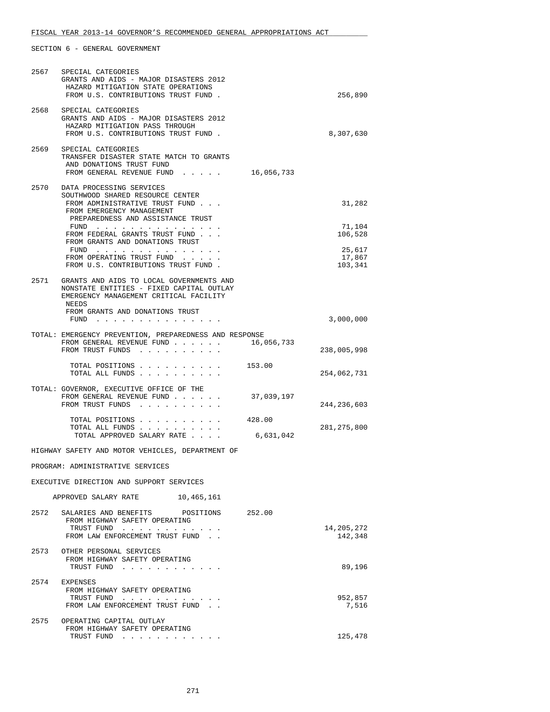| 2567 | SPECIAL CATEGORIES<br>GRANTS AND AIDS - MAJOR DISASTERS 2012<br>HAZARD MITIGATION STATE OPERATIONS<br>FROM U.S. CONTRIBUTIONS TRUST FUND.    |                     | 256,890                     |
|------|----------------------------------------------------------------------------------------------------------------------------------------------|---------------------|-----------------------------|
|      | 2568 SPECIAL CATEGORIES<br>GRANTS AND AIDS - MAJOR DISASTERS 2012<br>HAZARD MITIGATION PASS THROUGH<br>FROM U.S. CONTRIBUTIONS TRUST FUND.   |                     | 8,307,630                   |
| 2569 | SPECIAL CATEGORIES<br>TRANSFER DISASTER STATE MATCH TO GRANTS<br>AND DONATIONS TRUST FUND<br>FROM GENERAL REVENUE FUND                       | 16,056,733          |                             |
| 2570 | DATA PROCESSING SERVICES<br>SOUTHWOOD SHARED RESOURCE CENTER<br>FROM ADMINISTRATIVE TRUST FUND<br>FROM EMERGENCY MANAGEMENT                  |                     | 31,282                      |
|      | PREPAREDNESS AND ASSISTANCE TRUST<br>FUND $\cdots$<br>FROM FEDERAL GRANTS TRUST FUND<br>FROM GRANTS AND DONATIONS TRUST                      |                     | 71,104<br>106,528           |
|      | FUND<br>FROM OPERATING TRUST FUND<br>FROM U.S. CONTRIBUTIONS TRUST FUND.                                                                     |                     | 25,617<br>17,867<br>103,341 |
|      | 2571 GRANTS AND AIDS TO LOCAL GOVERNMENTS AND<br>NONSTATE ENTITIES - FIXED CAPITAL OUTLAY<br>EMERGENCY MANAGEMENT CRITICAL FACILITY<br>NEEDS |                     |                             |
|      | FROM GRANTS AND DONATIONS TRUST<br>FUND $\cdots$                                                                                             |                     | 3,000,000                   |
|      | TOTAL: EMERGENCY PREVENTION, PREPAREDNESS AND RESPONSE<br>FROM GENERAL REVENUE FUND<br>FROM TRUST FUNDS                                      | 16,056,733          | 238,005,998                 |
|      | TOTAL POSITIONS<br>TOTAL ALL FUNDS                                                                                                           | 153.00              | 254,062,731                 |
|      | TOTAL: GOVERNOR, EXECUTIVE OFFICE OF THE<br>FROM GENERAL REVENUE FUND<br>FROM TRUST FUNDS                                                    | 37,039,197          | 244, 236, 603               |
|      | TOTAL POSITIONS<br>TOTAL ALL FUNDS<br>TOTAL APPROVED SALARY RATE                                                                             | 428.00<br>6,631,042 | 281, 275, 800               |
|      | HIGHWAY SAFETY AND MOTOR VEHICLES, DEPARTMENT OF                                                                                             |                     |                             |
|      | PROGRAM: ADMINISTRATIVE SERVICES                                                                                                             |                     |                             |
|      | EXECUTIVE DIRECTION AND SUPPORT SERVICES                                                                                                     |                     |                             |
|      | APPROVED SALARY RATE 10,465,161                                                                                                              |                     |                             |
| 2572 | SALARIES AND BENEFITS POSITIONS<br>FROM HIGHWAY SAFETY OPERATING<br>TRUST FUND<br>FROM LAW ENFORCEMENT TRUST FUND                            | 252.00              | 14,205,272<br>142,348       |
| 2573 | OTHER PERSONAL SERVICES<br>FROM HIGHWAY SAFETY OPERATING<br>TRUST FUND                                                                       |                     | 89,196                      |
| 2574 | EXPENSES<br>FROM HIGHWAY SAFETY OPERATING<br>TRUST FUND<br>FROM LAW ENFORCEMENT TRUST FUND.                                                  |                     | 952,857<br>7,516            |
| 2575 | OPERATING CAPITAL OUTLAY<br>FROM HIGHWAY SAFETY OPERATING<br>TRUST FUND                                                                      |                     | 125,478                     |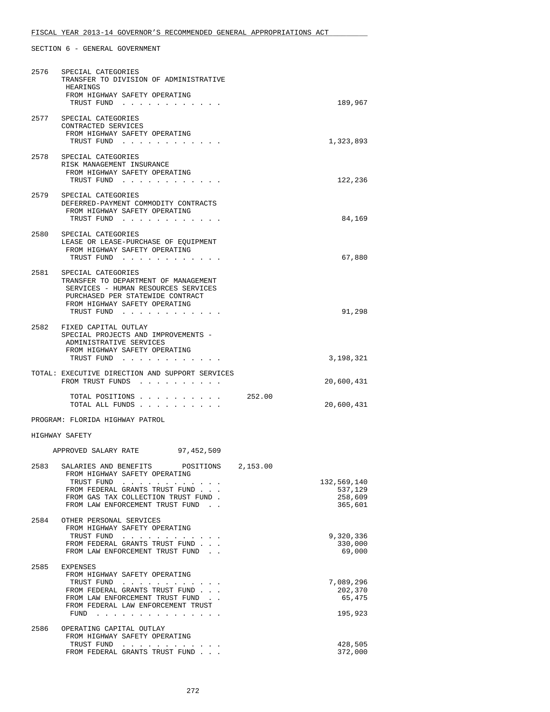|      | 2576 SPECIAL CATEGORIES<br>TRANSFER TO DIVISION OF ADMINISTRATIVE<br>HEARINGS<br>FROM HIGHWAY SAFETY OPERATING<br>TRUST FUND                                                                                                       | 189,967                                      |
|------|------------------------------------------------------------------------------------------------------------------------------------------------------------------------------------------------------------------------------------|----------------------------------------------|
| 2577 | SPECIAL CATEGORIES<br>CONTRACTED SERVICES<br>FROM HIGHWAY SAFETY OPERATING<br>TRUST FUND                                                                                                                                           | 1,323,893                                    |
| 2578 | SPECIAL CATEGORIES<br>RISK MANAGEMENT INSURANCE<br>FROM HIGHWAY SAFETY OPERATING<br>TRUST FUND                                                                                                                                     | 122,236                                      |
|      | 2579 SPECIAL CATEGORIES<br>DEFERRED-PAYMENT COMMODITY CONTRACTS<br>FROM HIGHWAY SAFETY OPERATING<br>TRUST FUND                                                                                                                     | 84,169                                       |
|      | 2580 SPECIAL CATEGORIES<br>LEASE OR LEASE-PURCHASE OF EQUIPMENT<br>FROM HIGHWAY SAFETY OPERATING<br>TRUST FUND                                                                                                                     | 67,880                                       |
|      | 2581 SPECIAL CATEGORIES<br>TRANSFER TO DEPARTMENT OF MANAGEMENT<br>SERVICES - HUMAN RESOURCES SERVICES<br>PURCHASED PER STATEWIDE CONTRACT<br>FROM HIGHWAY SAFETY OPERATING<br>TRUST FUND                                          | 91,298                                       |
|      | 2582 FIXED CAPITAL OUTLAY<br>SPECIAL PROJECTS AND IMPROVEMENTS -<br>ADMINISTRATIVE SERVICES<br>FROM HIGHWAY SAFETY OPERATING<br>TRUST FUND                                                                                         | 3,198,321                                    |
|      | TOTAL: EXECUTIVE DIRECTION AND SUPPORT SERVICES<br>FROM TRUST FUNDS                                                                                                                                                                |                                              |
|      | 252.00<br>TOTAL POSITIONS<br>TOTAL ALL FUNDS                                                                                                                                                                                       | 20,600,431<br>20,600,431                     |
|      | PROGRAM: FLORIDA HIGHWAY PATROL                                                                                                                                                                                                    |                                              |
|      | HIGHWAY SAFETY                                                                                                                                                                                                                     |                                              |
|      | APPROVED SALARY RATE 97,452,509                                                                                                                                                                                                    |                                              |
|      | 2583 SALARIES AND BENEFITS POSITIONS 2.153.00<br>FROM HIGHWAY SAFETY OPERATING<br>TRUST FUND<br>FROM FEDERAL GRANTS TRUST FUND<br>FROM GAS TAX COLLECTION TRUST FUND.<br>FROM LAW ENFORCEMENT TRUST FUND.                          | 132,569,140<br>537,129<br>258,609<br>365,601 |
| 2584 | OTHER PERSONAL SERVICES<br>FROM HIGHWAY SAFETY OPERATING<br>TRUST FUND<br>FROM FEDERAL GRANTS TRUST FUND<br>FROM LAW ENFORCEMENT TRUST FUND                                                                                        | 9,320,336<br>330,000<br>69,000               |
| 2585 | EXPENSES<br>FROM HIGHWAY SAFETY OPERATING<br>TRUST FUND<br>FROM FEDERAL GRANTS TRUST FUND<br>FROM LAW ENFORCEMENT TRUST FUND.<br>FROM FEDERAL LAW ENFORCEMENT TRUST<br>FUND<br>the contract of the contract of the contract of the | 7,089,296<br>202,370<br>65,475<br>195,923    |
| 2586 | OPERATING CAPITAL OUTLAY                                                                                                                                                                                                           |                                              |
|      | FROM HIGHWAY SAFETY OPERATING<br>TRUST FUND<br>FROM FEDERAL GRANTS TRUST FUND                                                                                                                                                      | 428,505<br>372,000                           |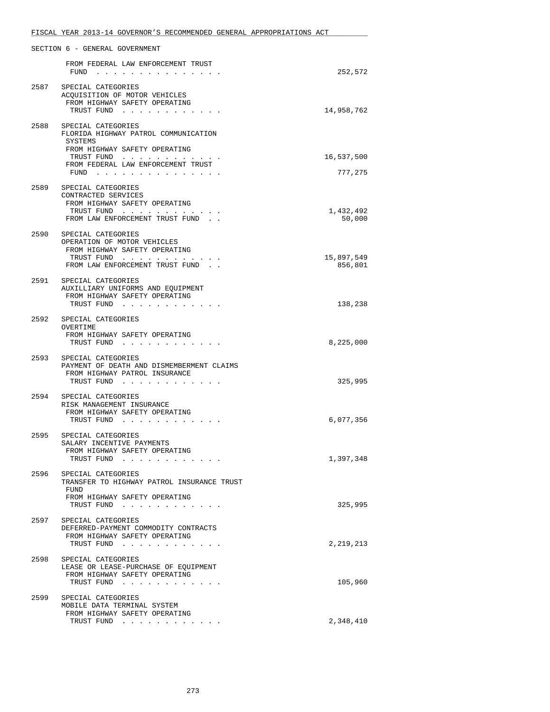|      | FISCAL YEAR 2013-14 GOVERNOR'S RECOMMENDED GENERAL APPROPRIATIONS ACT      |            |
|------|----------------------------------------------------------------------------|------------|
|      | SECTION 6 - GENERAL GOVERNMENT                                             |            |
|      | FROM FEDERAL LAW ENFORCEMENT TRUST                                         |            |
|      | FUND                                                                       | 252,572    |
|      | 2587 SPECIAL CATEGORIES<br>ACOUISITION OF MOTOR VEHICLES                   |            |
|      | FROM HIGHWAY SAFETY OPERATING                                              |            |
|      | TRUST FUND                                                                 | 14,958,762 |
| 2588 | SPECIAL CATEGORIES                                                         |            |
|      | FLORIDA HIGHWAY PATROL COMMUNICATION                                       |            |
|      | SYSTEMS<br>FROM HIGHWAY SAFETY OPERATING                                   |            |
|      | TRUST FUND                                                                 | 16,537,500 |
|      | FROM FEDERAL LAW ENFORCEMENT TRUST<br>FUND                                 | 777,275    |
|      |                                                                            |            |
| 2589 | SPECIAL CATEGORIES<br>CONTRACTED SERVICES                                  |            |
|      | FROM HIGHWAY SAFETY OPERATING                                              |            |
|      | TRUST FUND                                                                 | 1,432,492  |
|      | FROM LAW ENFORCEMENT TRUST FUND.                                           | 50,000     |
| 2590 | SPECIAL CATEGORIES                                                         |            |
|      | OPERATION OF MOTOR VEHICLES<br>FROM HIGHWAY SAFETY OPERATING               |            |
|      | TRUST FUND                                                                 | 15,897,549 |
|      | FROM LAW ENFORCEMENT TRUST FUND.                                           | 856,801    |
|      | 2591 SPECIAL CATEGORIES                                                    |            |
|      | AUXILLIARY UNIFORMS AND EQUIPMENT                                          |            |
|      | FROM HIGHWAY SAFETY OPERATING<br>TRUST FUND                                | 138,238    |
|      |                                                                            |            |
|      | 2592 SPECIAL CATEGORIES<br>OVERTIME                                        |            |
|      | FROM HIGHWAY SAFETY OPERATING                                              |            |
|      | TRUST FUND                                                                 | 8,225,000  |
| 2593 | SPECIAL CATEGORIES                                                         |            |
|      | PAYMENT OF DEATH AND DISMEMBERMENT CLAIMS<br>FROM HIGHWAY PATROL INSURANCE |            |
|      | TRUST FUND                                                                 | 325,995    |
|      | SPECIAL CATEGORIES                                                         |            |
| 2594 | RISK MANAGEMENT INSURANCE                                                  |            |
|      | FROM HIGHWAY SAFETY OPERATING                                              |            |
|      | TRUST FUND                                                                 | 6,077,356  |
| 2595 | SPECIAL CATEGORIES                                                         |            |
|      | SALARY INCENTIVE PAYMENTS<br>FROM HIGHWAY SAFETY OPERATING                 |            |
|      | TRUST FUND                                                                 | 1,397,348  |
|      |                                                                            |            |
| 2596 | SPECIAL CATEGORIES<br>TRANSFER TO HIGHWAY PATROL INSURANCE TRUST           |            |
|      | FUND                                                                       |            |
|      | FROM HIGHWAY SAFETY OPERATING<br>TRUST FUND                                | 325,995    |
|      |                                                                            |            |
| 2597 | SPECIAL CATEGORIES<br>DEFERRED-PAYMENT COMMODITY CONTRACTS                 |            |
|      | FROM HIGHWAY SAFETY OPERATING                                              |            |
|      | TRUST FUND                                                                 | 2,219,213  |
| 2598 | SPECIAL CATEGORIES                                                         |            |
|      | LEASE OR LEASE-PURCHASE OF EQUIPMENT                                       |            |
|      | FROM HIGHWAY SAFETY OPERATING<br>TRUST FUND                                | 105,960    |
|      |                                                                            |            |
|      | 2599 SPECIAL CATEGORIES<br>MOBILE DATA TERMINAL SYSTEM                     |            |
|      | FROM HIGHWAY SAFETY OPERATING                                              |            |
|      | TRUST FUND                                                                 | 2,348,410  |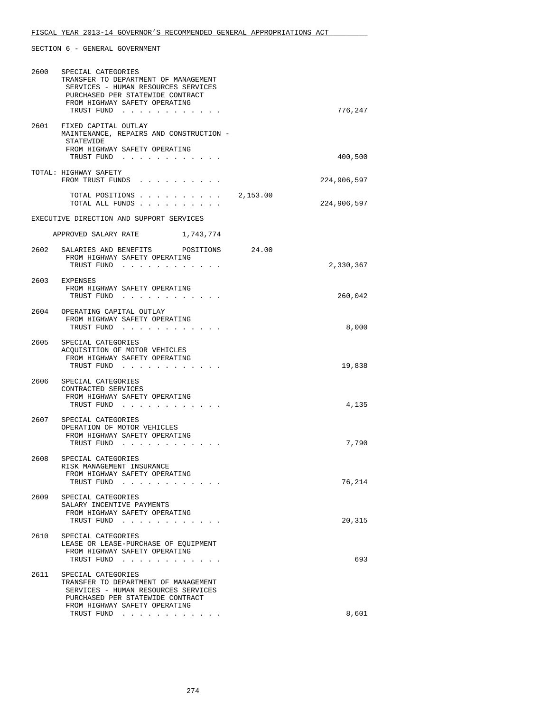| 2600 | SPECIAL CATEGORIES<br>TRANSFER TO DEPARTMENT OF MANAGEMENT<br>SERVICES - HUMAN RESOURCES SERVICES<br>PURCHASED PER STATEWIDE CONTRACT<br>FROM HIGHWAY SAFETY OPERATING<br>TRUST FUND | 776,247     |
|------|--------------------------------------------------------------------------------------------------------------------------------------------------------------------------------------|-------------|
|      | 2601 FIXED CAPITAL OUTLAY<br>MAINTENANCE, REPAIRS AND CONSTRUCTION -<br>STATEWIDE<br>FROM HIGHWAY SAFETY OPERATING<br>TRUST FUND                                                     | 400,500     |
|      | TOTAL: HIGHWAY SAFETY<br>FROM TRUST FUNDS                                                                                                                                            | 224,906,597 |
|      | TOTAL POSITIONS $\ldots$ , $\ldots$ , $\ldots$ , 2,153.00<br>TOTAL ALL FUNDS                                                                                                         | 224,906,597 |
|      | EXECUTIVE DIRECTION AND SUPPORT SERVICES                                                                                                                                             |             |
|      | APPROVED SALARY RATE 1,743,774                                                                                                                                                       |             |
|      | 2602 SALARIES AND BENEFITS POSITIONS 24.00<br>FROM HIGHWAY SAFETY OPERATING<br>TRUST FUND                                                                                            | 2,330,367   |
|      | 2603 EXPENSES<br>FROM HIGHWAY SAFETY OPERATING<br>TRUST FUND                                                                                                                         | 260,042     |
|      | 2604 OPERATING CAPITAL OUTLAY<br>FROM HIGHWAY SAFETY OPERATING<br>TRUST FUND                                                                                                         | 8,000       |
|      | 2605 SPECIAL CATEGORIES<br>ACQUISITION OF MOTOR VEHICLES<br>FROM HIGHWAY SAFETY OPERATING<br>TRUST FUND                                                                              | 19,838      |
|      | 2606 SPECIAL CATEGORIES<br>CONTRACTED SERVICES<br>FROM HIGHWAY SAFETY OPERATING<br>TRUST FUND                                                                                        | 4,135       |
|      | 2607 SPECIAL CATEGORIES<br>OPERATION OF MOTOR VEHICLES<br>FROM HIGHWAY SAFETY OPERATING<br>TRUST FUND                                                                                | 7,790       |
| 2608 | SPECIAL CATEGORIES<br>RISK MANAGEMENT INSURANCE<br>FROM HIGHWAY SAFETY OPERATING<br>TRUST FUND                                                                                       | 76,214      |
| 2609 | SPECIAL CATEGORIES<br>SALARY INCENTIVE PAYMENTS<br>FROM HIGHWAY SAFETY OPERATING<br>TRUST FUND<br>$\sim$ , $\sim$ , $\sim$ , $\sim$                                                  | 20,315      |
| 2610 | SPECIAL CATEGORIES<br>LEASE OR LEASE-PURCHASE OF EQUIPMENT<br>FROM HIGHWAY SAFETY OPERATING<br>TRUST FUND                                                                            | 693         |
| 2611 | SPECIAL CATEGORIES<br>TRANSFER TO DEPARTMENT OF MANAGEMENT<br>SERVICES - HUMAN RESOURCES SERVICES<br>PURCHASED PER STATEWIDE CONTRACT<br>FROM HIGHWAY SAFETY OPERATING               |             |
|      | TRUST FUND                                                                                                                                                                           | 8,601       |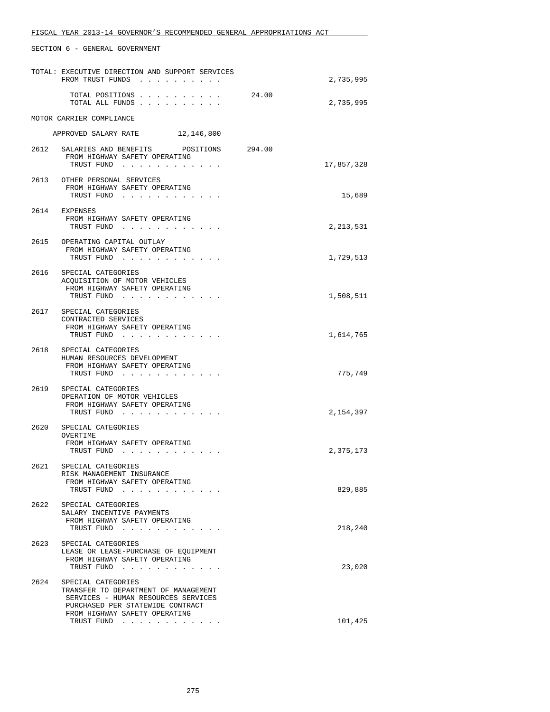|      | TOTAL: EXECUTIVE DIRECTION AND SUPPORT SERVICES<br>FROM TRUST FUNDS<br>$\sim$ $\sim$                                                                                   |        | 2,735,995  |
|------|------------------------------------------------------------------------------------------------------------------------------------------------------------------------|--------|------------|
|      | TOTAL POSITIONS<br>TOTAL ALL FUNDS                                                                                                                                     | 24.00  | 2,735,995  |
|      | MOTOR CARRIER COMPLIANCE                                                                                                                                               |        |            |
|      | APPROVED SALARY RATE 12,146,800                                                                                                                                        |        |            |
|      | 2612 SALARIES AND BENEFITS POSITIONS<br>FROM HIGHWAY SAFETY OPERATING<br>TRUST FUND                                                                                    | 294.00 | 17,857,328 |
|      | 2613 OTHER PERSONAL SERVICES<br>FROM HIGHWAY SAFETY OPERATING<br>TRUST FUND                                                                                            |        | 15,689     |
| 2614 | EXPENSES<br>FROM HIGHWAY SAFETY OPERATING<br>TRUST FUND                                                                                                                |        | 2,213,531  |
|      | 2615 OPERATING CAPITAL OUTLAY<br>FROM HIGHWAY SAFETY OPERATING<br>TRUST FUND                                                                                           |        | 1,729,513  |
|      | 2616 SPECIAL CATEGORIES<br>ACOUISITION OF MOTOR VEHICLES<br>FROM HIGHWAY SAFETY OPERATING<br>TRUST FUND                                                                |        | 1,508,511  |
|      | 2617 SPECIAL CATEGORIES<br>CONTRACTED SERVICES<br>FROM HIGHWAY SAFETY OPERATING<br>TRUST FUND                                                                          |        | 1,614,765  |
| 2618 | SPECIAL CATEGORIES<br>HUMAN RESOURCES DEVELOPMENT<br>FROM HIGHWAY SAFETY OPERATING<br>TRUST FUND                                                                       |        | 775,749    |
| 2619 | SPECIAL CATEGORIES<br>OPERATION OF MOTOR VEHICLES<br>FROM HIGHWAY SAFETY OPERATING<br>TRUST FUND                                                                       |        | 2,154,397  |
| 2620 | SPECIAL CATEGORIES<br>OVERTIME<br>FROM HIGHWAY SAFETY OPERATING<br>TRUST FUND                                                                                          |        | 2,375,173  |
| 2621 | SPECIAL CATEGORIES<br>RISK MANAGEMENT INSURANCE<br>FROM HIGHWAY SAFETY OPERATING<br>TRUST FUND<br>$\sim$ , $\sim$ , $\sim$ , $\sim$ , $\sim$                           |        | 829,885    |
|      | 2622 SPECIAL CATEGORIES<br>SALARY INCENTIVE PAYMENTS<br>FROM HIGHWAY SAFETY OPERATING<br>TRUST FUND                                                                    |        | 218,240    |
| 2623 | SPECIAL CATEGORIES<br>LEASE OR LEASE-PURCHASE OF EOUIPMENT<br>FROM HIGHWAY SAFETY OPERATING<br>TRUST FUND                                                              |        | 23,020     |
| 2624 | SPECIAL CATEGORIES<br>TRANSFER TO DEPARTMENT OF MANAGEMENT<br>SERVICES - HUMAN RESOURCES SERVICES<br>PURCHASED PER STATEWIDE CONTRACT<br>FROM HIGHWAY SAFETY OPERATING |        |            |
|      | TRUST FUND                                                                                                                                                             |        | 101,425    |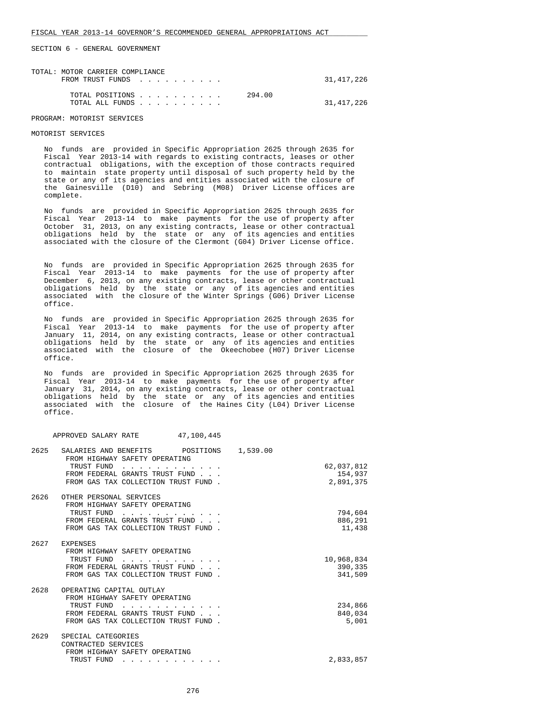| TOTAL: MOTOR CARRIER COMPLIANCE<br>FROM TRUST FUNDS | 31,417,226 |
|-----------------------------------------------------|------------|
| 294.00<br>TOTAL POSITIONS<br>TOTAL ALL FUNDS        | 31,417,226 |

#### PROGRAM: MOTORIST SERVICES

#### MOTORIST SERVICES

 No funds are provided in Specific Appropriation 2625 through 2635 for Fiscal Year 2013-14 with regards to existing contracts, leases or other contractual obligations, with the exception of those contracts required to maintain state property until disposal of such property held by the state or any of its agencies and entities associated with the closure of the Gainesville (D10) and Sebring (M08) Driver License offices are complete.

 No funds are provided in Specific Appropriation 2625 through 2635 for Fiscal Year 2013-14 to make payments for the use of property after October 31, 2013, on any existing contracts, lease or other contractual obligations held by the state or any of its agencies and entities associated with the closure of the Clermont (G04) Driver License office.

 No funds are provided in Specific Appropriation 2625 through 2635 for Fiscal Year 2013-14 to make payments for the use of property after December 6, 2013, on any existing contracts, lease or other contractual obligations held by the state or any of its agencies and entities associated with the closure of the Winter Springs (G06) Driver License office.

 No funds are provided in Specific Appropriation 2625 through 2635 for Fiscal Year 2013-14 to make payments for the use of property after January 11, 2014, on any existing contracts, lease or other contractual obligations held by the state or any of its agencies and entities associated with the closure of the Okeechobee (H07) Driver License office.

 No funds are provided in Specific Appropriation 2625 through 2635 for Fiscal Year 2013-14 to make payments for the use of property after January 31, 2014, on any existing contracts, lease or other contractual obligations held by the state or any of its agencies and entities associated with the closure of the Haines City (L04) Driver License office.

|      | 47,100,445<br>APPROVED SALARY RATE                                                                                                                      |                                                |
|------|---------------------------------------------------------------------------------------------------------------------------------------------------------|------------------------------------------------|
| 2625 | SALARIES AND BENEFITS POSITIONS<br>FROM HIGHWAY SAFETY OPERATING<br>TRUST FUND<br>FROM FEDERAL GRANTS TRUST FUND<br>FROM GAS TAX COLLECTION TRUST FUND. | 1,539.00<br>62,037,812<br>154,937<br>2,891,375 |
| 2626 | OTHER PERSONAL SERVICES<br>FROM HIGHWAY SAFETY OPERATING<br>TRUST FUND<br>FROM FEDERAL GRANTS TRUST FUND<br>FROM GAS TAX COLLECTION TRUST FUND.         | 794,604<br>886,291<br>11,438                   |
|      | 2627 EXPENSES<br>FROM HIGHWAY SAFETY OPERATING<br>TRUST FUND<br>FROM FEDERAL GRANTS TRUST FUND<br>FROM GAS TAX COLLECTION TRUST FUND.                   | 10,968,834<br>390,335<br>341,509               |
| 2628 | OPERATING CAPITAL OUTLAY<br>FROM HIGHWAY SAFETY OPERATING<br>TRUST FUND<br>FROM FEDERAL GRANTS TRUST FUND<br>FROM GAS TAX COLLECTION TRUST FUND.        | 234,866<br>840,034<br>5,001                    |
| 2629 | SPECIAL CATEGORIES<br>CONTRACTED SERVICES<br>FROM HIGHWAY SAFETY OPERATING<br>TRUST FUND<br>.                                                           | 2,833,857                                      |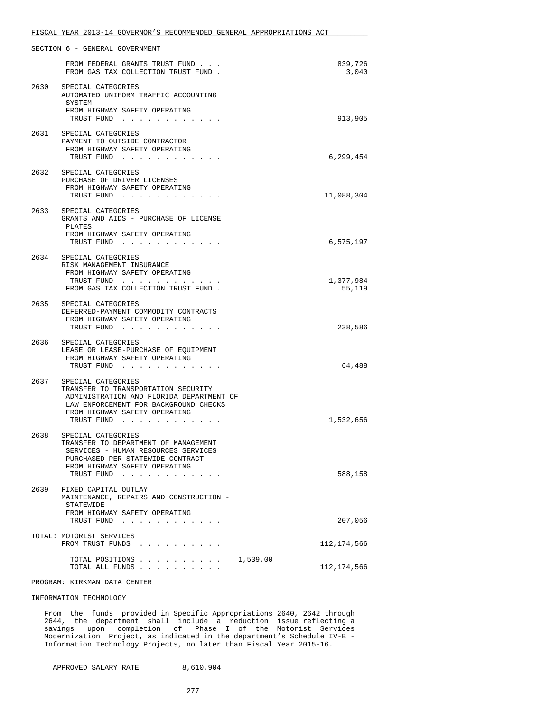|      | SECTION 6 - GENERAL GOVERNMENT                                                                                                                                         |                     |
|------|------------------------------------------------------------------------------------------------------------------------------------------------------------------------|---------------------|
|      | FROM FEDERAL GRANTS TRUST FUND<br>FROM GAS TAX COLLECTION TRUST FUND.                                                                                                  | 839,726<br>3,040    |
| 2630 | SPECIAL CATEGORIES<br>AUTOMATED UNIFORM TRAFFIC ACCOUNTING<br>SYSTEM                                                                                                   |                     |
|      | FROM HIGHWAY SAFETY OPERATING<br>TRUST FUND                                                                                                                            | 913,905             |
|      | 2631 SPECIAL CATEGORIES<br>PAYMENT TO OUTSIDE CONTRACTOR<br>FROM HIGHWAY SAFETY OPERATING                                                                              |                     |
|      | TRUST FUND                                                                                                                                                             | 6,299,454           |
|      | 2632 SPECIAL CATEGORIES<br>PURCHASE OF DRIVER LICENSES<br>FROM HIGHWAY SAFETY OPERATING<br>TRUST FUND                                                                  | 11,088,304          |
| 2633 | SPECIAL CATEGORIES<br>GRANTS AND AIDS - PURCHASE OF LICENSE<br>PLATES                                                                                                  |                     |
|      | FROM HIGHWAY SAFETY OPERATING<br>TRUST FUND                                                                                                                            | 6,575,197           |
|      | 2634 SPECIAL CATEGORIES<br>RISK MANAGEMENT INSURANCE<br>FROM HIGHWAY SAFETY OPERATING<br>TRUST FUND                                                                    |                     |
|      | FROM GAS TAX COLLECTION TRUST FUND.                                                                                                                                    | 1,377,984<br>55,119 |
| 2635 | SPECIAL CATEGORIES<br>DEFERRED-PAYMENT COMMODITY CONTRACTS<br>FROM HIGHWAY SAFETY OPERATING<br>TRUST FUND                                                              | 238,586             |
| 2636 | SPECIAL CATEGORIES<br>LEASE OR LEASE-PURCHASE OF EQUIPMENT<br>FROM HIGHWAY SAFETY OPERATING                                                                            |                     |
| 2637 | TRUST FUND<br>SPECIAL CATEGORIES                                                                                                                                       | 64,488              |
|      | TRANSFER TO TRANSPORTATION SECURITY<br>ADMINISTRATION AND FLORIDA DEPARTMENT OF<br>LAW ENFORCEMENT FOR BACKGROUND CHECKS<br>FROM HIGHWAY SAFETY OPERATING              |                     |
|      | TRUST FUND                                                                                                                                                             | 1,532,656           |
| 2638 | SPECIAL CATEGORIES<br>TRANSFER TO DEPARTMENT OF MANAGEMENT<br>SERVICES - HUMAN RESOURCES SERVICES<br>PURCHASED PER STATEWIDE CONTRACT<br>FROM HIGHWAY SAFETY OPERATING |                     |
|      | TRUST FUND                                                                                                                                                             | 588,158             |
| 2639 | FIXED CAPITAL OUTLAY<br>MAINTENANCE, REPAIRS AND CONSTRUCTION -<br>STATEWIDE                                                                                           |                     |
|      | FROM HIGHWAY SAFETY OPERATING<br>TRUST FUND                                                                                                                            | 207,056             |
|      | TOTAL: MOTORIST SERVICES<br>FROM TRUST FUNDS                                                                                                                           | 112,174,566         |
|      | TOTAL POSITIONS<br>1,539.00<br>TOTAL ALL FUNDS                                                                                                                         | 112,174,566         |
|      | PROGRAM: KIRKMAN DATA CENTER                                                                                                                                           |                     |

#### INFORMATION TECHNOLOGY

 From the funds provided in Specific Appropriations 2640, 2642 through 2644, the department shall include a reduction issue reflecting a savings upon completion of Phase I of the Motorist Services Modernization Project, as indicated in the department's Schedule IV-B - Information Technology Projects, no later than Fiscal Year 2015-16.

APPROVED SALARY RATE 8,610,904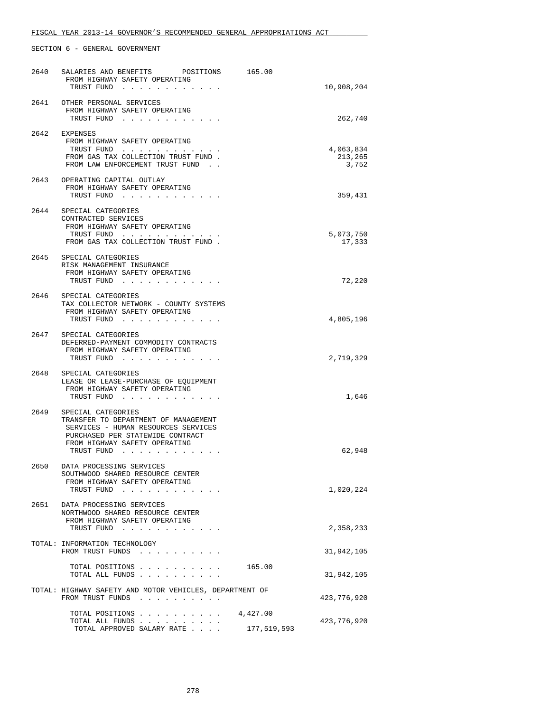| 2640 | SALARIES AND BENEFITS POSITIONS<br>165.00                                   |                            |
|------|-----------------------------------------------------------------------------|----------------------------|
|      | FROM HIGHWAY SAFETY OPERATING<br>TRUST FUND                                 | 10,908,204                 |
|      | 2641 OTHER PERSONAL SERVICES                                                |                            |
|      | FROM HIGHWAY SAFETY OPERATING                                               |                            |
|      | TRUST FUND                                                                  | 262,740                    |
| 2642 | EXPENSES                                                                    |                            |
|      | FROM HIGHWAY SAFETY OPERATING                                               |                            |
|      | TRUST FUND<br>FROM GAS TAX COLLECTION TRUST FUND.                           | 4,063,834<br>213,265       |
|      | FROM LAW ENFORCEMENT TRUST FUND.                                            | 3,752                      |
|      | 2643 OPERATING CAPITAL OUTLAY                                               |                            |
|      | FROM HIGHWAY SAFETY OPERATING                                               |                            |
|      | TRUST FUND                                                                  | 359,431                    |
|      | 2644 SPECIAL CATEGORIES                                                     |                            |
|      | CONTRACTED SERVICES                                                         |                            |
|      | FROM HIGHWAY SAFETY OPERATING                                               |                            |
|      | TRUST FUND<br>FROM GAS TAX COLLECTION TRUST FUND.                           | 5,073,750<br>17,333        |
|      |                                                                             |                            |
| 2645 | SPECIAL CATEGORIES                                                          |                            |
|      | RISK MANAGEMENT INSURANCE<br>FROM HIGHWAY SAFETY OPERATING                  |                            |
|      | TRUST FUND                                                                  | 72,220                     |
|      | 2646 SPECIAL CATEGORIES                                                     |                            |
|      | TAX COLLECTOR NETWORK - COUNTY SYSTEMS                                      |                            |
|      | FROM HIGHWAY SAFETY OPERATING                                               |                            |
|      | TRUST FUND                                                                  | 4,805,196                  |
|      | 2647 SPECIAL CATEGORIES                                                     |                            |
|      | DEFERRED-PAYMENT COMMODITY CONTRACTS                                        |                            |
|      | FROM HIGHWAY SAFETY OPERATING<br>TRUST FUND                                 | 2,719,329                  |
|      |                                                                             |                            |
|      | 2648 SPECIAL CATEGORIES<br>LEASE OR LEASE-PURCHASE OF EQUIPMENT             |                            |
|      | FROM HIGHWAY SAFETY OPERATING                                               |                            |
|      | TRUST FUND                                                                  | 1,646                      |
| 2649 | SPECIAL CATEGORIES                                                          |                            |
|      | TRANSFER TO DEPARTMENT OF MANAGEMENT                                        |                            |
|      | SERVICES - HUMAN RESOURCES SERVICES<br>PURCHASED PER STATEWIDE CONTRACT     |                            |
|      | FROM HIGHWAY SAFETY OPERATING                                               |                            |
|      | TRUST FUND                                                                  | 62,948                     |
|      | 2650 DATA PROCESSING SERVICES                                               |                            |
|      | SOUTHWOOD SHARED RESOURCE CENTER                                            |                            |
|      | FROM HIGHWAY SAFETY OPERATING                                               |                            |
|      | TRUST FUND                                                                  | 1,020,224                  |
| 2651 | DATA PROCESSING SERVICES                                                    |                            |
|      | NORTHWOOD SHARED RESOURCE CENTER<br>FROM HIGHWAY SAFETY OPERATING           |                            |
|      | TRUST FUND                                                                  | 2,358,233                  |
|      | TOTAL: INFORMATION TECHNOLOGY                                               |                            |
|      | FROM TRUST FUNDS<br>$\sim$ $\sim$ $\sim$ $\sim$                             | 31,942,105                 |
|      |                                                                             |                            |
|      | TOTAL POSITIONS<br>165.00<br>TOTAL ALL FUNDS                                | 31,942,105                 |
|      |                                                                             |                            |
|      | TOTAL: HIGHWAY SAFETY AND MOTOR VEHICLES, DEPARTMENT OF<br>FROM TRUST FUNDS | 423,776,920                |
|      |                                                                             |                            |
|      | TOTAL POSITIONS<br>4,427.00                                                 |                            |
|      | TOTAL ALL FUNDS<br>TOTAL APPROVED SALARY RATE                               | 423,776,920<br>177,519,593 |
|      |                                                                             |                            |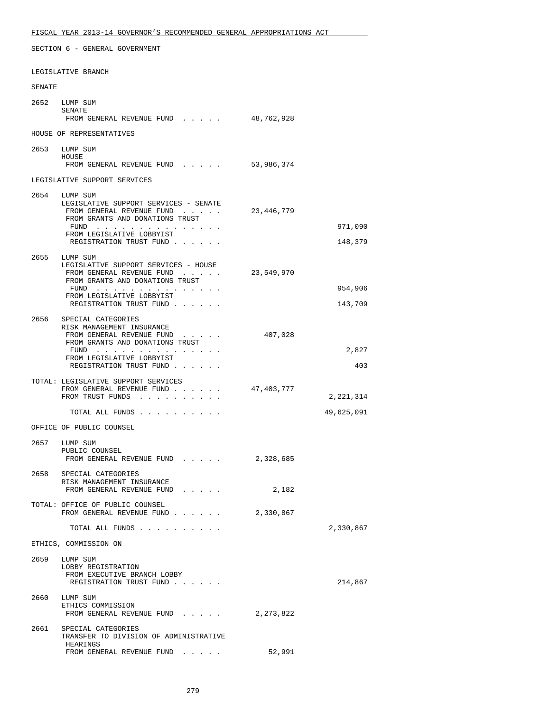LEGISLATIVE BRANCH

| SENATE |                                                                                                                                                                                  |            |                    |
|--------|----------------------------------------------------------------------------------------------------------------------------------------------------------------------------------|------------|--------------------|
|        | 2652 LUMP SUM<br>SENATE<br>FROM GENERAL REVENUE FUND                                                                                                                             | 48,762,928 |                    |
|        | HOUSE OF REPRESENTATIVES                                                                                                                                                         |            |                    |
|        | 2653 LUMP SUM<br>HOUSE                                                                                                                                                           |            |                    |
|        | FROM GENERAL REVENUE FUND                                                                                                                                                        | 53,986,374 |                    |
|        | LEGISLATIVE SUPPORT SERVICES                                                                                                                                                     |            |                    |
| 2654   | LUMP SUM<br>LEGISLATIVE SUPPORT SERVICES - SENATE<br>FROM GENERAL REVENUE FUND<br>FROM GRANTS AND DONATIONS TRUST<br>FUND<br>FROM LEGISLATIVE LOBBYIST                           | 23,446,779 | 971,090            |
|        | REGISTRATION TRUST FUND                                                                                                                                                          |            | 148,379            |
| 2655   | LUMP SUM<br>LEGISLATIVE SUPPORT SERVICES - HOUSE<br>FROM GENERAL REVENUE FUND<br>FROM GRANTS AND DONATIONS TRUST<br>FUND<br>FROM LEGISLATIVE LOBBYIST<br>REGISTRATION TRUST FUND | 23,549,970 | 954,906<br>143,709 |
|        | 2656 SPECIAL CATEGORIES<br>RISK MANAGEMENT INSURANCE<br>FROM GENERAL REVENUE FUND<br>FROM GRANTS AND DONATIONS TRUST<br>FUND<br>FROM LEGISLATIVE LOBBYIST                        | 407,028    | 2,827<br>403       |
|        | REGISTRATION TRUST FUND                                                                                                                                                          |            |                    |
|        | TOTAL: LEGISLATIVE SUPPORT SERVICES<br>FROM GENERAL REVENUE FUND<br>FROM TRUST FUNDS                                                                                             | 47,403,777 | 2,221,314          |
|        | TOTAL ALL FUNDS                                                                                                                                                                  |            | 49,625,091         |
|        | OFFICE OF PUBLIC COUNSEL                                                                                                                                                         |            |                    |
|        | 2657 LUMP SUM<br>PUBLIC COUNSEL<br>FROM GENERAL REVENUE FUND                                                                                                                     | 2,328,685  |                    |
| 2658   | SPECIAL CATEGORIES                                                                                                                                                               |            |                    |
|        | RISK MANAGEMENT INSURANCE<br>FROM GENERAL REVENUE FUND                                                                                                                           | 2,182      |                    |
|        | TOTAL: OFFICE OF PUBLIC COUNSEL<br>FROM GENERAL REVENUE FUND                                                                                                                     | 2,330,867  |                    |
|        | TOTAL ALL FUNDS                                                                                                                                                                  |            | 2,330,867          |
|        | ETHICS, COMMISSION ON                                                                                                                                                            |            |                    |
| 2659   | LUMP SUM<br>LOBBY REGISTRATION<br>FROM EXECUTIVE BRANCH LOBBY<br>REGISTRATION TRUST FUND                                                                                         |            | 214,867            |
| 2660   | LUMP SUM<br>ETHICS COMMISSION<br>FROM GENERAL REVENUE FUND                                                                                                                       | 2,273,822  |                    |
| 2661   | SPECIAL CATEGORIES<br>TRANSFER TO DIVISION OF ADMINISTRATIVE                                                                                                                     |            |                    |

FROM GENERAL REVENUE FUND . . . . . . 52,991

HEARINGS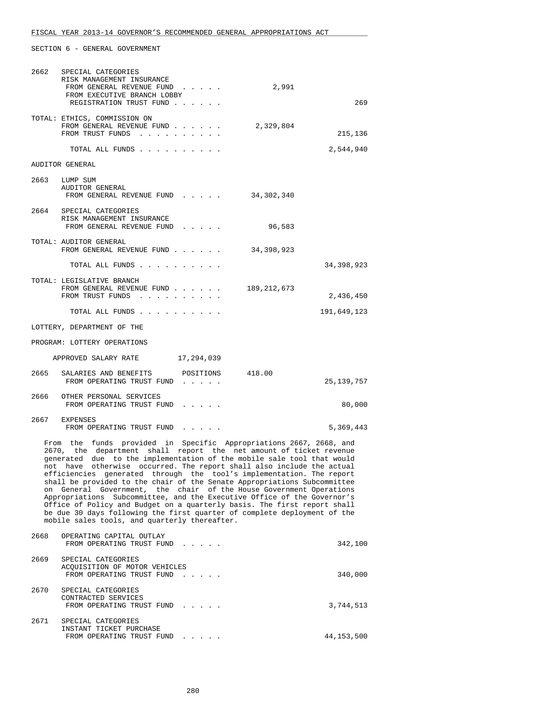| 2662 | SPECIAL CATEGORIES<br>RISK MANAGEMENT INSURANCE<br>2,991<br>FROM GENERAL REVENUE FUND<br>FROM EXECUTIVE BRANCH LOBBY<br>REGISTRATION TRUST FUND                                                                                                                                                                                                                                                                                                                                                                                                                                                                                                                                                                                                                                                            | 269          |
|------|------------------------------------------------------------------------------------------------------------------------------------------------------------------------------------------------------------------------------------------------------------------------------------------------------------------------------------------------------------------------------------------------------------------------------------------------------------------------------------------------------------------------------------------------------------------------------------------------------------------------------------------------------------------------------------------------------------------------------------------------------------------------------------------------------------|--------------|
|      | TOTAL: ETHICS, COMMISSION ON<br>FROM GENERAL REVENUE FUND<br>2,329,804<br>FROM TRUST FUNDS                                                                                                                                                                                                                                                                                                                                                                                                                                                                                                                                                                                                                                                                                                                 | 215,136      |
|      |                                                                                                                                                                                                                                                                                                                                                                                                                                                                                                                                                                                                                                                                                                                                                                                                            | 2,544,940    |
|      | <b>AUDITOR GENERAL</b>                                                                                                                                                                                                                                                                                                                                                                                                                                                                                                                                                                                                                                                                                                                                                                                     |              |
|      | 2663 LUMP SUM<br>AUDITOR GENERAL<br>34,302,340<br>FROM GENERAL REVENUE FUND                                                                                                                                                                                                                                                                                                                                                                                                                                                                                                                                                                                                                                                                                                                                |              |
|      | 2664 SPECIAL CATEGORIES<br>RISK MANAGEMENT INSURANCE<br>FROM GENERAL REVENUE FUND<br>96,583                                                                                                                                                                                                                                                                                                                                                                                                                                                                                                                                                                                                                                                                                                                |              |
|      | TOTAL: AUDITOR GENERAL<br>FROM GENERAL REVENUE FUND<br>34,398,923                                                                                                                                                                                                                                                                                                                                                                                                                                                                                                                                                                                                                                                                                                                                          |              |
|      | TOTAL ALL FUNDS                                                                                                                                                                                                                                                                                                                                                                                                                                                                                                                                                                                                                                                                                                                                                                                            | 34,398,923   |
|      | TOTAL: LEGISLATIVE BRANCH<br>189,212,673<br>FROM GENERAL REVENUE FUND<br>FROM TRUST FUNDS                                                                                                                                                                                                                                                                                                                                                                                                                                                                                                                                                                                                                                                                                                                  | 2,436,450    |
|      | TOTAL ALL FUNDS                                                                                                                                                                                                                                                                                                                                                                                                                                                                                                                                                                                                                                                                                                                                                                                            | 191,649,123  |
|      | LOTTERY, DEPARTMENT OF THE                                                                                                                                                                                                                                                                                                                                                                                                                                                                                                                                                                                                                                                                                                                                                                                 |              |
|      | PROGRAM: LOTTERY OPERATIONS                                                                                                                                                                                                                                                                                                                                                                                                                                                                                                                                                                                                                                                                                                                                                                                |              |
|      | APPROVED SALARY RATE<br>17,294,039                                                                                                                                                                                                                                                                                                                                                                                                                                                                                                                                                                                                                                                                                                                                                                         |              |
|      | POSITIONS<br>2665 SALARIES AND BENEFITS<br>418.00<br>FROM OPERATING TRUST FUND                                                                                                                                                                                                                                                                                                                                                                                                                                                                                                                                                                                                                                                                                                                             | 25, 139, 757 |
|      | 2666 OTHER PERSONAL SERVICES<br>FROM OPERATING TRUST FUND                                                                                                                                                                                                                                                                                                                                                                                                                                                                                                                                                                                                                                                                                                                                                  | 80,000       |
|      | 2667 EXPENSES<br>FROM OPERATING TRUST FUND                                                                                                                                                                                                                                                                                                                                                                                                                                                                                                                                                                                                                                                                                                                                                                 | 5,369,443    |
|      | From the funds provided in Specific Appropriations 2667, 2668, and<br>2670, the department shall report the net amount of ticket revenue<br>generated due to the implementation of the mobile sale tool that would<br>not have otherwise occurred. The report shall also include the actual<br>efficiencies generated through the tool's implementation. The report<br>shall be provided to the chair of the Senate Appropriations Subcommittee<br>on General Government, the chair of the House Government Operations<br>Appropriations Subcommittee, and the Executive Office of the Governor's<br>Office of Policy and Budget on a quarterly basis. The first report shall<br>be due 30 days following the first quarter of complete deployment of the<br>mobile sales tools, and quarterly thereafter. |              |
| 2668 | OPERATING CAPITAL OUTLAY<br>FROM OPERATING TRUST FUND                                                                                                                                                                                                                                                                                                                                                                                                                                                                                                                                                                                                                                                                                                                                                      | 342,100      |
| 2669 | SPECIAL CATEGORIES<br>ACQUISITION OF MOTOR VEHICLES<br>FROM OPERATING TRUST FUND                                                                                                                                                                                                                                                                                                                                                                                                                                                                                                                                                                                                                                                                                                                           | 340,000      |
| 2670 | SPECIAL CATEGORIES<br>CONTRACTED SERVICES<br>FROM OPERATING TRUST FUND                                                                                                                                                                                                                                                                                                                                                                                                                                                                                                                                                                                                                                                                                                                                     | 3,744,513    |
| 2671 | SPECIAL CATEGORIES<br>INSTANT TICKET PURCHASE<br>FROM OPERATING TRUST FUND.                                                                                                                                                                                                                                                                                                                                                                                                                                                                                                                                                                                                                                                                                                                                | 44,153,500   |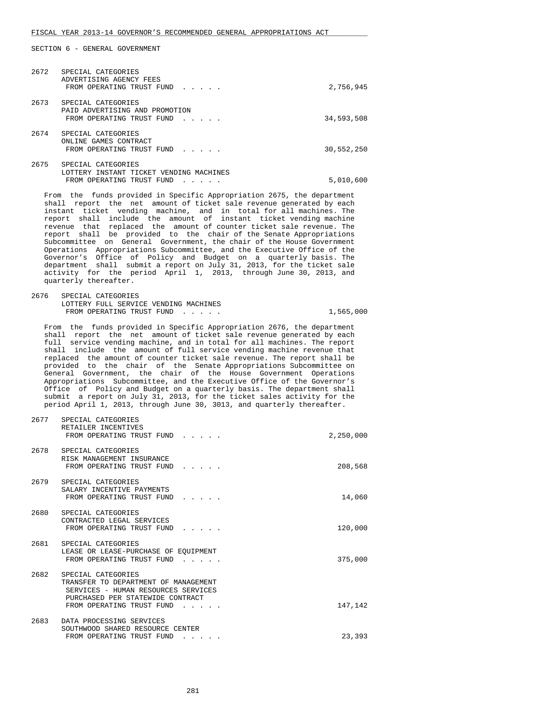| 2672 | SPECIAL CATEGORIES<br>ADVERTISING AGENCY FEES<br>FROM OPERATING TRUST FUND<br>$\mathbf{r}$ . The set of the set of the set of the set of the set of the set of the set of the set of the set of the set of the set of the set of the set of the set of the set of the set of the set of the set of the set of t | 2,756,945  |
|------|-----------------------------------------------------------------------------------------------------------------------------------------------------------------------------------------------------------------------------------------------------------------------------------------------------------------|------------|
| 2673 | SPECIAL CATEGORIES<br>PAID ADVERTISING AND PROMOTION<br>FROM OPERATING TRUST FUND<br>.                                                                                                                                                                                                                          | 34,593,508 |
| 2674 | SPECIAL CATEGORIES<br>ONLINE GAMES CONTRACT<br>FROM OPERATING TRUST FUND<br>$\mathbf{r}$ . The set of the set of the set of the set of the set of the set of the set of the set of the set of the set of the set of the set of the set of the set of the set of the set of the set of the set of the set of t   | 30,552,250 |
| 2675 | SPECIAL CATEGORIES<br>LOTTERY INSTANT TICKET VENDING MACHINES<br>FROM OPERATING TRUST FUND                                                                                                                                                                                                                      | 5,010,600  |

 From the funds provided in Specific Appropriation 2675, the department shall report the net amount of ticket sale revenue generated by each instant ticket vending machine, and in total for all machines. The report shall include the amount of instant ticket vending machine revenue that replaced the amount of counter ticket sale revenue. The report shall be provided to the chair of the Senate Appropriations Subcommittee on General Government, the chair of the House Government Operations Appropriations Subcommittee, and the Executive Office of the Governor's Office of Policy and Budget on a quarterly basis. The department shall submit a report on July 31, 2013, for the ticket sale activity for the period April 1, 2013, through June 30, 2013, and quarterly thereafter.

| 2676 | SPECIAL CATEGORIES                    |           |
|------|---------------------------------------|-----------|
|      | LOTTERY FULL SERVICE VENDING MACHINES |           |
|      | FROM OPERATING TRUST FUND             | 1,565,000 |

 From the funds provided in Specific Appropriation 2676, the department shall report the net amount of ticket sale revenue generated by each full service vending machine, and in total for all machines. The report shall include the amount of full service vending machine revenue that replaced the amount of counter ticket sale revenue. The report shall be provided to the chair of the Senate Appropriations Subcommittee on General Government, the chair of the House Government Operations Appropriations Subcommittee, and the Executive Office of the Governor's Office of Policy and Budget on a quarterly basis. The department shall submit a report on July 31, 2013, for the ticket sales activity for the period April 1, 2013, through June 30, 3013, and quarterly thereafter.

|      | 2677 SPECIAL CATEGORIES<br>RETAILER INCENTIVES<br>FROM OPERATING TRUST FUND                                                                                        | 2,250,000 |
|------|--------------------------------------------------------------------------------------------------------------------------------------------------------------------|-----------|
|      | 2678 SPECIAL CATEGORIES<br>RISK MANAGEMENT INSURANCE<br>FROM OPERATING TRUST FUND                                                                                  | 208,568   |
|      | 2679 SPECIAL CATEGORIES<br>SALARY INCENTIVE PAYMENTS<br>FROM OPERATING TRUST FUND<br>$\mathcal{L}^{\text{max}}$ , where $\mathcal{L}^{\text{max}}$                 | 14,060    |
|      | 2680 SPECIAL CATEGORIES<br>CONTRACTED LEGAL SERVICES<br>FROM OPERATING TRUST FUND<br>$\mathbf{r}$ . The set of $\mathbf{r}$                                        | 120,000   |
|      | 2681 SPECIAL CATEGORIES<br>LEASE OR LEASE-PURCHASE OF EOUIPMENT<br>FROM OPERATING TRUST FUND                                                                       | 375,000   |
| 2682 | SPECIAL CATEGORIES<br>TRANSFER TO DEPARTMENT OF MANAGEMENT<br>SERVICES - HUMAN RESOURCES SERVICES<br>PURCHASED PER STATEWIDE CONTRACT<br>FROM OPERATING TRUST FUND | 147,142   |
|      | 2683 DATA PROCESSING SERVICES<br>SOUTHWOOD SHARED RESOURCE CENTER<br>FROM OPERATING TRUST FUND<br>$\cdots$                                                         | 23,393    |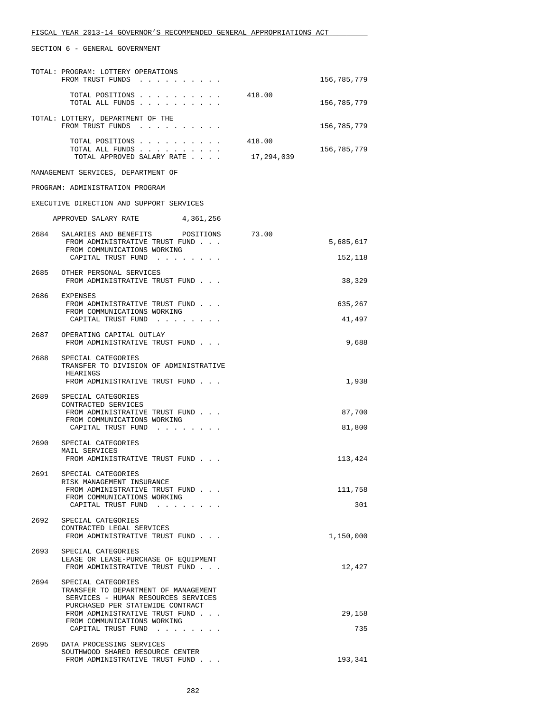|      | TOTAL: PROGRAM: LOTTERY OPERATIONS<br>FROM TRUST FUNDS                                                                                |                      | 156,785,779          |
|------|---------------------------------------------------------------------------------------------------------------------------------------|----------------------|----------------------|
|      | TOTAL POSITIONS<br>TOTAL ALL FUNDS                                                                                                    | 418.00               | 156,785,779          |
|      | TOTAL: LOTTERY, DEPARTMENT OF THE<br>FROM TRUST FUNDS                                                                                 |                      | 156,785,779          |
|      | TOTAL POSITIONS<br>TOTAL ALL FUNDS<br>TOTAL APPROVED SALARY RATE                                                                      | 418.00<br>17,294,039 | 156,785,779          |
|      | MANAGEMENT SERVICES, DEPARTMENT OF                                                                                                    |                      |                      |
|      | PROGRAM: ADMINISTRATION PROGRAM                                                                                                       |                      |                      |
|      | EXECUTIVE DIRECTION AND SUPPORT SERVICES                                                                                              |                      |                      |
|      | APPROVED SALARY RATE<br>4,361,256                                                                                                     |                      |                      |
|      | 2684 SALARIES AND BENEFITS POSITIONS<br>FROM ADMINISTRATIVE TRUST FUND<br>FROM COMMUNICATIONS WORKING<br>CAPITAL TRUST FUND           | 73.00                | 5,685,617<br>152,118 |
|      | 2685 OTHER PERSONAL SERVICES<br>FROM ADMINISTRATIVE TRUST FUND                                                                        |                      | 38,329               |
| 2686 | EXPENSES                                                                                                                              |                      | 635,267              |
|      | FROM ADMINISTRATIVE TRUST FUND<br>FROM COMMUNICATIONS WORKING<br>CAPITAL TRUST FUND                                                   |                      | 41,497               |
|      | 2687 OPERATING CAPITAL OUTLAY                                                                                                         |                      |                      |
|      | FROM ADMINISTRATIVE TRUST FUND                                                                                                        |                      | 9,688                |
|      | 2688 SPECIAL CATEGORIES<br>TRANSFER TO DIVISION OF ADMINISTRATIVE<br>HEARINGS                                                         |                      |                      |
|      | FROM ADMINISTRATIVE TRUST FUND                                                                                                        |                      | 1,938                |
| 2689 | SPECIAL CATEGORIES<br>CONTRACTED SERVICES<br>FROM ADMINISTRATIVE TRUST FUND<br>FROM COMMUNICATIONS WORKING<br>CAPITAL TRUST FUND      |                      | 87,700<br>81,800     |
| 2690 | SPECIAL CATEGORIES<br>MAIL SERVICES<br>FROM ADMINISTRATIVE TRUST FUND                                                                 |                      | 113,424              |
| 2691 | SPECIAL CATEGORIES                                                                                                                    |                      |                      |
|      | RISK MANAGEMENT INSURANCE<br>FROM ADMINISTRATIVE TRUST FUND<br>FROM COMMUNICATIONS WORKING                                            |                      | 111,758              |
|      | CAPITAL TRUST FUND                                                                                                                    |                      | 301                  |
| 2692 | SPECIAL CATEGORIES<br>CONTRACTED LEGAL SERVICES<br>FROM ADMINISTRATIVE TRUST FUND                                                     |                      | 1,150,000            |
| 2693 | SPECIAL CATEGORIES<br>LEASE OR LEASE-PURCHASE OF EQUIPMENT<br>FROM ADMINISTRATIVE TRUST FUND                                          |                      | 12,427               |
| 2694 | SPECIAL CATEGORIES<br>TRANSFER TO DEPARTMENT OF MANAGEMENT<br>SERVICES - HUMAN RESOURCES SERVICES<br>PURCHASED PER STATEWIDE CONTRACT |                      |                      |
|      | FROM ADMINISTRATIVE TRUST FUND<br>FROM COMMUNICATIONS WORKING                                                                         |                      | 29,158               |
|      | CAPITAL TRUST FUND                                                                                                                    |                      | 735                  |
| 2695 | DATA PROCESSING SERVICES<br>SOUTHWOOD SHARED RESOURCE CENTER<br>FROM ADMINISTRATIVE TRUST FUND                                        |                      | 193,341              |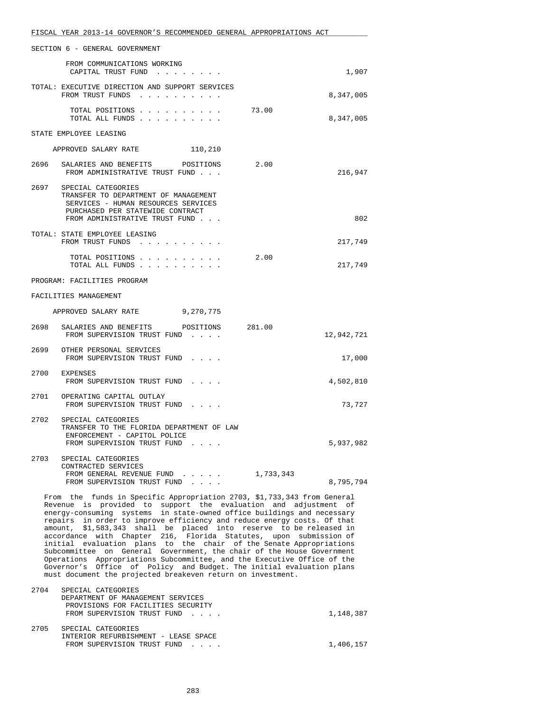|                                                                                                                                                                                                                                                                                                                                                                                                                                                                                                                                                                                                                                                                                                                                                                                                             | FISCAL YEAR 2013-14 GOVERNOR'S RECOMMENDED GENERAL APPROPRIATIONS ACT                                                                                                        |        |            |  |  |
|-------------------------------------------------------------------------------------------------------------------------------------------------------------------------------------------------------------------------------------------------------------------------------------------------------------------------------------------------------------------------------------------------------------------------------------------------------------------------------------------------------------------------------------------------------------------------------------------------------------------------------------------------------------------------------------------------------------------------------------------------------------------------------------------------------------|------------------------------------------------------------------------------------------------------------------------------------------------------------------------------|--------|------------|--|--|
| SECTION 6 - GENERAL GOVERNMENT                                                                                                                                                                                                                                                                                                                                                                                                                                                                                                                                                                                                                                                                                                                                                                              |                                                                                                                                                                              |        |            |  |  |
|                                                                                                                                                                                                                                                                                                                                                                                                                                                                                                                                                                                                                                                                                                                                                                                                             | FROM COMMUNICATIONS WORKING<br>CAPITAL TRUST FUND                                                                                                                            |        | 1,907      |  |  |
|                                                                                                                                                                                                                                                                                                                                                                                                                                                                                                                                                                                                                                                                                                                                                                                                             | TOTAL: EXECUTIVE DIRECTION AND SUPPORT SERVICES<br>FROM TRUST FUNDS                                                                                                          |        | 8,347,005  |  |  |
|                                                                                                                                                                                                                                                                                                                                                                                                                                                                                                                                                                                                                                                                                                                                                                                                             | TOTAL POSITIONS<br>TOTAL ALL FUNDS                                                                                                                                           | 73.00  | 8,347,005  |  |  |
|                                                                                                                                                                                                                                                                                                                                                                                                                                                                                                                                                                                                                                                                                                                                                                                                             | STATE EMPLOYEE LEASING                                                                                                                                                       |        |            |  |  |
|                                                                                                                                                                                                                                                                                                                                                                                                                                                                                                                                                                                                                                                                                                                                                                                                             | 110,210<br>APPROVED SALARY RATE                                                                                                                                              |        |            |  |  |
|                                                                                                                                                                                                                                                                                                                                                                                                                                                                                                                                                                                                                                                                                                                                                                                                             | 2696 SALARIES AND BENEFITS POSITIONS<br>FROM ADMINISTRATIVE TRUST FUND                                                                                                       | 2.00   | 216,947    |  |  |
|                                                                                                                                                                                                                                                                                                                                                                                                                                                                                                                                                                                                                                                                                                                                                                                                             | 2697 SPECIAL CATEGORIES<br>TRANSFER TO DEPARTMENT OF MANAGEMENT<br>SERVICES - HUMAN RESOURCES SERVICES<br>PURCHASED PER STATEWIDE CONTRACT<br>FROM ADMINISTRATIVE TRUST FUND |        | 802        |  |  |
|                                                                                                                                                                                                                                                                                                                                                                                                                                                                                                                                                                                                                                                                                                                                                                                                             | TOTAL: STATE EMPLOYEE LEASING<br>FROM TRUST FUNDS                                                                                                                            |        | 217,749    |  |  |
|                                                                                                                                                                                                                                                                                                                                                                                                                                                                                                                                                                                                                                                                                                                                                                                                             | TOTAL POSITIONS<br>TOTAL ALL FUNDS                                                                                                                                           | 2.00   | 217,749    |  |  |
|                                                                                                                                                                                                                                                                                                                                                                                                                                                                                                                                                                                                                                                                                                                                                                                                             | PROGRAM: FACILITIES PROGRAM                                                                                                                                                  |        |            |  |  |
|                                                                                                                                                                                                                                                                                                                                                                                                                                                                                                                                                                                                                                                                                                                                                                                                             | FACILITIES MANAGEMENT                                                                                                                                                        |        |            |  |  |
|                                                                                                                                                                                                                                                                                                                                                                                                                                                                                                                                                                                                                                                                                                                                                                                                             | APPROVED SALARY RATE 9,270,775                                                                                                                                               |        |            |  |  |
| 2698                                                                                                                                                                                                                                                                                                                                                                                                                                                                                                                                                                                                                                                                                                                                                                                                        | SALARIES AND BENEFITS POSITIONS<br>FROM SUPERVISION TRUST FUND                                                                                                               | 281.00 | 12,942,721 |  |  |
|                                                                                                                                                                                                                                                                                                                                                                                                                                                                                                                                                                                                                                                                                                                                                                                                             | 2699 OTHER PERSONAL SERVICES<br>FROM SUPERVISION TRUST FUND                                                                                                                  |        | 17,000     |  |  |
|                                                                                                                                                                                                                                                                                                                                                                                                                                                                                                                                                                                                                                                                                                                                                                                                             | 2700 EXPENSES<br>FROM SUPERVISION TRUST FUND                                                                                                                                 |        | 4,502,810  |  |  |
|                                                                                                                                                                                                                                                                                                                                                                                                                                                                                                                                                                                                                                                                                                                                                                                                             | 2701 OPERATING CAPITAL OUTLAY<br>FROM SUPERVISION TRUST FUND                                                                                                                 |        | 73,727     |  |  |
| 2702                                                                                                                                                                                                                                                                                                                                                                                                                                                                                                                                                                                                                                                                                                                                                                                                        | SPECIAL CATEGORIES<br>TRANSFER TO THE FLORIDA DEPARTMENT OF LAW<br>ENFORCEMENT - CAPITOL POLICE<br>FROM SUPERVISION TRUST FUND                                               |        | 5,937,982  |  |  |
|                                                                                                                                                                                                                                                                                                                                                                                                                                                                                                                                                                                                                                                                                                                                                                                                             | 2703 SPECIAL CATEGORIES<br>CONTRACTED SERVICES<br>FROM GENERAL REVENUE FUND 1,733,343                                                                                        |        |            |  |  |
|                                                                                                                                                                                                                                                                                                                                                                                                                                                                                                                                                                                                                                                                                                                                                                                                             | FROM SUPERVISION TRUST FUND<br>$\sim$ $\sim$                                                                                                                                 |        | 8,795,794  |  |  |
| From the funds in Specific Appropriation 2703, \$1,733,343 from General<br>Revenue is provided to support the evaluation and adjustment of<br>energy-consuming systems in state-owned office buildings and necessary<br>repairs in order to improve efficiency and reduce energy costs. Of that<br>amount, \$1,583,343 shall be placed into reserve to be released in<br>accordance with Chapter 216, Florida Statutes, upon submission of<br>initial evaluation plans to the chair of the Senate Appropriations<br>Subcommittee on General Government, the chair of the House Government<br>Operations Appropriations Subcommittee, and the Executive Office of the<br>Governor's Office of Policy and Budget. The initial evaluation plans<br>must document the projected breakeven return on investment. |                                                                                                                                                                              |        |            |  |  |
| 2704                                                                                                                                                                                                                                                                                                                                                                                                                                                                                                                                                                                                                                                                                                                                                                                                        | SPECIAL CATEGORIES<br>DEPARTMENT OF MANAGEMENT SERVICES                                                                                                                      |        |            |  |  |
|                                                                                                                                                                                                                                                                                                                                                                                                                                                                                                                                                                                                                                                                                                                                                                                                             | PROVISIONS FOR FACILITIES SECURITY<br>FROM SUPERVISION TRUST FUND                                                                                                            |        | 1,148,387  |  |  |

| 2705 | SPECIAL CATEGORIES                   |           |
|------|--------------------------------------|-----------|
|      | INTERIOR REFURBISHMENT - LEASE SPACE |           |
|      | FROM SUPERVISION TRUST FUND          | 1,406,157 |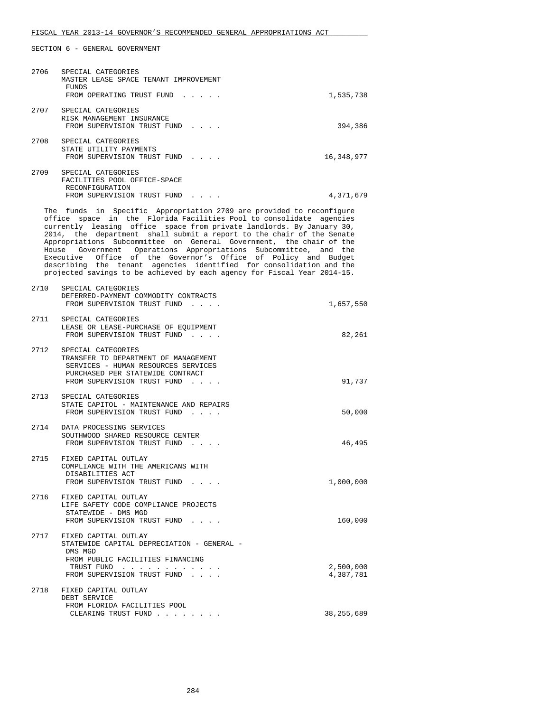| 2706 | SPECIAL CATEGORIES<br>MASTER LEASE SPACE TENANT IMPROVEMENT<br>FUNDS<br>FROM OPERATING TRUST FUND           | $\overline{a}$ and $\overline{a}$ and $\overline{a}$ | 1,535,738  |
|------|-------------------------------------------------------------------------------------------------------------|------------------------------------------------------|------------|
| 2707 | SPECIAL CATEGORIES<br>RISK MANAGEMENT INSURANCE<br>FROM SUPERVISION TRUST FUND                              | $\cdot$ $\cdot$ $\cdot$ $\cdot$                      | 394,386    |
| 2708 | SPECIAL CATEGORIES<br>STATE UTILITY PAYMENTS<br>FROM SUPERVISION TRUST FUND                                 |                                                      | 16,348,977 |
| 2709 | SPECIAL CATEGORIES<br>FACILITIES POOL OFFICE-SPACE<br><b>RECONFIGURATION</b><br>FROM SUPERVISION TRUST FUND |                                                      | 4,371,679  |

 The funds in Specific Appropriation 2709 are provided to reconfigure office space in the Florida Facilities Pool to consolidate agencies currently leasing office space from private landlords. By January 30, 2014, the department shall submit a report to the chair of the Senate Appropriations Subcommittee on General Government, the chair of the House Government Operations Appropriations Subcommittee, and the Executive Office of the Governor's Office of Policy and Budget describing the tenant agencies identified for consolidation and the projected savings to be achieved by each agency for Fiscal Year 2014-15.

| 2710 | SPECIAL CATEGORIES<br>DEFERRED-PAYMENT COMMODITY CONTRACTS<br>FROM SUPERVISION TRUST FUND                                                                            | 1,657,550              |
|------|----------------------------------------------------------------------------------------------------------------------------------------------------------------------|------------------------|
|      | 2711 SPECIAL CATEGORIES<br>LEASE OR LEASE-PURCHASE OF EQUIPMENT<br>FROM SUPERVISION TRUST FUND                                                                       | 82,261                 |
| 2712 | SPECIAL CATEGORIES<br>TRANSFER TO DEPARTMENT OF MANAGEMENT<br>SERVICES - HUMAN RESOURCES SERVICES<br>PURCHASED PER STATEWIDE CONTRACT<br>FROM SUPERVISION TRUST FUND | 91,737                 |
|      | 2713 SPECIAL CATEGORIES<br>STATE CAPITOL - MAINTENANCE AND REPAIRS<br>FROM SUPERVISION TRUST FUND                                                                    | 50,000                 |
|      | 2714 DATA PROCESSING SERVICES<br>SOUTHWOOD SHARED RESOURCE CENTER<br>FROM SUPERVISION TRUST FUND                                                                     | 46,495                 |
|      | 2715 FIXED CAPITAL OUTLAY<br>COMPLIANCE WITH THE AMERICANS WITH<br>DISABILITIES ACT<br>FROM SUPERVISION TRUST FUND                                                   | 1,000,000              |
|      | 2716 FIXED CAPITAL OUTLAY<br>LIFE SAFETY CODE COMPLIANCE PROJECTS<br>STATEWIDE - DMS MGD<br>FROM SUPERVISION TRUST FUND                                              | 160,000                |
|      | 2717 FIXED CAPITAL OUTLAY<br>STATEWIDE CAPITAL DEPRECIATION - GENERAL -<br>DMS MGD<br>FROM PUBLIC FACILITIES FINANCING<br>TRUST FUND<br>FROM SUPERVISION TRUST FUND  | 2,500,000<br>4,387,781 |
|      | 2718 FIXED CAPITAL OUTLAY<br>DEBT SERVICE<br>FROM FLORIDA FACILITIES POOL                                                                                            | 38, 255, 689           |
|      | CLEARING TRUST FUND                                                                                                                                                  |                        |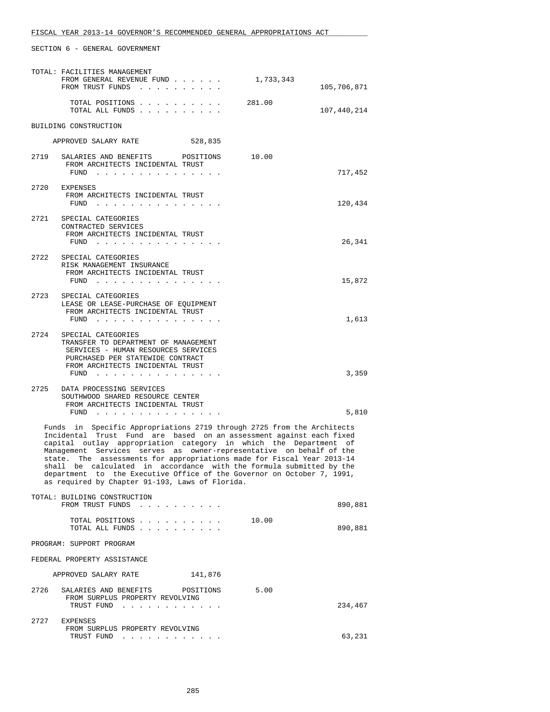|                                                                                                                                                                                                                                                                                                                                                                                                                                                                                                                                                                        | TOTAL: FACILITIES MANAGEMENT                                                                                                                                                      |        |             |
|------------------------------------------------------------------------------------------------------------------------------------------------------------------------------------------------------------------------------------------------------------------------------------------------------------------------------------------------------------------------------------------------------------------------------------------------------------------------------------------------------------------------------------------------------------------------|-----------------------------------------------------------------------------------------------------------------------------------------------------------------------------------|--------|-------------|
|                                                                                                                                                                                                                                                                                                                                                                                                                                                                                                                                                                        | FROM GENERAL REVENUE FUND $\ldots$ 1,733,343<br>FROM TRUST FUNDS                                                                                                                  |        | 105,706,871 |
|                                                                                                                                                                                                                                                                                                                                                                                                                                                                                                                                                                        | TOTAL POSITIONS<br>TOTAL ALL FUNDS                                                                                                                                                | 281.00 | 107,440,214 |
|                                                                                                                                                                                                                                                                                                                                                                                                                                                                                                                                                                        | BUILDING CONSTRUCTION                                                                                                                                                             |        |             |
|                                                                                                                                                                                                                                                                                                                                                                                                                                                                                                                                                                        | APPROVED SALARY RATE 528,835                                                                                                                                                      |        |             |
| 2719                                                                                                                                                                                                                                                                                                                                                                                                                                                                                                                                                                   | SALARIES AND BENEFITS POSITIONS<br>FROM ARCHITECTS INCIDENTAL TRUST<br>FUND $\cdots$                                                                                              | 10.00  | 717,452     |
|                                                                                                                                                                                                                                                                                                                                                                                                                                                                                                                                                                        | 2720 EXPENSES<br>FROM ARCHITECTS INCIDENTAL TRUST<br>FUND                                                                                                                         |        | 120,434     |
|                                                                                                                                                                                                                                                                                                                                                                                                                                                                                                                                                                        | 2721 SPECIAL CATEGORIES<br>CONTRACTED SERVICES<br>FROM ARCHITECTS INCIDENTAL TRUST<br>FUND $\cdots$                                                                               |        | 26,341      |
|                                                                                                                                                                                                                                                                                                                                                                                                                                                                                                                                                                        | 2722 SPECIAL CATEGORIES<br>RISK MANAGEMENT INSURANCE<br>FROM ARCHITECTS INCIDENTAL TRUST<br>FUND $\cdots$                                                                         |        | 15,872      |
| 2723                                                                                                                                                                                                                                                                                                                                                                                                                                                                                                                                                                   | SPECIAL CATEGORIES<br>LEASE OR LEASE-PURCHASE OF EQUIPMENT<br>FROM ARCHITECTS INCIDENTAL TRUST<br>FUND                                                                            |        | 1,613       |
| 2724                                                                                                                                                                                                                                                                                                                                                                                                                                                                                                                                                                   | SPECIAL CATEGORIES<br>TRANSFER TO DEPARTMENT OF MANAGEMENT<br>SERVICES - HUMAN RESOURCES SERVICES<br>PURCHASED PER STATEWIDE CONTRACT<br>FROM ARCHITECTS INCIDENTAL TRUST<br>FUND |        | 3,359       |
| 2725                                                                                                                                                                                                                                                                                                                                                                                                                                                                                                                                                                   | DATA PROCESSING SERVICES<br>SOUTHWOOD SHARED RESOURCE CENTER<br>FROM ARCHITECTS INCIDENTAL TRUST<br>FUND $\cdots$                                                                 |        | 5,810       |
| Funds in Specific Appropriations 2719 through 2725 from the Architects<br>Incidental Trust Fund are based on an assessment against each fixed<br>capital outlay appropriation category in which the Department of<br>Management Services serves as owner-representative on behalf of the<br>state. The assessments for appropriations made for Fiscal Year 2013-14<br>shall be calculated in accordance with the formula submitted by the<br>department to the Executive Office of the Governor on October 7, 1991,<br>as required by Chapter 91-193, Laws of Florida. |                                                                                                                                                                                   |        |             |
|                                                                                                                                                                                                                                                                                                                                                                                                                                                                                                                                                                        | TOTAL: BUILDING CONSTRUCTION<br>FROM TRUST FUNDS                                                                                                                                  |        | 890,881     |
|                                                                                                                                                                                                                                                                                                                                                                                                                                                                                                                                                                        | TOTAL POSITIONS 10.00<br>TOTAL ALL FUNDS                                                                                                                                          |        | 890,881     |
| PROGRAM: SUPPORT PROGRAM                                                                                                                                                                                                                                                                                                                                                                                                                                                                                                                                               |                                                                                                                                                                                   |        |             |
| FEDERAL PROPERTY ASSISTANCE                                                                                                                                                                                                                                                                                                                                                                                                                                                                                                                                            |                                                                                                                                                                                   |        |             |
|                                                                                                                                                                                                                                                                                                                                                                                                                                                                                                                                                                        | APPROVED SALARY RATE<br>141,876                                                                                                                                                   |        |             |
| 2726                                                                                                                                                                                                                                                                                                                                                                                                                                                                                                                                                                   | SALARIES AND BENEFITS POSITIONS<br>FROM SURPLUS PROPERTY REVOLVING<br>TRUST FUND                                                                                                  | 5.00   | 234,467     |
| 2727                                                                                                                                                                                                                                                                                                                                                                                                                                                                                                                                                                   | EXPENSES<br>FROM SURPLUS PROPERTY REVOLVING<br>TRUST FUND                                                                                                                         |        | 63,231      |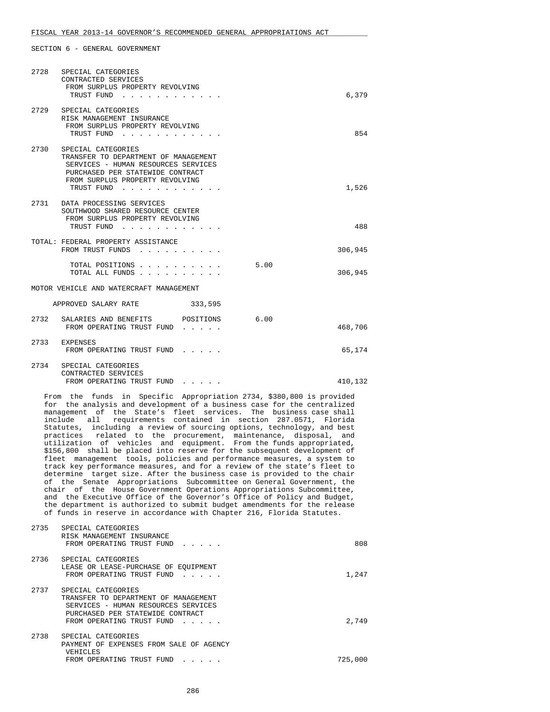| 2728                                    | SPECIAL CATEGORIES<br>CONTRACTED SERVICES<br>FROM SURPLUS PROPERTY REVOLVING<br>TRUST FUND                                                                                                  | 6,379           |  |  |
|-----------------------------------------|---------------------------------------------------------------------------------------------------------------------------------------------------------------------------------------------|-----------------|--|--|
|                                         | 2729 SPECIAL CATEGORIES<br>RISK MANAGEMENT INSURANCE<br>FROM SURPLUS PROPERTY REVOLVING<br>TRUST FUND                                                                                       | 854             |  |  |
|                                         | 2730 SPECIAL CATEGORIES<br>TRANSFER TO DEPARTMENT OF MANAGEMENT<br>SERVICES - HUMAN RESOURCES SERVICES<br>PURCHASED PER STATEWIDE CONTRACT<br>FROM SURPLUS PROPERTY REVOLVING<br>TRUST FUND | 1,526           |  |  |
|                                         | 2731 DATA PROCESSING SERVICES<br>SOUTHWOOD SHARED RESOURCE CENTER<br>FROM SURPLUS PROPERTY REVOLVING<br>TRUST FUND                                                                          | 488             |  |  |
|                                         | TOTAL: FEDERAL PROPERTY ASSISTANCE<br>FROM TRUST FUNDS                                                                                                                                      | 306,945         |  |  |
|                                         | TOTAL POSITIONS<br>TOTAL ALL FUNDS                                                                                                                                                          | 5.00<br>306,945 |  |  |
| MOTOR VEHICLE AND WATERCRAFT MANAGEMENT |                                                                                                                                                                                             |                 |  |  |
| APPROVED SALARY RATE<br>333,595         |                                                                                                                                                                                             |                 |  |  |
|                                         | 2732 SALARIES AND BENEFITS POSITIONS 6.00<br>FROM OPERATING TRUST FUND                                                                                                                      | 468,706         |  |  |
|                                         | 2733 EXPENSES<br>FROM OPERATING TRUST FUND                                                                                                                                                  | 65,174          |  |  |
| 2734                                    | SPECIAL CATEGORIES<br>CONTRACTED SERVICES<br>FROM OPERATING TRUST FUND                                                                                                                      | 410,132         |  |  |

 From the funds in Specific Appropriation 2734, \$380,800 is provided for the analysis and development of a business case for the centralized management of the State's fleet services. The business case shall include all requirements contained in section 287.0571, Florida Statutes, including a review of sourcing options, technology, and best practices related to the procurement, maintenance, disposal, and utilization of vehicles and equipment. From the funds appropriated, \$156,800 shall be placed into reserve for the subsequent development of fleet management tools, policies and performance measures, a system to track key performance measures, and for a review of the state's fleet to determine target size. After the business case is provided to the chair of the Senate Appropriations Subcommittee on General Government, the chair of the House Government Operations Appropriations Subcommittee, and the Executive Office of the Governor's Office of Policy and Budget, the department is authorized to submit budget amendments for the release of funds in reserve in accordance with Chapter 216, Florida Statutes.

| 2735 | SPECIAL CATEGORIES<br>RISK MANAGEMENT INSURANCE<br>FROM OPERATING TRUST FUND                                                                                                                                  | 808     |
|------|---------------------------------------------------------------------------------------------------------------------------------------------------------------------------------------------------------------|---------|
| 2736 | SPECIAL CATEGORIES<br>LEASE OR LEASE-PURCHASE OF EOUIPMENT<br>FROM OPERATING TRUST FUND<br>$\sim$ $\sim$ $\sim$ $\sim$ $\sim$                                                                                 | 1,247   |
| 2737 | SPECIAL CATEGORIES<br>TRANSFER TO DEPARTMENT OF MANAGEMENT<br>SERVICES - HUMAN RESOURCES SERVICES<br>PURCHASED PER STATEWIDE CONTRACT<br>FROM OPERATING TRUST FUND<br>$\cdot$ $\cdot$ $\cdot$ $\cdot$ $\cdot$ | 2,749   |
| 2738 | SPECIAL CATEGORIES<br>PAYMENT OF EXPENSES FROM SALE OF AGENCY<br>VEHICLES                                                                                                                                     |         |
|      | FROM OPERATING TRUST FUND                                                                                                                                                                                     | 725,000 |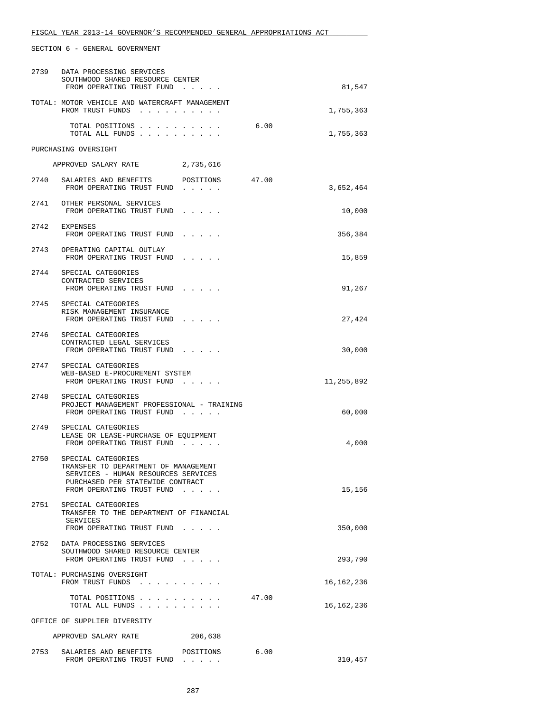|      | 2739 DATA PROCESSING SERVICES<br>SOUTHWOOD SHARED RESOURCE CENTER<br>FROM OPERATING TRUST FUND                                                                     |           |       | 81,547     |
|------|--------------------------------------------------------------------------------------------------------------------------------------------------------------------|-----------|-------|------------|
|      | TOTAL: MOTOR VEHICLE AND WATERCRAFT MANAGEMENT<br>FROM TRUST FUNDS                                                                                                 |           |       | 1,755,363  |
|      | TOTAL POSITIONS<br>TOTAL ALL FUNDS                                                                                                                                 |           | 6.00  | 1,755,363  |
|      | PURCHASING OVERSIGHT                                                                                                                                               |           |       |            |
|      | APPROVED SALARY RATE 2,735,616                                                                                                                                     |           |       |            |
|      | 2740 SALARIES AND BENEFITS<br>FROM OPERATING TRUST FUND                                                                                                            | POSITIONS | 47.00 | 3,652,464  |
|      | 2741 OTHER PERSONAL SERVICES<br>FROM OPERATING TRUST FUND                                                                                                          |           |       | 10,000     |
|      | 2742 EXPENSES<br>FROM OPERATING TRUST FUND                                                                                                                         |           |       | 356,384    |
|      | 2743 OPERATING CAPITAL OUTLAY<br>FROM OPERATING TRUST FUND                                                                                                         |           |       | 15,859     |
|      | 2744 SPECIAL CATEGORIES<br>CONTRACTED SERVICES<br>FROM OPERATING TRUST FUND                                                                                        |           |       | 91,267     |
|      | 2745 SPECIAL CATEGORIES<br>RISK MANAGEMENT INSURANCE<br>FROM OPERATING TRUST FUND                                                                                  |           |       | 27,424     |
|      | 2746 SPECIAL CATEGORIES<br>CONTRACTED LEGAL SERVICES<br>FROM OPERATING TRUST FUND                                                                                  |           |       | 30,000     |
|      | 2747 SPECIAL CATEGORIES<br>WEB-BASED E-PROCUREMENT SYSTEM<br>FROM OPERATING TRUST FUND                                                                             |           |       | 11,255,892 |
| 2748 | SPECIAL CATEGORIES<br>PROJECT MANAGEMENT PROFESSIONAL - TRAINING<br>FROM OPERATING TRUST FUND                                                                      |           |       | 60,000     |
| 2749 | SPECIAL CATEGORIES<br>LEASE OR LEASE-PURCHASE OF EQUIPMENT<br>FROM OPERATING TRUST FUND                                                                            |           |       | 4,000      |
| 2750 | SPECIAL CATEGORIES<br>TRANSFER TO DEPARTMENT OF MANAGEMENT<br>SERVICES - HUMAN RESOURCES SERVICES<br>PURCHASED PER STATEWIDE CONTRACT<br>FROM OPERATING TRUST FUND |           |       | 15,156     |
| 2751 | SPECIAL CATEGORIES<br>TRANSFER TO THE DEPARTMENT OF FINANCIAL<br>SERVICES<br>FROM OPERATING TRUST FUND                                                             |           |       | 350,000    |
| 2752 | DATA PROCESSING SERVICES<br>SOUTHWOOD SHARED RESOURCE CENTER<br>FROM OPERATING TRUST FUND                                                                          |           |       | 293,790    |
|      | TOTAL: PURCHASING OVERSIGHT<br>FROM TRUST FUNDS                                                                                                                    |           |       | 16,162,236 |
|      | TOTAL POSITIONS<br>TOTAL ALL FUNDS                                                                                                                                 |           | 47.00 | 16,162,236 |
|      | OFFICE OF SUPPLIER DIVERSITY                                                                                                                                       |           |       |            |
|      | APPROVED SALARY RATE                                                                                                                                               | 206,638   |       |            |
|      | 2753 SALARIES AND BENEFITS POSITIONS                                                                                                                               |           | 6.00  |            |

FISCAL YEAR 2013-14 GOVERNOR'S RECOMMENDED GENERAL APPROPRIATIONS ACT \_\_\_\_\_\_\_\_\_\_\_\_\_\_\_\_\_\_\_\_\_\_\_\_\_\_\_\_\_\_\_\_\_\_\_\_\_\_\_\_\_\_\_\_\_\_\_\_\_\_\_\_\_\_\_\_\_\_\_\_\_\_\_\_\_\_\_\_\_\_\_\_\_\_\_\_\_\_

SECTION 6 - GENERAL GOVERNMENT

FROM OPERATING TRUST FUND  $\ldots$  . . . . . . . . 310,457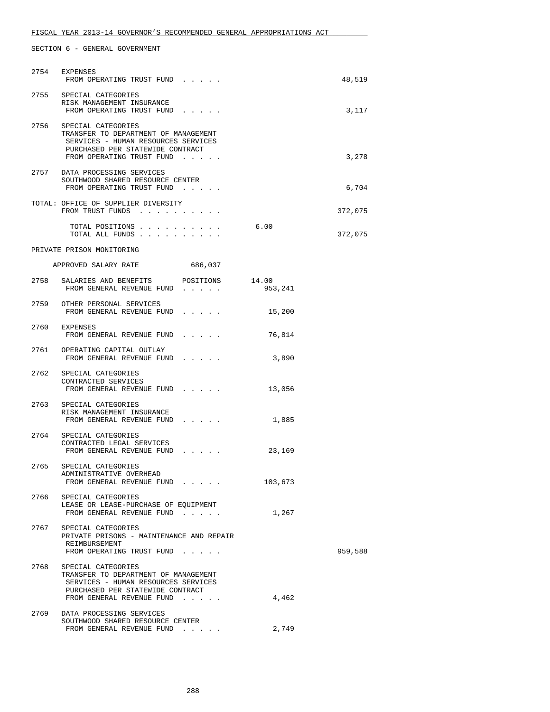|      | 2754 EXPENSES<br>FROM OPERATING TRUST FUND                                                                                                                              |         | 48,519  |
|------|-------------------------------------------------------------------------------------------------------------------------------------------------------------------------|---------|---------|
|      | 2755 SPECIAL CATEGORIES<br>RISK MANAGEMENT INSURANCE<br>FROM OPERATING TRUST FUND                                                                                       |         | 3,117   |
|      | 2756 SPECIAL CATEGORIES<br>TRANSFER TO DEPARTMENT OF MANAGEMENT<br>SERVICES - HUMAN RESOURCES SERVICES<br>PURCHASED PER STATEWIDE CONTRACT<br>FROM OPERATING TRUST FUND |         | 3,278   |
|      | 2757 DATA PROCESSING SERVICES<br>SOUTHWOOD SHARED RESOURCE CENTER<br>FROM OPERATING TRUST FUND                                                                          |         | 6,704   |
|      | TOTAL: OFFICE OF SUPPLIER DIVERSITY<br>FROM TRUST FUNDS                                                                                                                 |         | 372,075 |
|      | TOTAL POSITIONS<br>TOTAL ALL FUNDS                                                                                                                                      | 6.00    | 372,075 |
|      | PRIVATE PRISON MONITORING                                                                                                                                               |         |         |
|      | APPROVED SALARY RATE<br>686,037                                                                                                                                         |         |         |
|      | 2758 SALARIES AND BENEFITS POSITIONS 14.00<br>FROM GENERAL REVENUE FUND                                                                                                 | 953,241 |         |
|      | 2759 OTHER PERSONAL SERVICES<br>FROM GENERAL REVENUE FUND                                                                                                               | 15,200  |         |
|      | 2760 EXPENSES<br>FROM GENERAL REVENUE FUND                                                                                                                              | 76,814  |         |
|      | 2761 OPERATING CAPITAL OUTLAY<br>FROM GENERAL REVENUE FUND                                                                                                              | 3,890   |         |
|      | 2762 SPECIAL CATEGORIES<br>CONTRACTED SERVICES<br>FROM GENERAL REVENUE FUND                                                                                             | 13,056  |         |
|      | 2763 SPECIAL CATEGORIES<br>RISK MANAGEMENT INSURANCE<br>FROM GENERAL REVENUE FUND                                                                                       | 1,885   |         |
|      | 2764 SPECIAL CATEGORIES<br>CONTRACTED LEGAL SERVICES<br>FROM GENERAL REVENUE FUND                                                                                       | 23,169  |         |
|      | 2765 SPECIAL CATEGORIES<br>ADMINISTRATIVE OVERHEAD<br>FROM GENERAL REVENUE FUND                                                                                         | 103,673 |         |
|      | 2766 SPECIAL CATEGORIES<br>LEASE OR LEASE-PURCHASE OF EQUIPMENT<br>FROM GENERAL REVENUE FUND                                                                            | 1,267   |         |
|      | 2767 SPECIAL CATEGORIES<br>PRIVATE PRISONS - MAINTENANCE AND REPAIR<br>REIMBURSEMENT<br>FROM OPERATING TRUST FUND                                                       |         | 959,588 |
| 2768 | SPECIAL CATEGORIES<br>TRANSFER TO DEPARTMENT OF MANAGEMENT<br>SERVICES - HUMAN RESOURCES SERVICES<br>PURCHASED PER STATEWIDE CONTRACT<br>FROM GENERAL REVENUE FUND      | 4,462   |         |
|      | 2769 DATA PROCESSING SERVICES<br>SOUTHWOOD SHARED RESOURCE CENTER                                                                                                       |         |         |
|      | FROM GENERAL REVENUE FUND                                                                                                                                               | 2,749   |         |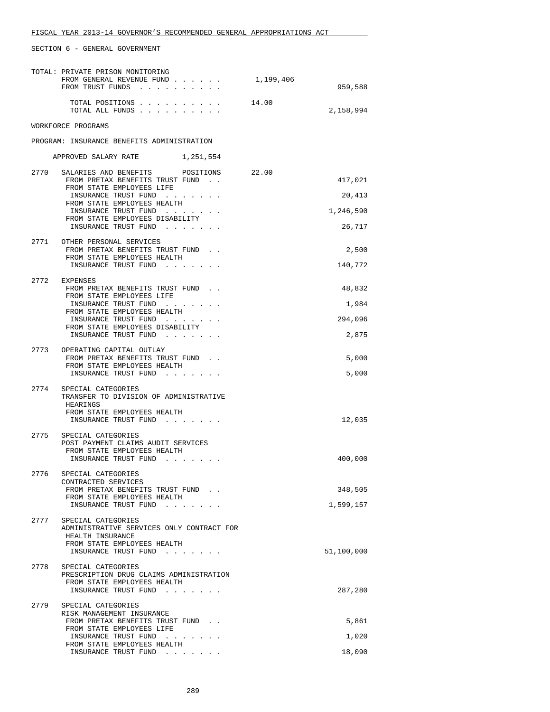| TOTAL: PRIVATE PRISON MONITORING<br>FROM GENERAL REVENUE FUND<br>FROM TRUST FUNDS                                                                                                                                                                  |       | 1,199,406 | 959,588                                  |
|----------------------------------------------------------------------------------------------------------------------------------------------------------------------------------------------------------------------------------------------------|-------|-----------|------------------------------------------|
| TOTAL POSITIONS<br>TOTAL ALL FUNDS                                                                                                                                                                                                                 | 14.00 |           | 2,158,994                                |
| WORKFORCE PROGRAMS                                                                                                                                                                                                                                 |       |           |                                          |
| PROGRAM: INSURANCE BENEFITS ADMINISTRATION                                                                                                                                                                                                         |       |           |                                          |
| APPROVED SALARY RATE 1,251,554                                                                                                                                                                                                                     |       |           |                                          |
| SALARIES AND BENEFITS POSITIONS<br>2770<br>FROM PRETAX BENEFITS TRUST FUND.<br>FROM STATE EMPLOYEES LIFE<br>INSURANCE TRUST FUND<br>FROM STATE EMPLOYEES HEALTH<br>INSURANCE TRUST FUND<br>FROM STATE EMPLOYEES DISABILITY<br>INSURANCE TRUST FUND |       | 22.00     | 417,021<br>20,413<br>1,246,590<br>26,717 |
| 2771 OTHER PERSONAL SERVICES<br>FROM PRETAX BENEFITS TRUST FUND.<br>FROM STATE EMPLOYEES HEALTH<br>INSURANCE TRUST FUND                                                                                                                            |       |           | 2,500<br>140,772                         |
| 2772 EXPENSES<br>FROM PRETAX BENEFITS TRUST FUND.<br>FROM STATE EMPLOYEES LIFE<br>INSURANCE TRUST FUND<br>FROM STATE EMPLOYEES HEALTH<br>INSURANCE TRUST FUND<br>FROM STATE EMPLOYEES DISABILITY<br>INSURANCE TRUST FUND                           |       |           | 48,832<br>1,984<br>294,096<br>2,875      |
| 2773 OPERATING CAPITAL OUTLAY<br>FROM PRETAX BENEFITS TRUST FUND.<br>FROM STATE EMPLOYEES HEALTH<br>INSURANCE TRUST FUND                                                                                                                           |       |           | 5,000<br>5,000                           |
| 2774<br>SPECIAL CATEGORIES<br>TRANSFER TO DIVISION OF ADMINISTRATIVE<br>HEARINGS<br>FROM STATE EMPLOYEES HEALTH<br>INSURANCE TRUST FUND                                                                                                            |       |           | 12,035                                   |
| 2775<br>SPECIAL CATEGORIES<br>POST PAYMENT CLAIMS AUDIT SERVICES<br>FROM STATE EMPLOYEES HEALTH<br>INSURANCE TRUST FUND                                                                                                                            |       |           | 400,000                                  |
| 2776<br>SPECIAL CATEGORIES<br>CONTRACTED SERVICES<br>FROM PRETAX BENEFITS TRUST FUND.<br>FROM STATE EMPLOYEES HEALTH<br>INSURANCE TRUST FUND                                                                                                       |       |           | 348,505<br>1,599,157                     |
| 2777<br>SPECIAL CATEGORIES<br>ADMINISTRATIVE SERVICES ONLY CONTRACT FOR<br>HEALTH INSURANCE<br>FROM STATE EMPLOYEES HEALTH<br>INSURANCE TRUST FUND                                                                                                 |       |           | 51,100,000                               |
| 2778<br>SPECIAL CATEGORIES<br>PRESCRIPTION DRUG CLAIMS ADMINISTRATION<br>FROM STATE EMPLOYEES HEALTH<br>INSURANCE TRUST FUND                                                                                                                       |       |           | 287,280                                  |
| 2779<br>SPECIAL CATEGORIES<br>RISK MANAGEMENT INSURANCE<br>FROM PRETAX BENEFITS TRUST FUND<br>FROM STATE EMPLOYEES LIFE                                                                                                                            |       |           | 5,861                                    |
| INSURANCE TRUST FUND<br>FROM STATE EMPLOYEES HEALTH                                                                                                                                                                                                |       |           | 1,020                                    |
| INSURANCE TRUST FUND                                                                                                                                                                                                                               |       |           | 18,090                                   |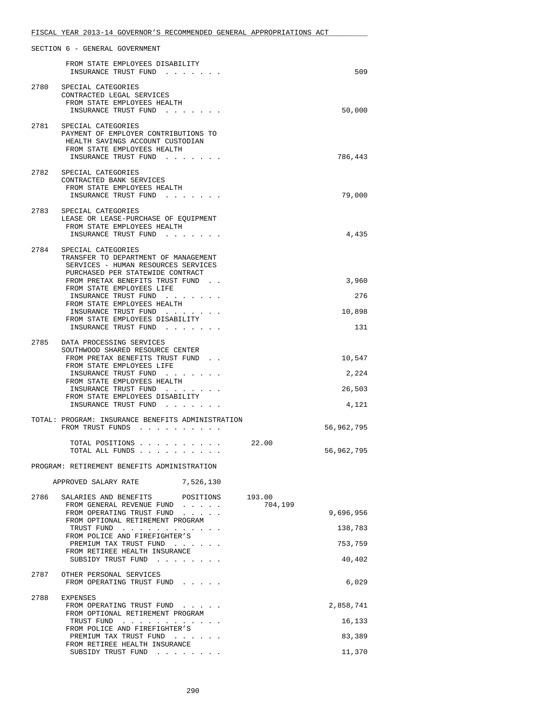|      | SECTION 6 - GENERAL GOVERNMENT                                                                                                                                                                                                                                                                                                                   |                   |                                           |
|------|--------------------------------------------------------------------------------------------------------------------------------------------------------------------------------------------------------------------------------------------------------------------------------------------------------------------------------------------------|-------------------|-------------------------------------------|
|      | FROM STATE EMPLOYEES DISABILITY<br>INSURANCE TRUST FUND.                                                                                                                                                                                                                                                                                         |                   | 509                                       |
| 2780 | SPECIAL CATEGORIES<br>CONTRACTED LEGAL SERVICES<br>FROM STATE EMPLOYEES HEALTH<br>INSURANCE TRUST FUND.                                                                                                                                                                                                                                          |                   | 50,000                                    |
|      | 2781 SPECIAL CATEGORIES<br>PAYMENT OF EMPLOYER CONTRIBUTIONS TO<br>HEALTH SAVINGS ACCOUNT CUSTODIAN<br>FROM STATE EMPLOYEES HEALTH<br>INSURANCE TRUST FUND                                                                                                                                                                                       |                   | 786,443                                   |
| 2782 | SPECIAL CATEGORIES<br>CONTRACTED BANK SERVICES<br>FROM STATE EMPLOYEES HEALTH<br>INSURANCE TRUST FUND                                                                                                                                                                                                                                            |                   | 79,000                                    |
|      | 2783 SPECIAL CATEGORIES<br>LEASE OR LEASE-PURCHASE OF EQUIPMENT<br>FROM STATE EMPLOYEES HEALTH<br>INSURANCE TRUST FUND                                                                                                                                                                                                                           |                   | 4,435                                     |
| 2784 | SPECIAL CATEGORIES<br>TRANSFER TO DEPARTMENT OF MANAGEMENT<br>SERVICES - HUMAN RESOURCES SERVICES<br>PURCHASED PER STATEWIDE CONTRACT<br>FROM PRETAX BENEFITS TRUST FUND.<br>FROM STATE EMPLOYEES LIFE<br>INSURANCE TRUST FUND<br>FROM STATE EMPLOYEES HEALTH<br>INSURANCE TRUST FUND<br>FROM STATE EMPLOYEES DISABILITY<br>INSURANCE TRUST FUND |                   | 3,960<br>276<br>10,898<br>131             |
| 2785 | DATA PROCESSING SERVICES<br>SOUTHWOOD SHARED RESOURCE CENTER<br>FROM PRETAX BENEFITS TRUST FUND<br>FROM STATE EMPLOYEES LIFE<br>INSURANCE TRUST FUND<br>FROM STATE EMPLOYEES HEALTH<br>INSURANCE TRUST FUND<br>FROM STATE EMPLOYEES DISABILITY<br>INSURANCE TRUST FUND                                                                           |                   | 10,547<br>2,224<br>26,503<br>4,121        |
|      | TOTAL: PROGRAM: INSURANCE BENEFITS ADMINISTRATION<br>FROM TRUST FUNDS<br>TOTAL POSITIONS                                                                                                                                                                                                                                                         |                   | 56,962,795                                |
|      | TOTAL ALL FUNDS                                                                                                                                                                                                                                                                                                                                  | 22.00             | 56,962,795                                |
|      | PROGRAM: RETIREMENT BENEFITS ADMINISTRATION                                                                                                                                                                                                                                                                                                      |                   |                                           |
|      | APPROVED SALARY RATE<br>7,526,130                                                                                                                                                                                                                                                                                                                |                   |                                           |
| 2786 | SALARIES AND BENEFITS POSITIONS<br>FROM GENERAL REVENUE FUND<br>FROM OPERATING TRUST FUND<br>FROM OPTIONAL RETIREMENT PROGRAM<br>TRUST FUND<br>FROM POLICE AND FIREFIGHTER'S<br>PREMIUM TAX TRUST FUND<br>FROM RETIREE HEALTH INSURANCE<br>SUBSIDY TRUST FUND                                                                                    | 193.00<br>704,199 | 9,696,956<br>138,783<br>753,759<br>40,402 |
| 2787 | OTHER PERSONAL SERVICES<br>FROM OPERATING TRUST FUND                                                                                                                                                                                                                                                                                             |                   | 6,029                                     |
| 2788 | EXPENSES<br>FROM OPERATING TRUST FUND<br>FROM OPTIONAL RETIREMENT PROGRAM<br>TRUST FUND<br>FROM POLICE AND FIREFIGHTER'S<br>PREMIUM TAX TRUST FUND<br>FROM RETIREE HEALTH INSURANCE<br>SUBSIDY TRUST FUND                                                                                                                                        |                   | 2,858,741<br>16,133<br>83,389<br>11,370   |
|      |                                                                                                                                                                                                                                                                                                                                                  |                   |                                           |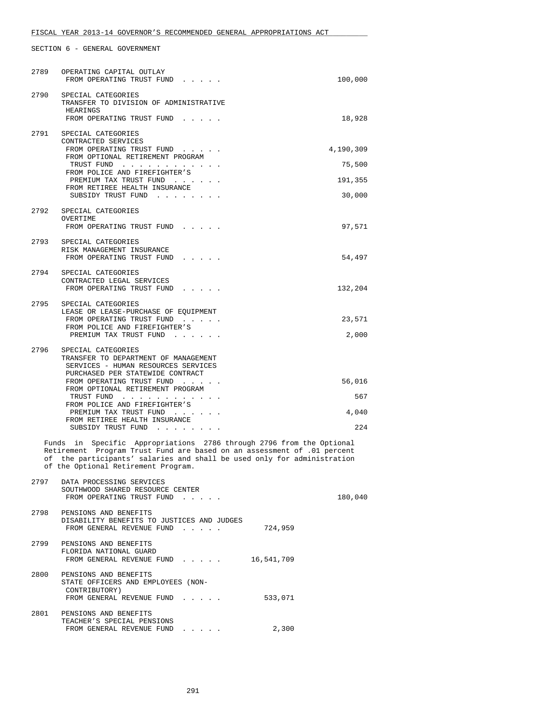| 2789 | OPERATING CAPITAL OUTLAY<br>FROM OPERATING TRUST FUND                                                                                                                                                                                                                | 100,000   |
|------|----------------------------------------------------------------------------------------------------------------------------------------------------------------------------------------------------------------------------------------------------------------------|-----------|
| 2790 | SPECIAL CATEGORIES<br>TRANSFER TO DIVISION OF ADMINISTRATIVE<br>HEARINGS<br>FROM OPERATING TRUST FUND                                                                                                                                                                | 18,928    |
| 2791 | SPECIAL CATEGORIES<br>CONTRACTED SERVICES                                                                                                                                                                                                                            |           |
|      | FROM OPERATING TRUST FUND<br>FROM OPTIONAL RETIREMENT PROGRAM                                                                                                                                                                                                        | 4,190,309 |
|      | TRUST FUND<br>FROM POLICE AND FIREFIGHTER'S                                                                                                                                                                                                                          | 75,500    |
|      | PREMIUM TAX TRUST FUND<br>FROM RETIREE HEALTH INSURANCE                                                                                                                                                                                                              | 191,355   |
|      | SUBSIDY TRUST FUND                                                                                                                                                                                                                                                   | 30,000    |
| 2792 | SPECIAL CATEGORIES<br>OVERTIME                                                                                                                                                                                                                                       |           |
|      | FROM OPERATING TRUST FUND                                                                                                                                                                                                                                            | 97,571    |
| 2793 | SPECIAL CATEGORIES<br>RISK MANAGEMENT INSURANCE<br>FROM OPERATING TRUST FUND                                                                                                                                                                                         | 54,497    |
| 2794 | SPECIAL CATEGORIES                                                                                                                                                                                                                                                   |           |
|      | CONTRACTED LEGAL SERVICES<br>FROM OPERATING TRUST FUND                                                                                                                                                                                                               | 132,204   |
|      | 2795 SPECIAL CATEGORIES                                                                                                                                                                                                                                              |           |
|      | LEASE OR LEASE-PURCHASE OF EQUIPMENT<br>FROM OPERATING TRUST FUND                                                                                                                                                                                                    | 23,571    |
|      | FROM POLICE AND FIREFIGHTER'S<br>PREMIUM TAX TRUST FUND                                                                                                                                                                                                              | 2,000     |
| 2796 | SPECIAL CATEGORIES<br>TRANSFER TO DEPARTMENT OF MANAGEMENT<br>SERVICES - HUMAN RESOURCES SERVICES                                                                                                                                                                    |           |
|      | PURCHASED PER STATEWIDE CONTRACT<br>FROM OPERATING TRUST FUND                                                                                                                                                                                                        | 56,016    |
|      | FROM OPTIONAL RETIREMENT PROGRAM<br>TRUST FUND                                                                                                                                                                                                                       | 567       |
|      | FROM POLICE AND FIREFIGHTER'S<br>PREMIUM TAX TRUST FUND                                                                                                                                                                                                              | 4,040     |
|      | FROM RETIREE HEALTH INSURANCE<br>SUBSIDY TRUST FUND                                                                                                                                                                                                                  | 224       |
|      | Specific Appropriations 2786 through 2796 from the Optional<br>Funds in<br>Retirement Program Trust Fund are based on an assessment of .01 percent<br>of the participants' salaries and shall be used only for administration<br>of the Optional Retirement Program. |           |
|      | 2797 DATA PROCESSING SERVICES<br>SOUTHWOOD SHARED RESOURCE CENTER<br>FROM OPERATING TRUST FUND                                                                                                                                                                       | 180,040   |
|      | 2798 PENSIONS AND BENEFITS<br>DISABILITY BENEFITS TO JUSTICES AND JUDGES<br>724,959<br>FROM GENERAL REVENUE FUND                                                                                                                                                     |           |
|      | 2799 PENSIONS AND BENEFITS<br>FLORIDA NATIONAL GUARD<br>FROM GENERAL REVENUE FUND 16,541,709                                                                                                                                                                         |           |
|      | 2800 PENSIONS AND BENEFITS<br>STATE OFFICERS AND EMPLOYEES (NON-<br>CONTRIBUTORY)<br>FROM GENERAL REVENUE FUND<br>533,071                                                                                                                                            |           |
| 2801 | PENSIONS AND BENEFITS<br>TEACHER'S SPECIAL PENSIONS<br>FROM GENERAL REVENUE FUND<br>2,300                                                                                                                                                                            |           |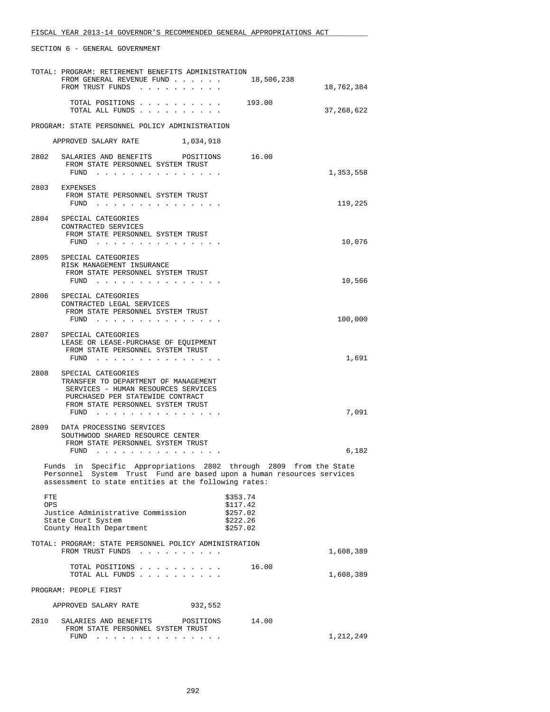|             | TOTAL: PROGRAM: RETIREMENT BENEFITS ADMINISTRATION<br>FROM GENERAL REVENUE FUND 18,506,238<br>FROM TRUST FUNDS                                                                                     |                                                          | 18,762,384 |
|-------------|----------------------------------------------------------------------------------------------------------------------------------------------------------------------------------------------------|----------------------------------------------------------|------------|
|             | TOTAL POSITIONS 193.00<br>TOTAL ALL FUNDS                                                                                                                                                          |                                                          | 37,268,622 |
|             | PROGRAM: STATE PERSONNEL POLICY ADMINISTRATION                                                                                                                                                     |                                                          |            |
|             | APPROVED SALARY RATE<br>1,034,918                                                                                                                                                                  |                                                          |            |
|             | 2802 SALARIES AND BENEFITS POSITIONS 16.00                                                                                                                                                         |                                                          |            |
|             | FROM STATE PERSONNEL SYSTEM TRUST<br>$FUND$                                                                                                                                                        |                                                          | 1,353,558  |
|             | 2803 EXPENSES<br>FROM STATE PERSONNEL SYSTEM TRUST<br>FUND $\cdots$                                                                                                                                |                                                          | 119,225    |
| 2804        | SPECIAL CATEGORIES<br>CONTRACTED SERVICES<br>FROM STATE PERSONNEL SYSTEM TRUST<br>$FUND$                                                                                                           |                                                          | 10,076     |
|             | 2805 SPECIAL CATEGORIES<br>RISK MANAGEMENT INSURANCE<br>FROM STATE PERSONNEL SYSTEM TRUST                                                                                                          |                                                          |            |
|             | $FUND$                                                                                                                                                                                             |                                                          | 10,566     |
|             | 2806 SPECIAL CATEGORIES<br>CONTRACTED LEGAL SERVICES<br>FROM STATE PERSONNEL SYSTEM TRUST<br>FUND $\ldots$ $\ldots$ $\ldots$ $\ldots$ $\ldots$ $\ldots$                                            |                                                          | 100,000    |
| 2807        | SPECIAL CATEGORIES<br>LEASE OR LEASE-PURCHASE OF EQUIPMENT<br>FROM STATE PERSONNEL SYSTEM TRUST<br>FUND                                                                                            |                                                          | 1,691      |
| 2808        | SPECIAL CATEGORIES<br>TRANSFER TO DEPARTMENT OF MANAGEMENT<br>SERVICES - HUMAN RESOURCES SERVICES<br>PURCHASED PER STATEWIDE CONTRACT<br>FROM STATE PERSONNEL SYSTEM TRUST<br>FUND $\cdots$        |                                                          | 7,091      |
| 2809        | DATA PROCESSING SERVICES<br>SOUTHWOOD SHARED RESOURCE CENTER<br>FROM STATE PERSONNEL SYSTEM TRUST<br>FUND $\cdots$                                                                                 |                                                          | 6,182      |
|             | Funds in Specific Appropriations 2802 through 2809 from the State<br>Personnel System Trust Fund are based upon a human resources services<br>assessment to state entities at the following rates: |                                                          |            |
| FTE<br>OPS. | Justice Administrative Commission<br>State Court System<br>County Health Department                                                                                                                | \$353.74<br>\$117.42<br>\$257.02<br>\$222.26<br>\$257.02 |            |
|             | TOTAL: PROGRAM: STATE PERSONNEL POLICY ADMINISTRATION<br>FROM TRUST FUNDS                                                                                                                          |                                                          | 1,608,389  |
|             | TOTAL POSITIONS<br>TOTAL ALL FUNDS                                                                                                                                                                 | 16.00                                                    | 1,608,389  |
|             | PROGRAM: PEOPLE FIRST                                                                                                                                                                              |                                                          |            |
|             | APPROVED SALARY RATE<br>932,552                                                                                                                                                                    |                                                          |            |
| 2810        | SALARIES AND BENEFITS POSITIONS<br>FROM STATE PERSONNEL SYSTEM TRUST                                                                                                                               | 14.00                                                    |            |
|             | FUND $\cdots$                                                                                                                                                                                      |                                                          | 1,212,249  |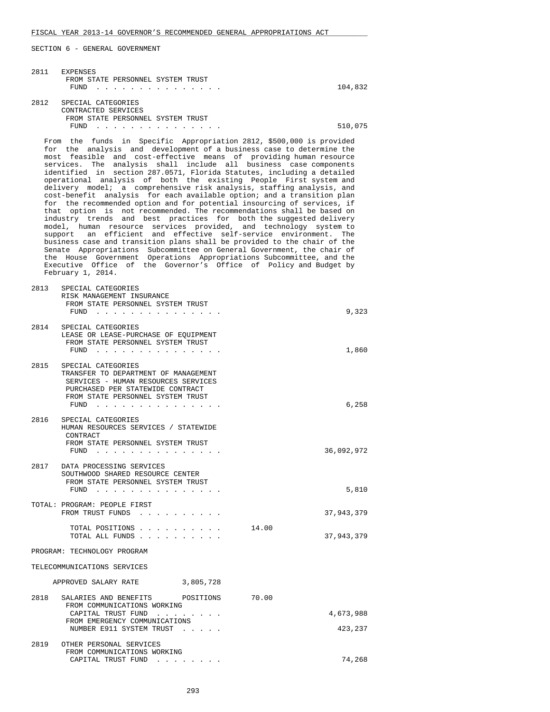| 2811 | EXPENSES<br>FROM STATE PERSONNEL SYSTEM TRUST<br>$FUND$                                                                                                                                                                                                                                                                                                                                                                                                                                                                                                                                                                                                                                                                                                                                                                                                                                                                                                                                                                                                                                                                                                                                                                                                                              | 104,832             |
|------|--------------------------------------------------------------------------------------------------------------------------------------------------------------------------------------------------------------------------------------------------------------------------------------------------------------------------------------------------------------------------------------------------------------------------------------------------------------------------------------------------------------------------------------------------------------------------------------------------------------------------------------------------------------------------------------------------------------------------------------------------------------------------------------------------------------------------------------------------------------------------------------------------------------------------------------------------------------------------------------------------------------------------------------------------------------------------------------------------------------------------------------------------------------------------------------------------------------------------------------------------------------------------------------|---------------------|
|      | 2812 SPECIAL CATEGORIES<br>CONTRACTED SERVICES                                                                                                                                                                                                                                                                                                                                                                                                                                                                                                                                                                                                                                                                                                                                                                                                                                                                                                                                                                                                                                                                                                                                                                                                                                       |                     |
|      | FROM STATE PERSONNEL SYSTEM TRUST<br>FUND $\cdots$                                                                                                                                                                                                                                                                                                                                                                                                                                                                                                                                                                                                                                                                                                                                                                                                                                                                                                                                                                                                                                                                                                                                                                                                                                   | 510,075             |
|      | From the funds in Specific Appropriation 2812, \$500,000 is provided<br>for the analysis and development of a business case to determine the<br>most feasible and cost-effective means of providing human resource<br>services. The analysis shall include all business case components<br>identified in section 287.0571, Florida Statutes, including a detailed<br>operational analysis of both the existing People First system and<br>delivery model; a comprehensive risk analysis, staffing analysis, and<br>cost-benefit analysis for each available option; and a transition plan<br>for the recommended option and for potential insourcing of services, if<br>that option is not recommended. The recommendations shall be based on<br>industry trends and best practices for both the suggested delivery<br>model, human resource services provided, and technology system to<br>support an efficient and effective self-service environment. The<br>business case and transition plans shall be provided to the chair of the<br>Senate Appropriations Subcommittee on General Government, the chair of<br>the House Government Operations Appropriations Subcommittee, and the<br>Executive Office of the Governor's Office of Policy and Budget by<br>February 1, 2014. |                     |
| 2813 | SPECIAL CATEGORIES<br>RISK MANAGEMENT INSURANCE<br>FROM STATE PERSONNEL SYSTEM TRUST<br>FUND $\cdots$                                                                                                                                                                                                                                                                                                                                                                                                                                                                                                                                                                                                                                                                                                                                                                                                                                                                                                                                                                                                                                                                                                                                                                                | 9,323               |
| 2814 | SPECIAL CATEGORIES<br>LEASE OR LEASE-PURCHASE OF EQUIPMENT<br>FROM STATE PERSONNEL SYSTEM TRUST<br>FUND $\cdots$                                                                                                                                                                                                                                                                                                                                                                                                                                                                                                                                                                                                                                                                                                                                                                                                                                                                                                                                                                                                                                                                                                                                                                     | 1,860               |
| 2815 | SPECIAL CATEGORIES<br>TRANSFER TO DEPARTMENT OF MANAGEMENT<br>SERVICES - HUMAN RESOURCES SERVICES<br>PURCHASED PER STATEWIDE CONTRACT<br>FROM STATE PERSONNEL SYSTEM TRUST<br>FUND $\cdots$                                                                                                                                                                                                                                                                                                                                                                                                                                                                                                                                                                                                                                                                                                                                                                                                                                                                                                                                                                                                                                                                                          | 6,258               |
| 2816 | SPECIAL CATEGORIES<br>HUMAN RESOURCES SERVICES / STATEWIDE<br>CONTRACT<br>FROM STATE PERSONNEL SYSTEM TRUST<br>FUND<br>the contract of the contract of the contract of                                                                                                                                                                                                                                                                                                                                                                                                                                                                                                                                                                                                                                                                                                                                                                                                                                                                                                                                                                                                                                                                                                               | 36,092,972          |
| 2817 | DATA PROCESSING SERVICES<br>SOUTHWOOD SHARED RESOURCE CENTER<br>FROM STATE PERSONNEL SYSTEM TRUST<br>FUND $\cdots$                                                                                                                                                                                                                                                                                                                                                                                                                                                                                                                                                                                                                                                                                                                                                                                                                                                                                                                                                                                                                                                                                                                                                                   | 5,810               |
|      | TOTAL: PROGRAM: PEOPLE FIRST<br>FROM TRUST FUNDS                                                                                                                                                                                                                                                                                                                                                                                                                                                                                                                                                                                                                                                                                                                                                                                                                                                                                                                                                                                                                                                                                                                                                                                                                                     | 37,943,379          |
|      | TOTAL POSITIONS<br>TOTAL ALL FUNDS                                                                                                                                                                                                                                                                                                                                                                                                                                                                                                                                                                                                                                                                                                                                                                                                                                                                                                                                                                                                                                                                                                                                                                                                                                                   | 14.00<br>37,943,379 |
|      | PROGRAM: TECHNOLOGY PROGRAM                                                                                                                                                                                                                                                                                                                                                                                                                                                                                                                                                                                                                                                                                                                                                                                                                                                                                                                                                                                                                                                                                                                                                                                                                                                          |                     |
|      | TELECOMMUNICATIONS SERVICES                                                                                                                                                                                                                                                                                                                                                                                                                                                                                                                                                                                                                                                                                                                                                                                                                                                                                                                                                                                                                                                                                                                                                                                                                                                          |                     |
|      | 3,805,728<br>APPROVED SALARY RATE                                                                                                                                                                                                                                                                                                                                                                                                                                                                                                                                                                                                                                                                                                                                                                                                                                                                                                                                                                                                                                                                                                                                                                                                                                                    |                     |
| 2818 | SALARIES AND BENEFITS<br>POSITIONS<br>FROM COMMUNICATIONS WORKING<br>CAPITAL TRUST FUND<br>FROM EMERGENCY COMMUNICATIONS                                                                                                                                                                                                                                                                                                                                                                                                                                                                                                                                                                                                                                                                                                                                                                                                                                                                                                                                                                                                                                                                                                                                                             | 70.00<br>4,673,988  |
| 2819 | NUMBER E911 SYSTEM TRUST<br>OTHER PERSONAL SERVICES<br>FROM COMMUNICATIONS WORKING                                                                                                                                                                                                                                                                                                                                                                                                                                                                                                                                                                                                                                                                                                                                                                                                                                                                                                                                                                                                                                                                                                                                                                                                   | 423,237             |
|      | CAPITAL TRUST FUND                                                                                                                                                                                                                                                                                                                                                                                                                                                                                                                                                                                                                                                                                                                                                                                                                                                                                                                                                                                                                                                                                                                                                                                                                                                                   | 74,268              |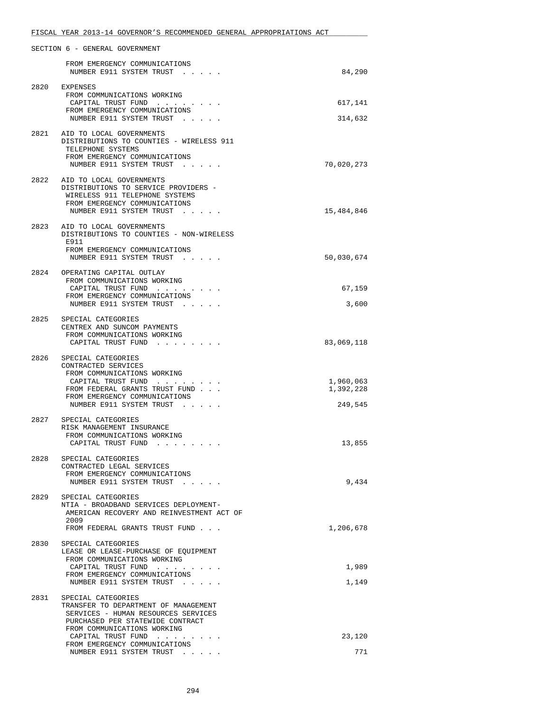|      | SECTION 6 - GENERAL GOVERNMENT                                                                                                                                       |                        |
|------|----------------------------------------------------------------------------------------------------------------------------------------------------------------------|------------------------|
|      | FROM EMERGENCY COMMUNICATIONS<br>NUMBER E911 SYSTEM TRUST                                                                                                            | 84,290                 |
| 2820 | EXPENSES                                                                                                                                                             |                        |
|      | FROM COMMUNICATIONS WORKING<br>CAPITAL TRUST FUND                                                                                                                    | 617,141                |
|      | FROM EMERGENCY COMMUNICATIONS                                                                                                                                        |                        |
|      | NUMBER E911 SYSTEM TRUST                                                                                                                                             | 314,632                |
|      | 2821 AID TO LOCAL GOVERNMENTS<br>DISTRIBUTIONS TO COUNTIES - WIRELESS 911<br>TELEPHONE SYSTEMS<br>FROM EMERGENCY COMMUNICATIONS<br>NUMBER E911 SYSTEM TRUST          | 70,020,273             |
|      |                                                                                                                                                                      |                        |
|      | 2822 AID TO LOCAL GOVERNMENTS<br>DISTRIBUTIONS TO SERVICE PROVIDERS -<br>WIRELESS 911 TELEPHONE SYSTEMS<br>FROM EMERGENCY COMMUNICATIONS<br>NUMBER E911 SYSTEM TRUST | 15,484,846             |
|      | 2823 AID TO LOCAL GOVERNMENTS                                                                                                                                        |                        |
|      | DISTRIBUTIONS TO COUNTIES - NON-WIRELESS<br>E911                                                                                                                     |                        |
|      | FROM EMERGENCY COMMUNICATIONS<br>NUMBER E911 SYSTEM TRUST                                                                                                            | 50,030,674             |
|      | 2824 OPERATING CAPITAL OUTLAY                                                                                                                                        |                        |
|      | FROM COMMUNICATIONS WORKING<br>CAPITAL TRUST FUND                                                                                                                    | 67,159                 |
|      | FROM EMERGENCY COMMUNICATIONS                                                                                                                                        |                        |
|      | NUMBER E911 SYSTEM TRUST                                                                                                                                             | 3,600                  |
|      | 2825 SPECIAL CATEGORIES<br>CENTREX AND SUNCOM PAYMENTS<br>FROM COMMUNICATIONS WORKING                                                                                |                        |
|      | CAPITAL TRUST FUND                                                                                                                                                   | 83,069,118             |
| 2826 | SPECIAL CATEGORIES<br>CONTRACTED SERVICES<br>FROM COMMUNICATIONS WORKING                                                                                             |                        |
|      | CAPITAL TRUST FUND<br>FROM FEDERAL GRANTS TRUST FUND                                                                                                                 | 1,960,063<br>1,392,228 |
|      | FROM EMERGENCY COMMUNICATIONS<br>NUMBER E911 SYSTEM TRUST                                                                                                            | 249,545                |
| 2827 | SPECIAL CATEGORIES                                                                                                                                                   |                        |
|      | RISK MANAGEMENT INSURANCE<br>FROM COMMUNICATIONS WORKING<br>CAPITAL TRUST FUND<br>$\sim$ 100 $\sim$ 100 $\sim$ 100 $\sim$                                            | 13,855                 |
| 2828 | SPECIAL CATEGORIES                                                                                                                                                   |                        |
|      | CONTRACTED LEGAL SERVICES<br>FROM EMERGENCY COMMUNICATIONS                                                                                                           |                        |
|      | NUMBER E911 SYSTEM TRUST                                                                                                                                             | 9,434                  |
| 2829 | SPECIAL CATEGORIES<br>NTIA - BROADBAND SERVICES DEPLOYMENT-<br>AMERICAN RECOVERY AND REINVESTMENT ACT OF<br>2009                                                     |                        |
|      | FROM FEDERAL GRANTS TRUST FUND                                                                                                                                       | 1,206,678              |
| 2830 | SPECIAL CATEGORIES<br>LEASE OR LEASE-PURCHASE OF EQUIPMENT<br>FROM COMMUNICATIONS WORKING                                                                            |                        |
|      | CAPITAL TRUST FUND                                                                                                                                                   | 1,989                  |
|      | FROM EMERGENCY COMMUNICATIONS<br>NUMBER E911 SYSTEM TRUST                                                                                                            | 1,149                  |
| 2831 | SPECIAL CATEGORIES                                                                                                                                                   |                        |
|      | TRANSFER TO DEPARTMENT OF MANAGEMENT<br>SERVICES - HUMAN RESOURCES SERVICES<br>PURCHASED PER STATEWIDE CONTRACT                                                      |                        |
|      | FROM COMMUNICATIONS WORKING                                                                                                                                          |                        |
|      | CAPITAL TRUST FUND<br>FROM EMERGENCY COMMUNICATIONS                                                                                                                  | 23,120                 |
|      | NUMBER E911 SYSTEM TRUST                                                                                                                                             | 771                    |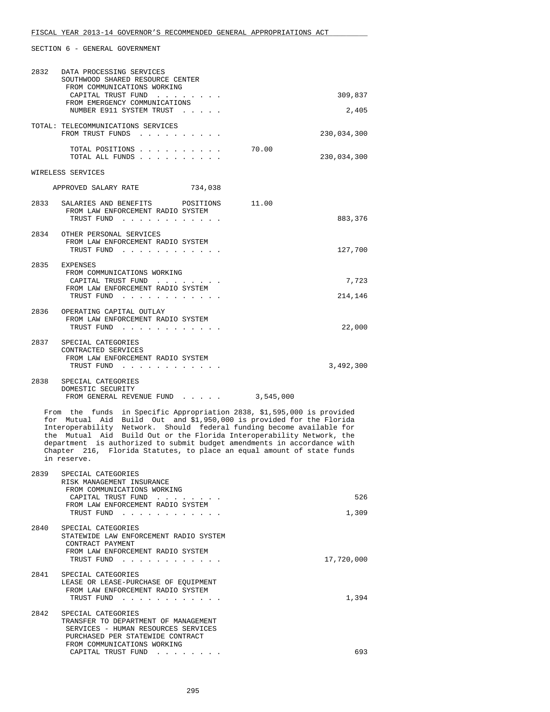| 2832 | DATA PROCESSING SERVICES<br>SOUTHWOOD SHARED RESOURCE CENTER<br>FROM COMMUNICATIONS WORKING<br>CAPITAL TRUST FUND<br>FROM EMERGENCY COMMUNICATIONS<br>NUMBER E911 SYSTEM TRUST                                                                                                                                                                                                                                                                                       | 309,837<br>2,405     |
|------|----------------------------------------------------------------------------------------------------------------------------------------------------------------------------------------------------------------------------------------------------------------------------------------------------------------------------------------------------------------------------------------------------------------------------------------------------------------------|----------------------|
|      | TOTAL: TELECOMMUNICATIONS SERVICES<br>FROM TRUST FUNDS                                                                                                                                                                                                                                                                                                                                                                                                               | 230,034,300          |
|      | TOTAL POSITIONS<br>TOTAL ALL FUNDS                                                                                                                                                                                                                                                                                                                                                                                                                                   | 70.00<br>230,034,300 |
|      | WIRELESS SERVICES                                                                                                                                                                                                                                                                                                                                                                                                                                                    |                      |
|      | APPROVED SALARY RATE<br>734,038                                                                                                                                                                                                                                                                                                                                                                                                                                      |                      |
|      | 2833 SALARIES AND BENEFITS POSITIONS<br>FROM LAW ENFORCEMENT RADIO SYSTEM<br>TRUST FUND                                                                                                                                                                                                                                                                                                                                                                              | 11.00<br>883,376     |
| 2834 | OTHER PERSONAL SERVICES<br>FROM LAW ENFORCEMENT RADIO SYSTEM<br>TRUST FUND                                                                                                                                                                                                                                                                                                                                                                                           | 127,700              |
| 2835 | EXPENSES<br>FROM COMMUNICATIONS WORKING<br>CAPITAL TRUST FUND                                                                                                                                                                                                                                                                                                                                                                                                        | 7,723                |
|      | FROM LAW ENFORCEMENT RADIO SYSTEM<br>TRUST FUND                                                                                                                                                                                                                                                                                                                                                                                                                      | 214,146              |
|      | 2836 OPERATING CAPITAL OUTLAY<br>FROM LAW ENFORCEMENT RADIO SYSTEM<br>TRUST FUND                                                                                                                                                                                                                                                                                                                                                                                     | 22,000               |
|      | 2837 SPECIAL CATEGORIES<br>CONTRACTED SERVICES<br>FROM LAW ENFORCEMENT RADIO SYSTEM<br>TRUST FUND                                                                                                                                                                                                                                                                                                                                                                    | 3,492,300            |
| 2838 | SPECIAL CATEGORIES<br>DOMESTIC SECURITY<br>FROM GENERAL REVENUE FUND 3,545,000                                                                                                                                                                                                                                                                                                                                                                                       |                      |
|      | From the funds in Specific Appropriation 2838, \$1,595,000 is provided<br>for Mutual Aid Build Out and \$1,950,000 is provided for the Florida<br>Interoperability Network. Should federal funding become available for<br>the Mutual Aid Build Out or the Florida Interoperability Network, the<br>department is authorized to submit budget amendments in accordance with<br>Chapter 216, Florida Statutes, to place an equal amount of state funds<br>in reserve. |                      |
| 2839 | SPECIAL CATEGORIES<br>RISK MANAGEMENT INSURANCE<br>FROM COMMUNICATIONS WORKING<br>CAPITAL TRUST FUND<br>FROM LAW ENFORCEMENT RADIO SYSTEM                                                                                                                                                                                                                                                                                                                            | 526                  |
|      | TRUST FUND                                                                                                                                                                                                                                                                                                                                                                                                                                                           | 1,309                |
| 2840 | SPECIAL CATEGORIES<br>STATEWIDE LAW ENFORCEMENT RADIO SYSTEM<br>CONTRACT PAYMENT<br>FROM LAW ENFORCEMENT RADIO SYSTEM<br>TRUST FUND                                                                                                                                                                                                                                                                                                                                  | 17,720,000           |
|      | 2841 SPECIAL CATEGORIES<br>LEASE OR LEASE-PURCHASE OF EQUIPMENT<br>FROM LAW ENFORCEMENT RADIO SYSTEM                                                                                                                                                                                                                                                                                                                                                                 |                      |

| TRUST FUND<br>. |  |
|-----------------|--|
|                 |  |

| 2842 | SPECIAL CATEGORIES                   |     |
|------|--------------------------------------|-----|
|      | TRANSFER TO DEPARTMENT OF MANAGEMENT |     |
|      | SERVICES - HUMAN RESOURCES SERVICES  |     |
|      | PURCHASED PER STATEWIDE CONTRACT     |     |
|      | FROM COMMUNICATIONS WORKING          |     |
|      | CAPITAL TRUST FUND                   | 693 |
|      |                                      |     |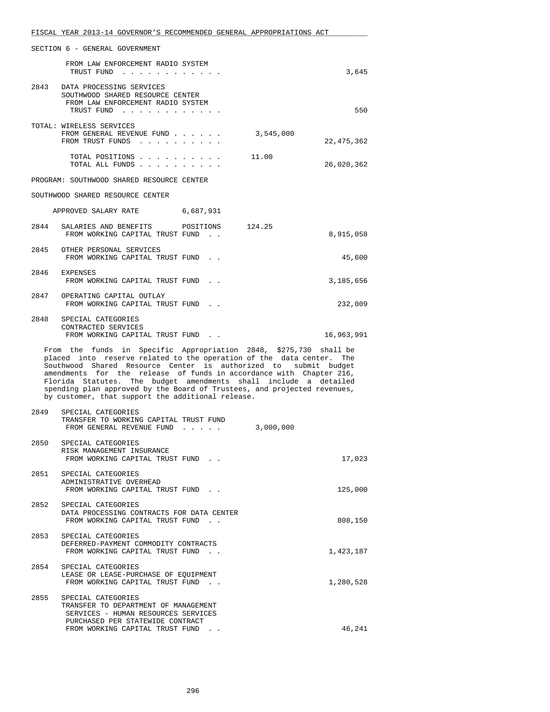|      | FISCAL YEAR 2013-14 GOVERNOR'S RECOMMENDED GENERAL APPROPRIATIONS ACT                                                                                                                                                                                                                                                                                                                                                                                                                |            |
|------|--------------------------------------------------------------------------------------------------------------------------------------------------------------------------------------------------------------------------------------------------------------------------------------------------------------------------------------------------------------------------------------------------------------------------------------------------------------------------------------|------------|
|      | SECTION 6 - GENERAL GOVERNMENT                                                                                                                                                                                                                                                                                                                                                                                                                                                       |            |
|      | FROM LAW ENFORCEMENT RADIO SYSTEM<br>TRUST FUND                                                                                                                                                                                                                                                                                                                                                                                                                                      | 3,645      |
|      | 2843 DATA PROCESSING SERVICES<br>SOUTHWOOD SHARED RESOURCE CENTER<br>FROM LAW ENFORCEMENT RADIO SYSTEM<br>TRUST FUND                                                                                                                                                                                                                                                                                                                                                                 | 550        |
|      | TOTAL: WIRELESS SERVICES<br>FROM GENERAL REVENUE FUND<br>3,545,000<br>FROM TRUST FUNDS                                                                                                                                                                                                                                                                                                                                                                                               | 22,475,362 |
|      | TOTAL POSITIONS<br>11.00<br>TOTAL ALL FUNDS                                                                                                                                                                                                                                                                                                                                                                                                                                          | 26,020,362 |
|      | PROGRAM: SOUTHWOOD SHARED RESOURCE CENTER                                                                                                                                                                                                                                                                                                                                                                                                                                            |            |
|      | SOUTHWOOD SHARED RESOURCE CENTER                                                                                                                                                                                                                                                                                                                                                                                                                                                     |            |
|      | APPROVED SALARY RATE 6,687,931                                                                                                                                                                                                                                                                                                                                                                                                                                                       |            |
| 2844 | SALARIES AND BENEFITS POSITIONS 124.25<br>FROM WORKING CAPITAL TRUST FUND.                                                                                                                                                                                                                                                                                                                                                                                                           | 8,915,058  |
|      | 2845 OTHER PERSONAL SERVICES<br>FROM WORKING CAPITAL TRUST FUND.                                                                                                                                                                                                                                                                                                                                                                                                                     | 45,600     |
| 2846 | EXPENSES<br>FROM WORKING CAPITAL TRUST FUND.                                                                                                                                                                                                                                                                                                                                                                                                                                         | 3,185,656  |
|      | 2847 OPERATING CAPITAL OUTLAY<br>FROM WORKING CAPITAL TRUST FUND.                                                                                                                                                                                                                                                                                                                                                                                                                    | 232,009    |
|      | 2848 SPECIAL CATEGORIES<br>CONTRACTED SERVICES<br>FROM WORKING CAPITAL TRUST FUND.                                                                                                                                                                                                                                                                                                                                                                                                   | 16,963,991 |
|      | From the funds in Specific Appropriation 2848, \$275,730 shall be<br>placed into reserve related to the operation of the data center.<br>Southwood Shared Resource Center is authorized to submit budget<br>amendments for the release of funds in accordance with Chapter 216,<br>Florida Statutes. The budget amendments shall include a detailed<br>spending plan approved by the Board of Trustees, and projected revenues,<br>by customer, that support the additional release. | The        |
| 2849 | SPECIAL CATEGORIES<br>TRANSFER TO WORKING CAPITAL TRUST FUND<br>FROM GENERAL REVENUE FUND                                                                                                                                                                                                                                                                                                                                                                                            | 3,000,000  |
|      | 2850 SPECIAL CATEGORIES<br>RISK MANAGEMENT INSURANCE<br>FROM WORKING CAPITAL TRUST FUND.                                                                                                                                                                                                                                                                                                                                                                                             | 17,023     |
|      | 2851 SPECIAL CATEGORIES<br>ADMINISTRATIVE OVERHEAD<br>FROM WORKING CAPITAL TRUST FUND.                                                                                                                                                                                                                                                                                                                                                                                               | 125,000    |
| 2852 | SPECIAL CATEGORIES<br>DATA PROCESSING CONTRACTS FOR DATA CENTER<br>FROM WORKING CAPITAL TRUST FUND.                                                                                                                                                                                                                                                                                                                                                                                  | 808,150    |
| 2853 | SPECIAL CATEGORIES<br>DEFERRED-PAYMENT COMMODITY CONTRACTS<br>FROM WORKING CAPITAL TRUST FUND.                                                                                                                                                                                                                                                                                                                                                                                       | 1,423,187  |
|      | 2854 SPECIAL CATEGORIES<br>LEASE OR LEASE-PURCHASE OF EQUIPMENT<br>FROM WORKING CAPITAL TRUST FUND.                                                                                                                                                                                                                                                                                                                                                                                  | 1,280,528  |
|      | 2855 SPECIAL CATEGORIES<br>TRANSFER TO DEPARTMENT OF MANAGEMENT<br>SERVICES - HUMAN RESOURCES SERVICES<br>PURCHASED PER STATEWIDE CONTRACT<br>FROM WORKING CAPITAL TRUST FUND.                                                                                                                                                                                                                                                                                                       | 46,241     |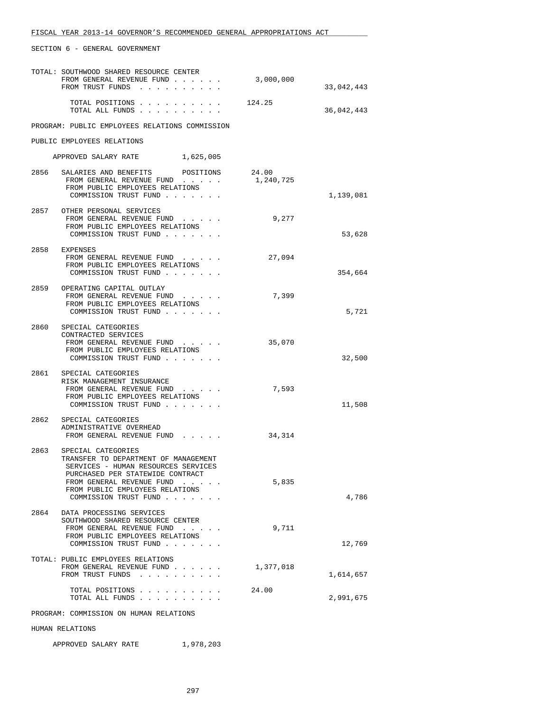|      | TOTAL: SOUTHWOOD SHARED RESOURCE CENTER<br>FROM GENERAL REVENUE FUND<br>FROM TRUST FUNDS                                                                                                                                       | 3,000,000          | 33,042,443 |
|------|--------------------------------------------------------------------------------------------------------------------------------------------------------------------------------------------------------------------------------|--------------------|------------|
|      | TOTAL POSITIONS<br>TOTAL ALL FUNDS                                                                                                                                                                                             | 124.25             | 36,042,443 |
|      | PROGRAM: PUBLIC EMPLOYEES RELATIONS COMMISSION                                                                                                                                                                                 |                    |            |
|      | PUBLIC EMPLOYEES RELATIONS                                                                                                                                                                                                     |                    |            |
|      | APPROVED SALARY RATE<br>1,625,005                                                                                                                                                                                              |                    |            |
|      | 2856 SALARIES AND BENEFITS POSITIONS<br>FROM GENERAL REVENUE FUND<br>FROM PUBLIC EMPLOYEES RELATIONS<br>COMMISSION TRUST FUND                                                                                                  | 24.00<br>1,240,725 | 1,139,081  |
|      | 2857 OTHER PERSONAL SERVICES<br>FROM GENERAL REVENUE FUND<br>FROM PUBLIC EMPLOYEES RELATIONS<br>COMMISSION TRUST FUND                                                                                                          | 9,277              | 53,628     |
|      | 2858 EXPENSES<br>FROM GENERAL REVENUE FUND<br>FROM PUBLIC EMPLOYEES RELATIONS<br>COMMISSION TRUST FUND                                                                                                                         | 27,094             | 354,664    |
| 2859 | OPERATING CAPITAL OUTLAY<br>FROM GENERAL REVENUE FUND<br>FROM PUBLIC EMPLOYEES RELATIONS<br>COMMISSION TRUST FUND                                                                                                              | 7,399              | 5,721      |
|      | 2860 SPECIAL CATEGORIES<br>CONTRACTED SERVICES<br>FROM GENERAL REVENUE FUND<br>FROM PUBLIC EMPLOYEES RELATIONS<br>COMMISSION TRUST FUND                                                                                        | 35,070             | 32,500     |
|      | 2861 SPECIAL CATEGORIES<br>RISK MANAGEMENT INSURANCE<br>FROM GENERAL REVENUE FUND<br>FROM PUBLIC EMPLOYEES RELATIONS<br>COMMISSION TRUST FUND                                                                                  | 7,593              | 11,508     |
|      | 2862 SPECIAL CATEGORIES<br>ADMINISTRATIVE OVERHEAD<br>FROM GENERAL REVENUE FUND                                                                                                                                                | 34,314             |            |
| 2863 | SPECIAL CATEGORIES<br>TRANSFER TO DEPARTMENT OF MANAGEMENT<br>SERVICES - HUMAN RESOURCES SERVICES<br>PURCHASED PER STATEWIDE CONTRACT<br>FROM GENERAL REVENUE FUND<br>FROM PUBLIC EMPLOYEES RELATIONS<br>COMMISSION TRUST FUND | 5,835              | 4,786      |
| 2864 | DATA PROCESSING SERVICES<br>SOUTHWOOD SHARED RESOURCE CENTER<br>FROM GENERAL REVENUE FUND<br>FROM PUBLIC EMPLOYEES RELATIONS<br>COMMISSION TRUST FUND                                                                          | 9,711              | 12,769     |
|      | TOTAL: PUBLIC EMPLOYEES RELATIONS<br>FROM GENERAL REVENUE FUND<br>FROM TRUST FUNDS                                                                                                                                             | 1,377,018          | 1,614,657  |
|      | TOTAL POSITIONS<br>TOTAL ALL FUNDS                                                                                                                                                                                             | 24.00              | 2,991,675  |
|      | PROGRAM: COMMISSION ON HUMAN RELATIONS                                                                                                                                                                                         |                    |            |
|      | HUMAN RELATIONS                                                                                                                                                                                                                |                    |            |

APPROVED SALARY RATE 1,978,203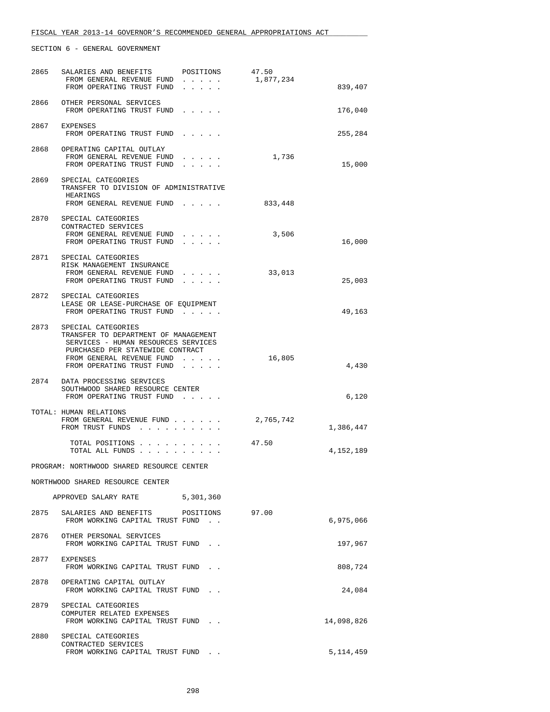| 2865 | SALARIES AND BENEFITS                                                   | POSITIONS | 47.50     |             |
|------|-------------------------------------------------------------------------|-----------|-----------|-------------|
|      | FROM GENERAL REVENUE FUND                                               |           | 1,877,234 |             |
|      | FROM OPERATING TRUST FUND                                               | $\cdots$  |           | 839,407     |
|      | 2866 OTHER PERSONAL SERVICES                                            |           |           |             |
|      | FROM OPERATING TRUST FUND                                               |           |           | 176,040     |
|      |                                                                         |           |           |             |
|      | 2867 EXPENSES                                                           |           |           |             |
|      | FROM OPERATING TRUST FUND                                               |           |           | 255,284     |
| 2868 | OPERATING CAPITAL OUTLAY                                                |           |           |             |
|      | FROM GENERAL REVENUE FUND                                               |           | 1,736     |             |
|      | FROM OPERATING TRUST FUND                                               |           |           | 15,000      |
|      |                                                                         |           |           |             |
|      | 2869 SPECIAL CATEGORIES<br>TRANSFER TO DIVISION OF ADMINISTRATIVE       |           |           |             |
|      | HEARINGS                                                                |           |           |             |
|      | FROM GENERAL REVENUE FUND                                               |           | 833,448   |             |
|      |                                                                         |           |           |             |
| 2870 | SPECIAL CATEGORIES                                                      |           |           |             |
|      | CONTRACTED SERVICES                                                     |           |           |             |
|      | FROM GENERAL REVENUE FUND<br>FROM OPERATING TRUST FUND                  |           | 3,506     | 16,000      |
|      |                                                                         |           |           |             |
| 2871 | SPECIAL CATEGORIES                                                      |           |           |             |
|      | RISK MANAGEMENT INSURANCE                                               |           |           |             |
|      | FROM GENERAL REVENUE FUND                                               |           | 33,013    |             |
|      | FROM OPERATING TRUST FUND                                               | $\cdots$  |           | 25,003      |
|      | 2872 SPECIAL CATEGORIES                                                 |           |           |             |
|      | LEASE OR LEASE-PURCHASE OF EQUIPMENT                                    |           |           |             |
|      | FROM OPERATING TRUST FUND                                               |           |           | 49,163      |
|      |                                                                         |           |           |             |
| 2873 | SPECIAL CATEGORIES                                                      |           |           |             |
|      | TRANSFER TO DEPARTMENT OF MANAGEMENT                                    |           |           |             |
|      | SERVICES - HUMAN RESOURCES SERVICES<br>PURCHASED PER STATEWIDE CONTRACT |           |           |             |
|      | FROM GENERAL REVENUE FUND                                               |           | 16,805    |             |
|      | FROM OPERATING TRUST FUND                                               |           |           | 4,430       |
|      |                                                                         |           |           |             |
|      | 2874 DATA PROCESSING SERVICES                                           |           |           |             |
|      | SOUTHWOOD SHARED RESOURCE CENTER                                        |           |           |             |
|      | FROM OPERATING TRUST FUND                                               |           |           | 6,120       |
|      | TOTAL: HUMAN RELATIONS                                                  |           |           |             |
|      | FROM GENERAL REVENUE FUND                                               |           | 2,765,742 |             |
|      | FROM TRUST FUNDS                                                        |           |           | 1,386,447   |
|      |                                                                         |           |           |             |
|      | TOTAL POSITIONS<br>TOTAL ALL FUNDS                                      |           | 47.50     | 4,152,189   |
|      |                                                                         |           |           |             |
|      | PROGRAM: NORTHWOOD SHARED RESOURCE CENTER                               |           |           |             |
|      |                                                                         |           |           |             |
|      | NORTHWOOD SHARED RESOURCE CENTER                                        |           |           |             |
|      | APPROVED SALARY RATE 5,301,360                                          |           |           |             |
|      |                                                                         |           |           |             |
|      | 2875 SALARIES AND BENEFITS POSITIONS                                    |           | 97.00     |             |
|      | FROM WORKING CAPITAL TRUST FUND.                                        |           |           | 6,975,066   |
|      |                                                                         |           |           |             |
| 2876 | OTHER PERSONAL SERVICES                                                 |           |           |             |
|      | FROM WORKING CAPITAL TRUST FUND.                                        |           |           | 197,967     |
|      | 2877 EXPENSES                                                           |           |           |             |
|      | FROM WORKING CAPITAL TRUST FUND                                         |           |           | 808,724     |
|      |                                                                         |           |           |             |
|      | 2878 OPERATING CAPITAL OUTLAY                                           |           |           |             |
|      | FROM WORKING CAPITAL TRUST FUND.                                        |           |           | 24,084      |
|      | 2879 SPECIAL CATEGORIES                                                 |           |           |             |
|      | COMPUTER RELATED EXPENSES                                               |           |           |             |
|      | FROM WORKING CAPITAL TRUST FUND.                                        |           |           | 14,098,826  |
|      |                                                                         |           |           |             |
|      | 2880 SPECIAL CATEGORIES                                                 |           |           |             |
|      | CONTRACTED SERVICES                                                     |           |           |             |
|      | FROM WORKING CAPITAL TRUST FUND.                                        |           |           | 5, 114, 459 |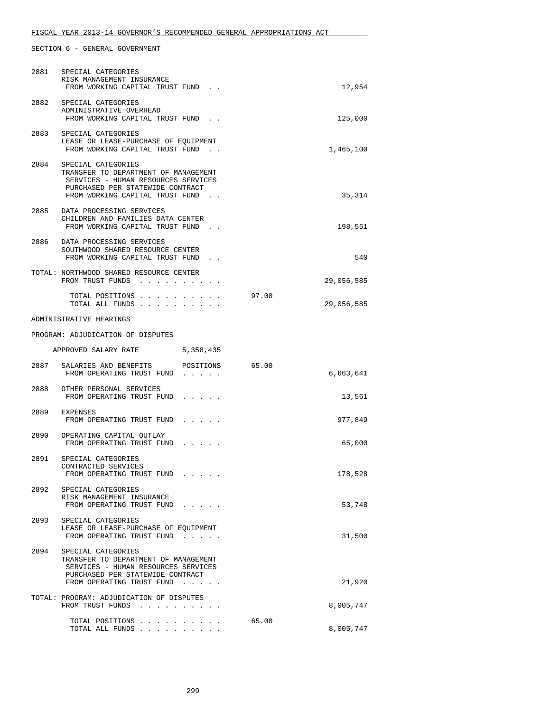|      | 2881 SPECIAL CATEGORIES<br>RISK MANAGEMENT INSURANCE<br>FROM WORKING CAPITAL TRUST FUND.                                                                                  | 12,954              |
|------|---------------------------------------------------------------------------------------------------------------------------------------------------------------------------|---------------------|
|      | 2882 SPECIAL CATEGORIES<br>ADMINISTRATIVE OVERHEAD<br>FROM WORKING CAPITAL TRUST FUND.                                                                                    | 125,000             |
| 2883 | SPECIAL CATEGORIES<br>LEASE OR LEASE-PURCHASE OF EQUIPMENT<br>FROM WORKING CAPITAL TRUST FUND.                                                                            | 1,465,100           |
| 2884 | SPECIAL CATEGORIES<br>TRANSFER TO DEPARTMENT OF MANAGEMENT<br>SERVICES - HUMAN RESOURCES SERVICES<br>PURCHASED PER STATEWIDE CONTRACT<br>FROM WORKING CAPITAL TRUST FUND. | 35,314              |
|      | 2885 DATA PROCESSING SERVICES<br>CHILDREN AND FAMILIES DATA CENTER<br>FROM WORKING CAPITAL TRUST FUND.                                                                    | 198,551             |
| 2886 | DATA PROCESSING SERVICES<br>SOUTHWOOD SHARED RESOURCE CENTER<br>FROM WORKING CAPITAL TRUST FUND.                                                                          | 540                 |
|      | TOTAL: NORTHWOOD SHARED RESOURCE CENTER<br>FROM TRUST FUNDS                                                                                                               | 29,056,585          |
|      | TOTAL POSITIONS<br>TOTAL ALL FUNDS                                                                                                                                        | 97.00<br>29,056,585 |
|      | ADMINISTRATIVE HEARINGS                                                                                                                                                   |                     |
|      | PROGRAM: ADJUDICATION OF DISPUTES                                                                                                                                         |                     |
|      | APPROVED SALARY RATE 5,358,435                                                                                                                                            |                     |
| 2887 | SALARIES AND BENEFITS POSITIONS 65.00<br>FROM OPERATING TRUST FUND                                                                                                        | 6,663,641           |
|      | 2888 OTHER PERSONAL SERVICES<br>FROM OPERATING TRUST FUND                                                                                                                 |                     |
| 2889 |                                                                                                                                                                           | 13,561              |
|      | EXPENSES<br>FROM OPERATING TRUST FUND                                                                                                                                     | 977,849             |
|      | 2890 OPERATING CAPITAL OUTLAY<br>FROM OPERATING TRUST FUND                                                                                                                | 65,000              |
|      | 2891 SPECIAL CATEGORIES<br>CONTRACTED SERVICES<br>FROM OPERATING TRUST FUND                                                                                               | 178,528             |
|      | 2892 SPECIAL CATEGORIES<br>RISK MANAGEMENT INSURANCE<br>FROM OPERATING TRUST FUND                                                                                         | 53,748              |
| 2893 | SPECIAL CATEGORIES<br>LEASE OR LEASE-PURCHASE OF EQUIPMENT<br>FROM OPERATING TRUST FUND                                                                                   | 31,500              |
|      | 2894 SPECIAL CATEGORIES<br>TRANSFER TO DEPARTMENT OF MANAGEMENT<br>SERVICES - HUMAN RESOURCES SERVICES<br>PURCHASED PER STATEWIDE CONTRACT<br>FROM OPERATING TRUST FUND   | 21,920              |
|      | TOTAL: PROGRAM: ADJUDICATION OF DISPUTES<br>FROM TRUST FUNDS                                                                                                              | 8,005,747           |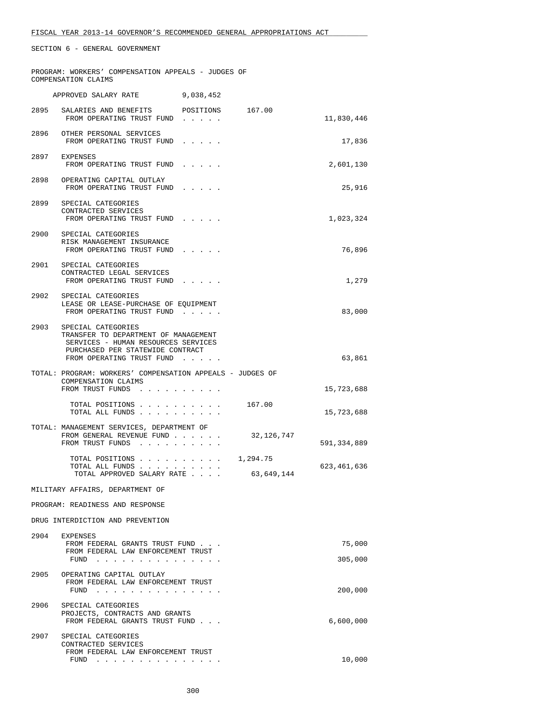|      | PROGRAM: WORKERS' COMPENSATION APPEALS - JUDGES OF<br>COMPENSATION CLAIMS                                                                                                                                                 |           |            |                   |
|------|---------------------------------------------------------------------------------------------------------------------------------------------------------------------------------------------------------------------------|-----------|------------|-------------------|
|      | APPROVED SALARY RATE                                                                                                                                                                                                      | 9,038,452 |            |                   |
|      | 2895 SALARIES AND BENEFITS POSITIONS 167.00<br>FROM OPERATING TRUST FUND                                                                                                                                                  |           |            | 11,830,446        |
|      | 2896 OTHER PERSONAL SERVICES<br>FROM OPERATING TRUST FUND                                                                                                                                                                 |           |            | 17,836            |
|      | 2897 EXPENSES<br>FROM OPERATING TRUST FUND                                                                                                                                                                                |           |            | 2,601,130         |
|      | 2898 OPERATING CAPITAL OUTLAY<br>FROM OPERATING TRUST FUND                                                                                                                                                                |           |            | 25,916            |
|      | 2899 SPECIAL CATEGORIES<br>CONTRACTED SERVICES<br>FROM OPERATING TRUST FUND                                                                                                                                               |           |            | 1,023,324         |
|      | 2900 SPECIAL CATEGORIES<br>RISK MANAGEMENT INSURANCE<br>FROM OPERATING TRUST FUND                                                                                                                                         |           |            | 76,896            |
|      | 2901 SPECIAL CATEGORIES<br>CONTRACTED LEGAL SERVICES<br>FROM OPERATING TRUST FUND                                                                                                                                         |           |            | 1,279             |
| 2902 | SPECIAL CATEGORIES<br>LEASE OR LEASE-PURCHASE OF EQUIPMENT<br>FROM OPERATING TRUST FUND                                                                                                                                   |           |            | 83,000            |
|      | 2903 SPECIAL CATEGORIES<br>TRANSFER TO DEPARTMENT OF MANAGEMENT<br>SERVICES - HUMAN RESOURCES SERVICES<br>PURCHASED PER STATEWIDE CONTRACT<br>FROM OPERATING TRUST FUND                                                   |           |            | 63,861            |
|      | TOTAL: PROGRAM: WORKERS' COMPENSATION APPEALS - JUDGES OF<br>COMPENSATION CLAIMS<br>FROM TRUST FUNDS                                                                                                                      |           |            | 15,723,688        |
|      | TOTAL POSITIONS<br>TOTAL ALL FUNDS                                                                                                                                                                                        |           | 167.00     | 15,723,688        |
|      | TOTAL: MANAGEMENT SERVICES, DEPARTMENT OF<br>FROM GENERAL REVENUE FUND<br>FROM TRUST FUNDS                                                                                                                                |           | 32,126,747 | 591,334,889       |
|      | TOTAL POSITIONS 1,294.75<br>TOTAL ALL FUNDS<br>TOTAL APPROVED SALARY RATE                                                                                                                                                 |           | 63,649,144 | 623,461,636       |
|      | MILITARY AFFAIRS, DEPARTMENT OF                                                                                                                                                                                           |           |            |                   |
|      | PROGRAM: READINESS AND RESPONSE                                                                                                                                                                                           |           |            |                   |
|      | DRUG INTERDICTION AND PREVENTION                                                                                                                                                                                          |           |            |                   |
|      | 2904 EXPENSES<br>FROM FEDERAL GRANTS TRUST FUND<br>FROM FEDERAL LAW ENFORCEMENT TRUST<br>FUND<br>the contract of the contract of the contract of the                                                                      |           |            | 75,000<br>305,000 |
| 2905 | OPERATING CAPITAL OUTLAY<br>FROM FEDERAL LAW ENFORCEMENT TRUST<br>$FUND$                                                                                                                                                  |           |            | 200,000           |
| 2906 | SPECIAL CATEGORIES<br>PROJECTS, CONTRACTS AND GRANTS<br>FROM FEDERAL GRANTS TRUST FUND                                                                                                                                    |           |            | 6,600,000         |
| 2907 | SPECIAL CATEGORIES<br>CONTRACTED SERVICES<br>FROM FEDERAL LAW ENFORCEMENT TRUST<br>FUND<br>. The contract of the contract of the contract of the contract of the contract of the contract of the contract of the $\alpha$ |           |            | 10,000            |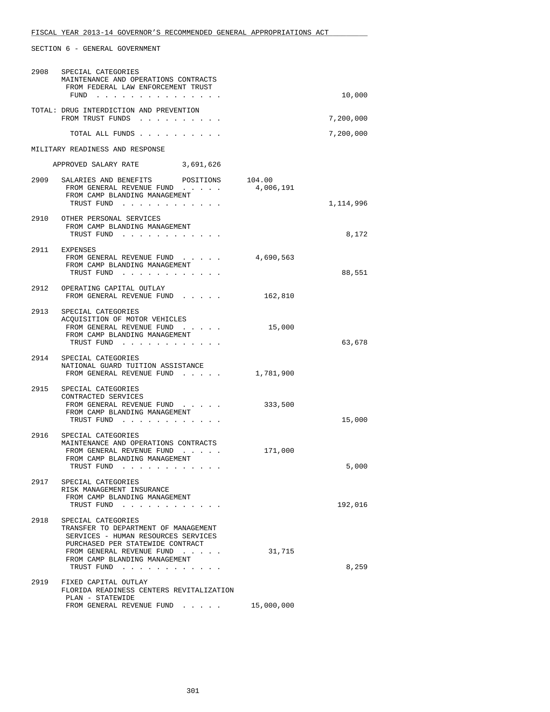| 2908 | SPECIAL CATEGORIES<br>MAINTENANCE AND OPERATIONS CONTRACTS<br>FROM FEDERAL LAW ENFORCEMENT TRUST<br>FUND                                                                                                                                                       |                     | 10,000    |
|------|----------------------------------------------------------------------------------------------------------------------------------------------------------------------------------------------------------------------------------------------------------------|---------------------|-----------|
|      | TOTAL: DRUG INTERDICTION AND PREVENTION<br>FROM TRUST FUNDS                                                                                                                                                                                                    |                     | 7,200,000 |
|      | TOTAL ALL FUNDS                                                                                                                                                                                                                                                |                     | 7,200,000 |
|      | MILITARY READINESS AND RESPONSE                                                                                                                                                                                                                                |                     |           |
|      | APPROVED SALARY RATE 3,691,626                                                                                                                                                                                                                                 |                     |           |
|      | 2909 SALARIES AND BENEFITS POSITIONS<br>FROM GENERAL REVENUE FUND<br>FROM CAMP BLANDING MANAGEMENT<br>TRUST FUND                                                                                                                                               | 104.00<br>4,006,191 | 1,114,996 |
|      | 2910 OTHER PERSONAL SERVICES<br>FROM CAMP BLANDING MANAGEMENT<br>TRUST FUND                                                                                                                                                                                    |                     | 8,172     |
|      | 2911 EXPENSES<br>FROM GENERAL REVENUE FUND<br>FROM CAMP BLANDING MANAGEMENT<br>TRUST FUND                                                                                                                                                                      | 4,690,563           | 88,551    |
|      | 2912 OPERATING CAPITAL OUTLAY<br>FROM GENERAL REVENUE FUND                                                                                                                                                                                                     | 162,810             |           |
|      | 2913 SPECIAL CATEGORIES<br>ACQUISITION OF MOTOR VEHICLES<br>FROM GENERAL REVENUE FUND<br>FROM CAMP BLANDING MANAGEMENT<br>TRUST FUND                                                                                                                           | 15,000              | 63,678    |
|      | 2914 SPECIAL CATEGORIES<br>NATIONAL GUARD TUITION ASSISTANCE<br>FROM GENERAL REVENUE FUND                                                                                                                                                                      | 1,781,900           |           |
| 2915 | SPECIAL CATEGORIES<br>CONTRACTED SERVICES<br>FROM GENERAL REVENUE FUND<br>FROM CAMP BLANDING MANAGEMENT<br>TRUST FUND<br>$\sim$ $\sim$ $\sim$                                                                                                                  | 333,500             | 15,000    |
|      | 2916 SPECIAL CATEGORIES<br>MAINTENANCE AND OPERATIONS CONTRACTS<br>FROM GENERAL REVENUE FUND<br>FROM CAMP BLANDING MANAGEMENT<br>TRUST FUND<br>the contract of the contract of the contract of the contract of the contract of the contract of the contract of | 171,000             | 5,000     |
| 2917 | SPECIAL CATEGORIES<br>RISK MANAGEMENT INSURANCE<br>FROM CAMP BLANDING MANAGEMENT<br>TRUST FUND                                                                                                                                                                 |                     | 192,016   |
| 2918 | SPECIAL CATEGORIES<br>TRANSFER TO DEPARTMENT OF MANAGEMENT<br>SERVICES - HUMAN RESOURCES SERVICES<br>PURCHASED PER STATEWIDE CONTRACT<br>FROM GENERAL REVENUE FUND<br>FROM CAMP BLANDING MANAGEMENT<br>TRUST FUND                                              | 31,715              | 8,259     |
| 2919 | FIXED CAPITAL OUTLAY<br>FLORIDA READINESS CENTERS REVITALIZATION<br>PLAN - STATEWIDE<br>FROM GENERAL REVENUE FUND                                                                                                                                              | 15,000,000          |           |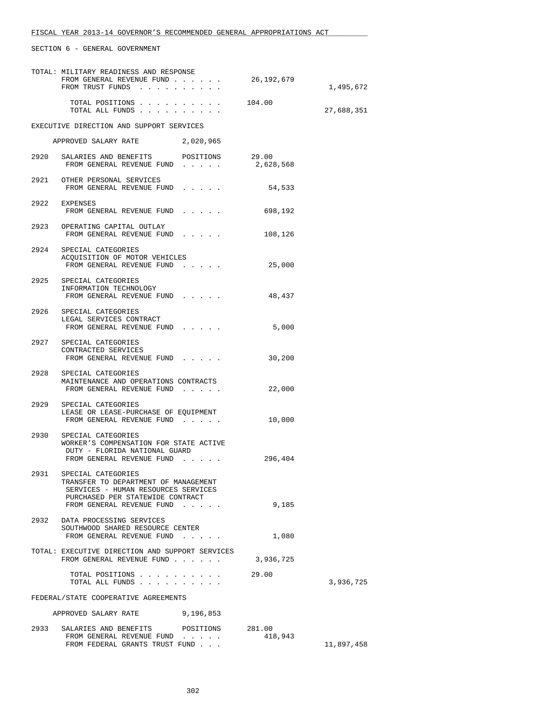|      | TOTAL: MILITARY READINESS AND RESPONSE<br>FROM GENERAL REVENUE FUND<br>FROM TRUST FUNDS                                                                            |           | 26,192,679        | 1,495,672  |
|------|--------------------------------------------------------------------------------------------------------------------------------------------------------------------|-----------|-------------------|------------|
|      | TOTAL POSITIONS<br>TOTAL ALL FUNDS                                                                                                                                 |           | 104.00            | 27,688,351 |
|      | EXECUTIVE DIRECTION AND SUPPORT SERVICES                                                                                                                           |           |                   |            |
|      | APPROVED SALARY RATE 2,020,965                                                                                                                                     |           |                   |            |
|      | 2920 SALARIES AND BENEFITS POSITIONS 29.00<br>FROM GENERAL REVENUE FUND                                                                                            |           | 2,628,568         |            |
|      | 2921 OTHER PERSONAL SERVICES<br>FROM GENERAL REVENUE FUND                                                                                                          |           | 54,533            |            |
|      | 2922 EXPENSES<br>FROM GENERAL REVENUE FUND                                                                                                                         |           | 698,192           |            |
|      | 2923 OPERATING CAPITAL OUTLAY<br>FROM GENERAL REVENUE FUND                                                                                                         |           | 108,126           |            |
|      | 2924 SPECIAL CATEGORIES<br>ACQUISITION OF MOTOR VEHICLES<br>FROM GENERAL REVENUE FUND                                                                              |           | 25,000            |            |
|      | 2925 SPECIAL CATEGORIES<br>INFORMATION TECHNOLOGY<br>FROM GENERAL REVENUE FUND                                                                                     |           | 48,437            |            |
|      | 2926 SPECIAL CATEGORIES<br>LEGAL SERVICES CONTRACT<br>FROM GENERAL REVENUE FUND                                                                                    |           | 5,000             |            |
|      | 2927 SPECIAL CATEGORIES<br>CONTRACTED SERVICES<br>FROM GENERAL REVENUE FUND                                                                                        |           | 30,200            |            |
|      | 2928 SPECIAL CATEGORIES<br>MAINTENANCE AND OPERATIONS CONTRACTS<br>FROM GENERAL REVENUE FUND                                                                       |           | 22,000            |            |
|      | 2929 SPECIAL CATEGORIES<br>LEASE OR LEASE-PURCHASE OF EQUIPMENT<br>FROM GENERAL REVENUE FUND                                                                       |           | 10,000            |            |
| 2930 | SPECIAL CATEGORIES<br>WORKER'S COMPENSATION FOR STATE ACTIVE<br>DUTY - FLORIDA NATIONAL GUARD<br>FROM GENERAL REVENUE FUND                                         |           | 296,404           |            |
| 2931 | SPECIAL CATEGORIES<br>TRANSFER TO DEPARTMENT OF MANAGEMENT<br>SERVICES - HUMAN RESOURCES SERVICES<br>PURCHASED PER STATEWIDE CONTRACT<br>FROM GENERAL REVENUE FUND |           | 9,185             |            |
| 2932 | DATA PROCESSING SERVICES<br>SOUTHWOOD SHARED RESOURCE CENTER<br>FROM GENERAL REVENUE FUND                                                                          |           | 1,080             |            |
|      | TOTAL: EXECUTIVE DIRECTION AND SUPPORT SERVICES<br>FROM GENERAL REVENUE FUND                                                                                       |           | 3,936,725         |            |
|      | TOTAL POSITIONS<br>TOTAL ALL FUNDS                                                                                                                                 |           | 29.00             | 3,936,725  |
|      | FEDERAL/STATE COOPERATIVE AGREEMENTS                                                                                                                               |           |                   |            |
|      | APPROVED SALARY RATE                                                                                                                                               | 9,196,853 |                   |            |
| 2933 | SALARIES AND BENEFITS<br>FROM GENERAL REVENUE FUND<br>FROM FEDERAL GRANTS TRUST FUND                                                                               | POSITIONS | 281.00<br>418,943 | 11,897,458 |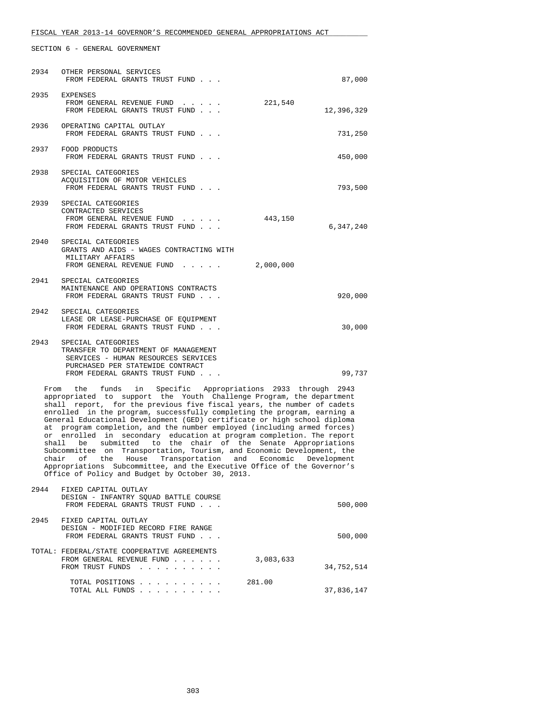| FISCAL YEAR 2013-14 GOVERNOR'S RECOMMENDED GENERAL APPROPRIATIONS ACT |  |  |  |  |  |  |  |  |
|-----------------------------------------------------------------------|--|--|--|--|--|--|--|--|
|-----------------------------------------------------------------------|--|--|--|--|--|--|--|--|

| 2934 | OTHER PERSONAL SERVICES<br>FROM FEDERAL GRANTS TRUST FUND                                                                                                               | 87,000     |
|------|-------------------------------------------------------------------------------------------------------------------------------------------------------------------------|------------|
|      | 2935 EXPENSES<br>221,540<br>FROM GENERAL REVENUE FUND<br>FROM FEDERAL GRANTS TRUST FUND                                                                                 | 12,396,329 |
| 2936 | OPERATING CAPITAL OUTLAY<br>FROM FEDERAL GRANTS TRUST FUND                                                                                                              | 731,250    |
| 2937 | FOOD PRODUCTS<br>FROM FEDERAL GRANTS TRUST FUND                                                                                                                         | 450,000    |
|      | 2938 SPECIAL CATEGORIES<br>ACQUISITION OF MOTOR VEHICLES<br>FROM FEDERAL GRANTS TRUST FUND                                                                              | 793,500    |
| 2939 | SPECIAL CATEGORIES<br>CONTRACTED SERVICES<br>443,150<br>FROM GENERAL REVENUE FUND<br>FROM FEDERAL GRANTS TRUST FUND                                                     | 6,347,240  |
| 2940 | SPECIAL CATEGORIES<br>GRANTS AND AIDS - WAGES CONTRACTING WITH<br>MILITARY AFFAIRS<br>2,000,000<br>FROM GENERAL REVENUE FUND                                            |            |
|      | 2941 SPECIAL CATEGORIES<br>MAINTENANCE AND OPERATIONS CONTRACTS<br>FROM FEDERAL GRANTS TRUST FUND                                                                       | 920,000    |
| 2942 | SPECIAL CATEGORIES<br>LEASE OR LEASE-PURCHASE OF EQUIPMENT<br>FROM FEDERAL GRANTS TRUST FUND                                                                            | 30,000     |
| 2943 | SPECIAL CATEGORIES<br>TRANSFER TO DEPARTMENT OF MANAGEMENT<br>SERVICES - HUMAN RESOURCES SERVICES<br>PURCHASED PER STATEWIDE CONTRACT<br>FROM FEDERAL GRANTS TRUST FUND | 99,737     |
|      | From the funds in Specific Appropriations 2933 through 2943<br>appropriated to support the Vouth Challenge Program the department                                       |            |

 appropriated to support the Youth Challenge Program, the department shall report, for the previous five fiscal years, the number of cadets enrolled in the program, successfully completing the program, earning a General Educational Development (GED) certificate or high school diploma at program completion, and the number employed (including armed forces) or enrolled in secondary education at program completion. The report shall be submitted to the chair of the Senate Appropriations Subcommittee on Transportation, Tourism, and Economic Development, the chair of the House Transportation and Economic Development Appropriations Subcommittee, and the Executive Office of the Governor's Office of Policy and Budget by October 30, 2013.

| 2944 | FIXED CAPITAL OUTLAY                        |            |
|------|---------------------------------------------|------------|
|      | DESIGN - INFANTRY SOUAD BATTLE COURSE       |            |
|      | FROM FEDERAL GRANTS TRUST FUND              | 500,000    |
|      |                                             |            |
| 2945 | FIXED CAPITAL OUTLAY                        |            |
|      | DESIGN - MODIFIED RECORD FIRE RANGE         |            |
|      | FROM FEDERAL GRANTS TRUST FUND              | 500,000    |
|      |                                             |            |
|      | TOTAL: FEDERAL/STATE COOPERATIVE AGREEMENTS |            |
|      | 3,083,633<br>FROM GENERAL REVENUE FUND      |            |
|      | FROM TRUST FUNDS                            | 34,752,514 |
|      |                                             |            |
|      | 281.00<br>TOTAL POSITIONS                   |            |
|      | TOTAL ALL FUNDS                             | 37,836,147 |
|      |                                             |            |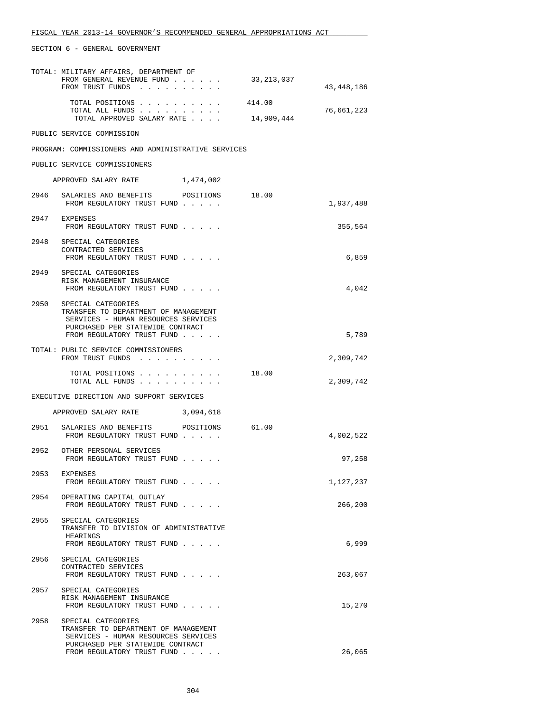|      | SECTION 6 - GENERAL GOVERNMENT                                                                                                                                           |                      |            |
|------|--------------------------------------------------------------------------------------------------------------------------------------------------------------------------|----------------------|------------|
|      | TOTAL: MILITARY AFFAIRS, DEPARTMENT OF<br>FROM GENERAL REVENUE FUND<br>FROM TRUST FUNDS                                                                                  | 33,213,037           | 43,448,186 |
|      | TOTAL POSITIONS<br>TOTAL ALL FUNDS<br>TOTAL APPROVED SALARY RATE                                                                                                         | 414.00<br>14,909,444 | 76,661,223 |
|      | PUBLIC SERVICE COMMISSION                                                                                                                                                |                      |            |
|      | PROGRAM: COMMISSIONERS AND ADMINISTRATIVE SERVICES                                                                                                                       |                      |            |
|      | PUBLIC SERVICE COMMISSIONERS                                                                                                                                             |                      |            |
|      | APPROVED SALARY RATE 1,474,002                                                                                                                                           |                      |            |
| 2946 | SALARIES AND BENEFITS POSITIONS<br>FROM REGULATORY TRUST FUND                                                                                                            | 18.00                | 1,937,488  |
|      | 2947 EXPENSES<br>FROM REGULATORY TRUST FUND                                                                                                                              |                      | 355,564    |
|      | 2948 SPECIAL CATEGORIES<br>CONTRACTED SERVICES<br>FROM REGULATORY TRUST FUND                                                                                             |                      | 6,859      |
|      | 2949 SPECIAL CATEGORIES<br>RISK MANAGEMENT INSURANCE<br>FROM REGULATORY TRUST FUND                                                                                       |                      | 4,042      |
|      | 2950 SPECIAL CATEGORIES<br>TRANSFER TO DEPARTMENT OF MANAGEMENT<br>SERVICES - HUMAN RESOURCES SERVICES<br>PURCHASED PER STATEWIDE CONTRACT<br>FROM REGULATORY TRUST FUND |                      | 5,789      |
|      | TOTAL: PUBLIC SERVICE COMMISSIONERS<br>FROM TRUST FUNDS                                                                                                                  |                      | 2,309,742  |
|      | TOTAL POSITIONS<br>TOTAL ALL FUNDS                                                                                                                                       | 18.00                | 2,309,742  |
|      | EXECUTIVE DIRECTION AND SUPPORT SERVICES                                                                                                                                 |                      |            |
|      | APPROVED SALARY RATE 3,094,618                                                                                                                                           |                      |            |
| 2951 | SALARIES AND BENEFITS POSITIONS<br>FROM REGULATORY TRUST FUND                                                                                                            | 61.00                | 4,002,522  |
| 2952 | OTHER PERSONAL SERVICES<br>FROM REGULATORY TRUST FUND                                                                                                                    |                      | 97,258     |
| 2953 | EXPENSES<br>FROM REGULATORY TRUST FUND                                                                                                                                   |                      | 1,127,237  |
| 2954 | OPERATING CAPITAL OUTLAY<br>FROM REGULATORY TRUST FUND                                                                                                                   |                      | 266,200    |
| 2955 | SPECIAL CATEGORIES<br>TRANSFER TO DIVISION OF ADMINISTRATIVE<br>HEARINGS<br>FROM REGULATORY TRUST FUND                                                                   |                      | 6,999      |
| 2956 | SPECIAL CATEGORIES<br>CONTRACTED SERVICES<br>FROM REGULATORY TRUST FUND                                                                                                  |                      | 263,067    |
| 2957 | SPECIAL CATEGORIES<br>RISK MANAGEMENT INSURANCE<br>FROM REGULATORY TRUST FUND                                                                                            |                      | 15,270     |
| 2958 | SPECIAL CATEGORIES<br>TRANSFER TO DEPARTMENT OF MANAGEMENT<br>SERVICES - HUMAN RESOURCES SERVICES<br>PURCHASED PER STATEWIDE CONTRACT                                    |                      |            |
|      | FROM REGULATORY TRUST FUND                                                                                                                                               |                      | 26,065     |

#### 304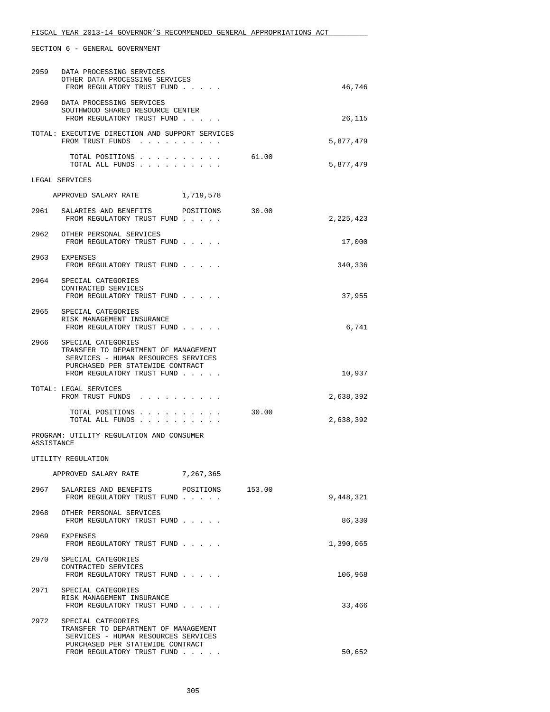| 2959       | DATA PROCESSING SERVICES<br>OTHER DATA PROCESSING SERVICES<br>FROM REGULATORY TRUST FUND                                                                                 |           |        | 46,746    |
|------------|--------------------------------------------------------------------------------------------------------------------------------------------------------------------------|-----------|--------|-----------|
| 2960       | DATA PROCESSING SERVICES<br>SOUTHWOOD SHARED RESOURCE CENTER<br>FROM REGULATORY TRUST FUND                                                                               |           |        | 26,115    |
|            | TOTAL: EXECUTIVE DIRECTION AND SUPPORT SERVICES<br>FROM TRUST FUNDS                                                                                                      |           |        | 5,877,479 |
|            | TOTAL POSITIONS<br>TOTAL ALL FUNDS                                                                                                                                       |           | 61.00  | 5,877,479 |
|            | LEGAL SERVICES                                                                                                                                                           |           |        |           |
|            | APPROVED SALARY RATE                                                                                                                                                     | 1,719,578 |        |           |
|            | 2961 SALARIES AND BENEFITS POSITIONS<br>FROM REGULATORY TRUST FUND                                                                                                       |           | 30.00  | 2,225,423 |
|            | 2962 OTHER PERSONAL SERVICES<br>FROM REGULATORY TRUST FUND                                                                                                               |           |        | 17,000    |
|            | 2963 EXPENSES<br>FROM REGULATORY TRUST FUND                                                                                                                              |           |        | 340,336   |
|            | 2964 SPECIAL CATEGORIES<br>CONTRACTED SERVICES<br>FROM REGULATORY TRUST FUND                                                                                             |           |        | 37,955    |
|            | 2965 SPECIAL CATEGORIES<br>RISK MANAGEMENT INSURANCE<br>FROM REGULATORY TRUST FUND                                                                                       |           |        | 6,741     |
|            | 2966 SPECIAL CATEGORIES<br>TRANSFER TO DEPARTMENT OF MANAGEMENT<br>SERVICES - HUMAN RESOURCES SERVICES<br>PURCHASED PER STATEWIDE CONTRACT<br>FROM REGULATORY TRUST FUND |           |        | 10,937    |
|            | TOTAL: LEGAL SERVICES<br>FROM TRUST FUNDS                                                                                                                                |           |        | 2,638,392 |
|            | TOTAL POSITIONS<br>TOTAL ALL FUNDS                                                                                                                                       |           | 30.00  | 2,638,392 |
| ASSISTANCE | PROGRAM: UTILITY REGULATION AND CONSUMER                                                                                                                                 |           |        |           |
|            | UTILITY REGULATION                                                                                                                                                       |           |        |           |
|            | APPROVED SALARY RATE                                                                                                                                                     | 7,267,365 |        |           |
| 2967       | SALARIES AND BENEFITS POSITIONS<br>FROM REGULATORY TRUST FUND                                                                                                            |           | 153.00 | 9,448,321 |
| 2968       | OTHER PERSONAL SERVICES<br>FROM REGULATORY TRUST FUND                                                                                                                    |           |        | 86,330    |
| 2969       | EXPENSES<br>FROM REGULATORY TRUST FUND                                                                                                                                   |           |        | 1,390,065 |
| 2970       | SPECIAL CATEGORIES<br>CONTRACTED SERVICES<br>FROM REGULATORY TRUST FUND                                                                                                  |           |        | 106,968   |
| 2971       | SPECIAL CATEGORIES<br>RISK MANAGEMENT INSURANCE<br>FROM REGULATORY TRUST FUND                                                                                            |           |        | 33,466    |
|            | 2972 SPECIAL CATEGORIES<br>TRANSFER TO DEPARTMENT OF MANAGEMENT<br>SERVICES - HUMAN RESOURCES SERVICES<br>PURCHASED PER STATEWIDE CONTRACT<br>FROM REGULATORY TRUST FUND |           |        | 50,652    |
|            |                                                                                                                                                                          |           |        |           |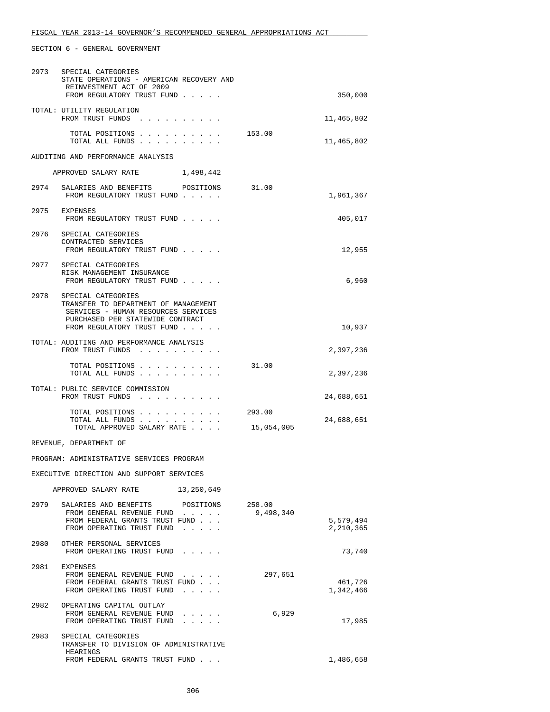| 2973 | SPECIAL CATEGORIES<br>STATE OPERATIONS - AMERICAN RECOVERY AND<br>REINVESTMENT ACT OF 2009<br>FROM REGULATORY TRUST FUND                                                 |                      | 350,000                |
|------|--------------------------------------------------------------------------------------------------------------------------------------------------------------------------|----------------------|------------------------|
|      | TOTAL: UTILITY REGULATION<br>FROM TRUST FUNDS                                                                                                                            |                      | 11,465,802             |
|      | TOTAL POSITIONS<br>TOTAL ALL FUNDS                                                                                                                                       | 153.00               | 11,465,802             |
|      | AUDITING AND PERFORMANCE ANALYSIS                                                                                                                                        |                      |                        |
|      | APPROVED SALARY RATE<br>1,498,442                                                                                                                                        |                      |                        |
| 2974 | SALARIES AND BENEFITS POSITIONS 31.00<br>FROM REGULATORY TRUST FUND                                                                                                      |                      | 1,961,367              |
|      | 2975 EXPENSES<br>FROM REGULATORY TRUST FUND                                                                                                                              |                      | 405,017                |
| 2976 | SPECIAL CATEGORIES<br>CONTRACTED SERVICES<br>FROM REGULATORY TRUST FUND                                                                                                  |                      | 12,955                 |
|      | 2977 SPECIAL CATEGORIES<br>RISK MANAGEMENT INSURANCE<br>FROM REGULATORY TRUST FUND                                                                                       |                      | 6,960                  |
|      | 2978 SPECIAL CATEGORIES<br>TRANSFER TO DEPARTMENT OF MANAGEMENT<br>SERVICES - HUMAN RESOURCES SERVICES<br>PURCHASED PER STATEWIDE CONTRACT<br>FROM REGULATORY TRUST FUND |                      | 10,937                 |
|      | TOTAL: AUDITING AND PERFORMANCE ANALYSIS<br>FROM TRUST FUNDS                                                                                                             |                      | 2,397,236              |
|      | TOTAL POSITIONS<br>TOTAL ALL FUNDS                                                                                                                                       | 31.00                | 2,397,236              |
|      | TOTAL: PUBLIC SERVICE COMMISSION<br>FROM TRUST FUNDS                                                                                                                     |                      | 24,688,651             |
|      | TOTAL POSITIONS<br>TOTAL ALL FUNDS<br>TOTAL APPROVED SALARY RATE                                                                                                         | 293.00<br>15,054,005 | 24,688,651             |
|      | REVENUE, DEPARTMENT OF                                                                                                                                                   |                      |                        |
|      | PROGRAM: ADMINISTRATIVE SERVICES PROGRAM                                                                                                                                 |                      |                        |
|      | EXECUTIVE DIRECTION AND SUPPORT SERVICES                                                                                                                                 |                      |                        |
|      | APPROVED SALARY RATE 13,250,649                                                                                                                                          |                      |                        |
| 2979 | SALARIES AND BENEFITS POSITIONS 258.00<br>FROM GENERAL REVENUE FUND<br>FROM FEDERAL GRANTS TRUST FUND<br>FROM OPERATING TRUST FUND                                       | 9,498,340            | 5,579,494<br>2,210,365 |
| 2980 | OTHER PERSONAL SERVICES<br>FROM OPERATING TRUST FUND                                                                                                                     |                      | 73,740                 |
| 2981 | EXPENSES<br>FROM GENERAL REVENUE FUND<br>FROM FEDERAL GRANTS TRUST FUND<br>FROM OPERATING TRUST FUND<br>$\sim$ $\sim$ $\sim$ $\sim$ $\sim$                               | 297,651              | 461,726<br>1,342,466   |
| 2982 | OPERATING CAPITAL OUTLAY<br>FROM GENERAL REVENUE FUND<br>$\mathbf{r} = \mathbf{r} + \mathbf{r} + \mathbf{r} + \mathbf{r}$ .<br>FROM OPERATING TRUST FUND                 | 6,929                | 17,985                 |
| 2983 | SPECIAL CATEGORIES<br>TRANSFER TO DIVISION OF ADMINISTRATIVE<br>HEARINGS                                                                                                 |                      |                        |
|      | FROM FEDERAL GRANTS TRUST FUND                                                                                                                                           |                      | 1,486,658              |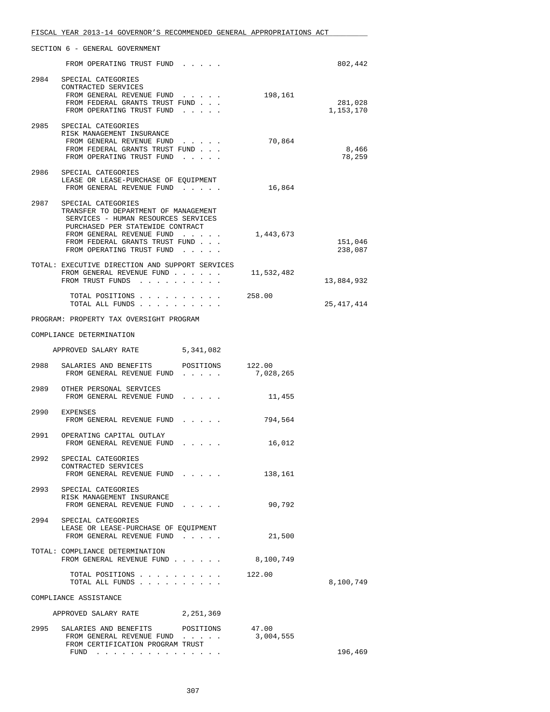|      | FISCAL YEAR 2013-14 GOVERNOR'S RECOMMENDED GENERAL APPROPRIATIONS ACT                                                                                                                                                             |  |            |                      |
|------|-----------------------------------------------------------------------------------------------------------------------------------------------------------------------------------------------------------------------------------|--|------------|----------------------|
|      | SECTION 6 - GENERAL GOVERNMENT                                                                                                                                                                                                    |  |            |                      |
|      | FROM OPERATING TRUST FUND                                                                                                                                                                                                         |  |            | 802,442              |
| 2984 | SPECIAL CATEGORIES<br>CONTRACTED SERVICES<br>FROM GENERAL REVENUE FUND<br>FROM FEDERAL GRANTS TRUST FUND<br>FROM OPERATING TRUST FUND                                                                                             |  | 198,161    | 281,028<br>1,153,170 |
| 2985 | SPECIAL CATEGORIES<br>RISK MANAGEMENT INSURANCE<br>FROM GENERAL REVENUE FUND<br>FROM FEDERAL GRANTS TRUST FUND<br>FROM OPERATING TRUST FUND                                                                                       |  | 70,864     | 8,466<br>78,259      |
|      | 2986 SPECIAL CATEGORIES<br>LEASE OR LEASE-PURCHASE OF EQUIPMENT<br>FROM GENERAL REVENUE FUND                                                                                                                                      |  | 16,864     |                      |
| 2987 | SPECIAL CATEGORIES<br>TRANSFER TO DEPARTMENT OF MANAGEMENT<br>SERVICES - HUMAN RESOURCES SERVICES<br>PURCHASED PER STATEWIDE CONTRACT<br>FROM GENERAL REVENUE FUND<br>FROM FEDERAL GRANTS TRUST FUND<br>FROM OPERATING TRUST FUND |  | 1,443,673  | 151,046<br>238,087   |
|      | TOTAL: EXECUTIVE DIRECTION AND SUPPORT SERVICES<br>FROM GENERAL REVENUE FUND<br>FROM TRUST FUNDS                                                                                                                                  |  | 11,532,482 | 13,884,932           |
|      | TOTAL POSITIONS<br>TOTAL ALL FUNDS                                                                                                                                                                                                |  | 258.00     | 25, 417, 414         |
|      | PROGRAM: PROPERTY TAX OVERSIGHT PROGRAM                                                                                                                                                                                           |  |            |                      |
|      | COMPLIANCE DETERMINATION                                                                                                                                                                                                          |  |            |                      |
|      | APPROVED SALARY RATE 5,341,082                                                                                                                                                                                                    |  |            |                      |
|      | 2988 SALARIES AND BENEFITS POSITIONS 122.00<br>FROM GENERAL REVENUE FUND                                                                                                                                                          |  | 7,028,265  |                      |
|      | 2989 OTHER PERSONAL SERVICES<br>FROM GENERAL REVENUE FUND                                                                                                                                                                         |  | 11,455     |                      |
|      | 2990 EXPENSES<br>FROM GENERAL REVENUE FUND                                                                                                                                                                                        |  | 794,564    |                      |
| 2991 | OPERATING CAPITAL OUTLAY<br>FROM GENERAL REVENUE FUND                                                                                                                                                                             |  | 16,012     |                      |
|      | 2992 SPECIAL CATEGORIES<br>CONTRACTED SERVICES<br>FROM GENERAL REVENUE FUND                                                                                                                                                       |  | 138,161    |                      |
|      | 2993 SPECIAL CATEGORIES<br>RISK MANAGEMENT INSURANCE<br>FROM GENERAL REVENUE FUND                                                                                                                                                 |  | 90,792     |                      |
| 2994 | SPECIAL CATEGORIES<br>LEASE OR LEASE-PURCHASE OF EQUIPMENT<br>FROM GENERAL REVENUE FUND                                                                                                                                           |  | 21,500     |                      |
|      | TOTAL: COMPLIANCE DETERMINATION<br>FROM GENERAL REVENUE FUND 8, 100, 749                                                                                                                                                          |  |            |                      |
|      | TOTAL POSITIONS 122.00<br>TOTAL ALL FUNDS                                                                                                                                                                                         |  |            | 8,100,749            |
|      | COMPLIANCE ASSISTANCE                                                                                                                                                                                                             |  |            |                      |
|      | APPROVED SALARY RATE 2,251,369                                                                                                                                                                                                    |  |            |                      |
| 2995 | SALARIES AND BENEFITS POSITIONS 47.00<br>FROM GENERAL REVENUE FUND<br>FROM CERTIFICATION PROGRAM TRUST                                                                                                                            |  | 3,004,555  |                      |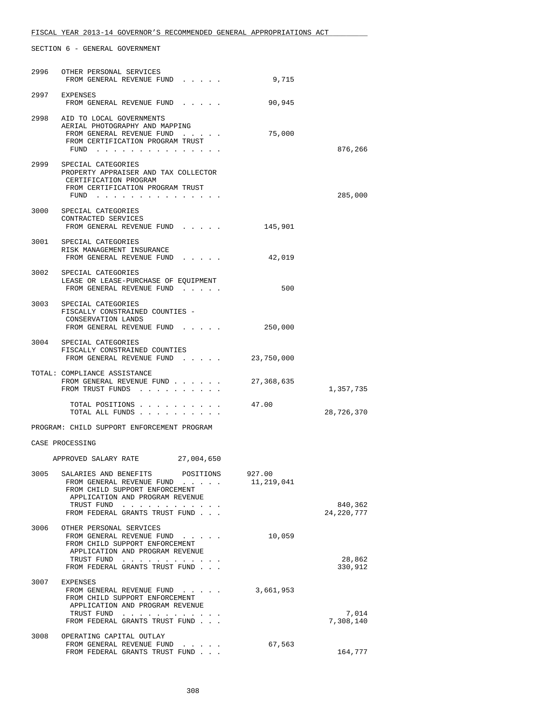| 2996 | OTHER PERSONAL SERVICES<br>FROM GENERAL REVENUE FUND                                                                                                       | 9,715                |                       |
|------|------------------------------------------------------------------------------------------------------------------------------------------------------------|----------------------|-----------------------|
|      | 2997 EXPENSES<br>FROM GENERAL REVENUE FUND                                                                                                                 | 90,945               |                       |
|      | 2998 AID TO LOCAL GOVERNMENTS<br>AERIAL PHOTOGRAPHY AND MAPPING<br>FROM GENERAL REVENUE FUND<br>FROM CERTIFICATION PROGRAM TRUST<br>$FUND$                 | 75,000               | 876,266               |
|      | 2999 SPECIAL CATEGORIES<br>PROPERTY APPRAISER AND TAX COLLECTOR<br>CERTIFICATION PROGRAM<br>FROM CERTIFICATION PROGRAM TRUST<br>FUND                       |                      | 285,000               |
|      | 3000 SPECIAL CATEGORIES<br>CONTRACTED SERVICES<br>FROM GENERAL REVENUE FUND                                                                                | 145,901              |                       |
|      | 3001 SPECIAL CATEGORIES<br>RISK MANAGEMENT INSURANCE<br>FROM GENERAL REVENUE FUND                                                                          | 42,019               |                       |
|      | 3002 SPECIAL CATEGORIES<br>LEASE OR LEASE-PURCHASE OF EQUIPMENT<br>FROM GENERAL REVENUE FUND                                                               | 500                  |                       |
|      | 3003 SPECIAL CATEGORIES<br>FISCALLY CONSTRAINED COUNTIES -<br>CONSERVATION LANDS<br>FROM GENERAL REVENUE FUND                                              | 250,000              |                       |
|      | 3004 SPECIAL CATEGORIES<br>FISCALLY CONSTRAINED COUNTIES<br>FROM GENERAL REVENUE FUND                                                                      | 23,750,000           |                       |
|      | TOTAL: COMPLIANCE ASSISTANCE<br>FROM GENERAL REVENUE FUND<br>FROM TRUST FUNDS                                                                              | 27,368,635           | 1,357,735             |
|      | TOTAL POSITIONS<br>TOTAL ALL FUNDS                                                                                                                         | 47.00                | 28,726,370            |
|      | PROGRAM: CHILD SUPPORT ENFORCEMENT PROGRAM                                                                                                                 |                      |                       |
|      | CASE PROCESSING                                                                                                                                            |                      |                       |
|      | APPROVED SALARY RATE 27,004,650                                                                                                                            |                      |                       |
| 3005 | SALARIES AND BENEFITS<br>POSITIONS<br>FROM GENERAL REVENUE FUND<br>FROM CHILD SUPPORT ENFORCEMENT<br>APPLICATION AND PROGRAM REVENUE                       | 927.00<br>11,219,041 |                       |
|      | TRUST FUND<br>FROM FEDERAL GRANTS TRUST FUND                                                                                                               |                      | 840,362<br>24,220,777 |
| 3006 | OTHER PERSONAL SERVICES<br>FROM GENERAL REVENUE FUND<br>FROM CHILD SUPPORT ENFORCEMENT<br>APPLICATION AND PROGRAM REVENUE<br>TRUST FUND                    | 10,059               | 28,862                |
|      | FROM FEDERAL GRANTS TRUST FUND                                                                                                                             |                      | 330,912               |
| 3007 | EXPENSES<br>FROM GENERAL REVENUE FUND<br>FROM CHILD SUPPORT ENFORCEMENT<br>APPLICATION AND PROGRAM REVENUE<br>TRUST FUND<br>FROM FEDERAL GRANTS TRUST FUND | 3,661,953            | 7,014<br>7,308,140    |
| 3008 | OPERATING CAPITAL OUTLAY                                                                                                                                   |                      |                       |
|      | FROM GENERAL REVENUE FUND<br>FROM FEDERAL GRANTS TRUST FUND                                                                                                | 67,563               | 164,777               |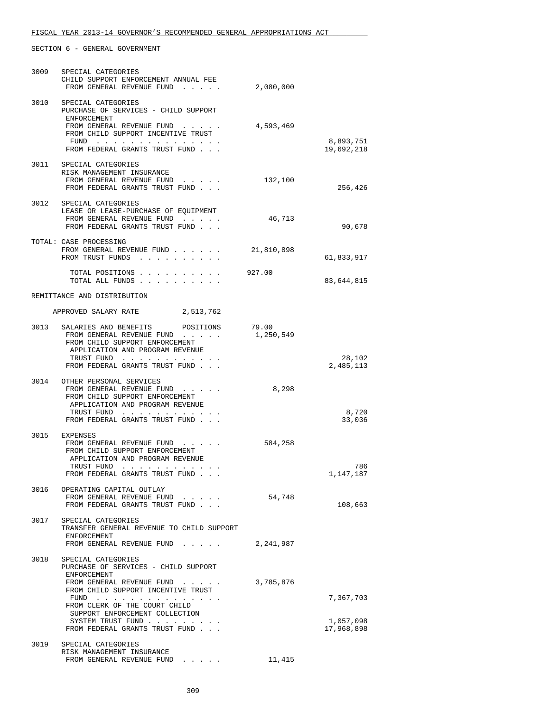| 3009 | SPECIAL CATEGORIES<br>CHILD SUPPORT ENFORCEMENT ANNUAL FEE                                                                                                                                                          |                    |                         |
|------|---------------------------------------------------------------------------------------------------------------------------------------------------------------------------------------------------------------------|--------------------|-------------------------|
|      | FROM GENERAL REVENUE FUND                                                                                                                                                                                           | 2,080,000          |                         |
|      | 3010 SPECIAL CATEGORIES<br>PURCHASE OF SERVICES - CHILD SUPPORT<br>ENFORCEMENT<br>FROM GENERAL REVENUE FUND                                                                                                         | 4,593,469          |                         |
|      | FROM CHILD SUPPORT INCENTIVE TRUST<br>$\text{FUND}$                                                                                                                                                                 |                    | 8,893,751               |
|      | FROM FEDERAL GRANTS TRUST FUND                                                                                                                                                                                      |                    | 19,692,218              |
| 3011 | SPECIAL CATEGORIES<br>RISK MANAGEMENT INSURANCE<br>FROM GENERAL REVENUE FUND<br>FROM FEDERAL GRANTS TRUST FUND                                                                                                      | 132,100            | 256,426                 |
| 3012 | SPECIAL CATEGORIES<br>LEASE OR LEASE-PURCHASE OF EQUIPMENT<br>FROM GENERAL REVENUE FUND                                                                                                                             | 46,713             |                         |
|      | FROM FEDERAL GRANTS TRUST FUND<br>TOTAL: CASE PROCESSING                                                                                                                                                            |                    | 90,678                  |
|      | FROM GENERAL REVENUE FUND<br>FROM TRUST FUNDS                                                                                                                                                                       | 21,810,898         | 61,833,917              |
|      | TOTAL POSITIONS<br>TOTAL ALL FUNDS                                                                                                                                                                                  | 927.00             | 83,644,815              |
|      | REMITTANCE AND DISTRIBUTION                                                                                                                                                                                         |                    |                         |
|      | APPROVED SALARY RATE<br>2,513,762                                                                                                                                                                                   |                    |                         |
| 3013 | SALARIES AND BENEFITS POSITIONS<br>FROM GENERAL REVENUE FUND<br>FROM CHILD SUPPORT ENFORCEMENT<br>APPLICATION AND PROGRAM REVENUE                                                                                   | 79.00<br>1,250,549 |                         |
|      | TRUST FUND<br>FROM FEDERAL GRANTS TRUST FUND                                                                                                                                                                        |                    | 28,102<br>2,485,113     |
| 3014 | OTHER PERSONAL SERVICES<br>FROM GENERAL REVENUE FUND<br>FROM CHILD SUPPORT ENFORCEMENT<br>APPLICATION AND PROGRAM REVENUE                                                                                           | 8,298              |                         |
|      | TRUST FUND<br>FROM FEDERAL GRANTS TRUST FUND                                                                                                                                                                        |                    | 8,720<br>33,036         |
| 3015 | EXPENSES<br>FROM GENERAL REVENUE FUND<br>and a strategic con-<br>FROM CHILD SUPPORT ENFORCEMENT<br>APPLICATION AND PROGRAM REVENUE<br>TRUST FUND<br>$\mathbf{r}$ . The state of the state of the state $\mathbf{r}$ | 584,258            | 786                     |
|      | FROM FEDERAL GRANTS TRUST FUND                                                                                                                                                                                      |                    | 1,147,187               |
| 3016 | OPERATING CAPITAL OUTLAY<br>FROM GENERAL REVENUE FUND<br>FROM FEDERAL GRANTS TRUST FUND                                                                                                                             | 54,748             | 108,663                 |
| 3017 | SPECIAL CATEGORIES<br>TRANSFER GENERAL REVENUE TO CHILD SUPPORT<br>ENFORCEMENT                                                                                                                                      |                    |                         |
|      | FROM GENERAL REVENUE FUND                                                                                                                                                                                           | 2,241,987          |                         |
| 3018 | SPECIAL CATEGORIES<br>PURCHASE OF SERVICES - CHILD SUPPORT<br>ENFORCEMENT                                                                                                                                           |                    |                         |
|      | FROM GENERAL REVENUE FUND<br>FROM CHILD SUPPORT INCENTIVE TRUST<br>FUND                                                                                                                                             | 3,785,876          | 7,367,703               |
|      | FROM CLERK OF THE COURT CHILD<br>SUPPORT ENFORCEMENT COLLECTION                                                                                                                                                     |                    |                         |
|      | SYSTEM TRUST FUND<br>FROM FEDERAL GRANTS TRUST FUND                                                                                                                                                                 |                    | 1,057,098<br>17,968,898 |
| 3019 | SPECIAL CATEGORIES<br>RISK MANAGEMENT INSURANCE                                                                                                                                                                     |                    |                         |
|      | FROM GENERAL REVENUE FUND<br>$\mathcal{A}$ , and $\mathcal{A}$ , and $\mathcal{A}$                                                                                                                                  | 11,415             |                         |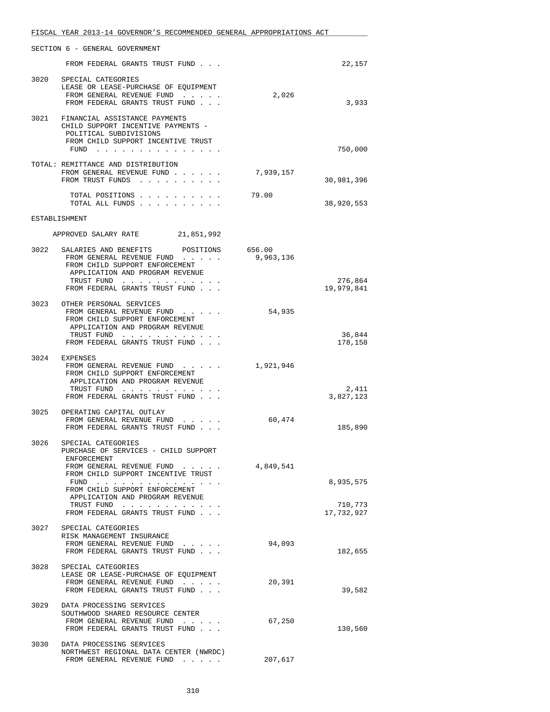|      | FISCAL YEAR 2013-14 GOVERNOR'S RECOMMENDED GENERAL APPROPRIATIONS ACT                                                                                       |           |                    |
|------|-------------------------------------------------------------------------------------------------------------------------------------------------------------|-----------|--------------------|
|      | SECTION 6 - GENERAL GOVERNMENT                                                                                                                              |           |                    |
|      | FROM FEDERAL GRANTS TRUST FUND                                                                                                                              |           | 22,157             |
| 3020 | SPECIAL CATEGORIES<br>LEASE OR LEASE-PURCHASE OF EQUIPMENT<br>FROM GENERAL REVENUE FUND<br>FROM FEDERAL GRANTS TRUST FUND                                   | 2,026     | 3,933              |
|      | 3021 FINANCIAL ASSISTANCE PAYMENTS<br>CHILD SUPPORT INCENTIVE PAYMENTS -<br>POLITICAL SUBDIVISIONS<br>FROM CHILD SUPPORT INCENTIVE TRUST<br>FUND $\cdots$   |           | 750,000            |
|      | TOTAL: REMITTANCE AND DISTRIBUTION<br>FROM GENERAL REVENUE FUND<br>FROM TRUST FUNDS                                                                         | 7,939,157 | 30,981,396         |
|      | TOTAL POSITIONS<br>TOTAL ALL FUNDS                                                                                                                          | 79.00     | 38,920,553         |
|      | ESTABLISHMENT                                                                                                                                               |           |                    |
|      | APPROVED SALARY RATE 21,851,992                                                                                                                             |           |                    |
|      | 3022 SALARIES AND BENEFITS POSITIONS 656.00<br>FROM GENERAL REVENUE FUND<br>FROM CHILD SUPPORT ENFORCEMENT<br>APPLICATION AND PROGRAM REVENUE<br>TRUST FUND | 9,963,136 | 276,864            |
|      | FROM FEDERAL GRANTS TRUST FUND.                                                                                                                             |           | 19,979,841         |
|      | 3023 OTHER PERSONAL SERVICES<br>FROM GENERAL REVENUE FUND<br>FROM CHILD SUPPORT ENFORCEMENT<br>APPLICATION AND PROGRAM REVENUE                              | 54,935    |                    |
|      | TRUST FUND<br>FROM FEDERAL GRANTS TRUST FUND                                                                                                                |           | 36,844<br>178,158  |
|      | 3024 EXPENSES<br>FROM GENERAL REVENUE FUND<br>FROM CHILD SUPPORT ENFORCEMENT<br>APPLICATION AND PROGRAM REVENUE                                             | 1,921,946 |                    |
|      | TRUST FUND<br>FROM FEDERAL GRANTS TRUST FUND                                                                                                                |           | 2,411<br>3,827,123 |
| 3025 | OPERATING CAPITAL OUTLAY<br>FROM GENERAL REVENUE FUND<br>FROM FEDERAL GRANTS TRUST FUND                                                                     | 60,474    | 185,890            |
|      | 3026 SPECIAL CATEGORIES<br>PURCHASE OF SERVICES - CHILD SUPPORT<br>ENFORCEMENT                                                                              |           |                    |
|      | FROM GENERAL REVENUE FUND<br>FROM CHILD SUPPORT INCENTIVE TRUST<br>FUND $\cdots$                                                                            | 4,849,541 | 8,935,575          |
|      | FROM CHILD SUPPORT ENFORCEMENT<br>APPLICATION AND PROGRAM REVENUE<br>TRUST FUND                                                                             |           | 710,773            |
|      | FROM FEDERAL GRANTS TRUST FUND                                                                                                                              |           | 17,732,927         |
|      | 3027 SPECIAL CATEGORIES<br>RISK MANAGEMENT INSURANCE<br>FROM GENERAL REVENUE FUND<br>FROM FEDERAL GRANTS TRUST FUND                                         | 94,093    | 182,655            |
|      | 3028 SPECIAL CATEGORIES<br>LEASE OR LEASE-PURCHASE OF EQUIPMENT<br>FROM GENERAL REVENUE FUND<br>FROM FEDERAL GRANTS TRUST FUND                              | 20,391    | 39,582             |
| 3029 | DATA PROCESSING SERVICES<br>SOUTHWOOD SHARED RESOURCE CENTER<br>FROM GENERAL REVENUE FUND<br>FROM FEDERAL GRANTS TRUST FUND                                 | 67,250    | 130,560            |
| 3030 | DATA PROCESSING SERVICES<br>NORTHWEST REGIONAL DATA CENTER (NWRDC)                                                                                          |           |                    |
|      | FROM GENERAL REVENUE FUND                                                                                                                                   | 207,617   |                    |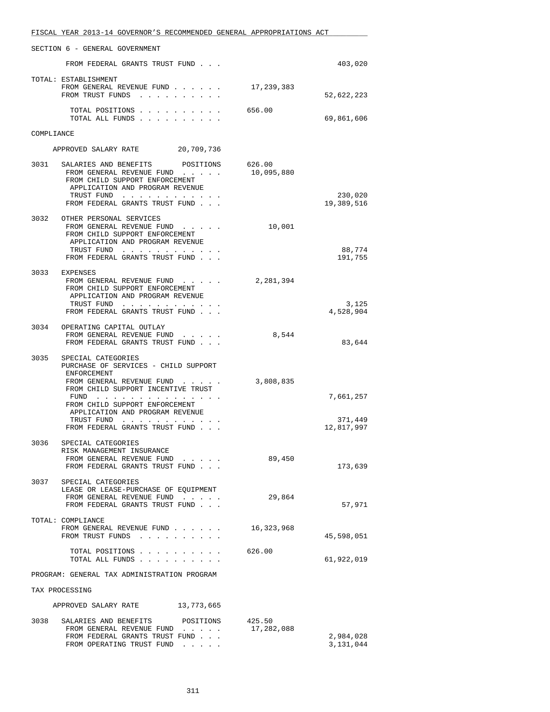|                                             | FISCAL YEAR 2013-14 GOVERNOR'S RECOMMENDED GENERAL APPROPRIATIONS ACT                                                                                                                |                      |                        |
|---------------------------------------------|--------------------------------------------------------------------------------------------------------------------------------------------------------------------------------------|----------------------|------------------------|
|                                             | SECTION 6 - GENERAL GOVERNMENT                                                                                                                                                       |                      |                        |
|                                             | FROM FEDERAL GRANTS TRUST FUND                                                                                                                                                       |                      | 403,020                |
|                                             | TOTAL: ESTABLISHMENT<br>FROM GENERAL REVENUE FUND<br>FROM TRUST FUNDS                                                                                                                | 17,239,383           | 52,622,223             |
|                                             | TOTAL POSITIONS<br>TOTAL ALL FUNDS                                                                                                                                                   | 656.00               | 69,861,606             |
| COMPLIANCE                                  |                                                                                                                                                                                      |                      |                        |
|                                             | APPROVED SALARY RATE 20,709,736                                                                                                                                                      |                      |                        |
| 3031                                        | SALARIES AND BENEFITS<br>POSITIONS<br>FROM GENERAL REVENUE FUND<br>FROM CHILD SUPPORT ENFORCEMENT<br>APPLICATION AND PROGRAM REVENUE<br>TRUST FUND<br>FROM FEDERAL GRANTS TRUST FUND | 626.00<br>10,095,880 | 230,020<br>19,389,516  |
|                                             |                                                                                                                                                                                      |                      |                        |
| 3032                                        | OTHER PERSONAL SERVICES<br>FROM GENERAL REVENUE FUND<br>FROM CHILD SUPPORT ENFORCEMENT<br>APPLICATION AND PROGRAM REVENUE<br>TRUST FUND                                              | 10,001               | 88,774                 |
|                                             | FROM FEDERAL GRANTS TRUST FUND                                                                                                                                                       |                      | 191,755                |
|                                             | 3033 EXPENSES<br>FROM GENERAL REVENUE FUND<br>FROM CHILD SUPPORT ENFORCEMENT<br>APPLICATION AND PROGRAM REVENUE                                                                      | 2,281,394            |                        |
|                                             | TRUST FUND<br>FROM FEDERAL GRANTS TRUST FUND                                                                                                                                         |                      | 3,125<br>4,528,904     |
| 3034                                        | OPERATING CAPITAL OUTLAY<br>FROM GENERAL REVENUE FUND<br>FROM FEDERAL GRANTS TRUST FUND                                                                                              | 8,544                | 83,644                 |
| 3035                                        | SPECIAL CATEGORIES<br>PURCHASE OF SERVICES - CHILD SUPPORT<br>ENFORCEMENT                                                                                                            |                      |                        |
|                                             | FROM GENERAL REVENUE FUND<br>FROM CHILD SUPPORT INCENTIVE TRUST<br>$FUND$<br>FROM CHILD SUPPORT ENFORCEMENT                                                                          | 3,808,835            | 7,661,257              |
|                                             | APPLICATION AND PROGRAM REVENUE<br>TRUST FUND                                                                                                                                        |                      | 371,449                |
|                                             | FROM FEDERAL GRANTS TRUST FUND                                                                                                                                                       |                      | 12,817,997             |
| 3036                                        | SPECIAL CATEGORIES<br>RISK MANAGEMENT INSURANCE<br>FROM GENERAL REVENUE FUND                                                                                                         | 89,450               |                        |
|                                             | FROM FEDERAL GRANTS TRUST FUND                                                                                                                                                       |                      | 173,639                |
| 3037                                        | SPECIAL CATEGORIES<br>LEASE OR LEASE-PURCHASE OF EQUIPMENT<br>FROM GENERAL REVENUE FUND<br>FROM FEDERAL GRANTS TRUST FUND                                                            | 29,864               | 57,971                 |
|                                             | TOTAL: COMPLIANCE<br>FROM GENERAL REVENUE FUND<br>FROM TRUST FUNDS                                                                                                                   | 16,323,968           | 45,598,051             |
|                                             | TOTAL POSITIONS<br>TOTAL ALL FUNDS                                                                                                                                                   | 626.00               | 61,922,019             |
| PROGRAM: GENERAL TAX ADMINISTRATION PROGRAM |                                                                                                                                                                                      |                      |                        |
| TAX PROCESSING                              |                                                                                                                                                                                      |                      |                        |
|                                             | APPROVED SALARY RATE 13,773,665                                                                                                                                                      |                      |                        |
|                                             | 3038 SALARIES AND BENEFITS POSITIONS<br>FROM GENERAL REVENUE FUND<br>FROM FEDERAL GRANTS TRUST FUND<br>FROM OPERATING TRUST FUND                                                     | 425.50<br>17,282,088 | 2,984,028<br>3,131,044 |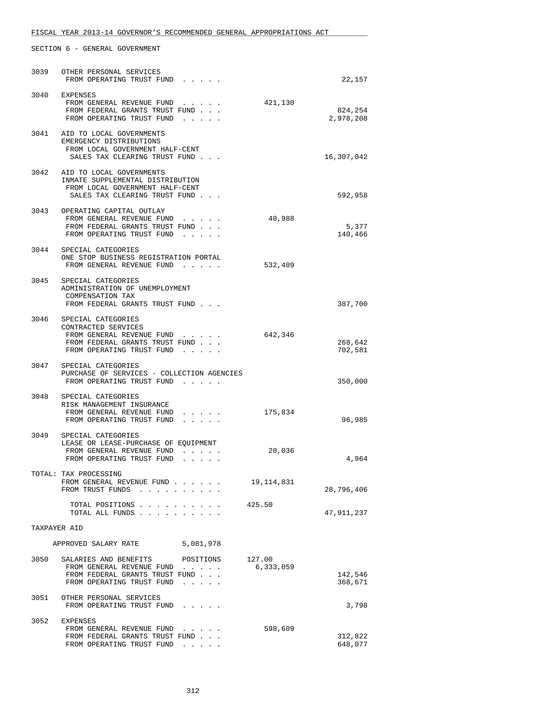| 3039         | OTHER PERSONAL SERVICES<br>FROM OPERATING TRUST FUND                                                                                       |                                                                                                      |                     | 22,157               |
|--------------|--------------------------------------------------------------------------------------------------------------------------------------------|------------------------------------------------------------------------------------------------------|---------------------|----------------------|
|              | 3040 EXPENSES<br>FROM GENERAL REVENUE FUND<br>FROM FEDERAL GRANTS TRUST FUND<br>FROM OPERATING TRUST FUND                                  |                                                                                                      | 421,130             | 824,254<br>2,978,208 |
|              | 3041 AID TO LOCAL GOVERNMENTS<br>EMERGENCY DISTRIBUTIONS<br>FROM LOCAL GOVERNMENT HALF-CENT<br>SALES TAX CLEARING TRUST FUND               |                                                                                                      |                     | 16,307,042           |
| 3042         | AID TO LOCAL GOVERNMENTS<br>INMATE SUPPLEMENTAL DISTRIBUTION<br>FROM LOCAL GOVERNMENT HALF-CENT<br>SALES TAX CLEARING TRUST FUND           |                                                                                                      |                     | 592,958              |
|              | 3043 OPERATING CAPITAL OUTLAY<br>FROM GENERAL REVENUE FUND<br>FROM FEDERAL GRANTS TRUST FUND<br>FROM OPERATING TRUST FUND                  |                                                                                                      | 40,988              | 5,377<br>140,466     |
|              | 3044 SPECIAL CATEGORIES<br>ONE STOP BUSINESS REGISTRATION PORTAL<br>FROM GENERAL REVENUE FUND                                              |                                                                                                      | 532,409             |                      |
| 3045         | SPECIAL CATEGORIES<br>ADMINISTRATION OF UNEMPLOYMENT<br>COMPENSATION TAX<br>FROM FEDERAL GRANTS TRUST FUND                                 |                                                                                                      |                     | 387,700              |
|              | 3046 SPECIAL CATEGORIES<br>CONTRACTED SERVICES<br>FROM GENERAL REVENUE FUND<br>FROM FEDERAL GRANTS TRUST FUND<br>FROM OPERATING TRUST FUND | $\sim$ $\sim$ $\sim$ $\sim$                                                                          | 642,346             | 268,642<br>702,581   |
|              | 3047 SPECIAL CATEGORIES<br>PURCHASE OF SERVICES - COLLECTION AGENCIES<br>FROM OPERATING TRUST FUND                                         |                                                                                                      |                     | 350,000              |
|              | 3048 SPECIAL CATEGORIES<br>RISK MANAGEMENT INSURANCE<br>FROM GENERAL REVENUE FUND<br>FROM OPERATING TRUST FUND                             | and a state of the<br>.                                                                              | 175,834             | 96,985               |
|              | 3049 SPECIAL CATEGORIES<br>LEASE OR LEASE-PURCHASE OF EQUIPMENT<br>FROM GENERAL REVENUE FUND<br>FROM OPERATING TRUST FUND                  | .<br>$\mathcal{L}^{\mathcal{A}}$ , and $\mathcal{L}^{\mathcal{A}}$ , and $\mathcal{L}^{\mathcal{A}}$ | 20,036              | 4,964                |
|              | TOTAL: TAX PROCESSING<br>FROM GENERAL REVENUE FUND<br>FROM TRUST FUNDS                                                                     |                                                                                                      | 19,114,831          | 28,796,406           |
|              | TOTAL POSITIONS<br>TOTAL ALL FUNDS                                                                                                         |                                                                                                      | 425.50              | 47,911,237           |
| TAXPAYER AID |                                                                                                                                            |                                                                                                      |                     |                      |
|              | APPROVED SALARY RATE                                                                                                                       | 5,081,978                                                                                            |                     |                      |
| 3050         | SALARIES AND BENEFITS<br>FROM GENERAL REVENUE FUND<br>FROM FEDERAL GRANTS TRUST FUND<br>FROM OPERATING TRUST FUND                          | POSITIONS<br>and a state                                                                             | 127.00<br>6,333,059 | 142,546<br>368,671   |
| 3051         | OTHER PERSONAL SERVICES<br>FROM OPERATING TRUST FUND                                                                                       | .                                                                                                    |                     | 3,798                |
| 3052         | EXPENSES<br>FROM GENERAL REVENUE FUND<br>FROM FEDERAL GRANTS TRUST FUND<br>FROM OPERATING TRUST FUND                                       | $\cdots$<br>$\mathbf{1}$ and $\mathbf{1}$ and $\mathbf{1}$ and $\mathbf{1}$                          | 598,609             | 312,822<br>648,077   |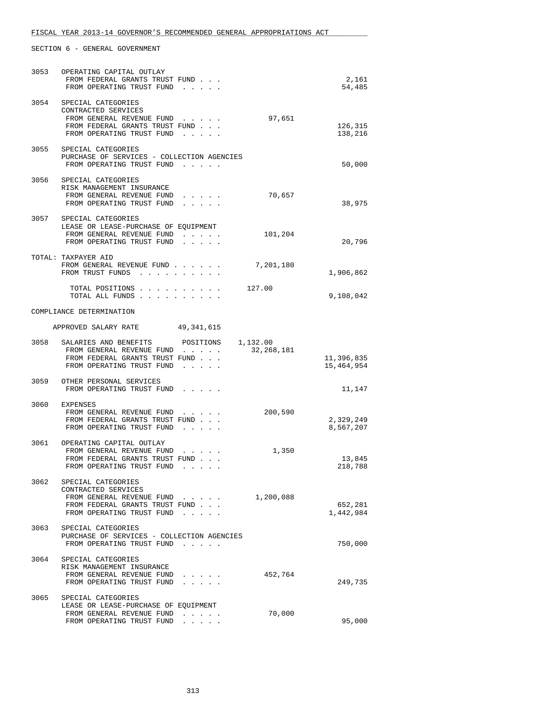| 3053 | OPERATING CAPITAL OUTLAY<br>FROM FEDERAL GRANTS TRUST FUND<br>FROM OPERATING TRUST FUND                                                    |                                                                                                                   |                        | 2,161<br>54,485          |
|------|--------------------------------------------------------------------------------------------------------------------------------------------|-------------------------------------------------------------------------------------------------------------------|------------------------|--------------------------|
|      | 3054 SPECIAL CATEGORIES<br>CONTRACTED SERVICES<br>FROM GENERAL REVENUE FUND<br>FROM FEDERAL GRANTS TRUST FUND<br>FROM OPERATING TRUST FUND | $\mathcal{L}^{\mathcal{A}}$ , and $\mathcal{L}^{\mathcal{A}}$ , and $\mathcal{L}^{\mathcal{A}}$                   | 97,651                 | 126,315<br>138,216       |
| 3055 | SPECIAL CATEGORIES<br>PURCHASE OF SERVICES - COLLECTION AGENCIES<br>FROM OPERATING TRUST FUND                                              |                                                                                                                   |                        | 50,000                   |
| 3056 | SPECIAL CATEGORIES<br>RISK MANAGEMENT INSURANCE<br>FROM GENERAL REVENUE FUND<br>FROM OPERATING TRUST FUND                                  |                                                                                                                   | 70,657                 | 38,975                   |
|      | 3057 SPECIAL CATEGORIES<br>LEASE OR LEASE-PURCHASE OF EQUIPMENT<br>FROM GENERAL REVENUE FUND<br>FROM OPERATING TRUST FUND                  | $\mathcal{L}^{\mathcal{A}}$ , and $\mathcal{L}^{\mathcal{A}}$ , and $\mathcal{L}^{\mathcal{A}}$ , and<br>$\cdots$ | 101,204                | 20,796                   |
|      | TOTAL: TAXPAYER AID<br>FROM GENERAL REVENUE FUND<br>FROM TRUST FUNDS                                                                       |                                                                                                                   | 7,201,180              | 1,906,862                |
|      | TOTAL POSITIONS<br>TOTAL ALL FUNDS                                                                                                         |                                                                                                                   | 127.00                 | 9,108,042                |
|      | COMPLIANCE DETERMINATION                                                                                                                   |                                                                                                                   |                        |                          |
|      | APPROVED SALARY RATE 49,341,615                                                                                                            |                                                                                                                   |                        |                          |
| 3058 | SALARIES AND BENEFITS<br>FROM GENERAL REVENUE FUND<br>FROM FEDERAL GRANTS TRUST FUND<br>FROM OPERATING TRUST FUND                          | POSITIONS<br>$\mathbf{r} = \mathbf{r} + \mathbf{r} + \mathbf{r} + \mathbf{r}$ .                                   | 1,132.00<br>32,268,181 | 11,396,835<br>15,464,954 |
| 3059 | OTHER PERSONAL SERVICES<br>FROM OPERATING TRUST FUND                                                                                       |                                                                                                                   |                        | 11,147                   |
| 3060 | EXPENSES<br>FROM GENERAL REVENUE FUND<br>FROM FEDERAL GRANTS TRUST FUND<br>FROM OPERATING TRUST FUND                                       |                                                                                                                   | 200,590                | 2,329,249<br>8,567,207   |
| 3061 | OPERATING CAPITAL OUTLAY<br>FROM GENERAL REVENUE FUND<br>FROM FEDERAL GRANTS TRUST FUND<br>FROM OPERATING TRUST FUND                       |                                                                                                                   | 1,350                  | 13,845<br>218,788        |
|      | 3062 SPECIAL CATEGORIES<br>CONTRACTED SERVICES<br>FROM GENERAL REVENUE FUND<br>FROM FEDERAL GRANTS TRUST FUND<br>FROM OPERATING TRUST FUND |                                                                                                                   | 1,200,088              | 652,281<br>1,442,984     |
|      | 3063 SPECIAL CATEGORIES<br>PURCHASE OF SERVICES - COLLECTION AGENCIES<br>FROM OPERATING TRUST FUND                                         |                                                                                                                   |                        | 750,000                  |
| 3064 | SPECIAL CATEGORIES<br>RISK MANAGEMENT INSURANCE<br>FROM GENERAL REVENUE FUND<br>FROM OPERATING TRUST FUND                                  |                                                                                                                   | 452,764                | 249,735                  |
| 3065 | SPECIAL CATEGORIES<br>LEASE OR LEASE-PURCHASE OF EQUIPMENT<br>FROM GENERAL REVENUE FUND<br>FROM OPERATING TRUST FUND                       |                                                                                                                   | 70,000                 | 95,000                   |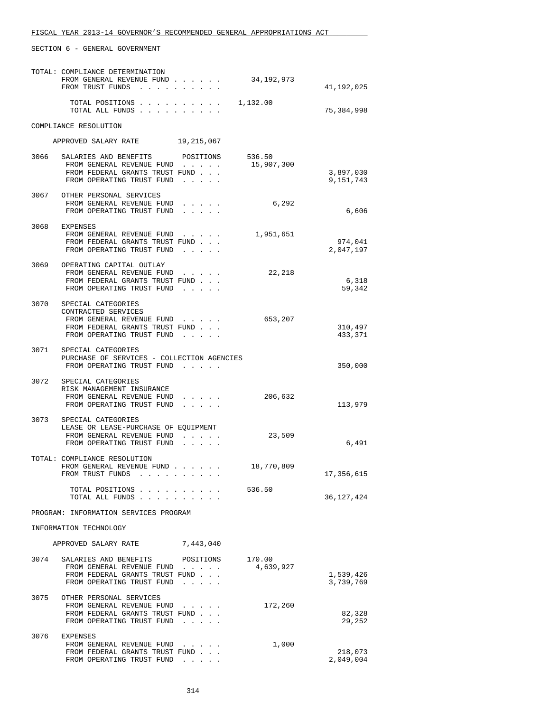|                        | TOTAL: COMPLIANCE DETERMINATION<br>FROM GENERAL REVENUE FUND<br>FROM TRUST FUNDS |                                                                                                 | 34,192,973 | 41,192,025             |
|------------------------|----------------------------------------------------------------------------------|-------------------------------------------------------------------------------------------------|------------|------------------------|
|                        | TOTAL POSITIONS<br>TOTAL ALL FUNDS                                               |                                                                                                 | 1,132.00   | 75,384,998             |
|                        | COMPLIANCE RESOLUTION                                                            |                                                                                                 |            |                        |
|                        | APPROVED SALARY RATE 19, 215, 067                                                |                                                                                                 |            |                        |
|                        | 3066 SALARIES AND BENEFITS                                                       | POSITIONS                                                                                       | 536.50     |                        |
|                        | FROM GENERAL REVENUE FUND<br>FROM FEDERAL GRANTS TRUST FUND                      |                                                                                                 | 15,907,300 | 3,897,030              |
|                        | FROM OPERATING TRUST FUND                                                        | .                                                                                               |            | 9,151,743              |
|                        | 3067 OTHER PERSONAL SERVICES                                                     |                                                                                                 |            |                        |
|                        | FROM GENERAL REVENUE FUND<br>FROM OPERATING TRUST FUND                           |                                                                                                 | 6,292      | 6,606                  |
|                        | 3068 EXPENSES                                                                    |                                                                                                 |            |                        |
|                        | FROM GENERAL REVENUE FUND<br>FROM FEDERAL GRANTS TRUST FUND                      |                                                                                                 | 1,951,651  | 974,041                |
|                        | FROM OPERATING TRUST FUND                                                        |                                                                                                 |            | 2,047,197              |
| 3069                   | OPERATING CAPITAL OUTLAY                                                         |                                                                                                 |            |                        |
|                        | FROM GENERAL REVENUE FUND<br>FROM FEDERAL GRANTS TRUST FUND                      |                                                                                                 | 22,218     | 6,318                  |
|                        | FROM OPERATING TRUST FUND                                                        | $\cdots$                                                                                        |            | 59,342                 |
| 3070                   | SPECIAL CATEGORIES                                                               |                                                                                                 |            |                        |
|                        | CONTRACTED SERVICES<br>FROM GENERAL REVENUE FUND                                 |                                                                                                 | 653,207    |                        |
|                        | FROM FEDERAL GRANTS TRUST FUND                                                   |                                                                                                 |            | 310,497                |
|                        | FROM OPERATING TRUST FUND                                                        |                                                                                                 |            | 433,371                |
|                        | 3071 SPECIAL CATEGORIES                                                          |                                                                                                 |            |                        |
|                        | PURCHASE OF SERVICES - COLLECTION AGENCIES<br>FROM OPERATING TRUST FUND          |                                                                                                 |            | 350,000                |
|                        | 3072 SPECIAL CATEGORIES                                                          |                                                                                                 |            |                        |
|                        | RISK MANAGEMENT INSURANCE                                                        |                                                                                                 |            |                        |
|                        | FROM GENERAL REVENUE FUND<br>FROM OPERATING TRUST FUND                           | .                                                                                               | 206,632    | 113,979                |
|                        | 3073 SPECIAL CATEGORIES                                                          |                                                                                                 |            |                        |
|                        | LEASE OR LEASE-PURCHASE OF EQUIPMENT                                             |                                                                                                 |            |                        |
|                        | FROM GENERAL REVENUE FUND<br>FROM OPERATING TRUST FUND                           | $\mathcal{L}^{\mathcal{A}}$ , and $\mathcal{L}^{\mathcal{A}}$ , and $\mathcal{L}^{\mathcal{A}}$ | 23,509     | 6,491                  |
|                        |                                                                                  |                                                                                                 |            |                        |
|                        | TOTAL: COMPLIANCE RESOLUTION                                                     |                                                                                                 | 18,770,809 |                        |
|                        | FROM TRUST FUNDS                                                                 | $\begin{array}{cccccccccccccccccc} . & . & . & . & . & . & . & . & . & . & . & . \end{array}$   |            | 17,356,615             |
|                        | TOTAL POSITIONS<br>TOTAL ALL FUNDS                                               |                                                                                                 | 536.50     | 36,127,424             |
|                        | PROGRAM: INFORMATION SERVICES PROGRAM                                            |                                                                                                 |            |                        |
| INFORMATION TECHNOLOGY |                                                                                  |                                                                                                 |            |                        |
|                        | APPROVED SALARY RATE                                                             | 7,443,040                                                                                       |            |                        |
| 3074                   | SALARIES AND BENEFITS                                                            | POSITIONS                                                                                       | 170.00     |                        |
|                        | FROM GENERAL REVENUE FUND                                                        |                                                                                                 | 4,639,927  |                        |
|                        | FROM FEDERAL GRANTS TRUST FUND<br>FROM OPERATING TRUST FUND                      | $\sim$ $\sim$ $\sim$ $\sim$ $\sim$                                                              |            | 1,539,426<br>3,739,769 |
| 3075                   | OTHER PERSONAL SERVICES                                                          |                                                                                                 |            |                        |
|                        | FROM GENERAL REVENUE FUND                                                        |                                                                                                 | 172,260    |                        |
|                        | FROM FEDERAL GRANTS TRUST FUND<br>FROM OPERATING TRUST FUND                      | $\sim$ $\sim$ $\sim$ $\sim$                                                                     |            | 82,328<br>29,252       |
|                        |                                                                                  |                                                                                                 |            |                        |
| 3076                   | EXPENSES<br>FROM GENERAL REVENUE FUND                                            |                                                                                                 | 1,000      |                        |
|                        | FROM FEDERAL GRANTS TRUST FUND<br>FROM OPERATING TRUST FUND                      | $\mathcal{A}$ , and $\mathcal{A}$ , and $\mathcal{A}$                                           |            | 218,073<br>2,049,004   |
|                        |                                                                                  |                                                                                                 |            |                        |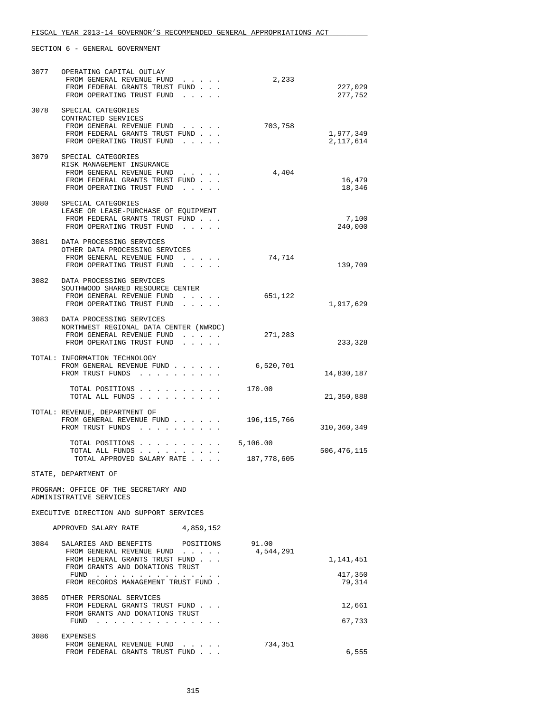| 3077 | OPERATING CAPITAL OUTLAY<br>FROM GENERAL REVENUE FUND<br>FROM FEDERAL GRANTS TRUST FUND<br>FROM OPERATING TRUST FUND<br>$\mathbf{r}$ and $\mathbf{r}$ and $\mathbf{r}$                         | 2,233                   | 227,029<br>277,752             |
|------|------------------------------------------------------------------------------------------------------------------------------------------------------------------------------------------------|-------------------------|--------------------------------|
| 3078 | SPECIAL CATEGORIES<br>CONTRACTED SERVICES<br>FROM GENERAL REVENUE FUND<br>FROM FEDERAL GRANTS TRUST FUND<br>FROM OPERATING TRUST FUND                                                          | 703,758                 | 1,977,349<br>2,117,614         |
|      | 3079 SPECIAL CATEGORIES<br>RISK MANAGEMENT INSURANCE<br>FROM GENERAL REVENUE FUND<br>$\cdot$ $\cdot$ $\cdot$ $\cdot$ $\cdot$<br>FROM FEDERAL GRANTS TRUST FUND<br>FROM OPERATING TRUST FUND    | 4,404                   | 16,479<br>18,346               |
| 3080 | SPECIAL CATEGORIES<br>LEASE OR LEASE-PURCHASE OF EQUIPMENT<br>FROM FEDERAL GRANTS TRUST FUND<br>FROM OPERATING TRUST FUND<br>$\mathbf{r}$ and $\mathbf{r}$ and $\mathbf{r}$                    |                         | 7,100<br>240,000               |
|      | 3081 DATA PROCESSING SERVICES<br>OTHER DATA PROCESSING SERVICES<br>FROM GENERAL REVENUE FUND<br>$\mathbf{r}=\mathbf{r}+\mathbf{r}+\mathbf{r}+\mathbf{r}$ .<br>FROM OPERATING TRUST FUND        | 74,714                  | 139,709                        |
| 3082 | DATA PROCESSING SERVICES<br>SOUTHWOOD SHARED RESOURCE CENTER<br>FROM GENERAL REVENUE FUND<br>FROM OPERATING TRUST FUND                                                                         | 651,122                 | 1,917,629                      |
| 3083 | DATA PROCESSING SERVICES<br>NORTHWEST REGIONAL DATA CENTER (NWRDC)<br>FROM GENERAL REVENUE FUND<br>$\sim$ $\sim$ $\sim$<br>FROM OPERATING TRUST FUND<br>and a strain and                       | 271,283                 | 233,328                        |
|      | TOTAL: INFORMATION TECHNOLOGY<br>FROM GENERAL REVENUE FUND<br>FROM TRUST FUNDS                                                                                                                 | 6,520,701               | 14,830,187                     |
|      | TOTAL POSITIONS<br>TOTAL ALL FUNDS                                                                                                                                                             | 170.00                  | 21,350,888                     |
|      | TOTAL: REVENUE, DEPARTMENT OF<br>FROM GENERAL REVENUE FUND<br>FROM TRUST FUNDS                                                                                                                 | 196, 115, 766           | 310,360,349                    |
|      | TOTAL POSITIONS<br>TOTAL ALL FUNDS<br>TOTAL APPROVED SALARY RATE                                                                                                                               | 5,106.00<br>187,778,605 | 506, 476, 115                  |
|      | STATE, DEPARTMENT OF                                                                                                                                                                           |                         |                                |
|      | PROGRAM: OFFICE OF THE SECRETARY AND<br>ADMINISTRATIVE SERVICES                                                                                                                                |                         |                                |
|      | EXECUTIVE DIRECTION AND SUPPORT SERVICES                                                                                                                                                       |                         |                                |
|      | APPROVED SALARY RATE<br>4,859,152                                                                                                                                                              |                         |                                |
|      | 3084 SALARIES AND BENEFITS POSITIONS<br>FROM GENERAL REVENUE FUND<br>FROM FEDERAL GRANTS TRUST FUND<br>FROM GRANTS AND DONATIONS TRUST<br>FUND $\cdots$<br>FROM RECORDS MANAGEMENT TRUST FUND. | 91.00<br>4,544,291      | 1,141,451<br>417,350<br>79,314 |
| 3085 | OTHER PERSONAL SERVICES<br>FROM FEDERAL GRANTS TRUST FUND<br>FROM GRANTS AND DONATIONS TRUST<br>FUND $\cdots$                                                                                  |                         | 12,661<br>67,733               |
| 3086 | EXPENSES<br>FROM GENERAL REVENUE FUND<br>FROM FEDERAL GRANTS TRUST FUND                                                                                                                        | 734,351                 | 6,555                          |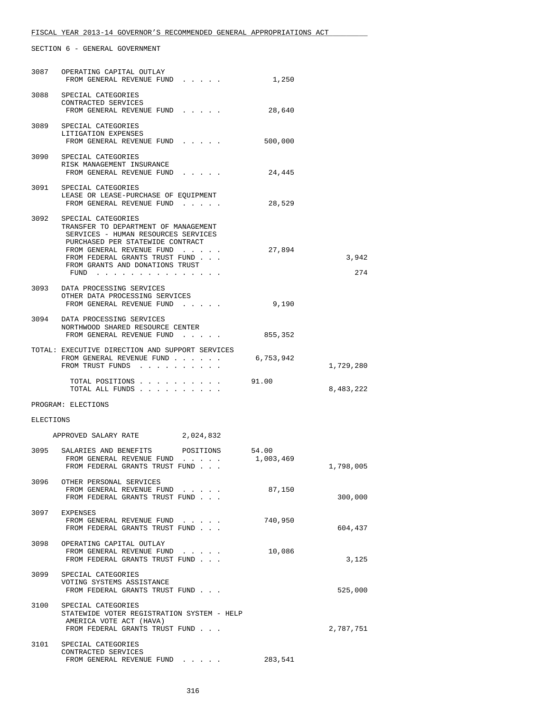| 3087      | OPERATING CAPITAL OUTLAY<br>FROM GENERAL REVENUE FUND                                                                                                                                                                                                | 1,250              |              |
|-----------|------------------------------------------------------------------------------------------------------------------------------------------------------------------------------------------------------------------------------------------------------|--------------------|--------------|
|           | 3088 SPECIAL CATEGORIES<br>CONTRACTED SERVICES<br>FROM GENERAL REVENUE FUND                                                                                                                                                                          | 28,640             |              |
|           | 3089 SPECIAL CATEGORIES<br>LITIGATION EXPENSES<br>FROM GENERAL REVENUE FUND                                                                                                                                                                          | 500,000            |              |
| 3090      | SPECIAL CATEGORIES<br>RISK MANAGEMENT INSURANCE<br>FROM GENERAL REVENUE FUND                                                                                                                                                                         | 24,445             |              |
| 3091      | SPECIAL CATEGORIES<br>LEASE OR LEASE-PURCHASE OF EQUIPMENT<br>FROM GENERAL REVENUE FUND                                                                                                                                                              | 28,529             |              |
|           | 3092 SPECIAL CATEGORIES<br>TRANSFER TO DEPARTMENT OF MANAGEMENT<br>SERVICES - HUMAN RESOURCES SERVICES<br>PURCHASED PER STATEWIDE CONTRACT<br>FROM GENERAL REVENUE FUND<br>FROM FEDERAL GRANTS TRUST FUND<br>FROM GRANTS AND DONATIONS TRUST<br>FUND | 27,894             | 3,942<br>274 |
|           | 3093 DATA PROCESSING SERVICES<br>OTHER DATA PROCESSING SERVICES<br>FROM GENERAL REVENUE FUND                                                                                                                                                         | 9,190              |              |
|           | 3094 DATA PROCESSING SERVICES<br>NORTHWOOD SHARED RESOURCE CENTER<br>FROM GENERAL REVENUE FUND                                                                                                                                                       | 855,352            |              |
|           | TOTAL: EXECUTIVE DIRECTION AND SUPPORT SERVICES<br>FROM GENERAL REVENUE FUND<br>FROM TRUST FUNDS                                                                                                                                                     | 6,753,942          | 1,729,280    |
|           | TOTAL POSITIONS<br>TOTAL ALL FUNDS                                                                                                                                                                                                                   | 91.00              | 8,483,222    |
|           | PROGRAM: ELECTIONS                                                                                                                                                                                                                                   |                    |              |
| ELECTIONS |                                                                                                                                                                                                                                                      |                    |              |
|           | APPROVED SALARY RATE<br>2,024,832                                                                                                                                                                                                                    |                    |              |
|           | 3095 SALARIES AND BENEFITS POSITIONS<br>FROM GENERAL REVENUE FUND<br>FROM FEDERAL GRANTS TRUST FUND<br>$\cdots$                                                                                                                                      | 54.00<br>1,003,469 | 1,798,005    |
|           | 3096 OTHER PERSONAL SERVICES<br>FROM GENERAL REVENUE FUND<br>FROM FEDERAL GRANTS TRUST FUND                                                                                                                                                          | 87,150             | 300,000      |
|           | 3097 EXPENSES<br>FROM GENERAL REVENUE FUND<br>FROM FEDERAL GRANTS TRUST FUND                                                                                                                                                                         | 740,950            | 604,437      |
| 3098      | OPERATING CAPITAL OUTLAY<br>FROM GENERAL REVENUE FUND<br>FROM FEDERAL GRANTS TRUST FUND                                                                                                                                                              | 10,086             | 3,125        |
|           | 3099 SPECIAL CATEGORIES<br>VOTING SYSTEMS ASSISTANCE<br>FROM FEDERAL GRANTS TRUST FUND                                                                                                                                                               |                    | 525,000      |
| 3100      | SPECIAL CATEGORIES<br>STATEWIDE VOTER REGISTRATION SYSTEM - HELP<br>AMERICA VOTE ACT (HAVA)<br>FROM FEDERAL GRANTS TRUST FUND                                                                                                                        |                    | 2,787,751    |
|           | 3101 SPECIAL CATEGORIES<br>CONTRACTED SERVICES<br>FROM GENERAL REVENUE FUND                                                                                                                                                                          | 283,541            |              |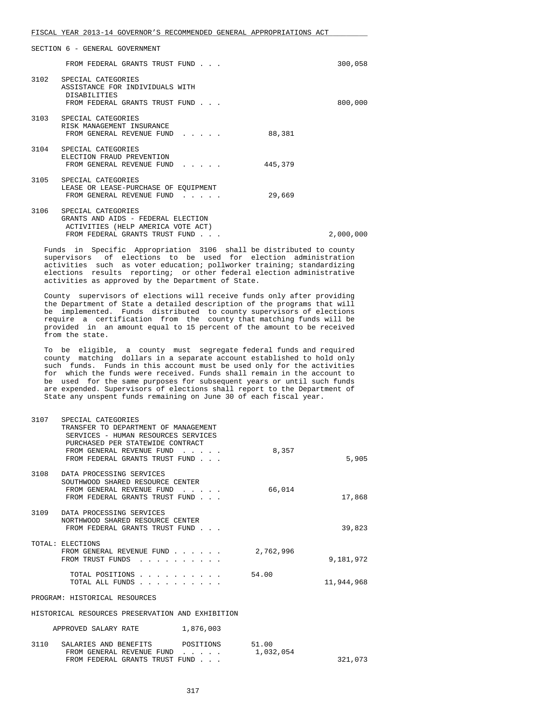|      | FROM FEDERAL GRANTS TRUST FUND                                                                                                   |                                                |         | 300,058   |
|------|----------------------------------------------------------------------------------------------------------------------------------|------------------------------------------------|---------|-----------|
| 3102 | SPECIAL CATEGORIES<br>ASSISTANCE FOR INDIVIDUALS WITH<br><b>DISABILITIES</b><br>FROM FEDERAL GRANTS TRUST FUND                   |                                                |         | 800,000   |
| 3103 | SPECIAL CATEGORIES<br>RISK MANAGEMENT INSURANCE<br>FROM GENERAL REVENUE FUND                                                     |                                                | 88,381  |           |
| 3104 | SPECIAL CATEGORIES<br>ELECTION FRAUD PREVENTION<br>FROM GENERAL REVENUE FUND                                                     | $\mathbf{r}$ and $\mathbf{r}$ and $\mathbf{r}$ | 445,379 |           |
| 3105 | SPECIAL CATEGORIES<br>LEASE OR LEASE-PURCHASE OF EOUIPMENT<br>FROM GENERAL REVENUE FUND                                          | $\cdot$ $\cdot$ $\cdot$ $\cdot$ $\cdot$        | 29,669  |           |
| 3106 | SPECIAL CATEGORIES<br>GRANTS AND AIDS - FEDERAL ELECTION<br>ACTIVITIES (HELP AMERICA VOTE ACT)<br>FROM FEDERAL GRANTS TRUST FUND |                                                |         | 2,000,000 |

 Funds in Specific Appropriation 3106 shall be distributed to county supervisors of elections to be used for election administration activities such as voter education; pollworker training; standardizing elections results reporting; or other federal election administrative activities as approved by the Department of State.

 County supervisors of elections will receive funds only after providing the Department of State a detailed description of the programs that will be implemented. Funds distributed to county supervisors of elections require a certification from the county that matching funds will be provided in an amount equal to 15 percent of the amount to be received from the state.

 To be eligible, a county must segregate federal funds and required county matching dollars in a separate account established to hold only such funds. Funds in this account must be used only for the activities for which the funds were received. Funds shall remain in the account to be used for the same purposes for subsequent years or until such funds are expended. Supervisors of elections shall report to the Department of State any unspent funds remaining on June 30 of each fiscal year.

| 3107 | SPECIAL CATEGORIES<br>TRANSFER TO DEPARTMENT OF MANAGEMENT<br>SERVICES - HUMAN RESOURCES SERVICES<br>PURCHASED PER STATEWIDE CONTRACT<br>FROM GENERAL REVENUE FUND | 8,357              |            |
|------|--------------------------------------------------------------------------------------------------------------------------------------------------------------------|--------------------|------------|
|      | FROM FEDERAL GRANTS TRUST FUND                                                                                                                                     |                    | 5,905      |
| 3108 | DATA PROCESSING SERVICES<br>SOUTHWOOD SHARED RESOURCE CENTER<br>FROM GENERAL REVENUE FUND<br>FROM FEDERAL GRANTS TRUST FUND                                        | 66,014             | 17,868     |
| 3109 | DATA PROCESSING SERVICES<br>NORTHWOOD SHARED RESOURCE CENTER<br>FROM FEDERAL GRANTS TRUST FUND                                                                     |                    | 39,823     |
|      | TOTAL: ELECTIONS<br>FROM GENERAL REVENUE FUND<br>FROM TRUST FUNDS                                                                                                  | 2,762,996          | 9,181,972  |
|      | TOTAL POSITIONS<br>TOTAL ALL FUNDS                                                                                                                                 | 54.00              | 11,944,968 |
|      | PROGRAM: HISTORICAL RESOURCES                                                                                                                                      |                    |            |
|      | HISTORICAL RESOURCES PRESERVATION AND EXHIBITION                                                                                                                   |                    |            |
|      | 1,876,003<br>APPROVED SALARY RATE                                                                                                                                  |                    |            |
| 3110 | POSITIONS<br>SALARIES AND BENEFITS<br>FROM GENERAL REVENUE FUND<br>.                                                                                               | 51.00<br>1,032,054 |            |

FROM FEDERAL GRANTS TRUST FUND . . .  $321,073$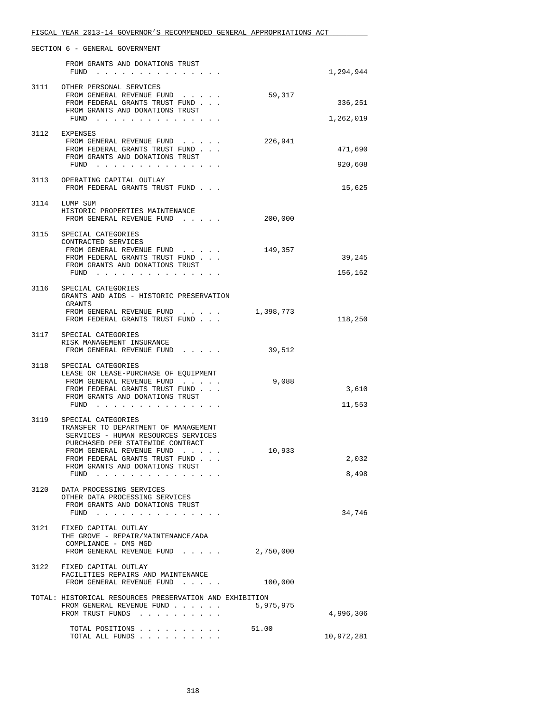|      | FISCAL YEAR 2013-14 GOVERNOR'S RECOMMENDED GENERAL APPROPRIATIONS ACT                                                                                                                                                                                         |           |                      |
|------|---------------------------------------------------------------------------------------------------------------------------------------------------------------------------------------------------------------------------------------------------------------|-----------|----------------------|
|      | SECTION 6 - GENERAL GOVERNMENT                                                                                                                                                                                                                                |           |                      |
|      | FROM GRANTS AND DONATIONS TRUST<br>FUND $\cdots$                                                                                                                                                                                                              |           | 1,294,944            |
|      | 3111 OTHER PERSONAL SERVICES<br>FROM GENERAL REVENUE FUND<br>FROM FEDERAL GRANTS TRUST FUND<br>FROM GRANTS AND DONATIONS TRUST<br>FUND $\cdots$                                                                                                               | 59,317    | 336,251<br>1,262,019 |
|      | 3112 EXPENSES<br>FROM GENERAL REVENUE FUND<br>FROM FEDERAL GRANTS TRUST FUND<br>FROM GRANTS AND DONATIONS TRUST<br>FUND                                                                                                                                       | 226,941   | 471,690<br>920,608   |
|      | 3113 OPERATING CAPITAL OUTLAY<br>FROM FEDERAL GRANTS TRUST FUND                                                                                                                                                                                               |           | 15,625               |
|      | 3114 LUMP SUM<br>HISTORIC PROPERTIES MAINTENANCE<br>FROM GENERAL REVENUE FUND                                                                                                                                                                                 | 200,000   |                      |
| 3115 | SPECIAL CATEGORIES<br>CONTRACTED SERVICES<br>FROM GENERAL REVENUE FUND<br>FROM FEDERAL GRANTS TRUST FUND<br>FROM GRANTS AND DONATIONS TRUST<br>FUND                                                                                                           | 149,357   | 39,245<br>156,162    |
| 3116 | SPECIAL CATEGORIES<br>GRANTS AND AIDS - HISTORIC PRESERVATION<br>GRANTS<br>FROM GENERAL REVENUE FUND 1,398,773<br>FROM FEDERAL GRANTS TRUST FUND                                                                                                              |           | 118,250              |
|      | 3117 SPECIAL CATEGORIES<br>RISK MANAGEMENT INSURANCE<br>FROM GENERAL REVENUE FUND                                                                                                                                                                             | 39,512    |                      |
|      | 3118 SPECIAL CATEGORIES<br>LEASE OR LEASE-PURCHASE OF EQUIPMENT<br>FROM GENERAL REVENUE FUND<br>FROM FEDERAL GRANTS TRUST FUND<br>FROM GRANTS AND DONATIONS TRUST<br>$FUND$                                                                                   | 9,088     | 3,610<br>11,553      |
|      | 3119 SPECIAL CATEGORIES<br>TRANSFER TO DEPARTMENT OF MANAGEMENT<br>SERVICES - HUMAN RESOURCES SERVICES<br>PURCHASED PER STATEWIDE CONTRACT<br>FROM GENERAL REVENUE FUND<br>FROM FEDERAL GRANTS TRUST FUND<br>FROM GRANTS AND DONATIONS TRUST<br>FUND $\cdots$ | 10,933    | 2,032<br>8,498       |
| 3120 | DATA PROCESSING SERVICES<br>OTHER DATA PROCESSING SERVICES<br>FROM GRANTS AND DONATIONS TRUST<br>FUND                                                                                                                                                         |           | 34,746               |
| 3121 | FIXED CAPITAL OUTLAY<br>THE GROVE - REPAIR/MAINTENANCE/ADA<br>COMPLIANCE - DMS MGD<br>FROM GENERAL REVENUE FUND                                                                                                                                               | 2,750,000 |                      |
|      | 3122 FIXED CAPITAL OUTLAY<br>FACILITIES REPAIRS AND MAINTENANCE<br>FROM GENERAL REVENUE FUND                                                                                                                                                                  | 100,000   |                      |
|      | TOTAL: HISTORICAL RESOURCES PRESERVATION AND EXHIBITION<br>FROM GENERAL REVENUE FUND<br>FROM TRUST FUNDS                                                                                                                                                      | 5,975,975 | 4,996,306            |
|      | TOTAL POSITIONS<br>TOTAL ALL FUNDS                                                                                                                                                                                                                            | 51.00     | 10,972,281           |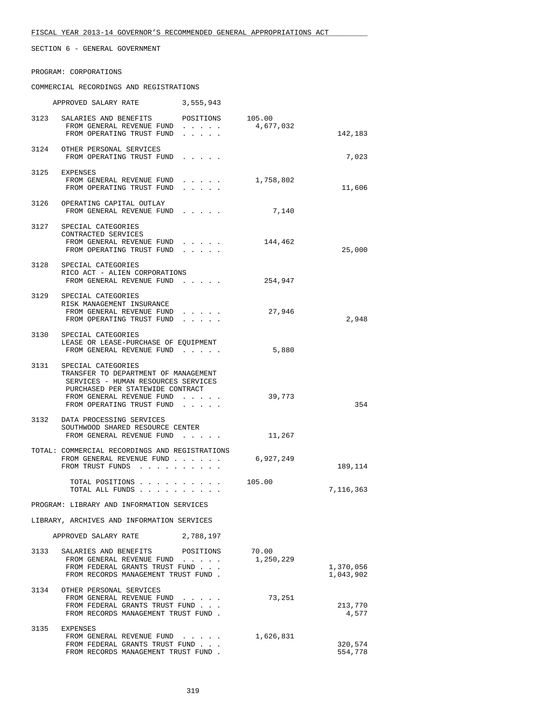#### PROGRAM: CORPORATIONS

#### COMMERCIAL RECORDINGS AND REGISTRATIONS

|                                            | APPROVED SALARY RATE                                                                                                                                                                                 | 3,555,943                                                                                                  |                    |                        |
|--------------------------------------------|------------------------------------------------------------------------------------------------------------------------------------------------------------------------------------------------------|------------------------------------------------------------------------------------------------------------|--------------------|------------------------|
|                                            | 3123 SALARIES AND BENEFITS POSITIONS 105.00<br>FROM GENERAL REVENUE FUND<br>FROM OPERATING TRUST FUND                                                                                                | $\mathbf{r} = \mathbf{r} + \mathbf{r} + \mathbf{r} + \mathbf{r}$                                           | 4,677,032          | 142,183                |
|                                            | 3124 OTHER PERSONAL SERVICES<br>FROM OPERATING TRUST FUND                                                                                                                                            | $\mathbf{r} = \mathbf{r} + \mathbf{r} + \mathbf{r} + \mathbf{r}$ .                                         |                    | 7,023                  |
|                                            | 3125 EXPENSES<br>FROM GENERAL REVENUE FUND<br>FROM OPERATING TRUST FUND                                                                                                                              | .                                                                                                          | 1,758,802          | 11,606                 |
|                                            | 3126 OPERATING CAPITAL OUTLAY<br>FROM GENERAL REVENUE FUND                                                                                                                                           | $\mathbf{r}$ and $\mathbf{r}$ and $\mathbf{r}$                                                             | 7,140              |                        |
|                                            | 3127 SPECIAL CATEGORIES<br>CONTRACTED SERVICES<br>FROM GENERAL REVENUE FUND<br>FROM OPERATING TRUST FUND                                                                                             | $\mathbf{r} = \mathbf{r} + \mathbf{r} + \mathbf{r} + \mathbf{r}$ .                                         | 144,462            | 25,000                 |
|                                            | 3128 SPECIAL CATEGORIES<br>RICO ACT - ALIEN CORPORATIONS<br>FROM GENERAL REVENUE FUND                                                                                                                |                                                                                                            | 254,947            |                        |
|                                            | 3129 SPECIAL CATEGORIES<br>RISK MANAGEMENT INSURANCE<br>FROM GENERAL REVENUE FUND<br>FROM OPERATING TRUST FUND                                                                                       | .                                                                                                          | 27,946             | 2,948                  |
|                                            | 3130 SPECIAL CATEGORIES<br>LEASE OR LEASE-PURCHASE OF EQUIPMENT<br>FROM GENERAL REVENUE FUND                                                                                                         |                                                                                                            | 5,880              |                        |
|                                            | 3131 SPECIAL CATEGORIES<br>TRANSFER TO DEPARTMENT OF MANAGEMENT<br>SERVICES - HUMAN RESOURCES SERVICES<br>PURCHASED PER STATEWIDE CONTRACT<br>FROM GENERAL REVENUE FUND<br>FROM OPERATING TRUST FUND | $\mathbf{1}$ and $\mathbf{1}$ and $\mathbf{1}$ and $\mathbf{1}$<br>$\cdot$ $\cdot$ $\cdot$ $\cdot$ $\cdot$ | 39,773             | 354                    |
|                                            | 3132 DATA PROCESSING SERVICES<br>SOUTHWOOD SHARED RESOURCE CENTER<br>FROM GENERAL REVENUE FUND                                                                                                       |                                                                                                            | 11,267             |                        |
|                                            | TOTAL: COMMERCIAL RECORDINGS AND REGISTRATIONS<br>FROM GENERAL REVENUE FUND<br>FROM TRUST FUNDS                                                                                                      |                                                                                                            | 6,927,249          | 189,114                |
|                                            | TOTAL POSITIONS<br>TOTAL ALL FUNDS                                                                                                                                                                   |                                                                                                            | 105.00             | 7,116,363              |
| PROGRAM: LIBRARY AND INFORMATION SERVICES  |                                                                                                                                                                                                      |                                                                                                            |                    |                        |
| LIBRARY, ARCHIVES AND INFORMATION SERVICES |                                                                                                                                                                                                      |                                                                                                            |                    |                        |
|                                            | APPROVED SALARY RATE                                                                                                                                                                                 | 2,788,197                                                                                                  |                    |                        |
| 3133                                       | SALARIES AND BENEFITS<br>FROM GENERAL REVENUE FUND<br>FROM FEDERAL GRANTS TRUST FUND<br>FROM RECORDS MANAGEMENT TRUST FUND.                                                                          | POSITIONS                                                                                                  | 70.00<br>1,250,229 | 1,370,056<br>1,043,902 |
| 3134                                       | OTHER PERSONAL SERVICES<br>FROM GENERAL REVENUE FUND<br>FROM FEDERAL GRANTS TRUST FUND<br>FROM RECORDS MANAGEMENT TRUST FUND.                                                                        |                                                                                                            | 73,251             | 213,770<br>4,577       |
| 3135                                       | EXPENSES<br>FROM GENERAL REVENUE FUND<br>FROM FEDERAL GRANTS TRUST FUND<br>FROM RECORDS MANAGEMENT TRUST FUND.                                                                                       |                                                                                                            | 1,626,831          | 320,574<br>554,778     |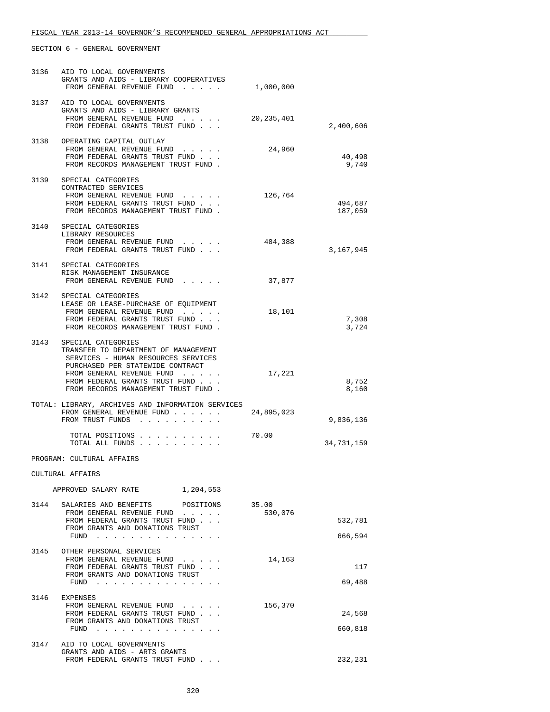| 3136                      | AID TO LOCAL GOVERNMENTS<br>GRANTS AND AIDS - LIBRARY COOPERATIVES<br>FROM GENERAL REVENUE FUND                                                                                                                                             | 1,000,000  |                    |
|---------------------------|---------------------------------------------------------------------------------------------------------------------------------------------------------------------------------------------------------------------------------------------|------------|--------------------|
|                           | 3137 AID TO LOCAL GOVERNMENTS<br>GRANTS AND AIDS - LIBRARY GRANTS<br>FROM GENERAL REVENUE FUND<br>FROM FEDERAL GRANTS TRUST FUND                                                                                                            | 20,235,401 | 2,400,606          |
|                           | 3138 OPERATING CAPITAL OUTLAY<br>FROM GENERAL REVENUE FUND<br>FROM FEDERAL GRANTS TRUST FUND<br>FROM RECORDS MANAGEMENT TRUST FUND.                                                                                                         | 24,960     | 40,498<br>9,740    |
|                           | 3139 SPECIAL CATEGORIES<br>CONTRACTED SERVICES<br>FROM GENERAL REVENUE FUND<br>FROM FEDERAL GRANTS TRUST FUND<br>FROM RECORDS MANAGEMENT TRUST FUND.                                                                                        | 126,764    | 494,687<br>187,059 |
| 3140                      | SPECIAL CATEGORIES<br>LIBRARY RESOURCES<br>FROM GENERAL REVENUE FUND<br>FROM FEDERAL GRANTS TRUST FUND                                                                                                                                      | 484,388    | 3,167,945          |
| 3141                      | SPECIAL CATEGORIES<br>RISK MANAGEMENT INSURANCE<br>FROM GENERAL REVENUE FUND                                                                                                                                                                | 37,877     |                    |
|                           | 3142 SPECIAL CATEGORIES<br>LEASE OR LEASE-PURCHASE OF EQUIPMENT<br>FROM GENERAL REVENUE FUND<br>FROM FEDERAL GRANTS TRUST FUND<br>FROM RECORDS MANAGEMENT TRUST FUND.                                                                       | 18,101     | 7,308<br>3,724     |
| 3143                      | SPECIAL CATEGORIES<br>TRANSFER TO DEPARTMENT OF MANAGEMENT<br>SERVICES - HUMAN RESOURCES SERVICES<br>PURCHASED PER STATEWIDE CONTRACT<br>FROM GENERAL REVENUE FUND<br>FROM FEDERAL GRANTS TRUST FUND<br>FROM RECORDS MANAGEMENT TRUST FUND. | 17,221     | 8,752<br>8,160     |
|                           | TOTAL: LIBRARY, ARCHIVES AND INFORMATION SERVICES<br>FROM GENERAL REVENUE FUND<br>FROM TRUST FUNDS                                                                                                                                          | 24,895,023 | 9,836,136          |
|                           | TOTAL POSITIONS<br>TOTAL ALL FUNDS                                                                                                                                                                                                          | 70.00      | 34,731,159         |
| PROGRAM: CULTURAL AFFAIRS |                                                                                                                                                                                                                                             |            |                    |
|                           | CULTURAL AFFAIRS                                                                                                                                                                                                                            |            |                    |
|                           | 1,204,553<br>APPROVED SALARY RATE                                                                                                                                                                                                           |            |                    |
|                           | 3144 SALARIES AND BENEFITS POSITIONS 35.00<br>FROM GENERAL REVENUE FUND<br>FROM FEDERAL GRANTS TRUST FUND<br>FROM GRANTS AND DONATIONS TRUST<br>FUND                                                                                        | 530,076    | 532,781<br>666,594 |
| 3145                      | OTHER PERSONAL SERVICES<br>FROM GENERAL REVENUE FUND<br>FROM FEDERAL GRANTS TRUST FUND<br>FROM GRANTS AND DONATIONS TRUST<br>FUND $\ldots$ $\ldots$ $\ldots$ $\ldots$                                                                       | 14,163     | 117<br>69,488      |
| 3146                      | EXPENSES<br>FROM GENERAL REVENUE FUND<br>FROM FEDERAL GRANTS TRUST FUND<br>FROM GRANTS AND DONATIONS TRUST<br>FUND $\cdots$                                                                                                                 | 156,370    | 24,568<br>660,818  |
|                           | 3147 AID TO LOCAL GOVERNMENTS<br>GRANTS AND AIDS - ARTS GRANTS<br>FROM FEDERAL GRANTS TRUST FUND                                                                                                                                            |            | 232,231            |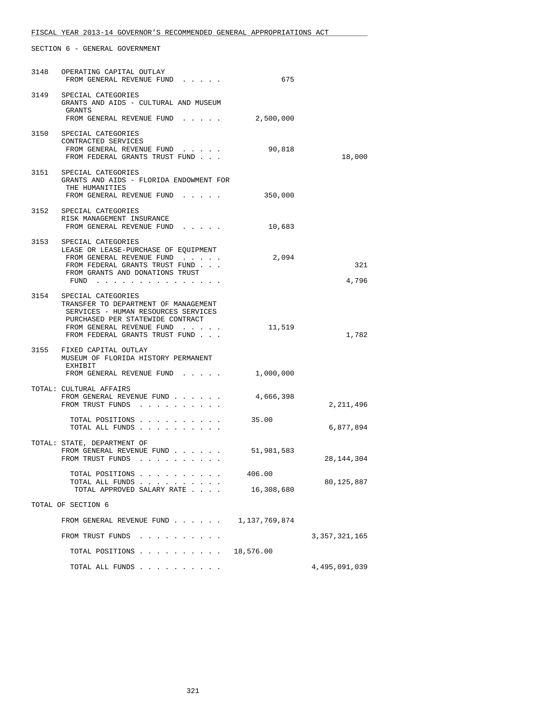|                    | 3148 OPERATING CAPITAL OUTLAY<br>FROM GENERAL REVENUE FUND                                                                                                                                                | 675                  |                  |
|--------------------|-----------------------------------------------------------------------------------------------------------------------------------------------------------------------------------------------------------|----------------------|------------------|
|                    | 3149 SPECIAL CATEGORIES<br>GRANTS AND AIDS - CULTURAL AND MUSEUM<br>GRANTS                                                                                                                                |                      |                  |
|                    | FROM GENERAL REVENUE FUND                                                                                                                                                                                 | 2,500,000            |                  |
|                    | 3150 SPECIAL CATEGORIES<br>CONTRACTED SERVICES<br>FROM GENERAL REVENUE FUND<br>FROM FEDERAL GRANTS TRUST FUND                                                                                             | 90,818               | 18,000           |
|                    | 3151 SPECIAL CATEGORIES<br>GRANTS AND AIDS - FLORIDA ENDOWMENT FOR<br>THE HUMANITIES<br>FROM GENERAL REVENUE FUND                                                                                         | 350,000              |                  |
| 3152               | SPECIAL CATEGORIES<br>RISK MANAGEMENT INSURANCE<br>FROM GENERAL REVENUE FUND                                                                                                                              | 10,683               |                  |
|                    | 3153 SPECIAL CATEGORIES<br>LEASE OR LEASE-PURCHASE OF EQUIPMENT<br>FROM GENERAL REVENUE FUND<br>FROM FEDERAL GRANTS TRUST FUND<br>FROM GRANTS AND DONATIONS TRUST<br>FUND $\cdots$                        | 2,094                | 321<br>4,796     |
|                    | 3154 SPECIAL CATEGORIES<br>TRANSFER TO DEPARTMENT OF MANAGEMENT<br>SERVICES - HUMAN RESOURCES SERVICES<br>PURCHASED PER STATEWIDE CONTRACT<br>FROM GENERAL REVENUE FUND<br>FROM FEDERAL GRANTS TRUST FUND | 11,519               | 1,782            |
|                    | 3155 FIXED CAPITAL OUTLAY<br>MUSEUM OF FLORIDA HISTORY PERMANENT<br>EXHIBIT<br>FROM GENERAL REVENUE FUND                                                                                                  | 1,000,000            |                  |
|                    | TOTAL: CULTURAL AFFAIRS                                                                                                                                                                                   |                      |                  |
|                    | FROM GENERAL REVENUE FUND<br>FROM TRUST FUNDS                                                                                                                                                             | 4,666,398            | 2, 211, 496      |
|                    | TOTAL POSITIONS<br>TOTAL ALL FUNDS                                                                                                                                                                        | 35.00                | 6,877,894        |
|                    | TOTAL: STATE, DEPARTMENT OF<br>FROM GENERAL REVENUE FUND<br>FROM TRUST FUNDS                                                                                                                              | 51,981,583           | 28, 144, 304     |
|                    | TOTAL POSITIONS<br>TOTAL ALL FUNDS<br>TOTAL APPROVED SALARY RATE                                                                                                                                          | 406.00<br>16,308,680 | 80,125,887       |
| TOTAL OF SECTION 6 |                                                                                                                                                                                                           |                      |                  |
|                    | FROM GENERAL REVENUE FUND                                                                                                                                                                                 | 1,137,769,874        |                  |
|                    | FROM TRUST FUNDS                                                                                                                                                                                          |                      | 3, 357, 321, 165 |
|                    | TOTAL POSITIONS 18,576.00                                                                                                                                                                                 |                      |                  |
|                    | TOTAL ALL FUNDS                                                                                                                                                                                           |                      | 4,495,091,039    |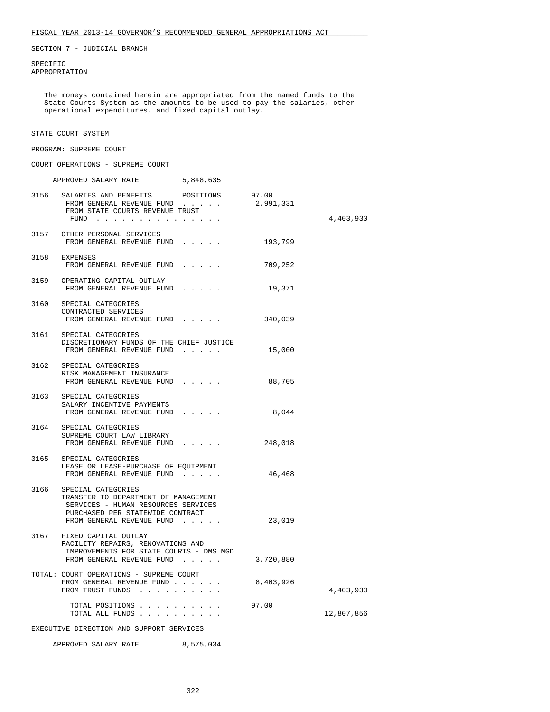SECTION 7 - JUDICIAL BRANCH

 SPECIFIC APPROPRIATION

 The moneys contained herein are appropriated from the named funds to the State Courts System as the amounts to be used to pay the salaries, other operational expenditures, and fixed capital outlay.

#### STATE COURT SYSTEM

#### PROGRAM: SUPREME COURT

COURT OPERATIONS - SUPREME COURT

|                                          | APPROVED SALARY RATE 5,848,635                                                                                                                                          |  |           |            |
|------------------------------------------|-------------------------------------------------------------------------------------------------------------------------------------------------------------------------|--|-----------|------------|
|                                          | 3156 SALARIES AND BENEFITS POSITIONS 97.00<br>FROM GENERAL REVENUE FUND 2,991,331<br>FROM STATE COURTS REVENUE TRUST<br>FUND                                            |  |           | 4,403,930  |
|                                          | 3157 OTHER PERSONAL SERVICES<br>FROM GENERAL REVENUE FUND                                                                                                               |  | 193,799   |            |
|                                          | 3158 EXPENSES<br>FROM GENERAL REVENUE FUND                                                                                                                              |  | 709,252   |            |
|                                          | 3159 OPERATING CAPITAL OUTLAY<br>FROM GENERAL REVENUE FUND                                                                                                              |  | 19,371    |            |
|                                          | 3160 SPECIAL CATEGORIES<br>CONTRACTED SERVICES<br>FROM GENERAL REVENUE FUND                                                                                             |  | 340,039   |            |
|                                          | 3161 SPECIAL CATEGORIES<br>DISCRETIONARY FUNDS OF THE CHIEF JUSTICE<br>FROM GENERAL REVENUE FUND                                                                        |  | 15,000    |            |
|                                          | 3162 SPECIAL CATEGORIES<br>RISK MANAGEMENT INSURANCE<br>FROM GENERAL REVENUE FUND                                                                                       |  | 88,705    |            |
|                                          | 3163 SPECIAL CATEGORIES<br>SALARY INCENTIVE PAYMENTS<br>FROM GENERAL REVENUE FUND                                                                                       |  | 8,044     |            |
|                                          | 3164 SPECIAL CATEGORIES<br>SUPREME COURT LAW LIBRARY<br>FROM GENERAL REVENUE FUND                                                                                       |  | 248,018   |            |
|                                          | 3165 SPECIAL CATEGORIES<br>LEASE OR LEASE-PURCHASE OF EQUIPMENT<br>FROM GENERAL REVENUE FUND                                                                            |  | 46,468    |            |
|                                          | 3166 SPECIAL CATEGORIES<br>TRANSFER TO DEPARTMENT OF MANAGEMENT<br>SERVICES - HUMAN RESOURCES SERVICES<br>PURCHASED PER STATEWIDE CONTRACT<br>FROM GENERAL REVENUE FUND |  | 23,019    |            |
|                                          | 3167 FIXED CAPITAL OUTLAY<br>FACILITY REPAIRS, RENOVATIONS AND<br>IMPROVEMENTS FOR STATE COURTS - DMS MGD<br>FROM GENERAL REVENUE FUND                                  |  | 3,720,880 |            |
|                                          | TOTAL: COURT OPERATIONS - SUPREME COURT<br>FROM GENERAL REVENUE FUND.<br>FROM TRUST FUNDS<br>$\mathbf{1}$ and $\mathbf{1}$ and $\mathbf{1}$                             |  | 8,403,926 | 4,403,930  |
|                                          | TOTAL POSITIONS<br>TOTAL ALL FUNDS<br>$\sim$                                                                                                                            |  | 97.00     | 12,807,856 |
| EXECUTIVE DIRECTION AND SUPPORT SERVICES |                                                                                                                                                                         |  |           |            |
| APPROVED SALARY RATE<br>8,575,034        |                                                                                                                                                                         |  |           |            |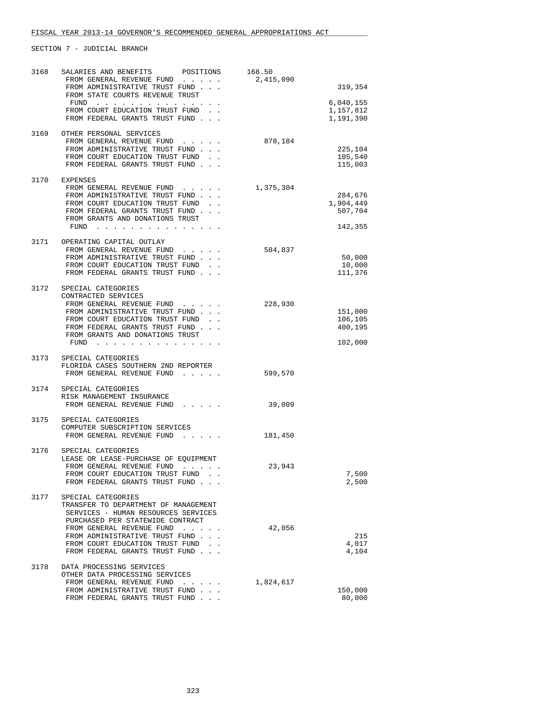SECTION 7 - JUDICIAL BRANCH

| 3168 | SALARIES AND BENEFITS<br>POSITIONS                                      | 168.50    |           |
|------|-------------------------------------------------------------------------|-----------|-----------|
|      | FROM GENERAL REVENUE FUND                                               | 2,415,090 |           |
|      | FROM ADMINISTRATIVE TRUST FUND                                          |           | 319,354   |
|      | FROM STATE COURTS REVENUE TRUST                                         |           |           |
|      | FUND                                                                    |           | 6,040,155 |
|      | FROM COURT EDUCATION TRUST FUND.                                        |           | 1,157,812 |
|      | FROM FEDERAL GRANTS TRUST FUND                                          |           | 1,191,390 |
| 3169 | OTHER PERSONAL SERVICES                                                 |           |           |
|      | FROM GENERAL REVENUE FUND                                               | 878,184   |           |
|      | FROM ADMINISTRATIVE TRUST FUND                                          |           | 225,104   |
|      | FROM COURT EDUCATION TRUST FUND.                                        |           | 105,540   |
|      | FROM FEDERAL GRANTS TRUST FUND                                          |           | 115,003   |
|      |                                                                         |           |           |
|      | 3170 EXPENSES                                                           |           |           |
|      | FROM GENERAL REVENUE FUND                                               | 1,375,304 |           |
|      | FROM ADMINISTRATIVE TRUST FUND                                          |           | 284,676   |
|      | FROM COURT EDUCATION TRUST FUND.                                        |           | 1,904,449 |
|      | FROM FEDERAL GRANTS TRUST FUND                                          |           | 507,704   |
|      | FROM GRANTS AND DONATIONS TRUST                                         |           | 142,355   |
|      | FUND $\cdots$                                                           |           |           |
|      | 3171 OPERATING CAPITAL OUTLAY                                           |           |           |
|      | FROM GENERAL REVENUE FUND                                               | 584,837   |           |
|      | FROM ADMINISTRATIVE TRUST FUND                                          |           | 50,000    |
|      | FROM COURT EDUCATION TRUST FUND.                                        |           | 10,000    |
|      | FROM FEDERAL GRANTS TRUST FUND                                          |           | 111,376   |
|      |                                                                         |           |           |
| 3172 | SPECIAL CATEGORIES                                                      |           |           |
|      | CONTRACTED SERVICES                                                     |           |           |
|      | FROM GENERAL REVENUE FUND                                               | 228,930   |           |
|      | FROM ADMINISTRATIVE TRUST FUND                                          |           | 151,000   |
|      | FROM COURT EDUCATION TRUST FUND                                         |           | 106,105   |
|      | FROM FEDERAL GRANTS TRUST FUND<br>FROM GRANTS AND DONATIONS TRUST       |           | 400,195   |
|      | FUND $\cdots$                                                           |           | 102,000   |
|      |                                                                         |           |           |
| 3173 | SPECIAL CATEGORIES                                                      |           |           |
|      | FLORIDA CASES SOUTHERN 2ND REPORTER                                     |           |           |
|      | FROM GENERAL REVENUE FUND                                               | 599,570   |           |
|      |                                                                         |           |           |
|      | 3174 SPECIAL CATEGORIES                                                 |           |           |
|      | RISK MANAGEMENT INSURANCE                                               |           |           |
|      | FROM GENERAL REVENUE FUND<br>$\cdots$ $\cdots$                          | 39,009    |           |
| 3175 | SPECIAL CATEGORIES                                                      |           |           |
|      | COMPUTER SUBSCRIPTION SERVICES                                          |           |           |
|      | FROM GENERAL REVENUE FUND                                               | 181,450   |           |
|      |                                                                         |           |           |
| 3176 | SPECIAL CATEGORIES                                                      |           |           |
|      | LEASE OR LEASE-PURCHASE OF EQUIPMENT                                    |           |           |
|      | FROM GENERAL REVENUE FUND                                               | 23,943    |           |
|      | FROM COURT EDUCATION TRUST FUND                                         |           | 7,500     |
|      | FROM FEDERAL GRANTS TRUST FUND.                                         |           | 2,500     |
|      |                                                                         |           |           |
| 3177 | SPECIAL CATEGORIES                                                      |           |           |
|      | TRANSFER TO DEPARTMENT OF MANAGEMENT                                    |           |           |
|      | SERVICES - HUMAN RESOURCES SERVICES<br>PURCHASED PER STATEWIDE CONTRACT |           |           |
|      | FROM GENERAL REVENUE FUND                                               | 42,056    |           |
|      | FROM ADMINISTRATIVE TRUST FUND                                          |           | 215       |
|      | FROM COURT EDUCATION TRUST FUND                                         |           | 4,017     |
|      | FROM FEDERAL GRANTS TRUST FUND                                          |           | 4,104     |
|      |                                                                         |           |           |
| 3178 | DATA PROCESSING SERVICES                                                |           |           |
|      | OTHER DATA PROCESSING SERVICES                                          |           |           |
|      | FROM GENERAL REVENUE FUND                                               | 1,824,617 |           |
|      | FROM ADMINISTRATIVE TRUST FUND                                          |           | 150,000   |
|      | FROM FEDERAL GRANTS TRUST FUND.                                         |           | 80,000    |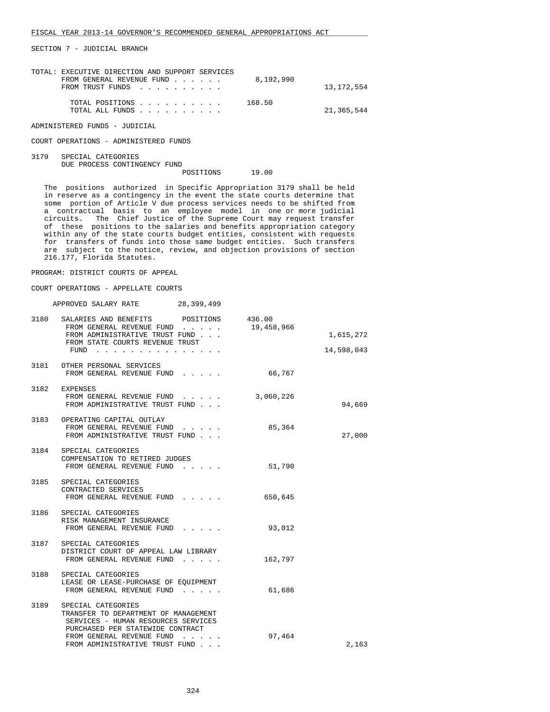SECTION 7 - JUDICIAL BRANCH

| TOTAL: EXECUTIVE DIRECTION AND SUPPORT SERVICES |  |           |            |
|-------------------------------------------------|--|-----------|------------|
| FROM GENERAL REVENUE FUND                       |  | 8,192,990 |            |
| FROM TRUST FUNDS                                |  |           | 13,172,554 |
|                                                 |  |           |            |
| TOTAL POSITIONS                                 |  | 168.50    |            |
| TOTAL ALL FUNDS                                 |  |           | 21,365,544 |
|                                                 |  |           |            |
| ADMINISTERED FUNDS - JUDICIAL                   |  |           |            |

COURT OPERATIONS - ADMINISTERED FUNDS

```
 3179 SPECIAL CATEGORIES 
       DUE PROCESS CONTINGENCY FUND 
                                   POSITIONS 19.00
```
 The positions authorized in Specific Appropriation 3179 shall be held in reserve as a contingency in the event the state courts determine that some portion of Article V due process services needs to be shifted from a contractual basis to an employee model in one or more judicial circuits. The Chief Justice of the Supreme Court may request transfer of these positions to the salaries and benefits appropriation category within any of the state courts budget entities, consistent with requests for transfers of funds into those same budget entities. Such transfers are subject to the notice, review, and objection provisions of section 216.177, Florida Statutes.

# PROGRAM: DISTRICT COURTS OF APPEAL

COURT OPERATIONS - APPELLATE COURTS

| 28,399,499<br>APPROVED SALARY RATE |  |
|------------------------------------|--|
|------------------------------------|--|

| 3180 | SALARIES AND BENEFITS POSITIONS                                                                                                                                    | 436.00     |            |
|------|--------------------------------------------------------------------------------------------------------------------------------------------------------------------|------------|------------|
|      | FROM GENERAL REVENUE FUND<br>FROM ADMINISTRATIVE TRUST FUND<br>FROM STATE COURTS REVENUE TRUST                                                                     | 19,458,966 | 1,615,272  |
|      | FUND                                                                                                                                                               |            | 14,598,043 |
|      | 3181 OTHER PERSONAL SERVICES<br>FROM GENERAL REVENUE FUND                                                                                                          | 66,767     |            |
|      | 3182 EXPENSES<br>FROM GENERAL REVENUE FUND 3,060,226<br>FROM ADMINISTRATIVE TRUST FUND                                                                             |            | 94,669     |
|      | 3183 OPERATING CAPITAL OUTLAY<br>FROM GENERAL REVENUE FUND<br>FROM ADMINISTRATIVE TRUST FUND                                                                       | 85,364     | 27,000     |
|      | 3184 SPECIAL CATEGORIES<br>COMPENSATION TO RETIRED JUDGES<br>FROM GENERAL REVENUE FUND                                                                             | 51,790     |            |
|      | 3185 SPECIAL CATEGORIES<br>CONTRACTED SERVICES<br>FROM GENERAL REVENUE FUND                                                                                        | 650,645    |            |
|      | 3186 SPECIAL CATEGORIES<br>RISK MANAGEMENT INSURANCE<br>FROM GENERAL REVENUE FUND                                                                                  | 93,012     |            |
|      | 3187 SPECIAL CATEGORIES<br>DISTRICT COURT OF APPEAL LAW LIBRARY<br>FROM GENERAL REVENUE FUND                                                                       | 162,797    |            |
|      | 3188 SPECIAL CATEGORIES<br>LEASE OR LEASE-PURCHASE OF EQUIPMENT<br>FROM GENERAL REVENUE FUND                                                                       | 61,686     |            |
| 3189 | SPECIAL CATEGORIES<br>TRANSFER TO DEPARTMENT OF MANAGEMENT<br>SERVICES - HUMAN RESOURCES SERVICES<br>PURCHASED PER STATEWIDE CONTRACT<br>FROM GENERAL REVENUE FUND | 97,464     |            |
|      | FROM ADMINISTRATIVE TRUST FUND                                                                                                                                     |            | 2,163      |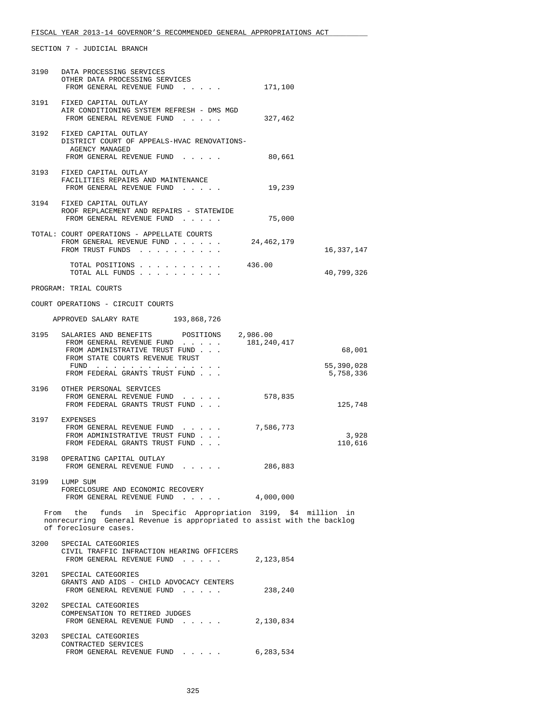SECTION 7 - JUDICIAL BRANCH

| 3190 | DATA PROCESSING SERVICES<br>OTHER DATA PROCESSING SERVICES<br>FROM GENERAL REVENUE FUND                                                                           | 171,100     |                      |
|------|-------------------------------------------------------------------------------------------------------------------------------------------------------------------|-------------|----------------------|
|      | 3191 FIXED CAPITAL OUTLAY<br>AIR CONDITIONING SYSTEM REFRESH - DMS MGD<br>FROM GENERAL REVENUE FUND                                                               | 327,462     |                      |
|      | 3192 FIXED CAPITAL OUTLAY<br>DISTRICT COURT OF APPEALS-HVAC RENOVATIONS-<br>AGENCY MANAGED<br>FROM GENERAL REVENUE FUND                                           | 80,661      |                      |
|      | 3193 FIXED CAPITAL OUTLAY<br>FACILITIES REPAIRS AND MAINTENANCE<br>FROM GENERAL REVENUE FUND                                                                      | 19,239      |                      |
|      | 3194 FIXED CAPITAL OUTLAY<br>ROOF REPLACEMENT AND REPAIRS - STATEWIDE<br>FROM GENERAL REVENUE FUND                                                                | 75,000      |                      |
|      | TOTAL: COURT OPERATIONS - APPELLATE COURTS<br>FROM GENERAL REVENUE FUND<br>FROM TRUST FUNDS                                                                       | 24,462,179  | 16,337,147           |
|      | TOTAL POSITIONS<br>TOTAL ALL FUNDS                                                                                                                                | 436.00      | 40,799,326           |
|      | PROGRAM: TRIAL COURTS                                                                                                                                             |             |                      |
|      | COURT OPERATIONS - CIRCUIT COURTS                                                                                                                                 |             |                      |
|      | APPROVED SALARY RATE 193,868,726                                                                                                                                  |             |                      |
|      | 3195 SALARIES AND BENEFITS POSITIONS 2,986.00<br>FROM GENERAL REVENUE FUND<br>FROM ADMINISTRATIVE TRUST FUND<br>FROM STATE COURTS REVENUE TRUST<br>$FUND$         | 181,240,417 | 68,001<br>55,390,028 |
|      | FROM FEDERAL GRANTS TRUST FUND                                                                                                                                    |             | 5,758,336            |
|      | 3196 OTHER PERSONAL SERVICES<br>FROM GENERAL REVENUE FUND<br>FROM FEDERAL GRANTS TRUST FUND                                                                       | 578,835     | 125,748              |
|      | 3197 EXPENSES<br>FROM GENERAL REVENUE FUND<br>FROM ADMINISTRATIVE TRUST FUND<br>FROM FEDERAL GRANTS TRUST FUND                                                    | 7,586,773   | 3,928<br>110,616     |
|      | 3198 OPERATING CAPITAL OUTLAY<br>FROM GENERAL REVENUE FUND<br>the contract of the contract of the contract of                                                     | 286,883     |                      |
|      | 3199 LUMP SUM<br>FORECLOSURE AND ECONOMIC RECOVERY<br>FROM GENERAL REVENUE FUND 4,000,000                                                                         |             |                      |
|      | From the funds in Specific Appropriation 3199, \$4 million in<br>nonrecurring General Revenue is appropriated to assist with the backlog<br>of foreclosure cases. |             |                      |
| 3200 | SPECIAL CATEGORIES<br>CIVIL TRAFFIC INFRACTION HEARING OFFICERS<br>FROM GENERAL REVENUE FUND                                                                      | 2,123,854   |                      |
|      | 3201 SPECIAL CATEGORIES<br>GRANTS AND AIDS - CHILD ADVOCACY CENTERS<br>FROM GENERAL REVENUE FUND                                                                  | 238,240     |                      |
| 3202 | SPECIAL CATEGORIES<br>COMPENSATION TO RETIRED JUDGES<br>FROM GENERAL REVENUE FUND                                                                                 | 2,130,834   |                      |
| 3203 | SPECIAL CATEGORIES<br>CONTRACTED SERVICES<br>FROM GENERAL REVENUE FUND                                                                                            | 6,283,534   |                      |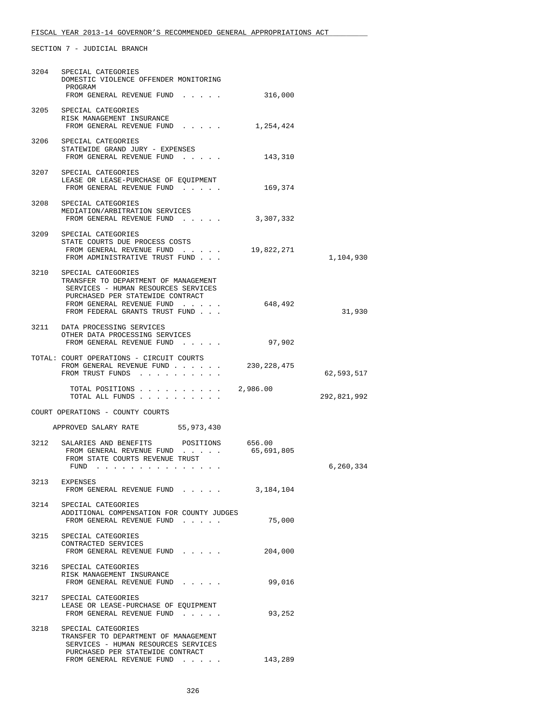# FISCAL YEAR 2013-14 GOVERNOR'S RECOMMENDED GENERAL APPROPRIATIONS ACT

SECTION 7 - JUDICIAL BRANCH

| DOMESTIC VIOLENCE OFFENDER MONITORING<br>PROGRAM<br>FROM GENERAL REVENUE FUND                                                                                                                        | 316,000                                                                                                                                                                                                                                                                                                                                                                                                                                                                                   |                                                                                                                                                                                                                                                             |
|------------------------------------------------------------------------------------------------------------------------------------------------------------------------------------------------------|-------------------------------------------------------------------------------------------------------------------------------------------------------------------------------------------------------------------------------------------------------------------------------------------------------------------------------------------------------------------------------------------------------------------------------------------------------------------------------------------|-------------------------------------------------------------------------------------------------------------------------------------------------------------------------------------------------------------------------------------------------------------|
| RISK MANAGEMENT INSURANCE<br>FROM GENERAL REVENUE FUND                                                                                                                                               | 1,254,424                                                                                                                                                                                                                                                                                                                                                                                                                                                                                 |                                                                                                                                                                                                                                                             |
| STATEWIDE GRAND JURY - EXPENSES<br>FROM GENERAL REVENUE FUND                                                                                                                                         | 143,310                                                                                                                                                                                                                                                                                                                                                                                                                                                                                   |                                                                                                                                                                                                                                                             |
| LEASE OR LEASE-PURCHASE OF EQUIPMENT<br>FROM GENERAL REVENUE FUND                                                                                                                                    | 169,374                                                                                                                                                                                                                                                                                                                                                                                                                                                                                   |                                                                                                                                                                                                                                                             |
| MEDIATION/ARBITRATION SERVICES                                                                                                                                                                       |                                                                                                                                                                                                                                                                                                                                                                                                                                                                                           |                                                                                                                                                                                                                                                             |
| STATE COURTS DUE PROCESS COSTS<br>FROM ADMINISTRATIVE TRUST FUND                                                                                                                                     | 19,822,271                                                                                                                                                                                                                                                                                                                                                                                                                                                                                | 1,104,930                                                                                                                                                                                                                                                   |
| SPECIAL CATEGORIES<br>TRANSFER TO DEPARTMENT OF MANAGEMENT<br>SERVICES - HUMAN RESOURCES SERVICES<br>PURCHASED PER STATEWIDE CONTRACT<br>FROM GENERAL REVENUE FUND<br>FROM FEDERAL GRANTS TRUST FUND | 648,492                                                                                                                                                                                                                                                                                                                                                                                                                                                                                   | 31,930                                                                                                                                                                                                                                                      |
| OTHER DATA PROCESSING SERVICES<br>FROM GENERAL REVENUE FUND                                                                                                                                          | 97,902                                                                                                                                                                                                                                                                                                                                                                                                                                                                                    |                                                                                                                                                                                                                                                             |
| FROM TRUST FUNDS                                                                                                                                                                                     |                                                                                                                                                                                                                                                                                                                                                                                                                                                                                           | 62,593,517                                                                                                                                                                                                                                                  |
| TOTAL ALL FUNDS                                                                                                                                                                                      |                                                                                                                                                                                                                                                                                                                                                                                                                                                                                           | 292,821,992                                                                                                                                                                                                                                                 |
|                                                                                                                                                                                                      |                                                                                                                                                                                                                                                                                                                                                                                                                                                                                           |                                                                                                                                                                                                                                                             |
|                                                                                                                                                                                                      |                                                                                                                                                                                                                                                                                                                                                                                                                                                                                           |                                                                                                                                                                                                                                                             |
| FROM GENERAL REVENUE FUND<br>FROM STATE COURTS REVENUE TRUST<br>FUND $\cdots$                                                                                                                        | 65,691,805                                                                                                                                                                                                                                                                                                                                                                                                                                                                                | 6,260,334                                                                                                                                                                                                                                                   |
|                                                                                                                                                                                                      |                                                                                                                                                                                                                                                                                                                                                                                                                                                                                           |                                                                                                                                                                                                                                                             |
| SPECIAL CATEGORIES<br>FROM GENERAL REVENUE FUND                                                                                                                                                      | 75,000                                                                                                                                                                                                                                                                                                                                                                                                                                                                                    |                                                                                                                                                                                                                                                             |
| CONTRACTED SERVICES<br>FROM GENERAL REVENUE FUND                                                                                                                                                     | 204,000                                                                                                                                                                                                                                                                                                                                                                                                                                                                                   |                                                                                                                                                                                                                                                             |
| RISK MANAGEMENT INSURANCE<br>FROM GENERAL REVENUE FUND                                                                                                                                               | 99,016                                                                                                                                                                                                                                                                                                                                                                                                                                                                                    |                                                                                                                                                                                                                                                             |
| LEASE OR LEASE-PURCHASE OF EQUIPMENT<br>FROM GENERAL REVENUE FUND                                                                                                                                    | 93,252                                                                                                                                                                                                                                                                                                                                                                                                                                                                                    |                                                                                                                                                                                                                                                             |
| SPECIAL CATEGORIES<br>TRANSFER TO DEPARTMENT OF MANAGEMENT<br>SERVICES - HUMAN RESOURCES SERVICES<br>PURCHASED PER STATEWIDE CONTRACT                                                                |                                                                                                                                                                                                                                                                                                                                                                                                                                                                                           |                                                                                                                                                                                                                                                             |
| 3210<br>3214                                                                                                                                                                                         | 3204 SPECIAL CATEGORIES<br>3205 SPECIAL CATEGORIES<br>3206 SPECIAL CATEGORIES<br>3207 SPECIAL CATEGORIES<br>3208 SPECIAL CATEGORIES<br>3209 SPECIAL CATEGORIES<br>3211 DATA PROCESSING SERVICES<br>TOTAL: COURT OPERATIONS - CIRCUIT COURTS<br>COURT OPERATIONS - COUNTY COURTS<br>APPROVED SALARY RATE 55,973,430<br>3212 SALARIES AND BENEFITS POSITIONS<br>3213 EXPENSES<br>3215 SPECIAL CATEGORIES<br>3216 SPECIAL CATEGORIES<br>3217 SPECIAL CATEGORIES<br>FROM GENERAL REVENUE FUND | FROM GENERAL REVENUE FUND 3,307,332<br>FROM GENERAL REVENUE FUND<br>FROM GENERAL REVENUE FUND 230, 228, 475<br>TOTAL POSITIONS $\ldots$ , 2,986.00<br>656.00<br>FROM GENERAL REVENUE FUND 3,184,104<br>ADDITIONAL COMPENSATION FOR COUNTY JUDGES<br>143,289 |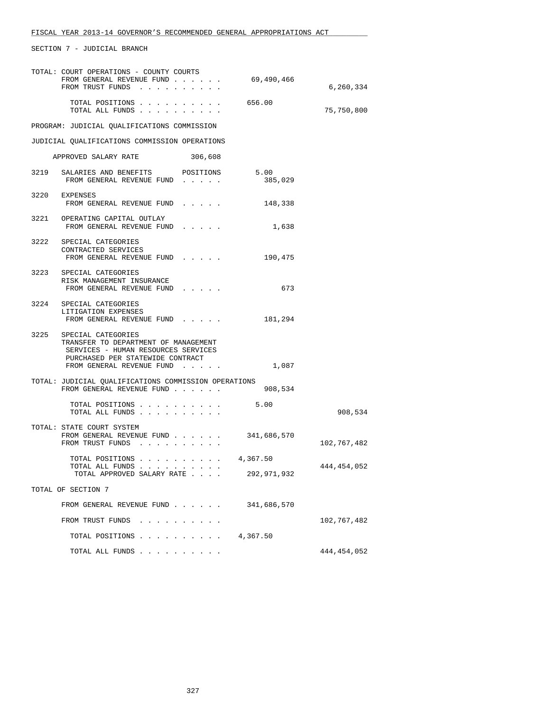SECTION 7 - JUDICIAL BRANCH

|                    | TOTAL: COURT OPERATIONS - COUNTY COURTS<br>FROM GENERAL REVENUE FUND<br>FROM TRUST FUNDS                                                                                | 69,490,466      | 6,260,334     |  |
|--------------------|-------------------------------------------------------------------------------------------------------------------------------------------------------------------------|-----------------|---------------|--|
|                    | TOTAL POSITIONS<br>TOTAL ALL FUNDS                                                                                                                                      | 656.00          | 75,750,800    |  |
|                    | PROGRAM: JUDICIAL QUALIFICATIONS COMMISSION                                                                                                                             |                 |               |  |
|                    | JUDICIAL QUALIFICATIONS COMMISSION OPERATIONS                                                                                                                           |                 |               |  |
|                    | APPROVED SALARY RATE<br>306,608                                                                                                                                         |                 |               |  |
|                    | 3219 SALARIES AND BENEFITS POSITIONS<br>FROM GENERAL REVENUE FUND                                                                                                       | 5.00<br>385,029 |               |  |
|                    | 3220 EXPENSES<br>FROM GENERAL REVENUE FUND                                                                                                                              | 148,338         |               |  |
|                    | 3221 OPERATING CAPITAL OUTLAY<br>FROM GENERAL REVENUE FUND                                                                                                              | 1,638           |               |  |
|                    | 3222 SPECIAL CATEGORIES<br>CONTRACTED SERVICES<br>FROM GENERAL REVENUE FUND                                                                                             | 190,475         |               |  |
|                    | 3223 SPECIAL CATEGORIES<br>RISK MANAGEMENT INSURANCE<br>FROM GENERAL REVENUE FUND                                                                                       | 673             |               |  |
|                    | 3224 SPECIAL CATEGORIES<br>LITIGATION EXPENSES<br>FROM GENERAL REVENUE FUND                                                                                             | 181,294         |               |  |
|                    | 3225 SPECIAL CATEGORIES<br>TRANSFER TO DEPARTMENT OF MANAGEMENT<br>SERVICES - HUMAN RESOURCES SERVICES<br>PURCHASED PER STATEWIDE CONTRACT<br>FROM GENERAL REVENUE FUND | 1,087           |               |  |
|                    | TOTAL: JUDICIAL QUALIFICATIONS COMMISSION OPERATIONS<br>FROM GENERAL REVENUE FUND                                                                                       | 908,534         |               |  |
|                    | TOTAL POSITIONS<br>TOTAL ALL FUNDS                                                                                                                                      | 5.00            | 908,534       |  |
|                    | TOTAL: STATE COURT SYSTEM<br>FROM GENERAL REVENUE FUND<br>FROM TRUST FUNDS                                                                                              | 341,686,570     | 102,767,482   |  |
|                    | TOTAL POSITIONS 4,367.50<br>TOTAL ALL FUNDS $\ldots$<br>TOTAL APPROVED SALARY RATE                                                                                      | 292,971,932     | 444, 454, 052 |  |
| TOTAL OF SECTION 7 |                                                                                                                                                                         |                 |               |  |
|                    | FROM GENERAL REVENUE FUND                                                                                                                                               | 341,686,570     |               |  |
|                    | FROM TRUST FUNDS                                                                                                                                                        |                 | 102,767,482   |  |
|                    | TOTAL POSITIONS                                                                                                                                                         | 4,367.50        |               |  |
|                    | TOTAL ALL FUNDS                                                                                                                                                         |                 | 444,454,052   |  |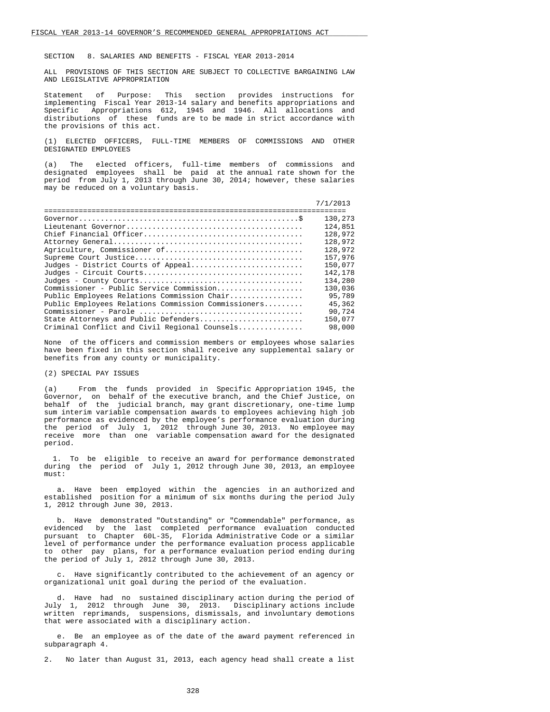SECTION 8. SALARIES AND BENEFITS - FISCAL YEAR 2013-2014

 ALL PROVISIONS OF THIS SECTION ARE SUBJECT TO COLLECTIVE BARGAINING LAW AND LEGISLATIVE APPROPRIATION

 Statement of Purpose: This section provides instructions for implementing Fiscal Year 2013-14 salary and benefits appropriations and Specific Appropriations 612, 1945 and 1946. All allocations and distributions of these funds are to be made in strict accordance with the provisions of this act.

 (1) ELECTED OFFICERS, FULL-TIME MEMBERS OF COMMISSIONS AND OTHER DESIGNATED EMPLOYEES

 (a) The elected officers, full-time members of commissions and designated employees shall be paid at the annual rate shown for the period from July 1, 2013 through June 30, 2014; however, these salaries may be reduced on a voluntary basis.

|                                                     | 7/1/2013 |
|-----------------------------------------------------|----------|
|                                                     | 130,273  |
|                                                     | 124,851  |
|                                                     | 128,972  |
|                                                     | 128,972  |
| Agriculture, Commissioner of                        | 128,972  |
|                                                     | 157,976  |
| Judges - District Courts of Appeal                  | 150,077  |
|                                                     | 142,178  |
|                                                     | 134,280  |
| Commissioner - Public Service Commission            | 130,036  |
| Public Employees Relations Commission Chair         | 95,789   |
| Public Employees Relations Commission Commissioners | 45,362   |
|                                                     | 90,724   |
| State Attorneys and Public Defenders                | 150,077  |
| Criminal Conflict and Civil Regional Counsels       | 98,000   |

 None of the officers and commission members or employees whose salaries have been fixed in this section shall receive any supplemental salary or benefits from any county or municipality.

# (2) SPECIAL PAY ISSUES

 (a) From the funds provided in Specific Appropriation 1945, the Governor, on behalf of the executive branch, and the Chief Justice, on behalf of the judicial branch, may grant discretionary, one-time lump sum interim variable compensation awards to employees achieving high job performance as evidenced by the employee's performance evaluation during the period of July 1, 2012 through June 30, 2013. No employee may receive more than one variable compensation award for the designated period.

 1. To be eligible to receive an award for performance demonstrated during the period of July 1, 2012 through June 30, 2013, an employee must:

 a. Have been employed within the agencies in an authorized and established position for a minimum of six months during the period July 1, 2012 through June 30, 2013.

 b. Have demonstrated "Outstanding" or "Commendable" performance, as evidenced by the last completed performance evaluation conducted pursuant to Chapter 60L-35, Florida Administrative Code or a similar level of performance under the performance evaluation process applicable to other pay plans, for a performance evaluation period ending during the period of July 1, 2012 through June 30, 2013.

 c. Have significantly contributed to the achievement of an agency or organizational unit goal during the period of the evaluation.

 d. Have had no sustained disciplinary action during the period of July 1, 2012 through June 30, 2013. Disciplinary actions include written reprimands, suspensions, dismissals, and involuntary demotions that were associated with a disciplinary action.

 e. Be an employee as of the date of the award payment referenced in subparagraph 4.

2. No later than August 31, 2013, each agency head shall create a list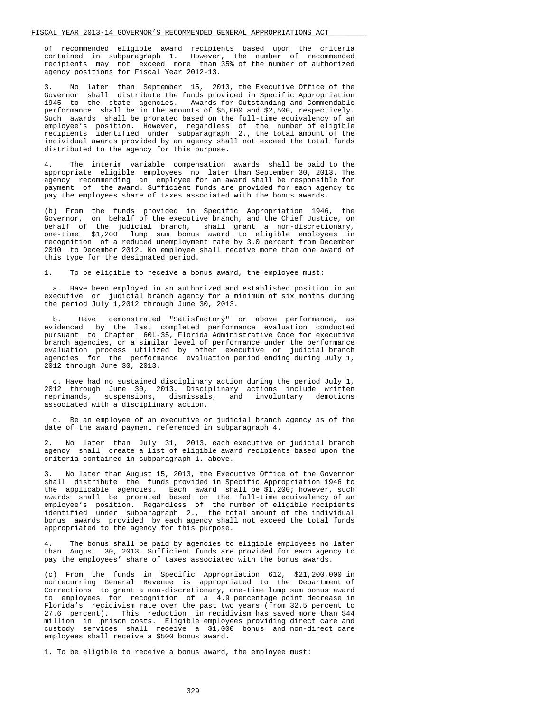of recommended eligible award recipients based upon the criteria contained in subparagraph 1. However, the number of recommended recipients may not exceed more than 35% of the number of authorized agency positions for Fiscal Year 2012-13.

 3. No later than September 15, 2013, the Executive Office of the Governor shall distribute the funds provided in Specific Appropriation 1945 to the state agencies. Awards for Outstanding and Commendable performance shall be in the amounts of \$5,000 and \$2,500, respectively. Such awards shall be prorated based on the full-time equivalency of an employee's position. However, regardless of the number of eligible recipients identified under subparagraph 2., the total amount of the individual awards provided by an agency shall not exceed the total funds distributed to the agency for this purpose.

 4. The interim variable compensation awards shall be paid to the appropriate eligible employees no later than September 30, 2013. The agency recommending an employee for an award shall be responsible for payment of the award. Sufficient funds are provided for each agency to pay the employees share of taxes associated with the bonus awards.

 (b) From the funds provided in Specific Appropriation 1946, the Governor, on behalf of the executive branch, and the Chief Justice, on behalf of the judicial branch, shall grant a non-discretionary, one-time \$1,200 lump sum bonus award to eligible employees in recognition of a reduced unemployment rate by 3.0 percent from December 2010 to December 2012. No employee shall receive more than one award of this type for the designated period.

1. To be eligible to receive a bonus award, the employee must:

 a. Have been employed in an authorized and established position in an executive or judicial branch agency for a minimum of six months during the period July 1,2012 through June 30, 2013.

 b. Have demonstrated "Satisfactory" or above performance, as evidenced by the last completed performance evaluation conducted pursuant to Chapter 60L-35, Florida Administrative Code for executive branch agencies, or a similar level of performance under the performance evaluation process utilized by other executive or judicial branch agencies for the performance evaluation period ending during July 1, 2012 through June 30, 2013.

 c. Have had no sustained disciplinary action during the period July 1, 2012 through June 30, 2013. Disciplinary actions include written reprimands, suspensions, dismissals, and involuntary demotions associated with a disciplinary action.

 d. Be an employee of an executive or judicial branch agency as of the date of the award payment referenced in subparagraph 4.

 2. No later than July 31, 2013, each executive or judicial branch agency shall create a list of eligible award recipients based upon the criteria contained in subparagraph 1. above.

 3. No later than August 15, 2013, the Executive Office of the Governor shall distribute the funds provided in Specific Appropriation 1946 to the applicable agencies. Each award shall be \$1,200; however, such awards shall be prorated based on the full-time equivalency of an employee's position. Regardless of the number of eligible recipients identified under subparagraph 2., the total amount of the individual bonus awards provided by each agency shall not exceed the total funds appropriated to the agency for this purpose.

 4. The bonus shall be paid by agencies to eligible employees no later than August 30, 2013. Sufficient funds are provided for each agency to pay the employees' share of taxes associated with the bonus awards.

 (c) From the funds in Specific Appropriation 612, \$21,200,000 in nonrecurring General Revenue is appropriated to the Department of Corrections to grant a non-discretionary, one-time lump sum bonus award to employees for recognition of a 4.9 percentage point decrease in Florida's recidivism rate over the past two years (from 32.5 percent to 27.6 percent). This reduction in recidivism has saved more than \$44 million in prison costs. Eligible employees providing direct care and custody services shall receive a \$1,000 bonus and non-direct care employees shall receive a \$500 bonus award.

1. To be eligible to receive a bonus award, the employee must:

329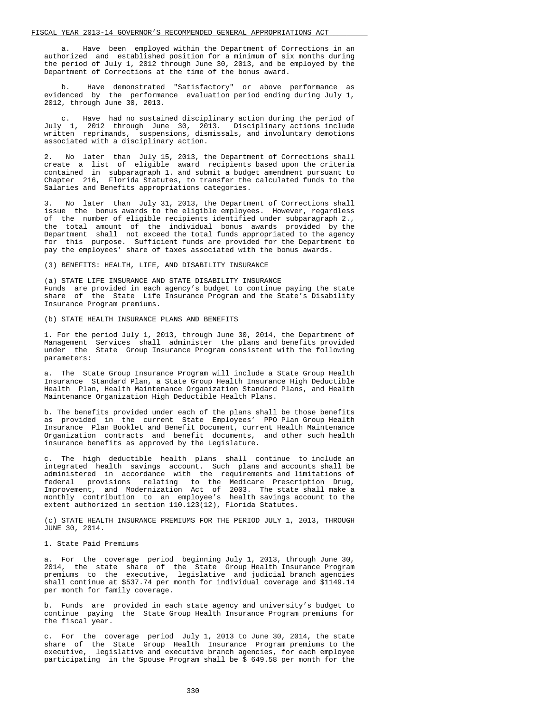a. Have been employed within the Department of Corrections in an authorized and established position for a minimum of six months during the period of July 1, 2012 through June 30, 2013, and be employed by the Department of Corrections at the time of the bonus award.

 b. Have demonstrated "Satisfactory" or above performance as evidenced by the performance evaluation period ending during July 1, 2012, through June 30, 2013.

 c. Have had no sustained disciplinary action during the period of July 1, 2012 through June 30, 2013. Disciplinary actions include written reprimands, suspensions, dismissals, and involuntary demotions associated with a disciplinary action.

 2. No later than July 15, 2013, the Department of Corrections shall create a list of eligible award recipients based upon the criteria contained in subparagraph 1. and submit a budget amendment pursuant to Chapter 216, Florida Statutes, to transfer the calculated funds to the Salaries and Benefits appropriations categories.

 3. No later than July 31, 2013, the Department of Corrections shall issue the bonus awards to the eligible employees. However, regardless of the number of eligible recipients identified under subparagraph 2., the total amount of the individual bonus awards provided by the Department shall not exceed the total funds appropriated to the agency for this purpose. Sufficient funds are provided for the Department to pay the employees' share of taxes associated with the bonus awards.

#### (3) BENEFITS: HEALTH, LIFE, AND DISABILITY INSURANCE

 (a) STATE LIFE INSURANCE AND STATE DISABILITY INSURANCE Funds are provided in each agency's budget to continue paying the state share of the State Life Insurance Program and the State's Disability Insurance Program premiums.

(b) STATE HEALTH INSURANCE PLANS AND BENEFITS

 1. For the period July 1, 2013, through June 30, 2014, the Department of Management Services shall administer the plans and benefits provided under the State Group Insurance Program consistent with the following parameters:

 a. The State Group Insurance Program will include a State Group Health Insurance Standard Plan, a State Group Health Insurance High Deductible Health Plan, Health Maintenance Organization Standard Plans, and Health Maintenance Organization High Deductible Health Plans.

 b. The benefits provided under each of the plans shall be those benefits as provided in the current State Employees' PPO Plan Group Health Insurance Plan Booklet and Benefit Document, current Health Maintenance Organization contracts and benefit documents, and other such health insurance benefits as approved by the Legislature.

 c. The high deductible health plans shall continue to include an integrated health savings account. Such plans and accounts shall be administered in accordance with the requirements and limitations of federal provisions relating to the Medicare Prescription Drug, Improvement, and Modernization Act of 2003. The state shall make a monthly contribution to an employee's health savings account to the extent authorized in section 110.123(12), Florida Statutes.

 (c) STATE HEALTH INSURANCE PREMIUMS FOR THE PERIOD JULY 1, 2013, THROUGH JUNE 30, 2014.

1. State Paid Premiums

 a. For the coverage period beginning July 1, 2013, through June 30, 2014, the state share of the State Group Health Insurance Program premiums to the executive, legislative and judicial branch agencies shall continue at \$537.74 per month for individual coverage and \$1149.14 per month for family coverage.

 b. Funds are provided in each state agency and university's budget to continue paying the State Group Health Insurance Program premiums for the fiscal year.

 c. For the coverage period July 1, 2013 to June 30, 2014, the state share of the State Group Health Insurance Program premiums to the executive, legislative and executive branch agencies, for each employee participating in the Spouse Program shall be \$ 649.58 per month for the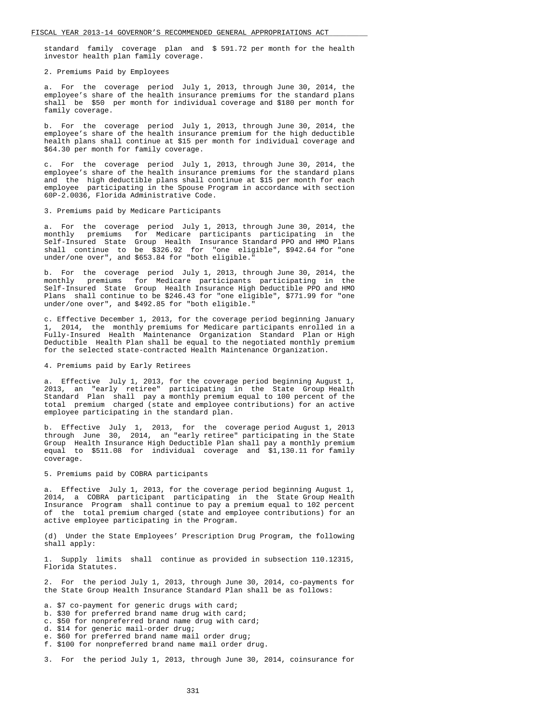standard family coverage plan and \$ 591.72 per month for the health investor health plan family coverage.

## 2. Premiums Paid by Employees

 a. For the coverage period July 1, 2013, through June 30, 2014, the employee's share of the health insurance premiums for the standard plans shall be \$50 per month for individual coverage and \$180 per month for family coverage.

 b. For the coverage period July 1, 2013, through June 30, 2014, the employee's share of the health insurance premium for the high deductible health plans shall continue at \$15 per month for individual coverage and \$64.30 per month for family coverage.

 c. For the coverage period July 1, 2013, through June 30, 2014, the employee's share of the health insurance premiums for the standard plans and the high deductible plans shall continue at \$15 per month for each employee participating in the Spouse Program in accordance with section 60P-2.0036, Florida Administrative Code.

#### 3. Premiums paid by Medicare Participants

 a. For the coverage period July 1, 2013, through June 30, 2014, the monthly premiums for Medicare participants participating in the Self-Insured State Group Health Insurance Standard PPO and HMO Plans shall continue to be \$326.92 for "one eligible", \$942.64 for "one under/one over", and \$653.84 for "both eligible."

 b. For the coverage period July 1, 2013, through June 30, 2014, the monthly premiums for Medicare participants participating in the Self-Insured State Group Health Insurance High Deductible PPO and HMO Plans shall continue to be \$246.43 for "one eligible", \$771.99 for "one under/one over", and \$492.85 for "both eligible."

 c. Effective December 1, 2013, for the coverage period beginning January 1, 2014, the monthly premiums for Medicare participants enrolled in a Fully-Insured Health Maintenance Organization Standard Plan or High Deductible Health Plan shall be equal to the negotiated monthly premium for the selected state-contracted Health Maintenance Organization.

# 4. Premiums paid by Early Retirees

 a. Effective July 1, 2013, for the coverage period beginning August 1, 2013, an "early retiree" participating in the State Group Health Standard Plan shall pay a monthly premium equal to 100 percent of the total premium charged (state and employee contributions) for an active employee participating in the standard plan.

 b. Effective July 1, 2013, for the coverage period August 1, 2013 through June 30, 2014, an "early retiree" participating in the State Group Health Insurance High Deductible Plan shall pay a monthly premium equal to \$511.08 for individual coverage and \$1,130.11 for family coverage.

#### 5. Premiums paid by COBRA participants

 a. Effective July 1, 2013, for the coverage period beginning August 1, 2014, a COBRA participant participating in the State Group Health Insurance Program shall continue to pay a premium equal to 102 percent of the total premium charged (state and employee contributions) for an active employee participating in the Program.

 (d) Under the State Employees' Prescription Drug Program, the following shall apply:

 1. Supply limits shall continue as provided in subsection 110.12315, Florida Statutes.

 2. For the period July 1, 2013, through June 30, 2014, co-payments for the State Group Health Insurance Standard Plan shall be as follows:

a. \$7 co-payment for generic drugs with card;

- b. \$30 for preferred brand name drug with card;
- c. \$50 for nonpreferred brand name drug with card;
- d. \$14 for generic mail-order drug;
- e. \$60 for preferred brand name mail order drug;
- f. \$100 for nonpreferred brand name mail order drug.

3. For the period July 1, 2013, through June 30, 2014, coinsurance for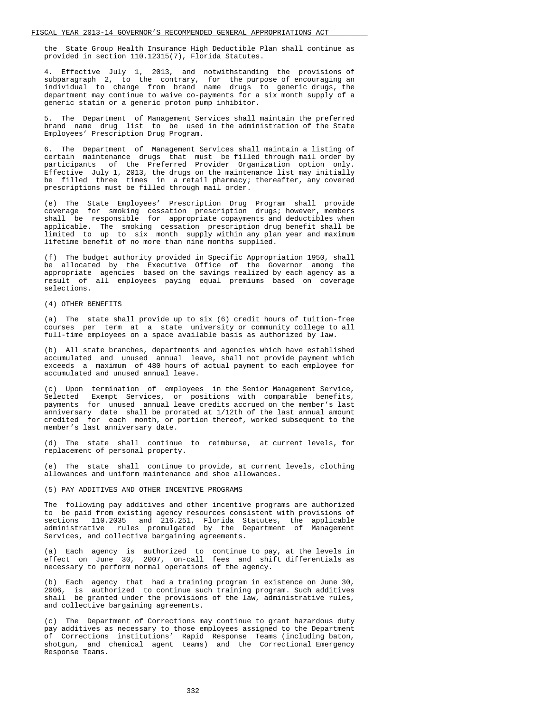the State Group Health Insurance High Deductible Plan shall continue as provided in section 110.12315(7), Florida Statutes.

 4. Effective July 1, 2013, and notwithstanding the provisions of subparagraph 2, to the contrary, for the purpose of encouraging an individual to change from brand name drugs to generic drugs, the department may continue to waive co-payments for a six month supply of a generic statin or a generic proton pump inhibitor.

 5. The Department of Management Services shall maintain the preferred brand name drug list to be used in the administration of the State Employees' Prescription Drug Program.

 6. The Department of Management Services shall maintain a listing of certain maintenance drugs that must be filled through mail order by participants of the Preferred Provider Organization option only. Effective July 1, 2013, the drugs on the maintenance list may initially be filled three times in a retail pharmacy; thereafter, any covered prescriptions must be filled through mail order.

 (e) The State Employees' Prescription Drug Program shall provide coverage for smoking cessation prescription drugs; however, members shall be responsible for appropriate copayments and deductibles when applicable. The smoking cessation prescription drug benefit shall be limited to up to six month supply within any plan year and maximum lifetime benefit of no more than nine months supplied.

 (f) The budget authority provided in Specific Appropriation 1950, shall be allocated by the Executive Office of the Governor among the appropriate agencies based on the savings realized by each agency as a result of all employees paying equal premiums based on coverage selections.

#### (4) OTHER BENEFITS

 (a) The state shall provide up to six (6) credit hours of tuition-free courses per term at a state university or community college to all full-time employees on a space available basis as authorized by law.

 (b) All state branches, departments and agencies which have established accumulated and unused annual leave, shall not provide payment which exceeds a maximum of 480 hours of actual payment to each employee for accumulated and unused annual leave.

 (c) Upon termination of employees in the Senior Management Service, Selected Exempt Services, or positions with comparable benefits, payments for unused annual leave credits accrued on the member's last anniversary date shall be prorated at 1/12th of the last annual amount credited for each month, or portion thereof, worked subsequent to the member's last anniversary date.

 (d) The state shall continue to reimburse, at current levels, for replacement of personal property.

 (e) The state shall continue to provide, at current levels, clothing allowances and uniform maintenance and shoe allowances.

## (5) PAY ADDITIVES AND OTHER INCENTIVE PROGRAMS

 The following pay additives and other incentive programs are authorized to be paid from existing agency resources consistent with provisions of sections 110.2035 and 216.251, Florida Statutes, the applicable administrative rules promulgated by the Department of Management Services, and collective bargaining agreements.

 (a) Each agency is authorized to continue to pay, at the levels in effect on June 30, 2007, on-call fees and shift differentials as necessary to perform normal operations of the agency.

 (b) Each agency that had a training program in existence on June 30, 2006, is authorized to continue such training program. Such additives shall be granted under the provisions of the law, administrative rules, and collective bargaining agreements.

 (c) The Department of Corrections may continue to grant hazardous duty pay additives as necessary to those employees assigned to the Department of Corrections institutions' Rapid Response Teams (including baton, shotgun, and chemical agent teams) and the Correctional Emergency Response Teams.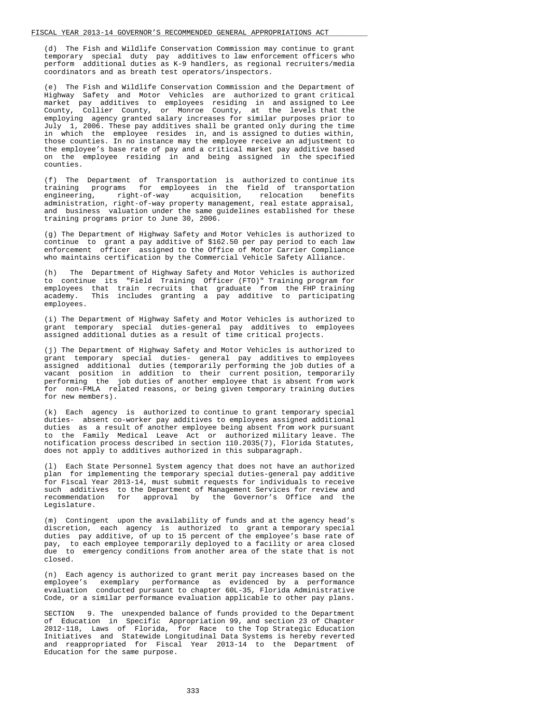(d) The Fish and Wildlife Conservation Commission may continue to grant temporary special duty pay additives to law enforcement officers who perform additional duties as K-9 handlers, as regional recruiters/media coordinators and as breath test operators/inspectors.

 (e) The Fish and Wildlife Conservation Commission and the Department of Highway Safety and Motor Vehicles are authorized to grant critical market pay additives to employees residing in and assigned to Lee County, Collier County, or Monroe County, at the levels that the employing agency granted salary increases for similar purposes prior to July 1, 2006. These pay additives shall be granted only during the time in which the employee resides in, and is assigned to duties within, those counties. In no instance may the employee receive an adjustment to the employee's base rate of pay and a critical market pay additive based on the employee residing in and being assigned in the specified counties.

 (f) The Department of Transportation is authorized to continue its training programs for employees in the field of transportation engineering, right-of-way acquisition, relocation benefits administration, right-of-way property management, real estate appraisal, and business valuation under the same guidelines established for these training programs prior to June 30, 2006.

 (g) The Department of Highway Safety and Motor Vehicles is authorized to continue to grant a pay additive of \$162.50 per pay period to each law enforcement officer assigned to the Office of Motor Carrier Compliance who maintains certification by the Commercial Vehicle Safety Alliance.

 (h) The Department of Highway Safety and Motor Vehicles is authorized to continue its "Field Training Officer (FTO)" Training program for employees that train recruits that graduate from the FHP training academy. This includes granting a pay additive to participating This includes granting a pay additive to participating employees.

 (i) The Department of Highway Safety and Motor Vehicles is authorized to grant temporary special duties-general pay additives to employees assigned additional duties as a result of time critical projects.

 (j) The Department of Highway Safety and Motor Vehicles is authorized to grant temporary special duties- general pay additives to employees assigned additional duties (temporarily performing the job duties of a vacant position in addition to their current position, temporarily performing the job duties of another employee that is absent from work for non-FMLA related reasons, or being given temporary training duties for new members).

 (k) Each agency is authorized to continue to grant temporary special duties- absent co-worker pay additives to employees assigned additional duties as a result of another employee being absent from work pursuant to the Family Medical Leave Act or authorized military leave. The notification process described in section 110.2035(7), Florida Statutes, does not apply to additives authorized in this subparagraph.

 (l) Each State Personnel System agency that does not have an authorized plan for implementing the temporary special duties-general pay additive for Fiscal Year 2013-14, must submit requests for individuals to receive such additives to the Department of Management Services for review and recommendation for approval by the Governor's Office and the Legislature.

 (m) Contingent upon the availability of funds and at the agency head's discretion, each agency is authorized to grant a temporary special duties pay additive, of up to 15 percent of the employee's base rate of pay, to each employee temporarily deployed to a facility or area closed due to emergency conditions from another area of the state that is not closed.

 (n) Each agency is authorized to grant merit pay increases based on the employee's exemplary performance as evidenced by a performance evaluation conducted pursuant to chapter 60L-35, Florida Administrative Code, or a similar performance evaluation applicable to other pay plans.

 SECTION 9. The unexpended balance of funds provided to the Department of Education in Specific Appropriation 99, and section 23 of Chapter 2012-118, Laws of Florida, for Race to the Top Strategic Education Initiatives and Statewide Longitudinal Data Systems is hereby reverted and reappropriated for Fiscal Year 2013-14 to the Department of Education for the same purpose.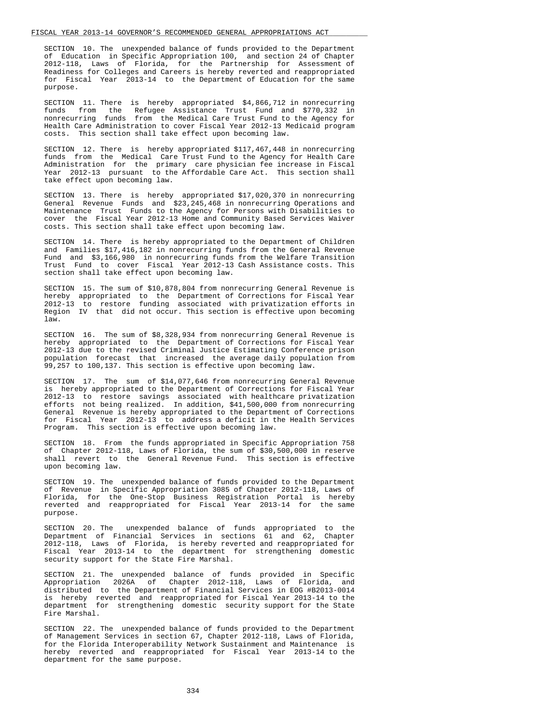SECTION 10. The unexpended balance of funds provided to the Department of Education in Specific Appropriation 100, and section 24 of Chapter 2012-118, Laws of Florida, for the Partnership for Assessment of Readiness for Colleges and Careers is hereby reverted and reappropriated for Fiscal Year 2013-14 to the Department of Education for the same purpose.

 SECTION 11. There is hereby appropriated \$4,866,712 in nonrecurring funds from the Refugee Assistance Trust Fund and \$770,332 in nonrecurring funds from the Medical Care Trust Fund to the Agency for Health Care Administration to cover Fiscal Year 2012-13 Medicaid program costs. This section shall take effect upon becoming law.

 SECTION 12. There is hereby appropriated \$117,467,448 in nonrecurring funds from the Medical Care Trust Fund to the Agency for Health Care Administration for the primary care physician fee increase in Fiscal Year 2012-13 pursuant to the Affordable Care Act. This section shall take effect upon becoming law.

 SECTION 13. There is hereby appropriated \$17,020,370 in nonrecurring General Revenue Funds and \$23,245,468 in nonrecurring Operations and Maintenance Trust Funds to the Agency for Persons with Disabilities to cover the Fiscal Year 2012-13 Home and Community Based Services Waiver costs. This section shall take effect upon becoming law.

 SECTION 14. There is hereby appropriated to the Department of Children and Families \$17,416,182 in nonrecurring funds from the General Revenue Fund and \$3,166,980 in nonrecurring funds from the Welfare Transition Trust Fund to cover Fiscal Year 2012-13 Cash Assistance costs. This section shall take effect upon becoming law.

 SECTION 15. The sum of \$10,878,804 from nonrecurring General Revenue is hereby appropriated to the Department of Corrections for Fiscal Year 2012-13 to restore funding associated with privatization efforts in Region IV that did not occur. This section is effective upon becoming law.

 SECTION 16. The sum of \$8,328,934 from nonrecurring General Revenue is hereby appropriated to the Department of Corrections for Fiscal Year 2012-13 due to the revised Criminal Justice Estimating Conference prison population forecast that increased the average daily population from 99,257 to 100,137. This section is effective upon becoming law.

 SECTION 17. The sum of \$14,077,646 from nonrecurring General Revenue is hereby appropriated to the Department of Corrections for Fiscal Year 2012-13 to restore savings associated with healthcare privatization efforts not being realized. In addition, \$41,500,000 from nonrecurring General Revenue is hereby appropriated to the Department of Corrections for Fiscal Year 2012-13 to address a deficit in the Health Services Program. This section is effective upon becoming law.

 SECTION 18. From the funds appropriated in Specific Appropriation 758 of Chapter 2012-118, Laws of Florida, the sum of \$30,500,000 in reserve shall revert to the General Revenue Fund. This section is effective upon becoming law.

 SECTION 19. The unexpended balance of funds provided to the Department of Revenue in Specific Appropriation 3085 of Chapter 2012-118, Laws of Florida, for the One-Stop Business Registration Portal is hereby reverted and reappropriated for Fiscal Year 2013-14 for the same purpose.

SECTION 20. The unexpended balance of funds appropriated to the Department of Financial Services in sections 61 and 62. Chapter Department of Financial Services in sections 61 and 62, 2012-118, Laws of Florida, is hereby reverted and reappropriated for Fiscal Year 2013-14 to the department for strengthening domestic security support for the State Fire Marshal.

 SECTION 21. The unexpended balance of funds provided in Specific Appropriation 2026A of Chapter 2012-118, Laws of Florida, and distributed to the Department of Financial Services in EOG #B2013-0014 is hereby reverted and reappropriated for Fiscal Year 2013-14 to the department for strengthening domestic security support for the State Fire Marshal.

 SECTION 22. The unexpended balance of funds provided to the Department of Management Services in section 67, Chapter 2012-118, Laws of Florida, for the Florida Interoperability Network Sustainment and Maintenance is hereby reverted and reappropriated for Fiscal Year 2013-14 to the department for the same purpose.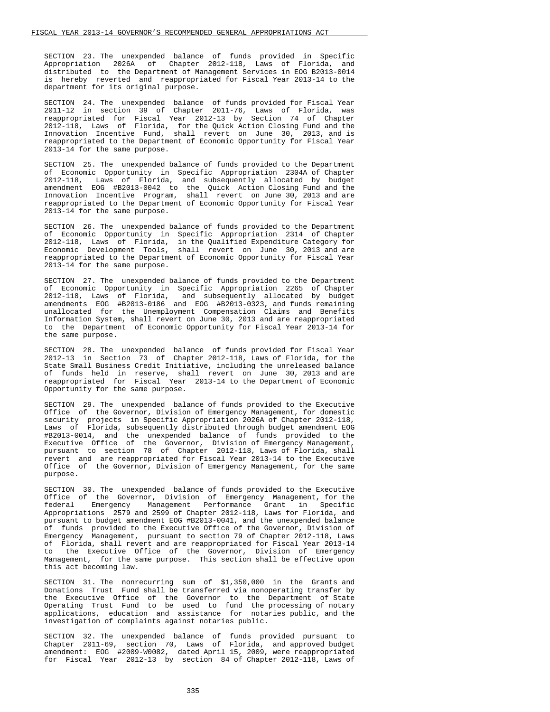SECTION 23. The unexpended balance of funds provided in Specific Appropriation 2026A of Chapter 2012-118, Laws of Florida, and distributed to the Department of Management Services in EOG B2013-0014 is hereby reverted and reappropriated for Fiscal Year 2013-14 to the department for its original purpose.

 SECTION 24. The unexpended balance of funds provided for Fiscal Year 2011-12 in section 39 of Chapter 2011-76, Laws of Florida, was reappropriated for Fiscal Year 2012-13 by Section 74 of Chapter 2012-118, Laws of Florida, for the Quick Action Closing Fund and the Innovation Incentive Fund, shall revert on June 30, 2013, and is reappropriated to the Department of Economic Opportunity for Fiscal Year 2013-14 for the same purpose.

 SECTION 25. The unexpended balance of funds provided to the Department of Economic Opportunity in Specific Appropriation 2304A of Chapter 2012-118, Laws of Florida, and subsequently allocated by budget amendment EOG #B2013-0042 to the Quick Action Closing Fund and the Innovation Incentive Program, shall revert on June 30, 2013 and are reappropriated to the Department of Economic Opportunity for Fiscal Year 2013-14 for the same purpose.

 SECTION 26. The unexpended balance of funds provided to the Department of Economic Opportunity in Specific Appropriation 2314 of Chapter 2012-118, Laws of Florida, in the Qualified Expenditure Category for Economic Development Tools, shall revert on June 30, 2013 and are reappropriated to the Department of Economic Opportunity for Fiscal Year 2013-14 for the same purpose.

 SECTION 27. The unexpended balance of funds provided to the Department of Economic Opportunity in Specific Appropriation 2265 of Chapter 2012-118, Laws of Florida, and subsequently allocated by budget amendments EOG #B2013-0186 and EOG #B2013-0323, and funds remaining unallocated for the Unemployment Compensation Claims and Benefits Information System, shall revert on June 30, 2013 and are reappropriated to the Department of Economic Opportunity for Fiscal Year 2013-14 for the same purpose.

 SECTION 28. The unexpended balance of funds provided for Fiscal Year 2012-13 in Section 73 of Chapter 2012-118, Laws of Florida, for the State Small Business Credit Initiative, including the unreleased balance of funds held in reserve, shall revert on June 30, 2013 and are reappropriated for Fiscal Year 2013-14 to the Department of Economic Opportunity for the same purpose.

 SECTION 29. The unexpended balance of funds provided to the Executive Office of the Governor, Division of Emergency Management, for domestic security projects in Specific Appropriation 2026A of Chapter 2012-118, Laws of Florida, subsequently distributed through budget amendment EOG #B2013-0014, and the unexpended balance of funds provided to the Executive Office of the Governor, Division of Emergency Management, pursuant to section 78 of Chapter 2012-118, Laws of Florida, shall revert and are reappropriated for Fiscal Year 2013-14 to the Executive Office of the Governor, Division of Emergency Management, for the same purpose.

 SECTION 30. The unexpended balance of funds provided to the Executive Office of the Governor, Division of Emergency Management, for the federal Emergency Management Performance Grant in Specific Appropriations 2579 and 2599 of Chapter 2012-118, Laws for Florida, and pursuant to budget amendment EOG #B2013-0041, and the unexpended balance of funds provided to the Executive Office of the Governor, Division of Emergency Management, pursuant to section 79 of Chapter 2012-118, Laws of Florida, shall revert and are reappropriated for Fiscal Year 2013-14 to the Executive Office of the Governor, Division of Emergency Management, for the same purpose. This section shall be effective upon this act becoming law.

 SECTION 31. The nonrecurring sum of \$1,350,000 in the Grants and Donations Trust Fund shall be transferred via nonoperating transfer by the Executive Office of the Governor to the Department of State Operating Trust Fund to be used to fund the processing of notary applications, education and assistance for notaries public, and the investigation of complaints against notaries public.

 SECTION 32. The unexpended balance of funds provided pursuant to Chapter 2011-69, section 70, Laws of Florida, and approved budget amendment: EOG #2009-W0082, dated April 15, 2009, were reappropriated for Fiscal Year 2012-13 by section 84 of Chapter 2012-118, Laws of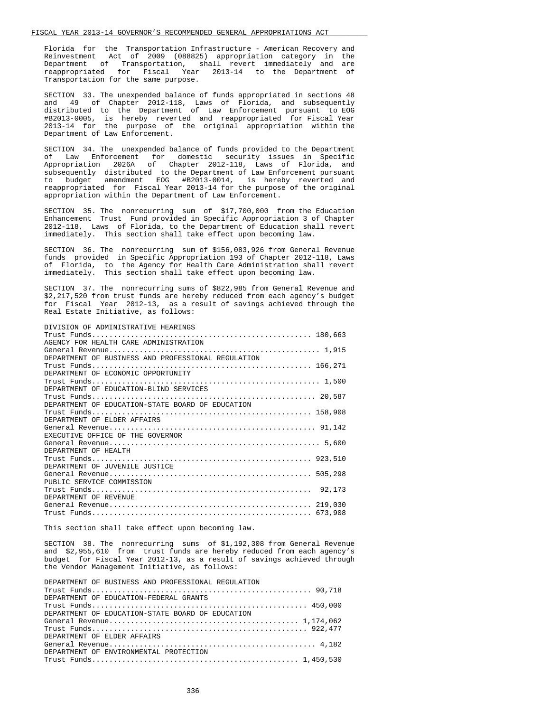Florida for the Transportation Infrastructure - American Recovery and Reinvestment Act of 2009 (088825) appropriation category in the Department of Transportation, shall revert immediately and are reappropriated for Fiscal Year 2013-14 to the Department of Transportation for the same purpose.

 SECTION 33. The unexpended balance of funds appropriated in sections 48 and 49 of Chapter 2012-118, Laws of Florida, and subsequently distributed to the Department of Law Enforcement pursuant to EOG #B2013-0005, is hereby reverted and reappropriated for Fiscal Year 2013-14 for the purpose of the original appropriation within the Department of Law Enforcement.

 SECTION 34. The unexpended balance of funds provided to the Department of Law Enforcement for domestic security issues in Specific Appropriation 2026A of Chapter 2012-118, Laws of Florida, and subsequently distributed to the Department of Law Enforcement pursuant<br>to budget amendment EOG #B2013-0014, is hereby reverted and amendment EOG #B2013-0014, is hereby reverted and reappropriated for Fiscal Year 2013-14 for the purpose of the original appropriation within the Department of Law Enforcement.

 SECTION 35. The nonrecurring sum of \$17,700,000 from the Education Enhancement Trust Fund provided in Specific Appropriation 3 of Chapter 2012-118, Laws of Florida, to the Department of Education shall revert immediately. This section shall take effect upon becoming law.

 SECTION 36. The nonrecurring sum of \$156,083,926 from General Revenue funds provided in Specific Appropriation 193 of Chapter 2012-118, Laws of Florida, to the Agency for Health Care Administration shall revert immediately. This section shall take effect upon becoming law.

 SECTION 37. The nonrecurring sums of \$822,985 from General Revenue and \$2,217,520 from trust funds are hereby reduced from each agency's budget for Fiscal Year 2012-13, as a result of savings achieved through the Real Estate Initiative, as follows:

| DIVISION OF ADMINISTRATIVE HEARINGS                |
|----------------------------------------------------|
|                                                    |
| AGENCY FOR HEALTH CARE ADMINISTRATION              |
|                                                    |
| DEPARTMENT OF BUSINESS AND PROFESSIONAL REGULATION |
|                                                    |
| DEPARTMENT OF ECONOMIC OPPORTUNITY                 |
|                                                    |
| DEPARTMENT OF EDUCATION-BLIND SERVICES             |
|                                                    |
| DEPARTMENT OF EDUCATION-STATE BOARD OF EDUCATION   |
|                                                    |
| DEPARTMENT OF ELDER AFFAIRS                        |
|                                                    |
| EXECUTIVE OFFICE OF THE GOVERNOR                   |
|                                                    |
| DEPARTMENT OF HEALTH                               |
|                                                    |
| DEPARTMENT OF JUVENILE JUSTICE                     |
|                                                    |
| PUBLIC SERVICE COMMISSION                          |
| 92,173                                             |
| DEPARTMENT OF REVENUE                              |
|                                                    |
|                                                    |

This section shall take effect upon becoming law.

 SECTION 38. The nonrecurring sums of \$1,192,308 from General Revenue and \$2,955,610 from trust funds are hereby reduced from each agency's budget for Fiscal Year 2012-13, as a result of savings achieved through the Vendor Management Initiative, as follows:

| DEPARTMENT OF BUSINESS AND PROFESSIONAL REGULATION |
|----------------------------------------------------|
|                                                    |
| DEPARTMENT OF EDUCATION-FEDERAL GRANTS             |
|                                                    |
| DEPARTMENT OF EDUCATION-STATE BOARD OF EDUCATION   |
|                                                    |
|                                                    |
| DEPARTMENT OF ELDER AFFAIRS                        |
|                                                    |
| DEPARTMENT OF ENVIRONMENTAL PROTECTION             |
|                                                    |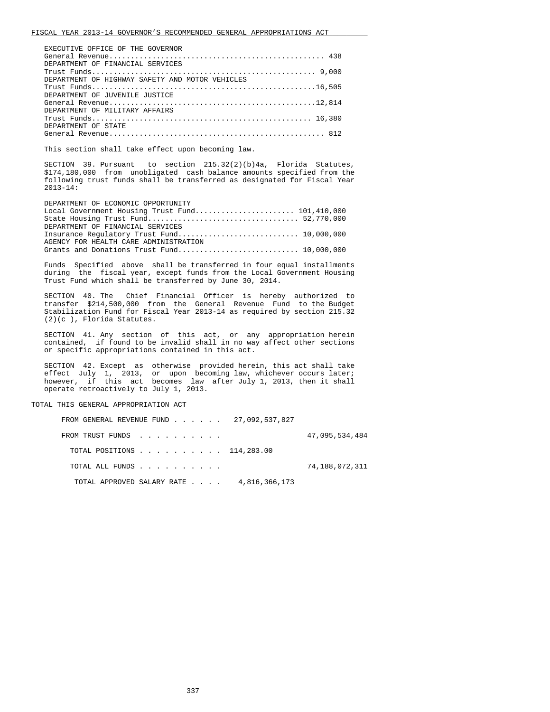| EXECUTIVE OFFICE OF THE GOVERNOR                |
|-------------------------------------------------|
|                                                 |
| DEPARTMENT OF FINANCIAL SERVICES                |
|                                                 |
| DEPARTMENT OF HIGHWAY SAFETY AND MOTOR VEHICLES |
|                                                 |
| DEPARTMENT OF JUVENILE JUSTICE                  |
|                                                 |
| DEPARTMENT OF MILITARY AFFAIRS                  |
|                                                 |
| DEPARTMENT OF STATE                             |
|                                                 |

This section shall take effect upon becoming law.

 SECTION 39. Pursuant to section 215.32(2)(b)4a, Florida Statutes, \$174,180,000 from unobligated cash balance amounts specified from the following trust funds shall be transferred as designated for Fiscal Year 2013-14:

| DEPARTMENT OF ECONOMIC OPPORTUNITY    |  |
|---------------------------------------|--|
|                                       |  |
|                                       |  |
| DEPARTMENT OF FINANCIAL SERVICES      |  |
|                                       |  |
| AGENCY FOR HEALTH CARE ADMINISTRATION |  |
|                                       |  |

 Funds Specified above shall be transferred in four equal installments during the fiscal year, except funds from the Local Government Housing Trust Fund which shall be transferred by June 30, 2014.

 SECTION 40. The Chief Financial Officer is hereby authorized to transfer \$214,500,000 from the General Revenue Fund to the Budget Stabilization Fund for Fiscal Year 2013-14 as required by section 215.32 (2)(c ), Florida Statutes.

 SECTION 41. Any section of this act, or any appropriation herein contained, if found to be invalid shall in no way affect other sections or specific appropriations contained in this act.

 SECTION 42. Except as otherwise provided herein, this act shall take effect July 1, 2013, or upon becoming law, whichever occurs later; however, if this act becomes law after July 1, 2013, then it shall operate retroactively to July 1, 2013.

TOTAL THIS GENERAL APPROPRIATION ACT

|  | FROM GENERAL REVENUE FUND 27,092,537,827 |               |                |
|--|------------------------------------------|---------------|----------------|
|  | FROM TRUST FUNDS                         |               | 47,095,534,484 |
|  | TOTAL POSITIONS 114,283.00               |               |                |
|  | TOTAL ALL FUNDS                          |               | 74,188,072,311 |
|  | TOTAL APPROVED SALARY RATE               | 4,816,366,173 |                |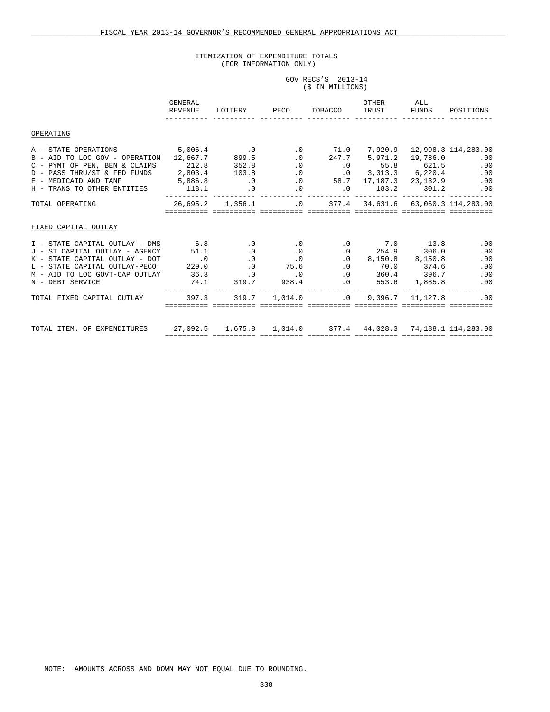# ITEMIZATION OF EXPENDITURE TOTALS (FOR INFORMATION ONLY)

|  | GOV RECS'S 2013-14 |  |
|--|--------------------|--|
|  | (\$ IN MILLIONS)   |  |

|                                                                                                                                                                                                                                                                                                      | GENERAL<br>REVENUE                                                                 |                                                                                                                  | LOTTERY PECO                                                                                   | TOBACCO                                                                                   | OTHER<br>TRUST FUNDS                                                                     | ALL | POSITIONS                                                      |
|------------------------------------------------------------------------------------------------------------------------------------------------------------------------------------------------------------------------------------------------------------------------------------------------------|------------------------------------------------------------------------------------|------------------------------------------------------------------------------------------------------------------|------------------------------------------------------------------------------------------------|-------------------------------------------------------------------------------------------|------------------------------------------------------------------------------------------|-----|----------------------------------------------------------------|
| OPERATING                                                                                                                                                                                                                                                                                            |                                                                                    |                                                                                                                  |                                                                                                |                                                                                           |                                                                                          |     |                                                                |
| A - STATE OPERATIONS 5,006.4<br>B - AID TO LOC GOV - OPERATION 12,667.7<br>C - PYMT OF PEN, BEN & CLAIMS 212.8<br>D - PASS THRU/ST & FED FUNDS 2,803.4 103.8<br>E - MEDICAID AND TANF<br>H - TRANS TO OTHER ENTITIES 118.1                                                                           | 5,886.8                                                                            | $\overline{\phantom{0}}$ .0<br>899.5<br>352.8<br>$\overline{\phantom{0}}$ .0<br>$\sim$ 0                         | $\overline{\phantom{0}}$ .0<br>.0<br>$0$ 58.7 17,187.3 23,132.9<br>$\overline{\phantom{0}}$ .0 | 71.0<br>$.0$ 247.7 5,971.2 19,786.0<br>$.0$ $.0$ $.55.8$ $621.5$<br>$0 \t 183.2 \t 301.2$ | $.0 \qquad 3,313.3 \qquad 6,220.4$                                                       |     | 7,920.9 12,998.3 114,283.00<br>.00<br>.00<br>.00<br>.00<br>.00 |
| TOTAL OPERATING                                                                                                                                                                                                                                                                                      | 26,695.2    1,356.1    63,060.3    114,283.00<br>================================= |                                                                                                                  |                                                                                                |                                                                                           |                                                                                          |     |                                                                |
| FIXED CAPITAL OUTLAY                                                                                                                                                                                                                                                                                 |                                                                                    |                                                                                                                  |                                                                                                |                                                                                           |                                                                                          |     |                                                                |
| I - STATE CAPITAL OUTLAY - DMS<br>ST CAPITAL OUTLAY - AGENCY 51.1<br>$J =$<br>$\hbox{$\tt K$}\ -\ {\tt STATE\ CAPITAL\ OUTLAY\ -\ DOT\hskip 2.29.0$} \label{eq:K}$<br>$\hbox{$\tt L$}\ -\ {\tt STATE\ CAPITAL\ OUTLAY\ -\ PECO\hskip 2.29.0$}$<br>M - AID TO LOC GOVT-CAP OUTLAY<br>N - DEBT SERVICE | 6.8<br>36.3<br>74.1                                                                | $\sim$ 0.0<br>$\overline{0}$ .<br>$\overline{\phantom{0}}$ .0<br>$\overline{0}$ .<br>$\overline{\phantom{0}}$ .0 | $\overline{\phantom{0}}$ .<br>$\begin{array}{c} 0 \\ 0 \end{array}$<br>75.6<br>319.7 938.4     | $.0$ $.0$ $.360.4$ $.396.7$<br>$.0$ 553.6 1,885.8                                         | $0 \t 7.0 \t 13.8$<br>$.0 \t 254.9 \t 306.0$<br>$0.0$ 8,150.8 8,150.8<br>$.0$ 70.0 374.6 |     | .00<br>.00<br>.00<br>.00<br>.00<br>.00                         |
| TOTAL FIXED CAPITAL OUTLAY                                                                                                                                                                                                                                                                           | 397.3                                                                              |                                                                                                                  | $319.7$ $1.014.0$ $0.0$ $9.396.7$ $11.127.8$                                                   |                                                                                           |                                                                                          |     | .00                                                            |
| TOTAL ITEM. OF EXPENDITURES                                                                                                                                                                                                                                                                          | 27,092.5 1,675.8 1,014.0 377.4 44,028.3 74,188.1 114,283.00                        |                                                                                                                  |                                                                                                |                                                                                           |                                                                                          |     |                                                                |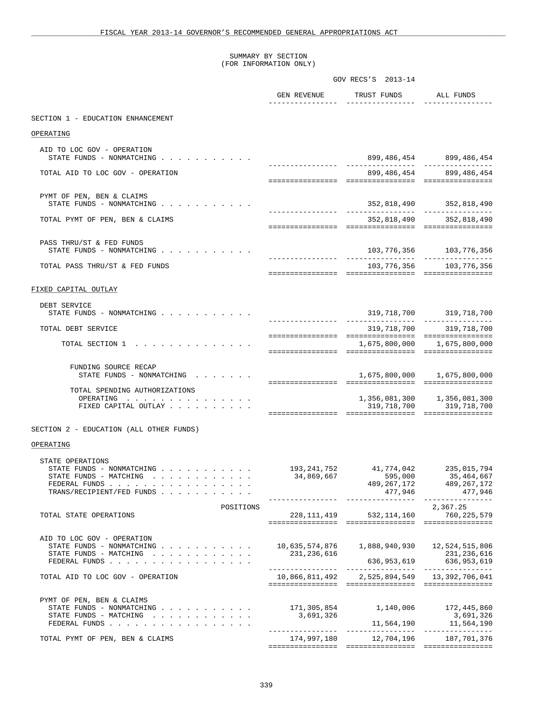SUMMARY BY SECTION (FOR INFORMATION ONLY)

|                                                                                                                       |                                                    | GOV RECS'S 2013-14                              |                                                                         |
|-----------------------------------------------------------------------------------------------------------------------|----------------------------------------------------|-------------------------------------------------|-------------------------------------------------------------------------|
|                                                                                                                       | GEN REVENUE                                        | TRUST FUNDS                                     | ALL FUNDS                                                               |
| SECTION 1 - EDUCATION ENHANCEMENT                                                                                     |                                                    |                                                 |                                                                         |
| OPERATING                                                                                                             |                                                    |                                                 |                                                                         |
| AID TO LOC GOV - OPERATION<br>STATE FUNDS - NONMATCHING                                                               |                                                    |                                                 | 899, 486, 454 899, 486, 454                                             |
| TOTAL AID TO LOC GOV - OPERATION                                                                                      |                                                    |                                                 | 899,486,454 899,486,454                                                 |
| PYMT OF PEN, BEN & CLAIMS                                                                                             |                                                    |                                                 |                                                                         |
| STATE FUNDS - NONMATCHING                                                                                             |                                                    | _________________                               | 352,818,490 352,818,490<br>----------------                             |
| TOTAL PYMT OF PEN, BEN & CLAIMS                                                                                       |                                                    |                                                 | 352,818,490 352,818,490                                                 |
| PASS THRU/ST & FED FUNDS<br>STATE FUNDS - NONMATCHING                                                                 |                                                    |                                                 | 103, 776, 356 103, 776, 356                                             |
| TOTAL PASS THRU/ST & FED FUNDS                                                                                        |                                                    |                                                 | 103, 776, 356 103, 776, 356                                             |
|                                                                                                                       |                                                    |                                                 |                                                                         |
| FIXED CAPITAL OUTLAY                                                                                                  |                                                    |                                                 |                                                                         |
| DEBT SERVICE<br>STATE FUNDS - NONMATCHING                                                                             |                                                    |                                                 | 319, 718, 700 319, 718, 700                                             |
| TOTAL DEBT SERVICE                                                                                                    |                                                    | ----------------- -----------------             | 319,718,700 319,718,700                                                 |
| TOTAL SECTION 1                                                                                                       |                                                    |                                                 | 1,675,800,000 1,675,800,000                                             |
|                                                                                                                       |                                                    |                                                 |                                                                         |
| FUNDING SOURCE RECAP<br>STATE FUNDS - NONMATCHING                                                                     |                                                    |                                                 | 1,675,800,000 1,675,800,000                                             |
| TOTAL SPENDING AUTHORIZATIONS<br>OPERATING<br>FIXED CAPITAL OUTLAY                                                    |                                                    | 319,718,700                                     | 1,356,081,300 1,356,081,300<br>319,718,700                              |
| SECTION 2 - EDUCATION (ALL OTHER FUNDS)                                                                               |                                                    |                                                 |                                                                         |
| OPERATING                                                                                                             |                                                    |                                                 |                                                                         |
| STATE OPERATIONS<br>STATE FUNDS - NONMATCHING<br>STATE FUNDS - MATCHING<br>FEDERAL FUNDS<br>TRANS/RECIPIENT/FED FUNDS | 193,241,752<br>34,869,667<br>-----------           | 41,774,042<br>595,000<br>489,267,172<br>477,946 | 235,015,794<br>35,464,667<br>489,267,172<br>477,946<br>---------------- |
| POSITIONS<br>TOTAL STATE OPERATIONS                                                                                   |                                                    | 228, 111, 419 532, 114, 160                     | 2,367.25<br>760, 225, 579                                               |
| AID TO LOC GOV - OPERATION<br>STATE FUNDS - NONMATCHING<br>STATE FUNDS - MATCHING<br>FEDERAL FUNDS                    | 10,635,574,876<br>231,236,616<br>_________________ | 1,888,940,930<br>636,953,619                    | 12,524,515,806<br>231, 236, 616<br>636, 953, 619                        |
| TOTAL AID TO LOC GOV - OPERATION                                                                                      | 10,866,811,492                                     |                                                 |                                                                         |
| PYMT OF PEN, BEN & CLAIMS<br>STATE FUNDS - NONMATCHING<br>STATE FUNDS - MATCHING<br>FEDERAL FUNDS                     | 171,305,854<br>3,691,326                           | 1,140,006<br>11,564,190                         | 172,445,860<br>3,691,326<br>11,564,190                                  |
| TOTAL PYMT OF PEN, BEN & CLAIMS                                                                                       |                                                    | 174,997,180 12,704,196                          | 187,701,376                                                             |
|                                                                                                                       |                                                    |                                                 |                                                                         |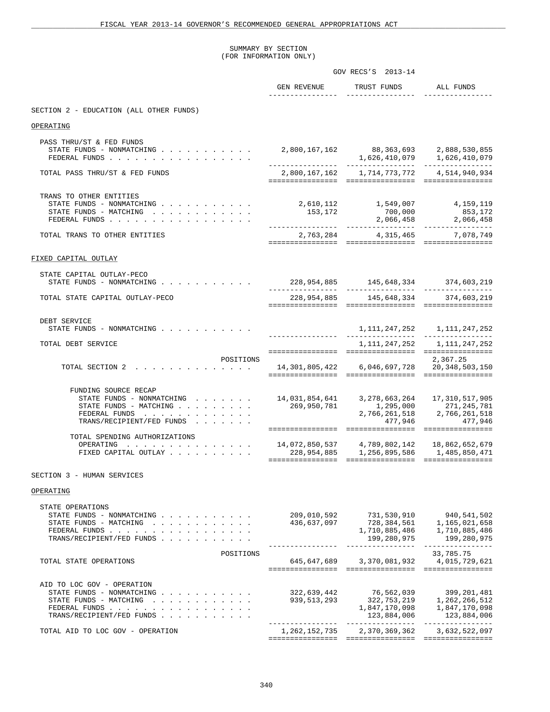#### SUMMARY BY SECTION (FOR INFORMATION ONLY)

|                                                                                                                                                                                            | GOV RECS'S 2013-14                     |                                                                                      |                                                                                  |
|--------------------------------------------------------------------------------------------------------------------------------------------------------------------------------------------|----------------------------------------|--------------------------------------------------------------------------------------|----------------------------------------------------------------------------------|
|                                                                                                                                                                                            | GEN REVENUE                            | TRUST FUNDS                                                                          | ALL FUNDS                                                                        |
| SECTION 2 - EDUCATION (ALL OTHER FUNDS)                                                                                                                                                    |                                        |                                                                                      |                                                                                  |
| OPERATING                                                                                                                                                                                  |                                        |                                                                                      |                                                                                  |
| PASS THRU/ST & FED FUNDS<br>STATE FUNDS - NONMATCHING<br>FEDERAL FUNDS                                                                                                                     | 2,800,167,162 88,363,693 2,888,530,855 |                                                                                      | $1,626,410,079$ $1,626,410,079$                                                  |
| TOTAL PASS THRU/ST & FED FUNDS                                                                                                                                                             |                                        | 2,800,167,162 1,714,773,772 4,514,940,934                                            |                                                                                  |
| TRANS TO OTHER ENTITIES<br>STATE FUNDS - NONMATCHING<br>STATE FUNDS - MATCHING<br>FEDERAL FUNDS<br>$\mathbf{r}$ , $\mathbf{r}$ , $\mathbf{r}$ , $\mathbf{r}$ , $\mathbf{r}$ , $\mathbf{r}$ | 153,172                                | 2,610,112 1,549,007 4,159,119<br>700,000                                             | 853,172<br>2,066,458 2,066,458                                                   |
| TOTAL TRANS TO OTHER ENTITIES                                                                                                                                                              |                                        | 2,763,284 4,315,465 7,078,749                                                        |                                                                                  |
| FIXED CAPITAL OUTLAY                                                                                                                                                                       |                                        |                                                                                      |                                                                                  |
| STATE CAPITAL OUTLAY-PECO<br>STATE FUNDS - NONMATCHING $\cdot \cdot \cdot \cdot \cdot \cdot \cdot \cdot \cdot$                                                                             | _________________                      | 228,954,885 145,648,334 374,603,219                                                  | ----------------                                                                 |
| TOTAL STATE CAPITAL OUTLAY-PECO                                                                                                                                                            |                                        | 228,954,885 145,648,334 374,603,219                                                  |                                                                                  |
| DEBT SERVICE<br>STATE FUNDS - NONMATCHING<br>TOTAL DEBT SERVICE                                                                                                                            |                                        | 1, 111, 247, 252                                                                     | 1, 111, 247, 252 1, 111, 247, 252<br>1,111,247,252                               |
| POSITIONS<br>TOTAL SECTION 2                                                                                                                                                               | 14,301,805,422   6,046,697,728         |                                                                                      | 2,367.25<br>20, 348, 503, 150                                                    |
| FUNDING SOURCE RECAP<br>STATE FUNDS - NONMATCHING<br>STATE FUNDS - MATCHING<br>FEDERAL FUNDS<br>TRANS/RECIPIENT/FED FUNDS                                                                  | 269,950,781                            | 1,295,000<br>477,946                                                                 | 271,245,781<br>2,766,261,518 2,766,261,518<br>477,946                            |
| TOTAL SPENDING AUTHORIZATIONS<br>OPERATING<br>FIXED CAPITAL OUTLAY                                                                                                                         |                                        |                                                                                      |                                                                                  |
| SECTION 3 - HUMAN SERVICES                                                                                                                                                                 |                                        |                                                                                      |                                                                                  |
| OPERATING                                                                                                                                                                                  |                                        |                                                                                      |                                                                                  |
| STATE OPERATIONS<br>STATE FUNDS - NONMATCHING<br>STATE FUNDS - MATCHING<br>FEDERAL FUNDS<br>TRANS/RECIPIENT/FED FUNDS                                                                      | 209,010,592<br>436,637,097             | $731, 334, 561$<br>728, 384, 561<br>1,710,885,486<br>199,280,975<br>---------------- | 940,541,502<br>1,165,021,658<br>1,710,885,486<br>199,280,975<br>---------------- |
| POSITIONS<br>TOTAL STATE OPERATIONS                                                                                                                                                        |                                        | 645,647,689 3,370,081,932                                                            | 33,785.75<br>4,015,729,621                                                       |
| AID TO LOC GOV - OPERATION<br>STATE FUNDS - NONMATCHING<br>STATE FUNDS - MATCHING<br>FEDERAL FUNDS<br>TRANS/RECIPIENT/FED FUNDS                                                            | 322,639,442<br>939,513,293             | 76,562,039<br>322,753,219<br>1,847,170,098<br>123,884,006                            | 399, 201, 481<br>1,262,266,512<br>1,847,170,098<br>123,884,006                   |
| TOTAL AID TO LOC GOV - OPERATION                                                                                                                                                           | ---------------<br>1,262,152,735       | 2,370,369,362                                                                        | 3,632,522,097                                                                    |
|                                                                                                                                                                                            |                                        |                                                                                      |                                                                                  |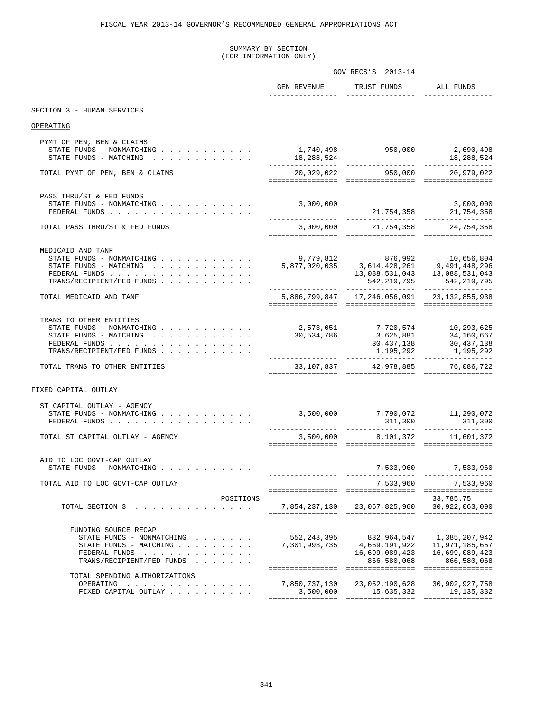#### SUMMARY BY SECTION (FOR INFORMATION ONLY)

|                                                                                                                              | GOV RECS'S 2013-14                                                                                                                                                                                                          |                                                               |                                                                  |
|------------------------------------------------------------------------------------------------------------------------------|-----------------------------------------------------------------------------------------------------------------------------------------------------------------------------------------------------------------------------|---------------------------------------------------------------|------------------------------------------------------------------|
|                                                                                                                              | GEN REVENUE                                                                                                                                                                                                                 | TRUST FUNDS ALL FUNDS<br>________________                     |                                                                  |
| SECTION 3 - HUMAN SERVICES                                                                                                   |                                                                                                                                                                                                                             |                                                               |                                                                  |
| OPERATING                                                                                                                    |                                                                                                                                                                                                                             |                                                               |                                                                  |
| PYMT OF PEN, BEN & CLAIMS<br>STATE FUNDS - NONMATCHING $\cdot$<br>STATE FUNDS - MATCHING                                     | 1,740,498 950,000 2,690,498                                                                                                                                                                                                 |                                                               |                                                                  |
| TOTAL PYMT OF PEN, BEN & CLAIMS                                                                                              |                                                                                                                                                                                                                             | 20,029,022 950,000 20,979,022                                 |                                                                  |
| PASS THRU/ST & FED FUNDS<br>STATE FUNDS - NONMATCHING<br>FEDERAL FUNDS                                                       | 3,000,000                                                                                                                                                                                                                   |                                                               | 3,000,000                                                        |
| TOTAL PASS THRU/ST & FED FUNDS                                                                                               |                                                                                                                                                                                                                             | 3,000,000 21,754,358 24,754,358                               |                                                                  |
| MEDICAID AND TANF<br>STATE FUNDS - MATCHING<br>FEDERAL FUNDS<br>TRANS/RECIPIENT/FED FUNDS                                    | 476,656,804 10,656,804 876,992<br>5,877,020,035 3,614,428,261 9,491,448,296<br>13,088,531,043 13,088,531,043                                                                                                                |                                                               | 542, 219, 795 542, 219, 795                                      |
| TOTAL MEDICAID AND TANF                                                                                                      |                                                                                                                                                                                                                             | 5,886,799,847    17,246,056,091    23,132,855,938             |                                                                  |
| TRANS TO OTHER ENTITIES<br>STATE FUNDS - NONMATCHING<br>STATE FUNDS - MATCHING<br>FEDERAL FUNDS<br>TRANS/RECIPIENT/FED FUNDS | $\begin{array}{cccc} 2,573\,, 051 & 7,720\,, 574 & 10\,, 293\,, 625\, \\ 30\,, 534\,, 786 & 3\,, 625\,, 881 & 34\,, 160\,, 667\, \\ 30\,, 437\,, 138 & 30\,, 437\,, 138\, \\ 1\,, 195\,, 292 & 1\,, 195\,, 292 \end{array}$ |                                                               |                                                                  |
| TOTAL TRANS TO OTHER ENTITIES                                                                                                |                                                                                                                                                                                                                             | 33,107,837 42,978,885 76,086,722                              |                                                                  |
| FIXED CAPITAL OUTLAY                                                                                                         |                                                                                                                                                                                                                             |                                                               |                                                                  |
| ST CAPITAL OUTLAY - AGENCY<br>STATE FUNDS - NONMATCHING<br>FEDERAL FUNDS                                                     | 3,500,000 7,790,072 11,290,072                                                                                                                                                                                              | $311,300$ $311,300$                                           |                                                                  |
| TOTAL ST CAPITAL OUTLAY - AGENCY                                                                                             |                                                                                                                                                                                                                             | 3,500,000 8,101,372 11,601,372                                |                                                                  |
| AID TO LOC GOVT-CAP OUTLAY<br>STATE FUNDS - NONMATCHING                                                                      |                                                                                                                                                                                                                             | 7,533,960                                                     | 7,533,960                                                        |
| TOTAL AID TO LOC GOVT-CAP OUTLAY                                                                                             |                                                                                                                                                                                                                             | 7,533,960                                                     | 7,533,960                                                        |
| POSITIONS<br>TOTAL SECTION 3                                                                                                 |                                                                                                                                                                                                                             | 7,854,237,130 23,067,825,960 30,922,063,090                   | 33,785.75                                                        |
| FUNDING SOURCE RECAP<br>STATE FUNDS - NONMATCHING<br>STATE FUNDS - MATCHING<br>FEDERAL FUNDS<br>TRANS/RECIPIENT/FED FUNDS    | 552,243,395<br>7,301,993,735                                                                                                                                                                                                | 832,964,547<br>4,669,191,922<br>16,699,089,423<br>866,580,068 | 1,385,207,942<br>11,971,185,657<br>16,699,089,423<br>866,580,068 |
| TOTAL SPENDING AUTHORIZATIONS<br>OPERATING<br>FIXED CAPITAL OUTLAY                                                           | 7,850,737,130<br>3,500,000                                                                                                                                                                                                  | 23,052,190,628<br>15,635,332                                  | 30,902,927,758<br>19, 135, 332                                   |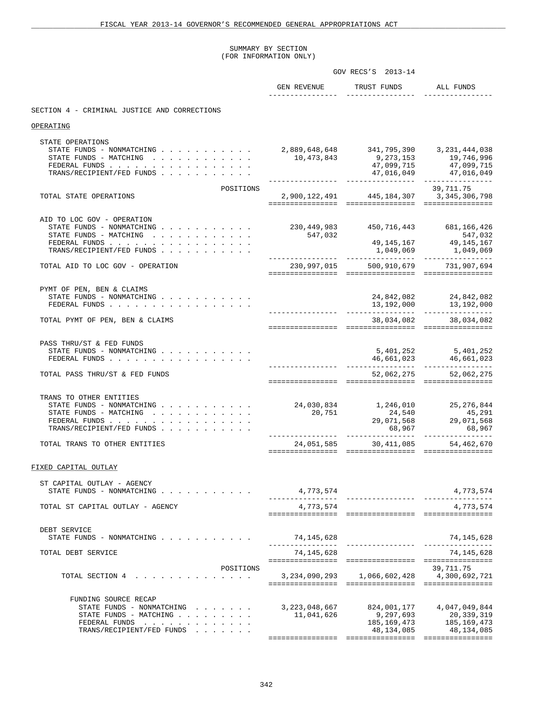# SUMMARY BY SECTION (FOR INFORMATION ONLY)

|                                                                                                                                                                     | GOV RECS'S 2013-14             |                                                         |                                                                             |
|---------------------------------------------------------------------------------------------------------------------------------------------------------------------|--------------------------------|---------------------------------------------------------|-----------------------------------------------------------------------------|
|                                                                                                                                                                     | GEN REVENUE                    | TRUST FUNDS ALL FUNDS<br>________________               |                                                                             |
| SECTION 4 - CRIMINAL JUSTICE AND CORRECTIONS                                                                                                                        |                                |                                                         |                                                                             |
| OPERATING                                                                                                                                                           |                                |                                                         |                                                                             |
| STATE OPERATIONS<br>STATE FUNDS - NONMATCHING 2,889,648,648 341,795,390 3,231,444,038<br>STATE FUNDS - MATCHING<br>FEDERAL FUNDS<br>TRANS/RECIPIENT/FED FUNDS       | 10,473,843                     | 9,273,153                                               | 19,746,996<br>47,099,715 47,099,715                                         |
| POSITIONS<br>TOTAL STATE OPERATIONS                                                                                                                                 |                                | 2,900,122,491 445,184,307 3,345,306,798                 | 39,711.75                                                                   |
| AID TO LOC GOV - OPERATION<br>STATE FUNDS - NONMATCHING 230,449,983 450,716,443 681,166,426<br>STATE FUNDS - MATCHING<br>FEDERAL FUNDS<br>TRANS/RECIPIENT/FED FUNDS | 547,032                        |                                                         | 547,032<br>$49,145,167$ $49,145,167$<br>1,049,069 1,049,069                 |
| TOTAL AID TO LOC GOV - OPERATION                                                                                                                                    | _________________              | 230,997,015 500,910,679 731,907,694                     |                                                                             |
| PYMT OF PEN, BEN & CLAIMS<br>FEDERAL FUNDS<br>TOTAL PYMT OF PEN, BEN & CLAIMS                                                                                       |                                |                                                         | 24,842,082 24,842,082<br>$13,192,000$ $13,192,000$<br>38,034,082 38,034,082 |
| PASS THRU/ST & FED FUNDS<br>STATE FUNDS - NONMATCHING<br>FEDERAL FUNDS<br>TOTAL PASS THRU/ST & FED FUNDS                                                            |                                |                                                         | 5,401,252 5,401,252<br>52,062,275 52,062,275                                |
| TRANS TO OTHER ENTITIES<br>STATE FUNDS - NONMATCHING<br>STATE FUNDS - MATCHING<br>FEDERAL FUNDS<br>TRANS/RECIPIENT/FED FUNDS                                        | 20,751<br>_________________    | 24,030,834 1,246,010 25,276,844                         | 24,540<br>29,071,568<br>29,071,568<br>29,071,568<br>68,967 68,967           |
| TOTAL TRANS TO OTHER ENTITIES                                                                                                                                       |                                | 24, 051, 585 30, 411, 085 54, 462, 670                  |                                                                             |
| FIXED CAPITAL OUTLAY                                                                                                                                                |                                |                                                         |                                                                             |
| ST CAPITAL OUTLAY - AGENCY<br>STATE FUNDS - NONMATCHING                                                                                                             | 4,773,574                      | _________________                                       | 4,773,574                                                                   |
| TOTAL ST CAPITAL OUTLAY - AGENCY                                                                                                                                    | 4,773,574                      |                                                         | 4,773,574                                                                   |
| DEBT SERVICE<br>STATE FUNDS - NONMATCHING $\cdot$ , , , , , , , , , , ,                                                                                             | 74,145,628                     |                                                         | 74,145,628<br>_________________                                             |
| TOTAL DEBT SERVICE                                                                                                                                                  | 74,145,628                     |                                                         | 74, 145, 628                                                                |
| POSITIONS<br>TOTAL SECTION 4                                                                                                                                        |                                | 3, 234, 090, 293 1, 066, 602, 428                       | 39, 711.75<br>4,300,692,721                                                 |
| FUNDING SOURCE RECAP<br>STATE FUNDS - NONMATCHING<br>STATE FUNDS - MATCHING<br>FEDERAL FUNDS<br>TRANS/RECIPIENT/FED FUNDS                                           | 3, 223, 048, 667<br>11,041,626 | 824,001,177<br>9,297,693<br>185,169,473<br>48, 134, 085 | 4,047,049,844<br>20,339,319<br>185,169,473<br>48,134,085                    |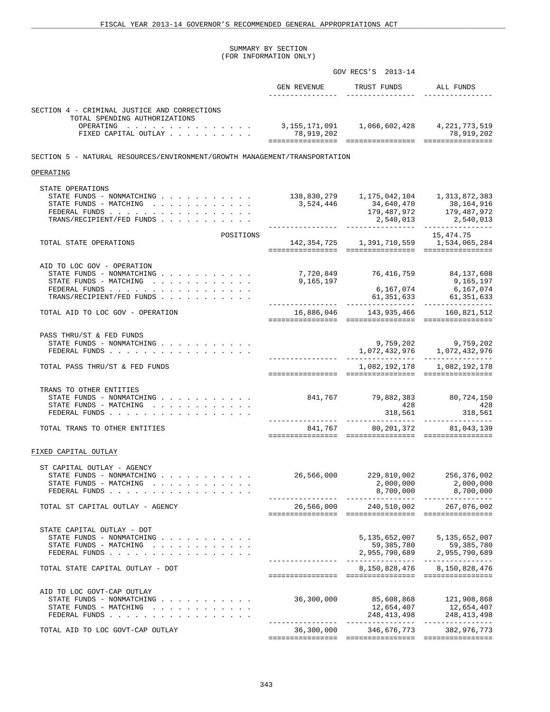#### SUMMARY BY SECTION (FOR INFORMATION ONLY)

|                                                                                                                                                                              |                                                      | GOV RECS'S 2013-14                              |                                                                                                                                           |
|------------------------------------------------------------------------------------------------------------------------------------------------------------------------------|------------------------------------------------------|-------------------------------------------------|-------------------------------------------------------------------------------------------------------------------------------------------|
|                                                                                                                                                                              | GEN REVENUE                                          | TRUST FUNDS ALL FUNDS                           |                                                                                                                                           |
| SECTION 4 - CRIMINAL JUSTICE AND CORRECTIONS                                                                                                                                 |                                                      |                                                 |                                                                                                                                           |
| TOTAL SPENDING AUTHORIZATIONS<br>OPERATING 3, 155, 171, 091 1, 066, 602, 428 4, 221, 773, 519<br>FIXED CAPITAL OUTLAY                                                        | 78,919,202                                           |                                                 | 78,919,202                                                                                                                                |
| SECTION 5 - NATURAL RESOURCES/ENVIRONMENT/GROWTH MANAGEMENT/TRANSPORTATION                                                                                                   |                                                      |                                                 |                                                                                                                                           |
| OPERATING                                                                                                                                                                    |                                                      |                                                 |                                                                                                                                           |
| STATE OPERATIONS<br>STATE FUNDS - NONMATCHING<br>STATE FUNDS - MATCHING $\cdot$<br>FEDERAL FUNDS<br>TRANS/RECIPIENT/FED FUNDS                                                | 138,830,279 1,175,042,104 1,313,872,383<br>3,524,446 | 34,640,470<br>2,540,013                         | 38,164,916<br>179, 487, 972 179, 487, 972<br>2,540,013                                                                                    |
| POSITIONS<br>TOTAL STATE OPERATIONS                                                                                                                                          |                                                      | 142, 354, 725 1, 391, 710, 559 1, 534, 065, 284 | 15,474.75                                                                                                                                 |
| AID TO LOC GOV - OPERATION<br>STATE FUNDS - NONMATCHING<br>STATE FUNDS - MATCHING<br>FEDERAL FUNDS $\cdots$ $\cdots$ $\cdots$ $\cdots$ $\cdots$<br>TRANS/RECIPIENT/FED FUNDS | 7,720,849 76,416,759 84,137,608<br>9,165,197         | 6,167,074                                       | 9,165,197<br>6,167,074<br>$61,351,633$ $61,351,633$                                                                                       |
| TOTAL AID TO LOC GOV - OPERATION                                                                                                                                             |                                                      |                                                 |                                                                                                                                           |
| PASS THRU/ST & FED FUNDS<br>STATE FUNDS - NONMATCHING $\cdot$ , , , , , , , , , , ,<br>FEDERAL FUNDS                                                                         |                                                      |                                                 | 9,759,202 9,759,202                                                                                                                       |
| TOTAL PASS THRU/ST & FED FUNDS                                                                                                                                               |                                                      |                                                 | 1,082,192,178 1,082,192,178                                                                                                               |
| TRANS TO OTHER ENTITIES<br>STATE FUNDS - NONMATCHING<br>STATE FUNDS - MATCHING $\cdot \cdot \cdot \cdot \cdot \cdot \cdot \cdot \cdot \cdot$<br>FEDERAL FUNDS                |                                                      | 841,767 79,882,383 80,724,150                   | $\begin{array}{cccc}\n & 428 & & 428 \\  & 318,561 & & 318,561\n\end{array}$                                                              |
| TOTAL TRANS TO OTHER ENTITIES                                                                                                                                                |                                                      | 841,767 80,201,372 81,043,139                   |                                                                                                                                           |
| FIXED CAPITAL OUTLAY                                                                                                                                                         |                                                      |                                                 |                                                                                                                                           |
| ST CAPITAL OUTLAY - AGENCY<br>STATE FUNDS - NONMATCHING<br>STATE FUNDS - MATCHING<br>FEDERAL FUNDS                                                                           |                                                      | 26,566,000 229,810,002<br>2,000,000             | 256, 376, 002<br>2,000,000                                                                                                                |
| TOTAL ST CAPITAL OUTLAY - AGENCY                                                                                                                                             |                                                      | 26,566,000 240,510,002 267,076,002              |                                                                                                                                           |
| STATE CAPITAL OUTLAY - DOT<br>STATE FUNDS - NONMATCHING<br>STATE FUNDS - MATCHING<br>FEDERAL FUNDS<br>TOTAL STATE CAPITAL OUTLAY - DOT                                       |                                                      |                                                 | 5, 135, 652, 007 5, 135, 652, 007<br>$59,385,780$<br>2,955,790,689<br>2,955,790,689<br>2,955,790,689<br>8, 150, 828, 476 8, 150, 828, 476 |
| AID TO LOC GOVT-CAP OUTLAY<br>STATE FUNDS - NONMATCHING<br>STATE FUNDS - MATCHING<br>FEDERAL FUNDS                                                                           | 36,300,000                                           | 85,608,868<br>12,654,407                        | 121,908,868<br>12,654,407<br>$248, 413, 498$ 248, 413, 498                                                                                |
| TOTAL AID TO LOC GOVT-CAP OUTLAY                                                                                                                                             |                                                      | 36,300,000 346,676,773 382,976,773              |                                                                                                                                           |
|                                                                                                                                                                              |                                                      |                                                 |                                                                                                                                           |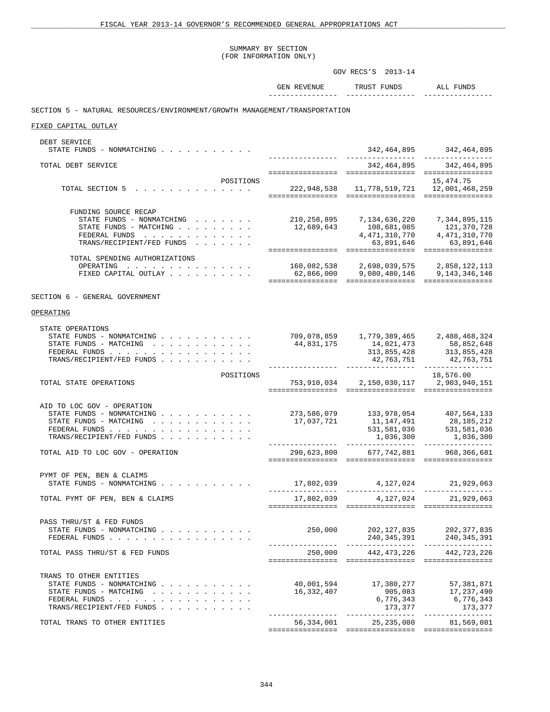# SUMMARY BY SECTION

|                                                                                                                                                                                                                             | (FOR INFORMATION ONLY)                            |                                                  |                                                                                               |
|-----------------------------------------------------------------------------------------------------------------------------------------------------------------------------------------------------------------------------|---------------------------------------------------|--------------------------------------------------|-----------------------------------------------------------------------------------------------|
|                                                                                                                                                                                                                             |                                                   | GOV RECS'S 2013-14                               |                                                                                               |
|                                                                                                                                                                                                                             | <b>GEN REVENUE</b>                                | TRUST FUNDS                                      | ALL FUNDS                                                                                     |
| SECTION 5 - NATURAL RESOURCES/ENVIRONMENT/GROWTH MANAGEMENT/TRANSPORTATION                                                                                                                                                  |                                                   |                                                  |                                                                                               |
| FIXED CAPITAL OUTLAY                                                                                                                                                                                                        |                                                   |                                                  |                                                                                               |
| DEBT SERVICE<br>STATE FUNDS - NONMATCHING                                                                                                                                                                                   |                                                   |                                                  | 342, 464, 895 342, 464, 895                                                                   |
| TOTAL DEBT SERVICE                                                                                                                                                                                                          |                                                   |                                                  | ________________<br>342, 464, 895 342, 464, 895                                               |
| POSITIONS<br>TOTAL SECTION 5                                                                                                                                                                                                | 222, 948, 538 11, 778, 519, 721 12, 001, 468, 259 |                                                  | 15,474.75                                                                                     |
| FUNDING SOURCE RECAP<br>STATE FUNDS - NONMATCHING<br>STATE FUNDS - MATCHING<br>FEDERAL FUNDS<br>TRANS/RECIPIENT/FED FUNDS                                                                                                   | 12,689,643<br>================                    | 210,258,895 7,134,636,220 7,344,895,115          | 63,891,646 63,891,646                                                                         |
| TOTAL SPENDING AUTHORIZATIONS<br>OPERATING<br>FIXED CAPITAL OUTLAY                                                                                                                                                          | 160,082,538<br>62,866,000                         | 2,698,039,575<br>9,080,480,146                   | 2,858,122,113<br>9, 143, 346, 146                                                             |
| SECTION 6 - GENERAL GOVERNMENT                                                                                                                                                                                              |                                                   |                                                  |                                                                                               |
| OPERATING                                                                                                                                                                                                                   |                                                   |                                                  |                                                                                               |
| STATE OPERATIONS<br>STATE FUNDS - NONMATCHING<br>STATE FUNDS - MATCHING $\cdot \cdot \cdot \cdot \cdot \cdot \cdot \cdot \cdot \cdot$<br>FEDERAL FUNDS<br>TRANS/RECIPIENT/FED FUNDS                                         | 44,831,175                                        | 14,021,473<br>42,763,751                         | 58,852,648<br>313,855,428 313,855,428<br>42,763,751                                           |
| POSITIONS<br>TOTAL STATE OPERATIONS                                                                                                                                                                                         |                                                   | 753,910,034 2,150,030,117 2,903,940,151          | 18,576.00                                                                                     |
| AID TO LOC GOV - OPERATION<br>STATE FUNDS - NONMATCHING $\cdot$ , , , , , , , , , , ,<br>STATE FUNDS - MATCHING $\cdot \cdot \cdot \cdot \cdot \cdot \cdot \cdot \cdot \cdot$<br>FEDERAL FUNDS<br>TRANS/RECIPIENT/FED FUNDS | 273,586,079<br>17,037,721                         | 11,147,491<br>531, 581, 036<br>_________________ | 133,978,054 407,564,133<br>$28,185,212$<br>531 For<br>1,036,300 1,036,300<br>---------------- |
| TOTAL AID TO LOC GOV - OPERATION                                                                                                                                                                                            | 290,623,800                                       | 677,742,881                                      | 968,366,681                                                                                   |
| PYMT OF PEN, BEN & CLAIMS<br>STATE FUNDS - NONMATCHING                                                                                                                                                                      |                                                   | 17,802,039 4,127,024 21,929,063                  |                                                                                               |
| TOTAL PYMT OF PEN, BEN & CLAIMS                                                                                                                                                                                             |                                                   | 17,802,039 4,127,024                             | 21,929,063                                                                                    |
| PASS THRU/ST & FED FUNDS<br>STATE FUNDS - NONMATCHING<br>FEDERAL FUNDS                                                                                                                                                      | 250,000                                           |                                                  |                                                                                               |
| TOTAL PASS THRU/ST & FED FUNDS                                                                                                                                                                                              |                                                   | 250,000 442,473,226 442,723,226                  |                                                                                               |
| TRANS TO OTHER ENTITIES                                                                                                                                                                                                     |                                                   |                                                  |                                                                                               |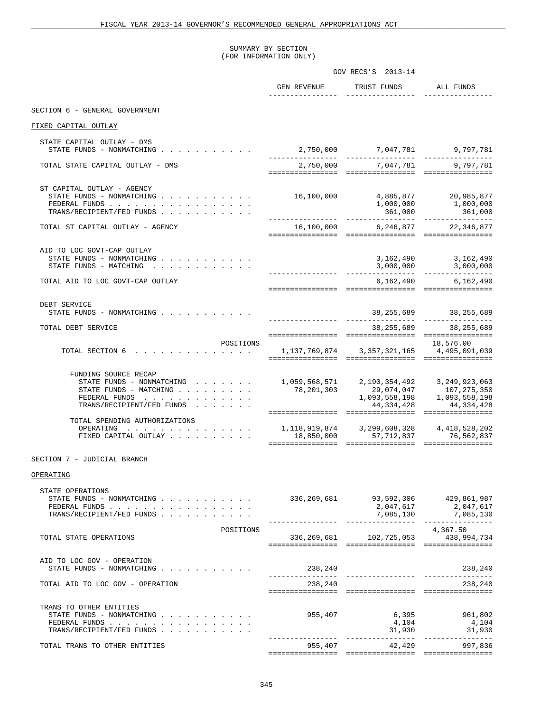#### SUMMARY BY SECTION (FOR INFORMATION ONLY)

|                                                                                                                                                                              | GOV RECS'S 2013-14 |                                                                                            |                           |
|------------------------------------------------------------------------------------------------------------------------------------------------------------------------------|--------------------|--------------------------------------------------------------------------------------------|---------------------------|
|                                                                                                                                                                              | GEN REVENUE        | TRUST FUNDS                                                                                | ALL FUNDS                 |
| SECTION 6 - GENERAL GOVERNMENT                                                                                                                                               |                    |                                                                                            |                           |
| FIXED CAPITAL OUTLAY                                                                                                                                                         |                    |                                                                                            |                           |
| STATE CAPITAL OUTLAY - DMS<br>STATE FUNDS - NONMATCHING                                                                                                                      |                    | $2,750,000$ $7,047,781$ $9,797,781$                                                        |                           |
| TOTAL STATE CAPITAL OUTLAY - DMS                                                                                                                                             |                    | 2,750,000 7,047,781 9,797,781                                                              |                           |
| ST CAPITAL OUTLAY - AGENCY<br>STATE FUNDS - NONMATCHING $\cdot$<br>FEDERAL FUNDS<br>TRANS/RECIPIENT/FED FUNDS                                                                | 16,100,000         |                                                                                            |                           |
| TOTAL ST CAPITAL OUTLAY - AGENCY                                                                                                                                             |                    | 16,100,000 6,246,877 22,346,877                                                            |                           |
| AID TO LOC GOVT-CAP OUTLAY<br>STATE FUNDS - NONMATCHING $\cdot$ , , , , , , , , , , ,<br>STATE FUNDS - MATCHING                                                              |                    |                                                                                            | 3, 162, 490 3, 162, 490   |
| TOTAL AID TO LOC GOVT-CAP OUTLAY                                                                                                                                             |                    |                                                                                            | 6, 162, 490 6, 162, 490   |
| DEBT SERVICE<br>STATE FUNDS - NONMATCHING $\cdot \cdot \cdot \cdot \cdot \cdot \cdot \cdot \cdot \cdot$                                                                      |                    |                                                                                            | 38, 255, 689 38, 255, 689 |
| TOTAL DEBT SERVICE                                                                                                                                                           |                    |                                                                                            | 38,255,689 38,255,689     |
| POSITIONS<br>TOTAL SECTION 6 1,137,769,874 3,357,321,165 4,495,091,039                                                                                                       |                    |                                                                                            | 18,576.00                 |
| FUNDING SOURCE RECAP<br>STATE FUNDS - NONMATCHING 1, 059, 568, 571 2, 190, 354, 492 3, 249, 923, 063<br>STATE FUNDS - MATCHING<br>FEDERAL FUNDS<br>TRANS/RECIPIENT/FED FUNDS |                    | 78, 201, 303 29, 074, 047 107, 275, 350<br>1, 093, 558, 198 1, 093, 558, 198<br>44,334,428 | 44,334,428                |
| TOTAL SPENDING AUTHORIZATIONS<br>OPERATING<br>FIXED CAPITAL OUTLAY                                                                                                           |                    |                                                                                            |                           |
| SECTION 7 - JUDICIAL BRANCH                                                                                                                                                  |                    |                                                                                            |                           |
| OPERATING<br>STATE OPERATIONS                                                                                                                                                |                    |                                                                                            |                           |
| TRANS/RECIPIENT/FED FUNDS                                                                                                                                                    |                    | __________________                                                                         | 7,085,130 7,085,130       |
| POSITIONS<br>TOTAL STATE OPERATIONS                                                                                                                                          |                    | 336, 269, 681 102, 725, 053 438, 994, 734                                                  | 4,367.50                  |
| AID TO LOC GOV - OPERATION<br>STATE FUNDS - NONMATCHING                                                                                                                      | 238,240            |                                                                                            | 238,240                   |
| TOTAL AID TO LOC GOV - OPERATION                                                                                                                                             | 238,240            |                                                                                            | 238,240                   |
| TRANS TO OTHER ENTITIES<br>STATE FUNDS - NONMATCHING<br>FEDERAL FUNDS<br>TRANS/RECIPIENT/FED FUNDS                                                                           |                    | 955,407 6,395 961,802<br>4,104<br>31,930                                                   | 4,104<br>31,930           |
| TOTAL TRANS TO OTHER ENTITIES                                                                                                                                                |                    | 955,407 42,429 997,836                                                                     |                           |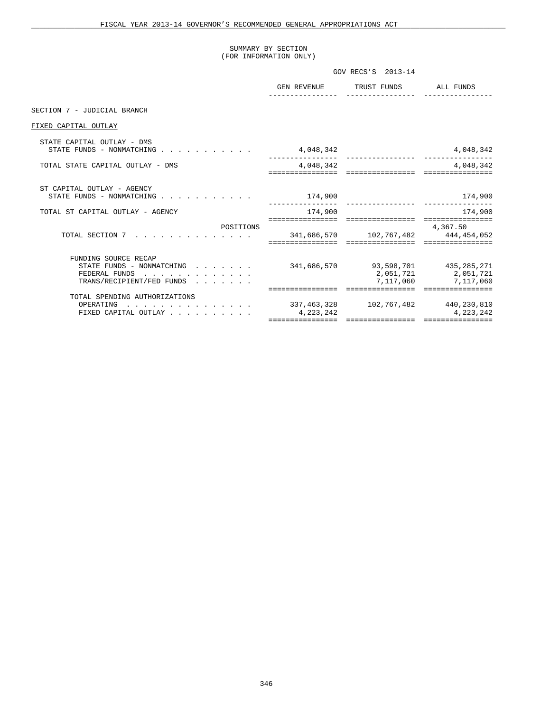# SUMMARY BY SECTION (FOR INFORMATION ONLY)

|                                                                                                                                                                                                                                                                                                                                                                                                                                                                                                          |                               | GOV RECS'S 2013-14                                                            |                                                  |
|----------------------------------------------------------------------------------------------------------------------------------------------------------------------------------------------------------------------------------------------------------------------------------------------------------------------------------------------------------------------------------------------------------------------------------------------------------------------------------------------------------|-------------------------------|-------------------------------------------------------------------------------|--------------------------------------------------|
|                                                                                                                                                                                                                                                                                                                                                                                                                                                                                                          |                               | GEN REVENUE TRUST FUNDS ALL FUNDS                                             |                                                  |
| SECTION 7 - JUDICIAL BRANCH                                                                                                                                                                                                                                                                                                                                                                                                                                                                              |                               |                                                                               |                                                  |
| FIXED CAPITAL OUTLAY                                                                                                                                                                                                                                                                                                                                                                                                                                                                                     |                               |                                                                               |                                                  |
| STATE CAPITAL OUTLAY - DMS<br>STATE FUNDS - NONMATCHING $\cdot$                                                                                                                                                                                                                                                                                                                                                                                                                                          | 4,048,342                     |                                                                               | 4,048,342                                        |
| TOTAL STATE CAPITAL OUTLAY - DMS                                                                                                                                                                                                                                                                                                                                                                                                                                                                         | 4,048,342                     |                                                                               | 4,048,342<br>=================                   |
| ST CAPITAL OUTLAY - AGENCY<br>STATE FUNDS - NONMATCHING                                                                                                                                                                                                                                                                                                                                                                                                                                                  | 174,900                       |                                                                               | 174,900                                          |
| TOTAL ST CAPITAL OUTLAY - AGENCY                                                                                                                                                                                                                                                                                                                                                                                                                                                                         | 174,900                       |                                                                               | 174,900                                          |
| POSITIONS<br>TOTAL SECTION 7<br>$\mathbf{r} = \mathbf{r} \times \mathbf{r} = \mathbf{r} \times \mathbf{r} = \mathbf{r} \times \mathbf{r} = \mathbf{r} \times \mathbf{r} = \mathbf{r} \times \mathbf{r} = \mathbf{r} \times \mathbf{r} = \mathbf{r} \times \mathbf{r} = \mathbf{r} \times \mathbf{r} = \mathbf{r} \times \mathbf{r} = \mathbf{r} \times \mathbf{r} = \mathbf{r} \times \mathbf{r} = \mathbf{r} \times \mathbf{r} = \mathbf{r} \times \mathbf{r} = \mathbf{r} \times \mathbf{r} = \mathbf$ |                               | 341,686,570 102,767,482 444,454,052<br>====================================== | ================<br>4,367.50<br>================ |
| FUNDING SOURCE RECAP<br>STATE FUNDS - NONMATCHING $\cdot \cdot \cdot \cdot \cdot$<br>FEDERAL FUNDS<br>TRANS/RECIPIENT/FED FUNDS                                                                                                                                                                                                                                                                                                                                                                          |                               | 341,686,570 93,598,701 435,285,271<br>=================                       | 2,051,721 2,051,721<br>7,117,060 7,117,060       |
| TOTAL SPENDING AUTHORIZATIONS<br>$\ldots$ 337,463,328 102,767,482 440,230,810<br>OPERATING<br>FIXED CAPITAL OUTLAY                                                                                                                                                                                                                                                                                                                                                                                       | 4,223,242<br>================ | -----------------                                                             | 4, 223, 242<br>=================                 |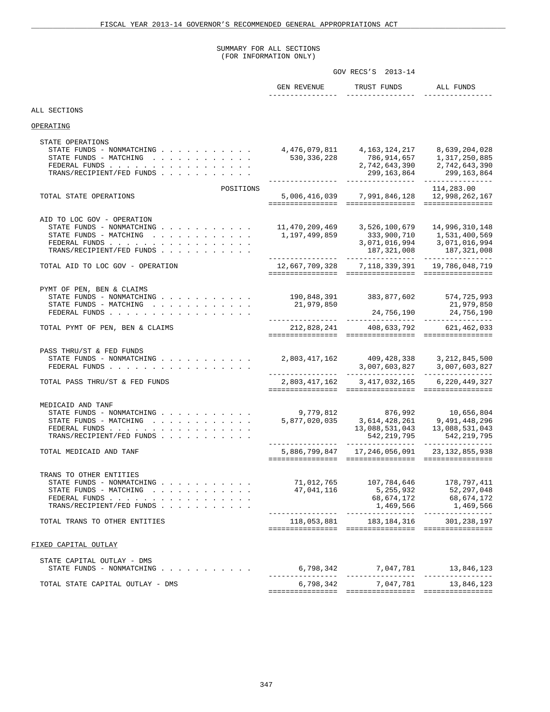# SUMMARY FOR ALL SECTIONS (FOR INFORMATION ONLY)

|                                                                                                                                                                                      | GOV RECS'S 2013-14              |                                                                                                   |                                                                                   |  |
|--------------------------------------------------------------------------------------------------------------------------------------------------------------------------------------|---------------------------------|---------------------------------------------------------------------------------------------------|-----------------------------------------------------------------------------------|--|
|                                                                                                                                                                                      | <b>GEN REVENUE</b>              | TRUST FUNDS                                                                                       | ALL FUNDS                                                                         |  |
| ALL SECTIONS                                                                                                                                                                         |                                 |                                                                                                   |                                                                                   |  |
| OPERATING                                                                                                                                                                            |                                 |                                                                                                   |                                                                                   |  |
| STATE OPERATIONS<br>STATE FUNDS - NONMATCHING $\cdot$<br>STATE FUNDS - MATCHING<br>FEDERAL FUNDS<br>TRANS/RECIPIENT/FED FUNDS                                                        | 4,476,079,811<br>530,336,228    | 4,163,124,217<br>786,914,657<br>2,742,643,390<br>299, 163, 864<br>______________                  | 8,639,204,028<br>1,317,250,885<br>2,742,643,390<br>299, 163, 864                  |  |
| POSITIONS<br>TOTAL STATE OPERATIONS                                                                                                                                                  | 5,006,416,039                   | 7,991,846,128                                                                                     | 114,283.00<br>12,998,262,167<br>================                                  |  |
| AID TO LOC GOV - OPERATION<br>STATE FUNDS - NONMATCHING<br>STATE FUNDS - MATCHING<br>FEDERAL FUNDS<br>TRANS/RECIPIENT/FED FUNDS                                                      | 11,470,209,469<br>1,197,499,859 | 3,526,100,679<br>333,900,710<br>3,071,016,994<br>187, 321, 008<br>. _ _ _ _ _ _ _ _ _ _ _ _ _ _ _ | 14,996,310,148<br>1,531,400,569<br>3,071,016,994<br>187,321,008<br>. <u>.</u>     |  |
| TOTAL AID TO LOC GOV - OPERATION                                                                                                                                                     |                                 | 12,667,709,328 7,118,339,391                                                                      | 19,786,048,719                                                                    |  |
| PYMT OF PEN, BEN & CLAIMS<br>STATE FUNDS - NONMATCHING<br>STATE FUNDS - MATCHING<br>FEDERAL FUNDS                                                                                    | 190,848,391<br>21,979,850       | 24,756,190                                                                                        | 383,877,602 574,725,993<br>21,979,850<br>24,756,190<br>---------------            |  |
| TOTAL PYMT OF PEN, BEN & CLAIMS                                                                                                                                                      | 212,828,241                     | 408,633,792                                                                                       | 621,462,033                                                                       |  |
| PASS THRU/ST & FED FUNDS<br>STATE FUNDS - NONMATCHING<br>FEDERAL FUNDS                                                                                                               | 2,803,417,162                   | 409,428,338<br>3,007,603,827<br>-----------------                                                 | 3, 212, 845, 500<br>3,007,603,827                                                 |  |
| TOTAL PASS THRU/ST & FED FUNDS                                                                                                                                                       | 2,803,417,162                   | 3,417,032,165                                                                                     | 6,220,449,327                                                                     |  |
| MEDICAID AND TANF<br>STATE FUNDS - NONMATCHING<br>STATE FUNDS - MATCHING $\cdot \cdot \cdot \cdot \cdot \cdot \cdot \cdot \cdot \cdot$<br>FEDERAL FUNDS<br>TRANS/RECIPIENT/FED FUNDS | 9,779,812<br>5,877,020,035      | 876,992<br>3,614,428,261<br>13,088,531,043<br>542, 219, 795<br>________________                   | 10,656,804<br>9,491,448,296<br>13,088,531,043<br>542, 219, 795<br>--------------- |  |
| TOTAL MEDICAID AND TANF                                                                                                                                                              |                                 | 5,886,799,847 17,246,056,091                                                                      | 23, 132, 855, 938                                                                 |  |
| TRANS TO OTHER ENTITIES<br>STATE FUNDS - NONMATCHING<br>STATE FUNDS - MATCHING<br>FEDERAL FUNDS<br>TRANS/RECIPIENT/FED FUNDS                                                         | 71,012,765<br>47,041,116        | 107,784,646<br>5,255,932<br>68,674,172<br>1,469,566                                               | 178,797,411<br>52,297,048<br>68,674,172<br>1,469,566                              |  |
| TOTAL TRANS TO OTHER ENTITIES                                                                                                                                                        |                                 | 118,053,881 183,184,316 301,238,197                                                               |                                                                                   |  |
| FIXED CAPITAL OUTLAY                                                                                                                                                                 |                                 |                                                                                                   |                                                                                   |  |
| STATE CAPITAL OUTLAY - DMS<br>STATE FUNDS - NONMATCHING                                                                                                                              |                                 |                                                                                                   | 13,846,123                                                                        |  |
| TOTAL STATE CAPITAL OUTLAY - DMS                                                                                                                                                     | 6,798,342                       | 7,047,781                                                                                         | 13,846,123                                                                        |  |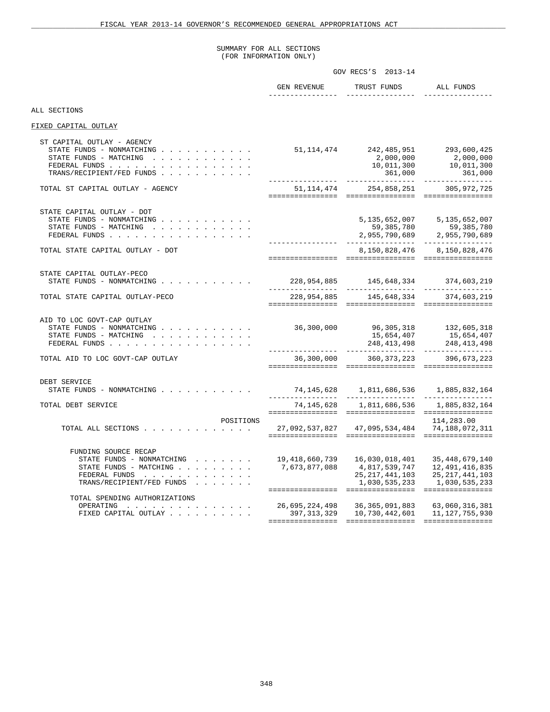#### SUMMARY FOR ALL SECTIONS (FOR INFORMATION ONLY)

|                                                                                                                                                                         | GOV RECS'S 2013-14                                |                                                                                            |                                                                                                                                                                                              |  |
|-------------------------------------------------------------------------------------------------------------------------------------------------------------------------|---------------------------------------------------|--------------------------------------------------------------------------------------------|----------------------------------------------------------------------------------------------------------------------------------------------------------------------------------------------|--|
|                                                                                                                                                                         | GEN REVENUE                                       | TRUST FUNDS                                                                                | ALL FUNDS                                                                                                                                                                                    |  |
| ALL SECTIONS                                                                                                                                                            |                                                   |                                                                                            |                                                                                                                                                                                              |  |
| FIXED CAPITAL OUTLAY                                                                                                                                                    |                                                   |                                                                                            |                                                                                                                                                                                              |  |
| ST CAPITAL OUTLAY - AGENCY<br>STATE FUNDS - NONMATCHING<br>STATE FUNDS - MATCHING<br>FEDERAL FUNDS<br>TRANS/RECIPIENT/FED FUNDS                                         | 51,114,474                                        |                                                                                            | 242,485,951 293,600,425<br>$\begin{array}{ccc} 2\, , 000\, , 000 & 2\, , 000\, , 000 \\ 10\, , 011\, , 300 & 10\, , 011\, , 300 \\ 361\, , 000 & 361\, , 000 \end{array}$<br>_______________ |  |
| TOTAL ST CAPITAL OUTLAY - AGENCY                                                                                                                                        |                                                   | 51, 114, 474 254, 858, 251 305, 972, 725                                                   |                                                                                                                                                                                              |  |
| STATE CAPITAL OUTLAY - DOT<br>STATE FUNDS - NONMATCHING<br>STATE FUNDS - MATCHING<br>FEDERAL FUNDS<br>TOTAL STATE CAPITAL OUTLAY - DOT                                  |                                                   |                                                                                            | 5, 135, 652, 007 5, 135, 652, 007<br>59, 385, 780<br>2, 955, 790, 689<br>2, 955, 790, 689<br>8,150,828,476 8,150,828,476                                                                     |  |
| STATE CAPITAL OUTLAY-PECO<br>STATE FUNDS - NONMATCHING                                                                                                                  |                                                   | 228,954,885 145,648,334 374,603,219                                                        |                                                                                                                                                                                              |  |
| TOTAL STATE CAPITAL OUTLAY-PECO                                                                                                                                         |                                                   | 228,954,885 145,648,334 374,603,219                                                        |                                                                                                                                                                                              |  |
| AID TO LOC GOVT-CAP OUTLAY<br>STATE FUNDS - NONMATCHING<br>STATE FUNDS - MATCHING<br>FEDERAL FUNDS                                                                      | 36,300,000                                        | 15,654,407<br>________________                                                             | 96, 305, 318 132, 605, 318<br>15,654,407<br>248, 413, 498 248, 413, 498<br>_________________                                                                                                 |  |
| TOTAL AID TO LOC GOVT-CAP OUTLAY                                                                                                                                        |                                                   | 36,300,000 360,373,223 396,673,223                                                         |                                                                                                                                                                                              |  |
| DEBT SERVICE<br>STATE FUNDS - NONMATCHING                                                                                                                               |                                                   | 74, 145, 628   1, 811, 686, 536   1, 885, 832, 164<br>_______________                      | ---------------                                                                                                                                                                              |  |
| TOTAL DEBT SERVICE                                                                                                                                                      | 74,145,628                                        |                                                                                            | 1,811,686,536 1,885,832,164                                                                                                                                                                  |  |
| POSITIONS<br>TOTAL ALL SECTIONS                                                                                                                                         | 27,092,537,827 47,095,534,484 74,188,072,311      |                                                                                            | 114,283.00                                                                                                                                                                                   |  |
| FUNDING SOURCE RECAP<br>STATE FUNDS - NONMATCHING<br>STATE FUNDS - MATCHING<br>FEDERAL FUNDS<br>TRANS/RECIPIENT/FED FUNDS<br>TOTAL SPENDING AUTHORIZATIONS<br>OPERATING | 19,418,660,739<br>7,673,877,088<br>26,695,224,498 | 16,030,018,401<br>4,817,539,747<br>25, 217, 441, 103<br>1,030,535,233<br>36, 365, 091, 883 | 35,448,679,140<br>12,491,416,835<br>25, 217, 441, 103<br>1,030,535,233<br>63,060,316,381                                                                                                     |  |
| FIXED CAPITAL OUTLAY                                                                                                                                                    | 397,313,329                                       | 10,730,442,601                                                                             | 11, 127, 755, 930                                                                                                                                                                            |  |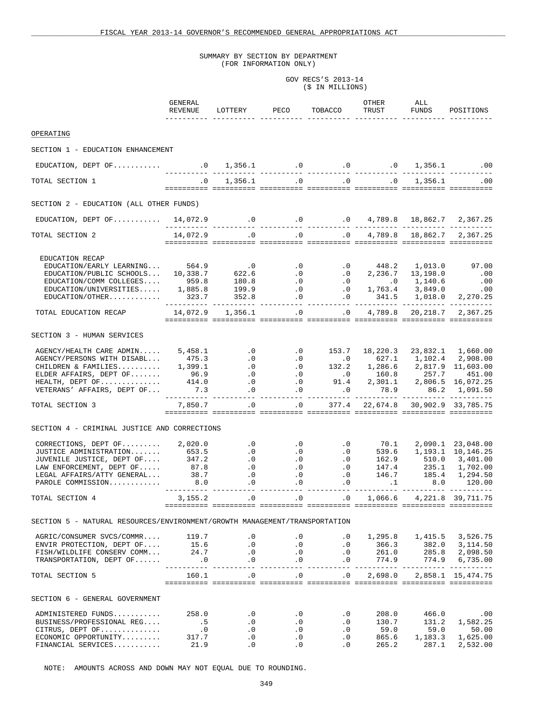# GOV RECS'S 2013-14 (\$ IN MILLIONS)

|                                                                                                                                                                                                                                                                                   | GENERAL<br>REVENUE |                                                                                      | LOTTERY PECO                                                                         | TOBACCO                     | OTHER<br>TRUST                                                                                                                                                                                                                                                                                                                     | ALL<br>FUNDS | POSITIONS                                                                                                                                                                                                                                                      |
|-----------------------------------------------------------------------------------------------------------------------------------------------------------------------------------------------------------------------------------------------------------------------------------|--------------------|--------------------------------------------------------------------------------------|--------------------------------------------------------------------------------------|-----------------------------|------------------------------------------------------------------------------------------------------------------------------------------------------------------------------------------------------------------------------------------------------------------------------------------------------------------------------------|--------------|----------------------------------------------------------------------------------------------------------------------------------------------------------------------------------------------------------------------------------------------------------------|
| OPERATING                                                                                                                                                                                                                                                                         |                    |                                                                                      |                                                                                      |                             |                                                                                                                                                                                                                                                                                                                                    |              |                                                                                                                                                                                                                                                                |
| SECTION 1 - EDUCATION ENHANCEMENT                                                                                                                                                                                                                                                 |                    |                                                                                      |                                                                                      |                             |                                                                                                                                                                                                                                                                                                                                    |              |                                                                                                                                                                                                                                                                |
|                                                                                                                                                                                                                                                                                   |                    |                                                                                      |                                                                                      |                             |                                                                                                                                                                                                                                                                                                                                    |              |                                                                                                                                                                                                                                                                |
| TOTAL SECTION 1                                                                                                                                                                                                                                                                   | $\overline{0}$ .   |                                                                                      |                                                                                      | $1,356.1$ .0 .0 .0          |                                                                                                                                                                                                                                                                                                                                    |              | $1,356.1$ .00                                                                                                                                                                                                                                                  |
|                                                                                                                                                                                                                                                                                   |                    |                                                                                      |                                                                                      |                             |                                                                                                                                                                                                                                                                                                                                    |              |                                                                                                                                                                                                                                                                |
| SECTION 2 - EDUCATION (ALL OTHER FUNDS)                                                                                                                                                                                                                                           |                    |                                                                                      |                                                                                      |                             |                                                                                                                                                                                                                                                                                                                                    |              |                                                                                                                                                                                                                                                                |
|                                                                                                                                                                                                                                                                                   |                    |                                                                                      |                                                                                      |                             |                                                                                                                                                                                                                                                                                                                                    |              |                                                                                                                                                                                                                                                                |
| TOTAL SECTION 2                                                                                                                                                                                                                                                                   |                    |                                                                                      |                                                                                      |                             |                                                                                                                                                                                                                                                                                                                                    |              | $14,072.9$ .0 .0 .0 .0 $4,789.8$ $18,862.7$ $2,367.25$                                                                                                                                                                                                         |
| EDUCATION RECAP<br>$EDUCATION/EARLY LEARNING$ 564.9<br>EDUCATION/EARLY LEARNING 564.9 0.0 0.0 448.2 1,013.0 97.00<br>EDUCATION/PUBLIC SCHOOLS 10,338.7 622.6 0.0 0.0 2,236.7 13,198.0 0.00<br>EDUCATION/COMM COLLEGES 959.8 180.8 0.0 0.0 1,140.6 0.00<br>EDUCATION/UNIVERSITIES. |                    |                                                                                      |                                                                                      |                             |                                                                                                                                                                                                                                                                                                                                    |              |                                                                                                                                                                                                                                                                |
| TOTAL EDUCATION RECAP 14,072.9 1,356.1 .0 0 0 4,789.8 20,218.7 2,367.25                                                                                                                                                                                                           |                    |                                                                                      |                                                                                      |                             |                                                                                                                                                                                                                                                                                                                                    |              |                                                                                                                                                                                                                                                                |
| SECTION 3 - HUMAN SERVICES<br>AGENCY/HEALTH CARE ADMIN 5,458.1 0 0.0 153.7 18,220.3 23,832.1 1,660.00<br>AGENCY/PERSONS WITH DISABL 475.3 0 0.0 0627.1 1,102.4 2,908.00<br>CHILDREN & FAMILIES 1,399.1 0 0.0 132.2 1,286.6 2,817.9 11,603.00<br>EL                                |                    |                                                                                      |                                                                                      |                             |                                                                                                                                                                                                                                                                                                                                    |              |                                                                                                                                                                                                                                                                |
|                                                                                                                                                                                                                                                                                   |                    |                                                                                      |                                                                                      |                             |                                                                                                                                                                                                                                                                                                                                    |              |                                                                                                                                                                                                                                                                |
| TOTAL SECTION 3                                                                                                                                                                                                                                                                   |                    |                                                                                      |                                                                                      |                             |                                                                                                                                                                                                                                                                                                                                    |              |                                                                                                                                                                                                                                                                |
| SECTION 4 - CRIMINAL JUSTICE AND CORRECTIONS                                                                                                                                                                                                                                      |                    |                                                                                      |                                                                                      |                             |                                                                                                                                                                                                                                                                                                                                    |              |                                                                                                                                                                                                                                                                |
| CORRECTIONS, DEPT OF 2,020.0 0<br>JUSTICE ADMINISTRATION 653.5 0<br>JUVENILE JUSTICE, DEPT OF 347.2 0<br>LAW ENFORCEMENT, DEPT OF 87.8 0<br>LEGAL AFFAIRS/ATTY GENERAL 38.7 0<br>CLEGAL AFFAIRS/ATTY GENERAL.<br>PAROLE COMMISSION                                                | 8.0                | $\cdot$ 0                                                                            | $\cdot$ 0                                                                            |                             | $\begin{matrix} 0 & 0 \\ 0 & 0 \\ 0 & 0 \\ 0 & 0 \\ 0 & 0 \\ 0 & 0 \\ 0 & 0 \\ 0 & 0 \\ 0 & 0 \\ 0 & 0 & 0 \\ 0 & 0 & 0 \\ 0 & 0 & 0 \\ 0 & 0 & 0 & 0 \\ 0 & 0 & 0 & 0 \\ 0 & 0 & 0 & 0 & 0 \\ 0 & 0 & 0 & 0 & 0 \\ 0 & 0 & 0 & 0 & 0 & 0 \\ 0 & 0 & 0 & 0 & 0 & 0 \\ 0 & 0 & 0 & 0 & 0 & 0 \\ 0 & 0 & 0 & 0 & 0 & 0 & 0 \\ 0 & 0$ |              | 8.0 120.00                                                                                                                                                                                                                                                     |
| TOTAL SECTION 4                                                                                                                                                                                                                                                                   | 3, 155.2           | $\overline{0}$                                                                       | $\overline{0}$                                                                       |                             | $.0 \qquad 1,066.6 \qquad 4,221.8$                                                                                                                                                                                                                                                                                                 |              | 39,711.75                                                                                                                                                                                                                                                      |
| SECTION 5 - NATURAL RESOURCES/ENVIRONMENT/GROWTH MANAGEMENT/TRANSPORTATION                                                                                                                                                                                                        |                    |                                                                                      |                                                                                      |                             |                                                                                                                                                                                                                                                                                                                                    |              |                                                                                                                                                                                                                                                                |
| 4GRIC/CONSUMER SVCS/COMMR 119.7 0 0 0 0 1,295.8 1,415.5 3,526.75<br>ENVIR PROTECTION, DEPT OF 15.6 0 0 0 0 366.3 382.0 3,114.50<br>FISH/WILDLIFE CONSERV COMM 24.7 0 0 0 0 261.0 285.8 2,098.50<br>TRANSPORTATION, DEPT O                                                         |                    |                                                                                      |                                                                                      |                             |                                                                                                                                                                                                                                                                                                                                    |              |                                                                                                                                                                                                                                                                |
| TOTAL SECTION 5                                                                                                                                                                                                                                                                   |                    |                                                                                      |                                                                                      |                             |                                                                                                                                                                                                                                                                                                                                    |              | $160.1 \qquad \qquad .0 \qquad \qquad .0 \qquad \qquad .0 \qquad \qquad .0 \qquad \qquad 2 \, ,698 \, .0 \qquad \qquad 2 \, ,858 \, .1 \quad \  15 \, ,474 \, .75$                                                                                             |
| SECTION 6 - GENERAL GOVERNMENT                                                                                                                                                                                                                                                    |                    |                                                                                      |                                                                                      |                             |                                                                                                                                                                                                                                                                                                                                    |              |                                                                                                                                                                                                                                                                |
| ADMINISTERED FUNDS<br>BUSINESS/PROFESSIONAL REG<br>CITRUS, DEPT OF<br>ECONOMIC OPPORTUNITY<br>FINANCIAL SERVICES                                                                                                                                                                  |                    | $\overline{\phantom{a}}$ .0<br>$\cdot$ 0<br>$\overline{\phantom{0}}$ .<br>$21.9$ . 0 | $\cdot$ 0<br>$\begin{array}{c} . & 0 \\ . & 0 \end{array}$<br>$\cdot$ 0<br>$\cdot$ 0 | $\ddot{\cdot}$<br>$\cdot$ 0 |                                                                                                                                                                                                                                                                                                                                    |              | $\begin{array}{cccc} 208.0 & \quad & 466.0 & \quad & .00 \\ 130.7 & \quad & 131.2 & \quad 1,582.25 \end{array}$<br>$\begin{array}{cccccc} .0 & & & 59.0 & & & 59.0 & & & 50.00 \\ .0 & & & 865.6 & & 1,183.3 & & 1,625.00 \end{array}$<br>265.2 287.1 2,532.00 |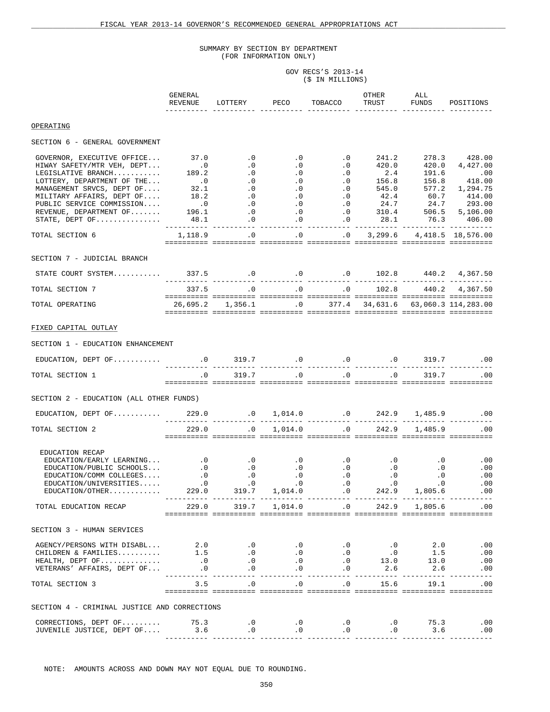GOV RECS'S 2013-14 (\$ IN MILLIONS)

|                                                                                                                                                                                                                                                           | GENERAL<br>REVENUE                                                                                                                                                                                                                                                                                                          | LOTTERY PECO                                            | TOBACCO                                                    | OTHER<br>TRUST                                | ALL<br>FUNDS | POSITIONS                                |
|-----------------------------------------------------------------------------------------------------------------------------------------------------------------------------------------------------------------------------------------------------------|-----------------------------------------------------------------------------------------------------------------------------------------------------------------------------------------------------------------------------------------------------------------------------------------------------------------------------|---------------------------------------------------------|------------------------------------------------------------|-----------------------------------------------|--------------|------------------------------------------|
| OPERATING                                                                                                                                                                                                                                                 |                                                                                                                                                                                                                                                                                                                             |                                                         |                                                            |                                               |              |                                          |
| SECTION 6 - GENERAL GOVERNMENT                                                                                                                                                                                                                            |                                                                                                                                                                                                                                                                                                                             |                                                         |                                                            |                                               |              |                                          |
| GOVERNOR, EXECUTIVE OFFICE $37.0$ .0<br>HIWAY SAFETY/MTR VEH, DEPT<br>LEGISLATIVE BRANCH<br>LOTTERY, DEPARTMENT OF THE<br>MANAGEMENT SRVCS, DEPT OF<br>MILITARY AFFAIRS, DEPT OF<br>PUBLIC SERVICE COMMISSION<br>REVENUE, DEPARTMENT OF<br>STATE, DEPT OF | $\begin{array}{cccccccc} 37.0 & .0 & .0 & .0 & 0 & 241.2 & 278.3 & 428.00 \\ .0 & .0 & .0 & .0 & .0 & 420.0 & 420.0 & 4,427.00 \\ 189.2 & .0 & .0 & .0 & .0 & 2.4 & 191.6 & .00 \\ .0 & .0 & .0 & .0 & .0 & 156.8 & 156.8 & 418.00 \\ 32.1 & .0 & .0 & .0 & .0 & 42.4 & 60.7 & 414.00 \\ .0 & .0 & .0 & .0 & .0 & 42.4 & 6$ |                                                         |                                                            |                                               |              |                                          |
| TOTAL SECTION 6                                                                                                                                                                                                                                           |                                                                                                                                                                                                                                                                                                                             | $1,118.9$ .0 .0 .0 .0 3,299.6 4,418.5 18,576.00         |                                                            |                                               |              |                                          |
| SECTION 7 - JUDICIAL BRANCH                                                                                                                                                                                                                               |                                                                                                                                                                                                                                                                                                                             |                                                         |                                                            |                                               |              |                                          |
|                                                                                                                                                                                                                                                           |                                                                                                                                                                                                                                                                                                                             |                                                         |                                                            |                                               |              |                                          |
| TOTAL SECTION 7                                                                                                                                                                                                                                           |                                                                                                                                                                                                                                                                                                                             |                                                         |                                                            |                                               |              |                                          |
| TOTAL OPERATING                                                                                                                                                                                                                                           |                                                                                                                                                                                                                                                                                                                             |                                                         |                                                            |                                               |              |                                          |
| FIXED CAPITAL OUTLAY                                                                                                                                                                                                                                      |                                                                                                                                                                                                                                                                                                                             |                                                         |                                                            |                                               |              |                                          |
| SECTION 1 - EDUCATION ENHANCEMENT                                                                                                                                                                                                                         |                                                                                                                                                                                                                                                                                                                             |                                                         |                                                            |                                               |              |                                          |
|                                                                                                                                                                                                                                                           |                                                                                                                                                                                                                                                                                                                             |                                                         |                                                            |                                               |              |                                          |
| TOTAL SECTION 1                                                                                                                                                                                                                                           |                                                                                                                                                                                                                                                                                                                             | $\begin{matrix} .0 & 319.7 & .0 & .0 & .0 \end{matrix}$ |                                                            |                                               |              | 319.7 .00                                |
| SECTION 2 - EDUCATION (ALL OTHER FUNDS)                                                                                                                                                                                                                   |                                                                                                                                                                                                                                                                                                                             |                                                         |                                                            |                                               |              |                                          |
| EDUCATION, DEPT OF 229.0 0.0 1,014.0 0.0 242.9 1,485.9 00 0.0 EDUCATION, DEPT OF 229.0 0.0 1,014.0 0.0 242.9 1,485.9 00                                                                                                                                   |                                                                                                                                                                                                                                                                                                                             |                                                         |                                                            |                                               |              |                                          |
| TOTAL SECTION 2                                                                                                                                                                                                                                           | 229.0                                                                                                                                                                                                                                                                                                                       | $0 \t 1,014.0 \t 0 \t 242.9$                            |                                                            |                                               |              | 1,485.9 .00                              |
| EDUCATION RECAP<br>EDUCATION/EARLY LEARNING<br>EDUCATION/PUBLIC SCHOOLS 0 0.0 0.0 0.0 0.0 0.0<br>EDUCATION/PUBLIC SCHOOLS 0 0.0 0.0 0.0 0.0 0.0<br>EDUCATION/COMM COLLEGES 0 0.0 0.0 0.0 0.0 0.0 0.0<br>EDUCATION/OTHER 229.0 31<br>TOTAL EDUCATION RECAP |                                                                                                                                                                                                                                                                                                                             |                                                         |                                                            |                                               |              | 229.0 319.7 1,014.0 .0 242.9 1,805.6 .00 |
|                                                                                                                                                                                                                                                           |                                                                                                                                                                                                                                                                                                                             |                                                         |                                                            |                                               |              |                                          |
| SECTION 3 - HUMAN SERVICES                                                                                                                                                                                                                                |                                                                                                                                                                                                                                                                                                                             |                                                         |                                                            |                                               |              |                                          |
|                                                                                                                                                                                                                                                           |                                                                                                                                                                                                                                                                                                                             |                                                         |                                                            |                                               |              |                                          |
| TOTAL SECTION 3                                                                                                                                                                                                                                           |                                                                                                                                                                                                                                                                                                                             | $3.5$ .0 .0 .0 .0 15.6 19.1 .00                         |                                                            |                                               |              |                                          |
| SECTION 4 - CRIMINAL JUSTICE AND CORRECTIONS                                                                                                                                                                                                              |                                                                                                                                                                                                                                                                                                                             |                                                         |                                                            |                                               |              |                                          |
| CORRECTIONS, DEPT OF.<br>JUVENILE JUSTICE, DEPT OF 3.6 0.0 0.0                                                                                                                                                                                            | 75.3                                                                                                                                                                                                                                                                                                                        | $\overline{0}$ . $\overline{0}$ . $\overline{0}$        | $\overline{\phantom{a}}$ .0<br>$\overline{\phantom{a}}$ .0 | $\overline{\phantom{a}}$ .0<br>$\overline{0}$ | 75.3         | .00<br>$3.6$ .00                         |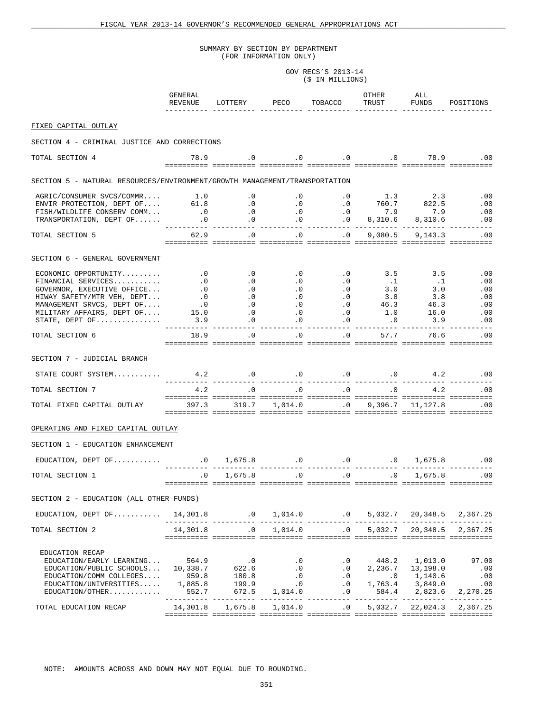# GOV RECS'S 2013-14 (\$ IN MILLIONS)

|                                                                                                                                                                                     | GENERAL                                                               |                                                                                         |                                                                                          |                                                                                    | OTHER                                                                                            | ALL                                      |                                        |
|-------------------------------------------------------------------------------------------------------------------------------------------------------------------------------------|-----------------------------------------------------------------------|-----------------------------------------------------------------------------------------|------------------------------------------------------------------------------------------|------------------------------------------------------------------------------------|--------------------------------------------------------------------------------------------------|------------------------------------------|----------------------------------------|
|                                                                                                                                                                                     | REVENUE                                                               | LOTTERY PECO                                                                            |                                                                                          | TOBACCO                                                                            | TRUST                                                                                            | FUNDS                                    | POSITIONS                              |
| FIXED CAPITAL OUTLAY                                                                                                                                                                |                                                                       |                                                                                         |                                                                                          |                                                                                    |                                                                                                  |                                          |                                        |
| SECTION 4 - CRIMINAL JUSTICE AND CORRECTIONS                                                                                                                                        |                                                                       |                                                                                         |                                                                                          |                                                                                    |                                                                                                  |                                          |                                        |
| TOTAL SECTION 4                                                                                                                                                                     |                                                                       | 78.9 0.0 0.0 0.0 78.9 0.0                                                               |                                                                                          |                                                                                    |                                                                                                  |                                          |                                        |
| SECTION 5 - NATURAL RESOURCES/ENVIRONMENT/GROWTH MANAGEMENT/TRANSPORTATION                                                                                                          |                                                                       |                                                                                         |                                                                                          |                                                                                    |                                                                                                  |                                          |                                        |
| AGRIC/CONSUMER SVCS/COMMR 1.0 .0 .0 .0 1.3 2.3<br>ENVIR PROTECTION, DEPT OF 61.8 .0 .0 .0 .0 760.7 822.5<br>FISH/WILDLIFE CONSERV COMM 0 .0 .0 .0 7.9 7.9<br>TRANSPORTATION DEPT OF |                                                                       |                                                                                         |                                                                                          |                                                                                    |                                                                                                  |                                          | .00                                    |
|                                                                                                                                                                                     |                                                                       |                                                                                         |                                                                                          |                                                                                    |                                                                                                  |                                          | .00<br>.00                             |
|                                                                                                                                                                                     |                                                                       |                                                                                         |                                                                                          |                                                                                    |                                                                                                  | 8,310.6 8,310.6                          | .00                                    |
| TOTAL SECTION 5                                                                                                                                                                     | 62.9                                                                  | $\cdot$ 0                                                                               | $\cdot$ 0                                                                                | $\overline{\phantom{a}}$ .0                                                        | ------- ---------- ----------- -                                                                 | 9,080.5 9,143.3                          | .<br>.00                               |
| SECTION 6 - GENERAL GOVERNMENT                                                                                                                                                      |                                                                       |                                                                                         |                                                                                          |                                                                                    |                                                                                                  |                                          |                                        |
| ECONOMIC OPPORTUNITY                                                                                                                                                                | $\overline{\phantom{a}}$ .0                                           | $\overline{\phantom{a}}$ .0                                                             | $\overline{\phantom{0}}$ .                                                               | $\cdot$ 0                                                                          | 3.5                                                                                              | 3.5                                      | .00                                    |
| FINANCIAL SERVICES                                                                                                                                                                  | $\cdot$ 0                                                             | $\cdot$ 0                                                                               | $\overline{0}$                                                                           | $\overline{\phantom{a}}$ .0                                                        | $\ldots$                                                                                         | $\ldots$ 1                               | .00                                    |
| GOVERNOR, EXECUTIVE OFFICE<br>HIWAY SAFETY/MTR VEH, DEPT                                                                                                                            |                                                                       |                                                                                         | $\begin{array}{c} 0 \\ 0 \end{array}$                                                    |                                                                                    | $3.0$<br>$3.8$                                                                                   | 3.0<br>3.8                               | .00<br>.00                             |
| MANAGEMENT SRVCS, DEPT OF                                                                                                                                                           |                                                                       |                                                                                         |                                                                                          |                                                                                    | 46.3                                                                                             | 46.3                                     | .00                                    |
| MILITARY AFFAIRS, DEPT OF                                                                                                                                                           |                                                                       |                                                                                         |                                                                                          |                                                                                    |                                                                                                  | $1.0$ 16.0                               | .00                                    |
| STATE, DEPT OF                                                                                                                                                                      |                                                                       |                                                                                         |                                                                                          |                                                                                    | $\cdot$ 0<br>$- - - -$                                                                           | 3.9                                      | .00<br>$- - - -$                       |
| TOTAL SECTION 6                                                                                                                                                                     | 18.9                                                                  | <u>- sisisisis sisisisisi sisisisisi sisisisisi sisisisisi sisisisisi sisisisisi</u>    | $\overline{0}$<br>.0                                                                     | .0                                                                                 | 57.7                                                                                             | 76.6                                     | .00                                    |
| SECTION 7 - JUDICIAL BRANCH                                                                                                                                                         |                                                                       |                                                                                         |                                                                                          |                                                                                    |                                                                                                  |                                          |                                        |
| STATE COURT SYSTEM 4.2 4.2 0 0 0 0 0 0 0 4.2 0 0                                                                                                                                    |                                                                       |                                                                                         |                                                                                          |                                                                                    |                                                                                                  |                                          |                                        |
| TOTAL SECTION 7                                                                                                                                                                     | 4.2                                                                   |                                                                                         |                                                                                          | $\, .0\qquad \quad \, .0\qquad \quad \, .0\qquad \quad \, .0\qquad \quad \, 4.2\,$ |                                                                                                  |                                          | .00                                    |
| TOTAL FIXED CAPITAL OUTLAY 397.3 319.7 1,014.0 0 9,396.7 11,127.8 00                                                                                                                |                                                                       | <u>tititititi tititititi titititit titititit titititit titititit titititi titititit</u> |                                                                                          |                                                                                    |                                                                                                  |                                          |                                        |
| OPERATING AND FIXED CAPITAL OUTLAY                                                                                                                                                  |                                                                       |                                                                                         |                                                                                          |                                                                                    |                                                                                                  |                                          |                                        |
| SECTION 1 - EDUCATION ENHANCEMENT                                                                                                                                                   |                                                                       |                                                                                         |                                                                                          |                                                                                    |                                                                                                  |                                          |                                        |
|                                                                                                                                                                                     |                                                                       |                                                                                         |                                                                                          |                                                                                    |                                                                                                  |                                          | 1,675.8 .00                            |
| TOTAL SECTION 1                                                                                                                                                                     | $\cdot$ 0                                                             | 1,675.8                                                                                 |                                                                                          | .0<br>$\overline{0}$                                                               | $\overline{0}$                                                                                   | 1,675.8                                  | $.00 \,$                               |
| SECTION 2 - EDUCATION (ALL OTHER FUNDS)                                                                                                                                             |                                                                       |                                                                                         |                                                                                          |                                                                                    |                                                                                                  |                                          |                                        |
| EDUCATION, DEPT OF                                                                                                                                                                  | 14,301.8                                                              | $0 \t 1,014.0 \t 0 \t 5,032.7 \t 20,348.5 \t 2,367.25$                                  |                                                                                          |                                                                                    |                                                                                                  |                                          |                                        |
| TOTAL SECTION 2                                                                                                                                                                     | 14,301.8                                                              | $0 \qquad 1,014.0 \qquad \qquad 0 \qquad 5,032.7 \qquad 20,348.5 \qquad 2,367.25$       |                                                                                          |                                                                                    |                                                                                                  |                                          |                                        |
| EDUCATION RECAP<br>EDUCATION/EARLY LEARNING<br>EDUCATION/PUBLIC SCHOOLS<br>EDUCATION/COMM COLLEGES<br>EDUCATION/UNIVERSITIES<br>EDUCATION/OTHER.                                    | 564.9<br>10,338.7<br>959.8<br>1,885.8<br>552.7<br>----------- ------- | $\cdot$ 0<br>622.6<br>180.8<br>199.9<br>672.5                                           | $\cdot$ 0<br>$\cdot$ 0<br>$\cdot$ 0<br>$\overline{\phantom{0}}$ .0<br>1,014.0<br>---- -- | $\cdot$ 0<br>$\cdot$ 0<br>$\cdot$ 0                                                | 448.2<br>$\begin{array}{cccc} .0 & .0 & .1,140.6 \\ .0 & 1,763.4 & 3,849.0 \end{array}$<br>584.4 | 1,013.0<br>2, 236.7 13, 198.0<br>2,823.6 | 97.00<br>.00<br>.00<br>.00<br>2,270.25 |
| TOTAL EDUCATION RECAP                                                                                                                                                               | 14,301.8                                                              | 1,675.8                                                                                 | 1,014.0                                                                                  | $\cdot$ 0                                                                          | 5,032.7                                                                                          | 22,024.3                                 | 2,367.25                               |
|                                                                                                                                                                                     |                                                                       | <u> sisiisist ististist ististist ististist ististist ististist ististis ististis</u>   |                                                                                          |                                                                                    |                                                                                                  |                                          |                                        |